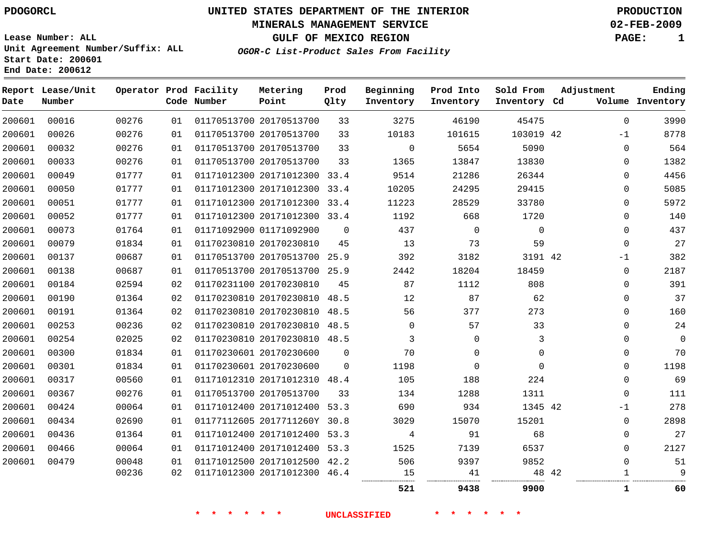# **MINERALS MANAGEMENT SERVICE 02-FEB-2009**

**GULF OF MEXICO REGION PAGE: 1**

**Lease Number: ALL Unit Agreement Number/Suffix: ALL Start Date: 200601 End Date: 200612**

**OGOR-C List-Product Sales From Facility**

| Date   | Report Lease/Unit<br>Number |       |    | Operator Prod Facility<br>Code Number | Metering<br>Point            | Prod<br>Qlty   | Beginning<br>Inventory | Prod Into<br>Inventory | Sold From<br>Inventory Cd | Adjustment | Ending<br>Volume Inventory |
|--------|-----------------------------|-------|----|---------------------------------------|------------------------------|----------------|------------------------|------------------------|---------------------------|------------|----------------------------|
| 200601 | 00016                       | 00276 | 01 |                                       | 01170513700 20170513700      | 33             | 3275                   | 46190                  | 45475                     |            | 3990<br>$\mathbf{0}$       |
| 200601 | 00026                       | 00276 | 01 |                                       | 01170513700 20170513700      | 33             | 10183                  | 101615                 | 103019 42                 | $-1$       | 8778                       |
| 200601 | 00032                       | 00276 | 01 |                                       | 01170513700 20170513700      | 33             | $\mathbf 0$            | 5654                   | 5090                      |            | 564<br>0                   |
| 200601 | 00033                       | 00276 | 01 |                                       | 01170513700 20170513700      | 33             | 1365                   | 13847                  | 13830                     |            | 1382<br>0                  |
| 200601 | 00049                       | 01777 | 01 |                                       | 01171012300 20171012300 33.4 |                | 9514                   | 21286                  | 26344                     |            | 4456<br>0                  |
| 200601 | 00050                       | 01777 | 01 |                                       | 01171012300 20171012300 33.4 |                | 10205                  | 24295                  | 29415                     |            | 5085<br>0                  |
| 200601 | 00051                       | 01777 | 01 |                                       | 01171012300 20171012300 33.4 |                | 11223                  | 28529                  | 33780                     |            | 5972<br>0                  |
| 200601 | 00052                       | 01777 | 01 |                                       | 01171012300 20171012300 33.4 |                | 1192                   | 668                    | 1720                      |            | 140<br>0                   |
| 200601 | 00073                       | 01764 | 01 |                                       | 01171092900 01171092900      | $\overline{0}$ | 437                    | $\Omega$               | $\Omega$                  |            | 437<br>$\Omega$            |
| 200601 | 00079                       | 01834 | 01 |                                       | 01170230810 20170230810      | 45             | 13                     | 73                     | 59                        |            | 27<br>$\mathbf 0$          |
| 200601 | 00137                       | 00687 | 01 |                                       | 01170513700 20170513700 25.9 |                | 392                    | 3182                   | 3191 42                   | $-1$       | 382                        |
| 200601 | 00138                       | 00687 | 01 |                                       | 01170513700 20170513700 25.9 |                | 2442                   | 18204                  | 18459                     |            | 2187<br>0                  |
| 200601 | 00184                       | 02594 | 02 |                                       | 01170231100 20170230810      | 45             | 87                     | 1112                   | 808                       |            | 391<br>$\Omega$            |
| 200601 | 00190                       | 01364 | 02 |                                       | 01170230810 20170230810 48.5 |                | 12                     | 87                     | 62                        |            | 37<br>0                    |
| 200601 | 00191                       | 01364 | 02 |                                       | 01170230810 20170230810 48.5 |                | 56                     | 377                    | 273                       |            | 160<br>0                   |
| 200601 | 00253                       | 00236 | 02 |                                       | 01170230810 20170230810 48.5 |                | $\mathbf 0$            | 57                     | 33                        |            | 24<br>0                    |
| 200601 | 00254                       | 02025 | 02 |                                       | 01170230810 20170230810 48.5 |                | 3                      | $\Omega$               | 3                         |            | $\mathbf 0$<br>0           |
| 200601 | 00300                       | 01834 | 01 |                                       | 01170230601 20170230600      | 0              | 70                     | $\Omega$               | $\mathbf 0$               |            | 70<br>0                    |
| 200601 | 00301                       | 01834 | 01 |                                       | 01170230601 20170230600      | $\mathbf{0}$   | 1198                   | $\mathbf 0$            | $\Omega$                  |            | 1198<br>0                  |
| 200601 | 00317                       | 00560 | 01 |                                       | 01171012310 20171012310 48.4 |                | 105                    | 188                    | 224                       |            | 69<br>0                    |
| 200601 | 00367                       | 00276 | 01 |                                       | 01170513700 20170513700      | 33             | 134                    | 1288                   | 1311                      |            | 111<br>$\Omega$            |
| 200601 | 00424                       | 00064 | 01 |                                       | 01171012400 20171012400 53.3 |                | 690                    | 934                    | 1345 42                   | $-1$       | 278                        |
| 200601 | 00434                       | 02690 | 01 |                                       | 01177112605 2017711260Y 30.8 |                | 3029                   | 15070                  | 15201                     |            | 2898<br>$\mathbf 0$        |
| 200601 | 00436                       | 01364 | 01 |                                       | 01171012400 20171012400 53.3 |                | 4                      | 91                     | 68                        |            | 27<br>0                    |
| 200601 | 00466                       | 00064 | 01 |                                       | 01171012400 20171012400 53.3 |                | 1525                   | 7139                   | 6537                      |            | 2127<br>$\Omega$           |
| 200601 | 00479                       | 00048 | 01 |                                       | 01171012500 20171012500 42.2 |                | 506                    | 9397                   | 9852                      |            | $\Omega$<br>51             |
|        |                             | 00236 | 02 |                                       | 01171012300 20171012300 46.4 |                | 15                     | 41                     | 48 42                     |            | 9<br>1                     |
|        |                             |       |    |                                       |                              |                | 521                    | 9438                   | 9900                      |            | 60<br>1                    |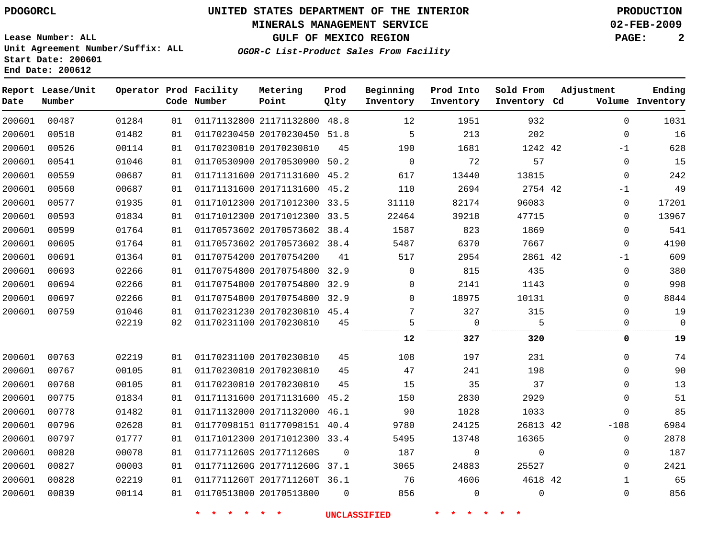## **MINERALS MANAGEMENT SERVICE 02-FEB-2009**

**GULF OF MEXICO REGION PAGE: 2**

**Lease Number: ALL Unit Agreement Number/Suffix: ALL Start Date: 200601 End Date: 200612**

**OGOR-C List-Product Sales From Facility**

| Date   | Report Lease/Unit<br>Number |       |    | Operator Prod Facility<br>Code Number | Metering<br>Point            | Prod<br>Qlty | Beginning<br>Inventory | Prod Into<br>Inventory | Sold From<br>Inventory Cd | Adjustment |              | Ending<br>Volume Inventory |
|--------|-----------------------------|-------|----|---------------------------------------|------------------------------|--------------|------------------------|------------------------|---------------------------|------------|--------------|----------------------------|
| 200601 | 00487                       | 01284 | 01 |                                       | 01171132800 21171132800 48.8 |              | 12                     | 1951                   | 932                       |            | $\Omega$     | 1031                       |
| 200601 | 00518                       | 01482 | 01 |                                       | 01170230450 20170230450 51.8 |              | 5                      | 213                    | 202                       |            | 0            | 16                         |
| 200601 | 00526                       | 00114 | 01 |                                       | 01170230810 20170230810      | 45           | 190                    | 1681                   | 1242 42                   |            | $-1$         | 628                        |
| 200601 | 00541                       | 01046 | 01 |                                       | 01170530900 20170530900      | 50.2         | $\mathbf 0$            | 72                     | 57                        |            | $\mathbf{0}$ | 15                         |
| 200601 | 00559                       | 00687 | 01 |                                       | 01171131600 20171131600 45.2 |              | 617                    | 13440                  | 13815                     |            | 0            | 242                        |
| 200601 | 00560                       | 00687 | 01 |                                       | 01171131600 20171131600 45.2 |              | 110                    | 2694                   | 2754 42                   |            | $-1$         | 49                         |
| 200601 | 00577                       | 01935 | 01 |                                       | 01171012300 20171012300 33.5 |              | 31110                  | 82174                  | 96083                     |            | 0            | 17201                      |
| 200601 | 00593                       | 01834 | 01 |                                       | 01171012300 20171012300 33.5 |              | 22464                  | 39218                  | 47715                     |            | $\Omega$     | 13967                      |
| 200601 | 00599                       | 01764 | 01 |                                       | 01170573602 20170573602 38.4 |              | 1587                   | 823                    | 1869                      |            | 0            | 541                        |
| 200601 | 00605                       | 01764 | 01 |                                       | 01170573602 20170573602 38.4 |              | 5487                   | 6370                   | 7667                      |            | $\Omega$     | 4190                       |
| 200601 | 00691                       | 01364 | 01 |                                       | 01170754200 20170754200      | 41           | 517                    | 2954                   | 2861 42                   |            | $-1$         | 609                        |
| 200601 | 00693                       | 02266 | 01 |                                       | 01170754800 20170754800 32.9 |              | $\mathbf 0$            | 815                    | 435                       |            | $\mathbf{0}$ | 380                        |
| 200601 | 00694                       | 02266 | 01 |                                       | 01170754800 20170754800      | 32.9         | $\Omega$               | 2141                   | 1143                      |            | $\mathbf{0}$ | 998                        |
| 200601 | 00697                       | 02266 | 01 |                                       | 01170754800 20170754800 32.9 |              | $\Omega$               | 18975                  | 10131                     |            | 0            | 8844                       |
| 200601 | 00759                       | 01046 | 01 |                                       | 01170231230 20170230810 45.4 |              | 7                      | 327                    | 315                       |            | $\mathbf 0$  | 19                         |
|        |                             | 02219 | 02 |                                       | 01170231100 20170230810      | 45           | 5                      | 0                      | 5                         |            | 0            | $\mathbf 0$                |
|        |                             |       |    |                                       |                              |              | 12                     | 327                    | 320                       |            | 0            | 19                         |
| 200601 | 00763                       | 02219 | 01 |                                       | 01170231100 20170230810      | 45           | 108                    | 197                    | 231                       |            | $\Omega$     | 74                         |
| 200601 | 00767                       | 00105 | 01 |                                       | 01170230810 20170230810      | 45           | 47                     | 241                    | 198                       |            | $\Omega$     | 90                         |
| 200601 | 00768                       | 00105 | 01 |                                       | 01170230810 20170230810      | 45           | 15                     | 35                     | 37                        |            | $\mathbf 0$  | 13                         |
| 200601 | 00775                       | 01834 | 01 |                                       | 01171131600 20171131600 45.2 |              | 150                    | 2830                   | 2929                      |            | $\Omega$     | 51                         |
| 200601 | 00778                       | 01482 | 01 |                                       | 01171132000 20171132000 46.1 |              | 90                     | 1028                   | 1033                      |            | 0            | 85                         |
| 200601 | 00796                       | 02628 | 01 |                                       | 01177098151 01177098151 40.4 |              | 9780                   | 24125                  | 26813 42                  |            | $-108$       | 6984                       |
| 200601 | 00797                       | 01777 | 01 |                                       | 01171012300 20171012300 33.4 |              | 5495                   | 13748                  | 16365                     |            | 0            | 2878                       |
| 200601 | 00820                       | 00078 | 01 |                                       | 0117711260S 2017711260S      | $\mathbf 0$  | 187                    | 0                      | 0                         |            | $\mathbf{0}$ | 187                        |
| 200601 | 00827                       | 00003 | 01 |                                       | 0117711260G 2017711260G 37.1 |              | 3065                   | 24883                  | 25527                     |            | $\mathbf 0$  | 2421                       |
| 200601 | 00828                       | 02219 | 01 |                                       | 0117711260T 2017711260T 36.1 |              | 76                     | 4606                   | 4618 42                   |            | $\mathbf{1}$ | 65                         |
| 200601 | 00839                       | 00114 | 01 |                                       | 01170513800 20170513800      | $\Omega$     | 856                    | $\mathbf 0$            | 0                         |            | $\mathbf{0}$ | 856                        |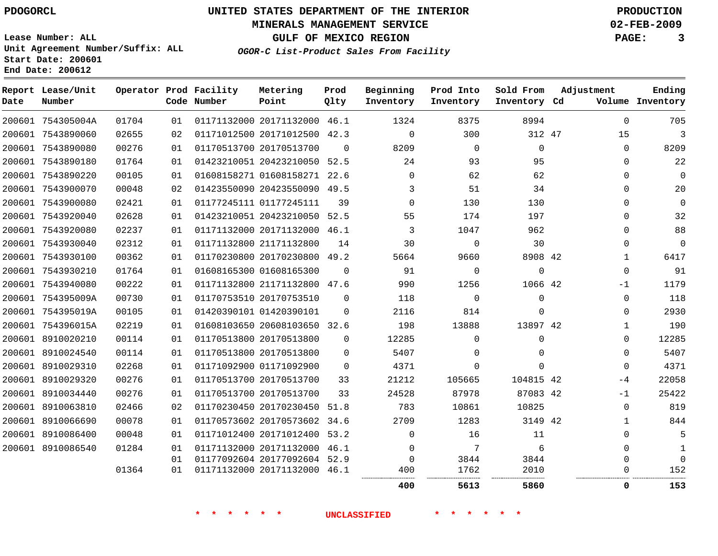## **MINERALS MANAGEMENT SERVICE 02-FEB-2009**

**GULF OF MEXICO REGION PAGE: 3**

**Lease Number: ALL Unit Agreement Number/Suffix: ALL Start Date: 200601 End Date: 200612**

**OGOR-C List-Product Sales From Facility**

| Date | Report Lease/Unit<br>Number |       |    | Operator Prod Facility<br>Code Number | Metering<br>Point            | Prod<br>Qlty | Beginning<br>Inventory | Prod Into<br>Inventory | Sold From<br>Inventory Cd | Adjustment |              | Ending<br>Volume Inventory |
|------|-----------------------------|-------|----|---------------------------------------|------------------------------|--------------|------------------------|------------------------|---------------------------|------------|--------------|----------------------------|
|      | 200601 754305004A           | 01704 | 01 |                                       | 01171132000 20171132000 46.1 |              | 1324                   | 8375                   | 8994                      |            | $\Omega$     | 705                        |
|      | 200601 7543890060           | 02655 | 02 |                                       | 01171012500 20171012500 42.3 |              | $\Omega$               | 300                    | 312 47                    |            | 15           | $\overline{3}$             |
|      | 200601 7543890080           | 00276 | 01 |                                       | 01170513700 20170513700      | $\Omega$     | 8209                   | $\Omega$               | $\mathbf 0$               |            | $\Omega$     | 8209                       |
|      | 200601 7543890180           | 01764 | 01 |                                       | 01423210051 20423210050 52.5 |              | 24                     | 93                     | 95                        |            | $\Omega$     | 22                         |
|      | 200601 7543890220           | 00105 | 01 |                                       | 01608158271 01608158271 22.6 |              | $\Omega$               | 62                     | 62                        |            | $\Omega$     | $\Omega$                   |
|      | 200601 7543900070           | 00048 | 02 |                                       | 01423550090 20423550090 49.5 |              | 3                      | 51                     | 34                        |            | $\Omega$     | 20                         |
|      | 200601 7543900080           | 02421 | 01 |                                       | 01177245111 01177245111      | 39           | $\Omega$               | 130                    | 130                       |            | $\Omega$     | $\Omega$                   |
|      | 200601 7543920040           | 02628 | 01 |                                       | 01423210051 20423210050 52.5 |              | 55                     | 174                    | 197                       |            | $\Omega$     | 32                         |
|      | 200601 7543920080           | 02237 | 01 |                                       | 01171132000 20171132000 46.1 |              | 3                      | 1047                   | 962                       |            | $\Omega$     | 88                         |
|      | 200601 7543930040           | 02312 | 01 |                                       | 01171132800 21171132800      | 14           | 30                     | $\mathbf 0$            | 30                        |            | $\Omega$     | $\Omega$                   |
|      | 200601 7543930100           | 00362 | 01 |                                       | 01170230800 20170230800 49.2 |              | 5664                   | 9660                   | 8908 42                   |            | $\mathbf{1}$ | 6417                       |
|      | 200601 7543930210           | 01764 | 01 |                                       | 01608165300 01608165300      | $\Omega$     | 91                     | $\mathbf 0$            | $\mathbf 0$               |            | 0            | 91                         |
|      | 200601 7543940080           | 00222 | 01 |                                       | 01171132800 21171132800 47.6 |              | 990                    | 1256                   | 1066 42                   |            | $-1$         | 1179                       |
|      | 200601 754395009A           | 00730 | 01 |                                       | 01170753510 20170753510      | $\Omega$     | 118                    | $\Omega$               | $\Omega$                  |            | $\Omega$     | 118                        |
|      | 200601 754395019A           | 00105 | 01 |                                       | 01420390101 01420390101      | $\Omega$     | 2116                   | 814                    | $\Omega$                  |            | $\Omega$     | 2930                       |
|      | 200601 754396015A           | 02219 | 01 |                                       | 01608103650 20608103650 32.6 |              | 198                    | 13888                  | 13897 42                  |            | $\mathbf{1}$ | 190                        |
|      | 200601 8910020210           | 00114 | 01 |                                       | 01170513800 20170513800      | $\Omega$     | 12285                  | $\Omega$               | $\Omega$                  |            | 0            | 12285                      |
|      | 200601 8910024540           | 00114 | 01 |                                       | 01170513800 20170513800      | $\Omega$     | 5407                   | $\Omega$               | $\Omega$                  |            | 0            | 5407                       |
|      | 200601 8910029310           | 02268 | 01 |                                       | 01171092900 01171092900      | $\Omega$     | 4371                   | $\Omega$               | $\Omega$                  |            | 0            | 4371                       |
|      | 200601 8910029320           | 00276 | 01 |                                       | 01170513700 20170513700      | 33           | 21212                  | 105665                 | 104815 42                 |            | -4           | 22058                      |
|      | 200601 8910034440           | 00276 | 01 |                                       | 01170513700 20170513700      | 33           | 24528                  | 87978                  | 87083 42                  |            | $-1$         | 25422                      |
|      | 200601 8910063810           | 02466 | 02 |                                       | 01170230450 20170230450 51.8 |              | 783                    | 10861                  | 10825                     |            | 0            | 819                        |
|      | 200601 8910066690           | 00078 | 01 |                                       | 01170573602 20170573602 34.6 |              | 2709                   | 1283                   | 3149 42                   |            | $\mathbf{1}$ | 844                        |
|      | 200601 8910086400           | 00048 | 01 |                                       | 01171012400 20171012400 53.2 |              | $\Omega$               | 16                     | 11                        |            | $\Omega$     | 5                          |
|      | 200601 8910086540           | 01284 | 01 |                                       | 01171132000 20171132000 46.1 |              | $\mathbf 0$            | 7                      | 6                         |            | 0            | $\mathbf{1}$               |
|      |                             |       | 01 |                                       | 01177092604 20177092604 52.9 |              | $\mathbf 0$            | 3844                   | 3844                      |            | 0            | $\Omega$                   |
|      |                             | 01364 | 01 |                                       | 01171132000 20171132000 46.1 |              | 400                    | 1762                   | 2010                      |            | 0            | 152                        |
|      |                             |       |    |                                       |                              |              | 400                    | 5613                   | 5860                      |            | 0            | 153                        |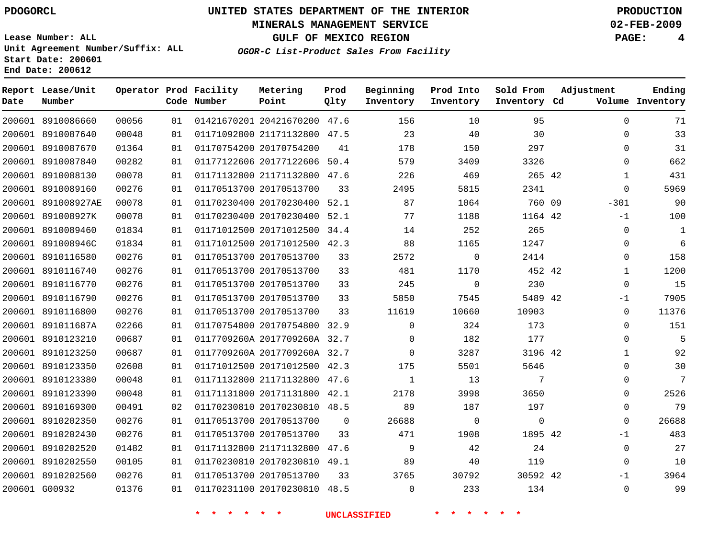## **MINERALS MANAGEMENT SERVICE 02-FEB-2009**

**GULF OF MEXICO REGION PAGE: 4**

**Lease Number: ALL Unit Agreement Number/Suffix: ALL Start Date: 200601 End Date: 200612**

**OGOR-C List-Product Sales From Facility**

| Date   | Report Lease/Unit<br>Number |       |    | Operator Prod Facility<br>Code Number | Metering<br>Point            | Prod<br>Qlty | Beginning<br>Inventory | Prod Into<br>Inventory | Sold From<br>Inventory Cd | Adjustment   | Ending<br>Volume Inventory |
|--------|-----------------------------|-------|----|---------------------------------------|------------------------------|--------------|------------------------|------------------------|---------------------------|--------------|----------------------------|
|        | 200601 8910086660           | 00056 | 01 |                                       | 01421670201 20421670200 47.6 |              | 156                    | 10                     | 95                        | $\Omega$     | 71                         |
|        | 200601 8910087640           | 00048 | 01 |                                       | 01171092800 21171132800 47.5 |              | 23                     | 40                     | 30                        | $\mathbf{0}$ | 33                         |
|        | 200601 8910087670           | 01364 | 01 |                                       | 01170754200 20170754200      | 41           | 178                    | 150                    | 297                       | $\Omega$     | 31                         |
|        | 200601 8910087840           | 00282 | 01 |                                       | 01177122606 20177122606      | 50.4         | 579                    | 3409                   | 3326                      | $\Omega$     | 662                        |
| 200601 | 8910088130                  | 00078 | 01 |                                       | 01171132800 21171132800 47.6 |              | 226                    | 469                    | 265 42                    | $\mathbf{1}$ | 431                        |
|        | 200601 8910089160           | 00276 | 01 |                                       | 01170513700 20170513700      | 33           | 2495                   | 5815                   | 2341                      | $\Omega$     | 5969                       |
| 200601 | 891008927AE                 | 00078 | 01 |                                       | 01170230400 20170230400      | 52.1         | 87                     | 1064                   | 760 09                    | $-301$       | 90                         |
|        | 200601 891008927K           | 00078 | 01 |                                       | 01170230400 20170230400      | 52.1         | 77                     | 1188                   | 1164 42                   | $-1$         | 100                        |
| 200601 | 8910089460                  | 01834 | 01 |                                       | 01171012500 20171012500 34.4 |              | 14                     | 252                    | 265                       | $\Omega$     | $\mathbf{1}$               |
|        | 200601 891008946C           | 01834 | 01 |                                       | 01171012500 20171012500 42.3 |              | 88                     | 1165                   | 1247                      | $\Omega$     | 6                          |
|        | 200601 8910116580           | 00276 | 01 |                                       | 01170513700 20170513700      | 33           | 2572                   | $\mathbf 0$            | 2414                      | $\mathbf 0$  | 158                        |
|        | 200601 8910116740           | 00276 | 01 |                                       | 01170513700 20170513700      | 33           | 481                    | 1170                   | 452 42                    | $\mathbf{1}$ | 1200                       |
|        | 200601 8910116770           | 00276 | 01 |                                       | 01170513700 20170513700      | 33           | 245                    | $\mathbf 0$            | 230                       | $\Omega$     | 15                         |
|        | 200601 8910116790           | 00276 | 01 |                                       | 01170513700 20170513700      | 33           | 5850                   | 7545                   | 5489 42                   | $-1$         | 7905                       |
|        | 200601 8910116800           | 00276 | 01 |                                       | 01170513700 20170513700      | 33           | 11619                  | 10660                  | 10903                     | $\Omega$     | 11376                      |
|        | 200601 891011687A           | 02266 | 01 |                                       | 01170754800 20170754800 32.9 |              | $\Omega$               | 324                    | 173                       | $\Omega$     | 151                        |
|        | 200601 8910123210           | 00687 | 01 |                                       | 0117709260A 2017709260A 32.7 |              | 0                      | 182                    | 177                       | $\Omega$     | 5                          |
|        | 200601 8910123250           | 00687 | 01 |                                       | 0117709260A 2017709260A 32.7 |              | $\Omega$               | 3287                   | 3196 42                   | $\mathbf{1}$ | 92                         |
|        | 200601 8910123350           | 02608 | 01 |                                       | 01171012500 20171012500 42.3 |              | 175                    | 5501                   | 5646                      | $\Omega$     | 30                         |
|        | 200601 8910123380           | 00048 | 01 |                                       | 01171132800 21171132800      | 47.6         | $\mathbf{1}$           | 13                     | 7                         | $\mathbf 0$  | 7                          |
|        | 200601 8910123390           | 00048 | 01 |                                       | 01171131800 20171131800 42.1 |              | 2178                   | 3998                   | 3650                      | $\Omega$     | 2526                       |
|        | 200601 8910169300           | 00491 | 02 |                                       | 01170230810 20170230810 48.5 |              | 89                     | 187                    | 197                       | $\mathbf 0$  | 79                         |
|        | 200601 8910202350           | 00276 | 01 |                                       | 01170513700 20170513700      | 0            | 26688                  | $\mathbf 0$            | $\mathbf 0$               | $\Omega$     | 26688                      |
|        | 200601 8910202430           | 00276 | 01 |                                       | 01170513700 20170513700      | 33           | 471                    | 1908                   | 1895 42                   | $-1$         | 483                        |
|        | 200601 8910202520           | 01482 | 01 |                                       | 01171132800 21171132800 47.6 |              | 9                      | 42                     | 24                        | $\Omega$     | 27                         |
|        | 200601 8910202550           | 00105 | 01 |                                       | 01170230810 20170230810 49.1 |              | 89                     | 40                     | 119                       | $\mathbf 0$  | 10                         |
|        | 200601 8910202560           | 00276 | 01 |                                       | 01170513700 20170513700      | 33           | 3765                   | 30792                  | 30592 42                  | $-1$         | 3964                       |
|        | 200601 G00932               | 01376 | 01 |                                       | 01170231100 20170230810      | 48.5         | $\Omega$               | 233                    | 134                       | $\Omega$     | 99                         |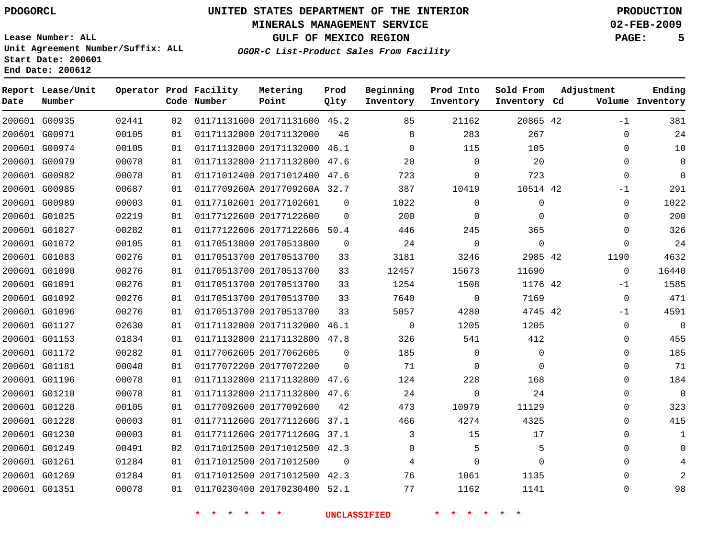## **MINERALS MANAGEMENT SERVICE 02-FEB-2009**

**GULF OF MEXICO REGION PAGE: 5**

**Lease Number: ALL Unit Agreement Number/Suffix: ALL Start Date: 200601 End Date: 200612**

**OGOR-C List-Product Sales From Facility**

| Date | Report Lease/Unit<br>Number |       |    | Operator Prod Facility<br>Code Number | Metering<br>Point            | Prod<br>Qlty | Beginning<br>Inventory | Prod Into<br>Inventory | Sold From<br>Inventory Cd | Adjustment  | Ending<br>Volume Inventory |
|------|-----------------------------|-------|----|---------------------------------------|------------------------------|--------------|------------------------|------------------------|---------------------------|-------------|----------------------------|
|      | 200601 G00935               | 02441 | 02 |                                       | 01171131600 20171131600 45.2 |              | 85                     | 21162                  | 20865 42                  | $-1$        | 381                        |
|      | 200601 G00971               | 00105 | 01 |                                       | 01171132000 20171132000      | 46           | 8                      | 283                    | 267                       | $\Omega$    | 24                         |
|      | 200601 G00974               | 00105 | 01 |                                       | 01171132000 20171132000 46.1 |              | $\Omega$               | 115                    | 105                       |             | 10<br>$\Omega$             |
|      | 200601 G00979               | 00078 | 01 |                                       | 01171132800 21171132800 47.6 |              | 20                     | $\Omega$               | 20                        | $\Omega$    | 0                          |
|      | 200601 G00982               | 00078 | 01 |                                       | 01171012400 20171012400 47.6 |              | 723                    | $\mathbf 0$            | 723                       | $\mathbf 0$ | $\Omega$                   |
|      | 200601 G00985               | 00687 | 01 |                                       | 0117709260A 2017709260A 32.7 |              | 387                    | 10419                  | 10514 42                  | -1          | 291                        |
|      | 200601 G00989               | 00003 | 01 |                                       | 01177102601 20177102601      | $\Omega$     | 1022                   | $\Omega$               | $\mathbf 0$               | $\Omega$    | 1022                       |
|      | 200601 G01025               | 02219 | 01 |                                       | 01177122600 20177122600      | $\mathbf 0$  | 200                    | 0                      | 0                         |             | 200<br>0                   |
|      | 200601 G01027               | 00282 | 01 |                                       | 01177122606 20177122606      | 50.4         | 446                    | 245                    | 365                       | $\Omega$    | 326                        |
|      | 200601 G01072               | 00105 | 01 |                                       | 01170513800 20170513800      | $\Omega$     | 24                     | $\mathbf 0$            | $\Omega$                  | $\Omega$    | 24                         |
|      | 200601 G01083               | 00276 | 01 |                                       | 01170513700 20170513700      | 33           | 3181                   | 3246                   | 2985 42                   | 1190        | 4632                       |
|      | 200601 G01090               | 00276 | 01 |                                       | 01170513700 20170513700      | 33           | 12457                  | 15673                  | 11690                     | $\mathbf 0$ | 16440                      |
|      | 200601 G01091               | 00276 | 01 |                                       | 01170513700 20170513700      | 33           | 1254                   | 1508                   | 1176 42                   | $-1$        | 1585                       |
|      | 200601 G01092               | 00276 | 01 |                                       | 01170513700 20170513700      | 33           | 7640                   | 0                      | 7169                      | 0           | 471                        |
|      | 200601 G01096               | 00276 | 01 |                                       | 01170513700 20170513700      | 33           | 5057                   | 4280                   | 4745 42                   | -1          | 4591                       |
|      | 200601 G01127               | 02630 | 01 |                                       | 01171132000 20171132000      | 46.1         | $\mathbf 0$            | 1205                   | 1205                      | $\Omega$    | $\mathbf 0$                |
|      | 200601 G01153               | 01834 | 01 |                                       | 01171132800 21171132800 47.8 |              | 326                    | 541                    | 412                       | 0           | 455                        |
|      | 200601 G01172               | 00282 | 01 |                                       | 01177062605 20177062605      | $\Omega$     | 185                    | $\mathbf 0$            | $\mathbf 0$               | $\mathbf 0$ | 185                        |
|      | 200601 G01181               | 00048 | 01 |                                       | 01177072200 20177072200      | $\Omega$     | 71                     | $\Omega$               | $\Omega$                  | $\Omega$    | 71                         |
|      | 200601 G01196               | 00078 | 01 |                                       | 01171132800 21171132800      | 47.6         | 124                    | 228                    | 168                       |             | 184<br>0                   |
|      | 200601 G01210               | 00078 | 01 |                                       | 01171132800 21171132800 47.6 |              | 24                     | 0                      | 24                        |             | $\mathbf 0$<br>$\Omega$    |
|      | 200601 G01220               | 00105 | 01 |                                       | 01177092600 20177092600      | 42           | 473                    | 10979                  | 11129                     | 0           | 323                        |
|      | 200601 G01228               | 00003 | 01 |                                       | 0117711260G 2017711260G 37.1 |              | 466                    | 4274                   | 4325                      |             | 415<br>0                   |
|      | 200601 G01230               | 00003 | 01 |                                       | 0117711260G 2017711260G 37.1 |              | 3                      | 15                     | 17                        |             | 0<br>1                     |
|      | 200601 G01249               | 00491 | 02 |                                       | 01171012500 20171012500 42.3 |              | $\Omega$               | 5                      | 5                         |             | $\Omega$<br>$\Omega$       |
|      | 200601 G01261               | 01284 | 01 |                                       | 01171012500 20171012500      | $\mathbf 0$  | 4                      | $\mathbf 0$            | $\Omega$                  |             | 0                          |
|      | 200601 G01269               | 01284 | 01 |                                       | 01171012500 20171012500 42.3 |              | 76                     | 1061                   | 1135                      | $\Omega$    |                            |
|      | 200601 G01351               | 00078 | 01 |                                       | 01170230400 20170230400 52.1 |              | 77                     | 1162                   | 1141                      | $\Omega$    | 98                         |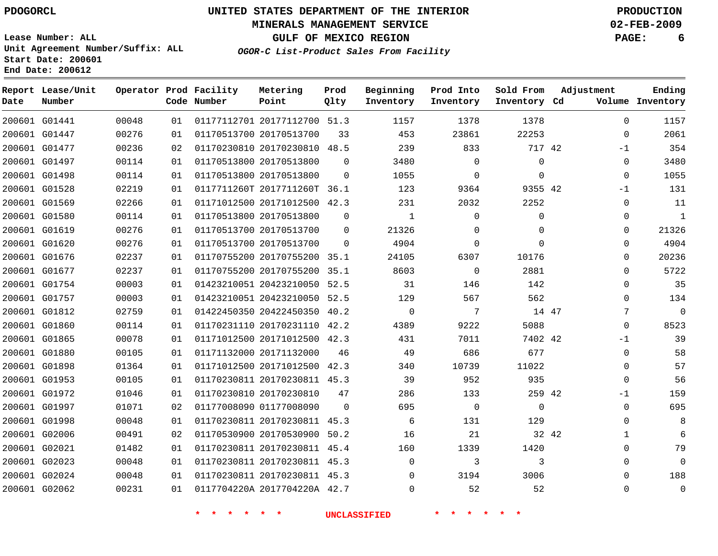## **MINERALS MANAGEMENT SERVICE 02-FEB-2009**

**GULF OF MEXICO REGION PAGE: 6**

**Lease Number: ALL Unit Agreement Number/Suffix: ALL Start Date: 200601 End Date: 200612**

**OGOR-C List-Product Sales From Facility**

| Date | Report Lease/Unit<br>Number |       |    | Operator Prod Facility<br>Code Number | Metering<br>Point            | Prod<br>Qlty | Beginning<br>Inventory | Prod Into<br>Inventory | Sold From<br>Inventory Cd | Adjustment |              | Ending<br>Volume Inventory |
|------|-----------------------------|-------|----|---------------------------------------|------------------------------|--------------|------------------------|------------------------|---------------------------|------------|--------------|----------------------------|
|      | 200601 G01441               | 00048 | 01 |                                       | 01177112701 20177112700 51.3 |              | 1157                   | 1378                   | 1378                      |            | $\Omega$     | 1157                       |
|      | 200601 G01447               | 00276 | 01 |                                       | 01170513700 20170513700      | 33           | 453                    | 23861                  | 22253                     |            | $\Omega$     | 2061                       |
|      | 200601 G01477               | 00236 | 02 |                                       | 01170230810 20170230810 48.5 |              | 239                    | 833                    | 717 42                    |            | $-1$         | 354                        |
|      | 200601 G01497               | 00114 | 01 |                                       | 01170513800 20170513800      | $\Omega$     | 3480                   | $\Omega$               | $\mathbf 0$               |            | 0            | 3480                       |
|      | 200601 G01498               | 00114 | 01 |                                       | 01170513800 20170513800      | $\Omega$     | 1055                   | $\Omega$               | $\mathbf 0$               |            | $\Omega$     | 1055                       |
|      | 200601 G01528               | 02219 | 01 |                                       | 0117711260T 2017711260T 36.1 |              | 123                    | 9364                   | 9355 42                   |            | $-1$         | 131                        |
|      | 200601 G01569               | 02266 | 01 |                                       | 01171012500 20171012500 42.3 |              | 231                    | 2032                   | 2252                      |            | 0            | 11                         |
|      | 200601 G01580               | 00114 | 01 |                                       | 01170513800 20170513800      | $\mathbf 0$  | 1                      | $\mathbf 0$            | $\mathbf 0$               |            | 0            | $\mathbf{1}$               |
|      | 200601 G01619               | 00276 | 01 |                                       | 01170513700 20170513700      | $\Omega$     | 21326                  | $\Omega$               | $\mathbf 0$               |            | 0            | 21326                      |
|      | 200601 G01620               | 00276 | 01 |                                       | 01170513700 20170513700      | $\Omega$     | 4904                   | $\mathbf 0$            | $\Omega$                  |            | $\Omega$     | 4904                       |
|      | 200601 G01676               | 02237 | 01 |                                       | 01170755200 20170755200 35.1 |              | 24105                  | 6307                   | 10176                     |            | 0            | 20236                      |
|      | 200601 G01677               | 02237 | 01 |                                       | 01170755200 20170755200 35.1 |              | 8603                   | 0                      | 2881                      |            | 0            | 5722                       |
|      | 200601 G01754               | 00003 | 01 |                                       | 01423210051 20423210050 52.5 |              | 31                     | 146                    | 142                       |            | 0            | 35                         |
|      | 200601 G01757               | 00003 | 01 |                                       | 01423210051 20423210050 52.5 |              | 129                    | 567                    | 562                       |            | 0            | 134                        |
|      | 200601 G01812               | 02759 | 01 |                                       | 01422450350 20422450350 40.2 |              | $\mathbf 0$            | 7                      | 14 47                     |            | 7            | $\mathbf 0$                |
|      | 200601 G01860               | 00114 | 01 |                                       | 01170231110 20170231110 42.2 |              | 4389                   | 9222                   | 5088                      |            | 0            | 8523                       |
|      | 200601 G01865               | 00078 | 01 |                                       | 01171012500 20171012500 42.3 |              | 431                    | 7011                   | 7402 42                   |            | -1           | 39                         |
|      | 200601 G01880               | 00105 | 01 |                                       | 01171132000 20171132000      | 46           | 49                     | 686                    | 677                       |            | $\mathbf 0$  | 58                         |
|      | 200601 G01898               | 01364 | 01 |                                       | 01171012500 20171012500 42.3 |              | 340                    | 10739                  | 11022                     |            | 0            | 57                         |
|      | 200601 G01953               | 00105 | 01 |                                       | 01170230811 20170230811 45.3 |              | 39                     | 952                    | 935                       |            | 0            | 56                         |
|      | 200601 G01972               | 01046 | 01 |                                       | 01170230810 20170230810      | 47           | 286                    | 133                    | 259 42                    |            | $-1$         | 159                        |
|      | 200601 G01997               | 01071 | 02 |                                       | 01177008090 01177008090      | $\Omega$     | 695                    | $\overline{0}$         | $\mathbf 0$               |            | 0            | 695                        |
|      | 200601 G01998               | 00048 | 01 |                                       | 01170230811 20170230811 45.3 |              | 6                      | 131                    | 129                       |            | 0            | 8                          |
|      | 200601 G02006               | 00491 | 02 |                                       | 01170530900 20170530900 50.2 |              | 16                     | 21                     | 32 42                     |            | $\mathbf{1}$ | 6                          |
|      | 200601 G02021               | 01482 | 01 |                                       | 01170230811 20170230811 45.4 |              | 160                    | 1339                   | 1420                      |            | 0            | 79                         |
|      | 200601 G02023               | 00048 | 01 |                                       | 01170230811 20170230811 45.3 |              | $\mathbf 0$            | 3                      | 3                         |            | 0            | $\Omega$                   |
|      | 200601 G02024               | 00048 | 01 |                                       | 01170230811 20170230811 45.3 |              | $\Omega$               | 3194                   | 3006                      |            | 0            | 188                        |
|      | 200601 G02062               | 00231 | 01 |                                       | 0117704220A 2017704220A 42.7 |              | $\Omega$               | 52                     | 52                        |            | $\Omega$     | $\mathbf{0}$               |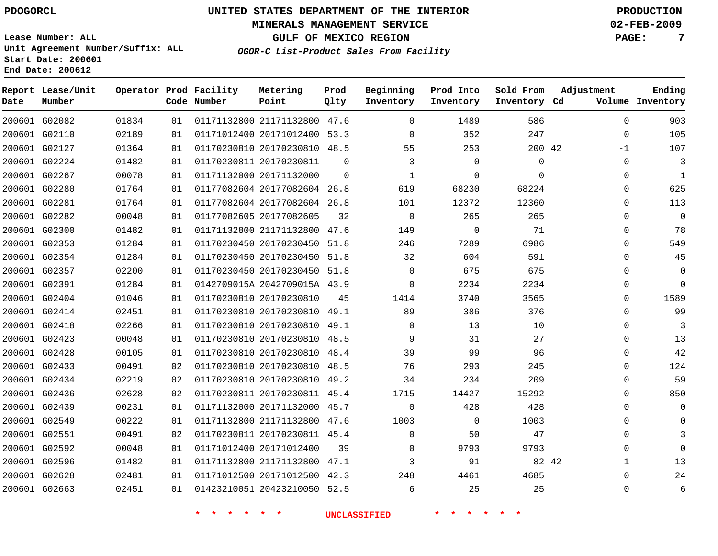## **MINERALS MANAGEMENT SERVICE 02-FEB-2009**

**GULF OF MEXICO REGION PAGE: 7**

**Lease Number: ALL Unit Agreement Number/Suffix: ALL Start Date: 200601 End Date: 200612**

**OGOR-C List-Product Sales From Facility**

| Date | Report Lease/Unit<br>Number |       |    | Operator Prod Facility<br>Code Number | Metering<br>Point            | Prod<br>Qlty | Beginning<br>Inventory | Prod Into<br>Inventory | Sold From<br>Inventory Cd | Adjustment  | Ending<br>Volume Inventory |
|------|-----------------------------|-------|----|---------------------------------------|------------------------------|--------------|------------------------|------------------------|---------------------------|-------------|----------------------------|
|      | 200601 G02082               | 01834 | 01 |                                       | 01171132800 21171132800 47.6 |              | $\mathbf 0$            | 1489                   | 586                       | $\mathbf 0$ | 903                        |
|      | 200601 G02110               | 02189 | 01 |                                       | 01171012400 20171012400 53.3 |              | $\Omega$               | 352                    | 247                       | 0           | 105                        |
|      | 200601 G02127               | 01364 | 01 |                                       | 01170230810 20170230810 48.5 |              | 55                     | 253                    | 200 42                    | $-1$        | 107                        |
|      | 200601 G02224               | 01482 | 01 |                                       | 01170230811 20170230811      | $\Omega$     | 3                      | $\Omega$               | $\mathbf 0$               | 0           | 3                          |
|      | 200601 G02267               | 00078 | 01 |                                       | 01171132000 20171132000      | $\Omega$     | $\mathbf{1}$           | $\Omega$               | $\Omega$                  | 0           | $\mathbf{1}$               |
|      | 200601 G02280               | 01764 | 01 |                                       | 01177082604 20177082604 26.8 |              | 619                    | 68230                  | 68224                     | 0           | 625                        |
|      | 200601 G02281               | 01764 | 01 |                                       | 01177082604 20177082604 26.8 |              | 101                    | 12372                  | 12360                     | $\Omega$    | 113                        |
|      | 200601 G02282               | 00048 | 01 |                                       | 01177082605 20177082605      | 32           | $\mathbf 0$            | 265                    | 265                       | $\Omega$    | $\mathbf 0$                |
|      | 200601 G02300               | 01482 | 01 |                                       | 01171132800 21171132800 47.6 |              | 149                    | $\mathbf 0$            | 71                        | $\Omega$    | 78                         |
|      | 200601 G02353               | 01284 | 01 |                                       | 01170230450 20170230450 51.8 |              | 246                    | 7289                   | 6986                      | $\Omega$    | 549                        |
|      | 200601 G02354               | 01284 | 01 |                                       | 01170230450 20170230450 51.8 |              | 32                     | 604                    | 591                       | 0           | 45                         |
|      | 200601 G02357               | 02200 | 01 |                                       | 01170230450 20170230450 51.8 |              | $\Omega$               | 675                    | 675                       | $\Omega$    | $\mathbf 0$                |
|      | 200601 G02391               | 01284 | 01 |                                       | 0142709015A 2042709015A 43.9 |              | $\Omega$               | 2234                   | 2234                      | 0           | $\Omega$                   |
|      | 200601 G02404               | 01046 | 01 |                                       | 01170230810 20170230810      | 45           | 1414                   | 3740                   | 3565                      | 0           | 1589                       |
|      | 200601 G02414               | 02451 | 01 |                                       | 01170230810 20170230810 49.1 |              | 89                     | 386                    | 376                       | $\Omega$    | 99                         |
|      | 200601 G02418               | 02266 | 01 |                                       | 01170230810 20170230810 49.1 |              | $\Omega$               | 13                     | 10                        | $\Omega$    | 3                          |
|      | 200601 G02423               | 00048 | 01 |                                       | 01170230810 20170230810 48.5 |              | 9                      | 31                     | 27                        | 0           | 13                         |
|      | 200601 G02428               | 00105 | 01 |                                       | 01170230810 20170230810 48.4 |              | 39                     | 99                     | 96                        | $\Omega$    | 42                         |
|      | 200601 G02433               | 00491 | 02 |                                       | 01170230810 20170230810 48.5 |              | 76                     | 293                    | 245                       | $\Omega$    | 124                        |
|      | 200601 G02434               | 02219 | 02 |                                       | 01170230810 20170230810 49.2 |              | 34                     | 234                    | 209                       | 0           | 59                         |
|      | 200601 G02436               | 02628 | 02 |                                       | 01170230811 20170230811 45.4 |              | 1715                   | 14427                  | 15292                     | 0           | 850                        |
|      | 200601 G02439               | 00231 | 01 |                                       | 01171132000 20171132000 45.7 |              | $\Omega$               | 428                    | 428                       | 0           | $\Omega$                   |
|      | 200601 G02549               | 00222 | 01 |                                       | 01171132800 21171132800 47.6 |              | 1003                   | 0                      | 1003                      | 0           | $\Omega$                   |
|      | 200601 G02551               | 00491 | 02 |                                       | 01170230811 20170230811 45.4 |              | $\mathbf 0$            | 50                     | 47                        | 0           | 3                          |
|      | 200601 G02592               | 00048 | 01 |                                       | 01171012400 20171012400      | 39           | $\Omega$               | 9793                   | 9793                      | $\Omega$    | $\Omega$                   |
|      | 200601 G02596               | 01482 | 01 |                                       | 01171132800 21171132800 47.1 |              | 3                      | 91                     | 82 42                     | 1           | 13                         |
|      | 200601 G02628               | 02481 | 01 |                                       | 01171012500 20171012500 42.3 |              | 248                    | 4461                   | 4685                      | $\Omega$    | 24                         |
|      | 200601 G02663               | 02451 | 01 |                                       | 01423210051 20423210050 52.5 |              | 6                      | 25                     | 25                        | $\Omega$    | 6                          |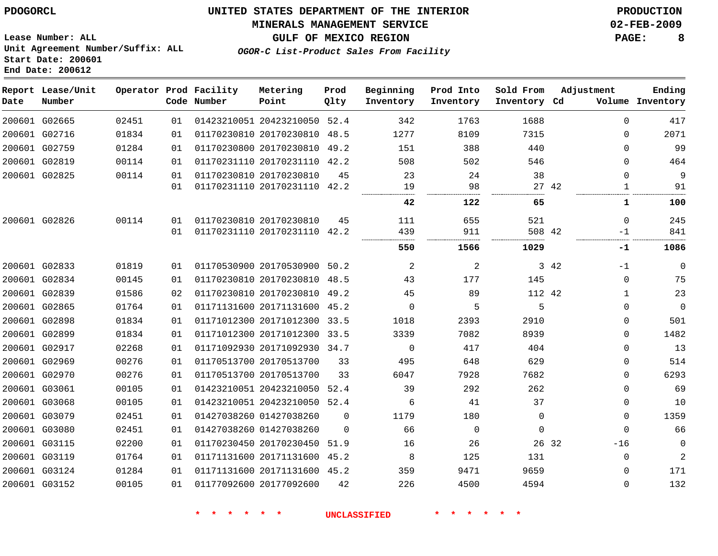## **MINERALS MANAGEMENT SERVICE 02-FEB-2009**

**GULF OF MEXICO REGION PAGE: 8**

**Lease Number: ALL Unit Agreement Number/Suffix: ALL Start Date: 200601 End Date: 200612**

**OGOR-C List-Product Sales From Facility**

| Date | Report Lease/Unit<br>Number |       |    | Operator Prod Facility<br>Code Number | Metering<br>Point            | Prod<br>Qlty | Beginning<br>Inventory | Prod Into<br>Inventory | Sold From<br>Inventory Cd | Adjustment |             | Ending<br>Volume Inventory |
|------|-----------------------------|-------|----|---------------------------------------|------------------------------|--------------|------------------------|------------------------|---------------------------|------------|-------------|----------------------------|
|      | 200601 G02665               | 02451 | 01 |                                       | 01423210051 20423210050 52.4 |              | 342                    | 1763                   | 1688                      |            | $\Omega$    | 417                        |
|      | 200601 G02716               | 01834 | 01 |                                       | 01170230810 20170230810 48.5 |              | 1277                   | 8109                   | 7315                      |            | $\Omega$    | 2071                       |
|      | 200601 G02759               | 01284 | 01 |                                       | 01170230800 20170230810 49.2 |              | 151                    | 388                    | 440                       |            | $\Omega$    | 99                         |
|      | 200601 G02819               | 00114 | 01 |                                       | 01170231110 20170231110 42.2 |              | 508                    | 502                    | 546                       |            | $\Omega$    | 464                        |
|      | 200601 G02825               | 00114 | 01 |                                       | 01170230810 20170230810      | 45           | 23                     | 24                     | 38                        |            | $\mathbf 0$ | 9                          |
|      |                             |       | 01 |                                       | 01170231110 20170231110 42.2 |              | 19                     | 98                     |                           | 27 42      | 1           | 91                         |
|      |                             |       |    |                                       |                              |              | 42                     | 122                    | 65                        |            | 1           | 100                        |
|      | 200601 G02826               | 00114 | 01 |                                       | 01170230810 20170230810      | 45           | 111                    | 655                    | 521                       |            | $\Omega$    | 245                        |
|      |                             |       | 01 |                                       | 01170231110 20170231110 42.2 |              | 439                    | 911                    | 508 42                    |            | $-1$        | 841                        |
|      |                             |       |    |                                       |                              |              | 550                    | 1566                   | 1029                      |            | -1          | 1086                       |
|      | 200601 G02833               | 01819 | 01 |                                       | 01170530900 20170530900 50.2 |              | 2                      | 2                      |                           | 3 42       | $-1$        | $\mathbf 0$                |
|      | 200601 G02834               | 00145 | 01 |                                       | 01170230810 20170230810 48.5 |              | 43                     | 177                    | 145                       |            | $\mathbf 0$ | 75                         |
|      | 200601 G02839               | 01586 | 02 |                                       | 01170230810 20170230810 49.2 |              | 45                     | 89                     | 112 42                    |            | 1           | 23                         |
|      | 200601 G02865               | 01764 | 01 |                                       | 01171131600 20171131600 45.2 |              | 0                      | 5                      | 5                         |            | $\mathbf 0$ | $\mathbf 0$                |
|      | 200601 G02898               | 01834 | 01 |                                       | 01171012300 20171012300 33.5 |              | 1018                   | 2393                   | 2910                      |            | $\mathbf 0$ | 501                        |
|      | 200601 G02899               | 01834 | 01 |                                       | 01171012300 20171012300 33.5 |              | 3339                   | 7082                   | 8939                      |            | $\Omega$    | 1482                       |
|      | 200601 G02917               | 02268 | 01 |                                       | 01171092930 20171092930 34.7 |              | 0                      | 417                    | 404                       |            | 0           | 13                         |
|      | 200601 G02969               | 00276 | 01 |                                       | 01170513700 20170513700      | 33           | 495                    | 648                    | 629                       |            | $\Omega$    | 514                        |
|      | 200601 G02970               | 00276 | 01 |                                       | 01170513700 20170513700      | 33           | 6047                   | 7928                   | 7682                      |            | $\Omega$    | 6293                       |
|      | 200601 G03061               | 00105 | 01 |                                       | 01423210051 20423210050 52.4 |              | 39                     | 292                    | 262                       |            | $\Omega$    | 69                         |
|      | 200601 G03068               | 00105 | 01 |                                       | 01423210051 20423210050 52.4 |              | 6                      | 41                     | 37                        |            | $\Omega$    | 10                         |
|      | 200601 G03079               | 02451 | 01 |                                       | 01427038260 01427038260      | $\Omega$     | 1179                   | 180                    | $\Omega$                  |            | $\Omega$    | 1359                       |
|      | 200601 G03080               | 02451 | 01 |                                       | 01427038260 01427038260      | $\Omega$     | 66                     | $\Omega$               | $\mathbf 0$               |            | $\Omega$    | 66                         |
|      | 200601 G03115               | 02200 | 01 |                                       | 01170230450 20170230450 51.9 |              | 16                     | 26                     | 26 32                     |            | $-16$       | $\mathbf 0$                |
|      | 200601 G03119               | 01764 | 01 |                                       | 01171131600 20171131600 45.2 |              | 8                      | 125                    | 131                       |            | $\mathbf 0$ | $\overline{a}$             |
|      | 200601 G03124               | 01284 | 01 |                                       | 01171131600 20171131600 45.2 |              | 359                    | 9471                   | 9659                      |            | 0           | 171                        |
|      | 200601 G03152               | 00105 | 01 |                                       | 01177092600 20177092600      | 42           | 226                    | 4500                   | 4594                      |            | $\Omega$    | 132                        |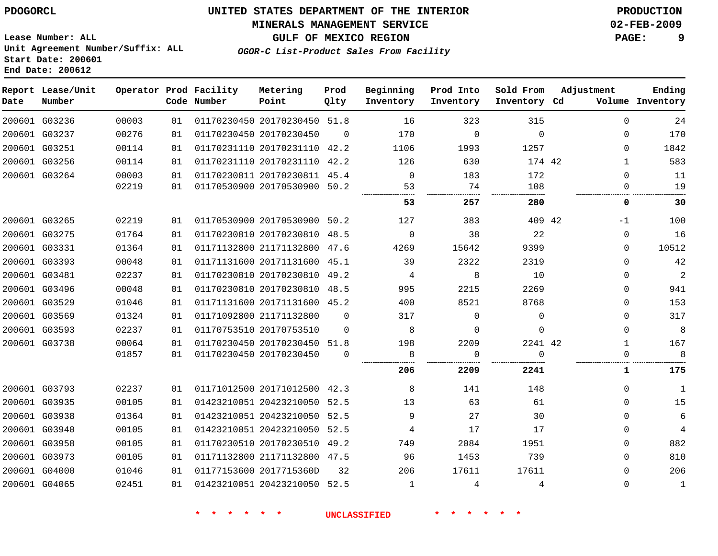## **MINERALS MANAGEMENT SERVICE 02-FEB-2009**

**GULF OF MEXICO REGION PAGE: 9**

**Lease Number: ALL Unit Agreement Number/Suffix: ALL Start Date: 200601 End Date: 200612**

**OGOR-C List-Product Sales From Facility**

| Date | Report Lease/Unit<br>Number |       |    | Operator Prod Facility<br>Code Number | Metering<br>Point            | Prod<br>Qlty | Beginning<br>Inventory | Prod Into<br>Inventory | Sold From<br>Inventory Cd | Adjustment   | Ending<br>Volume Inventory |
|------|-----------------------------|-------|----|---------------------------------------|------------------------------|--------------|------------------------|------------------------|---------------------------|--------------|----------------------------|
|      | 200601 G03236               | 00003 | 01 |                                       | 01170230450 20170230450 51.8 |              | 16                     | 323                    | 315                       | $\Omega$     | 24                         |
|      | 200601 G03237               | 00276 | 01 |                                       | 01170230450 20170230450      | $\Omega$     | 170                    | $\overline{0}$         | $\mathbf{0}$              | 0            | 170                        |
|      | 200601 G03251               | 00114 | 01 |                                       | 01170231110 20170231110 42.2 |              | 1106                   | 1993                   | 1257                      | $\Omega$     | 1842                       |
|      | 200601 G03256               | 00114 | 01 |                                       | 01170231110 20170231110 42.2 |              | 126                    | 630                    | 174 42                    | 1            | 583                        |
|      | 200601 G03264               | 00003 | 01 |                                       | 01170230811 20170230811 45.4 |              | $\overline{0}$         | 183                    | 172                       | $\Omega$     | 11                         |
|      |                             | 02219 | 01 |                                       | 01170530900 20170530900 50.2 |              | 53                     | 74                     | 108                       | 0            | 19                         |
|      |                             |       |    |                                       |                              |              | 53                     | 257                    | 280                       | 0            | 30                         |
|      | 200601 G03265               | 02219 | 01 |                                       | 01170530900 20170530900 50.2 |              | 127                    | 383                    | 409 42                    | $-1$         | 100                        |
|      | 200601 G03275               | 01764 | 01 |                                       | 01170230810 20170230810 48.5 |              | $\mathbf 0$            | 38                     | 22                        | 0            | 16                         |
|      | 200601 G03331               | 01364 | 01 |                                       | 01171132800 21171132800 47.6 |              | 4269                   | 15642                  | 9399                      | $\mathbf 0$  | 10512                      |
|      | 200601 G03393               | 00048 | 01 |                                       | 01171131600 20171131600 45.1 |              | 39                     | 2322                   | 2319                      | 0            | 42                         |
|      | 200601 G03481               | 02237 | 01 |                                       | 01170230810 20170230810 49.2 |              | 4                      | 8                      | 10                        | 0            | $\overline{2}$             |
|      | 200601 G03496               | 00048 | 01 |                                       | 01170230810 20170230810 48.5 |              | 995                    | 2215                   | 2269                      | 0            | 941                        |
|      | 200601 G03529               | 01046 | 01 |                                       | 01171131600 20171131600 45.2 |              | 400                    | 8521                   | 8768                      | 0            | 153                        |
|      | 200601 G03569               | 01324 | 01 |                                       | 01171092800 21171132800      | 0            | 317                    | 0                      | $\mathbf 0$               | 0            | 317                        |
|      | 200601 G03593               | 02237 | 01 |                                       | 01170753510 20170753510      | $\Omega$     | 8                      | 0                      | $\mathbf 0$               | $\mathbf 0$  | 8                          |
|      | 200601 G03738               | 00064 | 01 |                                       | 01170230450 20170230450 51.8 |              | 198                    | 2209                   | 2241 42                   | 1            | 167                        |
|      |                             | 01857 | 01 |                                       | 01170230450 20170230450      | 0            | 8                      | 0                      | $\Omega$                  | 0            | 8                          |
|      |                             |       |    |                                       |                              |              | 206                    | 2209                   | 2241                      | $\mathbf{1}$ | 175                        |
|      | 200601 G03793               | 02237 | 01 |                                       | 01171012500 20171012500 42.3 |              | 8                      | 141                    | 148                       | $\mathbf 0$  | $\mathbf{1}$               |
|      | 200601 G03935               | 00105 | 01 |                                       | 01423210051 20423210050 52.5 |              | 13                     | 63                     | 61                        | $\Omega$     | 15                         |
|      | 200601 G03938               | 01364 | 01 |                                       | 01423210051 20423210050 52.5 |              | 9                      | 27                     | 30                        | $\mathbf 0$  | 6                          |
|      | 200601 G03940               | 00105 | 01 |                                       | 01423210051 20423210050 52.5 |              | 4                      | 17                     | 17                        | 0            | 4                          |
|      | 200601 G03958               | 00105 | 01 |                                       | 01170230510 20170230510 49.2 |              | 749                    | 2084                   | 1951                      | $\mathbf 0$  | 882                        |
|      | 200601 G03973               | 00105 | 01 |                                       | 01171132800 21171132800 47.5 |              | 96                     | 1453                   | 739                       | $\Omega$     | 810                        |
|      | 200601 G04000               | 01046 | 01 |                                       | 01177153600 2017715360D      | 32           | 206                    | 17611                  | 17611                     | $\mathbf{0}$ | 206                        |
|      | 200601 G04065               | 02451 | 01 |                                       | 01423210051 20423210050 52.5 |              | 1                      | 4                      | 4                         | $\mathbf{0}$ | $\mathbf{1}$               |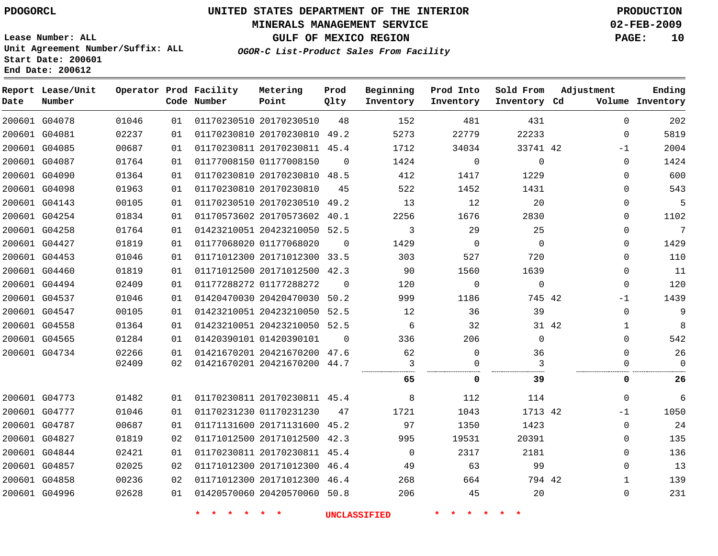### **MINERALS MANAGEMENT SERVICE 02-FEB-2009**

**GULF OF MEXICO REGION PAGE: 10**

**Lease Number: ALL Unit Agreement Number/Suffix: ALL Start Date: 200601 End Date: 200612**

**OGOR-C List-Product Sales From Facility**

| Date          | Report Lease/Unit<br>Number |       |    | Operator Prod Facility<br>Code Number | Metering<br>Point            | Prod<br>Qlty | Beginning<br>Inventory | Prod Into<br>Inventory | Sold From<br>Inventory Cd | Adjustment   | Ending<br>Volume Inventory |
|---------------|-----------------------------|-------|----|---------------------------------------|------------------------------|--------------|------------------------|------------------------|---------------------------|--------------|----------------------------|
| 200601 G04078 |                             | 01046 | 01 |                                       | 01170230510 20170230510      | 48           | 152                    | 481                    | 431                       | $\Omega$     | 202                        |
| 200601 G04081 |                             | 02237 | 01 |                                       | 01170230810 20170230810      | 49.2         | 5273                   | 22779                  | 22233                     | $\mathbf{0}$ | 5819                       |
| 200601 G04085 |                             | 00687 | 01 |                                       | 01170230811 20170230811 45.4 |              | 1712                   | 34034                  | 33741 42                  | $-1$         | 2004                       |
|               | 200601 G04087               | 01764 | 01 |                                       | 01177008150 01177008150      | $\Omega$     | 1424                   | $\mathbf 0$            | $\mathbf 0$               | $\Omega$     | 1424                       |
|               | 200601 G04090               | 01364 | 01 |                                       | 01170230810 20170230810 48.5 |              | 412                    | 1417                   | 1229                      | $\Omega$     | 600                        |
| 200601 G04098 |                             | 01963 | 01 |                                       | 01170230810 20170230810      | 45           | 522                    | 1452                   | 1431                      | $\mathbf{0}$ | 543                        |
|               | 200601 G04143               | 00105 | 01 |                                       | 01170230510 20170230510      | 49.2         | 13                     | 12                     | 20                        | 0            | 5                          |
|               | 200601 G04254               | 01834 | 01 |                                       | 01170573602 20170573602 40.1 |              | 2256                   | 1676                   | 2830                      | $\mathbf{0}$ | 1102                       |
| 200601 G04258 |                             | 01764 | 01 |                                       | 01423210051 20423210050 52.5 |              | 3                      | 29                     | 25                        | 0            | $\overline{7}$             |
| 200601 G04427 |                             | 01819 | 01 |                                       | 01177068020 01177068020      | $\Omega$     | 1429                   | $\mathbf 0$            | $\Omega$                  | 0            | 1429                       |
|               | 200601 G04453               | 01046 | 01 |                                       | 01171012300 20171012300 33.5 |              | 303                    | 527                    | 720                       | $\mathbf 0$  | 110                        |
| 200601 G04460 |                             | 01819 | 01 |                                       | 01171012500 20171012500 42.3 |              | 90                     | 1560                   | 1639                      | $\mathbf{0}$ | 11                         |
|               | 200601 G04494               | 02409 | 01 |                                       | 01177288272 01177288272      | $\mathbf 0$  | 120                    | $\mathbf 0$            | $\mathbf 0$               | $\mathbf{0}$ | 120                        |
| 200601 G04537 |                             | 01046 | 01 |                                       | 01420470030 20420470030 50.2 |              | 999                    | 1186                   | 745 42                    | $-1$         | 1439                       |
|               | 200601 G04547               | 00105 | 01 |                                       | 01423210051 20423210050 52.5 |              | 12                     | 36                     | 39                        | $\Omega$     | 9                          |
| 200601 G04558 |                             | 01364 | 01 |                                       | 01423210051 20423210050 52.5 |              | 6                      | 32                     |                           | 31 42<br>1   | 8                          |
| 200601 G04565 |                             | 01284 | 01 |                                       | 01420390101 01420390101      | $\Omega$     | 336                    | 206                    | $\mathbf 0$               | $\Omega$     | 542                        |
| 200601 G04734 |                             | 02266 | 01 |                                       | 01421670201 20421670200 47.6 |              | 62                     | $\mathbf 0$            | 36                        | $\Omega$     | 26                         |
|               |                             | 02409 | 02 |                                       | 01421670201 20421670200 44.7 |              | 3                      | $\mathbf 0$            | 3                         | 0            | $\Omega$                   |
|               |                             |       |    |                                       |                              |              | 65                     | 0                      | 39                        | 0            | 26                         |
|               | 200601 G04773               | 01482 | 01 |                                       | 01170230811 20170230811 45.4 |              | 8                      | 112                    | 114                       | $\Omega$     | 6                          |
|               | 200601 G04777               | 01046 | 01 |                                       | 01170231230 01170231230      | 47           | 1721                   | 1043                   | 1713 42                   | $-1$         | 1050                       |
|               | 200601 G04787               | 00687 | 01 |                                       | 01171131600 20171131600 45.2 |              | 97                     | 1350                   | 1423                      | $\mathbf{0}$ | 24                         |
| 200601 G04827 |                             | 01819 | 02 |                                       | 01171012500 20171012500 42.3 |              | 995                    | 19531                  | 20391                     | 0            | 135                        |
| 200601 G04844 |                             | 02421 | 01 |                                       | 01170230811 20170230811 45.4 |              | $\mathbf 0$            | 2317                   | 2181                      | $\mathbf{0}$ | 136                        |
| 200601 G04857 |                             | 02025 | 02 |                                       | 01171012300 20171012300 46.4 |              | 49                     | 63                     | 99                        | $\Omega$     | 13                         |
|               | 200601 G04858               | 00236 | 02 |                                       | 01171012300 20171012300 46.4 |              | 268                    | 664                    | 794 42                    | 1            | 139                        |
| 200601 G04996 |                             | 02628 | 01 |                                       | 01420570060 20420570060 50.8 |              | 206                    | 45                     | 20                        | $\mathbf{0}$ | 231                        |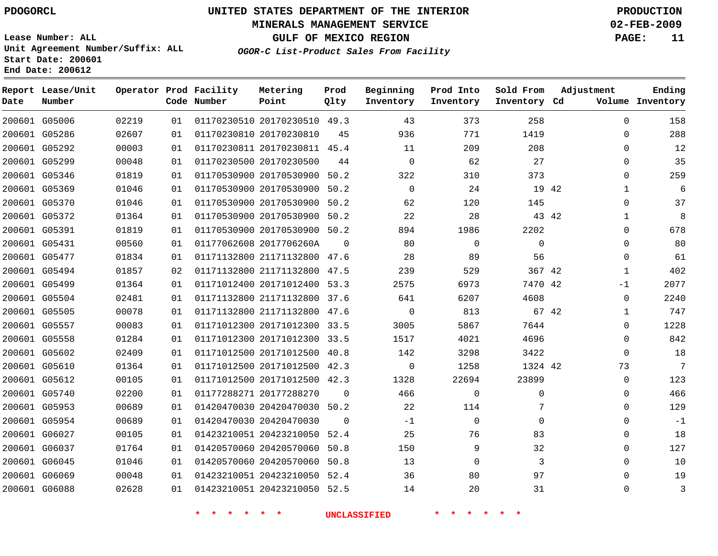## **MINERALS MANAGEMENT SERVICE 02-FEB-2009**

**GULF OF MEXICO REGION PAGE: 11**

**Lease Number: ALL Unit Agreement Number/Suffix: ALL Start Date: 200601 End Date: 200612**

**OGOR-C List-Product Sales From Facility**

| Date | Report Lease/Unit<br>Number |       |    | Operator Prod Facility<br>Code Number | Metering<br>Point            | Prod<br>Qlty | Beginning<br>Inventory | Prod Into<br>Inventory | Sold From<br>Inventory Cd | Adjustment   | Ending<br>Volume Inventory |
|------|-----------------------------|-------|----|---------------------------------------|------------------------------|--------------|------------------------|------------------------|---------------------------|--------------|----------------------------|
|      | 200601 G05006               | 02219 | 01 |                                       | 01170230510 20170230510 49.3 |              | 43                     | 373                    | 258                       | $\Omega$     | 158                        |
|      | 200601 G05286               | 02607 | 01 |                                       | 01170230810 20170230810      | 45           | 936                    | 771                    | 1419                      | $\Omega$     | 288                        |
|      | 200601 G05292               | 00003 | 01 |                                       | 01170230811 20170230811 45.4 |              | 11                     | 209                    | 208                       | 0            | 12                         |
|      | 200601 G05299               | 00048 | 01 |                                       | 01170230500 20170230500      | 44           | $\mathbf 0$            | 62                     | 27                        | 0            | 35                         |
|      | 200601 G05346               | 01819 | 01 |                                       | 01170530900 20170530900      | 50.2         | 322                    | 310                    | 373                       | 0            | 259                        |
|      | 200601 G05369               | 01046 | 01 |                                       | 01170530900 20170530900 50.2 |              | $\Omega$               | 24                     | 19 42                     | $\mathbf{1}$ | 6                          |
|      | 200601 G05370               | 01046 | 01 |                                       | 01170530900 20170530900 50.2 |              | 62                     | 120                    | 145                       | 0            | 37                         |
|      | 200601 G05372               | 01364 | 01 |                                       | 01170530900 20170530900 50.2 |              | 22                     | 28                     | 43 42                     | 1            | 8                          |
|      | 200601 G05391               | 01819 | 01 |                                       | 01170530900 20170530900 50.2 |              | 894                    | 1986                   | 2202                      | 0            | 678                        |
|      | 200601 G05431               | 00560 | 01 |                                       | 01177062608 2017706260A      | $\Omega$     | 80                     | $\mathbf 0$            | $\mathbf 0$               | 0            | 80                         |
|      | 200601 G05477               | 01834 | 01 |                                       | 01171132800 21171132800 47.6 |              | 28                     | 89                     | 56                        | $\Omega$     | 61                         |
|      | 200601 G05494               | 01857 | 02 |                                       | 01171132800 21171132800      | 47.5         | 239                    | 529                    | 367 42                    | 1            | 402                        |
|      | 200601 G05499               | 01364 | 01 |                                       | 01171012400 20171012400 53.3 |              | 2575                   | 6973                   | 7470 42                   | -1           | 2077                       |
|      | 200601 G05504               | 02481 | 01 |                                       | 01171132800 21171132800 37.6 |              | 641                    | 6207                   | 4608                      | $\mathbf 0$  | 2240                       |
|      | 200601 G05505               | 00078 | 01 |                                       | 01171132800 21171132800 47.6 |              | $\Omega$               | 813                    | 67 42                     | $\mathbf{1}$ | 747                        |
|      | 200601 G05557               | 00083 | 01 |                                       | 01171012300 20171012300      | 33.5         | 3005                   | 5867                   | 7644                      | 0            | 1228                       |
|      | 200601 G05558               | 01284 | 01 |                                       | 01171012300 20171012300 33.5 |              | 1517                   | 4021                   | 4696                      | 0            | 842                        |
|      | 200601 G05602               | 02409 | 01 |                                       | 01171012500 20171012500 40.8 |              | 142                    | 3298                   | 3422                      | $\mathbf 0$  | 18                         |
|      | 200601 G05610               | 01364 | 01 |                                       | 01171012500 20171012500 42.3 |              | $\mathbf 0$            | 1258                   | 1324 42                   | 73           | 7                          |
|      | 200601 G05612               | 00105 | 01 |                                       | 01171012500 20171012500 42.3 |              | 1328                   | 22694                  | 23899                     | 0            | 123                        |
|      | 200601 G05740               | 02200 | 01 |                                       | 01177288271 20177288270      | 0            | 466                    | $\mathbf 0$            | 0                         | 0            | 466                        |
|      | 200601 G05953               | 00689 | 01 |                                       | 01420470030 20420470030 50.2 |              | 22                     | 114                    | 7                         | $\mathbf{0}$ | 129                        |
|      | 200601 G05954               | 00689 | 01 |                                       | 01420470030 20420470030      | $\Omega$     | $-1$                   | $\mathbf 0$            | $\Omega$                  | $\Omega$     | $-1$                       |
|      | 200601 G06027               | 00105 | 01 |                                       | 01423210051 20423210050      | 52.4         | 25                     | 76                     | 83                        | 0            | 18                         |
|      | 200601 G06037               | 01764 | 01 |                                       | 01420570060 20420570060 50.8 |              | 150                    | 9                      | 32                        | $\mathbf{0}$ | 127                        |
|      | 200601 G06045               | 01046 | 01 |                                       | 01420570060 20420570060 50.8 |              | 13                     | $\mathbf 0$            | 3                         | $\mathbf{0}$ | 10                         |
|      | 200601 G06069               | 00048 | 01 |                                       | 01423210051 20423210050 52.4 |              | 36                     | 80                     | 97                        | $\Omega$     | 19                         |
|      | 200601 G06088               | 02628 | 01 |                                       | 01423210051 20423210050 52.5 |              | 14                     | 20                     | 31                        | $\Omega$     | 3                          |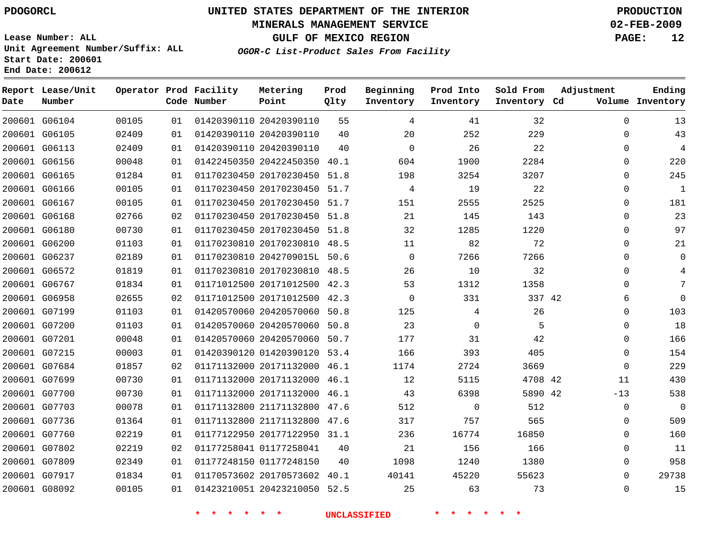## **MINERALS MANAGEMENT SERVICE 02-FEB-2009**

**GULF OF MEXICO REGION PAGE: 12**

**Lease Number: ALL Unit Agreement Number/Suffix: ALL Start Date: 200601 End Date: 200612**

**OGOR-C List-Product Sales From Facility**

| Date | Report Lease/Unit<br>Number |       |    | Operator Prod Facility<br>Code Number | Metering<br>Point            | Prod<br>Qlty | Beginning<br>Inventory | Prod Into<br>Inventory | Sold From<br>Inventory Cd | Adjustment   | Ending<br>Volume Inventory |
|------|-----------------------------|-------|----|---------------------------------------|------------------------------|--------------|------------------------|------------------------|---------------------------|--------------|----------------------------|
|      | 200601 G06104               | 00105 | 01 |                                       | 01420390110 20420390110      | 55           | 4                      | 41                     | 32                        | $\mathbf 0$  | 13                         |
|      | 200601 G06105               | 02409 | 01 |                                       | 01420390110 20420390110      | 40           | 20                     | 252                    | 229                       | $\mathbf{0}$ | 43                         |
|      | 200601 G06113               | 02409 | 01 |                                       | 01420390110 20420390110      | 40           | $\Omega$               | 26                     | 22                        | $\Omega$     | $\overline{4}$             |
|      | 200601 G06156               | 00048 | 01 |                                       | 01422450350 20422450350 40.1 |              | 604                    | 1900                   | 2284                      | $\mathbf{0}$ | 220                        |
|      | 200601 G06165               | 01284 | 01 |                                       | 01170230450 20170230450 51.8 |              | 198                    | 3254                   | 3207                      | $\Omega$     | 245                        |
|      | 200601 G06166               | 00105 | 01 |                                       | 01170230450 20170230450 51.7 |              | 4                      | 19                     | 22                        | 0            | $1\,$                      |
|      | 200601 G06167               | 00105 | 01 |                                       | 01170230450 20170230450 51.7 |              | 151                    | 2555                   | 2525                      | 0            | 181                        |
|      | 200601 G06168               | 02766 | 02 |                                       | 01170230450 20170230450 51.8 |              | 21                     | 145                    | 143                       | $\mathbf{0}$ | 23                         |
|      | 200601 G06180               | 00730 | 01 |                                       | 01170230450 20170230450 51.8 |              | 32                     | 1285                   | 1220                      | $\Omega$     | 97                         |
|      | 200601 G06200               | 01103 | 01 |                                       | 01170230810 20170230810 48.5 |              | 11                     | 82                     | 72                        | $\mathbf{0}$ | 21                         |
|      | 200601 G06237               | 02189 | 01 |                                       | 01170230810 2042709015L 50.6 |              | $\Omega$               | 7266                   | 7266                      | $\Omega$     | $\Omega$                   |
|      | 200601 G06572               | 01819 | 01 |                                       | 01170230810 20170230810 48.5 |              | 26                     | 10                     | 32                        | $\Omega$     |                            |
|      | 200601 G06767               | 01834 | 01 |                                       | 01171012500 20171012500 42.3 |              | 53                     | 1312                   | 1358                      | $\Omega$     | 7                          |
|      | 200601 G06958               | 02655 | 02 |                                       | 01171012500 20171012500 42.3 |              | $\mathbf 0$            | 331                    | 337 42                    | 6            | $\Omega$                   |
|      | 200601 G07199               | 01103 | 01 |                                       | 01420570060 20420570060 50.8 |              | 125                    | 4                      | 26                        | 0            | 103                        |
|      | 200601 G07200               | 01103 | 01 |                                       | 01420570060 20420570060 50.8 |              | 23                     | 0                      | 5                         | $\mathbf{0}$ | 18                         |
|      | 200601 G07201               | 00048 | 01 |                                       | 01420570060 20420570060 50.7 |              | 177                    | 31                     | 42                        | $\Omega$     | 166                        |
|      | 200601 G07215               | 00003 | 01 |                                       | 01420390120 01420390120 53.4 |              | 166                    | 393                    | 405                       | $\mathbf{0}$ | 154                        |
|      | 200601 G07684               | 01857 | 02 |                                       | 01171132000 20171132000 46.1 |              | 1174                   | 2724                   | 3669                      | $\mathbf 0$  | 229                        |
|      | 200601 G07699               | 00730 | 01 |                                       | 01171132000 20171132000 46.1 |              | 12                     | 5115                   | 4708 42                   | 11           | 430                        |
|      | 200601 G07700               | 00730 | 01 |                                       | 01171132000 20171132000 46.1 |              | 43                     | 6398                   | 5890 42                   | $-13$        | 538                        |
|      | 200601 G07703               | 00078 | 01 |                                       | 01171132800 21171132800 47.6 |              | 512                    | 0                      | 512                       | 0            | $\mathbf 0$                |
|      | 200601 G07736               | 01364 | 01 |                                       | 01171132800 21171132800 47.6 |              | 317                    | 757                    | 565                       | 0            | 509                        |
|      | 200601 G07760               | 02219 | 01 |                                       | 01177122950 20177122950 31.1 |              | 236                    | 16774                  | 16850                     | $\mathbf 0$  | 160                        |
|      | 200601 G07802               | 02219 | 02 |                                       | 01177258041 01177258041      | 40           | 21                     | 156                    | 166                       | $\Omega$     | 11                         |
|      | 200601 G07809               | 02349 | 01 |                                       | 01177248150 01177248150      | 40           | 1098                   | 1240                   | 1380                      | $\Omega$     | 958                        |
|      | 200601 G07917               | 01834 | 01 |                                       | 01170573602 20170573602      | 40.1         | 40141                  | 45220                  | 55623                     | $\Omega$     | 29738                      |
|      | 200601 G08092               | 00105 | 01 |                                       | 01423210051 20423210050 52.5 |              | 25                     | 63                     | 73                        | $\Omega$     | 15                         |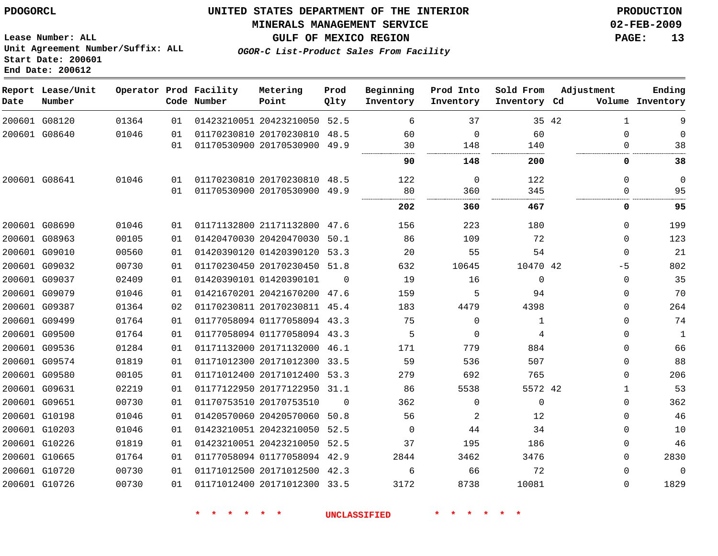## **MINERALS MANAGEMENT SERVICE 02-FEB-2009**

**GULF OF MEXICO REGION PAGE: 13**

**Lease Number: ALL Unit Agreement Number/Suffix: ALL Start Date: 200601 End Date: 200612**

| OGOR-C List-Product Sales From Facility |  |
|-----------------------------------------|--|
|-----------------------------------------|--|

| Date | Report Lease/Unit<br>Number |       |    | Operator Prod Facility<br>Code Number | Metering<br>Point            | Prod<br>Olty   | Beginning<br>Inventory | Prod Into<br>Inventory | Sold From<br>Inventory Cd | Adjustment |              | Ending<br>Volume Inventory |
|------|-----------------------------|-------|----|---------------------------------------|------------------------------|----------------|------------------------|------------------------|---------------------------|------------|--------------|----------------------------|
|      | 200601 G08120               | 01364 | 01 |                                       | 01423210051 20423210050 52.5 |                | 6                      | 37                     |                           | 35 42      | $\mathbf{1}$ | 9                          |
|      | 200601 G08640               | 01046 | 01 |                                       | 01170230810 20170230810 48.5 |                | 60                     | $\Omega$               | 60                        |            | $\Omega$     | $\mathbf 0$                |
|      |                             |       | 01 |                                       | 01170530900 20170530900 49.9 |                | 30                     | 148                    | 140                       |            | $\Omega$     | 38                         |
|      |                             |       |    |                                       |                              |                | 90                     | 148                    | 200                       |            | 0            | 38                         |
|      | 200601 G08641               | 01046 | 01 |                                       | 01170230810 20170230810 48.5 |                | 122                    | $\mathbf 0$            | 122                       |            | $\Omega$     | $\mathbf 0$                |
|      |                             |       | 01 |                                       | 01170530900 20170530900      | 49.9           | 80                     | 360                    | 345                       |            | $\Omega$     | 95                         |
|      |                             |       |    |                                       |                              |                | 202                    | 360                    | 467                       |            | 0            | 95                         |
|      | 200601 G08690               | 01046 | 01 |                                       | 01171132800 21171132800 47.6 |                | 156                    | 223                    | 180                       |            | $\Omega$     | 199                        |
|      | 200601 G08963               | 00105 | 01 |                                       | 01420470030 20420470030 50.1 |                | 86                     | 109                    | 72                        |            | $\Omega$     | 123                        |
|      | 200601 G09010               | 00560 | 01 |                                       | 01420390120 01420390120 53.3 |                | 20                     | 55                     | 54                        |            | $\Omega$     | 21                         |
|      | 200601 G09032               | 00730 | 01 |                                       | 01170230450 20170230450 51.8 |                | 632                    | 10645                  | 10470 42                  |            | -5           | 802                        |
|      | 200601 G09037               | 02409 | 01 |                                       | 01420390101 01420390101      | $\Omega$       | 19                     | 16                     | $\overline{0}$            |            | 0            | 35                         |
|      | 200601 G09079               | 01046 | 01 |                                       | 01421670201 20421670200 47.6 |                | 159                    | 5                      | 94                        |            | $\Omega$     | 70                         |
|      | 200601 G09387               | 01364 | 02 |                                       | 01170230811 20170230811 45.4 |                | 183                    | 4479                   | 4398                      |            | $\Omega$     | 264                        |
|      | 200601 G09499               | 01764 | 01 |                                       | 01177058094 01177058094 43.3 |                | 75                     | $\Omega$               | 1                         |            | $\Omega$     | 74                         |
|      | 200601 G09500               | 01764 | 01 |                                       | 01177058094 01177058094 43.3 |                | 5                      | $\Omega$               | 4                         |            | $\Omega$     | $\mathbf{1}$               |
|      | 200601 G09536               | 01284 | 01 |                                       | 01171132000 20171132000 46.1 |                | 171                    | 779                    | 884                       |            | $\Omega$     | 66                         |
|      | 200601 G09574               | 01819 | 01 |                                       | 01171012300 20171012300 33.5 |                | 59                     | 536                    | 507                       |            | $\Omega$     | 88                         |
|      | 200601 G09580               | 00105 | 01 |                                       | 01171012400 20171012400 53.3 |                | 279                    | 692                    | 765                       |            | 0            | 206                        |
|      | 200601 G09631               | 02219 | 01 |                                       | 01177122950 20177122950 31.1 |                | 86                     | 5538                   | 5572 42                   |            | 1            | 53                         |
|      | 200601 G09651               | 00730 | 01 |                                       | 01170753510 20170753510      | $\overline{0}$ | 362                    | 0                      | $\mathbf 0$               |            | 0            | 362                        |
|      | 200601 G10198               | 01046 | 01 |                                       | 01420570060 20420570060 50.8 |                | 56                     | 2                      | 12                        |            | $\Omega$     | 46                         |
|      | 200601 G10203               | 01046 | 01 |                                       | 01423210051 20423210050 52.5 |                | $\mathbf 0$            | 44                     | 34                        |            | $\Omega$     | 10                         |
|      | 200601 G10226               | 01819 | 01 |                                       | 01423210051 20423210050 52.5 |                | 37                     | 195                    | 186                       |            | $\Omega$     | 46                         |
|      | 200601 G10665               | 01764 | 01 |                                       | 01177058094 01177058094 42.9 |                | 2844                   | 3462                   | 3476                      |            | $\Omega$     | 2830                       |
|      | 200601 G10720               | 00730 | 01 |                                       | 01171012500 20171012500 42.3 |                | 6                      | 66                     | 72                        |            | $\Omega$     | $\mathbf{0}$               |
|      | 200601 G10726               | 00730 | 01 |                                       | 01171012400 20171012300 33.5 |                | 3172                   | 8738                   | 10081                     |            | $\Omega$     | 1829                       |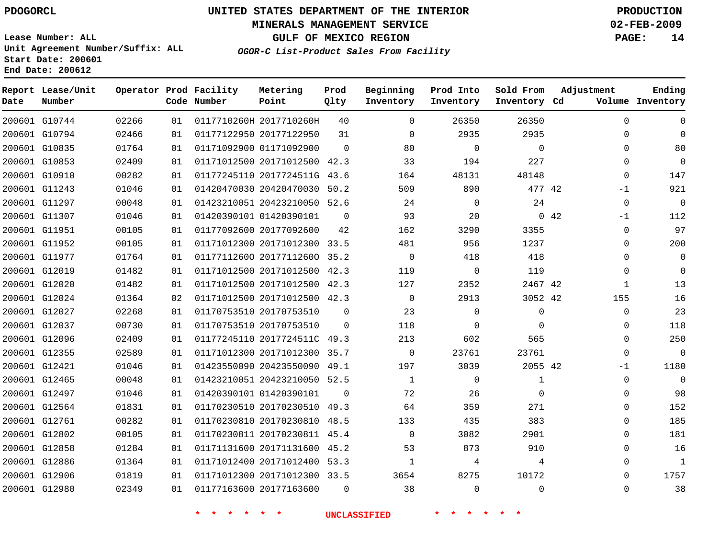## **MINERALS MANAGEMENT SERVICE 02-FEB-2009**

**GULF OF MEXICO REGION PAGE: 14**

**Lease Number: ALL Unit Agreement Number/Suffix: ALL Start Date: 200601 End Date: 200612**

**OGOR-C List-Product Sales From Facility**

| Date | Report Lease/Unit<br>Number |       |    | Operator Prod Facility<br>Code Number | Metering<br>Point            | Prod<br>Qlty | Beginning<br>Inventory | Prod Into<br>Inventory | Sold From<br>Inventory Cd | Adjustment   | Ending<br>Volume Inventory |
|------|-----------------------------|-------|----|---------------------------------------|------------------------------|--------------|------------------------|------------------------|---------------------------|--------------|----------------------------|
|      | 200601 G10744               | 02266 | 01 |                                       | 0117710260H 2017710260H      | 40           | $\Omega$               | 26350                  | 26350                     | $\Omega$     | $\Omega$                   |
|      | 200601 G10794               | 02466 | 01 |                                       | 01177122950 20177122950      | 31           | $\Omega$               | 2935                   | 2935                      | $\Omega$     | $\Omega$                   |
|      | 200601 G10835               | 01764 | 01 |                                       | 01171092900 01171092900      | $\Omega$     | 80                     | $\Omega$               | $\Omega$                  | $\Omega$     | 80                         |
|      | 200601 G10853               | 02409 | 01 |                                       | 01171012500 20171012500 42.3 |              | 33                     | 194                    | 227                       | 0            | $\mathbf 0$                |
|      | 200601 G10910               | 00282 | 01 |                                       | 01177245110 2017724511G 43.6 |              | 164                    | 48131                  | 48148                     | 0            | 147                        |
|      | 200601 G11243               | 01046 | 01 |                                       | 01420470030 20420470030 50.2 |              | 509                    | 890                    | 477 42                    | $-1$         | 921                        |
|      | 200601 G11297               | 00048 | 01 |                                       | 01423210051 20423210050 52.6 |              | 24                     | $\Omega$               | 24                        | $\Omega$     | $\Omega$                   |
|      | 200601 G11307               | 01046 | 01 |                                       | 01420390101 01420390101      | $\Omega$     | 93                     | 20                     |                           | 0.42<br>$-1$ | 112                        |
|      | 200601 G11951               | 00105 | 01 |                                       | 01177092600 20177092600      | 42           | 162                    | 3290                   | 3355                      | 0            | 97                         |
|      | 200601 G11952               | 00105 | 01 |                                       | 01171012300 20171012300 33.5 |              | 481                    | 956                    | 1237                      | 0            | 200                        |
|      | 200601 G11977               | 01764 | 01 |                                       | 01177112600 20177112600 35.2 |              | $\Omega$               | 418                    | 418                       | $\Omega$     | $\Omega$                   |
|      | 200601 G12019               | 01482 | 01 |                                       | 01171012500 20171012500 42.3 |              | 119                    | $\mathsf{O}$           | 119                       | $\mathbf{0}$ | $\Omega$                   |
|      | 200601 G12020               | 01482 | 01 |                                       | 01171012500 20171012500 42.3 |              | 127                    | 2352                   | 2467 42                   | $\mathbf{1}$ | 13                         |
|      | 200601 G12024               | 01364 | 02 |                                       | 01171012500 20171012500 42.3 |              | 0                      | 2913                   | 3052 42                   | 155          | 16                         |
|      | 200601 G12027               | 02268 | 01 |                                       | 01170753510 20170753510      | $\Omega$     | 23                     | $\mathbf 0$            | 0                         | $\mathbf{0}$ | 23                         |
|      | 200601 G12037               | 00730 | 01 |                                       | 01170753510 20170753510      | $\Omega$     | 118                    | 0                      | $\Omega$                  | $\mathbf{0}$ | 118                        |
|      | 200601 G12096               | 02409 | 01 |                                       | 01177245110 2017724511C 49.3 |              | 213                    | 602                    | 565                       | $\Omega$     | 250                        |
|      | 200601 G12355               | 02589 | 01 |                                       | 01171012300 20171012300 35.7 |              | $\Omega$               | 23761                  | 23761                     | $\mathbf{0}$ | $\Omega$                   |
|      | 200601 G12421               | 01046 | 01 |                                       | 01423550090 20423550090 49.1 |              | 197                    | 3039                   | 2055 42                   | $-1$         | 1180                       |
|      | 200601 G12465               | 00048 | 01 |                                       | 01423210051 20423210050 52.5 |              | $\mathbf{1}$           | 0                      | $\mathbf{1}$              | $\mathbf{0}$ | $\Omega$                   |
|      | 200601 G12497               | 01046 | 01 |                                       | 01420390101 01420390101      | $\Omega$     | 72                     | 26                     | $\Omega$                  | $\Omega$     | 98                         |
|      | 200601 G12564               | 01831 | 01 |                                       | 01170230510 20170230510 49.3 |              | 64                     | 359                    | 271                       | $\Omega$     | 152                        |
|      | 200601 G12761               | 00282 | 01 |                                       | 01170230810 20170230810 48.5 |              | 133                    | 435                    | 383                       | $\Omega$     | 185                        |
|      | 200601 G12802               | 00105 | 01 |                                       | 01170230811 20170230811 45.4 |              | 0                      | 3082                   | 2901                      | 0            | 181                        |
|      | 200601 G12858               | 01284 | 01 |                                       | 01171131600 20171131600 45.2 |              | 53                     | 873                    | 910                       | $\Omega$     | 16                         |
|      | 200601 G12886               | 01364 | 01 |                                       | 01171012400 20171012400 53.3 |              | $\mathbf{1}$           | 4                      | 4                         | $\Omega$     | $\mathbf{1}$               |
|      | 200601 G12906               | 01819 | 01 |                                       | 01171012300 20171012300 33.5 |              | 3654                   | 8275                   | 10172                     | $\Omega$     | 1757                       |
|      | 200601 G12980               | 02349 | 01 |                                       | 01177163600 20177163600      | $\Omega$     | 38                     | $\Omega$               | $\Omega$                  | $\Omega$     | 38                         |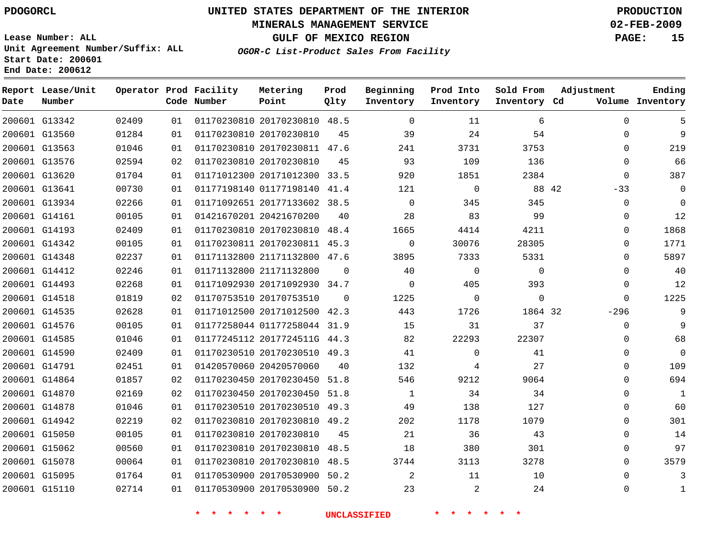## **MINERALS MANAGEMENT SERVICE 02-FEB-2009**

**GULF OF MEXICO REGION PAGE: 15**

**Lease Number: ALL Unit Agreement Number/Suffix: ALL Start Date: 200601 End Date: 200612**

**OGOR-C List-Product Sales From Facility**

| Date | Report Lease/Unit<br>Number |       |    | Operator Prod Facility<br>Code Number | Metering<br>Point            | Prod<br>Qlty | Beginning<br>Inventory | Prod Into<br>Inventory | Sold From<br>Inventory Cd | Adjustment  | Ending<br>Volume Inventory |
|------|-----------------------------|-------|----|---------------------------------------|------------------------------|--------------|------------------------|------------------------|---------------------------|-------------|----------------------------|
|      | 200601 G13342               | 02409 | 01 |                                       | 01170230810 20170230810 48.5 |              | $\Omega$               | 11                     | 6                         | $\Omega$    | 5                          |
|      | 200601 G13560               | 01284 | 01 | 01170230810 20170230810               |                              | 45           | 39                     | 24                     | 54                        | $\mathbf 0$ | 9                          |
|      | 200601 G13563               | 01046 | 01 |                                       | 01170230810 20170230811 47.6 |              | 241                    | 3731                   | 3753                      | $\Omega$    | 219                        |
|      | 200601 G13576               | 02594 | 02 | 01170230810 20170230810               |                              | 45           | 93                     | 109                    | 136                       | $\mathbf 0$ | 66                         |
|      | 200601 G13620               | 01704 | 01 |                                       | 01171012300 20171012300 33.5 |              | 920                    | 1851                   | 2384                      | $\mathbf 0$ | 387                        |
|      | 200601 G13641               | 00730 | 01 |                                       | 01177198140 01177198140 41.4 |              | 121                    | $\mathbf 0$            | 88 42                     | $-33$       | $\mathbf 0$                |
|      | 200601 G13934               | 02266 | 01 |                                       | 01171092651 20177133602 38.5 |              | $\mathbf 0$            | 345                    | 345                       | $\mathbf 0$ | $\mathbf 0$                |
|      | 200601 G14161               | 00105 | 01 |                                       | 01421670201 20421670200      | 40           | 28                     | 83                     | 99                        | $\mathbf 0$ | 12                         |
|      | 200601 G14193               | 02409 | 01 |                                       | 01170230810 20170230810 48.4 |              | 1665                   | 4414                   | 4211                      | 0           | 1868                       |
|      | 200601 G14342               | 00105 | 01 |                                       | 01170230811 20170230811 45.3 |              | $\mathbf 0$            | 30076                  | 28305                     | $\Omega$    | 1771                       |
|      | 200601 G14348               | 02237 | 01 |                                       | 01171132800 21171132800 47.6 |              | 3895                   | 7333                   | 5331                      | $\Omega$    | 5897                       |
|      | 200601 G14412               | 02246 | 01 | 01171132800 21171132800               |                              | $\Omega$     | 40                     | $\mathbf 0$            | $\mathbf{0}$              | $\Omega$    | 40                         |
|      | 200601 G14493               | 02268 | 01 |                                       | 01171092930 20171092930 34.7 |              | $\Omega$               | 405                    | 393                       | $\mathbf 0$ | 12                         |
|      | 200601 G14518               | 01819 | 02 |                                       | 01170753510 20170753510      | $\Omega$     | 1225                   | $\mathbf 0$            | 0                         | $\Omega$    | 1225                       |
|      | 200601 G14535               | 02628 | 01 |                                       | 01171012500 20171012500 42.3 |              | 443                    | 1726                   | 1864 32                   | $-296$      | 9                          |
|      | 200601 G14576               | 00105 | 01 |                                       | 01177258044 01177258044 31.9 |              | 15                     | 31                     | 37                        | $\mathbf 0$ | 9                          |
|      | 200601 G14585               | 01046 | 01 |                                       | 01177245112 2017724511G 44.3 |              | 82                     | 22293                  | 22307                     | $\Omega$    | 68                         |
|      | 200601 G14590               | 02409 | 01 |                                       | 01170230510 20170230510 49.3 |              | 41                     | $\mathbf 0$            | 41                        | 0           | 0                          |
|      | 200601 G14791               | 02451 | 01 | 01420570060 20420570060               |                              | 40           | 132                    | 4                      | 27                        | $\Omega$    | 109                        |
|      | 200601 G14864               | 01857 | 02 |                                       | 01170230450 20170230450 51.8 |              | 546                    | 9212                   | 9064                      | 0           | 694                        |
|      | 200601 G14870               | 02169 | 02 |                                       | 01170230450 20170230450 51.8 |              | $\mathbf{1}$           | 34                     | 34                        | 0           | $\mathbf 1$                |
|      | 200601 G14878               | 01046 | 01 |                                       | 01170230510 20170230510 49.3 |              | 49                     | 138                    | 127                       | $\Omega$    | 60                         |
|      | 200601 G14942               | 02219 | 02 |                                       | 01170230810 20170230810 49.2 |              | 202                    | 1178                   | 1079                      | $\mathbf 0$ | 301                        |
|      | 200601 G15050               | 00105 | 01 |                                       | 01170230810 20170230810      | 45           | 21                     | 36                     | 43                        | $\Omega$    | 14                         |
|      | 200601 G15062               | 00560 | 01 |                                       | 01170230810 20170230810 48.5 |              | 18                     | 380                    | 301                       | $\mathbf 0$ | 97                         |
|      | 200601 G15078               | 00064 | 01 |                                       | 01170230810 20170230810 48.5 |              | 3744                   | 3113                   | 3278                      | 0           | 3579                       |
|      | 200601 G15095               | 01764 | 01 |                                       | 01170530900 20170530900 50.2 |              | 2                      | 11                     | 10                        | $\mathbf 0$ | 3                          |
|      | 200601 G15110               | 02714 | 01 |                                       | 01170530900 20170530900 50.2 |              | 23                     | 2                      | 24                        | $\mathbf 0$ | 1                          |
|      |                             |       |    |                                       |                              |              |                        |                        |                           |             |                            |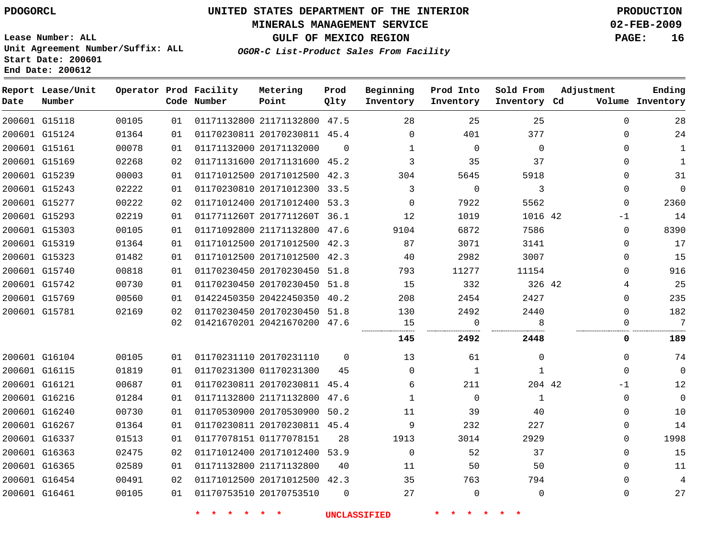## **MINERALS MANAGEMENT SERVICE 02-FEB-2009**

**GULF OF MEXICO REGION PAGE: 16**

**Lease Number: ALL Unit Agreement Number/Suffix: ALL Start Date: 200601 End Date: 200612**

**OGOR-C List-Product Sales From Facility**

| Date | Report Lease/Unit<br>Number |       |    | Operator Prod Facility<br>Code Number | Metering<br>Point            | Prod<br>Qlty | Beginning<br>Inventory | Prod Into<br>Inventory | Sold From<br>Inventory Cd | Adjustment   | Ending<br>Volume Inventory |
|------|-----------------------------|-------|----|---------------------------------------|------------------------------|--------------|------------------------|------------------------|---------------------------|--------------|----------------------------|
|      | 200601 G15118               | 00105 | 01 |                                       | 01171132800 21171132800 47.5 |              | 28                     | 25                     | 25                        | $\Omega$     | 28                         |
|      | 200601 G15124               | 01364 | 01 |                                       | 01170230811 20170230811 45.4 |              | $\mathbf 0$            | 401                    | 377                       | $\mathbf 0$  | 24                         |
|      | 200601 G15161               | 00078 | 01 |                                       | 01171132000 20171132000      | $\Omega$     | $\mathbf{1}$           | $\Omega$               | $\Omega$                  | $\Omega$     | $\mathbf{1}$               |
|      | 200601 G15169               | 02268 | 02 |                                       | 01171131600 20171131600 45.2 |              | 3                      | 35                     | 37                        | $\Omega$     | $\mathbf{1}$               |
|      | 200601 G15239               | 00003 | 01 |                                       | 01171012500 20171012500 42.3 |              | 304                    | 5645                   | 5918                      | $\Omega$     | 31                         |
|      | 200601 G15243               | 02222 | 01 |                                       | 01170230810 20171012300 33.5 |              | 3                      | $\mathbf 0$            | 3                         | $\mathbf 0$  | $\mathbf{0}$               |
|      | 200601 G15277               | 00222 | 02 |                                       | 01171012400 20171012400 53.3 |              | $\Omega$               | 7922                   | 5562                      | $\mathbf 0$  | 2360                       |
|      | 200601 G15293               | 02219 | 01 |                                       | 0117711260T 2017711260T 36.1 |              | 12                     | 1019                   | 1016 42                   | $-1$         | 14                         |
|      | 200601 G15303               | 00105 | 01 |                                       | 01171092800 21171132800 47.6 |              | 9104                   | 6872                   | 7586                      | $\mathbf 0$  | 8390                       |
|      | 200601 G15319               | 01364 | 01 |                                       | 01171012500 20171012500 42.3 |              | 87                     | 3071                   | 3141                      | $\mathbf 0$  | 17                         |
|      | 200601 G15323               | 01482 | 01 |                                       | 01171012500 20171012500 42.3 |              | 40                     | 2982                   | 3007                      | $\Omega$     | 15                         |
|      | 200601 G15740               | 00818 | 01 |                                       | 01170230450 20170230450 51.8 |              | 793                    | 11277                  | 11154                     | $\Omega$     | 916                        |
|      | 200601 G15742               | 00730 | 01 |                                       | 01170230450 20170230450 51.8 |              | 15                     | 332                    | 326 42                    | 4            | 25                         |
|      | 200601 G15769               | 00560 | 01 |                                       | 01422450350 20422450350 40.2 |              | 208                    | 2454                   | 2427                      | 0            | 235                        |
|      | 200601 G15781               | 02169 | 02 |                                       | 01170230450 20170230450 51.8 |              | 130                    | 2492                   | 2440                      | $\Omega$     | 182                        |
|      |                             |       | 02 |                                       | 01421670201 20421670200 47.6 |              | 15                     | $\Omega$<br>.          | R                         | $\Omega$<br> | 7                          |
|      |                             |       |    |                                       |                              |              | 145                    | 2492                   | 2448                      | 0            | 189                        |
|      | 200601 G16104               | 00105 | 01 |                                       | 01170231110 20170231110      | $\mathbf 0$  | 13                     | 61                     | 0                         | $\mathbf 0$  | 74                         |
|      | 200601 G16115               | 01819 | 01 |                                       | 01170231300 01170231300      | 45           | $\Omega$               | $\mathbf{1}$           | $\mathbf{1}$              | $\mathbf{0}$ | $\Omega$                   |
|      | 200601 G16121               | 00687 | 01 |                                       | 01170230811 20170230811 45.4 |              | 6                      | 211                    | 204 42                    | $-1$         | 12                         |
|      | 200601 G16216               | 01284 | 01 |                                       | 01171132800 21171132800 47.6 |              | $\mathbf 1$            | $\mathbf 0$            | $\mathbf{1}$              | 0            | $\mathbf 0$                |
|      | 200601 G16240               | 00730 | 01 |                                       | 01170530900 20170530900 50.2 |              | 11                     | 39                     | 40                        | $\mathbf 0$  | 10                         |
|      | 200601 G16267               | 01364 | 01 |                                       | 01170230811 20170230811 45.4 |              | 9                      | 232                    | 227                       | $\Omega$     | 14                         |
|      | 200601 G16337               | 01513 | 01 |                                       | 01177078151 01177078151      | 28           | 1913                   | 3014                   | 2929                      | $\Omega$     | 1998                       |
|      | 200601 G16363               | 02475 | 02 |                                       | 01171012400 20171012400 53.9 |              | $\mathbf 0$            | 52                     | 37                        | $\mathbf 0$  | 15                         |
|      | 200601 G16365               | 02589 | 01 |                                       | 01171132800 21171132800      | 40           | 11                     | 50                     | 50                        | $\mathbf 0$  | 11                         |
|      | 200601 G16454               | 00491 | 02 |                                       | 01171012500 20171012500 42.3 |              | 35                     | 763                    | 794                       | $\Omega$     | 4                          |
|      | 200601 G16461               | 00105 | 01 |                                       | 01170753510 20170753510      | $\Omega$     | 27                     | $\mathbf 0$            | $\mathbf{0}$              | 0            | 27                         |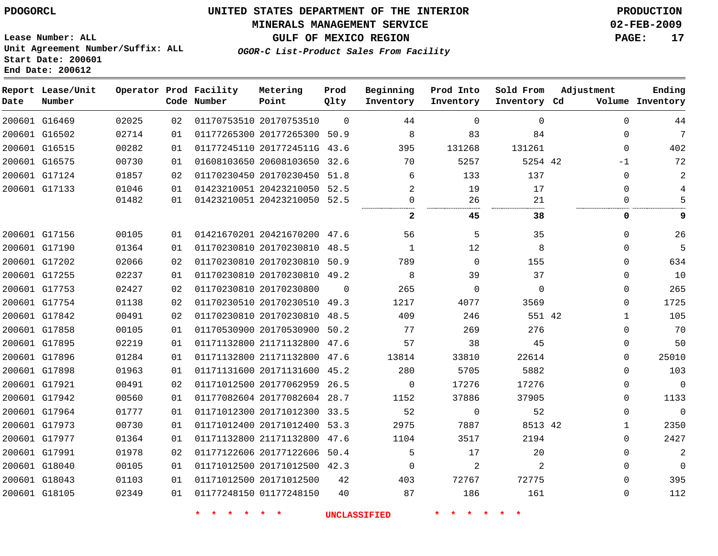#### **MINERALS MANAGEMENT SERVICE 02-FEB-2009**

**OGOR-C List-Product Sales From Facility**

**Lease Number: ALL Unit Agreement Number/Suffix: ALL Start Date: 200601 End Date: 200612**

**GULF OF MEXICO REGION PAGE: 17**

| Date | Report Lease/Unit<br>Number |       |    | Operator Prod Facility<br>Code Number | Metering<br>Point            | Prod<br>Qlty | Beginning<br>Inventory | Prod Into<br>Inventory | Sold From<br>Inventory Cd | Adjustment |              | Ending<br>Volume Inventory |
|------|-----------------------------|-------|----|---------------------------------------|------------------------------|--------------|------------------------|------------------------|---------------------------|------------|--------------|----------------------------|
|      | 200601 G16469               | 02025 | 02 |                                       | 01170753510 20170753510      | $\Omega$     | 44                     | $\Omega$               | $\Omega$                  |            | $\Omega$     | 44                         |
|      | 200601 G16502               | 02714 | 01 |                                       | 01177265300 20177265300      | 50.9         | 8                      | 83                     | 84                        |            | $\Omega$     | 7                          |
|      | 200601 G16515               | 00282 | 01 |                                       | 01177245110 2017724511G 43.6 |              | 395                    | 131268                 | 131261                    |            | $\Omega$     | 402                        |
|      | 200601 G16575               | 00730 | 01 |                                       | 01608103650 20608103650      | 32.6         | 70                     | 5257                   | 5254 42                   |            | -1           | 72                         |
|      | 200601 G17124               | 01857 | 02 |                                       | 01170230450 20170230450      | 51.8         | 6                      | 133                    | 137                       |            | $\Omega$     | 2                          |
|      | 200601 G17133               | 01046 | 01 |                                       | 01423210051 20423210050 52.5 |              | 2                      | 19                     | 17                        |            | $\Omega$     | 4                          |
|      |                             | 01482 | 01 |                                       | 01423210051 20423210050 52.5 |              | 0<br>                  | 26<br>                 | 21<br>.                   |            | $\Omega$     | 5                          |
|      |                             |       |    |                                       |                              |              | 2                      | 45                     | 38                        |            | 0            | 9                          |
|      | 200601 G17156               | 00105 | 01 |                                       | 01421670201 20421670200 47.6 |              | 56                     | 5                      | 35                        |            | $\Omega$     | 26                         |
|      | 200601 G17190               | 01364 | 01 |                                       | 01170230810 20170230810 48.5 |              | $\mathbf{1}$           | 12                     | 8                         |            | $\Omega$     | 5                          |
|      | 200601 G17202               | 02066 | 02 |                                       | 01170230810 20170230810      | 50.9         | 789                    | $\mathbf 0$            | 155                       |            | $\Omega$     | 634                        |
|      | 200601 G17255               | 02237 | 01 |                                       | 01170230810 20170230810 49.2 |              | 8                      | 39                     | 37                        |            | $\Omega$     | 10                         |
|      | 200601 G17753               | 02427 | 02 |                                       | 01170230810 20170230800      | $\mathbf 0$  | 265                    | $\mathbf 0$            | $\Omega$                  |            | $\Omega$     | 265                        |
|      | 200601 G17754               | 01138 | 02 |                                       | 01170230510 20170230510 49.3 |              | 1217                   | 4077                   | 3569                      |            | $\mathbf{0}$ | 1725                       |
|      | 200601 G17842               | 00491 | 02 |                                       | 01170230810 20170230810 48.5 |              | 409                    | 246                    | 551 42                    |            | 1            | 105                        |
|      | 200601 G17858               | 00105 | 01 |                                       | 01170530900 20170530900      | 50.2         | 77                     | 269                    | 276                       |            | $\Omega$     | 70                         |
|      | 200601 G17895               | 02219 | 01 |                                       | 01171132800 21171132800 47.6 |              | 57                     | 38                     | 45                        |            | $\Omega$     | 50                         |
|      | 200601 G17896               | 01284 | 01 |                                       | 01171132800 21171132800 47.6 |              | 13814                  | 33810                  | 22614                     |            | 0            | 25010                      |
|      | 200601 G17898               | 01963 | 01 |                                       | 01171131600 20171131600 45.2 |              | 280                    | 5705                   | 5882                      |            | $\Omega$     | 103                        |
|      | 200601 G17921               | 00491 | 02 |                                       | 01171012500 20177062959 26.5 |              | $\mathbf 0$            | 17276                  | 17276                     |            | 0            | $\mathbf 0$                |
|      | 200601 G17942               | 00560 | 01 |                                       | 01177082604 20177082604 28.7 |              | 1152                   | 37886                  | 37905                     |            | $\Omega$     | 1133                       |
|      | 200601 G17964               | 01777 | 01 |                                       | 01171012300 20171012300 33.5 |              | 52                     | $\mathbf 0$            | 52                        |            | $\mathbf 0$  | $\Omega$                   |
|      | 200601 G17973               | 00730 | 01 |                                       | 01171012400 20171012400 53.3 |              | 2975                   | 7887                   | 8513 42                   |            | $\mathbf{1}$ | 2350                       |
|      | 200601 G17977               | 01364 | 01 |                                       | 01171132800 21171132800      | 47.6         | 1104                   | 3517                   | 2194                      |            | $\Omega$     | 2427                       |
|      | 200601 G17991               | 01978 | 02 |                                       | 01177122606 20177122606 50.4 |              | 5                      | 17                     | 20                        |            | $\Omega$     | $\sqrt{2}$                 |
|      | 200601 G18040               | 00105 | 01 |                                       | 01171012500 20171012500 42.3 |              | $\Omega$               | 2                      | 2                         |            | $\Omega$     | $\Omega$                   |
|      | 200601 G18043               | 01103 | 01 |                                       | 01171012500 20171012500      | 42           | 403                    | 72767                  | 72775                     |            | $\Omega$     | 395                        |
|      | 200601 G18105               | 02349 | 01 |                                       | 01177248150 01177248150      | 40           | 87                     | 186                    | 161                       |            | $\Omega$     | 112                        |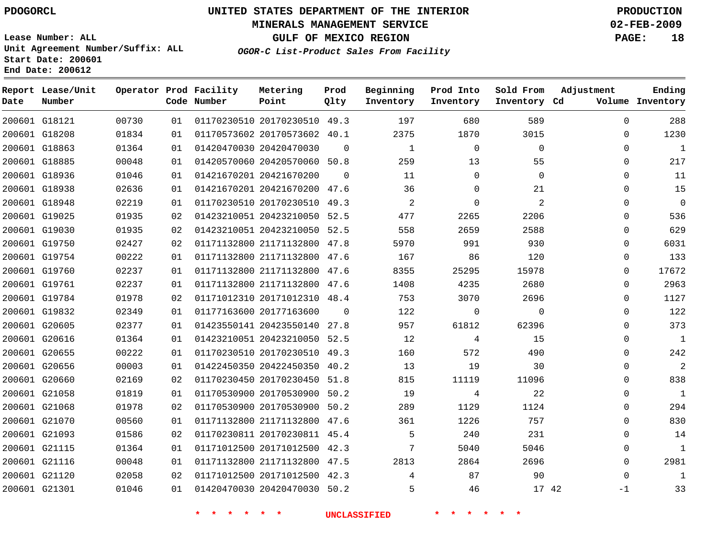## **MINERALS MANAGEMENT SERVICE 02-FEB-2009**

**GULF OF MEXICO REGION PAGE: 18**

**Lease Number: ALL Unit Agreement Number/Suffix: ALL Start Date: 200601 End Date: 200612**

**OGOR-C List-Product Sales From Facility**

| Date | Report Lease/Unit<br>Number |       |    | Operator Prod Facility<br>Code Number | Metering<br>Point            | Prod<br>Qlty | Beginning<br>Inventory | Prod Into<br>Inventory | Sold From<br>Inventory Cd | Adjustment  | Ending<br>Volume Inventory |
|------|-----------------------------|-------|----|---------------------------------------|------------------------------|--------------|------------------------|------------------------|---------------------------|-------------|----------------------------|
|      | 200601 G18121               | 00730 | 01 |                                       | 01170230510 20170230510 49.3 |              | 197                    | 680                    | 589                       | $\mathbf 0$ | 288                        |
|      | 200601 G18208               | 01834 | 01 |                                       | 01170573602 20170573602 40.1 |              | 2375                   | 1870                   | 3015                      | 0           | 1230                       |
|      | 200601 G18863               | 01364 | 01 |                                       | 01420470030 20420470030      | $\Omega$     | $\mathbf{1}$           | $\Omega$               | $\Omega$                  | $\Omega$    | $\mathbf{1}$               |
|      | 200601 G18885               | 00048 | 01 |                                       | 01420570060 20420570060 50.8 |              | 259                    | 13                     | 55                        | $\Omega$    | 217                        |
|      | 200601 G18936               | 01046 | 01 |                                       | 01421670201 20421670200      | 0            | 11                     | 0                      | $\mathbf 0$               | 0           | 11                         |
|      | 200601 G18938               | 02636 | 01 |                                       | 01421670201 20421670200 47.6 |              | 36                     | 0                      | 21                        | 0           | 15                         |
|      | 200601 G18948               | 02219 | 01 |                                       | 01170230510 20170230510 49.3 |              | $\overline{2}$         | 0                      | 2                         | $\Omega$    | $\mathbf{0}$               |
|      | 200601 G19025               | 01935 | 02 |                                       | 01423210051 20423210050 52.5 |              | 477                    | 2265                   | 2206                      | $\Omega$    | 536                        |
|      | 200601 G19030               | 01935 | 02 |                                       | 01423210051 20423210050 52.5 |              | 558                    | 2659                   | 2588                      | $\Omega$    | 629                        |
|      | 200601 G19750               | 02427 | 02 |                                       | 01171132800 21171132800 47.8 |              | 5970                   | 991                    | 930                       | $\Omega$    | 6031                       |
|      | 200601 G19754               | 00222 | 01 |                                       | 01171132800 21171132800 47.6 |              | 167                    | 86                     | 120                       | 0           | 133                        |
|      | 200601 G19760               | 02237 | 01 |                                       | 01171132800 21171132800 47.6 |              | 8355                   | 25295                  | 15978                     | 0           | 17672                      |
|      | 200601 G19761               | 02237 | 01 |                                       | 01171132800 21171132800 47.6 |              | 1408                   | 4235                   | 2680                      | $\Omega$    | 2963                       |
|      | 200601 G19784               | 01978 | 02 |                                       | 01171012310 20171012310 48.4 |              | 753                    | 3070                   | 2696                      | 0           | 1127                       |
|      | 200601 G19832               | 02349 | 01 |                                       | 01177163600 20177163600      | $\Omega$     | 122                    | 0                      | $\Omega$                  | $\Omega$    | 122                        |
|      | 200601 G20605               | 02377 | 01 |                                       | 01423550141 20423550140 27.8 |              | 957                    | 61812                  | 62396                     | $\Omega$    | 373                        |
|      | 200601 G20616               | 01364 | 01 |                                       | 01423210051 20423210050 52.5 |              | 12                     | 4                      | 15                        | 0           | $1\,$                      |
|      | 200601 G20655               | 00222 | 01 |                                       | 01170230510 20170230510 49.3 |              | 160                    | 572                    | 490                       | 0           | 242                        |
|      | 200601 G20656               | 00003 | 01 |                                       | 01422450350 20422450350 40.2 |              | 13                     | 19                     | 30                        | $\Omega$    | $\overline{2}$             |
|      | 200601 G20660               | 02169 | 02 |                                       | 01170230450 20170230450      | 51.8         | 815                    | 11119                  | 11096                     | $\Omega$    | 838                        |
|      | 200601 G21058               | 01819 | 01 |                                       | 01170530900 20170530900 50.2 |              | 19                     | 4                      | 22                        | $\Omega$    | $\mathbf{1}$               |
|      | 200601 G21068               | 01978 | 02 |                                       | 01170530900 20170530900 50.2 |              | 289                    | 1129                   | 1124                      | $\Omega$    | 294                        |
|      | 200601 G21070               | 00560 | 01 |                                       | 01171132800 21171132800 47.6 |              | 361                    | 1226                   | 757                       | 0           | 830                        |
|      | 200601 G21093               | 01586 | 02 |                                       | 01170230811 20170230811 45.4 |              | 5                      | 240                    | 231                       | 0           | 14                         |
|      | 200601 G21115               | 01364 | 01 |                                       | 01171012500 20171012500 42.3 |              | 7                      | 5040                   | 5046                      | $\Omega$    | $\mathbf{1}$               |
|      | 200601 G21116               | 00048 | 01 |                                       | 01171132800 21171132800 47.5 |              | 2813                   | 2864                   | 2696                      | 0           | 2981                       |
|      | 200601 G21120               | 02058 | 02 |                                       | 01171012500 20171012500 42.3 |              | 4                      | 87                     | 90                        | $\Omega$    | $\mathbf{1}$               |
|      | 200601 G21301               | 01046 | 01 |                                       | 01420470030 20420470030 50.2 |              | 5                      | 46                     | 17 42                     | $-1$        | 33                         |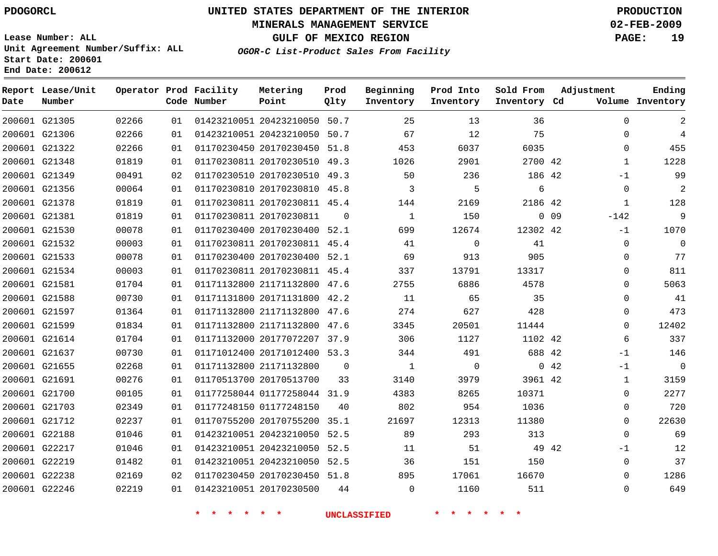## **MINERALS MANAGEMENT SERVICE 02-FEB-2009**

**GULF OF MEXICO REGION PAGE: 19**

**Lease Number: ALL Unit Agreement Number/Suffix: ALL Start Date: 200601 End Date: 200612**

**OGOR-C List-Product Sales From Facility**

| Date | Report Lease/Unit<br>Number |       |    | Operator Prod Facility<br>Code Number | Metering<br>Point            | Prod<br>Qlty | Beginning<br>Inventory | Prod Into<br>Inventory | Sold From<br>Inventory Cd | Adjustment       | Ending<br>Volume Inventory |
|------|-----------------------------|-------|----|---------------------------------------|------------------------------|--------------|------------------------|------------------------|---------------------------|------------------|----------------------------|
|      | 200601 G21305               | 02266 | 01 |                                       | 01423210051 20423210050 50.7 |              | 25                     | 13                     | 36                        | $\mathbf 0$      | 2                          |
|      | 200601 G21306               | 02266 | 01 |                                       | 01423210051 20423210050 50.7 |              | 67                     | 12                     | 75                        | $\mathbf 0$      | 4                          |
|      | 200601 G21322               | 02266 | 01 |                                       | 01170230450 20170230450 51.8 |              | 453                    | 6037                   | 6035                      | $\mathbf 0$      | 455                        |
|      | 200601 G21348               | 01819 | 01 |                                       | 01170230811 20170230510 49.3 |              | 1026                   | 2901                   | 2700 42                   | $\mathbf{1}$     | 1228                       |
|      | 200601 G21349               | 00491 | 02 |                                       | 01170230510 20170230510 49.3 |              | 50                     | 236                    | 186 42                    | $-1$             | 99                         |
|      | 200601 G21356               | 00064 | 01 |                                       | 01170230810 20170230810 45.8 |              | 3                      | 5                      | 6                         | $\mathbf 0$      | $\overline{2}$             |
|      | 200601 G21378               | 01819 | 01 |                                       | 01170230811 20170230811 45.4 |              | 144                    | 2169                   | 2186 42                   | $\mathbf{1}$     | 128                        |
|      | 200601 G21381               | 01819 | 01 |                                       | 01170230811 20170230811      | $\Omega$     | $\mathbf{1}$           | 150                    |                           | $0$ 09<br>$-142$ | 9                          |
|      | 200601 G21530               | 00078 | 01 |                                       | 01170230400 20170230400 52.1 |              | 699                    | 12674                  | 12302 42                  | $-1$             | 1070                       |
|      | 200601 G21532               | 00003 | 01 |                                       | 01170230811 20170230811 45.4 |              | 41                     | 0                      | 41                        | 0                | 0                          |
|      | 200601 G21533               | 00078 | 01 |                                       | 01170230400 20170230400 52.1 |              | 69                     | 913                    | 905                       | $\Omega$         | 77                         |
|      | 200601 G21534               | 00003 | 01 |                                       | 01170230811 20170230811 45.4 |              | 337                    | 13791                  | 13317                     | $\mathbf 0$      | 811                        |
|      | 200601 G21581               | 01704 | 01 |                                       | 01171132800 21171132800 47.6 |              | 2755                   | 6886                   | 4578                      |                  | 5063<br>$\Omega$           |
|      | 200601 G21588               | 00730 | 01 |                                       | 01171131800 20171131800 42.2 |              | 11                     | 65                     | 35                        | $\mathbf 0$      | 41                         |
|      | 200601 G21597               | 01364 | 01 |                                       | 01171132800 21171132800 47.6 |              | 274                    | 627                    | 428                       | $\mathbf 0$      | 473                        |
|      | 200601 G21599               | 01834 | 01 |                                       | 01171132800 21171132800      | 47.6         | 3345                   | 20501                  | 11444                     | $\mathbf 0$      | 12402                      |
|      | 200601 G21614               | 01704 | 01 |                                       | 01171132000 20177072207 37.9 |              | 306                    | 1127                   | 1102 42                   |                  | 337<br>6                   |
|      | 200601 G21637               | 00730 | 01 |                                       | 01171012400 20171012400 53.3 |              | 344                    | 491                    | 688 42                    | $-1$             | 146                        |
|      | 200601 G21655               | 02268 | 01 |                                       | 01171132800 21171132800      | 0            | $\mathbf{1}$           | $\mathbf 0$            |                           | 042<br>$-1$      | $\mathbf 0$                |
|      | 200601 G21691               | 00276 | 01 |                                       | 01170513700 20170513700      | 33           | 3140                   | 3979                   | 3961 42                   |                  | 3159<br>$\mathbf{1}$       |
|      | 200601 G21700               | 00105 | 01 |                                       | 01177258044 01177258044 31.9 |              | 4383                   | 8265                   | 10371                     | $\mathbf 0$      | 2277                       |
|      | 200601 G21703               | 02349 | 01 |                                       | 01177248150 01177248150      | 40           | 802                    | 954                    | 1036                      | $\mathbf 0$      | 720                        |
|      | 200601 G21712               | 02237 | 01 |                                       | 01170755200 20170755200 35.1 |              | 21697                  | 12313                  | 11380                     | $\Omega$         | 22630                      |
|      | 200601 G22188               | 01046 | 01 |                                       | 01423210051 20423210050      | 52.5         | 89                     | 293                    | 313                       | $\Omega$         | 69                         |
|      | 200601 G22217               | 01046 | 01 |                                       | 01423210051 20423210050 52.5 |              | 11                     | 51                     | 49 42                     | $-1$             | 12                         |
|      | 200601 G22219               | 01482 | 01 |                                       | 01423210051 20423210050 52.5 |              | 36                     | 151                    | 150                       | $\mathbf 0$      | 37                         |
|      | 200601 G22238               | 02169 | 02 |                                       | 01170230450 20170230450 51.8 |              | 895                    | 17061                  | 16670                     | $\Omega$         | 1286                       |
|      | 200601 G22246               | 02219 | 01 |                                       | 01423210051 20170230500      | 44           | $\Omega$               | 1160                   | 511                       | $\Omega$         | 649                        |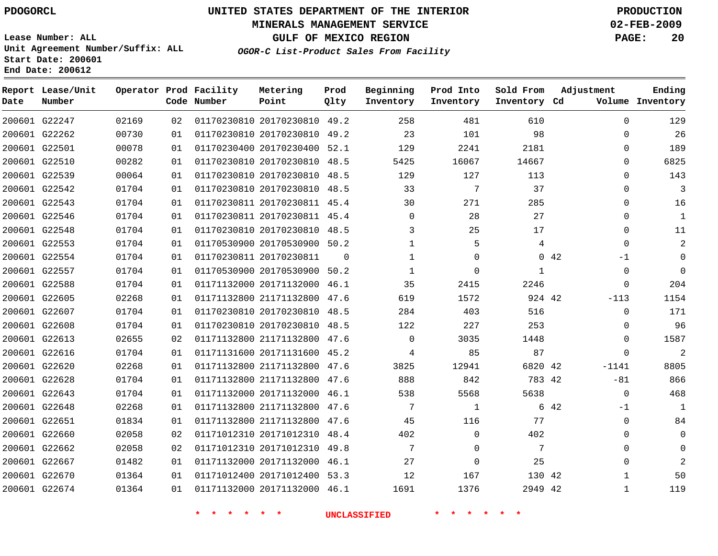## **MINERALS MANAGEMENT SERVICE 02-FEB-2009**

**GULF OF MEXICO REGION PAGE: 20**

**Lease Number: ALL Unit Agreement Number/Suffix: ALL Start Date: 200601 End Date: 200612**

**OGOR-C List-Product Sales From Facility**

| Date | Report Lease/Unit<br>Number |       |    | Operator Prod Facility<br>Code Number | Metering<br>Point            | Prod<br>Qlty | Beginning<br>Inventory | Prod Into<br>Inventory | Sold From<br>Inventory Cd | Adjustment   | Ending<br>Volume Inventory |
|------|-----------------------------|-------|----|---------------------------------------|------------------------------|--------------|------------------------|------------------------|---------------------------|--------------|----------------------------|
|      | 200601 G22247               | 02169 | 02 |                                       | 01170230810 20170230810 49.2 |              | 258                    | 481                    | 610                       | $\Omega$     | 129                        |
|      | 200601 G22262               | 00730 | 01 |                                       | 01170230810 20170230810 49.2 |              | 23                     | 101                    | 98                        | $\Omega$     | 26                         |
|      | 200601 G22501               | 00078 | 01 |                                       | 01170230400 20170230400 52.1 |              | 129                    | 2241                   | 2181                      | $\Omega$     | 189                        |
|      | 200601 G22510               | 00282 | 01 |                                       | 01170230810 20170230810 48.5 |              | 5425                   | 16067                  | 14667                     | $\Omega$     | 6825                       |
|      | 200601 G22539               | 00064 | 01 |                                       | 01170230810 20170230810 48.5 |              | 129                    | 127                    | 113                       | $\Omega$     | 143                        |
|      | 200601 G22542               | 01704 | 01 |                                       | 01170230810 20170230810 48.5 |              | 33                     | 7                      | 37                        | $\Omega$     | 3                          |
|      | 200601 G22543               | 01704 | 01 |                                       | 01170230811 20170230811 45.4 |              | 30                     | 271                    | 285                       | $\Omega$     | 16                         |
|      | 200601 G22546               | 01704 | 01 |                                       | 01170230811 20170230811 45.4 |              | $\mathbf 0$            | 28                     | 27                        | $\Omega$     | 1                          |
|      | 200601 G22548               | 01704 | 01 |                                       | 01170230810 20170230810 48.5 |              | 3                      | 25                     | 17                        | 0            | 11                         |
|      | 200601 G22553               | 01704 | 01 |                                       | 01170530900 20170530900 50.2 |              | $\mathbf{1}$           | 5                      | 4                         | $\Omega$     | 2                          |
|      | 200601 G22554               | 01704 | 01 |                                       | 01170230811 20170230811      | $\Omega$     | $\mathbf 1$            | $\Omega$               |                           | 0.42<br>-1   | 0                          |
|      | 200601 G22557               | 01704 | 01 |                                       | 01170530900 20170530900 50.2 |              | $\mathbf{1}$           | 0                      | $\mathbf{1}$              | $\Omega$     |                            |
|      | 200601 G22588               | 01704 | 01 |                                       | 01171132000 20171132000 46.1 |              | 35                     | 2415                   | 2246                      | $\Omega$     | 204                        |
|      | 200601 G22605               | 02268 | 01 |                                       | 01171132800 21171132800 47.6 |              | 619                    | 1572                   | 924 42                    | $-113$       | 1154                       |
|      | 200601 G22607               | 01704 | 01 |                                       | 01170230810 20170230810 48.5 |              | 284                    | 403                    | 516                       | $\Omega$     | 171                        |
|      | 200601 G22608               | 01704 | 01 |                                       | 01170230810 20170230810 48.5 |              | 122                    | 227                    | 253                       | $\Omega$     | 96                         |
|      | 200601 G22613               | 02655 | 02 |                                       | 01171132800 21171132800 47.6 |              | $\mathbf{0}$           | 3035                   | 1448                      | $\Omega$     | 1587                       |
|      | 200601 G22616               | 01704 | 01 |                                       | 01171131600 20171131600 45.2 |              | 4                      | 85                     | 87                        | $\Omega$     | $\overline{2}$             |
|      | 200601 G22620               | 02268 | 01 |                                       | 01171132800 21171132800 47.6 |              | 3825                   | 12941                  | 6820 42                   | $-1141$      | 8805                       |
|      | 200601 G22628               | 01704 | 01 |                                       | 01171132800 21171132800 47.6 |              | 888                    | 842                    | 783 42                    | $-81$        | 866                        |
|      | 200601 G22643               | 01704 | 01 |                                       | 01171132000 20171132000 46.1 |              | 538                    | 5568                   | 5638                      | $\mathbf 0$  | 468                        |
|      | 200601 G22648               | 02268 | 01 |                                       | 01171132800 21171132800 47.6 |              | 7                      | 1                      |                           | 6 42<br>-1   | 1                          |
|      | 200601 G22651               | 01834 | 01 |                                       | 01171132800 21171132800 47.6 |              | 45                     | 116                    | 77                        | $\Omega$     | 84                         |
|      | 200601 G22660               | 02058 | 02 |                                       | 01171012310 20171012310 48.4 |              | 402                    | 0                      | 402                       | $\Omega$     | 0                          |
|      | 200601 G22662               | 02058 | 02 |                                       | 01171012310 20171012310 49.8 |              | 7                      | 0                      | 7                         | $\Omega$     | 0                          |
|      | 200601 G22667               | 01482 | 01 |                                       | 01171132000 20171132000 46.1 |              | 27                     | 0                      | 25                        | $\Omega$     |                            |
|      | 200601 G22670               | 01364 | 01 |                                       | 01171012400 20171012400 53.3 |              | 12                     | 167                    | 130 42                    | 1            | 50                         |
|      | 200601 G22674               | 01364 | 01 |                                       | 01171132000 20171132000 46.1 |              | 1691                   | 1376                   | 2949 42                   | $\mathbf{1}$ | 119                        |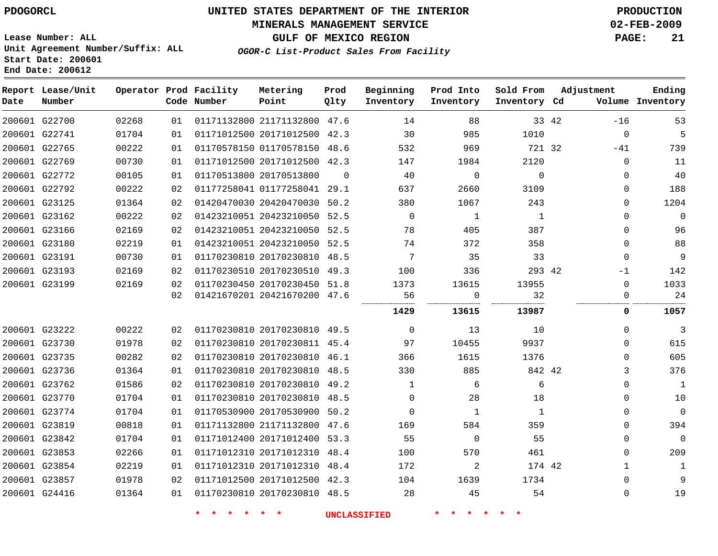## **MINERALS MANAGEMENT SERVICE 02-FEB-2009**

**GULF OF MEXICO REGION PAGE: 21**

**Lease Number: ALL Unit Agreement Number/Suffix: ALL Start Date: 200601 End Date: 200612**

**OGOR-C List-Product Sales From Facility**

| Date | Report Lease/Unit<br>Number |       |    | Operator Prod Facility<br>Code Number | Metering<br>Point            | Prod<br>Qlty | Beginning<br>Inventory | Prod Into<br>Inventory | Sold From<br>Inventory Cd | Adjustment   | Ending<br>Volume Inventory |
|------|-----------------------------|-------|----|---------------------------------------|------------------------------|--------------|------------------------|------------------------|---------------------------|--------------|----------------------------|
|      | 200601 G22700               | 02268 | 01 |                                       | 01171132800 21171132800 47.6 |              | 14                     | 88                     | 33 42                     | $-16$        | 53                         |
|      | 200601 G22741               | 01704 | 01 |                                       | 01171012500 20171012500 42.3 |              | 30                     | 985                    | 1010                      | $\mathbf 0$  | 5                          |
|      | 200601 G22765               | 00222 | 01 |                                       | 01170578150 01170578150 48.6 |              | 532                    | 969                    | 721 32                    | $-41$        | 739                        |
|      | 200601 G22769               | 00730 | 01 |                                       | 01171012500 20171012500 42.3 |              | 147                    | 1984                   | 2120                      | $\mathbf 0$  | 11                         |
|      | 200601 G22772               | 00105 | 01 |                                       | 01170513800 20170513800      | $\mathbf 0$  | 40                     | $\mathbf 0$            | $\mathbf 0$               | 0            | 40                         |
|      | 200601 G22792               | 00222 | 02 |                                       | 01177258041 01177258041 29.1 |              | 637                    | 2660                   | 3109                      | 0            | 188                        |
|      | 200601 G23125               | 01364 | 02 |                                       | 01420470030 20420470030 50.2 |              | 380                    | 1067                   | 243                       | $\mathbf 0$  | 1204                       |
|      | 200601 G23162               | 00222 | 02 |                                       | 01423210051 20423210050 52.5 |              | $\Omega$               | $\mathbf{1}$           | 1                         | $\Omega$     | $\mathbf 0$                |
|      | 200601 G23166               | 02169 | 02 |                                       | 01423210051 20423210050 52.5 |              | 78                     | 405                    | 387                       | $\Omega$     | 96                         |
|      | 200601 G23180               | 02219 | 01 |                                       | 01423210051 20423210050 52.5 |              | 74                     | 372                    | 358                       | $\Omega$     | 88                         |
|      | 200601 G23191               | 00730 | 01 |                                       | 01170230810 20170230810 48.5 |              | 7                      | 35                     | 33                        | $\Omega$     | 9                          |
|      | 200601 G23193               | 02169 | 02 |                                       | 01170230510 20170230510 49.3 |              | 100                    | 336                    | 293 42                    | -1           | 142                        |
|      | 200601 G23199               | 02169 | 02 |                                       | 01170230450 20170230450 51.8 |              | 1373                   | 13615                  | 13955                     | $\Omega$     | 1033                       |
|      |                             |       | 02 |                                       | 01421670201 20421670200 47.6 |              | 56                     | 0                      | 32                        | 0            | 24                         |
|      |                             |       |    |                                       |                              |              | 1429                   | 13615                  | 13987                     | 0            | 1057                       |
|      | 200601 G23222               | 00222 | 02 |                                       | 01170230810 20170230810 49.5 |              | $\overline{0}$         | 13                     | 10                        | $\Omega$     | 3                          |
|      | 200601 G23730               | 01978 | 02 |                                       | 01170230810 20170230811 45.4 |              | 97                     | 10455                  | 9937                      | $\Omega$     | 615                        |
|      | 200601 G23735               | 00282 | 02 |                                       | 01170230810 20170230810 46.1 |              | 366                    | 1615                   | 1376                      | 0            | 605                        |
|      | 200601 G23736               | 01364 | 01 |                                       | 01170230810 20170230810 48.5 |              | 330                    | 885                    | 842 42                    | 3            | 376                        |
|      | 200601 G23762               | 01586 | 02 |                                       | 01170230810 20170230810 49.2 |              | $\mathbf{1}$           | 6                      | 6                         | 0            | $\mathbf 1$                |
|      | 200601 G23770               | 01704 | 01 |                                       | 01170230810 20170230810 48.5 |              | $\mathbf 0$            | 28                     | 18                        | $\mathbf 0$  | 10                         |
|      | 200601 G23774               | 01704 | 01 |                                       | 01170530900 20170530900 50.2 |              | $\Omega$               | 1                      | $\mathbf{1}$              | 0            | $\mathbf 0$                |
|      | 200601 G23819               | 00818 | 01 |                                       | 01171132800 21171132800 47.6 |              | 169                    | 584                    | 359                       | $\mathbf 0$  | 394                        |
|      | 200601 G23842               | 01704 | 01 |                                       | 01171012400 20171012400 53.3 |              | 55                     | $\mathbf 0$            | 55                        | $\Omega$     | $\mathbf 0$                |
|      | 200601 G23853               | 02266 | 01 |                                       | 01171012310 20171012310 48.4 |              | 100                    | 570                    | 461                       | $\Omega$     | 209                        |
|      | 200601 G23854               | 02219 | 01 |                                       | 01171012310 20171012310 48.4 |              | 172                    | 2                      | 174 42                    | $\mathbf{1}$ | $\mathbf 1$                |
|      | 200601 G23857               | 01978 | 02 |                                       | 01171012500 20171012500 42.3 |              | 104                    | 1639                   | 1734                      | $\Omega$     | 9                          |
|      | 200601 G24416               | 01364 | 01 |                                       | 01170230810 20170230810 48.5 |              | 28                     | 45                     | 54                        | $\mathbf{0}$ | 19                         |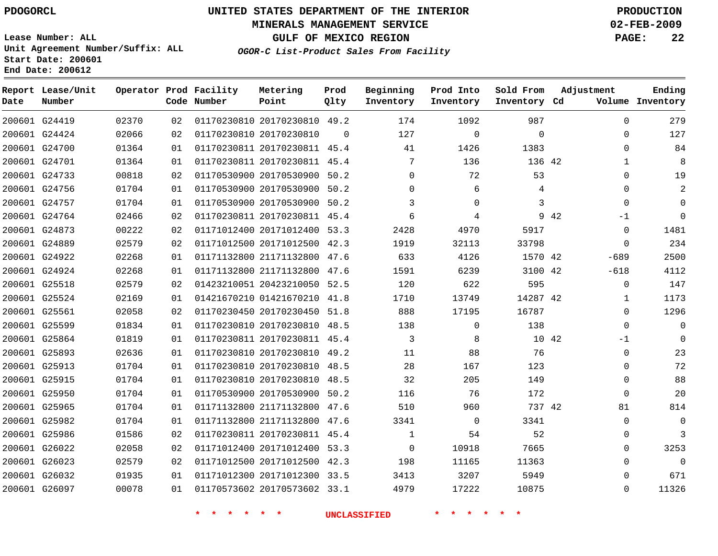## **MINERALS MANAGEMENT SERVICE 02-FEB-2009**

**GULF OF MEXICO REGION PAGE: 22**

**Lease Number: ALL Unit Agreement Number/Suffix: ALL Start Date: 200601 End Date: 200612**

**OGOR-C List-Product Sales From Facility**

| Date | Report Lease/Unit<br>Number |       |    | Operator Prod Facility<br>Code Number | Metering<br>Point            | Prod<br>Qlty | Beginning<br>Inventory | Prod Into<br>Inventory | Sold From<br>Inventory Cd | Adjustment   | Ending<br>Volume Inventory |
|------|-----------------------------|-------|----|---------------------------------------|------------------------------|--------------|------------------------|------------------------|---------------------------|--------------|----------------------------|
|      | 200601 G24419               | 02370 | 02 |                                       | 01170230810 20170230810 49.2 |              | 174                    | 1092                   | 987                       |              | 279<br>$\Omega$            |
|      | 200601 G24424               | 02066 | 02 |                                       | 01170230810 20170230810      | $\Omega$     | 127                    | $\mathbf 0$            | $\mathbf 0$               |              | 127<br>$\mathbf 0$         |
|      | 200601 G24700               | 01364 | 01 |                                       | 01170230811 20170230811 45.4 |              | 41                     | 1426                   | 1383                      |              | 84<br>$\Omega$             |
|      | 200601 G24701               | 01364 | 01 |                                       | 01170230811 20170230811 45.4 |              | 7                      | 136                    | 136 42                    |              | 8<br>1                     |
|      | 200601 G24733               | 00818 | 02 |                                       | 01170530900 20170530900 50.2 |              | $\Omega$               | 72                     | 53                        |              | 19<br>$\Omega$             |
|      | 200601 G24756               | 01704 | 01 |                                       | 01170530900 20170530900 50.2 |              | $\Omega$               | 6                      | 4                         |              | $\Omega$<br>$\overline{2}$ |
|      | 200601 G24757               | 01704 | 01 |                                       | 01170530900 20170530900 50.2 |              | 3                      | $\Omega$               | 3                         |              | $\Omega$<br>$\Omega$       |
|      | 200601 G24764               | 02466 | 02 |                                       | 01170230811 20170230811 45.4 |              | 6                      | 4                      |                           | 9 42<br>$-1$ | $\Omega$                   |
|      | 200601 G24873               | 00222 | 02 |                                       | 01171012400 20171012400 53.3 |              | 2428                   | 4970                   | 5917                      |              | 1481<br>$\mathbf 0$        |
|      | 200601 G24889               | 02579 | 02 |                                       | 01171012500 20171012500 42.3 |              | 1919                   | 32113                  | 33798                     |              | 234<br>0                   |
|      | 200601 G24922               | 02268 | 01 |                                       | 01171132800 21171132800 47.6 |              | 633                    | 4126                   | 1570 42                   | $-689$       | 2500                       |
|      | 200601 G24924               | 02268 | 01 |                                       | 01171132800 21171132800 47.6 |              | 1591                   | 6239                   | 3100 42                   | $-618$       | 4112                       |
|      | 200601 G25518               | 02579 | 02 |                                       | 01423210051 20423210050 52.5 |              | 120                    | 622                    | 595                       |              | 147<br>$\mathbf 0$         |
|      | 200601 G25524               | 02169 | 01 |                                       | 01421670210 01421670210 41.8 |              | 1710                   | 13749                  | 14287 42                  |              | 1173<br>$\mathbf{1}$       |
|      | 200601 G25561               | 02058 | 02 |                                       | 01170230450 20170230450 51.8 |              | 888                    | 17195                  | 16787                     |              | 1296<br>$\Omega$           |
|      | 200601 G25599               | 01834 | 01 |                                       | 01170230810 20170230810 48.5 |              | 138                    | $\mathbf 0$            | 138                       |              | $\mathbf 0$<br>$\mathbf 0$ |
|      | 200601 G25864               | 01819 | 01 |                                       | 01170230811 20170230811 45.4 |              | 3                      | 8                      | 10 42                     | $-1$         | $\Omega$                   |
|      | 200601 G25893               | 02636 | 01 |                                       | 01170230810 20170230810 49.2 |              | 11                     | 88                     | 76                        |              | 23<br>$\mathbf 0$          |
|      | 200601 G25913               | 01704 | 01 |                                       | 01170230810 20170230810 48.5 |              | 28                     | 167                    | 123                       |              | 72<br>$\mathbf 0$          |
|      | 200601 G25915               | 01704 | 01 |                                       | 01170230810 20170230810 48.5 |              | 32                     | 205                    | 149                       |              | 88<br>$\mathbf 0$          |
|      | 200601 G25950               | 01704 | 01 |                                       | 01170530900 20170530900 50.2 |              | 116                    | 76                     | 172                       |              | 20<br>$\mathbf 0$          |
|      | 200601 G25965               | 01704 | 01 |                                       | 01171132800 21171132800 47.6 |              | 510                    | 960                    | 737 42                    | 81           | 814                        |
|      | 200601 G25982               | 01704 | 01 |                                       | 01171132800 21171132800 47.6 |              | 3341                   | $\mathbf 0$            | 3341                      |              | $\mathbf 0$<br>$\Omega$    |
|      | 200601 G25986               | 01586 | 02 |                                       | 01170230811 20170230811 45.4 |              | $\mathbf{1}$           | 54                     | 52                        |              | 3<br>$\mathbf 0$           |
|      | 200601 G26022               | 02058 | 02 |                                       | 01171012400 20171012400 53.3 |              | $\Omega$               | 10918                  | 7665                      |              | 3253<br>$\Omega$           |
|      | 200601 G26023               | 02579 | 02 |                                       | 01171012500 20171012500 42.3 |              | 198                    | 11165                  | 11363                     |              | $\Omega$<br>$\Omega$       |
|      | 200601 G26032               | 01935 | 01 |                                       | 01171012300 20171012300 33.5 |              | 3413                   | 3207                   | 5949                      |              | 671<br>$\Omega$            |
|      | 200601 G26097               | 00078 | 01 |                                       | 01170573602 20170573602 33.1 |              | 4979                   | 17222                  | 10875                     |              | $\Omega$<br>11326          |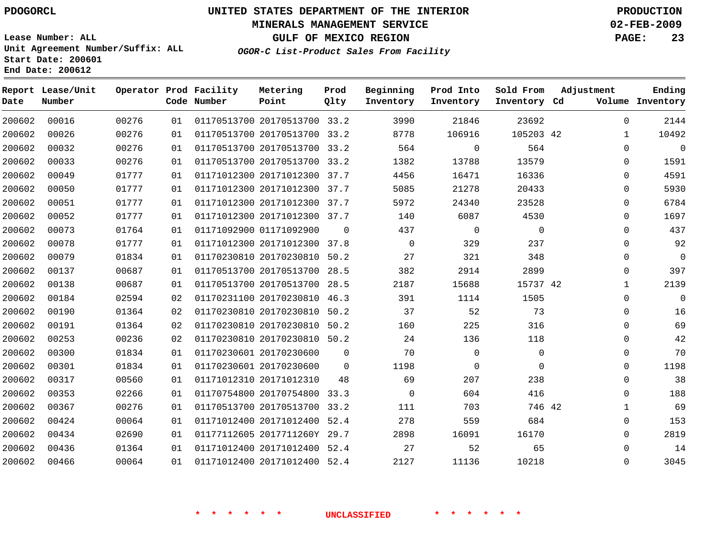## **MINERALS MANAGEMENT SERVICE 02-FEB-2009**

**GULF OF MEXICO REGION PAGE: 23**

**Lease Number: ALL Unit Agreement Number/Suffix: ALL Start Date: 200601 End Date: 200612**

**OGOR-C List-Product Sales From Facility**

| Date   | Report Lease/Unit<br>Number |       |    | Operator Prod Facility<br>Code Number | Metering<br>Point            | Prod<br>Qlty | Beginning<br>Inventory | Prod Into<br>Inventory | Sold From<br>Inventory Cd | Adjustment   | Ending<br>Volume Inventory |
|--------|-----------------------------|-------|----|---------------------------------------|------------------------------|--------------|------------------------|------------------------|---------------------------|--------------|----------------------------|
| 200602 | 00016                       | 00276 | 01 |                                       | 01170513700 20170513700 33.2 |              | 3990                   | 21846                  | 23692                     | 0            | 2144                       |
| 200602 | 00026                       | 00276 | 01 |                                       | 01170513700 20170513700 33.2 |              | 8778                   | 106916                 | 105203 42                 | $\mathbf{1}$ | 10492                      |
| 200602 | 00032                       | 00276 | 01 |                                       | 01170513700 20170513700 33.2 |              | 564                    | $\mathbf 0$            | 564                       | $\Omega$     | $\mathbf{0}$               |
| 200602 | 00033                       | 00276 | 01 |                                       | 01170513700 20170513700 33.2 |              | 1382                   | 13788                  | 13579                     | 0            | 1591                       |
| 200602 | 00049                       | 01777 | 01 |                                       | 01171012300 20171012300 37.7 |              | 4456                   | 16471                  | 16336                     | $\mathbf 0$  | 4591                       |
| 200602 | 00050                       | 01777 | 01 |                                       | 01171012300 20171012300 37.7 |              | 5085                   | 21278                  | 20433                     | $\Omega$     | 5930                       |
| 200602 | 00051                       | 01777 | 01 |                                       | 01171012300 20171012300 37.7 |              | 5972                   | 24340                  | 23528                     | 0            | 6784                       |
| 200602 | 00052                       | 01777 | 01 |                                       | 01171012300 20171012300 37.7 |              | 140                    | 6087                   | 4530                      | $\mathbf 0$  | 1697                       |
| 200602 | 00073                       | 01764 | 01 |                                       | 01171092900 01171092900      | $\Omega$     | 437                    | $\overline{0}$         | $\mathbf 0$               | $\mathbf 0$  | 437                        |
| 200602 | 00078                       | 01777 | 01 |                                       | 01171012300 20171012300 37.8 |              | $\Omega$               | 329                    | 237                       | $\Omega$     | 92                         |
| 200602 | 00079                       | 01834 | 01 |                                       | 01170230810 20170230810 50.2 |              | 27                     | 321                    | 348                       | 0            | $\overline{0}$             |
| 200602 | 00137                       | 00687 | 01 |                                       | 01170513700 20170513700 28.5 |              | 382                    | 2914                   | 2899                      | 0            | 397                        |
| 200602 | 00138                       | 00687 | 01 |                                       | 01170513700 20170513700 28.5 |              | 2187                   | 15688                  | 15737 42                  | $\mathbf{1}$ | 2139                       |
| 200602 | 00184                       | 02594 | 02 |                                       | 01170231100 20170230810      | 46.3         | 391                    | 1114                   | 1505                      | $\mathbf 0$  | $\Omega$                   |
| 200602 | 00190                       | 01364 | 02 |                                       | 01170230810 20170230810      | 50.2         | 37                     | 52                     | 73                        | 0            | 16                         |
| 200602 | 00191                       | 01364 | 02 |                                       | 01170230810 20170230810 50.2 |              | 160                    | 225                    | 316                       | 0            | 69                         |
| 200602 | 00253                       | 00236 | 02 |                                       | 01170230810 20170230810 50.2 |              | 24                     | 136                    | 118                       | $\mathbf 0$  | 42                         |
| 200602 | 00300                       | 01834 | 01 |                                       | 01170230601 20170230600      | 0            | 70                     | $\mathbf 0$            | $\mathbf 0$               | 0            | 70                         |
| 200602 | 00301                       | 01834 | 01 |                                       | 01170230601 20170230600      | $\Omega$     | 1198                   | 0                      | $\Omega$                  | 0            | 1198                       |
| 200602 | 00317                       | 00560 | 01 |                                       | 01171012310 20171012310      | 48           | 69                     | 207                    | 238                       | $\mathbf{0}$ | 38                         |
| 200602 | 00353                       | 02266 | 01 |                                       | 01170754800 20170754800 33.3 |              | $\Omega$               | 604                    | 416                       | $\Omega$     | 188                        |
| 200602 | 00367                       | 00276 | 01 |                                       | 01170513700 20170513700 33.2 |              | 111                    | 703                    | 746 42                    | 1            | 69                         |
| 200602 | 00424                       | 00064 | 01 |                                       | 01171012400 20171012400      | 52.4         | 278                    | 559                    | 684                       | $\mathbf 0$  | 153                        |
| 200602 | 00434                       | 02690 | 01 |                                       | 01177112605 2017711260Y 29.7 |              | 2898                   | 16091                  | 16170                     | 0            | 2819                       |
| 200602 | 00436                       | 01364 | 01 |                                       | 01171012400 20171012400 52.4 |              | 27                     | 52                     | 65                        | 0            | 14                         |
| 200602 | 00466                       | 00064 | 01 |                                       | 01171012400 20171012400 52.4 |              | 2127                   | 11136                  | 10218                     | $\mathbf 0$  | 3045                       |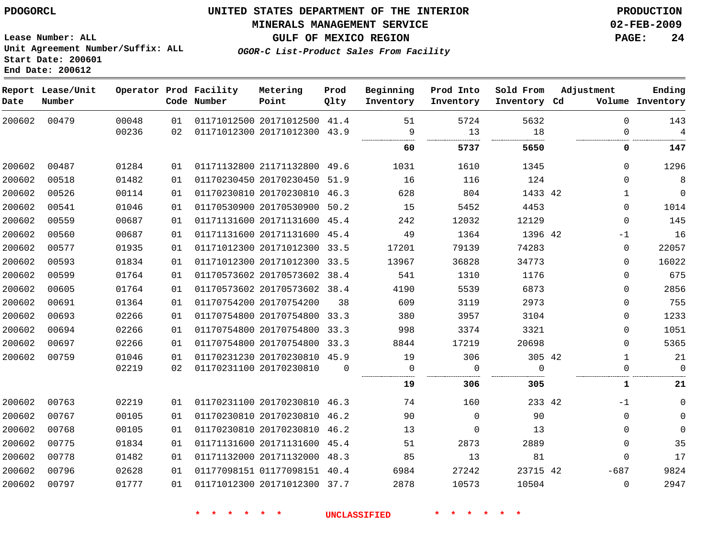## **MINERALS MANAGEMENT SERVICE 02-FEB-2009**

**GULF OF MEXICO REGION PAGE: 24**

**Lease Number: ALL Unit Agreement Number/Suffix: ALL Start Date: 200601 End Date: 200612**

**OGOR-C List-Product Sales From Facility**

| Date   | Report Lease/Unit<br>Number |       |    | Operator Prod Facility<br>Code Number | Metering<br>Point            | Prod<br>Qlty | Beginning<br>Inventory | Prod Into<br>Inventory | Sold From<br>Inventory Cd | Adjustment | Ending<br>Volume Inventory |
|--------|-----------------------------|-------|----|---------------------------------------|------------------------------|--------------|------------------------|------------------------|---------------------------|------------|----------------------------|
| 200602 | 00479                       | 00048 | 01 |                                       | 01171012500 20171012500 41.4 |              | 51                     | 5724                   | 5632                      |            | $\Omega$<br>143            |
|        |                             | 00236 | 02 | 01171012300 20171012300 43.9          |                              |              | 9                      | 13                     | 18                        |            | $\overline{4}$<br>0        |
|        |                             |       |    |                                       |                              |              | 60                     | 5737                   | 5650                      |            | 147<br>0                   |
| 200602 | 00487                       | 01284 | 01 |                                       | 01171132800 21171132800 49.6 |              | 1031                   | 1610                   | 1345                      |            | 1296<br>$\Omega$           |
| 200602 | 00518                       | 01482 | 01 |                                       | 01170230450 20170230450      | 51.9         | 16                     | 116                    | 124                       |            | 8<br>$\Omega$              |
| 200602 | 00526                       | 00114 | 01 |                                       | 01170230810 20170230810 46.3 |              | 628                    | 804                    | 1433 42                   |            | $\mathbf 0$<br>1           |
| 200602 | 00541                       | 01046 | 01 |                                       | 01170530900 20170530900 50.2 |              | 15                     | 5452                   | 4453                      |            | 1014<br>$\Omega$           |
| 200602 | 00559                       | 00687 | 01 |                                       | 01171131600 20171131600 45.4 |              | 242                    | 12032                  | 12129                     |            | 145<br>$\mathbf 0$         |
| 200602 | 00560                       | 00687 | 01 |                                       | 01171131600 20171131600 45.4 |              | 49                     | 1364                   | 1396 42                   |            | 16<br>-1                   |
| 200602 | 00577                       | 01935 | 01 |                                       | 01171012300 20171012300 33.5 |              | 17201                  | 79139                  | 74283                     |            | 22057<br>0                 |
| 200602 | 00593                       | 01834 | 01 |                                       | 01171012300 20171012300 33.5 |              | 13967                  | 36828                  | 34773                     |            | 16022<br>$\Omega$          |
| 200602 | 00599                       | 01764 | 01 |                                       | 01170573602 20170573602 38.4 |              | 541                    | 1310                   | 1176                      |            | 675<br>0                   |
| 200602 | 00605                       | 01764 | 01 |                                       | 01170573602 20170573602 38.4 |              | 4190                   | 5539                   | 6873                      |            | 2856<br>$\Omega$           |
| 200602 | 00691                       | 01364 | 01 |                                       | 01170754200 20170754200      | 38           | 609                    | 3119                   | 2973                      |            | 755<br>$\Omega$            |
| 200602 | 00693                       | 02266 | 01 |                                       | 01170754800 20170754800 33.3 |              | 380                    | 3957                   | 3104                      |            | 1233<br>0                  |
| 200602 | 00694                       | 02266 | 01 |                                       | 01170754800 20170754800 33.3 |              | 998                    | 3374                   | 3321                      |            | 1051<br>0                  |
| 200602 | 00697                       | 02266 | 01 |                                       | 01170754800 20170754800 33.3 |              | 8844                   | 17219                  | 20698                     |            | 5365<br>$\Omega$           |
| 200602 | 00759                       | 01046 | 01 |                                       | 01170231230 20170230810 45.9 |              | 19                     | 306                    | 305 42                    |            | 21<br>1                    |
|        |                             | 02219 | 02 |                                       | 01170231100 20170230810      | 0            | $\mathbf 0$            | 0                      | $\Omega$                  |            | 0<br>0                     |
|        |                             |       |    |                                       |                              |              | 19                     | 306                    | 305                       |            | 1<br>21                    |
| 200602 | 00763                       | 02219 | 01 |                                       | 01170231100 20170230810 46.3 |              | 74                     | 160                    | 233 42                    |            | $-1$<br>0                  |
| 200602 | 00767                       | 00105 | 01 |                                       | 01170230810 20170230810 46.2 |              | 90                     | $\Omega$               | 90                        |            | 0<br>0                     |
| 200602 | 00768                       | 00105 | 01 |                                       | 01170230810 20170230810 46.2 |              | 13                     | $\mathbf 0$            | 13                        |            | $\Omega$<br>0              |
| 200602 | 00775                       | 01834 | 01 |                                       | 01171131600 20171131600 45.4 |              | 51                     | 2873                   | 2889                      |            | 35<br>$\Omega$             |
| 200602 | 00778                       | 01482 | 01 |                                       | 01171132000 20171132000 48.3 |              | 85                     | 13                     | 81                        |            | 17<br>$\Omega$             |
| 200602 | 00796                       | 02628 | 01 |                                       | 01177098151 01177098151 40.4 |              | 6984                   | 27242                  | 23715 42                  | $-687$     | 9824                       |
| 200602 | 00797                       | 01777 | 01 |                                       | 01171012300 20171012300 37.7 |              | 2878                   | 10573                  | 10504                     |            | 2947<br>$\mathbf 0$        |
|        |                             |       |    |                                       |                              |              |                        |                        |                           |            |                            |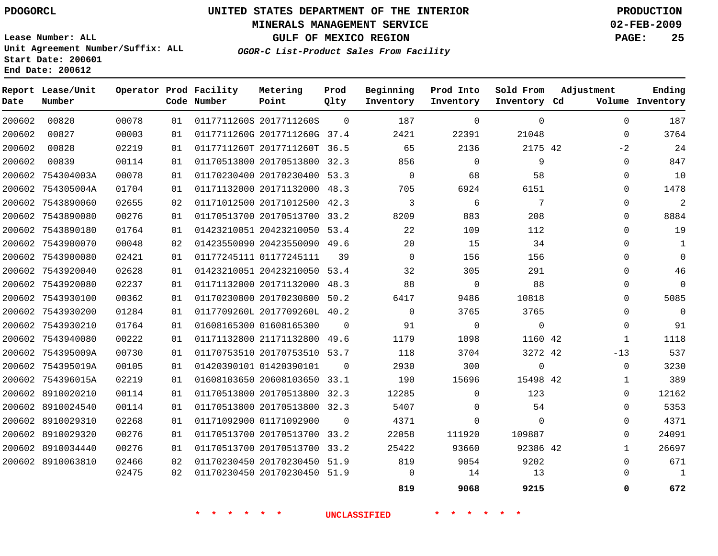## **MINERALS MANAGEMENT SERVICE 02-FEB-2009**

**GULF OF MEXICO REGION PAGE: 25**

**Lease Number: ALL Unit Agreement Number/Suffix: ALL Start Date: 200601 End Date: 200612**

**OGOR-C List-Product Sales From Facility**

| Date   | Report Lease/Unit<br>Number |       |    | Operator Prod Facility<br>Code Number | Metering<br>Point            | Prod<br>Qlty | Beginning<br>Inventory | Prod Into<br>Inventory | Sold From<br>Inventory Cd | Adjustment  | Ending<br>Volume Inventory |
|--------|-----------------------------|-------|----|---------------------------------------|------------------------------|--------------|------------------------|------------------------|---------------------------|-------------|----------------------------|
| 200602 | 00820                       | 00078 | 01 |                                       | 0117711260S 2017711260S      | $\Omega$     | 187                    | $\Omega$               | $\mathbf 0$               | $\Omega$    | 187                        |
| 200602 | 00827                       | 00003 | 01 |                                       | 0117711260G 2017711260G 37.4 |              | 2421                   | 22391                  | 21048                     | $\Omega$    | 3764                       |
| 200602 | 00828                       | 02219 | 01 |                                       | 0117711260T 2017711260T 36.5 |              | 65                     | 2136                   | 2175 42                   | $-2$        | 24                         |
| 200602 | 00839                       | 00114 | 01 |                                       | 01170513800 20170513800 32.3 |              | 856                    | $\mathbf 0$            | 9                         | $\mathbf 0$ | 847                        |
|        | 200602 754304003A           | 00078 | 01 |                                       | 01170230400 20170230400 53.3 |              | $\mathbf 0$            | 68                     | 58                        | $\mathbf 0$ | 10                         |
|        | 200602 754305004A           | 01704 | 01 |                                       | 01171132000 20171132000 48.3 |              | 705                    | 6924                   | 6151                      | $\Omega$    | 1478                       |
|        | 200602 7543890060           | 02655 | 02 |                                       | 01171012500 20171012500 42.3 |              | 3                      | 6                      | 7                         | $\Omega$    | $\overline{2}$             |
|        | 200602 7543890080           | 00276 | 01 |                                       | 01170513700 20170513700 33.2 |              | 8209                   | 883                    | 208                       | $\Omega$    | 8884                       |
|        | 200602 7543890180           | 01764 | 01 |                                       | 01423210051 20423210050 53.4 |              | 22                     | 109                    | 112                       | $\Omega$    | 19                         |
|        | 200602 7543900070           | 00048 | 02 |                                       | 01423550090 20423550090 49.6 |              | 20                     | 15                     | 34                        | $\mathbf 0$ | 1                          |
|        | 200602 7543900080           | 02421 | 01 |                                       | 01177245111 01177245111      | 39           | $\Omega$               | 156                    | 156                       | $\Omega$    | $\Omega$                   |
|        | 200602 7543920040           | 02628 | 01 |                                       | 01423210051 20423210050 53.4 |              | 32                     | 305                    | 291                       | $\mathbf 0$ | 46                         |
|        | 200602 7543920080           | 02237 | 01 |                                       | 01171132000 20171132000 48.3 |              | 88                     | $\mathbf 0$            | 88                        | 0           | $\mathbf{0}$               |
|        | 200602 7543930100           | 00362 | 01 |                                       | 01170230800 20170230800 50.2 |              | 6417                   | 9486                   | 10818                     | $\Omega$    | 5085                       |
|        | 200602 7543930200           | 01284 | 01 |                                       | 0117709260L 2017709260L 40.2 |              | $\Omega$               | 3765                   | 3765                      | $\Omega$    | $\Omega$                   |
|        | 200602 7543930210           | 01764 | 01 |                                       | 01608165300 01608165300      | $\mathbf 0$  | 91                     | $\mathbf 0$            | $\mathbf{0}$              | $\mathbf 0$ | 91                         |
|        | 200602 7543940080           | 00222 | 01 |                                       | 01171132800 21171132800 49.6 |              | 1179                   | 1098                   | 1160 42                   | 1           | 1118                       |
|        | 200602 754395009A           | 00730 | 01 |                                       | 01170753510 20170753510 53.7 |              | 118                    | 3704                   | 3272 42                   | $-13$       | 537                        |
|        | 200602 754395019A           | 00105 | 01 |                                       | 01420390101 01420390101      | $\Omega$     | 2930                   | 300                    | $\mathbf 0$               | $\mathbf 0$ | 3230                       |
|        | 200602 754396015A           | 02219 | 01 |                                       | 01608103650 20608103650 33.1 |              | 190                    | 15696                  | 15498 42                  | 1           | 389                        |
|        | 200602 8910020210           | 00114 | 01 |                                       | 01170513800 20170513800 32.3 |              | 12285                  | $\Omega$               | 123                       | $\Omega$    | 12162                      |
|        | 200602 8910024540           | 00114 | 01 |                                       | 01170513800 20170513800 32.3 |              | 5407                   | $\Omega$               | 54                        | $\Omega$    | 5353                       |
|        | 200602 8910029310           | 02268 | 01 |                                       | 01171092900 01171092900      | $\Omega$     | 4371                   | $\Omega$               | $\Omega$                  | $\Omega$    | 4371                       |
|        | 200602 8910029320           | 00276 | 01 |                                       | 01170513700 20170513700 33.2 |              | 22058                  | 111920                 | 109887                    | $\Omega$    | 24091                      |
|        | 200602 8910034440           | 00276 | 01 |                                       | 01170513700 20170513700 33.2 |              | 25422                  | 93660                  | 92386 42                  | 1           | 26697                      |
|        | 200602 8910063810           | 02466 | 02 |                                       | 01170230450 20170230450 51.9 |              | 819                    | 9054                   | 9202                      | $\mathbf 0$ | 671                        |
|        |                             | 02475 | 02 |                                       | 01170230450 20170230450 51.9 |              | 0                      | 14                     | 13                        | 0           | 1                          |
|        |                             |       |    |                                       |                              |              | 819                    | 9068                   | 9215                      | 0           | 672                        |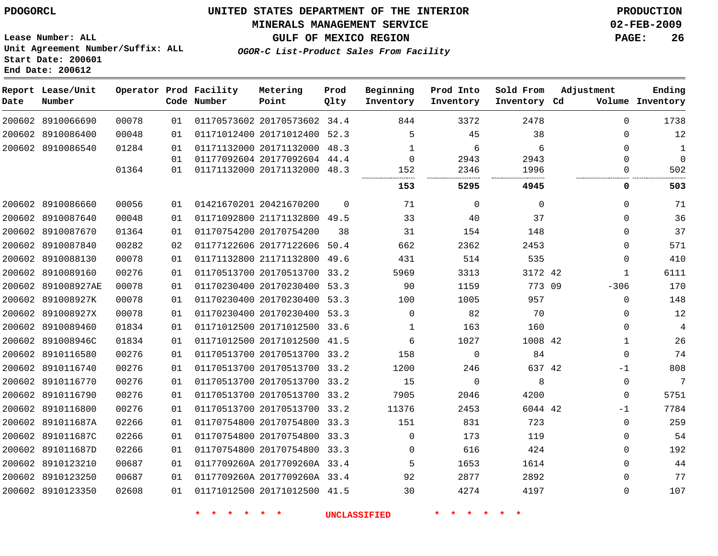## **MINERALS MANAGEMENT SERVICE 02-FEB-2009**

**GULF OF MEXICO REGION PAGE: 26**

**Lease Number: ALL Unit Agreement Number/Suffix: ALL Start Date: 200601 End Date: 200612**

**OGOR-C List-Product Sales From Facility**

| Date | Report Lease/Unit<br>Number |       |    | Operator Prod Facility<br>Code Number | Metering<br>Point            | Prod<br>Qlty | Beginning<br>Inventory | Prod Into<br>Inventory | Sold From<br>Inventory Cd | Adjustment   | Ending<br>Volume Inventory |
|------|-----------------------------|-------|----|---------------------------------------|------------------------------|--------------|------------------------|------------------------|---------------------------|--------------|----------------------------|
|      | 200602 8910066690           | 00078 | 01 |                                       | 01170573602 20170573602 34.4 |              | 844                    | 3372                   | 2478                      | $\Omega$     | 1738                       |
|      | 200602 8910086400           | 00048 | 01 |                                       | 01171012400 20171012400 52.3 |              | 5                      | 45                     | 38                        | 0            | 12                         |
|      | 200602 8910086540           | 01284 | 01 |                                       | 01171132000 20171132000 48.3 |              | 1                      | 6                      | 6                         | $\Omega$     | 1                          |
|      |                             |       | 01 |                                       | 01177092604 20177092604 44.4 |              | $\Omega$               | 2943                   | 2943                      | $\Omega$     | $\mathbf 0$                |
|      |                             | 01364 | 01 |                                       | 01171132000 20171132000 48.3 |              | 152                    | 2346                   | 1996<br>                  | $\Omega$     | 502                        |
|      |                             |       |    |                                       |                              |              | 153                    | 5295                   | 4945                      | 0            | 503                        |
|      | 200602 8910086660           | 00056 | 01 |                                       | 01421670201 20421670200      | $\Omega$     | 71                     | $\mathbf 0$            | $\Omega$                  | $\Omega$     | 71                         |
|      | 200602 8910087640           | 00048 | 01 |                                       | 01171092800 21171132800 49.5 |              | 33                     | 40                     | 37                        | $\Omega$     | 36                         |
|      | 200602 8910087670           | 01364 | 01 |                                       | 01170754200 20170754200      | 38           | 31                     | 154                    | 148                       | $\Omega$     | 37                         |
|      | 200602 8910087840           | 00282 | 02 |                                       | 01177122606 20177122606      | 50.4         | 662                    | 2362                   | 2453                      | $\Omega$     | 571                        |
|      | 200602 8910088130           | 00078 | 01 |                                       | 01171132800 21171132800 49.6 |              | 431                    | 514                    | 535                       | $\Omega$     | 410                        |
|      | 200602 8910089160           | 00276 | 01 |                                       | 01170513700 20170513700 33.2 |              | 5969                   | 3313                   | 3172 42                   | 1            | 6111                       |
|      | 200602 891008927AE          | 00078 | 01 |                                       | 01170230400 20170230400 53.3 |              | 90                     | 1159                   | 773 09                    | $-306$       | 170                        |
|      | 200602 891008927K           | 00078 | 01 |                                       | 01170230400 20170230400 53.3 |              | 100                    | 1005                   | 957                       | $\mathbf 0$  | 148                        |
|      | 200602 891008927X           | 00078 | 01 |                                       | 01170230400 20170230400 53.3 |              | $\Omega$               | 82                     | 70                        | $\mathbf{0}$ | 12                         |
|      | 200602 8910089460           | 01834 | 01 |                                       | 01171012500 20171012500 33.6 |              | 1                      | 163                    | 160                       | $\mathbf 0$  | 4                          |
|      | 200602 891008946C           | 01834 | 01 |                                       | 01171012500 20171012500 41.5 |              | 6                      | 1027                   | 1008 42                   | $\mathbf{1}$ | 26                         |
|      | 200602 8910116580           | 00276 | 01 |                                       | 01170513700 20170513700 33.2 |              | 158                    | $\mathbf 0$            | 84                        | $\mathbf 0$  | 74                         |
|      | 200602 8910116740           | 00276 | 01 |                                       | 01170513700 20170513700 33.2 |              | 1200                   | 246                    | 637 42                    | -1           | 808                        |
|      | 200602 8910116770           | 00276 | 01 |                                       | 01170513700 20170513700 33.2 |              | 15                     | 0                      | 8                         | 0            | $\overline{7}$             |
|      | 200602 8910116790           | 00276 | 01 |                                       | 01170513700 20170513700 33.2 |              | 7905                   | 2046                   | 4200                      | $\mathbf 0$  | 5751                       |
|      | 200602 8910116800           | 00276 | 01 |                                       | 01170513700 20170513700 33.2 |              | 11376                  | 2453                   | 6044 42                   | $-1$         | 7784                       |
|      | 200602 891011687A           | 02266 | 01 |                                       | 01170754800 20170754800 33.3 |              | 151                    | 831                    | 723                       | $\Omega$     | 259                        |
|      | 200602 891011687C           | 02266 | 01 |                                       | 01170754800 20170754800 33.3 |              | $\Omega$               | 173                    | 119                       | $\mathbf 0$  | 54                         |
|      | 200602 891011687D           | 02266 | 01 |                                       | 01170754800 20170754800 33.3 |              | $\Omega$               | 616                    | 424                       | $\mathbf{0}$ | 192                        |
|      | 200602 8910123210           | 00687 | 01 |                                       | 0117709260A 2017709260A 33.4 |              | 5                      | 1653                   | 1614                      | $\mathbf{0}$ | 44                         |
|      | 200602 8910123250           | 00687 | 01 |                                       | 0117709260A 2017709260A 33.4 |              | 92                     | 2877                   | 2892                      | $\Omega$     | 77                         |
|      | 200602 8910123350           | 02608 | 01 |                                       | 01171012500 20171012500 41.5 |              | 30                     | 4274                   | 4197                      | $\Omega$     | 107                        |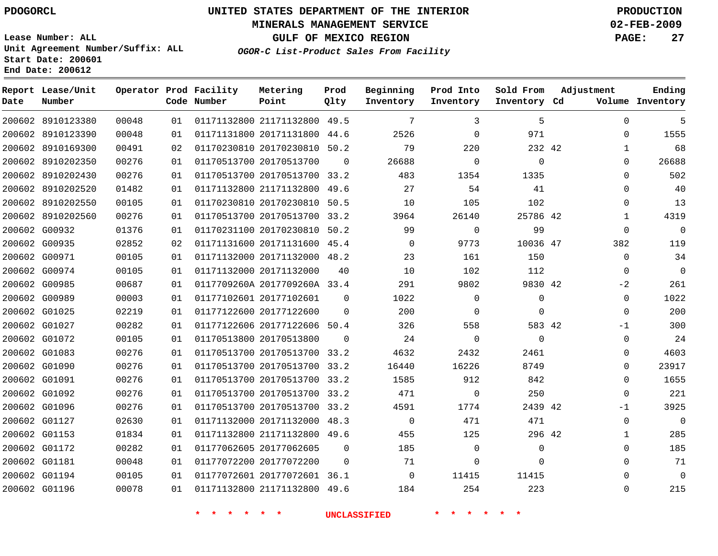## **MINERALS MANAGEMENT SERVICE 02-FEB-2009**

**GULF OF MEXICO REGION PAGE: 27**

**Lease Number: ALL Unit Agreement Number/Suffix: ALL Start Date: 200601 End Date: 200612**

**OGOR-C List-Product Sales From Facility**

| Date | Report Lease/Unit<br>Number |       |    | Operator Prod Facility<br>Code Number | Metering<br>Point            | Prod<br>Qlty | Beginning<br>Inventory | Prod Into<br>Inventory | Sold From<br>Inventory Cd | Adjustment  | Ending<br>Volume Inventory |
|------|-----------------------------|-------|----|---------------------------------------|------------------------------|--------------|------------------------|------------------------|---------------------------|-------------|----------------------------|
|      | 200602 8910123380           | 00048 | 01 |                                       | 01171132800 21171132800 49.5 |              | 7                      | 3                      | 5                         | $\Omega$    | 5                          |
|      | 200602 8910123390           | 00048 | 01 |                                       | 01171131800 20171131800 44.6 |              | 2526                   | $\mathbf 0$            | 971                       | $\Omega$    | 1555                       |
|      | 200602 8910169300           | 00491 | 02 |                                       | 01170230810 20170230810 50.2 |              | 79                     | 220                    | 232 42                    | 1           | 68                         |
|      | 200602 8910202350           | 00276 | 01 |                                       | 01170513700 20170513700      | 0            | 26688                  | 0                      | $\mathbf 0$               | 0           | 26688                      |
|      | 200602 8910202430           | 00276 | 01 |                                       | 01170513700 20170513700 33.2 |              | 483                    | 1354                   | 1335                      | $\Omega$    | 502                        |
|      | 200602 8910202520           | 01482 | 01 |                                       | 01171132800 21171132800 49.6 |              | 27                     | 54                     | 41                        | $\Omega$    | 40                         |
|      | 200602 8910202550           | 00105 | 01 |                                       | 01170230810 20170230810 50.5 |              | 10                     | 105                    | 102                       | $\Omega$    | 13                         |
|      | 200602 8910202560           | 00276 | 01 |                                       | 01170513700 20170513700 33.2 |              | 3964                   | 26140                  | 25786 42                  | 1           | 4319                       |
|      | 200602 G00932               | 01376 | 01 |                                       | 01170231100 20170230810 50.2 |              | 99                     | $\mathbf 0$            | 99                        | 0           | $\mathbf 0$                |
|      | 200602 G00935               | 02852 | 02 |                                       | 01171131600 20171131600 45.4 |              | 0                      | 9773                   | 10036 47                  | 382         | 119                        |
|      | 200602 G00971               | 00105 | 01 |                                       | 01171132000 20171132000 48.2 |              | 23                     | 161                    | 150                       | $\Omega$    | 34                         |
|      | 200602 G00974               | 00105 | 01 |                                       | 01171132000 20171132000      | 40           | 10                     | 102                    | 112                       | $\mathbf 0$ | $\mathbf 0$                |
|      | 200602 G00985               | 00687 | 01 |                                       | 0117709260A 2017709260A 33.4 |              | 291                    | 9802                   | 9830 42                   | $-2$        | 261                        |
|      | 200602 G00989               | 00003 | 01 |                                       | 01177102601 20177102601      | $\Omega$     | 1022                   | 0                      | 0                         | $\mathbf 0$ | 1022                       |
|      | 200602 G01025               | 02219 | 01 |                                       | 01177122600 20177122600      | $\Omega$     | 200                    | $\mathbf 0$            | $\Omega$                  | $\Omega$    | 200                        |
|      | 200602 G01027               | 00282 | 01 |                                       | 01177122606 20177122606 50.4 |              | 326                    | 558                    | 583 42                    | $-1$        | 300                        |
|      | 200602 G01072               | 00105 | 01 |                                       | 01170513800 20170513800      | $\Omega$     | 24                     | $\mathbf 0$            | $\Omega$                  | $\Omega$    | 24                         |
|      | 200602 G01083               | 00276 | 01 |                                       | 01170513700 20170513700 33.2 |              | 4632                   | 2432                   | 2461                      | $\Omega$    | 4603                       |
|      | 200602 G01090               | 00276 | 01 |                                       | 01170513700 20170513700 33.2 |              | 16440                  | 16226                  | 8749                      | 0           | 23917                      |
|      | 200602 G01091               | 00276 | 01 |                                       | 01170513700 20170513700      | 33.2         | 1585                   | 912                    | 842                       | $\Omega$    | 1655                       |
|      | 200602 G01092               | 00276 | 01 |                                       | 01170513700 20170513700 33.2 |              | 471                    | $\mathbf 0$            | 250                       | $\Omega$    | 221                        |
|      | 200602 G01096               | 00276 | 01 |                                       | 01170513700 20170513700 33.2 |              | 4591                   | 1774                   | 2439 42                   | $-1$        | 3925                       |
|      | 200602 G01127               | 02630 | 01 |                                       | 01171132000 20171132000 48.3 |              | $\Omega$               | 471                    | 471                       | $\Omega$    | $\mathbf 0$                |
|      | 200602 G01153               | 01834 | 01 |                                       | 01171132800 21171132800 49.6 |              | 455                    | 125                    | 296 42                    | 1           | 285                        |
|      | 200602 G01172               | 00282 | 01 |                                       | 01177062605 20177062605      | 0            | 185                    | $\mathbf 0$            | $\mathbf{0}$              | $\Omega$    | 185                        |
|      | 200602 G01181               | 00048 | 01 |                                       | 01177072200 20177072200      | $\Omega$     | 71                     | $\mathbf 0$            | $\Omega$                  | $\Omega$    | 71                         |
|      | 200602 G01194               | 00105 | 01 |                                       | 01177072601 20177072601 36.1 |              | $\Omega$               | 11415                  | 11415                     | $\Omega$    | 0                          |
|      | 200602 G01196               | 00078 | 01 |                                       | 01171132800 21171132800 49.6 |              | 184                    | 254                    | 223                       | $\Omega$    | 215                        |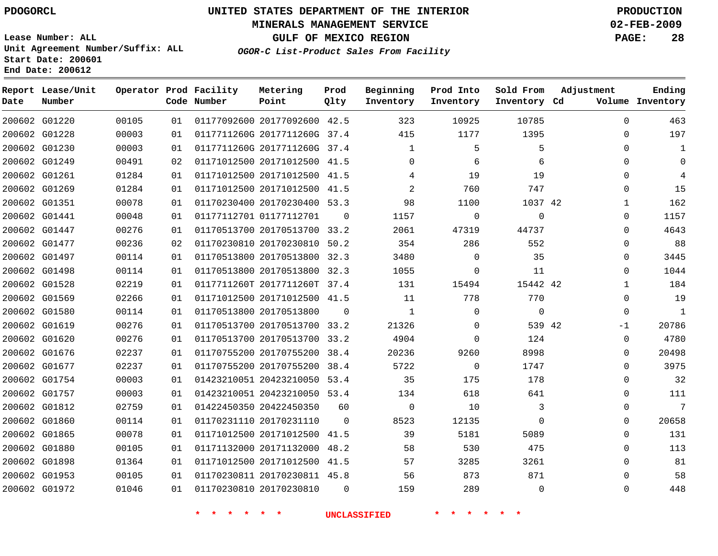## **MINERALS MANAGEMENT SERVICE 02-FEB-2009**

**GULF OF MEXICO REGION PAGE: 28**

**Lease Number: ALL Unit Agreement Number/Suffix: ALL Start Date: 200601 End Date: 200612**

**OGOR-C List-Product Sales From Facility**

| Date | Report Lease/Unit<br>Number |       |    | Operator Prod Facility<br>Code Number | Metering<br>Point            | Prod<br>Qlty | Beginning<br>Inventory | Prod Into<br>Inventory | Sold From<br>Inventory Cd | Adjustment | Ending<br>Volume Inventory |
|------|-----------------------------|-------|----|---------------------------------------|------------------------------|--------------|------------------------|------------------------|---------------------------|------------|----------------------------|
|      | 200602 G01220               | 00105 | 01 |                                       | 01177092600 20177092600 42.5 |              | 323                    | 10925                  | 10785                     | $\Omega$   | 463                        |
|      | 200602 G01228               | 00003 | 01 |                                       | 0117711260G 2017711260G 37.4 |              | 415                    | 1177                   | 1395                      | $\Omega$   | 197                        |
|      | 200602 G01230               | 00003 | 01 |                                       | 0117711260G 2017711260G 37.4 |              | 1                      | 5                      | 5                         | $\Omega$   | 1                          |
|      | 200602 G01249               | 00491 | 02 |                                       | 01171012500 20171012500 41.5 |              | $\mathbf 0$            | 6                      | 6                         | $\Omega$   | 0                          |
|      | 200602 G01261               | 01284 | 01 |                                       | 01171012500 20171012500 41.5 |              | 4                      | 19                     | 19                        | 0          | 4                          |
|      | 200602 G01269               | 01284 | 01 |                                       | 01171012500 20171012500 41.5 |              | 2                      | 760                    | 747                       | $\Omega$   | 15                         |
|      | 200602 G01351               | 00078 | 01 |                                       | 01170230400 20170230400 53.3 |              | 98                     | 1100                   | 1037 42                   | 1          | 162                        |
|      | 200602 G01441               | 00048 | 01 |                                       | 01177112701 01177112701      | 0            | 1157                   | 0                      | 0                         | 0          | 1157                       |
|      | 200602 G01447               | 00276 | 01 |                                       | 01170513700 20170513700 33.2 |              | 2061                   | 47319                  | 44737                     | $\Omega$   | 4643                       |
|      | 200602 G01477               | 00236 | 02 |                                       | 01170230810 20170230810 50.2 |              | 354                    | 286                    | 552                       | $\Omega$   | 88                         |
|      | 200602 G01497               | 00114 | 01 |                                       | 01170513800 20170513800 32.3 |              | 3480                   | $\Omega$               | 35                        | $\Omega$   | 3445                       |
|      | 200602 G01498               | 00114 | 01 |                                       | 01170513800 20170513800 32.3 |              | 1055                   | 0                      | 11                        | 0          | 1044                       |
|      | 200602 G01528               | 02219 | 01 |                                       | 0117711260T 2017711260T 37.4 |              | 131                    | 15494                  | 15442 42                  | 1          | 184                        |
|      | 200602 G01569               | 02266 | 01 |                                       | 01171012500 20171012500 41.5 |              | 11                     | 778                    | 770                       | $\Omega$   | 19                         |
|      | 200602 G01580               | 00114 | 01 |                                       | 01170513800 20170513800      | $\Omega$     | $\mathbf{1}$           | $\Omega$               | $\Omega$                  | $\Omega$   | 1                          |
|      | 200602 G01619               | 00276 | 01 |                                       | 01170513700 20170513700 33.2 |              | 21326                  | 0                      | 539 42                    | -1         | 20786                      |
|      | 200602 G01620               | 00276 | 01 |                                       | 01170513700 20170513700 33.2 |              | 4904                   | 0                      | 124                       | 0          | 4780                       |
|      | 200602 G01676               | 02237 | 01 |                                       | 01170755200 20170755200 38.4 |              | 20236                  | 9260                   | 8998                      | 0          | 20498                      |
|      | 200602 G01677               | 02237 | 01 |                                       | 01170755200 20170755200 38.4 |              | 5722                   | $\Omega$               | 1747                      | $\Omega$   | 3975                       |
|      | 200602 G01754               | 00003 | 01 |                                       | 01423210051 20423210050 53.4 |              | 35                     | 175                    | 178                       | 0          | 32                         |
|      | 200602 G01757               | 00003 | 01 |                                       | 01423210051 20423210050 53.4 |              | 134                    | 618                    | 641                       | $\Omega$   | 111                        |
|      | 200602 G01812               | 02759 | 01 |                                       | 01422450350 20422450350      | 60           | $\mathbf 0$            | 10                     | 3                         | $\Omega$   | 7                          |
|      | 200602 G01860               | 00114 | 01 |                                       | 01170231110 20170231110      | $\Omega$     | 8523                   | 12135                  | $\Omega$                  | $\Omega$   | 20658                      |
|      | 200602 G01865               | 00078 | 01 |                                       | 01171012500 20171012500 41.5 |              | 39                     | 5181                   | 5089                      | $\Omega$   | 131                        |
|      | 200602 G01880               | 00105 | 01 |                                       | 01171132000 20171132000 48.2 |              | 58                     | 530                    | 475                       | $\Omega$   | 113                        |
|      | 200602 G01898               | 01364 | 01 |                                       | 01171012500 20171012500 41.5 |              | 57                     | 3285                   | 3261                      | $\Omega$   | 81                         |
|      | 200602 G01953               | 00105 | 01 |                                       | 01170230811 20170230811 45.8 |              | 56                     | 873                    | 871                       | 0          | 58                         |
|      | 200602 G01972               | 01046 | 01 |                                       | 01170230810 20170230810      | $\Omega$     | 159                    | 289                    | $\Omega$                  | $\Omega$   | 448                        |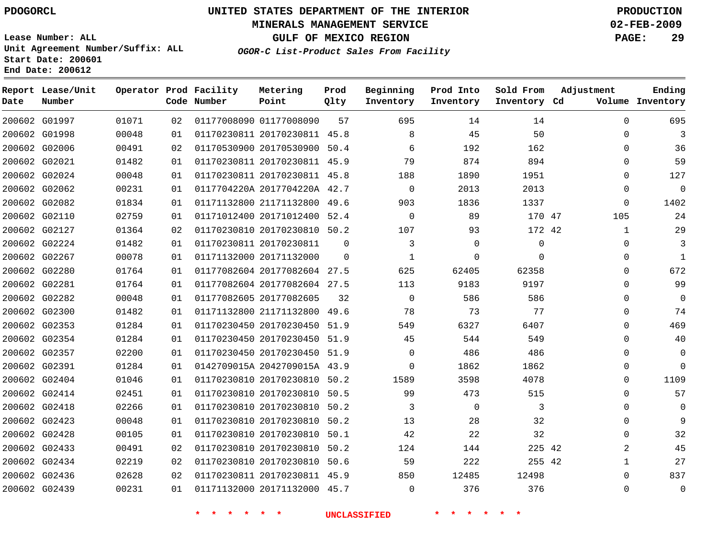## **MINERALS MANAGEMENT SERVICE 02-FEB-2009**

**GULF OF MEXICO REGION PAGE: 29**

**Lease Number: ALL Unit Agreement Number/Suffix: ALL Start Date: 200601 End Date: 200612**

**OGOR-C List-Product Sales From Facility**

| Date | Report Lease/Unit<br>Number |       |    | Operator Prod Facility<br>Code Number | Metering<br>Point            | Prod<br>Qlty | Beginning<br>Inventory | Prod Into<br>Inventory | Sold From<br>Inventory Cd | Adjustment   | Ending<br>Volume Inventory |
|------|-----------------------------|-------|----|---------------------------------------|------------------------------|--------------|------------------------|------------------------|---------------------------|--------------|----------------------------|
|      | 200602 G01997               | 01071 | 02 |                                       | 01177008090 01177008090      | 57           | 695                    | 14                     | 14                        | $\Omega$     | 695                        |
|      | 200602 G01998               | 00048 | 01 |                                       | 01170230811 20170230811 45.8 |              | 8                      | 45                     | 50                        | $\Omega$     | 3                          |
|      | 200602 G02006               | 00491 | 02 |                                       | 01170530900 20170530900 50.4 |              | 6                      | 192                    | 162                       | $\Omega$     | 36                         |
|      | 200602 G02021               | 01482 | 01 |                                       | 01170230811 20170230811 45.9 |              | 79                     | 874                    | 894                       | $\Omega$     | 59                         |
|      | 200602 G02024               | 00048 | 01 |                                       | 01170230811 20170230811 45.8 |              | 188                    | 1890                   | 1951                      | $\Omega$     | 127                        |
|      | 200602 G02062               | 00231 | 01 |                                       | 0117704220A 2017704220A 42.7 |              | $\mathbf 0$            | 2013                   | 2013                      | $\Omega$     | $\mathbf 0$                |
|      | 200602 G02082               | 01834 | 01 |                                       | 01171132800 21171132800 49.6 |              | 903                    | 1836                   | 1337                      | $\mathbf 0$  | 1402                       |
|      | 200602 G02110               | 02759 | 01 |                                       | 01171012400 20171012400 52.4 |              | $\mathbf 0$            | 89                     | 170 47                    | 105          | 24                         |
|      | 200602 G02127               | 01364 | 02 |                                       | 01170230810 20170230810 50.2 |              | 107                    | 93                     | 172 42                    | 1            | 29                         |
|      | 200602 G02224               | 01482 | 01 |                                       | 01170230811 20170230811      | $\Omega$     | 3                      | $\mathbf{0}$           | $\mathbf 0$               | 0            | 3                          |
|      | 200602 G02267               | 00078 | 01 |                                       | 01171132000 20171132000      | $\Omega$     | 1                      | $\Omega$               | $\Omega$                  | $\Omega$     | $\mathbf{1}$               |
|      | 200602 G02280               | 01764 | 01 |                                       | 01177082604 20177082604 27.5 |              | 625                    | 62405                  | 62358                     | 0            | 672                        |
|      | 200602 G02281               | 01764 | 01 |                                       | 01177082604 20177082604 27.5 |              | 113                    | 9183                   | 9197                      | $\Omega$     | 99                         |
|      | 200602 G02282               | 00048 | 01 |                                       | 01177082605 20177082605      | 32           | $\Omega$               | 586                    | 586                       | $\Omega$     | $\Omega$                   |
|      | 200602 G02300               | 01482 | 01 |                                       | 01171132800 21171132800 49.6 |              | 78                     | 73                     | 77                        | $\Omega$     | 74                         |
|      | 200602 G02353               | 01284 | 01 |                                       | 01170230450 20170230450 51.9 |              | 549                    | 6327                   | 6407                      | $\Omega$     | 469                        |
|      | 200602 G02354               | 01284 | 01 |                                       | 01170230450 20170230450 51.9 |              | 45                     | 544                    | 549                       | $\Omega$     | 40                         |
|      | 200602 G02357               | 02200 | 01 |                                       | 01170230450 20170230450 51.9 |              | 0                      | 486                    | 486                       | $\Omega$     | $\Omega$                   |
|      | 200602 G02391               | 01284 | 01 |                                       | 0142709015A 2042709015A 43.9 |              | $\Omega$               | 1862                   | 1862                      | $\Omega$     | $\Omega$                   |
|      | 200602 G02404               | 01046 | 01 |                                       | 01170230810 20170230810 50.2 |              | 1589                   | 3598                   | 4078                      | 0            | 1109                       |
|      | 200602 G02414               | 02451 | 01 |                                       | 01170230810 20170230810 50.5 |              | 99                     | 473                    | 515                       | $\Omega$     | 57                         |
|      | 200602 G02418               | 02266 | 01 |                                       | 01170230810 20170230810 50.2 |              | 3                      | $\mathbf 0$            | 3                         | $\Omega$     | $\Omega$                   |
|      | 200602 G02423               | 00048 | 01 |                                       | 01170230810 20170230810 50.2 |              | 13                     | 28                     | 32                        | $\Omega$     | 9                          |
|      | 200602 G02428               | 00105 | 01 |                                       | 01170230810 20170230810 50.1 |              | 42                     | 22                     | 32                        | $\Omega$     | 32                         |
|      | 200602 G02433               | 00491 | 02 |                                       | 01170230810 20170230810 50.2 |              | 124                    | 144                    | 225 42                    | 2            | 45                         |
|      | 200602 G02434               | 02219 | 02 |                                       | 01170230810 20170230810 50.6 |              | 59                     | 222                    | 255 42                    | $\mathbf{1}$ | 27                         |
|      | 200602 G02436               | 02628 | 02 |                                       | 01170230811 20170230811 45.9 |              | 850                    | 12485                  | 12498                     | $\Omega$     | 837                        |
|      | 200602 G02439               | 00231 | 01 |                                       | 01171132000 20171132000 45.7 |              | $\Omega$               | 376                    | 376                       | $\Omega$     | $\mathbf 0$                |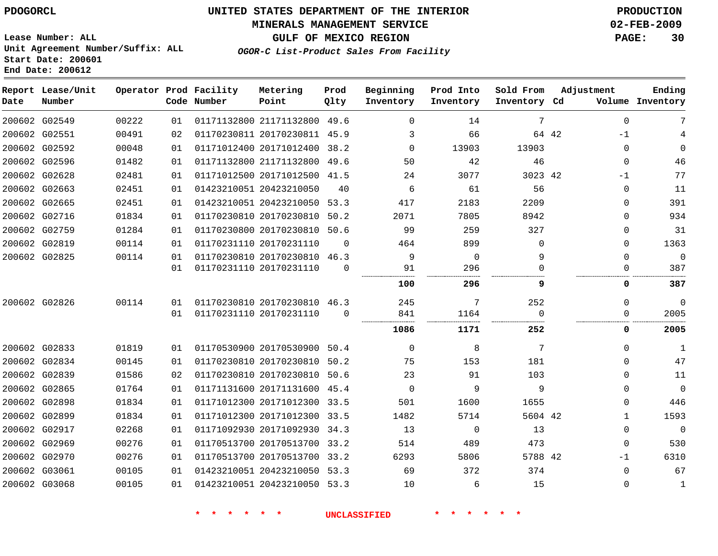## **MINERALS MANAGEMENT SERVICE 02-FEB-2009**

**GULF OF MEXICO REGION PAGE: 30**

**Lease Number: ALL Unit Agreement Number/Suffix: ALL Start Date: 200601 End Date: 200612**

**OGOR-C List-Product Sales From Facility**

| Date | Report Lease/Unit<br>Number |       |                 | Operator Prod Facility<br>Code Number | Metering<br>Point            | Prod<br>Qlty | Beginning<br>Inventory | Prod Into<br>Inventory | Sold From<br>Inventory Cd | Adjustment   | Ending<br>Volume Inventory |
|------|-----------------------------|-------|-----------------|---------------------------------------|------------------------------|--------------|------------------------|------------------------|---------------------------|--------------|----------------------------|
|      | 200602 G02549               | 00222 | 01              |                                       | 01171132800 21171132800 49.6 |              | $\Omega$               | 14                     | 7                         | $\Omega$     | 7                          |
|      | 200602 G02551               | 00491 | 02 <sub>o</sub> |                                       | 01170230811 20170230811 45.9 |              | 3                      | 66                     | 64 42                     | $-1$         |                            |
|      | 200602 G02592               | 00048 | 01              |                                       | 01171012400 20171012400 38.2 |              | $\Omega$               | 13903                  | 13903                     | 0            | $\Omega$                   |
|      | 200602 G02596               | 01482 | 01              |                                       | 01171132800 21171132800      | 49.6         | 50                     | 42                     | 46                        | 0            | 46                         |
|      | 200602 G02628               | 02481 | 01              |                                       | 01171012500 20171012500 41.5 |              | 24                     | 3077                   | 3023 42                   | $-1$         | 77                         |
|      | 200602 G02663               | 02451 | 01              |                                       | 01423210051 20423210050      | 40           | 6                      | 61                     | 56                        | 0            | 11                         |
|      | 200602 G02665               | 02451 | 01              |                                       | 01423210051 20423210050 53.3 |              | 417                    | 2183                   | 2209                      | $\Omega$     | 391                        |
|      | 200602 G02716               | 01834 | 01              |                                       | 01170230810 20170230810      | 50.2         | 2071                   | 7805                   | 8942                      | 0            | 934                        |
|      | 200602 G02759               | 01284 | 01              |                                       | 01170230800 20170230810 50.6 |              | 99                     | 259                    | 327                       | 0            | 31                         |
|      | 200602 G02819               | 00114 | 01              |                                       | 01170231110 20170231110      | $\Omega$     | 464                    | 899                    | 0                         | 0            | 1363                       |
|      | 200602 G02825               | 00114 | 01              |                                       | 01170230810 20170230810 46.3 |              | 9                      | $\mathbf 0$            | 9                         | $\Omega$     | $\mathbf 0$                |
|      |                             |       | 01              |                                       | 01170231110 20170231110      | $\Omega$     | 91                     | 296                    | 0                         | 0            | 387                        |
|      |                             |       |                 |                                       |                              |              | 100                    | 296                    | 9                         | 0            | 387                        |
|      | 200602 G02826               | 00114 | 01              |                                       | 01170230810 20170230810 46.3 |              | 245                    | 7                      | 252                       | $\Omega$     | $\Omega$                   |
|      |                             |       | 01              |                                       | 01170231110 20170231110      | $\Omega$     | 841                    | 1164                   | $\Omega$                  | $\Omega$     | 2005                       |
|      |                             |       |                 |                                       |                              |              | 1086                   | 1171                   | 252                       | 0            | 2005                       |
|      | 200602 G02833               | 01819 | 01              |                                       | 01170530900 20170530900 50.4 |              | $\Omega$               | 8                      | 7                         | $\Omega$     | $\mathbf{1}$               |
|      | 200602 G02834               | 00145 | 01              |                                       | 01170230810 20170230810      | 50.2         | 75                     | 153                    | 181                       | 0            | 47                         |
|      | 200602 G02839               | 01586 | 02 <sub>o</sub> |                                       | 01170230810 20170230810 50.6 |              | 23                     | 91                     | 103                       | 0            | 11                         |
|      | 200602 G02865               | 01764 | 01              |                                       | 01171131600 20171131600 45.4 |              | $\Omega$               | 9                      | 9                         | $\Omega$     | $\mathbf{0}$               |
|      | 200602 G02898               | 01834 | 01              |                                       | 01171012300 20171012300 33.5 |              | 501                    | 1600                   | 1655                      | 0            | 446                        |
|      | 200602 G02899               | 01834 | 01              |                                       | 01171012300 20171012300 33.5 |              | 1482                   | 5714                   | 5604 42                   | $\mathbf{1}$ | 1593                       |
|      | 200602 G02917               | 02268 | 01              |                                       | 01171092930 20171092930 34.3 |              | 13                     | $\mathbf 0$            | 13                        | 0            | $\Omega$                   |
|      | 200602 G02969               | 00276 | 01              |                                       | 01170513700 20170513700 33.2 |              | 514                    | 489                    | 473                       | 0            | 530                        |
|      | 200602 G02970               | 00276 | 01              |                                       | 01170513700 20170513700 33.2 |              | 6293                   | 5806                   | 5788 42                   | $-1$         | 6310                       |
|      | 200602 G03061               | 00105 | 01              |                                       | 01423210051 20423210050 53.3 |              | 69                     | 372                    | 374                       | 0            | 67                         |
|      | 200602 G03068               | 00105 | 01              |                                       | 01423210051 20423210050 53.3 |              | 10                     | 6                      | 15                        | 0            | 1                          |
|      |                             |       |                 |                                       |                              |              |                        |                        |                           |              |                            |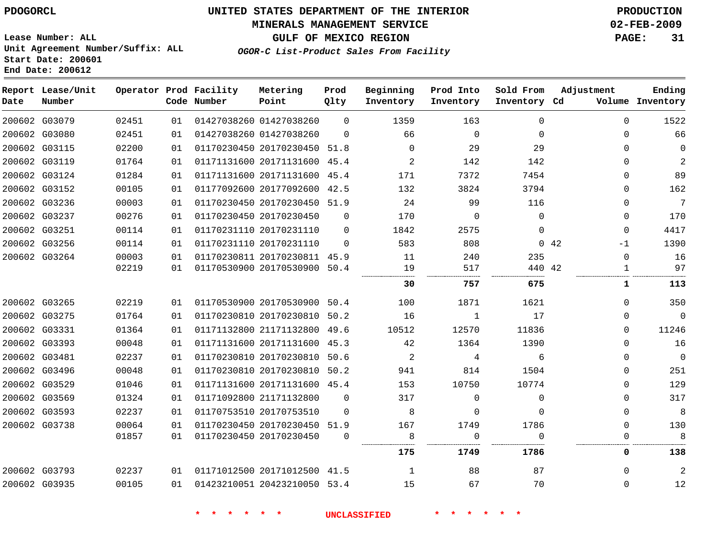# **MINERALS MANAGEMENT SERVICE 02-FEB-2009**

**GULF OF MEXICO REGION PAGE: 31**

**Lease Number: ALL Unit Agreement Number/Suffix: ALL Start Date: 200601 End Date: 200612**

**OGOR-C List-Product Sales From Facility**

| Date          | Report Lease/Unit<br>Number |       |    | Operator Prod Facility<br>Code Number | Metering<br>Point            | Prod<br>Qlty | Beginning<br>Inventory | Prod Into<br>Inventory | Sold From<br>Inventory Cd | Adjustment   | Ending<br>Volume Inventory |
|---------------|-----------------------------|-------|----|---------------------------------------|------------------------------|--------------|------------------------|------------------------|---------------------------|--------------|----------------------------|
|               | 200602 G03079               | 02451 | 01 |                                       | 01427038260 01427038260      | $\Omega$     | 1359                   | 163                    | $\Omega$                  | $\Omega$     | 1522                       |
|               | 200602 G03080               | 02451 | 01 |                                       | 01427038260 01427038260      | $\Omega$     | 66                     | $\mathbf 0$            | $\Omega$                  | $\Omega$     | 66                         |
|               | 200602 G03115               | 02200 | 01 |                                       | 01170230450 20170230450 51.8 |              | $\Omega$               | 29                     | 29                        | $\Omega$     | $\Omega$                   |
|               | 200602 G03119               | 01764 | 01 |                                       | 01171131600 20171131600 45.4 |              | 2                      | 142                    | 142                       | $\Omega$     | $\overline{a}$             |
|               | 200602 G03124               | 01284 | 01 |                                       | 01171131600 20171131600 45.4 |              | 171                    | 7372                   | 7454                      | $\Omega$     | 89                         |
|               | 200602 G03152               | 00105 | 01 |                                       | 01177092600 20177092600 42.5 |              | 132                    | 3824                   | 3794                      | $\Omega$     | 162                        |
|               | 200602 G03236               | 00003 | 01 |                                       | 01170230450 20170230450 51.9 |              | 24                     | 99                     | 116                       | $\Omega$     | $\overline{7}$             |
|               | 200602 G03237               | 00276 | 01 |                                       | 01170230450 20170230450      | $\Omega$     | 170                    | 0                      | 0                         | 0            | 170                        |
|               | 200602 G03251               | 00114 | 01 |                                       | 01170231110 20170231110      | 0            | 1842                   | 2575                   | $\Omega$                  | 0            | 4417                       |
|               | 200602 G03256               | 00114 | 01 |                                       | 01170231110 20170231110      | $\Omega$     | 583                    | 808                    |                           | 042<br>$-1$  | 1390                       |
|               | 200602 G03264               | 00003 | 01 |                                       | 01170230811 20170230811 45.9 |              | 11                     | 240                    | 235                       | 0            | 16                         |
|               |                             | 02219 | 01 |                                       | 01170530900 20170530900      | 50.4         | 19                     | 517                    | 440 42                    | $\mathbf{1}$ | 97                         |
|               |                             |       |    |                                       |                              |              | 30                     | 757                    | 675                       | 1            | 113                        |
|               | 200602 G03265               | 02219 | 01 |                                       | 01170530900 20170530900 50.4 |              | 100                    | 1871                   | 1621                      | $\Omega$     | 350                        |
|               | 200602 G03275               | 01764 | 01 |                                       | 01170230810 20170230810      | 50.2         | 16                     | $\mathbf{1}$           | 17                        | $\Omega$     | $\Omega$                   |
|               | 200602 G03331               | 01364 | 01 |                                       | 01171132800 21171132800 49.6 |              | 10512                  | 12570                  | 11836                     | $\Omega$     | 11246                      |
|               | 200602 G03393               | 00048 | 01 |                                       | 01171131600 20171131600 45.3 |              | 42                     | 1364                   | 1390                      | $\Omega$     | 16                         |
|               | 200602 G03481               | 02237 | 01 |                                       | 01170230810 20170230810      | 50.6         | 2                      | 4                      | 6                         | $\Omega$     | $\mathbf 0$                |
|               | 200602 G03496               | 00048 | 01 |                                       | 01170230810 20170230810      | 50.2         | 941                    | 814                    | 1504                      | $\Omega$     | 251                        |
|               | 200602 G03529               | 01046 | 01 |                                       | 01171131600 20171131600 45.4 |              | 153                    | 10750                  | 10774                     | $\Omega$     | 129                        |
|               | 200602 G03569               | 01324 | 01 |                                       | 01171092800 21171132800      | $\mathbf 0$  | 317                    | 0                      | 0                         | $\Omega$     | 317                        |
|               | 200602 G03593               | 02237 | 01 |                                       | 01170753510 20170753510      | $\Omega$     | 8                      | 0                      | $\Omega$                  | $\Omega$     | 8                          |
|               | 200602 G03738               | 00064 | 01 |                                       | 01170230450 20170230450 51.9 |              | 167                    | 1749                   | 1786                      | $\Omega$     | 130                        |
|               |                             | 01857 | 01 |                                       | 01170230450 20170230450      | $\Omega$     | 8                      | 0                      | $\Omega$                  | 0            | 8                          |
|               |                             |       |    |                                       |                              |              | 175                    | 1749                   | 1786                      | 0            | 138                        |
| 200602 G03793 |                             | 02237 | 01 |                                       | 01171012500 20171012500 41.5 |              | 1                      | 88                     | 87                        | 0            | 2                          |
|               | 200602 G03935               | 00105 | 01 |                                       | 01423210051 20423210050 53.4 |              | 15                     | 67                     | 70                        | $\mathbf{0}$ | 12                         |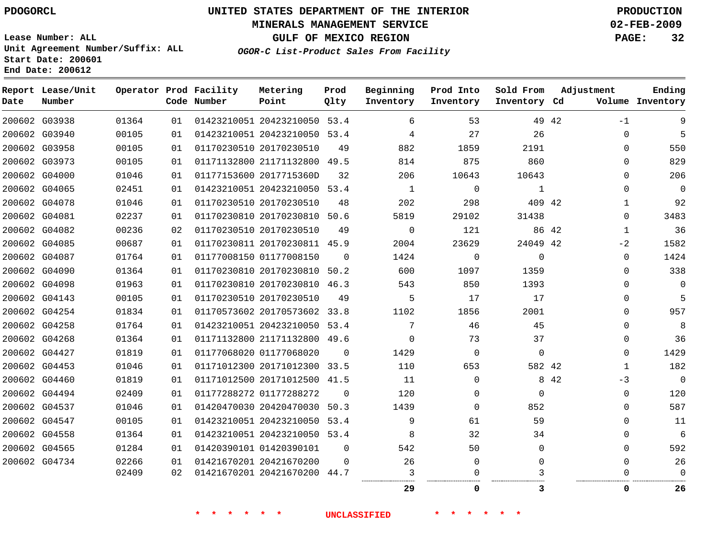## **MINERALS MANAGEMENT SERVICE 02-FEB-2009**

**GULF OF MEXICO REGION PAGE: 32**

**Lease Number: ALL Unit Agreement Number/Suffix: ALL Start Date: 200601 End Date: 200612**

**OGOR-C List-Product Sales From Facility**

| Date | Report Lease/Unit<br>Number |       |    | Operator Prod Facility<br>Code Number | Metering<br>Point            | Prod<br>Qlty | Beginning<br>Inventory | Prod Into<br>Inventory | Sold From<br>Inventory Cd | Adjustment |              | Ending<br>Volume Inventory |
|------|-----------------------------|-------|----|---------------------------------------|------------------------------|--------------|------------------------|------------------------|---------------------------|------------|--------------|----------------------------|
|      | 200602 G03938               | 01364 | 01 |                                       | 01423210051 20423210050 53.4 |              | 6                      | 53                     |                           | 49 42      | $-1$         | 9                          |
|      | 200602 G03940               | 00105 | 01 |                                       | 01423210051 20423210050 53.4 |              | 4                      | 27                     | 26                        |            | $\mathbf 0$  | 5                          |
|      | 200602 G03958               | 00105 | 01 |                                       | 01170230510 20170230510      | 49           | 882                    | 1859                   | 2191                      |            | $\Omega$     | 550                        |
|      | 200602 G03973               | 00105 | 01 |                                       | 01171132800 21171132800 49.5 |              | 814                    | 875                    | 860                       |            | $\Omega$     | 829                        |
|      | 200602 G04000               | 01046 | 01 |                                       | 01177153600 2017715360D      | 32           | 206                    | 10643                  | 10643                     |            | $\Omega$     | 206                        |
|      | 200602 G04065               | 02451 | 01 |                                       | 01423210051 20423210050 53.4 |              | $\mathbf{1}$           | $\mathbf 0$            | $\mathbf{1}$              |            | $\mathbf 0$  | $\Omega$                   |
|      | 200602 G04078               | 01046 | 01 |                                       | 01170230510 20170230510      | 48           | 202                    | 298                    | 409 42                    |            | $\mathbf{1}$ | 92                         |
|      | 200602 G04081               | 02237 | 01 |                                       | 01170230810 20170230810 50.6 |              | 5819                   | 29102                  | 31438                     |            | $\mathbf 0$  | 3483                       |
|      | 200602 G04082               | 00236 | 02 |                                       | 01170230510 20170230510      | 49           | $\Omega$               | 121                    |                           | 86 42      | $\mathbf{1}$ | 36                         |
|      | 200602 G04085               | 00687 | 01 |                                       | 01170230811 20170230811 45.9 |              | 2004                   | 23629                  | 24049 42                  |            | $-2$         | 1582                       |
|      | 200602 G04087               | 01764 | 01 |                                       | 01177008150 01177008150      | $\Omega$     | 1424                   | $\Omega$               | $\mathbf 0$               |            | $\mathbf 0$  | 1424                       |
|      | 200602 G04090               | 01364 | 01 |                                       | 01170230810 20170230810 50.2 |              | 600                    | 1097                   | 1359                      |            | $\Omega$     | 338                        |
|      | 200602 G04098               | 01963 | 01 |                                       | 01170230810 20170230810 46.3 |              | 543                    | 850                    | 1393                      |            | $\Omega$     | $\Omega$                   |
|      | 200602 G04143               | 00105 | 01 |                                       | 01170230510 20170230510      | 49           | 5                      | 17                     | 17                        |            | $\mathbf 0$  | 5                          |
|      | 200602 G04254               | 01834 | 01 |                                       | 01170573602 20170573602 33.8 |              | 1102                   | 1856                   | 2001                      |            | $\mathbf 0$  | 957                        |
|      | 200602 G04258               | 01764 | 01 |                                       | 01423210051 20423210050 53.4 |              | 7                      | 46                     | 45                        |            | $\mathbf 0$  | 8                          |
|      | 200602 G04268               | 01364 | 01 |                                       | 01171132800 21171132800 49.6 |              | $\Omega$               | 73                     | 37                        |            | $\mathbf 0$  | 36                         |
|      | 200602 G04427               | 01819 | 01 |                                       | 01177068020 01177068020      | $\Omega$     | 1429                   | 0                      | $\mathbf 0$               |            | $\mathbf 0$  | 1429                       |
|      | 200602 G04453               | 01046 | 01 |                                       | 01171012300 20171012300 33.5 |              | 110                    | 653                    | 582 42                    |            | $\mathbf{1}$ | 182                        |
|      | 200602 G04460               | 01819 | 01 |                                       | 01171012500 20171012500 41.5 |              | 11                     | $\Omega$               |                           | 8 4 2      | $-3$         | $\overline{0}$             |
|      | 200602 G04494               | 02409 | 01 |                                       | 01177288272 01177288272      | 0            | 120                    | $\Omega$               | $\Omega$                  |            | $\mathbf 0$  | 120                        |
|      | 200602 G04537               | 01046 | 01 |                                       | 01420470030 20420470030      | 50.3         | 1439                   | 0                      | 852                       |            | 0            | 587                        |
|      | 200602 G04547               | 00105 | 01 |                                       | 01423210051 20423210050 53.4 |              | 9                      | 61                     | 59                        |            | $\mathbf 0$  | 11                         |
|      | 200602 G04558               | 01364 | 01 |                                       | 01423210051 20423210050 53.4 |              | 8                      | 32                     | 34                        |            | 0            | 6                          |
|      | 200602 G04565               | 01284 | 01 |                                       | 01420390101 01420390101      | 0            | 542                    | 50                     | $\Omega$                  |            | $\mathbf 0$  | 592                        |
|      | 200602 G04734               | 02266 | 01 |                                       | 01421670201 20421670200      | 0            | 26                     | 0                      | 0                         |            | $\mathbf 0$  | 26                         |
|      |                             | 02409 | 02 |                                       | 01421670201 20421670200 44.7 |              | 3                      |                        |                           |            | 0            | $\Omega$                   |
|      |                             |       |    |                                       |                              |              | 29                     | 0                      | 3                         |            | 0            | 26                         |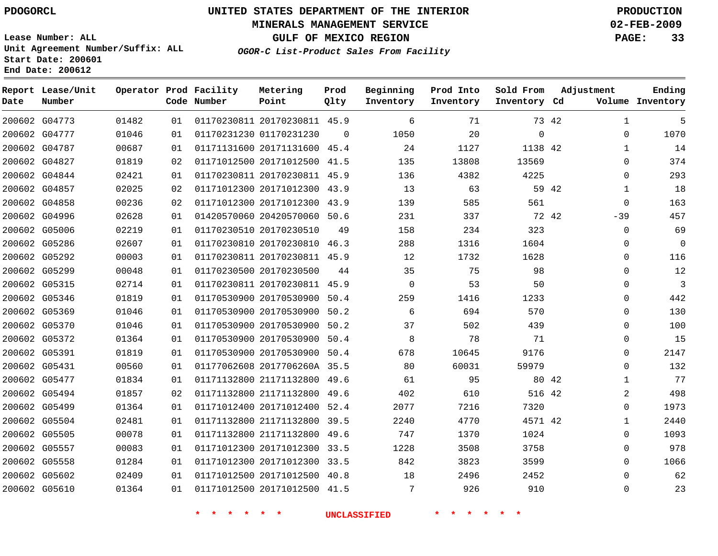## **MINERALS MANAGEMENT SERVICE 02-FEB-2009**

**GULF OF MEXICO REGION PAGE: 33**

**Lease Number: ALL Unit Agreement Number/Suffix: ALL Start Date: 200601 End Date: 200612**

**OGOR-C List-Product Sales From Facility**

| Date | Report Lease/Unit<br>Number |       |    | Operator Prod Facility<br>Code Number | Metering<br>Point            | Prod<br>Qlty | Beginning<br>Inventory | Prod Into<br>Inventory | Sold From<br>Inventory Cd | Adjustment   | Ending<br>Volume Inventory |
|------|-----------------------------|-------|----|---------------------------------------|------------------------------|--------------|------------------------|------------------------|---------------------------|--------------|----------------------------|
|      | 200602 G04773               | 01482 | 01 |                                       | 01170230811 20170230811 45.9 |              | 6                      | 71                     | 73 42                     | $\mathbf 1$  | 5                          |
|      | 200602 G04777               | 01046 | 01 |                                       | 01170231230 01170231230      | $\Omega$     | 1050                   | 20                     | $\mathbf 0$               | 0            | 1070                       |
|      | 200602 G04787               | 00687 | 01 |                                       | 01171131600 20171131600 45.4 |              | 24                     | 1127                   | 1138 42                   | $\mathbf{1}$ | 14                         |
|      | 200602 G04827               | 01819 | 02 |                                       | 01171012500 20171012500 41.5 |              | 135                    | 13808                  | 13569                     | $\Omega$     | 374                        |
|      | 200602 G04844               | 02421 | 01 |                                       | 01170230811 20170230811 45.9 |              | 136                    | 4382                   | 4225                      | $\Omega$     | 293                        |
|      | 200602 G04857               | 02025 | 02 |                                       | 01171012300 20171012300 43.9 |              | 13                     | 63                     | 59 42                     | $\mathbf{1}$ | 18                         |
|      | 200602 G04858               | 00236 | 02 |                                       | 01171012300 20171012300 43.9 |              | 139                    | 585                    | 561                       | $\mathbf 0$  | 163                        |
|      | 200602 G04996               | 02628 | 01 |                                       | 01420570060 20420570060 50.6 |              | 231                    | 337                    | 72 42                     | $-39$        | 457                        |
|      | 200602 G05006               | 02219 | 01 |                                       | 01170230510 20170230510      | 49           | 158                    | 234                    | 323                       | $\mathbf 0$  | 69                         |
|      | 200602 G05286               | 02607 | 01 |                                       | 01170230810 20170230810 46.3 |              | 288                    | 1316                   | 1604                      | 0            | 0                          |
|      | 200602 G05292               | 00003 | 01 |                                       | 01170230811 20170230811 45.9 |              | 12                     | 1732                   | 1628                      | 0            | 116                        |
|      | 200602 G05299               | 00048 | 01 |                                       | 01170230500 20170230500      | 44           | 35                     | 75                     | 98                        | $\Omega$     | 12                         |
|      | 200602 G05315               | 02714 | 01 |                                       | 01170230811 20170230811 45.9 |              | $\Omega$               | 53                     | 50                        | $\Omega$     | 3                          |
|      | 200602 G05346               | 01819 | 01 |                                       | 01170530900 20170530900 50.4 |              | 259                    | 1416                   | 1233                      | $\Omega$     | 442                        |
|      | 200602 G05369               | 01046 | 01 |                                       | 01170530900 20170530900 50.2 |              | 6                      | 694                    | 570                       | $\Omega$     | 130                        |
|      | 200602 G05370               | 01046 | 01 |                                       | 01170530900 20170530900 50.2 |              | 37                     | 502                    | 439                       | $\Omega$     | 100                        |
|      | 200602 G05372               | 01364 | 01 |                                       | 01170530900 20170530900 50.4 |              | 8                      | 78                     | 71                        | $\Omega$     | 15                         |
|      | 200602 G05391               | 01819 | 01 |                                       | 01170530900 20170530900 50.4 |              | 678                    | 10645                  | 9176                      | $\Omega$     | 2147                       |
|      | 200602 G05431               | 00560 | 01 |                                       | 01177062608 2017706260A 35.5 |              | 80                     | 60031                  | 59979                     | $\Omega$     | 132                        |
|      | 200602 G05477               | 01834 | 01 |                                       | 01171132800 21171132800 49.6 |              | 61                     | 95                     | 80 42                     | $\mathbf{1}$ | 77                         |
|      | 200602 G05494               | 01857 | 02 |                                       | 01171132800 21171132800 49.6 |              | 402                    | 610                    | 516 42                    | 2            | 498                        |
|      | 200602 G05499               | 01364 | 01 |                                       | 01171012400 20171012400 52.4 |              | 2077                   | 7216                   | 7320                      | 0            | 1973                       |
|      | 200602 G05504               | 02481 | 01 |                                       | 01171132800 21171132800 39.5 |              | 2240                   | 4770                   | 4571 42                   | $\mathbf 1$  | 2440                       |
|      | 200602 G05505               | 00078 | 01 |                                       | 01171132800 21171132800 49.6 |              | 747                    | 1370                   | 1024                      | $\Omega$     | 1093                       |
|      | 200602 G05557               | 00083 | 01 |                                       | 01171012300 20171012300 33.5 |              | 1228                   | 3508                   | 3758                      | $\Omega$     | 978                        |
|      | 200602 G05558               | 01284 | 01 |                                       | 01171012300 20171012300 33.5 |              | 842                    | 3823                   | 3599                      | $\Omega$     | 1066                       |
|      | 200602 G05602               | 02409 | 01 |                                       | 01171012500 20171012500 40.8 |              | 18                     | 2496                   | 2452                      | $\Omega$     | 62                         |
|      | 200602 G05610               | 01364 | 01 |                                       | 01171012500 20171012500 41.5 |              | 7                      | 926                    | 910                       | $\Omega$     | 23                         |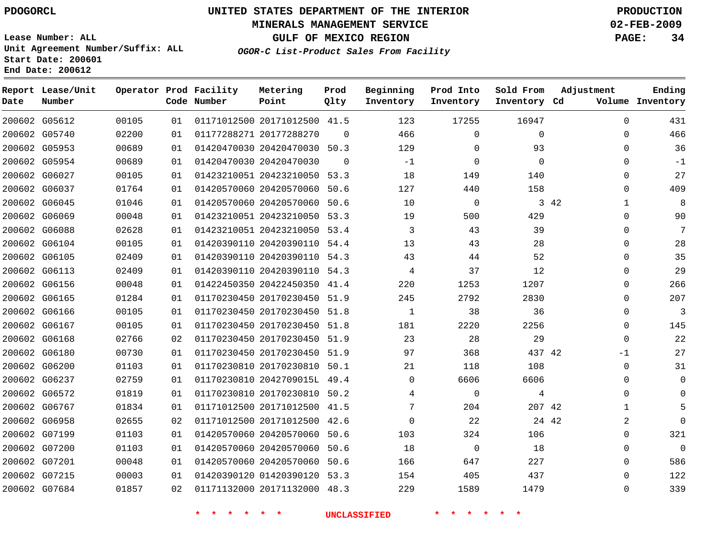## **MINERALS MANAGEMENT SERVICE 02-FEB-2009**

**GULF OF MEXICO REGION PAGE: 34**

**Lease Number: ALL Unit Agreement Number/Suffix: ALL Start Date: 200601 End Date: 200612**

**OGOR-C List-Product Sales From Facility**

| Date | Report Lease/Unit<br>Number |       |    | Operator Prod Facility<br>Code Number | Metering<br>Point            | Prod<br>Qlty | Beginning<br>Inventory | Prod Into<br>Inventory | Sold From<br>Inventory Cd | Adjustment            | Ending<br>Volume Inventory |
|------|-----------------------------|-------|----|---------------------------------------|------------------------------|--------------|------------------------|------------------------|---------------------------|-----------------------|----------------------------|
|      | 200602 G05612               | 00105 | 01 |                                       | 01171012500 20171012500 41.5 |              | 123                    | 17255                  | 16947                     | $\Omega$              | 431                        |
|      | 200602 G05740               | 02200 | 01 |                                       | 01177288271 20177288270      | $\Omega$     | 466                    | $\mathbf 0$            | 0                         | $\mathbf{0}$          | 466                        |
|      | 200602 G05953               | 00689 | 01 |                                       | 01420470030 20420470030 50.3 |              | 129                    | 0                      | 93                        | $\Omega$              | 36                         |
|      | 200602 G05954               | 00689 | 01 |                                       | 01420470030 20420470030      | $\Omega$     | $-1$                   | 0                      | 0                         | 0                     | $-1$                       |
|      | 200602 G06027               | 00105 | 01 |                                       | 01423210051 20423210050 53.3 |              | 18                     | 149                    | 140                       | $\Omega$              | 27                         |
|      | 200602 G06037               | 01764 | 01 |                                       | 01420570060 20420570060 50.6 |              | 127                    | 440                    | 158                       | $\mathbf{0}$          | 409                        |
|      | 200602 G06045               | 01046 | 01 |                                       | 01420570060 20420570060 50.6 |              | 10                     | $\mathbf 0$            |                           | 3 4 2<br>$\mathbf{1}$ | 8                          |
|      | 200602 G06069               | 00048 | 01 |                                       | 01423210051 20423210050      | 53.3         | 19                     | 500                    | 429                       | $\mathbf{0}$          | 90                         |
|      | 200602 G06088               | 02628 | 01 |                                       | 01423210051 20423210050 53.4 |              | 3                      | 43                     | 39                        | $\Omega$              | 7                          |
|      | 200602 G06104               | 00105 | 01 |                                       | 01420390110 20420390110 54.4 |              | 13                     | 43                     | 28                        | 0                     | 28                         |
|      | 200602 G06105               | 02409 | 01 |                                       | 01420390110 20420390110 54.3 |              | 43                     | 44                     | 52                        | $\Omega$              | 35                         |
|      | 200602 G06113               | 02409 | 01 |                                       | 01420390110 20420390110 54.3 |              | 4                      | 37                     | 12                        | $\mathbf{0}$          | 29                         |
|      | 200602 G06156               | 00048 | 01 |                                       | 01422450350 20422450350 41.4 |              | 220                    | 1253                   | 1207                      | $\Omega$              | 266                        |
|      | 200602 G06165               | 01284 | 01 |                                       | 01170230450 20170230450 51.9 |              | 245                    | 2792                   | 2830                      | 0                     | 207                        |
|      | 200602 G06166               | 00105 | 01 |                                       | 01170230450 20170230450 51.8 |              | 1                      | 38                     | 36                        | $\Omega$              | 3                          |
|      | 200602 G06167               | 00105 | 01 |                                       | 01170230450 20170230450 51.8 |              | 181                    | 2220                   | 2256                      | $\Omega$              | 145                        |
|      | 200602 G06168               | 02766 | 02 |                                       | 01170230450 20170230450 51.9 |              | 23                     | 28                     | 29                        | $\mathbf{0}$          | 22                         |
|      | 200602 G06180               | 00730 | 01 |                                       | 01170230450 20170230450 51.9 |              | 97                     | 368                    | 437 42                    | $-1$                  | 27                         |
|      | 200602 G06200               | 01103 | 01 |                                       | 01170230810 20170230810 50.1 |              | 21                     | 118                    | 108                       | $\Omega$              | 31                         |
|      | 200602 G06237               | 02759 | 01 |                                       | 01170230810 2042709015L 49.4 |              | $\Omega$               | 6606                   | 6606                      | $\Omega$              | $\Omega$                   |
|      | 200602 G06572               | 01819 | 01 |                                       | 01170230810 20170230810 50.2 |              | 4                      | $\mathbf 0$            | 4                         | $\mathbf{0}$          | $\Omega$                   |
|      | 200602 G06767               | 01834 | 01 |                                       | 01171012500 20171012500 41.5 |              | 7                      | 204                    | 207 42                    | 1                     | 5                          |
|      | 200602 G06958               | 02655 | 02 |                                       | 01171012500 20171012500 42.6 |              | $\Omega$               | 22                     |                           | 24 42<br>2            | $\Omega$                   |
|      | 200602 G07199               | 01103 | 01 |                                       | 01420570060 20420570060      | 50.6         | 103                    | 324                    | 106                       | $\Omega$              | 321                        |
|      | 200602 G07200               | 01103 | 01 |                                       | 01420570060 20420570060      | 50.6         | 18                     | 0                      | 18                        | 0                     | $\mathbf 0$                |
|      | 200602 G07201               | 00048 | 01 |                                       | 01420570060 20420570060      | 50.6         | 166                    | 647                    | 227                       | 0                     | 586                        |
|      | 200602 G07215               | 00003 | 01 |                                       | 01420390120 01420390120 53.3 |              | 154                    | 405                    | 437                       | $\Omega$              | 122                        |
|      | 200602 G07684               | 01857 | 02 |                                       | 01171132000 20171132000 48.3 |              | 229                    | 1589                   | 1479                      | $\Omega$              | 339                        |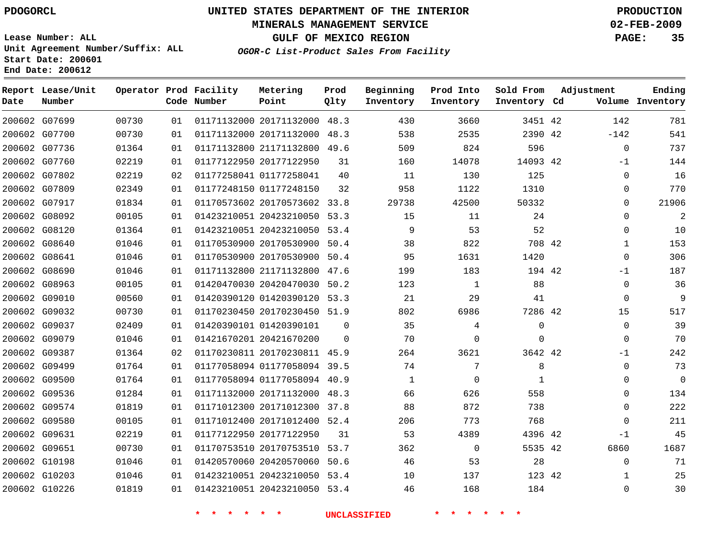### **MINERALS MANAGEMENT SERVICE 02-FEB-2009**

**GULF OF MEXICO REGION PAGE: 35**

**Lease Number: ALL Unit Agreement Number/Suffix: ALL Start Date: 200601 End Date: 200612**

**OGOR-C List-Product Sales From Facility**

| Date | Report Lease/Unit<br>Number |       |    | Operator Prod Facility<br>Code Number | Metering<br>Point            | Prod<br>Qlty | Beginning<br>Inventory | Prod Into<br>Inventory | Sold From<br>Inventory Cd | Adjustment | Ending<br>Volume Inventory |
|------|-----------------------------|-------|----|---------------------------------------|------------------------------|--------------|------------------------|------------------------|---------------------------|------------|----------------------------|
|      | 200602 G07699               | 00730 | 01 |                                       | 01171132000 20171132000 48.3 |              | 430                    | 3660                   | 3451 42                   | 142        | 781                        |
|      | 200602 G07700               | 00730 | 01 |                                       | 01171132000 20171132000      | 48.3         | 538                    | 2535                   | 2390 42                   | $-142$     | 541                        |
|      | 200602 G07736               | 01364 | 01 |                                       | 01171132800 21171132800 49.6 |              | 509                    | 824                    | 596                       |            | 737<br>$\mathbf 0$         |
|      | 200602 G07760               | 02219 | 01 |                                       | 01177122950 20177122950      | 31           | 160                    | 14078                  | 14093 42                  |            | 144<br>$-1$                |
|      | 200602 G07802               | 02219 | 02 |                                       | 01177258041 01177258041      | 40           | 11                     | 130                    | 125                       |            | 16<br>$\mathbf 0$          |
|      | 200602 G07809               | 02349 | 01 |                                       | 01177248150 01177248150      | 32           | 958                    | 1122                   | 1310                      |            | 770<br>0                   |
|      | 200602 G07917               | 01834 | 01 |                                       | 01170573602 20170573602 33.8 |              | 29738                  | 42500                  | 50332                     |            | 21906<br>$\Omega$          |
|      | 200602 G08092               | 00105 | 01 |                                       | 01423210051 20423210050      | 53.3         | 15                     | 11                     | 24                        |            | $\mathbf{2}$<br>$\Omega$   |
|      | 200602 G08120               | 01364 | 01 |                                       | 01423210051 20423210050 53.4 |              | 9                      | 53                     | 52                        |            | 10<br>0                    |
|      | 200602 G08640               | 01046 | 01 |                                       | 01170530900 20170530900      | 50.4         | 38                     | 822                    | 708 42                    |            | 153<br>$\mathbf 1$         |
|      | 200602 G08641               | 01046 | 01 |                                       | 01170530900 20170530900      | 50.4         | 95                     | 1631                   | 1420                      |            | 306<br>$\mathbf 0$         |
|      | 200602 G08690               | 01046 | 01 |                                       | 01171132800 21171132800      | 47.6         | 199                    | 183                    | 194 42                    |            | 187<br>$-1$                |
|      | 200602 G08963               | 00105 | 01 |                                       | 01420470030 20420470030      | 50.2         | 123                    | $\mathbf 1$            | 88                        |            | $\mathbf 0$<br>36          |
|      | 200602 G09010               | 00560 | 01 |                                       | 01420390120 01420390120      | 53.3         | 21                     | 29                     | 41                        |            | 9<br>$\mathbf 0$           |
|      | 200602 G09032               | 00730 | 01 |                                       | 01170230450 20170230450 51.9 |              | 802                    | 6986                   | 7286 42                   |            | 517<br>15                  |
|      | 200602 G09037               | 02409 | 01 |                                       | 01420390101 01420390101      | $\mathbf 0$  | 35                     | 4                      | 0                         |            | 39<br>0                    |
|      | 200602 G09079               | 01046 | 01 |                                       | 01421670201 20421670200      | $\Omega$     | 70                     | $\Omega$               | $\Omega$                  |            | 70<br>$\Omega$             |
|      | 200602 G09387               | 01364 | 02 |                                       | 01170230811 20170230811 45.9 |              | 264                    | 3621                   | 3642 42                   |            | 242<br>$-1$                |
|      | 200602 G09499               | 01764 | 01 |                                       | 01177058094 01177058094 39.5 |              | 74                     | 7                      | 8                         |            | 73<br>$\mathbf 0$          |
|      | 200602 G09500               | 01764 | 01 |                                       | 01177058094 01177058094 40.9 |              | $\mathbf{1}$           | $\mathbf 0$            | 1                         |            | $\mathbf 0$<br>$\mathbf 0$ |
|      | 200602 G09536               | 01284 | 01 |                                       | 01171132000 20171132000 48.3 |              | 66                     | 626                    | 558                       |            | 134<br>$\Omega$            |
|      | 200602 G09574               | 01819 | 01 |                                       | 01171012300 20171012300      | 37.8         | 88                     | 872                    | 738                       |            | 222<br>$\mathbf 0$         |
|      | 200602 G09580               | 00105 | 01 |                                       | 01171012400 20171012400 52.4 |              | 206                    | 773                    | 768                       |            | 211<br>$\mathbf 0$         |
|      | 200602 G09631               | 02219 | 01 |                                       | 01177122950 20177122950      | 31           | 53                     | 4389                   | 4396 42                   |            | 45<br>$-1$                 |
|      | 200602 G09651               | 00730 | 01 |                                       | 01170753510 20170753510      | 53.7         | 362                    | 0                      | 5535 42                   | 6860       | 1687                       |
|      | 200602 G10198               | 01046 | 01 |                                       | 01420570060 20420570060      | 50.6         | 46                     | 53                     | 28                        |            | 71<br>$\mathbf 0$          |
|      | 200602 G10203               | 01046 | 01 |                                       | 01423210051 20423210050      | 53.4         | 10                     | 137                    | 123 42                    |            | 25<br>1                    |
|      | 200602 G10226               | 01819 | 01 |                                       | 01423210051 20423210050 53.4 |              | 46                     | 168                    | 184                       |            | 30<br>$\Omega$             |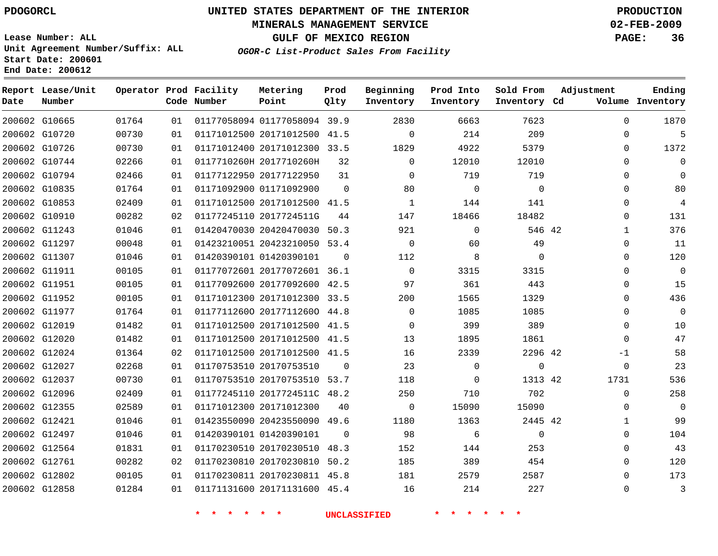#### **MINERALS MANAGEMENT SERVICE 02-FEB-2009**

**GULF OF MEXICO REGION PAGE: 36**

**Lease Number: ALL Unit Agreement Number/Suffix: ALL Start Date: 200601 End Date: 200612**

**OGOR-C List-Product Sales From Facility**

| Date | Report Lease/Unit<br>Number |       |    | Operator Prod Facility<br>Code Number | Metering<br>Point            | Prod<br>Qlty | Beginning<br>Inventory | Prod Into<br>Inventory | Sold From<br>Inventory Cd | Adjustment   | Ending<br>Volume Inventory |
|------|-----------------------------|-------|----|---------------------------------------|------------------------------|--------------|------------------------|------------------------|---------------------------|--------------|----------------------------|
|      | 200602 G10665               | 01764 | 01 |                                       | 01177058094 01177058094 39.9 |              | 2830                   | 6663                   | 7623                      | $\Omega$     | 1870                       |
|      | 200602 G10720               | 00730 | 01 |                                       | 01171012500 20171012500 41.5 |              | $\Omega$               | 214                    | 209                       | $\Omega$     | 5                          |
|      | 200602 G10726               | 00730 | 01 |                                       | 01171012400 20171012300 33.5 |              | 1829                   | 4922                   | 5379                      | $\Omega$     | 1372                       |
|      | 200602 G10744               | 02266 | 01 |                                       | 0117710260H 2017710260H      | 32           | $\Omega$               | 12010                  | 12010                     | $\Omega$     | $\mathbf 0$                |
|      | 200602 G10794               | 02466 | 01 |                                       | 01177122950 20177122950      | 31           | $\Omega$               | 719                    | 719                       | 0            | $\Omega$                   |
|      | 200602 G10835               | 01764 | 01 |                                       | 01171092900 01171092900      | $\Omega$     | 80                     | 0                      | $\mathbf 0$               | 0            | 80                         |
|      | 200602 G10853               | 02409 | 01 |                                       | 01171012500 20171012500 41.5 |              | $\mathbf{1}$           | 144                    | 141                       | $\Omega$     | 4                          |
|      | 200602 G10910               | 00282 | 02 |                                       | 01177245110 2017724511G      | 44           | 147                    | 18466                  | 18482                     | $\mathbf 0$  | 131                        |
|      | 200602 G11243               | 01046 | 01 |                                       | 01420470030 20420470030      | 50.3         | 921                    | $\mathbf 0$            | 546 42                    | $\mathbf{1}$ | 376                        |
|      | 200602 G11297               | 00048 | 01 |                                       | 01423210051 20423210050 53.4 |              | $\Omega$               | 60                     | 49                        | $\Omega$     | 11                         |
|      | 200602 G11307               | 01046 | 01 |                                       | 01420390101 01420390101      | 0            | 112                    | 8                      | 0                         | 0            | 120                        |
|      | 200602 G11911               | 00105 | 01 |                                       | 01177072601 20177072601 36.1 |              | $\mathbf 0$            | 3315                   | 3315                      | 0            | $\mathbf 0$                |
|      | 200602 G11951               | 00105 | 01 |                                       | 01177092600 20177092600 42.5 |              | 97                     | 361                    | 443                       | $\Omega$     | 15                         |
|      | 200602 G11952               | 00105 | 01 |                                       | 01171012300 20171012300 33.5 |              | 200                    | 1565                   | 1329                      | $\Omega$     | 436                        |
|      | 200602 G11977               | 01764 | 01 |                                       | 01177112600 20177112600 44.8 |              | $\Omega$               | 1085                   | 1085                      | $\Omega$     | $\mathbf 0$                |
|      | 200602 G12019               | 01482 | 01 |                                       | 01171012500 20171012500 41.5 |              | $\Omega$               | 399                    | 389                       | $\Omega$     | 10                         |
|      | 200602 G12020               | 01482 | 01 |                                       | 01171012500 20171012500 41.5 |              | 13                     | 1895                   | 1861                      | $\Omega$     | 47                         |
|      | 200602 G12024               | 01364 | 02 |                                       | 01171012500 20171012500 41.5 |              | 16                     | 2339                   | 2296 42                   | -1           | 58                         |
|      | 200602 G12027               | 02268 | 01 |                                       | 01170753510 20170753510      | $\Omega$     | 23                     | $\mathbf 0$            | $\mathbf 0$               | $\mathbf 0$  | 23                         |
|      | 200602 G12037               | 00730 | 01 |                                       | 01170753510 20170753510 53.7 |              | 118                    | $\mathbf 0$            | 1313 42                   | 1731         | 536                        |
|      | 200602 G12096               | 02409 | 01 |                                       | 01177245110 2017724511C 48.2 |              | 250                    | 710                    | 702                       | $\Omega$     | 258                        |
|      | 200602 G12355               | 02589 | 01 |                                       | 01171012300 20171012300      | 40           | $\Omega$               | 15090                  | 15090                     | $\Omega$     | $\Omega$                   |
|      | 200602 G12421               | 01046 | 01 |                                       | 01423550090 20423550090 49.6 |              | 1180                   | 1363                   | 2445 42                   | 1            | 99                         |
|      | 200602 G12497               | 01046 | 01 |                                       | 01420390101 01420390101      | 0            | 98                     | 6                      | 0                         | 0            | 104                        |
|      | 200602 G12564               | 01831 | 01 |                                       | 01170230510 20170230510 48.3 |              | 152                    | 144                    | 253                       | 0            | 43                         |
|      | 200602 G12761               | 00282 | 02 |                                       | 01170230810 20170230810 50.2 |              | 185                    | 389                    | 454                       | $\mathbf 0$  | 120                        |
|      | 200602 G12802               | 00105 | 01 |                                       | 01170230811 20170230811 45.8 |              | 181                    | 2579                   | 2587                      | $\Omega$     | 173                        |
|      | 200602 G12858               | 01284 | 01 |                                       | 01171131600 20171131600 45.4 |              | 16                     | 214                    | 227                       | $\Omega$     | 3                          |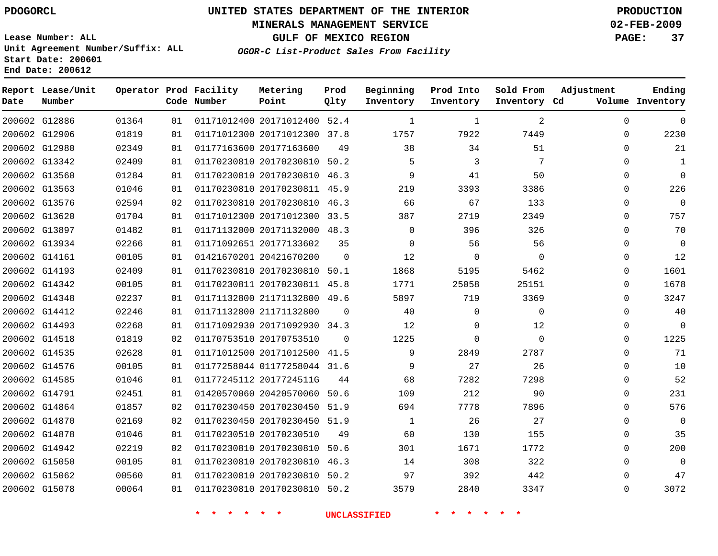## **MINERALS MANAGEMENT SERVICE 02-FEB-2009**

**GULF OF MEXICO REGION PAGE: 37**

**Lease Number: ALL Unit Agreement Number/Suffix: ALL Start Date: 200601 End Date: 200612**

**OGOR-C List-Product Sales From Facility**

| Date | Report Lease/Unit<br>Number |       |    | Operator Prod Facility<br>Code Number | Metering<br>Point            | Prod<br>Qlty | Beginning<br>Inventory | Prod Into<br>Inventory | Sold From<br>Inventory Cd | Adjustment   | Ending<br>Volume Inventory |
|------|-----------------------------|-------|----|---------------------------------------|------------------------------|--------------|------------------------|------------------------|---------------------------|--------------|----------------------------|
|      | 200602 G12886               | 01364 | 01 |                                       | 01171012400 20171012400 52.4 |              | $\mathbf{1}$           | $\mathbf 1$            | 2                         | $\Omega$     | $\Omega$                   |
|      | 200602 G12906               | 01819 | 01 |                                       | 01171012300 20171012300 37.8 |              | 1757                   | 7922                   | 7449                      | $\mathbf 0$  | 2230                       |
|      | 200602 G12980               | 02349 | 01 |                                       | 01177163600 20177163600      | 49           | 38                     | 34                     | 51                        | 0            | 21                         |
|      | 200602 G13342               | 02409 | 01 |                                       | 01170230810 20170230810 50.2 |              | 5                      | 3                      | 7                         | 0            | 1                          |
|      | 200602 G13560               | 01284 | 01 |                                       | 01170230810 20170230810 46.3 |              | 9                      | 41                     | 50                        | $\Omega$     | $\Omega$                   |
|      | 200602 G13563               | 01046 | 01 |                                       | 01170230810 20170230811 45.9 |              | 219                    | 3393                   | 3386                      | $\mathbf 0$  | 226                        |
|      | 200602 G13576               | 02594 | 02 |                                       | 01170230810 20170230810 46.3 |              | 66                     | 67                     | 133                       | 0            | $\mathbf{0}$               |
|      | 200602 G13620               | 01704 | 01 |                                       | 01171012300 20171012300      | 33.5         | 387                    | 2719                   | 2349                      | $\mathbf{0}$ | 757                        |
|      | 200602 G13897               | 01482 | 01 |                                       | 01171132000 20171132000 48.3 |              | $\Omega$               | 396                    | 326                       | $\Omega$     | 70                         |
|      | 200602 G13934               | 02266 | 01 |                                       | 01171092651 20177133602      | 35           | $\Omega$               | 56                     | 56                        | 0            | $\Omega$                   |
|      | 200602 G14161               | 00105 | 01 |                                       | 01421670201 20421670200      | $\Omega$     | 12                     | $\Omega$               | $\Omega$                  | 0            | 12                         |
|      | 200602 G14193               | 02409 | 01 |                                       | 01170230810 20170230810 50.1 |              | 1868                   | 5195                   | 5462                      | $\mathbf 0$  | 1601                       |
|      | 200602 G14342               | 00105 | 01 |                                       | 01170230811 20170230811 45.8 |              | 1771                   | 25058                  | 25151                     | $\Omega$     | 1678                       |
|      | 200602 G14348               | 02237 | 01 |                                       | 01171132800 21171132800 49.6 |              | 5897                   | 719                    | 3369                      | 0            | 3247                       |
|      | 200602 G14412               | 02246 | 01 |                                       | 01171132800 21171132800      | $\Omega$     | 40                     | $\Omega$               | $\mathbf 0$               | $\Omega$     | 40                         |
|      | 200602 G14493               | 02268 | 01 |                                       | 01171092930 20171092930 34.3 |              | 12                     | $\Omega$               | 12                        | $\mathbf 0$  | $\Omega$                   |
|      | 200602 G14518               | 01819 | 02 |                                       | 01170753510 20170753510      | $\Omega$     | 1225                   | $\mathbf 0$            | $\Omega$                  | $\mathbf 0$  | 1225                       |
|      | 200602 G14535               | 02628 | 01 |                                       | 01171012500 20171012500 41.5 |              | 9                      | 2849                   | 2787                      | 0            | 71                         |
|      | 200602 G14576               | 00105 | 01 |                                       | 01177258044 01177258044 31.6 |              | 9                      | 27                     | 26                        | $\Omega$     | 10                         |
|      | 200602 G14585               | 01046 | 01 |                                       | 01177245112 2017724511G      | 44           | 68                     | 7282                   | 7298                      | $\Omega$     | 52                         |
|      | 200602 G14791               | 02451 | 01 |                                       | 01420570060 20420570060 50.6 |              | 109                    | 212                    | 90                        | $\mathbf{0}$ | 231                        |
|      | 200602 G14864               | 01857 | 02 |                                       | 01170230450 20170230450 51.9 |              | 694                    | 7778                   | 7896                      | $\mathbf 0$  | 576                        |
|      | 200602 G14870               | 02169 | 02 |                                       | 01170230450 20170230450 51.9 |              | $\mathbf{1}$           | 26                     | 27                        | $\Omega$     | $\mathbf 0$                |
|      | 200602 G14878               | 01046 | 01 |                                       | 01170230510 20170230510      | 49           | 60                     | 130                    | 155                       | $\Omega$     | 35                         |
|      | 200602 G14942               | 02219 | 02 |                                       | 01170230810 20170230810      | 50.6         | 301                    | 1671                   | 1772                      | 0            | 200                        |
|      | 200602 G15050               | 00105 | 01 |                                       | 01170230810 20170230810 46.3 |              | 14                     | 308                    | 322                       | 0            | $\mathbf 0$                |
|      | 200602 G15062               | 00560 | 01 |                                       | 01170230810 20170230810      | 50.2         | 97                     | 392                    | 442                       | $\Omega$     | 47                         |
|      | 200602 G15078               | 00064 | 01 |                                       | 01170230810 20170230810 50.2 |              | 3579                   | 2840                   | 3347                      | $\Omega$     | 3072                       |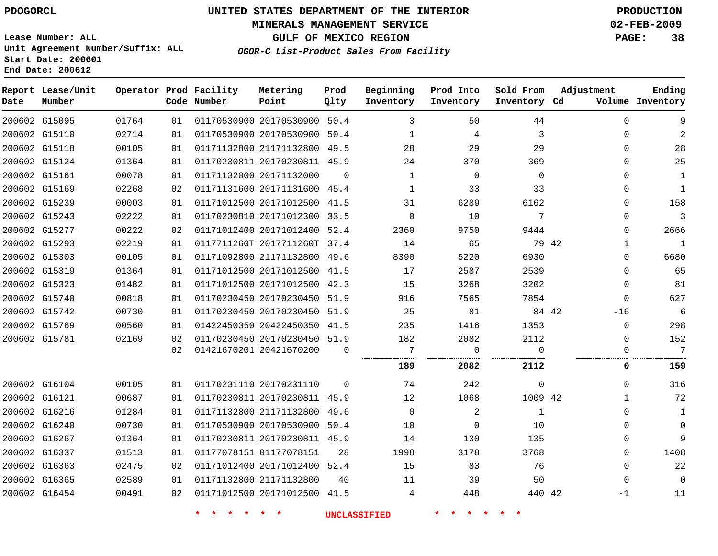#### **MINERALS MANAGEMENT SERVICE 02-FEB-2009**

**GULF OF MEXICO REGION PAGE: 38 OGOR-C List-Product Sales From Facility**

**Lease Number: ALL Unit Agreement Number/Suffix: ALL Start Date: 200601 End Date: 200612**

| Date | Report Lease/Unit<br>Number |       |    | Operator Prod Facility<br>Code Number | Metering<br>Point            | Prod<br>Qlty   | Beginning<br>Inventory | Prod Into<br>Inventory | Sold From<br>Inventory Cd | Adjustment   | Ending<br>Volume Inventory |
|------|-----------------------------|-------|----|---------------------------------------|------------------------------|----------------|------------------------|------------------------|---------------------------|--------------|----------------------------|
|      | 200602 G15095               | 01764 | 01 |                                       | 01170530900 20170530900 50.4 |                | 3                      | 50                     | 44                        | $\Omega$     | 9                          |
|      | 200602 G15110               | 02714 | 01 | 01170530900 20170530900 50.4          |                              |                | $\mathbf{1}$           | $\overline{4}$         | $\overline{3}$            | $\Omega$     | 2                          |
|      | 200602 G15118               | 00105 | 01 |                                       | 01171132800 21171132800 49.5 |                | 28                     | 29                     | 29                        | $\Omega$     | 28                         |
|      | 200602 G15124               | 01364 | 01 |                                       | 01170230811 20170230811 45.9 |                | 24                     | 370                    | 369                       | $\Omega$     | 25                         |
|      | 200602 G15161               | 00078 | 01 |                                       | 01171132000 20171132000      | $\Omega$       | 1                      | $\Omega$               | $\Omega$                  | $\Omega$     | 1                          |
|      | 200602 G15169               | 02268 | 02 |                                       | 01171131600 20171131600 45.4 |                | 1                      | 33                     | 33                        | $\Omega$     | $\mathbf{1}$               |
|      | 200602 G15239               | 00003 | 01 |                                       | 01171012500 20171012500 41.5 |                | 31                     | 6289                   | 6162                      | $\Omega$     | 158                        |
|      | 200602 G15243               | 02222 | 01 |                                       | 01170230810 20171012300 33.5 |                | $\Omega$               | 10                     | 7                         | $\Omega$     | $\overline{3}$             |
|      | 200602 G15277               | 00222 | 02 |                                       | 01171012400 20171012400 52.4 |                | 2360                   | 9750                   | 9444                      | $\Omega$     | 2666                       |
|      | 200602 G15293               | 02219 | 01 |                                       | 0117711260T 2017711260T 37.4 |                | 14                     | 65                     | 79 42                     | 1            | 1                          |
|      | 200602 G15303               | 00105 | 01 |                                       | 01171092800 21171132800 49.6 |                | 8390                   | 5220                   | 6930                      | $\Omega$     | 6680                       |
|      | 200602 G15319               | 01364 | 01 |                                       | 01171012500 20171012500 41.5 |                | 17                     | 2587                   | 2539                      | $\Omega$     | 65                         |
|      | 200602 G15323               | 01482 | 01 |                                       | 01171012500 20171012500 42.3 |                | 15                     | 3268                   | 3202                      | $\Omega$     | 81                         |
|      | 200602 G15740               | 00818 | 01 |                                       | 01170230450 20170230450 51.9 |                | 916                    | 7565                   | 7854                      | $\Omega$     | 627                        |
|      | 200602 G15742               | 00730 | 01 |                                       | 01170230450 20170230450 51.9 |                | 25                     | 81                     | 84 42                     | $-16$        | 6                          |
|      | 200602 G15769               | 00560 | 01 |                                       | 01422450350 20422450350 41.5 |                | 235                    | 1416                   | 1353                      | 0            | 298                        |
|      | 200602 G15781               | 02169 | 02 |                                       | 01170230450 20170230450 51.9 |                | 182                    | 2082                   | 2112                      | $\Omega$     | 152                        |
|      |                             |       | 02 | 01421670201 20421670200               |                              | $\overline{0}$ | -7                     | $\overline{0}$         | $\Omega$                  | 0            | $7\phantom{.0}$            |
|      |                             |       |    |                                       |                              |                | 189                    | 2082                   | 2112                      | 0            | 159                        |
|      | 200602 G16104               | 00105 | 01 |                                       | 01170231110 20170231110      | $\Omega$       | 74                     | 242                    | $\mathbf 0$               | 0            | 316                        |
|      | 200602 G16121               | 00687 | 01 |                                       | 01170230811 20170230811 45.9 |                | 12                     | 1068                   | 1009 42                   | $\mathbf{1}$ | 72                         |
|      | 200602 G16216               | 01284 | 01 |                                       | 01171132800 21171132800 49.6 |                | $\Omega$               | 2                      | 1                         | $\Omega$     | $\mathbf{1}$               |
|      | 200602 G16240               | 00730 | 01 |                                       | 01170530900 20170530900 50.4 |                | 10                     | $\overline{0}$         | 10                        | 0            | $\mathbf 0$                |
|      | 200602 G16267               | 01364 | 01 |                                       | 01170230811 20170230811 45.9 |                | 14                     | 130                    | 135                       | $\Omega$     | 9                          |
|      | 200602 G16337               | 01513 | 01 |                                       | 01177078151 01177078151      | 28             | 1998                   | 3178                   | 3768                      | $\Omega$     | 1408                       |
|      | 200602 G16363               | 02475 | 02 |                                       | 01171012400 20171012400 52.4 |                | 15                     | 83                     | 76                        | $\Omega$     | 22                         |
|      | 200602 G16365               | 02589 | 01 |                                       | 01171132800 21171132800      | 40             | 11                     | 39                     | 50                        | $\Omega$     | $\mathbf 0$                |
|      | 200602 G16454               | 00491 | 02 |                                       | 01171012500 20171012500 41.5 |                | 4                      | 448                    | 440 42                    | -1           | 11                         |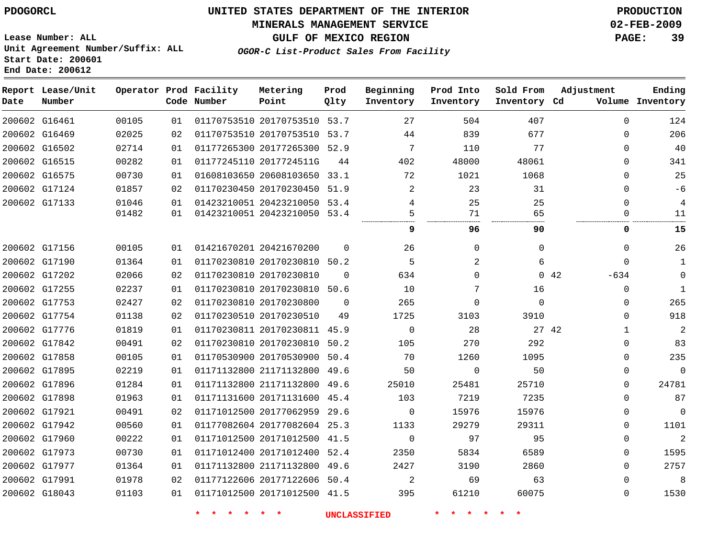#### **MINERALS MANAGEMENT SERVICE 02-FEB-2009**

**GULF OF MEXICO REGION PAGE: 39**

**Lease Number: ALL Unit Agreement Number/Suffix: ALL Start Date: 200601 End Date: 200612**

**OGOR-C List-Product Sales From Facility**

| Date          | Report Lease/Unit<br>Number |       |    | Operator Prod Facility<br>Code Number | Metering<br>Point            | Prod<br>Qlty | Beginning<br>Inventory | Prod Into<br>Inventory | Sold From<br>Inventory Cd | Adjustment    | Ending<br>Volume Inventory |
|---------------|-----------------------------|-------|----|---------------------------------------|------------------------------|--------------|------------------------|------------------------|---------------------------|---------------|----------------------------|
|               | 200602 G16461               | 00105 | 01 |                                       | 01170753510 20170753510 53.7 |              | 27                     | 504                    | 407                       | $\Omega$      | 124                        |
|               | 200602 G16469               | 02025 | 02 |                                       | 01170753510 20170753510 53.7 |              | 44                     | 839                    | 677                       | $\mathbf 0$   | 206                        |
|               | 200602 G16502               | 02714 | 01 |                                       | 01177265300 20177265300 52.9 |              | 7                      | 110                    | 77                        | $\mathbf 0$   | 40                         |
| 200602 G16515 |                             | 00282 | 01 |                                       | 01177245110 2017724511G      | 44           | 402                    | 48000                  | 48061                     | $\mathbf 0$   | 341                        |
|               | 200602 G16575               | 00730 | 01 |                                       | 01608103650 20608103650 33.1 |              | 72                     | 1021                   | 1068                      | $\Omega$      | 25                         |
|               | 200602 G17124               | 01857 | 02 |                                       | 01170230450 20170230450 51.9 |              | $\overline{2}$         | 23                     | 31                        | $\Omega$      | $-6$                       |
| 200602 G17133 |                             | 01046 | 01 |                                       | 01423210051 20423210050 53.4 |              | 4                      | 25                     | 25                        | $\Omega$      | 4                          |
|               |                             | 01482 | 01 |                                       | 01423210051 20423210050 53.4 |              | 5                      | 71                     | 65                        | 0             | 11                         |
|               |                             |       |    |                                       |                              |              | 9                      | 96                     | 90                        | 0             | 15                         |
| 200602 G17156 |                             | 00105 | 01 |                                       | 01421670201 20421670200      | $\Omega$     | 26                     | $\Omega$               | $\Omega$                  | $\mathbf 0$   | 26                         |
|               | 200602 G17190               | 01364 | 01 |                                       | 01170230810 20170230810 50.2 |              | 5                      | 2                      | 6                         | $\mathbf 0$   | $\mathbf{1}$               |
|               | 200602 G17202               | 02066 | 02 |                                       | 01170230810 20170230810      | $\Omega$     | 634                    | $\Omega$               |                           | 042<br>$-634$ | $\mathbf 0$                |
|               | 200602 G17255               | 02237 | 01 |                                       | 01170230810 20170230810      | 50.6         | 10                     | 7                      | 16                        | $\mathbf 0$   | $\mathbf{1}$               |
|               | 200602 G17753               | 02427 | 02 |                                       | 01170230810 20170230800      | $\Omega$     | 265                    | $\Omega$               | $\Omega$                  | $\Omega$      | 265                        |
|               | 200602 G17754               | 01138 | 02 |                                       | 01170230510 20170230510      | 49           | 1725                   | 3103                   | 3910                      | $\mathbf 0$   | 918                        |
| 200602 G17776 |                             | 01819 | 01 |                                       | 01170230811 20170230811      | 45.9         | $\mathbf 0$            | 28                     | 27 42                     | $\mathbf{1}$  | 2                          |
|               | 200602 G17842               | 00491 | 02 |                                       | 01170230810 20170230810 50.2 |              | 105                    | 270                    | 292                       | $\mathbf 0$   | 83                         |
|               | 200602 G17858               | 00105 | 01 |                                       | 01170530900 20170530900 50.4 |              | 70                     | 1260                   | 1095                      | $\mathbf 0$   | 235                        |
| 200602 G17895 |                             | 02219 | 01 |                                       | 01171132800 21171132800 49.6 |              | 50                     | $\mathbf 0$            | 50                        | 0             | $\mathbf 0$                |
|               | 200602 G17896               | 01284 | 01 |                                       | 01171132800 21171132800 49.6 |              | 25010                  | 25481                  | 25710                     | $\Omega$      | 24781                      |
|               | 200602 G17898               | 01963 | 01 |                                       | 01171131600 20171131600 45.4 |              | 103                    | 7219                   | 7235                      | $\Omega$      | 87                         |
|               | 200602 G17921               | 00491 | 02 |                                       | 01171012500 20177062959 29.6 |              | $\mathbf{0}$           | 15976                  | 15976                     | $\mathbf 0$   | $\Omega$                   |
|               | 200602 G17942               | 00560 | 01 |                                       | 01177082604 20177082604 25.3 |              | 1133                   | 29279                  | 29311                     | 0             | 1101                       |
|               | 200602 G17960               | 00222 | 01 |                                       | 01171012500 20171012500 41.5 |              | $\mathbf 0$            | 97                     | 95                        | $\mathbf 0$   | $\overline{2}$             |
| 200602 G17973 |                             | 00730 | 01 |                                       | 01171012400 20171012400 52.4 |              | 2350                   | 5834                   | 6589                      | $\mathbf 0$   | 1595                       |
|               | 200602 G17977               | 01364 | 01 |                                       | 01171132800 21171132800 49.6 |              | 2427                   | 3190                   | 2860                      | $\Omega$      | 2757                       |
| 200602 G17991 |                             | 01978 | 02 |                                       | 01177122606 20177122606 50.4 |              | 2                      | 69                     | 63                        | $\mathbf 0$   | 8                          |
|               | 200602 G18043               | 01103 | 01 |                                       | 01171012500 20171012500 41.5 |              | 395                    | 61210                  | 60075                     | $\mathbf 0$   | 1530                       |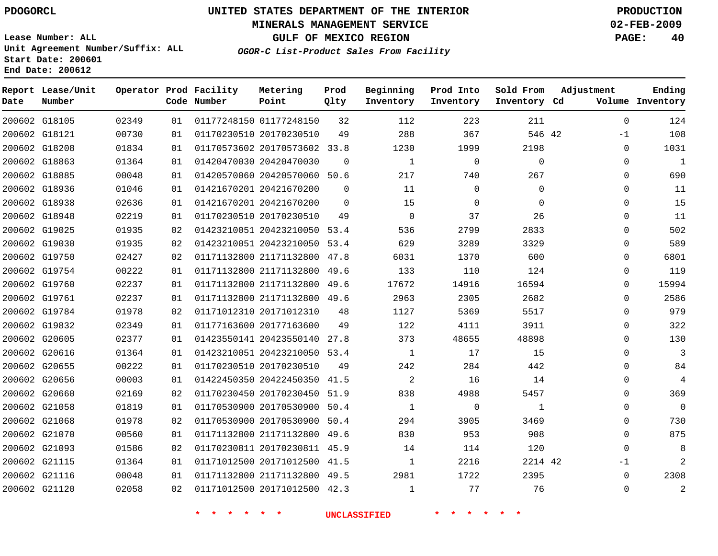## **MINERALS MANAGEMENT SERVICE 02-FEB-2009**

**GULF OF MEXICO REGION PAGE: 40**

**Lease Number: ALL Unit Agreement Number/Suffix: ALL Start Date: 200601 End Date: 200612**

**OGOR-C List-Product Sales From Facility**

| Date | Report Lease/Unit<br>Number |       |    | Operator Prod Facility<br>Code Number | Metering<br>Point            | Prod<br>Qlty | Beginning<br>Inventory | Prod Into<br>Inventory | Sold From<br>Inventory Cd | Adjustment   | Ending<br>Volume Inventory |
|------|-----------------------------|-------|----|---------------------------------------|------------------------------|--------------|------------------------|------------------------|---------------------------|--------------|----------------------------|
|      | 200602 G18105               | 02349 | 01 |                                       | 01177248150 01177248150      | 32           | 112                    | 223                    | 211                       | 0            | 124                        |
|      | 200602 G18121               | 00730 | 01 |                                       | 01170230510 20170230510      | 49           | 288                    | 367                    | 546 42                    | $-1$         | 108                        |
|      | 200602 G18208               | 01834 | 01 |                                       | 01170573602 20170573602 33.8 |              | 1230                   | 1999                   | 2198                      | 0            | 1031                       |
|      | 200602 G18863               | 01364 | 01 |                                       | 01420470030 20420470030      | $\mathbf 0$  | $\mathbf{1}$           | 0                      | 0                         | 0            | $\mathbf{1}$               |
|      | 200602 G18885               | 00048 | 01 |                                       | 01420570060 20420570060 50.6 |              | 217                    | 740                    | 267                       | 0            | 690                        |
|      | 200602 G18936               | 01046 | 01 |                                       | 01421670201 20421670200      | $\Omega$     | 11                     | 0                      | 0                         | 0            | 11                         |
|      | 200602 G18938               | 02636 | 01 |                                       | 01421670201 20421670200      | $\Omega$     | 15                     | $\Omega$               | $\Omega$                  | 0            | 15                         |
|      | 200602 G18948               | 02219 | 01 |                                       | 01170230510 20170230510      | 49           | $\mathbf 0$            | 37                     | 26                        | $\mathbf{0}$ | 11                         |
|      | 200602 G19025               | 01935 | 02 |                                       | 01423210051 20423210050 53.4 |              | 536                    | 2799                   | 2833                      | 0            | 502                        |
|      | 200602 G19030               | 01935 | 02 |                                       | 01423210051 20423210050 53.4 |              | 629                    | 3289                   | 3329                      | 0            | 589                        |
|      | 200602 G19750               | 02427 | 02 |                                       | 01171132800 21171132800 47.8 |              | 6031                   | 1370                   | 600                       | 0            | 6801                       |
|      | 200602 G19754               | 00222 | 01 |                                       | 01171132800 21171132800      | 49.6         | 133                    | 110                    | 124                       | $\mathbf{0}$ | 119                        |
|      | 200602 G19760               | 02237 | 01 |                                       | 01171132800 21171132800 49.6 |              | 17672                  | 14916                  | 16594                     | $\Omega$     | 15994                      |
|      | 200602 G19761               | 02237 | 01 |                                       | 01171132800 21171132800 49.6 |              | 2963                   | 2305                   | 2682                      | $\mathbf{0}$ | 2586                       |
|      | 200602 G19784               | 01978 | 02 |                                       | 01171012310 20171012310      | 48           | 1127                   | 5369                   | 5517                      | $\Omega$     | 979                        |
|      | 200602 G19832               | 02349 | 01 |                                       | 01177163600 20177163600      | 49           | 122                    | 4111                   | 3911                      | $\mathbf{0}$ | 322                        |
|      | 200602 G20605               | 02377 | 01 |                                       | 01423550141 20423550140 27.8 |              | 373                    | 48655                  | 48898                     | $\Omega$     | 130                        |
|      | 200602 G20616               | 01364 | 01 |                                       | 01423210051 20423210050 53.4 |              | 1                      | 17                     | 15                        | $\mathbf{0}$ | 3                          |
|      | 200602 G20655               | 00222 | 01 |                                       | 01170230510 20170230510      | 49           | 242                    | 284                    | 442                       | $\Omega$     | 84                         |
|      | 200602 G20656               | 00003 | 01 |                                       | 01422450350 20422450350      | 41.5         | 2                      | 16                     | 14                        | $\mathbf{0}$ | 4                          |
|      | 200602 G20660               | 02169 | 02 |                                       | 01170230450 20170230450 51.9 |              | 838                    | 4988                   | 5457                      | $\Omega$     | 369                        |
|      | 200602 G21058               | 01819 | 01 |                                       | 01170530900 20170530900 50.4 |              | $\mathbf{1}$           | $\mathbf 0$            | 1                         | $\mathbf{0}$ | $\Omega$                   |
|      | 200602 G21068               | 01978 | 02 |                                       | 01170530900 20170530900      | 50.4         | 294                    | 3905                   | 3469                      | $\Omega$     | 730                        |
|      | 200602 G21070               | 00560 | 01 |                                       | 01171132800 21171132800      | 49.6         | 830                    | 953                    | 908                       | $\Omega$     | 875                        |
|      | 200602 G21093               | 01586 | 02 |                                       | 01170230811 20170230811 45.9 |              | 14                     | 114                    | 120                       | $\Omega$     | 8                          |
|      | 200602 G21115               | 01364 | 01 |                                       | 01171012500 20171012500 41.5 |              | $\mathbf{1}$           | 2216                   | 2214 42                   | $-1$         | $\overline{2}$             |
|      | 200602 G21116               | 00048 | 01 |                                       | 01171132800 21171132800 49.5 |              | 2981                   | 1722                   | 2395                      | $\Omega$     | 2308                       |
|      | 200602 G21120               | 02058 | 02 |                                       | 01171012500 20171012500 42.3 |              | $\mathbf{1}$           | 77                     | 76                        | $\Omega$     | $\overline{2}$             |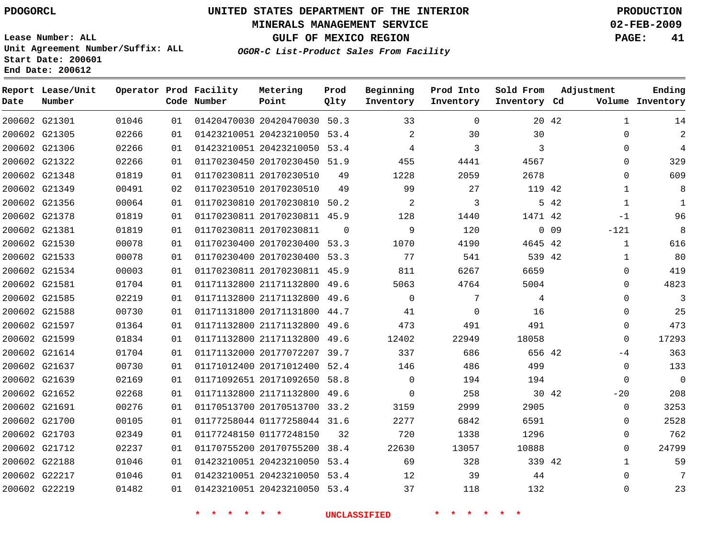## **MINERALS MANAGEMENT SERVICE 02-FEB-2009**

**GULF OF MEXICO REGION PAGE: 41**

**Lease Number: ALL Unit Agreement Number/Suffix: ALL Start Date: 200601 End Date: 200612**

**OGOR-C List-Product Sales From Facility**

| Date | Report Lease/Unit<br>Number |       |    | Operator Prod Facility<br>Code Number | Metering<br>Point            | Prod<br>Qlty | Beginning<br>Inventory | Prod Into<br>Inventory | Sold From<br>Inventory Cd | Adjustment      |              | Ending<br>Volume Inventory |
|------|-----------------------------|-------|----|---------------------------------------|------------------------------|--------------|------------------------|------------------------|---------------------------|-----------------|--------------|----------------------------|
|      | 200602 G21301               | 01046 | 01 |                                       | 01420470030 20420470030 50.3 |              | 33                     | $\Omega$               |                           | 20 42           | 1            | 14                         |
|      | 200602 G21305               | 02266 | 01 |                                       | 01423210051 20423210050 53.4 |              | 2                      | 30                     | 30                        |                 | 0            | 2                          |
|      | 200602 G21306               | 02266 | 01 |                                       | 01423210051 20423210050 53.4 |              | 4                      | 3                      | 3                         |                 | $\Omega$     | 4                          |
|      | 200602 G21322               | 02266 | 01 |                                       | 01170230450 20170230450 51.9 |              | 455                    | 4441                   | 4567                      |                 | $\Omega$     | 329                        |
|      | 200602 G21348               | 01819 | 01 |                                       | 01170230811 20170230510      | 49           | 1228                   | 2059                   | 2678                      |                 | $\Omega$     | 609                        |
|      | 200602 G21349               | 00491 | 02 |                                       | 01170230510 20170230510      | 49           | 99                     | 27                     | 119 42                    |                 | $\mathbf{1}$ | 8                          |
|      | 200602 G21356               | 00064 | 01 |                                       | 01170230810 20170230810 50.2 |              | 2                      | 3                      |                           | 5 42            | $\mathbf{1}$ | $\mathbf{1}$               |
|      | 200602 G21378               | 01819 | 01 |                                       | 01170230811 20170230811 45.9 |              | 128                    | 1440                   | 1471 42                   |                 | $-1$         | 96                         |
|      | 200602 G21381               | 01819 | 01 |                                       | 01170230811 20170230811      | $\Omega$     | 9                      | 120                    |                           | 0 <sub>09</sub> | $-121$       | 8                          |
|      | 200602 G21530               | 00078 | 01 |                                       | 01170230400 20170230400      | 53.3         | 1070                   | 4190                   | 4645 42                   |                 | $\mathbf{1}$ | 616                        |
|      | 200602 G21533               | 00078 | 01 |                                       | 01170230400 20170230400 53.3 |              | 77                     | 541                    | 539 42                    |                 | 1            | 80                         |
|      | 200602 G21534               | 00003 | 01 |                                       | 01170230811 20170230811 45.9 |              | 811                    | 6267                   | 6659                      |                 | $\mathbf{0}$ | 419                        |
|      | 200602 G21581               | 01704 | 01 |                                       | 01171132800 21171132800 49.6 |              | 5063                   | 4764                   | 5004                      |                 | $\Omega$     | 4823                       |
|      | 200602 G21585               | 02219 | 01 |                                       | 01171132800 21171132800      | 49.6         | $\mathbf 0$            | 7                      | 4                         |                 | 0            | 3                          |
|      | 200602 G21588               | 00730 | 01 |                                       | 01171131800 20171131800 44.7 |              | 41                     | $\mathbf 0$            | 16                        |                 | $\Omega$     | 25                         |
|      | 200602 G21597               | 01364 | 01 |                                       | 01171132800 21171132800      | 49.6         | 473                    | 491                    | 491                       |                 | $\Omega$     | 473                        |
|      | 200602 G21599               | 01834 | 01 |                                       | 01171132800 21171132800 49.6 |              | 12402                  | 22949                  | 18058                     |                 | $\Omega$     | 17293                      |
|      | 200602 G21614               | 01704 | 01 |                                       | 01171132000 20177072207 39.7 |              | 337                    | 686                    | 656 42                    |                 | $-4$         | 363                        |
|      | 200602 G21637               | 00730 | 01 |                                       | 01171012400 20171012400 52.4 |              | 146                    | 486                    | 499                       |                 | $\Omega$     | 133                        |
|      | 200602 G21639               | 02169 | 01 |                                       | 01171092651 20171092650      | 58.8         | $\Omega$               | 194                    | 194                       |                 | $\Omega$     | $\mathbf{0}$               |
|      | 200602 G21652               | 02268 | 01 |                                       | 01171132800 21171132800 49.6 |              | $\Omega$               | 258                    | 30 42                     |                 | $-20$        | 208                        |
|      | 200602 G21691               | 00276 | 01 |                                       | 01170513700 20170513700      | 33.2         | 3159                   | 2999                   | 2905                      |                 | $\Omega$     | 3253                       |
|      | 200602 G21700               | 00105 | 01 |                                       | 01177258044 01177258044 31.6 |              | 2277                   | 6842                   | 6591                      |                 | 0            | 2528                       |
|      | 200602 G21703               | 02349 | 01 |                                       | 01177248150 01177248150      | 32           | 720                    | 1338                   | 1296                      |                 | $\Omega$     | 762                        |
|      | 200602 G21712               | 02237 | 01 |                                       | 01170755200 20170755200 38.4 |              | 22630                  | 13057                  | 10888                     |                 | $\Omega$     | 24799                      |
|      | 200602 G22188               | 01046 | 01 |                                       | 01423210051 20423210050      | 53.4         | 69                     | 328                    | 339 42                    |                 | 1            | 59                         |
|      | 200602 G22217               | 01046 | 01 |                                       | 01423210051 20423210050 53.4 |              | 12                     | 39                     | 44                        |                 | $\Omega$     | 7                          |
|      | 200602 G22219               | 01482 | 01 |                                       | 01423210051 20423210050 53.4 |              | 37                     | 118                    | 132                       |                 | $\Omega$     | 23                         |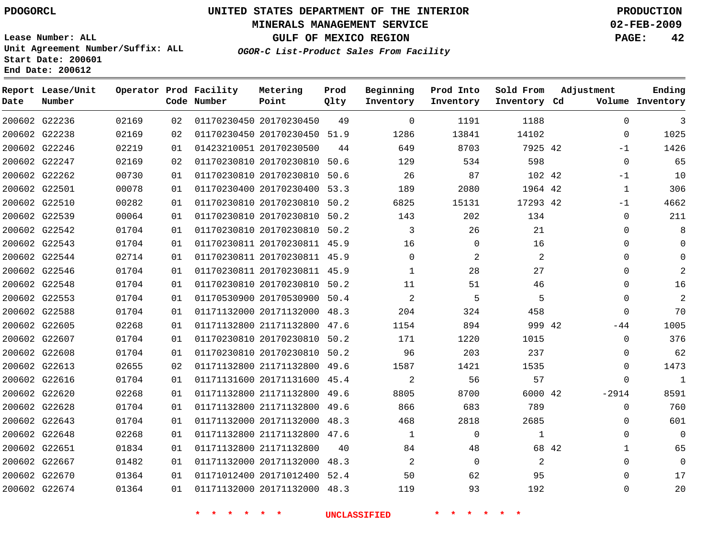## **MINERALS MANAGEMENT SERVICE 02-FEB-2009**

**GULF OF MEXICO REGION PAGE: 42**

**Lease Number: ALL Unit Agreement Number/Suffix: ALL Start Date: 200601 End Date: 200612**

**OGOR-C List-Product Sales From Facility**

| Date | Report Lease/Unit<br>Number |       |    | Operator Prod Facility<br>Code Number | Metering<br>Point            | Prod<br>Qlty | Beginning<br>Inventory | Prod Into<br>Inventory | Sold From<br>Inventory Cd | Adjustment |              | Ending<br>Volume Inventory |
|------|-----------------------------|-------|----|---------------------------------------|------------------------------|--------------|------------------------|------------------------|---------------------------|------------|--------------|----------------------------|
|      | 200602 G22236               | 02169 | 02 |                                       | 01170230450 20170230450      | 49           | 0                      | 1191                   | 1188                      |            | 0            | 3                          |
|      | 200602 G22238               | 02169 | 02 |                                       | 01170230450 20170230450 51.9 |              | 1286                   | 13841                  | 14102                     |            | $\mathbf{0}$ | 1025                       |
|      | 200602 G22246               | 02219 | 01 |                                       | 01423210051 20170230500      | 44           | 649                    | 8703                   | 7925 42                   |            | -1           | 1426                       |
|      | 200602 G22247               | 02169 | 02 |                                       | 01170230810 20170230810      | 50.6         | 129                    | 534                    | 598                       |            | $\mathbf 0$  | 65                         |
|      | 200602 G22262               | 00730 | 01 |                                       | 01170230810 20170230810      | 50.6         | 26                     | 87                     | 102 42                    |            | $-1$         | 10                         |
|      | 200602 G22501               | 00078 | 01 |                                       | 01170230400 20170230400      | 53.3         | 189                    | 2080                   | 1964 42                   |            | $\mathbf{1}$ | 306                        |
|      | 200602 G22510               | 00282 | 01 |                                       | 01170230810 20170230810      | 50.2         | 6825                   | 15131                  | 17293 42                  |            | $-1$         | 4662                       |
|      | 200602 G22539               | 00064 | 01 |                                       | 01170230810 20170230810      | 50.2         | 143                    | 202                    | 134                       |            | $\mathbf{0}$ | 211                        |
|      | 200602 G22542               | 01704 | 01 |                                       | 01170230810 20170230810 50.2 |              | 3                      | 26                     | 21                        |            | $\Omega$     | 8                          |
|      | 200602 G22543               | 01704 | 01 |                                       | 01170230811 20170230811 45.9 |              | 16                     | 0                      | 16                        |            | 0            |                            |
|      | 200602 G22544               | 02714 | 01 |                                       | 01170230811 20170230811 45.9 |              | $\Omega$               | 2                      | 2                         |            | $\Omega$     | O                          |
|      | 200602 G22546               | 01704 | 01 |                                       | 01170230811 20170230811 45.9 |              | 1                      | 28                     | 27                        |            | 0            |                            |
|      | 200602 G22548               | 01704 | 01 |                                       | 01170230810 20170230810 50.2 |              | 11                     | 51                     | 46                        |            | $\Omega$     | 16                         |
|      | 200602 G22553               | 01704 | 01 |                                       | 01170530900 20170530900 50.4 |              | 2                      | 5                      | 5                         |            | 0            | 2                          |
|      | 200602 G22588               | 01704 | 01 |                                       | 01171132000 20171132000 48.3 |              | 204                    | 324                    | 458                       |            | 0            | 70                         |
|      | 200602 G22605               | 02268 | 01 |                                       | 01171132800 21171132800      | 47.6         | 1154                   | 894                    | 999 42                    |            | $-44$        | 1005                       |
|      | 200602 G22607               | 01704 | 01 |                                       | 01170230810 20170230810      | 50.2         | 171                    | 1220                   | 1015                      |            | $\Omega$     | 376                        |
|      | 200602 G22608               | 01704 | 01 |                                       | 01170230810 20170230810      | 50.2         | 96                     | 203                    | 237                       |            | $\Omega$     | 62                         |
|      | 200602 G22613               | 02655 | 02 |                                       | 01171132800 21171132800 49.6 |              | 1587                   | 1421                   | 1535                      |            | 0            | 1473                       |
|      | 200602 G22616               | 01704 | 01 |                                       | 01171131600 20171131600 45.4 |              | 2                      | 56                     | 57                        |            | 0            | $\mathbf{1}$               |
|      | 200602 G22620               | 02268 | 01 |                                       | 01171132800 21171132800 49.6 |              | 8805                   | 8700                   | 6000 42                   |            | $-2914$      | 8591                       |
|      | 200602 G22628               | 01704 | 01 |                                       | 01171132800 21171132800 49.6 |              | 866                    | 683                    | 789                       |            | 0            | 760                        |
|      | 200602 G22643               | 01704 | 01 |                                       | 01171132000 20171132000 48.3 |              | 468                    | 2818                   | 2685                      |            | $\Omega$     | 601                        |
|      | 200602 G22648               | 02268 | 01 |                                       | 01171132800 21171132800 47.6 |              | $\mathbf 1$            | $\mathbf 0$            | $\mathbf{1}$              |            | 0            | $\mathbf 0$                |
|      | 200602 G22651               | 01834 | 01 |                                       | 01171132800 21171132800      | 40           | 84                     | 48                     |                           | 68 42      | $\mathbf 1$  | 65                         |
|      | 200602 G22667               | 01482 | 01 |                                       | 01171132000 20171132000 48.3 |              | $\overline{2}$         | $\mathbf 0$            | $\overline{2}$            |            | $\Omega$     | $\mathbf 0$                |
|      | 200602 G22670               | 01364 | 01 |                                       | 01171012400 20171012400 52.4 |              | 50                     | 62                     | 95                        |            | $\Omega$     | 17                         |
|      | 200602 G22674               | 01364 | 01 |                                       | 01171132000 20171132000 48.3 |              | 119                    | 93                     | 192                       |            | $\Omega$     | 20                         |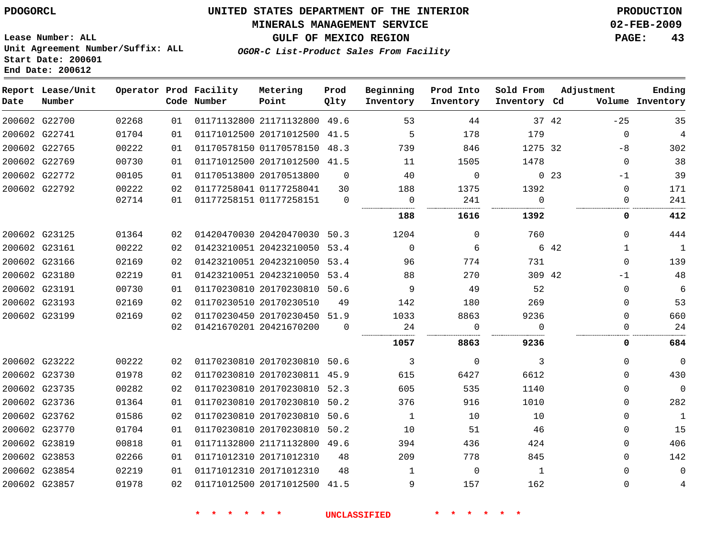#### **MINERALS MANAGEMENT SERVICE 02-FEB-2009**

**GULF OF MEXICO REGION PAGE: 43**

**Lease Number: ALL Unit Agreement Number/Suffix: ALL Start Date: 200601 End Date: 200612**

**OGOR-C List-Product Sales From Facility**

| Date | Report Lease/Unit<br>Number |       |    | Operator Prod Facility<br>Code Number | Metering<br>Point            | Prod<br>Qlty | Beginning<br>Inventory | Prod Into<br>Inventory | Sold From<br>Inventory Cd |             | Adjustment   | Ending<br>Volume Inventory |
|------|-----------------------------|-------|----|---------------------------------------|------------------------------|--------------|------------------------|------------------------|---------------------------|-------------|--------------|----------------------------|
|      | 200602 G22700               | 02268 | 01 |                                       | 01171132800 21171132800 49.6 |              | 53                     | 44                     |                           | 37 42       | $-25$        | 35                         |
|      | 200602 G22741               | 01704 | 01 |                                       | 01171012500 20171012500 41.5 |              | 5                      | 178                    | 179                       |             | $\Omega$     | $\overline{4}$             |
|      | 200602 G22765               | 00222 | 01 |                                       | 01170578150 01170578150 48.3 |              | 739                    | 846                    | 1275 32                   |             | -8           | 302                        |
|      | 200602 G22769               | 00730 | 01 |                                       | 01171012500 20171012500 41.5 |              | 11                     | 1505                   | 1478                      |             | $\mathbf{0}$ | 38                         |
|      | 200602 G22772               | 00105 | 01 |                                       | 01170513800 20170513800      | $\Omega$     | 40                     | $\Omega$               |                           | $0\quad 23$ | $-1$         | 39                         |
|      | 200602 G22792               | 00222 | 02 |                                       | 01177258041 01177258041      | 30           | 188                    | 1375                   | 1392                      |             | $\mathbf 0$  | 171                        |
|      |                             | 02714 | 01 |                                       | 01177258151 01177258151      | $\Omega$     | $\overline{0}$         | 241                    | $\Omega$                  |             | 0            | 241                        |
|      |                             |       |    |                                       |                              |              | 188                    | 1616                   | 1392                      |             | 0            | 412                        |
|      | 200602 G23125               | 01364 | 02 |                                       | 01420470030 20420470030 50.3 |              | 1204                   | $\mathbf{0}$           | 760                       |             | $\Omega$     | 444                        |
|      | 200602 G23161               | 00222 | 02 |                                       | 01423210051 20423210050 53.4 |              | $\mathbf{0}$           | 6                      |                           | 6 42        | 1            | $\mathbf{1}$               |
|      | 200602 G23166               | 02169 | 02 |                                       | 01423210051 20423210050 53.4 |              | 96                     | 774                    | 731                       |             | $\mathbf{0}$ | 139                        |
|      | 200602 G23180               | 02219 | 01 |                                       | 01423210051 20423210050 53.4 |              | 88                     | 270                    | 309 42                    |             | $-1$         | 48                         |
|      | 200602 G23191               | 00730 | 01 |                                       | 01170230810 20170230810 50.6 |              | 9                      | 49                     | 52                        |             | $\mathbf 0$  | 6                          |
|      | 200602 G23193               | 02169 | 02 |                                       | 01170230510 20170230510      | 49           | 142                    | 180                    | 269                       |             | $\mathbf{0}$ | 53                         |
|      | 200602 G23199               | 02169 | 02 |                                       | 01170230450 20170230450 51.9 |              | 1033                   | 8863                   | 9236                      |             | $\Omega$     | 660                        |
|      |                             |       | 02 |                                       | 01421670201 20421670200      | $\Omega$     | 24                     | $\mathbf 0$            | $\Omega$                  |             | $\mathbf 0$  | 24                         |
|      |                             |       |    |                                       |                              |              | 1057                   | 8863                   | 9236                      |             | 0            | 684                        |
|      | 200602 G23222               | 00222 | 02 |                                       | 01170230810 20170230810 50.6 |              | 3                      | $\mathbf 0$            | 3                         |             | $\Omega$     | $\mathbf 0$                |
|      | 200602 G23730               | 01978 | 02 |                                       | 01170230810 20170230811 45.9 |              | 615                    | 6427                   | 6612                      |             | $\Omega$     | 430                        |
|      | 200602 G23735               | 00282 | 02 |                                       | 01170230810 20170230810 52.3 |              | 605                    | 535                    | 1140                      |             | $\Omega$     | $\mathbf 0$                |
|      | 200602 G23736               | 01364 | 01 |                                       | 01170230810 20170230810 50.2 |              | 376                    | 916                    | 1010                      |             | $\Omega$     | 282                        |
|      | 200602 G23762               | 01586 | 02 |                                       | 01170230810 20170230810 50.6 |              | 1                      | 10                     | 10                        |             | $\Omega$     | $\mathbf{1}$               |
|      | 200602 G23770               | 01704 | 01 |                                       | 01170230810 20170230810      | 50.2         | 10                     | 51                     | 46                        |             | 0            | 15                         |
|      | 200602 G23819               | 00818 | 01 |                                       | 01171132800 21171132800 49.6 |              | 394                    | 436                    | 424                       |             | 0            | 406                        |
|      | 200602 G23853               | 02266 | 01 |                                       | 01171012310 20171012310      | 48           | 209                    | 778                    | 845                       |             | $\Omega$     | 142                        |
|      | 200602 G23854               | 02219 | 01 |                                       | 01171012310 20171012310      | 48           | 1                      | $\mathbf 0$            | 1                         |             | $\Omega$     | $\mathbf 0$                |
|      | 200602 G23857               | 01978 | 02 |                                       | 01171012500 20171012500      | 41.5         | 9                      | 157                    | 162                       |             | 0            | 4                          |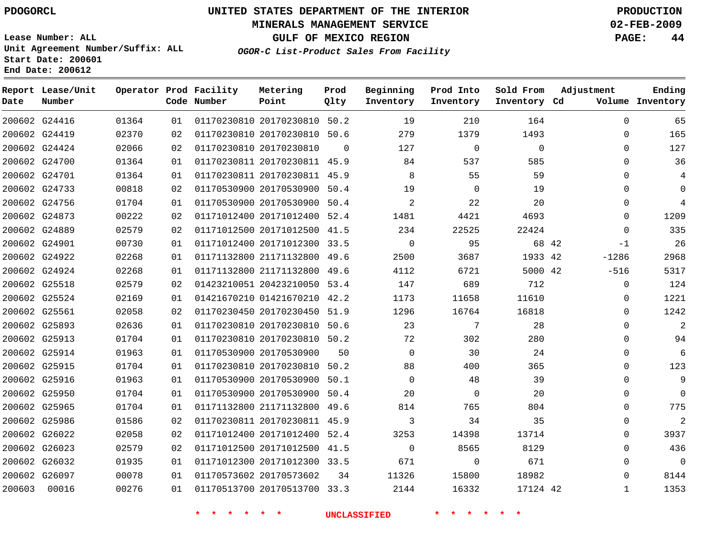#### **MINERALS MANAGEMENT SERVICE 02-FEB-2009**

**GULF OF MEXICO REGION PAGE: 44**

**Lease Number: ALL Unit Agreement Number/Suffix: ALL Start Date: 200601 End Date: 200612**

**OGOR-C List-Product Sales From Facility**

| Date   | Report Lease/Unit<br>Number |       |    | Operator Prod Facility<br>Code Number | Metering<br>Point            | Prod<br>Qlty | Beginning<br>Inventory | Prod Into<br>Inventory | Sold From<br>Inventory Cd | Adjustment   | Ending<br>Volume Inventory |
|--------|-----------------------------|-------|----|---------------------------------------|------------------------------|--------------|------------------------|------------------------|---------------------------|--------------|----------------------------|
|        | 200602 G24416               | 01364 | 01 |                                       | 01170230810 20170230810 50.2 |              | 19                     | 210                    | 164                       | $\Omega$     | 65                         |
|        | 200602 G24419               | 02370 | 02 |                                       | 01170230810 20170230810 50.6 |              | 279                    | 1379                   | 1493                      | $\Omega$     | 165                        |
|        | 200602 G24424               | 02066 | 02 |                                       | 01170230810 20170230810      | $\Omega$     | 127                    | $\mathbf 0$            | 0                         | $\Omega$     | 127                        |
|        | 200602 G24700               | 01364 | 01 |                                       | 01170230811 20170230811 45.9 |              | 84                     | 537                    | 585                       | $\Omega$     | 36                         |
|        | 200602 G24701               | 01364 | 01 |                                       | 01170230811 20170230811 45.9 |              | 8                      | 55                     | 59                        | $\Omega$     | 4                          |
|        | 200602 G24733               | 00818 | 02 |                                       | 01170530900 20170530900 50.4 |              | 19                     | $\mathbf 0$            | 19                        | 0            | $\Omega$                   |
|        | 200602 G24756               | 01704 | 01 |                                       | 01170530900 20170530900 50.4 |              | 2                      | 22                     | 20                        | $\Omega$     | $\overline{4}$             |
|        | 200602 G24873               | 00222 | 02 |                                       | 01171012400 20171012400 52.4 |              | 1481                   | 4421                   | 4693                      | $\Omega$     | 1209                       |
|        | 200602 G24889               | 02579 | 02 |                                       | 01171012500 20171012500 41.5 |              | 234                    | 22525                  | 22424                     | 0            | 335                        |
|        | 200602 G24901               | 00730 | 01 |                                       | 01171012400 20171012300 33.5 |              | $\mathbf 0$            | 95                     | 68 42                     | $-1$         | 26                         |
|        | 200602 G24922               | 02268 | 01 |                                       | 01171132800 21171132800 49.6 |              | 2500                   | 3687                   | 1933 42                   | $-1286$      | 2968                       |
|        | 200602 G24924               | 02268 | 01 |                                       | 01171132800 21171132800      | 49.6         | 4112                   | 6721                   | 5000 42                   | $-516$       | 5317                       |
|        | 200602 G25518               | 02579 | 02 |                                       | 01423210051 20423210050 53.4 |              | 147                    | 689                    | 712                       | $\Omega$     | 124                        |
|        | 200602 G25524               | 02169 | 01 |                                       | 01421670210 01421670210 42.2 |              | 1173                   | 11658                  | 11610                     | 0            | 1221                       |
|        | 200602 G25561               | 02058 | 02 |                                       | 01170230450 20170230450 51.9 |              | 1296                   | 16764                  | 16818                     | $\Omega$     | 1242                       |
|        | 200602 G25893               | 02636 | 01 |                                       | 01170230810 20170230810 50.6 |              | 23                     | 7                      | 28                        | 0            | $\overline{2}$             |
|        | 200602 G25913               | 01704 | 01 |                                       | 01170230810 20170230810 50.2 |              | 72                     | 302                    | 280                       | $\Omega$     | 94                         |
|        | 200602 G25914               | 01963 | 01 |                                       | 01170530900 20170530900      | 50           | $\Omega$               | 30                     | 24                        | $\mathbf{0}$ | 6                          |
|        | 200602 G25915               | 01704 | 01 |                                       | 01170230810 20170230810 50.2 |              | 88                     | 400                    | 365                       | 0            | 123                        |
|        | 200602 G25916               | 01963 | 01 |                                       | 01170530900 20170530900      | 50.1         | $\Omega$               | 48                     | 39                        | 0            | 9                          |
|        | 200602 G25950               | 01704 | 01 |                                       | 01170530900 20170530900 50.4 |              | 20                     | $\mathbf 0$            | 20                        | $\Omega$     | $\Omega$                   |
|        | 200602 G25965               | 01704 | 01 |                                       | 01171132800 21171132800 49.6 |              | 814                    | 765                    | 804                       | $\mathbf{0}$ | 775                        |
|        | 200602 G25986               | 01586 | 02 |                                       | 01170230811 20170230811 45.9 |              | 3                      | 34                     | 35                        | $\Omega$     | $\overline{2}$             |
|        | 200602 G26022               | 02058 | 02 |                                       | 01171012400 20171012400 52.4 |              | 3253                   | 14398                  | 13714                     | 0            | 3937                       |
|        | 200602 G26023               | 02579 | 02 |                                       | 01171012500 20171012500 41.5 |              | $\Omega$               | 8565                   | 8129                      | $\Omega$     | 436                        |
|        | 200602 G26032               | 01935 | 01 |                                       | 01171012300 20171012300 33.5 |              | 671                    | $\mathbf 0$            | 671                       | $\mathbf 0$  | $\Omega$                   |
|        | 200602 G26097               | 00078 | 01 |                                       | 01170573602 20170573602      | 34           | 11326                  | 15800                  | 18982                     | $\Omega$     | 8144                       |
| 200603 | 00016                       | 00276 | 01 |                                       | 01170513700 20170513700 33.3 |              | 2144                   | 16332                  | 17124 42                  | $\mathbf{1}$ | 1353                       |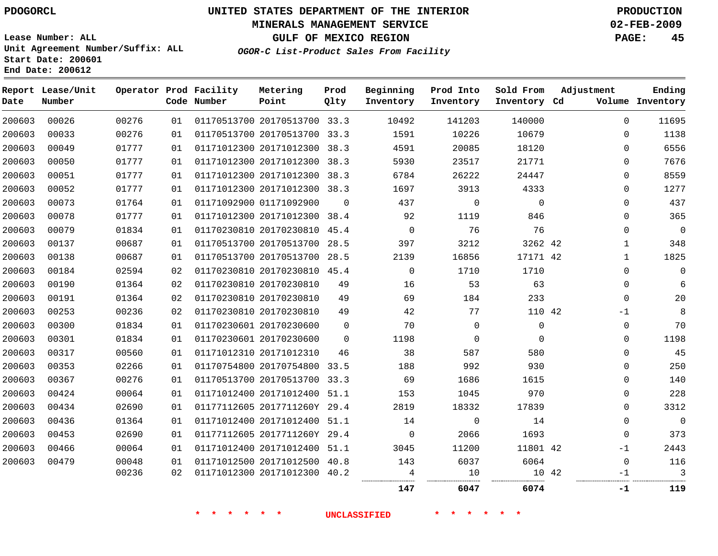## **MINERALS MANAGEMENT SERVICE 02-FEB-2009**

**GULF OF MEXICO REGION PAGE: 45**

**Lease Number: ALL Unit Agreement Number/Suffix: ALL Start Date: 200601 End Date: 200612**

**OGOR-C List-Product Sales From Facility**

| Date   | Report Lease/Unit<br>Number |       |    | Operator Prod Facility<br>Code Number | Metering<br>Point            | Prod<br>Qlty | Beginning<br>Inventory | Prod Into<br>Inventory | Sold From<br>Inventory Cd | Adjustment  | Ending<br>Volume Inventory |
|--------|-----------------------------|-------|----|---------------------------------------|------------------------------|--------------|------------------------|------------------------|---------------------------|-------------|----------------------------|
| 200603 | 00026                       | 00276 | 01 |                                       | 01170513700 20170513700 33.3 |              | 10492                  | 141203                 | 140000                    | $\mathbf 0$ | 11695                      |
| 200603 | 00033                       | 00276 | 01 |                                       | 01170513700 20170513700 33.3 |              | 1591                   | 10226                  | 10679                     | $\Omega$    | 1138                       |
| 200603 | 00049                       | 01777 | 01 |                                       | 01171012300 20171012300 38.3 |              | 4591                   | 20085                  | 18120                     | 0           | 6556                       |
| 200603 | 00050                       | 01777 | 01 |                                       | 01171012300 20171012300 38.3 |              | 5930                   | 23517                  | 21771                     | $\Omega$    | 7676                       |
| 200603 | 00051                       | 01777 | 01 |                                       | 01171012300 20171012300 38.3 |              | 6784                   | 26222                  | 24447                     | $\Omega$    | 8559                       |
| 200603 | 00052                       | 01777 | 01 |                                       | 01171012300 20171012300 38.3 |              | 1697                   | 3913                   | 4333                      | 0           | 1277                       |
| 200603 | 00073                       | 01764 | 01 |                                       | 01171092900 01171092900      | $\Omega$     | 437                    | $\mathsf{O}$           | $\mathbf 0$               | $\mathbf 0$ | 437                        |
| 200603 | 00078                       | 01777 | 01 |                                       | 01171012300 20171012300 38.4 |              | 92                     | 1119                   | 846                       | $\mathbf 0$ | 365                        |
| 200603 | 00079                       | 01834 | 01 |                                       | 01170230810 20170230810 45.4 |              | $\overline{0}$         | 76                     | 76                        | $\mathbf 0$ | $\overline{0}$             |
| 200603 | 00137                       | 00687 | 01 |                                       | 01170513700 20170513700 28.5 |              | 397                    | 3212                   | 3262 42                   | 1           | 348                        |
| 200603 | 00138                       | 00687 | 01 |                                       | 01170513700 20170513700      | 28.5         | 2139                   | 16856                  | 17171 42                  | 1           | 1825                       |
| 200603 | 00184                       | 02594 | 02 |                                       | 01170230810 20170230810 45.4 |              | $\Omega$               | 1710                   | 1710                      | $\mathbf 0$ | $\Omega$                   |
| 200603 | 00190                       | 01364 | 02 |                                       | 01170230810 20170230810      | 49           | 16                     | 53                     | 63                        | 0           | 6                          |
| 200603 | 00191                       | 01364 | 02 |                                       | 01170230810 20170230810      | 49           | 69                     | 184                    | 233                       | $\mathbf 0$ | 20                         |
| 200603 | 00253                       | 00236 | 02 |                                       | 01170230810 20170230810      | 49           | 42                     | 77                     | 110 42                    | $-1$        | 8                          |
| 200603 | 00300                       | 01834 | 01 |                                       | 01170230601 20170230600      | $\Omega$     | 70                     | $\mathbf 0$            | $\mathbf 0$               | $\mathbf 0$ | 70                         |
| 200603 | 00301                       | 01834 | 01 |                                       | 01170230601 20170230600      | $\Omega$     | 1198                   | $\mathbf 0$            | $\Omega$                  | $\mathbf 0$ | 1198                       |
| 200603 | 00317                       | 00560 | 01 |                                       | 01171012310 20171012310      | 46           | 38                     | 587                    | 580                       | $\Omega$    | 45                         |
| 200603 | 00353                       | 02266 | 01 |                                       | 01170754800 20170754800      | 33.5         | 188                    | 992                    | 930                       | $\mathbf 0$ | 250                        |
| 200603 | 00367                       | 00276 | 01 |                                       | 01170513700 20170513700 33.3 |              | 69                     | 1686                   | 1615                      | $\Omega$    | 140                        |
| 200603 | 00424                       | 00064 | 01 |                                       | 01171012400 20171012400 51.1 |              | 153                    | 1045                   | 970                       | $\mathbf 0$ | 228                        |
| 200603 | 00434                       | 02690 | 01 |                                       | 01177112605 2017711260Y 29.4 |              | 2819                   | 18332                  | 17839                     | $\mathbf 0$ | 3312                       |
| 200603 | 00436                       | 01364 | 01 |                                       | 01171012400 20171012400      | 51.1         | 14                     | $\mathbf 0$            | 14                        | $\Omega$    | $\overline{0}$             |
| 200603 | 00453                       | 02690 | 01 |                                       | 01177112605 2017711260Y 29.4 |              | $\mathbf 0$            | 2066                   | 1693                      | 0           | 373                        |
| 200603 | 00466                       | 00064 | 01 |                                       | 01171012400 20171012400      | 51.1         | 3045                   | 11200                  | 11801 42                  | $-1$        | 2443                       |
| 200603 | 00479                       | 00048 | 01 |                                       | 01171012500 20171012500      | 40.8         | 143                    | 6037                   | 6064                      | 0           | 116                        |
|        |                             | 00236 | 02 |                                       | 01171012300 20171012300 40.2 |              | 4                      | 10                     | 10 42                     | -1          | 3                          |
|        |                             |       |    |                                       |                              |              | 147                    | 6047                   | 6074                      | $-1$        | 119                        |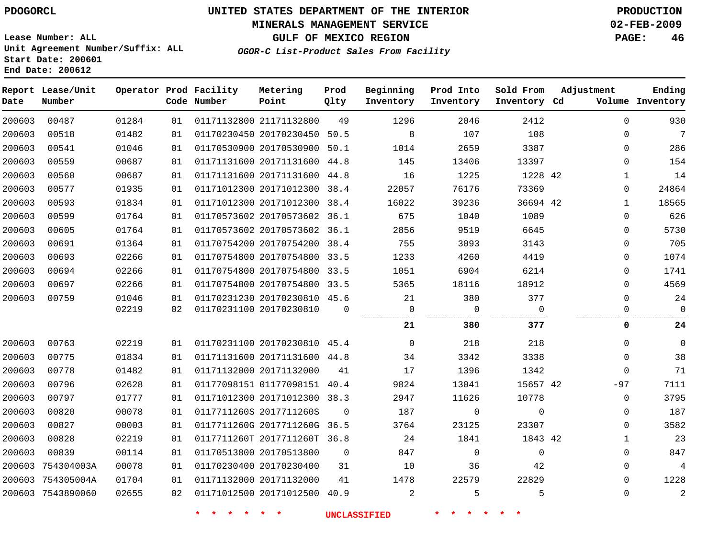#### **MINERALS MANAGEMENT SERVICE 02-FEB-2009**

**GULF OF MEXICO REGION PAGE: 46 OGOR-C List-Product Sales From Facility**

**Lease Number: ALL Unit Agreement Number/Suffix: ALL Start Date: 200601 End Date: 200612**

| Date   | Report Lease/Unit<br>Number |       |    | Operator Prod Facility<br>Code Number | Metering<br>Point            | Prod<br>Qlty | Beginning<br>Inventory | Prod Into<br>Inventory | Sold From<br>Inventory Cd | Adjustment   | Ending<br>Volume Inventory |
|--------|-----------------------------|-------|----|---------------------------------------|------------------------------|--------------|------------------------|------------------------|---------------------------|--------------|----------------------------|
| 200603 | 00487                       | 01284 | 01 |                                       | 01171132800 21171132800      | 49           | 1296                   | 2046                   | 2412                      | 0            | 930                        |
| 200603 | 00518                       | 01482 | 01 |                                       | 01170230450 20170230450 50.5 |              | 8                      | 107                    | 108                       | 0            | $7\overline{ }$            |
| 200603 | 00541                       | 01046 | 01 |                                       | 01170530900 20170530900      | 50.1         | 1014                   | 2659                   | 3387                      | 0            | 286                        |
| 200603 | 00559                       | 00687 | 01 |                                       | 01171131600 20171131600 44.8 |              | 145                    | 13406                  | 13397                     | $\Omega$     | 154                        |
| 200603 | 00560                       | 00687 | 01 |                                       | 01171131600 20171131600      | 44.8         | 16                     | 1225                   | 1228 42                   | 1            | 14                         |
| 200603 | 00577                       | 01935 | 01 |                                       | 01171012300 20171012300 38.4 |              | 22057                  | 76176                  | 73369                     | 0            | 24864                      |
| 200603 | 00593                       | 01834 | 01 |                                       | 01171012300 20171012300 38.4 |              | 16022                  | 39236                  | 36694 42                  | $\mathbf{1}$ | 18565                      |
| 200603 | 00599                       | 01764 | 01 |                                       | 01170573602 20170573602 36.1 |              | 675                    | 1040                   | 1089                      | 0            | 626                        |
| 200603 | 00605                       | 01764 | 01 |                                       | 01170573602 20170573602 36.1 |              | 2856                   | 9519                   | 6645                      | 0            | 5730                       |
| 200603 | 00691                       | 01364 | 01 |                                       | 01170754200 20170754200      | 38.4         | 755                    | 3093                   | 3143                      | 0            | 705                        |
| 200603 | 00693                       | 02266 | 01 |                                       | 01170754800 20170754800      | 33.5         | 1233                   | 4260                   | 4419                      | 0            | 1074                       |
| 200603 | 00694                       | 02266 | 01 |                                       | 01170754800 20170754800      | 33.5         | 1051                   | 6904                   | 6214                      | 0            | 1741                       |
| 200603 | 00697                       | 02266 | 01 |                                       | 01170754800 20170754800 33.5 |              | 5365                   | 18116                  | 18912                     | 0            | 4569                       |
| 200603 | 00759                       | 01046 | 01 |                                       | 01170231230 20170230810 45.6 |              | 21                     | 380                    | 377                       | 0            | 24                         |
|        |                             | 02219 | 02 |                                       | 01170231100 20170230810      | $\Omega$     | $\mathbf 0$            | $\Omega$               | $\Omega$                  | $\Omega$     | $\Omega$                   |
|        |                             |       |    |                                       |                              |              | 21                     | 380                    | 377                       | 0            | 24                         |
| 200603 | 00763                       | 02219 | 01 |                                       | 01170231100 20170230810 45.4 |              | $\mathbf 0$            | 218                    | 218                       | 0            | $\mathbf 0$                |
| 200603 | 00775                       | 01834 | 01 |                                       | 01171131600 20171131600 44.8 |              | 34                     | 3342                   | 3338                      | 0            | 38                         |
| 200603 | 00778                       | 01482 | 01 |                                       | 01171132000 20171132000      | 41           | 17                     | 1396                   | 1342                      | $\Omega$     | 71                         |
| 200603 | 00796                       | 02628 | 01 |                                       | 01177098151 01177098151 40.4 |              | 9824                   | 13041                  | 15657 42                  | -97          | 7111                       |
| 200603 | 00797                       | 01777 | 01 |                                       | 01171012300 20171012300 38.3 |              | 2947                   | 11626                  | 10778                     | 0            | 3795                       |
| 200603 | 00820                       | 00078 | 01 |                                       | 0117711260S 2017711260S      | 0            | 187                    | 0                      | $\Omega$                  | 0            | 187                        |
| 200603 | 00827                       | 00003 | 01 |                                       | 0117711260G 2017711260G 36.5 |              | 3764                   | 23125                  | 23307                     | 0            | 3582                       |
| 200603 | 00828                       | 02219 | 01 |                                       | 0117711260T 2017711260T 36.8 |              | 24                     | 1841                   | 1843 42                   | $\mathbf{1}$ | 23                         |
| 200603 | 00839                       | 00114 | 01 |                                       | 01170513800 20170513800      | $\mathbf 0$  | 847                    | $\mathbf 0$            | $\mathbf 0$               | 0            | 847                        |
| 200603 | 754304003A                  | 00078 | 01 |                                       | 01170230400 20170230400      | 31           | 10                     | 36                     | 42                        | $\Omega$     | 4                          |
|        | 200603 754305004A           | 01704 | 01 |                                       | 01171132000 20171132000      | 41           | 1478                   | 22579                  | 22829                     | 0            | 1228                       |
|        | 200603 7543890060           | 02655 | 02 |                                       | 01171012500 20171012500 40.9 |              | 2                      | 5                      | 5                         | 0            | $\sqrt{2}$                 |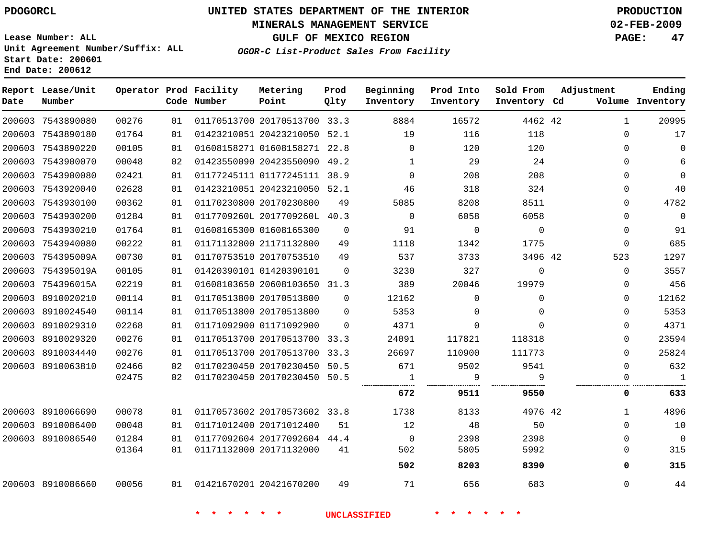#### **MINERALS MANAGEMENT SERVICE 02-FEB-2009**

**GULF OF MEXICO REGION PAGE: 47**

**Lease Number: ALL Unit Agreement Number/Suffix: ALL Start Date: 200601 End Date: 200612**

**OGOR-C List-Product Sales From Facility**

| Date | Report Lease/Unit<br>Number |       |    | Operator Prod Facility<br>Code Number | Metering<br>Point            | Prod<br>Qlty | Beginning<br>Inventory | Prod Into<br>Inventory | Sold From<br>Inventory Cd | Adjustment |              | Ending<br>Volume Inventory |
|------|-----------------------------|-------|----|---------------------------------------|------------------------------|--------------|------------------------|------------------------|---------------------------|------------|--------------|----------------------------|
|      | 200603 7543890080           | 00276 | 01 |                                       | 01170513700 20170513700 33.3 |              | 8884                   | 16572                  | 4462 42                   |            | $\mathbf{1}$ | 20995                      |
|      | 200603 7543890180           | 01764 | 01 |                                       | 01423210051 20423210050 52.1 |              | 19                     | 116                    | 118                       |            | $\Omega$     | 17                         |
|      | 200603 7543890220           | 00105 | 01 |                                       | 01608158271 01608158271 22.8 |              | $\overline{0}$         | 120                    | 120                       |            | 0            | $\Omega$                   |
|      | 200603 7543900070           | 00048 | 02 |                                       | 01423550090 20423550090 49.2 |              | 1                      | 29                     | 24                        |            | $\Omega$     | 6                          |
|      | 200603 7543900080           | 02421 | 01 |                                       | 01177245111 01177245111 38.9 |              | $\mathbf 0$            | 208                    | 208                       |            | 0            | $\Omega$                   |
|      | 200603 7543920040           | 02628 | 01 |                                       | 01423210051 20423210050 52.1 |              | 46                     | 318                    | 324                       |            | 0            | 40                         |
|      | 200603 7543930100           | 00362 | 01 |                                       | 01170230800 20170230800      | 49           | 5085                   | 8208                   | 8511                      |            | 0            | 4782                       |
|      | 200603 7543930200           | 01284 | 01 |                                       | 0117709260L 2017709260L 40.3 |              | $\Omega$               | 6058                   | 6058                      |            | 0            | $\overline{0}$             |
|      | 200603 7543930210           | 01764 | 01 |                                       | 01608165300 01608165300      | $\Omega$     | 91                     | $\overline{0}$         | $\overline{0}$            |            | 0            | 91                         |
|      | 200603 7543940080           | 00222 | 01 |                                       | 01171132800 21171132800      | 49           | 1118                   | 1342                   | 1775                      |            | $\mathbf 0$  | 685                        |
|      | 200603 754395009A           | 00730 | 01 |                                       | 01170753510 20170753510      | 49           | 537                    | 3733                   | 3496 42                   |            | 523          | 1297                       |
|      | 200603 754395019A           | 00105 | 01 |                                       | 01420390101 01420390101      | $\Omega$     | 3230                   | 327                    | $\mathbf 0$               |            | $\mathbf 0$  | 3557                       |
|      | 200603 754396015A           | 02219 | 01 |                                       | 01608103650 20608103650 31.3 |              | 389                    | 20046                  | 19979                     |            | 0            | 456                        |
|      | 200603 8910020210           | 00114 | 01 |                                       | 01170513800 20170513800      | $\Omega$     | 12162                  | $\Omega$               | $\mathbf 0$               |            | 0            | 12162                      |
|      | 200603 8910024540           | 00114 | 01 |                                       | 01170513800 20170513800      | $\Omega$     | 5353                   | $\Omega$               | $\Omega$                  |            | 0            | 5353                       |
|      | 200603 8910029310           | 02268 | 01 |                                       | 01171092900 01171092900      | $\Omega$     | 4371                   | 0                      | $\Omega$                  |            | 0            | 4371                       |
|      | 200603 8910029320           | 00276 | 01 |                                       | 01170513700 20170513700 33.3 |              | 24091                  | 117821                 | 118318                    |            | 0            | 23594                      |
|      | 200603 8910034440           | 00276 | 01 |                                       | 01170513700 20170513700 33.3 |              | 26697                  | 110900                 | 111773                    |            | 0            | 25824                      |
|      | 200603 8910063810           | 02466 | 02 |                                       | 01170230450 20170230450 50.5 |              | 671                    | 9502                   | 9541                      |            | $\Omega$     | 632                        |
|      |                             | 02475 | 02 |                                       | 01170230450 20170230450 50.5 |              | $\overline{1}$         | 9                      | 9                         |            | 0            | $\mathbf{1}$<br>           |
|      |                             |       |    |                                       |                              |              | 672                    | 9511                   | 9550                      |            | 0            | 633                        |
|      | 200603 8910066690           | 00078 | 01 |                                       | 01170573602 20170573602 33.8 |              | 1738                   | 8133                   | 4976 42                   |            | $\mathbf{1}$ | 4896                       |
|      | 200603 8910086400           | 00048 | 01 |                                       | 01171012400 20171012400      | 51           | 12                     | 48                     | 50                        |            | 0            | 10                         |
|      | 200603 8910086540           | 01284 | 01 |                                       | 01177092604 20177092604 44.4 |              | $\overline{0}$         | 2398                   | 2398                      |            | $\Omega$     | $\mathbf 0$                |
|      |                             | 01364 | 01 |                                       | 01171132000 20171132000      | 41           | 502                    | 5805                   | 5992                      |            | 0            | 315                        |
|      |                             |       |    |                                       |                              |              | 502                    | 8203                   | 8390                      |            | 0            | 315                        |
|      | 200603 8910086660           | 00056 |    | 01 01421670201 20421670200            |                              | 49           | 71                     | 656                    | 683                       |            | 0            | 44                         |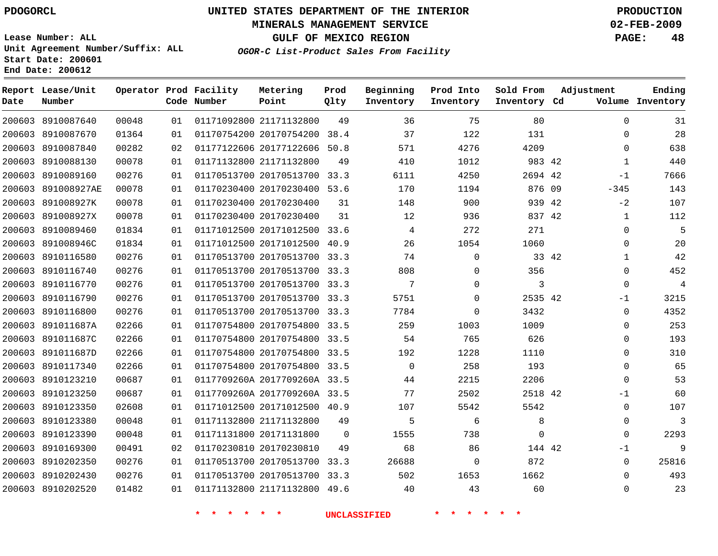#### **MINERALS MANAGEMENT SERVICE 02-FEB-2009**

**GULF OF MEXICO REGION PAGE: 48**

**Lease Number: ALL Unit Agreement Number/Suffix: ALL Start Date: 200601 End Date: 200612**

**OGOR-C List-Product Sales From Facility**

| Date | Report Lease/Unit<br>Number |       |    | Operator Prod Facility<br>Code Number | Metering<br>Point            | Prod<br>Qlty | Beginning<br>Inventory | Prod Into<br>Inventory | Sold From<br>Inventory Cd | Adjustment   | Ending<br>Volume Inventory |
|------|-----------------------------|-------|----|---------------------------------------|------------------------------|--------------|------------------------|------------------------|---------------------------|--------------|----------------------------|
|      | 200603 8910087640           | 00048 | 01 |                                       | 01171092800 21171132800      | 49           | 36                     | 75                     | 80                        | $\mathbf{0}$ | 31                         |
|      | 200603 8910087670           | 01364 | 01 |                                       | 01170754200 20170754200      | 38.4         | 37                     | 122                    | 131                       | 0            | 28                         |
|      | 200603 8910087840           | 00282 | 02 |                                       | 01177122606 20177122606 50.8 |              | 571                    | 4276                   | 4209                      | 0            | 638                        |
|      | 200603 8910088130           | 00078 | 01 |                                       | 01171132800 21171132800      | 49           | 410                    | 1012                   | 983 42                    | $\mathbf{1}$ | 440                        |
|      | 200603 8910089160           | 00276 | 01 |                                       | 01170513700 20170513700 33.3 |              | 6111                   | 4250                   | 2694 42                   | $-1$         | 7666                       |
|      | 200603 891008927AE          | 00078 | 01 |                                       | 01170230400 20170230400 53.6 |              | 170                    | 1194                   | 876 09                    | $-345$       | 143                        |
|      | 200603 891008927K           | 00078 | 01 |                                       | 01170230400 20170230400      | 31           | 148                    | 900                    | 939 42                    | $-2$         | 107                        |
|      | 200603 891008927X           | 00078 | 01 |                                       | 01170230400 20170230400      | 31           | 12                     | 936                    | 837 42                    | $\mathbf{1}$ | 112                        |
|      | 200603 8910089460           | 01834 | 01 |                                       | 01171012500 20171012500 33.6 |              | 4                      | 272                    | 271                       | 0            | 5                          |
|      | 200603 891008946C           | 01834 | 01 |                                       | 01171012500 20171012500 40.9 |              | 26                     | 1054                   | 1060                      | 0            | 20                         |
|      | 200603 8910116580           | 00276 | 01 |                                       | 01170513700 20170513700 33.3 |              | 74                     | $\mathbf 0$            | 33 42                     | 1            | 42                         |
|      | 200603 8910116740           | 00276 | 01 |                                       | 01170513700 20170513700 33.3 |              | 808                    | 0                      | 356                       | 0            | 452                        |
|      | 200603 8910116770           | 00276 | 01 |                                       | 01170513700 20170513700 33.3 |              | 7                      | $\mathbf 0$            | 3                         | $\mathbf{0}$ | $\overline{4}$             |
|      | 200603 8910116790           | 00276 | 01 |                                       | 01170513700 20170513700 33.3 |              | 5751                   | $\mathbf 0$            | 2535 42                   | $-1$         | 3215                       |
|      | 200603 8910116800           | 00276 | 01 |                                       | 01170513700 20170513700 33.3 |              | 7784                   | $\mathbf 0$            | 3432                      | $\mathbf{0}$ | 4352                       |
|      | 200603 891011687A           | 02266 | 01 |                                       | 01170754800 20170754800 33.5 |              | 259                    | 1003                   | 1009                      | 0            | 253                        |
|      | 200603 891011687C           | 02266 | 01 |                                       | 01170754800 20170754800 33.5 |              | 54                     | 765                    | 626                       | $\Omega$     | 193                        |
|      | 200603 891011687D           | 02266 | 01 |                                       | 01170754800 20170754800 33.5 |              | 192                    | 1228                   | 1110                      | $\Omega$     | 310                        |
|      | 200603 8910117340           | 02266 | 01 |                                       | 01170754800 20170754800 33.5 |              | $\Omega$               | 258                    | 193                       | $\Omega$     | 65                         |
|      | 200603 8910123210           | 00687 | 01 |                                       | 0117709260A 2017709260A 33.5 |              | 44                     | 2215                   | 2206                      | $\Omega$     | 53                         |
|      | 200603 8910123250           | 00687 | 01 |                                       | 0117709260A 2017709260A 33.5 |              | 77                     | 2502                   | 2518 42                   | $-1$         | 60                         |
|      | 200603 8910123350           | 02608 | 01 |                                       | 01171012500 20171012500 40.9 |              | 107                    | 5542                   | 5542                      | $\mathbf{0}$ | 107                        |
|      | 200603 8910123380           | 00048 | 01 |                                       | 01171132800 21171132800      | 49           | 5                      | 6                      | 8                         | $\Omega$     | 3                          |
|      | 200603 8910123390           | 00048 | 01 |                                       | 01171131800 20171131800      | $\Omega$     | 1555                   | 738                    | $\Omega$                  | $\Omega$     | 2293                       |
|      | 200603 8910169300           | 00491 | 02 |                                       | 01170230810 20170230810      | 49           | 68                     | 86                     | 144 42                    | $-1$         | 9                          |
|      | 200603 8910202350           | 00276 | 01 |                                       | 01170513700 20170513700      | 33.3         | 26688                  | $\mathbf 0$            | 872                       | $\mathbf 0$  | 25816                      |
|      | 200603 8910202430           | 00276 | 01 |                                       | 01170513700 20170513700 33.3 |              | 502                    | 1653                   | 1662                      | $\Omega$     | 493                        |
|      | 200603 8910202520           | 01482 | 01 |                                       | 01171132800 21171132800 49.6 |              | 40                     | 43                     | 60                        | $\Omega$     | 23                         |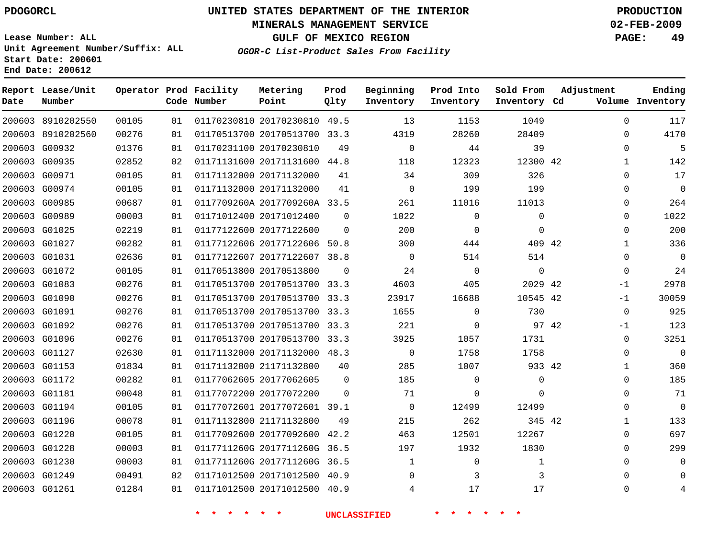#### **MINERALS MANAGEMENT SERVICE 02-FEB-2009**

**GULF OF MEXICO REGION PAGE: 49**

**Lease Number: ALL Unit Agreement Number/Suffix: ALL Start Date: 200601 End Date: 200612**

**OGOR-C List-Product Sales From Facility**

| Date | Report Lease/Unit<br>Number |       |    | Operator Prod Facility<br>Code Number | Metering<br>Point            | Prod<br>Qlty | Beginning<br>Inventory | Prod Into<br>Inventory | Sold From<br>Inventory Cd | Adjustment    | Ending<br>Volume Inventory |
|------|-----------------------------|-------|----|---------------------------------------|------------------------------|--------------|------------------------|------------------------|---------------------------|---------------|----------------------------|
|      | 200603 8910202550           | 00105 | 01 |                                       | 01170230810 20170230810      | 49.5         | 13                     | 1153                   | 1049                      | $\mathbf{0}$  | 117                        |
|      | 200603 8910202560           | 00276 | 01 |                                       | 01170513700 20170513700 33.3 |              | 4319                   | 28260                  | 28409                     | 0             | 4170                       |
|      | 200603 G00932               | 01376 | 01 |                                       | 01170231100 20170230810      | 49           | $\Omega$               | 44                     | 39                        | $\Omega$      | 5                          |
|      | 200603 G00935               | 02852 | 02 |                                       | 01171131600 20171131600      | 44.8         | 118                    | 12323                  | 12300 42                  | 1             | 142                        |
|      | 200603 G00971               | 00105 | 01 |                                       | 01171132000 20171132000      | 41           | 34                     | 309                    | 326                       | $\Omega$      | 17                         |
|      | 200603 G00974               | 00105 | 01 |                                       | 01171132000 20171132000      | 41           | $\Omega$               | 199                    | 199                       | $\Omega$      | $\Omega$                   |
|      | 200603 G00985               | 00687 | 01 |                                       | 0117709260A 2017709260A 33.5 |              | 261                    | 11016                  | 11013                     | 0             | 264                        |
|      | 200603 G00989               | 00003 | 01 |                                       | 01171012400 20171012400      | 0            | 1022                   | 0                      | 0                         | 0             | 1022                       |
|      | 200603 G01025               | 02219 | 01 |                                       | 01177122600 20177122600      | $\Omega$     | 200                    | $\Omega$               | $\Omega$                  | $\Omega$      | 200                        |
|      | 200603 G01027               | 00282 | 01 |                                       | 01177122606 20177122606 50.8 |              | 300                    | 444                    | 409 42                    | 1             | 336                        |
|      | 200603 G01031               | 02636 | 01 |                                       | 01177122607 20177122607 38.8 |              | $\Omega$               | 514                    | 514                       | $\Omega$      | $\Omega$                   |
|      | 200603 G01072               | 00105 | 01 |                                       | 01170513800 20170513800      | $\mathbf 0$  | 24                     | $\mathbf 0$            | 0                         | 0             | 24                         |
|      | 200603 G01083               | 00276 | 01 |                                       | 01170513700 20170513700 33.3 |              | 4603                   | 405                    | 2029 42                   | $-1$          | 2978                       |
|      | 200603 G01090               | 00276 | 01 |                                       | 01170513700 20170513700      | 33.3         | 23917                  | 16688                  | 10545 42                  | $-1$          | 30059                      |
|      | 200603 G01091               | 00276 | 01 |                                       | 01170513700 20170513700 33.3 |              | 1655                   | 0                      | 730                       | 0             | 925                        |
|      | 200603 G01092               | 00276 | 01 |                                       | 01170513700 20170513700      | 33.3         | 221                    | 0                      |                           | 97 42<br>$-1$ | 123                        |
|      | 200603 G01096               | 00276 | 01 |                                       | 01170513700 20170513700 33.3 |              | 3925                   | 1057                   | 1731                      | 0             | 3251                       |
|      | 200603 G01127               | 02630 | 01 |                                       | 01171132000 20171132000 48.3 |              | 0                      | 1758                   | 1758                      | 0             | $\Omega$                   |
|      | 200603 G01153               | 01834 | 01 |                                       | 01171132800 21171132800      | 40           | 285                    | 1007                   | 933 42                    | 1             | 360                        |
|      | 200603 G01172               | 00282 | 01 |                                       | 01177062605 20177062605      | $\Omega$     | 185                    | $\mathbf 0$            | 0                         | $\Omega$      | 185                        |
|      | 200603 G01181               | 00048 | 01 |                                       | 01177072200 20177072200      | $\Omega$     | 71                     | 0                      | $\Omega$                  | $\Omega$      | 71                         |
|      | 200603 G01194               | 00105 | 01 |                                       | 01177072601 20177072601 39.1 |              | $\mathbf 0$            | 12499                  | 12499                     | $\Omega$      | $\Omega$                   |
|      | 200603 G01196               | 00078 | 01 |                                       | 01171132800 21171132800      | 49           | 215                    | 262                    | 345 42                    | 1             | 133                        |
|      | 200603 G01220               | 00105 | 01 |                                       | 01177092600 20177092600      | 42.2         | 463                    | 12501                  | 12267                     | 0             | 697                        |
|      | 200603 G01228               | 00003 | 01 |                                       | 0117711260G 2017711260G 36.5 |              | 197                    | 1932                   | 1830                      | $\Omega$      | 299                        |
|      | 200603 G01230               | 00003 | 01 |                                       | 0117711260G 2017711260G 36.5 |              | 1                      | 0                      | 1                         | 0             | 0                          |
|      | 200603 G01249               | 00491 | 02 |                                       | 01171012500 20171012500 40.9 |              | 0                      | 3                      | 3                         | $\Omega$      | $\Omega$                   |
|      | 200603 G01261               | 01284 | 01 |                                       | 01171012500 20171012500 40.9 |              | 4                      | 17                     | 17                        | $\Omega$      | 4                          |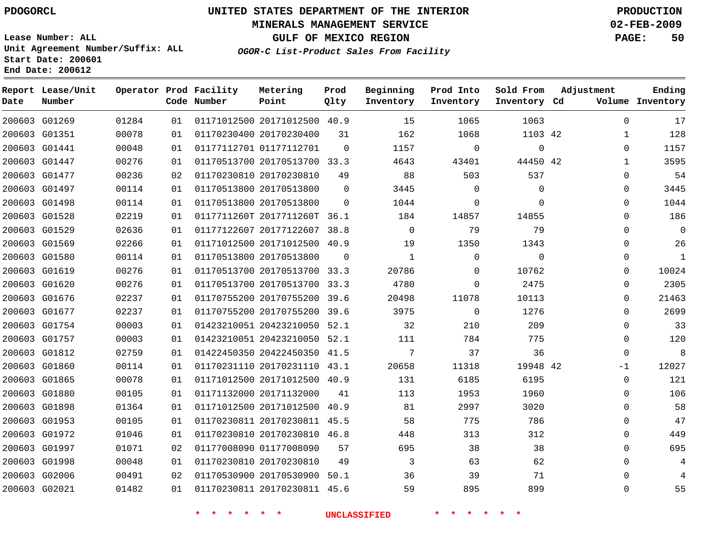## **MINERALS MANAGEMENT SERVICE 02-FEB-2009**

**GULF OF MEXICO REGION PAGE: 50**

**Lease Number: ALL Unit Agreement Number/Suffix: ALL Start Date: 200601 End Date: 200612**

**OGOR-C List-Product Sales From Facility**

| Date | Report Lease/Unit<br>Number |       |    | Operator Prod Facility<br>Code Number | Metering<br>Point            | Prod<br>Qlty | Beginning<br>Inventory | Prod Into<br>Inventory | Sold From<br>Inventory Cd | Adjustment   | Ending<br>Volume Inventory |
|------|-----------------------------|-------|----|---------------------------------------|------------------------------|--------------|------------------------|------------------------|---------------------------|--------------|----------------------------|
|      | 200603 G01269               | 01284 | 01 |                                       | 01171012500 20171012500 40.9 |              | 15                     | 1065                   | 1063                      | $\Omega$     | 17                         |
|      | 200603 G01351               | 00078 | 01 |                                       | 01170230400 20170230400      | 31           | 162                    | 1068                   | 1103 42                   | $\mathbf{1}$ | 128                        |
|      | 200603 G01441               | 00048 | 01 |                                       | 01177112701 01177112701      | $\mathbf 0$  | 1157                   | $\mathbf 0$            | $\mathbf 0$               | $\mathbf 0$  | 1157                       |
|      | 200603 G01447               | 00276 | 01 |                                       | 01170513700 20170513700 33.3 |              | 4643                   | 43401                  | 44450 42                  | $\mathbf{1}$ | 3595                       |
|      | 200603 G01477               | 00236 | 02 |                                       | 01170230810 20170230810      | 49           | 88                     | 503                    | 537                       | $\Omega$     | 54                         |
|      | 200603 G01497               | 00114 | 01 |                                       | 01170513800 20170513800      | $\mathbf 0$  | 3445                   | 0                      | 0                         | 0            | 3445                       |
|      | 200603 G01498               | 00114 | 01 |                                       | 01170513800 20170513800      | $\Omega$     | 1044                   | $\mathbf 0$            | $\Omega$                  | 0            | 1044                       |
|      | 200603 G01528               | 02219 | 01 |                                       | 0117711260T 2017711260T 36.1 |              | 184                    | 14857                  | 14855                     | 0            | 186                        |
|      | 200603 G01529               | 02636 | 01 |                                       | 01177122607 20177122607 38.8 |              | $\Omega$               | 79                     | 79                        | $\Omega$     | $\mathbf 0$                |
|      | 200603 G01569               | 02266 | 01 |                                       | 01171012500 20171012500 40.9 |              | 19                     | 1350                   | 1343                      | 0            | 26                         |
|      | 200603 G01580               | 00114 | 01 |                                       | 01170513800 20170513800      | $\Omega$     | 1                      | $\mathbf 0$            | $\Omega$                  | 0            | $\mathbf{1}$               |
|      | 200603 G01619               | 00276 | 01 |                                       | 01170513700 20170513700 33.3 |              | 20786                  | $\mathbf 0$            | 10762                     | $\Omega$     | 10024                      |
|      | 200603 G01620               | 00276 | 01 |                                       | 01170513700 20170513700 33.3 |              | 4780                   | $\Omega$               | 2475                      | $\Omega$     | 2305                       |
|      | 200603 G01676               | 02237 | 01 |                                       | 01170755200 20170755200 39.6 |              | 20498                  | 11078                  | 10113                     | 0            | 21463                      |
|      | 200603 G01677               | 02237 | 01 |                                       | 01170755200 20170755200 39.6 |              | 3975                   | $\mathbf 0$            | 1276                      | $\Omega$     | 2699                       |
|      | 200603 G01754               | 00003 | 01 |                                       | 01423210051 20423210050 52.1 |              | 32                     | 210                    | 209                       | $\Omega$     | 33                         |
|      | 200603 G01757               | 00003 | 01 |                                       | 01423210051 20423210050 52.1 |              | 111                    | 784                    | 775                       | $\mathbf 0$  | 120                        |
|      | 200603 G01812               | 02759 | 01 |                                       | 01422450350 20422450350 41.5 |              | 7                      | 37                     | 36                        | $\mathbf 0$  | 8                          |
|      | 200603 G01860               | 00114 | 01 |                                       | 01170231110 20170231110 43.1 |              | 20658                  | 11318                  | 19948 42                  | $-1$         | 12027                      |
|      | 200603 G01865               | 00078 | 01 |                                       | 01171012500 20171012500 40.9 |              | 131                    | 6185                   | 6195                      | $\Omega$     | 121                        |
|      | 200603 G01880               | 00105 | 01 |                                       | 01171132000 20171132000      | 41           | 113                    | 1953                   | 1960                      | $\mathbf 0$  | 106                        |
|      | 200603 G01898               | 01364 | 01 |                                       | 01171012500 20171012500      | 40.9         | 81                     | 2997                   | 3020                      | $\mathbf 0$  | 58                         |
|      | 200603 G01953               | 00105 | 01 |                                       | 01170230811 20170230811 45.5 |              | 58                     | 775                    | 786                       | $\mathbf 0$  | 47                         |
|      | 200603 G01972               | 01046 | 01 |                                       | 01170230810 20170230810 46.8 |              | 448                    | 313                    | 312                       | $\Omega$     | 449                        |
|      | 200603 G01997               | 01071 | 02 |                                       | 01177008090 01177008090      | 57           | 695                    | 38                     | 38                        | 0            | 695                        |
|      | 200603 G01998               | 00048 | 01 |                                       | 01170230810 20170230810      | 49           | 3                      | 63                     | 62                        | $\mathbf 0$  | 4                          |
|      | 200603 G02006               | 00491 | 02 |                                       | 01170530900 20170530900      | 50.1         | 36                     | 39                     | 71                        | $\Omega$     |                            |
|      | 200603 G02021               | 01482 | 01 |                                       | 01170230811 20170230811 45.6 |              | 59                     | 895                    | 899                       | $\Omega$     | 55                         |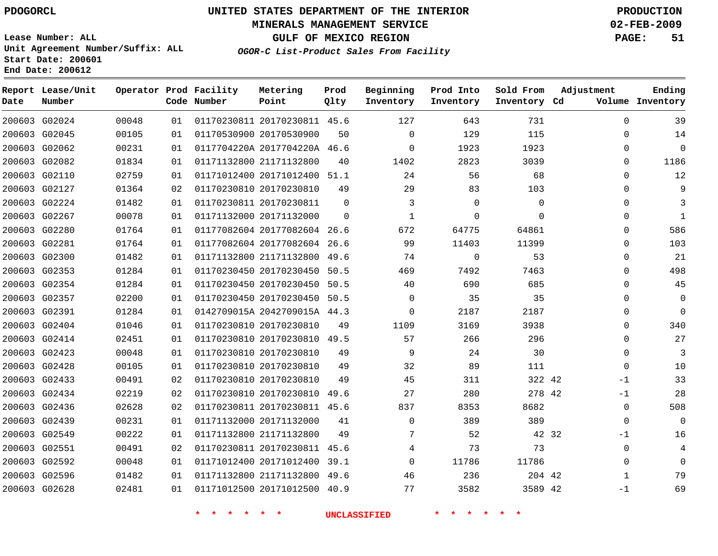## **MINERALS MANAGEMENT SERVICE 02-FEB-2009**

**GULF OF MEXICO REGION PAGE: 51**

**Lease Number: ALL Unit Agreement Number/Suffix: ALL Start Date: 200601 End Date: 200612**

**OGOR-C List-Product Sales From Facility**

| Date | Report Lease/Unit<br>Number |       |    | Operator Prod Facility<br>Code Number | Metering<br>Point            | Prod<br>Qlty | Beginning<br>Inventory | Prod Into<br>Inventory | Sold From<br>Inventory Cd | Adjustment   | Ending<br>Volume Inventory |
|------|-----------------------------|-------|----|---------------------------------------|------------------------------|--------------|------------------------|------------------------|---------------------------|--------------|----------------------------|
|      | 200603 G02024               | 00048 | 01 |                                       | 01170230811 20170230811 45.6 |              | 127                    | 643                    | 731                       | 0            | 39                         |
|      | 200603 G02045               | 00105 | 01 |                                       | 01170530900 20170530900      | 50           | $\mathbf 0$            | 129                    | 115                       | 0            | 14                         |
|      | 200603 G02062               | 00231 | 01 |                                       | 0117704220A 2017704220A 46.6 |              | $\Omega$               | 1923                   | 1923                      | 0            | $\Omega$                   |
|      | 200603 G02082               | 01834 | 01 |                                       | 01171132800 21171132800      | 40           | 1402                   | 2823                   | 3039                      | $\Omega$     | 1186                       |
|      | 200603 G02110               | 02759 | 01 |                                       | 01171012400 20171012400 51.1 |              | 24                     | 56                     | 68                        | $\Omega$     | 12                         |
|      | 200603 G02127               | 01364 | 02 |                                       | 01170230810 20170230810      | 49           | 29                     | 83                     | 103                       | 0            | 9                          |
|      | 200603 G02224               | 01482 | 01 |                                       | 01170230811 20170230811      | $\Omega$     | 3                      | $\Omega$               | $\Omega$                  | $\Omega$     | 3                          |
|      | 200603 G02267               | 00078 | 01 |                                       | 01171132000 20171132000      | $\Omega$     | $\mathbf{1}$           | $\mathbf 0$            | $\Omega$                  | $\mathbf 0$  | $\mathbf{1}$               |
|      | 200603 G02280               | 01764 | 01 |                                       | 01177082604 20177082604 26.6 |              | 672                    | 64775                  | 64861                     | $\Omega$     | 586                        |
|      | 200603 G02281               | 01764 | 01 |                                       | 01177082604 20177082604 26.6 |              | 99                     | 11403                  | 11399                     | $\mathbf 0$  | 103                        |
|      | 200603 G02300               | 01482 | 01 |                                       | 01171132800 21171132800 49.6 |              | 74                     | $\Omega$               | 53                        | $\Omega$     | 21                         |
|      | 200603 G02353               | 01284 | 01 |                                       | 01170230450 20170230450      | 50.5         | 469                    | 7492                   | 7463                      | $\Omega$     | 498                        |
|      | 200603 G02354               | 01284 | 01 |                                       | 01170230450 20170230450 50.5 |              | 40                     | 690                    | 685                       | $\Omega$     | 45                         |
|      | 200603 G02357               | 02200 | 01 |                                       | 01170230450 20170230450 50.5 |              | 0                      | 35                     | 35                        | 0            | $\Omega$                   |
|      | 200603 G02391               | 01284 | 01 |                                       | 0142709015A 2042709015A 44.3 |              | 0                      | 2187                   | 2187                      | 0            | $\Omega$                   |
|      | 200603 G02404               | 01046 | 01 |                                       | 01170230810 20170230810      | 49           | 1109                   | 3169                   | 3938                      | 0            | 340                        |
|      | 200603 G02414               | 02451 | 01 |                                       | 01170230810 20170230810 49.5 |              | 57                     | 266                    | 296                       | 0            | 27                         |
|      | 200603 G02423               | 00048 | 01 |                                       | 01170230810 20170230810      | 49           | 9                      | 24                     | 30                        | $\mathbf 0$  | 3                          |
|      | 200603 G02428               | 00105 | 01 |                                       | 01170230810 20170230810      | 49           | 32                     | 89                     | 111                       | 0            | 10                         |
|      | 200603 G02433               | 00491 | 02 |                                       | 01170230810 20170230810      | 49           | 45                     | 311                    | 322 42                    | $-1$         | 33                         |
|      | 200603 G02434               | 02219 | 02 |                                       | 01170230810 20170230810 49.6 |              | 27                     | 280                    | 278 42                    | $-1$         | 28                         |
|      | 200603 G02436               | 02628 | 02 |                                       | 01170230811 20170230811 45.6 |              | 837                    | 8353                   | 8682                      | $\mathbf 0$  | 508                        |
|      | 200603 G02439               | 00231 | 01 |                                       | 01171132000 20171132000      | 41           | $\Omega$               | 389                    | 389                       | 0            | $\Omega$                   |
|      | 200603 G02549               | 00222 | 01 |                                       | 01171132800 21171132800      | 49           | 7                      | 52                     | 42 32                     | $-1$         | 16                         |
|      | 200603 G02551               | 00491 | 02 |                                       | 01170230811 20170230811 45.6 |              | 4                      | 73                     | 73                        | 0            | 4                          |
|      | 200603 G02592               | 00048 | 01 |                                       | 01171012400 20171012400 39.1 |              | $\Omega$               | 11786                  | 11786                     | $\mathbf 0$  | $\Omega$                   |
|      | 200603 G02596               | 01482 | 01 |                                       | 01171132800 21171132800 49.6 |              | 46                     | 236                    | 204 42                    | $\mathbf{1}$ | 79                         |
|      | 200603 G02628               | 02481 | 01 |                                       | 01171012500 20171012500 40.9 |              | 77                     | 3582                   | 3589 42                   | $-1$         | 69                         |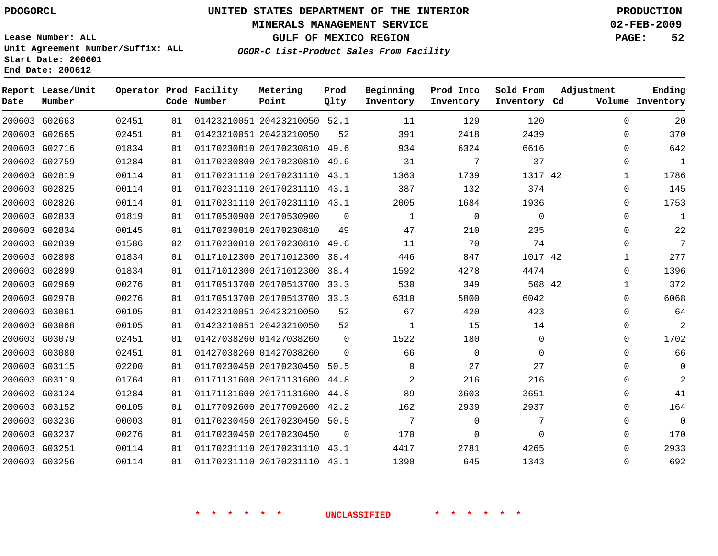# **MINERALS MANAGEMENT SERVICE 02-FEB-2009**

**GULF OF MEXICO REGION PAGE: 52**

**Lease Number: ALL Unit Agreement Number/Suffix: ALL Start Date: 200601 End Date: 200612**

**OGOR-C List-Product Sales From Facility**

| Date | Report Lease/Unit<br>Number |       |    | Operator Prod Facility<br>Code Number | Metering<br>Point            | Prod<br>Qlty | Beginning<br>Inventory | Prod Into<br>Inventory | Sold From<br>Inventory Cd | Adjustment   | Ending<br>Volume Inventory |
|------|-----------------------------|-------|----|---------------------------------------|------------------------------|--------------|------------------------|------------------------|---------------------------|--------------|----------------------------|
|      | 200603 G02663               | 02451 | 01 |                                       | 01423210051 20423210050 52.1 |              | 11                     | 129                    | 120                       | $\mathbf 0$  | 20                         |
|      | 200603 G02665               | 02451 | 01 |                                       | 01423210051 20423210050      | 52           | 391                    | 2418                   | 2439                      | $\Omega$     | 370                        |
|      | 200603 G02716               | 01834 | 01 |                                       | 01170230810 20170230810 49.6 |              | 934                    | 6324                   | 6616                      | $\Omega$     | 642                        |
|      | 200603 G02759               | 01284 | 01 |                                       | 01170230800 20170230810      | 49.6         | 31                     | 7                      | 37                        | $\mathbf 0$  | $\mathbf{1}$               |
|      | 200603 G02819               | 00114 | 01 |                                       | 01170231110 20170231110      | 43.1         | 1363                   | 1739                   | 1317 42                   | $\mathbf{1}$ | 1786                       |
|      | 200603 G02825               | 00114 | 01 |                                       | 01170231110 20170231110 43.1 |              | 387                    | 132                    | 374                       | 0            | 145                        |
|      | 200603 G02826               | 00114 | 01 |                                       | 01170231110 20170231110 43.1 |              | 2005                   | 1684                   | 1936                      | $\Omega$     | 1753                       |
|      | 200603 G02833               | 01819 | 01 |                                       | 01170530900 20170530900      | $\Omega$     | 1                      | $\mathbf 0$            | $\mathbf 0$               | $\mathbf 0$  | $\mathbf{1}$               |
|      | 200603 G02834               | 00145 | 01 |                                       | 01170230810 20170230810      | 49           | 47                     | 210                    | 235                       | 0            | 22                         |
|      | 200603 G02839               | 01586 | 02 |                                       | 01170230810 20170230810 49.6 |              | 11                     | 70                     | 74                        | $\Omega$     | $7\phantom{.0}$            |
|      | 200603 G02898               | 01834 | 01 |                                       | 01171012300 20171012300      | 38.4         | 446                    | 847                    | 1017 42                   | $\mathbf{1}$ | 277                        |
|      | 200603 G02899               | 01834 | 01 |                                       | 01171012300 20171012300      | 38.4         | 1592                   | 4278                   | 4474                      | 0            | 1396                       |
|      | 200603 G02969               | 00276 | 01 |                                       | 01170513700 20170513700 33.3 |              | 530                    | 349                    | 508 42                    | $\mathbf{1}$ | 372                        |
|      | 200603 G02970               | 00276 | 01 |                                       | 01170513700 20170513700 33.3 |              | 6310                   | 5800                   | 6042                      | $\mathbf 0$  | 6068                       |
|      | 200603 G03061               | 00105 | 01 |                                       | 01423210051 20423210050      | 52           | 67                     | 420                    | 423                       | 0            | 64                         |
|      | 200603 G03068               | 00105 | 01 |                                       | 01423210051 20423210050      | 52           | 1                      | 15                     | 14                        | $\mathbf 0$  | $\overline{2}$             |
|      | 200603 G03079               | 02451 | 01 |                                       | 01427038260 01427038260      | 0            | 1522                   | 180                    | 0                         | $\mathbf 0$  | 1702                       |
|      | 200603 G03080               | 02451 | 01 |                                       | 01427038260 01427038260      | $\Omega$     | 66                     | $\Omega$               | $\mathbf 0$               | $\Omega$     | 66                         |
|      | 200603 G03115               | 02200 | 01 |                                       | 01170230450 20170230450 50.5 |              | $\Omega$               | 27                     | 27                        | $\Omega$     | $\mathbf 0$                |
|      | 200603 G03119               | 01764 | 01 |                                       | 01171131600 20171131600      | 44.8         | 2                      | 216                    | 216                       | $\mathbf{0}$ | $\overline{2}$             |
|      | 200603 G03124               | 01284 | 01 |                                       | 01171131600 20171131600 44.8 |              | 89                     | 3603                   | 3651                      | $\Omega$     | 41                         |
|      | 200603 G03152               | 00105 | 01 |                                       | 01177092600 20177092600 42.2 |              | 162                    | 2939                   | 2937                      | $\Omega$     | 164                        |
|      | 200603 G03236               | 00003 | 01 |                                       | 01170230450 20170230450 50.5 |              | 7                      | $\mathbf 0$            | 7                         | $\mathbf{0}$ | $\mathbf 0$                |
|      | 200603 G03237               | 00276 | 01 |                                       | 01170230450 20170230450      | $\Omega$     | 170                    | $\Omega$               | $\Omega$                  | $\mathbf{0}$ | 170                        |
|      | 200603 G03251               | 00114 | 01 |                                       | 01170231110 20170231110 43.1 |              | 4417                   | 2781                   | 4265                      | $\Omega$     | 2933                       |
|      | 200603 G03256               | 00114 | 01 |                                       | 01170231110 20170231110 43.1 |              | 1390                   | 645                    | 1343                      | $\Omega$     | 692                        |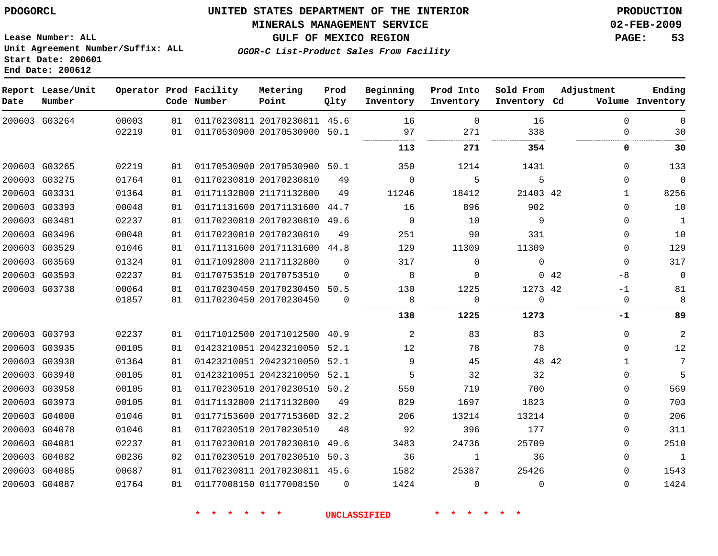## **MINERALS MANAGEMENT SERVICE 02-FEB-2009**

**GULF OF MEXICO REGION PAGE: 53 OGOR-C List-Product Sales From Facility**

**Lease Number: ALL Unit Agreement Number/Suffix: ALL Start Date: 200601 End Date: 200612**

| Date | Report Lease/Unit<br>Number |                |          | Operator Prod Facility<br>Code Number | Metering<br>Point                                            | Prod<br>Qlty | Beginning<br>Inventory | Prod Into<br>Inventory | Sold From<br>Inventory Cd | Adjustment  | Ending<br>Volume Inventory            |
|------|-----------------------------|----------------|----------|---------------------------------------|--------------------------------------------------------------|--------------|------------------------|------------------------|---------------------------|-------------|---------------------------------------|
|      | 200603 G03264               | 00003<br>02219 | 01<br>01 |                                       | 01170230811 20170230811 45.6<br>01170530900 20170530900 50.1 |              | 16<br>97               | $\mathbf 0$<br>271     | 16<br>338                 |             | $\mathbf 0$<br>$\mathbf 0$<br>0<br>30 |
|      |                             |                |          |                                       |                                                              |              | 113                    | 271                    | 354                       |             | 0<br>30                               |
|      | 200603 G03265               | 02219          | 01       |                                       | 01170530900 20170530900 50.1                                 |              | 350                    | 1214                   | 1431                      |             | 133<br>$\Omega$                       |
|      | 200603 G03275               | 01764          | 01       |                                       | 01170230810 20170230810                                      | 49           | $\mathbf 0$            | 5                      | 5                         |             | $\mathbf 0$<br>$\Omega$               |
|      | 200603 G03331               | 01364          | 01       |                                       | 01171132800 21171132800                                      | 49           | 11246                  | 18412                  | 21403 42                  |             | 8256<br>$\mathbf{1}$                  |
|      | 200603 G03393               | 00048          | 01       |                                       | 01171131600 20171131600                                      | 44.7         | 16                     | 896                    | 902                       |             | 10<br>$\Omega$                        |
|      | 200603 G03481               | 02237          | 01       |                                       | 01170230810 20170230810 49.6                                 |              | $\mathbf{0}$           | 10                     | 9                         |             | $\mathbf{1}$<br>$\Omega$              |
|      | 200603 G03496               | 00048          | 01       |                                       | 01170230810 20170230810                                      | 49           | 251                    | 90                     | 331                       |             | 10<br>$\Omega$                        |
|      | 200603 G03529               | 01046          | 01       |                                       | 01171131600 20171131600 44.8                                 |              | 129                    | 11309                  | 11309                     |             | 129<br>$\Omega$                       |
|      | 200603 G03569               | 01324          | 01       |                                       | 01171092800 21171132800                                      | $\Omega$     | 317                    | $\Omega$               | $\Omega$                  |             | 317<br>$\Omega$                       |
|      | 200603 G03593               | 02237          | 01       |                                       | 01170753510 20170753510                                      | $\Omega$     | 8                      | $\Omega$               |                           | $0\quad 42$ | $\mathbf 0$<br>-8                     |
|      | 200603 G03738               | 00064          | 01       |                                       | 01170230450 20170230450 50.5                                 |              | 130                    | 1225                   | 1273 42                   |             | 81<br>-1                              |
|      |                             | 01857          | 01       |                                       | 01170230450 20170230450                                      | $\Omega$     | 8<br>                  | $\Omega$               | $\Omega$<br>              |             | 8<br>$\Omega$                         |
|      |                             |                |          |                                       |                                                              |              | 138                    | 1225                   | 1273                      |             | 89<br>-1                              |
|      | 200603 G03793               | 02237          | 01       |                                       | 01171012500 20171012500                                      | 40.9         | 2                      | 83                     | 83                        |             | $\overline{a}$<br>$\Omega$            |
|      | 200603 G03935               | 00105          | 01       |                                       | 01423210051 20423210050                                      | 52.1         | 12                     | 78                     | 78                        |             | 12<br>$\Omega$                        |
|      | 200603 G03938               | 01364          | 01       |                                       | 01423210051 20423210050 52.1                                 |              | 9                      | 45                     |                           | 48 42       | 7<br>$\mathbf{1}$                     |
|      | 200603 G03940               | 00105          | 01       |                                       | 01423210051 20423210050 52.1                                 |              | 5                      | 32                     | 32                        |             | 5<br>$\Omega$                         |
|      | 200603 G03958               | 00105          | 01       |                                       | 01170230510 20170230510                                      | 50.2         | 550                    | 719                    | 700                       |             | 569<br>$\Omega$                       |
|      | 200603 G03973               | 00105          | 01       |                                       | 01171132800 21171132800                                      | 49           | 829                    | 1697                   | 1823                      |             | 703<br>$\Omega$                       |
|      | 200603 G04000               | 01046          | 01       |                                       | 01177153600 2017715360D 32.2                                 |              | 206                    | 13214                  | 13214                     |             | 206<br>$\Omega$                       |
|      | 200603 G04078               | 01046          | 01       |                                       | 01170230510 20170230510                                      | 48           | 92                     | 396                    | 177                       |             | 311<br>$\Omega$                       |
|      | 200603 G04081               | 02237          | 01       |                                       | 01170230810 20170230810                                      | 49.6         | 3483                   | 24736                  | 25709                     |             | 2510<br>$\Omega$                      |
|      | 200603 G04082               | 00236          | 02       |                                       | 01170230510 20170230510 50.3                                 |              | 36                     | 1                      | 36                        |             | $\Omega$<br>1                         |
|      | 200603 G04085               | 00687          | 01       |                                       | 01170230811 20170230811 45.6                                 |              | 1582                   | 25387                  | 25426                     |             | 1543<br>$\Omega$                      |
|      | 200603 G04087               | 01764          | 01       |                                       | 01177008150 01177008150                                      | $\Omega$     | 1424                   | $\Omega$               | $\Omega$                  |             | 1424<br>$\Omega$                      |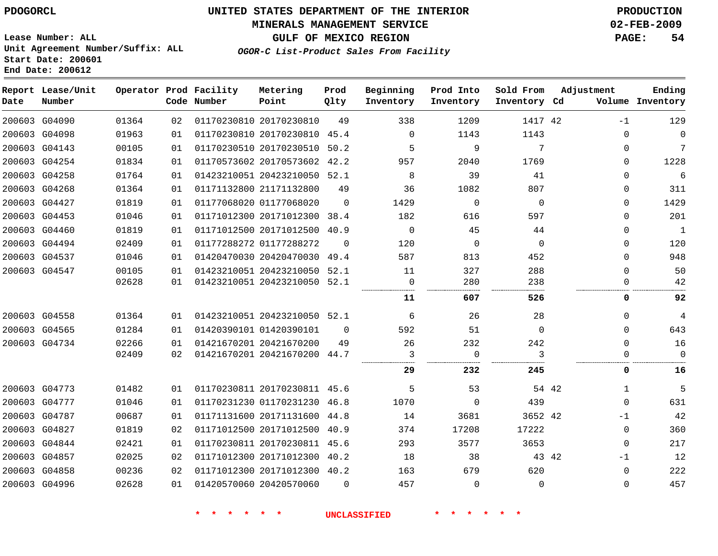# **MINERALS MANAGEMENT SERVICE 02-FEB-2009**

**GULF OF MEXICO REGION PAGE: 54**

**Lease Number: ALL Unit Agreement Number/Suffix: ALL Start Date: 200601 End Date: 200612**

**OGOR-C List-Product Sales From Facility**

| Date | Report Lease/Unit<br>Number |       |    | Operator Prod Facility<br>Code Number | Metering<br>Point            | Prod<br>Qlty | Beginning<br>Inventory | Prod Into<br>Inventory | Sold From<br>Inventory Cd |       | Adjustment   | Ending<br>Volume Inventory |
|------|-----------------------------|-------|----|---------------------------------------|------------------------------|--------------|------------------------|------------------------|---------------------------|-------|--------------|----------------------------|
|      | 200603 G04090               | 01364 | 02 |                                       | 01170230810 20170230810      | 49           | 338                    | 1209                   | 1417 42                   |       | $-1$         | 129                        |
|      | 200603 G04098               | 01963 | 01 |                                       | 01170230810 20170230810      | 45.4         | $\Omega$               | 1143                   | 1143                      |       | 0            | $\mathbf 0$                |
|      | 200603 G04143               | 00105 | 01 |                                       | 01170230510 20170230510      | 50.2         | 5                      | 9                      | 7                         |       | $\Omega$     | 7                          |
|      | 200603 G04254               | 01834 | 01 |                                       | 01170573602 20170573602 42.2 |              | 957                    | 2040                   | 1769                      |       | 0            | 1228                       |
|      | 200603 G04258               | 01764 | 01 |                                       | 01423210051 20423210050 52.1 |              | 8                      | 39                     | 41                        |       | $\mathbf{0}$ | 6                          |
|      | 200603 G04268               | 01364 | 01 |                                       | 01171132800 21171132800      | 49           | 36                     | 1082                   | 807                       |       | 0            | 311                        |
|      | 200603 G04427               | 01819 | 01 |                                       | 01177068020 01177068020      | $\Omega$     | 1429                   | $\mathbf 0$            | $\Omega$                  |       | $\Omega$     | 1429                       |
|      | 200603 G04453               | 01046 | 01 |                                       | 01171012300 20171012300 38.4 |              | 182                    | 616                    | 597                       |       | $\Omega$     | 201                        |
|      | 200603 G04460               | 01819 | 01 |                                       | 01171012500 20171012500 40.9 |              | $\mathbf 0$            | 45                     | 44                        |       | $\mathbf 0$  | $\mathbf{1}$               |
|      | 200603 G04494               | 02409 | 01 |                                       | 01177288272 01177288272      | $\Omega$     | 120                    | $\mathbf 0$            | $\Omega$                  |       | 0            | 120                        |
|      | 200603 G04537               | 01046 | 01 |                                       | 01420470030 20420470030      | 49.4         | 587                    | 813                    | 452                       |       | $\Omega$     | 948                        |
|      | 200603 G04547               | 00105 | 01 |                                       | 01423210051 20423210050 52.1 |              | 11                     | 327                    | 288                       |       | $\Omega$     | 50                         |
|      |                             | 02628 | 01 |                                       | 01423210051 20423210050 52.1 |              | $\Omega$               | 280                    | 238                       |       | $\Omega$     | 42                         |
|      |                             |       |    |                                       |                              |              | 11                     | 607                    | 526                       |       | 0            | 92                         |
|      | 200603 G04558               | 01364 | 01 |                                       | 01423210051 20423210050 52.1 |              | 6                      | 26                     | 28                        |       | $\Omega$     | 4                          |
|      | 200603 G04565               | 01284 | 01 |                                       | 01420390101 01420390101      | $\Omega$     | 592                    | 51                     | $\Omega$                  |       | $\Omega$     | 643                        |
|      | 200603 G04734               | 02266 | 01 |                                       | 01421670201 20421670200      | 49           | 26                     | 232                    | 242                       |       | $\Omega$     | 16                         |
|      |                             | 02409 | 02 |                                       | 01421670201 20421670200 44.7 |              | 3                      | 0                      | 3                         |       | 0            | $\mathbf 0$                |
|      |                             |       |    |                                       |                              |              | 29                     | 232                    | 245                       |       | 0            | 16                         |
|      | 200603 G04773               | 01482 | 01 |                                       | 01170230811 20170230811 45.6 |              | 5                      | 53                     |                           | 54 42 | $\mathbf{1}$ | 5                          |
|      | 200603 G04777               | 01046 | 01 |                                       | 01170231230 01170231230 46.8 |              | 1070                   | $\Omega$               | 439                       |       | $\Omega$     | 631                        |
|      | 200603 G04787               | 00687 | 01 |                                       | 01171131600 20171131600 44.8 |              | 14                     | 3681                   | 3652 42                   |       | $-1$         | 42                         |
|      | 200603 G04827               | 01819 | 02 |                                       | 01171012500 20171012500 40.9 |              | 374                    | 17208                  | 17222                     |       | $\mathbf 0$  | 360                        |
|      | 200603 G04844               | 02421 | 01 |                                       | 01170230811 20170230811      | 45.6         | 293                    | 3577                   | 3653                      |       | $\mathbf{0}$ | 217                        |
|      | 200603 G04857               | 02025 | 02 |                                       | 01171012300 20171012300 40.2 |              | 18                     | 38                     |                           | 43 42 | $-1$         | 12                         |
|      | 200603 G04858               | 00236 | 02 |                                       | 01171012300 20171012300 40.2 |              | 163                    | 679                    | 620                       |       | 0            | 222                        |
|      | 200603 G04996               | 02628 | 01 |                                       | 01420570060 20420570060      | $\Omega$     | 457                    | $\mathbf 0$            | 0                         |       | 0            | 457                        |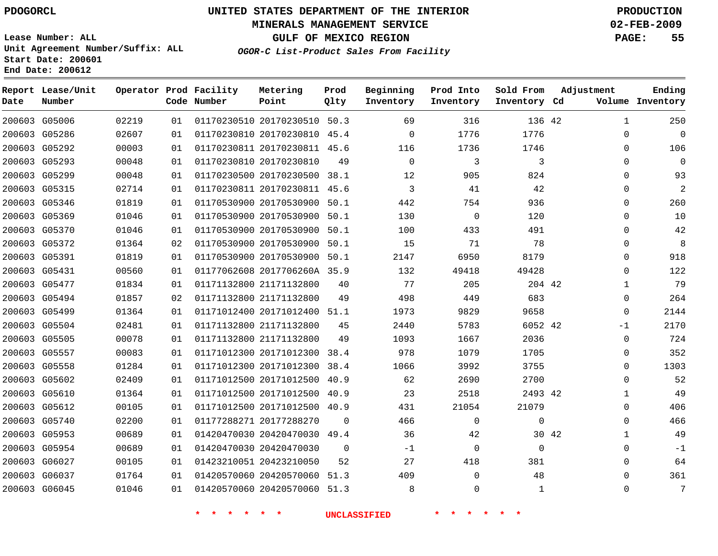## **MINERALS MANAGEMENT SERVICE 02-FEB-2009**

**GULF OF MEXICO REGION PAGE: 55**

**Lease Number: ALL Unit Agreement Number/Suffix: ALL Start Date: 200601 End Date: 200612**

**OGOR-C List-Product Sales From Facility**

| Date | Report Lease/Unit<br>Number |       |    | Operator Prod Facility<br>Code Number | Metering<br>Point            | Prod<br>Qlty | Beginning<br>Inventory | Prod Into<br>Inventory | Sold From<br>Inventory Cd | Adjustment            | Ending<br>Volume Inventory |
|------|-----------------------------|-------|----|---------------------------------------|------------------------------|--------------|------------------------|------------------------|---------------------------|-----------------------|----------------------------|
|      | 200603 G05006               | 02219 | 01 |                                       | 01170230510 20170230510 50.3 |              | 69                     | 316                    | 136 42                    | $\mathbf{1}$          | 250                        |
|      | 200603 G05286               | 02607 | 01 |                                       | 01170230810 20170230810 45.4 |              | 0                      | 1776                   | 1776                      | $\mathbf{0}$          | $\Omega$                   |
|      | 200603 G05292               | 00003 | 01 |                                       | 01170230811 20170230811 45.6 |              | 116                    | 1736                   | 1746                      | 0                     | 106                        |
|      | 200603 G05293               | 00048 | 01 |                                       | 01170230810 20170230810      | 49           | $\Omega$               | 3                      | 3                         | $\mathbf{0}$          | $\Omega$                   |
|      | 200603 G05299               | 00048 | 01 |                                       | 01170230500 20170230500 38.1 |              | 12                     | 905                    | 824                       | $\Omega$              | 93                         |
|      | 200603 G05315               | 02714 | 01 |                                       | 01170230811 20170230811 45.6 |              | 3                      | 41                     | 42                        | $\mathbf{0}$          | $\overline{2}$             |
|      | 200603 G05346               | 01819 | 01 |                                       | 01170530900 20170530900 50.1 |              | 442                    | 754                    | 936                       | 0                     | 260                        |
|      | 200603 G05369               | 01046 | 01 |                                       | 01170530900 20170530900      | 50.1         | 130                    | $\mathsf{O}$           | 120                       | 0                     | 10                         |
|      | 200603 G05370               | 01046 | 01 |                                       | 01170530900 20170530900      | 50.1         | 100                    | 433                    | 491                       | 0                     | 42                         |
|      | 200603 G05372               | 01364 | 02 |                                       | 01170530900 20170530900      | 50.1         | 15                     | 71                     | 78                        | 0                     | 8                          |
|      | 200603 G05391               | 01819 | 01 |                                       | 01170530900 20170530900 50.1 |              | 2147                   | 6950                   | 8179                      | 0                     | 918                        |
|      | 200603 G05431               | 00560 | 01 |                                       | 01177062608 2017706260A 35.9 |              | 132                    | 49418                  | 49428                     | $\Omega$              | 122                        |
|      | 200603 G05477               | 01834 | 01 |                                       | 01171132800 21171132800      | 40           | 77                     | 205                    | 204 42                    | $\mathbf{1}$          | 79                         |
|      | 200603 G05494               | 01857 | 02 |                                       | 01171132800 21171132800      | 49           | 498                    | 449                    | 683                       | 0                     | 264                        |
|      | 200603 G05499               | 01364 | 01 |                                       | 01171012400 20171012400      | 51.1         | 1973                   | 9829                   | 9658                      | 0                     | 2144                       |
|      | 200603 G05504               | 02481 | 01 |                                       | 01171132800 21171132800      | 45           | 2440                   | 5783                   | 6052 42                   | $-1$                  | 2170                       |
|      | 200603 G05505               | 00078 | 01 |                                       | 01171132800 21171132800      | 49           | 1093                   | 1667                   | 2036                      | 0                     | 724                        |
|      | 200603 G05557               | 00083 | 01 |                                       | 01171012300 20171012300      | 38.4         | 978                    | 1079                   | 1705                      | 0                     | 352                        |
|      | 200603 G05558               | 01284 | 01 |                                       | 01171012300 20171012300      | 38.4         | 1066                   | 3992                   | 3755                      | 0                     | 1303                       |
|      | 200603 G05602               | 02409 | 01 |                                       | 01171012500 20171012500      | 40.9         | 62                     | 2690                   | 2700                      | $\Omega$              | 52                         |
|      | 200603 G05610               | 01364 | 01 |                                       | 01171012500 20171012500      | 40.9         | 23                     | 2518                   | 2493 42                   | $\mathbf{1}$          | 49                         |
|      | 200603 G05612               | 00105 | 01 |                                       | 01171012500 20171012500 40.9 |              | 431                    | 21054                  | 21079                     | 0                     | 406                        |
|      | 200603 G05740               | 02200 | 01 |                                       | 01177288271 20177288270      | 0            | 466                    | 0                      | 0                         | 0                     | 466                        |
|      | 200603 G05953               | 00689 | 01 |                                       | 01420470030 20420470030 49.4 |              | 36                     | 42                     |                           | 30 42<br>$\mathbf{1}$ | 49                         |
|      | 200603 G05954               | 00689 | 01 |                                       | 01420470030 20420470030      | $\mathbf 0$  | $-1$                   | 0                      | 0                         | 0                     | $-1$                       |
|      | 200603 G06027               | 00105 | 01 |                                       | 01423210051 20423210050      | 52           | 27                     | 418                    | 381                       | $\Omega$              | 64                         |
|      | 200603 G06037               | 01764 | 01 |                                       | 01420570060 20420570060      | 51.3         | 409                    | $\mathbf 0$            | 48                        | $\Omega$              | 361                        |
|      | 200603 G06045               | 01046 | 01 |                                       | 01420570060 20420570060 51.3 |              | 8                      | 0                      | $\mathbf{1}$              | $\Omega$              | 7                          |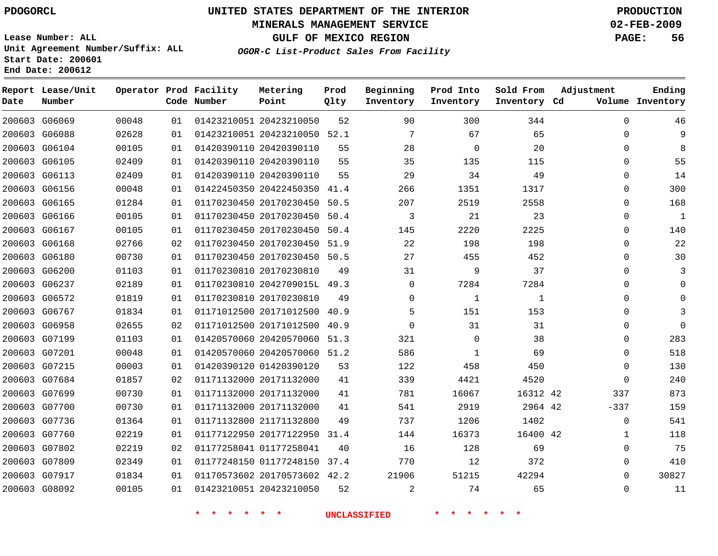## **MINERALS MANAGEMENT SERVICE 02-FEB-2009**

**GULF OF MEXICO REGION PAGE: 56**

**Lease Number: ALL Unit Agreement Number/Suffix: ALL Start Date: 200601 End Date: 200612**

**OGOR-C List-Product Sales From Facility**

| Date | Report Lease/Unit<br>Number |       |    | Operator Prod Facility<br>Code Number | Metering<br>Point            | Prod<br>Qlty | Beginning<br>Inventory | Prod Into<br>Inventory | Sold From<br>Inventory Cd | Adjustment   | Ending<br>Volume Inventory |
|------|-----------------------------|-------|----|---------------------------------------|------------------------------|--------------|------------------------|------------------------|---------------------------|--------------|----------------------------|
|      | 200603 G06069               | 00048 | 01 |                                       | 01423210051 20423210050      | 52           | 90                     | 300                    | 344                       | $\mathbf 0$  | 46                         |
|      | 200603 G06088               | 02628 | 01 |                                       | 01423210051 20423210050 52.1 |              | 7                      | 67                     | 65                        | $\Omega$     | 9                          |
|      | 200603 G06104               | 00105 | 01 |                                       | 01420390110 20420390110      | 55           | 28                     | $\mathbf 0$            | 20                        | $\Omega$     | 8                          |
|      | 200603 G06105               | 02409 | 01 |                                       | 01420390110 20420390110      | 55           | 35                     | 135                    | 115                       | $\Omega$     | 55                         |
|      | 200603 G06113               | 02409 | 01 |                                       | 01420390110 20420390110      | 55           | 29                     | 34                     | 49                        | $\Omega$     | 14                         |
|      | 200603 G06156               | 00048 | 01 |                                       | 01422450350 20422450350 41.4 |              | 266                    | 1351                   | 1317                      | 0            | 300                        |
|      | 200603 G06165               | 01284 | 01 |                                       | 01170230450 20170230450      | 50.5         | 207                    | 2519                   | 2558                      | $\Omega$     | 168                        |
|      | 200603 G06166               | 00105 | 01 |                                       | 01170230450 20170230450      | 50.4         | 3                      | 21                     | 23                        | 0            | $\mathbf{1}$               |
|      | 200603 G06167               | 00105 | 01 |                                       | 01170230450 20170230450      | 50.4         | 145                    | 2220                   | 2225                      | $\Omega$     | 140                        |
|      | 200603 G06168               | 02766 | 02 |                                       | 01170230450 20170230450 51.9 |              | 22                     | 198                    | 198                       | 0            | 22                         |
|      | 200603 G06180               | 00730 | 01 |                                       | 01170230450 20170230450 50.5 |              | 27                     | 455                    | 452                       | $\Omega$     | 30                         |
|      | 200603 G06200               | 01103 | 01 |                                       | 01170230810 20170230810      | 49           | 31                     | 9                      | 37                        | $\Omega$     | 3                          |
|      | 200603 G06237               | 02189 | 01 |                                       | 01170230810 2042709015L 49.3 |              | $\Omega$               | 7284                   | 7284                      | $\Omega$     | $\Omega$                   |
|      | 200603 G06572               | 01819 | 01 |                                       | 01170230810 20170230810      | 49           | $\mathbf{0}$           | 1                      | $\mathbf{1}$              | 0            | 0                          |
|      | 200603 G06767               | 01834 | 01 |                                       | 01171012500 20171012500      | 40.9         | 5                      | 151                    | 153                       | $\Omega$     |                            |
|      | 200603 G06958               | 02655 | 02 |                                       | 01171012500 20171012500      | 40.9         | $\Omega$               | 31                     | 31                        | 0            | $\Omega$                   |
|      | 200603 G07199               | 01103 | 01 |                                       | 01420570060 20420570060 51.3 |              | 321                    | 0                      | 38                        | 0            | 283                        |
|      | 200603 G07201               | 00048 | 01 |                                       | 01420570060 20420570060 51.2 |              | 586                    | 1                      | 69                        | 0            | 518                        |
|      | 200603 G07215               | 00003 | 01 |                                       | 01420390120 01420390120      | 53           | 122                    | 458                    | 450                       | $\mathbf{0}$ | 130                        |
|      | 200603 G07684               | 01857 | 02 |                                       | 01171132000 20171132000      | 41           | 339                    | 4421                   | 4520                      | $\Omega$     | 240                        |
|      | 200603 G07699               | 00730 | 01 |                                       | 01171132000 20171132000      | 41           | 781                    | 16067                  | 16312 42                  | 337          | 873                        |
|      | 200603 G07700               | 00730 | 01 |                                       | 01171132000 20171132000      | 41           | 541                    | 2919                   | 2964 42                   | $-337$       | 159                        |
|      | 200603 G07736               | 01364 | 01 |                                       | 01171132800 21171132800      | 49           | 737                    | 1206                   | 1402                      | $\mathbf 0$  | 541                        |
|      | 200603 G07760               | 02219 | 01 |                                       | 01177122950 20177122950      | 31.4         | 144                    | 16373                  | 16400 42                  | $\mathbf{1}$ | 118                        |
|      | 200603 G07802               | 02219 | 02 |                                       | 01177258041 01177258041      | 40           | 16                     | 128                    | 69                        | 0            | 75                         |
|      | 200603 G07809               | 02349 | 01 |                                       | 01177248150 01177248150      | 37.4         | 770                    | 12                     | 372                       | $\Omega$     | 410                        |
|      | 200603 G07917               | 01834 | 01 |                                       | 01170573602 20170573602 42.2 |              | 21906                  | 51215                  | 42294                     | $\Omega$     | 30827                      |
|      | 200603 G08092               | 00105 | 01 |                                       | 01423210051 20423210050      | 52           | 2                      | 74                     | 65                        | $\Omega$     | 11                         |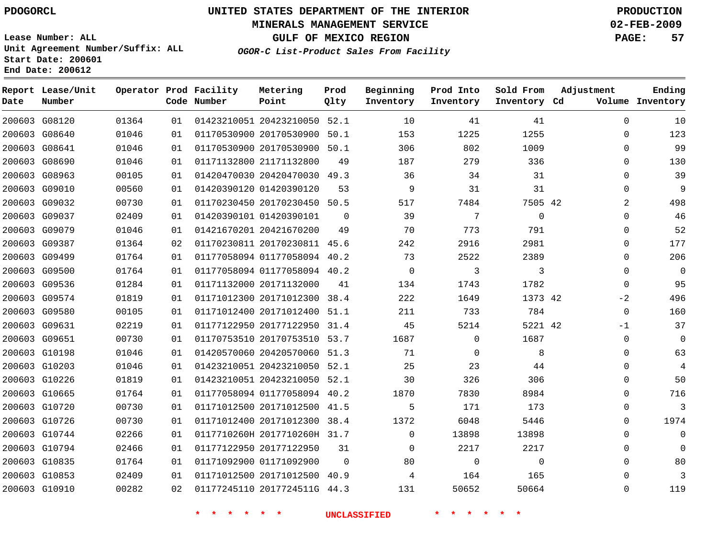#### **MINERALS MANAGEMENT SERVICE 02-FEB-2009**

**GULF OF MEXICO REGION PAGE: 57**

**Lease Number: ALL Unit Agreement Number/Suffix: ALL Start Date: 200601 End Date: 200612**

**OGOR-C List-Product Sales From Facility**

| Date | Report Lease/Unit<br>Number |       |    | Operator Prod Facility<br>Code Number | Metering<br>Point            | Prod<br>Qlty | Beginning<br>Inventory | Prod Into<br>Inventory | Sold From<br>Inventory Cd | Adjustment   | Ending<br>Volume Inventory |
|------|-----------------------------|-------|----|---------------------------------------|------------------------------|--------------|------------------------|------------------------|---------------------------|--------------|----------------------------|
|      | 200603 G08120               | 01364 | 01 |                                       | 01423210051 20423210050 52.1 |              | 10                     | 41                     | 41                        | $\mathbf 0$  | 10                         |
|      | 200603 G08640               | 01046 | 01 |                                       | 01170530900 20170530900      | 50.1         | 153                    | 1225                   | 1255                      | $\Omega$     | 123                        |
|      | 200603 G08641               | 01046 | 01 |                                       | 01170530900 20170530900 50.1 |              | 306                    | 802                    | 1009                      | 0            | 99                         |
|      | 200603 G08690               | 01046 | 01 |                                       | 01171132800 21171132800      | 49           | 187                    | 279                    | 336                       | 0            | 130                        |
|      | 200603 G08963               | 00105 | 01 |                                       | 01420470030 20420470030 49.3 |              | 36                     | 34                     | 31                        | $\Omega$     | 39                         |
|      | 200603 G09010               | 00560 | 01 |                                       | 01420390120 01420390120      | 53           | 9                      | 31                     | 31                        | $\Omega$     | 9                          |
|      | 200603 G09032               | 00730 | 01 |                                       | 01170230450 20170230450 50.5 |              | 517                    | 7484                   | 7505 42                   | 2            | 498                        |
|      | 200603 G09037               | 02409 | 01 |                                       | 01420390101 01420390101      | 0            | 39                     | 7                      | $\mathbf 0$               | $\Omega$     | 46                         |
|      | 200603 G09079               | 01046 | 01 |                                       | 01421670201 20421670200      | 49           | 70                     | 773                    | 791                       | $\Omega$     | 52                         |
|      | 200603 G09387               | 01364 | 02 |                                       | 01170230811 20170230811      | 45.6         | 242                    | 2916                   | 2981                      | $\Omega$     | 177                        |
|      | 200603 G09499               | 01764 | 01 |                                       | 01177058094 01177058094 40.2 |              | 73                     | 2522                   | 2389                      | $\Omega$     | 206                        |
|      | 200603 G09500               | 01764 | 01 |                                       | 01177058094 01177058094 40.2 |              | $\mathbf{0}$           | 3                      | 3                         | 0            | $\mathbf 0$                |
|      | 200603 G09536               | 01284 | 01 |                                       | 01171132000 20171132000      | 41           | 134                    | 1743                   | 1782                      | $\Omega$     | 95                         |
|      | 200603 G09574               | 01819 | 01 |                                       | 01171012300 20171012300 38.4 |              | 222                    | 1649                   | 1373 42                   | $-2$         | 496                        |
|      | 200603 G09580               | 00105 | 01 |                                       | 01171012400 20171012400 51.1 |              | 211                    | 733                    | 784                       | $\Omega$     | 160                        |
|      | 200603 G09631               | 02219 | 01 |                                       | 01177122950 20177122950      | 31.4         | 45                     | 5214                   | 5221 42                   | $-1$         | 37                         |
|      | 200603 G09651               | 00730 | 01 |                                       | 01170753510 20170753510 53.7 |              | 1687                   | $\mathbf 0$            | 1687                      | 0            | $\mathbf 0$                |
|      | 200603 G10198               | 01046 | 01 |                                       | 01420570060 20420570060 51.3 |              | 71                     | $\mathbf 0$            | 8                         | 0            | 63                         |
|      | 200603 G10203               | 01046 | 01 |                                       | 01423210051 20423210050 52.1 |              | 25                     | 23                     | 44                        | $\Omega$     | 4                          |
|      | 200603 G10226               | 01819 | 01 |                                       | 01423210051 20423210050 52.1 |              | 30                     | 326                    | 306                       | $\mathbf{0}$ | 50                         |
|      | 200603 G10665               | 01764 | 01 |                                       | 01177058094 01177058094 40.2 |              | 1870                   | 7830                   | 8984                      | 0            | 716                        |
|      | 200603 G10720               | 00730 | 01 |                                       | 01171012500 20171012500 41.5 |              | 5                      | 171                    | 173                       | $\mathbf{0}$ | 3                          |
|      | 200603 G10726               | 00730 | 01 |                                       | 01171012400 20171012300 38.4 |              | 1372                   | 6048                   | 5446                      | $\Omega$     | 1974                       |
|      | 200603 G10744               | 02266 | 01 |                                       | 0117710260H 2017710260H 31.7 |              | $\mathbf 0$            | 13898                  | 13898                     | $\mathbf 0$  | $\Omega$                   |
|      | 200603 G10794               | 02466 | 01 |                                       | 01177122950 20177122950      | 31           | $\Omega$               | 2217                   | 2217                      | 0            | $\Omega$                   |
|      | 200603 G10835               | 01764 | 01 |                                       | 01171092900 01171092900      | $\Omega$     | 80                     | $\mathbf 0$            | $\mathbf 0$               | 0            | 80                         |
|      | 200603 G10853               | 02409 | 01 |                                       | 01171012500 20171012500 40.9 |              | 4                      | 164                    | 165                       | $\Omega$     | 3                          |
|      | 200603 G10910               | 00282 | 02 |                                       | 01177245110 2017724511G 44.3 |              | 131                    | 50652                  | 50664                     | $\Omega$     | 119                        |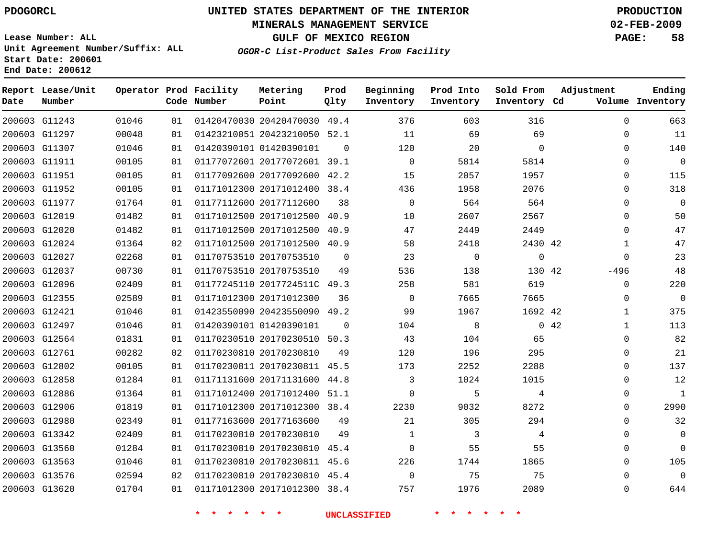#### **MINERALS MANAGEMENT SERVICE 02-FEB-2009**

**GULF OF MEXICO REGION PAGE: 58**

**Lease Number: ALL Unit Agreement Number/Suffix: ALL Start Date: 200601 End Date: 200612**

**OGOR-C List-Product Sales From Facility**

| Date | Report Lease/Unit<br>Number |       |    | Operator Prod Facility<br>Code Number | Metering<br>Point            | Prod<br>Qlty | Beginning<br>Inventory | Prod Into<br>Inventory | Sold From<br>Inventory Cd | Adjustment   | Ending<br>Volume Inventory |
|------|-----------------------------|-------|----|---------------------------------------|------------------------------|--------------|------------------------|------------------------|---------------------------|--------------|----------------------------|
|      | 200603 G11243               | 01046 | 01 |                                       | 01420470030 20420470030 49.4 |              | 376                    | 603                    | 316                       | $\Omega$     | 663                        |
|      | 200603 G11297               | 00048 | 01 |                                       | 01423210051 20423210050 52.1 |              | 11                     | 69                     | 69                        | 0            | 11                         |
|      | 200603 G11307               | 01046 | 01 |                                       | 01420390101 01420390101      | $\Omega$     | 120                    | 20                     | $\Omega$                  | $\Omega$     | 140                        |
|      | 200603 G11911               | 00105 | 01 |                                       | 01177072601 20177072601 39.1 |              | $\mathbf 0$            | 5814                   | 5814                      | $\Omega$     | $\mathbf{0}$               |
|      | 200603 G11951               | 00105 | 01 |                                       | 01177092600 20177092600 42.2 |              | 15                     | 2057                   | 1957                      | 0            | 115                        |
|      | 200603 G11952               | 00105 | 01 |                                       | 01171012300 20171012400 38.4 |              | 436                    | 1958                   | 2076                      | 0            | 318                        |
|      | 200603 G11977               | 01764 | 01 |                                       | 01177112600 20177112600      | 38           | $\Omega$               | 564                    | 564                       | $\Omega$     | $\mathbf{0}$               |
|      | 200603 G12019               | 01482 | 01 |                                       | 01171012500 20171012500 40.9 |              | 10                     | 2607                   | 2567                      | $\Omega$     | 50                         |
|      | 200603 G12020               | 01482 | 01 |                                       | 01171012500 20171012500 40.9 |              | 47                     | 2449                   | 2449                      | $\Omega$     | 47                         |
|      | 200603 G12024               | 01364 | 02 |                                       | 01171012500 20171012500 40.9 |              | 58                     | 2418                   | 2430 42                   | 1            | 47                         |
|      | 200603 G12027               | 02268 | 01 |                                       | 01170753510 20170753510      | 0            | 23                     | $\mathbf 0$            | 0                         | $\mathbf{0}$ | 23                         |
|      | 200603 G12037               | 00730 | 01 |                                       | 01170753510 20170753510      | 49           | 536                    | 138                    | 130 42                    | $-496$       | 48                         |
|      | 200603 G12096               | 02409 | 01 |                                       | 01177245110 2017724511C 49.3 |              | 258                    | 581                    | 619                       | 0            | 220                        |
|      | 200603 G12355               | 02589 | 01 |                                       | 01171012300 20171012300      | 36           | $\Omega$               | 7665                   | 7665                      | $\Omega$     | $\mathbf{0}$               |
|      | 200603 G12421               | 01046 | 01 |                                       | 01423550090 20423550090 49.2 |              | 99                     | 1967                   | 1692 42                   | 1            | 375                        |
|      | 200603 G12497               | 01046 | 01 |                                       | 01420390101 01420390101      | $\Omega$     | 104                    | 8                      |                           | 0.42<br>1    | 113                        |
|      | 200603 G12564               | 01831 | 01 |                                       | 01170230510 20170230510 50.3 |              | 43                     | 104                    | 65                        | 0            | 82                         |
|      | 200603 G12761               | 00282 | 02 |                                       | 01170230810 20170230810      | 49           | 120                    | 196                    | 295                       | 0            | 21                         |
|      | 200603 G12802               | 00105 | 01 |                                       | 01170230811 20170230811 45.5 |              | 173                    | 2252                   | 2288                      | 0            | 137                        |
|      | 200603 G12858               | 01284 | 01 |                                       | 01171131600 20171131600 44.8 |              | 3                      | 1024                   | 1015                      | 0            | 12                         |
|      | 200603 G12886               | 01364 | 01 |                                       | 01171012400 20171012400 51.1 |              | $\Omega$               | 5                      | 4                         | $\Omega$     | $\mathbf{1}$               |
|      | 200603 G12906               | 01819 | 01 |                                       | 01171012300 20171012300 38.4 |              | 2230                   | 9032                   | 8272                      | $\Omega$     | 2990                       |
|      | 200603 G12980               | 02349 | 01 |                                       | 01177163600 20177163600      | 49           | 21                     | 305                    | 294                       | 0            | 32                         |
|      | 200603 G13342               | 02409 | 01 |                                       | 01170230810 20170230810      | 49           | $\mathbf 1$            | 3                      | 4                         | 0            | $\mathbf 0$                |
|      | 200603 G13560               | 01284 | 01 |                                       | 01170230810 20170230810 45.4 |              | $\Omega$               | 55                     | 55                        | $\Omega$     | $\Omega$                   |
|      | 200603 G13563               | 01046 | 01 |                                       | 01170230810 20170230811 45.6 |              | 226                    | 1744                   | 1865                      | $\mathbf{0}$ | 105                        |
|      | 200603 G13576               | 02594 | 02 |                                       | 01170230810 20170230810 45.4 |              | $\Omega$               | 75                     | 75                        | $\Omega$     | $\Omega$                   |
|      | 200603 G13620               | 01704 | 01 |                                       | 01171012300 20171012300 38.4 |              | 757                    | 1976                   | 2089                      | $\Omega$     | 644                        |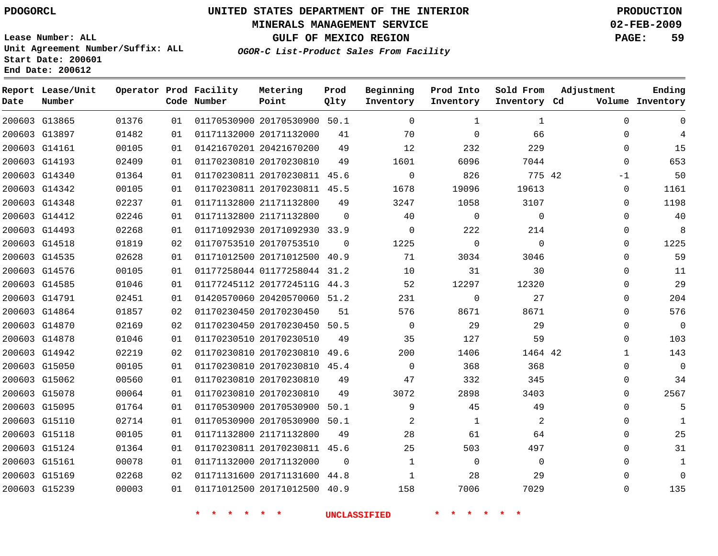## **MINERALS MANAGEMENT SERVICE 02-FEB-2009**

**GULF OF MEXICO REGION PAGE: 59**

**Lease Number: ALL Unit Agreement Number/Suffix: ALL Start Date: 200601 End Date: 200612**

**OGOR-C List-Product Sales From Facility**

| Date | Report Lease/Unit<br>Number |       |    | Operator Prod Facility<br>Code Number | Metering<br>Point            | Prod<br>Qlty | Beginning<br>Inventory | Prod Into<br>Inventory | Sold From<br>Inventory Cd | Adjustment | Ending<br>Volume Inventory    |
|------|-----------------------------|-------|----|---------------------------------------|------------------------------|--------------|------------------------|------------------------|---------------------------|------------|-------------------------------|
|      | 200603 G13865               | 01376 | 01 |                                       | 01170530900 20170530900 50.1 |              | $\Omega$               | $\mathbf 1$            | 1                         |            | $\mathbf{0}$<br>$\Omega$      |
|      | 200603 G13897               | 01482 | 01 |                                       | 01171132000 20171132000      | 41           | 70                     | $\mathbf 0$            | 66                        |            | $\mathbf{0}$<br>4             |
|      | 200603 G14161               | 00105 | 01 |                                       | 01421670201 20421670200      | 49           | 12                     | 232                    | 229                       |            | $\mathbf 0$<br>15             |
|      | 200603 G14193               | 02409 | 01 |                                       | 01170230810 20170230810      | 49           | 1601                   | 6096                   | 7044                      |            | 653<br>$\mathbf 0$            |
|      | 200603 G14340               | 01364 | 01 |                                       | 01170230811 20170230811 45.6 |              | $\Omega$               | 826                    | 775 42                    |            | 50<br>$-1$                    |
|      | 200603 G14342               | 00105 | 01 |                                       | 01170230811 20170230811 45.5 |              | 1678                   | 19096                  | 19613                     |            | 0<br>1161                     |
|      | 200603 G14348               | 02237 | 01 |                                       | 01171132800 21171132800      | 49           | 3247                   | 1058                   | 3107                      |            | 1198<br>$\Omega$              |
|      | 200603 G14412               | 02246 | 01 |                                       | 01171132800 21171132800      | $\Omega$     | 40                     | $\mathbf 0$            | $\mathbf 0$               |            | 40<br>$\Omega$                |
|      | 200603 G14493               | 02268 | 01 |                                       | 01171092930 20171092930 33.9 |              | $\Omega$               | 222                    | 214                       |            | 8<br>0                        |
|      | 200603 G14518               | 01819 | 02 |                                       | 01170753510 20170753510      | $\Omega$     | 1225                   | $\mathbf 0$            | $\mathbf 0$               |            | 1225<br>$\mathbf{0}$          |
|      | 200603 G14535               | 02628 | 01 |                                       | 01171012500 20171012500 40.9 |              | 71                     | 3034                   | 3046                      |            | 59<br>$\mathbf{0}$            |
|      | 200603 G14576               | 00105 | 01 |                                       | 01177258044 01177258044 31.2 |              | 10                     | 31                     | 30                        |            | 0<br>11                       |
|      | 200603 G14585               | 01046 | 01 |                                       | 01177245112 2017724511G 44.3 |              | 52                     | 12297                  | 12320                     |            | 29<br>$\Omega$                |
|      | 200603 G14791               | 02451 | 01 |                                       | 01420570060 20420570060 51.2 |              | 231                    | $\mathbf 0$            | 27                        |            | 204<br>$\mathbf 0$            |
|      | 200603 G14864               | 01857 | 02 |                                       | 01170230450 20170230450      | 51           | 576                    | 8671                   | 8671                      |            | 576<br>$\Omega$               |
|      | 200603 G14870               | 02169 | 02 |                                       | 01170230450 20170230450 50.5 |              | $\mathbf 0$            | 29                     | 29                        |            | $\overline{0}$<br>$\mathbf 0$ |
|      | 200603 G14878               | 01046 | 01 |                                       | 01170230510 20170230510      | 49           | 35                     | 127                    | 59                        |            | 103<br>$\Omega$               |
|      | 200603 G14942               | 02219 | 02 |                                       | 01170230810 20170230810      | 49.6         | 200                    | 1406                   | 1464 42                   |            | 143<br>$\mathbf{1}$           |
|      | 200603 G15050               | 00105 | 01 |                                       | 01170230810 20170230810 45.4 |              | $\Omega$               | 368                    | 368                       |            | $\mathbf 0$<br>$\mathbf 0$    |
|      | 200603 G15062               | 00560 | 01 |                                       | 01170230810 20170230810      | 49           | 47                     | 332                    | 345                       |            | 34<br>0                       |
|      | 200603 G15078               | 00064 | 01 |                                       | 01170230810 20170230810      | 49           | 3072                   | 2898                   | 3403                      |            | 2567<br>0                     |
|      | 200603 G15095               | 01764 | 01 |                                       | 01170530900 20170530900      | 50.1         | 9                      | 45                     | 49                        |            | 0<br>5                        |
|      | 200603 G15110               | 02714 | 01 |                                       | 01170530900 20170530900 50.1 |              | $\overline{2}$         | $\mathbf{1}$           | 2                         |            | $\Omega$<br>1                 |
|      | 200603 G15118               | 00105 | 01 |                                       | 01171132800 21171132800      | 49           | 28                     | 61                     | 64                        |            | 25<br>$\mathbf 0$             |
|      | 200603 G15124               | 01364 | 01 |                                       | 01170230811 20170230811 45.6 |              | 25                     | 503                    | 497                       |            | 31<br>$\Omega$                |
|      | 200603 G15161               | 00078 | 01 |                                       | 01171132000 20171132000      | $\Omega$     | $\mathbf{1}$           | $\mathbf 0$            | $\mathbf 0$               |            | $\Omega$<br>$\mathbf 1$       |
|      | 200603 G15169               | 02268 | 02 |                                       | 01171131600 20171131600 44.8 |              | $\mathbf{1}$           | 28                     | 29                        |            | $\Omega$<br>$\Omega$          |
|      | 200603 G15239               | 00003 | 01 |                                       | 01171012500 20171012500 40.9 |              | 158                    | 7006                   | 7029                      |            | 135<br>$\Omega$               |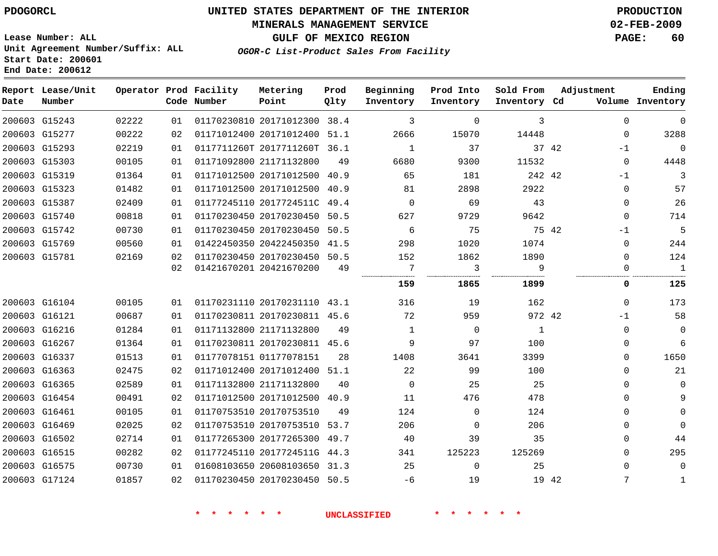## **MINERALS MANAGEMENT SERVICE 02-FEB-2009**

**GULF OF MEXICO REGION PAGE: 60**

**Lease Number: ALL Unit Agreement Number/Suffix: ALL Start Date: 200601 End Date: 200612**

**OGOR-C List-Product Sales From Facility**

| Date | Report Lease/Unit<br>Number |       |      | Operator Prod Facility<br>Code Number | Metering<br>Point            | Prod<br>Qlty | Beginning<br>Inventory | Prod Into<br>Inventory | Sold From<br>Inventory Cd | Adjustment    | Ending<br>Volume Inventory |
|------|-----------------------------|-------|------|---------------------------------------|------------------------------|--------------|------------------------|------------------------|---------------------------|---------------|----------------------------|
|      | 200603 G15243               | 02222 | 01   |                                       | 01170230810 20171012300 38.4 |              | 3                      | $\Omega$               | 3                         |               | $\Omega$<br>$\Omega$       |
|      | 200603 G15277               | 00222 | 02   |                                       | 01171012400 20171012400 51.1 |              | 2666                   | 15070                  | 14448                     |               | 3288<br>0                  |
|      | 200603 G15293               | 02219 | 01   |                                       | 0117711260T 2017711260T 36.1 |              | $\mathbf{1}$           | 37                     |                           | 37 42<br>$-1$ | $\mathbf 0$                |
|      | 200603 G15303               | 00105 | 01   |                                       | 01171092800 21171132800      | 49           | 6680                   | 9300                   | 11532                     |               | 4448<br>0                  |
|      | 200603 G15319               | 01364 | 01   |                                       | 01171012500 20171012500 40.9 |              | 65                     | 181                    | 242 42                    | $-1$          | 3                          |
|      | 200603 G15323               | 01482 | 01   |                                       | 01171012500 20171012500      | 40.9         | 81                     | 2898                   | 2922                      |               | 57<br>$\Omega$             |
|      | 200603 G15387               | 02409 | 01   |                                       | 01177245110 2017724511C 49.4 |              | $\Omega$               | 69                     | 43                        |               | 26<br>$\Omega$             |
|      | 200603 G15740               | 00818 | 01   |                                       | 01170230450 20170230450      | 50.5         | 627                    | 9729                   | 9642                      |               | 0<br>714                   |
|      | 200603 G15742               | 00730 | 01   |                                       | 01170230450 20170230450 50.5 |              | 6                      | 75                     |                           | 75 42<br>$-1$ | 5                          |
|      | 200603 G15769               | 00560 | 01   |                                       | 01422450350 20422450350 41.5 |              | 298                    | 1020                   | 1074                      |               | 244<br>$\Omega$            |
|      | 200603 G15781               | 02169 | 02   |                                       | 01170230450 20170230450 50.5 |              | 152                    | 1862                   | 1890                      |               | 124<br>$\Omega$            |
|      |                             |       | 02   |                                       | 01421670201 20421670200      | 49           | 7                      | 3                      | 9                         |               | $\mathbf{1}$<br>$\Omega$   |
|      |                             |       |      |                                       |                              |              | 159                    | 1865                   | 1899                      |               | 125<br>0                   |
|      | 200603 G16104               | 00105 | 01 D |                                       | 01170231110 20170231110 43.1 |              | 316                    | 19                     | 162                       |               | 173<br>0                   |
|      | 200603 G16121               | 00687 | 01   |                                       | 01170230811 20170230811 45.6 |              | 72                     | 959                    | 972 42                    | $-1$          | 58                         |
|      | 200603 G16216               | 01284 | 01   |                                       | 01171132800 21171132800      | 49           | $\mathbf{1}$           | $\mathbf 0$            | $\mathbf{1}$              |               | 0<br>$\overline{0}$        |
|      | 200603 G16267               | 01364 | 01   |                                       | 01170230811 20170230811 45.6 |              | 9                      | 97                     | 100                       |               | 6<br>0                     |
|      | 200603 G16337               | 01513 | 01   |                                       | 01177078151 01177078151      | 28           | 1408                   | 3641                   | 3399                      |               | 1650<br>0                  |
|      | 200603 G16363               | 02475 | 02   |                                       | 01171012400 20171012400 51.1 |              | 22                     | 99                     | 100                       |               | 21<br>0                    |
|      | 200603 G16365               | 02589 | 01   |                                       | 01171132800 21171132800      | 40           | $\Omega$               | 25                     | 25                        |               | $\Omega$<br>$\mathbf 0$    |
|      | 200603 G16454               | 00491 | 02   |                                       | 01171012500 20171012500 40.9 |              | 11                     | 476                    | 478                       |               | 9<br>0                     |
|      | 200603 G16461               | 00105 | 01   |                                       | 01170753510 20170753510      | 49           | 124                    | $\Omega$               | 124                       |               | $\Omega$<br>0              |
|      | 200603 G16469               | 02025 | 02   |                                       | 01170753510 20170753510      | 53.7         | 206                    | $\Omega$               | 206                       |               | $\Omega$<br>0              |
|      | 200603 G16502               | 02714 | 01   |                                       | 01177265300 20177265300 49.7 |              | 40                     | 39                     | 35                        |               | 0<br>44                    |
|      | 200603 G16515               | 00282 | 02   |                                       | 01177245110 2017724511G 44.3 |              | 341                    | 125223                 | 125269                    |               | 295<br>0                   |
|      | 200603 G16575               | 00730 | 01   |                                       | 01608103650 20608103650 31.3 |              | 25                     | $\Omega$               | 25                        |               | $\Omega$<br>$\Omega$       |
|      | 200603 G17124               | 01857 | 02   |                                       | 01170230450 20170230450 50.5 |              | $-6$                   | 19                     |                           | 19 42         | 7<br>$\mathbf{1}$          |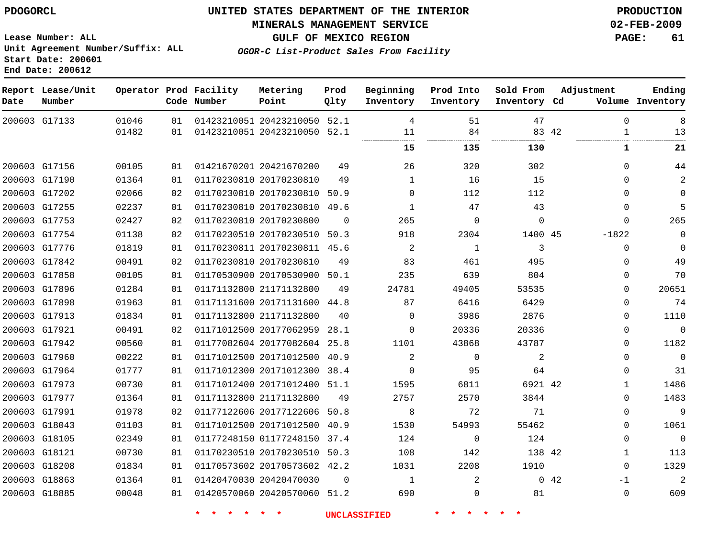#### **MINERALS MANAGEMENT SERVICE 02-FEB-2009**

**GULF OF MEXICO REGION PAGE: 61 OGOR-C List-Product Sales From Facility**

**Lease Number: ALL Unit Agreement Number/Suffix: ALL Start Date: 200601 End Date: 200612**

 G17133 G17156 G17190 G17202 G17255 G17753 G17754 G17776 G17842 G17858 G17896 G17898 G17913 G17921 G17942 G17960 G17964 G17973 G17977 G17991 G18043 G18105 G18121 G18208 G18863 G18885 **Report Lease/Unit Date Number Operator Prod Facility Code Number** 20423210050 52.1 20423210050 20421670200 20170230810 20170230810 20170230810 20170230800 20170230510 50.3 20170230811 45.6 20170230810 20170530900 50.1 21171132800 20171131600 44.8 21171132800 20177062959 28.1 20177082604 25.8 20171012500 20171012300 38.4 20171012400 51.1 21171132800 20177122606 50.8 20171012500 40.9 01177248150 20170230510 50.3 20170573602 42.2 20420470030 20420570060 51.2 **Metering Point** 45 42 42 52.1 50.9 49.6 40.9 37.4  $\Omega$ **Prod Qlty**  $\Omega$   $\Omega$  $\Omega$   $\Omega$  **Beginning Inventory**  $\Omega$  $\Omega$   $\Omega$   $\Omega$  **Ending Inventory Cd Volume**  $\Omega$   $\Omega$   $\Omega$ **Prod Into Inventory**  $\Omega$   $\Omega$  **Sold From Inventory**  $\Omega$   $\Omega$  $\Omega$   $\Omega$ -1822  $\Omega$   $\Omega$  $\Omega$  $\Omega$  $\Omega$  $\Omega$  $\Omega$  $\Omega$   $\Omega$  $\Omega$  $\Omega$  $\Omega$   $\Omega$ -1  $\Omega$ **Adjustment 135 130 1 21**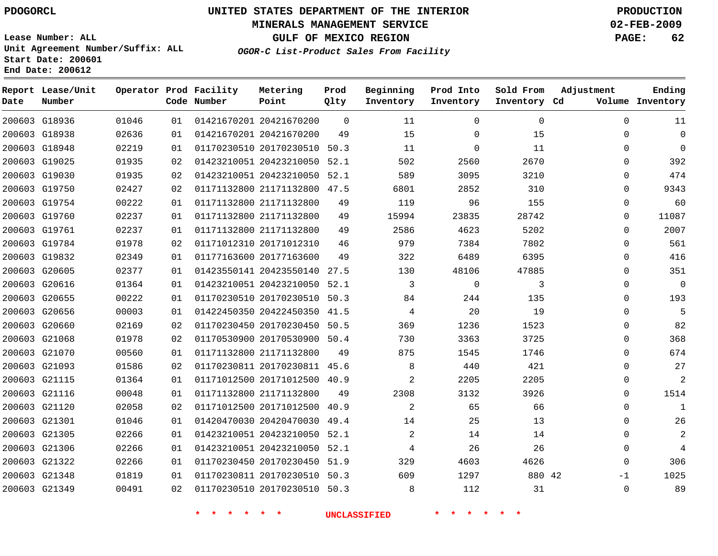## **MINERALS MANAGEMENT SERVICE 02-FEB-2009**

**GULF OF MEXICO REGION PAGE: 62**

**Lease Number: ALL Unit Agreement Number/Suffix: ALL Start Date: 200601 End Date: 200612**

**OGOR-C List-Product Sales From Facility**

| Date | Report Lease/Unit<br>Number |       |    | Operator Prod Facility<br>Code Number | Metering<br>Point            | Prod<br>Qlty | Beginning<br>Inventory | Prod Into<br>Inventory | Sold From<br>Inventory Cd | Adjustment  | Ending<br>Volume Inventory |
|------|-----------------------------|-------|----|---------------------------------------|------------------------------|--------------|------------------------|------------------------|---------------------------|-------------|----------------------------|
|      | 200603 G18936               | 01046 | 01 |                                       | 01421670201 20421670200      | $\mathbf 0$  | 11                     | 0                      | $\mathbf 0$               | $\Omega$    | 11                         |
|      | 200603 G18938               | 02636 | 01 |                                       | 01421670201 20421670200      | 49           | 15                     | 0                      | 15                        | $\Omega$    | 0                          |
|      | 200603 G18948               | 02219 | 01 |                                       | 01170230510 20170230510 50.3 |              | 11                     | 0                      | 11                        | $\Omega$    | 0                          |
|      | 200603 G19025               | 01935 | 02 |                                       | 01423210051 20423210050 52.1 |              | 502                    | 2560                   | 2670                      | $\Omega$    | 392                        |
|      | 200603 G19030               | 01935 | 02 |                                       | 01423210051 20423210050 52.1 |              | 589                    | 3095                   | 3210                      | $\Omega$    | 474                        |
|      | 200603 G19750               | 02427 | 02 |                                       | 01171132800 21171132800 47.5 |              | 6801                   | 2852                   | 310                       | 0           | 9343                       |
|      | 200603 G19754               | 00222 | 01 |                                       | 01171132800 21171132800      | 49           | 119                    | 96                     | 155                       | 0           | 60                         |
|      | 200603 G19760               | 02237 | 01 |                                       | 01171132800 21171132800      | 49           | 15994                  | 23835                  | 28742                     | 0           | 11087                      |
|      | 200603 G19761               | 02237 | 01 |                                       | 01171132800 21171132800      | 49           | 2586                   | 4623                   | 5202                      | $\Omega$    | 2007                       |
|      | 200603 G19784               | 01978 | 02 |                                       | 01171012310 20171012310      | 46           | 979                    | 7384                   | 7802                      | 0           | 561                        |
|      | 200603 G19832               | 02349 | 01 |                                       | 01177163600 20177163600      | 49           | 322                    | 6489                   | 6395                      | $\Omega$    | 416                        |
|      | 200603 G20605               | 02377 | 01 |                                       | 01423550141 20423550140      | 27.5         | 130                    | 48106                  | 47885                     | 0           | 351                        |
|      | 200603 G20616               | 01364 | 01 |                                       | 01423210051 20423210050 52.1 |              | 3                      | 0                      | 3                         | $\Omega$    | 0                          |
|      | 200603 G20655               | 00222 | 01 |                                       | 01170230510 20170230510 50.3 |              | 84                     | 244                    | 135                       | 0           | 193                        |
|      | 200603 G20656               | 00003 | 01 |                                       | 01422450350 20422450350 41.5 |              | 4                      | 20                     | 19                        | $\Omega$    | 5                          |
|      | 200603 G20660               | 02169 | 02 |                                       | 01170230450 20170230450 50.5 |              | 369                    | 1236                   | 1523                      | 0           | 82                         |
|      | 200603 G21068               | 01978 | 02 |                                       | 01170530900 20170530900 50.4 |              | 730                    | 3363                   | 3725                      | $\Omega$    | 368                        |
|      | 200603 G21070               | 00560 | 01 |                                       | 01171132800 21171132800      | 49           | 875                    | 1545                   | 1746                      | 0           | 674                        |
|      | 200603 G21093               | 01586 | 02 |                                       | 01170230811 20170230811 45.6 |              | 8                      | 440                    | 421                       | $\Omega$    | 27                         |
|      | 200603 G21115               | 01364 | 01 |                                       | 01171012500 20171012500 40.9 |              | 2                      | 2205                   | 2205                      | 0           |                            |
|      | 200603 G21116               | 00048 | 01 |                                       | 01171132800 21171132800      | 49           | 2308                   | 3132                   | 3926                      | $\Omega$    | 1514                       |
|      | 200603 G21120               | 02058 | 02 |                                       | 01171012500 20171012500      | 40.9         | 2                      | 65                     | 66                        | 0           | $\mathbf{1}$               |
|      | 200603 G21301               | 01046 | 01 |                                       | 01420470030 20420470030 49.4 |              | 14                     | 25                     | 13                        | $\Omega$    | 26                         |
|      | 200603 G21305               | 02266 | 01 |                                       | 01423210051 20423210050      | 52.1         | $\overline{a}$         | 14                     | 14                        | $\Omega$    |                            |
|      | 200603 G21306               | 02266 | 01 |                                       | 01423210051 20423210050 52.1 |              | 4                      | 26                     | 26                        | $\Omega$    | 4                          |
|      | 200603 G21322               | 02266 | 01 |                                       | 01170230450 20170230450 51.9 |              | 329                    | 4603                   | 4626                      | 0           | 306                        |
|      | 200603 G21348               | 01819 | 01 |                                       | 01170230811 20170230510 50.3 |              | 609                    | 1297                   | 880 42                    | -1          | 1025                       |
|      | 200603 G21349               | 00491 | 02 |                                       | 01170230510 20170230510 50.3 |              | 8                      | 112                    | 31                        | $\mathbf 0$ | 89                         |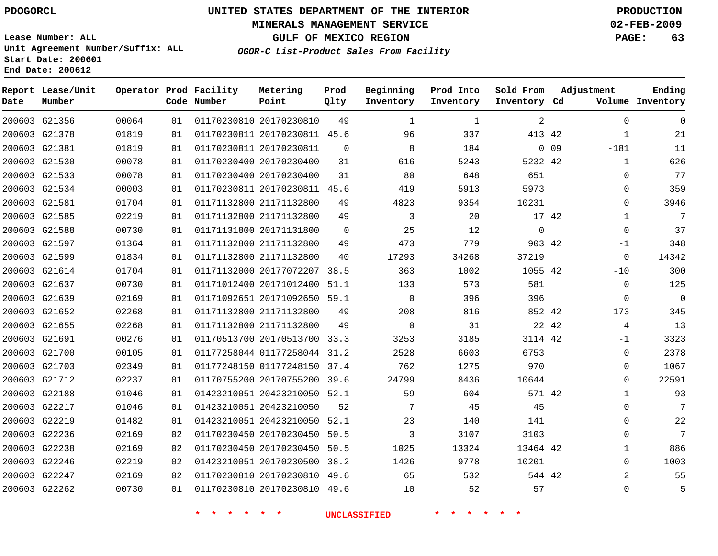## **MINERALS MANAGEMENT SERVICE 02-FEB-2009**

**GULF OF MEXICO REGION PAGE: 63**

**Lease Number: ALL Unit Agreement Number/Suffix: ALL Start Date: 200601 End Date: 200612**

**OGOR-C List-Product Sales From Facility**

| Date | Report Lease/Unit<br>Number |       |    | Operator Prod Facility<br>Code Number | Metering<br>Point            | Prod<br>Qlty   | Beginning<br>Inventory | Prod Into<br>Inventory | Sold From<br>Inventory Cd | Adjustment      |              | Ending<br>Volume Inventory |
|------|-----------------------------|-------|----|---------------------------------------|------------------------------|----------------|------------------------|------------------------|---------------------------|-----------------|--------------|----------------------------|
|      | 200603 G21356               | 00064 | 01 |                                       | 01170230810 20170230810      | 49             | 1                      | 1                      | $\overline{a}$            |                 | $\mathbf 0$  | $\Omega$                   |
|      | 200603 G21378               | 01819 | 01 |                                       | 01170230811 20170230811 45.6 |                | 96                     | 337                    | 413 42                    |                 | $\mathbf{1}$ | 21                         |
|      | 200603 G21381               | 01819 | 01 |                                       | 01170230811 20170230811      | $\Omega$       | 8                      | 184                    |                           | 0 <sub>09</sub> | $-181$       | 11                         |
|      | 200603 G21530               | 00078 | 01 |                                       | 01170230400 20170230400      | 31             | 616                    | 5243                   | 5232 42                   |                 | $-1$         | 626                        |
|      | 200603 G21533               | 00078 | 01 |                                       | 01170230400 20170230400      | 31             | 80                     | 648                    | 651                       |                 | $\Omega$     | 77                         |
|      | 200603 G21534               | 00003 | 01 |                                       | 01170230811 20170230811 45.6 |                | 419                    | 5913                   | 5973                      |                 | 0            | 359                        |
|      | 200603 G21581               | 01704 | 01 |                                       | 01171132800 21171132800      | 49             | 4823                   | 9354                   | 10231                     |                 | 0            | 3946                       |
|      | 200603 G21585               | 02219 | 01 |                                       | 01171132800 21171132800      | 49             | 3                      | 20                     | 17 42                     |                 | $\mathbf{1}$ | 7                          |
|      | 200603 G21588               | 00730 | 01 |                                       | 01171131800 20171131800      | $\overline{0}$ | 25                     | 12                     | $\mathbf 0$               |                 | $\mathbf{0}$ | 37                         |
|      | 200603 G21597               | 01364 | 01 |                                       | 01171132800 21171132800      | 49             | 473                    | 779                    | 903 42                    |                 | $-1$         | 348                        |
|      | 200603 G21599               | 01834 | 01 |                                       | 01171132800 21171132800      | 40             | 17293                  | 34268                  | 37219                     |                 | $\mathbf 0$  | 14342                      |
|      | 200603 G21614               | 01704 | 01 |                                       | 01171132000 20177072207 38.5 |                | 363                    | 1002                   | 1055 42                   |                 | $-10$        | 300                        |
|      | 200603 G21637               | 00730 | 01 |                                       | 01171012400 20171012400 51.1 |                | 133                    | 573                    | 581                       |                 | $\Omega$     | 125                        |
|      | 200603 G21639               | 02169 | 01 |                                       | 01171092651 20171092650 59.1 |                | $\mathsf{O}$           | 396                    | 396                       |                 | 0            | $\mathbf{0}$               |
|      | 200603 G21652               | 02268 | 01 |                                       | 01171132800 21171132800      | 49             | 208                    | 816                    | 852 42                    |                 | 173          | 345                        |
|      | 200603 G21655               | 02268 | 01 |                                       | 01171132800 21171132800      | 49             | $\mathbf 0$            | 31                     | 22 42                     |                 | 4            | 13                         |
|      | 200603 G21691               | 00276 | 01 |                                       | 01170513700 20170513700 33.3 |                | 3253                   | 3185                   | 3114 42                   |                 | $-1$         | 3323                       |
|      | 200603 G21700               | 00105 | 01 |                                       | 01177258044 01177258044 31.2 |                | 2528                   | 6603                   | 6753                      |                 | $\mathbf 0$  | 2378                       |
|      | 200603 G21703               | 02349 | 01 |                                       | 01177248150 01177248150 37.4 |                | 762                    | 1275                   | 970                       |                 | 0            | 1067                       |
|      | 200603 G21712               | 02237 | 01 |                                       | 01170755200 20170755200 39.6 |                | 24799                  | 8436                   | 10644                     |                 | $\Omega$     | 22591                      |
|      | 200603 G22188               | 01046 | 01 |                                       | 01423210051 20423210050 52.1 |                | 59                     | 604                    | 571 42                    |                 | $\mathbf{1}$ | 93                         |
|      | 200603 G22217               | 01046 | 01 |                                       | 01423210051 20423210050      | 52             | 7                      | 45                     | 45                        |                 | 0            | 7                          |
|      | 200603 G22219               | 01482 | 01 |                                       | 01423210051 20423210050 52.1 |                | 23                     | 140                    | 141                       |                 | $\Omega$     | 22                         |
|      | 200603 G22236               | 02169 | 02 |                                       | 01170230450 20170230450      | 50.5           | 3                      | 3107                   | 3103                      |                 | 0            | 7                          |
|      | 200603 G22238               | 02169 | 02 |                                       | 01170230450 20170230450      | 50.5           | 1025                   | 13324                  | 13464 42                  |                 | 1            | 886                        |
|      | 200603 G22246               | 02219 | 02 |                                       | 01423210051 20170230500 38.2 |                | 1426                   | 9778                   | 10201                     |                 | 0            | 1003                       |
|      | 200603 G22247               | 02169 | 02 |                                       | 01170230810 20170230810 49.6 |                | 65                     | 532                    | 544 42                    |                 | 2            | 55                         |
|      | 200603 G22262               | 00730 | 01 |                                       | 01170230810 20170230810 49.6 |                | 10                     | 52                     | 57                        |                 | $\Omega$     | 5                          |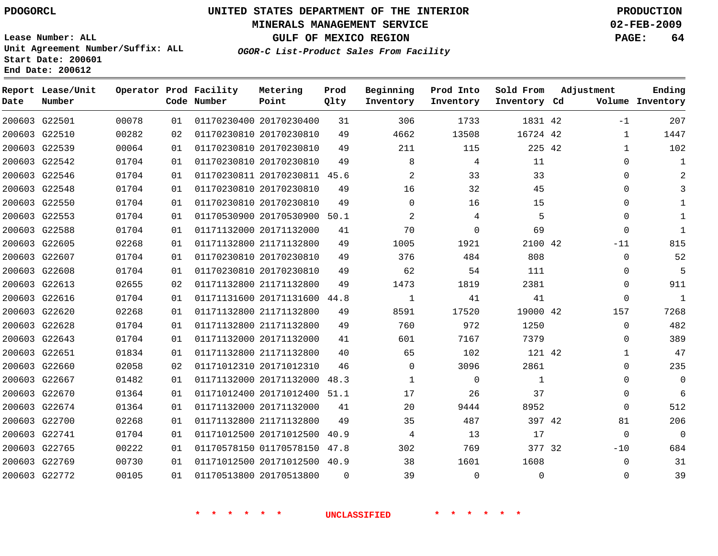## **MINERALS MANAGEMENT SERVICE 02-FEB-2009**

**GULF OF MEXICO REGION PAGE: 64**

**Lease Number: ALL Unit Agreement Number/Suffix: ALL Start Date: 200601 End Date: 200612**

**OGOR-C List-Product Sales From Facility**

| Date | Report Lease/Unit<br>Number |       |    | Operator Prod Facility<br>Code Number | Metering<br>Point            | Prod<br>Qlty | Beginning<br>Inventory | Prod Into<br>Inventory | Sold From<br>Inventory Cd | Adjustment |              | Ending<br>Volume Inventory |
|------|-----------------------------|-------|----|---------------------------------------|------------------------------|--------------|------------------------|------------------------|---------------------------|------------|--------------|----------------------------|
|      | 200603 G22501               | 00078 | 01 |                                       | 01170230400 20170230400      | 31           | 306                    | 1733                   | 1831 42                   |            | $-1$         | 207                        |
|      | 200603 G22510               | 00282 | 02 | 01170230810 20170230810               |                              | 49           | 4662                   | 13508                  | 16724 42                  |            | $\mathbf{1}$ | 1447                       |
|      | 200603 G22539               | 00064 | 01 |                                       | 01170230810 20170230810      | 49           | 211                    | 115                    | 225 42                    |            | $\mathbf{1}$ | 102                        |
|      | 200603 G22542               | 01704 | 01 |                                       | 01170230810 20170230810      | 49           | 8                      | 4                      | 11                        |            | 0            | 1                          |
|      | 200603 G22546               | 01704 | 01 |                                       | 01170230811 20170230811 45.6 |              | $\overline{2}$         | 33                     | 33                        |            | 0            | $\overline{2}$             |
|      | 200603 G22548               | 01704 | 01 |                                       | 01170230810 20170230810      | 49           | 16                     | 32                     | 45                        |            | $\Omega$     |                            |
|      | 200603 G22550               | 01704 | 01 |                                       | 01170230810 20170230810      | 49           | $\Omega$               | 16                     | 15                        |            | 0            |                            |
|      | 200603 G22553               | 01704 | 01 |                                       | 01170530900 20170530900 50.1 |              | 2                      | 4                      | 5                         |            | $\Omega$     | $\mathbf{1}$               |
|      | 200603 G22588               | 01704 | 01 |                                       | 01171132000 20171132000      | 41           | 70                     | $\Omega$               | 69                        |            | $\mathbf 0$  | $\mathbf{1}$               |
|      | 200603 G22605               | 02268 | 01 |                                       | 01171132800 21171132800      | 49           | 1005                   | 1921                   | 2100 42                   |            | $-11$        | 815                        |
|      | 200603 G22607               | 01704 | 01 |                                       | 01170230810 20170230810      | 49           | 376                    | 484                    | 808                       |            | $\mathbf 0$  | 52                         |
|      | 200603 G22608               | 01704 | 01 |                                       | 01170230810 20170230810      | 49           | 62                     | 54                     | 111                       |            | 0            | 5                          |
|      | 200603 G22613               | 02655 | 02 |                                       | 01171132800 21171132800      | 49           | 1473                   | 1819                   | 2381                      |            | 0            | 911                        |
|      | 200603 G22616               | 01704 | 01 |                                       | 01171131600 20171131600      | 44.8         | $\mathbf{1}$           | 41                     | 41                        |            | 0            | $1\,$                      |
|      | 200603 G22620               | 02268 | 01 |                                       | 01171132800 21171132800      | 49           | 8591                   | 17520                  | 19000 42                  |            | 157          | 7268                       |
|      | 200603 G22628               | 01704 | 01 |                                       | 01171132800 21171132800      | 49           | 760                    | 972                    | 1250                      |            | $\mathbf 0$  | 482                        |
|      | 200603 G22643               | 01704 | 01 |                                       | 01171132000 20171132000      | 41           | 601                    | 7167                   | 7379                      |            | 0            | 389                        |
|      | 200603 G22651               | 01834 | 01 |                                       | 01171132800 21171132800      | 40           | 65                     | 102                    | 121 42                    |            | 1            | 47                         |
|      | 200603 G22660               | 02058 | 02 |                                       | 01171012310 20171012310      | 46           | 0                      | 3096                   | 2861                      |            | $\Omega$     | 235                        |
|      | 200603 G22667               | 01482 | 01 |                                       | 01171132000 20171132000 48.3 |              | 1                      | $\Omega$               | $\mathbf{1}$              |            | $\Omega$     | $\Omega$                   |
|      | 200603 G22670               | 01364 | 01 |                                       | 01171012400 20171012400 51.1 |              | 17                     | 26                     | 37                        |            | 0            | 6                          |
|      | 200603 G22674               | 01364 | 01 |                                       | 01171132000 20171132000      | 41           | 20                     | 9444                   | 8952                      |            | $\Omega$     | 512                        |
|      | 200603 G22700               | 02268 | 01 |                                       | 01171132800 21171132800      | 49           | 35                     | 487                    | 397 42                    |            | 81           | 206                        |
|      | 200603 G22741               | 01704 | 01 |                                       | 01171012500 20171012500      | 40.9         | 4                      | 13                     | 17                        |            | $\mathbf{0}$ | $\mathbf{0}$               |
|      | 200603 G22765               | 00222 | 01 |                                       | 01170578150 01170578150      | 47.8         | 302                    | 769                    | 377 32                    |            | $-10$        | 684                        |
|      | 200603 G22769               | 00730 | 01 |                                       | 01171012500 20171012500 40.9 |              | 38                     | 1601                   | 1608                      |            | $\mathbf 0$  | 31                         |
|      | 200603 G22772               | 00105 | 01 |                                       | 01170513800 20170513800      | $\Omega$     | 39                     | $\Omega$               | $\Omega$                  |            | $\mathbf 0$  | 39                         |
|      |                             |       |    |                                       |                              |              |                        |                        |                           |            |              |                            |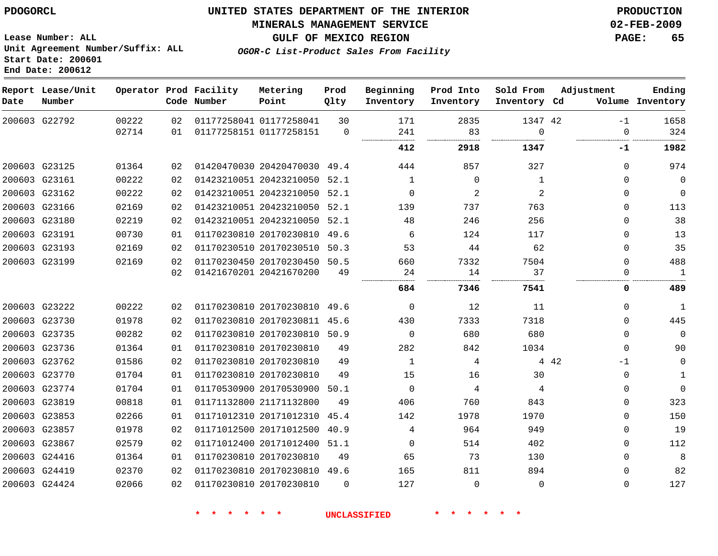# **MINERALS MANAGEMENT SERVICE 02-FEB-2009**

**GULF OF MEXICO REGION PAGE: 65 OGOR-C List-Product Sales From Facility**

**Lease Number: ALL Unit Agreement Number/Suffix: ALL Start Date: 200601 End Date: 200612**

| Date | Report Lease/Unit<br>Number |                |          | Operator Prod Facility<br>Code Number | Metering<br>Point                                  | Prod<br>Qlty   | Beginning<br>Inventory | Prod Into<br>Inventory | Sold From<br>Inventory Cd | Adjustment  | Ending<br>Volume Inventory |
|------|-----------------------------|----------------|----------|---------------------------------------|----------------------------------------------------|----------------|------------------------|------------------------|---------------------------|-------------|----------------------------|
|      | 200603 G22792               | 00222<br>02714 | 02<br>01 |                                       | 01177258041 01177258041<br>01177258151 01177258151 | 30<br>$\Omega$ | 171<br>241             | 2835<br>83             | 1347 42<br>$\Omega$       | $-1$<br>0   | 1658<br>324                |
|      |                             |                |          |                                       |                                                    |                | 412                    | 2918                   | 1347                      | -1          | 1982                       |
|      | 200603 G23125               | 01364          | 02       |                                       | 01420470030 20420470030 49.4                       |                | 444                    | 857                    | 327                       | $\Omega$    | 974                        |
|      | 200603 G23161               | 00222          | 02       |                                       | 01423210051 20423210050                            | 52.1           | 1                      | $\Omega$               | $\mathbf{1}$              | $\Omega$    | $\mathbf 0$                |
|      | 200603 G23162               | 00222          | 02       |                                       | 01423210051 20423210050                            | 52.1           | $\Omega$               | 2                      | 2                         | $\Omega$    | $\Omega$                   |
|      | 200603 G23166               | 02169          | 02       |                                       | 01423210051 20423210050                            | 52.1           | 139                    | 737                    | 763                       | $\Omega$    | 113                        |
|      | 200603 G23180               | 02219          | 02       |                                       | 01423210051 20423210050                            | 52.1           | 48                     | 246                    | 256                       | 0           | 38                         |
|      | 200603 G23191               | 00730          | 01       |                                       | 01170230810 20170230810                            | 49.6           | 6                      | 124                    | 117                       | 0           | 13                         |
|      | 200603 G23193               | 02169          | 02       |                                       | 01170230510 20170230510                            | 50.3           | 53                     | 44                     | 62                        | 0           | 35                         |
|      | 200603 G23199               | 02169          | 02       |                                       | 01170230450 20170230450                            | 50.5           | 660                    | 7332                   | 7504                      | $\Omega$    | 488                        |
|      |                             |                | 02       |                                       | 01421670201 20421670200                            | 49             | 24                     | 14                     | 37                        | 0           | $\mathbf{1}$               |
|      |                             |                |          |                                       |                                                    |                | 684                    | 7346                   | 7541                      | 0           | 489                        |
|      | 200603 G23222               | 00222          | 02       |                                       | 01170230810 20170230810 49.6                       |                | $\Omega$               | 12                     | 11                        | $\Omega$    | 1                          |
|      | 200603 G23730               | 01978          | 02       |                                       | 01170230810 20170230811 45.6                       |                | 430                    | 7333                   | 7318                      | $\Omega$    | 445                        |
|      | 200603 G23735               | 00282          | 02       |                                       | 01170230810 20170230810 50.9                       |                | $\mathbf 0$            | 680                    | 680                       | $\Omega$    | $\mathbf 0$                |
|      | 200603 G23736               | 01364          | 01       | 01170230810 20170230810               |                                                    | 49             | 282                    | 842                    | 1034                      | $\Omega$    | 90                         |
|      | 200603 G23762               | 01586          | 02       |                                       | 01170230810 20170230810                            | 49             | 1                      | 4                      |                           | 4 4 2<br>-1 | 0                          |
|      | 200603 G23770               | 01704          | 01       |                                       | 01170230810 20170230810                            | 49             | 15                     | 16                     | 30                        | 0           | 1                          |
|      | 200603 G23774               | 01704          | 01       |                                       | 01170530900 20170530900                            | 50.1           | $\mathbf 0$            | 4                      | 4                         | 0           | $\mathbf 0$                |
|      | 200603 G23819               | 00818          | 01       |                                       | 01171132800 21171132800                            | 49             | 406                    | 760                    | 843                       | 0           | 323                        |
|      | 200603 G23853               | 02266          | 01       |                                       | 01171012310 20171012310                            | 45.4           | 142                    | 1978                   | 1970                      | 0           | 150                        |
|      | 200603 G23857               | 01978          | 02       |                                       | 01171012500 20171012500                            | 40.9           | 4                      | 964                    | 949                       | 0           | 19                         |
|      | 200603 G23867               | 02579          | 02       |                                       | 01171012400 20171012400                            | 51.1           | $\mathbf 0$            | 514                    | 402                       | $\Omega$    | 112                        |
|      | 200603 G24416               | 01364          | 01       | 01170230810 20170230810               |                                                    | 49             | 65                     | 73                     | 130                       | $\Omega$    | 8                          |
|      | 200603 G24419               | 02370          | 02       |                                       | 01170230810 20170230810 49.6                       |                | 165                    | 811                    | 894                       | $\Omega$    | 82                         |
|      | 200603 G24424               | 02066          | 02       |                                       | 01170230810 20170230810                            | $\Omega$       | 127                    | $\Omega$               | $\Omega$                  | $\Omega$    | 127                        |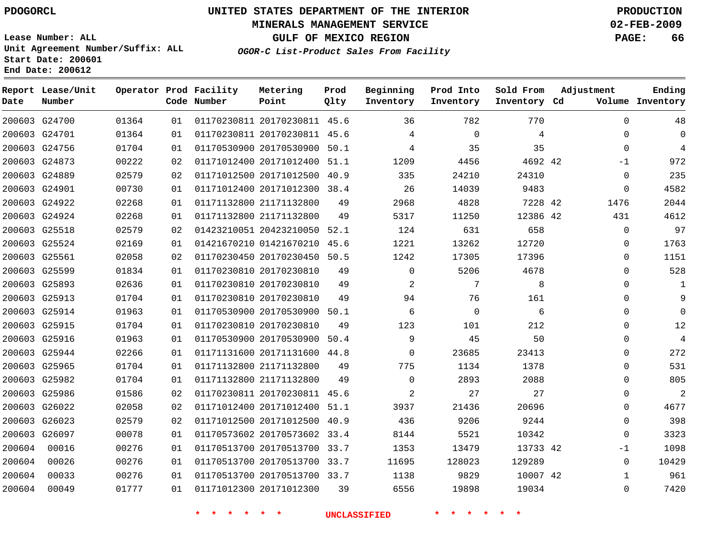G24700 G24701 G24756 G24873 G24889

**Date**

**Report Lease/Unit**

**Number**

# **UNITED STATES DEPARTMENT OF THE INTERIOR PDOGORCL PRODUCTION**

#### **MINERALS MANAGEMENT SERVICE 02-FEB-2009**

**Lease Number: ALL Unit Agreement Number/Suffix: ALL Start Date: 200601 End Date: 200612**

**Operator Prod Facility**

**Code Number**

| LL |                            | <b>GULF</b><br>OF       |              | <b>MEXICO REGION</b><br>OGOR-C List-Product Sales From Facility |                        |                           | PAGE:                | 66                  |
|----|----------------------------|-------------------------|--------------|-----------------------------------------------------------------|------------------------|---------------------------|----------------------|---------------------|
|    | rod Facility<br>ode Number | Metering<br>Point       | Prod<br>Qlty | Beginning<br>Inventory                                          | Prod Into<br>Inventory | Sold From<br>Inventory Cd | Adjustment<br>Volume | Ending<br>Inventory |
| 01 |                            | 01170230811 20170230811 | 45.6         | 36                                                              | 782                    | 770                       | $\Omega$             | 48                  |
| 01 |                            | 01170230811 20170230811 | 45.6         | 4                                                               | $\Omega$               | 4                         | $\Omega$             | $\Omega$            |
| 01 |                            | 01170530900 20170530900 | 50.1         | 4                                                               | 35                     | 35                        | $\Omega$             | 4                   |
| 02 |                            | 01171012400 20171012400 | 51.1         | 1209                                                            | 4456                   | 4692 42                   | $-1$                 | 972                 |
| 02 |                            | 01171012500 20171012500 | 40.9         | 335                                                             | 24210                  | 24310                     | $\Omega$             | 235                 |
| 01 |                            | 01171012400 20171012300 | 38.4         | 26                                                              | 14039                  | 9483                      | $\Omega$             | 4582                |
| 01 |                            | 01171132800 21171132800 | 49           | 2968                                                            | 4828                   | 7228 42                   | 1476                 | 2044                |
| 01 |                            | 01171132800 21171132800 | 49           | 5317                                                            | 11250                  | 12386 42                  | 431                  | 4612                |
| 02 |                            | 01423210051 20423210050 | 52.1         | 124                                                             | 631                    | 658                       | $\Omega$             | 97                  |
| 01 |                            | 01421670210 01421670210 | 45.6         | 1221                                                            | 13262                  | 12720                     | $\Omega$             | 1763                |
| 02 |                            | 01170230450 20170230450 | 50.5         | 1242                                                            | 17305                  | 17396                     | $\mathbf 0$          | 1151                |
|    |                            |                         |              |                                                                 |                        |                           |                      |                     |

| 200603 G24901 |        | 00730 | 01 |                         | 01171012400 20171012300 38.4 |      | 26          | 14039    | 9483     | $\Omega$ | 4582     |
|---------------|--------|-------|----|-------------------------|------------------------------|------|-------------|----------|----------|----------|----------|
| 200603 G24922 |        | 02268 | 01 | 01171132800 21171132800 |                              | 49   | 2968        | 4828     | 7228 42  | 1476     | 2044     |
| 200603 G24924 |        | 02268 | 01 | 01171132800 21171132800 |                              | 49   | 5317        | 11250    | 12386 42 | 431      | 4612     |
| 200603 G25518 |        | 02579 | 02 | 01423210051 20423210050 |                              | 52.1 | 124         | 631      | 658      | $\Omega$ | 97       |
| 200603 G25524 |        | 02169 | 01 | 01421670210 01421670210 |                              | 45.6 | 1221        | 13262    | 12720    | $\Omega$ | 1763     |
| 200603 G25561 |        | 02058 | 02 |                         | 01170230450 20170230450      | 50.5 | 1242        | 17305    | 17396    | O        | 1151     |
| 200603 G25599 |        | 01834 | 01 | 01170230810 20170230810 |                              | 49   | 0           | 5206     | 4678     | 0        | 528      |
| 200603 G25893 |        | 02636 | 01 | 01170230810 20170230810 |                              | 49   | 2           | 7        | 8        | $\Omega$ | 1        |
| 200603 G25913 |        | 01704 | 01 | 01170230810 20170230810 |                              | 49   | 94          | 76       | 161      | $\Omega$ | 9        |
| 200603 G25914 |        | 01963 | 01 | 01170530900 20170530900 |                              | 50.1 | 6           | $\Omega$ | 6        | $\Omega$ | $\Omega$ |
| 200603 G25915 |        | 01704 | 01 | 01170230810 20170230810 |                              | 49   | 123         | 101      | 212      | $\Omega$ | 12       |
| 200603 G25916 |        | 01963 | 01 | 01170530900 20170530900 |                              | 50.4 | 9           | 45       | 50       | 0        | 4        |
| 200603 G25944 |        | 02266 | 01 | 01171131600 20171131600 |                              | 44.8 | 0           | 23685    | 23413    | 0        | 272      |
| 200603 G25965 |        | 01704 | 01 | 01171132800 21171132800 |                              | 49   | 775         | 1134     | 1378     | $\Omega$ | 531      |
| 200603 G25982 |        | 01704 | 01 | 01171132800 21171132800 |                              | 49   | $\mathbf 0$ | 2893     | 2088     | 0        | 805      |
| 200603 G25986 |        | 01586 | 02 |                         | 01170230811 20170230811 45.6 |      | 2           | 27       | 27       | $\Omega$ | 2        |
| 200603 G26022 |        | 02058 | 02 | 01171012400 20171012400 |                              | 51.1 | 3937        | 21436    | 20696    | $\Omega$ | 4677     |
| 200603 G26023 |        | 02579 | 02 | 01171012500 20171012500 |                              | 40.9 | 436         | 9206     | 9244     | $\Omega$ | 398      |
| 200603        | G26097 | 00078 | 01 | 01170573602 20170573602 |                              | 33.4 | 8144        | 5521     | 10342    | $\Omega$ | 3323     |
| 200604        | 00016  | 00276 | 01 | 01170513700 20170513700 |                              | 33.7 | 1353        | 13479    | 13733 42 | -1       | 1098     |
| 200604        | 00026  | 00276 | 01 |                         | 01170513700 20170513700 33.7 |      | 11695       | 128023   | 129289   | $\Omega$ | 10429    |
| 200604        | 00033  | 00276 | 01 |                         | 01170513700 20170513700 33.7 |      | 1138        | 9829     | 10007 42 |          | 961      |
| 200604        | 00049  | 01777 | 01 | 01171012300 20171012300 |                              | 39   | 6556        | 19898    | 19034    | ∩        | 7420     |
|               |        |       |    |                         |                              |      |             |          |          |          |          |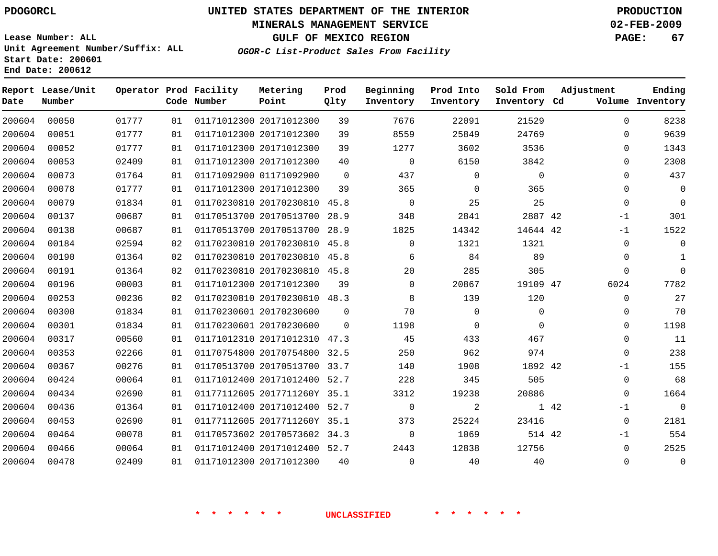# **MINERALS MANAGEMENT SERVICE 02-FEB-2009**

**GULF OF MEXICO REGION PAGE: 67**

**Lease Number: ALL Unit Agreement Number/Suffix: ALL Start Date: 200601 End Date: 200612**

**OGOR-C List-Product Sales From Facility**

| Date   | Report Lease/Unit<br>Number |       |    | Operator Prod Facility<br>Code Number | Metering<br>Point            | Prod<br>Qlty | Beginning<br>Inventory | Prod Into<br>Inventory | Sold From<br>Inventory Cd | Adjustment   | Ending<br>Volume Inventory |
|--------|-----------------------------|-------|----|---------------------------------------|------------------------------|--------------|------------------------|------------------------|---------------------------|--------------|----------------------------|
| 200604 | 00050                       | 01777 | 01 |                                       | 01171012300 20171012300      | 39           | 7676                   | 22091                  | 21529                     | 0            | 8238                       |
| 200604 | 00051                       | 01777 | 01 |                                       | 01171012300 20171012300      | 39           | 8559                   | 25849                  | 24769                     | $\mathbf 0$  | 9639                       |
| 200604 | 00052                       | 01777 | 01 |                                       | 01171012300 20171012300      | 39           | 1277                   | 3602                   | 3536                      | $\Omega$     | 1343                       |
| 200604 | 00053                       | 02409 | 01 |                                       | 01171012300 20171012300      | 40           | $\mathbf 0$            | 6150                   | 3842                      | 0            | 2308                       |
| 200604 | 00073                       | 01764 | 01 |                                       | 01171092900 01171092900      | $\mathbf 0$  | 437                    | $\mathbf 0$            | $\mathbf 0$               | $\mathbf{0}$ | 437                        |
| 200604 | 00078                       | 01777 | 01 |                                       | 01171012300 20171012300      | 39           | 365                    | $\Omega$               | 365                       | $\Omega$     | $\mathbf 0$                |
| 200604 | 00079                       | 01834 | 01 |                                       | 01170230810 20170230810      | 45.8         | $\mathbf 0$            | 25                     | 25                        | $\mathbf 0$  | $\Omega$                   |
| 200604 | 00137                       | 00687 | 01 |                                       | 01170513700 20170513700      | 28.9         | 348                    | 2841                   | 2887 42                   | $-1$         | 301                        |
| 200604 | 00138                       | 00687 | 01 |                                       | 01170513700 20170513700      | 28.9         | 1825                   | 14342                  | 14644 42                  | $-1$         | 1522                       |
| 200604 | 00184                       | 02594 | 02 |                                       | 01170230810 20170230810      | 45.8         | $\Omega$               | 1321                   | 1321                      | 0            | $\Omega$                   |
| 200604 | 00190                       | 01364 | 02 |                                       | 01170230810 20170230810      | 45.8         | 6                      | 84                     | 89                        | 0            | $\mathbf{1}$               |
| 200604 | 00191                       | 01364 | 02 |                                       | 01170230810 20170230810 45.8 |              | 20                     | 285                    | 305                       | $\mathbf 0$  | $\Omega$                   |
| 200604 | 00196                       | 00003 | 01 |                                       | 01171012300 20171012300      | 39           | $\Omega$               | 20867                  | 19109 47                  | 6024         | 7782                       |
| 200604 | 00253                       | 00236 | 02 |                                       | 01170230810 20170230810      | 48.3         | 8                      | 139                    | 120                       | $\mathbf 0$  | 27                         |
| 200604 | 00300                       | 01834 | 01 |                                       | 01170230601 20170230600      | $\mathbf 0$  | 70                     | $\mathbf{0}$           | 0                         | 0            | 70                         |
| 200604 | 00301                       | 01834 | 01 |                                       | 01170230601 20170230600      | $\Omega$     | 1198                   | $\mathbf{0}$           | $\Omega$                  | 0            | 1198                       |
| 200604 | 00317                       | 00560 | 01 |                                       | 01171012310 20171012310      | 47.3         | 45                     | 433                    | 467                       | $\mathbf 0$  | 11                         |
| 200604 | 00353                       | 02266 | 01 |                                       | 01170754800 20170754800 32.5 |              | 250                    | 962                    | 974                       | 0            | 238                        |
| 200604 | 00367                       | 00276 | 01 |                                       | 01170513700 20170513700 33.7 |              | 140                    | 1908                   | 1892 42                   | $-1$         | 155                        |
| 200604 | 00424                       | 00064 | 01 |                                       | 01171012400 20171012400      | 52.7         | 228                    | 345                    | 505                       | 0            | 68                         |
| 200604 | 00434                       | 02690 | 01 |                                       | 01177112605 2017711260Y 35.1 |              | 3312                   | 19238                  | 20886                     | $\Omega$     | 1664                       |
| 200604 | 00436                       | 01364 | 01 |                                       | 01171012400 20171012400 52.7 |              | $\mathbf 0$            | 2                      |                           | 1 42<br>$-1$ | $\mathbf 0$                |
| 200604 | 00453                       | 02690 | 01 |                                       | 01177112605 2017711260Y 35.1 |              | 373                    | 25224                  | 23416                     | 0            | 2181                       |
| 200604 | 00464                       | 00078 | 01 |                                       | 01170573602 20170573602 34.3 |              | $\mathbf 0$            | 1069                   | 514 42                    | $-1$         | 554                        |
| 200604 | 00466                       | 00064 | 01 |                                       | 01171012400 20171012400 52.7 |              | 2443                   | 12838                  | 12756                     | 0            | 2525                       |
| 200604 | 00478                       | 02409 | 01 |                                       | 01171012300 20171012300      | 40           | $\Omega$               | 40                     | 40                        | $\mathbf{0}$ | $\mathbf 0$                |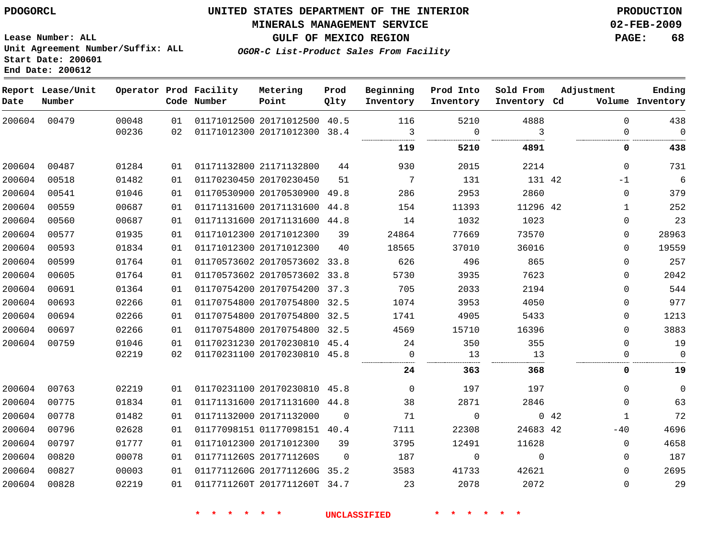## **MINERALS MANAGEMENT SERVICE 02-FEB-2009**

**GULF OF MEXICO REGION PAGE: 68 OGOR-C List-Product Sales From Facility**

**Lease Number: ALL Unit Agreement Number/Suffix: ALL Start Date: 200601 End Date: 200612**

| Date   | Report Lease/Unit<br>Number |       |    | Operator Prod Facility<br>Code Number | Metering<br>Point            | Prod<br>Qlty | Beginning<br>Inventory | Prod Into<br>Inventory | Sold From<br>Inventory Cd | Adjustment           | Ending<br>Volume Inventory |
|--------|-----------------------------|-------|----|---------------------------------------|------------------------------|--------------|------------------------|------------------------|---------------------------|----------------------|----------------------------|
| 200604 | 00479                       | 00048 | 01 |                                       | 01171012500 20171012500 40.5 |              | 116                    | 5210                   | 4888                      | $\mathbf{0}$         | 438                        |
|        |                             | 00236 | 02 |                                       | 01171012300 20171012300      | 38.4         | 3<br>                  | $\Omega$<br>           | 3<br>                     | $\Omega$             | $\Omega$                   |
|        |                             |       |    |                                       |                              |              | 119                    | 5210                   | 4891                      | 0                    | 438                        |
| 200604 | 00487                       | 01284 | 01 |                                       | 01171132800 21171132800      | 44           | 930                    | 2015                   | 2214                      | $\mathbf 0$          | 731                        |
| 200604 | 00518                       | 01482 | 01 |                                       | 01170230450 20170230450      | 51           | 7                      | 131                    | 131 42                    | $-1$                 | 6                          |
| 200604 | 00541                       | 01046 | 01 |                                       | 01170530900 20170530900      | 49.8         | 286                    | 2953                   | 2860                      | 0                    | 379                        |
| 200604 | 00559                       | 00687 | 01 |                                       | 01171131600 20171131600      | 44.8         | 154                    | 11393                  | 11296 42                  | 1                    | 252                        |
| 200604 | 00560                       | 00687 | 01 |                                       | 01171131600 20171131600 44.8 |              | 14                     | 1032                   | 1023                      | 0                    | 23                         |
| 200604 | 00577                       | 01935 | 01 |                                       | 01171012300 20171012300      | 39           | 24864                  | 77669                  | 73570                     | $\mathbf 0$          | 28963                      |
| 200604 | 00593                       | 01834 | 01 |                                       | 01171012300 20171012300      | 40           | 18565                  | 37010                  | 36016                     | $\mathbf 0$          | 19559                      |
| 200604 | 00599                       | 01764 | 01 |                                       | 01170573602 20170573602 33.8 |              | 626                    | 496                    | 865                       | $\mathbf 0$          | 257                        |
| 200604 | 00605                       | 01764 | 01 |                                       | 01170573602 20170573602 33.8 |              | 5730                   | 3935                   | 7623                      | $\mathbf 0$          | 2042                       |
| 200604 | 00691                       | 01364 | 01 |                                       | 01170754200 20170754200 37.3 |              | 705                    | 2033                   | 2194                      | $\mathbf 0$          | 544                        |
| 200604 | 00693                       | 02266 | 01 |                                       | 01170754800 20170754800      | 32.5         | 1074                   | 3953                   | 4050                      | $\mathbf 0$          | 977                        |
| 200604 | 00694                       | 02266 | 01 |                                       | 01170754800 20170754800 32.5 |              | 1741                   | 4905                   | 5433                      | $\mathbf 0$          | 1213                       |
| 200604 | 00697                       | 02266 | 01 |                                       | 01170754800 20170754800 32.5 |              | 4569                   | 15710                  | 16396                     | $\mathbf 0$          | 3883                       |
| 200604 | 00759                       | 01046 | 01 |                                       | 01170231230 20170230810 45.4 |              | 24                     | 350                    | 355                       | $\Omega$             | 19                         |
|        |                             | 02219 | 02 |                                       | 01170231100 20170230810 45.8 |              | 0                      | 13                     | 13                        | 0                    | $\mathbf 0$                |
|        |                             |       |    |                                       |                              |              | 24                     | 363                    | 368                       | 0                    | 19                         |
| 200604 | 00763                       | 02219 | 01 |                                       | 01170231100 20170230810 45.8 |              | $\mathbf 0$            | 197                    | 197                       | $\mathbf 0$          | $\mathbf{0}$               |
| 200604 | 00775                       | 01834 | 01 |                                       | 01171131600 20171131600 44.8 |              | 38                     | 2871                   | 2846                      | $\Omega$             | 63                         |
| 200604 | 00778                       | 01482 | 01 |                                       | 01171132000 20171132000      | $\Omega$     | 71                     | $\mathbf 0$            |                           | 0.42<br>$\mathbf{1}$ | 72                         |
| 200604 | 00796                       | 02628 | 01 |                                       | 01177098151 01177098151 40.4 |              | 7111                   | 22308                  | 24683 42                  | $-40$                | 4696                       |
| 200604 | 00797                       | 01777 | 01 |                                       | 01171012300 20171012300      | 39           | 3795                   | 12491                  | 11628                     | $\mathbf 0$          | 4658                       |
| 200604 | 00820                       | 00078 | 01 |                                       | 0117711260S 2017711260S      | $\Omega$     | 187                    | $\mathbf 0$            | $\Omega$                  | $\Omega$             | 187                        |
| 200604 | 00827                       | 00003 | 01 |                                       | 0117711260G 2017711260G 35.2 |              | 3583                   | 41733                  | 42621                     | $\mathbf 0$          | 2695                       |
| 200604 | 00828                       | 02219 | 01 |                                       | 0117711260T 2017711260T 34.7 |              | 23                     | 2078                   | 2072                      | $\mathbf 0$          | 29                         |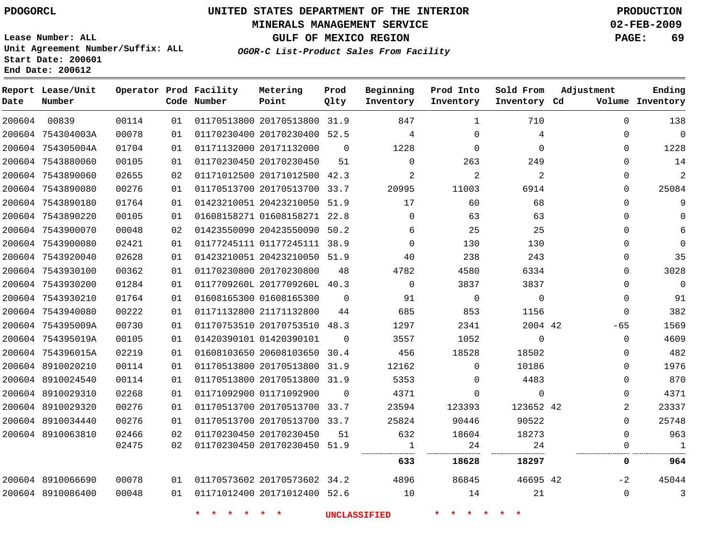#### **MINERALS MANAGEMENT SERVICE 02-FEB-2009**

**GULF OF MEXICO REGION PAGE: 69**

**Lease Number: ALL Unit Agreement Number/Suffix: ALL Start Date: 200601 End Date: 200612**

**OGOR-C List-Product Sales From Facility**

| Date   | Report Lease/Unit<br>Number |       |    | Operator Prod Facility<br>Code Number | Metering<br>Point            | Prod<br>Qlty | Beginning<br>Inventory | Prod Into<br>Inventory | Sold From<br>Inventory Cd | Adjustment   | Ending<br>Volume Inventory |
|--------|-----------------------------|-------|----|---------------------------------------|------------------------------|--------------|------------------------|------------------------|---------------------------|--------------|----------------------------|
| 200604 | 00839                       | 00114 | 01 |                                       | 01170513800 20170513800 31.9 |              | 847                    | $\mathbf{1}$           | 710                       | $\Omega$     | 138                        |
|        | 200604 754304003A           | 00078 | 01 |                                       | 01170230400 20170230400 52.5 |              | 4                      | $\Omega$               | 4                         | 0            | $\Omega$                   |
|        | 200604 754305004A           | 01704 | 01 |                                       | 01171132000 20171132000      | $\Omega$     | 1228                   | $\Omega$               | $\Omega$                  | $\Omega$     | 1228                       |
|        | 200604 7543880060           | 00105 | 01 |                                       | 01170230450 20170230450      | 51           | $\Omega$               | 263                    | 249                       | $\Omega$     | 14                         |
|        | 200604 7543890060           | 02655 | 02 |                                       | 01171012500 20171012500 42.3 |              | 2                      | 2                      | 2                         | 0            | $\overline{2}$             |
|        | 200604 7543890080           | 00276 | 01 |                                       | 01170513700 20170513700 33.7 |              | 20995                  | 11003                  | 6914                      | 0            | 25084                      |
|        | 200604 7543890180           | 01764 | 01 |                                       | 01423210051 20423210050 51.9 |              | 17                     | 60                     | 68                        | $\mathbf{0}$ | 9                          |
|        | 200604 7543890220           | 00105 | 01 |                                       | 01608158271 01608158271 22.8 |              | $\Omega$               | 63                     | 63                        | $\Omega$     | $\Omega$                   |
|        | 200604 7543900070           | 00048 | 02 |                                       | 01423550090 20423550090      | 50.2         | 6                      | 25                     | 25                        | $\Omega$     | 6                          |
|        | 200604 7543900080           | 02421 | 01 |                                       | 01177245111 01177245111 38.9 |              | $\Omega$               | 130                    | 130                       | $\Omega$     | $\Omega$                   |
|        | 200604 7543920040           | 02628 | 01 |                                       | 01423210051 20423210050      | 51.9         | 40                     | 238                    | 243                       | 0            | 35                         |
|        | 200604 7543930100           | 00362 | 01 |                                       | 01170230800 20170230800      | 48           | 4782                   | 4580                   | 6334                      | 0            | 3028                       |
|        | 200604 7543930200           | 01284 | 01 |                                       | 0117709260L 2017709260L 40.3 |              | $\Omega$               | 3837                   | 3837                      | $\Omega$     | $\mathbf{0}$               |
|        | 200604 7543930210           | 01764 | 01 |                                       | 01608165300 01608165300      | $\Omega$     | 91                     | $\mathbf 0$            | $\mathbf 0$               | $\Omega$     | 91                         |
|        | 200604 7543940080           | 00222 | 01 |                                       | 01171132800 21171132800      | 44           | 685                    | 853                    | 1156                      | 0            | 382                        |
|        | 200604 754395009A           | 00730 | 01 |                                       | 01170753510 20170753510 48.3 |              | 1297                   | 2341                   | 2004 42                   | $-65$        | 1569                       |
|        | 200604 754395019A           | 00105 | 01 |                                       | 01420390101 01420390101      | $\Omega$     | 3557                   | 1052                   | 0                         | $\Omega$     | 4609                       |
|        | 200604 754396015A           | 02219 | 01 |                                       | 01608103650 20608103650      | 30.4         | 456                    | 18528                  | 18502                     | $\mathbf{0}$ | 482                        |
|        | 200604 8910020210           | 00114 | 01 |                                       | 01170513800 20170513800      | 31.9         | 12162                  | $\mathbf 0$            | 10186                     | 0            | 1976                       |
|        | 200604 8910024540           | 00114 | 01 |                                       | 01170513800 20170513800 31.9 |              | 5353                   | $\Omega$               | 4483                      | $\Omega$     | 870                        |
|        | 200604 8910029310           | 02268 | 01 |                                       | 01171092900 01171092900      | $\Omega$     | 4371                   | 0                      | 0                         | $\Omega$     | 4371                       |
|        | 200604 8910029320           | 00276 | 01 |                                       | 01170513700 20170513700 33.7 |              | 23594                  | 123393                 | 123652 42                 | 2            | 23337                      |
|        | 200604 8910034440           | 00276 | 01 |                                       | 01170513700 20170513700 33.7 |              | 25824                  | 90446                  | 90522                     | $\mathbf{0}$ | 25748                      |
|        | 200604 8910063810           | 02466 | 02 |                                       | 01170230450 20170230450      | 51           | 632                    | 18604                  | 18273                     | $\mathbf{0}$ | 963                        |
|        |                             | 02475 | 02 |                                       | 01170230450 20170230450 51.9 |              | 1                      | 24                     | 24                        | $\Omega$     | $\mathbf{1}$               |
|        |                             |       |    |                                       |                              |              | 633                    | 18628                  | 18297                     | 0            | 964                        |
|        | 200604 8910066690           | 00078 | 01 |                                       | 01170573602 20170573602 34.2 |              | 4896                   | 86845                  | 46695 42                  | $-2$         | 45044                      |
|        | 200604 8910086400           | 00048 | 01 |                                       | 01171012400 20171012400 52.6 |              | 10                     | 14                     | 21                        | $\mathbf 0$  | 3                          |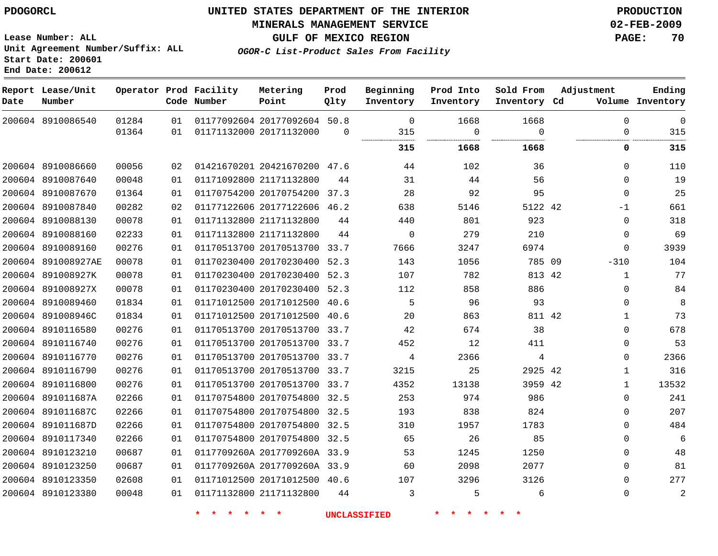## **MINERALS MANAGEMENT SERVICE 02-FEB-2009**

**GULF OF MEXICO REGION PAGE: 70**

**OGOR-C List-Product Sales From Facility**

**Lease Number: ALL Unit Agreement Number/Suffix: ALL Start Date: 200601 End Date: 200612**

| Date | Report Lease/Unit<br>Number |       |    | Operator Prod Facility<br>Code Number | Metering<br>Point            | Prod<br>Qlty | Beginning<br>Inventory | Prod Into<br>Inventory | Sold From<br>Inventory Cd | Adjustment   | Ending<br>Volume Inventory |
|------|-----------------------------|-------|----|---------------------------------------|------------------------------|--------------|------------------------|------------------------|---------------------------|--------------|----------------------------|
|      | 200604 8910086540           | 01284 | 01 |                                       | 01177092604 20177092604 50.8 |              | $\Omega$               | 1668                   | 1668                      | $\Omega$     | $\mathbf 0$                |
|      |                             | 01364 | 01 |                                       | 01171132000 20171132000      | $\Omega$     | 315                    | $\Omega$<br>.<br>      | $\Omega$<br>              | $\Omega$     | 315                        |
|      |                             |       |    |                                       |                              |              | 315                    | 1668                   | 1668                      | 0            | 315                        |
|      | 200604 8910086660           | 00056 | 02 |                                       | 01421670201 20421670200 47.6 |              | 44                     | 102                    | 36                        | $\mathbf 0$  | 110                        |
|      | 200604 8910087640           | 00048 | 01 |                                       | 01171092800 21171132800      | 44           | 31                     | 44                     | 56                        | $\mathbf 0$  | 19                         |
|      | 200604 8910087670           | 01364 | 01 |                                       | 01170754200 20170754200 37.3 |              | 28                     | 92                     | 95                        | $\mathbf 0$  | 25                         |
|      | 200604 8910087840           | 00282 | 02 |                                       | 01177122606 20177122606 46.2 |              | 638                    | 5146                   | 5122 42                   | $-1$         | 661                        |
|      | 200604 8910088130           | 00078 | 01 |                                       | 01171132800 21171132800      | 44           | 440                    | 801                    | 923                       | $\Omega$     | 318                        |
|      | 200604 8910088160           | 02233 | 01 |                                       | 01171132800 21171132800      | 44           | $\mathbf 0$            | 279                    | 210                       | $\mathbf 0$  | 69                         |
|      | 200604 8910089160           | 00276 | 01 |                                       | 01170513700 20170513700 33.7 |              | 7666                   | 3247                   | 6974                      | $\Omega$     | 3939                       |
|      | 200604 891008927AE          | 00078 | 01 |                                       | 01170230400 20170230400 52.3 |              | 143                    | 1056                   | 785 09                    | $-310$       | 104                        |
|      | 200604 891008927K           | 00078 | 01 |                                       | 01170230400 20170230400 52.3 |              | 107                    | 782                    | 813 42                    | $\mathbf{1}$ | 77                         |
|      | 200604 891008927X           | 00078 | 01 |                                       | 01170230400 20170230400 52.3 |              | 112                    | 858                    | 886                       | $\Omega$     | 84                         |
|      | 200604 8910089460           | 01834 | 01 |                                       | 01171012500 20171012500 40.6 |              | 5                      | 96                     | 93                        | $\mathbf 0$  | 8                          |
|      | 200604 891008946C           | 01834 | 01 |                                       | 01171012500 20171012500 40.6 |              | 20                     | 863                    | 811 42                    | 1            | 73                         |
|      | 200604 8910116580           | 00276 | 01 |                                       | 01170513700 20170513700 33.7 |              | 42                     | 674                    | 38                        | $\mathbf 0$  | 678                        |
|      | 200604 8910116740           | 00276 | 01 |                                       | 01170513700 20170513700 33.7 |              | 452                    | 12                     | 411                       | $\Omega$     | 53                         |
|      | 200604 8910116770           | 00276 | 01 |                                       | 01170513700 20170513700 33.7 |              | 4                      | 2366                   | 4                         | $\Omega$     | 2366                       |
|      | 200604 8910116790           | 00276 | 01 |                                       | 01170513700 20170513700 33.7 |              | 3215                   | 25                     | 2925 42                   | $\mathbf{1}$ | 316                        |
|      | 200604 8910116800           | 00276 | 01 |                                       | 01170513700 20170513700 33.7 |              | 4352                   | 13138                  | 3959 42                   | $\mathbf{1}$ | 13532                      |
|      | 200604 891011687A           | 02266 | 01 |                                       | 01170754800 20170754800 32.5 |              | 253                    | 974                    | 986                       | $\mathbf 0$  | 241                        |
|      | 200604 891011687C           | 02266 | 01 |                                       | 01170754800 20170754800 32.5 |              | 193                    | 838                    | 824                       | $\mathbf 0$  | 207                        |
|      | 200604 891011687D           | 02266 | 01 |                                       | 01170754800 20170754800 32.5 |              | 310                    | 1957                   | 1783                      | $\mathbf 0$  | 484                        |
|      | 200604 8910117340           | 02266 | 01 |                                       | 01170754800 20170754800 32.5 |              | 65                     | 26                     | 85                        | $\Omega$     | 6                          |
|      | 200604 8910123210           | 00687 | 01 |                                       | 0117709260A 2017709260A 33.9 |              | 53                     | 1245                   | 1250                      | $\mathbf 0$  | 48                         |
|      | 200604 8910123250           | 00687 | 01 |                                       | 0117709260A 2017709260A 33.9 |              | 60                     | 2098                   | 2077                      | $\Omega$     | 81                         |
|      | 200604 8910123350           | 02608 | 01 |                                       | 01171012500 20171012500 40.6 |              | 107                    | 3296                   | 3126                      | $\mathbf 0$  | 277                        |
|      | 200604 8910123380           | 00048 | 01 |                                       | 01171132800 21171132800      | 44           | 3                      | 5                      | 6                         | $\mathbf 0$  | 2                          |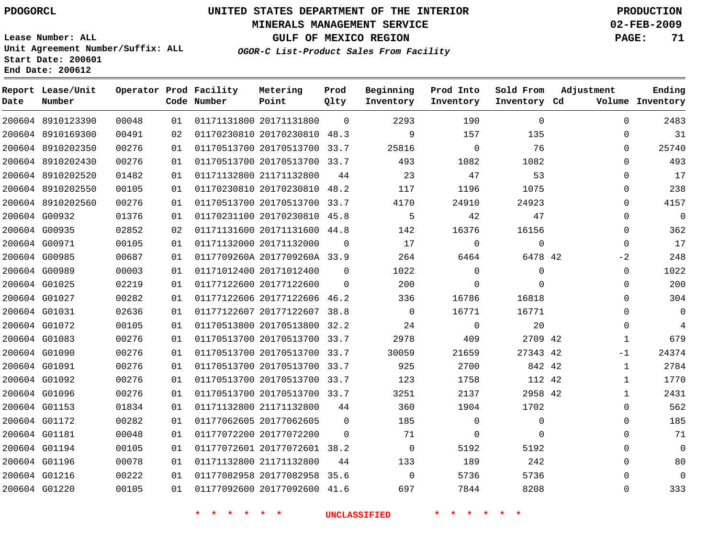## **MINERALS MANAGEMENT SERVICE 02-FEB-2009**

**GULF OF MEXICO REGION PAGE: 71**

**Lease Number: ALL Unit Agreement Number/Suffix: ALL Start Date: 200601 End Date: 200612**

**OGOR-C List-Product Sales From Facility**

| Date | Report Lease/Unit<br>Number |       |    | Operator Prod Facility<br>Code Number | Metering<br>Point            | Prod<br>Qlty | Beginning<br>Inventory | Prod Into<br>Inventory | Sold From<br>Inventory Cd | Adjustment   | Ending<br>Volume Inventory |
|------|-----------------------------|-------|----|---------------------------------------|------------------------------|--------------|------------------------|------------------------|---------------------------|--------------|----------------------------|
|      | 200604 8910123390           | 00048 | 01 |                                       | 01171131800 20171131800      | $\Omega$     | 2293                   | 190                    | $\Omega$                  | $\Omega$     | 2483                       |
|      | 200604 8910169300           | 00491 | 02 |                                       | 01170230810 20170230810      | 48.3         | 9                      | 157                    | 135                       | 0            | 31                         |
|      | 200604 8910202350           | 00276 | 01 |                                       | 01170513700 20170513700      | 33.7         | 25816                  | $\mathbf 0$            | 76                        | $\Omega$     | 25740                      |
|      | 200604 8910202430           | 00276 | 01 |                                       | 01170513700 20170513700 33.7 |              | 493                    | 1082                   | 1082                      | $\Omega$     | 493                        |
|      | 200604 8910202520           | 01482 | 01 |                                       | 01171132800 21171132800      | 44           | 23                     | 47                     | 53                        | 0            | 17                         |
|      | 200604 8910202550           | 00105 | 01 |                                       | 01170230810 20170230810      | 48.2         | 117                    | 1196                   | 1075                      | 0            | 238                        |
|      | 200604 8910202560           | 00276 | 01 |                                       | 01170513700 20170513700 33.7 |              | 4170                   | 24910                  | 24923                     | $\Omega$     | 4157                       |
|      | 200604 G00932               | 01376 | 01 |                                       | 01170231100 20170230810 45.8 |              | 5                      | 42                     | 47                        | $\Omega$     | $\mathbf 0$                |
|      | 200604 G00935               | 02852 | 02 |                                       | 01171131600 20171131600 44.8 |              | 142                    | 16376                  | 16156                     | $\Omega$     | 362                        |
|      | 200604 G00971               | 00105 | 01 |                                       | 01171132000 20171132000      | $\Omega$     | 17                     | $\mathbf 0$            | 0                         | $\Omega$     | 17                         |
|      | 200604 G00985               | 00687 | 01 |                                       | 0117709260A 2017709260A 33.9 |              | 264                    | 6464                   | 6478 42                   | $-2$         | 248                        |
|      | 200604 G00989               | 00003 | 01 |                                       | 01171012400 20171012400      | $\Omega$     | 1022                   | $\mathbf 0$            | 0                         | $\Omega$     | 1022                       |
|      | 200604 G01025               | 02219 | 01 |                                       | 01177122600 20177122600      | $\Omega$     | 200                    | $\Omega$               | $\Omega$                  | $\Omega$     | 200                        |
|      | 200604 G01027               | 00282 | 01 |                                       | 01177122606 20177122606 46.2 |              | 336                    | 16786                  | 16818                     | $\Omega$     | 304                        |
|      | 200604 G01031               | 02636 | 01 |                                       | 01177122607 20177122607 38.8 |              | $\Omega$               | 16771                  | 16771                     | $\Omega$     | $\mathbf{0}$               |
|      | 200604 G01072               | 00105 | 01 |                                       | 01170513800 20170513800      | 32.2         | 24                     | $\mathbf 0$            | 20                        | $\Omega$     | $\overline{4}$             |
|      | 200604 G01083               | 00276 | 01 |                                       | 01170513700 20170513700 33.7 |              | 2978                   | 409                    | 2709 42                   | $\mathbf{1}$ | 679                        |
|      | 200604 G01090               | 00276 | 01 |                                       | 01170513700 20170513700 33.7 |              | 30059                  | 21659                  | 27343 42                  | $-1$         | 24374                      |
|      | 200604 G01091               | 00276 | 01 |                                       | 01170513700 20170513700 33.7 |              | 925                    | 2700                   | 842 42                    | $\mathbf{1}$ | 2784                       |
|      | 200604 G01092               | 00276 | 01 |                                       | 01170513700 20170513700      | 33.7         | 123                    | 1758                   | 112 42                    | 1            | 1770                       |
|      | 200604 G01096               | 00276 | 01 |                                       | 01170513700 20170513700 33.7 |              | 3251                   | 2137                   | 2958 42                   | $\mathbf{1}$ | 2431                       |
|      | 200604 G01153               | 01834 | 01 |                                       | 01171132800 21171132800      | 44           | 360                    | 1904                   | 1702                      | $\Omega$     | 562                        |
|      | 200604 G01172               | 00282 | 01 |                                       | 01177062605 20177062605      | $\Omega$     | 185                    | $\mathbf 0$            | 0                         | 0            | 185                        |
|      | 200604 G01181               | 00048 | 01 |                                       | 01177072200 20177072200      | $\Omega$     | 71                     | 0                      | $\Omega$                  | $\Omega$     | 71                         |
|      | 200604 G01194               | 00105 | 01 |                                       | 01177072601 20177072601 38.2 |              | $\Omega$               | 5192                   | 5192                      | $\Omega$     | $\Omega$                   |
|      | 200604 G01196               | 00078 | 01 |                                       | 01171132800 21171132800      | 44           | 133                    | 189                    | 242                       | 0            | 80                         |
|      | 200604 G01216               | 00222 | 01 |                                       | 01177082958 20177082958 35.6 |              | $\Omega$               | 5736                   | 5736                      | $\Omega$     | $\Omega$                   |
|      | 200604 G01220               | 00105 | 01 |                                       | 01177092600 20177092600 41.6 |              | 697                    | 7844                   | 8208                      | $\Omega$     | 333                        |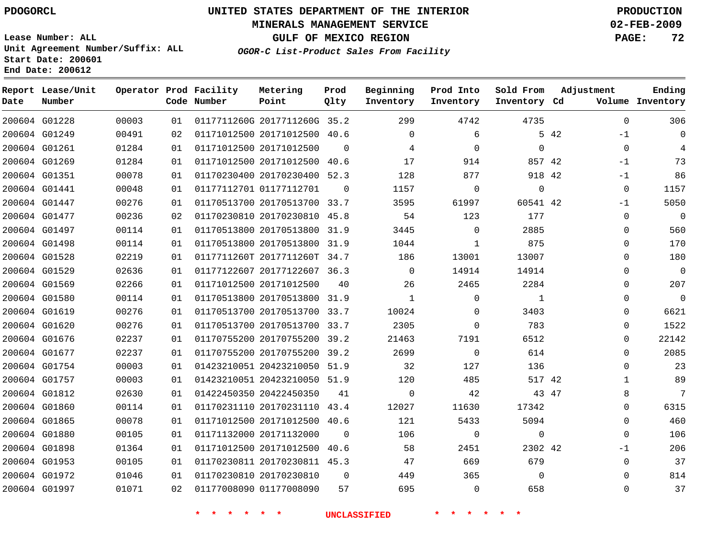#### **MINERALS MANAGEMENT SERVICE 02-FEB-2009**

**GULF OF MEXICO REGION PAGE: 72**

**Lease Number: ALL Unit Agreement Number/Suffix: ALL Start Date: 200601 End Date: 200612**

**OGOR-C List-Product Sales From Facility**

| Date | Report Lease/Unit<br>Number |       |    | Operator Prod Facility<br>Code Number | Metering<br>Point            | Prod<br>Qlty | Beginning<br>Inventory | Prod Into<br>Inventory | Sold From<br>Inventory Cd | Adjustment   | Ending<br>Volume Inventory |
|------|-----------------------------|-------|----|---------------------------------------|------------------------------|--------------|------------------------|------------------------|---------------------------|--------------|----------------------------|
|      | 200604 G01228               | 00003 | 01 |                                       | 0117711260G 2017711260G 35.2 |              | 299                    | 4742                   | 4735                      | $\Omega$     | 306                        |
|      | 200604 G01249               | 00491 | 02 |                                       | 01171012500 20171012500 40.6 |              | $\Omega$               | 6                      |                           | 5 42<br>$-1$ | $\Omega$                   |
|      | 200604 G01261               | 01284 | 01 |                                       | 01171012500 20171012500      | $\Omega$     | 4                      | $\Omega$               | $\Omega$                  | $\Omega$     | $\overline{4}$             |
|      | 200604 G01269               | 01284 | 01 |                                       | 01171012500 20171012500      | 40.6         | 17                     | 914                    | 857 42                    | $-1$         | 73                         |
|      | 200604 G01351               | 00078 | 01 |                                       | 01170230400 20170230400 52.3 |              | 128                    | 877                    | 918 42                    | $-1$         | 86                         |
|      | 200604 G01441               | 00048 | 01 |                                       | 01177112701 01177112701      | $\Omega$     | 1157                   | $\mathbf 0$            | 0                         | $\mathbf 0$  | 1157                       |
|      | 200604 G01447               | 00276 | 01 |                                       | 01170513700 20170513700 33.7 |              | 3595                   | 61997                  | 60541 42                  | $-1$         | 5050                       |
|      | 200604 G01477               | 00236 | 02 |                                       | 01170230810 20170230810      | 45.8         | 54                     | 123                    | 177                       | $\mathbf{0}$ | $\Omega$                   |
|      | 200604 G01497               | 00114 | 01 |                                       | 01170513800 20170513800 31.9 |              | 3445                   | $\mathbf 0$            | 2885                      | 0            | 560                        |
|      | 200604 G01498               | 00114 | 01 |                                       | 01170513800 20170513800      | 31.9         | 1044                   | 1                      | 875                       | 0            | 170                        |
|      | 200604 G01528               | 02219 | 01 |                                       | 0117711260T 2017711260T 34.7 |              | 186                    | 13001                  | 13007                     | $\Omega$     | 180                        |
|      | 200604 G01529               | 02636 | 01 |                                       | 01177122607 20177122607 36.3 |              | $\Omega$               | 14914                  | 14914                     | $\mathbf{0}$ | $\mathbf{0}$               |
|      | 200604 G01569               | 02266 | 01 |                                       | 01171012500 20171012500      | 40           | 26                     | 2465                   | 2284                      | $\Omega$     | 207                        |
|      | 200604 G01580               | 00114 | 01 |                                       | 01170513800 20170513800 31.9 |              | $\mathbf{1}$           | $\mathbf 0$            | $\mathbf{1}$              | 0            | $\mathbf 0$                |
|      | 200604 G01619               | 00276 | 01 |                                       | 01170513700 20170513700 33.7 |              | 10024                  | $\mathbf 0$            | 3403                      | 0            | 6621                       |
|      | 200604 G01620               | 00276 | 01 |                                       | 01170513700 20170513700      | 33.7         | 2305                   | $\mathbf 0$            | 783                       | $\mathbf{0}$ | 1522                       |
|      | 200604 G01676               | 02237 | 01 |                                       | 01170755200 20170755200      | 39.2         | 21463                  | 7191                   | 6512                      | $\Omega$     | 22142                      |
|      | 200604 G01677               | 02237 | 01 |                                       | 01170755200 20170755200 39.2 |              | 2699                   | $\mathbf 0$            | 614                       | $\Omega$     | 2085                       |
|      | 200604 G01754               | 00003 | 01 |                                       | 01423210051 20423210050 51.9 |              | 32                     | 127                    | 136                       | 0            | 23                         |
|      | 200604 G01757               | 00003 | 01 |                                       | 01423210051 20423210050 51.9 |              | 120                    | 485                    | 517 42                    | 1            | 89                         |
|      | 200604 G01812               | 02630 | 01 |                                       | 01422450350 20422450350      | 41           | $\Omega$               | 42                     | 43 47                     | 8            | 7                          |
|      | 200604 G01860               | 00114 | 01 |                                       | 01170231110 20170231110 43.4 |              | 12027                  | 11630                  | 17342                     | $\Omega$     | 6315                       |
|      | 200604 G01865               | 00078 | 01 |                                       | 01171012500 20171012500 40.6 |              | 121                    | 5433                   | 5094                      | $\Omega$     | 460                        |
|      | 200604 G01880               | 00105 | 01 |                                       | 01171132000 20171132000      | $\Omega$     | 106                    | 0                      | 0                         | 0            | 106                        |
|      | 200604 G01898               | 01364 | 01 |                                       | 01171012500 20171012500 40.6 |              | 58                     | 2451                   | 2302 42                   | -1           | 206                        |
|      | 200604 G01953               | 00105 | 01 |                                       | 01170230811 20170230811 45.3 |              | 47                     | 669                    | 679                       | $\mathbf 0$  | 37                         |
|      | 200604 G01972               | 01046 | 01 |                                       | 01170230810 20170230810      | $\Omega$     | 449                    | 365                    | $\Omega$                  | $\Omega$     | 814                        |
|      | 200604 G01997               | 01071 | 02 |                                       | 01177008090 01177008090      | 57           | 695                    | $\Omega$               | 658                       | $\Omega$     | 37                         |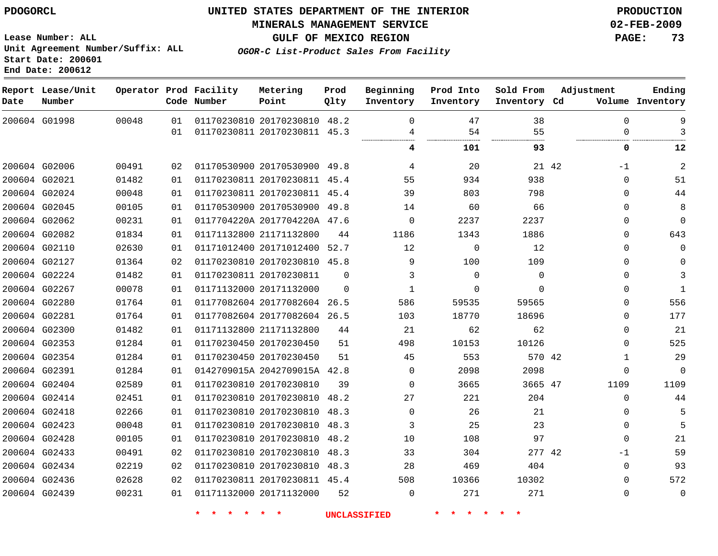# **MINERALS MANAGEMENT SERVICE 02-FEB-2009**

**GULF OF MEXICO REGION PAGE: 73**

**Lease Number: ALL Unit Agreement Number/Suffix: ALL Start Date: 200601 End Date: 200612**

**OGOR-C List-Product Sales From Facility**

| Date | Report Lease/Unit<br>Number |       |    | Operator Prod Facility<br>Code Number | Metering<br>Point            | Prod<br>Qlty | Beginning<br>Inventory | Prod Into<br>Inventory | Sold From<br>Inventory Cd | Adjustment    | Ending<br>Volume Inventory |
|------|-----------------------------|-------|----|---------------------------------------|------------------------------|--------------|------------------------|------------------------|---------------------------|---------------|----------------------------|
|      | 200604 G01998               | 00048 | 01 |                                       | 01170230810 20170230810 48.2 |              | $\Omega$               | 47                     | 38                        | $\Omega$      | 9                          |
|      |                             |       | 01 |                                       | 01170230811 20170230811 45.3 |              | 4<br>                  | 54<br>                 | 55<br>.<br>               | $\Omega$      | 3                          |
|      |                             |       |    |                                       |                              |              | 4                      | 101                    | 93                        | 0             | 12                         |
|      | 200604 G02006               | 00491 | 02 |                                       | 01170530900 20170530900 49.8 |              | 4                      | 20                     |                           | 21 42<br>$-1$ | 2                          |
|      | 200604 G02021               | 01482 | 01 |                                       | 01170230811 20170230811 45.4 |              | 55                     | 934                    | 938                       | 0             | 51                         |
|      | 200604 G02024               | 00048 | 01 |                                       | 01170230811 20170230811 45.4 |              | 39                     | 803                    | 798                       | $\Omega$      | 44                         |
|      | 200604 G02045               | 00105 | 01 |                                       | 01170530900 20170530900 49.8 |              | 14                     | 60                     | 66                        | 0             | 8                          |
|      | 200604 G02062               | 00231 | 01 |                                       | 0117704220A 2017704220A 47.6 |              | 0                      | 2237                   | 2237                      | $\Omega$      | $\mathbf 0$                |
|      | 200604 G02082               | 01834 | 01 |                                       | 01171132800 21171132800      | 44           | 1186                   | 1343                   | 1886                      | $\Omega$      | 643                        |
|      | 200604 G02110               | 02630 | 01 |                                       | 01171012400 20171012400 52.7 |              | 12                     | $\Omega$               | 12                        | $\Omega$      | $\Omega$                   |
|      | 200604 G02127               | 01364 | 02 |                                       | 01170230810 20170230810 45.8 |              | 9                      | 100                    | 109                       | 0             | $\Omega$                   |
|      | 200604 G02224               | 01482 | 01 |                                       | 01170230811 20170230811      | $\Omega$     | 3                      | $\mathbf 0$            | $\Omega$                  | $\Omega$      | 3                          |
|      | 200604 G02267               | 00078 | 01 |                                       | 01171132000 20171132000      | $\Omega$     | 1                      | 0                      | 0                         | $\Omega$      | $\mathbf{1}$               |
|      | 200604 G02280               | 01764 | 01 |                                       | 01177082604 20177082604 26.5 |              | 586                    | 59535                  | 59565                     | $\Omega$      | 556                        |
|      | 200604 G02281               | 01764 | 01 |                                       | 01177082604 20177082604 26.5 |              | 103                    | 18770                  | 18696                     | 0             | 177                        |
|      | 200604 G02300               | 01482 | 01 |                                       | 01171132800 21171132800      | 44           | 21                     | 62                     | 62                        | 0             | 21                         |
|      | 200604 G02353               | 01284 | 01 |                                       | 01170230450 20170230450      | 51           | 498                    | 10153                  | 10126                     | $\Omega$      | 525                        |
|      | 200604 G02354               | 01284 | 01 |                                       | 01170230450 20170230450      | 51           | 45                     | 553                    | 570 42                    | $\mathbf{1}$  | 29                         |
|      | 200604 G02391               | 01284 | 01 |                                       | 0142709015A 2042709015A 42.8 |              | $\Omega$               | 2098                   | 2098                      | 0             | $\Omega$                   |
|      | 200604 G02404               | 02589 | 01 |                                       | 01170230810 20170230810      | 39           | 0                      | 3665                   | 3665 47                   | 1109          | 1109                       |
|      | 200604 G02414               | 02451 | 01 |                                       | 01170230810 20170230810 48.2 |              | 27                     | 221                    | 204                       | 0             | 44                         |
|      | 200604 G02418               | 02266 | 01 |                                       | 01170230810 20170230810 48.3 |              | $\Omega$               | 26                     | 21                        | 0             |                            |
|      | 200604 G02423               | 00048 | 01 |                                       | 01170230810 20170230810 48.3 |              | 3                      | 25                     | 23                        | 0             | 5                          |
|      | 200604 G02428               | 00105 | 01 |                                       | 01170230810 20170230810      | 48.2         | 10                     | 108                    | 97                        | 0             | 21                         |
|      | 200604 G02433               | 00491 | 02 |                                       | 01170230810 20170230810      | 48.3         | 33                     | 304                    | 277 42                    | $-1$          | 59                         |
|      | 200604 G02434               | 02219 | 02 |                                       | 01170230810 20170230810 48.3 |              | 28                     | 469                    | 404                       | $\Omega$      | 93                         |
|      | 200604 G02436               | 02628 | 02 |                                       | 01170230811 20170230811 45.4 |              | 508                    | 10366                  | 10302                     | $\Omega$      | 572                        |
|      | 200604 G02439               | 00231 | 01 |                                       | 01171132000 20171132000      | 52           | $\Omega$               | 271                    | 271                       | $\Omega$      | $\mathbf 0$                |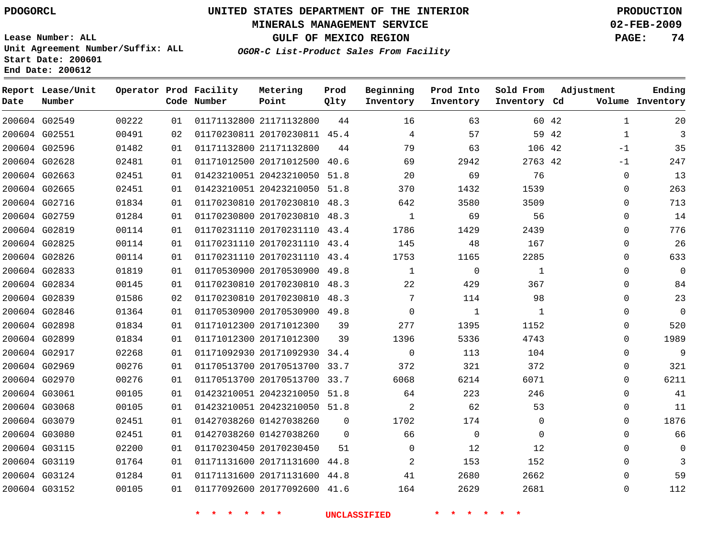#### **MINERALS MANAGEMENT SERVICE 02-FEB-2009**

**GULF OF MEXICO REGION PAGE: 74**

**Lease Number: ALL Unit Agreement Number/Suffix: ALL Start Date: 200601 End Date: 200612**

**OGOR-C List-Product Sales From Facility**

| Date | Report Lease/Unit<br>Number |       |    | Operator Prod Facility<br>Code Number | Metering<br>Point            | Prod<br>Qlty   | Beginning<br>Inventory | Prod Into<br>Inventory | Sold From<br>Inventory Cd | Adjustment            | Ending<br>Volume Inventory |
|------|-----------------------------|-------|----|---------------------------------------|------------------------------|----------------|------------------------|------------------------|---------------------------|-----------------------|----------------------------|
|      | 200604 G02549               | 00222 | 01 |                                       | 01171132800 21171132800      | 44             | 16                     | 63                     |                           | $\mathbf{1}$<br>60 42 | 20                         |
|      | 200604 G02551               | 00491 | 02 |                                       | 01170230811 20170230811 45.4 |                | 4                      | 57                     | 59 42                     | $\mathbf{1}$          | 3                          |
|      | 200604 G02596               | 01482 | 01 |                                       | 01171132800 21171132800      | 44             | 79                     | 63                     | 106 42                    | $-1$                  | 35                         |
|      | 200604 G02628               | 02481 | 01 |                                       | 01171012500 20171012500      | 40.6           | 69                     | 2942                   | 2763 42                   | $-1$                  | 247                        |
|      | 200604 G02663               | 02451 | 01 |                                       | 01423210051 20423210050 51.8 |                | 20                     | 69                     | 76                        | $\mathbf 0$           | 13                         |
|      | 200604 G02665               | 02451 | 01 |                                       | 01423210051 20423210050 51.8 |                | 370                    | 1432                   | 1539                      | $\mathbf 0$           | 263                        |
|      | 200604 G02716               | 01834 | 01 |                                       | 01170230810 20170230810 48.3 |                | 642                    | 3580                   | 3509                      | $\Omega$              | 713                        |
|      | 200604 G02759               | 01284 | 01 |                                       | 01170230800 20170230810 48.3 |                | $\mathbf{1}$           | 69                     | 56                        | 0                     | 14                         |
|      | 200604 G02819               | 00114 | 01 |                                       | 01170231110 20170231110 43.4 |                | 1786                   | 1429                   | 2439                      | $\Omega$              | 776                        |
|      | 200604 G02825               | 00114 | 01 |                                       | 01170231110 20170231110 43.4 |                | 145                    | 48                     | 167                       | 0                     | 26                         |
|      | 200604 G02826               | 00114 | 01 |                                       | 01170231110 20170231110 43.4 |                | 1753                   | 1165                   | 2285                      | 0                     | 633                        |
|      | 200604 G02833               | 01819 | 01 |                                       | 01170530900 20170530900 49.8 |                | $\mathbf{1}$           | $\mathbf 0$            | $\mathbf{1}$              | 0                     | $\mathbf 0$                |
|      | 200604 G02834               | 00145 | 01 |                                       | 01170230810 20170230810 48.3 |                | 22                     | 429                    | 367                       | $\Omega$              | 84                         |
|      | 200604 G02839               | 01586 | 02 |                                       | 01170230810 20170230810 48.3 |                | 7                      | 114                    | 98                        | 0                     | 23                         |
|      | 200604 G02846               | 01364 | 01 |                                       | 01170530900 20170530900 49.8 |                | $\Omega$               | $\mathbf{1}$           | $\mathbf{1}$              | $\Omega$              | $\mathbf 0$                |
|      | 200604 G02898               | 01834 | 01 |                                       | 01171012300 20171012300      | 39             | 277                    | 1395                   | 1152                      | 0                     | 520                        |
|      | 200604 G02899               | 01834 | 01 |                                       | 01171012300 20171012300      | 39             | 1396                   | 5336                   | 4743                      | $\Omega$              | 1989                       |
|      | 200604 G02917               | 02268 | 01 |                                       | 01171092930 20171092930      | 34.4           | $\Omega$               | 113                    | 104                       | $\Omega$              | 9                          |
|      | 200604 G02969               | 00276 | 01 |                                       | 01170513700 20170513700 33.7 |                | 372                    | 321                    | 372                       | $\mathbf 0$           | 321                        |
|      | 200604 G02970               | 00276 | 01 |                                       | 01170513700 20170513700 33.7 |                | 6068                   | 6214                   | 6071                      | $\Omega$              | 6211                       |
|      | 200604 G03061               | 00105 | 01 |                                       | 01423210051 20423210050 51.8 |                | 64                     | 223                    | 246                       | $\Omega$              | 41                         |
|      | 200604 G03068               | 00105 | 01 |                                       | 01423210051 20423210050 51.8 |                | $\overline{2}$         | 62                     | 53                        | 0                     | 11                         |
|      | 200604 G03079               | 02451 | 01 |                                       | 01427038260 01427038260      | $\Omega$       | 1702                   | 174                    | $\Omega$                  | $\Omega$              | 1876                       |
|      | 200604 G03080               | 02451 | 01 |                                       | 01427038260 01427038260      | $\overline{0}$ | 66                     | $\mathbf 0$            | $\mathbf 0$               | $\mathbf 0$           | 66                         |
|      | 200604 G03115               | 02200 | 01 |                                       | 01170230450 20170230450      | 51             | $\mathbf 0$            | 12                     | 12                        | 0                     | 0                          |
|      | 200604 G03119               | 01764 | 01 |                                       | 01171131600 20171131600      | 44.8           | 2                      | 153                    | 152                       | 0                     | 3                          |
|      | 200604 G03124               | 01284 | 01 |                                       | 01171131600 20171131600      | 44.8           | 41                     | 2680                   | 2662                      | $\Omega$              | 59                         |
|      | 200604 G03152               | 00105 | 01 |                                       | 01177092600 20177092600 41.6 |                | 164                    | 2629                   | 2681                      | $\Omega$              | 112                        |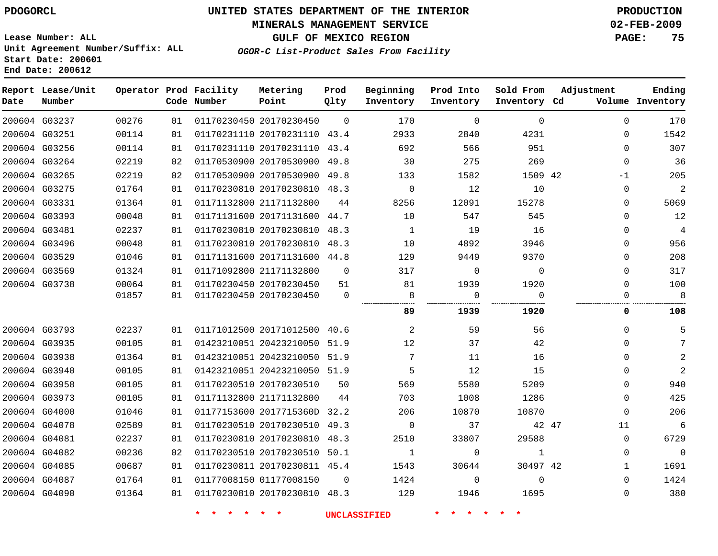#### **MINERALS MANAGEMENT SERVICE 02-FEB-2009**

**GULF OF MEXICO REGION PAGE: 75**

**Lease Number: ALL Unit Agreement Number/Suffix: ALL Start Date: 200601 End Date: 200612**

**OGOR-C List-Product Sales From Facility**

| Date | Report Lease/Unit<br>Number |       |    | Operator Prod Facility<br>Code Number | Metering<br>Point            | Prod<br>Qlty | Beginning<br>Inventory | Prod Into<br>Inventory | Sold From<br>Inventory Cd | Adjustment  | Ending<br>Volume Inventory |
|------|-----------------------------|-------|----|---------------------------------------|------------------------------|--------------|------------------------|------------------------|---------------------------|-------------|----------------------------|
|      | 200604 G03237               | 00276 | 01 |                                       | 01170230450 20170230450      | $\Omega$     | 170                    | $\mathbf 0$            | $\mathbf 0$               | 0           | 170                        |
|      | 200604 G03251               | 00114 | 01 |                                       | 01170231110 20170231110 43.4 |              | 2933                   | 2840                   | 4231                      | 0           | 1542                       |
|      | 200604 G03256               | 00114 | 01 |                                       | 01170231110 20170231110 43.4 |              | 692                    | 566                    | 951                       | $\Omega$    | 307                        |
|      | 200604 G03264               | 02219 | 02 |                                       | 01170530900 20170530900 49.8 |              | 30                     | 275                    | 269                       | 0           | 36                         |
|      | 200604 G03265               | 02219 | 02 |                                       | 01170530900 20170530900 49.8 |              | 133                    | 1582                   | 1509 42                   | $-1$        | 205                        |
|      | 200604 G03275               | 01764 | 01 |                                       | 01170230810 20170230810 48.3 |              | $\mathbf 0$            | 12                     | 10                        | 0           | $\overline{c}$             |
|      | 200604 G03331               | 01364 | 01 |                                       | 01171132800 21171132800      | 44           | 8256                   | 12091                  | 15278                     | 0           | 5069                       |
|      | 200604 G03393               | 00048 | 01 |                                       | 01171131600 20171131600 44.7 |              | 10                     | 547                    | 545                       | $\Omega$    | 12                         |
|      | 200604 G03481               | 02237 | 01 |                                       | 01170230810 20170230810 48.3 |              | 1                      | 19                     | 16                        | 0           | 4                          |
|      | 200604 G03496               | 00048 | 01 |                                       | 01170230810 20170230810 48.3 |              | 10                     | 4892                   | 3946                      | 0           | 956                        |
|      | 200604 G03529               | 01046 | 01 |                                       | 01171131600 20171131600 44.8 |              | 129                    | 9449                   | 9370                      | 0           | 208                        |
|      | 200604 G03569               | 01324 | 01 |                                       | 01171092800 21171132800      | $\Omega$     | 317                    | $\mathbf 0$            | $\Omega$                  | $\Omega$    | 317                        |
|      | 200604 G03738               | 00064 | 01 |                                       | 01170230450 20170230450      | 51           | 81                     | 1939                   | 1920                      | $\Omega$    | 100                        |
|      |                             | 01857 | 01 |                                       | 01170230450 20170230450      | $\mathbf 0$  | 8                      | 0                      | $\mathbf 0$               | 0           | 8                          |
|      |                             |       |    |                                       |                              |              | 89                     | 1939                   | 1920                      | 0           | 108                        |
|      | 200604 G03793               | 02237 | 01 |                                       | 01171012500 20171012500 40.6 |              | 2                      | 59                     | 56                        | 0           | 5                          |
|      | 200604 G03935               | 00105 | 01 |                                       | 01423210051 20423210050 51.9 |              | 12                     | 37                     | 42                        | 0           | 7                          |
|      | 200604 G03938               | 01364 | 01 |                                       | 01423210051 20423210050 51.9 |              | $7\phantom{.0}$        | 11                     | 16                        | 0           | 2                          |
|      | 200604 G03940               | 00105 | 01 |                                       | 01423210051 20423210050 51.9 |              | 5                      | 12                     | 15                        | 0           | $\overline{2}$             |
|      | 200604 G03958               | 00105 | 01 |                                       | 01170230510 20170230510      | 50           | 569                    | 5580                   | 5209                      | 0           | 940                        |
|      | 200604 G03973               | 00105 | 01 |                                       | 01171132800 21171132800      | 44           | 703                    | 1008                   | 1286                      | 0           | 425                        |
|      | 200604 G04000               | 01046 | 01 |                                       | 01177153600 2017715360D 32.2 |              | 206                    | 10870                  | 10870                     | 0           | 206                        |
|      | 200604 G04078               | 02589 | 01 |                                       | 01170230510 20170230510 49.3 |              | $\overline{0}$         | 37                     |                           | 42 47<br>11 | 6                          |
|      | 200604 G04081               | 02237 | 01 |                                       | 01170230810 20170230810      | 48.3         | 2510                   | 33807                  | 29588                     | 0           | 6729                       |
|      | 200604 G04082               | 00236 | 02 |                                       | 01170230510 20170230510 50.1 |              | $\mathbf{1}$           | $\mathbf 0$            | 1                         | 0           | $\overline{0}$             |
|      | 200604 G04085               | 00687 | 01 |                                       | 01170230811 20170230811 45.4 |              | 1543                   | 30644                  | 30497 42                  | 1           | 1691                       |
|      | 200604 G04087               | 01764 | 01 |                                       | 01177008150 01177008150      | $\Omega$     | 1424                   | $\mathbf 0$            | $\Omega$                  | $\Omega$    | 1424                       |
|      | 200604 G04090               | 01364 | 01 |                                       | 01170230810 20170230810 48.3 |              | 129                    | 1946                   | 1695                      | 0           | 380                        |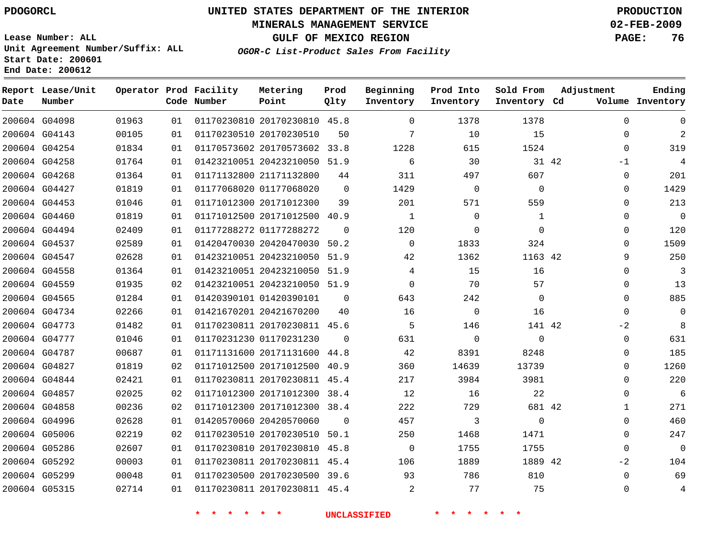#### **MINERALS MANAGEMENT SERVICE 02-FEB-2009**

**GULF OF MEXICO REGION PAGE: 76**

**Lease Number: ALL Unit Agreement Number/Suffix: ALL Start Date: 200601 End Date: 200612**

**OGOR-C List-Product Sales From Facility**

| Date | Report Lease/Unit<br>Number |       |    | Operator Prod Facility<br>Code Number | Metering<br>Point            | Prod<br>Qlty | Beginning<br>Inventory | Prod Into<br>Inventory | Sold From<br>Inventory Cd | Adjustment    | Ending<br>Volume Inventory |
|------|-----------------------------|-------|----|---------------------------------------|------------------------------|--------------|------------------------|------------------------|---------------------------|---------------|----------------------------|
|      | 200604 G04098               | 01963 | 01 |                                       | 01170230810 20170230810 45.8 |              | $\Omega$               | 1378                   | 1378                      | $\Omega$      | $\Omega$                   |
|      | 200604 G04143               | 00105 | 01 |                                       | 01170230510 20170230510      | 50           | 7                      | 10                     | 15                        | $\Omega$      | $\overline{2}$             |
|      | 200604 G04254               | 01834 | 01 |                                       | 01170573602 20170573602 33.8 |              | 1228                   | 615                    | 1524                      | $\mathbf 0$   | 319                        |
|      | 200604 G04258               | 01764 | 01 |                                       | 01423210051 20423210050 51.9 |              | 6                      | 30                     |                           | 31 42<br>$-1$ | 4                          |
|      | 200604 G04268               | 01364 | 01 |                                       | 01171132800 21171132800      | 44           | 311                    | 497                    | 607                       | 0             | 201                        |
|      | 200604 G04427               | 01819 | 01 |                                       | 01177068020 01177068020      | $\Omega$     | 1429                   | $\mathbf 0$            | $\mathbf 0$               | 0             | 1429                       |
|      | 200604 G04453               | 01046 | 01 |                                       | 01171012300 20171012300      | 39           | 201                    | 571                    | 559                       | $\mathbf 0$   | 213                        |
|      | 200604 G04460               | 01819 | 01 |                                       | 01171012500 20171012500      | 40.9         | $\mathbf{1}$           | $\mathbf 0$            | $\mathbf{1}$              | 0             | $\overline{0}$             |
|      | 200604 G04494               | 02409 | 01 |                                       | 01177288272 01177288272      | $\Omega$     | 120                    | $\mathbf 0$            | $\Omega$                  | 0             | 120                        |
|      | 200604 G04537               | 02589 | 01 |                                       | 01420470030 20420470030 50.2 |              | $\Omega$               | 1833                   | 324                       | $\Omega$      | 1509                       |
|      | 200604 G04547               | 02628 | 01 |                                       | 01423210051 20423210050 51.9 |              | 42                     | 1362                   | 1163 42                   | 9             | 250                        |
|      | 200604 G04558               | 01364 | 01 |                                       | 01423210051 20423210050 51.9 |              | 4                      | 15                     | 16                        | 0             | 3                          |
|      | 200604 G04559               | 01935 | 02 |                                       | 01423210051 20423210050 51.9 |              | $\Omega$               | 70                     | 57                        | 0             | 13                         |
|      | 200604 G04565               | 01284 | 01 |                                       | 01420390101 01420390101      | $\Omega$     | 643                    | 242                    | $\mathbf 0$               | $\mathbf{0}$  | 885                        |
|      | 200604 G04734               | 02266 | 01 |                                       | 01421670201 20421670200      | 40           | 16                     | $\Omega$               | 16                        | $\Omega$      | $\Omega$                   |
|      | 200604 G04773               | 01482 | 01 |                                       | 01170230811 20170230811 45.6 |              | 5                      | 146                    | 141 42                    | $-2$          | 8                          |
|      | 200604 G04777               | 01046 | 01 |                                       | 01170231230 01170231230      | $\Omega$     | 631                    | $\mathbf 0$            | $\mathbf 0$               | $\mathbf{0}$  | 631                        |
|      | 200604 G04787               | 00687 | 01 |                                       | 01171131600 20171131600 44.8 |              | 42                     | 8391                   | 8248                      | $\mathbf 0$   | 185                        |
|      | 200604 G04827               | 01819 | 02 |                                       | 01171012500 20171012500 40.9 |              | 360                    | 14639                  | 13739                     | $\Omega$      | 1260                       |
|      | 200604 G04844               | 02421 | 01 |                                       | 01170230811 20170230811 45.4 |              | 217                    | 3984                   | 3981                      | $\Omega$      | 220                        |
|      | 200604 G04857               | 02025 | 02 |                                       | 01171012300 20171012300 38.4 |              | 12                     | 16                     | 22                        | $\Omega$      | 6                          |
|      | 200604 G04858               | 00236 | 02 |                                       | 01171012300 20171012300 38.4 |              | 222                    | 729                    | 681 42                    | $\mathbf{1}$  | 271                        |
|      | 200604 G04996               | 02628 | 01 |                                       | 01420570060 20420570060      | $\Omega$     | 457                    | 3                      | $\Omega$                  | $\Omega$      | 460                        |
|      | 200604 G05006               | 02219 | 02 |                                       | 01170230510 20170230510 50.1 |              | 250                    | 1468                   | 1471                      | $\mathbf 0$   | 247                        |
|      | 200604 G05286               | 02607 | 01 |                                       | 01170230810 20170230810 45.8 |              | $\overline{0}$         | 1755                   | 1755                      | $\Omega$      | $\mathbf{0}$               |
|      | 200604 G05292               | 00003 | 01 |                                       | 01170230811 20170230811 45.4 |              | 106                    | 1889                   | 1889 42                   | $-2$          | 104                        |
|      | 200604 G05299               | 00048 | 01 |                                       | 01170230500 20170230500 39.6 |              | 93                     | 786                    | 810                       | $\Omega$      | 69                         |
|      | 200604 G05315               | 02714 | 01 |                                       | 01170230811 20170230811 45.4 |              | 2                      | 77                     | 75                        | $\Omega$      | $\overline{4}$             |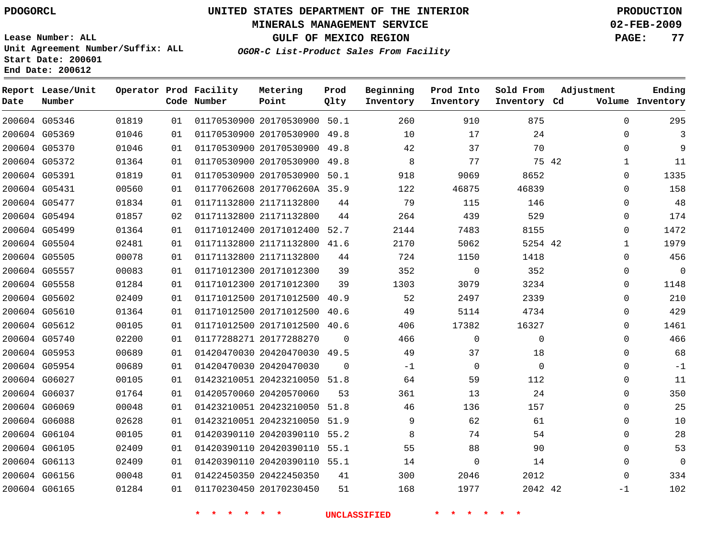#### **MINERALS MANAGEMENT SERVICE 02-FEB-2009**

**GULF OF MEXICO REGION PAGE: 77**

**Lease Number: ALL Unit Agreement Number/Suffix: ALL Start Date: 200601 End Date: 200612**

**OGOR-C List-Product Sales From Facility**

| Date | Report Lease/Unit<br>Number |       |    | Operator Prod Facility<br>Code Number | Metering<br>Point            | Prod<br>Qlty | Beginning<br>Inventory | Prod Into<br>Inventory | Sold From<br>Inventory Cd | Adjustment | Ending<br>Volume Inventory |
|------|-----------------------------|-------|----|---------------------------------------|------------------------------|--------------|------------------------|------------------------|---------------------------|------------|----------------------------|
|      | 200604 G05346               | 01819 | 01 |                                       | 01170530900 20170530900 50.1 |              | 260                    | 910                    | 875                       |            | 295<br>0                   |
|      | 200604 G05369               | 01046 | 01 |                                       | 01170530900 20170530900 49.8 |              | 10                     | 17                     | 24                        |            | 0<br>3                     |
|      | 200604 G05370               | 01046 | 01 |                                       | 01170530900 20170530900 49.8 |              | 42                     | 37                     | 70                        |            | 9<br>$\Omega$              |
|      | 200604 G05372               | 01364 | 01 |                                       | 01170530900 20170530900      | 49.8         | 8                      | 77                     | 75 42                     |            | 11<br>1                    |
|      | 200604 G05391               | 01819 | 01 |                                       | 01170530900 20170530900 50.1 |              | 918                    | 9069                   | 8652                      |            | 1335<br>$\Omega$           |
|      | 200604 G05431               | 00560 | 01 |                                       | 01177062608 2017706260A 35.9 |              | 122                    | 46875                  | 46839                     |            | 158<br>$\Omega$            |
|      | 200604 G05477               | 01834 | 01 |                                       | 01171132800 21171132800      | 44           | 79                     | 115                    | 146                       |            | 48<br>$\Omega$             |
|      | 200604 G05494               | 01857 | 02 |                                       | 01171132800 21171132800      | 44           | 264                    | 439                    | 529                       |            | 174<br>$\Omega$            |
|      | 200604 G05499               | 01364 | 01 |                                       | 01171012400 20171012400      | 52.7         | 2144                   | 7483                   | 8155                      |            | 1472<br>0                  |
|      | 200604 G05504               | 02481 | 01 |                                       | 01171132800 21171132800 41.6 |              | 2170                   | 5062                   | 5254 42                   |            | 1979<br>$\mathbf{1}$       |
|      | 200604 G05505               | 00078 | 01 |                                       | 01171132800 21171132800      | 44           | 724                    | 1150                   | 1418                      |            | 456<br>0                   |
|      | 200604 G05557               | 00083 | 01 |                                       | 01171012300 20171012300      | 39           | 352                    | $\mathsf{O}$           | 352                       |            | $\mathbf 0$<br>0           |
|      | 200604 G05558               | 01284 | 01 |                                       | 01171012300 20171012300      | 39           | 1303                   | 3079                   | 3234                      |            | 1148<br>$\Omega$           |
|      | 200604 G05602               | 02409 | 01 |                                       | 01171012500 20171012500      | 40.9         | 52                     | 2497                   | 2339                      |            | 210<br>$\Omega$            |
|      | 200604 G05610               | 01364 | 01 |                                       | 01171012500 20171012500      | 40.6         | 49                     | 5114                   | 4734                      |            | 429<br>$\Omega$            |
|      | 200604 G05612               | 00105 | 01 |                                       | 01171012500 20171012500      | 40.6         | 406                    | 17382                  | 16327                     |            | 1461<br>$\Omega$           |
|      | 200604 G05740               | 02200 | 01 |                                       | 01177288271 20177288270      | $\Omega$     | 466                    | $\Omega$               | $\Omega$                  |            | 466<br>$\Omega$            |
|      | 200604 G05953               | 00689 | 01 |                                       | 01420470030 20420470030      | 49.5         | 49                     | 37                     | 18                        |            | 68<br>$\Omega$             |
|      | 200604 G05954               | 00689 | 01 |                                       | 01420470030 20420470030      | $\Omega$     | -1                     | $\mathbf 0$            | 0                         |            | $-1$<br>0                  |
|      | 200604 G06027               | 00105 | 01 |                                       | 01423210051 20423210050      | 51.8         | 64                     | 59                     | 112                       |            | 11<br>0                    |
|      | 200604 G06037               | 01764 | 01 |                                       | 01420570060 20420570060      | 53           | 361                    | 13                     | 24                        |            | 350<br>0                   |
|      | 200604 G06069               | 00048 | 01 |                                       | 01423210051 20423210050      | 51.8         | 46                     | 136                    | 157                       |            | 25<br>$\mathbf{0}$         |
|      | 200604 G06088               | 02628 | 01 |                                       | 01423210051 20423210050 51.9 |              | 9                      | 62                     | 61                        |            | 10<br>0                    |
|      | 200604 G06104               | 00105 | 01 |                                       | 01420390110 20420390110 55.2 |              | 8                      | 74                     | 54                        |            | 28<br>$\mathbf{0}$         |
|      | 200604 G06105               | 02409 | 01 |                                       | 01420390110 20420390110 55.1 |              | 55                     | 88                     | 90                        |            | 53<br>$\Omega$             |
|      | 200604 G06113               | 02409 | 01 |                                       | 01420390110 20420390110 55.1 |              | 14                     | $\mathbf 0$            | 14                        |            | $\Omega$<br>$\mathbf{0}$   |
|      | 200604 G06156               | 00048 | 01 |                                       | 01422450350 20422450350      | 41           | 300                    | 2046                   | 2012                      |            | 334<br>$\Omega$            |
|      | 200604 G06165               | 01284 | 01 |                                       | 01170230450 20170230450      | 51           | 168                    | 1977                   | 2042 42                   | $-1$       | 102                        |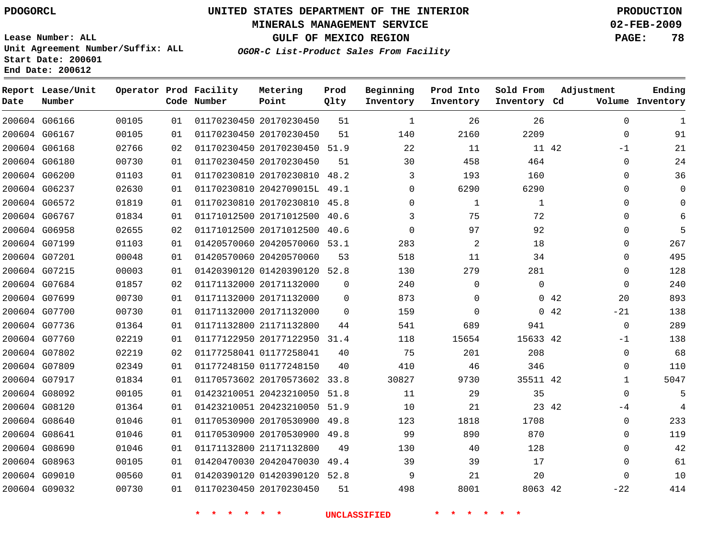#### **MINERALS MANAGEMENT SERVICE 02-FEB-2009**

**GULF OF MEXICO REGION PAGE: 78 OGOR-C List-Product Sales From Facility**

**Lease Number: ALL Unit Agreement Number/Suffix: ALL Start Date: 200601 End Date: 200612**

| Date | Report Lease/Unit<br>Number |       |    | Operator Prod Facility<br>Code Number | Metering<br>Point            | Prod<br>Qlty | Beginning<br>Inventory | Prod Into<br>Inventory | Sold From<br>Inventory Cd | Adjustment    | Ending<br>Volume Inventory |
|------|-----------------------------|-------|----|---------------------------------------|------------------------------|--------------|------------------------|------------------------|---------------------------|---------------|----------------------------|
|      | 200604 G06166               | 00105 | 01 |                                       | 01170230450 20170230450      | 51           | 1                      | 26                     | 26                        | $\Omega$      | 1                          |
|      | 200604 G06167               | 00105 | 01 |                                       | 01170230450 20170230450      | 51           | 140                    | 2160                   | 2209                      | $\mathbf 0$   | 91                         |
|      | 200604 G06168               | 02766 | 02 |                                       | 01170230450 20170230450 51.9 |              | 22                     | 11                     | 11 42                     | $-1$          | 21                         |
|      | 200604 G06180               | 00730 | 01 |                                       | 01170230450 20170230450      | 51           | 30                     | 458                    | 464                       | $\mathbf 0$   | 24                         |
|      | 200604 G06200               | 01103 | 01 |                                       | 01170230810 20170230810 48.2 |              | 3                      | 193                    | 160                       | $\Omega$      | 36                         |
|      | 200604 G06237               | 02630 | 01 |                                       | 01170230810 2042709015L 49.1 |              | $\mathbf 0$            | 6290                   | 6290                      | $\mathbf 0$   | $\mathbf 0$                |
|      | 200604 G06572               | 01819 | 01 |                                       | 01170230810 20170230810 45.8 |              | $\Omega$               | 1                      | 1                         | 0             | $\mathbf 0$                |
|      | 200604 G06767               | 01834 | 01 |                                       | 01171012500 20171012500      | 40.6         | 3                      | 75                     | 72                        | 0             | 6                          |
|      | 200604 G06958               | 02655 | 02 |                                       | 01171012500 20171012500      | 40.6         | $\Omega$               | 97                     | 92                        | $\mathbf 0$   | 5                          |
|      | 200604 G07199               | 01103 | 01 |                                       | 01420570060 20420570060 53.1 |              | 283                    | 2                      | 18                        | 0             | 267                        |
|      | 200604 G07201               | 00048 | 01 |                                       | 01420570060 20420570060      | 53           | 518                    | 11                     | 34                        | $\mathbf 0$   | 495                        |
|      | 200604 G07215               | 00003 | 01 |                                       | 01420390120 01420390120 52.8 |              | 130                    | 279                    | 281                       | $\mathbf 0$   | 128                        |
|      | 200604 G07684               | 01857 | 02 |                                       | 01171132000 20171132000      | $\Omega$     | 240                    | $\Omega$               | $\Omega$                  | $\Omega$      | 240                        |
|      | 200604 G07699               | 00730 | 01 |                                       | 01171132000 20171132000      | $\Omega$     | 873                    | 0                      |                           | 0.42<br>20    | 893                        |
|      | 200604 G07700               | 00730 | 01 |                                       | 01171132000 20171132000      | $\Omega$     | 159                    | $\Omega$               |                           | 0.42<br>$-21$ | 138                        |
|      | 200604 G07736               | 01364 | 01 |                                       | 01171132800 21171132800      | 44           | 541                    | 689                    | 941                       | $\mathbf 0$   | 289                        |
|      | 200604 G07760               | 02219 | 01 |                                       | 01177122950 20177122950 31.4 |              | 118                    | 15654                  | 15633 42                  | $-1$          | 138                        |
|      | 200604 G07802               | 02219 | 02 |                                       | 01177258041 01177258041      | 40           | 75                     | 201                    | 208                       | $\mathbf 0$   | 68                         |
|      | 200604 G07809               | 02349 | 01 |                                       | 01177248150 01177248150      | 40           | 410                    | 46                     | 346                       | $\mathbf 0$   | 110                        |
|      | 200604 G07917               | 01834 | 01 |                                       | 01170573602 20170573602      | 33.8         | 30827                  | 9730                   | 35511 42                  | $\mathbf{1}$  | 5047                       |
|      | 200604 G08092               | 00105 | 01 |                                       | 01423210051 20423210050      | 51.8         | 11                     | 29                     | 35                        | $\mathbf 0$   | 5                          |
|      | 200604 G08120               | 01364 | 01 |                                       | 01423210051 20423210050 51.9 |              | 10                     | 21                     | 23 42                     | -4            | $\overline{4}$             |
|      | 200604 G08640               | 01046 | 01 |                                       | 01170530900 20170530900 49.8 |              | 123                    | 1818                   | 1708                      | 0             | 233                        |
|      | 200604 G08641               | 01046 | 01 |                                       | 01170530900 20170530900 49.8 |              | 99                     | 890                    | 870                       | 0             | 119                        |
|      | 200604 G08690               | 01046 | 01 |                                       | 01171132800 21171132800      | 49           | 130                    | 40                     | 128                       | $\mathbf 0$   | 42                         |
|      | 200604 G08963               | 00105 | 01 |                                       | 01420470030 20420470030 49.4 |              | 39                     | 39                     | 17                        | $\mathbf 0$   | 61                         |
|      | 200604 G09010               | 00560 | 01 |                                       | 01420390120 01420390120 52.8 |              | 9                      | 21                     | 20                        | 0             | 10                         |
|      | 200604 G09032               | 00730 | 01 |                                       | 01170230450 20170230450      | 51           | 498                    | 8001                   | 8063 42                   | $-22$         | 414                        |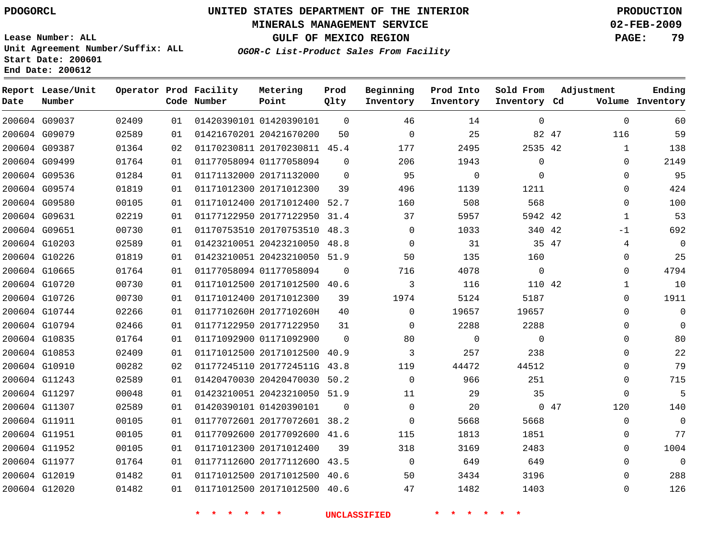#### **MINERALS MANAGEMENT SERVICE 02-FEB-2009**

**GULF OF MEXICO REGION PAGE: 79**

**Lease Number: ALL Unit Agreement Number/Suffix: ALL Start Date: 200601 End Date: 200612**

**OGOR-C List-Product Sales From Facility**

| Date | Report Lease/Unit<br>Number |       |    | Operator Prod Facility<br>Code Number | Metering<br>Point            | Prod<br>Qlty | Beginning<br>Inventory | Prod Into<br>Inventory | Sold From<br>Inventory Cd | Adjustment | Ending<br>Volume Inventory |
|------|-----------------------------|-------|----|---------------------------------------|------------------------------|--------------|------------------------|------------------------|---------------------------|------------|----------------------------|
|      | 200604 G09037               | 02409 | 01 |                                       | 01420390101 01420390101      | $\Omega$     | 46                     | 14                     | 0                         |            | $\mathbf{0}$<br>60         |
|      | 200604 G09079               | 02589 | 01 |                                       | 01421670201 20421670200      | 50           | $\mathbf 0$            | 25                     | 82 47                     |            | 59<br>116                  |
|      | 200604 G09387               | 01364 | 02 |                                       | 01170230811 20170230811 45.4 |              | 177                    | 2495                   | 2535 42                   |            | $\mathbf{1}$<br>138        |
|      | 200604 G09499               | 01764 | 01 |                                       | 01177058094 01177058094      | $\Omega$     | 206                    | 1943                   | 0                         |            | 2149<br>$\mathbf{0}$       |
|      | 200604 G09536               | 01284 | 01 |                                       | 01171132000 20171132000      | $\Omega$     | 95                     | 0                      | $\Omega$                  |            | 95<br>$\Omega$             |
|      | 200604 G09574               | 01819 | 01 |                                       | 01171012300 20171012300      | 39           | 496                    | 1139                   | 1211                      |            | 424<br>$\mathbf 0$         |
|      | 200604 G09580               | 00105 | 01 |                                       | 01171012400 20171012400 52.7 |              | 160                    | 508                    | 568                       |            | 100<br>$\Omega$            |
|      | 200604 G09631               | 02219 | 01 |                                       | 01177122950 20177122950      | 31.4         | 37                     | 5957                   | 5942 42                   |            | 53<br>$\mathbf{1}$         |
|      | 200604 G09651               | 00730 | 01 |                                       | 01170753510 20170753510 48.3 |              | $\Omega$               | 1033                   | 340 42                    |            | 692<br>$-1$                |
|      | 200604 G10203               | 02589 | 01 |                                       | 01423210051 20423210050 48.8 |              | 0                      | 31                     | 35 47                     |            | $\mathbf 0$<br>4           |
|      | 200604 G10226               | 01819 | 01 |                                       | 01423210051 20423210050 51.9 |              | 50                     | 135                    | 160                       |            | 25<br>0                    |
|      | 200604 G10665               | 01764 | 01 |                                       | 01177058094 01177058094      | 0            | 716                    | 4078                   | $\mathbf 0$               |            | 4794<br>$\mathbf 0$        |
|      | 200604 G10720               | 00730 | 01 |                                       | 01171012500 20171012500 40.6 |              | 3                      | 116                    | 110 42                    |            | 10<br>1                    |
|      | 200604 G10726               | 00730 | 01 |                                       | 01171012400 20171012300      | 39           | 1974                   | 5124                   | 5187                      |            | 1911<br>$\mathbf{0}$       |
|      | 200604 G10744               | 02266 | 01 |                                       | 0117710260H 2017710260H      | 40           | $\Omega$               | 19657                  | 19657                     |            | $\Omega$<br>$\Omega$       |
|      | 200604 G10794               | 02466 | 01 |                                       | 01177122950 20177122950      | 31           | $\Omega$               | 2288                   | 2288                      |            | $\mathbf{0}$<br>$\Omega$   |
|      | 200604 G10835               | 01764 | 01 |                                       | 01171092900 01171092900      | $\Omega$     | 80                     | $\Omega$               | $\Omega$                  |            | 80<br>$\Omega$             |
|      | 200604 G10853               | 02409 | 01 |                                       | 01171012500 20171012500 40.9 |              | 3                      | 257                    | 238                       |            | 22<br>$\Omega$             |
|      | 200604 G10910               | 00282 | 02 |                                       | 01177245110 2017724511G 43.8 |              | 119                    | 44472                  | 44512                     |            | 79<br>0                    |
|      | 200604 G11243               | 02589 | 01 |                                       | 01420470030 20420470030      | 50.2         | $\mathbf 0$            | 966                    | 251                       |            | 715<br>0                   |
|      | 200604 G11297               | 00048 | 01 |                                       | 01423210051 20423210050 51.9 |              | 11                     | 29                     | 35                        |            | 5<br>0                     |
|      | 200604 G11307               | 02589 | 01 |                                       | 01420390101 01420390101      | $\Omega$     | $\Omega$               | 20                     |                           | 047        | 120<br>140                 |
|      | 200604 G11911               | 00105 | 01 |                                       | 01177072601 20177072601 38.2 |              | $\Omega$               | 5668                   | 5668                      |            | $\Omega$<br>$\Omega$       |
|      | 200604 G11951               | 00105 | 01 |                                       | 01177092600 20177092600 41.6 |              | 115                    | 1813                   | 1851                      |            | 77<br>0                    |
|      | 200604 G11952               | 00105 | 01 |                                       | 01171012300 20171012400      | 39           | 318                    | 3169                   | 2483                      |            | 1004<br>$\Omega$           |
|      | 200604 G11977               | 01764 | 01 |                                       | 01177112600 20177112600 43.5 |              | $\Omega$               | 649                    | 649                       |            | $\Omega$<br>$\Omega$       |
|      | 200604 G12019               | 01482 | 01 |                                       | 01171012500 20171012500 40.6 |              | 50                     | 3434                   | 3196                      |            | 288<br>$\Omega$            |
|      | 200604 G12020               | 01482 | 01 |                                       | 01171012500 20171012500 40.6 |              | 47                     | 1482                   | 1403                      |            | 126<br>$\Omega$            |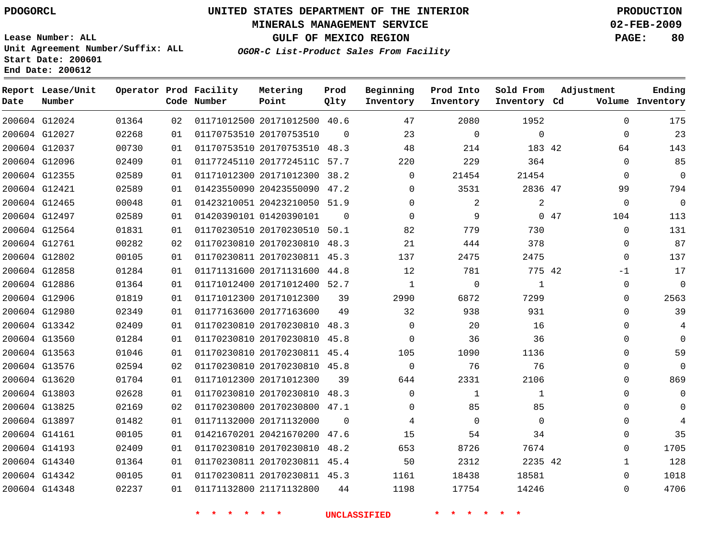#### **MINERALS MANAGEMENT SERVICE 02-FEB-2009**

**GULF OF MEXICO REGION PAGE: 80**

**Lease Number: ALL Unit Agreement Number/Suffix: ALL Start Date: 200601 End Date: 200612**

**OGOR-C List-Product Sales From Facility**

| Date | Report Lease/Unit<br>Number |       |    | Operator Prod Facility<br>Code Number | Metering<br>Point            | Prod<br>Qlty | Beginning<br>Inventory | Prod Into<br>Inventory | Sold From<br>Inventory Cd | Adjustment  | Ending<br>Volume Inventory |
|------|-----------------------------|-------|----|---------------------------------------|------------------------------|--------------|------------------------|------------------------|---------------------------|-------------|----------------------------|
|      | 200604 G12024               | 01364 | 02 |                                       | 01171012500 20171012500 40.6 |              | 47                     | 2080                   | 1952                      | $\Omega$    | 175                        |
|      | 200604 G12027               | 02268 | 01 |                                       | 01170753510 20170753510      | $\Omega$     | 23                     | $\mathbf 0$            | $\mathbf 0$               | $\mathbf 0$ | 23                         |
|      | 200604 G12037               | 00730 | 01 |                                       | 01170753510 20170753510 48.3 |              | 48                     | 214                    | 183 42                    | 64          | 143                        |
|      | 200604 G12096               | 02409 | 01 |                                       | 01177245110 2017724511C 57.7 |              | 220                    | 229                    | 364                       | $\mathbf 0$ | 85                         |
|      | 200604 G12355               | 02589 | 01 |                                       | 01171012300 20171012300 38.2 |              | $\mathbf 0$            | 21454                  | 21454                     | 0           | $\mathbf 0$                |
|      | 200604 G12421               | 02589 | 01 |                                       | 01423550090 20423550090 47.2 |              | 0                      | 3531                   | 2836 47                   | 99          | 794                        |
|      | 200604 G12465               | 00048 | 01 |                                       | 01423210051 20423210050 51.9 |              | $\Omega$               | 2                      | $\overline{a}$            | $\mathbf 0$ | $\mathbf{0}$               |
|      | 200604 G12497               | 02589 | 01 |                                       | 01420390101 01420390101      | $\Omega$     | $\Omega$               | 9                      |                           | 047<br>104  | 113                        |
|      | 200604 G12564               | 01831 | 01 |                                       | 01170230510 20170230510 50.1 |              | 82                     | 779                    | 730                       | 0           | 131                        |
|      | 200604 G12761               | 00282 | 02 |                                       | 01170230810 20170230810 48.3 |              | 21                     | 444                    | 378                       | 0           | 87                         |
|      | 200604 G12802               | 00105 | 01 |                                       | 01170230811 20170230811 45.3 |              | 137                    | 2475                   | 2475                      | $\Omega$    | 137                        |
|      | 200604 G12858               | 01284 | 01 |                                       | 01171131600 20171131600 44.8 |              | 12                     | 781                    | 775 42                    | $-1$        | 17                         |
|      | 200604 G12886               | 01364 | 01 |                                       | 01171012400 20171012400 52.7 |              | $\mathbf{1}$           | $\mathbf 0$            | 1                         | 0           | $\mathbf{0}$               |
|      | 200604 G12906               | 01819 | 01 |                                       | 01171012300 20171012300      | 39           | 2990                   | 6872                   | 7299                      | $\Omega$    | 2563                       |
|      | 200604 G12980               | 02349 | 01 |                                       | 01177163600 20177163600      | 49           | 32                     | 938                    | 931                       | $\mathbf 0$ | 39                         |
|      | 200604 G13342               | 02409 | 01 |                                       | 01170230810 20170230810      | 48.3         | $\mathbf 0$            | 20                     | 16                        | $\mathbf 0$ | 4                          |
|      | 200604 G13560               | 01284 | 01 |                                       | 01170230810 20170230810 45.8 |              | $\Omega$               | 36                     | 36                        | $\Omega$    | $\Omega$                   |
|      | 200604 G13563               | 01046 | 01 |                                       | 01170230810 20170230811 45.4 |              | 105                    | 1090                   | 1136                      | $\Omega$    | 59                         |
|      | 200604 G13576               | 02594 | 02 |                                       | 01170230810 20170230810 45.8 |              | $\mathbf 0$            | 76                     | 76                        | 0           | $\mathbf 0$                |
|      | 200604 G13620               | 01704 | 01 |                                       | 01171012300 20171012300      | 39           | 644                    | 2331                   | 2106                      | $\Omega$    | 869                        |
|      | 200604 G13803               | 02628 | 01 |                                       | 01170230810 20170230810 48.3 |              | $\Omega$               | $\mathbf{1}$           | 1                         | $\Omega$    | $\Omega$                   |
|      | 200604 G13825               | 02169 | 02 |                                       | 01170230800 20170230800 47.1 |              | $\mathbf 0$            | 85                     | 85                        | $\mathbf 0$ | $\Omega$                   |
|      | 200604 G13897               | 01482 | 01 |                                       | 01171132000 20171132000      | $\Omega$     | 4                      | $\mathbf 0$            | $\Omega$                  | 0           | 4                          |
|      | 200604 G14161               | 00105 | 01 |                                       | 01421670201 20421670200      | 47.6         | 15                     | 54                     | 34                        | $\mathbf 0$ | 35                         |
|      | 200604 G14193               | 02409 | 01 |                                       | 01170230810 20170230810 48.2 |              | 653                    | 8726                   | 7674                      | 0           | 1705                       |
|      | 200604 G14340               | 01364 | 01 |                                       | 01170230811 20170230811 45.4 |              | 50                     | 2312                   | 2235 42                   | 1           | 128                        |
|      | 200604 G14342               | 00105 | 01 |                                       | 01170230811 20170230811 45.3 |              | 1161                   | 18438                  | 18581                     | $\Omega$    | 1018                       |
|      | 200604 G14348               | 02237 | 01 |                                       | 01171132800 21171132800      | 44           | 1198                   | 17754                  | 14246                     | $\Omega$    | 4706                       |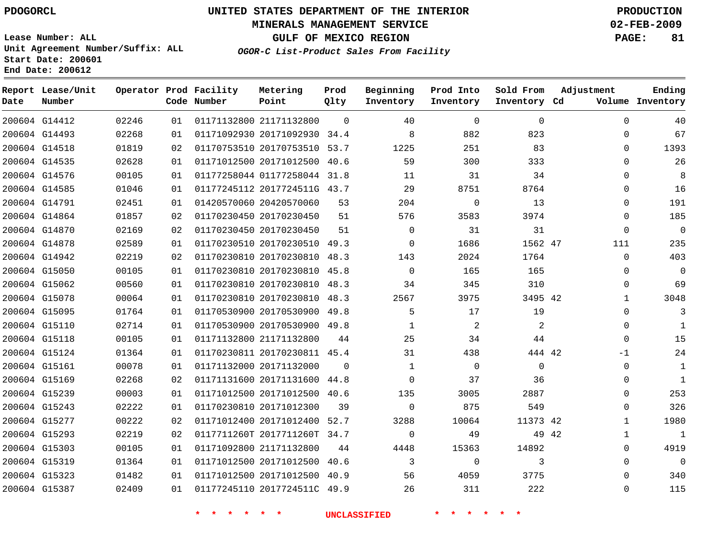#### **MINERALS MANAGEMENT SERVICE 02-FEB-2009**

**GULF OF MEXICO REGION PAGE: 81**

**Lease Number: ALL Unit Agreement Number/Suffix: ALL Start Date: 200601 End Date: 200612**

**OGOR-C List-Product Sales From Facility**

| Date | Report Lease/Unit<br>Number |       |    | Operator Prod Facility<br>Code Number | Metering<br>Point            | Prod<br>Qlty | Beginning<br>Inventory | Prod Into<br>Inventory | Sold From<br>Inventory Cd | Adjustment   | Ending<br>Volume Inventory |
|------|-----------------------------|-------|----|---------------------------------------|------------------------------|--------------|------------------------|------------------------|---------------------------|--------------|----------------------------|
|      | 200604 G14412               | 02246 | 01 |                                       | 01171132800 21171132800      | $\Omega$     | 40                     | $\mathbf 0$            | 0                         | $\Omega$     | 40                         |
|      | 200604 G14493               | 02268 | 01 |                                       | 01171092930 20171092930 34.4 |              | 8                      | 882                    | 823                       | $\Omega$     | 67                         |
|      | 200604 G14518               | 01819 | 02 |                                       | 01170753510 20170753510 53.7 |              | 1225                   | 251                    | 83                        | $\Omega$     | 1393                       |
|      | 200604 G14535               | 02628 | 01 |                                       | 01171012500 20171012500 40.6 |              | 59                     | 300                    | 333                       | $\Omega$     | 26                         |
|      | 200604 G14576               | 00105 | 01 |                                       | 01177258044 01177258044 31.8 |              | 11                     | 31                     | 34                        | $\Omega$     | 8                          |
|      | 200604 G14585               | 01046 | 01 |                                       | 01177245112 2017724511G 43.7 |              | 29                     | 8751                   | 8764                      | 0            | 16                         |
|      | 200604 G14791               | 02451 | 01 |                                       | 01420570060 20420570060      | 53           | 204                    | $\mathbf 0$            | 13                        | $\Omega$     | 191                        |
|      | 200604 G14864               | 01857 | 02 |                                       | 01170230450 20170230450      | 51           | 576                    | 3583                   | 3974                      | $\Omega$     | 185                        |
|      | 200604 G14870               | 02169 | 02 |                                       | 01170230450 20170230450      | 51           | $\Omega$               | 31                     | 31                        | $\Omega$     | $\overline{0}$             |
|      | 200604 G14878               | 02589 | 01 |                                       | 01170230510 20170230510 49.3 |              | $\Omega$               | 1686                   | 1562 47                   | 111          | 235                        |
|      | 200604 G14942               | 02219 | 02 |                                       | 01170230810 20170230810 48.3 |              | 143                    | 2024                   | 1764                      | 0            | 403                        |
|      | 200604 G15050               | 00105 | 01 |                                       | 01170230810 20170230810 45.8 |              | $\Omega$               | 165                    | 165                       | 0            | 0                          |
|      | 200604 G15062               | 00560 | 01 |                                       | 01170230810 20170230810 48.3 |              | 34                     | 345                    | 310                       | $\Omega$     | 69                         |
|      | 200604 G15078               | 00064 | 01 |                                       | 01170230810 20170230810 48.3 |              | 2567                   | 3975                   | 3495 42                   | $\mathbf{1}$ | 3048                       |
|      | 200604 G15095               | 01764 | 01 |                                       | 01170530900 20170530900 49.8 |              | 5                      | 17                     | 19                        | $\Omega$     | 3                          |
|      | 200604 G15110               | 02714 | 01 |                                       | 01170530900 20170530900 49.8 |              | $\mathbf{1}$           | 2                      | $\overline{2}$            | $\Omega$     | $\mathbf{1}$               |
|      | 200604 G15118               | 00105 | 01 |                                       | 01171132800 21171132800      | 44           | 25                     | 34                     | 44                        | 0            | 15                         |
|      | 200604 G15124               | 01364 | 01 |                                       | 01170230811 20170230811 45.4 |              | 31                     | 438                    | 444 42                    | -1           | 24                         |
|      | 200604 G15161               | 00078 | 01 |                                       | 01171132000 20171132000      | $\Omega$     | $\mathbf{1}$           | $\mathbf 0$            | $\mathbf 0$               | 0            | 1                          |
|      | 200604 G15169               | 02268 | 02 |                                       | 01171131600 20171131600 44.8 |              | $\Omega$               | 37                     | 36                        | 0            | $\mathbf{1}$               |
|      | 200604 G15239               | 00003 | 01 |                                       | 01171012500 20171012500 40.6 |              | 135                    | 3005                   | 2887                      | $\Omega$     | 253                        |
|      | 200604 G15243               | 02222 | 01 |                                       | 01170230810 20171012300      | 39           | $\Omega$               | 875                    | 549                       | $\Omega$     | 326                        |
|      | 200604 G15277               | 00222 | 02 |                                       | 01171012400 20171012400 52.7 |              | 3288                   | 10064                  | 11373 42                  | 1            | 1980                       |
|      | 200604 G15293               | 02219 | 02 |                                       | 0117711260T 2017711260T 34.7 |              | $\mathbf 0$            | 49                     | 49 42                     | 1            | $\mathbf 1$                |
|      | 200604 G15303               | 00105 | 01 |                                       | 01171092800 21171132800      | 44           | 4448                   | 15363                  | 14892                     | $\Omega$     | 4919                       |
|      | 200604 G15319               | 01364 | 01 |                                       | 01171012500 20171012500 40.6 |              | 3                      | $\mathbf 0$            | 3                         | $\Omega$     | $\mathbf 0$                |
|      | 200604 G15323               | 01482 | 01 |                                       | 01171012500 20171012500 40.9 |              | 56                     | 4059                   | 3775                      | $\Omega$     | 340                        |
|      | 200604 G15387               | 02409 | 01 |                                       | 01177245110 2017724511C 49.9 |              | 26                     | 311                    | 222                       | $\Omega$     | 115                        |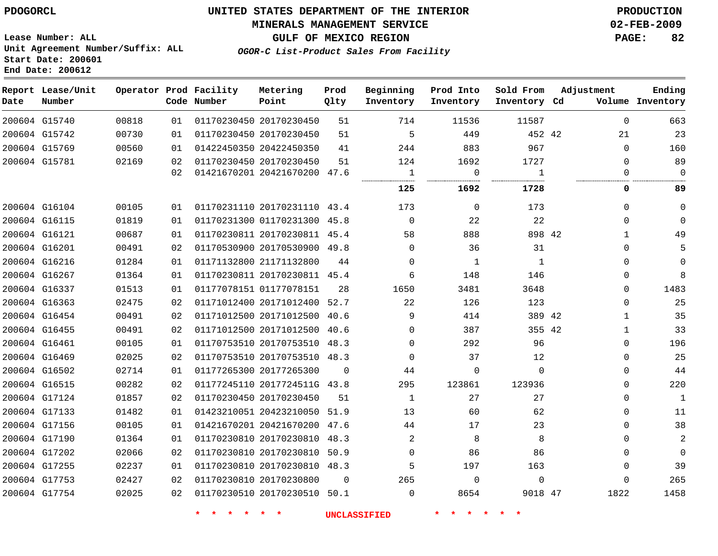#### **MINERALS MANAGEMENT SERVICE 02-FEB-2009**

**GULF OF MEXICO REGION PAGE: 82**

**Lease Number: ALL Unit Agreement Number/Suffix: ALL Start Date: 200601 End Date: 200612**

**OGOR-C List-Product Sales From Facility**

| Date | Report Lease/Unit<br>Number |       |    | Operator Prod Facility<br>Code Number | Metering<br>Point            | Prod<br>Qlty | Beginning<br>Inventory | Prod Into<br>Inventory | Sold From<br>Inventory Cd | Adjustment   | Ending<br>Volume Inventory |
|------|-----------------------------|-------|----|---------------------------------------|------------------------------|--------------|------------------------|------------------------|---------------------------|--------------|----------------------------|
|      | 200604 G15740               | 00818 | 01 |                                       | 01170230450 20170230450      | 51           | 714                    | 11536                  | 11587                     | $\Omega$     | 663                        |
|      | 200604 G15742               | 00730 | 01 |                                       | 01170230450 20170230450      | 51           | 5                      | 449                    | 452 42                    | 21           | 23                         |
|      | 200604 G15769               | 00560 | 01 |                                       | 01422450350 20422450350      | 41           | 244                    | 883                    | 967                       | $\Omega$     | 160                        |
|      | 200604 G15781               | 02169 | 02 |                                       | 01170230450 20170230450      | 51           | 124                    | 1692                   | 1727                      | $\Omega$     | 89                         |
|      |                             |       | 02 |                                       | 01421670201 20421670200 47.6 |              | 1                      | $\mathbf 0$            | $\mathbf{1}$<br>.         | $\Omega$     | $\Omega$                   |
|      |                             |       |    |                                       |                              |              | 125                    | 1692                   | 1728                      | 0            | 89                         |
|      | 200604 G16104               | 00105 | 01 |                                       | 01170231110 20170231110 43.4 |              | 173                    | $\mathbf{0}$           | 173                       | $\mathbf{0}$ | $\Omega$                   |
|      | 200604 G16115               | 01819 | 01 |                                       | 01170231300 01170231300 45.8 |              | $\mathbf 0$            | 22                     | 22                        | $\mathbf{0}$ | $\Omega$                   |
|      | 200604 G16121               | 00687 | 01 |                                       | 01170230811 20170230811 45.4 |              | 58                     | 888                    | 898 42                    | $\mathbf{1}$ | 49                         |
|      | 200604 G16201               | 00491 | 02 |                                       | 01170530900 20170530900 49.8 |              | $\Omega$               | 36                     | 31                        | $\Omega$     | 5                          |
|      | 200604 G16216               | 01284 | 01 |                                       | 01171132800 21171132800      | 44           | $\mathbf 0$            | $\mathbf{1}$           | 1                         | $\mathbf 0$  | $\Omega$                   |
|      | 200604 G16267               | 01364 | 01 |                                       | 01170230811 20170230811 45.4 |              | 6                      | 148                    | 146                       | 0            | 8                          |
|      | 200604 G16337               | 01513 | 01 |                                       | 01177078151 01177078151      | 28           | 1650                   | 3481                   | 3648                      | 0            | 1483                       |
|      | 200604 G16363               | 02475 | 02 |                                       | 01171012400 20171012400 52.7 |              | 22                     | 126                    | 123                       | $\mathbf{0}$ | 25                         |
|      | 200604 G16454               | 00491 | 02 |                                       | 01171012500 20171012500      | 40.6         | 9                      | 414                    | 389 42                    | $\mathbf{1}$ | 35                         |
|      | 200604 G16455               | 00491 | 02 |                                       | 01171012500 20171012500      | 40.6         | $\mathbf 0$            | 387                    | 355 42                    | $\mathbf{1}$ | 33                         |
|      | 200604 G16461               | 00105 | 01 |                                       | 01170753510 20170753510 48.3 |              | $\Omega$               | 292                    | 96                        | $\mathbf{0}$ | 196                        |
|      | 200604 G16469               | 02025 | 02 |                                       | 01170753510 20170753510 48.3 |              | $\Omega$               | 37                     | 12                        | $\Omega$     | 25                         |
|      | 200604 G16502               | 02714 | 01 |                                       | 01177265300 20177265300      | $\Omega$     | 44                     | $\mathbf 0$            | $\Omega$                  | $\Omega$     | 44                         |
|      | 200604 G16515               | 00282 | 02 |                                       | 01177245110 2017724511G 43.8 |              | 295                    | 123861                 | 123936                    | $\mathbf{0}$ | 220                        |
|      | 200604 G17124               | 01857 | 02 |                                       | 01170230450 20170230450      | 51           | $\mathbf{1}$           | 27                     | 27                        | $\Omega$     | $1\,$                      |
|      | 200604 G17133               | 01482 | 01 |                                       | 01423210051 20423210050 51.9 |              | 13                     | 60                     | 62                        | $\mathbf{0}$ | 11                         |
|      | 200604 G17156               | 00105 | 01 |                                       | 01421670201 20421670200 47.6 |              | 44                     | 17                     | 23                        | $\Omega$     | 38                         |
|      | 200604 G17190               | 01364 | 01 |                                       | 01170230810 20170230810      | 48.3         | 2                      | 8                      | 8                         | $\mathbf{0}$ | $\overline{2}$             |
|      | 200604 G17202               | 02066 | 02 |                                       | 01170230810 20170230810 50.9 |              | $\Omega$               | 86                     | 86                        | $\Omega$     | $\mathbf 0$                |
|      | 200604 G17255               | 02237 | 01 |                                       | 01170230810 20170230810 48.3 |              | 5                      | 197                    | 163                       | 0            | 39                         |
|      | 200604 G17753               | 02427 | 02 |                                       | 01170230810 20170230800      | $\Omega$     | 265                    | $\mathbf 0$            | $\mathbf 0$               | $\Omega$     | 265                        |
|      | 200604 G17754               | 02025 | 02 |                                       | 01170230510 20170230510 50.1 |              | $\Omega$               | 8654                   | 9018 47                   | 1822         | 1458                       |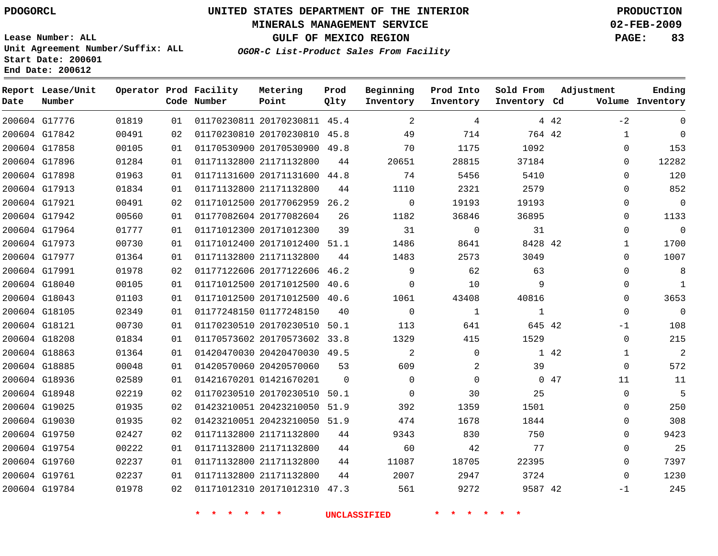#### **MINERALS MANAGEMENT SERVICE 02-FEB-2009**

**GULF OF MEXICO REGION PAGE: 83**

**Lease Number: ALL Unit Agreement Number/Suffix: ALL Start Date: 200601 End Date: 200612**

**OGOR-C List-Product Sales From Facility**

| Date          | Report Lease/Unit<br>Number |       |    | Operator Prod Facility<br>Code Number | Metering<br>Point            | Prod<br>Qlty | Beginning<br>Inventory | Prod Into<br>Inventory | Sold From<br>Inventory Cd | Adjustment |              | Ending<br>Volume Inventory |
|---------------|-----------------------------|-------|----|---------------------------------------|------------------------------|--------------|------------------------|------------------------|---------------------------|------------|--------------|----------------------------|
|               | 200604 G17776               | 01819 | 01 |                                       | 01170230811 20170230811 45.4 |              | 2                      | 4                      |                           | 4 4 2      | $-2$         | $\Omega$                   |
|               | 200604 G17842               | 00491 | 02 |                                       | 01170230810 20170230810 45.8 |              | 49                     | 714                    | 764 42                    |            | $\mathbf{1}$ | $\mathbf 0$                |
|               | 200604 G17858               | 00105 | 01 |                                       | 01170530900 20170530900 49.8 |              | 70                     | 1175                   | 1092                      |            | 0            | 153                        |
|               | 200604 G17896               | 01284 | 01 |                                       | 01171132800 21171132800      | 44           | 20651                  | 28815                  | 37184                     |            | $\Omega$     | 12282                      |
|               | 200604 G17898               | 01963 | 01 |                                       | 01171131600 20171131600 44.8 |              | 74                     | 5456                   | 5410                      |            | $\Omega$     | 120                        |
|               | 200604 G17913               | 01834 | 01 |                                       | 01171132800 21171132800      | 44           | 1110                   | 2321                   | 2579                      |            | 0            | 852                        |
|               | 200604 G17921               | 00491 | 02 |                                       | 01171012500 20177062959 26.2 |              | $\mathbf 0$            | 19193                  | 19193                     |            | 0            | $\mathbf 0$                |
|               | 200604 G17942               | 00560 | 01 |                                       | 01177082604 20177082604      | 26           | 1182                   | 36846                  | 36895                     |            | 0            | 1133                       |
|               | 200604 G17964               | 01777 | 01 |                                       | 01171012300 20171012300      | 39           | 31                     | $\Omega$               | 31                        |            | $\Omega$     | $\mathbf 0$                |
|               | 200604 G17973               | 00730 | 01 |                                       | 01171012400 20171012400 51.1 |              | 1486                   | 8641                   | 8428 42                   |            | $\mathbf{1}$ | 1700                       |
|               | 200604 G17977               | 01364 | 01 |                                       | 01171132800 21171132800      | 44           | 1483                   | 2573                   | 3049                      |            | $\Omega$     | 1007                       |
|               | 200604 G17991               | 01978 | 02 |                                       | 01177122606 20177122606 46.2 |              | 9                      | 62                     | 63                        |            | 0            | 8                          |
|               | 200604 G18040               | 00105 | 01 |                                       | 01171012500 20171012500 40.6 |              | $\Omega$               | 10                     | 9                         |            | $\Omega$     | $\mathbf{1}$               |
|               | 200604 G18043               | 01103 | 01 |                                       | 01171012500 20171012500 40.6 |              | 1061                   | 43408                  | 40816                     |            | 0            | 3653                       |
|               | 200604 G18105               | 02349 | 01 |                                       | 01177248150 01177248150      | 40           | $\Omega$               | $\mathbf{1}$           | 1                         |            | $\mathbf 0$  | $\overline{0}$             |
|               | 200604 G18121               | 00730 | 01 |                                       | 01170230510 20170230510      | 50.1         | 113                    | 641                    | 645 42                    |            | $-1$         | 108                        |
|               | 200604 G18208               | 01834 | 01 |                                       | 01170573602 20170573602 33.8 |              | 1329                   | 415                    | 1529                      |            | $\mathbf 0$  | 215                        |
|               | 200604 G18863               | 01364 | 01 |                                       | 01420470030 20420470030 49.5 |              | 2                      | $\mathbf 0$            |                           | 1 42       | $\mathbf{1}$ | $\overline{2}$             |
|               | 200604 G18885               | 00048 | 01 |                                       | 01420570060 20420570060      | 53           | 609                    | 2                      | 39                        |            | $\mathbf 0$  | 572                        |
|               | 200604 G18936               | 02589 | 01 |                                       | 01421670201 01421670201      | $\Omega$     | $\Omega$               | $\mathbf 0$            |                           | 047        | 11           | 11                         |
| 200604 G18948 |                             | 02219 | 02 |                                       | 01170230510 20170230510      | 50.1         | $\mathbf 0$            | 30                     | 25                        |            | $\mathbf 0$  | 5                          |
|               | 200604 G19025               | 01935 | 02 |                                       | 01423210051 20423210050      | 51.9         | 392                    | 1359                   | 1501                      |            | $\mathbf 0$  | 250                        |
|               | 200604 G19030               | 01935 | 02 |                                       | 01423210051 20423210050 51.9 |              | 474                    | 1678                   | 1844                      |            | $\Omega$     | 308                        |
|               | 200604 G19750               | 02427 | 02 |                                       | 01171132800 21171132800      | 44           | 9343                   | 830                    | 750                       |            | $\Omega$     | 9423                       |
|               | 200604 G19754               | 00222 | 01 |                                       | 01171132800 21171132800      | 44           | 60                     | 42                     | 77                        |            | 0            | 25                         |
|               | 200604 G19760               | 02237 | 01 |                                       | 01171132800 21171132800      | 44           | 11087                  | 18705                  | 22395                     |            | $\mathbf 0$  | 7397                       |
|               | 200604 G19761               | 02237 | 01 |                                       | 01171132800 21171132800      | 44           | 2007                   | 2947                   | 3724                      |            | $\Omega$     | 1230                       |
|               | 200604 G19784               | 01978 | 02 |                                       | 01171012310 20171012310 47.3 |              | 561                    | 9272                   | 9587 42                   |            | $-1$         | 245                        |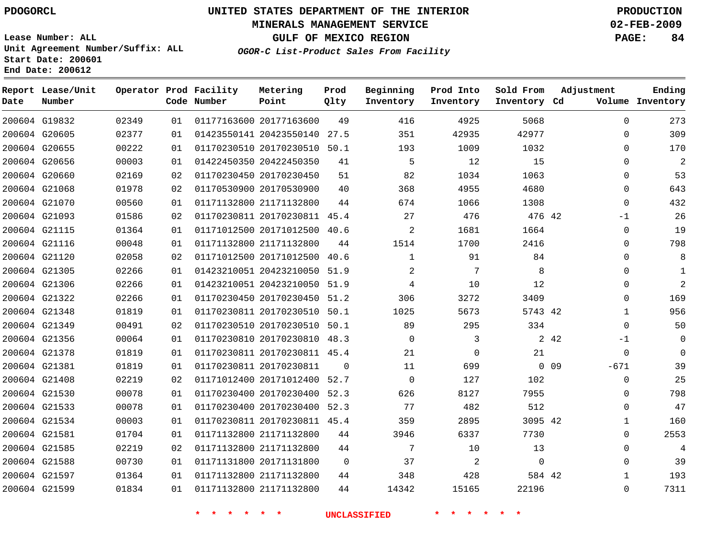#### **MINERALS MANAGEMENT SERVICE 02-FEB-2009**

**GULF OF MEXICO REGION PAGE: 84**

**Lease Number: ALL Unit Agreement Number/Suffix: ALL Start Date: 200601 End Date: 200612**

**OGOR-C List-Product Sales From Facility**

| Date | Report Lease/Unit<br>Number |       |    | Operator Prod Facility<br>Code Number | Metering<br>Point            | Prod<br>Qlty | Beginning<br>Inventory | Prod Into<br>Inventory | Sold From<br>Inventory Cd | Adjustment       | Ending<br>Volume Inventory |
|------|-----------------------------|-------|----|---------------------------------------|------------------------------|--------------|------------------------|------------------------|---------------------------|------------------|----------------------------|
|      | 200604 G19832               | 02349 | 01 |                                       | 01177163600 20177163600      | 49           | 416                    | 4925                   | 5068                      | $\mathbf 0$      | 273                        |
|      | 200604 G20605               | 02377 | 01 |                                       | 01423550141 20423550140 27.5 |              | 351                    | 42935                  | 42977                     | 0                | 309                        |
|      | 200604 G20655               | 00222 | 01 |                                       | 01170230510 20170230510 50.1 |              | 193                    | 1009                   | 1032                      | $\Omega$         | 170                        |
|      | 200604 G20656               | 00003 | 01 |                                       | 01422450350 20422450350      | 41           | 5                      | 12                     | 15                        | $\Omega$         | $\overline{2}$             |
|      | 200604 G20660               | 02169 | 02 |                                       | 01170230450 20170230450      | 51           | 82                     | 1034                   | 1063                      | 0                | 53                         |
|      | 200604 G21068               | 01978 | 02 |                                       | 01170530900 20170530900      | 40           | 368                    | 4955                   | 4680                      | 0                | 643                        |
|      | 200604 G21070               | 00560 | 01 |                                       | 01171132800 21171132800      | 44           | 674                    | 1066                   | 1308                      | $\mathbf 0$      | 432                        |
|      | 200604 G21093               | 01586 | 02 |                                       | 01170230811 20170230811 45.4 |              | 27                     | 476                    | 476 42                    | $-1$             | 26                         |
|      | 200604 G21115               | 01364 | 01 |                                       | 01171012500 20171012500 40.6 |              | $\overline{2}$         | 1681                   | 1664                      | $\Omega$         | 19                         |
|      | 200604 G21116               | 00048 | 01 |                                       | 01171132800 21171132800      | 44           | 1514                   | 1700                   | 2416                      | $\Omega$         | 798                        |
|      | 200604 G21120               | 02058 | 02 |                                       | 01171012500 20171012500 40.6 |              | $\mathbf 1$            | 91                     | 84                        | 0                | 8                          |
|      | 200604 G21305               | 02266 | 01 |                                       | 01423210051 20423210050      | 51.9         | 2                      | 7                      | 8                         | 0                | $\mathbf{1}$               |
|      | 200604 G21306               | 02266 | 01 |                                       | 01423210051 20423210050 51.9 |              | 4                      | 10                     | 12                        | $\Omega$         | 2                          |
|      | 200604 G21322               | 02266 | 01 |                                       | 01170230450 20170230450 51.2 |              | 306                    | 3272                   | 3409                      | 0                | 169                        |
|      | 200604 G21348               | 01819 | 01 |                                       | 01170230811 20170230510 50.1 |              | 1025                   | 5673                   | 5743 42                   | $\mathbf 1$      | 956                        |
|      | 200604 G21349               | 00491 | 02 |                                       | 01170230510 20170230510 50.1 |              | 89                     | 295                    | 334                       | $\Omega$         | 50                         |
|      | 200604 G21356               | 00064 | 01 |                                       | 01170230810 20170230810 48.3 |              | $\Omega$               | 3                      |                           | 2 4 2<br>-1      | 0                          |
|      | 200604 G21378               | 01819 | 01 |                                       | 01170230811 20170230811 45.4 |              | 21                     | $\mathbf 0$            | 21                        | 0                | $\Omega$                   |
|      | 200604 G21381               | 01819 | 01 |                                       | 01170230811 20170230811      | $\Omega$     | 11                     | 699                    |                           | $0$ 09<br>$-671$ | 39                         |
|      | 200604 G21408               | 02219 | 02 |                                       | 01171012400 20171012400      | 52.7         | $\mathbf 0$            | 127                    | 102                       | 0                | 25                         |
|      | 200604 G21530               | 00078 | 01 |                                       | 01170230400 20170230400 52.3 |              | 626                    | 8127                   | 7955                      | $\Omega$         | 798                        |
|      | 200604 G21533               | 00078 | 01 |                                       | 01170230400 20170230400 52.3 |              | 77                     | 482                    | 512                       | $\Omega$         | 47                         |
|      | 200604 G21534               | 00003 | 01 |                                       | 01170230811 20170230811 45.4 |              | 359                    | 2895                   | 3095 42                   | 1                | 160                        |
|      | 200604 G21581               | 01704 | 01 |                                       | 01171132800 21171132800      | 44           | 3946                   | 6337                   | 7730                      | 0                | 2553                       |
|      | 200604 G21585               | 02219 | 02 |                                       | 01171132800 21171132800      | 44           | 7                      | 10                     | 13                        | $\Omega$         | 4                          |
|      | 200604 G21588               | 00730 | 01 |                                       | 01171131800 20171131800      | $\Omega$     | 37                     | 2                      | $\mathbf 0$               | 0                | 39                         |
|      | 200604 G21597               | 01364 | 01 |                                       | 01171132800 21171132800      | 44           | 348                    | 428                    | 584 42                    | $\mathbf{1}$     | 193                        |
|      | 200604 G21599               | 01834 | 01 |                                       | 01171132800 21171132800      | 44           | 14342                  | 15165                  | 22196                     | $\Omega$         | 7311                       |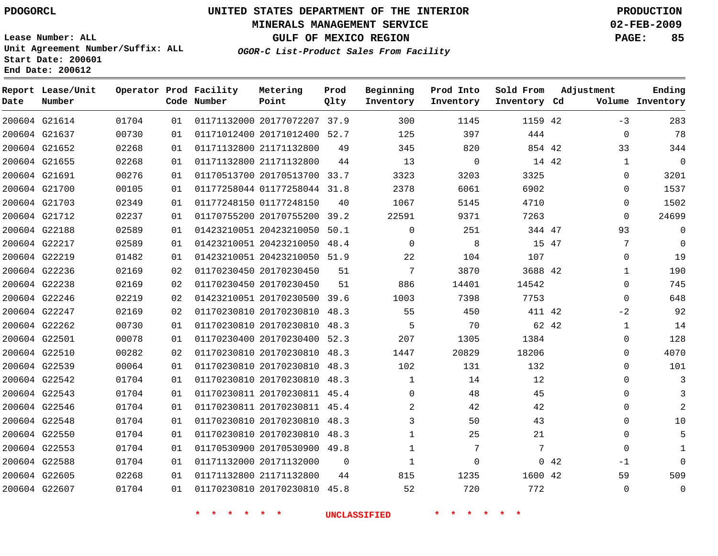#### **MINERALS MANAGEMENT SERVICE 02-FEB-2009**

**GULF OF MEXICO REGION PAGE: 85**

**Lease Number: ALL Unit Agreement Number/Suffix: ALL Start Date: 200601 End Date: 200612**

**OGOR-C List-Product Sales From Facility**

| Date | Report Lease/Unit<br>Number |       |    | Operator Prod Facility<br>Code Number | Metering<br>Point            | Prod<br>Qlty   | Beginning<br>Inventory | Prod Into<br>Inventory | Sold From<br>Inventory Cd |     | Adjustment   | Ending<br>Volume Inventory |
|------|-----------------------------|-------|----|---------------------------------------|------------------------------|----------------|------------------------|------------------------|---------------------------|-----|--------------|----------------------------|
|      | 200604 G21614               | 01704 | 01 |                                       | 01171132000 20177072207 37.9 |                | 300                    | 1145                   | 1159 42                   |     | $-3$         | 283                        |
|      | 200604 G21637               | 00730 | 01 |                                       | 01171012400 20171012400 52.7 |                | 125                    | 397                    | 444                       |     | $\mathbf 0$  | 78                         |
|      | 200604 G21652               | 02268 | 01 |                                       | 01171132800 21171132800      | 49             | 345                    | 820                    | 854 42                    |     | 33           | 344                        |
|      | 200604 G21655               | 02268 | 01 |                                       | 01171132800 21171132800      | 44             | 13                     | $\mathbf 0$            | 14 42                     |     | $\mathbf{1}$ | $\mathbf 0$                |
|      | 200604 G21691               | 00276 | 01 |                                       | 01170513700 20170513700 33.7 |                | 3323                   | 3203                   | 3325                      |     | $\Omega$     | 3201                       |
|      | 200604 G21700               | 00105 | 01 |                                       | 01177258044 01177258044 31.8 |                | 2378                   | 6061                   | 6902                      |     | $\mathbf 0$  | 1537                       |
|      | 200604 G21703               | 02349 | 01 |                                       | 01177248150 01177248150      | 40             | 1067                   | 5145                   | 4710                      |     | $\Omega$     | 1502                       |
|      | 200604 G21712               | 02237 | 01 |                                       | 01170755200 20170755200      | 39.2           | 22591                  | 9371                   | 7263                      |     | $\Omega$     | 24699                      |
|      | 200604 G22188               | 02589 | 01 |                                       | 01423210051 20423210050      | 50.1           | $\mathbf{0}$           | 251                    | 344 47                    |     | 93           | $\mathbf 0$                |
|      | 200604 G22217               | 02589 | 01 |                                       | 01423210051 20423210050      | 48.4           | $\Omega$               | 8                      | 15 47                     |     | 7            | $\Omega$                   |
|      | 200604 G22219               | 01482 | 01 |                                       | 01423210051 20423210050 51.9 |                | 22                     | 104                    | 107                       |     | $\mathbf{0}$ | 19                         |
|      | 200604 G22236               | 02169 | 02 |                                       | 01170230450 20170230450      | 51             | 7                      | 3870                   | 3688 42                   |     | $\mathbf{1}$ | 190                        |
|      | 200604 G22238               | 02169 | 02 |                                       | 01170230450 20170230450      | 51             | 886                    | 14401                  | 14542                     |     | $\Omega$     | 745                        |
|      | 200604 G22246               | 02219 | 02 |                                       | 01423210051 20170230500 39.6 |                | 1003                   | 7398                   | 7753                      |     | $\mathbf 0$  | 648                        |
|      | 200604 G22247               | 02169 | 02 |                                       | 01170230810 20170230810 48.3 |                | 55                     | 450                    | 411 42                    |     | $-2$         | 92                         |
|      | 200604 G22262               | 00730 | 01 |                                       | 01170230810 20170230810      | 48.3           | 5                      | 70                     | 62 42                     |     | $\mathbf{1}$ | 14                         |
|      | 200604 G22501               | 00078 | 01 |                                       | 01170230400 20170230400 52.3 |                | 207                    | 1305                   | 1384                      |     | 0            | 128                        |
|      | 200604 G22510               | 00282 | 02 |                                       | 01170230810 20170230810      | 48.3           | 1447                   | 20829                  | 18206                     |     | $\Omega$     | 4070                       |
|      | 200604 G22539               | 00064 | 01 |                                       | 01170230810 20170230810 48.3 |                | 102                    | 131                    | 132                       |     | 0            | 101                        |
|      | 200604 G22542               | 01704 | 01 |                                       | 01170230810 20170230810      | 48.3           | $\mathbf{1}$           | 14                     | 12                        |     | $\Omega$     | 3                          |
|      | 200604 G22543               | 01704 | 01 |                                       | 01170230811 20170230811 45.4 |                | $\Omega$               | 48                     | 45                        |     | $\Omega$     | 3                          |
|      | 200604 G22546               | 01704 | 01 |                                       | 01170230811 20170230811 45.4 |                | 2                      | 42                     | 42                        |     | $\Omega$     | $\overline{2}$             |
|      | 200604 G22548               | 01704 | 01 |                                       | 01170230810 20170230810 48.3 |                | 3                      | 50                     | 43                        |     | $\Omega$     | 10                         |
|      | 200604 G22550               | 01704 | 01 |                                       | 01170230810 20170230810      | 48.3           | $\mathbf{1}$           | 25                     | 21                        |     | $\mathbf{0}$ | 5                          |
|      | 200604 G22553               | 01704 | 01 |                                       | 01170530900 20170530900 49.8 |                | $\mathbf{1}$           | 7                      | 7                         |     | $\Omega$     | $\mathbf{1}$               |
|      | 200604 G22588               | 01704 | 01 |                                       | 01171132000 20171132000      | $\overline{0}$ | $\mathbf{1}$           | $\mathbf 0$            |                           | 042 | $-1$         | $\Omega$                   |
|      | 200604 G22605               | 02268 | 01 |                                       | 01171132800 21171132800      | 44             | 815                    | 1235                   | 1600 42                   |     | 59           | 509                        |
|      | 200604 G22607               | 01704 | 01 |                                       | 01170230810 20170230810 45.8 |                | 52                     | 720                    | 772                       |     | $\Omega$     | $\mathbf 0$                |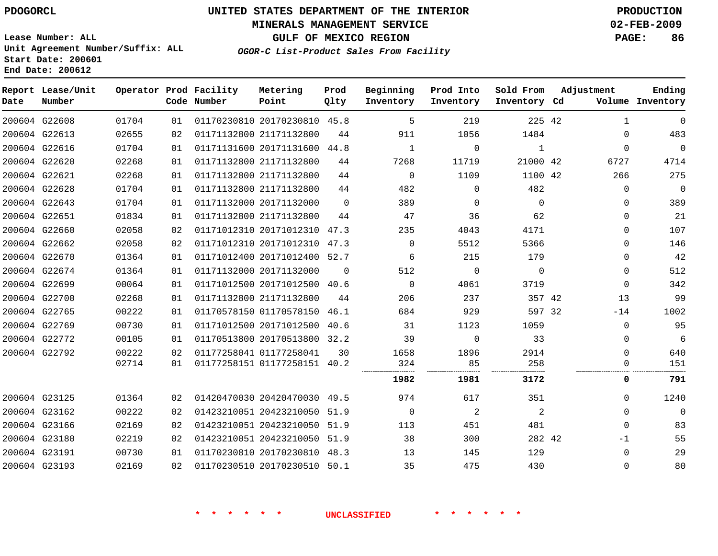#### **MINERALS MANAGEMENT SERVICE 02-FEB-2009**

**GULF OF MEXICO REGION PAGE: 86**

**Lease Number: ALL Unit Agreement Number/Suffix: ALL Start Date: 200601 End Date: 200612**

**OGOR-C List-Product Sales From Facility**

| Date | Report Lease/Unit<br>Number |       |    | Operator Prod Facility<br>Code Number | Metering<br>Point            | Prod<br>Qlty | Beginning<br>Inventory | Prod Into<br>Inventory | Sold From<br>Inventory Cd | Adjustment |              | Ending<br>Volume Inventory |
|------|-----------------------------|-------|----|---------------------------------------|------------------------------|--------------|------------------------|------------------------|---------------------------|------------|--------------|----------------------------|
|      | 200604 G22608               | 01704 | 01 |                                       | 01170230810 20170230810 45.8 |              | 5                      | 219                    | 225 42                    |            | $\mathbf{1}$ | 0                          |
|      | 200604 G22613               | 02655 | 02 |                                       | 01171132800 21171132800      | 44           | 911                    | 1056                   | 1484                      |            | $\mathbf 0$  | 483                        |
|      | 200604 G22616               | 01704 | 01 |                                       | 01171131600 20171131600 44.8 |              | 1                      | $\mathbf 0$            | 1                         |            | $\mathbf 0$  | $\mathbf 0$                |
|      | 200604 G22620               | 02268 | 01 |                                       | 01171132800 21171132800      | 44           | 7268                   | 11719                  | 21000 42                  |            | 6727         | 4714                       |
|      | 200604 G22621               | 02268 | 01 |                                       | 01171132800 21171132800      | 44           | $\mathbf 0$            | 1109                   | 1100 42                   |            | 266          | 275                        |
|      | 200604 G22628               | 01704 | 01 |                                       | 01171132800 21171132800      | 44           | 482                    | 0                      | 482                       |            | $\mathbf 0$  | $\mathbf 0$                |
|      | 200604 G22643               | 01704 | 01 |                                       | 01171132000 20171132000      | $\Omega$     | 389                    | $\mathbf 0$            | $\Omega$                  |            | $\Omega$     | 389                        |
|      | 200604 G22651               | 01834 | 01 |                                       | 01171132800 21171132800      | 44           | 47                     | 36                     | 62                        |            | $\Omega$     | 21                         |
|      | 200604 G22660               | 02058 | 02 |                                       | 01171012310 20171012310 47.3 |              | 235                    | 4043                   | 4171                      |            | $\Omega$     | 107                        |
|      | 200604 G22662               | 02058 | 02 |                                       | 01171012310 20171012310 47.3 |              | $\Omega$               | 5512                   | 5366                      |            | $\Omega$     | 146                        |
|      | 200604 G22670               | 01364 | 01 |                                       | 01171012400 20171012400 52.7 |              | 6                      | 215                    | 179                       |            | $\Omega$     | 42                         |
|      | 200604 G22674               | 01364 | 01 |                                       | 01171132000 20171132000      | $\Omega$     | 512                    | $\Omega$               | $\Omega$                  |            | $\Omega$     | 512                        |
|      | 200604 G22699               | 00064 | 01 |                                       | 01171012500 20171012500 40.6 |              | $\Omega$               | 4061                   | 3719                      |            | $\Omega$     | 342                        |
|      | 200604 G22700               | 02268 | 01 |                                       | 01171132800 21171132800      | 44           | 206                    | 237                    | 357 42                    |            | 13           | 99                         |
|      | 200604 G22765               | 00222 | 01 |                                       | 01170578150 01170578150      | 46.1         | 684                    | 929                    | 597 32                    |            | $-14$        | 1002                       |
|      | 200604 G22769               | 00730 | 01 |                                       | 01171012500 20171012500 40.6 |              | 31                     | 1123                   | 1059                      |            | $\mathbf 0$  | 95                         |
|      | 200604 G22772               | 00105 | 01 |                                       | 01170513800 20170513800 32.2 |              | 39                     | $\mathbf 0$            | 33                        |            | 0            | 6                          |
|      | 200604 G22792               | 00222 | 02 |                                       | 01177258041 01177258041      | 30           | 1658                   | 1896                   | 2914                      |            | $\mathbf 0$  | 640                        |
|      |                             | 02714 | 01 |                                       | 01177258151 01177258151 40.2 |              | 324                    | 85                     | 258                       |            | 0            | 151                        |
|      |                             |       |    |                                       |                              |              | 1982                   | 1981                   | 3172                      |            | 0            | 791                        |
|      | 200604 G23125               | 01364 | 02 |                                       | 01420470030 20420470030 49.5 |              | 974                    | 617                    | 351                       |            | $\Omega$     | 1240                       |
|      | 200604 G23162               | 00222 | 02 |                                       | 01423210051 20423210050 51.9 |              | $\mathbf 0$            | 2                      | 2                         |            | $\mathbf 0$  | $\mathbf 0$                |
|      | 200604 G23166               | 02169 | 02 |                                       | 01423210051 20423210050      | 51.9         | 113                    | 451                    | 481                       |            | $\mathbf 0$  | 83                         |
|      | 200604 G23180               | 02219 | 02 |                                       | 01423210051 20423210050 51.9 |              | 38                     | 300                    | 282 42                    |            | -1           | 55                         |
|      | 200604 G23191               | 00730 | 01 |                                       | 01170230810 20170230810 48.3 |              | 13                     | 145                    | 129                       |            | 0            | 29                         |
|      | 200604 G23193               | 02169 | 02 |                                       | 01170230510 20170230510 50.1 |              | 35                     | 475                    | 430                       |            | $\mathbf 0$  | 80                         |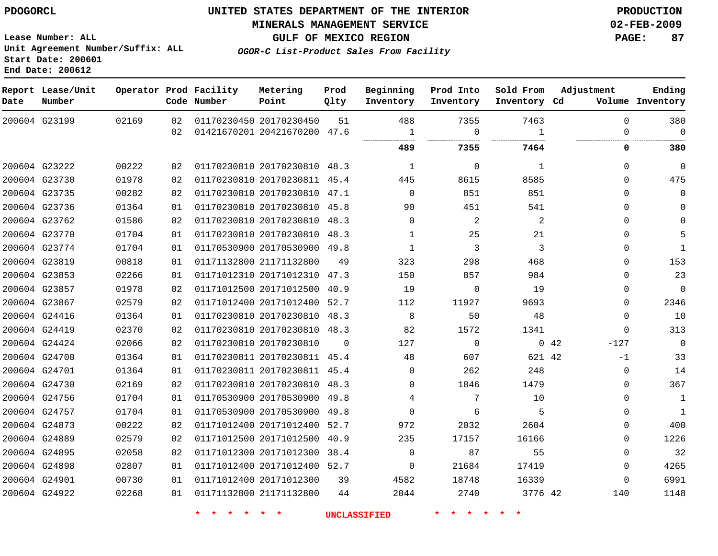#### **MINERALS MANAGEMENT SERVICE 02-FEB-2009**

**GULF OF MEXICO REGION PAGE: 87**

**Lease Number: ALL Unit Agreement Number/Suffix: ALL Start Date: 200601 End Date: 200612**

**OGOR-C List-Product Sales From Facility**

| Date | Report Lease/Unit<br>Number |       |    | Operator Prod Facility<br>Code Number | Metering<br>Point            | Prod<br>Qlty | Beginning<br>Inventory | Prod Into<br>Inventory | Sold From<br>Inventory Cd | Adjustment            | Ending<br>Volume Inventory |
|------|-----------------------------|-------|----|---------------------------------------|------------------------------|--------------|------------------------|------------------------|---------------------------|-----------------------|----------------------------|
|      | 200604 G23199               | 02169 | 02 |                                       | 01170230450 20170230450      | 51           | 488                    | 7355                   | 7463                      | $\mathbf 0$           | 380                        |
|      |                             |       | 02 |                                       | 01421670201 20421670200 47.6 |              | $\mathbf{1}$           | $\mathbf 0$            | 1                         | $\Omega$              | 0                          |
|      |                             |       |    |                                       |                              |              | 489                    | 7355                   | 7464                      | 0                     | 380                        |
|      | 200604 G23222               | 00222 | 02 |                                       | 01170230810 20170230810 48.3 |              | $\mathbf{1}$           | $\mathbf 0$            | $\mathbf{1}$              | $\mathbf{0}$          | $\mathbf 0$                |
|      | 200604 G23730               | 01978 | 02 |                                       | 01170230810 20170230811 45.4 |              | 445                    | 8615                   | 8585                      | $\Omega$              | 475                        |
|      | 200604 G23735               | 00282 | 02 |                                       | 01170230810 20170230810 47.1 |              | $\Omega$               | 851                    | 851                       | $\Omega$              | 0                          |
|      | 200604 G23736               | 01364 | 01 |                                       | 01170230810 20170230810 45.8 |              | 90                     | 451                    | 541                       | $\Omega$              | 0                          |
|      | 200604 G23762               | 01586 | 02 |                                       | 01170230810 20170230810 48.3 |              | $\Omega$               | 2                      | 2                         | $\Omega$              | $\Omega$                   |
|      | 200604 G23770               | 01704 | 01 |                                       | 01170230810 20170230810 48.3 |              | 1                      | 25                     | 21                        | $\Omega$              | 5                          |
|      | 200604 G23774               | 01704 | 01 |                                       | 01170530900 20170530900 49.8 |              | $\mathbf{1}$           | 3                      | 3                         | $\Omega$              | $\mathbf{1}$               |
|      | 200604 G23819               | 00818 | 01 |                                       | 01171132800 21171132800      | 49           | 323                    | 298                    | 468                       | $\Omega$              | 153                        |
|      | 200604 G23853               | 02266 | 01 |                                       | 01171012310 20171012310 47.3 |              | 150                    | 857                    | 984                       | $\Omega$              | 23                         |
|      | 200604 G23857               | 01978 | 02 |                                       | 01171012500 20171012500      | 40.9         | 19                     | $\Omega$               | 19                        | $\Omega$              | $\mathbf 0$                |
|      | 200604 G23867               | 02579 | 02 |                                       | 01171012400 20171012400 52.7 |              | 112                    | 11927                  | 9693                      | 0                     | 2346                       |
|      | 200604 G24416               | 01364 | 01 |                                       | 01170230810 20170230810 48.3 |              | 8                      | 50                     | 48                        | $\Omega$              | 10                         |
|      | 200604 G24419               | 02370 | 02 |                                       | 01170230810 20170230810 48.3 |              | 82                     | 1572                   | 1341                      | $\mathbf{0}$          | 313                        |
|      | 200604 G24424               | 02066 | 02 |                                       | 01170230810 20170230810      | $\Omega$     | 127                    | $\Omega$               |                           | $0\quad 42$<br>$-127$ | 0                          |
|      | 200604 G24700               | 01364 | 01 |                                       | 01170230811 20170230811 45.4 |              | 48                     | 607                    | 621 42                    | $-1$                  | 33                         |
|      | 200604 G24701               | 01364 | 01 |                                       | 01170230811 20170230811 45.4 |              | $\Omega$               | 262                    | 248                       | 0                     | 14                         |
|      | 200604 G24730               | 02169 | 02 |                                       | 01170230810 20170230810 48.3 |              | $\mathbf 0$            | 1846                   | 1479                      | 0                     | 367                        |
|      | 200604 G24756               | 01704 | 01 |                                       | 01170530900 20170530900 49.8 |              | 4                      | 7                      | 10                        | 0                     | $\mathbf{1}$               |
|      | 200604 G24757               | 01704 | 01 |                                       | 01170530900 20170530900 49.8 |              | $\mathbf 0$            | 6                      | 5                         | $\Omega$              | $\mathbf{1}$               |
|      | 200604 G24873               | 00222 | 02 |                                       | 01171012400 20171012400 52.7 |              | 972                    | 2032                   | 2604                      | $\Omega$              | 400                        |
|      | 200604 G24889               | 02579 | 02 |                                       | 01171012500 20171012500 40.9 |              | 235                    | 17157                  | 16166                     | 0                     | 1226                       |
|      | 200604 G24895               | 02058 | 02 |                                       | 01171012300 20171012300 38.4 |              | $\Omega$               | 87                     | 55                        | $\Omega$              | 32                         |
|      | 200604 G24898               | 02807 | 01 |                                       | 01171012400 20171012400 52.7 |              | $\mathbf 0$            | 21684                  | 17419                     | 0                     | 4265                       |
|      | 200604 G24901               | 00730 | 01 |                                       | 01171012400 20171012300      | 39           | 4582                   | 18748                  | 16339                     | 0                     | 6991                       |
|      | 200604 G24922               | 02268 | 01 |                                       | 01171132800 21171132800      | 44           | 2044                   | 2740                   | 3776 42                   | 140                   | 1148                       |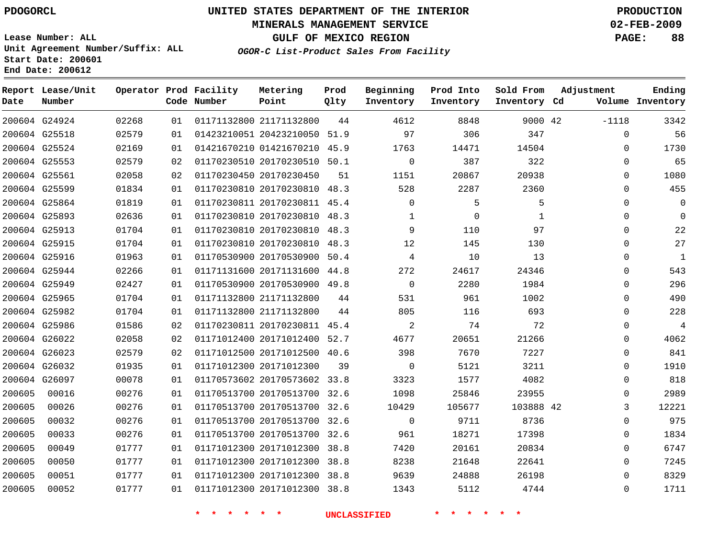#### **MINERALS MANAGEMENT SERVICE 02-FEB-2009**

**GULF OF MEXICO REGION PAGE: 88**

**Lease Number: ALL Unit Agreement Number/Suffix: ALL Start Date: 200601 End Date: 200612**

**OGOR-C List-Product Sales From Facility**

| Date   | Report Lease/Unit<br>Number |       |    | Operator Prod Facility<br>Code Number | Metering<br>Point            | Prod<br>Qlty | Beginning<br>Inventory | Prod Into<br>Inventory | Sold From<br>Inventory Cd | Adjustment   | Ending<br>Volume Inventory |
|--------|-----------------------------|-------|----|---------------------------------------|------------------------------|--------------|------------------------|------------------------|---------------------------|--------------|----------------------------|
|        | 200604 G24924               | 02268 | 01 |                                       | 01171132800 21171132800      | 44           | 4612                   | 8848                   | 9000 42                   | $-1118$      | 3342                       |
|        | 200604 G25518               | 02579 | 01 |                                       | 01423210051 20423210050 51.9 |              | 97                     | 306                    | 347                       | 0            | 56                         |
|        | 200604 G25524               | 02169 | 01 |                                       | 01421670210 01421670210 45.9 |              | 1763                   | 14471                  | 14504                     | $\Omega$     | 1730                       |
|        | 200604 G25553               | 02579 | 02 |                                       | 01170230510 20170230510 50.1 |              | $\Omega$               | 387                    | 322                       | $\Omega$     | 65                         |
|        | 200604 G25561               | 02058 | 02 |                                       | 01170230450 20170230450      | 51           | 1151                   | 20867                  | 20938                     | 0            | 1080                       |
|        | 200604 G25599               | 01834 | 01 |                                       | 01170230810 20170230810 48.3 |              | 528                    | 2287                   | 2360                      | $\Omega$     | 455                        |
|        | 200604 G25864               | 01819 | 01 |                                       | 01170230811 20170230811 45.4 |              | $\Omega$               | 5                      | 5                         | $\Omega$     | $\Omega$                   |
|        | 200604 G25893               | 02636 | 01 |                                       | 01170230810 20170230810 48.3 |              | 1                      | 0                      | 1                         | 0            | $\Omega$                   |
|        | 200604 G25913               | 01704 | 01 |                                       | 01170230810 20170230810 48.3 |              | 9                      | 110                    | 97                        | 0            | 22                         |
|        | 200604 G25915               | 01704 | 01 |                                       | 01170230810 20170230810 48.3 |              | 12                     | 145                    | 130                       | $\mathbf 0$  | 27                         |
|        | 200604 G25916               | 01963 | 01 |                                       | 01170530900 20170530900 50.4 |              | 4                      | 10                     | 13                        | 0            | $\mathbf{1}$               |
|        | 200604 G25944               | 02266 | 01 |                                       | 01171131600 20171131600 44.8 |              | 272                    | 24617                  | 24346                     | $\mathbf{0}$ | 543                        |
|        | 200604 G25949               | 02427 | 01 |                                       | 01170530900 20170530900 49.8 |              | $\Omega$               | 2280                   | 1984                      | $\Omega$     | 296                        |
|        | 200604 G25965               | 01704 | 01 |                                       | 01171132800 21171132800      | 44           | 531                    | 961                    | 1002                      | 0            | 490                        |
|        | 200604 G25982               | 01704 | 01 |                                       | 01171132800 21171132800      | 44           | 805                    | 116                    | 693                       | $\mathbf 0$  | 228                        |
|        | 200604 G25986               | 01586 | 02 |                                       | 01170230811 20170230811 45.4 |              | 2                      | 74                     | 72                        | $\mathbf 0$  | $\overline{4}$             |
|        | 200604 G26022               | 02058 | 02 |                                       | 01171012400 20171012400 52.7 |              | 4677                   | 20651                  | 21266                     | 0            | 4062                       |
|        | 200604 G26023               | 02579 | 02 |                                       | 01171012500 20171012500 40.6 |              | 398                    | 7670                   | 7227                      | $\mathbf 0$  | 841                        |
|        | 200604 G26032               | 01935 | 01 |                                       | 01171012300 20171012300      | 39           | $\Omega$               | 5121                   | 3211                      | $\Omega$     | 1910                       |
|        | 200604 G26097               | 00078 | 01 |                                       | 01170573602 20170573602 33.8 |              | 3323                   | 1577                   | 4082                      | 0            | 818                        |
| 200605 | 00016                       | 00276 | 01 |                                       | 01170513700 20170513700 32.6 |              | 1098                   | 25846                  | 23955                     | $\Omega$     | 2989                       |
| 200605 | 00026                       | 00276 | 01 |                                       | 01170513700 20170513700 32.6 |              | 10429                  | 105677                 | 103888 42                 | 3            | 12221                      |
| 200605 | 00032                       | 00276 | 01 |                                       | 01170513700 20170513700 32.6 |              | $\mathbf{0}$           | 9711                   | 8736                      | 0            | 975                        |
| 200605 | 00033                       | 00276 | 01 |                                       | 01170513700 20170513700 32.6 |              | 961                    | 18271                  | 17398                     | $\Omega$     | 1834                       |
| 200605 | 00049                       | 01777 | 01 |                                       | 01171012300 20171012300 38.8 |              | 7420                   | 20161                  | 20834                     | $\Omega$     | 6747                       |
| 200605 | 00050                       | 01777 | 01 |                                       | 01171012300 20171012300      | 38.8         | 8238                   | 21648                  | 22641                     | 0            | 7245                       |
| 200605 | 00051                       | 01777 | 01 |                                       | 01171012300 20171012300 38.8 |              | 9639                   | 24888                  | 26198                     | $\Omega$     | 8329                       |
| 200605 | 00052                       | 01777 | 01 |                                       | 01171012300 20171012300 38.8 |              | 1343                   | 5112                   | 4744                      | $\Omega$     | 1711                       |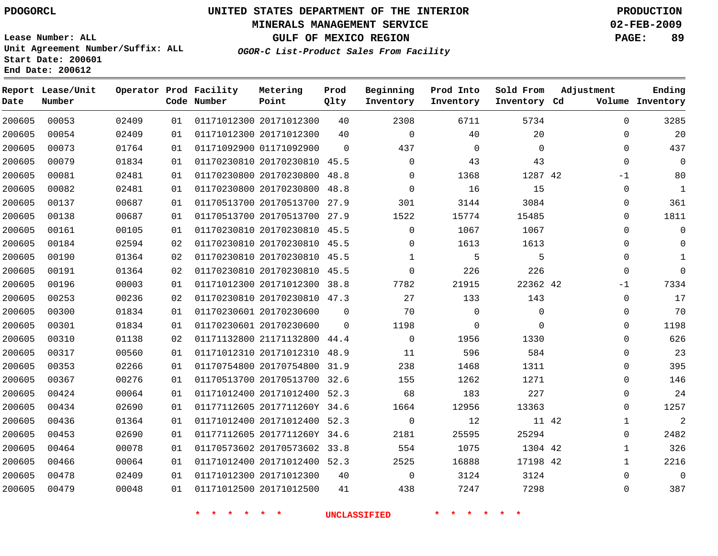#### **MINERALS MANAGEMENT SERVICE 02-FEB-2009**

**GULF OF MEXICO REGION PAGE: 89**

**Lease Number: ALL Unit Agreement Number/Suffix: ALL Start Date: 200601 End Date: 200612**

**OGOR-C List-Product Sales From Facility**

| Date   | Report Lease/Unit<br>Number |       |    | Operator Prod Facility<br>Code Number | Metering<br>Point            | Prod<br>Qlty | Beginning<br>Inventory | Prod Into<br>Inventory | Sold From<br>Inventory Cd | Adjustment            | Ending<br>Volume Inventory |
|--------|-----------------------------|-------|----|---------------------------------------|------------------------------|--------------|------------------------|------------------------|---------------------------|-----------------------|----------------------------|
| 200605 | 00053                       | 02409 | 01 |                                       | 01171012300 20171012300      | 40           | 2308                   | 6711                   | 5734                      | $\mathbf 0$           | 3285                       |
| 200605 | 00054                       | 02409 | 01 |                                       | 01171012300 20171012300      | 40           | $\mathbf 0$            | 40                     | 20                        | 0                     | 20                         |
| 200605 | 00073                       | 01764 | 01 |                                       | 01171092900 01171092900      | $\Omega$     | 437                    | $\mathbf 0$            | $\Omega$                  | $\mathbf 0$           | 437                        |
| 200605 | 00079                       | 01834 | 01 |                                       | 01170230810 20170230810 45.5 |              | 0                      | 43                     | 43                        | 0                     | 0                          |
| 200605 | 00081                       | 02481 | 01 |                                       | 01170230800 20170230800 48.8 |              | $\Omega$               | 1368                   | 1287 42                   | -1                    | 80                         |
| 200605 | 00082                       | 02481 | 01 |                                       | 01170230800 20170230800 48.8 |              | 0                      | 16                     | 15                        | 0                     | $\mathbf{1}$               |
| 200605 | 00137                       | 00687 | 01 |                                       | 01170513700 20170513700 27.9 |              | 301                    | 3144                   | 3084                      | $\mathbf 0$           | 361                        |
| 200605 | 00138                       | 00687 | 01 |                                       | 01170513700 20170513700 27.9 |              | 1522                   | 15774                  | 15485                     | 0                     | 1811                       |
| 200605 | 00161                       | 00105 | 01 |                                       | 01170230810 20170230810 45.5 |              | $\Omega$               | 1067                   | 1067                      | $\Omega$              | 0                          |
| 200605 | 00184                       | 02594 | 02 |                                       | 01170230810 20170230810 45.5 |              | 0                      | 1613                   | 1613                      | 0                     |                            |
| 200605 | 00190                       | 01364 | 02 |                                       | 01170230810 20170230810 45.5 |              | $\mathbf{1}$           | 5                      | 5                         | 0                     | 1                          |
| 200605 | 00191                       | 01364 | 02 |                                       | 01170230810 20170230810 45.5 |              | $\mathbf 0$            | 226                    | 226                       | 0                     | $\Omega$                   |
| 200605 | 00196                       | 00003 | 01 |                                       | 01171012300 20171012300 38.8 |              | 7782                   | 21915                  | 22362 42                  | -1                    | 7334                       |
| 200605 | 00253                       | 00236 | 02 |                                       | 01170230810 20170230810 47.3 |              | 27                     | 133                    | 143                       | 0                     | 17                         |
| 200605 | 00300                       | 01834 | 01 |                                       | 01170230601 20170230600      | 0            | 70                     | 0                      | 0                         | 0                     | 70                         |
| 200605 | 00301                       | 01834 | 01 |                                       | 01170230601 20170230600      | $\mathbf 0$  | 1198                   | 0                      | 0                         | 0                     | 1198                       |
| 200605 | 00310                       | 01138 | 02 |                                       | 01171132800 21171132800 44.4 |              | $\Omega$               | 1956                   | 1330                      | 0                     | 626                        |
| 200605 | 00317                       | 00560 | 01 |                                       | 01171012310 20171012310 48.9 |              | 11                     | 596                    | 584                       | 0                     | 23                         |
| 200605 | 00353                       | 02266 | 01 |                                       | 01170754800 20170754800 31.9 |              | 238                    | 1468                   | 1311                      | 0                     | 395                        |
| 200605 | 00367                       | 00276 | 01 |                                       | 01170513700 20170513700      | 32.6         | 155                    | 1262                   | 1271                      | 0                     | 146                        |
| 200605 | 00424                       | 00064 | 01 |                                       | 01171012400 20171012400 52.3 |              | 68                     | 183                    | 227                       | 0                     | 24                         |
| 200605 | 00434                       | 02690 | 01 |                                       | 01177112605 2017711260Y 34.6 |              | 1664                   | 12956                  | 13363                     | 0                     | 1257                       |
| 200605 | 00436                       | 01364 | 01 |                                       | 01171012400 20171012400 52.3 |              | $\mathbf 0$            | 12                     |                           | 11 42<br>$\mathbf{1}$ | 2                          |
| 200605 | 00453                       | 02690 | 01 |                                       | 01177112605 2017711260Y 34.6 |              | 2181                   | 25595                  | 25294                     | 0                     | 2482                       |
| 200605 | 00464                       | 00078 | 01 |                                       | 01170573602 20170573602 33.8 |              | 554                    | 1075                   | 1304 42                   | 1                     | 326                        |
| 200605 | 00466                       | 00064 | 01 |                                       | 01171012400 20171012400 52.3 |              | 2525                   | 16888                  | 17198 42                  | 1                     | 2216                       |
| 200605 | 00478                       | 02409 | 01 |                                       | 01171012300 20171012300      | 40           | $\Omega$               | 3124                   | 3124                      | 0                     | $\Omega$                   |
| 200605 | 00479                       | 00048 | 01 |                                       | 01171012500 20171012500      | 41           | 438                    | 7247                   | 7298                      | $\mathbf{0}$          | 387                        |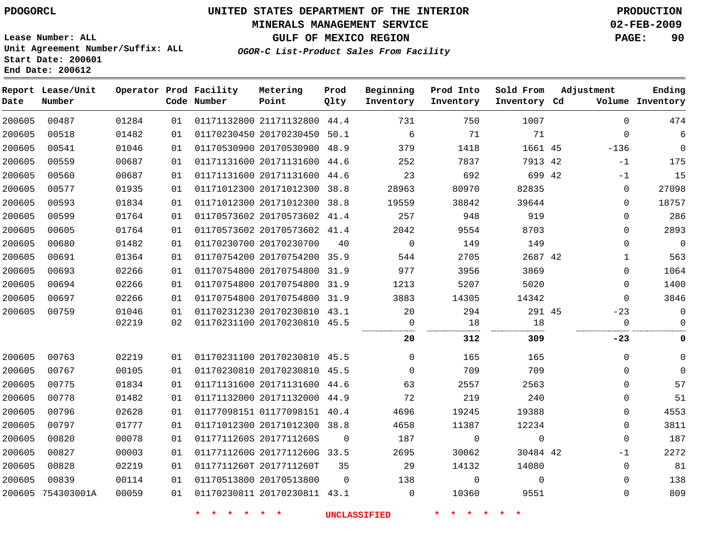#### **MINERALS MANAGEMENT SERVICE 02-FEB-2009**

**GULF OF MEXICO REGION PAGE: 90**

**Lease Number: ALL Unit Agreement Number/Suffix: ALL Start Date: 200601 End Date: 200612**

**OGOR-C List-Product Sales From Facility**

| Date   | Report Lease/Unit<br>Number |       |    | Operator Prod Facility<br>Code Number | Metering<br>Point            | Prod<br>Qlty | Beginning<br>Inventory | Prod Into<br>Inventory | Sold From<br>Inventory Cd | Adjustment  | Ending<br>Volume Inventory |
|--------|-----------------------------|-------|----|---------------------------------------|------------------------------|--------------|------------------------|------------------------|---------------------------|-------------|----------------------------|
| 200605 | 00487                       | 01284 | 01 |                                       | 01171132800 21171132800 44.4 |              | 731                    | 750                    | 1007                      | $\mathbf 0$ | 474                        |
| 200605 | 00518                       | 01482 | 01 |                                       | 01170230450 20170230450      | 50.1         | 6                      | 71                     | 71                        | $\mathbf 0$ | 6                          |
| 200605 | 00541                       | 01046 | 01 |                                       | 01170530900 20170530900 48.9 |              | 379                    | 1418                   | 1661 45                   | $-136$      | $\overline{0}$             |
| 200605 | 00559                       | 00687 | 01 |                                       | 01171131600 20171131600 44.6 |              | 252                    | 7837                   | 7913 42                   | $-1$        | 175                        |
| 200605 | 00560                       | 00687 | 01 |                                       | 01171131600 20171131600 44.6 |              | 23                     | 692                    | 699 42                    | $-1$        | 15                         |
| 200605 | 00577                       | 01935 | 01 |                                       | 01171012300 20171012300 38.8 |              | 28963                  | 80970                  | 82835                     | $\mathbf 0$ | 27098                      |
| 200605 | 00593                       | 01834 | 01 |                                       | 01171012300 20171012300 38.8 |              | 19559                  | 38842                  | 39644                     | $\mathbf 0$ | 18757                      |
| 200605 | 00599                       | 01764 | 01 |                                       | 01170573602 20170573602 41.4 |              | 257                    | 948                    | 919                       | $\mathbf 0$ | 286                        |
| 200605 | 00605                       | 01764 | 01 |                                       | 01170573602 20170573602 41.4 |              | 2042                   | 9554                   | 8703                      | $\mathbf 0$ | 2893                       |
| 200605 | 00680                       | 01482 | 01 |                                       | 01170230700 20170230700      | 40           | $\overline{0}$         | 149                    | 149                       | $\mathbf 0$ | $\overline{0}$             |
| 200605 | 00691                       | 01364 | 01 |                                       | 01170754200 20170754200 35.9 |              | 544                    | 2705                   | 2687 42                   | $\mathbf 1$ | 563                        |
| 200605 | 00693                       | 02266 | 01 |                                       | 01170754800 20170754800      | 31.9         | 977                    | 3956                   | 3869                      | $\mathbf 0$ | 1064                       |
| 200605 | 00694                       | 02266 | 01 |                                       | 01170754800 20170754800 31.9 |              | 1213                   | 5207                   | 5020                      | $\mathbf 0$ | 1400                       |
| 200605 | 00697                       | 02266 | 01 |                                       | 01170754800 20170754800      | 31.9         | 3883                   | 14305                  | 14342                     | $\Omega$    | 3846                       |
| 200605 | 00759                       | 01046 | 01 |                                       | 01170231230 20170230810 43.1 |              | 20                     | 294                    | 291 45                    | $-23$       | $\mathsf 0$                |
|        |                             | 02219 | 02 |                                       | 01170231100 20170230810 45.5 |              | $\Omega$               | 18                     | 18                        | $\mathbf 0$ | $\Omega$                   |
|        |                             |       |    |                                       |                              |              | 20                     | 312                    | 309                       | $-23$       | 0                          |
| 200605 | 00763                       | 02219 | 01 |                                       | 01170231100 20170230810 45.5 |              | $\Omega$               | 165                    | 165                       | $\mathbf 0$ | $\mathbf{0}$               |
| 200605 | 00767                       | 00105 | 01 |                                       | 01170230810 20170230810 45.5 |              | $\Omega$               | 709                    | 709                       | $\mathbf 0$ | $\Omega$                   |
| 200605 | 00775                       | 01834 | 01 |                                       | 01171131600 20171131600 44.6 |              | 63                     | 2557                   | 2563                      | $\Omega$    | 57                         |
| 200605 | 00778                       | 01482 | 01 |                                       | 01171132000 20171132000 44.9 |              | 72                     | 219                    | 240                       | $\mathbf 0$ | 51                         |
| 200605 | 00796                       | 02628 | 01 |                                       | 01177098151 01177098151 40.4 |              | 4696                   | 19245                  | 19388                     | $\mathbf 0$ | 4553                       |
| 200605 | 00797                       | 01777 | 01 |                                       | 01171012300 20171012300 38.8 |              | 4658                   | 11387                  | 12234                     | $\mathbf 0$ | 3811                       |
| 200605 | 00820                       | 00078 | 01 |                                       | 0117711260S 2017711260S      | 0            | 187                    | 0                      | $\mathbf 0$               | $\mathbf 0$ | 187                        |
| 200605 | 00827                       | 00003 | 01 |                                       | 0117711260G 2017711260G 33.5 |              | 2695                   | 30062                  | 30484 42                  | $-1$        | 2272                       |
| 200605 | 00828                       | 02219 | 01 |                                       | 0117711260T 2017711260T      | 35           | 29                     | 14132                  | 14080                     | $\mathbf 0$ | 81                         |
| 200605 | 00839                       | 00114 | 01 |                                       | 01170513800 20170513800      | $\mathbf 0$  | 138                    | $\mathbf 0$            | $\Omega$                  | $\mathbf 0$ | 138                        |
|        | 200605 754303001A           | 00059 | 01 |                                       | 01170230811 20170230811 43.1 |              | $\mathbf 0$            | 10360                  | 9551                      | $\mathbf 0$ | 809                        |
|        |                             |       |    |                                       |                              |              |                        |                        |                           |             |                            |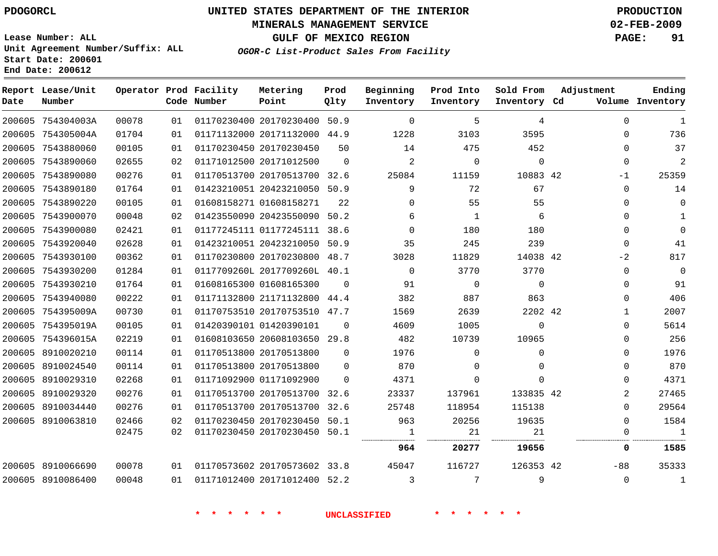#### **MINERALS MANAGEMENT SERVICE 02-FEB-2009**

**GULF OF MEXICO REGION PAGE: 91**

**Lease Number: ALL Unit Agreement Number/Suffix: ALL Start Date: 200601 End Date: 200612**

**OGOR-C List-Product Sales From Facility**

| Date | Report Lease/Unit<br>Number |       |    | Operator Prod Facility<br>Code Number | Metering<br>Point            | Prod<br>Qlty | Beginning<br>Inventory | Prod Into<br>Inventory | Sold From<br>Inventory Cd | Adjustment |                | Ending<br>Volume Inventory |
|------|-----------------------------|-------|----|---------------------------------------|------------------------------|--------------|------------------------|------------------------|---------------------------|------------|----------------|----------------------------|
|      | 200605 754304003A           | 00078 | 01 |                                       | 01170230400 20170230400      | 50.9         | $\Omega$               | 5                      | 4                         |            | $\Omega$       | 1                          |
|      | 200605 754305004A           | 01704 | 01 |                                       | 01171132000 20171132000 44.9 |              | 1228                   | 3103                   | 3595                      |            | $\Omega$       | 736                        |
|      | 200605 7543880060           | 00105 | 01 |                                       | 01170230450 20170230450      | 50           | 14                     | 475                    | 452                       |            | $\mathbf{0}$   | 37                         |
|      | 200605 7543890060           | 02655 | 02 |                                       | 01171012500 20171012500      | $\Omega$     | $\overline{a}$         | $\Omega$               | $\Omega$                  |            | $\Omega$       | $\overline{c}$             |
|      | 200605 7543890080           | 00276 | 01 |                                       | 01170513700 20170513700      | 32.6         | 25084                  | 11159                  | 10883 42                  |            | $-1$           | 25359                      |
|      | 200605 7543890180           | 01764 | 01 |                                       | 01423210051 20423210050 50.9 |              | 9                      | 72                     | 67                        |            | $\mathbf{0}$   | 14                         |
|      | 200605 7543890220           | 00105 | 01 |                                       | 01608158271 01608158271      | 22           | $\Omega$               | 55                     | 55                        |            | $\Omega$       | $\Omega$                   |
|      | 200605 7543900070           | 00048 | 02 |                                       | 01423550090 20423550090 50.2 |              | 6                      | $\mathbf{1}$           | 6                         |            | $\Omega$       | 1                          |
|      | 200605 7543900080           | 02421 | 01 |                                       | 01177245111 01177245111 38.6 |              | $\Omega$               | 180                    | 180                       |            | $\Omega$       | $\Omega$                   |
|      | 200605 7543920040           | 02628 | 01 |                                       | 01423210051 20423210050 50.9 |              | 35                     | 245                    | 239                       |            | $\mathbf 0$    | 41                         |
|      | 200605 7543930100           | 00362 | 01 |                                       | 01170230800 20170230800 48.7 |              | 3028                   | 11829                  | 14038 42                  |            | $-2$           | 817                        |
|      | 200605 7543930200           | 01284 | 01 |                                       | 0117709260L 2017709260L 40.1 |              | $\Omega$               | 3770                   | 3770                      |            | $\mathbf{0}$   | $\mathbf{0}$               |
|      | 200605 7543930210           | 01764 | 01 |                                       | 01608165300 01608165300      | $\Omega$     | 91                     | $\mathbf 0$            | $\Omega$                  |            | $\Omega$       | 91                         |
|      | 200605 7543940080           | 00222 | 01 |                                       | 01171132800 21171132800 44.4 |              | 382                    | 887                    | 863                       |            | 0              | 406                        |
|      | 200605 754395009A           | 00730 | 01 |                                       | 01170753510 20170753510 47.7 |              | 1569                   | 2639                   | 2202 42                   |            | $\mathbf{1}$   | 2007                       |
|      | 200605 754395019A           | 00105 | 01 |                                       | 01420390101 01420390101      | $\Omega$     | 4609                   | 1005                   | $\mathbf 0$               |            | $\Omega$       | 5614                       |
|      | 200605 754396015A           | 02219 | 01 |                                       | 01608103650 20608103650 29.8 |              | 482                    | 10739                  | 10965                     |            | 0              | 256                        |
|      | 200605 8910020210           | 00114 | 01 |                                       | 01170513800 20170513800      | $\Omega$     | 1976                   | $\Omega$               | $\Omega$                  |            | $\Omega$       | 1976                       |
|      | 200605 8910024540           | 00114 | 01 |                                       | 01170513800 20170513800      | $\Omega$     | 870                    | $\Omega$               | 0                         |            | 0              | 870                        |
|      | 200605 8910029310           | 02268 | 01 |                                       | 01171092900 01171092900      | $\Omega$     | 4371                   | $\Omega$               | $\Omega$                  |            | 0              | 4371                       |
|      | 200605 8910029320           | 00276 | 01 |                                       | 01170513700 20170513700 32.6 |              | 23337                  | 137961                 | 133835 42                 |            | $\overline{2}$ | 27465                      |
|      | 200605 8910034440           | 00276 | 01 |                                       | 01170513700 20170513700      | 32.6         | 25748                  | 118954                 | 115138                    |            | $\Omega$       | 29564                      |
|      | 200605 8910063810           | 02466 | 02 |                                       | 01170230450 20170230450 50.1 |              | 963                    | 20256                  | 19635                     |            | $\Omega$       | 1584                       |
|      |                             | 02475 | 02 |                                       | 01170230450 20170230450 50.1 |              | 1                      | 21                     | 21                        |            | $\Omega$       | 1                          |
|      |                             |       |    |                                       |                              |              | 964                    | 20277                  | 19656                     |            | 0              | 1585                       |
|      | 200605 8910066690           | 00078 | 01 |                                       | 01170573602 20170573602 33.8 |              | 45047                  | 116727                 | 126353 42                 |            | $-88$          | 35333                      |
|      | 200605 8910086400           | 00048 | 01 |                                       | 01171012400 20171012400 52.2 |              | 3                      | 7                      | 9                         |            | 0              | 1                          |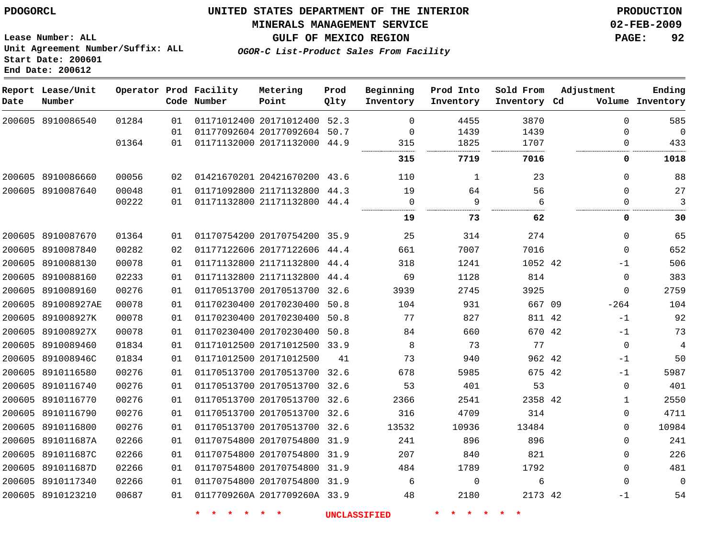# **MINERALS MANAGEMENT SERVICE 02-FEB-2009**

**GULF OF MEXICO REGION PAGE: 92**

**Lease Number: ALL Unit Agreement Number/Suffix: ALL Start Date: 200601 End Date: 200612**

**OGOR-C List-Product Sales From Facility**

| Date   | Report Lease/Unit<br>Number |       |    | Operator Prod Facility<br>Code Number | Metering<br>Point            | Prod<br>Qlty | Beginning<br>Inventory | Prod Into<br>Inventory | Sold From<br>Inventory Cd | Adjustment  | Ending<br>Volume Inventory |
|--------|-----------------------------|-------|----|---------------------------------------|------------------------------|--------------|------------------------|------------------------|---------------------------|-------------|----------------------------|
|        | 200605 8910086540           | 01284 | 01 |                                       | 01171012400 20171012400      | 52.3         | $\Omega$               | 4455                   | 3870                      | $\Omega$    | 585                        |
|        |                             |       | 01 |                                       | 01177092604 20177092604      | 50.7         | 0                      | 1439                   | 1439                      | $\Omega$    | $\mathbf 0$                |
|        |                             | 01364 | 01 |                                       | 01171132000 20171132000      | 44.9         | 315                    | 1825                   | 1707                      | 0           | 433                        |
|        |                             |       |    |                                       |                              |              | 315                    | 7719                   | 7016                      | 0           | 1018                       |
|        | 200605 8910086660           | 00056 | 02 |                                       | 01421670201 20421670200 43.6 |              | 110                    | $\mathbf{1}$           | 23                        | $\Omega$    | 88                         |
|        | 200605 8910087640           | 00048 | 01 |                                       | 01171092800 21171132800      | 44.3         | 19                     | 64                     | 56                        | $\Omega$    | 27                         |
|        |                             | 00222 | 01 |                                       | 01171132800 21171132800 44.4 |              | $\mathbf 0$            | 9                      | 6                         | 0           | 3                          |
|        |                             |       |    |                                       |                              |              | 19                     | 73                     | 62                        | 0           | 30                         |
|        | 200605 8910087670           | 01364 | 01 |                                       | 01170754200 20170754200 35.9 |              | 25                     | 314                    | 274                       | $\Omega$    | 65                         |
|        | 200605 8910087840           | 00282 | 02 |                                       | 01177122606 20177122606      | 44.4         | 661                    | 7007                   | 7016                      | $\Omega$    | 652                        |
|        | 200605 8910088130           | 00078 | 01 |                                       | 01171132800 21171132800      | 44.4         | 318                    | 1241                   | 1052 42                   | $-1$        | 506                        |
|        | 200605 8910088160           | 02233 | 01 |                                       | 01171132800 21171132800      | 44.4         | 69                     | 1128                   | 814                       | 0           | 383                        |
|        | 200605 8910089160           | 00276 | 01 |                                       | 01170513700 20170513700 32.6 |              | 3939                   | 2745                   | 3925                      | $\mathbf 0$ | 2759                       |
|        | 200605 891008927AE          | 00078 | 01 |                                       | 01170230400 20170230400      | 50.8         | 104                    | 931                    | 667 09                    | $-264$      | 104                        |
|        | 200605 891008927K           | 00078 | 01 |                                       | 01170230400 20170230400      | 50.8         | 77                     | 827                    | 811 42                    | $-1$        | 92                         |
|        | 200605 891008927X           | 00078 | 01 |                                       | 01170230400 20170230400 50.8 |              | 84                     | 660                    | 670 42                    | $-1$        | 73                         |
|        | 200605 8910089460           | 01834 | 01 |                                       | 01171012500 20171012500 33.9 |              | 8                      | 73                     | 77                        | $\mathbf 0$ | $\overline{4}$             |
|        | 200605 891008946C           | 01834 | 01 |                                       | 01171012500 20171012500      | 41           | 73                     | 940                    | 962 42                    | $-1$        | 50                         |
|        | 200605 8910116580           | 00276 | 01 |                                       | 01170513700 20170513700      | 32.6         | 678                    | 5985                   | 675 42                    | $-1$        | 5987                       |
|        | 200605 8910116740           | 00276 | 01 |                                       | 01170513700 20170513700 32.6 |              | 53                     | 401                    | 53                        | 0           | 401                        |
|        | 200605 8910116770           | 00276 | 01 |                                       | 01170513700 20170513700 32.6 |              | 2366                   | 2541                   | 2358 42                   | 1           | 2550                       |
|        | 200605 8910116790           | 00276 | 01 |                                       | 01170513700 20170513700 32.6 |              | 316                    | 4709                   | 314                       | 0           | 4711                       |
|        | 200605 8910116800           | 00276 | 01 |                                       | 01170513700 20170513700 32.6 |              | 13532                  | 10936                  | 13484                     | 0           | 10984                      |
|        | 200605 891011687A           | 02266 | 01 |                                       | 01170754800 20170754800      | 31.9         | 241                    | 896                    | 896                       | 0           | 241                        |
| 200605 | 891011687C                  | 02266 | 01 |                                       | 01170754800 20170754800 31.9 |              | 207                    | 840                    | 821                       | 0           | 226                        |
|        | 200605 891011687D           | 02266 | 01 |                                       | 01170754800 20170754800      | 31.9         | 484                    | 1789                   | 1792                      | 0           | 481                        |
| 200605 | 8910117340                  | 02266 | 01 |                                       | 01170754800 20170754800      | 31.9         | 6                      | 0                      | 6                         | $\mathbf 0$ | $\Omega$                   |
|        | 200605 8910123210           | 00687 | 01 |                                       | 0117709260A 2017709260A 33.9 |              | 48                     | 2180                   | 2173 42                   | $-1$        | 54                         |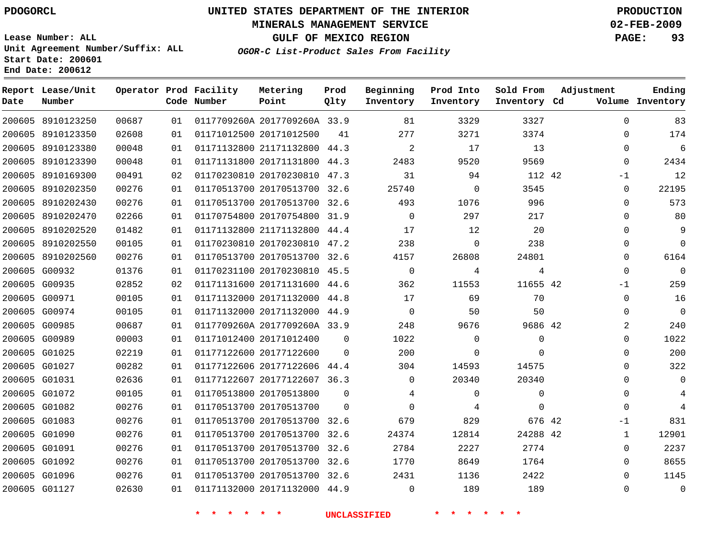**Date**

 8910123250 8910123350

**Report Lease/Unit**

**Number**

 G00932 G00935 G00971 G00974 G00985 G00989 G01025 G01027 G01031 G01072 G01082 G01083 G01090 G01091 G01092 G01096 G01127

# **UNITED STATES DEPARTMENT OF THE INTERIOR PDOGORCL PRODUCTION**

#### **MINERALS MANAGEMENT SERVICE 02-FEB-2009**

**GULF OF MEXICO REGION PAGE: 93**

**Lease Number: ALL Unit Agreement Number/Suffix: ALL Start Date: 200601 End Date: 200612**

> 

**Operator Prod Facility**

**Code Number**

0117709260A 2017709260A 33.9

**Metering Point**

20171012500

 

 

  **OGOR-C List-Product Sales From Facility**

**Prod Qlty**

 

   

**Sold From Inventory**

**Prod Into Inventory**

**Beginning Inventory**

**Inventory Cd Volume**

**Adjustment**

  $\Omega$ 

  $\Omega$ 

**Ending**

| 0        |      | 13       | 17       | $\overline{2}$ |          | 01171132800 21171132800 44.3 | 01 | 00048 | 200605 8910123380 |        |
|----------|------|----------|----------|----------------|----------|------------------------------|----|-------|-------------------|--------|
| $\Omega$ |      | 9569     | 9520     | 2483           | 44.3     | 01171131800 20171131800      | 01 | 00048 | 8910123390        | 200605 |
|          | $-1$ | 112 42   | 94       | 31             | 47.3     | 01170230810 20170230810      | 02 | 00491 | 8910169300        | 200605 |
| 0        |      | 3545     | 0        | 25740          | 32.6     | 01170513700 20170513700      | 01 | 00276 | 8910202350        | 200605 |
| 0        |      | 996      | 1076     | 493            | 32.6     | 01170513700 20170513700      | 01 | 00276 | 8910202430        | 200605 |
| $\Omega$ |      | 217      | 297      | $\Omega$       | 31.9     | 01170754800 20170754800      | 01 | 02266 | 8910202470        | 200605 |
| 0        |      | 20       | 12       | 17             | 44.4     | 01171132800 21171132800      | 01 | 01482 | 8910202520        | 200605 |
| $\Omega$ |      | 238      | $\Omega$ | 238            | 47.2     | 01170230810 20170230810      | 01 | 00105 | 8910202550        | 200605 |
| $\Omega$ |      | 24801    | 26808    | 4157           | 32.6     | 01170513700 20170513700      | 01 | 00276 | 200605 8910202560 |        |
| $\Omega$ |      | 4        | 4        | $\mathbf 0$    | 45.5     | 01170231100 20170230810      | 01 | 01376 | 200605 G00932     |        |
|          | $-1$ | 11655 42 | 11553    | 362            | 44.6     | 01171131600 20171131600      | 02 | 02852 | G00935            | 200605 |
| $\Omega$ |      | 70       | 69       | 17             | 44.8     | 01171132000 20171132000      | 01 | 00105 | G00971            | 200605 |
| $\Omega$ |      | 50       | 50       | $\Omega$       | 44.9     | 01171132000 20171132000      | 01 | 00105 | 200605 G00974     |        |
| 2        |      | 9686 42  | 9676     | 248            |          | 0117709260A 2017709260A 33.9 | 01 | 00687 | G00985            | 200605 |
| 0        |      | $\Omega$ | $\Omega$ | 1022           | $\Omega$ | 01171012400 20171012400      | 01 | 00003 | 200605 G00989     |        |
| 0        |      | $\Omega$ | $\Omega$ | 200            | $\Omega$ | 01177122600 20177122600      | 01 | 02219 | 200605 G01025     |        |
| $\Omega$ |      | 14575    | 14593    | 304            | 44.4     | 01177122606 20177122606      | 01 | 00282 | 200605 G01027     |        |
| 0        |      | 20340    | 20340    | $\Omega$       | 36.3     | 01177122607 20177122607      | 01 | 02636 | G01031            | 200605 |
| 0        |      | 0        | 0        | 4              | $\Omega$ | 01170513800 20170513800      | 01 | 00105 | G01072            | 200605 |
| $\Omega$ |      | 0        | 4        | $\Omega$       | $\Omega$ | 01170513700 20170513700      | 01 | 00276 | 200605 G01082     |        |
|          | $-1$ | 676 42   | 829      | 679            | 32.6     | 01170513700 20170513700      | 01 | 00276 | G01083            | 200605 |
|          |      | 24288 42 | 12814    | 24374          | 32.6     | 01170513700 20170513700      | 01 | 00276 | 200605 G01090     |        |
| $\Omega$ |      | 2774     | 2227     | 2784           | 32.6     | 01170513700 20170513700      | 01 | 00276 | 200605 G01091     |        |
| $\Omega$ |      | 1764     | 8649     | 1770           | 32.6     | 01170513700 20170513700      | 01 | 00276 | 200605 G01092     |        |

 20170513700 32.6 20171132000 44.9

  $\Omega$ 

**\* \* \* \* \* \* UNCLASSIFIED \* \* \* \* \* \***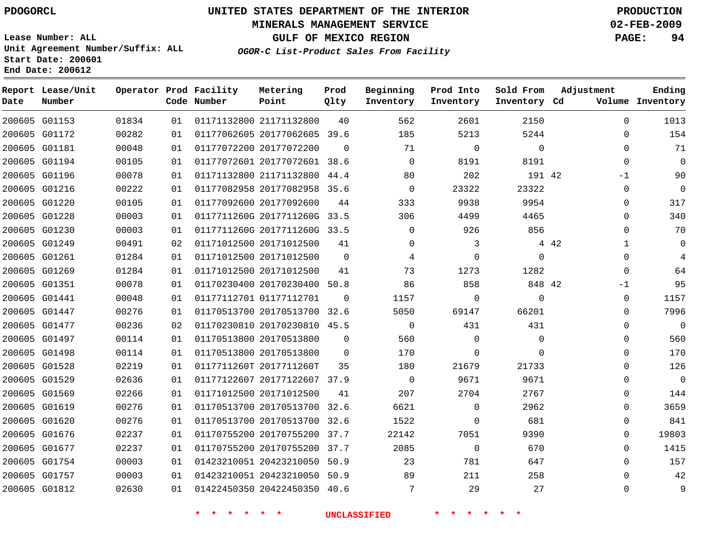#### **MINERALS MANAGEMENT SERVICE 02-FEB-2009**

**GULF OF MEXICO REGION PAGE: 94**

**Lease Number: ALL Unit Agreement Number/Suffix: ALL Start Date: 200601 End Date: 200612**

**OGOR-C List-Product Sales From Facility**

| Date | Report Lease/Unit<br>Number |       |    | Operator Prod Facility<br>Code Number | Metering<br>Point            | Prod<br>Qlty | Beginning<br>Inventory | Prod Into<br>Inventory | Sold From<br>Inventory Cd | Adjustment            | Ending<br>Volume Inventory |
|------|-----------------------------|-------|----|---------------------------------------|------------------------------|--------------|------------------------|------------------------|---------------------------|-----------------------|----------------------------|
|      | 200605 G01153               | 01834 | 01 |                                       | 01171132800 21171132800      | 40           | 562                    | 2601                   | 2150                      | $\Omega$              | 1013                       |
|      | 200605 G01172               | 00282 | 01 |                                       | 01177062605 20177062605 39.6 |              | 185                    | 5213                   | 5244                      | $\Omega$              | 154                        |
|      | 200605 G01181               | 00048 | 01 |                                       | 01177072200 20177072200      | $\Omega$     | 71                     | $\Omega$               | $\Omega$                  | $\Omega$              | 71                         |
|      | 200605 G01194               | 00105 | 01 |                                       | 01177072601 20177072601 38.6 |              | $\Omega$               | 8191                   | 8191                      | $\Omega$              | 0                          |
|      | 200605 G01196               | 00078 | 01 |                                       | 01171132800 21171132800 44.4 |              | 80                     | 202                    | 191 42                    | -1                    | 90                         |
|      | 200605 G01216               | 00222 | 01 |                                       | 01177082958 20177082958 35.6 |              | $\mathbf 0$            | 23322                  | 23322                     | 0                     | 0                          |
|      | 200605 G01220               | 00105 | 01 |                                       | 01177092600 20177092600      | 44           | 333                    | 9938                   | 9954                      | $\Omega$              | 317                        |
|      | 200605 G01228               | 00003 | 01 |                                       | 0117711260G 2017711260G 33.5 |              | 306                    | 4499                   | 4465                      | $\Omega$              | 340                        |
|      | 200605 G01230               | 00003 | 01 |                                       | 0117711260G 2017711260G 33.5 |              | $\Omega$               | 926                    | 856                       | $\Omega$              | 70                         |
|      | 200605 G01249               | 00491 | 02 |                                       | 01171012500 20171012500      | 41           | $\Omega$               | 3                      |                           | 4 4 2<br>$\mathbf{1}$ | 0                          |
|      | 200605 G01261               | 01284 | 01 |                                       | 01171012500 20171012500      | $\Omega$     | 4                      | 0                      | $\Omega$                  | $\Omega$              | 4                          |
|      | 200605 G01269               | 01284 | 01 |                                       | 01171012500 20171012500      | 41           | 73                     | 1273                   | 1282                      | 0                     | 64                         |
|      | 200605 G01351               | 00078 | 01 |                                       | 01170230400 20170230400 50.8 |              | 86                     | 858                    | 848 42                    | -1                    | 95                         |
|      | 200605 G01441               | 00048 | 01 |                                       | 01177112701 01177112701      | $\Omega$     | 1157                   | $\mathbf 0$            | $\Omega$                  | $\mathbf 0$           | 1157                       |
|      | 200605 G01447               | 00276 | 01 |                                       | 01170513700 20170513700 32.6 |              | 5050                   | 69147                  | 66201                     | $\Omega$              | 7996                       |
|      | 200605 G01477               | 00236 | 02 |                                       | 01170230810 20170230810 45.5 |              | $\mathbf 0$            | 431                    | 431                       | $\Omega$              | $\mathbf 0$                |
|      | 200605 G01497               | 00114 | 01 |                                       | 01170513800 20170513800      | 0            | 560                    | 0                      | $\mathbf{0}$              | 0                     | 560                        |
|      | 200605 G01498               | 00114 | 01 |                                       | 01170513800 20170513800      | 0            | 170                    | 0                      | $\Omega$                  | 0                     | 170                        |
|      | 200605 G01528               | 02219 | 01 |                                       | 0117711260T 2017711260T      | 35           | 180                    | 21679                  | 21733                     | $\Omega$              | 126                        |
|      | 200605 G01529               | 02636 | 01 |                                       | 01177122607 20177122607 37.9 |              | $\mathbf 0$            | 9671                   | 9671                      | $\Omega$              | $\mathbf 0$                |
|      | 200605 G01569               | 02266 | 01 |                                       | 01171012500 20171012500      | 41           | 207                    | 2704                   | 2767                      | $\Omega$              | 144                        |
|      | 200605 G01619               | 00276 | 01 |                                       | 01170513700 20170513700 32.6 |              | 6621                   | $\Omega$               | 2962                      | $\Omega$              | 3659                       |
|      | 200605 G01620               | 00276 | 01 |                                       | 01170513700 20170513700 32.6 |              | 1522                   | 0                      | 681                       | 0                     | 841                        |
|      | 200605 G01676               | 02237 | 01 |                                       | 01170755200 20170755200      | 37.7         | 22142                  | 7051                   | 9390                      | 0                     | 19803                      |
|      | 200605 G01677               | 02237 | 01 |                                       | 01170755200 20170755200 37.7 |              | 2085                   | $\mathbf 0$            | 670                       | $\Omega$              | 1415                       |
|      | 200605 G01754               | 00003 | 01 |                                       | 01423210051 20423210050 50.9 |              | 23                     | 781                    | 647                       | $\Omega$              | 157                        |
|      | 200605 G01757               | 00003 | 01 |                                       | 01423210051 20423210050 50.9 |              | 89                     | 211                    | 258                       | $\Omega$              | 42                         |
|      | 200605 G01812               | 02630 | 01 |                                       | 01422450350 20422450350 40.6 |              | 7                      | 29                     | 27                        | $\Omega$              | 9                          |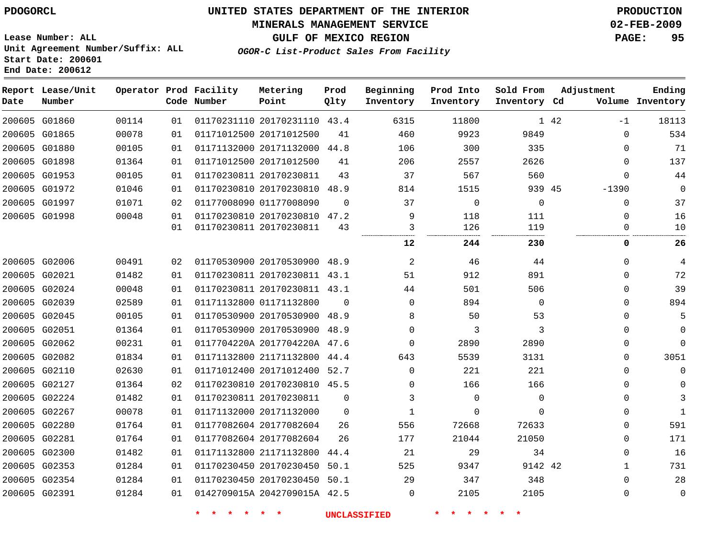#### **MINERALS MANAGEMENT SERVICE 02-FEB-2009**

**GULF OF MEXICO REGION PAGE: 95**

**Lease Number: ALL Unit Agreement Number/Suffix: ALL Start Date: 200601 End Date: 200612**

| OGOR-C List-Product Sales From Facility |  |  |  |  |  |
|-----------------------------------------|--|--|--|--|--|
|-----------------------------------------|--|--|--|--|--|

| Date          | Report Lease/Unit<br>Number |       |    | Operator Prod Facility<br>Code Number | Metering<br>Point            | Prod<br>Qlty | Beginning<br>Inventory | Prod Into<br>Inventory | Sold From<br>Inventory Cd | Adjustment   | Ending<br>Volume Inventory |
|---------------|-----------------------------|-------|----|---------------------------------------|------------------------------|--------------|------------------------|------------------------|---------------------------|--------------|----------------------------|
|               | 200605 G01860               | 00114 | 01 |                                       | 01170231110 20170231110 43.4 |              | 6315                   | 11800                  |                           | 1 42<br>$-1$ | 18113                      |
|               | 200605 G01865               | 00078 | 01 |                                       | 01171012500 20171012500      | 41           | 460                    | 9923                   | 9849                      | $\Omega$     | 534                        |
|               | 200605 G01880               | 00105 | 01 |                                       | 01171132000 20171132000 44.8 |              | 106                    | 300                    | 335                       | $\Omega$     | 71                         |
|               | 200605 G01898               | 01364 | 01 |                                       | 01171012500 20171012500      | 41           | 206                    | 2557                   | 2626                      | $\Omega$     | 137                        |
|               | 200605 G01953               | 00105 | 01 |                                       | 01170230811 20170230811      | 43           | 37                     | 567                    | 560                       | $\Omega$     | 44                         |
|               | 200605 G01972               | 01046 | 01 |                                       | 01170230810 20170230810 48.9 |              | 814                    | 1515                   | 939 45                    | $-1390$      | $\mathbf 0$                |
|               | 200605 G01997               | 01071 | 02 |                                       | 01177008090 01177008090      | $\Omega$     | 37                     | $\mathbf 0$            | $\mathbf 0$               | 0            | 37                         |
|               | 200605 G01998               | 00048 | 01 |                                       | 01170230810 20170230810 47.2 |              | 9                      | 118                    | 111                       | 0            | 16                         |
|               |                             |       | 01 |                                       | 01170230811 20170230811      | 43           | 3                      | 126                    | 119                       | 0            | 10                         |
|               |                             |       |    |                                       |                              |              | 12                     | 244                    | 230                       | 0            | 26                         |
|               | 200605 G02006               | 00491 | 02 |                                       | 01170530900 20170530900 48.9 |              | 2                      | 46                     | 44                        | 0            | 4                          |
|               | 200605 G02021               | 01482 | 01 |                                       | 01170230811 20170230811 43.1 |              | 51                     | 912                    | 891                       | 0            | 72                         |
|               | 200605 G02024               | 00048 | 01 |                                       | 01170230811 20170230811 43.1 |              | 44                     | 501                    | 506                       | $\mathbf 0$  | 39                         |
|               | 200605 G02039               | 02589 | 01 |                                       | 01171132800 01171132800      | $\Omega$     | $\mathbf 0$            | 894                    | $\mathbf 0$               | $\mathbf{0}$ | 894                        |
|               | 200605 G02045               | 00105 | 01 |                                       | 01170530900 20170530900 48.9 |              | 8                      | 50                     | 53                        | $\Omega$     | 5                          |
|               | 200605 G02051               | 01364 | 01 |                                       | 01170530900 20170530900 48.9 |              | $\Omega$               | 3                      | 3                         | $\Omega$     | $\mathbf 0$                |
|               | 200605 G02062               | 00231 | 01 |                                       | 0117704220A 2017704220A 47.6 |              | $\Omega$               | 2890                   | 2890                      | $\Omega$     | $\Omega$                   |
|               | 200605 G02082               | 01834 | 01 |                                       | 01171132800 21171132800 44.4 |              | 643                    | 5539                   | 3131                      | $\Omega$     | 3051                       |
|               | 200605 G02110               | 02630 | 01 |                                       | 01171012400 20171012400 52.7 |              | 0                      | 221                    | 221                       | 0            | $\mathbf 0$                |
|               | 200605 G02127               | 01364 | 02 |                                       | 01170230810 20170230810 45.5 |              | $\Omega$               | 166                    | 166                       | 0            | $\mathbf 0$                |
|               | 200605 G02224               | 01482 | 01 |                                       | 01170230811 20170230811      | $\mathbf 0$  | 3                      | 0                      | $\mathbf 0$               | $\mathbf{0}$ | 3                          |
| 200605 G02267 |                             | 00078 | 01 |                                       | 01171132000 20171132000      | $\Omega$     | 1                      | $\Omega$               | $\Omega$                  | $\Omega$     | $\mathbf{1}$               |
|               | 200605 G02280               | 01764 | 01 |                                       | 01177082604 20177082604      | 26           | 556                    | 72668                  | 72633                     | $\Omega$     | 591                        |
| 200605 G02281 |                             | 01764 | 01 |                                       | 01177082604 20177082604      | 26           | 177                    | 21044                  | 21050                     | $\Omega$     | 171                        |
|               | 200605 G02300               | 01482 | 01 |                                       | 01171132800 21171132800      | 44.4         | 21                     | 29                     | 34                        | $\Omega$     | 16                         |
|               | 200605 G02353               | 01284 | 01 |                                       | 01170230450 20170230450      | 50.1         | 525                    | 9347                   | 9142 42                   | 1            | 731                        |
|               | 200605 G02354               | 01284 | 01 |                                       | 01170230450 20170230450 50.1 |              | 29                     | 347                    | 348                       | 0            | 28                         |
|               | 200605 G02391               | 01284 | 01 |                                       | 0142709015A 2042709015A 42.5 |              | 0                      | 2105                   | 2105                      | 0            | $\mathbf 0$                |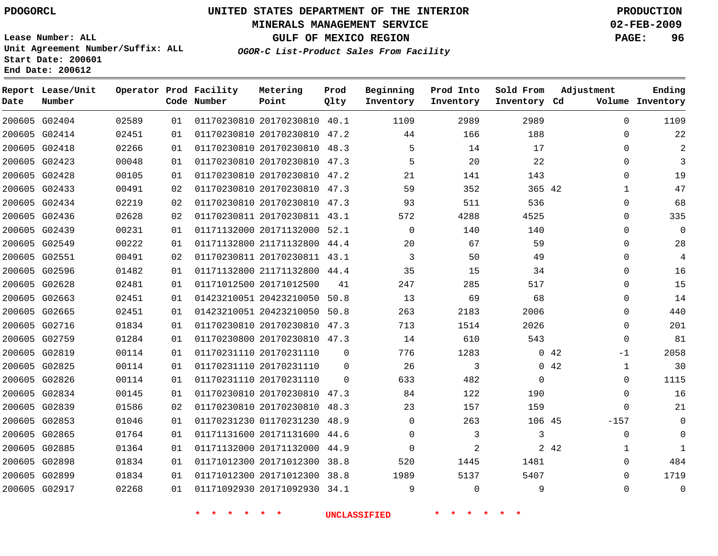#### **MINERALS MANAGEMENT SERVICE 02-FEB-2009**

**GULF OF MEXICO REGION PAGE: 96**

**Lease Number: ALL Unit Agreement Number/Suffix: ALL Start Date: 200601 End Date: 200612**

**OGOR-C List-Product Sales From Facility**

| Date | Report Lease/Unit<br>Number |       |    | Operator Prod Facility<br>Code Number | Metering<br>Point            | Prod<br>Qlty | Beginning<br>Inventory | Prod Into<br>Inventory | Sold From<br>Inventory Cd | Adjustment            | Ending<br>Volume Inventory |
|------|-----------------------------|-------|----|---------------------------------------|------------------------------|--------------|------------------------|------------------------|---------------------------|-----------------------|----------------------------|
|      | 200605 G02404               | 02589 | 01 |                                       | 01170230810 20170230810 40.1 |              | 1109                   | 2989                   | 2989                      | $\Omega$              | 1109                       |
|      | 200605 G02414               | 02451 | 01 |                                       | 01170230810 20170230810 47.2 |              | 44                     | 166                    | 188                       | 0                     | 22                         |
|      | 200605 G02418               | 02266 | 01 |                                       | 01170230810 20170230810 48.3 |              | 5                      | 14                     | 17                        | $\Omega$              | 2                          |
|      | 200605 G02423               | 00048 | 01 |                                       | 01170230810 20170230810 47.3 |              | 5                      | 20                     | 22                        | $\Omega$              | 3                          |
|      | 200605 G02428               | 00105 | 01 |                                       | 01170230810 20170230810 47.2 |              | 21                     | 141                    | 143                       | 0                     | 19                         |
|      | 200605 G02433               | 00491 | 02 |                                       | 01170230810 20170230810 47.3 |              | 59                     | 352                    | 365 42                    | $\mathbf{1}$          | 47                         |
|      | 200605 G02434               | 02219 | 02 |                                       | 01170230810 20170230810 47.3 |              | 93                     | 511                    | 536                       | $\Omega$              | 68                         |
|      | 200605 G02436               | 02628 | 02 |                                       | 01170230811 20170230811 43.1 |              | 572                    | 4288                   | 4525                      | 0                     | 335                        |
|      | 200605 G02439               | 00231 | 01 |                                       | 01171132000 20171132000 52.1 |              | $\Omega$               | 140                    | 140                       | 0                     | $\Omega$                   |
|      | 200605 G02549               | 00222 | 01 |                                       | 01171132800 21171132800 44.4 |              | 20                     | 67                     | 59                        | 0                     | 28                         |
|      | 200605 G02551               | 00491 | 02 |                                       | 01170230811 20170230811 43.1 |              | 3                      | 50                     | 49                        | 0                     | 4                          |
|      | 200605 G02596               | 01482 | 01 |                                       | 01171132800 21171132800 44.4 |              | 35                     | 15                     | 34                        | 0                     | 16                         |
|      | 200605 G02628               | 02481 | 01 |                                       | 01171012500 20171012500      | 41           | 247                    | 285                    | 517                       | $\Omega$              | 15                         |
|      | 200605 G02663               | 02451 | 01 |                                       | 01423210051 20423210050      | 50.8         | 13                     | 69                     | 68                        | 0                     | 14                         |
|      | 200605 G02665               | 02451 | 01 |                                       | 01423210051 20423210050 50.8 |              | 263                    | 2183                   | 2006                      | $\Omega$              | 440                        |
|      | 200605 G02716               | 01834 | 01 |                                       | 01170230810 20170230810 47.3 |              | 713                    | 1514                   | 2026                      | $\Omega$              | 201                        |
|      | 200605 G02759               | 01284 | 01 |                                       | 01170230800 20170230810 47.3 |              | 14                     | 610                    | 543                       | 0                     | 81                         |
|      | 200605 G02819               | 00114 | 01 |                                       | 01170231110 20170231110      | 0            | 776                    | 1283                   |                           | 042<br>$-1$           | 2058                       |
|      | 200605 G02825               | 00114 | 01 |                                       | 01170231110 20170231110      | $\Omega$     | 26                     | 3                      |                           | 0.42<br>$\mathbf{1}$  | 30                         |
|      | 200605 G02826               | 00114 | 01 |                                       | 01170231110 20170231110      | $\Omega$     | 633                    | 482                    | $\mathbf 0$               | 0                     | 1115                       |
|      | 200605 G02834               | 00145 | 01 |                                       | 01170230810 20170230810 47.3 |              | 84                     | 122                    | 190                       | 0                     | 16                         |
|      | 200605 G02839               | 01586 | 02 |                                       | 01170230810 20170230810 48.3 |              | 23                     | 157                    | 159                       | 0                     | 21                         |
|      | 200605 G02853               | 01046 | 01 |                                       | 01170231230 01170231230 48.9 |              | $\Omega$               | 263                    | 106 45                    | $-157$                | $\mathbf 0$                |
|      | 200605 G02865               | 01764 | 01 |                                       | 01171131600 20171131600      | -44.6        | $\Omega$               | 3                      | 3                         | 0                     | $\Omega$                   |
|      | 200605 G02885               | 01364 | 01 |                                       | 01171132000 20171132000 44.9 |              | $\Omega$               | 2                      |                           | 2 4 2<br>$\mathbf{1}$ | $\mathbf{1}$               |
|      | 200605 G02898               | 01834 | 01 |                                       | 01171012300 20171012300      | 38.8         | 520                    | 1445                   | 1481                      | 0                     | 484                        |
|      | 200605 G02899               | 01834 | 01 |                                       | 01171012300 20171012300 38.8 |              | 1989                   | 5137                   | 5407                      | $\Omega$              | 1719                       |
|      | 200605 G02917               | 02268 | 01 |                                       | 01171092930 20171092930 34.1 |              | 9                      | $\Omega$               | 9                         | $\Omega$              | $\mathbf{0}$               |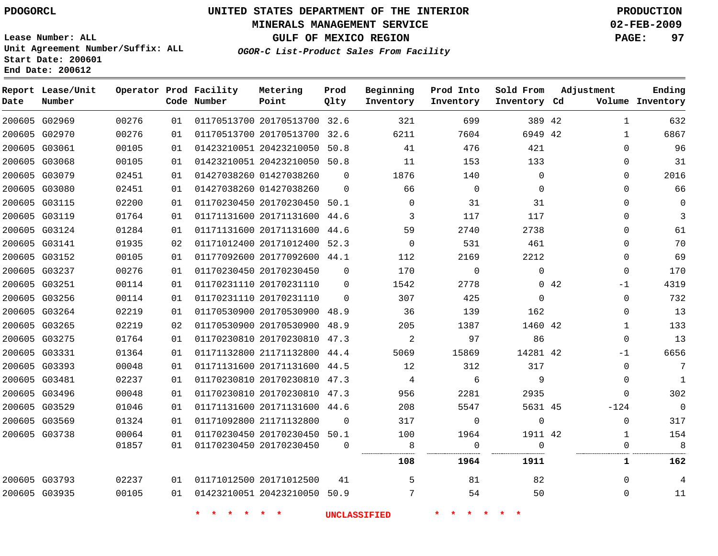#### **MINERALS MANAGEMENT SERVICE 02-FEB-2009**

**GULF OF MEXICO REGION PAGE: 97**

**Lease Number: ALL Unit Agreement Number/Suffix: ALL Start Date: 200601 End Date: 200612**

**OGOR-C List-Product Sales From Facility**

| Date | Report Lease/Unit<br>Number |       |    | Operator Prod Facility<br>Code Number | Metering<br>Point            | Prod<br>Qlty | Beginning<br>Inventory | Prod Into<br>Inventory | Sold From<br>Inventory Cd | Adjustment |              | Ending<br>Volume Inventory |
|------|-----------------------------|-------|----|---------------------------------------|------------------------------|--------------|------------------------|------------------------|---------------------------|------------|--------------|----------------------------|
|      | 200605 G02969               | 00276 | 01 |                                       | 01170513700 20170513700 32.6 |              | 321                    | 699                    | 389 42                    |            | 1            | 632                        |
|      | 200605 G02970               | 00276 | 01 |                                       | 01170513700 20170513700 32.6 |              | 6211                   | 7604                   | 6949 42                   |            | $\mathbf{1}$ | 6867                       |
|      | 200605 G03061               | 00105 | 01 |                                       | 01423210051 20423210050 50.8 |              | 41                     | 476                    | 421                       |            | $\Omega$     | 96                         |
|      | 200605 G03068               | 00105 | 01 |                                       | 01423210051 20423210050 50.8 |              | 11                     | 153                    | 133                       |            | 0            | 31                         |
|      | 200605 G03079               | 02451 | 01 |                                       | 01427038260 01427038260      | $\Omega$     | 1876                   | 140                    | $\mathbf 0$               |            | 0            | 2016                       |
|      | 200605 G03080               | 02451 | 01 |                                       | 01427038260 01427038260      | $\Omega$     | 66                     | $\mathbf 0$            | $\Omega$                  |            | $\Omega$     | 66                         |
|      | 200605 G03115               | 02200 | 01 |                                       | 01170230450 20170230450 50.1 |              | $\mathbf 0$            | 31                     | 31                        |            | 0            | $\Omega$                   |
|      | 200605 G03119               | 01764 | 01 |                                       | 01171131600 20171131600 44.6 |              | 3                      | 117                    | 117                       |            | $\Omega$     | 3                          |
|      | 200605 G03124               | 01284 | 01 |                                       | 01171131600 20171131600 44.6 |              | 59                     | 2740                   | 2738                      |            | $\mathbf{0}$ | 61                         |
|      | 200605 G03141               | 01935 | 02 |                                       | 01171012400 20171012400 52.3 |              | $\Omega$               | 531                    | 461                       |            | 0            | 70                         |
|      | 200605 G03152               | 00105 | 01 |                                       | 01177092600 20177092600 44.1 |              | 112                    | 2169                   | 2212                      |            | 0            | 69                         |
|      | 200605 G03237               | 00276 | 01 |                                       | 01170230450 20170230450      | $\Omega$     | 170                    | $\mathbf 0$            | 0                         |            | $\mathbf{0}$ | 170                        |
|      | 200605 G03251               | 00114 | 01 |                                       | 01170231110 20170231110      | 0            | 1542                   | 2778                   |                           | 042        | $-1$         | 4319                       |
|      | 200605 G03256               | 00114 | 01 |                                       | 01170231110 20170231110      | $\Omega$     | 307                    | 425                    | 0                         |            | $\Omega$     | 732                        |
|      | 200605 G03264               | 02219 | 01 |                                       | 01170530900 20170530900 48.9 |              | 36                     | 139                    | 162                       |            | 0            | 13                         |
|      | 200605 G03265               | 02219 | 02 |                                       | 01170530900 20170530900 48.9 |              | 205                    | 1387                   | 1460 42                   |            | $\mathbf{1}$ | 133                        |
|      | 200605 G03275               | 01764 | 01 |                                       | 01170230810 20170230810 47.3 |              | 2                      | 97                     | 86                        |            | $\mathbf{0}$ | 13                         |
|      | 200605 G03331               | 01364 | 01 |                                       | 01171132800 21171132800 44.4 |              | 5069                   | 15869                  | 14281 42                  |            | $-1$         | 6656                       |
|      | 200605 G03393               | 00048 | 01 |                                       | 01171131600 20171131600 44.5 |              | 12                     | 312                    | 317                       |            | 0            | $\overline{7}$             |
|      | 200605 G03481               | 02237 | 01 |                                       | 01170230810 20170230810 47.3 |              | $\overline{4}$         | 6                      | 9                         |            | $\Omega$     | $\mathbf{1}$               |
|      | 200605 G03496               | 00048 | 01 |                                       | 01170230810 20170230810 47.3 |              | 956                    | 2281                   | 2935                      |            | $\Omega$     | 302                        |
|      | 200605 G03529               | 01046 | 01 |                                       | 01171131600 20171131600 44.6 |              | 208                    | 5547                   | 5631 45                   |            | $-124$       | $\mathbf{0}$               |
|      | 200605 G03569               | 01324 | 01 |                                       | 01171092800 21171132800      | $\Omega$     | 317                    | 0                      | 0                         |            | $\Omega$     | 317                        |
|      | 200605 G03738               | 00064 | 01 |                                       | 01170230450 20170230450 50.1 |              | 100                    | 1964                   | 1911 42                   |            | $\mathbf{1}$ | 154                        |
|      |                             | 01857 | 01 |                                       | 01170230450 20170230450      | $\Omega$     | 8                      | 0                      | $\mathbf 0$               |            | $\mathbf{0}$ | 8                          |
|      |                             |       |    |                                       |                              |              | 108                    | 1964                   | 1911                      |            | $\mathbf{1}$ | 162                        |
|      | 200605 G03793               | 02237 | 01 |                                       | 01171012500 20171012500      | 41           | 5                      | 81                     | 82                        |            | $\mathbf 0$  | $\overline{4}$             |
|      | 200605 G03935               | 00105 | 01 |                                       | 01423210051 20423210050 50.9 |              | 7                      | 54                     | 50                        |            | $\Omega$     | 11                         |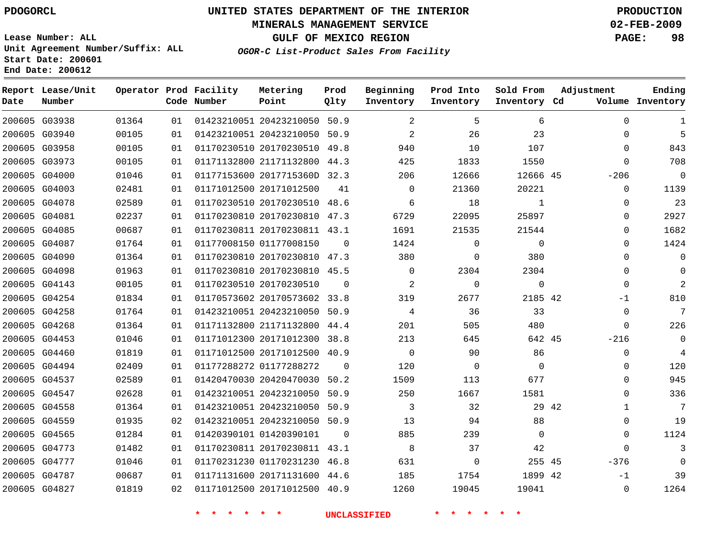#### **MINERALS MANAGEMENT SERVICE 02-FEB-2009**

**GULF OF MEXICO REGION PAGE: 98**

**Lease Number: ALL Unit Agreement Number/Suffix: ALL Start Date: 200601 End Date: 200612**

**OGOR-C List-Product Sales From Facility**

| Date | Report Lease/Unit<br>Number |       |     | Operator Prod Facility<br>Code Number | Metering<br>Point            | Prod<br>Qlty | Beginning<br>Inventory | Prod Into<br>Inventory | Sold From<br>Inventory Cd | Adjustment            | Ending<br>Volume Inventory |
|------|-----------------------------|-------|-----|---------------------------------------|------------------------------|--------------|------------------------|------------------------|---------------------------|-----------------------|----------------------------|
|      | 200605 G03938               | 01364 | 01  |                                       | 01423210051 20423210050 50.9 |              | 2                      | 5                      | 6                         | $\Omega$              | 1                          |
|      | 200605 G03940               | 00105 | 01  |                                       | 01423210051 20423210050 50.9 |              | 2                      | 26                     | 23                        | $\Omega$              | 5                          |
|      | 200605 G03958               | 00105 | 01  |                                       | 01170230510 20170230510 49.8 |              | 940                    | 10                     | 107                       | $\Omega$              | 843                        |
|      | 200605 G03973               | 00105 | 01  |                                       | 01171132800 21171132800 44.3 |              | 425                    | 1833                   | 1550                      | 0                     | 708                        |
|      | 200605 G04000               | 01046 | 01  |                                       | 01177153600 2017715360D 32.3 |              | 206                    | 12666                  | 12666 45                  | $-206$                | $\overline{0}$             |
|      | 200605 G04003               | 02481 | 01  |                                       | 01171012500 20171012500      | 41           | $\Omega$               | 21360                  | 20221                     | $\mathbf{0}$          | 1139                       |
|      | 200605 G04078               | 02589 | 01  |                                       | 01170230510 20170230510 48.6 |              | 6                      | 18                     | 1                         | $\Omega$              | 23                         |
|      | 200605 G04081               | 02237 | 01  |                                       | 01170230810 20170230810 47.3 |              | 6729                   | 22095                  | 25897                     | $\Omega$              | 2927                       |
|      | 200605 G04085               | 00687 | 01  |                                       | 01170230811 20170230811 43.1 |              | 1691                   | 21535                  | 21544                     | 0                     | 1682                       |
|      | 200605 G04087               | 01764 | 01  |                                       | 01177008150 01177008150      | 0            | 1424                   | $\mathbf 0$            | $\mathbf 0$               | 0                     | 1424                       |
|      | 200605 G04090               | 01364 | 01  |                                       | 01170230810 20170230810 47.3 |              | 380                    | $\mathbf 0$            | 380                       | $\Omega$              | $\overline{0}$             |
|      | 200605 G04098               | 01963 | 01  |                                       | 01170230810 20170230810 45.5 |              | $\mathbf 0$            | 2304                   | 2304                      | $\Omega$              | $\Omega$                   |
|      | 200605 G04143               | 00105 | 01  |                                       | 01170230510 20170230510      | $\Omega$     | 2                      | $\Omega$               | $\Omega$                  | $\Omega$              | $\overline{2}$             |
|      | 200605 G04254               | 01834 | 01  |                                       | 01170573602 20170573602 33.8 |              | 319                    | 2677                   | 2185 42                   | $-1$                  | 810                        |
|      | 200605 G04258               | 01764 | 01  |                                       | 01423210051 20423210050 50.9 |              | 4                      | 36                     | 33                        | $\mathbf{0}$          | 7                          |
|      | 200605 G04268               | 01364 | 01  |                                       | 01171132800 21171132800      | 44.4         | 201                    | 505                    | 480                       | $\mathbf 0$           | 226                        |
|      | 200605 G04453               | 01046 | 01  |                                       | 01171012300 20171012300 38.8 |              | 213                    | 645                    | 642 45                    | $-216$                | $\overline{0}$             |
|      | 200605 G04460               | 01819 | 0 1 |                                       | 01171012500 20171012500 40.9 |              | $\Omega$               | 90                     | 86                        | $\mathbf 0$           | $\overline{4}$             |
|      | 200605 G04494               | 02409 | 01  |                                       | 01177288272 01177288272      | $\Omega$     | 120                    | $\mathbf 0$            | $\Omega$                  | $\mathbf{0}$          | 120                        |
|      | 200605 G04537               | 02589 | 01  |                                       | 01420470030 20420470030      | 50.2         | 1509                   | 113                    | 677                       | 0                     | 945                        |
|      | 200605 G04547               | 02628 | 01  |                                       | 01423210051 20423210050 50.9 |              | 250                    | 1667                   | 1581                      | $\Omega$              | 336                        |
|      | 200605 G04558               | 01364 | 01  |                                       | 01423210051 20423210050 50.9 |              | 3                      | 32                     |                           | 29 42<br>$\mathbf{1}$ | 7                          |
|      | 200605 G04559               | 01935 | 02  |                                       | 01423210051 20423210050 50.9 |              | 13                     | 94                     | 88                        | $\Omega$              | 19                         |
|      | 200605 G04565               | 01284 | 01  |                                       | 01420390101 01420390101      | $\Omega$     | 885                    | 239                    | $\mathbf 0$               | $\mathbf{0}$          | 1124                       |
|      | 200605 G04773               | 01482 | 01  |                                       | 01170230811 20170230811 43.1 |              | 8                      | 37                     | 42                        | $\Omega$              | 3                          |
|      | 200605 G04777               | 01046 | 01  |                                       | 01170231230 01170231230 46.8 |              | 631                    | $\mathbf{0}$           | 255 45                    | $-376$                | $\Omega$                   |
|      | 200605 G04787               | 00687 | 01  |                                       | 01171131600 20171131600 44.6 |              | 185                    | 1754                   | 1899 42                   | $-1$                  | 39                         |
|      | 200605 G04827               | 01819 | 02  |                                       | 01171012500 20171012500 40.9 |              | 1260                   | 19045                  | 19041                     | $\Omega$              | 1264                       |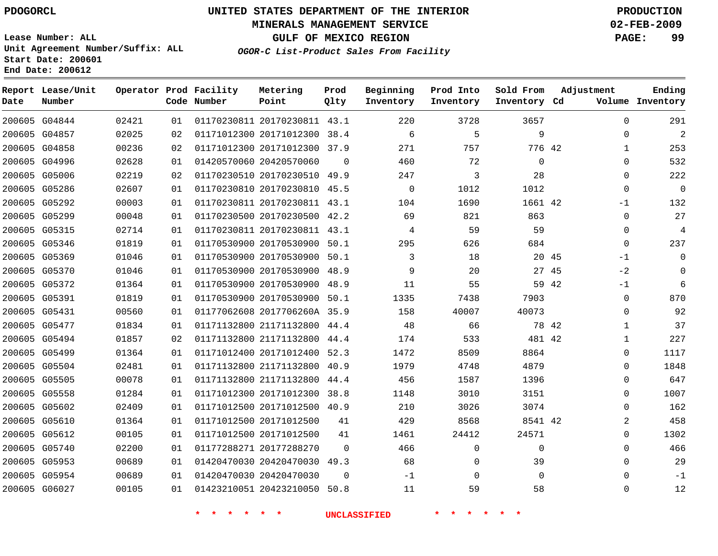#### **MINERALS MANAGEMENT SERVICE 02-FEB-2009**

**GULF OF MEXICO REGION PAGE: 99**

**Lease Number: ALL Unit Agreement Number/Suffix: ALL Start Date: 200601 End Date: 200612**

**OGOR-C List-Product Sales From Facility**

| Date | Report Lease/Unit<br>Number |       |    | Operator Prod Facility<br>Code Number | Metering<br>Point            | Prod<br>Qlty | Beginning<br>Inventory | Prod Into<br>Inventory | Sold From<br>Inventory Cd | Adjustment    | Ending<br>Volume Inventory |
|------|-----------------------------|-------|----|---------------------------------------|------------------------------|--------------|------------------------|------------------------|---------------------------|---------------|----------------------------|
|      | 200605 G04844               | 02421 | 01 |                                       | 01170230811 20170230811 43.1 |              | 220                    | 3728                   | 3657                      | $\Omega$      | 291                        |
|      | 200605 G04857               | 02025 | 02 |                                       | 01171012300 20171012300 38.4 |              | 6                      | 5                      | 9                         | 0             | $\overline{2}$             |
|      | 200605 G04858               | 00236 | 02 |                                       | 01171012300 20171012300      | 37.9         | 271                    | 757                    | 776 42                    | 1             | 253                        |
|      | 200605 G04996               | 02628 | 01 |                                       | 01420570060 20420570060      | $\Omega$     | 460                    | 72                     | 0                         | $\Omega$      | 532                        |
|      | 200605 G05006               | 02219 | 02 |                                       | 01170230510 20170230510 49.9 |              | 247                    | 3                      | 28                        | 0             | 222                        |
|      | 200605 G05286               | 02607 | 01 |                                       | 01170230810 20170230810 45.5 |              | $\overline{0}$         | 1012                   | 1012                      | 0             | $\mathbf 0$                |
|      | 200605 G05292               | 00003 | 01 |                                       | 01170230811 20170230811 43.1 |              | 104                    | 1690                   | 1661 42                   | $-1$          | 132                        |
|      | 200605 G05299               | 00048 | 01 |                                       | 01170230500 20170230500 42.2 |              | 69                     | 821                    | 863                       | 0             | 27                         |
|      | 200605 G05315               | 02714 | 01 |                                       | 01170230811 20170230811 43.1 |              | 4                      | 59                     | 59                        | $\Omega$      | 4                          |
|      | 200605 G05346               | 01819 | 01 |                                       | 01170530900 20170530900 50.1 |              | 295                    | 626                    | 684                       | $\Omega$      | 237                        |
|      | 200605 G05369               | 01046 | 01 |                                       | 01170530900 20170530900 50.1 |              | 3                      | 18                     | 20 45                     | $-1$          | $\mathbf 0$                |
|      | 200605 G05370               | 01046 | 01 |                                       | 01170530900 20170530900      | 48.9         | 9                      | 20                     |                           | $-2$<br>27 45 | $\Omega$                   |
|      | 200605 G05372               | 01364 | 01 |                                       | 01170530900 20170530900      | 48.9         | 11                     | 55                     | 59 42                     | $-1$          | 6                          |
|      | 200605 G05391               | 01819 | 01 |                                       | 01170530900 20170530900 50.1 |              | 1335                   | 7438                   | 7903                      | 0             | 870                        |
|      | 200605 G05431               | 00560 | 01 |                                       | 01177062608 2017706260A 35.9 |              | 158                    | 40007                  | 40073                     | $\Omega$      | 92                         |
|      | 200605 G05477               | 01834 | 01 |                                       | 01171132800 21171132800      | 44.4         | 48                     | 66                     | 78 42                     | $\mathbf{1}$  | 37                         |
|      | 200605 G05494               | 01857 | 02 |                                       | 01171132800 21171132800 44.4 |              | 174                    | 533                    | 481 42                    | 1             | 227                        |
|      | 200605 G05499               | 01364 | 01 |                                       | 01171012400 20171012400      | 52.3         | 1472                   | 8509                   | 8864                      | 0             | 1117                       |
|      | 200605 G05504               | 02481 | 01 |                                       | 01171132800 21171132800      | 40.9         | 1979                   | 4748                   | 4879                      | $\Omega$      | 1848                       |
|      | 200605 G05505               | 00078 | 01 |                                       | 01171132800 21171132800      | 44.4         | 456                    | 1587                   | 1396                      | 0             | 647                        |
|      | 200605 G05558               | 01284 | 01 |                                       | 01171012300 20171012300 38.8 |              | 1148                   | 3010                   | 3151                      | $\Omega$      | 1007                       |
|      | 200605 G05602               | 02409 | 01 |                                       | 01171012500 20171012500 40.9 |              | 210                    | 3026                   | 3074                      | $\Omega$      | 162                        |
|      | 200605 G05610               | 01364 | 01 |                                       | 01171012500 20171012500      | 41           | 429                    | 8568                   | 8541 42                   | 2             | 458                        |
|      | 200605 G05612               | 00105 | 01 |                                       | 01171012500 20171012500      | 41           | 1461                   | 24412                  | 24571                     | $\Omega$      | 1302                       |
|      | 200605 G05740               | 02200 | 01 |                                       | 01177288271 20177288270      | $\Omega$     | 466                    | $\mathbf{0}$           | 0                         | $\Omega$      | 466                        |
|      | 200605 G05953               | 00689 | 01 |                                       | 01420470030 20420470030      | 49.3         | 68                     | 0                      | 39                        | 0             | 29                         |
|      | 200605 G05954               | 00689 | 01 |                                       | 01420470030 20420470030      | $\Omega$     | $-1$                   | $\mathbf 0$            | $\Omega$                  | $\Omega$      | $-1$                       |
|      | 200605 G06027               | 00105 | 01 |                                       | 01423210051 20423210050      | 50.8         | 11                     | 59                     | 58                        | $\Omega$      | 12                         |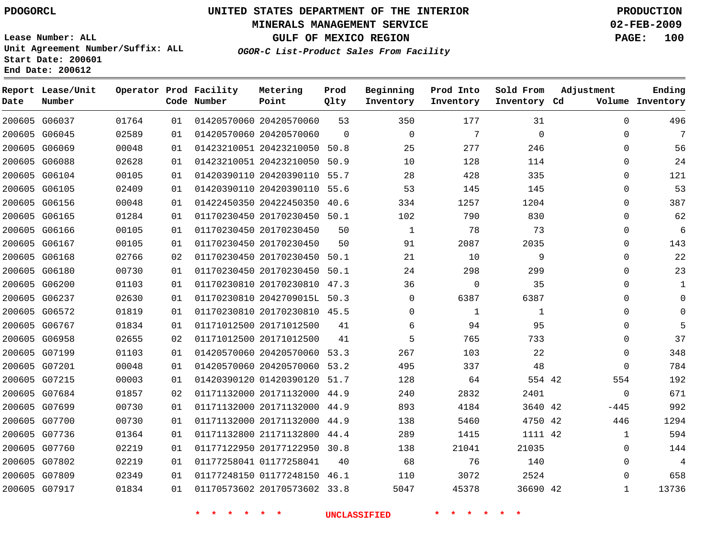#### **MINERALS MANAGEMENT SERVICE 02-FEB-2009**

**GULF OF MEXICO REGION PAGE: 100**

**Lease Number: ALL Unit Agreement Number/Suffix: ALL Start Date: 200601 End Date: 200612**

**OGOR-C List-Product Sales From Facility**

| Date | Report Lease/Unit<br>Number |       |    | Operator Prod Facility<br>Code Number | Metering<br>Point            | Prod<br>Qlty | Beginning<br>Inventory | Prod Into<br>Inventory | Sold From<br>Inventory Cd | Adjustment   | Ending<br>Volume Inventory |
|------|-----------------------------|-------|----|---------------------------------------|------------------------------|--------------|------------------------|------------------------|---------------------------|--------------|----------------------------|
|      | 200605 G06037               | 01764 | 01 |                                       | 01420570060 20420570060      | 53           | 350                    | 177                    | 31                        | $\Omega$     | 496                        |
|      | 200605 G06045               | 02589 | 01 |                                       | 01420570060 20420570060      | $\Omega$     | $\Omega$               | 7                      | $\mathbf 0$               | $\mathbf 0$  | 7                          |
|      | 200605 G06069               | 00048 | 01 |                                       | 01423210051 20423210050 50.8 |              | 25                     | 277                    | 246                       | $\Omega$     | 56                         |
|      | 200605 G06088               | 02628 | 01 |                                       | 01423210051 20423210050      | 50.9         | 10                     | 128                    | 114                       | $\Omega$     | 24                         |
|      | 200605 G06104               | 00105 | 01 |                                       | 01420390110 20420390110 55.7 |              | 28                     | 428                    | 335                       | $\Omega$     | 121                        |
|      | 200605 G06105               | 02409 | 01 |                                       | 01420390110 20420390110 55.6 |              | 53                     | 145                    | 145                       | 0            | 53                         |
|      | 200605 G06156               | 00048 | 01 |                                       | 01422450350 20422450350 40.6 |              | 334                    | 1257                   | 1204                      | 0            | 387                        |
|      | 200605 G06165               | 01284 | 01 |                                       | 01170230450 20170230450 50.1 |              | 102                    | 790                    | 830                       | 0            | 62                         |
|      | 200605 G06166               | 00105 | 01 |                                       | 01170230450 20170230450      | 50           | $\mathbf 1$            | 78                     | 73                        | $\Omega$     | 6                          |
|      | 200605 G06167               | 00105 | 01 |                                       | 01170230450 20170230450      | 50           | 91                     | 2087                   | 2035                      | 0            | 143                        |
|      | 200605 G06168               | 02766 | 02 |                                       | 01170230450 20170230450 50.1 |              | 21                     | 10                     | 9                         | $\Omega$     | 22                         |
|      | 200605 G06180               | 00730 | 01 |                                       | 01170230450 20170230450 50.1 |              | 24                     | 298                    | 299                       | 0            | 23                         |
|      | 200605 G06200               | 01103 | 01 |                                       | 01170230810 20170230810 47.3 |              | 36                     | $\Omega$               | 35                        | $\Omega$     | 1                          |
|      | 200605 G06237               | 02630 | 01 |                                       | 01170230810 2042709015L 50.3 |              | $\Omega$               | 6387                   | 6387                      | 0            | $\Omega$                   |
|      | 200605 G06572               | 01819 | 01 |                                       | 01170230810 20170230810 45.5 |              | $\Omega$               | 1                      | 1                         | 0            | $\Omega$                   |
|      | 200605 G06767               | 01834 | 01 |                                       | 01171012500 20171012500      | 41           | 6                      | 94                     | 95                        | 0            | 5                          |
|      | 200605 G06958               | 02655 | 02 |                                       | 01171012500 20171012500      | 41           | 5                      | 765                    | 733                       | $\Omega$     | 37                         |
|      | 200605 G07199               | 01103 | 01 |                                       | 01420570060 20420570060 53.3 |              | 267                    | 103                    | 22                        | $\mathbf 0$  | 348                        |
|      | 200605 G07201               | 00048 | 01 |                                       | 01420570060 20420570060 53.2 |              | 495                    | 337                    | 48                        | $\Omega$     | 784                        |
|      | 200605 G07215               | 00003 | 01 |                                       | 01420390120 01420390120      | 51.7         | 128                    | 64                     | 554 42                    | 554          | 192                        |
|      | 200605 G07684               | 01857 | 02 |                                       | 01171132000 20171132000 44.9 |              | 240                    | 2832                   | 2401                      | $\mathbf 0$  | 671                        |
|      | 200605 G07699               | 00730 | 01 |                                       | 01171132000 20171132000      | 44.9         | 893                    | 4184                   | 3640 42                   | -445         | 992                        |
|      | 200605 G07700               | 00730 | 01 |                                       | 01171132000 20171132000 44.9 |              | 138                    | 5460                   | 4750 42                   | 446          | 1294                       |
|      | 200605 G07736               | 01364 | 01 |                                       | 01171132800 21171132800      | 44.4         | 289                    | 1415                   | 1111 42                   | $\mathbf{1}$ | 594                        |
|      | 200605 G07760               | 02219 | 01 |                                       | 01177122950 20177122950 30.8 |              | 138                    | 21041                  | 21035                     | $\Omega$     | 144                        |
|      | 200605 G07802               | 02219 | 01 |                                       | 01177258041 01177258041      | 40           | 68                     | 76                     | 140                       | 0            | 4                          |
|      | 200605 G07809               | 02349 | 01 |                                       | 01177248150 01177248150 46.1 |              | 110                    | 3072                   | 2524                      | $\Omega$     | 658                        |
|      | 200605 G07917               | 01834 | 01 |                                       | 01170573602 20170573602 33.8 |              | 5047                   | 45378                  | 36690 42                  | $\mathbf{1}$ | 13736                      |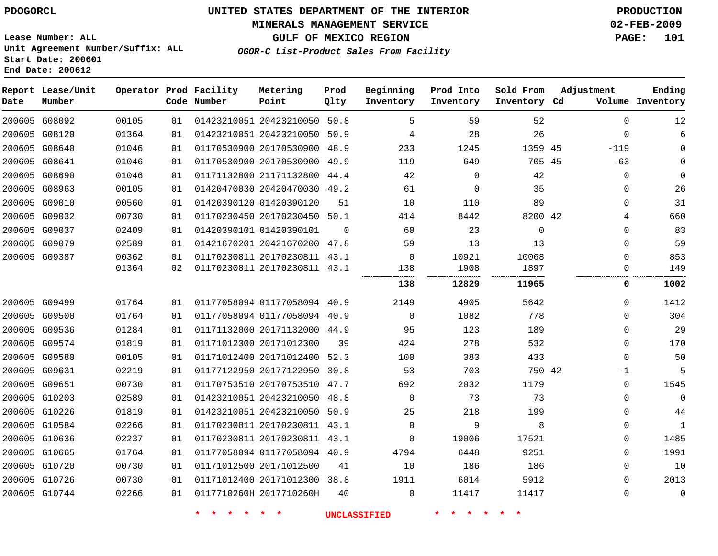# **MINERALS MANAGEMENT SERVICE 02-FEB-2009**

**GULF OF MEXICO REGION PAGE: 101**

**Lease Number: ALL Unit Agreement Number/Suffix: ALL Start Date: 200601 End Date: 200612**

**OGOR-C List-Product Sales From Facility**

| Date | Report Lease/Unit<br>Number |       |    | Operator Prod Facility<br>Code Number | Metering<br>Point            | Prod<br>Qlty | Beginning<br>Inventory | Prod Into<br>Inventory | Sold From<br>Inventory Cd | Adjustment | Ending<br>Volume Inventory   |
|------|-----------------------------|-------|----|---------------------------------------|------------------------------|--------------|------------------------|------------------------|---------------------------|------------|------------------------------|
|      | 200605 G08092               | 00105 | 01 |                                       | 01423210051 20423210050 50.8 |              | 5                      | 59                     | 52                        |            | $\Omega$<br>12               |
|      | 200605 G08120               | 01364 | 01 |                                       | 01423210051 20423210050 50.9 |              | 4                      | 28                     | 26                        |            | 0<br>6                       |
|      | 200605 G08640               | 01046 | 01 |                                       | 01170530900 20170530900 48.9 |              | 233                    | 1245                   | 1359 45                   | $-119$     | $\Omega$                     |
|      | 200605 G08641               | 01046 | 01 |                                       | 01170530900 20170530900 49.9 |              | 119                    | 649                    | 705 45                    | $-63$      | $\Omega$                     |
|      | 200605 G08690               | 01046 | 01 |                                       | 01171132800 21171132800 44.4 |              | 42                     | $\mathbf 0$            | 42                        |            | 0<br>$\mathbf 0$             |
|      | 200605 G08963               | 00105 | 01 |                                       | 01420470030 20420470030 49.2 |              | 61                     | $\mathbf 0$            | 35                        |            | 26<br>0                      |
|      | 200605 G09010               | 00560 | 01 |                                       | 01420390120 01420390120      | 51           | 10                     | 110                    | 89                        |            | 31<br>$\mathbf 0$            |
|      | 200605 G09032               | 00730 | 01 |                                       | 01170230450 20170230450 50.1 |              | 414                    | 8442                   | 8200 42                   |            | 660<br>4                     |
|      | 200605 G09037               | 02409 | 01 |                                       | 01420390101 01420390101      | $\Omega$     | 60                     | 23                     | $\mathbf 0$               |            | 83<br>$\mathbf 0$            |
|      | 200605 G09079               | 02589 | 01 |                                       | 01421670201 20421670200 47.8 |              | 59                     | 13                     | 13                        |            | 59<br>$\mathbf 0$            |
|      | 200605 G09387               | 00362 | 01 |                                       | 01170230811 20170230811 43.1 |              | $\Omega$               | 10921                  | 10068                     |            | 853<br>$\Omega$              |
|      |                             | 01364 | 02 |                                       | 01170230811 20170230811 43.1 |              | 138                    | 1908                   | 1897                      |            | 149<br>0                     |
|      |                             |       |    |                                       |                              |              | 138                    | 12829                  | 11965                     |            | 1002<br>0                    |
|      | 200605 G09499               | 01764 | 01 |                                       | 01177058094 01177058094 40.9 |              | 2149                   | 4905                   | 5642                      |            | $\Omega$<br>1412             |
|      | 200605 G09500               | 01764 | 01 |                                       | 01177058094 01177058094 40.9 |              | $\Omega$               | 1082                   | 778                       |            | 304<br>$\Omega$              |
|      | 200605 G09536               | 01284 | 01 |                                       | 01171132000 20171132000 44.9 |              | 95                     | 123                    | 189                       |            | 29<br>$\Omega$               |
|      | 200605 G09574               | 01819 | 01 |                                       | 01171012300 20171012300      | 39           | 424                    | 278                    | 532                       |            | 170<br>$\Omega$              |
|      | 200605 G09580               | 00105 | 01 |                                       | 01171012400 20171012400 52.3 |              | 100                    | 383                    | 433                       |            | 50<br>$\mathbf 0$            |
|      | 200605 G09631               | 02219 | 01 |                                       | 01177122950 20177122950 30.8 |              | 53                     | 703                    | 750 42                    | $-1$       | 5                            |
|      | 200605 G09651               | 00730 | 01 |                                       | 01170753510 20170753510 47.7 |              | 692                    | 2032                   | 1179                      |            | 1545<br>0                    |
|      | 200605 G10203               | 02589 | 01 |                                       | 01423210051 20423210050 48.8 |              | $\mathbf 0$            | 73                     | 73                        |            | $\mathbf{0}$<br>0            |
|      | 200605 G10226               | 01819 | 01 |                                       | 01423210051 20423210050 50.9 |              | 25                     | 218                    | 199                       |            | $\mathbf 0$<br>44            |
|      | 200605 G10584               | 02266 | 01 |                                       | 01170230811 20170230811 43.1 |              | $\mathbf 0$            | 9                      | 8                         |            | $\mathbf{1}$<br>$\mathbf 0$  |
|      | 200605 G10636               | 02237 | 01 |                                       | 01170230811 20170230811 43.1 |              | $\Omega$               | 19006                  | 17521                     |            | 1485<br>$\mathbf 0$          |
|      | 200605 G10665               | 01764 | 01 |                                       | 01177058094 01177058094 40.9 |              | 4794                   | 6448                   | 9251                      |            | 1991<br>$\mathbf 0$          |
|      | 200605 G10720               | 00730 | 01 |                                       | 01171012500 20171012500      | 41           | 10                     | 186                    | 186                       |            | 10<br>$\mathbf 0$            |
|      | 200605 G10726               | 00730 | 01 |                                       | 01171012400 20171012300 38.8 |              | 1911                   | 6014                   | 5912                      |            | 2013<br>$\mathbf 0$          |
|      | 200605 G10744               | 02266 | 01 |                                       | 0117710260H 2017710260H      | 40           | $\mathbf 0$            | 11417                  | 11417                     |            | $\mathbf{0}$<br>$\mathbf{0}$ |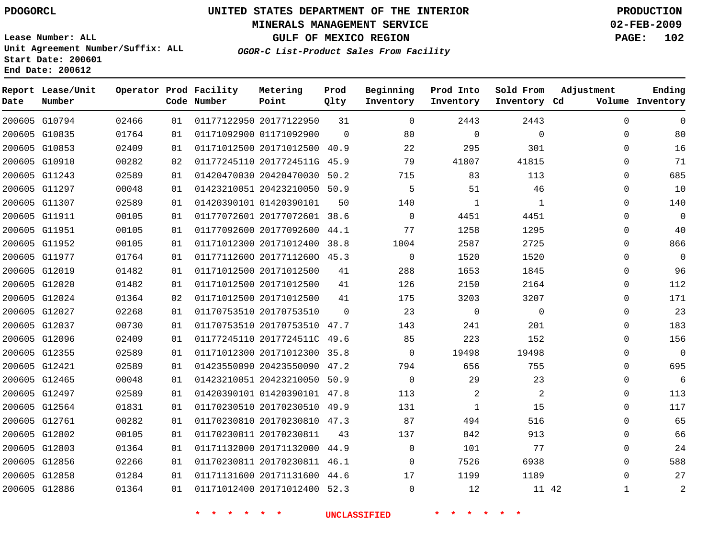#### **MINERALS MANAGEMENT SERVICE 02-FEB-2009**

**GULF OF MEXICO REGION PAGE: 102**

**Lease Number: ALL Unit Agreement Number/Suffix: ALL Start Date: 200601 End Date: 200612**

**OGOR-C List-Product Sales From Facility**

| Date | Report Lease/Unit<br>Number |       |    | Operator Prod Facility<br>Code Number | Metering<br>Point            | Prod<br>Qlty | Beginning<br>Inventory | Prod Into<br>Inventory | Sold From<br>Inventory Cd | Adjustment   | Ending<br>Volume Inventory |
|------|-----------------------------|-------|----|---------------------------------------|------------------------------|--------------|------------------------|------------------------|---------------------------|--------------|----------------------------|
|      | 200605 G10794               | 02466 | 01 |                                       | 01177122950 20177122950      | 31           | $\Omega$               | 2443                   | 2443                      | $\mathbf 0$  | 0                          |
|      | 200605 G10835               | 01764 | 01 |                                       | 01171092900 01171092900      | $\Omega$     | 80                     | $\mathbf 0$            | $\mathbf 0$               | $\mathbf 0$  | 80                         |
|      | 200605 G10853               | 02409 | 01 |                                       | 01171012500 20171012500 40.9 |              | 22                     | 295                    | 301                       | $\Omega$     | 16                         |
|      | 200605 G10910               | 00282 | 02 |                                       | 01177245110 2017724511G 45.9 |              | 79                     | 41807                  | 41815                     | $\mathbf 0$  | 71                         |
|      | 200605 G11243               | 02589 | 01 |                                       | 01420470030 20420470030 50.2 |              | 715                    | 83                     | 113                       | $\Omega$     | 685                        |
|      | 200605 G11297               | 00048 | 01 |                                       | 01423210051 20423210050 50.9 |              | 5                      | 51                     | 46                        | $\mathbf 0$  | 10                         |
|      | 200605 G11307               | 02589 | 01 |                                       | 01420390101 01420390101      | 50           | 140                    | $\mathbf{1}$           | 1                         | $\Omega$     | 140                        |
|      | 200605 G11911               | 00105 | 01 |                                       | 01177072601 20177072601 38.6 |              | $\Omega$               | 4451                   | 4451                      | $\Omega$     | $\mathbf 0$                |
|      | 200605 G11951               | 00105 | 01 |                                       | 01177092600 20177092600 44.1 |              | 77                     | 1258                   | 1295                      | $\mathbf 0$  | 40                         |
|      | 200605 G11952               | 00105 | 01 |                                       | 01171012300 20171012400 38.8 |              | 1004                   | 2587                   | 2725                      | $\mathbf 0$  | 866                        |
|      | 200605 G11977               | 01764 | 01 |                                       | 01177112600 20177112600 45.3 |              | $\mathbf 0$            | 1520                   | 1520                      | $\Omega$     | 0                          |
|      | 200605 G12019               | 01482 | 01 |                                       | 01171012500 20171012500      | 41           | 288                    | 1653                   | 1845                      | $\mathbf 0$  | 96                         |
|      | 200605 G12020               | 01482 | 01 |                                       | 01171012500 20171012500      | 41           | 126                    | 2150                   | 2164                      | $\Omega$     | 112                        |
|      | 200605 G12024               | 01364 | 02 |                                       | 01171012500 20171012500      | 41           | 175                    | 3203                   | 3207                      | $\mathbf 0$  | 171                        |
|      | 200605 G12027               | 02268 | 01 |                                       | 01170753510 20170753510      | $\Omega$     | 23                     | $\mathbf 0$            | $\Omega$                  | $\Omega$     | 23                         |
|      | 200605 G12037               | 00730 | 01 |                                       | 01170753510 20170753510 47.7 |              | 143                    | 241                    | 201                       | $\Omega$     | 183                        |
|      | 200605 G12096               | 02409 | 01 |                                       | 01177245110 2017724511C 49.6 |              | 85                     | 223                    | 152                       | $\Omega$     | 156                        |
|      | 200605 G12355               | 02589 | 01 |                                       | 01171012300 20171012300 35.8 |              | $\Omega$               | 19498                  | 19498                     | $\Omega$     | $\mathbf 0$                |
|      | 200605 G12421               | 02589 | 01 |                                       | 01423550090 20423550090 47.2 |              | 794                    | 656                    | 755                       | $\mathbf 0$  | 695                        |
|      | 200605 G12465               | 00048 | 01 |                                       | 01423210051 20423210050 50.9 |              | $\mathbf 0$            | 29                     | 23                        | $\mathbf 0$  | 6                          |
|      | 200605 G12497               | 02589 | 01 |                                       | 01420390101 01420390101 47.8 |              | 113                    | 2                      | 2                         | $\mathbf{0}$ | 113                        |
|      | 200605 G12564               | 01831 | 01 |                                       | 01170230510 20170230510 49.9 |              | 131                    | $\mathbf{1}$           | 15                        | $\mathbf 0$  | 117                        |
|      | 200605 G12761               | 00282 | 01 |                                       | 01170230810 20170230810 47.3 |              | 87                     | 494                    | 516                       | $\Omega$     | 65                         |
|      | 200605 G12802               | 00105 | 01 |                                       | 01170230811 20170230811      | 43           | 137                    | 842                    | 913                       | $\mathbf 0$  | 66                         |
|      | 200605 G12803               | 01364 | 01 |                                       | 01171132000 20171132000 44.9 |              | $\Omega$               | 101                    | 77                        | $\Omega$     | 24                         |
|      | 200605 G12856               | 02266 | 01 |                                       | 01170230811 20170230811 46.1 |              | $\Omega$               | 7526                   | 6938                      | $\Omega$     | 588                        |
|      | 200605 G12858               | 01284 | 01 |                                       | 01171131600 20171131600 44.6 |              | 17                     | 1199                   | 1189                      | $\Omega$     | 27                         |
|      | 200605 G12886               | 01364 | 01 |                                       | 01171012400 20171012400 52.3 |              | $\Omega$               | 12                     | 11 42                     | $\mathbf{1}$ | $\overline{2}$             |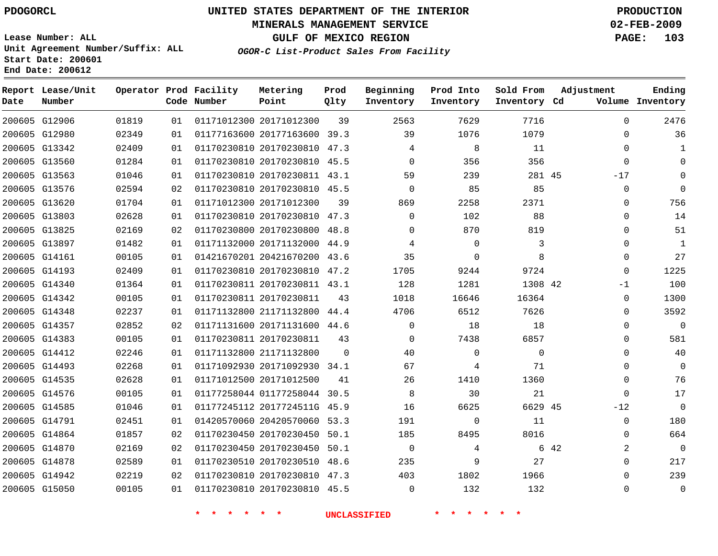#### **MINERALS MANAGEMENT SERVICE 02-FEB-2009**

**GULF OF MEXICO REGION PAGE: 103**

**Lease Number: ALL Unit Agreement Number/Suffix: ALL Start Date: 200601 End Date: 200612**

**OGOR-C List-Product Sales From Facility**

| Date | Report Lease/Unit<br>Number |       |    | Operator Prod Facility<br>Code Number | Metering<br>Point            | Prod<br>Qlty | Beginning<br>Inventory | Prod Into<br>Inventory | Sold From<br>Inventory Cd | Adjustment   | Ending<br>Volume Inventory |
|------|-----------------------------|-------|----|---------------------------------------|------------------------------|--------------|------------------------|------------------------|---------------------------|--------------|----------------------------|
|      | 200605 G12906               | 01819 | 01 |                                       | 01171012300 20171012300      | 39           | 2563                   | 7629                   | 7716                      | $\Omega$     | 2476                       |
|      | 200605 G12980               | 02349 | 01 |                                       | 01177163600 20177163600 39.3 |              | 39                     | 1076                   | 1079                      | $\mathbf{0}$ | 36                         |
|      | 200605 G13342               | 02409 | 01 |                                       | 01170230810 20170230810 47.3 |              | 4                      | 8                      | 11                        | $\Omega$     |                            |
|      | 200605 G13560               | 01284 | 01 |                                       | 01170230810 20170230810 45.5 |              | $\mathbf{0}$           | 356                    | 356                       | 0            | $\Omega$                   |
|      | 200605 G13563               | 01046 | 01 |                                       | 01170230810 20170230811 43.1 |              | 59                     | 239                    | 281 45                    | $-17$        | $\Omega$                   |
|      | 200605 G13576               | 02594 | 02 |                                       | 01170230810 20170230810 45.5 |              | $\mathbf 0$            | 85                     | 85                        | 0            | $\Omega$                   |
|      | 200605 G13620               | 01704 | 01 |                                       | 01171012300 20171012300      | 39           | 869                    | 2258                   | 2371                      | 0            | 756                        |
|      | 200605 G13803               | 02628 | 01 |                                       | 01170230810 20170230810 47.3 |              | $\Omega$               | 102                    | 88                        | $\Omega$     | 14                         |
|      | 200605 G13825               | 02169 | 02 |                                       | 01170230800 20170230800 48.8 |              | $\Omega$               | 870                    | 819                       | $\Omega$     | 51                         |
|      | 200605 G13897               | 01482 | 01 |                                       | 01171132000 20171132000 44.9 |              | 4                      | $\mathbf 0$            | 3                         | 0            | $\mathbf{1}$               |
|      | 200605 G14161               | 00105 | 01 |                                       | 01421670201 20421670200 43.6 |              | 35                     | 0                      | 8                         | $\Omega$     | 27                         |
|      | 200605 G14193               | 02409 | 01 |                                       | 01170230810 20170230810 47.2 |              | 1705                   | 9244                   | 9724                      | 0            | 1225                       |
|      | 200605 G14340               | 01364 | 01 |                                       | 01170230811 20170230811 43.1 |              | 128                    | 1281                   | 1308 42                   | $-1$         | 100                        |
|      | 200605 G14342               | 00105 | 01 |                                       | 01170230811 20170230811      | 43           | 1018                   | 16646                  | 16364                     | 0            | 1300                       |
|      | 200605 G14348               | 02237 | 01 |                                       | 01171132800 21171132800 44.4 |              | 4706                   | 6512                   | 7626                      | $\Omega$     | 3592                       |
|      | 200605 G14357               | 02852 | 02 |                                       | 01171131600 20171131600 44.6 |              | $\mathbf 0$            | 18                     | 18                        | $\mathbf{0}$ | $\Omega$                   |
|      | 200605 G14383               | 00105 | 01 |                                       | 01170230811 20170230811      | 43           | 0                      | 7438                   | 6857                      | 0            | 581                        |
|      | 200605 G14412               | 02246 | 01 |                                       | 01171132800 21171132800      | $\Omega$     | 40                     | 0                      | $\mathbf 0$               | 0            | 40                         |
|      | 200605 G14493               | 02268 | 01 |                                       | 01171092930 20171092930 34.1 |              | 67                     | 4                      | 71                        | $\Omega$     | $\Omega$                   |
|      | 200605 G14535               | 02628 | 01 |                                       | 01171012500 20171012500      | 41           | 26                     | 1410                   | 1360                      | $\mathbf{0}$ | 76                         |
|      | 200605 G14576               | 00105 | 01 |                                       | 01177258044 01177258044 30.5 |              | 8                      | 30                     | 21                        | $\Omega$     | 17                         |
|      | 200605 G14585               | 01046 | 01 |                                       | 01177245112 2017724511G 45.9 |              | 16                     | 6625                   | 6629 45                   | $-12$        | $\Omega$                   |
|      | 200605 G14791               | 02451 | 01 |                                       | 01420570060 20420570060 53.3 |              | 191                    | $\mathbf 0$            | 11                        | $\mathbf{0}$ | 180                        |
|      | 200605 G14864               | 01857 | 02 |                                       | 01170230450 20170230450      | 50.1         | 185                    | 8495                   | 8016                      | $\Omega$     | 664                        |
|      | 200605 G14870               | 02169 | 02 |                                       | 01170230450 20170230450 50.1 |              | 0                      | 4                      |                           | 6 42<br>2    | $\mathbf 0$                |
|      | 200605 G14878               | 02589 | 01 |                                       | 01170230510 20170230510 48.6 |              | 235                    | 9                      | 27                        | 0            | 217                        |
|      | 200605 G14942               | 02219 | 02 |                                       | 01170230810 20170230810 47.3 |              | 403                    | 1802                   | 1966                      | $\Omega$     | 239                        |
|      | 200605 G15050               | 00105 | 01 |                                       | 01170230810 20170230810 45.5 |              | $\Omega$               | 132                    | 132                       | $\Omega$     | $\mathbf{0}$               |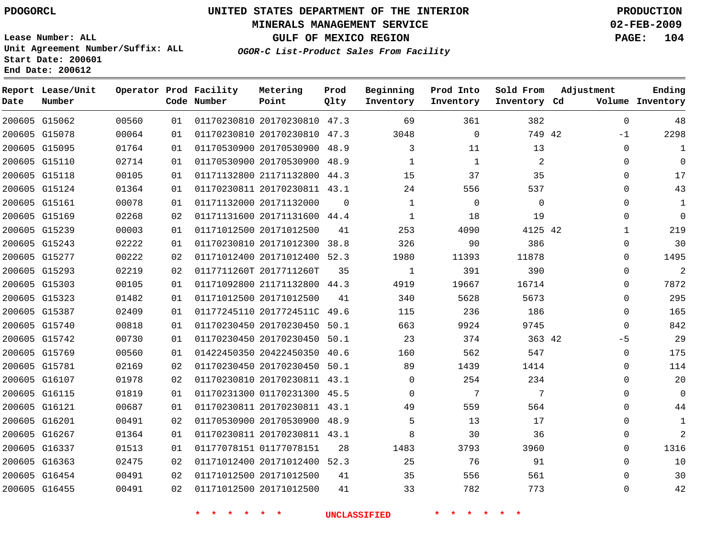#### **MINERALS MANAGEMENT SERVICE 02-FEB-2009**

**GULF OF MEXICO REGION PAGE: 104**

**Lease Number: ALL Unit Agreement Number/Suffix: ALL Start Date: 200601 End Date: 200612**

**OGOR-C List-Product Sales From Facility**

| Date | Report Lease/Unit<br>Number |       |     | Operator Prod Facility<br>Code Number | Metering<br>Point            | Prod<br>Qlty | Beginning<br>Inventory | Prod Into<br>Inventory | Sold From<br>Inventory Cd | Adjustment   | Ending<br>Volume Inventory |
|------|-----------------------------|-------|-----|---------------------------------------|------------------------------|--------------|------------------------|------------------------|---------------------------|--------------|----------------------------|
|      | 200605 G15062               | 00560 | 01  |                                       | 01170230810 20170230810 47.3 |              | 69                     | 361                    | 382                       | $\mathbf 0$  | 48                         |
|      | 200605 G15078               | 00064 | 01  |                                       | 01170230810 20170230810 47.3 |              | 3048                   | $\mathbf 0$            | 749 42                    | $-1$         | 2298                       |
|      | 200605 G15095               | 01764 | 01  |                                       | 01170530900 20170530900 48.9 |              | 3                      | 11                     | 13                        | $\Omega$     | 1                          |
|      | 200605 G15110               | 02714 | 0 1 |                                       | 01170530900 20170530900 48.9 |              | $\mathbf{1}$           | $\mathbf{1}$           | $\overline{2}$            | $\mathbf 0$  | $\Omega$                   |
|      | 200605 G15118               | 00105 | 01  |                                       | 01171132800 21171132800 44.3 |              | 15                     | 37                     | 35                        | 0            | 17                         |
|      | 200605 G15124               | 01364 | 01  |                                       | 01170230811 20170230811 43.1 |              | 24                     | 556                    | 537                       | 0            | 43                         |
|      | 200605 G15161               | 00078 | 01  |                                       | 01171132000 20171132000      | $\Omega$     | $\mathbf{1}$           | $\Omega$               | $\Omega$                  | $\Omega$     | 1                          |
|      | 200605 G15169               | 02268 | 02  |                                       | 01171131600 20171131600 44.4 |              | $\mathbf{1}$           | 18                     | 19                        | 0            | $\Omega$                   |
|      | 200605 G15239               | 00003 | 01  |                                       | 01171012500 20171012500      | 41           | 253                    | 4090                   | 4125 42                   | $\mathbf{1}$ | 219                        |
|      | 200605 G15243               | 02222 | 01  |                                       | 01170230810 20171012300      | 38.8         | 326                    | 90                     | 386                       | $\Omega$     | 30                         |
|      | 200605 G15277               | 00222 | 02  |                                       | 01171012400 20171012400 52.3 |              | 1980                   | 11393                  | 11878                     | 0            | 1495                       |
|      | 200605 G15293               | 02219 | 02  |                                       | 0117711260T 2017711260T      | 35           | $\mathbf{1}$           | 391                    | 390                       | 0            | $\overline{2}$             |
|      | 200605 G15303               | 00105 | 01  |                                       | 01171092800 21171132800 44.3 |              | 4919                   | 19667                  | 16714                     | $\Omega$     | 7872                       |
|      | 200605 G15323               | 01482 | 01  |                                       | 01171012500 20171012500      | 41           | 340                    | 5628                   | 5673                      | 0            | 295                        |
|      | 200605 G15387               | 02409 | 01  |                                       | 01177245110 2017724511C 49.6 |              | 115                    | 236                    | 186                       | $\Omega$     | 165                        |
|      | 200605 G15740               | 00818 | 01  |                                       | 01170230450 20170230450 50.1 |              | 663                    | 9924                   | 9745                      | $\Omega$     | 842                        |
|      | 200605 G15742               | 00730 | 01  |                                       | 01170230450 20170230450 50.1 |              | 23                     | 374                    | 363 42                    | -5           | 29                         |
|      | 200605 G15769               | 00560 | 01  |                                       | 01422450350 20422450350 40.6 |              | 160                    | 562                    | 547                       | $\mathbf 0$  | 175                        |
|      | 200605 G15781               | 02169 | 02  |                                       | 01170230450 20170230450 50.1 |              | 89                     | 1439                   | 1414                      | $\Omega$     | 114                        |
|      | 200605 G16107               | 01978 | 02  |                                       | 01170230810 20170230811 43.1 |              | $\Omega$               | 254                    | 234                       | $\mathbf 0$  | 20                         |
|      | 200605 G16115               | 01819 | 01  |                                       | 01170231300 01170231300 45.5 |              | $\Omega$               | 7                      | 7                         | $\Omega$     | $\mathbf 0$                |
|      | 200605 G16121               | 00687 | 01  |                                       | 01170230811 20170230811 43.1 |              | 49                     | 559                    | 564                       | $\Omega$     | 44                         |
|      | 200605 G16201               | 00491 | 02  |                                       | 01170530900 20170530900 48.9 |              | 5                      | 13                     | 17                        | 0            | 1                          |
|      | 200605 G16267               | 01364 | 01  |                                       | 01170230811 20170230811 43.1 |              | 8                      | 30                     | 36                        | 0            | $\overline{2}$             |
|      | 200605 G16337               | 01513 | 01  |                                       | 01177078151 01177078151      | 28           | 1483                   | 3793                   | 3960                      | $\Omega$     | 1316                       |
|      | 200605 G16363               | 02475 | 02  |                                       | 01171012400 20171012400 52.3 |              | 25                     | 76                     | 91                        | $\Omega$     | 10                         |
|      | 200605 G16454               | 00491 | 02  |                                       | 01171012500 20171012500      | 41           | 35                     | 556                    | 561                       | $\Omega$     | 30                         |
|      | 200605 G16455               | 00491 | 02  |                                       | 01171012500 20171012500      | 41           | 33                     | 782                    | 773                       | $\Omega$     | 42                         |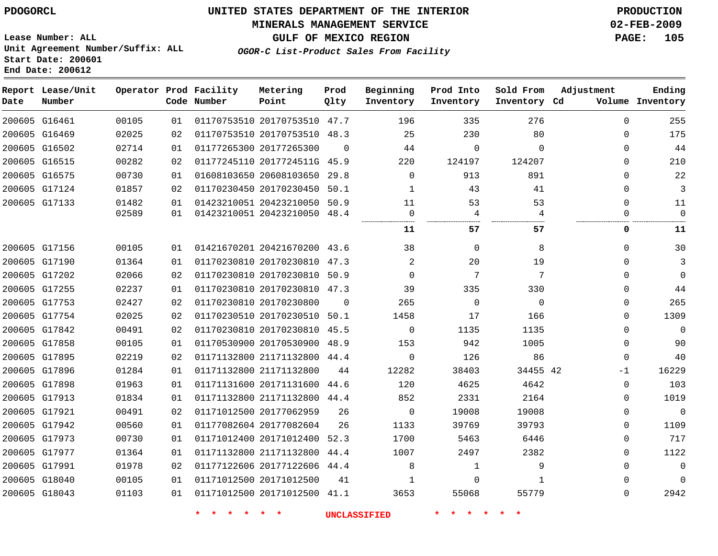#### **MINERALS MANAGEMENT SERVICE 02-FEB-2009**

**GULF OF MEXICO REGION PAGE: 105**

**Lease Number: ALL Unit Agreement Number/Suffix: ALL Start Date: 200601 End Date: 200612**

**OGOR-C List-Product Sales From Facility**

| Date | Report Lease/Unit<br>Number |       |    | Operator Prod Facility<br>Code Number | Metering<br>Point            | Prod<br>Qlty | Beginning<br>Inventory | Prod Into<br>Inventory | Sold From<br>Inventory Cd | Adjustment  | Ending<br>Volume Inventory |
|------|-----------------------------|-------|----|---------------------------------------|------------------------------|--------------|------------------------|------------------------|---------------------------|-------------|----------------------------|
|      | 200605 G16461               | 00105 | 01 |                                       | 01170753510 20170753510 47.7 |              | 196                    | 335                    | 276                       | $\Omega$    | 255                        |
|      | 200605 G16469               | 02025 | 02 |                                       | 01170753510 20170753510 48.3 |              | 25                     | 230                    | 80                        | $\Omega$    | 175                        |
|      | 200605 G16502               | 02714 | 01 |                                       | 01177265300 20177265300      | $\Omega$     | 44                     | $\mathbf 0$            | $\Omega$                  | $\Omega$    | 44                         |
|      | 200605 G16515               | 00282 | 02 |                                       | 01177245110 2017724511G 45.9 |              | 220                    | 124197                 | 124207                    | $\Omega$    | 210                        |
|      | 200605 G16575               | 00730 | 01 |                                       | 01608103650 20608103650 29.8 |              | $\mathbf 0$            | 913                    | 891                       | $\Omega$    | 22                         |
|      | 200605 G17124               | 01857 | 02 |                                       | 01170230450 20170230450 50.1 |              | 1                      | 43                     | 41                        | $\Omega$    | 3                          |
|      | 200605 G17133               | 01482 | 01 |                                       | 01423210051 20423210050 50.9 |              | 11                     | 53                     | 53                        | $\Omega$    | 11                         |
|      |                             | 02589 | 01 |                                       | 01423210051 20423210050 48.4 |              | 0                      | 4                      | 4                         | 0           | $\mathbf 0$                |
|      |                             |       |    |                                       |                              |              | 11                     | 57                     | 57                        | 0           | 11                         |
|      | 200605 G17156               | 00105 | 01 |                                       | 01421670201 20421670200 43.6 |              | 38                     | 0                      | 8                         | $\Omega$    | 30                         |
|      | 200605 G17190               | 01364 | 01 |                                       | 01170230810 20170230810 47.3 |              | 2                      | 20                     | 19                        | $\Omega$    | 3                          |
|      | 200605 G17202               | 02066 | 02 |                                       | 01170230810 20170230810 50.9 |              | $\Omega$               | 7                      | 7                         | $\Omega$    | $\Omega$                   |
|      | 200605 G17255               | 02237 | 01 |                                       | 01170230810 20170230810 47.3 |              | 39                     | 335                    | 330                       | $\Omega$    | 44                         |
|      | 200605 G17753               | 02427 | 02 |                                       | 01170230810 20170230800      | $\Omega$     | 265                    | $\mathbf 0$            | $\mathbf 0$               | 0           | 265                        |
|      | 200605 G17754               | 02025 | 02 |                                       | 01170230510 20170230510 50.1 |              | 1458                   | 17                     | 166                       | $\Omega$    | 1309                       |
|      | 200605 G17842               | 00491 | 02 |                                       | 01170230810 20170230810 45.5 |              | $\mathsf{O}$           | 1135                   | 1135                      | 0           | $\mathbf 0$                |
|      | 200605 G17858               | 00105 | 01 |                                       | 01170530900 20170530900 48.9 |              | 153                    | 942                    | 1005                      | $\Omega$    | 90                         |
|      | 200605 G17895               | 02219 | 02 |                                       | 01171132800 21171132800 44.4 |              | $\Omega$               | 126                    | 86                        | $\Omega$    | 40                         |
|      | 200605 G17896               | 01284 | 01 |                                       | 01171132800 21171132800      | 44           | 12282                  | 38403                  | 34455 42                  | -1          | 16229                      |
|      | 200605 G17898               | 01963 | 01 |                                       | 01171131600 20171131600      | 44.6         | 120                    | 4625                   | 4642                      | $\mathbf 0$ | 103                        |
|      | 200605 G17913               | 01834 | 01 |                                       | 01171132800 21171132800      | 44.4         | 852                    | 2331                   | 2164                      | $\Omega$    | 1019                       |
|      | 200605 G17921               | 00491 | 02 |                                       | 01171012500 20177062959      | 26           | $\mathbf 0$            | 19008                  | 19008                     | $\Omega$    | $\mathbf{0}$               |
|      | 200605 G17942               | 00560 | 01 |                                       | 01177082604 20177082604      | 26           | 1133                   | 39769                  | 39793                     | 0           | 1109                       |
|      | 200605 G17973               | 00730 | 01 |                                       | 01171012400 20171012400 52.3 |              | 1700                   | 5463                   | 6446                      | 0           | 717                        |
|      | 200605 G17977               | 01364 | 01 |                                       | 01171132800 21171132800      | 44.4         | 1007                   | 2497                   | 2382                      | $\Omega$    | 1122                       |
|      | 200605 G17991               | 01978 | 02 |                                       | 01177122606 20177122606 44.4 |              | 8                      | 1                      | 9                         | $\Omega$    | $\mathbf{0}$               |
|      | 200605 G18040               | 00105 | 01 |                                       | 01171012500 20171012500      | 41           | $\mathbf{1}$           | $\Omega$               | $\mathbf{1}$              | $\Omega$    | $\Omega$                   |
|      | 200605 G18043               | 01103 | 01 |                                       | 01171012500 20171012500 41.1 |              | 3653                   | 55068                  | 55779                     | $\Omega$    | 2942                       |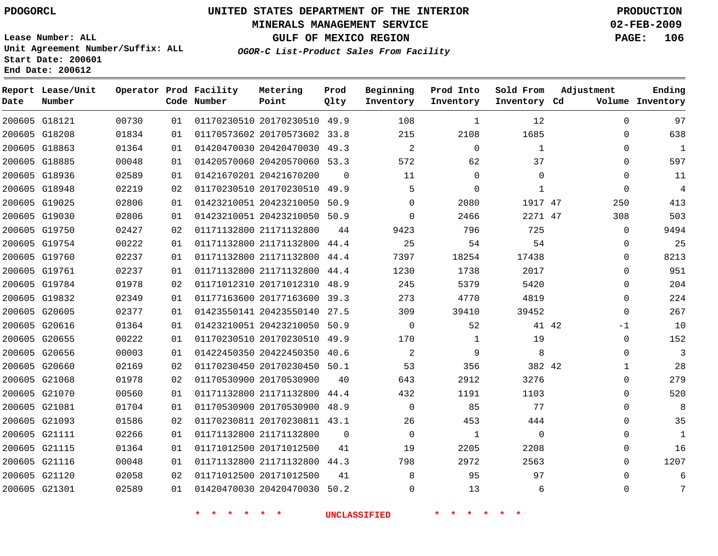#### **MINERALS MANAGEMENT SERVICE 02-FEB-2009**

**GULF OF MEXICO REGION PAGE: 106**

**Lease Number: ALL Unit Agreement Number/Suffix: ALL Start Date: 200601 End Date: 200612**

**OGOR-C List-Product Sales From Facility**

| Date          | Report Lease/Unit<br>Number |       |    | Operator Prod Facility<br>Code Number | Metering<br>Point            | Prod<br>Qlty | Beginning<br>Inventory | Prod Into<br>Inventory | Sold From<br>Inventory Cd | Adjustment   | Ending<br>Volume Inventory |
|---------------|-----------------------------|-------|----|---------------------------------------|------------------------------|--------------|------------------------|------------------------|---------------------------|--------------|----------------------------|
|               | 200605 G18121               | 00730 | 01 |                                       | 01170230510 20170230510 49.9 |              | 108                    | 1                      | 12                        | $\Omega$     | 97                         |
|               | 200605 G18208               | 01834 | 01 |                                       | 01170573602 20170573602      | 33.8         | 215                    | 2108                   | 1685                      | $\mathbf{0}$ | 638                        |
|               | 200605 G18863               | 01364 | 01 |                                       | 01420470030 20420470030 49.3 |              | $\overline{2}$         | $\mathbf 0$            | $\mathbf{1}$              | $\Omega$     | $\mathbf{1}$               |
|               | 200605 G18885               | 00048 | 01 |                                       | 01420570060 20420570060 53.3 |              | 572                    | 62                     | 37                        | 0            | 597                        |
|               | 200605 G18936               | 02589 | 01 |                                       | 01421670201 20421670200      | $\Omega$     | 11                     | 0                      | 0                         | 0            | 11                         |
|               | 200605 G18948               | 02219 | 02 |                                       | 01170230510 20170230510      | 49.9         | 5                      | 0                      | $\mathbf{1}$              | $\mathbf{0}$ | $\overline{4}$             |
|               | 200605 G19025               | 02806 | 01 |                                       | 01423210051 20423210050 50.9 |              | $\Omega$               | 2080                   | 1917 47                   | 250          | 413                        |
|               | 200605 G19030               | 02806 | 01 |                                       | 01423210051 20423210050      | 50.9         | $\Omega$               | 2466                   | 2271 47                   | 308          | 503                        |
|               | 200605 G19750               | 02427 | 02 |                                       | 01171132800 21171132800      | 44           | 9423                   | 796                    | 725                       | 0            | 9494                       |
|               | 200605 G19754               | 00222 | 01 |                                       | 01171132800 21171132800      | 44.4         | 25                     | 54                     | 54                        | 0            | 25                         |
|               | 200605 G19760               | 02237 | 01 |                                       | 01171132800 21171132800      | 44.4         | 7397                   | 18254                  | 17438                     | 0            | 8213                       |
| 200605 G19761 |                             | 02237 | 01 |                                       | 01171132800 21171132800      | 44.4         | 1230                   | 1738                   | 2017                      | $\Omega$     | 951                        |
|               | 200605 G19784               | 01978 | 02 |                                       | 01171012310 20171012310      | 48.9         | 245                    | 5379                   | 5420                      | $\Omega$     | 204                        |
|               | 200605 G19832               | 02349 | 01 |                                       | 01177163600 20177163600      | 39.3         | 273                    | 4770                   | 4819                      | 0            | 224                        |
|               | 200605 G20605               | 02377 | 01 |                                       | 01423550141 20423550140 27.5 |              | 309                    | 39410                  | 39452                     | 0            | 267                        |
|               | 200605 G20616               | 01364 | 01 |                                       | 01423210051 20423210050      | 50.9         | $\overline{0}$         | 52                     | 41 42                     | $-1$         | 10                         |
|               | 200605 G20655               | 00222 | 01 |                                       | 01170230510 20170230510      | 49.9         | 170                    | 1                      | 19                        | 0            | 152                        |
|               | 200605 G20656               | 00003 | 01 |                                       | 01422450350 20422450350      | 40.6         | 2                      | 9                      | 8                         | $\Omega$     | 3                          |
|               | 200605 G20660               | 02169 | 02 |                                       | 01170230450 20170230450 50.1 |              | 53                     | 356                    | 382 42                    | 1            | 28                         |
| 200605 G21068 |                             | 01978 | 02 |                                       | 01170530900 20170530900      | 40           | 643                    | 2912                   | 3276                      | 0            | 279                        |
|               | 200605 G21070               | 00560 | 01 |                                       | 01171132800 21171132800      | 44.4         | 432                    | 1191                   | 1103                      | $\Omega$     | 520                        |
|               | 200605 G21081               | 01704 | 01 |                                       | 01170530900 20170530900      | 48.9         | $\Omega$               | 85                     | 77                        | $\Omega$     | 8                          |
|               | 200605 G21093               | 01586 | 02 |                                       | 01170230811 20170230811 43.1 |              | 26                     | 453                    | 444                       | $\Omega$     | 35                         |
|               | 200605 G21111               | 02266 | 01 |                                       | 01171132800 21171132800      | 0            | $\Omega$               | 1                      | 0                         | 0            | $\mathbf{1}$               |
|               | 200605 G21115               | 01364 | 01 |                                       | 01171012500 20171012500      | 41           | 19                     | 2205                   | 2208                      | 0            | 16                         |
|               | 200605 G21116               | 00048 | 01 |                                       | 01171132800 21171132800      | 44.3         | 798                    | 2972                   | 2563                      | $\Omega$     | 1207                       |
|               | 200605 G21120               | 02058 | 02 |                                       | 01171012500 20171012500      | 41           | 8                      | 95                     | 97                        | $\Omega$     | 6                          |
|               | 200605 G21301               | 02589 | 01 |                                       | 01420470030 20420470030 50.2 |              | $\Omega$               | 13                     | 6                         | $\Omega$     | 7                          |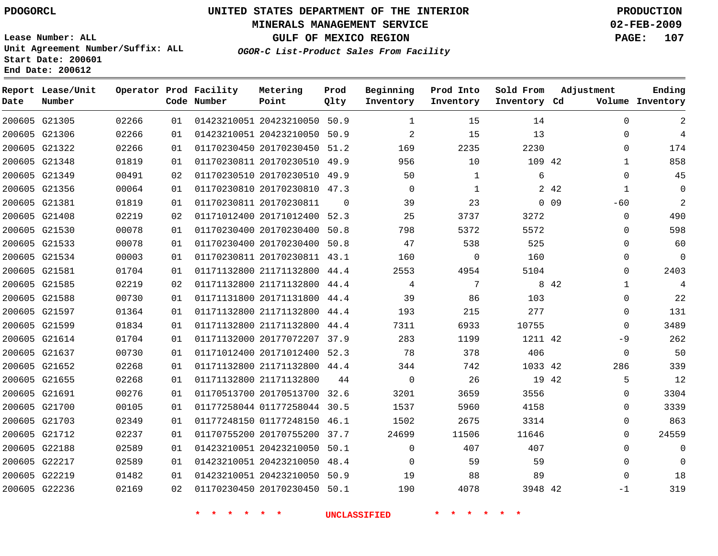#### **MINERALS MANAGEMENT SERVICE 02-FEB-2009**

**GULF OF MEXICO REGION PAGE: 107**

**Lease Number: ALL Unit Agreement Number/Suffix: ALL Start Date: 200601 End Date: 200612**

**OGOR-C List-Product Sales From Facility**

| Date | Report Lease/Unit<br>Number |       |                 | Operator Prod Facility<br>Code Number | Metering<br>Point            | Prod<br>Qlty | Beginning<br>Inventory | Prod Into<br>Inventory | Sold From<br>Inventory Cd | Adjustment      |             | Ending<br>Volume Inventory |
|------|-----------------------------|-------|-----------------|---------------------------------------|------------------------------|--------------|------------------------|------------------------|---------------------------|-----------------|-------------|----------------------------|
|      | 200605 G21305               | 02266 | 01              |                                       | 01423210051 20423210050 50.9 |              | 1                      | 15                     | 14                        |                 | $\Omega$    | 2                          |
|      | 200605 G21306               | 02266 | 01              |                                       | 01423210051 20423210050 50.9 |              | 2                      | 15                     | 13                        |                 | $\Omega$    | 4                          |
|      | 200605 G21322               | 02266 | 01              |                                       | 01170230450 20170230450 51.2 |              | 169                    | 2235                   | 2230                      |                 | $\Omega$    | 174                        |
|      | 200605 G21348               | 01819 | 01              |                                       | 01170230811 20170230510 49.9 |              | 956                    | 10                     | 109 42                    |                 | 1           | 858                        |
|      | 200605 G21349               | 00491 | 02              |                                       | 01170230510 20170230510 49.9 |              | 50                     | 1                      | 6                         |                 | $\Omega$    | 45                         |
|      | 200605 G21356               | 00064 | 01              |                                       | 01170230810 20170230810 47.3 |              | $\mathbf{0}$           | 1                      |                           | 2 4 2           | 1           | $\mathbf 0$                |
|      | 200605 G21381               | 01819 | 01              |                                       | 01170230811 20170230811      | $\Omega$     | 39                     | 23                     |                           | 0 <sub>09</sub> | $-60$       | $\overline{2}$             |
|      | 200605 G21408               | 02219 | 02              |                                       | 01171012400 20171012400 52.3 |              | 25                     | 3737                   | 3272                      |                 | $\mathbf 0$ | 490                        |
|      | 200605 G21530               | 00078 | 01              |                                       | 01170230400 20170230400      | 50.8         | 798                    | 5372                   | 5572                      |                 | $\Omega$    | 598                        |
|      | 200605 G21533               | 00078 | 01              |                                       | 01170230400 20170230400 50.8 |              | 47                     | 538                    | 525                       |                 | $\Omega$    | 60                         |
|      | 200605 G21534               | 00003 | 01              |                                       | 01170230811 20170230811 43.1 |              | 160                    | $\Omega$               | 160                       |                 | $\Omega$    | $\Omega$                   |
|      | 200605 G21581               | 01704 | 01              |                                       | 01171132800 21171132800 44.4 |              | 2553                   | 4954                   | 5104                      |                 | $\Omega$    | 2403                       |
|      | 200605 G21585               | 02219 | 02              |                                       | 01171132800 21171132800 44.4 |              | 4                      | 7                      |                           | 8 4 2           | 1           | 4                          |
|      | 200605 G21588               | 00730 | 01              |                                       | 01171131800 20171131800 44.4 |              | 39                     | 86                     | 103                       |                 | 0           | 22                         |
|      | 200605 G21597               | 01364 | 01              |                                       | 01171132800 21171132800 44.4 |              | 193                    | 215                    | 277                       |                 | $\mathbf 0$ | 131                        |
|      | 200605 G21599               | 01834 | 01              |                                       | 01171132800 21171132800      | 44.4         | 7311                   | 6933                   | 10755                     |                 | $\Omega$    | 3489                       |
|      | 200605 G21614               | 01704 | 01              |                                       | 01171132000 20177072207 37.9 |              | 283                    | 1199                   | 1211 42                   |                 | -9          | 262                        |
|      | 200605 G21637               | 00730 | 01              |                                       | 01171012400 20171012400 52.3 |              | 78                     | 378                    | 406                       |                 | $\Omega$    | 50                         |
|      | 200605 G21652               | 02268 | 01              |                                       | 01171132800 21171132800 44.4 |              | 344                    | 742                    | 1033 42                   |                 | 286         | 339                        |
|      | 200605 G21655               | 02268 | 01              |                                       | 01171132800 21171132800      | 44           | $\mathbf 0$            | 26                     | 19 42                     |                 | 5           | 12                         |
|      | 200605 G21691               | 00276 | 01              |                                       | 01170513700 20170513700 32.6 |              | 3201                   | 3659                   | 3556                      |                 | $\Omega$    | 3304                       |
|      | 200605 G21700               | 00105 | 01              |                                       | 01177258044 01177258044 30.5 |              | 1537                   | 5960                   | 4158                      |                 | 0           | 3339                       |
|      | 200605 G21703               | 02349 | 01              |                                       | 01177248150 01177248150 46.1 |              | 1502                   | 2675                   | 3314                      |                 | 0           | 863                        |
|      | 200605 G21712               | 02237 | 01              |                                       | 01170755200 20170755200 37.7 |              | 24699                  | 11506                  | 11646                     |                 | $\Omega$    | 24559                      |
|      | 200605 G22188               | 02589 | 01              |                                       | 01423210051 20423210050 50.1 |              | $\mathbf 0$            | 407                    | 407                       |                 | $\Omega$    | $\mathbf 0$                |
|      | 200605 G22217               | 02589 | 01              |                                       | 01423210051 20423210050 48.4 |              | $\mathbf 0$            | 59                     | 59                        |                 | 0           | $\Omega$                   |
|      | 200605 G22219               | 01482 | 01              |                                       | 01423210051 20423210050 50.9 |              | 19                     | 88                     | 89                        |                 | $\Omega$    | 18                         |
|      | 200605 G22236               | 02169 | 02 <sub>o</sub> |                                       | 01170230450 20170230450 50.1 |              | 190                    | 4078                   | 3948 42                   |                 | $-1$        | 319                        |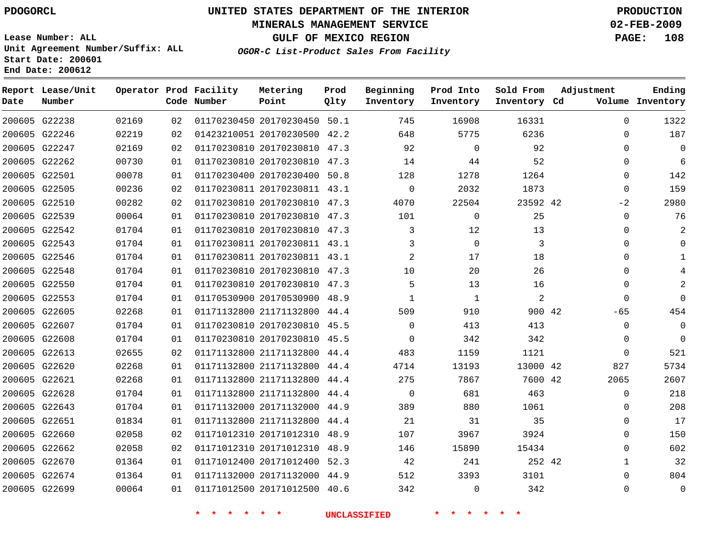#### **MINERALS MANAGEMENT SERVICE 02-FEB-2009**

**GULF OF MEXICO REGION PAGE: 108**

**Lease Number: ALL Unit Agreement Number/Suffix: ALL Start Date: 200601 End Date: 200612**

**OGOR-C List-Product Sales From Facility**

| Date | Report Lease/Unit<br>Number |       |    | Operator Prod Facility<br>Code Number | Metering<br>Point            | Prod<br>Qlty | Beginning<br>Inventory | Prod Into<br>Inventory | Sold From<br>Inventory Cd | Adjustment   | Ending<br>Volume Inventory |
|------|-----------------------------|-------|----|---------------------------------------|------------------------------|--------------|------------------------|------------------------|---------------------------|--------------|----------------------------|
|      | 200605 G22238               | 02169 | 02 |                                       | 01170230450 20170230450 50.1 |              | 745                    | 16908                  | 16331                     | $\Omega$     | 1322                       |
|      | 200605 G22246               | 02219 | 02 |                                       | 01423210051 20170230500 42.2 |              | 648                    | 5775                   | 6236                      | 0            | 187                        |
|      | 200605 G22247               | 02169 | 02 |                                       | 01170230810 20170230810 47.3 |              | 92                     | $\mathbf 0$            | 92                        | $\Omega$     | $\Omega$                   |
|      | 200605 G22262               | 00730 | 01 |                                       | 01170230810 20170230810 47.3 |              | 14                     | 44                     | 52                        | 0            | 6                          |
|      | 200605 G22501               | 00078 | 01 |                                       | 01170230400 20170230400 50.8 |              | 128                    | 1278                   | 1264                      | $\Omega$     | 142                        |
|      | 200605 G22505               | 00236 | 02 |                                       | 01170230811 20170230811 43.1 |              | $\mathbf 0$            | 2032                   | 1873                      | $\mathbf 0$  | 159                        |
|      | 200605 G22510               | 00282 | 02 |                                       | 01170230810 20170230810 47.3 |              | 4070                   | 22504                  | 23592 42                  | $-2$         | 2980                       |
|      | 200605 G22539               | 00064 | 01 |                                       | 01170230810 20170230810 47.3 |              | 101                    | $\mathbf 0$            | 25                        | $\mathbf{0}$ | 76                         |
|      | 200605 G22542               | 01704 | 01 |                                       | 01170230810 20170230810 47.3 |              | 3                      | 12                     | 13                        | $\Omega$     | 2                          |
|      | 200605 G22543               | 01704 | 01 |                                       | 01170230811 20170230811 43.1 |              | 3                      | $\mathbf 0$            | 3                         | $\Omega$     |                            |
|      | 200605 G22546               | 01704 | 01 |                                       | 01170230811 20170230811 43.1 |              | 2                      | 17                     | 18                        | $\Omega$     |                            |
|      | 200605 G22548               | 01704 | 01 |                                       | 01170230810 20170230810 47.3 |              | 10                     | 20                     | 26                        | $\Omega$     |                            |
|      | 200605 G22550               | 01704 | 01 |                                       | 01170230810 20170230810 47.3 |              | 5                      | 13                     | 16                        | $\Omega$     | 2                          |
|      | 200605 G22553               | 01704 | 01 |                                       | 01170530900 20170530900 48.9 |              |                        | 1                      | $\overline{a}$            | $\mathbf{0}$ | $\Omega$                   |
|      | 200605 G22605               | 02268 | 01 |                                       | 01171132800 21171132800 44.4 |              | 509                    | 910                    | 900 42                    | $-65$        | 454                        |
|      | 200605 G22607               | 01704 | 01 |                                       | 01170230810 20170230810 45.5 |              | 0                      | 413                    | 413                       | 0            | $\mathbf 0$                |
|      | 200605 G22608               | 01704 | 01 |                                       | 01170230810 20170230810 45.5 |              | $\Omega$               | 342                    | 342                       | 0            | $\Omega$                   |
|      | 200605 G22613               | 02655 | 02 |                                       | 01171132800 21171132800 44.4 |              | 483                    | 1159                   | 1121                      | $\mathbf{0}$ | 521                        |
|      | 200605 G22620               | 02268 | 01 |                                       | 01171132800 21171132800 44.4 |              | 4714                   | 13193                  | 13000 42                  | 827          | 5734                       |
|      | 200605 G22621               | 02268 | 01 |                                       | 01171132800 21171132800      | 44.4         | 275                    | 7867                   | 7600 42                   | 2065         | 2607                       |
|      | 200605 G22628               | 01704 | 01 |                                       | 01171132800 21171132800 44.4 |              | $\Omega$               | 681                    | 463                       | $\mathbf{0}$ | 218                        |
|      | 200605 G22643               | 01704 | 01 |                                       | 01171132000 20171132000 44.9 |              | 389                    | 880                    | 1061                      | 0            | 208                        |
|      | 200605 G22651               | 01834 | 01 |                                       | 01171132800 21171132800 44.4 |              | 21                     | 31                     | 35                        | $\Omega$     | 17                         |
|      | 200605 G22660               | 02058 | 02 |                                       | 01171012310 20171012310      | 48.9         | 107                    | 3967                   | 3924                      | $\Omega$     | 150                        |
|      | 200605 G22662               | 02058 | 02 |                                       | 01171012310 20171012310 48.9 |              | 146                    | 15890                  | 15434                     | $\Omega$     | 602                        |
|      | 200605 G22670               | 01364 | 01 |                                       | 01171012400 20171012400 52.3 |              | 42                     | 241                    | 252 42                    | $\mathbf{1}$ | 32                         |
|      | 200605 G22674               | 01364 | 01 |                                       | 01171132000 20171132000 44.9 |              | 512                    | 3393                   | 3101                      | $\Omega$     | 804                        |
|      | 200605 G22699               | 00064 | 01 |                                       | 01171012500 20171012500 40.6 |              | 342                    | $\Omega$               | 342                       | $\Omega$     | $\Omega$                   |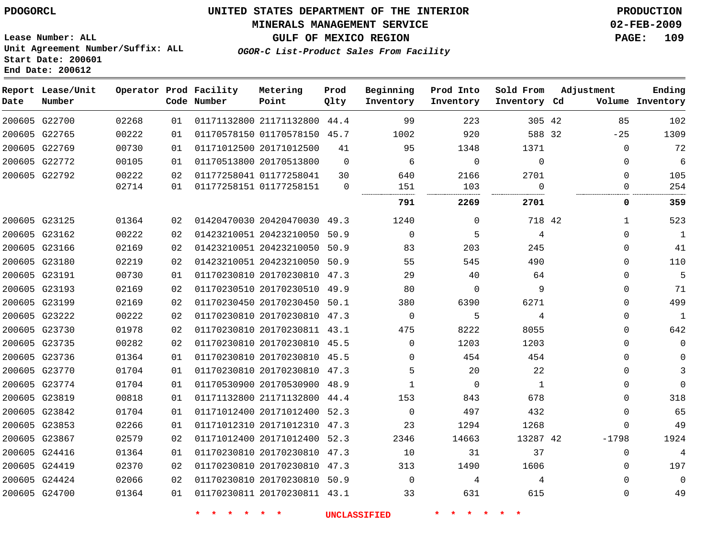#### **MINERALS MANAGEMENT SERVICE 02-FEB-2009**

**GULF OF MEXICO REGION PAGE: 109**

**Lease Number: ALL Unit Agreement Number/Suffix: ALL Start Date: 200601 End Date: 200612**

**OGOR-C List-Product Sales From Facility**

| Date | Report Lease/Unit<br>Number |       |    | Operator Prod Facility<br>Code Number | Metering<br>Point            | Prod<br>Qlty | Beginning<br>Inventory | Prod Into<br>Inventory | Sold From<br>Inventory Cd | Adjustment |              | Ending<br>Volume Inventory |
|------|-----------------------------|-------|----|---------------------------------------|------------------------------|--------------|------------------------|------------------------|---------------------------|------------|--------------|----------------------------|
|      | 200605 G22700               | 02268 | 01 |                                       | 01171132800 21171132800 44.4 |              | 99                     | 223                    | 305 42                    |            | 85           | 102                        |
|      | 200605 G22765               | 00222 | 01 |                                       | 01170578150 01170578150 45.7 |              | 1002                   | 920                    | 588 32                    |            | $-25$        | 1309                       |
|      | 200605 G22769               | 00730 | 01 |                                       | 01171012500 20171012500      | 41           | 95                     | 1348                   | 1371                      |            | $\mathbf 0$  | 72                         |
|      | 200605 G22772               | 00105 | 01 |                                       | 01170513800 20170513800      | $\Omega$     | 6                      | $\mathbf 0$            | $\Omega$                  |            | $\Omega$     | 6                          |
|      | 200605 G22792               | 00222 | 02 |                                       | 01177258041 01177258041      | 30           | 640                    | 2166                   | 2701                      |            | $\mathbf 0$  | 105                        |
|      |                             | 02714 | 01 |                                       | 01177258151 01177258151      | $\mathbf 0$  | 151                    | 103                    | $\Omega$                  |            | $\Omega$     | 254                        |
|      |                             |       |    |                                       |                              |              | 791                    | 2269                   | 2701                      |            | 0            | 359                        |
|      | 200605 G23125               | 01364 | 02 |                                       | 01420470030 20420470030 49.3 |              | 1240                   | $\Omega$               | 718 42                    |            | $\mathbf{1}$ | 523                        |
|      | 200605 G23162               | 00222 | 02 |                                       | 01423210051 20423210050 50.9 |              | $\Omega$               | 5                      | 4                         |            | $\Omega$     | $\mathbf{1}$               |
|      | 200605 G23166               | 02169 | 02 |                                       | 01423210051 20423210050 50.9 |              | 83                     | 203                    | 245                       |            | $\Omega$     | 41                         |
|      | 200605 G23180               | 02219 | 02 |                                       | 01423210051 20423210050      | 50.9         | 55                     | 545                    | 490                       |            | $\Omega$     | 110                        |
|      | 200605 G23191               | 00730 | 01 |                                       | 01170230810 20170230810 47.3 |              | 29                     | 40                     | 64                        |            | $\Omega$     | 5                          |
|      | 200605 G23193               | 02169 | 02 |                                       | 01170230510 20170230510 49.9 |              | 80                     | 0                      | 9                         |            | $\Omega$     | 71                         |
|      | 200605 G23199               | 02169 | 02 |                                       | 01170230450 20170230450 50.1 |              | 380                    | 6390                   | 6271                      |            | 0            | 499                        |
|      | 200605 G23222               | 00222 | 02 |                                       | 01170230810 20170230810 47.3 |              | $\overline{0}$         | 5                      | 4                         |            | 0            | $\mathbf{1}$               |
|      | 200605 G23730               | 01978 | 02 |                                       | 01170230810 20170230811 43.1 |              | 475                    | 8222                   | 8055                      |            | $\Omega$     | 642                        |
|      | 200605 G23735               | 00282 | 02 |                                       | 01170230810 20170230810 45.5 |              | $\Omega$               | 1203                   | 1203                      |            | $\Omega$     | $\Omega$                   |
|      | 200605 G23736               | 01364 | 01 |                                       | 01170230810 20170230810 45.5 |              | 0                      | 454                    | 454                       |            | $\Omega$     | $\Omega$                   |
|      | 200605 G23770               | 01704 | 01 |                                       | 01170230810 20170230810 47.3 |              | 5                      | 20                     | 22                        |            | $\Omega$     | 3                          |
|      | 200605 G23774               | 01704 | 01 |                                       | 01170530900 20170530900 48.9 |              | $\mathbf{1}$           | $\mathbf 0$            | 1                         |            | $\Omega$     | $\Omega$                   |
|      | 200605 G23819               | 00818 | 01 |                                       | 01171132800 21171132800 44.4 |              | 153                    | 843                    | 678                       |            | $\Omega$     | 318                        |
|      | 200605 G23842               | 01704 | 01 |                                       | 01171012400 20171012400 52.3 |              | $\mathbf 0$            | 497                    | 432                       |            | $\mathbf{0}$ | 65                         |
|      | 200605 G23853               | 02266 | 01 |                                       | 01171012310 20171012310 47.3 |              | 23                     | 1294                   | 1268                      |            | $\Omega$     | 49                         |
|      | 200605 G23867               | 02579 | 02 |                                       | 01171012400 20171012400 52.3 |              | 2346                   | 14663                  | 13287 42                  |            | $-1798$      | 1924                       |
|      | 200605 G24416               | 01364 | 01 |                                       | 01170230810 20170230810 47.3 |              | 10                     | 31                     | 37                        |            | $\Omega$     | $\overline{4}$             |
|      | 200605 G24419               | 02370 | 02 |                                       | 01170230810 20170230810 47.3 |              | 313                    | 1490                   | 1606                      |            | $\Omega$     | 197                        |
|      | 200605 G24424               | 02066 | 02 |                                       | 01170230810 20170230810 50.9 |              | $\mathbf 0$            | 4                      | 4                         |            | $\Omega$     | $\mathbf 0$                |
|      | 200605 G24700               | 01364 | 01 |                                       | 01170230811 20170230811 43.1 |              | 33                     | 631                    | 615                       |            | $\Omega$     | 49                         |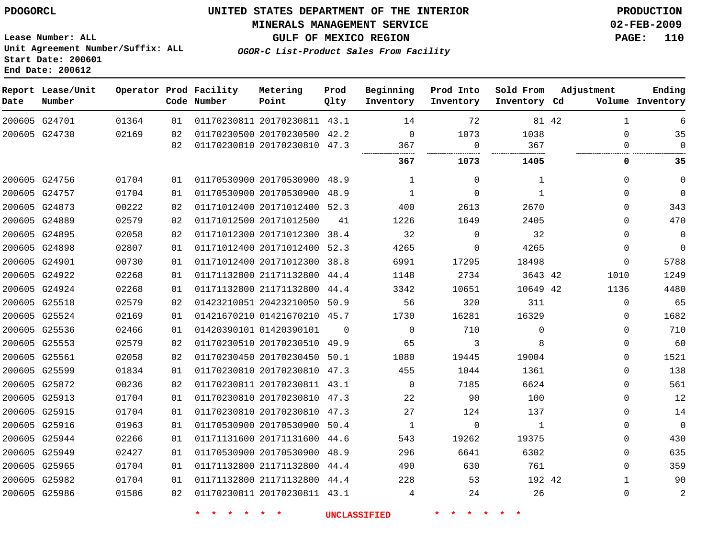### **MINERALS MANAGEMENT SERVICE 02-FEB-2009**

**GULF OF MEXICO REGION PAGE: 110**

**Lease Number: ALL Unit Agreement Number/Suffix: ALL Start Date: 200601 End Date: 200612**

**OGOR-C List-Product Sales From Facility**

| Date | Report Lease/Unit<br>Number |       |    | Operator Prod Facility<br>Code Number | Metering<br>Point            | Prod<br>Qlty | Beginning<br>Inventory | Prod Into<br>Inventory | Sold From<br>Inventory Cd | Adjustment   | Ending<br>Volume Inventory |
|------|-----------------------------|-------|----|---------------------------------------|------------------------------|--------------|------------------------|------------------------|---------------------------|--------------|----------------------------|
|      | 200605 G24701               | 01364 | 01 |                                       | 01170230811 20170230811 43.1 |              | 14                     | 72                     |                           | 81 42<br>1   | 6                          |
|      | 200605 G24730               | 02169 | 02 |                                       | 01170230500 20170230500 42.2 |              | $\mathbf 0$            | 1073                   | 1038                      | $\Omega$     | 35                         |
|      |                             |       | 02 |                                       | 01170230810 20170230810 47.3 |              | 367                    | $\mathbf 0$            | 367                       | 0            | $\Omega$                   |
|      |                             |       |    |                                       |                              |              | 367                    | 1073                   | 1405                      | 0            | 35                         |
|      | 200605 G24756               | 01704 | 01 |                                       | 01170530900 20170530900 48.9 |              | 1                      | 0                      | 1                         | $\Omega$     | $\mathbf 0$                |
|      | 200605 G24757               | 01704 | 01 |                                       | 01170530900 20170530900 48.9 |              | $\mathbf{1}$           | 0                      | 1                         | $\Omega$     | $\Omega$                   |
|      | 200605 G24873               | 00222 | 02 |                                       | 01171012400 20171012400 52.3 |              | 400                    | 2613                   | 2670                      | $\Omega$     | 343                        |
|      | 200605 G24889               | 02579 | 02 |                                       | 01171012500 20171012500      | 41           | 1226                   | 1649                   | 2405                      | $\Omega$     | 470                        |
|      | 200605 G24895               | 02058 | 02 |                                       | 01171012300 20171012300      | 38.4         | 32                     | 0                      | 32                        | 0            | $\mathbf 0$                |
|      | 200605 G24898               | 02807 | 01 |                                       | 01171012400 20171012400 52.3 |              | 4265                   | $\Omega$               | 4265                      | $\Omega$     | $\Omega$                   |
|      | 200605 G24901               | 00730 | 01 |                                       | 01171012400 20171012300      | 38.8         | 6991                   | 17295                  | 18498                     | 0            | 5788                       |
|      | 200605 G24922               | 02268 | 01 |                                       | 01171132800 21171132800 44.4 |              | 1148                   | 2734                   | 3643 42                   | 1010         | 1249                       |
|      | 200605 G24924               | 02268 | 01 |                                       | 01171132800 21171132800      | 44.4         | 3342                   | 10651                  | 10649 42                  | 1136         | 4480                       |
|      | 200605 G25518               | 02579 | 02 |                                       | 01423210051 20423210050 50.9 |              | 56                     | 320                    | 311                       | 0            | 65                         |
|      | 200605 G25524               | 02169 | 01 |                                       | 01421670210 01421670210 45.7 |              | 1730                   | 16281                  | 16329                     | 0            | 1682                       |
|      | 200605 G25536               | 02466 | 01 |                                       | 01420390101 01420390101      | $\Omega$     | $\Omega$               | 710                    | $\mathbf 0$               | 0            | 710                        |
|      | 200605 G25553               | 02579 | 02 |                                       | 01170230510 20170230510 49.9 |              | 65                     | 3                      | 8                         | 0            | 60                         |
|      | 200605 G25561               | 02058 | 02 |                                       | 01170230450 20170230450 50.1 |              | 1080                   | 19445                  | 19004                     | 0            | 1521                       |
|      | 200605 G25599               | 01834 | 01 |                                       | 01170230810 20170230810 47.3 |              | 455                    | 1044                   | 1361                      | 0            | 138                        |
|      | 200605 G25872               | 00236 | 02 |                                       | 01170230811 20170230811 43.1 |              | $\mathbf 0$            | 7185                   | 6624                      | 0            | 561                        |
|      | 200605 G25913               | 01704 | 01 |                                       | 01170230810 20170230810 47.3 |              | 22                     | 90                     | 100                       | $\Omega$     | 12                         |
|      | 200605 G25915               | 01704 | 01 |                                       | 01170230810 20170230810 47.3 |              | 27                     | 124                    | 137                       | $\Omega$     | 14                         |
|      | 200605 G25916               | 01963 | 01 |                                       | 01170530900 20170530900 50.4 |              | 1                      | 0                      | 1                         | $\Omega$     | $\mathbf 0$                |
|      | 200605 G25944               | 02266 | 01 |                                       | 01171131600 20171131600 44.6 |              | 543                    | 19262                  | 19375                     | $\Omega$     | 430                        |
|      | 200605 G25949               | 02427 | 01 |                                       | 01170530900 20170530900 48.9 |              | 296                    | 6641                   | 6302                      | $\Omega$     | 635                        |
|      | 200605 G25965               | 01704 | 01 |                                       | 01171132800 21171132800 44.4 |              | 490                    | 630                    | 761                       | $\Omega$     | 359                        |
|      | 200605 G25982               | 01704 | 01 |                                       | 01171132800 21171132800 44.4 |              | 228                    | 53                     | 192 42                    | $\mathbf{1}$ | 90                         |
|      | 200605 G25986               | 01586 | 02 |                                       | 01170230811 20170230811 43.1 |              | 4                      | 24                     | 26                        | 0            | 2                          |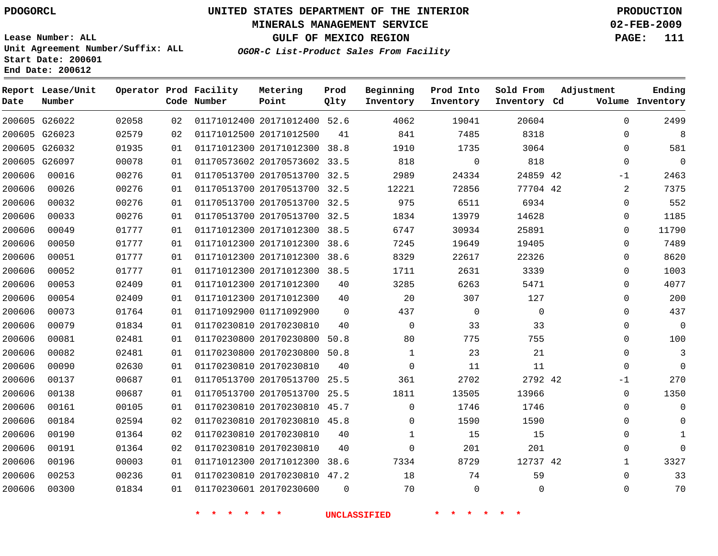#### **MINERALS MANAGEMENT SERVICE 02-FEB-2009**

**GULF OF MEXICO REGION PAGE: 111 OGOR-C List-Product Sales From Facility**

**Lease Number: ALL Unit Agreement Number/Suffix: ALL Start Date: 200601 End Date: 200612**

 G26022 G26023 G26032 G26097 **Report Lease/Unit Date Number Operator Prod Facility Code Number** 20171012400 52.6 20171012500 20171012300 20170573602 33.5 20170513700 32.5 20170513700 32.5 20170513700 32.5 20170513700 32.5 20171012300 20171012300 20171012300 20171012300 38.5 20171012300 20171012300 01171092900 20170230810 20170230800 20170230800 50.8 20170230810 20170513700 20170513700 25.5 20170230810 20170230810 45.8 20170230810 20170230810 20171012300 38.6 20170230810 20170230600 **Metering Point** 42 42 42 42 38.8 38.5 38.6 38.6  $\Omega$ 50.8 25.5 45.7 47.2 **Prod Qlty**  $\Omega$   $\Omega$  **Beginning Inventory**  $\Omega$   $\Omega$   $\Omega$  $\Omega$   $\Omega$  **Ending Inventory Cd Volume**  $\Omega$   $\Omega$   $\Omega$ **Prod Into Inventory**  $\Omega$   $\Omega$ **Sold From Inventory**  $\Omega$  $\Omega$  $\Omega$  $\Omega$ -1  $\Omega$  $\Omega$  $\Omega$  $\Omega$  $\Omega$  $\Omega$  $\Omega$   $\Omega$  $\Omega$  $\Omega$  $\Omega$  $\Omega$ -1  $\Omega$  $\Omega$   $\Omega$   $\Omega$ **Adjustment**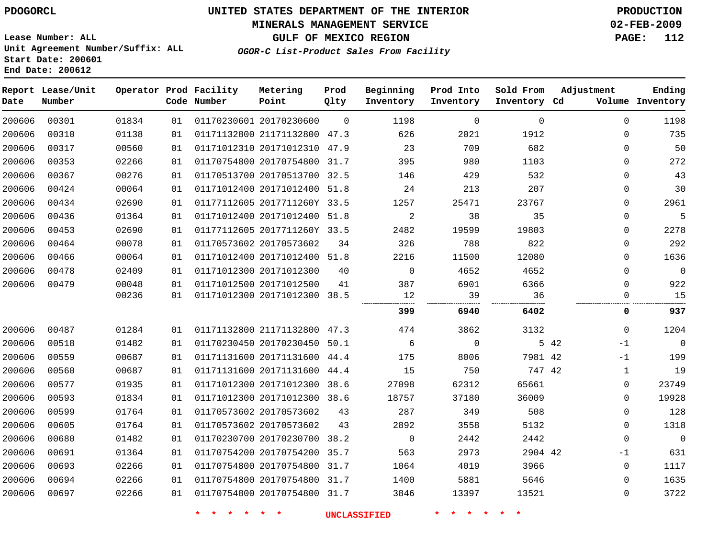# **UNITED STATES DEPARTMENT OF THE INTERIOR PDOGORCL PRODUCTION**

### **MINERALS MANAGEMENT SERVICE 02-FEB-2009**

**GULF OF MEXICO REGION PAGE: 112 OGOR-C List-Product Sales From Facility**

  $\Omega$ 

**Lease Number: ALL Unit Agreement Number/Suffix: ALL Start Date: 200601 End Date: 200612**

| Date   | Report Lease/Unit<br>Number |       |    | Operator Prod Facility<br>Code Number | Metering<br>Point            | Prod<br>Qlty | Beginning<br>Inventory | Prod Into<br>Inventory | Sold From<br>Inventory Cd | Adjustment   | Ending<br>Volume Inventory |
|--------|-----------------------------|-------|----|---------------------------------------|------------------------------|--------------|------------------------|------------------------|---------------------------|--------------|----------------------------|
| 200606 | 00301                       | 01834 | 01 |                                       | 01170230601 20170230600      | $\mathbf 0$  | 1198                   | 0                      | $\mathbf 0$               | 0            | 1198                       |
| 200606 | 00310                       | 01138 | 01 |                                       | 01171132800 21171132800 47.3 |              | 626                    | 2021                   | 1912                      | 0            | 735                        |
| 200606 | 00317                       | 00560 | 01 |                                       | 01171012310 20171012310      | 47.9         | 23                     | 709                    | 682                       | $\Omega$     | 50                         |
| 200606 | 00353                       | 02266 | 01 |                                       | 01170754800 20170754800      | 31.7         | 395                    | 980                    | 1103                      | $\Omega$     | 272                        |
| 200606 | 00367                       | 00276 | 01 |                                       | 01170513700 20170513700 32.5 |              | 146                    | 429                    | 532                       | 0            | 43                         |
| 200606 | 00424                       | 00064 | 01 |                                       | 01171012400 20171012400      | 51.8         | 24                     | 213                    | 207                       | 0            | 30                         |
| 200606 | 00434                       | 02690 | 01 |                                       | 01177112605 2017711260Y 33.5 |              | 1257                   | 25471                  | 23767                     | 0            | 2961                       |
| 200606 | 00436                       | 01364 | 01 |                                       | 01171012400 20171012400 51.8 |              | $\overline{a}$         | 38                     | 35                        | 0            | 5                          |
| 200606 | 00453                       | 02690 | 01 |                                       | 01177112605 2017711260Y 33.5 |              | 2482                   | 19599                  | 19803                     | 0            | 2278                       |
| 200606 | 00464                       | 00078 | 01 |                                       | 01170573602 20170573602      | 34           | 326                    | 788                    | 822                       | $\Omega$     | 292                        |
| 200606 | 00466                       | 00064 | 01 |                                       | 01171012400 20171012400 51.8 |              | 2216                   | 11500                  | 12080                     | 0            | 1636                       |
| 200606 | 00478                       | 02409 | 01 |                                       | 01171012300 20171012300      | 40           | $\mathbf 0$            | 4652                   | 4652                      | 0            | $\mathbf 0$                |
| 200606 | 00479                       | 00048 | 01 |                                       | 01171012500 20171012500      | 41           | 387                    | 6901                   | 6366                      | $\Omega$     | 922                        |
|        |                             | 00236 | 01 |                                       | 01171012300 20171012300      | 38.5         | 12                     | 39                     | 36                        | 0            | 15                         |
|        |                             |       |    |                                       |                              |              | 399                    | 6940                   | 6402                      | 0            | 937                        |
| 200606 | 00487                       | 01284 | 01 |                                       | 01171132800 21171132800 47.3 |              | 474                    | 3862                   | 3132                      | $\Omega$     | 1204                       |
| 200606 | 00518                       | 01482 | 01 |                                       | 01170230450 20170230450      | 50.1         | 6                      | $\mathbf 0$            |                           | 5 42<br>$-1$ | $\overline{0}$             |
| 200606 | 00559                       | 00687 | 01 |                                       | 01171131600 20171131600 44.4 |              | 175                    | 8006                   | 7981 42                   | $-1$         | 199                        |
| 200606 | 00560                       | 00687 | 01 |                                       | 01171131600 20171131600 44.4 |              | 15                     | 750                    | 747 42                    | 1            | 19                         |
| 200606 | 00577                       | 01935 | 01 |                                       | 01171012300 20171012300      | 38.6         | 27098                  | 62312                  | 65661                     | 0            | 23749                      |
| 200606 | 00593                       | 01834 | 01 |                                       | 01171012300 20171012300 38.6 |              | 18757                  | 37180                  | 36009                     | $\Omega$     | 19928                      |
| 200606 | 00599                       | 01764 | 01 |                                       | 01170573602 20170573602      | 43           | 287                    | 349                    | 508                       | 0            | 128                        |
| 200606 | 00605                       | 01764 | 01 |                                       | 01170573602 20170573602      | 43           | 2892                   | 3558                   | 5132                      | 0            | 1318                       |
| 200606 | 00680                       | 01482 | 01 |                                       | 01170230700 20170230700      | 38.2         | $\mathbf 0$            | 2442                   | 2442                      | $\Omega$     | $\mathbf 0$                |
| 200606 | 00691                       | 01364 | 01 |                                       | 01170754200 20170754200      | 35.7         | 563                    | 2973                   | 2904 42                   | $-1$         | 631                        |
| 200606 | 00693                       | 02266 | 01 |                                       | 01170754800 20170754800 31.7 |              | 1064                   | 4019                   | 3966                      | $\mathbf 0$  | 1117                       |

**\* \* \* \* \* \* UNCLASSIFIED \* \* \* \* \* \***

 20170754800 31.7 20170754800 31.7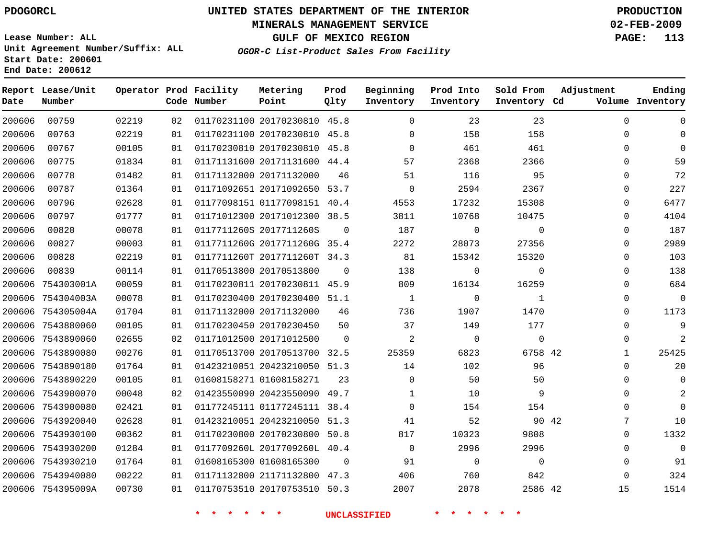### **MINERALS MANAGEMENT SERVICE 02-FEB-2009**

**GULF OF MEXICO REGION PAGE: 113**

**Lease Number: ALL Unit Agreement Number/Suffix: ALL Start Date: 200601 End Date: 200612**

**OGOR-C List-Product Sales From Facility**

| Date   | Report Lease/Unit<br>Number |       |    | Operator Prod Facility<br>Code Number | Metering<br>Point            | Prod<br>Qlty   | Beginning<br>Inventory | Prod Into<br>Inventory | Sold From<br>Inventory Cd | Adjustment   | Ending<br>Volume Inventory |
|--------|-----------------------------|-------|----|---------------------------------------|------------------------------|----------------|------------------------|------------------------|---------------------------|--------------|----------------------------|
| 200606 | 00759                       | 02219 | 02 |                                       | 01170231100 20170230810 45.8 |                | $\mathbf 0$            | 23                     | 23                        | $\Omega$     | 0                          |
| 200606 | 00763                       | 02219 | 01 |                                       | 01170231100 20170230810 45.8 |                | $\mathbf 0$            | 158                    | 158                       | 0            |                            |
| 200606 | 00767                       | 00105 | 01 |                                       | 01170230810 20170230810 45.8 |                | $\Omega$               | 461                    | 461                       | $\Omega$     | $\Omega$                   |
| 200606 | 00775                       | 01834 | 01 |                                       | 01171131600 20171131600 44.4 |                | 57                     | 2368                   | 2366                      | 0            | 59                         |
| 200606 | 00778                       | 01482 | 01 |                                       | 01171132000 20171132000      | 46             | 51                     | 116                    | 95                        | $\Omega$     | 72                         |
| 200606 | 00787                       | 01364 | 01 |                                       | 01171092651 20171092650 53.7 |                | $\mathbf 0$            | 2594                   | 2367                      | 0            | 227                        |
| 200606 | 00796                       | 02628 | 01 |                                       | 01177098151 01177098151 40.4 |                | 4553                   | 17232                  | 15308                     | $\Omega$     | 6477                       |
| 200606 | 00797                       | 01777 | 01 |                                       | 01171012300 20171012300 38.5 |                | 3811                   | 10768                  | 10475                     | $\Omega$     | 4104                       |
| 200606 | 00820                       | 00078 | 01 |                                       | 0117711260S 2017711260S      | $\mathbf 0$    | 187                    | 0                      | $\mathbf 0$               | 0            | 187                        |
| 200606 | 00827                       | 00003 | 01 |                                       | 0117711260G 2017711260G 35.4 |                | 2272                   | 28073                  | 27356                     | 0            | 2989                       |
| 200606 | 00828                       | 02219 | 01 |                                       | 0117711260T 2017711260T 34.3 |                | 81                     | 15342                  | 15320                     | $\Omega$     | 103                        |
| 200606 | 00839                       | 00114 | 01 |                                       | 01170513800 20170513800      | $\mathbf 0$    | 138                    | $\mathbf 0$            | $\mathbf 0$               | $\Omega$     | 138                        |
| 200606 | 754303001A                  | 00059 | 01 |                                       | 01170230811 20170230811 45.9 |                | 809                    | 16134                  | 16259                     | $\Omega$     | 684                        |
|        | 200606 754304003A           | 00078 | 01 |                                       | 01170230400 20170230400 51.1 |                | $\mathbf{1}$           | 0                      | $\mathbf{1}$              | 0            | $\mathbf 0$                |
|        | 200606 754305004A           | 01704 | 01 |                                       | 01171132000 20171132000      | 46             | 736                    | 1907                   | 1470                      | 0            | 1173                       |
|        | 200606 7543880060           | 00105 | 01 |                                       | 01170230450 20170230450      | 50             | 37                     | 149                    | 177                       | $\Omega$     | 9                          |
|        | 200606 7543890060           | 02655 | 02 |                                       | 01171012500 20171012500      | $\Omega$       | 2                      | $\overline{0}$         | $\mathbf 0$               | $\Omega$     | $\overline{2}$             |
|        | 200606 7543890080           | 00276 | 01 |                                       | 01170513700 20170513700      | 32.5           | 25359                  | 6823                   | 6758 42                   | $\mathbf{1}$ | 25425                      |
|        | 200606 7543890180           | 01764 | 01 |                                       | 01423210051 20423210050 51.3 |                | 14                     | 102                    | 96                        | $\mathbf 0$  | 20                         |
|        | 200606 7543890220           | 00105 | 01 |                                       | 01608158271 01608158271      | 23             | $\mathbf{0}$           | 50                     | 50                        | $\mathbf 0$  | 0                          |
|        | 200606 7543900070           | 00048 | 02 |                                       | 01423550090 20423550090 49.7 |                | $\mathbf{1}$           | 10                     | 9                         | $\Omega$     | 2                          |
|        | 200606 7543900080           | 02421 | 01 |                                       | 01177245111 01177245111 38.4 |                | $\Omega$               | 154                    | 154                       | $\Omega$     | $\Omega$                   |
|        | 200606 7543920040           | 02628 | 01 |                                       | 01423210051 20423210050 51.3 |                | 41                     | 52                     | 90 42                     | 7            | 10                         |
|        | 200606 7543930100           | 00362 | 01 |                                       | 01170230800 20170230800      | 50.8           | 817                    | 10323                  | 9808                      | 0            | 1332                       |
|        | 200606 7543930200           | 01284 | 01 |                                       | 0117709260L 2017709260L 40.4 |                | $\mathbf{0}$           | 2996                   | 2996                      | 0            | $\mathbf 0$                |
|        | 200606 7543930210           | 01764 | 01 |                                       | 01608165300 01608165300      | $\overline{0}$ | 91                     | $\mathbf 0$            | $\mathbf 0$               | 0            | 91                         |
|        | 200606 7543940080           | 00222 | 01 |                                       | 01171132800 21171132800 47.3 |                | 406                    | 760                    | 842                       | $\mathbf 0$  | 324                        |
|        | 200606 754395009A           | 00730 | 01 |                                       | 01170753510 20170753510 50.3 |                | 2007                   | 2078                   | 2586 42                   | 15           | 1514                       |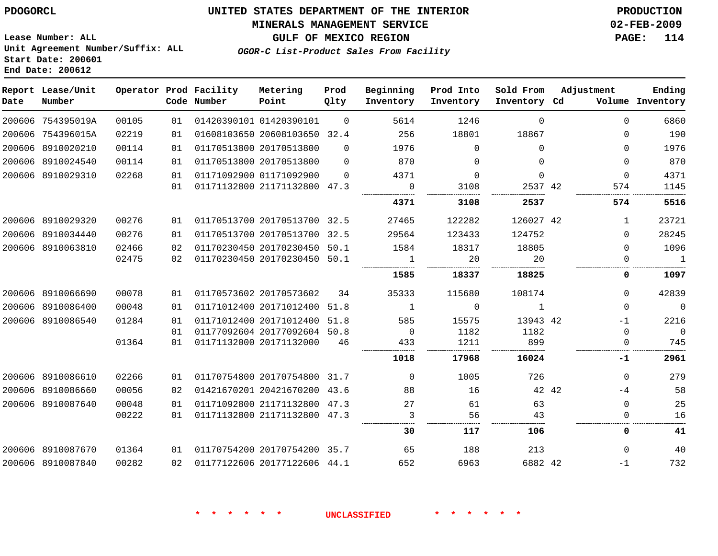# **MINERALS MANAGEMENT SERVICE 02-FEB-2009**

**GULF OF MEXICO REGION PAGE: 114**

**Lease Number: ALL Unit Agreement Number/Suffix: ALL Start Date: 200601 End Date: 200612**

**OGOR-C List-Product Sales From Facility**

| Date | Report Lease/Unit<br>Number |       |    | Operator Prod Facility<br>Code Number | Metering<br>Point            | Prod<br>Qlty | Beginning<br>Inventory | Prod Into<br>Inventory | Sold From<br>Inventory Cd | Adjustment | Ending<br>Volume Inventory |
|------|-----------------------------|-------|----|---------------------------------------|------------------------------|--------------|------------------------|------------------------|---------------------------|------------|----------------------------|
|      | 200606 754395019A           | 00105 | 01 |                                       | 01420390101 01420390101      | $\Omega$     | 5614                   | 1246                   | $\Omega$                  | $\Omega$   | 6860                       |
|      | 200606 754396015A           | 02219 | 01 |                                       | 01608103650 20608103650 32.4 |              | 256                    | 18801                  | 18867                     | $\Omega$   | 190                        |
|      | 200606 8910020210           | 00114 | 01 |                                       | 01170513800 20170513800      | $\Omega$     | 1976                   | $\Omega$               | $\Omega$                  | $\Omega$   | 1976                       |
|      | 200606 8910024540           | 00114 | 01 |                                       | 01170513800 20170513800      | $\Omega$     | 870                    | $\Omega$               | $\Omega$                  | $\Omega$   | 870                        |
|      | 200606 8910029310           | 02268 | 01 |                                       | 01171092900 01171092900      | $\Omega$     | 4371                   | $\Omega$               | $\Omega$                  | $\Omega$   | 4371                       |
|      |                             |       | 01 |                                       | 01171132800 21171132800 47.3 |              | $\Omega$               | 3108                   | 2537 42                   | 574        | 1145                       |
|      |                             |       |    |                                       |                              |              | 4371                   | 3108                   | 2537                      | 574        | 5516                       |
|      | 200606 8910029320           | 00276 | 01 |                                       | 01170513700 20170513700 32.5 |              | 27465                  | 122282                 | 126027 42                 | 1          | 23721                      |
|      | 200606 8910034440           | 00276 | 01 |                                       | 01170513700 20170513700 32.5 |              | 29564                  | 123433                 | 124752                    | 0          | 28245                      |
|      | 200606 8910063810           | 02466 | 02 |                                       | 01170230450 20170230450 50.1 |              | 1584                   | 18317                  | 18805                     | $\Omega$   | 1096                       |
|      |                             | 02475 | 02 |                                       | 01170230450 20170230450 50.1 |              | 1                      | 20                     | 20<br>.                   | $\Omega$   | $\mathbf{1}$<br>.          |
|      |                             |       |    |                                       |                              |              | 1585                   | 18337                  | 18825                     | 0          | 1097                       |
|      | 200606 8910066690           | 00078 | 01 |                                       | 01170573602 20170573602      | 34           | 35333                  | 115680                 | 108174                    | $\Omega$   | 42839                      |
|      | 200606 8910086400           | 00048 | 01 |                                       | 01171012400 20171012400 51.8 |              | <sup>1</sup>           | $\Omega$               | $\mathbf{1}$              | $\Omega$   | $\mathbf 0$                |
|      | 200606 8910086540           | 01284 | 01 |                                       | 01171012400 20171012400      | 51.8         | 585                    | 15575                  | 13943 42                  | $-1$       | 2216                       |
|      |                             |       | 01 |                                       | 01177092604 20177092604 50.8 |              | $\overline{0}$         | 1182                   | 1182                      | $\Omega$   | $\overline{0}$             |
|      |                             | 01364 | 01 |                                       | 01171132000 20171132000      | 46           | 433<br>.               | 1211                   | 899                       | $\Omega$   | 745                        |
|      |                             |       |    |                                       |                              |              | 1018                   | 17968                  | 16024                     | -1         | 2961                       |
|      | 200606 8910086610           | 02266 | 01 |                                       | 01170754800 20170754800 31.7 |              | $\Omega$               | 1005                   | 726                       | $\Omega$   | 279                        |
|      | 200606 8910086660           | 00056 | 02 |                                       | 01421670201 20421670200 43.6 |              | 88                     | 16                     | 42 42                     | -4         | 58                         |
|      | 200606 8910087640           | 00048 | 01 |                                       | 01171092800 21171132800 47.3 |              | 27                     | 61                     | 63                        | $\Omega$   | 25                         |
|      |                             | 00222 | 01 |                                       | 01171132800 21171132800 47.3 |              | 3                      | 56                     | 43                        | 0          | 16                         |
|      |                             |       |    |                                       |                              |              | 30                     | 117                    | 106                       | 0          | 41                         |
|      | 200606 8910087670           | 01364 | 01 |                                       | 01170754200 20170754200 35.7 |              | 65                     | 188                    | 213                       | $\Omega$   | 40                         |
|      | 200606 8910087840           | 00282 | 02 |                                       | 01177122606 20177122606 44.1 |              | 652                    | 6963                   | 6882 42                   | $-1$       | 732                        |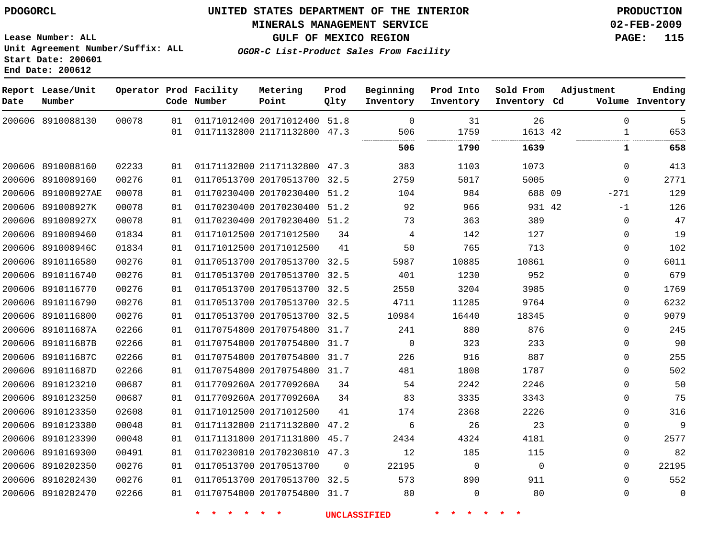### **MINERALS MANAGEMENT SERVICE 02-FEB-2009**

**GULF OF MEXICO REGION PAGE: 115**

**Lease Number: ALL Unit Agreement Number/Suffix: ALL Start Date: 200601 End Date: 200612**

**OGOR-C List-Product Sales From Facility**

| Date | Report Lease/Unit<br>Number |       |    | Operator Prod Facility<br>Code Number | Metering<br>Point            | Prod<br>Qlty | Beginning<br>Inventory | Prod Into<br>Inventory | Sold From<br>Inventory Cd | Adjustment | Ending<br>Volume Inventory |
|------|-----------------------------|-------|----|---------------------------------------|------------------------------|--------------|------------------------|------------------------|---------------------------|------------|----------------------------|
|      | 200606 8910088130           | 00078 | 01 |                                       | 01171012400 20171012400 51.8 |              | $\Omega$               | 31                     | 26                        |            | 5<br>$\Omega$              |
|      |                             |       | 01 |                                       | 01171132800 21171132800 47.3 |              | 506<br>                | 1759<br>------------   | 1613 42                   |            | 653<br>$\mathbf{1}$        |
|      |                             |       |    |                                       |                              |              | 506                    | 1790                   | 1639                      |            | 658<br>1                   |
|      | 200606 8910088160           | 02233 | 01 |                                       | 01171132800 21171132800 47.3 |              | 383                    | 1103                   | 1073                      |            | 413<br>0                   |
|      | 200606 8910089160           | 00276 | 01 |                                       | 01170513700 20170513700 32.5 |              | 2759                   | 5017                   | 5005                      |            | 2771<br>0                  |
|      | 200606 891008927AE          | 00078 | 01 |                                       | 01170230400 20170230400 51.2 |              | 104                    | 984                    | 688 09                    | $-271$     | 129                        |
|      | 200606 891008927K           | 00078 | 01 |                                       | 01170230400 20170230400 51.2 |              | 92                     | 966                    | 931 42                    |            | 126<br>$-1$                |
|      | 200606 891008927X           | 00078 | 01 |                                       | 01170230400 20170230400 51.2 |              | 73                     | 363                    | 389                       |            | 47<br>0                    |
|      | 200606 8910089460           | 01834 | 01 |                                       | 01171012500 20171012500      | 34           | 4                      | 142                    | 127                       |            | 19<br>$\Omega$             |
|      | 200606 891008946C           | 01834 | 01 |                                       | 01171012500 20171012500      | 41           | 50                     | 765                    | 713                       |            | 102<br>0                   |
|      | 200606 8910116580           | 00276 | 01 |                                       | 01170513700 20170513700 32.5 |              | 5987                   | 10885                  | 10861                     |            | 6011<br>0                  |
|      | 200606 8910116740           | 00276 | 01 |                                       | 01170513700 20170513700 32.5 |              | 401                    | 1230                   | 952                       |            | 679<br>$\Omega$            |
|      | 200606 8910116770           | 00276 | 01 |                                       | 01170513700 20170513700 32.5 |              | 2550                   | 3204                   | 3985                      |            | 1769<br>0                  |
|      | 200606 8910116790           | 00276 | 01 |                                       | 01170513700 20170513700 32.5 |              | 4711                   | 11285                  | 9764                      |            | 6232<br>0                  |
|      | 200606 8910116800           | 00276 | 01 |                                       | 01170513700 20170513700 32.5 |              | 10984                  | 16440                  | 18345                     |            | 9079<br>0                  |
|      | 200606 891011687A           | 02266 | 01 |                                       | 01170754800 20170754800 31.7 |              | 241                    | 880                    | 876                       |            | 245<br>0                   |
|      | 200606 891011687B           | 02266 | 01 |                                       | 01170754800 20170754800 31.7 |              | $\Omega$               | 323                    | 233                       |            | 90<br>$\Omega$             |
|      | 200606 891011687C           | 02266 | 01 |                                       | 01170754800 20170754800 31.7 |              | 226                    | 916                    | 887                       |            | 255<br>$\Omega$            |
|      | 200606 891011687D           | 02266 | 01 |                                       | 01170754800 20170754800 31.7 |              | 481                    | 1808                   | 1787                      |            | 502<br>$\Omega$            |
|      | 200606 8910123210           | 00687 | 01 |                                       | 0117709260A 2017709260A      | 34           | 54                     | 2242                   | 2246                      |            | 0<br>50                    |
|      | 200606 8910123250           | 00687 | 01 |                                       | 0117709260A 2017709260A      | 34           | 83                     | 3335                   | 3343                      |            | 75<br>0                    |
|      | 200606 8910123350           | 02608 | 01 |                                       | 01171012500 20171012500      | 41           | 174                    | 2368                   | 2226                      |            | 316<br>0                   |
|      | 200606 8910123380           | 00048 | 01 |                                       | 01171132800 21171132800 47.2 |              | 6                      | 26                     | 23                        |            | 9<br>0                     |
|      | 200606 8910123390           | 00048 | 01 |                                       | 01171131800 20171131800 45.7 |              | 2434                   | 4324                   | 4181                      |            | 2577<br>0                  |
|      | 200606 8910169300           | 00491 | 01 |                                       | 01170230810 20170230810 47.3 |              | 12                     | 185                    | 115                       |            | 82<br>0                    |
|      | 200606 8910202350           | 00276 | 01 |                                       | 01170513700 20170513700      | $\Omega$     | 22195                  | $\mathbf 0$            | $\Omega$                  |            | 22195<br>0                 |
|      | 200606 8910202430           | 00276 | 01 |                                       | 01170513700 20170513700 32.5 |              | 573                    | 890                    | 911                       |            | 552<br>$\Omega$            |
|      | 200606 8910202470           | 02266 | 01 |                                       | 01170754800 20170754800 31.7 |              | 80                     | $\mathbf 0$            | 80                        |            | $\mathbf 0$<br>0           |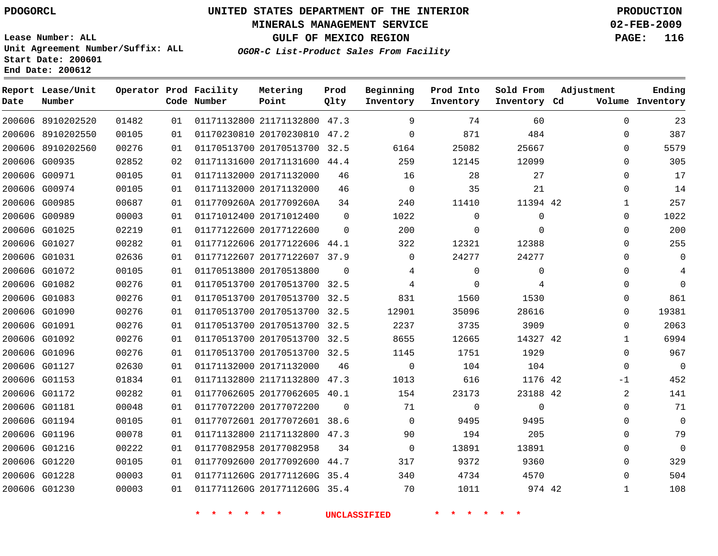#### **MINERALS MANAGEMENT SERVICE 02-FEB-2009**

**GULF OF MEXICO REGION PAGE: 116**

**Lease Number: ALL Unit Agreement Number/Suffix: ALL Start Date: 200601 End Date: 200612**

**OGOR-C List-Product Sales From Facility**

| Date | Report Lease/Unit<br>Number |       |    | Operator Prod Facility<br>Code Number | Metering<br>Point            | Prod<br>Qlty | Beginning<br>Inventory | Prod Into<br>Inventory | Sold From<br>Inventory Cd | Adjustment   | Ending<br>Volume Inventory |
|------|-----------------------------|-------|----|---------------------------------------|------------------------------|--------------|------------------------|------------------------|---------------------------|--------------|----------------------------|
|      | 200606 8910202520           | 01482 | 01 |                                       | 01171132800 21171132800 47.3 |              | 9                      | 74                     | 60                        | $\Omega$     | 23                         |
|      | 200606 8910202550           | 00105 | 01 |                                       | 01170230810 20170230810 47.2 |              | $\mathbf 0$            | 871                    | 484                       | 0            | 387                        |
|      | 200606 8910202560           | 00276 | 01 |                                       | 01170513700 20170513700      | 32.5         | 6164                   | 25082                  | 25667                     | 0            | 5579                       |
|      | 200606 G00935               | 02852 | 02 |                                       | 01171131600 20171131600 44.4 |              | 259                    | 12145                  | 12099                     | $\Omega$     | 305                        |
|      | 200606 G00971               | 00105 | 01 |                                       | 01171132000 20171132000      | 46           | 16                     | 28                     | 27                        | $\Omega$     | 17                         |
|      | 200606 G00974               | 00105 | 01 |                                       | 01171132000 20171132000      | 46           | $\mathbf 0$            | 35                     | 21                        | 0            | 14                         |
|      | 200606 G00985               | 00687 | 01 |                                       | 0117709260A 2017709260A      | 34           | 240                    | 11410                  | 11394 42                  | 1            | 257                        |
|      | 200606 G00989               | 00003 | 01 |                                       | 01171012400 20171012400      | $\Omega$     | 1022                   | 0                      | 0                         | 0            | 1022                       |
|      | 200606 G01025               | 02219 | 01 |                                       | 01177122600 20177122600      | $\Omega$     | 200                    | $\Omega$               | $\Omega$                  | $\Omega$     | 200                        |
|      | 200606 G01027               | 00282 | 01 |                                       | 01177122606 20177122606 44.1 |              | 322                    | 12321                  | 12388                     | 0            | 255                        |
|      | 200606 G01031               | 02636 | 01 |                                       | 01177122607 20177122607 37.9 |              | $\Omega$               | 24277                  | 24277                     | $\Omega$     | $\Omega$                   |
|      | 200606 G01072               | 00105 | 01 |                                       | 01170513800 20170513800      | $\Omega$     | 4                      | $\mathbf 0$            | 0                         | $\Omega$     |                            |
|      | 200606 G01082               | 00276 | 01 |                                       | 01170513700 20170513700 32.5 |              | 4                      | $\Omega$               | 4                         | $\Omega$     | $\Omega$                   |
|      | 200606 G01083               | 00276 | 01 |                                       | 01170513700 20170513700 32.5 |              | 831                    | 1560                   | 1530                      | 0            | 861                        |
|      | 200606 G01090               | 00276 | 01 |                                       | 01170513700 20170513700 32.5 |              | 12901                  | 35096                  | 28616                     | $\Omega$     | 19381                      |
|      | 200606 G01091               | 00276 | 01 |                                       | 01170513700 20170513700 32.5 |              | 2237                   | 3735                   | 3909                      | $\Omega$     | 2063                       |
|      | 200606 G01092               | 00276 | 01 |                                       | 01170513700 20170513700 32.5 |              | 8655                   | 12665                  | 14327 42                  | 1            | 6994                       |
|      | 200606 G01096               | 00276 | 01 |                                       | 01170513700 20170513700 32.5 |              | 1145                   | 1751                   | 1929                      | $\mathbf 0$  | 967                        |
|      | 200606 G01127               | 02630 | 01 |                                       | 01171132000 20171132000      | 46           | $\mathbf 0$            | 104                    | 104                       | $\mathbf 0$  | $\mathbf{0}$               |
|      | 200606 G01153               | 01834 | 01 |                                       | 01171132800 21171132800      | 47.3         | 1013                   | 616                    | 1176 42                   | $-1$         | 452                        |
|      | 200606 G01172               | 00282 | 01 |                                       | 01177062605 20177062605 40.1 |              | 154                    | 23173                  | 23188 42                  | 2            | 141                        |
|      | 200606 G01181               | 00048 | 01 |                                       | 01177072200 20177072200      | 0            | 71                     | 0                      | $\mathbf{0}$              | $\mathbf 0$  | 71                         |
|      | 200606 G01194               | 00105 | 01 |                                       | 01177072601 20177072601 38.6 |              | $\Omega$               | 9495                   | 9495                      | $\Omega$     | $\mathbf{0}$               |
|      | 200606 G01196               | 00078 | 01 |                                       | 01171132800 21171132800 47.3 |              | 90                     | 194                    | 205                       | $\Omega$     | 79                         |
|      | 200606 G01216               | 00222 | 01 |                                       | 01177082958 20177082958      | 34           | $\mathbf 0$            | 13891                  | 13891                     | $\Omega$     | $\mathbf 0$                |
|      | 200606 G01220               | 00105 | 01 |                                       | 01177092600 20177092600 44.7 |              | 317                    | 9372                   | 9360                      | $\mathbf 0$  | 329                        |
|      | 200606 G01228               | 00003 | 01 |                                       | 0117711260G 2017711260G 35.4 |              | 340                    | 4734                   | 4570                      | $\Omega$     | 504                        |
|      | 200606 G01230               | 00003 | 01 |                                       | 0117711260G 2017711260G 35.4 |              | 70                     | 1011                   | 974 42                    | $\mathbf{1}$ | 108                        |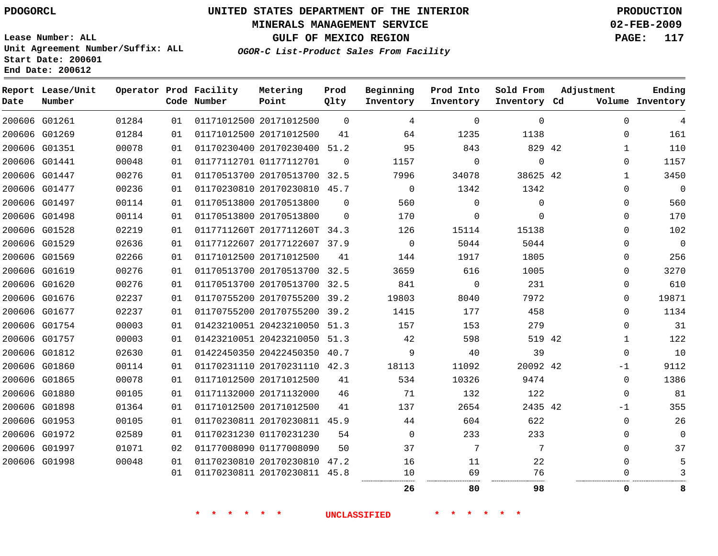**Date**

 G01812 G01860 G01865 G01880 G01898 G01953 G01972 G01997 G01998

# **UNITED STATES DEPARTMENT OF THE INTERIOR PDOGORCL PRODUCTION**

#### **MINERALS MANAGEMENT SERVICE 02-FEB-2009**

**GULF OF MEXICO REGION PAGE: 117 OGOR-C List-Product Sales From Facility**

**Lease Number: ALL Unit Agreement Number/Suffix: ALL Start Date: 200601 End Date: 200612**

  $\Omega$   $\Omega$  $\Omega$  $\Omega$  $\Omega$  $\Omega$   $\Omega$  $\Omega$   $\Omega$  $\overline{0}$   $\Omega$ -1  $\Omega$  $\Omega$ -1  $\Omega$   $\Omega$  

. . . . . . .

. . . . . .

|      | ENG Date: 200012            |       |    |                                       |                              |              |                        |                        |                           |                      |                     |
|------|-----------------------------|-------|----|---------------------------------------|------------------------------|--------------|------------------------|------------------------|---------------------------|----------------------|---------------------|
| Date | Report Lease/Unit<br>Number |       |    | Operator Prod Facility<br>Code Number | Metering<br>Point            | Prod<br>Qlty | Beginning<br>Inventory | Prod Into<br>Inventory | Sold From<br>Inventory Cd | Adjustment<br>Volume | Ending<br>Inventory |
|      | 200606 G01261               | 01284 | 01 |                                       | 01171012500 20171012500      | $\Omega$     | 4                      | 0                      | $\Omega$                  | $\Omega$             | 4                   |
|      | 200606 G01269               | 01284 | 01 |                                       | 01171012500 20171012500      | 41           | 64                     | 1235                   | 1138                      | 0                    | 161                 |
|      | 200606 G01351               | 00078 | 01 |                                       | 01170230400 20170230400      | 51.2         | 95                     | 843                    | 829 42                    |                      | 110                 |
|      | 200606 G01441               | 00048 | 01 |                                       | 01177112701 01177112701      | $\Omega$     | 1157                   | $\mathbf 0$            | $\Omega$                  | $\Omega$             | 1157                |
|      | 200606 G01447               | 00276 | 01 |                                       | 01170513700 20170513700      | 32.5         | 7996                   | 34078                  | 38625 42                  |                      | 3450                |
|      | 200606 G01477               | 00236 | 01 |                                       | 01170230810 20170230810      | 45.7         | $\Omega$               | 1342                   | 1342                      | $\Omega$             | 0                   |
|      | 200606 G01497               | 00114 | 01 |                                       | 01170513800 20170513800      | $\Omega$     | 560                    | $\Omega$               | 0                         | $\Omega$             | 560                 |
|      | 200606 G01498               | 00114 | 01 |                                       | 01170513800 20170513800      | $\Omega$     | 170                    | 0                      | 0                         | 0                    | 170                 |
|      | 200606 G01528               | 02219 | 01 |                                       | 0117711260T 2017711260T 34.3 |              | 126                    | 15114                  | 15138                     | $\Omega$             | 102                 |
|      | 200606 G01529               | 02636 | 01 |                                       | 01177122607 20177122607      | 37.9         | $\Omega$               | 5044                   | 5044                      | $\Omega$             | 0                   |
|      | 200606 G01569               | 02266 | 01 |                                       | 01171012500 20171012500      | 41           | 144                    | 1917                   | 1805                      | $\Omega$             | 256                 |
|      | 200606 G01619               | 00276 | 01 |                                       | 01170513700 20170513700      | 32.5         | 3659                   | 616                    | 1005                      | $\Omega$             | 3270                |
|      | 200606 G01620               | 00276 | 01 |                                       | 01170513700 20170513700      | 32.5         | 841                    | $\Omega$               | 231                       | $\Omega$             | 610                 |
|      | 200606 G01676               | 02237 | 01 |                                       | 01170755200 20170755200      | 39.2         | 19803                  | 8040                   | 7972                      | $\Omega$             | 19871               |
|      | 200606 G01677               | 02237 | 01 |                                       | 01170755200 20170755200      | 39.2         | 1415                   | 177                    | 458                       | $\Omega$             | 1134                |
|      | 200606 G01754               | 00003 | 01 |                                       | 01423210051 20423210050      | 51.3         | 157                    | 153                    | 279                       | $\Omega$             | 31                  |
|      | 200606 G01757               | 00003 | 01 |                                       | 01423210051 20423210050 51.3 |              | 42                     | 598                    | 519 42                    |                      | 122                 |

 

 

**\* \* \* \* \* \* UNCLASSIFIED \* \* \* \* \* \***

. . . . . . . .

. . . . . . . .

42

 

42

**80 98 0 8**

. . . . . . . .

 20422450350 40.7 20170231110 42.3

20170230811 45.9

 20170230810 47.2 20170230811 45.8

 20171012500 20171132000 20171012500

 01170231230 01177008090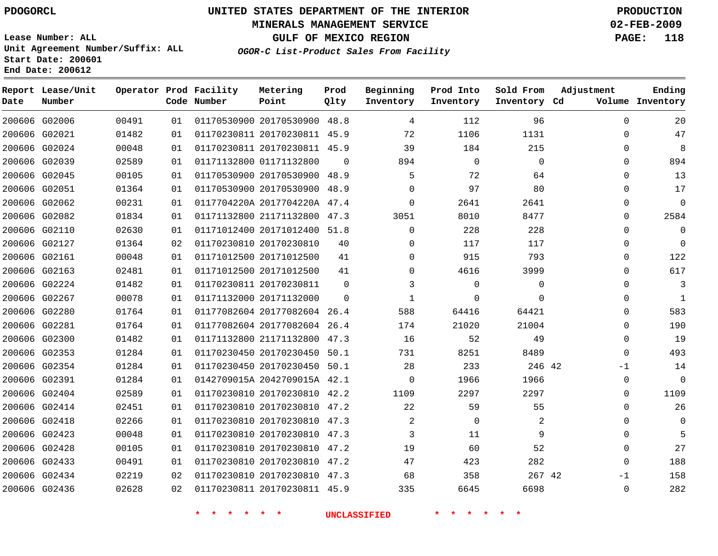### **MINERALS MANAGEMENT SERVICE 02-FEB-2009**

**GULF OF MEXICO REGION PAGE: 118**

**Lease Number: ALL Unit Agreement Number/Suffix: ALL Start Date: 200601 End Date: 200612**

**OGOR-C List-Product Sales From Facility**

| Date | Report Lease/Unit<br>Number |       |    | Operator Prod Facility<br>Code Number | Metering<br>Point            | Prod<br>Qlty | Beginning<br>Inventory | Prod Into<br>Inventory | Sold From<br>Inventory Cd | Adjustment   | Ending<br>Volume Inventory |
|------|-----------------------------|-------|----|---------------------------------------|------------------------------|--------------|------------------------|------------------------|---------------------------|--------------|----------------------------|
|      | 200606 G02006               | 00491 | 01 |                                       | 01170530900 20170530900 48.8 |              | 4                      | 112                    | 96                        | $\Omega$     | 20                         |
|      | 200606 G02021               | 01482 | 01 |                                       | 01170230811 20170230811 45.9 |              | 72                     | 1106                   | 1131                      | $\mathbf{0}$ | 47                         |
|      | 200606 G02024               | 00048 | 01 |                                       | 01170230811 20170230811 45.9 |              | 39                     | 184                    | 215                       | $\Omega$     | 8                          |
|      | 200606 G02039               | 02589 | 01 |                                       | 01171132800 01171132800      | $\Omega$     | 894                    | $\mathbf 0$            | $\Omega$                  | $\Omega$     | 894                        |
|      | 200606 G02045               | 00105 | 01 |                                       | 01170530900 20170530900 48.9 |              | 5                      | 72                     | 64                        | $\Omega$     | 13                         |
|      | 200606 G02051               | 01364 | 01 |                                       | 01170530900 20170530900 48.9 |              | $\Omega$               | 97                     | 80                        | 0            | 17                         |
|      | 200606 G02062               | 00231 | 01 |                                       | 0117704220A 2017704220A 47.4 |              | $\Omega$               | 2641                   | 2641                      | $\Omega$     | $\Omega$                   |
|      | 200606 G02082               | 01834 | 01 |                                       | 01171132800 21171132800 47.3 |              | 3051                   | 8010                   | 8477                      | $\Omega$     | 2584                       |
|      | 200606 G02110               | 02630 | 01 |                                       | 01171012400 20171012400 51.8 |              | $\Omega$               | 228                    | 228                       | $\Omega$     | $\Omega$                   |
|      | 200606 G02127               | 01364 | 02 |                                       | 01170230810 20170230810      | 40           | $\Omega$               | 117                    | 117                       | $\Omega$     | $\Omega$                   |
|      | 200606 G02161               | 00048 | 01 |                                       | 01171012500 20171012500      | 41           | $\Omega$               | 915                    | 793                       | 0            | 122                        |
|      | 200606 G02163               | 02481 | 01 |                                       | 01171012500 20171012500      | 41           | $\Omega$               | 4616                   | 3999                      | $\mathbf 0$  | 617                        |
|      | 200606 G02224               | 01482 | 01 |                                       | 01170230811 20170230811      | $\Omega$     | 3                      | $\mathbf 0$            | 0                         | $\Omega$     | 3                          |
|      | 200606 G02267               | 00078 | 01 |                                       | 01171132000 20171132000      | $\Omega$     | $\mathbf{1}$           | 0                      | $\Omega$                  | $\mathbf{0}$ | $\mathbf{1}$               |
|      | 200606 G02280               | 01764 | 01 |                                       | 01177082604 20177082604 26.4 |              | 588                    | 64416                  | 64421                     | $\Omega$     | 583                        |
|      | 200606 G02281               | 01764 | 01 |                                       | 01177082604 20177082604 26.4 |              | 174                    | 21020                  | 21004                     | $\Omega$     | 190                        |
|      | 200606 G02300               | 01482 | 01 |                                       | 01171132800 21171132800 47.3 |              | 16                     | 52                     | 49                        | 0            | 19                         |
|      | 200606 G02353               | 01284 | 01 |                                       | 01170230450 20170230450 50.1 |              | 731                    | 8251                   | 8489                      | $\mathbf{0}$ | 493                        |
|      | 200606 G02354               | 01284 | 01 |                                       | 01170230450 20170230450 50.1 |              | 28                     | 233                    | 246 42                    | $-1$         | 14                         |
|      | 200606 G02391               | 01284 | 01 |                                       | 0142709015A 2042709015A 42.1 |              | $\mathbf 0$            | 1966                   | 1966                      | $\mathbf{0}$ | $\Omega$                   |
|      | 200606 G02404               | 02589 | 01 |                                       | 01170230810 20170230810 42.2 |              | 1109                   | 2297                   | 2297                      | $\Omega$     | 1109                       |
|      | 200606 G02414               | 02451 | 01 |                                       | 01170230810 20170230810 47.2 |              | 22                     | 59                     | 55                        | $\Omega$     | 26                         |
|      | 200606 G02418               | 02266 | 01 |                                       | 01170230810 20170230810 47.3 |              | 2                      | 0                      | 2                         | 0            | 0                          |
|      | 200606 G02423               | 00048 | 01 |                                       | 01170230810 20170230810 47.3 |              | 3                      | 11                     | 9                         | 0            | 5                          |
|      | 200606 G02428               | 00105 | 01 |                                       | 01170230810 20170230810 47.2 |              | 19                     | 60                     | 52                        | 0            | 27                         |
|      | 200606 G02433               | 00491 | 01 |                                       | 01170230810 20170230810 47.2 |              | 47                     | 423                    | 282                       | $\mathbf{0}$ | 188                        |
|      | 200606 G02434               | 02219 | 02 |                                       | 01170230810 20170230810 47.3 |              | 68                     | 358                    | 267 42                    | $-1$         | 158                        |
|      | 200606 G02436               | 02628 | 02 |                                       | 01170230811 20170230811 45.9 |              | 335                    | 6645                   | 6698                      | $\mathbf{0}$ | 282                        |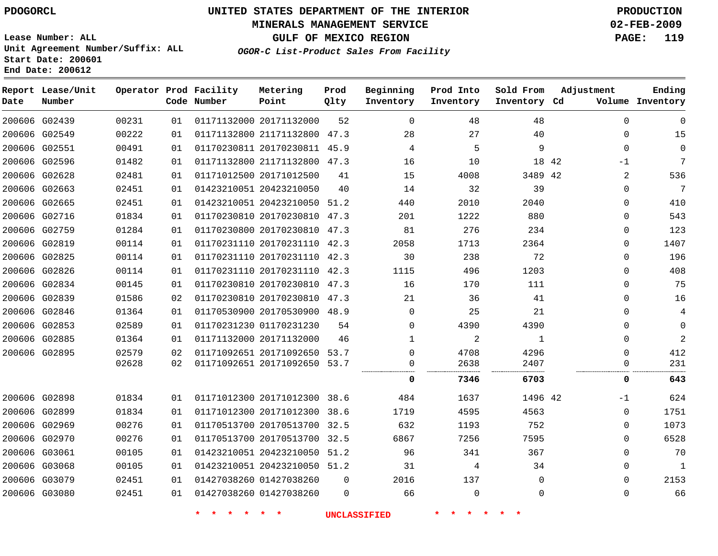### **MINERALS MANAGEMENT SERVICE 02-FEB-2009**

**GULF OF MEXICO REGION PAGE: 119 OGOR-C List-Product Sales From Facility**

**Lease Number: ALL Unit Agreement Number/Suffix: ALL Start Date: 200601 End Date: 200612**

| Date          | Report Lease/Unit<br>Number |       |    | Operator Prod Facility<br>Code Number | Metering<br>Point            | Prod<br>Qlty | Beginning<br>Inventory | Prod Into<br>Inventory | Sold From<br>Inventory Cd | Adjustment | Ending<br>Volume Inventory |
|---------------|-----------------------------|-------|----|---------------------------------------|------------------------------|--------------|------------------------|------------------------|---------------------------|------------|----------------------------|
|               | 200606 G02439               | 00231 | 01 |                                       | 01171132000 20171132000      | 52           | $\mathbf 0$            | 48                     | 48                        | 0          | $\mathbf 0$                |
| 200606 G02549 |                             | 00222 | 01 |                                       | 01171132800 21171132800 47.3 |              | 28                     | 27                     | 40                        | 0          | 15                         |
|               | 200606 G02551               | 00491 | 01 |                                       | 01170230811 20170230811 45.9 |              | 4                      | 5                      | 9                         | 0          | $\mathbf 0$                |
|               | 200606 G02596               | 01482 | 01 |                                       | 01171132800 21171132800 47.3 |              | 16                     | 10                     | 18 42                     | $-1$       | 7                          |
|               | 200606 G02628               | 02481 | 01 |                                       | 01171012500 20171012500      | 41           | 15                     | 4008                   | 3489 42                   | 2          | 536                        |
| 200606 G02663 |                             | 02451 | 01 |                                       | 01423210051 20423210050      | 40           | 14                     | 32                     | 39                        | 0          | 7                          |
|               | 200606 G02665               | 02451 | 01 |                                       | 01423210051 20423210050 51.2 |              | 440                    | 2010                   | 2040                      | 0          | 410                        |
|               | 200606 G02716               | 01834 | 01 |                                       | 01170230810 20170230810 47.3 |              | 201                    | 1222                   | 880                       | 0          | 543                        |
|               | 200606 G02759               | 01284 | 01 |                                       | 01170230800 20170230810 47.3 |              | 81                     | 276                    | 234                       | 0          | 123                        |
|               | 200606 G02819               | 00114 | 01 |                                       | 01170231110 20170231110 42.3 |              | 2058                   | 1713                   | 2364                      | 0          | 1407                       |
|               | 200606 G02825               | 00114 | 01 |                                       | 01170231110 20170231110 42.3 |              | 30                     | 238                    | 72                        | 0          | 196                        |
|               | 200606 G02826               | 00114 | 01 |                                       | 01170231110 20170231110 42.3 |              | 1115                   | 496                    | 1203                      | 0          | 408                        |
|               | 200606 G02834               | 00145 | 01 |                                       | 01170230810 20170230810      | 47.3         | 16                     | 170                    | 111                       | 0          | 75                         |
|               | 200606 G02839               | 01586 | 02 |                                       | 01170230810 20170230810 47.3 |              | 21                     | 36                     | 41                        | 0          | 16                         |
| 200606 G02846 |                             | 01364 | 01 |                                       | 01170530900 20170530900 48.9 |              | 0                      | 25                     | 21                        | 0          | 4                          |
|               | 200606 G02853               | 02589 | 01 |                                       | 01170231230 01170231230      | 54           | 0                      | 4390                   | 4390                      | 0          | $\mathbf 0$                |
|               | 200606 G02885               | 01364 | 01 |                                       | 01171132000 20171132000      | 46           | 1                      | $\overline{2}$         | $\mathbf{1}$              | 0          | $\overline{a}$             |
|               | 200606 G02895               | 02579 | 02 |                                       | 01171092651 20171092650 53.7 |              | $\Omega$               | 4708                   | 4296                      | $\Omega$   | 412                        |
|               |                             | 02628 | 02 |                                       | 01171092651 20171092650 53.7 |              | 0                      | 2638                   | 2407                      | 0          | 231                        |
|               |                             |       |    |                                       |                              |              | 0                      | 7346                   | 6703                      | 0          | 643                        |
| 200606 G02898 |                             | 01834 | 01 |                                       | 01171012300 20171012300 38.6 |              | 484                    | 1637                   | 1496 42                   | $-1$       | 624                        |
|               | 200606 G02899               | 01834 | 01 |                                       | 01171012300 20171012300 38.6 |              | 1719                   | 4595                   | 4563                      | 0          | 1751                       |
|               | 200606 G02969               | 00276 | 01 |                                       | 01170513700 20170513700 32.5 |              | 632                    | 1193                   | 752                       | 0          | 1073                       |
|               | 200606 G02970               | 00276 | 01 |                                       | 01170513700 20170513700 32.5 |              | 6867                   | 7256                   | 7595                      | 0          | 6528                       |
| 200606 G03061 |                             | 00105 | 01 |                                       | 01423210051 20423210050 51.2 |              | 96                     | 341                    | 367                       | 0          | 70                         |
|               | 200606 G03068               | 00105 | 01 |                                       | 01423210051 20423210050 51.2 |              | 31                     | 4                      | 34                        | 0          | 1                          |
|               | 200606 G03079               | 02451 | 01 |                                       | 01427038260 01427038260      | 0            | 2016                   | 137                    | $\mathbf 0$               | 0          | 2153                       |
|               | 200606 G03080               | 02451 | 01 |                                       | 01427038260 01427038260      | $\Omega$     | 66                     | $\mathbf 0$            | $\mathbf{0}$              | 0          | 66                         |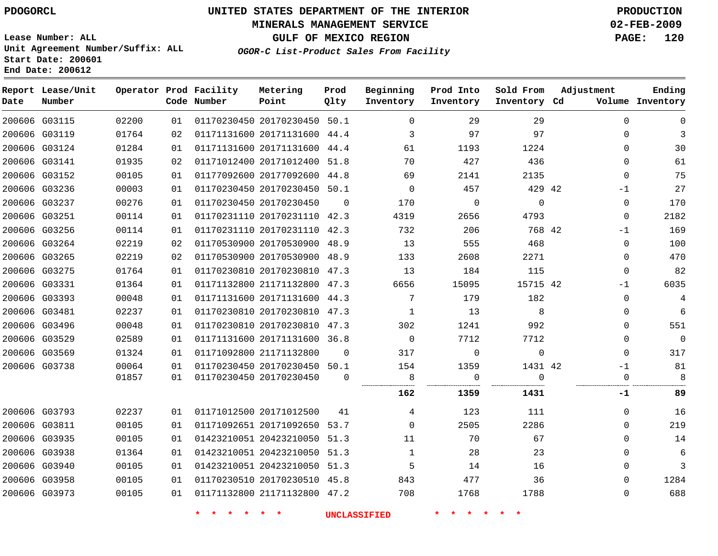### **MINERALS MANAGEMENT SERVICE 02-FEB-2009**

**GULF OF MEXICO REGION PAGE: 120**

**Lease Number: ALL Unit Agreement Number/Suffix: ALL Start Date: 200601 End Date: 200612**

**OGOR-C List-Product Sales From Facility**

| Date          | Report Lease/Unit<br>Number |       |    | Operator Prod Facility<br>Code Number | Metering<br>Point            | Prod<br>Qlty | Beginning<br>Inventory | Prod Into<br>Inventory | Sold From<br>Inventory Cd | Adjustment   | Ending<br>Volume Inventory |
|---------------|-----------------------------|-------|----|---------------------------------------|------------------------------|--------------|------------------------|------------------------|---------------------------|--------------|----------------------------|
|               | 200606 G03115               | 02200 | 01 |                                       | 01170230450 20170230450 50.1 |              | $\Omega$               | 29                     | 29                        | $\Omega$     | $\Omega$                   |
|               | 200606 G03119               | 01764 | 02 |                                       | 01171131600 20171131600 44.4 |              | 3                      | 97                     | 97                        | $\Omega$     | 3                          |
|               | 200606 G03124               | 01284 | 01 |                                       | 01171131600 20171131600 44.4 |              | 61                     | 1193                   | 1224                      | $\Omega$     | 30                         |
| 200606 G03141 |                             | 01935 | 02 |                                       | 01171012400 20171012400 51.8 |              | 70                     | 427                    | 436                       | $\Omega$     | 61                         |
|               | 200606 G03152               | 00105 | 01 |                                       | 01177092600 20177092600 44.8 |              | 69                     | 2141                   | 2135                      | $\Omega$     | 75                         |
|               | 200606 G03236               | 00003 | 01 |                                       | 01170230450 20170230450 50.1 |              | $\Omega$               | 457                    | 429 42                    | -1           | 27                         |
|               | 200606 G03237               | 00276 | 01 |                                       | 01170230450 20170230450      | $\mathbf 0$  | 170                    | 0                      | 0                         | 0            | 170                        |
|               | 200606 G03251               | 00114 | 01 |                                       | 01170231110 20170231110 42.3 |              | 4319                   | 2656                   | 4793                      | 0            | 2182                       |
|               | 200606 G03256               | 00114 | 01 |                                       | 01170231110 20170231110 42.3 |              | 732                    | 206                    | 768 42                    | $-1$         | 169                        |
|               | 200606 G03264               | 02219 | 02 |                                       | 01170530900 20170530900 48.9 |              | 13                     | 555                    | 468                       | $\mathbf{0}$ | 100                        |
|               | 200606 G03265               | 02219 | 02 |                                       | 01170530900 20170530900 48.9 |              | 133                    | 2608                   | 2271                      | $\Omega$     | 470                        |
|               | 200606 G03275               | 01764 | 01 |                                       | 01170230810 20170230810 47.3 |              | 13                     | 184                    | 115                       | 0            | 82                         |
|               | 200606 G03331               | 01364 | 01 |                                       | 01171132800 21171132800 47.3 |              | 6656                   | 15095                  | 15715 42                  | $-1$         | 6035                       |
|               | 200606 G03393               | 00048 | 01 |                                       | 01171131600 20171131600 44.3 |              | 7                      | 179                    | 182                       | $\Omega$     | 4                          |
|               | 200606 G03481               | 02237 | 01 |                                       | 01170230810 20170230810 47.3 |              | $\mathbf{1}$           | 13                     | 8                         | $\Omega$     | 6                          |
|               | 200606 G03496               | 00048 | 01 |                                       | 01170230810 20170230810 47.3 |              | 302                    | 1241                   | 992                       | 0            | 551                        |
|               | 200606 G03529               | 02589 | 01 |                                       | 01171131600 20171131600 36.8 |              | $\Omega$               | 7712                   | 7712                      | $\Omega$     | $\Omega$                   |
|               | 200606 G03569               | 01324 | 01 |                                       | 01171092800 21171132800      | $\Omega$     | 317                    | 0                      | $\mathbf 0$               | $\Omega$     | 317                        |
|               | 200606 G03738               | 00064 | 01 |                                       | 01170230450 20170230450 50.1 |              | 154                    | 1359                   | 1431 42                   | $-1$         | 81                         |
|               |                             | 01857 | 01 |                                       | 01170230450 20170230450      | $\Omega$     | 8                      | 0                      | $\Omega$                  | $\Omega$     | 8                          |
|               |                             |       |    |                                       |                              |              | 162                    | 1359                   | 1431                      | -1           | 89                         |
|               | 200606 G03793               | 02237 | 01 |                                       | 01171012500 20171012500      | 41           | 4                      | 123                    | 111                       | $\Omega$     | 16                         |
|               | 200606 G03811               | 00105 | 01 |                                       | 01171092651 20171092650 53.7 |              | $\Omega$               | 2505                   | 2286                      | 0            | 219                        |
|               | 200606 G03935               | 00105 | 01 |                                       | 01423210051 20423210050 51.3 |              | 11                     | 70                     | 67                        | $\Omega$     | 14                         |
|               | 200606 G03938               | 01364 | 01 |                                       | 01423210051 20423210050 51.3 |              | 1                      | 28                     | 23                        | $\Omega$     | 6                          |
|               | 200606 G03940               | 00105 | 01 |                                       | 01423210051 20423210050 51.3 |              | 5                      | 14                     | 16                        | $\Omega$     | 3                          |
|               | 200606 G03958               | 00105 | 01 |                                       | 01170230510 20170230510 45.8 |              | 843                    | 477                    | 36                        | 0            | 1284                       |
|               | 200606 G03973               | 00105 | 01 |                                       | 01171132800 21171132800 47.2 |              | 708                    | 1768                   | 1788                      | $\Omega$     | 688                        |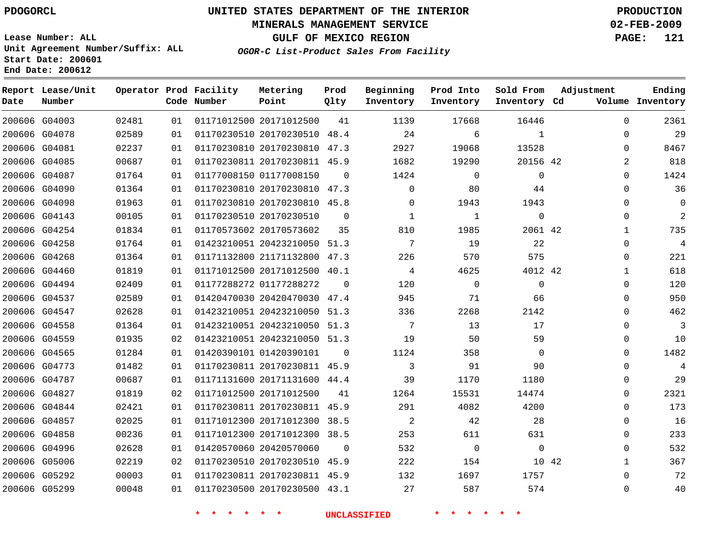### **MINERALS MANAGEMENT SERVICE 02-FEB-2009**

**GULF OF MEXICO REGION PAGE: 121**

**Lease Number: ALL Unit Agreement Number/Suffix: ALL Start Date: 200601 End Date: 200612**

**OGOR-C List-Product Sales From Facility**

| Date | Report Lease/Unit<br>Number |       |    | Operator Prod Facility<br>Code Number | Metering<br>Point            | Prod<br>Qlty | Beginning<br>Inventory | Prod Into<br>Inventory | Sold From<br>Inventory Cd | Adjustment  | Ending<br>Volume Inventory |
|------|-----------------------------|-------|----|---------------------------------------|------------------------------|--------------|------------------------|------------------------|---------------------------|-------------|----------------------------|
|      | 200606 G04003               | 02481 | 01 |                                       | 01171012500 20171012500      | 41           | 1139                   | 17668                  | 16446                     | $\Omega$    | 2361                       |
|      | 200606 G04078               | 02589 | 01 |                                       | 01170230510 20170230510 48.4 |              | 24                     | 6                      | $\mathbf{1}$              | 0           | 29                         |
|      | 200606 G04081               | 02237 | 01 |                                       | 01170230810 20170230810 47.3 |              | 2927                   | 19068                  | 13528                     | $\Omega$    | 8467                       |
|      | 200606 G04085               | 00687 | 01 |                                       | 01170230811 20170230811 45.9 |              | 1682                   | 19290                  | 20156 42                  | 2           | 818                        |
|      | 200606 G04087               | 01764 | 01 |                                       | 01177008150 01177008150      | $\Omega$     | 1424                   | 0                      | $\mathbf 0$               | $\Omega$    | 1424                       |
|      | 200606 G04090               | 01364 | 01 |                                       | 01170230810 20170230810 47.3 |              | $\mathbf 0$            | 80                     | 44                        | $\Omega$    | 36                         |
|      | 200606 G04098               | 01963 | 01 |                                       | 01170230810 20170230810 45.8 |              | $\Omega$               | 1943                   | 1943                      | $\Omega$    | 0                          |
|      | 200606 G04143               | 00105 | 01 |                                       | 01170230510 20170230510      | $\mathbf 0$  | $\mathbf{1}$           | $\mathbf{1}$           | $\mathbf 0$               | $\Omega$    | $\overline{2}$             |
|      | 200606 G04254               | 01834 | 01 |                                       | 01170573602 20170573602      | 35           | 810                    | 1985                   | 2061 42                   | $\mathbf 1$ | 735                        |
|      | 200606 G04258               | 01764 | 01 |                                       | 01423210051 20423210050 51.3 |              | 7                      | 19                     | 22                        | 0           | 4                          |
|      | 200606 G04268               | 01364 | 01 |                                       | 01171132800 21171132800 47.3 |              | 226                    | 570                    | 575                       | $\Omega$    | 221                        |
|      | 200606 G04460               | 01819 | 01 |                                       | 01171012500 20171012500 40.1 |              | 4                      | 4625                   | 4012 42                   | $\mathbf 1$ | 618                        |
|      | 200606 G04494               | 02409 | 01 |                                       | 01177288272 01177288272      | $\Omega$     | 120                    | $\mathbf 0$            | $\mathbf 0$               | $\Omega$    | 120                        |
|      | 200606 G04537               | 02589 | 01 |                                       | 01420470030 20420470030 47.4 |              | 945                    | 71                     | 66                        | $\Omega$    | 950                        |
|      | 200606 G04547               | 02628 | 01 |                                       | 01423210051 20423210050 51.3 |              | 336                    | 2268                   | 2142                      | $\Omega$    | 462                        |
|      | 200606 G04558               | 01364 | 01 |                                       | 01423210051 20423210050 51.3 |              | 7                      | 13                     | 17                        | $\Omega$    | 3                          |
|      | 200606 G04559               | 01935 | 02 |                                       | 01423210051 20423210050 51.3 |              | 19                     | 50                     | 59                        | $\Omega$    | 10                         |
|      | 200606 G04565               | 01284 | 01 |                                       | 01420390101 01420390101      | $\Omega$     | 1124                   | 358                    | $\Omega$                  | $\Omega$    | 1482                       |
|      | 200606 G04773               | 01482 | 01 |                                       | 01170230811 20170230811 45.9 |              | 3                      | 91                     | 90                        | $\Omega$    | $\overline{4}$             |
|      | 200606 G04787               | 00687 | 01 |                                       | 01171131600 20171131600 44.4 |              | 39                     | 1170                   | 1180                      | $\Omega$    | 29                         |
|      | 200606 G04827               | 01819 | 02 |                                       | 01171012500 20171012500      | 41           | 1264                   | 15531                  | 14474                     | $\Omega$    | 2321                       |
|      | 200606 G04844               | 02421 | 01 |                                       | 01170230811 20170230811 45.9 |              | 291                    | 4082                   | 4200                      | $\Omega$    | 173                        |
|      | 200606 G04857               | 02025 | 01 |                                       | 01171012300 20171012300 38.5 |              | 2                      | 42                     | 28                        | $\Omega$    | 16                         |
|      | 200606 G04858               | 00236 | 01 |                                       | 01171012300 20171012300 38.5 |              | 253                    | 611                    | 631                       | $\Omega$    | 233                        |
|      | 200606 G04996               | 02628 | 01 |                                       | 01420570060 20420570060      | $\Omega$     | 532                    | $\mathbf 0$            | $\Omega$                  | $\Omega$    | 532                        |
|      | 200606 G05006               | 02219 | 02 |                                       | 01170230510 20170230510 45.9 |              | 222                    | 154                    | 10 42                     | $\mathbf 1$ | 367                        |
|      | 200606 G05292               | 00003 | 01 |                                       | 01170230811 20170230811 45.9 |              | 132                    | 1697                   | 1757                      | $\Omega$    | 72                         |
|      | 200606 G05299               | 00048 | 01 |                                       | 01170230500 20170230500 43.1 |              | 27                     | 587                    | 574                       | $\Omega$    | 40                         |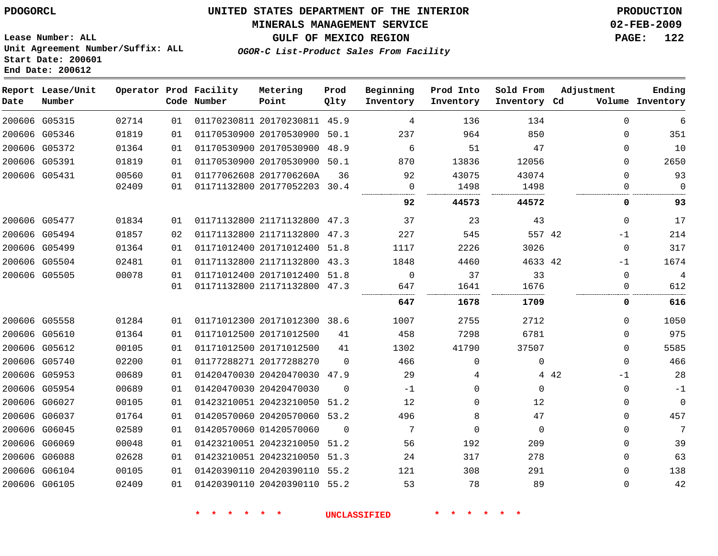#### **MINERALS MANAGEMENT SERVICE 02-FEB-2009**

**GULF OF MEXICO REGION PAGE: 122**

**Lease Number: ALL Unit Agreement Number/Suffix: ALL Start Date: 200601 End Date: 200612**

**OGOR-C List-Product Sales From Facility**

| Date | Report Lease/Unit<br>Number |       |    | Operator Prod Facility<br>Code Number | Metering<br>Point            | Prod<br>Qlty | Beginning<br>Inventory | Prod Into<br>Inventory | Sold From<br>Inventory Cd | Adjustment |              | Ending<br>Volume Inventory |
|------|-----------------------------|-------|----|---------------------------------------|------------------------------|--------------|------------------------|------------------------|---------------------------|------------|--------------|----------------------------|
|      | 200606 G05315               | 02714 | 01 |                                       | 01170230811 20170230811      | 45.9         | 4                      | 136                    | 134                       |            | $\Omega$     | 6                          |
|      | 200606 G05346               | 01819 | 01 |                                       | 01170530900 20170530900      | 50.1         | 237                    | 964                    | 850                       |            | 0            | 351                        |
|      | 200606 G05372               | 01364 | 01 |                                       | 01170530900 20170530900      | 48.9         | 6                      | 51                     | 47                        |            | $\Omega$     | 10                         |
|      | 200606 G05391               | 01819 | 01 |                                       | 01170530900 20170530900      | 50.1         | 870                    | 13836                  | 12056                     |            | 0            | 2650                       |
|      | 200606 G05431               | 00560 | 01 |                                       | 01177062608 2017706260A      | 36           | 92                     | 43075                  | 43074                     |            | $\Omega$     | 93                         |
|      |                             | 02409 | 01 |                                       | 01171132800 20177052203 30.4 |              | 0                      | 1498                   | 1498                      |            | 0            | $\mathbf 0$                |
|      |                             |       |    |                                       |                              |              | 92                     | 44573                  | 44572                     |            | 0            | 93                         |
|      | 200606 G05477               | 01834 | 01 |                                       | 01171132800 21171132800 47.3 |              | 37                     | 23                     | 43                        |            | $\mathbf{0}$ | 17                         |
|      | 200606 G05494               | 01857 | 02 |                                       | 01171132800 21171132800 47.3 |              | 227                    | 545                    | 557 42                    |            | $-1$         | 214                        |
|      | 200606 G05499               | 01364 | 01 |                                       | 01171012400 20171012400      | 51.8         | 1117                   | 2226                   | 3026                      |            | 0            | 317                        |
|      | 200606 G05504               | 02481 | 01 |                                       | 01171132800 21171132800 43.3 |              | 1848                   | 4460                   | 4633 42                   |            | $-1$         | 1674                       |
|      | 200606 G05505               | 00078 | 01 |                                       | 01171012400 20171012400 51.8 |              | $\mathbf 0$            | 37                     | 33                        |            | $\mathbf{0}$ | 4                          |
|      |                             |       | 01 |                                       | 01171132800 21171132800 47.3 |              | 647                    | 1641                   | 1676                      |            | 0            | 612                        |
|      |                             |       |    |                                       |                              |              | 647                    | 1678                   | 1709                      |            | 0            | 616                        |
|      | 200606 G05558               | 01284 | 01 |                                       | 01171012300 20171012300 38.6 |              | 1007                   | 2755                   | 2712                      |            | $\Omega$     | 1050                       |
|      | 200606 G05610               | 01364 | 01 |                                       | 01171012500 20171012500      | 41           | 458                    | 7298                   | 6781                      |            | $\Omega$     | 975                        |
|      | 200606 G05612               | 00105 | 01 |                                       | 01171012500 20171012500      | 41           | 1302                   | 41790                  | 37507                     |            | 0            | 5585                       |
|      | 200606 G05740               | 02200 | 01 |                                       | 01177288271 20177288270      | $\Omega$     | 466                    | 0                      | 0                         |            | 0            | 466                        |
|      | 200606 G05953               | 00689 | 01 |                                       | 01420470030 20420470030 47.9 |              | 29                     | 4                      |                           | 4 4 2      | -1           | 28                         |
|      | 200606 G05954               | 00689 | 01 |                                       | 01420470030 20420470030      | $\Omega$     | $-1$                   | 0                      | 0                         |            | $\mathbf{0}$ | $-1$                       |
|      | 200606 G06027               | 00105 | 01 |                                       | 01423210051 20423210050 51.2 |              | 12                     | 0                      | 12                        |            | $\Omega$     | $\mathbf{0}$               |
|      | 200606 G06037               | 01764 | 01 |                                       | 01420570060 20420570060 53.2 |              | 496                    | 8                      | 47                        |            | 0            | 457                        |
|      | 200606 G06045               | 02589 | 01 |                                       | 01420570060 01420570060      | 0            | 7                      | 0                      | 0                         |            | 0            | 7                          |
|      | 200606 G06069               | 00048 | 01 |                                       | 01423210051 20423210050      | 51.2         | 56                     | 192                    | 209                       |            | $\mathbf{0}$ | 39                         |
|      | 200606 G06088               | 02628 | 01 |                                       | 01423210051 20423210050      | 51.3         | 24                     | 317                    | 278                       |            | $\mathbf{0}$ | 63                         |
|      | 200606 G06104               | 00105 | 01 |                                       | 01420390110 20420390110 55.2 |              | 121                    | 308                    | 291                       |            | 0            | 138                        |
|      | 200606 G06105               | 02409 | 01 |                                       | 01420390110 20420390110 55.2 |              | 53                     | 78                     | 89                        |            | 0            | 42                         |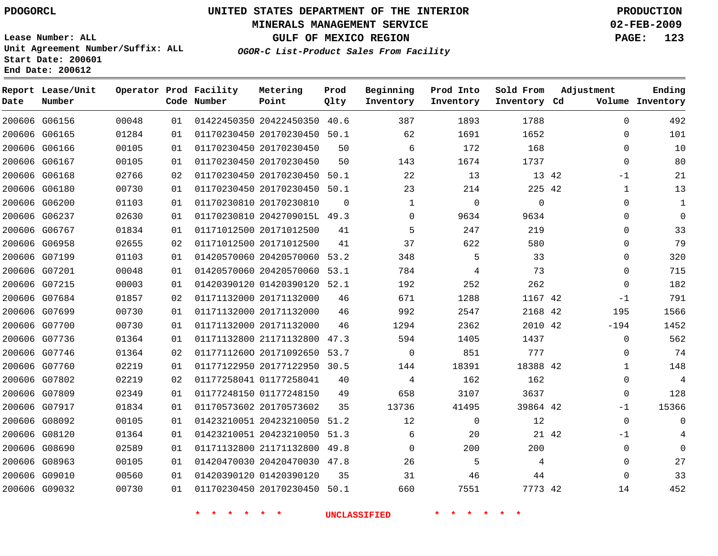### **MINERALS MANAGEMENT SERVICE 02-FEB-2009**

**GULF OF MEXICO REGION PAGE: 123**

**Lease Number: ALL Unit Agreement Number/Suffix: ALL Start Date: 200601 End Date: 200612**

**OGOR-C List-Product Sales From Facility**

| Date | Report Lease/Unit<br>Number |       |    | Operator Prod Facility<br>Code Number | Metering<br>Point            | Prod<br>Qlty | Beginning<br>Inventory | Prod Into<br>Inventory | Sold From<br>Inventory Cd | Adjustment |              | Ending<br>Volume Inventory |
|------|-----------------------------|-------|----|---------------------------------------|------------------------------|--------------|------------------------|------------------------|---------------------------|------------|--------------|----------------------------|
|      | 200606 G06156               | 00048 | 01 |                                       | 01422450350 20422450350 40.6 |              | 387                    | 1893                   | 1788                      |            | 0            | 492                        |
|      | 200606 G06165               | 01284 | 01 |                                       | 01170230450 20170230450 50.1 |              | 62                     | 1691                   | 1652                      |            | 0            | 101                        |
|      | 200606 G06166               | 00105 | 01 |                                       | 01170230450 20170230450      | 50           | 6                      | 172                    | 168                       |            | $\Omega$     | 10                         |
|      | 200606 G06167               | 00105 | 01 |                                       | 01170230450 20170230450      | 50           | 143                    | 1674                   | 1737                      |            | $\mathbf 0$  | 80                         |
|      | 200606 G06168               | 02766 | 02 |                                       | 01170230450 20170230450      | 50.1         | 22                     | 13                     | 13 42                     |            | $-1$         | 21                         |
|      | 200606 G06180               | 00730 | 01 |                                       | 01170230450 20170230450 50.1 |              | 23                     | 214                    | 225 42                    |            | $\mathbf{1}$ | 13                         |
|      | 200606 G06200               | 01103 | 01 |                                       | 01170230810 20170230810      | $\Omega$     | $\mathbf{1}$           | $\Omega$               | $\Omega$                  |            | $\Omega$     | 1                          |
|      | 200606 G06237               | 02630 | 01 |                                       | 01170230810 2042709015L 49.3 |              | $\mathbf 0$            | 9634                   | 9634                      |            | $\mathbf 0$  | $\mathbf 0$                |
|      | 200606 G06767               | 01834 | 01 |                                       | 01171012500 20171012500      | 41           | 5                      | 247                    | 219                       |            | $\Omega$     | 33                         |
|      | 200606 G06958               | 02655 | 02 |                                       | 01171012500 20171012500      | 41           | 37                     | 622                    | 580                       |            | $\mathbf 0$  | 79                         |
|      | 200606 G07199               | 01103 | 01 |                                       | 01420570060 20420570060 53.2 |              | 348                    | 5                      | 33                        |            | $\Omega$     | 320                        |
|      | 200606 G07201               | 00048 | 01 |                                       | 01420570060 20420570060      | 53.1         | 784                    | 4                      | 73                        |            | $\Omega$     | 715                        |
|      | 200606 G07215               | 00003 | 01 |                                       | 01420390120 01420390120 52.1 |              | 192                    | 252                    | 262                       |            | $\Omega$     | 182                        |
|      | 200606 G07684               | 01857 | 02 |                                       | 01171132000 20171132000      | 46           | 671                    | 1288                   | 1167 42                   |            | $-1$         | 791                        |
|      | 200606 G07699               | 00730 | 01 |                                       | 01171132000 20171132000      | 46           | 992                    | 2547                   | 2168 42                   |            | 195          | 1566                       |
|      | 200606 G07700               | 00730 | 01 |                                       | 01171132000 20171132000      | 46           | 1294                   | 2362                   | 2010 42                   |            | $-194$       | 1452                       |
|      | 200606 G07736               | 01364 | 01 |                                       | 01171132800 21171132800 47.3 |              | 594                    | 1405                   | 1437                      |            | $\mathbf{0}$ | 562                        |
|      | 200606 G07746               | 01364 | 02 |                                       | 01177112600 20171092650 53.7 |              | $\mathbf 0$            | 851                    | 777                       |            | 0            | 74                         |
|      | 200606 G07760               | 02219 | 01 |                                       | 01177122950 20177122950 30.5 |              | 144                    | 18391                  | 18388 42                  |            | 1            | 148                        |
|      | 200606 G07802               | 02219 | 02 |                                       | 01177258041 01177258041      | 40           | 4                      | 162                    | 162                       |            | $\mathbf 0$  | 4                          |
|      | 200606 G07809               | 02349 | 01 |                                       | 01177248150 01177248150      | 49           | 658                    | 3107                   | 3637                      |            | 0            | 128                        |
|      | 200606 G07917               | 01834 | 01 |                                       | 01170573602 20170573602      | 35           | 13736                  | 41495                  | 39864 42                  |            | $-1$         | 15366                      |
|      | 200606 G08092               | 00105 | 01 |                                       | 01423210051 20423210050 51.2 |              | 12                     | 0                      | 12                        |            | $\mathbf 0$  | 0                          |
|      | 200606 G08120               | 01364 | 01 |                                       | 01423210051 20423210050 51.3 |              | 6                      | 20                     | 21 42                     |            | $-1$         |                            |
|      | 200606 G08690               | 02589 | 01 |                                       | 01171132800 21171132800 49.8 |              | $\Omega$               | 200                    | 200                       |            | $\mathbf 0$  | $\Omega$                   |
|      | 200606 G08963               | 00105 | 01 |                                       | 01420470030 20420470030 47.8 |              | 26                     | 5                      | 4                         |            | $\mathbf 0$  | 27                         |
|      | 200606 G09010               | 00560 | 01 |                                       | 01420390120 01420390120      | 35           | 31                     | 46                     | 44                        |            | $\Omega$     | 33                         |
|      | 200606 G09032               | 00730 | 01 |                                       | 01170230450 20170230450 50.1 |              | 660                    | 7551                   | 7773 42                   |            | 14           | 452                        |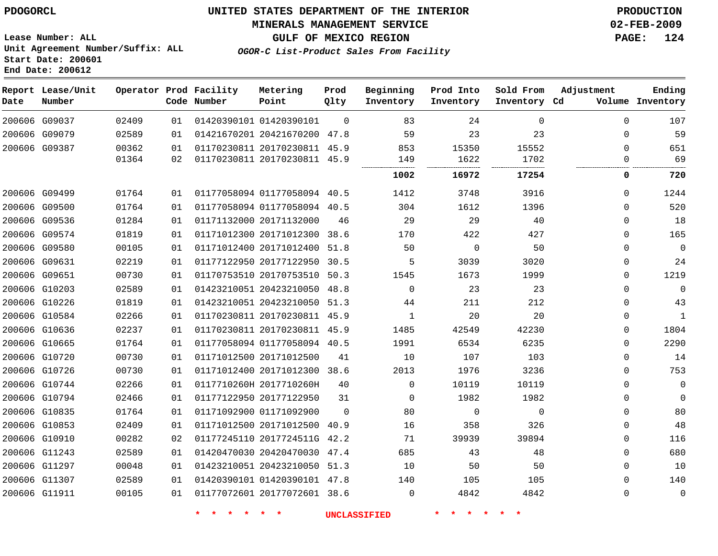### **MINERALS MANAGEMENT SERVICE 02-FEB-2009**

**GULF OF MEXICO REGION PAGE: 124**

**Lease Number: ALL Unit Agreement Number/Suffix: ALL Start Date: 200601 End Date: 200612**

**OGOR-C List-Product Sales From Facility**

| Date | Report Lease/Unit<br>Number |       |    | Operator Prod Facility<br>Code Number | Metering<br>Point            | Prod<br>Qlty | Beginning<br>Inventory | Prod Into<br>Inventory | Sold From<br>Inventory Cd | Adjustment | Ending<br>Volume Inventory |
|------|-----------------------------|-------|----|---------------------------------------|------------------------------|--------------|------------------------|------------------------|---------------------------|------------|----------------------------|
|      | 200606 G09037               | 02409 | 01 |                                       | 01420390101 01420390101      | $\Omega$     | 83                     | 24                     | $\Omega$                  | $\Omega$   | 107                        |
|      | 200606 G09079               | 02589 | 01 |                                       | 01421670201 20421670200 47.8 |              | 59                     | 23                     | 23                        | 0          | 59                         |
|      | 200606 G09387               | 00362 | 01 |                                       | 01170230811 20170230811 45.9 |              | 853                    | 15350                  | 15552                     | $\Omega$   | 651                        |
|      |                             | 01364 | 02 |                                       | 01170230811 20170230811 45.9 |              | 149                    | 1622                   | 1702                      | 0          | 69                         |
|      |                             |       |    |                                       |                              |              | 1002                   | 16972                  | 17254                     | 0          | 720                        |
|      | 200606 G09499               | 01764 | 01 |                                       | 01177058094 01177058094 40.5 |              | 1412                   | 3748                   | 3916                      | 0          | 1244                       |
|      | 200606 G09500               | 01764 | 01 |                                       | 01177058094 01177058094 40.5 |              | 304                    | 1612                   | 1396                      | 0          | 520                        |
|      | 200606 G09536               | 01284 | 01 |                                       | 01171132000 20171132000      | 46           | 29                     | 29                     | 40                        | 0          | 18                         |
|      | 200606 G09574               | 01819 | 01 |                                       | 01171012300 20171012300 38.6 |              | 170                    | 422                    | 427                       | $\Omega$   | 165                        |
|      | 200606 G09580               | 00105 | 01 |                                       | 01171012400 20171012400 51.8 |              | 50                     | $\Omega$               | 50                        | $\Omega$   | $\mathbf 0$                |
|      | 200606 G09631               | 02219 | 01 |                                       | 01177122950 20177122950      | 30.5         | 5                      | 3039                   | 3020                      | 0          | 24                         |
|      | 200606 G09651               | 00730 | 01 |                                       | 01170753510 20170753510 50.3 |              | 1545                   | 1673                   | 1999                      | 0          | 1219                       |
|      | 200606 G10203               | 02589 | 01 |                                       | 01423210051 20423210050 48.8 |              | $\mathbf{0}$           | 23                     | 23                        | 0          | $\mathbf 0$                |
|      | 200606 G10226               | 01819 | 01 |                                       | 01423210051 20423210050 51.3 |              | 44                     | 211                    | 212                       | 0          | 43                         |
|      | 200606 G10584               | 02266 | 01 |                                       | 01170230811 20170230811 45.9 |              | $\mathbf{1}$           | 20                     | 20                        | 0          | $\mathbf{1}$               |
|      | 200606 G10636               | 02237 | 01 |                                       | 01170230811 20170230811 45.9 |              | 1485                   | 42549                  | 42230                     | 0          | 1804                       |
|      | 200606 G10665               | 01764 | 01 |                                       | 01177058094 01177058094 40.5 |              | 1991                   | 6534                   | 6235                      | $\Omega$   | 2290                       |
|      | 200606 G10720               | 00730 | 01 |                                       | 01171012500 20171012500      | 41           | 10                     | 107                    | 103                       | 0          | 14                         |
|      | 200606 G10726               | 00730 | 01 |                                       | 01171012400 20171012300 38.6 |              | 2013                   | 1976                   | 3236                      | $\Omega$   | 753                        |
|      | 200606 G10744               | 02266 | 01 |                                       | 0117710260H 2017710260H      | 40           | $\mathbf{0}$           | 10119                  | 10119                     | 0          | 0                          |
|      | 200606 G10794               | 02466 | 01 |                                       | 01177122950 20177122950      | 31           | $\Omega$               | 1982                   | 1982                      | $\Omega$   | 0                          |
|      | 200606 G10835               | 01764 | 01 |                                       | 01171092900 01171092900      | $\Omega$     | 80                     | $\mathbf 0$            | $\mathbf{0}$              | $\Omega$   | 80                         |
|      | 200606 G10853               | 02409 | 01 |                                       | 01171012500 20171012500 40.9 |              | 16                     | 358                    | 326                       | 0          | 48                         |
|      | 200606 G10910               | 00282 | 02 |                                       | 01177245110 2017724511G 42.2 |              | 71                     | 39939                  | 39894                     | 0          | 116                        |
|      | 200606 G11243               | 02589 | 01 |                                       | 01420470030 20420470030      | 47.4         | 685                    | 43                     | 48                        | 0          | 680                        |
|      | 200606 G11297               | 00048 | 01 |                                       | 01423210051 20423210050 51.3 |              | 10                     | 50                     | 50                        | $\Omega$   | 10                         |
|      | 200606 G11307               | 02589 | 01 |                                       | 01420390101 01420390101 47.8 |              | 140                    | 105                    | 105                       | $\Omega$   | 140                        |
|      | 200606 G11911               | 00105 | 01 |                                       | 01177072601 20177072601 38.6 |              | 0                      | 4842                   | 4842                      | 0          | $\mathbf 0$                |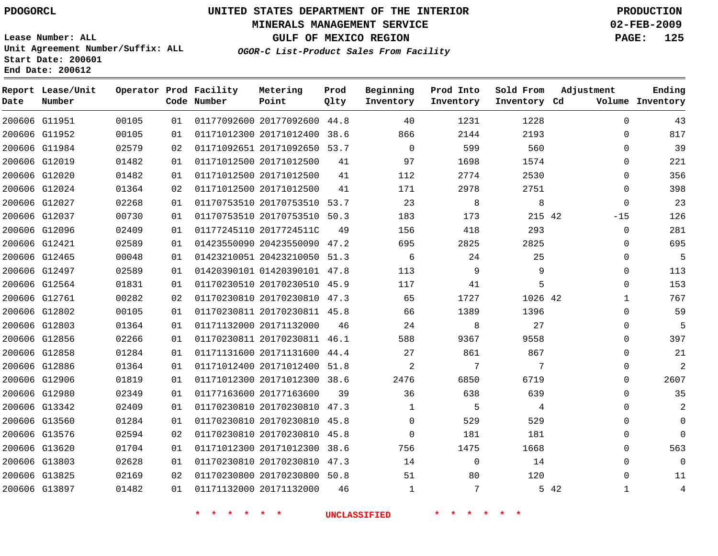#### **MINERALS MANAGEMENT SERVICE 02-FEB-2009**

**GULF OF MEXICO REGION PAGE: 125**

**Lease Number: ALL Unit Agreement Number/Suffix: ALL Start Date: 200601 End Date: 200612**

**OGOR-C List-Product Sales From Facility**

|      | Report Lease/Unit |       |    | Operator Prod Facility | Metering                     | Prod | Beginning      | Prod Into   | Sold From    | Adjustment           | Ending           |
|------|-------------------|-------|----|------------------------|------------------------------|------|----------------|-------------|--------------|----------------------|------------------|
| Date | Number            |       |    | Code Number            | Point                        | Qlty | Inventory      | Inventory   | Inventory Cd |                      | Volume Inventory |
|      | 200606 G11951     | 00105 | 01 |                        | 01177092600 20177092600 44.8 |      | 40             | 1231        | 1228         | $\Omega$             | 43               |
|      | 200606 G11952     | 00105 | 01 |                        | 01171012300 20171012400      | 38.6 | 866            | 2144        | 2193         | 0                    | 817              |
|      | 200606 G11984     | 02579 | 02 |                        | 01171092651 20171092650 53.7 |      | $\Omega$       | 599         | 560          | $\Omega$             | 39               |
|      | 200606 G12019     | 01482 | 01 |                        | 01171012500 20171012500      | 41   | 97             | 1698        | 1574         | $\Omega$             | 221              |
|      | 200606 G12020     | 01482 | 01 |                        | 01171012500 20171012500      | 41   | 112            | 2774        | 2530         | $\Omega$             | 356              |
|      | 200606 G12024     | 01364 | 02 |                        | 01171012500 20171012500      | 41   | 171            | 2978        | 2751         | $\mathbf{0}$         | 398              |
|      | 200606 G12027     | 02268 | 01 |                        | 01170753510 20170753510 53.7 |      | 23             | 8           | 8            | 0                    | 23               |
|      | 200606 G12037     | 00730 | 01 |                        | 01170753510 20170753510 50.3 |      | 183            | 173         | 215 42       | $-15$                | 126              |
|      | 200606 G12096     | 02409 | 01 |                        | 01177245110 2017724511C      | 49   | 156            | 418         | 293          | $\mathbf{0}$         | 281              |
|      | 200606 G12421     | 02589 | 01 |                        | 01423550090 20423550090 47.2 |      | 695            | 2825        | 2825         | 0                    | 695              |
|      | 200606 G12465     | 00048 | 01 |                        | 01423210051 20423210050 51.3 |      | 6              | 24          | 25           | $\Omega$             | 5                |
|      | 200606 G12497     | 02589 | 01 |                        | 01420390101 01420390101 47.8 |      | 113            | 9           | 9            | $\mathbf{0}$         | 113              |
|      | 200606 G12564     | 01831 | 01 |                        | 01170230510 20170230510 45.9 |      | 117            | 41          | 5            | $\Omega$             | 153              |
|      | 200606 G12761     | 00282 | 02 |                        | 01170230810 20170230810 47.3 |      | 65             | 1727        | 1026 42      | $\mathbf{1}$         | 767              |
|      | 200606 G12802     | 00105 | 01 |                        | 01170230811 20170230811 45.8 |      | 66             | 1389        | 1396         | 0                    | 59               |
|      | 200606 G12803     | 01364 | 01 |                        | 01171132000 20171132000      | 46   | 24             | 8           | 27           | 0                    | 5                |
|      | 200606 G12856     | 02266 | 01 |                        | 01170230811 20170230811 46.1 |      | 588            | 9367        | 9558         | $\Omega$             | 397              |
|      | 200606 G12858     | 01284 | 01 |                        | 01171131600 20171131600      | 44.4 | 27             | 861         | 867          | $\mathbf{0}$         | 21               |
|      | 200606 G12886     | 01364 | 01 |                        | 01171012400 20171012400 51.8 |      | $\overline{2}$ | 7           | 7            | $\Omega$             | $\overline{2}$   |
|      | 200606 G12906     | 01819 | 01 |                        | 01171012300 20171012300      | 38.6 | 2476           | 6850        | 6719         | $\Omega$             | 2607             |
|      | 200606 G12980     | 02349 | 01 |                        | 01177163600 20177163600      | 39   | 36             | 638         | 639          | $\mathbf{0}$         | 35               |
|      | 200606 G13342     | 02409 | 01 |                        | 01170230810 20170230810 47.3 |      | 1              | 5           | 4            | 0                    | 2                |
|      | 200606 G13560     | 01284 | 01 |                        | 01170230810 20170230810 45.8 |      | $\Omega$       | 529         | 529          | $\Omega$             | $\Omega$         |
|      | 200606 G13576     | 02594 | 02 |                        | 01170230810 20170230810 45.8 |      | 0              | 181         | 181          | $\mathbf{0}$         | $\Omega$         |
|      | 200606 G13620     | 01704 | 01 |                        | 01171012300 20171012300 38.6 |      | 756            | 1475        | 1668         | $\Omega$             | 563              |
|      | 200606 G13803     | 02628 | 01 |                        | 01170230810 20170230810 47.3 |      | 14             | $\mathbf 0$ | 14           | $\mathbf{0}$         | $\Omega$         |
|      | 200606 G13825     | 02169 | 02 |                        | 01170230800 20170230800 50.8 |      | 51             | 80          | 120          | $\Omega$             | 11               |
|      | 200606 G13897     | 01482 | 01 |                        | 01171132000 20171132000      | 46   | $\mathbf{1}$   | 7           |              | 5 42<br>$\mathbf{1}$ | $\overline{4}$   |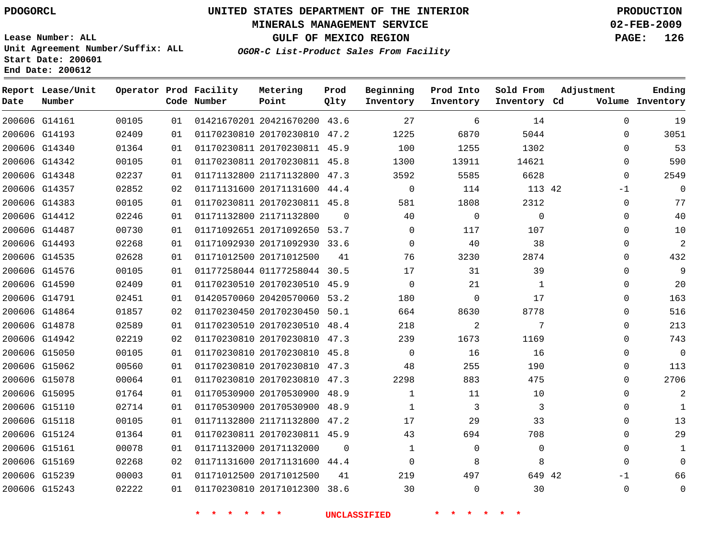### **MINERALS MANAGEMENT SERVICE 02-FEB-2009**

**GULF OF MEXICO REGION PAGE: 126**

**Lease Number: ALL Unit Agreement Number/Suffix: ALL Start Date: 200601 End Date: 200612**

**OGOR-C List-Product Sales From Facility**

| Date | Report Lease/Unit<br>Number |       |    | Operator Prod Facility<br>Code Number | Metering<br>Point            | Prod<br>Qlty | Beginning<br>Inventory | Prod Into<br>Inventory | Sold From<br>Inventory Cd | Adjustment   | Ending<br>Volume Inventory |
|------|-----------------------------|-------|----|---------------------------------------|------------------------------|--------------|------------------------|------------------------|---------------------------|--------------|----------------------------|
|      | 200606 G14161               | 00105 | 01 |                                       | 01421670201 20421670200 43.6 |              | 27                     | 6                      | 14                        | 0            | 19                         |
|      | 200606 G14193               | 02409 | 01 |                                       | 01170230810 20170230810 47.2 |              | 1225                   | 6870                   | 5044                      | 0            | 3051                       |
|      | 200606 G14340               | 01364 | 01 |                                       | 01170230811 20170230811 45.9 |              | 100                    | 1255                   | 1302                      | $\Omega$     | 53                         |
|      | 200606 G14342               | 00105 | 01 |                                       | 01170230811 20170230811 45.8 |              | 1300                   | 13911                  | 14621                     | $\mathbf{0}$ | 590                        |
|      | 200606 G14348               | 02237 | 01 |                                       | 01171132800 21171132800 47.3 |              | 3592                   | 5585                   | 6628                      | $\Omega$     | 2549                       |
|      | 200606 G14357               | 02852 | 02 |                                       | 01171131600 20171131600 44.4 |              | $\mathbf 0$            | 114                    | 113 42                    | $-1$         | $\Omega$                   |
|      | 200606 G14383               | 00105 | 01 |                                       | 01170230811 20170230811 45.8 |              | 581                    | 1808                   | 2312                      | $\Omega$     | 77                         |
|      | 200606 G14412               | 02246 | 01 |                                       | 01171132800 21171132800      | $\Omega$     | 40                     | $\mathbf 0$            | $\Omega$                  | $\Omega$     | 40                         |
|      | 200606 G14487               | 00730 | 01 |                                       | 01171092651 20171092650 53.7 |              | $\Omega$               | 117                    | 107                       | $\Omega$     | 10                         |
|      | 200606 G14493               | 02268 | 01 |                                       | 01171092930 20171092930 33.6 |              | $\mathbf 0$            | 40                     | 38                        | 0            | $\overline{c}$             |
|      | 200606 G14535               | 02628 | 01 |                                       | 01171012500 20171012500      | 41           | 76                     | 3230                   | 2874                      | $\Omega$     | 432                        |
|      | 200606 G14576               | 00105 | 01 |                                       | 01177258044 01177258044 30.5 |              | 17                     | 31                     | 39                        | $\mathbf 0$  | 9                          |
|      | 200606 G14590               | 02409 | 01 |                                       | 01170230510 20170230510 45.9 |              | $\Omega$               | 21                     | $\mathbf{1}$              | $\Omega$     | 20                         |
|      | 200606 G14791               | 02451 | 01 |                                       | 01420570060 20420570060 53.2 |              | 180                    | $\mathbf 0$            | 17                        | $\mathbf{0}$ | 163                        |
|      | 200606 G14864               | 01857 | 02 |                                       | 01170230450 20170230450 50.1 |              | 664                    | 8630                   | 8778                      | $\Omega$     | 516                        |
|      | 200606 G14878               | 02589 | 01 |                                       | 01170230510 20170230510 48.4 |              | 218                    | $\overline{a}$         | 7                         | $\mathbf{0}$ | 213                        |
|      | 200606 G14942               | 02219 | 02 |                                       | 01170230810 20170230810 47.3 |              | 239                    | 1673                   | 1169                      | $\Omega$     | 743                        |
|      | 200606 G15050               | 00105 | 01 |                                       | 01170230810 20170230810 45.8 |              | $\Omega$               | 16                     | 16                        | $\Omega$     | $\Omega$                   |
|      | 200606 G15062               | 00560 | 01 |                                       | 01170230810 20170230810 47.3 |              | 48                     | 255                    | 190                       | 0            | 113                        |
|      | 200606 G15078               | 00064 | 01 |                                       | 01170230810 20170230810 47.3 |              | 2298                   | 883                    | 475                       | 0            | 2706                       |
|      | 200606 G15095               | 01764 | 01 |                                       | 01170530900 20170530900 48.9 |              | $\mathbf{1}$           | 11                     | 10                        | $\Omega$     | 2                          |
|      | 200606 G15110               | 02714 | 01 |                                       | 01170530900 20170530900 48.9 |              | $\mathbf{1}$           | 3                      | 3                         | $\mathbf{0}$ | $\mathbf{1}$               |
|      | 200606 G15118               | 00105 | 01 |                                       | 01171132800 21171132800 47.2 |              | 17                     | 29                     | 33                        | $\Omega$     | 13                         |
|      | 200606 G15124               | 01364 | 01 |                                       | 01170230811 20170230811 45.9 |              | 43                     | 694                    | 708                       | $\Omega$     | 29                         |
|      | 200606 G15161               | 00078 | 01 |                                       | 01171132000 20171132000      | $\Omega$     | $\mathbf{1}$           | $\mathbf 0$            | $\Omega$                  | $\Omega$     | $\mathbf{1}$               |
|      | 200606 G15169               | 02268 | 02 |                                       | 01171131600 20171131600 44.4 |              | $\Omega$               | 8                      | 8                         | $\Omega$     | $\Omega$                   |
|      | 200606 G15239               | 00003 | 01 |                                       | 01171012500 20171012500      | 41           | 219                    | 497                    | 649 42                    | $-1$         | 66                         |
|      | 200606 G15243               | 02222 | 01 |                                       | 01170230810 20171012300 38.6 |              | 30                     | $\Omega$               | 30                        | $\Omega$     | $\mathbf{0}$               |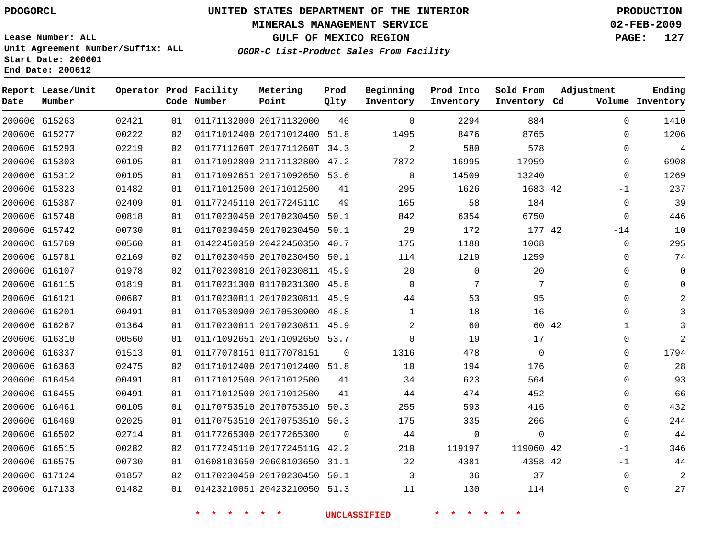### **MINERALS MANAGEMENT SERVICE 02-FEB-2009**

**GULF OF MEXICO REGION PAGE: 127**

**Lease Number: ALL Unit Agreement Number/Suffix: ALL Start Date: 200601 End Date: 200612**

**OGOR-C List-Product Sales From Facility**

| Date | Report Lease/Unit<br>Number |       |    | Operator Prod Facility<br>Code Number | Metering<br>Point            | Prod<br>Qlty | Beginning<br>Inventory | Prod Into<br>Inventory | Sold From<br>Inventory Cd | Adjustment   | Ending<br>Volume Inventory |
|------|-----------------------------|-------|----|---------------------------------------|------------------------------|--------------|------------------------|------------------------|---------------------------|--------------|----------------------------|
|      | 200606 G15263               | 02421 | 01 |                                       | 01171132000 20171132000      | 46           | $\Omega$               | 2294                   | 884                       | 0            | 1410                       |
|      | 200606 G15277               | 00222 | 02 |                                       | 01171012400 20171012400      | 51.8         | 1495                   | 8476                   | 8765                      | 0            | 1206                       |
|      | 200606 G15293               | 02219 | 02 |                                       | 0117711260T 2017711260T 34.3 |              | $\overline{a}$         | 580                    | 578                       | 0            | 4                          |
|      | 200606 G15303               | 00105 | 01 |                                       | 01171092800 21171132800      | 47.2         | 7872                   | 16995                  | 17959                     | 0            | 6908                       |
|      | 200606 G15312               | 00105 | 01 |                                       | 01171092651 20171092650 53.6 |              | $\Omega$               | 14509                  | 13240                     | 0            | 1269                       |
|      | 200606 G15323               | 01482 | 01 |                                       | 01171012500 20171012500      | 41           | 295                    | 1626                   | 1683 42                   | $-1$         | 237                        |
|      | 200606 G15387               | 02409 | 01 |                                       | 01177245110 2017724511C      | 49           | 165                    | 58                     | 184                       | $\mathbf{0}$ | 39                         |
|      | 200606 G15740               | 00818 | 01 |                                       | 01170230450 20170230450      | 50.1         | 842                    | 6354                   | 6750                      | $\mathbf{0}$ | 446                        |
|      | 200606 G15742               | 00730 | 01 |                                       | 01170230450 20170230450 50.1 |              | 29                     | 172                    | 177 42                    | $-14$        | 10                         |
|      | 200606 G15769               | 00560 | 01 |                                       | 01422450350 20422450350 40.7 |              | 175                    | 1188                   | 1068                      | $\mathbf{0}$ | 295                        |
|      | 200606 G15781               | 02169 | 02 |                                       | 01170230450 20170230450 50.1 |              | 114                    | 1219                   | 1259                      | $\Omega$     | 74                         |
|      | 200606 G16107               | 01978 | 02 |                                       | 01170230810 20170230811 45.9 |              | 20                     | $\mathbf 0$            | 20                        | $\mathbf 0$  | $\Omega$                   |
|      | 200606 G16115               | 01819 | 01 |                                       | 01170231300 01170231300 45.8 |              | $\Omega$               | 7                      | 7                         | $\Omega$     | $\Omega$                   |
|      | 200606 G16121               | 00687 | 01 |                                       | 01170230811 20170230811 45.9 |              | 44                     | 53                     | 95                        | 0            |                            |
|      | 200606 G16201               | 00491 | 01 |                                       | 01170530900 20170530900 48.8 |              | $\mathbf 1$            | 18                     | 16                        | 0            |                            |
|      | 200606 G16267               | 01364 | 01 |                                       | 01170230811 20170230811 45.9 |              | 2                      | 60                     |                           | 60 42<br>1   |                            |
|      | 200606 G16310               | 00560 | 01 |                                       | 01171092651 20171092650 53.7 |              | $\Omega$               | 19                     | 17                        | 0            | 2                          |
|      | 200606 G16337               | 01513 | 01 |                                       | 01177078151 01177078151      | $\Omega$     | 1316                   | 478                    | 0                         | 0            | 1794                       |
|      | 200606 G16363               | 02475 | 02 |                                       | 01171012400 20171012400 51.8 |              | 10                     | 194                    | 176                       | 0            | 28                         |
|      | 200606 G16454               | 00491 | 01 |                                       | 01171012500 20171012500      | 41           | 34                     | 623                    | 564                       | $\mathbf{0}$ | 93                         |
|      | 200606 G16455               | 00491 | 01 |                                       | 01171012500 20171012500      | 41           | 44                     | 474                    | 452                       | $\Omega$     | 66                         |
|      | 200606 G16461               | 00105 | 01 |                                       | 01170753510 20170753510      | 50.3         | 255                    | 593                    | 416                       | $\mathbf{0}$ | 432                        |
|      | 200606 G16469               | 02025 | 01 |                                       | 01170753510 20170753510 50.3 |              | 175                    | 335                    | 266                       | $\mathbf{0}$ | 244                        |
|      | 200606 G16502               | 02714 | 01 |                                       | 01177265300 20177265300      | $\Omega$     | 44                     | $\mathbf 0$            | 0                         | $\mathbf{0}$ | 44                         |
|      | 200606 G16515               | 00282 | 02 |                                       | 01177245110 2017724511G 42.2 |              | 210                    | 119197                 | 119060 42                 | $-1$         | 346                        |
|      | 200606 G16575               | 00730 | 01 |                                       | 01608103650 20608103650 31.1 |              | 22                     | 4381                   | 4358 42                   | $-1$         | 44                         |
|      | 200606 G17124               | 01857 | 02 |                                       | 01170230450 20170230450 50.1 |              | 3                      | 36                     | 37                        | $\Omega$     | 2                          |
|      | 200606 G17133               | 01482 | 01 |                                       | 01423210051 20423210050 51.3 |              | 11                     | 130                    | 114                       | $\Omega$     | 27                         |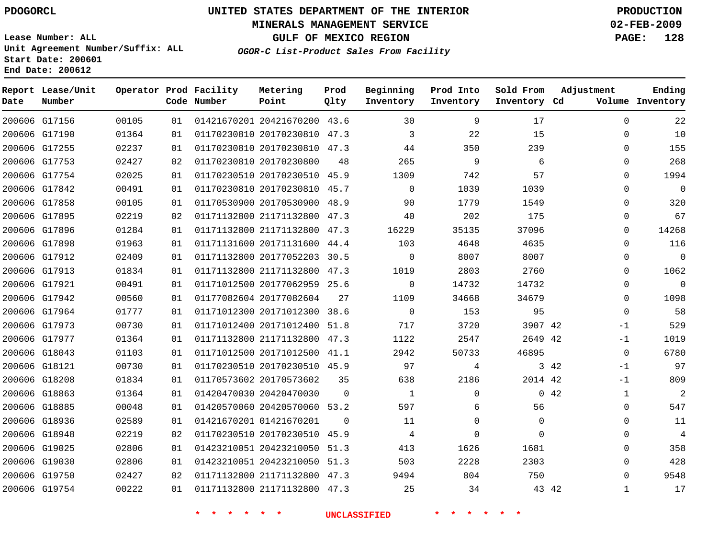### **MINERALS MANAGEMENT SERVICE 02-FEB-2009**

**GULF OF MEXICO REGION PAGE: 128 OGOR-C List-Product Sales From Facility**

**Lease Number: ALL Unit Agreement Number/Suffix: ALL Start Date: 200601 End Date: 200612**

| Date | Report Lease/Unit<br>Number |       |    | Operator Prod Facility<br>Code Number | Metering<br>Point            | Prod<br>Qlty | Beginning<br>Inventory | Prod Into<br>Inventory | Sold From<br>Inventory Cd | Adjustment   | Ending<br>Volume Inventory |
|------|-----------------------------|-------|----|---------------------------------------|------------------------------|--------------|------------------------|------------------------|---------------------------|--------------|----------------------------|
|      | 200606 G17156               | 00105 | 01 |                                       | 01421670201 20421670200 43.6 |              | 30                     | 9                      | 17                        | $\Omega$     | 22                         |
|      | 200606 G17190               | 01364 | 01 |                                       | 01170230810 20170230810 47.3 |              | 3                      | 22                     | 15                        | $\Omega$     | 10                         |
|      | 200606 G17255               | 02237 | 01 |                                       | 01170230810 20170230810 47.3 |              | 44                     | 350                    | 239                       | 0            | 155                        |
|      | 200606 G17753               | 02427 | 02 |                                       | 01170230810 20170230800      | 48           | 265                    | 9                      | 6                         | $\Omega$     | 268                        |
|      | 200606 G17754               | 02025 | 01 |                                       | 01170230510 20170230510 45.9 |              | 1309                   | 742                    | 57                        | $\Omega$     | 1994                       |
|      | 200606 G17842               | 00491 | 01 |                                       | 01170230810 20170230810 45.7 |              | $\Omega$               | 1039                   | 1039                      | $\mathbf 0$  | $\mathbf 0$                |
|      | 200606 G17858               | 00105 | 01 |                                       | 01170530900 20170530900 48.9 |              | 90                     | 1779                   | 1549                      | 0            | 320                        |
|      | 200606 G17895               | 02219 | 02 |                                       | 01171132800 21171132800      | 47.3         | 40                     | 202                    | 175                       | $\Omega$     | 67                         |
|      | 200606 G17896               | 01284 | 01 |                                       | 01171132800 21171132800 47.3 |              | 16229                  | 35135                  | 37096                     | 0            | 14268                      |
|      | 200606 G17898               | 01963 | 01 |                                       | 01171131600 20171131600 44.4 |              | 103                    | 4648                   | 4635                      | 0            | 116                        |
|      | 200606 G17912               | 02409 | 01 |                                       | 01171132800 20177052203 30.5 |              | $\mathbf 0$            | 8007                   | 8007                      | 0            | $\mathbf 0$                |
|      | 200606 G17913               | 01834 | 01 |                                       | 01171132800 21171132800      | 47.3         | 1019                   | 2803                   | 2760                      | $\Omega$     | 1062                       |
|      | 200606 G17921               | 00491 | 01 |                                       | 01171012500 20177062959 25.6 |              | $\mathbf 0$            | 14732                  | 14732                     | 0            | $\mathbf 0$                |
|      | 200606 G17942               | 00560 | 01 |                                       | 01177082604 20177082604      | 27           | 1109                   | 34668                  | 34679                     | $\mathbf 0$  | 1098                       |
|      | 200606 G17964               | 01777 | 01 |                                       | 01171012300 20171012300 38.6 |              | $\Omega$               | 153                    | 95                        | $\mathbf 0$  | 58                         |
|      | 200606 G17973               | 00730 | 01 |                                       | 01171012400 20171012400 51.8 |              | 717                    | 3720                   | 3907 42                   | $-1$         | 529                        |
|      | 200606 G17977               | 01364 | 01 |                                       | 01171132800 21171132800 47.3 |              | 1122                   | 2547                   | 2649 42                   | $-1$         | 1019                       |
|      | 200606 G18043               | 01103 | 01 |                                       | 01171012500 20171012500 41.1 |              | 2942                   | 50733                  | 46895                     | $\Omega$     | 6780                       |
|      | 200606 G18121               | 00730 | 01 |                                       | 01170230510 20170230510 45.9 |              | 97                     | 4                      |                           | 3 42<br>$-1$ | 97                         |
|      | 200606 G18208               | 01834 | 01 |                                       | 01170573602 20170573602      | 35           | 638                    | 2186                   | 2014 42                   | $-1$         | 809                        |
|      | 200606 G18863               | 01364 | 01 |                                       | 01420470030 20420470030      | $\Omega$     | 1                      | 0                      |                           | 042<br>1     | $\overline{2}$             |
|      | 200606 G18885               | 00048 | 01 |                                       | 01420570060 20420570060 53.2 |              | 597                    | 6                      | 56                        | $\mathbf 0$  | 547                        |
|      | 200606 G18936               | 02589 | 01 |                                       | 01421670201 01421670201      | $\Omega$     | 11                     | 0                      | $\mathbf{0}$              | 0            | 11                         |
|      | 200606 G18948               | 02219 | 02 |                                       | 01170230510 20170230510 45.9 |              | 4                      | $\Omega$               | $\Omega$                  | $\mathbf 0$  | $\overline{4}$             |
|      | 200606 G19025               | 02806 | 01 |                                       | 01423210051 20423210050      | 51.3         | 413                    | 1626                   | 1681                      | 0            | 358                        |
|      | 200606 G19030               | 02806 | 01 |                                       | 01423210051 20423210050 51.3 |              | 503                    | 2228                   | 2303                      | $\Omega$     | 428                        |
|      | 200606 G19750               | 02427 | 02 |                                       | 01171132800 21171132800 47.3 |              | 9494                   | 804                    | 750                       | 0            | 9548                       |
|      | 200606 G19754               | 00222 | 01 |                                       | 01171132800 21171132800 47.3 |              | 25                     | 34                     | 43 42                     | $\mathbf{1}$ | 17                         |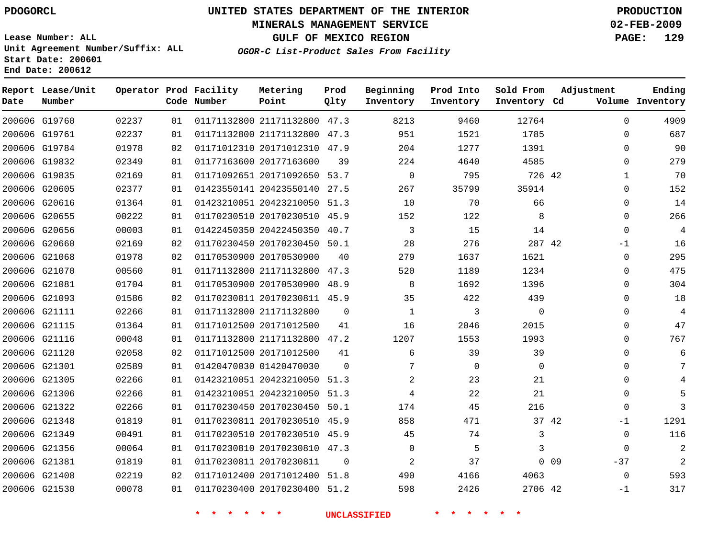### **MINERALS MANAGEMENT SERVICE 02-FEB-2009**

**GULF OF MEXICO REGION PAGE: 129**

**Lease Number: ALL Unit Agreement Number/Suffix: ALL Start Date: 200601 End Date: 200612**

**OGOR-C List-Product Sales From Facility**

| Date | Report Lease/Unit<br>Number |       |    | Operator Prod Facility<br>Code Number | Metering<br>Point            | Prod<br>Qlty | Beginning<br>Inventory | Prod Into<br>Inventory | Sold From<br>Inventory Cd | Adjustment |             | Ending<br>Volume Inventory |
|------|-----------------------------|-------|----|---------------------------------------|------------------------------|--------------|------------------------|------------------------|---------------------------|------------|-------------|----------------------------|
|      | 200606 G19760               | 02237 | 01 |                                       | 01171132800 21171132800 47.3 |              | 8213                   | 9460                   | 12764                     |            | $\Omega$    | 4909                       |
|      | 200606 G19761               | 02237 | 01 |                                       | 01171132800 21171132800 47.3 |              | 951                    | 1521                   | 1785                      |            | $\mathbf 0$ | 687                        |
|      | 200606 G19784               | 01978 | 02 |                                       | 01171012310 20171012310 47.9 |              | 204                    | 1277                   | 1391                      |            | $\Omega$    | 90                         |
|      | 200606 G19832               | 02349 | 01 |                                       | 01177163600 20177163600      | 39           | 224                    | 4640                   | 4585                      |            | 0           | 279                        |
|      | 200606 G19835               | 02169 | 01 |                                       | 01171092651 20171092650 53.7 |              | $\mathbf 0$            | 795                    | 726 42                    |            | 1           | 70                         |
|      | 200606 G20605               | 02377 | 01 |                                       | 01423550141 20423550140 27.5 |              | 267                    | 35799                  | 35914                     |            | $\mathbf 0$ | 152                        |
|      | 200606 G20616               | 01364 | 01 |                                       | 01423210051 20423210050 51.3 |              | 10                     | 70                     | 66                        |            | $\mathbf 0$ | 14                         |
|      | 200606 G20655               | 00222 | 01 |                                       | 01170230510 20170230510 45.9 |              | 152                    | 122                    | 8                         |            | $\Omega$    | 266                        |
|      | 200606 G20656               | 00003 | 01 |                                       | 01422450350 20422450350 40.7 |              | 3                      | 15                     | 14                        |            | 0           | 4                          |
|      | 200606 G20660               | 02169 | 02 |                                       | 01170230450 20170230450 50.1 |              | 28                     | 276                    | 287 42                    |            | -1          | 16                         |
|      | 200606 G21068               | 01978 | 02 |                                       | 01170530900 20170530900      | 40           | 279                    | 1637                   | 1621                      |            | $\mathbf 0$ | 295                        |
|      | 200606 G21070               | 00560 | 01 |                                       | 01171132800 21171132800 47.3 |              | 520                    | 1189                   | 1234                      |            | $\mathbf 0$ | 475                        |
|      | 200606 G21081               | 01704 | 01 |                                       | 01170530900 20170530900 48.9 |              | 8                      | 1692                   | 1396                      |            | $\Omega$    | 304                        |
|      | 200606 G21093               | 01586 | 02 |                                       | 01170230811 20170230811 45.9 |              | 35                     | 422                    | 439                       |            | 0           | 18                         |
|      | 200606 G21111               | 02266 | 01 |                                       | 01171132800 21171132800      | 0            | 1                      | 3                      | $\mathbf 0$               |            | $\Omega$    | 4                          |
|      | 200606 G21115               | 01364 | 01 |                                       | 01171012500 20171012500      | 41           | 16                     | 2046                   | 2015                      |            | $\mathbf 0$ | 47                         |
|      | 200606 G21116               | 00048 | 01 |                                       | 01171132800 21171132800 47.2 |              | 1207                   | 1553                   | 1993                      |            | $\Omega$    | 767                        |
|      | 200606 G21120               | 02058 | 02 |                                       | 01171012500 20171012500      | 41           | 6                      | 39                     | 39                        |            | $\Omega$    | 6                          |
|      | 200606 G21301               | 02589 | 01 |                                       | 01420470030 01420470030      | $\Omega$     | 7                      | $\mathbf 0$            | $\mathbf 0$               |            | 0           | 7                          |
|      | 200606 G21305               | 02266 | 01 |                                       | 01423210051 20423210050 51.3 |              | 2                      | 23                     | 21                        |            | 0           |                            |
|      | 200606 G21306               | 02266 | 01 |                                       | 01423210051 20423210050 51.3 |              | 4                      | 22                     | 21                        |            | 0           |                            |
|      | 200606 G21322               | 02266 | 01 |                                       | 01170230450 20170230450 50.1 |              | 174                    | 45                     | 216                       |            | $\mathbf 0$ | ζ                          |
|      | 200606 G21348               | 01819 | 01 |                                       | 01170230811 20170230510 45.9 |              | 858                    | 471                    |                           | 37 42      | -1          | 1291                       |
|      | 200606 G21349               | 00491 | 01 |                                       | 01170230510 20170230510 45.9 |              | 45                     | 74                     | 3                         |            | 0           | 116                        |
|      | 200606 G21356               | 00064 | 01 |                                       | 01170230810 20170230810 47.3 |              | $\mathbf 0$            | 5                      | 3                         |            | $\mathbf 0$ | 2                          |
|      | 200606 G21381               | 01819 | 01 |                                       | 01170230811 20170230811      | $\Omega$     | 2                      | 37                     |                           | $0\quad09$ | $-37$       | $\overline{2}$             |
|      | 200606 G21408               | 02219 | 02 |                                       | 01171012400 20171012400 51.8 |              | 490                    | 4166                   | 4063                      |            | $\mathbf 0$ | 593                        |
|      | 200606 G21530               | 00078 | 01 |                                       | 01170230400 20170230400 51.2 |              | 598                    | 2426                   | 2706 42                   |            | $-1$        | 317                        |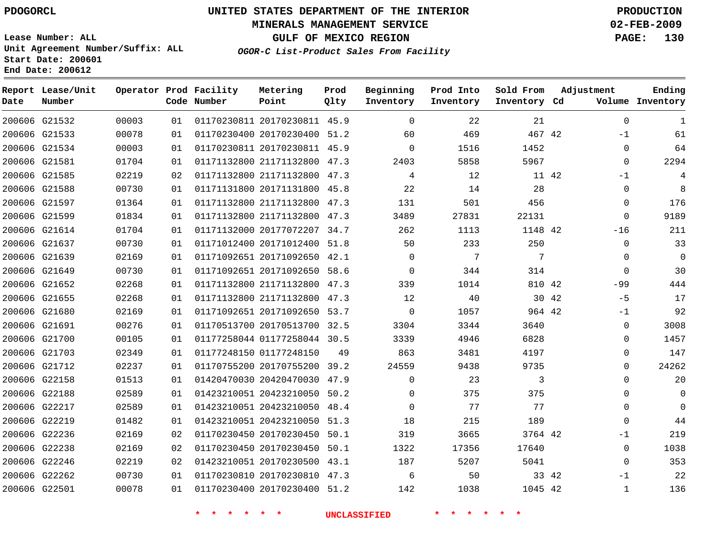**End Date: 200612**

# **UNITED STATES DEPARTMENT OF THE INTERIOR PDOGORCL PRODUCTION**

### **MINERALS MANAGEMENT SERVICE 02-FEB-2009**

**GULF OF MEXICO REGION PAGE: 130**

**Lease Number: ALL Unit Agreement Number/Suffix: ALL Start Date: 200601**

**OGOR-C List-Product Sales From Facility**

| Date | Report Lease/Unit<br>Number |       |    | Operator Prod Facility<br>Code Number | Metering<br>Point            | Prod<br>Qlty | Beginning<br>Inventory | Prod Into<br>Inventory | Sold From<br>Inventory Cd | Adjustment    | Ending<br>Volume Inventory |
|------|-----------------------------|-------|----|---------------------------------------|------------------------------|--------------|------------------------|------------------------|---------------------------|---------------|----------------------------|
|      | 200606 G21532               | 00003 | 01 |                                       | 01170230811 20170230811 45.9 |              | $\Omega$               | 22                     | 21                        | $\mathbf 0$   | 1                          |
|      | 200606 G21533               | 00078 | 01 |                                       | 01170230400 20170230400 51.2 |              | 60                     | 469                    | 467 42                    | $-1$          | 61                         |
|      | 200606 G21534               | 00003 | 01 |                                       | 01170230811 20170230811 45.9 |              | $\Omega$               | 1516                   | 1452                      | $\mathbf 0$   | 64                         |
|      | 200606 G21581               | 01704 | 01 |                                       | 01171132800 21171132800 47.3 |              | 2403                   | 5858                   | 5967                      | $\Omega$      | 2294                       |
|      | 200606 G21585               | 02219 | 02 |                                       | 01171132800 21171132800      | 47.3         | 4                      | 12                     |                           | 11 42<br>$-1$ | 4                          |
|      | 200606 G21588               | 00730 | 01 |                                       | 01171131800 20171131800 45.8 |              | 22                     | 14                     | 28                        | $\mathbf 0$   | 8                          |
|      | 200606 G21597               | 01364 | 01 |                                       | 01171132800 21171132800      | 47.3         | 131                    | 501                    | 456                       | $\mathbf 0$   | 176                        |
|      | 200606 G21599               | 01834 | 01 |                                       | 01171132800 21171132800      | 47.3         | 3489                   | 27831                  | 22131                     | $\Omega$      | 9189                       |
|      | 200606 G21614               | 01704 | 01 |                                       | 01171132000 20177072207 34.7 |              | 262                    | 1113                   | 1148 42                   | $-16$         | 211                        |
|      | 200606 G21637               | 00730 | 01 |                                       | 01171012400 20171012400 51.8 |              | 50                     | 233                    | 250                       | $\mathbf 0$   | 33                         |
|      | 200606 G21639               | 02169 | 01 |                                       | 01171092651 20171092650 42.1 |              | $\Omega$               | 7                      | 7                         | $\Omega$      | $\mathbf 0$                |
|      | 200606 G21649               | 00730 | 01 |                                       | 01171092651 20171092650      | 58.6         | 0                      | 344                    | 314                       | $\mathbf 0$   | 30                         |
|      | 200606 G21652               | 02268 | 01 |                                       | 01171132800 21171132800 47.3 |              | 339                    | 1014                   | 810 42                    | $-99$         | 444                        |
|      | 200606 G21655               | 02268 | 01 |                                       | 01171132800 21171132800 47.3 |              | 12                     | 40                     |                           | 30 42<br>$-5$ | 17                         |
|      | 200606 G21680               | 02169 | 01 |                                       | 01171092651 20171092650 53.7 |              | $\Omega$               | 1057                   | 964 42                    | $-1$          | 92                         |
|      | 200606 G21691               | 00276 | 01 |                                       | 01170513700 20170513700 32.5 |              | 3304                   | 3344                   | 3640                      | 0             | 3008                       |
|      | 200606 G21700               | 00105 | 01 |                                       | 01177258044 01177258044 30.5 |              | 3339                   | 4946                   | 6828                      | $\Omega$      | 1457                       |
|      | 200606 G21703               | 02349 | 01 |                                       | 01177248150 01177248150      | 49           | 863                    | 3481                   | 4197                      | $\Omega$      | 147                        |
|      | 200606 G21712               | 02237 | 01 |                                       | 01170755200 20170755200 39.2 |              | 24559                  | 9438                   | 9735                      | 0             | 24262                      |
|      | 200606 G22158               | 01513 | 01 |                                       | 01420470030 20420470030      | 47.9         | $\Omega$               | 23                     | 3                         | $\Omega$      | 20                         |
|      | 200606 G22188               | 02589 | 01 |                                       | 01423210051 20423210050 50.2 |              | $\Omega$               | 375                    | 375                       | $\Omega$      | $\mathbf 0$                |
|      | 200606 G22217               | 02589 | 01 |                                       | 01423210051 20423210050      | 48.4         | 0                      | 77                     | 77                        | 0             | $\Omega$                   |
|      | 200606 G22219               | 01482 | 01 |                                       | 01423210051 20423210050      | 51.3         | 18                     | 215                    | 189                       | 0             | 44                         |
|      | 200606 G22236               | 02169 | 02 |                                       | 01170230450 20170230450      | 50.1         | 319                    | 3665                   | 3764 42                   | $-1$          | 219                        |
|      | 200606 G22238               | 02169 | 02 |                                       | 01170230450 20170230450 50.1 |              | 1322                   | 17356                  | 17640                     | 0             | 1038                       |
|      | 200606 G22246               | 02219 | 02 |                                       | 01423210051 20170230500 43.1 |              | 187                    | 5207                   | 5041                      | $\mathbf 0$   | 353                        |
|      | 200606 G22262               | 00730 | 01 |                                       | 01170230810 20170230810 47.3 |              | 6                      | 50                     |                           | 33 42<br>$-1$ | 22                         |
|      | 200606 G22501               | 00078 | 01 |                                       | 01170230400 20170230400 51.2 |              | 142                    | 1038                   | 1045 42                   | $\mathbf{1}$  | 136                        |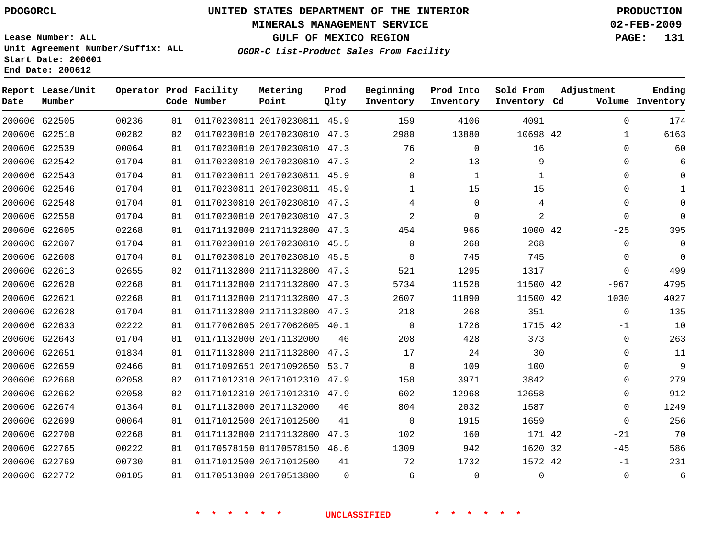### **MINERALS MANAGEMENT SERVICE 02-FEB-2009**

**GULF OF MEXICO REGION PAGE: 131**

**Lease Number: ALL Unit Agreement Number/Suffix: ALL Start Date: 200601 End Date: 200612**

**OGOR-C List-Product Sales From Facility**

| Date | Report Lease/Unit<br>Number |       |    | Operator Prod Facility<br>Code Number | Metering<br>Point            | Prod<br>Qlty | Beginning<br>Inventory | Prod Into<br>Inventory | Sold From<br>Inventory Cd | Adjustment   | Ending<br>Volume Inventory |
|------|-----------------------------|-------|----|---------------------------------------|------------------------------|--------------|------------------------|------------------------|---------------------------|--------------|----------------------------|
|      | 200606 G22505               | 00236 | 01 |                                       | 01170230811 20170230811 45.9 |              | 159                    | 4106                   | 4091                      | $\Omega$     | 174                        |
|      | 200606 G22510               | 00282 | 02 |                                       | 01170230810 20170230810 47.3 |              | 2980                   | 13880                  | 10698 42                  | $\mathbf{1}$ | 6163                       |
|      | 200606 G22539               | 00064 | 01 |                                       | 01170230810 20170230810 47.3 |              | 76                     | 0                      | 16                        | $\Omega$     | 60                         |
|      | 200606 G22542               | 01704 | 01 |                                       | 01170230810 20170230810 47.3 |              | 2                      | 13                     | 9                         | $\Omega$     | 6                          |
|      | 200606 G22543               | 01704 | 01 |                                       | 01170230811 20170230811 45.9 |              | $\mathbf 0$            | 1                      | $\mathbf 1$               | $\Omega$     | $\Omega$                   |
|      | 200606 G22546               | 01704 | 01 |                                       | 01170230811 20170230811 45.9 |              | 1                      | 15                     | 15                        | $\Omega$     |                            |
|      | 200606 G22548               | 01704 | 01 |                                       | 01170230810 20170230810 47.3 |              | 4                      | $\Omega$               | 4                         | $\Omega$     | 0                          |
|      | 200606 G22550               | 01704 | 01 |                                       | 01170230810 20170230810 47.3 |              | $\overline{2}$         | $\mathbf 0$            | 2                         | $\mathbf 0$  | $\Omega$                   |
|      | 200606 G22605               | 02268 | 01 |                                       | 01171132800 21171132800 47.3 |              | 454                    | 966                    | 1000 42                   | $-25$        | 395                        |
|      | 200606 G22607               | 01704 | 01 |                                       | 01170230810 20170230810 45.5 |              | $\Omega$               | 268                    | 268                       | $\mathbf 0$  | $\Omega$                   |
|      | 200606 G22608               | 01704 | 01 |                                       | 01170230810 20170230810 45.5 |              | $\Omega$               | 745                    | 745                       | $\Omega$     | $\Omega$                   |
|      | 200606 G22613               | 02655 | 02 |                                       | 01171132800 21171132800 47.3 |              | 521                    | 1295                   | 1317                      | $\mathbf 0$  | 499                        |
|      | 200606 G22620               | 02268 | 01 |                                       | 01171132800 21171132800 47.3 |              | 5734                   | 11528                  | 11500 42                  | $-967$       | 4795                       |
|      | 200606 G22621               | 02268 | 01 |                                       | 01171132800 21171132800 47.3 |              | 2607                   | 11890                  | 11500 42                  | 1030         | 4027                       |
|      | 200606 G22628               | 01704 | 01 |                                       | 01171132800 21171132800 47.3 |              | 218                    | 268                    | 351                       | $\mathbf{0}$ | 135                        |
|      | 200606 G22633               | 02222 | 01 |                                       | 01177062605 20177062605 40.1 |              | $\mathbf 0$            | 1726                   | 1715 42                   | $-1$         | 10                         |
|      | 200606 G22643               | 01704 | 01 |                                       | 01171132000 20171132000      | 46           | 208                    | 428                    | 373                       | $\Omega$     | 263                        |
|      | 200606 G22651               | 01834 | 01 |                                       | 01171132800 21171132800 47.3 |              | 17                     | 24                     | 30                        | $\Omega$     | 11                         |
|      | 200606 G22659               | 02466 | 01 |                                       | 01171092651 20171092650 53.7 |              | $\mathbf 0$            | 109                    | 100                       | $\Omega$     | 9                          |
|      | 200606 G22660               | 02058 | 02 |                                       | 01171012310 20171012310 47.9 |              | 150                    | 3971                   | 3842                      | $\mathbf 0$  | 279                        |
|      | 200606 G22662               | 02058 | 02 |                                       | 01171012310 20171012310 47.9 |              | 602                    | 12968                  | 12658                     | $\Omega$     | 912                        |
|      | 200606 G22674               | 01364 | 01 |                                       | 01171132000 20171132000      | 46           | 804                    | 2032                   | 1587                      | $\mathbf 0$  | 1249                       |
|      | 200606 G22699               | 00064 | 01 |                                       | 01171012500 20171012500      | 41           | $\mathbf 0$            | 1915                   | 1659                      | $\Omega$     | 256                        |
|      | 200606 G22700               | 02268 | 01 |                                       | 01171132800 21171132800      | 47.3         | 102                    | 160                    | 171 42                    | $-21$        | 70                         |
|      | 200606 G22765               | 00222 | 01 |                                       | 01170578150 01170578150 46.6 |              | 1309                   | 942                    | 1620 32                   | $-45$        | 586                        |
|      | 200606 G22769               | 00730 | 01 |                                       | 01171012500 20171012500      | 41           | 72                     | 1732                   | 1572 42                   | $-1$         | 231                        |
|      | 200606 G22772               | 00105 | 01 |                                       | 01170513800 20170513800      | $\Omega$     | 6                      | $\Omega$               | $\mathbf 0$               | $\mathbf 0$  | 6                          |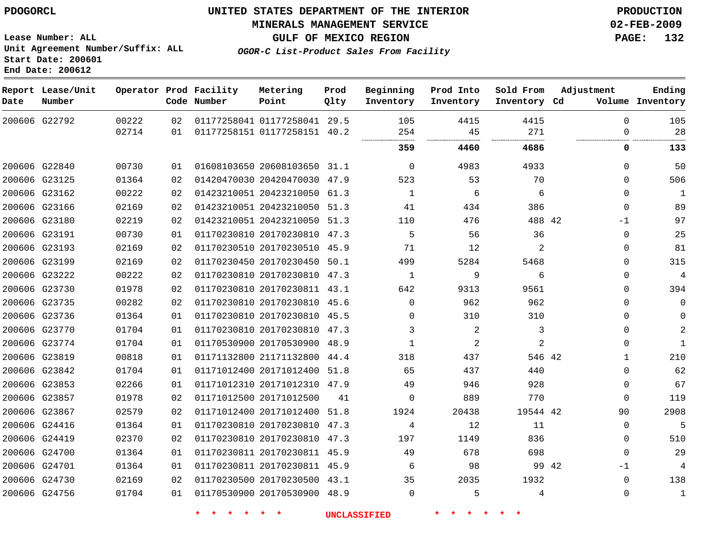**End Date: 200612**

# **UNITED STATES DEPARTMENT OF THE INTERIOR PDOGORCL PRODUCTION**

### **MINERALS MANAGEMENT SERVICE 02-FEB-2009**

**GULF OF MEXICO REGION PAGE: 132**

**Lease Number: ALL Unit Agreement Number/Suffix: ALL Start Date: 200601**

**OGOR-C List-Product Sales From Facility**

| Date | Report Lease/Unit<br>Number |                |    | Operator Prod Facility<br>Code Number | Metering<br>Point            | Prod<br>Qlty | Beginning<br>Inventory | Prod Into<br>Inventory | Sold From<br>Inventory Cd | Adjustment   | Ending<br>Volume Inventory |
|------|-----------------------------|----------------|----|---------------------------------------|------------------------------|--------------|------------------------|------------------------|---------------------------|--------------|----------------------------|
|      | 200606 G22792               | 00222<br>02714 | 02 |                                       | 01177258041 01177258041 29.5 |              | 105                    | 4415                   | 4415<br>271               | $\Omega$     | 105<br>28                  |
|      |                             |                | 01 |                                       | 01177258151 01177258151 40.2 |              | 254                    | 45                     |                           | $\Omega$     |                            |
|      |                             |                |    |                                       |                              |              | 359                    | 4460                   | 4686                      | 0            | 133                        |
|      | 200606 G22840               | 00730          | 01 |                                       | 01608103650 20608103650 31.1 |              | $\Omega$               | 4983                   | 4933                      | $\Omega$     | 50                         |
|      | 200606 G23125               | 01364          | 02 |                                       | 01420470030 20420470030 47.9 |              | 523                    | 53                     | 70                        | $\Omega$     | 506                        |
|      | 200606 G23162               | 00222          | 02 |                                       | 01423210051 20423210050      | 61.3         | 1                      | 6                      | 6                         | $\mathbf 0$  | 1                          |
|      | 200606 G23166               | 02169          | 02 |                                       | 01423210051 20423210050 51.3 |              | 41                     | 434                    | 386                       | $\Omega$     | 89                         |
|      | 200606 G23180               | 02219          | 02 |                                       | 01423210051 20423210050 51.3 |              | 110                    | 476                    | 488 42                    | $-1$         | 97                         |
|      | 200606 G23191               | 00730          | 01 |                                       | 01170230810 20170230810 47.3 |              | 5                      | 56                     | 36                        | $\mathbf 0$  | 25                         |
|      | 200606 G23193               | 02169          | 02 |                                       | 01170230510 20170230510 45.9 |              | 71                     | 12                     | 2                         | $\mathbf{0}$ | 81                         |
|      | 200606 G23199               | 02169          | 02 |                                       | 01170230450 20170230450      | 50.1         | 499                    | 5284                   | 5468                      | 0            | 315                        |
|      | 200606 G23222               | 00222          | 02 |                                       | 01170230810 20170230810 47.3 |              | 1                      | 9                      | 6                         | $\Omega$     | 4                          |
|      | 200606 G23730               | 01978          | 02 |                                       | 01170230810 20170230811 43.1 |              | 642                    | 9313                   | 9561                      | $\mathbf 0$  | 394                        |
|      | 200606 G23735               | 00282          | 02 |                                       | 01170230810 20170230810 45.6 |              | $\Omega$               | 962                    | 962                       | $\mathbf 0$  | $\Omega$                   |
|      | 200606 G23736               | 01364          | 01 |                                       | 01170230810 20170230810 45.5 |              | 0                      | 310                    | 310                       | $\Omega$     | ∩                          |
|      | 200606 G23770               | 01704          | 01 |                                       | 01170230810 20170230810 47.3 |              | 3                      | 2                      | 3                         | $\Omega$     | 2                          |
|      | 200606 G23774               | 01704          | 01 |                                       | 01170530900 20170530900      | 48.9         | 1                      | 2                      | $\overline{a}$            | $\Omega$     | $\mathbf{1}$               |
|      | 200606 G23819               | 00818          | 01 |                                       | 01171132800 21171132800      | 44.4         | 318                    | 437                    | 546 42                    | 1            | 210                        |
|      | 200606 G23842               | 01704          | 01 |                                       | 01171012400 20171012400      | 51.8         | 65                     | 437                    | 440                       | $\Omega$     | 62                         |
|      | 200606 G23853               | 02266          | 01 |                                       | 01171012310 20171012310 47.9 |              | 49                     | 946                    | 928                       | $\mathbf 0$  | 67                         |
|      | 200606 G23857               | 01978          | 02 |                                       | 01171012500 20171012500      | 41           | $\Omega$               | 889                    | 770                       | $\Omega$     | 119                        |
|      | 200606 G23867               | 02579          | 02 |                                       | 01171012400 20171012400      | 51.8         | 1924                   | 20438                  | 19544 42                  | 90           | 2908                       |
|      | 200606 G24416               | 01364          | 01 |                                       | 01170230810 20170230810 47.3 |              | 4                      | 12                     | 11                        | $\mathbf 0$  | 5                          |
|      | 200606 G24419               | 02370          | 02 |                                       | 01170230810 20170230810      | 47.3         | 197                    | 1149                   | 836                       | $\mathbf{0}$ | 510                        |
|      | 200606 G24700               | 01364          | 01 |                                       | 01170230811 20170230811 45.9 |              | 49                     | 678                    | 698                       | $\Omega$     | 29                         |
|      | 200606 G24701               | 01364          | 01 |                                       | 01170230811 20170230811 45.9 |              | 6                      | 98                     | 99 42                     | -1           | 4                          |
|      | 200606 G24730               | 02169          | 02 |                                       | 01170230500 20170230500 43.1 |              | 35                     | 2035                   | 1932                      | $\mathbf{0}$ | 138                        |
|      | 200606 G24756               | 01704          | 01 |                                       | 01170530900 20170530900 48.9 |              | $\Omega$               | 5                      | 4                         | $\Omega$     | $\mathbf{1}$               |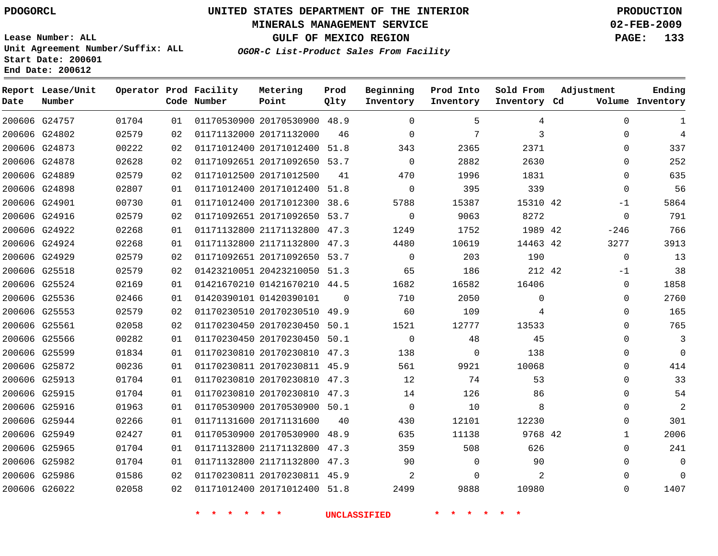### **MINERALS MANAGEMENT SERVICE 02-FEB-2009**

**GULF OF MEXICO REGION PAGE: 133 OGOR-C List-Product Sales From Facility**

**Lease Number: ALL Unit Agreement Number/Suffix: ALL Start Date: 200601 End Date: 200612**

| Date          | Report Lease/Unit<br>Number |       |    | Operator Prod Facility<br>Code Number | Metering<br>Point            | Prod<br>Qlty | Beginning<br>Inventory | Prod Into<br>Inventory | Sold From<br>Inventory Cd | Adjustment   | Ending<br>Volume Inventory |
|---------------|-----------------------------|-------|----|---------------------------------------|------------------------------|--------------|------------------------|------------------------|---------------------------|--------------|----------------------------|
|               | 200606 G24757               | 01704 | 01 |                                       | 01170530900 20170530900 48.9 |              | $\Omega$               | 5                      | 4                         | $\Omega$     | 1                          |
|               | 200606 G24802               | 02579 | 02 |                                       | 01171132000 20171132000      | 46           | $\mathbf 0$            | 7                      | 3                         | 0            | $\overline{4}$             |
|               | 200606 G24873               | 00222 | 02 |                                       | 01171012400 20171012400 51.8 |              | 343                    | 2365                   | 2371                      | 0            | 337                        |
|               | 200606 G24878               | 02628 | 02 |                                       | 01171092651 20171092650 53.7 |              | $\mathbf 0$            | 2882                   | 2630                      | $\mathbf{0}$ | 252                        |
|               | 200606 G24889               | 02579 | 02 |                                       | 01171012500 20171012500      | 41           | 470                    | 1996                   | 1831                      | $\Omega$     | 635                        |
|               | 200606 G24898               | 02807 | 01 |                                       | 01171012400 20171012400 51.8 |              | $\mathsf{O}$           | 395                    | 339                       | $\mathbf{0}$ | 56                         |
|               | 200606 G24901               | 00730 | 01 |                                       | 01171012400 20171012300 38.6 |              | 5788                   | 15387                  | 15310 42                  | -1           | 5864                       |
|               | 200606 G24916               | 02579 | 02 |                                       | 01171092651 20171092650 53.7 |              | $\mathbf 0$            | 9063                   | 8272                      | $\mathbf{0}$ | 791                        |
|               | 200606 G24922               | 02268 | 01 |                                       | 01171132800 21171132800 47.3 |              | 1249                   | 1752                   | 1989 42                   | $-246$       | 766                        |
|               | 200606 G24924               | 02268 | 01 |                                       | 01171132800 21171132800 47.3 |              | 4480                   | 10619                  | 14463 42                  | 3277         | 3913                       |
|               | 200606 G24929               | 02579 | 02 |                                       | 01171092651 20171092650 53.7 |              | $\mathbf 0$            | 203                    | 190                       | $\mathbf{0}$ | 13                         |
|               | 200606 G25518               | 02579 | 02 |                                       | 01423210051 20423210050 51.3 |              | 65                     | 186                    | 212 42                    | $-1$         | 38                         |
|               | 200606 G25524               | 02169 | 01 |                                       | 01421670210 01421670210 44.5 |              | 1682                   | 16582                  | 16406                     | $\mathbf{0}$ | 1858                       |
| 200606 G25536 |                             | 02466 | 01 |                                       | 01420390101 01420390101      | $\Omega$     | 710                    | 2050                   | $\Omega$                  | 0            | 2760                       |
|               | 200606 G25553               | 02579 | 02 |                                       | 01170230510 20170230510 49.9 |              | 60                     | 109                    | 4                         | 0            | 165                        |
|               | 200606 G25561               | 02058 | 02 |                                       | 01170230450 20170230450      | 50.1         | 1521                   | 12777                  | 13533                     | $\Omega$     | 765                        |
|               | 200606 G25566               | 00282 | 01 |                                       | 01170230450 20170230450 50.1 |              | $\mathbf 0$            | 48                     | 45                        | $\mathbf{0}$ | 3                          |
|               | 200606 G25599               | 01834 | 01 |                                       | 01170230810 20170230810 47.3 |              | 138                    | $\mathbf 0$            | 138                       | 0            | $\mathbf 0$                |
|               | 200606 G25872               | 00236 | 01 |                                       | 01170230811 20170230811 45.9 |              | 561                    | 9921                   | 10068                     | 0            | 414                        |
|               | 200606 G25913               | 01704 | 01 |                                       | 01170230810 20170230810 47.3 |              | 12                     | 74                     | 53                        | $\mathbf{0}$ | 33                         |
|               | 200606 G25915               | 01704 | 01 |                                       | 01170230810 20170230810 47.3 |              | 14                     | 126                    | 86                        | $\mathbf{0}$ | 54                         |
|               | 200606 G25916               | 01963 | 01 |                                       | 01170530900 20170530900 50.1 |              | 0                      | 10                     | 8                         | 0            | $\overline{2}$             |
|               | 200606 G25944               | 02266 | 01 |                                       | 01171131600 20171131600      | 40           | 430                    | 12101                  | 12230                     | 0            | 301                        |
|               | 200606 G25949               | 02427 | 01 |                                       | 01170530900 20170530900 48.9 |              | 635                    | 11138                  | 9768 42                   | $\mathbf 1$  | 2006                       |
|               | 200606 G25965               | 01704 | 01 |                                       | 01171132800 21171132800      | 47.3         | 359                    | 508                    | 626                       | 0            | 241                        |
|               | 200606 G25982               | 01704 | 01 |                                       | 01171132800 21171132800 47.3 |              | 90                     | $\Omega$               | 90                        | $\Omega$     | $\mathbf 0$                |
|               | 200606 G25986               | 01586 | 02 |                                       | 01170230811 20170230811 45.9 |              | 2                      | $\Omega$               | 2                         | $\Omega$     | $\mathbf 0$                |
|               | 200606 G26022               | 02058 | 02 |                                       | 01171012400 20171012400 51.8 |              | 2499                   | 9888                   | 10980                     | $\Omega$     | 1407                       |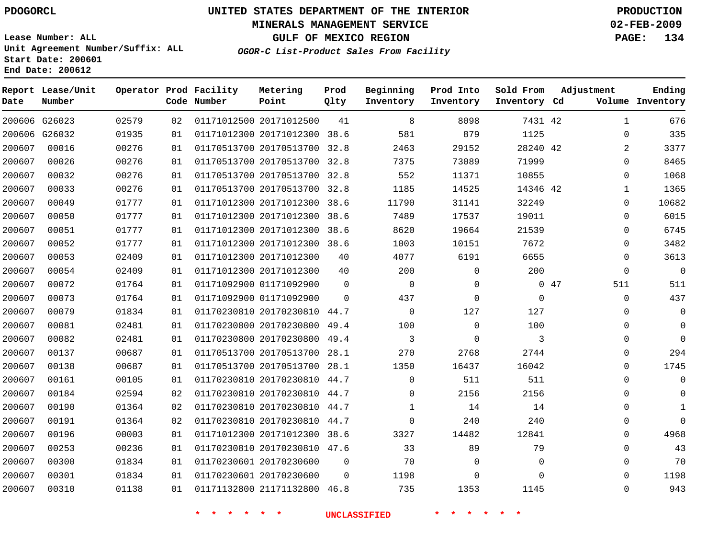### **MINERALS MANAGEMENT SERVICE 02-FEB-2009**

**GULF OF MEXICO REGION PAGE: 134 OGOR-C List-Product Sales From Facility**

**Lease Number: ALL Unit Agreement Number/Suffix: ALL Start Date: 200601 End Date: 200612**

| Date   | Report Lease/Unit<br>Number |       |    | Operator Prod Facility<br>Code Number | Metering<br>Point            | Prod<br>Qlty | Beginning<br>Inventory | Prod Into<br>Inventory | Sold From<br>Inventory Cd | Adjustment   | Ending<br>Volume Inventory |
|--------|-----------------------------|-------|----|---------------------------------------|------------------------------|--------------|------------------------|------------------------|---------------------------|--------------|----------------------------|
|        | 200606 G26023               | 02579 | 02 |                                       | 01171012500 20171012500      | 41           | 8                      | 8098                   | 7431 42                   | $\mathbf{1}$ | 676                        |
|        | 200606 G26032               | 01935 | 01 |                                       | 01171012300 20171012300 38.6 |              | 581                    | 879                    | 1125                      | 0            | 335                        |
| 200607 | 00016                       | 00276 | 01 |                                       | 01170513700 20170513700 32.8 |              | 2463                   | 29152                  | 28240 42                  | 2            | 3377                       |
| 200607 | 00026                       | 00276 | 01 |                                       | 01170513700 20170513700 32.8 |              | 7375                   | 73089                  | 71999                     | $\Omega$     | 8465                       |
| 200607 | 00032                       | 00276 | 01 |                                       | 01170513700 20170513700 32.8 |              | 552                    | 11371                  | 10855                     | $\mathbf 0$  | 1068                       |
| 200607 | 00033                       | 00276 | 01 |                                       | 01170513700 20170513700 32.8 |              | 1185                   | 14525                  | 14346 42                  | 1            | 1365                       |
| 200607 | 00049                       | 01777 | 01 |                                       | 01171012300 20171012300 38.6 |              | 11790                  | 31141                  | 32249                     | $\Omega$     | 10682                      |
| 200607 | 00050                       | 01777 | 01 |                                       | 01171012300 20171012300      | 38.6         | 7489                   | 17537                  | 19011                     | $\Omega$     | 6015                       |
| 200607 | 00051                       | 01777 | 01 |                                       | 01171012300 20171012300 38.6 |              | 8620                   | 19664                  | 21539                     | 0            | 6745                       |
| 200607 | 00052                       | 01777 | 01 |                                       | 01171012300 20171012300 38.6 |              | 1003                   | 10151                  | 7672                      | 0            | 3482                       |
| 200607 | 00053                       | 02409 | 01 |                                       | 01171012300 20171012300      | 40           | 4077                   | 6191                   | 6655                      | $\mathbf{0}$ | 3613                       |
| 200607 | 00054                       | 02409 | 01 |                                       | 01171012300 20171012300      | 40           | 200                    | $\mathsf{O}$           | 200                       | $\mathbf 0$  | $\mathsf{O}$               |
| 200607 | 00072                       | 01764 | 01 |                                       | 01171092900 01171092900      | $\mathbf 0$  | $\mathbf 0$            | $\mathbf 0$            |                           | 047<br>511   | 511                        |
| 200607 | 00073                       | 01764 | 01 |                                       | 01171092900 01171092900      | $\Omega$     | 437                    | $\mathbf 0$            | $\mathbf 0$               | $\mathbf 0$  | 437                        |
| 200607 | 00079                       | 01834 | 01 |                                       | 01170230810 20170230810 44.7 |              | $\mathbf 0$            | 127                    | 127                       | 0            | $\mathbf 0$                |
| 200607 | 00081                       | 02481 | 01 |                                       | 01170230800 20170230800      | 49.4         | 100                    | $\mathbf 0$            | 100                       | 0            | $\mathbf 0$                |
| 200607 | 00082                       | 02481 | 01 |                                       | 01170230800 20170230800 49.4 |              | 3                      | 0                      | 3                         | 0            | $\mathbf 0$                |
| 200607 | 00137                       | 00687 | 01 |                                       | 01170513700 20170513700 28.1 |              | 270                    | 2768                   | 2744                      | $\Omega$     | 294                        |
| 200607 | 00138                       | 00687 | 01 |                                       | 01170513700 20170513700 28.1 |              | 1350                   | 16437                  | 16042                     | 0            | 1745                       |
| 200607 | 00161                       | 00105 | 01 |                                       | 01170230810 20170230810 44.7 |              | $\Omega$               | 511                    | 511                       | $\Omega$     | $\mathbf 0$                |
| 200607 | 00184                       | 02594 | 02 |                                       | 01170230810 20170230810 44.7 |              | $\Omega$               | 2156                   | 2156                      | 0            | $\Omega$                   |
| 200607 | 00190                       | 01364 | 02 |                                       | 01170230810 20170230810 44.7 |              | 1                      | 14                     | 14                        | $\Omega$     | 1                          |
| 200607 | 00191                       | 01364 | 02 |                                       | 01170230810 20170230810 44.7 |              | $\mathbf 0$            | 240                    | 240                       | 0            | $\Omega$                   |
| 200607 | 00196                       | 00003 | 01 |                                       | 01171012300 20171012300 38.6 |              | 3327                   | 14482                  | 12841                     | $\Omega$     | 4968                       |
| 200607 | 00253                       | 00236 | 01 |                                       | 01170230810 20170230810 47.6 |              | 33                     | 89                     | 79                        | $\Omega$     | 43                         |
| 200607 | 00300                       | 01834 | 01 |                                       | 01170230601 20170230600      | 0            | 70                     | 0                      | $\mathbf 0$               | 0            | 70                         |
| 200607 | 00301                       | 01834 | 01 |                                       | 01170230601 20170230600      | $\mathbf 0$  | 1198                   | 0                      | $\Omega$                  | 0            | 1198                       |
| 200607 | 00310                       | 01138 | 01 |                                       | 01171132800 21171132800 46.8 |              | 735                    | 1353                   | 1145                      | $\Omega$     | 943                        |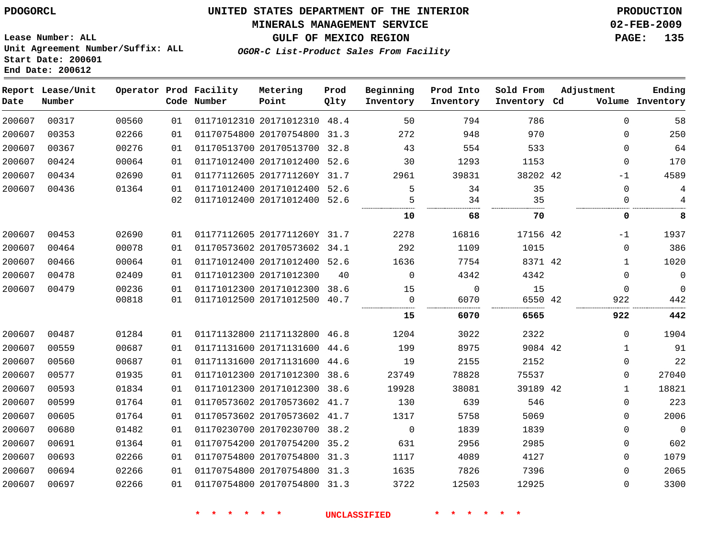### **MINERALS MANAGEMENT SERVICE 02-FEB-2009**

**GULF OF MEXICO REGION PAGE: 135**

**Lease Number: ALL Unit Agreement Number/Suffix: ALL Start Date: 200601 End Date: 200612**

**OGOR-C List-Product Sales From Facility**

| Date   | Report Lease/Unit<br>Number |       |    | Operator Prod Facility<br>Code Number | Metering<br>Point            | Prod<br>Qlty | Beginning<br>Inventory | Prod Into<br>Inventory | Sold From<br>Inventory Cd | Adjustment   | Ending<br>Volume Inventory |
|--------|-----------------------------|-------|----|---------------------------------------|------------------------------|--------------|------------------------|------------------------|---------------------------|--------------|----------------------------|
| 200607 | 00317                       | 00560 | 01 |                                       | 01171012310 20171012310 48.4 |              | 50                     | 794                    | 786                       | $\Omega$     | 58                         |
| 200607 | 00353                       | 02266 | 01 |                                       | 01170754800 20170754800 31.3 |              | 272                    | 948                    | 970                       | 0            | 250                        |
| 200607 | 00367                       | 00276 | 01 |                                       | 01170513700 20170513700 32.8 |              | 43                     | 554                    | 533                       | $\Omega$     | 64                         |
| 200607 | 00424                       | 00064 | 01 |                                       | 01171012400 20171012400 52.6 |              | 30                     | 1293                   | 1153                      | $\mathbf{0}$ | 170                        |
| 200607 | 00434                       | 02690 | 01 |                                       | 01177112605 2017711260Y 31.7 |              | 2961                   | 39831                  | 38202 42                  | -1           | 4589                       |
| 200607 | 00436                       | 01364 | 01 |                                       | 01171012400 20171012400 52.6 |              | 5                      | 34                     | 35                        | $\mathbf 0$  | 4                          |
|        |                             |       | 02 |                                       | 01171012400 20171012400 52.6 |              | 5                      | 34                     | 35                        | $\Omega$     | 4                          |
|        |                             |       |    |                                       |                              |              | 10                     | 68                     | 70                        | 0            | 8                          |
| 200607 | 00453                       | 02690 | 01 |                                       | 01177112605 2017711260Y 31.7 |              | 2278                   | 16816                  | 17156 42                  | -1           | 1937                       |
| 200607 | 00464                       | 00078 | 01 |                                       | 01170573602 20170573602 34.1 |              | 292                    | 1109                   | 1015                      | $\mathbf 0$  | 386                        |
| 200607 | 00466                       | 00064 | 01 |                                       | 01171012400 20171012400 52.6 |              | 1636                   | 7754                   | 8371 42                   | $\mathbf 1$  | 1020                       |
| 200607 | 00478                       | 02409 | 01 |                                       | 01171012300 20171012300      | 40           | $\Omega$               | 4342                   | 4342                      | 0            | 0                          |
| 200607 | 00479                       | 00236 | 01 |                                       | 01171012300 20171012300 38.6 |              | 15                     | $\mathbf 0$            | 15                        | $\Omega$     | 0                          |
|        |                             | 00818 | 01 |                                       | 01171012500 20171012500 40.7 |              | $\Omega$               | 6070                   | 6550 42                   | 922          | 442                        |
|        |                             |       |    |                                       |                              |              | 15                     | 6070                   | 6565                      | 922          | 442                        |
| 200607 | 00487                       | 01284 | 01 |                                       | 01171132800 21171132800 46.8 |              | 1204                   | 3022                   | 2322                      | $\Omega$     | 1904                       |
| 200607 | 00559                       | 00687 | 01 |                                       | 01171131600 20171131600 44.6 |              | 199                    | 8975                   | 9084 42                   | 1            | 91                         |
| 200607 | 00560                       | 00687 | 01 |                                       | 01171131600 20171131600 44.6 |              | 19                     | 2155                   | 2152                      | 0            | 22                         |
| 200607 | 00577                       | 01935 | 01 |                                       | 01171012300 20171012300 38.6 |              | 23749                  | 78828                  | 75537                     | 0            | 27040                      |
| 200607 | 00593                       | 01834 | 01 |                                       | 01171012300 20171012300 38.6 |              | 19928                  | 38081                  | 39189 42                  | 1            | 18821                      |
| 200607 | 00599                       | 01764 | 01 |                                       | 01170573602 20170573602 41.7 |              | 130                    | 639                    | 546                       | 0            | 223                        |
| 200607 | 00605                       | 01764 | 01 |                                       | 01170573602 20170573602 41.7 |              | 1317                   | 5758                   | 5069                      | $\Omega$     | 2006                       |
| 200607 | 00680                       | 01482 | 01 |                                       | 01170230700 20170230700 38.2 |              | $\overline{0}$         | 1839                   | 1839                      | 0            | 0                          |
| 200607 | 00691                       | 01364 | 01 |                                       | 01170754200 20170754200 35.2 |              | 631                    | 2956                   | 2985                      | $\Omega$     | 602                        |
| 200607 | 00693                       | 02266 | 01 |                                       | 01170754800 20170754800 31.3 |              | 1117                   | 4089                   | 4127                      | $\mathbf 0$  | 1079                       |
| 200607 | 00694                       | 02266 | 01 |                                       | 01170754800 20170754800 31.3 |              | 1635                   | 7826                   | 7396                      | $\Omega$     | 2065                       |
| 200607 | 00697                       | 02266 | 01 |                                       | 01170754800 20170754800 31.3 |              | 3722                   | 12503                  | 12925                     | $\mathbf 0$  | 3300                       |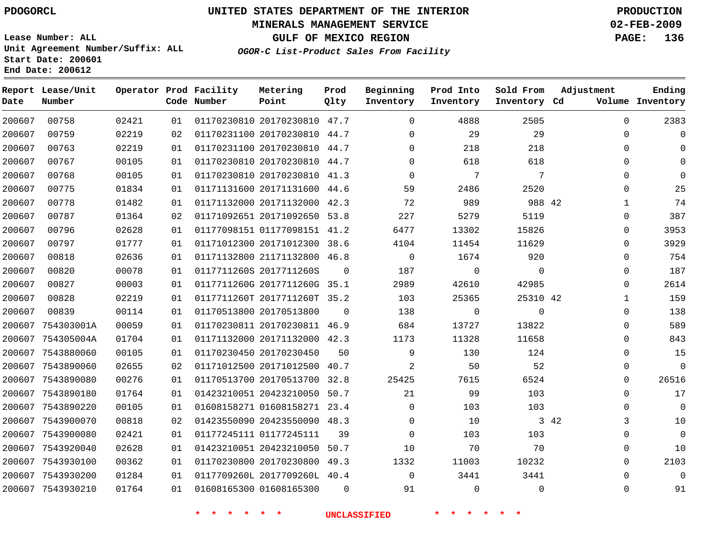### **MINERALS MANAGEMENT SERVICE 02-FEB-2009**

**GULF OF MEXICO REGION PAGE: 136**

**Lease Number: ALL Unit Agreement Number/Suffix: ALL Start Date: 200601 End Date: 200612**

**OGOR-C List-Product Sales From Facility**

| Date   | Report Lease/Unit<br>Number |       |    | Operator Prod Facility<br>Code Number | Metering<br>Point            | Prod<br>Qlty | Beginning<br>Inventory | Prod Into<br>Inventory | Sold From<br>Inventory Cd | Adjustment   | Ending<br>Volume Inventory |
|--------|-----------------------------|-------|----|---------------------------------------|------------------------------|--------------|------------------------|------------------------|---------------------------|--------------|----------------------------|
| 200607 | 00758                       | 02421 | 01 |                                       | 01170230810 20170230810 47.7 |              | $\Omega$               | 4888                   | 2505                      | $\Omega$     | 2383                       |
| 200607 | 00759                       | 02219 | 02 |                                       | 01170231100 20170230810 44.7 |              | 0                      | 29                     | 29                        | 0            | 0                          |
| 200607 | 00763                       | 02219 | 01 |                                       | 01170231100 20170230810 44.7 |              | $\Omega$               | 218                    | 218                       | $\Omega$     | 0                          |
| 200607 | 00767                       | 00105 | 01 |                                       | 01170230810 20170230810 44.7 |              | $\Omega$               | 618                    | 618                       | $\Omega$     | $\Omega$                   |
| 200607 | 00768                       | 00105 | 01 |                                       | 01170230810 20170230810 41.3 |              | $\Omega$               | 7                      | 7                         | 0            | $\Omega$                   |
| 200607 | 00775                       | 01834 | 01 |                                       | 01171131600 20171131600 44.6 |              | 59                     | 2486                   | 2520                      | 0            | 25                         |
| 200607 | 00778                       | 01482 | 01 |                                       | 01171132000 20171132000 42.3 |              | 72                     | 989                    | 988 42                    | $\mathbf{1}$ | 74                         |
| 200607 | 00787                       | 01364 | 02 |                                       | 01171092651 20171092650 53.8 |              | 227                    | 5279                   | 5119                      | 0            | 387                        |
| 200607 | 00796                       | 02628 | 01 |                                       | 01177098151 01177098151 41.2 |              | 6477                   | 13302                  | 15826                     | $\Omega$     | 3953                       |
| 200607 | 00797                       | 01777 | 01 |                                       | 01171012300 20171012300 38.6 |              | 4104                   | 11454                  | 11629                     | $\mathbf 0$  | 3929                       |
| 200607 | 00818                       | 02636 | 01 |                                       | 01171132800 21171132800 46.8 |              | $\mathbf 0$            | 1674                   | 920                       | 0            | 754                        |
| 200607 | 00820                       | 00078 | 01 |                                       | 0117711260S 2017711260S      | $\mathbf 0$  | 187                    | 0                      | $\mathbf 0$               | $\mathbf 0$  | 187                        |
| 200607 | 00827                       | 00003 | 01 |                                       | 0117711260G 2017711260G 35.1 |              | 2989                   | 42610                  | 42985                     | $\Omega$     | 2614                       |
| 200607 | 00828                       | 02219 | 01 |                                       | 0117711260T 2017711260T 35.2 |              | 103                    | 25365                  | 25310 42                  | 1            | 159                        |
| 200607 | 00839                       | 00114 | 01 |                                       | 01170513800 20170513800      | $\Omega$     | 138                    | $\mathbf 0$            | $\Omega$                  | 0            | 138                        |
| 200607 | 754303001A                  | 00059 | 01 |                                       | 01170230811 20170230811 46.9 |              | 684                    | 13727                  | 13822                     | $\Omega$     | 589                        |
|        | 200607 754305004A           | 01704 | 01 |                                       | 01171132000 20171132000 42.3 |              | 1173                   | 11328                  | 11658                     | 0            | 843                        |
|        | 200607 7543880060           | 00105 | 01 |                                       | 01170230450 20170230450      | 50           | 9                      | 130                    | 124                       | $\mathbf 0$  | 15                         |
|        | 200607 7543890060           | 02655 | 02 |                                       | 01171012500 20171012500 40.7 |              | $\overline{2}$         | 50                     | 52                        | $\Omega$     | $\Omega$                   |
|        | 200607 7543890080           | 00276 | 01 |                                       | 01170513700 20170513700 32.8 |              | 25425                  | 7615                   | 6524                      | 0            | 26516                      |
|        | 200607 7543890180           | 01764 | 01 |                                       | 01423210051 20423210050 50.7 |              | 21                     | 99                     | 103                       | $\Omega$     | 17                         |
|        | 200607 7543890220           | 00105 | 01 |                                       | 01608158271 01608158271 23.4 |              | $\Omega$               | 103                    | 103                       | $\Omega$     | $\Omega$                   |
|        | 200607 7543900070           | 00818 | 02 |                                       | 01423550090 20423550090 48.3 |              | $\mathbf 0$            | 10                     |                           | 3 4 2<br>3   | 10                         |
| 200607 | 7543900080                  | 02421 | 01 |                                       | 01177245111 01177245111      | 39           | $\Omega$               | 103                    | 103                       | $\mathbf 0$  | $\overline{0}$             |
| 200607 | 7543920040                  | 02628 | 01 |                                       | 01423210051 20423210050 50.7 |              | 10                     | 70                     | 70                        | 0            | 10                         |
|        | 200607 7543930100           | 00362 | 01 |                                       | 01170230800 20170230800 49.3 |              | 1332                   | 11003                  | 10232                     | 0            | 2103                       |
| 200607 | 7543930200                  | 01284 | 01 |                                       | 0117709260L 2017709260L 40.4 |              | $\mathbf 0$            | 3441                   | 3441                      | 0            | $\Omega$                   |
|        | 200607 7543930210           | 01764 | 01 |                                       | 01608165300 01608165300      | $\Omega$     | 91                     | $\mathbf 0$            | $\mathbf 0$               | $\Omega$     | 91                         |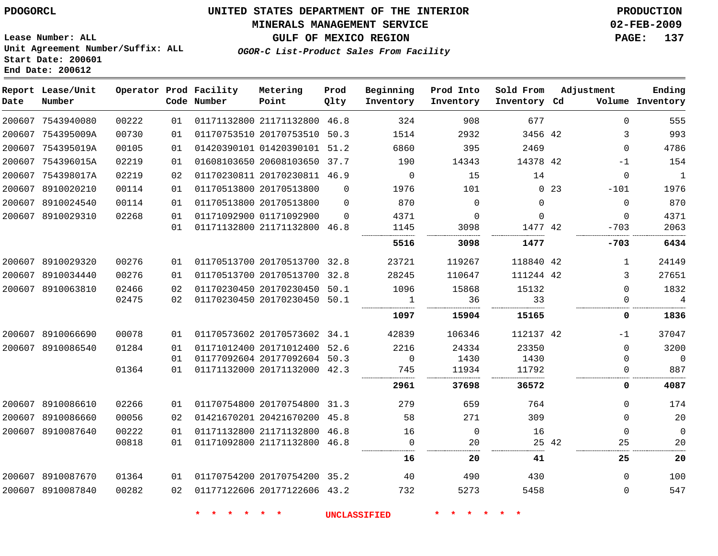#### **MINERALS MANAGEMENT SERVICE 02-FEB-2009**

**GULF OF MEXICO REGION PAGE: 137**

**Lease Number: ALL Unit Agreement Number/Suffix: ALL Start Date: 200601 End Date: 200612**

**OGOR-C List-Product Sales From Facility**

| Date | Report Lease/Unit<br>Number |       |    | Operator Prod Facility<br>Code Number | Metering<br>Point            | Prod<br>Qlty | Beginning<br>Inventory | Prod Into<br>Inventory | Sold From<br>Inventory Cd | Adjustment  |             | Ending<br>Volume Inventory |
|------|-----------------------------|-------|----|---------------------------------------|------------------------------|--------------|------------------------|------------------------|---------------------------|-------------|-------------|----------------------------|
|      | 200607 7543940080           | 00222 | 01 |                                       | 01171132800 21171132800 46.8 |              | 324                    | 908                    | 677                       |             | $\Omega$    | 555                        |
|      | 200607 754395009A           | 00730 | 01 |                                       | 01170753510 20170753510      | 50.3         | 1514                   | 2932                   | 3456 42                   |             | 3           | 993                        |
|      | 200607 754395019A           | 00105 | 01 |                                       | 01420390101 01420390101 51.2 |              | 6860                   | 395                    | 2469                      |             | $\Omega$    | 4786                       |
|      | 200607 754396015A           | 02219 | 01 |                                       | 01608103650 20608103650      | 37.7         | 190                    | 14343                  | 14378 42                  |             | $-1$        | 154                        |
|      | 200607 754398017A           | 02219 | 02 |                                       | 01170230811 20170230811 46.9 |              | $\Omega$               | 15                     | 14                        |             | $\mathbf 0$ | $\mathbf{1}$               |
|      | 200607 8910020210           | 00114 | 01 |                                       | 01170513800 20170513800      | $\mathbf 0$  | 1976                   | 101                    |                           | $0\quad 23$ | $-101$      | 1976                       |
|      | 200607 8910024540           | 00114 | 01 |                                       | 01170513800 20170513800      | $\Omega$     | 870                    | $\mathbf 0$            | 0                         |             | 0           | 870                        |
|      | 200607 8910029310           | 02268 | 01 |                                       | 01171092900 01171092900      | $\Omega$     | 4371                   | $\mathbf 0$            | 0                         |             | $\mathbf 0$ | 4371                       |
|      |                             |       | 01 |                                       | 01171132800 21171132800 46.8 |              | 1145                   | 3098                   | 1477 42                   |             | $-703$      | 2063                       |
|      |                             |       |    |                                       |                              |              | 5516                   | 3098                   | 1477                      |             | -703        | 6434                       |
|      | 200607 8910029320           | 00276 | 01 |                                       | 01170513700 20170513700 32.8 |              | 23721                  | 119267                 | 118840 42                 |             | 1           | 24149                      |
|      | 200607 8910034440           | 00276 | 01 |                                       | 01170513700 20170513700      | 32.8         | 28245                  | 110647                 | 111244 42                 |             | 3           | 27651                      |
|      | 200607 8910063810           | 02466 | 02 |                                       | 01170230450 20170230450 50.1 |              | 1096                   | 15868                  | 15132                     |             | $\Omega$    | 1832                       |
|      |                             | 02475 | 02 |                                       | 01170230450 20170230450 50.1 |              | 1                      | 36                     | 33                        |             | 0           | $\overline{4}$             |
|      |                             |       |    |                                       |                              |              | 1097                   | 15904                  | 15165                     |             | 0           | 1836                       |
|      | 200607 8910066690           | 00078 | 01 |                                       | 01170573602 20170573602 34.1 |              | 42839                  | 106346                 | 112137 42                 |             | $-1$        | 37047                      |
|      | 200607 8910086540           | 01284 | 01 |                                       | 01171012400 20171012400      | 52.6         | 2216                   | 24334                  | 23350                     |             | $\mathbf 0$ | 3200                       |
|      |                             |       | 01 |                                       | 01177092604 20177092604      | 50.3         | $\mathbf 0$            | 1430                   | 1430                      |             | $\Omega$    | $\Omega$                   |
|      |                             | 01364 | 01 |                                       | 01171132000 20171132000 42.3 |              | 745                    | 11934                  | 11792                     |             | $\mathbf 0$ | 887                        |
|      |                             |       |    |                                       |                              |              | 2961                   | 37698                  | 36572                     |             | 0           | 4087                       |
|      | 200607 8910086610           | 02266 | 01 |                                       | 01170754800 20170754800 31.3 |              | 279                    | 659                    | 764                       |             | $\mathbf 0$ | 174                        |
|      | 200607 8910086660           | 00056 | 02 |                                       | 01421670201 20421670200 45.8 |              | 58                     | 271                    | 309                       |             | $\mathbf 0$ | 20                         |
|      | 200607 8910087640           | 00222 | 01 |                                       | 01171132800 21171132800 46.8 |              | 16                     | $\mathbf 0$            | 16                        |             | $\mathbf 0$ | $\mathbf{0}$               |
|      |                             | 00818 | 01 |                                       | 01171092800 21171132800 46.8 |              | $\Omega$               | 20                     |                           | 25 42       | 25          | 20                         |
|      |                             |       |    |                                       |                              |              | 16                     | 20                     | 41                        |             | 25          | 20                         |
|      | 200607 8910087670           | 01364 | 01 |                                       | 01170754200 20170754200 35.2 |              | 40                     | 490                    | 430                       |             | $\Omega$    | 100                        |
|      | 200607 8910087840           | 00282 | 02 |                                       | 01177122606 20177122606 43.2 |              | 732                    | 5273                   | 5458                      |             | $\mathbf 0$ | 547                        |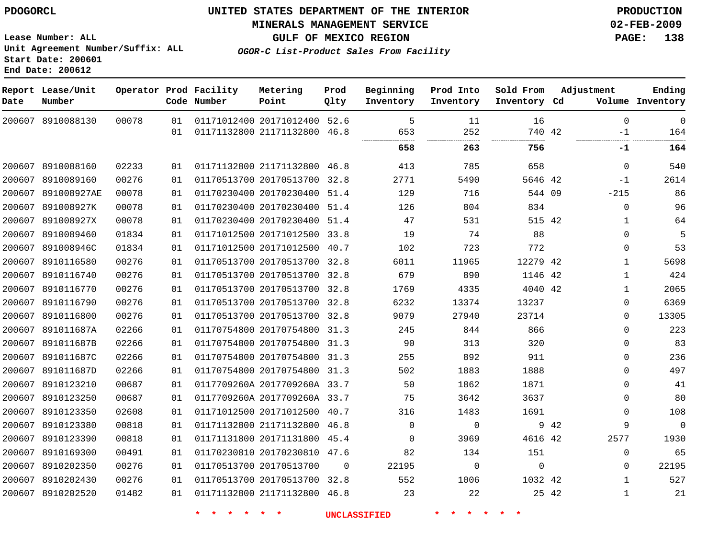### **MINERALS MANAGEMENT SERVICE 02-FEB-2009**

**GULF OF MEXICO REGION PAGE: 138**

**Lease Number: ALL Unit Agreement Number/Suffix: ALL Start Date: 200601 End Date: 200612**

**OGOR-C List-Product Sales From Facility**

| Date   | Report Lease/Unit<br>Number |       |    | Operator Prod Facility<br>Code Number | Metering<br>Point            | Prod<br>Qlty | Beginning<br>Inventory | Prod Into<br>Inventory | Sold From<br>Inventory Cd |       | Adjustment   | Ending<br>Volume Inventory |
|--------|-----------------------------|-------|----|---------------------------------------|------------------------------|--------------|------------------------|------------------------|---------------------------|-------|--------------|----------------------------|
|        | 200607 8910088130           | 00078 | 01 |                                       | 01171012400 20171012400 52.6 |              | 5                      | 11                     | 16                        |       | $\Omega$     | $\Omega$                   |
|        |                             |       | 01 |                                       | 01171132800 21171132800      | 46.8         | 653                    | 252<br>.               | 740 42<br>.               |       | $-1$         | 164                        |
|        |                             |       |    |                                       |                              |              | 658                    | 263                    | 756                       |       | -1           | 164                        |
|        | 200607 8910088160           | 02233 | 01 |                                       | 01171132800 21171132800 46.8 |              | 413                    | 785                    | 658                       |       | $\mathbf 0$  | 540                        |
|        | 200607 8910089160           | 00276 | 01 |                                       | 01170513700 20170513700 32.8 |              | 2771                   | 5490                   | 5646 42                   |       | $-1$         | 2614                       |
|        | 200607 891008927AE          | 00078 | 01 |                                       | 01170230400 20170230400 51.4 |              | 129                    | 716                    | 544 09                    |       | $-215$       | 86                         |
| 200607 | 891008927K                  | 00078 | 01 |                                       | 01170230400 20170230400 51.4 |              | 126                    | 804                    | 834                       |       | 0            | 96                         |
| 200607 | 891008927X                  | 00078 | 01 |                                       | 01170230400 20170230400 51.4 |              | 47                     | 531                    | 515 42                    |       | 1            | 64                         |
| 200607 | 8910089460                  | 01834 | 01 |                                       | 01171012500 20171012500 33.8 |              | 19                     | 74                     | 88                        |       | $\mathbf 0$  | 5                          |
|        | 200607 891008946C           | 01834 | 01 |                                       | 01171012500 20171012500 40.7 |              | 102                    | 723                    | 772                       |       | $\mathbf 0$  | 53                         |
|        | 200607 8910116580           | 00276 | 01 |                                       | 01170513700 20170513700 32.8 |              | 6011                   | 11965                  | 12279 42                  |       | $\mathbf{1}$ | 5698                       |
|        | 200607 8910116740           | 00276 | 01 |                                       | 01170513700 20170513700 32.8 |              | 679                    | 890                    | 1146 42                   |       | $\mathbf{1}$ | 424                        |
| 200607 | 8910116770                  | 00276 | 01 |                                       | 01170513700 20170513700 32.8 |              | 1769                   | 4335                   | 4040 42                   |       | $\mathbf{1}$ | 2065                       |
|        | 200607 8910116790           | 00276 | 01 |                                       | 01170513700 20170513700 32.8 |              | 6232                   | 13374                  | 13237                     |       | $\Omega$     | 6369                       |
|        | 200607 8910116800           | 00276 | 01 |                                       | 01170513700 20170513700 32.8 |              | 9079                   | 27940                  | 23714                     |       | $\Omega$     | 13305                      |
|        | 200607 891011687A           | 02266 | 01 |                                       | 01170754800 20170754800 31.3 |              | 245                    | 844                    | 866                       |       | $\Omega$     | 223                        |
|        | 200607 891011687B           | 02266 | 01 |                                       | 01170754800 20170754800 31.3 |              | 90                     | 313                    | 320                       |       | $\Omega$     | 83                         |
| 200607 | 891011687C                  | 02266 | 01 |                                       | 01170754800 20170754800 31.3 |              | 255                    | 892                    | 911                       |       | $\Omega$     | 236                        |
|        | 200607 891011687D           | 02266 | 01 |                                       | 01170754800 20170754800 31.3 |              | 502                    | 1883                   | 1888                      |       | $\Omega$     | 497                        |
|        | 200607 8910123210           | 00687 | 01 |                                       | 0117709260A 2017709260A 33.7 |              | 50                     | 1862                   | 1871                      |       | $\Omega$     | 41                         |
|        | 200607 8910123250           | 00687 | 01 |                                       | 0117709260A 2017709260A 33.7 |              | 75                     | 3642                   | 3637                      |       | $\Omega$     | 80                         |
|        | 200607 8910123350           | 02608 | 01 |                                       | 01171012500 20171012500 40.7 |              | 316                    | 1483                   | 1691                      |       | $\mathbf 0$  | 108                        |
|        | 200607 8910123380           | 00818 | 01 |                                       | 01171132800 21171132800 46.8 |              | $\Omega$               | $\Omega$               |                           | 9 42  | 9            | $\Omega$                   |
| 200607 | 8910123390                  | 00818 | 01 |                                       | 01171131800 20171131800 45.4 |              | $\Omega$               | 3969                   | 4616 42                   |       | 2577         | 1930                       |
|        | 200607 8910169300           | 00491 | 01 |                                       | 01170230810 20170230810 47.6 |              | 82                     | 134                    | 151                       |       | $\mathbf 0$  | 65                         |
| 200607 | 8910202350                  | 00276 | 01 |                                       | 01170513700 20170513700      | $\Omega$     | 22195                  | $\Omega$               | $\mathbf 0$               |       | 0            | 22195                      |
|        | 200607 8910202430           | 00276 | 01 |                                       | 01170513700 20170513700 32.8 |              | 552                    | 1006                   | 1032 42                   |       | 1            | 527                        |
|        | 200607 8910202520           | 01482 | 01 |                                       | 01171132800 21171132800 46.8 |              | 23                     | 22                     |                           | 25 42 | 1            | 21                         |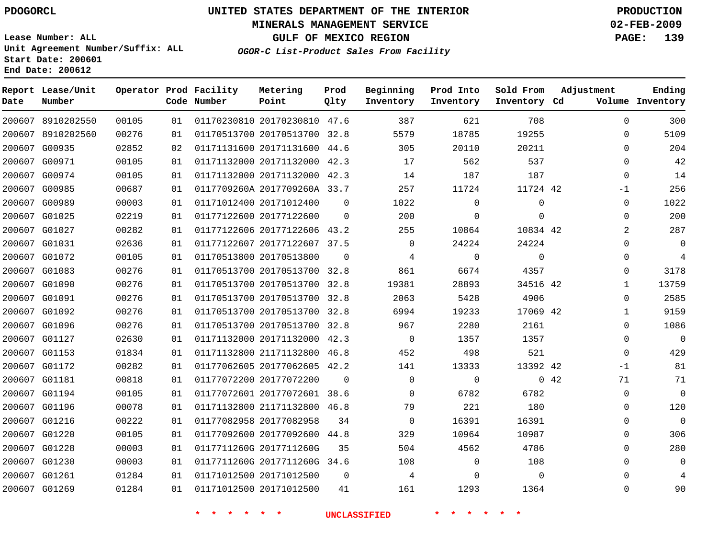### **MINERALS MANAGEMENT SERVICE 02-FEB-2009**

**GULF OF MEXICO REGION PAGE: 139**

**Lease Number: ALL Unit Agreement Number/Suffix: ALL Start Date: 200601 End Date: 200612**

**OGOR-C List-Product Sales From Facility**

| Date | Report Lease/Unit<br>Number |       |    | Operator Prod Facility<br>Code Number | Metering<br>Point            | Prod<br>Qlty   | Beginning<br>Inventory | Prod Into<br>Inventory | Sold From<br>Inventory Cd | Adjustment   | Ending<br>Volume Inventory |
|------|-----------------------------|-------|----|---------------------------------------|------------------------------|----------------|------------------------|------------------------|---------------------------|--------------|----------------------------|
|      | 200607 8910202550           | 00105 | 01 |                                       | 01170230810 20170230810 47.6 |                | 387                    | 621                    | 708                       | $\Omega$     | 300                        |
|      | 200607 8910202560           | 00276 | 01 |                                       | 01170513700 20170513700 32.8 |                | 5579                   | 18785                  | 19255                     | 0            | 5109                       |
|      | 200607 G00935               | 02852 | 02 |                                       | 01171131600 20171131600 44.6 |                | 305                    | 20110                  | 20211                     | $\Omega$     | 204                        |
|      | 200607 G00971               | 00105 | 01 |                                       | 01171132000 20171132000 42.3 |                | 17                     | 562                    | 537                       | 0            | 42                         |
|      | 200607 G00974               | 00105 | 01 |                                       | 01171132000 20171132000 42.3 |                | 14                     | 187                    | 187                       | $\Omega$     | 14                         |
|      | 200607 G00985               | 00687 | 01 |                                       | 0117709260A 2017709260A 33.7 |                | 257                    | 11724                  | 11724 42                  | $-1$         | 256                        |
|      | 200607 G00989               | 00003 | 01 |                                       | 01171012400 20171012400      | $\overline{0}$ | 1022                   | 0                      | $\mathbf{0}$              | 0            | 1022                       |
|      | 200607 G01025               | 02219 | 01 |                                       | 01177122600 20177122600      | 0              | 200                    | 0                      | $\mathbf{0}$              | 0            | 200                        |
|      | 200607 G01027               | 00282 | 01 |                                       | 01177122606 20177122606 43.2 |                | 255                    | 10864                  | 10834 42                  | 2            | 287                        |
|      | 200607 G01031               | 02636 | 01 |                                       | 01177122607 20177122607 37.5 |                | $\mathbf 0$            | 24224                  | 24224                     | 0            | 0                          |
|      | 200607 G01072               | 00105 | 01 |                                       | 01170513800 20170513800      | $\Omega$       | 4                      | $\mathbf 0$            | $\mathbf{0}$              | $\Omega$     | 4                          |
|      | 200607 G01083               | 00276 | 01 |                                       | 01170513700 20170513700 32.8 |                | 861                    | 6674                   | 4357                      | 0            | 3178                       |
|      | 200607 G01090               | 00276 | 01 |                                       | 01170513700 20170513700 32.8 |                | 19381                  | 28893                  | 34516 42                  | $\mathbf{1}$ | 13759                      |
|      | 200607 G01091               | 00276 | 01 |                                       | 01170513700 20170513700 32.8 |                | 2063                   | 5428                   | 4906                      | 0            | 2585                       |
|      | 200607 G01092               | 00276 | 01 |                                       | 01170513700 20170513700 32.8 |                | 6994                   | 19233                  | 17069 42                  | $\mathbf 1$  | 9159                       |
|      | 200607 G01096               | 00276 | 01 |                                       | 01170513700 20170513700 32.8 |                | 967                    | 2280                   | 2161                      | $\Omega$     | 1086                       |
|      | 200607 G01127               | 02630 | 01 |                                       | 01171132000 20171132000 42.3 |                | $\mathbf 0$            | 1357                   | 1357                      | 0            | $\mathbf 0$                |
|      | 200607 G01153               | 01834 | 01 |                                       | 01171132800 21171132800 46.8 |                | 452                    | 498                    | 521                       | 0            | 429                        |
|      | 200607 G01172               | 00282 | 01 |                                       | 01177062605 20177062605 42.2 |                | 141                    | 13333                  | 13392 42                  | $-1$         | 81                         |
|      | 200607 G01181               | 00818 | 01 |                                       | 01177072200 20177072200      | $\Omega$       | $\mathbf 0$            | $\mathbf 0$            |                           | 0.42<br>71   | 71                         |
|      | 200607 G01194               | 00105 | 01 |                                       | 01177072601 20177072601 38.6 |                | $\Omega$               | 6782                   | 6782                      | 0            | $\mathbf 0$                |
|      | 200607 G01196               | 00078 | 01 |                                       | 01171132800 21171132800 46.8 |                | 79                     | 221                    | 180                       | 0            | 120                        |
|      | 200607 G01216               | 00222 | 01 |                                       | 01177082958 20177082958      | 34             | $\Omega$               | 16391                  | 16391                     | $\Omega$     | 0                          |
|      | 200607 G01220               | 00105 | 01 |                                       | 01177092600 20177092600      | 44.8           | 329                    | 10964                  | 10987                     | $\Omega$     | 306                        |
|      | 200607 G01228               | 00003 | 01 |                                       | 0117711260G 2017711260G      | 35             | 504                    | 4562                   | 4786                      | 0            | 280                        |
|      | 200607 G01230               | 00003 | 01 |                                       | 0117711260G 2017711260G 34.6 |                | 108                    | 0                      | 108                       | 0            | 0                          |
|      | 200607 G01261               | 01284 | 01 |                                       | 01171012500 20171012500      | $\Omega$       | 4                      | $\mathbf 0$            | $\Omega$                  | $\Omega$     |                            |
|      | 200607 G01269               | 01284 | 01 |                                       | 01171012500 20171012500      | 41             | 161                    | 1293                   | 1364                      | $\Omega$     | 90                         |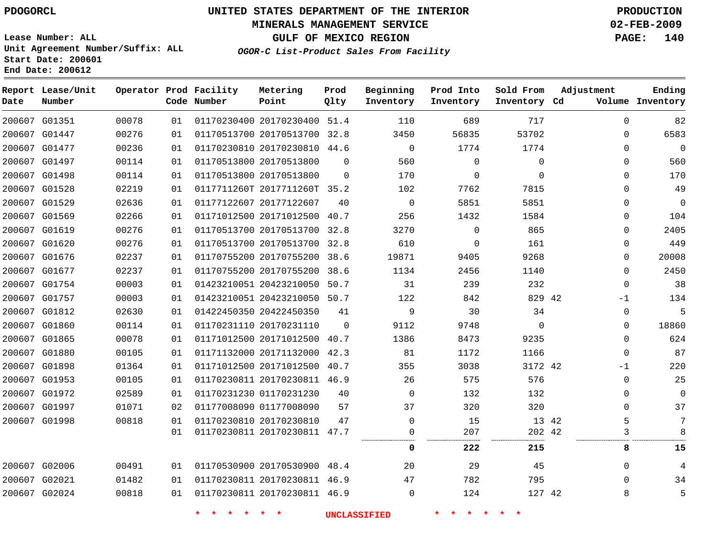### **MINERALS MANAGEMENT SERVICE 02-FEB-2009**

**GULF OF MEXICO REGION PAGE: 140**

**Lease Number: ALL Unit Agreement Number/Suffix: ALL Start Date: 200601 End Date: 200612**

**OGOR-C List-Product Sales From Facility**

| Date | Report Lease/Unit<br>Number |       |    | Operator Prod Facility<br>Code Number | Metering<br>Point            | Prod<br>Qlty | Beginning<br>Inventory | Prod Into<br>Inventory | Sold From<br>Inventory Cd | Adjustment  | Ending<br>Volume Inventory |
|------|-----------------------------|-------|----|---------------------------------------|------------------------------|--------------|------------------------|------------------------|---------------------------|-------------|----------------------------|
|      | 200607 G01351               | 00078 | 01 |                                       | 01170230400 20170230400 51.4 |              | 110                    | 689                    | 717                       | $\mathbf 0$ | 82                         |
|      | 200607 G01447               | 00276 | 01 |                                       | 01170513700 20170513700 32.8 |              | 3450                   | 56835                  | 53702                     | $\Omega$    | 6583                       |
|      | 200607 G01477               | 00236 | 01 |                                       | 01170230810 20170230810 44.6 |              | $\mathbf 0$            | 1774                   | 1774                      | 0           | $\mathbf 0$                |
|      | 200607 G01497               | 00114 | 01 |                                       | 01170513800 20170513800      | $\Omega$     | 560                    | 0                      | $\Omega$                  | $\Omega$    | 560                        |
|      | 200607 G01498               | 00114 | 01 |                                       | 01170513800 20170513800      | $\Omega$     | 170                    | 0                      | $\Omega$                  | 0           | 170                        |
|      | 200607 G01528               | 02219 | 01 |                                       | 0117711260T 2017711260T 35.2 |              | 102                    | 7762                   | 7815                      | 0           | 49                         |
|      | 200607 G01529               | 02636 | 01 |                                       | 01177122607 20177122607      | 40           | $\Omega$               | 5851                   | 5851                      | $\Omega$    | $\mathbf 0$                |
|      | 200607 G01569               | 02266 | 01 |                                       | 01171012500 20171012500 40.7 |              | 256                    | 1432                   | 1584                      | 0           | 104                        |
|      | 200607 G01619               | 00276 | 01 |                                       | 01170513700 20170513700 32.8 |              | 3270                   | $\Omega$               | 865                       | $\Omega$    | 2405                       |
|      | 200607 G01620               | 00276 | 01 |                                       | 01170513700 20170513700 32.8 |              | 610                    | 0                      | 161                       | 0           | 449                        |
|      | 200607 G01676               | 02237 | 01 |                                       | 01170755200 20170755200 38.6 |              | 19871                  | 9405                   | 9268                      | 0           | 20008                      |
|      | 200607 G01677               | 02237 | 01 |                                       | 01170755200 20170755200 38.6 |              | 1134                   | 2456                   | 1140                      | $\mathbf 0$ | 2450                       |
|      | 200607 G01754               | 00003 | 01 |                                       | 01423210051 20423210050 50.7 |              | 31                     | 239                    | 232                       | $\mathbf 0$ | 38                         |
|      | 200607 G01757               | 00003 | 01 |                                       | 01423210051 20423210050 50.7 |              | 122                    | 842                    | 829 42                    | $-1$        | 134                        |
|      | 200607 G01812               | 02630 | 01 |                                       | 01422450350 20422450350      | 41           | 9                      | 30                     | 34                        | 0           | 5                          |
|      | 200607 G01860               | 00114 | 01 |                                       | 01170231110 20170231110      | $\mathbf 0$  | 9112                   | 9748                   | $\Omega$                  | 0           | 18860                      |
|      | 200607 G01865               | 00078 | 01 |                                       | 01171012500 20171012500      | 40.7         | 1386                   | 8473                   | 9235                      | $\Omega$    | 624                        |
|      | 200607 G01880               | 00105 | 01 |                                       | 01171132000 20171132000 42.3 |              | 81                     | 1172                   | 1166                      | $\mathbf 0$ | 87                         |
|      | 200607 G01898               | 01364 | 01 |                                       | 01171012500 20171012500 40.7 |              | 355                    | 3038                   | 3172 42                   | -1          | 220                        |
|      | 200607 G01953               | 00105 | 01 |                                       | 01170230811 20170230811 46.9 |              | 26                     | 575                    | 576                       | 0           | 25                         |
|      | 200607 G01972               | 02589 | 01 |                                       | 01170231230 01170231230      | 40           | $\Omega$               | 132                    | 132                       | 0           | 0                          |
|      | 200607 G01997               | 01071 | 02 |                                       | 01177008090 01177008090      | 57           | 37                     | 320                    | 320                       | 0           | 37                         |
|      | 200607 G01998               | 00818 | 01 |                                       | 01170230810 20170230810      | 47           | $\mathbf 0$            | 15                     | 13 42                     | 5           | 7                          |
|      |                             |       | 01 |                                       | 01170230811 20170230811 47.7 |              | 0                      | 207                    | 202 42                    | 3           | 8                          |
|      |                             |       |    |                                       |                              |              | $\mathbf 0$            | 222                    | 215                       | 8           | 15                         |
|      | 200607 G02006               | 00491 | 01 |                                       | 01170530900 20170530900 48.4 |              | 20                     | 29                     | 45                        | 0           | 4                          |
|      | 200607 G02021               | 01482 | 01 |                                       | 01170230811 20170230811 46.9 |              | 47                     | 782                    | 795                       | $\mathbf 0$ | 34                         |
|      | 200607 G02024               | 00818 | 01 |                                       | 01170230811 20170230811 46.9 |              | $\mathbf 0$            | 124                    | 127 42                    | 8           | 5                          |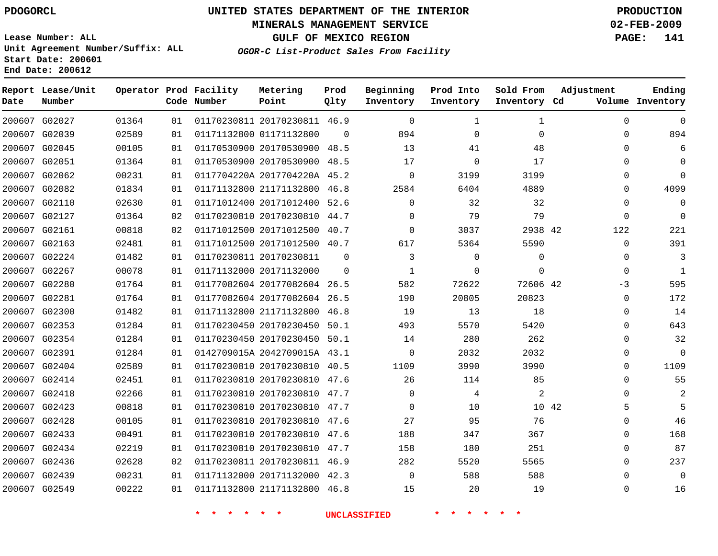### **MINERALS MANAGEMENT SERVICE 02-FEB-2009**

**GULF OF MEXICO REGION PAGE: 141**

**Lease Number: ALL Unit Agreement Number/Suffix: ALL Start Date: 200601 End Date: 200612**

**OGOR-C List-Product Sales From Facility**

| Date | Report Lease/Unit<br>Number |       |    | Operator Prod Facility<br>Code Number | Metering<br>Point            | Prod<br>Qlty | Beginning<br>Inventory | Prod Into<br>Inventory | Sold From<br>Inventory Cd | Adjustment   | Ending<br>Volume Inventory |
|------|-----------------------------|-------|----|---------------------------------------|------------------------------|--------------|------------------------|------------------------|---------------------------|--------------|----------------------------|
|      | 200607 G02027               | 01364 | 01 |                                       | 01170230811 20170230811 46.9 |              | $\Omega$               | 1                      | 1                         | $\Omega$     | $\Omega$                   |
|      | 200607 G02039               | 02589 | 01 |                                       | 01171132800 01171132800      | $\Omega$     | 894                    | $\mathbf 0$            | 0                         | 0            | 894                        |
|      | 200607 G02045               | 00105 | 01 |                                       | 01170530900 20170530900 48.5 |              | 13                     | 41                     | 48                        | $\Omega$     | 6                          |
|      | 200607 G02051               | 01364 | 01 |                                       | 01170530900 20170530900 48.5 |              | 17                     | $\mathbf 0$            | 17                        | $\Omega$     | $\Omega$                   |
|      | 200607 G02062               | 00231 | 01 |                                       | 0117704220A 2017704220A 45.2 |              | $\Omega$               | 3199                   | 3199                      | $\Omega$     | $\Omega$                   |
|      | 200607 G02082               | 01834 | 01 |                                       | 01171132800 21171132800 46.8 |              | 2584                   | 6404                   | 4889                      | $\mathbf{0}$ | 4099                       |
|      | 200607 G02110               | 02630 | 01 |                                       | 01171012400 20171012400 52.6 |              | $\Omega$               | 32                     | 32                        | 0            | $\Omega$                   |
|      | 200607 G02127               | 01364 | 02 |                                       | 01170230810 20170230810 44.7 |              | $\Omega$               | 79                     | 79                        | $\mathbf{0}$ | $\Omega$                   |
|      | 200607 G02161               | 00818 | 02 |                                       | 01171012500 20171012500 40.7 |              | $\Omega$               | 3037                   | 2938 42                   | 122          | 221                        |
|      | 200607 G02163               | 02481 | 01 |                                       | 01171012500 20171012500 40.7 |              | 617                    | 5364                   | 5590                      | $\mathbf{0}$ | 391                        |
|      | 200607 G02224               | 01482 | 01 |                                       | 01170230811 20170230811      | $\Omega$     | 3                      | $\mathbf 0$            | $\Omega$                  | $\Omega$     | 3                          |
|      | 200607 G02267               | 00078 | 01 |                                       | 01171132000 20171132000      | $\Omega$     | $\mathbf{1}$           | 0                      | $\Omega$                  | $\Omega$     | $\mathbf{1}$               |
|      | 200607 G02280               | 01764 | 01 |                                       | 01177082604 20177082604 26.5 |              | 582                    | 72622                  | 72606 42                  | $-3$         | 595                        |
|      | 200607 G02281               | 01764 | 01 |                                       | 01177082604 20177082604 26.5 |              | 190                    | 20805                  | 20823                     | 0            | 172                        |
|      | 200607 G02300               | 01482 | 01 |                                       | 01171132800 21171132800 46.8 |              | 19                     | 13                     | 18                        | $\Omega$     | 14                         |
|      | 200607 G02353               | 01284 | 01 |                                       | 01170230450 20170230450 50.1 |              | 493                    | 5570                   | 5420                      | 0            | 643                        |
|      | 200607 G02354               | 01284 | 01 |                                       | 01170230450 20170230450 50.1 |              | 14                     | 280                    | 262                       | $\Omega$     | 32                         |
|      | 200607 G02391               | 01284 | 01 |                                       | 0142709015A 2042709015A 43.1 |              | $\mathbf 0$            | 2032                   | 2032                      | $\Omega$     | $\Omega$                   |
|      | 200607 G02404               | 02589 | 01 |                                       | 01170230810 20170230810 40.5 |              | 1109                   | 3990                   | 3990                      | $\Omega$     | 1109                       |
|      | 200607 G02414               | 02451 | 01 |                                       | 01170230810 20170230810 47.6 |              | 26                     | 114                    | 85                        | $\Omega$     | 55                         |
|      | 200607 G02418               | 02266 | 01 |                                       | 01170230810 20170230810 47.7 |              | $\Omega$               | 4                      | $\overline{a}$            | $\Omega$     | 2                          |
|      | 200607 G02423               | 00818 | 01 |                                       | 01170230810 20170230810 47.7 |              | $\Omega$               | 10                     | 10 42                     | 5            | 5                          |
|      | 200607 G02428               | 00105 | 01 |                                       | 01170230810 20170230810 47.6 |              | 27                     | 95                     | 76                        | $\Omega$     | 46                         |
|      | 200607 G02433               | 00491 | 01 |                                       | 01170230810 20170230810 47.6 |              | 188                    | 347                    | 367                       | $\Omega$     | 168                        |
|      | 200607 G02434               | 02219 | 01 |                                       | 01170230810 20170230810 47.7 |              | 158                    | 180                    | 251                       | $\Omega$     | 87                         |
|      | 200607 G02436               | 02628 | 02 |                                       | 01170230811 20170230811 46.9 |              | 282                    | 5520                   | 5565                      | $\Omega$     | 237                        |
|      | 200607 G02439               | 00231 | 01 |                                       | 01171132000 20171132000 42.3 |              | $\Omega$               | 588                    | 588                       | $\Omega$     | $\Omega$                   |
|      | 200607 G02549               | 00222 | 01 |                                       | 01171132800 21171132800 46.8 |              | 15                     | 20                     | 19                        | $\Omega$     | 16                         |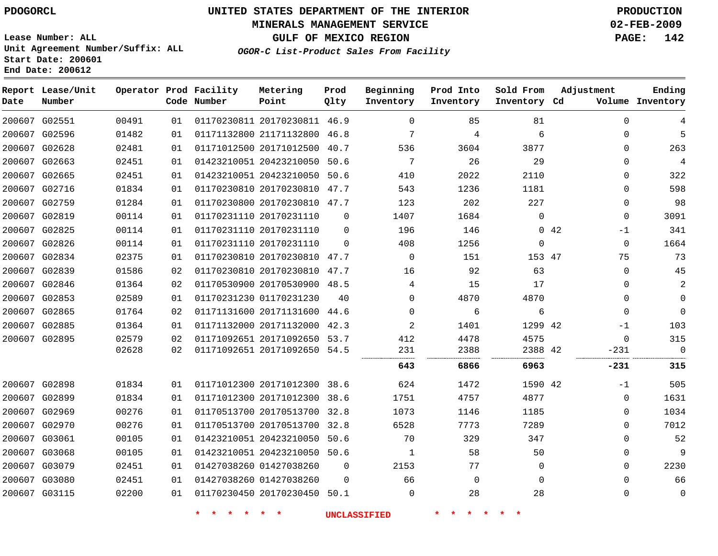### **MINERALS MANAGEMENT SERVICE 02-FEB-2009**

**GULF OF MEXICO REGION PAGE: 142 OGOR-C List-Product Sales From Facility**

**Lease Number: ALL Unit Agreement Number/Suffix: ALL Start Date: 200601 End Date: 200612**

| Date          | Report Lease/Unit<br>Number |       |    | Operator Prod Facility<br>Code Number | Metering<br>Point            | Prod<br>Qlty | Beginning<br>Inventory | Prod Into<br>Inventory | Sold From<br>Inventory Cd | Adjustment   | Ending<br>Volume Inventory |
|---------------|-----------------------------|-------|----|---------------------------------------|------------------------------|--------------|------------------------|------------------------|---------------------------|--------------|----------------------------|
| 200607 G02551 |                             | 00491 | 01 |                                       | 01170230811 20170230811 46.9 |              | $\mathbf 0$            | 85                     | 81                        | 0            | 4                          |
|               | 200607 G02596               | 01482 | 01 |                                       | 01171132800 21171132800 46.8 |              | 7                      | 4                      | 6                         | 0            | 5                          |
|               | 200607 G02628               | 02481 | 01 |                                       | 01171012500 20171012500 40.7 |              | 536                    | 3604                   | 3877                      | 0            | 263                        |
|               | 200607 G02663               | 02451 | 01 |                                       | 01423210051 20423210050      | 50.6         | 7                      | 26                     | 29                        | 0            | $\overline{4}$             |
|               | 200607 G02665               | 02451 | 01 |                                       | 01423210051 20423210050 50.6 |              | 410                    | 2022                   | 2110                      | 0            | 322                        |
| 200607 G02716 |                             | 01834 | 01 |                                       | 01170230810 20170230810 47.7 |              | 543                    | 1236                   | 1181                      | 0            | 598                        |
|               | 200607 G02759               | 01284 | 01 |                                       | 01170230800 20170230810 47.7 |              | 123                    | 202                    | 227                       | 0            | 98                         |
|               | 200607 G02819               | 00114 | 01 |                                       | 01170231110 20170231110      | $\mathbf 0$  | 1407                   | 1684                   | $\Omega$                  | $\mathbf 0$  | 3091                       |
|               | 200607 G02825               | 00114 | 01 |                                       | 01170231110 20170231110      | $\mathbf 0$  | 196                    | 146                    |                           | 0.42<br>$-1$ | 341                        |
|               | 200607 G02826               | 00114 | 01 |                                       | 01170231110 20170231110      | $\Omega$     | 408                    | 1256                   | $\Omega$                  | 0            | 1664                       |
| 200607 G02834 |                             | 02375 | 01 |                                       | 01170230810 20170230810 47.7 |              | $\mathbf 0$            | 151                    | 153 47                    | 75           | 73                         |
|               | 200607 G02839               | 01586 | 02 |                                       | 01170230810 20170230810 47.7 |              | 16                     | 92                     | 63                        | $\mathbf 0$  | 45                         |
| 200607 G02846 |                             | 01364 | 02 |                                       | 01170530900 20170530900 48.5 |              | 4                      | 15                     | 17                        | 0            | 2                          |
|               | 200607 G02853               | 02589 | 01 |                                       | 01170231230 01170231230      | 40           | $\Omega$               | 4870                   | 4870                      | 0            | $\mathbf 0$                |
| 200607 G02865 |                             | 01764 | 02 |                                       | 01171131600 20171131600 44.6 |              | $\Omega$               | 6                      | 6                         | $\Omega$     | $\mathbf 0$                |
| 200607 G02885 |                             | 01364 | 01 |                                       | 01171132000 20171132000 42.3 |              | 2                      | 1401                   | 1299 42                   | $-1$         | 103                        |
|               | 200607 G02895               | 02579 | 02 |                                       | 01171092651 20171092650 53.7 |              | 412                    | 4478                   | 4575                      | $\Omega$     | 315                        |
|               |                             | 02628 | 02 |                                       | 01171092651 20171092650 54.5 |              | 231                    | 2388                   | 2388 42                   | $-231$       | $\mathbf 0$                |
|               |                             |       |    |                                       |                              |              | 643                    | 6866                   | 6963                      | -231         | 315                        |
| 200607 G02898 |                             | 01834 | 01 |                                       | 01171012300 20171012300 38.6 |              | 624                    | 1472                   | 1590 42                   | $-1$         | 505                        |
| 200607 G02899 |                             | 01834 | 01 |                                       | 01171012300 20171012300      | 38.6         | 1751                   | 4757                   | 4877                      | $\mathbf 0$  | 1631                       |
|               | 200607 G02969               | 00276 | 01 |                                       | 01170513700 20170513700 32.8 |              | 1073                   | 1146                   | 1185                      | 0            | 1034                       |
|               | 200607 G02970               | 00276 | 01 |                                       | 01170513700 20170513700 32.8 |              | 6528                   | 7773                   | 7289                      | 0            | 7012                       |
| 200607 G03061 |                             | 00105 | 01 |                                       | 01423210051 20423210050 50.6 |              | 70                     | 329                    | 347                       | 0            | 52                         |
| 200607 G03068 |                             | 00105 | 01 |                                       | 01423210051 20423210050 50.6 |              | $\mathbf{1}$           | 58                     | 50                        | 0            | 9                          |
|               | 200607 G03079               | 02451 | 01 |                                       | 01427038260 01427038260      | $\mathbf 0$  | 2153                   | 77                     | $\mathbf 0$               | 0            | 2230                       |
| 200607 G03080 |                             | 02451 | 01 |                                       | 01427038260 01427038260      | $\Omega$     | 66                     | $\mathbf 0$            | $\Omega$                  | 0            | 66                         |
|               | 200607 G03115               | 02200 | 01 |                                       | 01170230450 20170230450 50.1 |              | $\mathbf 0$            | 28                     | 28                        | 0            | 0                          |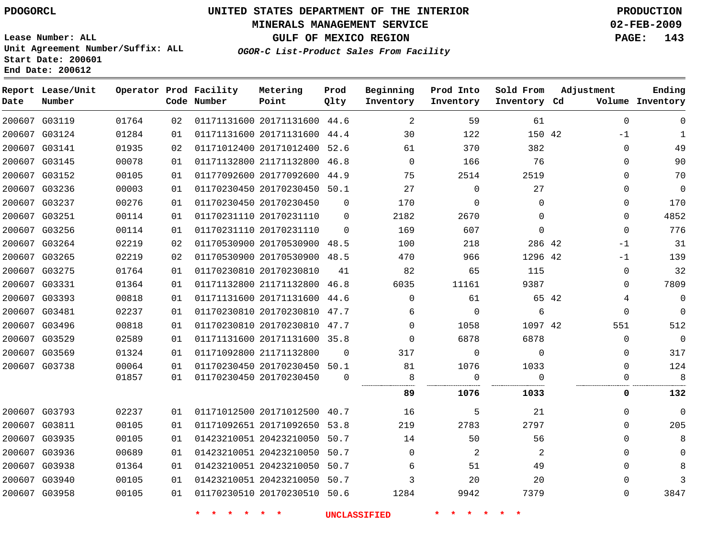#### **MINERALS MANAGEMENT SERVICE 02-FEB-2009**

**GULF OF MEXICO REGION PAGE: 143**

**OGOR-C List-Product Sales From Facility**

**Lease Number: ALL Unit Agreement Number/Suffix: ALL Start Date: 200601 End Date: 200612**

| Date          | Report Lease/Unit<br>Number |       |    | Operator Prod Facility<br>Code Number | Metering<br>Point            | Prod<br>Qlty | Beginning<br>Inventory | Prod Into<br>Inventory | Sold From<br>Inventory Cd | Adjustment  | Ending<br>Volume Inventory |
|---------------|-----------------------------|-------|----|---------------------------------------|------------------------------|--------------|------------------------|------------------------|---------------------------|-------------|----------------------------|
| 200607 G03119 |                             | 01764 | 02 |                                       | 01171131600 20171131600 44.6 |              | 2                      | 59                     | 61                        | $\Omega$    | $\Omega$                   |
| 200607 G03124 |                             | 01284 | 01 |                                       | 01171131600 20171131600 44.4 |              | 30                     | 122                    | 150 42                    | $-1$        | $\mathbf{1}$               |
|               | 200607 G03141               | 01935 | 02 |                                       | 01171012400 20171012400 52.6 |              | 61                     | 370                    | 382                       | $\mathbf 0$ | 49                         |
| 200607 G03145 |                             | 00078 | 01 |                                       | 01171132800 21171132800      | 46.8         | $\mathbf 0$            | 166                    | 76                        | $\mathbf 0$ | 90                         |
|               | 200607 G03152               | 00105 | 01 |                                       | 01177092600 20177092600      | 44.9         | 75                     | 2514                   | 2519                      | $\mathbf 0$ | 70                         |
|               | 200607 G03236               | 00003 | 01 |                                       | 01170230450 20170230450 50.1 |              | 27                     | $\mathbf 0$            | 27                        | $\mathbf 0$ | $\mathbf{0}$               |
|               | 200607 G03237               | 00276 | 01 |                                       | 01170230450 20170230450      | $\mathbf 0$  | 170                    | $\mathbf 0$            | $\mathbf 0$               | $\mathbf 0$ | 170                        |
| 200607 G03251 |                             | 00114 | 01 |                                       | 01170231110 20170231110      | $\mathbf 0$  | 2182                   | 2670                   | $\Omega$                  | $\mathbf 0$ | 4852                       |
| 200607 G03256 |                             | 00114 | 01 |                                       | 01170231110 20170231110      | $\Omega$     | 169                    | 607                    | $\mathbf 0$               | $\mathbf 0$ | 776                        |
|               | 200607 G03264               | 02219 | 02 |                                       | 01170530900 20170530900 48.5 |              | 100                    | 218                    | 286 42                    | $-1$        | 31                         |
| 200607 G03265 |                             | 02219 | 02 |                                       | 01170530900 20170530900 48.5 |              | 470                    | 966                    | 1296 42                   | $-1$        | 139                        |
| 200607 G03275 |                             | 01764 | 01 |                                       | 01170230810 20170230810      | 41           | 82                     | 65                     | 115                       | 0           | 32                         |
| 200607 G03331 |                             | 01364 | 01 |                                       | 01171132800 21171132800      | 46.8         | 6035                   | 11161                  | 9387                      | $\mathbf 0$ | 7809                       |
| 200607 G03393 |                             | 00818 | 01 |                                       | 01171131600 20171131600      | 44.6         | $\Omega$               | 61                     | 65 42                     | 4           | $\Omega$                   |
| 200607 G03481 |                             | 02237 | 01 |                                       | 01170230810 20170230810 47.7 |              | 6                      | $\Omega$               | 6                         | $\Omega$    | $\Omega$                   |
|               | 200607 G03496               | 00818 | 01 |                                       | 01170230810 20170230810 47.7 |              | $\Omega$               | 1058                   | 1097 42                   | 551         | 512                        |
| 200607 G03529 |                             | 02589 | 01 |                                       | 01171131600 20171131600 35.8 |              | $\Omega$               | 6878                   | 6878                      | $\mathbf 0$ | $\mathbf 0$                |
| 200607 G03569 |                             | 01324 | 01 |                                       | 01171092800 21171132800      | $\Omega$     | 317                    | $\mathbf 0$            | $\Omega$                  | $\mathbf 0$ | 317                        |
|               | 200607 G03738               | 00064 | 01 |                                       | 01170230450 20170230450 50.1 |              | 81                     | 1076                   | 1033                      | $\Omega$    | 124                        |
|               |                             | 01857 | 01 |                                       | 01170230450 20170230450      | $\Omega$     | 8                      | $\Omega$               | $\Omega$                  | $\Omega$    | 8                          |
|               |                             |       |    |                                       |                              |              | 89                     | 1076                   | 1033                      | 0           | 132                        |
|               | 200607 G03793               | 02237 | 01 |                                       | 01171012500 20171012500 40.7 |              | 16                     | 5                      | 21                        | $\mathbf 0$ | $\mathbf{0}$               |
|               | 200607 G03811               | 00105 | 01 |                                       | 01171092651 20171092650 53.8 |              | 219                    | 2783                   | 2797                      | $\mathbf 0$ | 205                        |
| 200607 G03935 |                             | 00105 | 01 |                                       | 01423210051 20423210050 50.7 |              | 14                     | 50                     | 56                        | $\mathbf 0$ | 8                          |
| 200607 G03936 |                             | 00689 | 01 |                                       | 01423210051 20423210050      | 50.7         | $\mathbf 0$            | 2                      | 2                         | $\mathbf 0$ | $\Omega$                   |
| 200607 G03938 |                             | 01364 | 01 |                                       | 01423210051 20423210050      | 50.7         | 6                      | 51                     | 49                        | $\mathbf 0$ | 8                          |
| 200607 G03940 |                             | 00105 | 01 |                                       | 01423210051 20423210050 50.7 |              | 3                      | 20                     | 20                        | $\Omega$    | 3                          |
|               | 200607 G03958               | 00105 | 01 |                                       | 01170230510 20170230510 50.6 |              | 1284                   | 9942                   | 7379                      | $\mathbf 0$ | 3847                       |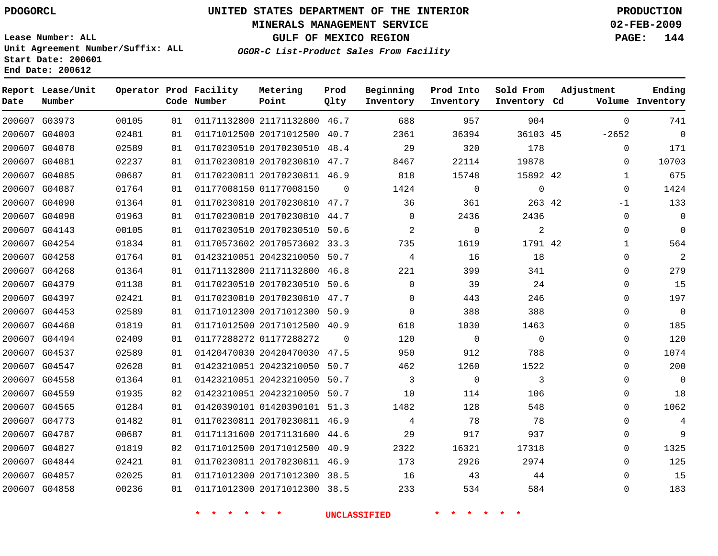### **MINERALS MANAGEMENT SERVICE 02-FEB-2009**

**GULF OF MEXICO REGION PAGE: 144**

**Lease Number: ALL Unit Agreement Number/Suffix: ALL Start Date: 200601 End Date: 200612**

**OGOR-C List-Product Sales From Facility**

| Date | Report Lease/Unit<br>Number |       |    | Operator Prod Facility<br>Code Number | Metering<br>Point            | Prod<br>Qlty | Beginning<br>Inventory | Prod Into<br>Inventory | Sold From<br>Inventory Cd | Adjustment   | Ending<br>Volume Inventory |
|------|-----------------------------|-------|----|---------------------------------------|------------------------------|--------------|------------------------|------------------------|---------------------------|--------------|----------------------------|
|      | 200607 G03973               | 00105 | 01 |                                       | 01171132800 21171132800 46.7 |              | 688                    | 957                    | 904                       | $\mathbf 0$  | 741                        |
|      | 200607 G04003               | 02481 | 01 |                                       | 01171012500 20171012500 40.7 |              | 2361                   | 36394                  | 36103 45                  | $-2652$      | $\mathbf 0$                |
|      | 200607 G04078               | 02589 | 01 |                                       | 01170230510 20170230510 48.4 |              | 29                     | 320                    | 178                       | $\mathbf 0$  | 171                        |
|      | 200607 G04081               | 02237 | 01 |                                       | 01170230810 20170230810 47.7 |              | 8467                   | 22114                  | 19878                     | $\Omega$     | 10703                      |
|      | 200607 G04085               | 00687 | 01 |                                       | 01170230811 20170230811 46.9 |              | 818                    | 15748                  | 15892 42                  | $\mathbf{1}$ | 675                        |
|      | 200607 G04087               | 01764 | 01 |                                       | 01177008150 01177008150      | $\Omega$     | 1424                   | $\mathbf 0$            | $\mathbf{0}$              | $\mathbf 0$  | 1424                       |
|      | 200607 G04090               | 01364 | 01 |                                       | 01170230810 20170230810 47.7 |              | 36                     | 361                    | 263 42                    | $-1$         | 133                        |
|      | 200607 G04098               | 01963 | 01 |                                       | 01170230810 20170230810 44.7 |              | $\Omega$               | 2436                   | 2436                      | $\mathbf 0$  | $\mathbf 0$                |
|      | 200607 G04143               | 00105 | 01 |                                       | 01170230510 20170230510 50.6 |              | 2                      | 0                      | $\overline{c}$            | $\mathbf 0$  | 0                          |
|      | 200607 G04254               | 01834 | 01 |                                       | 01170573602 20170573602 33.3 |              | 735                    | 1619                   | 1791 42                   | $\mathbf{1}$ | 564                        |
|      | 200607 G04258               | 01764 | 01 |                                       | 01423210051 20423210050 50.7 |              | 4                      | 16                     | 18                        | 0            | 2                          |
|      | 200607 G04268               | 01364 | 01 |                                       | 01171132800 21171132800      | 46.8         | 221                    | 399                    | 341                       | $\mathbf 0$  | 279                        |
|      | 200607 G04379               | 01138 | 01 |                                       | 01170230510 20170230510 50.6 |              | $\Omega$               | 39                     | 24                        | $\Omega$     | 15                         |
|      | 200607 G04397               | 02421 | 01 |                                       | 01170230810 20170230810 47.7 |              | $\Omega$               | 443                    | 246                       | 0            | 197                        |
|      | 200607 G04453               | 02589 | 01 |                                       | 01171012300 20171012300 50.9 |              | $\Omega$               | 388                    | 388                       | $\Omega$     | $\mathbf 0$                |
|      | 200607 G04460               | 01819 | 01 |                                       | 01171012500 20171012500 40.9 |              | 618                    | 1030                   | 1463                      | 0            | 185                        |
|      | 200607 G04494               | 02409 | 01 |                                       | 01177288272 01177288272      | $\Omega$     | 120                    | $\mathbf 0$            | $\Omega$                  | $\Omega$     | 120                        |
|      | 200607 G04537               | 02589 | 01 |                                       | 01420470030 20420470030 47.5 |              | 950                    | 912                    | 788                       | $\Omega$     | 1074                       |
|      | 200607 G04547               | 02628 | 01 |                                       | 01423210051 20423210050 50.7 |              | 462                    | 1260                   | 1522                      | $\mathbf 0$  | 200                        |
|      | 200607 G04558               | 01364 | 01 |                                       | 01423210051 20423210050      | 50.7         | 3                      | $\mathsf{O}$           | 3                         | $\mathbf 0$  | $\mathbf 0$                |
|      | 200607 G04559               | 01935 | 02 |                                       | 01423210051 20423210050 50.7 |              | 10                     | 114                    | 106                       | 0            | 18                         |
|      | 200607 G04565               | 01284 | 01 |                                       | 01420390101 01420390101 51.3 |              | 1482                   | 128                    | 548                       | 0            | 1062                       |
|      | 200607 G04773               | 01482 | 01 |                                       | 01170230811 20170230811 46.9 |              | 4                      | 78                     | 78                        | $\mathbf 0$  | 4                          |
|      | 200607 G04787               | 00687 | 01 |                                       | 01171131600 20171131600 44.6 |              | 29                     | 917                    | 937                       | 0            | 9                          |
|      | 200607 G04827               | 01819 | 02 |                                       | 01171012500 20171012500 40.9 |              | 2322                   | 16321                  | 17318                     | $\Omega$     | 1325                       |
|      | 200607 G04844               | 02421 | 01 |                                       | 01170230811 20170230811 46.9 |              | 173                    | 2926                   | 2974                      | $\Omega$     | 125                        |
|      | 200607 G04857               | 02025 | 01 |                                       | 01171012300 20171012300 38.5 |              | 16                     | 43                     | 44                        | $\Omega$     | 15                         |
|      | 200607 G04858               | 00236 | 01 |                                       | 01171012300 20171012300 38.5 |              | 233                    | 534                    | 584                       | $\Omega$     | 183                        |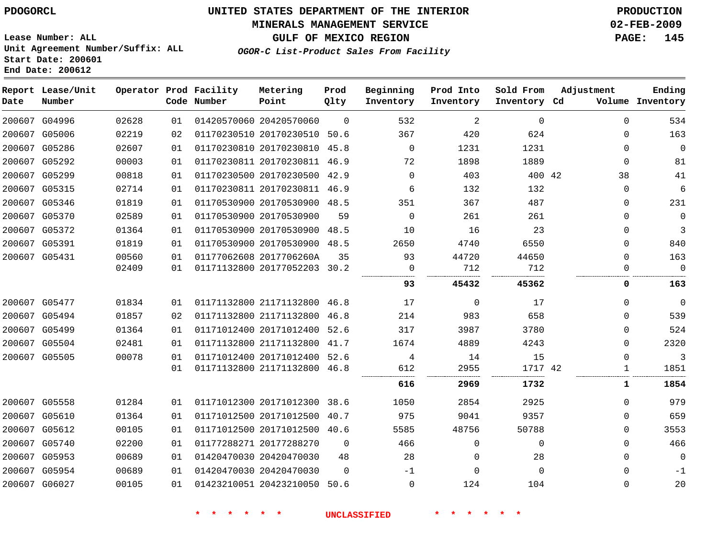# **MINERALS MANAGEMENT SERVICE 02-FEB-2009**

**GULF OF MEXICO REGION PAGE: 145**

**Lease Number: ALL Unit Agreement Number/Suffix: ALL Start Date: 200601 End Date: 200612**

**OGOR-C List-Product Sales From Facility**

| Date          | Report Lease/Unit<br>Number |       |    | Operator Prod Facility<br>Code Number | Metering<br>Point            | Prod<br>Qlty | Beginning<br>Inventory | Prod Into<br>Inventory | Sold From<br>Inventory Cd | Adjustment  | Ending<br>Volume Inventory |
|---------------|-----------------------------|-------|----|---------------------------------------|------------------------------|--------------|------------------------|------------------------|---------------------------|-------------|----------------------------|
|               | 200607 G04996               | 02628 | 01 |                                       | 01420570060 20420570060      | $\Omega$     | 532                    | 2                      | $\Omega$                  | $\Omega$    | 534                        |
|               | 200607 G05006               | 02219 | 02 |                                       | 01170230510 20170230510 50.6 |              | 367                    | 420                    | 624                       | $\mathbf 0$ | 163                        |
| 200607 G05286 |                             | 02607 | 01 |                                       | 01170230810 20170230810 45.8 |              | $\mathbf 0$            | 1231                   | 1231                      | $\mathbf 0$ | $\mathbf 0$                |
|               | 200607 G05292               | 00003 | 01 |                                       | 01170230811 20170230811 46.9 |              | 72                     | 1898                   | 1889                      | 0           | 81                         |
| 200607 G05299 |                             | 00818 | 01 |                                       | 01170230500 20170230500 42.9 |              | $\Omega$               | 403                    | 400 42                    | 38          | 41                         |
| 200607 G05315 |                             | 02714 | 01 |                                       | 01170230811 20170230811 46.9 |              | 6                      | 132                    | 132                       | $\mathbf 0$ | 6                          |
|               | 200607 G05346               | 01819 | 01 |                                       | 01170530900 20170530900 48.5 |              | 351                    | 367                    | 487                       | $\mathbf 0$ | 231                        |
| 200607 G05370 |                             | 02589 | 01 |                                       | 01170530900 20170530900      | 59           | $\mathbf 0$            | 261                    | 261                       | $\mathbf 0$ | $\mathbf 0$                |
| 200607 G05372 |                             | 01364 | 01 |                                       | 01170530900 20170530900 48.5 |              | 10                     | 16                     | 23                        | $\mathbf 0$ | 3                          |
| 200607 G05391 |                             | 01819 | 01 |                                       | 01170530900 20170530900 48.5 |              | 2650                   | 4740                   | 6550                      | $\mathbf 0$ | 840                        |
| 200607 G05431 |                             | 00560 | 01 |                                       | 01177062608 2017706260A      | 35           | 93                     | 44720                  | 44650                     | $\Omega$    | 163                        |
|               |                             | 02409 | 01 |                                       | 01171132800 20177052203 30.2 |              | 0                      | 712                    | 712                       | $\mathbf 0$ | $\Omega$                   |
|               |                             |       |    |                                       |                              |              | 93                     | 45432                  | 45362                     | 0           | 163                        |
| 200607 G05477 |                             | 01834 | 01 |                                       | 01171132800 21171132800 46.8 |              | 17                     | 0                      | 17                        | $\mathbf 0$ | $\mathbf 0$                |
|               | 200607 G05494               | 01857 | 02 |                                       | 01171132800 21171132800 46.8 |              | 214                    | 983                    | 658                       | $\Omega$    | 539                        |
| 200607 G05499 |                             | 01364 | 01 |                                       | 01171012400 20171012400 52.6 |              | 317                    | 3987                   | 3780                      | $\Omega$    | 524                        |
| 200607 G05504 |                             | 02481 | 01 |                                       | 01171132800 21171132800 41.7 |              | 1674                   | 4889                   | 4243                      | $\Omega$    | 2320                       |
| 200607 G05505 |                             | 00078 | 01 |                                       | 01171012400 20171012400 52.6 |              | 4                      | 14                     | 15                        | $\mathbf 0$ | 3                          |
|               |                             |       | 01 |                                       | 01171132800 21171132800 46.8 |              | 612                    | 2955                   | 1717 42                   | 1           | 1851                       |
|               |                             |       |    |                                       |                              |              | 616                    | 2969                   | 1732                      | 1           | 1854                       |
| 200607 G05558 |                             | 01284 | 01 |                                       | 01171012300 20171012300 38.6 |              | 1050                   | 2854                   | 2925                      | $\mathbf 0$ | 979                        |
| 200607 G05610 |                             | 01364 | 01 |                                       | 01171012500 20171012500 40.7 |              | 975                    | 9041                   | 9357                      | $\mathbf 0$ | 659                        |
|               | 200607 G05612               | 00105 | 01 |                                       | 01171012500 20171012500 40.6 |              | 5585                   | 48756                  | 50788                     | $\mathbf 0$ | 3553                       |
| 200607 G05740 |                             | 02200 | 01 |                                       | 01177288271 20177288270      | $\mathbf 0$  | 466                    | 0                      | $\mathbf 0$               | $\mathbf 0$ | 466                        |
| 200607 G05953 |                             | 00689 | 01 |                                       | 01420470030 20420470030      | 48           | 28                     | 0                      | 28                        | $\mathbf 0$ | $\mathbf 0$                |
|               | 200607 G05954               | 00689 | 01 |                                       | 01420470030 20420470030      | $\mathbf 0$  | $-1$                   | 0                      | $\mathbf 0$               | $\mathbf 0$ | $-1$                       |
| 200607 G06027 |                             | 00105 | 01 |                                       | 01423210051 20423210050 50.6 |              | 0                      | 124                    | 104                       | $\mathbf 0$ | 20                         |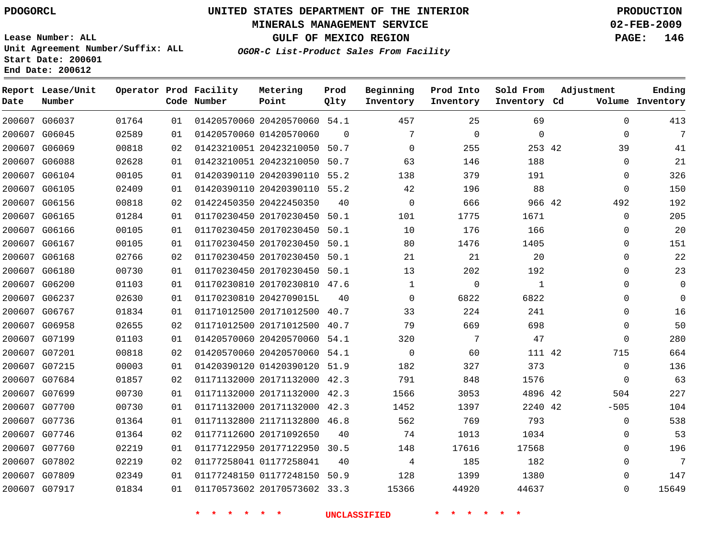#### **MINERALS MANAGEMENT SERVICE 02-FEB-2009**

**GULF OF MEXICO REGION PAGE: 146**

**Lease Number: ALL Unit Agreement Number/Suffix: ALL Start Date: 200601 End Date: 200612**

**OGOR-C List-Product Sales From Facility**

| Date | Report Lease/Unit<br>Number |       |    | Operator Prod Facility<br>Code Number | Metering<br>Point            | Prod<br>Qlty | Beginning<br>Inventory | Prod Into<br>Inventory | Sold From<br>Inventory Cd | Adjustment  | Ending<br>Volume Inventory |
|------|-----------------------------|-------|----|---------------------------------------|------------------------------|--------------|------------------------|------------------------|---------------------------|-------------|----------------------------|
|      | 200607 G06037               | 01764 | 01 |                                       | 01420570060 20420570060 54.1 |              | 457                    | 25                     | 69                        | $\Omega$    | 413                        |
|      | 200607 G06045               | 02589 | 01 |                                       | 01420570060 01420570060      | $\mathbf 0$  | 7                      | $\mathbf 0$            | $\mathbf{0}$              | $\mathbf 0$ | 7                          |
|      | 200607 G06069               | 00818 | 02 |                                       | 01423210051 20423210050      | 50.7         | $\mathbf 0$            | 255                    | 253 42                    | 39          | 41                         |
|      | 200607 G06088               | 02628 | 01 |                                       | 01423210051 20423210050      | 50.7         | 63                     | 146                    | 188                       | 0           | 21                         |
|      | 200607 G06104               | 00105 | 01 |                                       | 01420390110 20420390110 55.2 |              | 138                    | 379                    | 191                       | 0           | 326                        |
|      | 200607 G06105               | 02409 | 01 |                                       | 01420390110 20420390110 55.2 |              | 42                     | 196                    | 88                        | $\mathbf 0$ | 150                        |
|      | 200607 G06156               | 00818 | 02 |                                       | 01422450350 20422450350      | 40           | $\Omega$               | 666                    | 966 42                    | 492         | 192                        |
|      | 200607 G06165               | 01284 | 01 |                                       | 01170230450 20170230450      | 50.1         | 101                    | 1775                   | 1671                      | $\mathbf 0$ | 205                        |
|      | 200607 G06166               | 00105 | 01 |                                       | 01170230450 20170230450      | 50.1         | 10                     | 176                    | 166                       | $\mathbf 0$ | 20                         |
|      | 200607 G06167               | 00105 | 01 |                                       | 01170230450 20170230450 50.1 |              | 80                     | 1476                   | 1405                      | $\mathbf 0$ | 151                        |
|      | 200607 G06168               | 02766 | 02 |                                       | 01170230450 20170230450 50.1 |              | 21                     | 21                     | 20                        | $\mathbf 0$ | 22                         |
|      | 200607 G06180               | 00730 | 01 |                                       | 01170230450 20170230450 50.1 |              | 13                     | 202                    | 192                       | 0           | 23                         |
|      | 200607 G06200               | 01103 | 01 |                                       | 01170230810 20170230810 47.6 |              | $\mathbf 1$            | $\mathbf 0$            | 1                         | $\Omega$    | 0                          |
|      | 200607 G06237               | 02630 | 01 |                                       | 01170230810 2042709015L      | 40           | $\mathbf 0$            | 6822                   | 6822                      | 0           | $\Omega$                   |
|      | 200607 G06767               | 01834 | 01 |                                       | 01171012500 20171012500 40.7 |              | 33                     | 224                    | 241                       | $\Omega$    | 16                         |
|      | 200607 G06958               | 02655 | 02 |                                       | 01171012500 20171012500      | 40.7         | 79                     | 669                    | 698                       | $\mathbf 0$ | 50                         |
|      | 200607 G07199               | 01103 | 01 |                                       | 01420570060 20420570060 54.1 |              | 320                    | 7                      | 47                        | $\Omega$    | 280                        |
|      | 200607 G07201               | 00818 | 02 |                                       | 01420570060 20420570060 54.1 |              | $\mathbf 0$            | 60                     | 111 42                    | 715         | 664                        |
|      | 200607 G07215               | 00003 | 01 |                                       | 01420390120 01420390120 51.9 |              | 182                    | 327                    | 373                       | $\mathbf 0$ | 136                        |
|      | 200607 G07684               | 01857 | 02 |                                       | 01171132000 20171132000 42.3 |              | 791                    | 848                    | 1576                      | 0           | 63                         |
|      | 200607 G07699               | 00730 | 01 |                                       | 01171132000 20171132000 42.3 |              | 1566                   | 3053                   | 4896 42                   | 504         | 227                        |
|      | 200607 G07700               | 00730 | 01 |                                       | 01171132000 20171132000 42.3 |              | 1452                   | 1397                   | 2240 42                   | $-505$      | 104                        |
|      | 200607 G07736               | 01364 | 01 |                                       | 01171132800 21171132800 46.8 |              | 562                    | 769                    | 793                       | $\Omega$    | 538                        |
|      | 200607 G07746               | 01364 | 02 |                                       | 01177112600 20171092650      | 40           | 74                     | 1013                   | 1034                      | $\mathbf 0$ | 53                         |
|      | 200607 G07760               | 02219 | 01 |                                       | 01177122950 20177122950 30.5 |              | 148                    | 17616                  | 17568                     | $\Omega$    | 196                        |
|      | 200607 G07802               | 02219 | 02 |                                       | 01177258041 01177258041      | 40           | 4                      | 185                    | 182                       | $\mathbf 0$ | 7                          |
|      | 200607 G07809               | 02349 | 01 |                                       | 01177248150 01177248150 50.9 |              | 128                    | 1399                   | 1380                      | $\Omega$    | 147                        |
|      | 200607 G07917               | 01834 | 01 |                                       | 01170573602 20170573602 33.3 |              | 15366                  | 44920                  | 44637                     | $\Omega$    | 15649                      |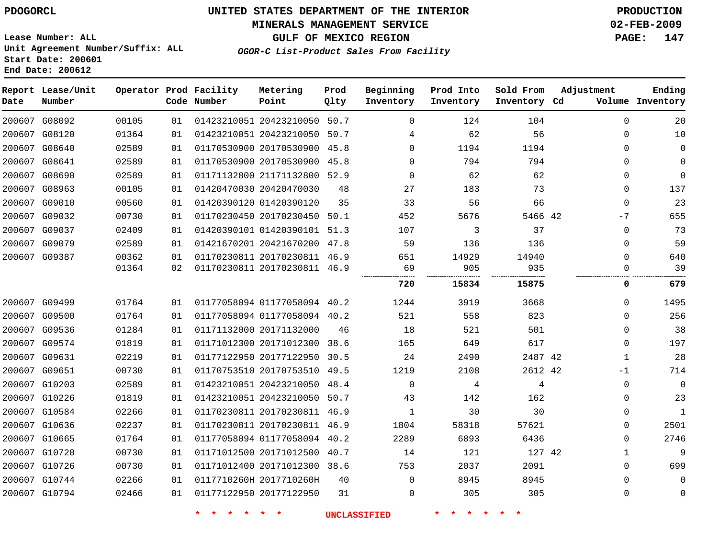# **MINERALS MANAGEMENT SERVICE 02-FEB-2009**

**GULF OF MEXICO REGION PAGE: 147**

**Lease Number: ALL Unit Agreement Number/Suffix: ALL Start Date: 200601 End Date: 200612**

**OGOR-C List-Product Sales From Facility**

| Date          | Report Lease/Unit<br>Number |       |    | Operator Prod Facility<br>Code Number | Metering<br>Point            | Prod<br>Qlty | Beginning<br>Inventory | Prod Into<br>Inventory | Sold From<br>Inventory Cd | Adjustment   | Ending<br>Volume Inventory |
|---------------|-----------------------------|-------|----|---------------------------------------|------------------------------|--------------|------------------------|------------------------|---------------------------|--------------|----------------------------|
|               | 200607 G08092               | 00105 | 01 |                                       | 01423210051 20423210050 50.7 |              | $\Omega$               | 124                    | 104                       | $\mathbf 0$  | 20                         |
|               | 200607 G08120               | 01364 | 01 |                                       | 01423210051 20423210050 50.7 |              | 4                      | 62                     | 56                        | $\Omega$     | 10                         |
|               | 200607 G08640               | 02589 | 01 |                                       | 01170530900 20170530900 45.8 |              | $\Omega$               | 1194                   | 1194                      | $\mathbf 0$  | $\mathbf 0$                |
| 200607 G08641 |                             | 02589 | 01 |                                       | 01170530900 20170530900 45.8 |              | $\Omega$               | 794                    | 794                       | $\mathbf 0$  | $\mathbf 0$                |
|               | 200607 G08690               | 02589 | 01 |                                       | 01171132800 21171132800 52.9 |              | $\Omega$               | 62                     | 62                        | $\mathbf 0$  | $\Omega$                   |
|               | 200607 G08963               | 00105 | 01 |                                       | 01420470030 20420470030      | 48           | 27                     | 183                    | 73                        | $\mathbf 0$  | 137                        |
|               | 200607 G09010               | 00560 | 01 |                                       | 01420390120 01420390120      | 35           | 33                     | 56                     | 66                        | $\mathsf 0$  | 23                         |
|               | 200607 G09032               | 00730 | 01 |                                       | 01170230450 20170230450 50.1 |              | 452                    | 5676                   | 5466 42                   | $-7$         | 655                        |
|               | 200607 G09037               | 02409 | 01 |                                       | 01420390101 01420390101 51.3 |              | 107                    | 3                      | 37                        | $\mathbf 0$  | 73                         |
|               | 200607 G09079               | 02589 | 01 |                                       | 01421670201 20421670200 47.8 |              | 59                     | 136                    | 136                       | $\mathbf 0$  | 59                         |
|               | 200607 G09387               | 00362 | 01 |                                       | 01170230811 20170230811 46.9 |              | 651                    | 14929                  | 14940                     | $\mathbf 0$  | 640                        |
|               |                             | 01364 | 02 |                                       | 01170230811 20170230811 46.9 |              | 69                     | 905                    | 935                       | 0            | 39                         |
|               |                             |       |    |                                       |                              |              | 720                    | 15834                  | 15875                     | 0            | 679                        |
| 200607 G09499 |                             | 01764 | 01 |                                       | 01177058094 01177058094 40.2 |              | 1244                   | 3919                   | 3668                      | $\mathbf 0$  | 1495                       |
| 200607 G09500 |                             | 01764 | 01 |                                       | 01177058094 01177058094 40.2 |              | 521                    | 558                    | 823                       | $\mathbf 0$  | 256                        |
|               | 200607 G09536               | 01284 | 01 |                                       | 01171132000 20171132000      | 46           | 18                     | 521                    | 501                       | 0            | 38                         |
|               | 200607 G09574               | 01819 | 01 |                                       | 01171012300 20171012300      | 38.6         | 165                    | 649                    | 617                       | $\Omega$     | 197                        |
|               | 200607 G09631               | 02219 | 01 |                                       | 01177122950 20177122950      | 30.5         | 24                     | 2490                   | 2487 42                   | $\mathbf{1}$ | 28                         |
| 200607 G09651 |                             | 00730 | 01 |                                       | 01170753510 20170753510      | 49.5         | 1219                   | 2108                   | 2612 42                   | $-1$         | 714                        |
|               | 200607 G10203               | 02589 | 01 |                                       | 01423210051 20423210050      | 48.4         | $\Omega$               | 4                      | 4                         | $\mathbf 0$  | $\Omega$                   |
|               | 200607 G10226               | 01819 | 01 |                                       | 01423210051 20423210050 50.7 |              | 43                     | 142                    | 162                       | $\mathbf 0$  | 23                         |
|               | 200607 G10584               | 02266 | 01 |                                       | 01170230811 20170230811 46.9 |              | 1                      | 30                     | 30                        | $\mathbf 0$  | $\mathbf{1}$               |
|               | 200607 G10636               | 02237 | 01 |                                       | 01170230811 20170230811 46.9 |              | 1804                   | 58318                  | 57621                     | $\mathbf 0$  | 2501                       |
|               | 200607 G10665               | 01764 | 01 |                                       | 01177058094 01177058094 40.2 |              | 2289                   | 6893                   | 6436                      | $\mathbf 0$  | 2746                       |
| 200607 G10720 |                             | 00730 | 01 |                                       | 01171012500 20171012500      | 40.7         | 14                     | 121                    | 127 42                    | $\mathbf{1}$ | 9                          |
|               | 200607 G10726               | 00730 | 01 |                                       | 01171012400 20171012300 38.6 |              | 753                    | 2037                   | 2091                      | $\Omega$     | 699                        |
|               | 200607 G10744               | 02266 | 01 |                                       | 0117710260H 2017710260H      | 40           | $\Omega$               | 8945                   | 8945                      | $\Omega$     | $\Omega$                   |
|               | 200607 G10794               | 02466 | 01 |                                       | 01177122950 20177122950      | 31           | $\Omega$               | 305                    | 305                       | $\mathbf 0$  | $\mathbf 0$                |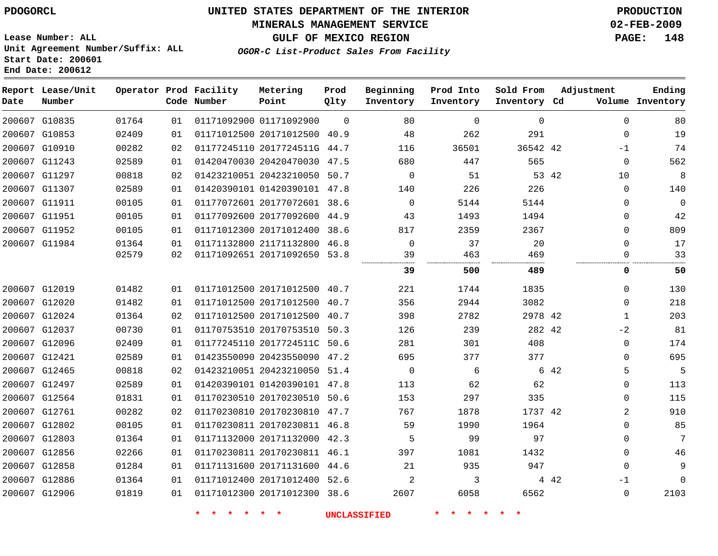# **MINERALS MANAGEMENT SERVICE 02-FEB-2009**

**GULF OF MEXICO REGION PAGE: 148**

**Lease Number: ALL Unit Agreement Number/Suffix: ALL Start Date: 200601 End Date: 200612**

| OGOR-C List-Product Sales From Facility |  |  |  |
|-----------------------------------------|--|--|--|
|-----------------------------------------|--|--|--|

| Date          | Report Lease/Unit<br>Number |       |    | Operator Prod Facility<br>Code Number | Metering<br>Point            | Prod<br>Qlty | Beginning<br>Inventory | Prod Into<br>Inventory | Sold From<br>Inventory Cd | Adjustment |             | Ending<br>Volume Inventory |
|---------------|-----------------------------|-------|----|---------------------------------------|------------------------------|--------------|------------------------|------------------------|---------------------------|------------|-------------|----------------------------|
| 200607 G10835 |                             | 01764 | 01 |                                       | 01171092900 01171092900      | $\Omega$     | 80                     | $\Omega$               | $\mathbf 0$               |            | $\Omega$    | 80                         |
|               | 200607 G10853               | 02409 | 01 |                                       | 01171012500 20171012500 40.9 |              | 48                     | 262                    | 291                       |            | $\mathbf 0$ | 19                         |
|               | 200607 G10910               | 00282 | 02 |                                       | 01177245110 2017724511G 44.7 |              | 116                    | 36501                  | 36542 42                  |            | $-1$        | 74                         |
|               | 200607 G11243               | 02589 | 01 |                                       | 01420470030 20420470030 47.5 |              | 680                    | 447                    | 565                       |            | $\mathbf 0$ | 562                        |
|               | 200607 G11297               | 00818 | 02 |                                       | 01423210051 20423210050 50.7 |              | $\mathbf 0$            | 51                     |                           | 53 42      | 10          | 8                          |
|               | 200607 G11307               | 02589 | 01 |                                       | 01420390101 01420390101 47.8 |              | 140                    | 226                    | 226                       |            | $\mathbf 0$ | 140                        |
| 200607 G11911 |                             | 00105 | 01 |                                       | 01177072601 20177072601 38.6 |              | $\mathbf 0$            | 5144                   | 5144                      |            | $\mathbf 0$ | $\Omega$                   |
| 200607 G11951 |                             | 00105 | 01 |                                       | 01177092600 20177092600 44.9 |              | 43                     | 1493                   | 1494                      |            | $\mathbf 0$ | 42                         |
|               | 200607 G11952               | 00105 | 01 |                                       | 01171012300 20171012400 38.6 |              | 817                    | 2359                   | 2367                      |            | $\Omega$    | 809                        |
|               | 200607 G11984               | 01364 | 01 |                                       | 01171132800 21171132800 46.8 |              | $\Omega$               | 37                     | 20                        |            | $\Omega$    | 17                         |
|               |                             | 02579 | 02 |                                       | 01171092651 20171092650 53.8 |              | 39                     | 463                    | 469                       |            | $\Omega$    | 33                         |
|               |                             |       |    |                                       |                              |              | 39                     | 500                    | 489                       |            | 0           | 50                         |
| 200607 G12019 |                             | 01482 | 01 |                                       | 01171012500 20171012500 40.7 |              | 221                    | 1744                   | 1835                      |            | $\mathbf 0$ | 130                        |
|               | 200607 G12020               | 01482 | 01 |                                       | 01171012500 20171012500 40.7 |              | 356                    | 2944                   | 3082                      |            | $\mathbf 0$ | 218                        |
| 200607 G12024 |                             | 01364 | 02 |                                       | 01171012500 20171012500 40.7 |              | 398                    | 2782                   | 2978 42                   |            | $\mathbf 1$ | 203                        |
| 200607 G12037 |                             | 00730 | 01 |                                       | 01170753510 20170753510 50.3 |              | 126                    | 239                    | 282 42                    |            | $-2$        | 81                         |
| 200607 G12096 |                             | 02409 | 01 |                                       | 01177245110 2017724511C 50.6 |              | 281                    | 301                    | 408                       |            | $\mathbf 0$ | 174                        |
| 200607 G12421 |                             | 02589 | 01 |                                       | 01423550090 20423550090 47.2 |              | 695                    | 377                    | 377                       |            | $\mathbf 0$ | 695                        |
| 200607 G12465 |                             | 00818 | 02 |                                       | 01423210051 20423210050 51.4 |              | $\mathbf 0$            | 6                      |                           | 6 42       | 5           | 5                          |
|               | 200607 G12497               | 02589 | 01 |                                       | 01420390101 01420390101 47.8 |              | 113                    | 62                     | 62                        |            | $\mathbf 0$ | 113                        |
| 200607 G12564 |                             | 01831 | 01 |                                       | 01170230510 20170230510 50.6 |              | 153                    | 297                    | 335                       |            | $\Omega$    | 115                        |
|               | 200607 G12761               | 00282 | 02 |                                       | 01170230810 20170230810 47.7 |              | 767                    | 1878                   | 1737 42                   |            | 2           | 910                        |
|               | 200607 G12802               | 00105 | 01 |                                       | 01170230811 20170230811 46.8 |              | 59                     | 1990                   | 1964                      |            | $\Omega$    | 85                         |
| 200607 G12803 |                             | 01364 | 01 |                                       | 01171132000 20171132000 42.3 |              | 5                      | 99                     | 97                        |            | $\Omega$    | 7                          |
| 200607 G12856 |                             | 02266 | 01 |                                       | 01170230811 20170230811 46.1 |              | 397                    | 1081                   | 1432                      |            | $\mathbf 0$ | 46                         |
| 200607 G12858 |                             | 01284 | 01 |                                       | 01171131600 20171131600 44.6 |              | 21                     | 935                    | 947                       |            | $\Omega$    | 9                          |
| 200607 G12886 |                             | 01364 | 01 |                                       | 01171012400 20171012400 52.6 |              | 2                      | 3                      |                           | 4 4 2      | $-1$        | $\Omega$                   |
|               | 200607 G12906               | 01819 | 01 |                                       | 01171012300 20171012300 38.6 |              | 2607                   | 6058                   | 6562                      |            | $\mathbf 0$ | 2103                       |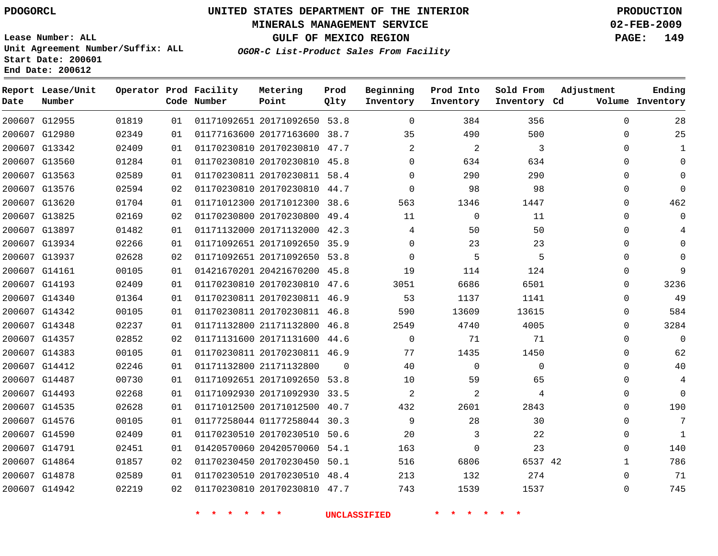#### **MINERALS MANAGEMENT SERVICE 02-FEB-2009**

**GULF OF MEXICO REGION PAGE: 149**

**Lease Number: ALL Unit Agreement Number/Suffix: ALL Start Date: 200601 End Date: 200612**

**OGOR-C List-Product Sales From Facility**

| Date | Report Lease/Unit<br>Number |       |    | Operator Prod Facility<br>Code Number | Metering<br>Point            | Prod<br>Qlty | Beginning<br>Inventory | Prod Into<br>Inventory | Sold From<br>Inventory Cd | Adjustment   | Ending<br>Volume Inventory |
|------|-----------------------------|-------|----|---------------------------------------|------------------------------|--------------|------------------------|------------------------|---------------------------|--------------|----------------------------|
|      | 200607 G12955               | 01819 | 01 |                                       | 01171092651 20171092650 53.8 |              | $\Omega$               | 384                    | 356                       | $\Omega$     | 28                         |
|      | 200607 G12980               | 02349 | 01 |                                       | 01177163600 20177163600 38.7 |              | 35                     | 490                    | 500                       | 0            | 25                         |
|      | 200607 G13342               | 02409 | 01 |                                       | 01170230810 20170230810 47.7 |              | $\overline{2}$         | 2                      | 3                         | $\Omega$     | $\mathbf{1}$               |
|      | 200607 G13560               | 01284 | 01 |                                       | 01170230810 20170230810 45.8 |              | $\Omega$               | 634                    | 634                       | $\Omega$     | $\Omega$                   |
|      | 200607 G13563               | 02589 | 01 |                                       | 01170230811 20170230811 58.4 |              | $\Omega$               | 290                    | 290                       | $\Omega$     | $\Omega$                   |
|      | 200607 G13576               | 02594 | 02 |                                       | 01170230810 20170230810 44.7 |              | $\mathbf 0$            | 98                     | 98                        | $\mathbf 0$  | $\Omega$                   |
|      | 200607 G13620               | 01704 | 01 |                                       | 01171012300 20171012300 38.6 |              | 563                    | 1346                   | 1447                      | 0            | 462                        |
|      | 200607 G13825               | 02169 | 02 |                                       | 01170230800 20170230800 49.4 |              | 11                     | $\mathbf 0$            | 11                        | 0            | 0                          |
|      | 200607 G13897               | 01482 | 01 |                                       | 01171132000 20171132000 42.3 |              | 4                      | 50                     | 50                        | $\Omega$     |                            |
|      | 200607 G13934               | 02266 | 01 |                                       | 01171092651 20171092650 35.9 |              | $\Omega$               | 23                     | 23                        | 0            | <sup>n</sup>               |
|      | 200607 G13937               | 02628 | 02 |                                       | 01171092651 20171092650 53.8 |              | $\Omega$               | 5                      | 5                         | $\Omega$     | $\Omega$                   |
|      | 200607 G14161               | 00105 | 01 |                                       | 01421670201 20421670200 45.8 |              | 19                     | 114                    | 124                       | $\mathbf{0}$ | 9                          |
|      | 200607 G14193               | 02409 | 01 |                                       | 01170230810 20170230810 47.6 |              | 3051                   | 6686                   | 6501                      | $\Omega$     | 3236                       |
|      | 200607 G14340               | 01364 | 01 |                                       | 01170230811 20170230811 46.9 |              | 53                     | 1137                   | 1141                      | 0            | 49                         |
|      | 200607 G14342               | 00105 | 01 |                                       | 01170230811 20170230811 46.8 |              | 590                    | 13609                  | 13615                     | 0            | 584                        |
|      | 200607 G14348               | 02237 | 01 |                                       | 01171132800 21171132800 46.8 |              | 2549                   | 4740                   | 4005                      | 0            | 3284                       |
|      | 200607 G14357               | 02852 | 02 |                                       | 01171131600 20171131600 44.6 |              | $\Omega$               | 71                     | 71                        | $\Omega$     | $\Omega$                   |
|      | 200607 G14383               | 00105 | 01 |                                       | 01170230811 20170230811 46.9 |              | 77                     | 1435                   | 1450                      | 0            | 62                         |
|      | 200607 G14412               | 02246 | 01 |                                       | 01171132800 21171132800      | $\Omega$     | 40                     | $\Omega$               | $\Omega$                  | $\Omega$     | 40                         |
|      | 200607 G14487               | 00730 | 01 |                                       | 01171092651 20171092650 53.8 |              | 10                     | 59                     | 65                        | $\mathbf{0}$ | $\overline{4}$             |
|      | 200607 G14493               | 02268 | 01 |                                       | 01171092930 20171092930 33.5 |              | $\overline{c}$         | 2                      | 4                         | 0            | $\Omega$                   |
|      | 200607 G14535               | 02628 | 01 |                                       | 01171012500 20171012500 40.7 |              | 432                    | 2601                   | 2843                      | 0            | 190                        |
|      | 200607 G14576               | 00105 | 01 |                                       | 01177258044 01177258044 30.3 |              | 9                      | 28                     | 30                        | 0            | 7                          |
|      | 200607 G14590               | 02409 | 01 |                                       | 01170230510 20170230510      | 50.6         | 20                     | 3                      | 22                        | $\mathbf{0}$ | $\mathbf{1}$               |
|      | 200607 G14791               | 02451 | 01 |                                       | 01420570060 20420570060 54.1 |              | 163                    | $\Omega$               | 23                        | $\Omega$     | 140                        |
|      | 200607 G14864               | 01857 | 02 |                                       | 01170230450 20170230450 50.1 |              | 516                    | 6806                   | 6537 42                   | $\mathbf{1}$ | 786                        |
|      | 200607 G14878               | 02589 | 01 |                                       | 01170230510 20170230510 48.4 |              | 213                    | 132                    | 274                       | $\Omega$     | 71                         |
|      | 200607 G14942               | 02219 | 02 |                                       | 01170230810 20170230810 47.7 |              | 743                    | 1539                   | 1537                      | $\Omega$     | 745                        |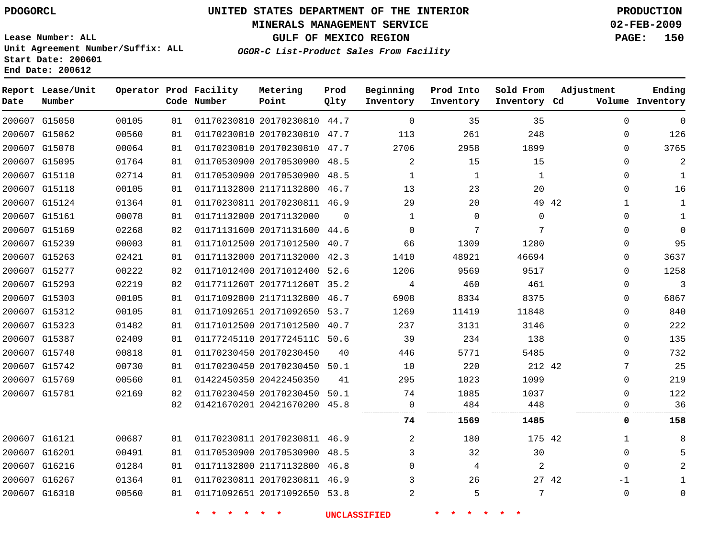#### **MINERALS MANAGEMENT SERVICE 02-FEB-2009**

**GULF OF MEXICO REGION PAGE: 150**

**Lease Number: ALL Unit Agreement Number/Suffix: ALL Start Date: 200601 End Date: 200612**

**OGOR-C List-Product Sales From Facility**

| Date | Report Lease/Unit<br>Number |       |    | Operator Prod Facility<br>Code Number | Metering<br>Point            | Prod<br>Qlty | Beginning<br>Inventory | Prod Into<br>Inventory | Sold From<br>Inventory Cd | Adjustment   | Ending<br>Volume Inventory |
|------|-----------------------------|-------|----|---------------------------------------|------------------------------|--------------|------------------------|------------------------|---------------------------|--------------|----------------------------|
|      | 200607 G15050               | 00105 | 01 |                                       | 01170230810 20170230810 44.7 |              | $\Omega$               | 35                     | 35                        | $\mathbf{0}$ | $\mathbf 0$                |
|      | 200607 G15062               | 00560 | 01 |                                       | 01170230810 20170230810 47.7 |              | 113                    | 261                    | 248                       | 0            | 126                        |
|      | 200607 G15078               | 00064 | 01 |                                       | 01170230810 20170230810 47.7 |              | 2706                   | 2958                   | 1899                      | $\Omega$     | 3765                       |
|      | 200607 G15095               | 01764 | 01 |                                       | 01170530900 20170530900 48.5 |              | $\overline{2}$         | 15                     | 15                        | $\Omega$     | $\overline{2}$             |
|      | 200607 G15110               | 02714 | 01 |                                       | 01170530900 20170530900 48.5 |              | 1                      | 1                      | 1                         | 0            | 1                          |
|      | 200607 G15118               | 00105 | 01 |                                       | 01171132800 21171132800 46.7 |              | 13                     | 23                     | 20                        | 0            | 16                         |
|      | 200607 G15124               | 01364 | 01 |                                       | 01170230811 20170230811 46.9 |              | 29                     | 20                     |                           | 49 42<br>1   | 1                          |
|      | 200607 G15161               | 00078 | 01 |                                       | 01171132000 20171132000      | $\Omega$     | 1                      | $\Omega$               | $\Omega$                  | $\Omega$     | $\mathbf{1}$               |
|      | 200607 G15169               | 02268 | 02 |                                       | 01171131600 20171131600 44.6 |              | $\mathbf 0$            | 7                      | 7                         | 0            | $\Omega$                   |
|      | 200607 G15239               | 00003 | 01 |                                       | 01171012500 20171012500 40.7 |              | 66                     | 1309                   | 1280                      | $\Omega$     | 95                         |
|      | 200607 G15263               | 02421 | 01 |                                       | 01171132000 20171132000 42.3 |              | 1410                   | 48921                  | 46694                     | 0            | 3637                       |
|      | 200607 G15277               | 00222 | 02 |                                       | 01171012400 20171012400 52.6 |              | 1206                   | 9569                   | 9517                      | $\Omega$     | 1258                       |
|      | 200607 G15293               | 02219 | 02 |                                       | 0117711260T 2017711260T      | 35.2         | 4                      | 460                    | 461                       | 0            | 3                          |
|      | 200607 G15303               | 00105 | 01 |                                       | 01171092800 21171132800 46.7 |              | 6908                   | 8334                   | 8375                      | 0            | 6867                       |
|      | 200607 G15312               | 00105 | 01 |                                       | 01171092651 20171092650 53.7 |              | 1269                   | 11419                  | 11848                     | 0            | 840                        |
|      | 200607 G15323               | 01482 | 01 |                                       | 01171012500 20171012500 40.7 |              | 237                    | 3131                   | 3146                      | $\Omega$     | 222                        |
|      | 200607 G15387               | 02409 | 01 |                                       | 01177245110 2017724511C 50.6 |              | 39                     | 234                    | 138                       | $\Omega$     | 135                        |
|      | 200607 G15740               | 00818 | 01 |                                       | 01170230450 20170230450      | 40           | 446                    | 5771                   | 5485                      | $\Omega$     | 732                        |
|      | 200607 G15742               | 00730 | 01 |                                       | 01170230450 20170230450 50.1 |              | 10                     | 220                    | 212 42                    | 7            | 25                         |
|      | 200607 G15769               | 00560 | 01 |                                       | 01422450350 20422450350      | 41           | 295                    | 1023                   | 1099                      | $\Omega$     | 219                        |
|      | 200607 G15781               | 02169 | 02 |                                       | 01170230450 20170230450 50.1 |              | 74                     | 1085                   | 1037                      | $\mathbf{0}$ | 122                        |
|      |                             |       | 02 |                                       | 01421670201 20421670200 45.8 |              | 0                      | 484                    | 448                       | 0            | 36                         |
|      |                             |       |    |                                       |                              |              | 74                     | 1569                   | 1485                      | 0            | 158                        |
|      | 200607 G16121               | 00687 | 01 |                                       | 01170230811 20170230811 46.9 |              | 2                      | 180                    | 175 42                    | 1            | 8                          |
|      | 200607 G16201               | 00491 | 01 |                                       | 01170530900 20170530900 48.5 |              | 3                      | 32                     | 30                        | 0            |                            |
|      | 200607 G16216               | 01284 | 01 |                                       | 01171132800 21171132800 46.8 |              | $\mathbf 0$            | 4                      | 2                         | 0            |                            |
|      | 200607 G16267               | 01364 | 01 |                                       | 01170230811 20170230811 46.9 |              |                        | 26                     |                           | 27 42<br>-1  |                            |
|      | 200607 G16310               | 00560 | 01 |                                       | 01171092651 20171092650 53.8 |              | $\overline{2}$         | 5                      | 7                         | $\mathbf{0}$ | $\Omega$                   |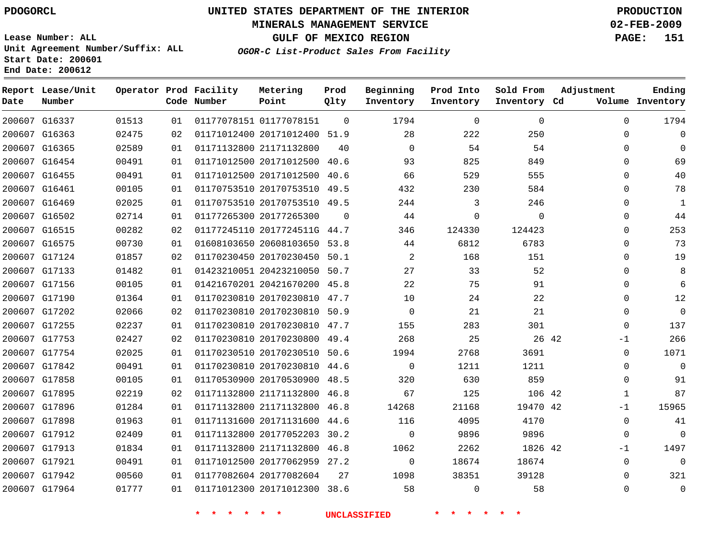#### **MINERALS MANAGEMENT SERVICE 02-FEB-2009**

**GULF OF MEXICO REGION PAGE: 151**

**Lease Number: ALL Unit Agreement Number/Suffix: ALL Start Date: 200601 End Date: 200612**

**OGOR-C List-Product Sales From Facility**

| Date | Report Lease/Unit<br>Number |       |    | Operator Prod Facility<br>Code Number | Metering<br>Point            | Prod<br>Qlty | Beginning<br>Inventory | Prod Into<br>Inventory | Sold From<br>Inventory Cd | Adjustment  | Ending<br>Volume Inventory |
|------|-----------------------------|-------|----|---------------------------------------|------------------------------|--------------|------------------------|------------------------|---------------------------|-------------|----------------------------|
|      | 200607 G16337               | 01513 | 01 |                                       | 01177078151 01177078151      | $\Omega$     | 1794                   | $\mathbf 0$            | 0                         | $\Omega$    | 1794                       |
|      | 200607 G16363               | 02475 | 02 |                                       | 01171012400 20171012400 51.9 |              | 28                     | 222                    | 250                       | 0           | $\Omega$                   |
|      | 200607 G16365               | 02589 | 01 |                                       | 01171132800 21171132800      | 40           | $\Omega$               | 54                     | 54                        | $\Omega$    | $\Omega$                   |
|      | 200607 G16454               | 00491 | 01 |                                       | 01171012500 20171012500      | 40.6         | 93                     | 825                    | 849                       | $\Omega$    | 69                         |
|      | 200607 G16455               | 00491 | 01 |                                       | 01171012500 20171012500      | 40.6         | 66                     | 529                    | 555                       | $\Omega$    | 40                         |
|      | 200607 G16461               | 00105 | 01 |                                       | 01170753510 20170753510 49.5 |              | 432                    | 230                    | 584                       | 0           | 78                         |
|      | 200607 G16469               | 02025 | 01 |                                       | 01170753510 20170753510 49.5 |              | 244                    | 3                      | 246                       | $\Omega$    | $\mathbf{1}$               |
|      | 200607 G16502               | 02714 | 01 |                                       | 01177265300 20177265300      | $\Omega$     | 44                     | 0                      | $\mathbf 0$               | 0           | 44                         |
|      | 200607 G16515               | 00282 | 02 |                                       | 01177245110 2017724511G 44.7 |              | 346                    | 124330                 | 124423                    | $\Omega$    | 253                        |
|      | 200607 G16575               | 00730 | 01 |                                       | 01608103650 20608103650 53.8 |              | 44                     | 6812                   | 6783                      | $\mathbf 0$ | 73                         |
|      | 200607 G17124               | 01857 | 02 |                                       | 01170230450 20170230450 50.1 |              | $\overline{2}$         | 168                    | 151                       | $\Omega$    | 19                         |
|      | 200607 G17133               | 01482 | 01 |                                       | 01423210051 20423210050      | 50.7         | 27                     | 33                     | 52                        | $\Omega$    | 8                          |
|      | 200607 G17156               | 00105 | 01 |                                       | 01421670201 20421670200 45.8 |              | 22                     | 75                     | 91                        | $\Omega$    | 6                          |
|      | 200607 G17190               | 01364 | 01 |                                       | 01170230810 20170230810 47.7 |              | 10                     | 24                     | 22                        | $\Omega$    | 12                         |
|      | 200607 G17202               | 02066 | 02 |                                       | 01170230810 20170230810 50.9 |              | $\Omega$               | 21                     | 21                        | $\Omega$    | $\Omega$                   |
|      | 200607 G17255               | 02237 | 01 |                                       | 01170230810 20170230810      | 47.7         | 155                    | 283                    | 301                       | $\Omega$    | 137                        |
|      | 200607 G17753               | 02427 | 02 |                                       | 01170230810 20170230800 49.4 |              | 268                    | 25                     | 26 42                     | $-1$        | 266                        |
|      | 200607 G17754               | 02025 | 01 |                                       | 01170230510 20170230510 50.6 |              | 1994                   | 2768                   | 3691                      | $\mathbf 0$ | 1071                       |
|      | 200607 G17842               | 00491 | 01 |                                       | 01170230810 20170230810 44.6 |              | $\Omega$               | 1211                   | 1211                      | $\Omega$    | $\Omega$                   |
|      | 200607 G17858               | 00105 | 01 |                                       | 01170530900 20170530900      | 48.5         | 320                    | 630                    | 859                       | $\mathbf 0$ | 91                         |
|      | 200607 G17895               | 02219 | 02 |                                       | 01171132800 21171132800 46.8 |              | 67                     | 125                    | 106 42                    | 1           | 87                         |
|      | 200607 G17896               | 01284 | 01 |                                       | 01171132800 21171132800      | 46.8         | 14268                  | 21168                  | 19470 42                  | $-1$        | 15965                      |
|      | 200607 G17898               | 01963 | 01 |                                       | 01171131600 20171131600 44.6 |              | 116                    | 4095                   | 4170                      | $\Omega$    | 41                         |
|      | 200607 G17912               | 02409 | 01 |                                       | 01171132800 20177052203      | 30.2         | $\mathbf 0$            | 9896                   | 9896                      | $\mathbf 0$ | $\Omega$                   |
|      | 200607 G17913               | 01834 | 01 |                                       | 01171132800 21171132800 46.8 |              | 1062                   | 2262                   | 1826 42                   | $-1$        | 1497                       |
|      | 200607 G17921               | 00491 | 01 |                                       | 01171012500 20177062959 27.2 |              | $\Omega$               | 18674                  | 18674                     | $\mathbf 0$ | $\Omega$                   |
|      | 200607 G17942               | 00560 | 01 |                                       | 01177082604 20177082604      | 27           | 1098                   | 38351                  | 39128                     | $\Omega$    | 321                        |
|      | 200607 G17964               | 01777 | 01 |                                       | 01171012300 20171012300 38.6 |              | 58                     | $\Omega$               | 58                        | $\Omega$    | $\mathbf{0}$               |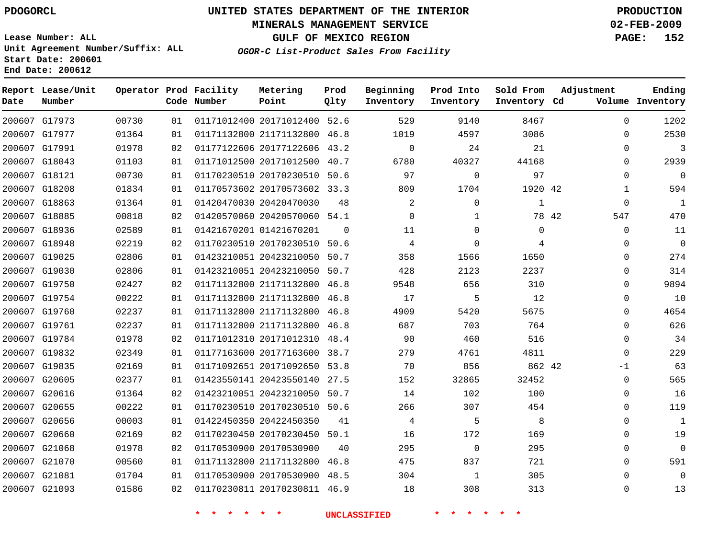#### **MINERALS MANAGEMENT SERVICE 02-FEB-2009**

**GULF OF MEXICO REGION PAGE: 152**

**Lease Number: ALL Unit Agreement Number/Suffix: ALL Start Date: 200601 End Date: 200612**

**OGOR-C List-Product Sales From Facility**

| Date | Report Lease/Unit<br>Number |       |    | Operator Prod Facility<br>Code Number | Metering<br>Point            | Prod<br>Qlty | Beginning<br>Inventory | Prod Into<br>Inventory | Sold From<br>Inventory Cd | Adjustment   | Ending<br>Volume Inventory |
|------|-----------------------------|-------|----|---------------------------------------|------------------------------|--------------|------------------------|------------------------|---------------------------|--------------|----------------------------|
|      | 200607 G17973               | 00730 | 01 |                                       | 01171012400 20171012400      | 52.6         | 529                    | 9140                   | 8467                      | $\Omega$     | 1202                       |
|      | 200607 G17977               | 01364 | 01 |                                       | 01171132800 21171132800      | 46.8         | 1019                   | 4597                   | 3086                      | 0            | 2530                       |
|      | 200607 G17991               | 01978 | 02 |                                       | 01177122606 20177122606      | 43.2         | 0                      | 24                     | 21                        | 0            | 3                          |
|      | 200607 G18043               | 01103 | 01 |                                       | 01171012500 20171012500      | 40.7         | 6780                   | 40327                  | 44168                     | 0            | 2939                       |
|      | 200607 G18121               | 00730 | 01 |                                       | 01170230510 20170230510      | 50.6         | 97                     | 0                      | 97                        | 0            | $\mathbf 0$                |
|      | 200607 G18208               | 01834 | 01 |                                       | 01170573602 20170573602 33.3 |              | 809                    | 1704                   | 1920 42                   | 1            | 594                        |
|      | 200607 G18863               | 01364 | 01 |                                       | 01420470030 20420470030      | 48           | 2                      | $\Omega$               | 1                         | 0            | $\mathbf{1}$               |
|      | 200607 G18885               | 00818 | 02 |                                       | 01420570060 20420570060 54.1 |              | $\Omega$               | $\mathbf{1}$           |                           | 78 42<br>547 | 470                        |
|      | 200607 G18936               | 02589 | 01 |                                       | 01421670201 01421670201      | 0            | 11                     | $\mathbf 0$            | $\mathbf 0$               | 0            | 11                         |
|      | 200607 G18948               | 02219 | 02 |                                       | 01170230510 20170230510      | 50.6         | 4                      | $\mathbf 0$            | 4                         | 0            | $\mathbf 0$                |
|      | 200607 G19025               | 02806 | 01 |                                       | 01423210051 20423210050      | 50.7         | 358                    | 1566                   | 1650                      | 0            | 274                        |
|      | 200607 G19030               | 02806 | 01 |                                       | 01423210051 20423210050 50.7 |              | 428                    | 2123                   | 2237                      | 0            | 314                        |
|      | 200607 G19750               | 02427 | 02 |                                       | 01171132800 21171132800 46.8 |              | 9548                   | 656                    | 310                       | 0            | 9894                       |
|      | 200607 G19754               | 00222 | 01 |                                       | 01171132800 21171132800 46.8 |              | 17                     | 5                      | 12                        | 0            | 10                         |
|      | 200607 G19760               | 02237 | 01 |                                       | 01171132800 21171132800 46.8 |              | 4909                   | 5420                   | 5675                      | 0            | 4654                       |
|      | 200607 G19761               | 02237 | 01 |                                       | 01171132800 21171132800 46.8 |              | 687                    | 703                    | 764                       | 0            | 626                        |
|      | 200607 G19784               | 01978 | 02 |                                       | 01171012310 20171012310 48.4 |              | 90                     | 460                    | 516                       | 0            | 34                         |
|      | 200607 G19832               | 02349 | 01 |                                       | 01177163600 20177163600      | 38.7         | 279                    | 4761                   | 4811                      | 0            | 229                        |
|      | 200607 G19835               | 02169 | 01 |                                       | 01171092651 20171092650 53.8 |              | 70                     | 856                    | 862 42                    | $-1$         | 63                         |
|      | 200607 G20605               | 02377 | 01 |                                       | 01423550141 20423550140      | 27.5         | 152                    | 32865                  | 32452                     | 0            | 565                        |
|      | 200607 G20616               | 01364 | 02 |                                       | 01423210051 20423210050 50.7 |              | 14                     | 102                    | 100                       | $\Omega$     | 16                         |
|      | 200607 G20655               | 00222 | 01 |                                       | 01170230510 20170230510 50.6 |              | 266                    | 307                    | 454                       | 0            | 119                        |
|      | 200607 G20656               | 00003 | 01 |                                       | 01422450350 20422450350      | 41           | 4                      | 5                      | 8                         | 0            | $\mathbf{1}$               |
|      | 200607 G20660               | 02169 | 02 |                                       | 01170230450 20170230450 50.1 |              | 16                     | 172                    | 169                       | $\Omega$     | 19                         |
|      | 200607 G21068               | 01978 | 02 |                                       | 01170530900 20170530900      | 40           | 295                    | $\mathbf 0$            | 295                       | 0            | $\mathbf 0$                |
|      | 200607 G21070               | 00560 | 01 |                                       | 01171132800 21171132800      | 46.8         | 475                    | 837                    | 721                       | 0            | 591                        |
|      | 200607 G21081               | 01704 | 01 |                                       | 01170530900 20170530900 48.5 |              | 304                    | 1                      | 305                       | $\Omega$     | $\Omega$                   |
|      | 200607 G21093               | 01586 | 02 |                                       | 01170230811 20170230811 46.9 |              | 18                     | 308                    | 313                       | $\Omega$     | 13                         |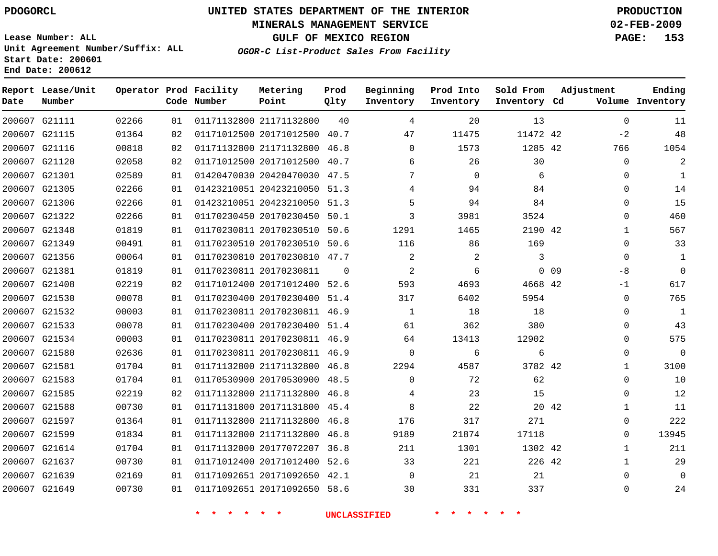#### **MINERALS MANAGEMENT SERVICE 02-FEB-2009**

**GULF OF MEXICO REGION PAGE: 153**

**Lease Number: ALL Unit Agreement Number/Suffix: ALL Start Date: 200601 End Date: 200612**

**OGOR-C List-Product Sales From Facility**

| Date | Report Lease/Unit<br>Number |       |    | Operator Prod Facility<br>Code Number | Metering<br>Point            | Prod<br>Qlty | Beginning<br>Inventory | Prod Into<br>Inventory | Sold From<br>Inventory Cd | Adjustment |              | Ending<br>Volume Inventory |
|------|-----------------------------|-------|----|---------------------------------------|------------------------------|--------------|------------------------|------------------------|---------------------------|------------|--------------|----------------------------|
|      | 200607 G21111               | 02266 | 01 |                                       | 01171132800 21171132800      | 40           | 4                      | 20                     | 13                        |            | $\mathbf{0}$ | 11                         |
|      | 200607 G21115               | 01364 | 02 |                                       | 01171012500 20171012500 40.7 |              | 47                     | 11475                  | 11472 42                  |            | $-2$         | 48                         |
|      | 200607 G21116               | 00818 | 02 |                                       | 01171132800 21171132800 46.8 |              | $\Omega$               | 1573                   | 1285 42                   |            | 766          | 1054                       |
|      | 200607 G21120               | 02058 | 02 |                                       | 01171012500 20171012500      | 40.7         | 6                      | 26                     | 30                        |            | 0            | $\overline{a}$             |
|      | 200607 G21301               | 02589 | 01 |                                       | 01420470030 20420470030 47.5 |              | 7                      | 0                      | 6                         |            | $\Omega$     | 1                          |
|      | 200607 G21305               | 02266 | 01 |                                       | 01423210051 20423210050 51.3 |              | 4                      | 94                     | 84                        |            | $\mathbf 0$  | 14                         |
|      | 200607 G21306               | 02266 | 01 |                                       | 01423210051 20423210050 51.3 |              | 5                      | 94                     | 84                        |            | $\Omega$     | 15                         |
|      | 200607 G21322               | 02266 | 01 |                                       | 01170230450 20170230450      | 50.1         | 3                      | 3981                   | 3524                      |            | $\Omega$     | 460                        |
|      | 200607 G21348               | 01819 | 01 |                                       | 01170230811 20170230510 50.6 |              | 1291                   | 1465                   | 2190 42                   |            | $\mathbf{1}$ | 567                        |
|      | 200607 G21349               | 00491 | 01 |                                       | 01170230510 20170230510 50.6 |              | 116                    | 86                     | 169                       |            | 0            | 33                         |
|      | 200607 G21356               | 00064 | 01 |                                       | 01170230810 20170230810 47.7 |              | $\overline{2}$         | 2                      | 3                         |            | $\Omega$     | 1                          |
|      | 200607 G21381               | 01819 | 01 |                                       | 01170230811 20170230811      | $\Omega$     | 2                      | 6                      |                           | $0$ 09     | $-8$         | $\Omega$                   |
|      | 200607 G21408               | 02219 | 02 |                                       | 01171012400 20171012400 52.6 |              | 593                    | 4693                   | 4668 42                   |            | $-1$         | 617                        |
|      | 200607 G21530               | 00078 | 01 |                                       | 01170230400 20170230400 51.4 |              | 317                    | 6402                   | 5954                      |            | 0            | 765                        |
|      | 200607 G21532               | 00003 | 01 |                                       | 01170230811 20170230811 46.9 |              | $\mathbf{1}$           | 18                     | 18                        |            | $\Omega$     | $\mathbf{1}$               |
|      | 200607 G21533               | 00078 | 01 |                                       | 01170230400 20170230400 51.4 |              | 61                     | 362                    | 380                       |            | $\Omega$     | 43                         |
|      | 200607 G21534               | 00003 | 01 |                                       | 01170230811 20170230811 46.9 |              | 64                     | 13413                  | 12902                     |            | $\Omega$     | 575                        |
|      | 200607 G21580               | 02636 | 01 |                                       | 01170230811 20170230811 46.9 |              | $\Omega$               | 6                      | 6                         |            | $\Omega$     | $\Omega$                   |
|      | 200607 G21581               | 01704 | 01 |                                       | 01171132800 21171132800 46.8 |              | 2294                   | 4587                   | 3782 42                   |            | 1            | 3100                       |
|      | 200607 G21583               | 01704 | 01 |                                       | 01170530900 20170530900 48.5 |              | $\Omega$               | 72                     | 62                        |            | $\mathbf 0$  | 10                         |
|      | 200607 G21585               | 02219 | 02 |                                       | 01171132800 21171132800 46.8 |              | 4                      | 23                     | 15                        |            | 0            | 12                         |
|      | 200607 G21588               | 00730 | 01 |                                       | 01171131800 20171131800 45.4 |              | 8                      | 22                     | 20 42                     |            | 1            | 11                         |
|      | 200607 G21597               | 01364 | 01 |                                       | 01171132800 21171132800 46.8 |              | 176                    | 317                    | 271                       |            | $\Omega$     | 222                        |
|      | 200607 G21599               | 01834 | 01 |                                       | 01171132800 21171132800      | 46.8         | 9189                   | 21874                  | 17118                     |            | 0            | 13945                      |
|      | 200607 G21614               | 01704 | 01 |                                       | 01171132000 20177072207 36.8 |              | 211                    | 1301                   | 1302 42                   |            | 1            | 211                        |
|      | 200607 G21637               | 00730 | 01 |                                       | 01171012400 20171012400      | 52.6         | 33                     | 221                    | 226 42                    |            | 1            | 29                         |
|      | 200607 G21639               | 02169 | 01 |                                       | 01171092651 20171092650 42.1 |              | $\Omega$               | 21                     | 21                        |            | $\Omega$     | $\Omega$                   |
|      | 200607 G21649               | 00730 | 01 |                                       | 01171092651 20171092650 58.6 |              | 30                     | 331                    | 337                       |            | $\Omega$     | 24                         |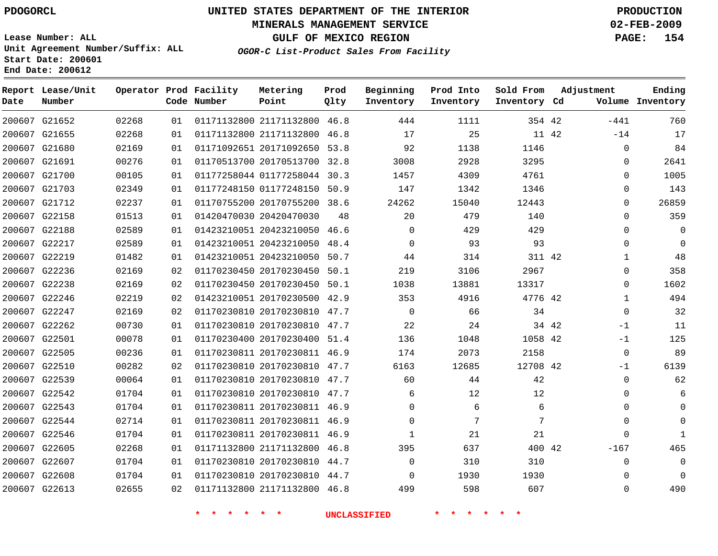#### **MINERALS MANAGEMENT SERVICE 02-FEB-2009**

**GULF OF MEXICO REGION PAGE: 154**

**OGOR-C List-Product Sales From Facility**

**Lease Number: ALL Unit Agreement Number/Suffix: ALL Start Date: 200601 End Date: 200612**

| Date | Report Lease/Unit<br>Number |       |    | Operator Prod Facility<br>Code Number | Metering<br>Point            | Prod<br>Qlty | Beginning<br>Inventory | Prod Into<br>Inventory | Sold From<br>Inventory Cd | Adjustment |              | Ending<br>Volume Inventory |
|------|-----------------------------|-------|----|---------------------------------------|------------------------------|--------------|------------------------|------------------------|---------------------------|------------|--------------|----------------------------|
|      | 200607 G21652               | 02268 | 01 |                                       | 01171132800 21171132800 46.8 |              | 444                    | 1111                   | 354 42                    |            | $-441$       | 760                        |
|      | 200607 G21655               | 02268 | 01 |                                       | 01171132800 21171132800      | 46.8         | 17                     | 25                     | 11 42                     |            | $-14$        | 17                         |
|      | 200607 G21680               | 02169 | 01 |                                       | 01171092651 20171092650 53.8 |              | 92                     | 1138                   | 1146                      |            | 0            | 84                         |
|      | 200607 G21691               | 00276 | 01 |                                       | 01170513700 20170513700 32.8 |              | 3008                   | 2928                   | 3295                      |            | $\mathbf{0}$ | 2641                       |
|      | 200607 G21700               | 00105 | 01 |                                       | 01177258044 01177258044 30.3 |              | 1457                   | 4309                   | 4761                      |            | $\mathbf{0}$ | 1005                       |
|      | 200607 G21703               | 02349 | 01 |                                       | 01177248150 01177248150 50.9 |              | 147                    | 1342                   | 1346                      |            | $\mathbf{0}$ | 143                        |
|      | 200607 G21712               | 02237 | 01 |                                       | 01170755200 20170755200 38.6 |              | 24262                  | 15040                  | 12443                     |            | $\mathbf{0}$ | 26859                      |
|      | 200607 G22158               | 01513 | 01 |                                       | 01420470030 20420470030      | 48           | 20                     | 479                    | 140                       |            | $\mathbf{0}$ | 359                        |
|      | 200607 G22188               | 02589 | 01 |                                       | 01423210051 20423210050 46.6 |              | $\Omega$               | 429                    | 429                       |            | $\mathbf{0}$ | $\Omega$                   |
|      | 200607 G22217               | 02589 | 01 |                                       | 01423210051 20423210050 48.4 |              | $\Omega$               | 93                     | 93                        |            | $\Omega$     | $\Omega$                   |
|      | 200607 G22219               | 01482 | 01 |                                       | 01423210051 20423210050      | 50.7         | 44                     | 314                    | 311 42                    |            | $\mathbf{1}$ | 48                         |
|      | 200607 G22236               | 02169 | 02 |                                       | 01170230450 20170230450 50.1 |              | 219                    | 3106                   | 2967                      |            | $\mathbf 0$  | 358                        |
|      | 200607 G22238               | 02169 | 02 |                                       | 01170230450 20170230450 50.1 |              | 1038                   | 13881                  | 13317                     |            | $\mathbf 0$  | 1602                       |
|      | 200607 G22246               | 02219 | 02 |                                       | 01423210051 20170230500 42.9 |              | 353                    | 4916                   | 4776 42                   |            | $\mathbf 1$  | 494                        |
|      | 200607 G22247               | 02169 | 02 |                                       | 01170230810 20170230810 47.7 |              | $\Omega$               | 66                     | 34                        |            | $\mathbf 0$  | 32                         |
|      | 200607 G22262               | 00730 | 01 |                                       | 01170230810 20170230810 47.7 |              | 22                     | 24                     | 34 42                     |            | $-1$         | 11                         |
|      | 200607 G22501               | 00078 | 01 |                                       | 01170230400 20170230400      | 51.4         | 136                    | 1048                   | 1058 42                   |            | $-1$         | 125                        |
|      | 200607 G22505               | 00236 | 01 |                                       | 01170230811 20170230811 46.9 |              | 174                    | 2073                   | 2158                      |            | $\mathbf 0$  | 89                         |
|      | 200607 G22510               | 00282 | 02 |                                       | 01170230810 20170230810 47.7 |              | 6163                   | 12685                  | 12708 42                  |            | $-1$         | 6139                       |
|      | 200607 G22539               | 00064 | 01 |                                       | 01170230810 20170230810 47.7 |              | 60                     | 44                     | 42                        |            | $\mathbf 0$  | 62                         |
|      | 200607 G22542               | 01704 | 01 |                                       | 01170230810 20170230810 47.7 |              | 6                      | 12                     | 12                        |            | 0            | 6                          |
|      | 200607 G22543               | 01704 | 01 |                                       | 01170230811 20170230811 46.9 |              | $\Omega$               | 6                      | 6                         |            | $\Omega$     | $\Omega$                   |
|      | 200607 G22544               | 02714 | 01 |                                       | 01170230811 20170230811 46.9 |              | $\Omega$               | 7                      | 7                         |            | $\Omega$     | $\Omega$                   |
|      | 200607 G22546               | 01704 | 01 |                                       | 01170230811 20170230811 46.9 |              | $\mathbf{1}$           | 21                     | 21                        |            | $\Omega$     | $\mathbf{1}$               |
|      | 200607 G22605               | 02268 | 01 |                                       | 01171132800 21171132800 46.8 |              | 395                    | 637                    | 400 42                    |            | $-167$       | 465                        |
|      | 200607 G22607               | 01704 | 01 |                                       | 01170230810 20170230810 44.7 |              | $\Omega$               | 310                    | 310                       |            | $\mathbf 0$  | $\Omega$                   |
|      | 200607 G22608               | 01704 | 01 |                                       | 01170230810 20170230810 44.7 |              | $\mathbf 0$            | 1930                   | 1930                      |            | $\mathbf 0$  | $\Omega$                   |
|      | 200607 G22613               | 02655 | 02 |                                       | 01171132800 21171132800 46.8 |              | 499                    | 598                    | 607                       |            | $\mathbf 0$  | 490                        |
|      |                             |       |    |                                       |                              |              |                        |                        |                           |            |              |                            |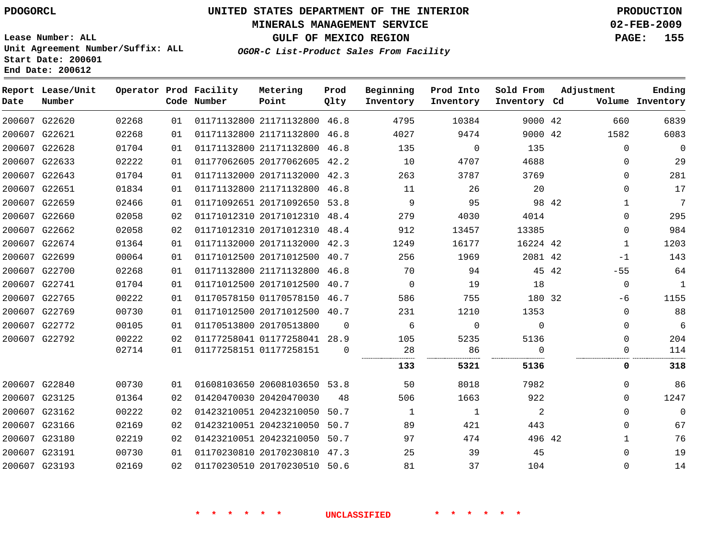#### **MINERALS MANAGEMENT SERVICE 02-FEB-2009**

**GULF OF MEXICO REGION PAGE: 155**

**Lease Number: ALL Unit Agreement Number/Suffix: ALL Start Date: 200601 End Date: 200612**

**OGOR-C List-Product Sales From Facility**

| Date | Report Lease/Unit<br>Number |       |    | Operator Prod Facility<br>Code Number | Metering<br>Point            | Prod<br>Qlty | Beginning<br>Inventory | Prod Into<br>Inventory | Sold From<br>Inventory Cd      | Adjustment |              | Ending<br>Volume Inventory |
|------|-----------------------------|-------|----|---------------------------------------|------------------------------|--------------|------------------------|------------------------|--------------------------------|------------|--------------|----------------------------|
|      | 200607 G22620               | 02268 | 01 |                                       | 01171132800 21171132800 46.8 |              | 4795                   | 10384                  | 9000 42                        |            | 660          | 6839                       |
|      | 200607 G22621               | 02268 | 01 |                                       | 01171132800 21171132800 46.8 |              | 4027                   | 9474                   | 9000 42                        |            | 1582         | 6083                       |
|      | 200607 G22628               | 01704 | 01 |                                       | 01171132800 21171132800 46.8 |              | 135                    | $\mathbf 0$            | 135                            |            | $\mathbf 0$  | $\mathbf 0$                |
|      | 200607 G22633               | 02222 | 01 |                                       | 01177062605 20177062605 42.2 |              | 10                     | 4707                   | 4688                           |            | $\mathbf{0}$ | 29                         |
|      | 200607 G22643               | 01704 | 01 |                                       | 01171132000 20171132000 42.3 |              | 263                    | 3787                   | 3769                           |            | $\Omega$     | 281                        |
|      | 200607 G22651               | 01834 | 01 |                                       | 01171132800 21171132800 46.8 |              | 11                     | 26                     | 20                             |            | $\Omega$     | 17                         |
|      | 200607 G22659               | 02466 | 01 |                                       | 01171092651 20171092650 53.8 |              | 9                      | 95                     | 98 42                          |            | $\mathbf{1}$ | 7                          |
|      | 200607 G22660               | 02058 | 02 |                                       | 01171012310 20171012310 48.4 |              | 279                    | 4030                   | 4014                           |            | $\Omega$     | 295                        |
|      | 200607 G22662               | 02058 | 02 |                                       | 01171012310 20171012310 48.4 |              | 912                    | 13457                  | 13385                          |            | $\Omega$     | 984                        |
|      | 200607 G22674               | 01364 | 01 |                                       | 01171132000 20171132000 42.3 |              | 1249                   | 16177                  | 16224 42                       |            | $\mathbf{1}$ | 1203                       |
|      | 200607 G22699               | 00064 | 01 |                                       | 01171012500 20171012500 40.7 |              | 256                    | 1969                   | 2081 42                        |            | $-1$         | 143                        |
|      | 200607 G22700               | 02268 | 01 |                                       | 01171132800 21171132800      | 46.8         | 70                     | 94                     | 45 42                          |            | $-55$        | 64                         |
|      | 200607 G22741               | 01704 | 01 |                                       | 01171012500 20171012500 40.7 |              | $\Omega$               | 19                     | 18                             |            | $\mathbf 0$  | $\mathbf{1}$               |
|      | 200607 G22765               | 00222 | 01 |                                       | 01170578150 01170578150 46.7 |              | 586                    | 755                    | 180 32                         |            | -6           | 1155                       |
|      | 200607 G22769               | 00730 | 01 |                                       | 01171012500 20171012500 40.7 |              | 231                    | 1210                   | 1353                           |            | $\mathbf 0$  | 88                         |
|      | 200607 G22772               | 00105 | 01 |                                       | 01170513800 20170513800      | $\Omega$     | 6                      | $\Omega$               | $\Omega$                       |            | $\Omega$     | 6                          |
|      | 200607 G22792               | 00222 | 02 |                                       | 01177258041 01177258041 28.9 |              | 105                    | 5235                   | 5136                           |            | $\Omega$     | 204                        |
|      |                             | 02714 | 01 |                                       | 01177258151 01177258151      | $\Omega$     | 28                     | 86<br>                 | $\Omega$<br>.<br>------------- |            | $\Omega$     | 114                        |
|      |                             |       |    |                                       |                              |              | 133                    | 5321                   | 5136                           |            | 0            | 318                        |
|      | 200607 G22840               | 00730 | 01 |                                       | 01608103650 20608103650 53.8 |              | 50                     | 8018                   | 7982                           |            | $\Omega$     | 86                         |
|      | 200607 G23125               | 01364 | 02 |                                       | 01420470030 20420470030      | 48           | 506                    | 1663                   | 922                            |            | $\Omega$     | 1247                       |
|      | 200607 G23162               | 00222 | 02 |                                       | 01423210051 20423210050 50.7 |              | 1                      | 1                      | 2                              |            | $\Omega$     | $\Omega$                   |
|      | 200607 G23166               | 02169 | 02 |                                       | 01423210051 20423210050      | 50.7         | 89                     | 421                    | 443                            |            | $\Omega$     | 67                         |
|      | 200607 G23180               | 02219 | 02 |                                       | 01423210051 20423210050 50.7 |              | 97                     | 474                    | 496 42                         |            | $\mathbf{1}$ | 76                         |
|      | 200607 G23191               | 00730 | 01 |                                       | 01170230810 20170230810 47.3 |              | 25                     | 39                     | 45                             |            | $\Omega$     | 19                         |
|      | 200607 G23193               | 02169 | 02 |                                       | 01170230510 20170230510 50.6 |              | 81                     | 37                     | 104                            |            | $\Omega$     | 14                         |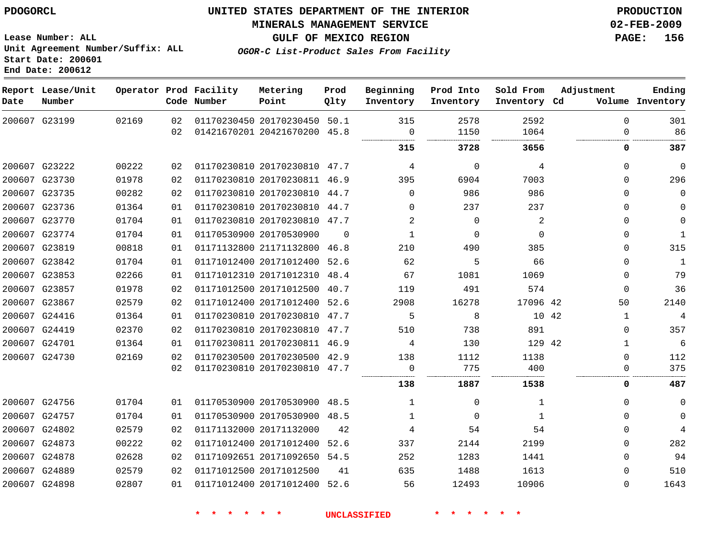#### **MINERALS MANAGEMENT SERVICE 02-FEB-2009**

**GULF OF MEXICO REGION PAGE: 156 OGOR-C List-Product Sales From Facility**

**Lease Number: ALL Unit Agreement Number/Suffix: ALL Start Date: 200601 End Date: 200612**

| Date | Report Lease/Unit<br>Number |       |          | Operator Prod Facility<br>Code Number | Metering<br>Point                                            | Prod<br>Qlty | Beginning<br>Inventory | Prod Into<br>Inventory | Sold From<br>Inventory Cd | Adjustment              | Ending<br>Volume Inventory |
|------|-----------------------------|-------|----------|---------------------------------------|--------------------------------------------------------------|--------------|------------------------|------------------------|---------------------------|-------------------------|----------------------------|
|      | 200607 G23199               | 02169 | 02<br>02 |                                       | 01170230450 20170230450 50.1<br>01421670201 20421670200 45.8 |              | 315<br>$\mathbf 0$     | 2578<br>1150           | 2592<br>1064              | $\mathbf 0$<br>$\Omega$ | 301<br>86                  |
|      |                             |       |          |                                       |                                                              |              |                        |                        |                           |                         |                            |
|      |                             |       |          |                                       |                                                              |              | 315                    | 3728                   | 3656                      | 0                       | 387                        |
|      | 200607 G23222               | 00222 | 02       |                                       | 01170230810 20170230810 47.7                                 |              | 4                      | 0                      | 4                         | 0                       | $\mathbf 0$                |
|      | 200607 G23730               | 01978 | 02       |                                       | 01170230810 20170230811 46.9                                 |              | 395                    | 6904                   | 7003                      | 0                       | 296                        |
|      | 200607 G23735               | 00282 | 02       |                                       | 01170230810 20170230810 44.7                                 |              | $\Omega$               | 986                    | 986                       | 0                       | $\mathbf 0$                |
|      | 200607 G23736               | 01364 | 01       |                                       | 01170230810 20170230810 44.7                                 |              | $\Omega$               | 237                    | 237                       | 0                       | 0                          |
|      | 200607 G23770               | 01704 | 01       |                                       | 01170230810 20170230810 47.7                                 |              | 2                      | $\mathbf 0$            | 2                         | 0                       | $\mathbf 0$                |
|      | 200607 G23774               | 01704 | 01       |                                       | 01170530900 20170530900                                      | $\Omega$     | 1                      | 0                      | $\Omega$                  | 0                       | 1                          |
|      | 200607 G23819               | 00818 | 01       |                                       | 01171132800 21171132800                                      | 46.8         | 210                    | 490                    | 385                       | 0                       | 315                        |
|      | 200607 G23842               | 01704 | 01       |                                       | 01171012400 20171012400                                      | 52.6         | 62                     | 5                      | 66                        | 0                       | 1                          |
|      | 200607 G23853               | 02266 | 01       |                                       | 01171012310 20171012310                                      | 48.4         | 67                     | 1081                   | 1069                      | 0                       | 79                         |
|      | 200607 G23857               | 01978 | 02       |                                       | 01171012500 20171012500                                      | 40.7         | 119                    | 491                    | 574                       | 0                       | 36                         |
|      | 200607 G23867               | 02579 | 02       |                                       | 01171012400 20171012400 52.6                                 |              | 2908                   | 16278                  | 17096 42                  | 50                      | 2140                       |
|      | 200607 G24416               | 01364 | 01       |                                       | 01170230810 20170230810 47.7                                 |              | 5                      | 8                      | 10 42                     | $\mathbf{1}$            | 4                          |
|      | 200607 G24419               | 02370 | 02       |                                       | 01170230810 20170230810 47.7                                 |              | 510                    | 738                    | 891                       | 0                       | 357                        |
|      | 200607 G24701               | 01364 | 01       |                                       | 01170230811 20170230811 46.9                                 |              | 4                      | 130                    | 129 42                    | $\mathbf 1$             | $\epsilon$                 |
|      | 200607 G24730               | 02169 | 02       |                                       | 01170230500 20170230500 42.9                                 |              | 138                    | 1112                   | 1138                      | 0                       | 112                        |
|      |                             |       | 02       |                                       | 01170230810 20170230810 47.7                                 |              | 0                      | 775                    | 400                       | $\Omega$                | 375                        |
|      |                             |       |          |                                       |                                                              |              | 138                    | 1887                   | 1538                      | 0                       | 487                        |
|      | 200607 G24756               | 01704 | 01       |                                       | 01170530900 20170530900 48.5                                 |              | 1                      | $\Omega$               | 1                         | 0                       | 0                          |
|      | 200607 G24757               | 01704 | 01       |                                       | 01170530900 20170530900 48.5                                 |              | 1                      | 0                      | 1                         | 0                       | 0                          |
|      | 200607 G24802               | 02579 | 02       |                                       | 01171132000 20171132000                                      | 42           | 4                      | 54                     | 54                        | 0                       | 4                          |
|      | 200607 G24873               | 00222 | 02       |                                       | 01171012400 20171012400                                      | 52.6         | 337                    | 2144                   | 2199                      | 0                       | 282                        |
|      | 200607 G24878               | 02628 | 02       |                                       | 01171092651 20171092650 54.5                                 |              | 252                    | 1283                   | 1441                      | 0                       | 94                         |
|      | 200607 G24889               | 02579 | 02       |                                       | 01171012500 20171012500                                      | 41           | 635                    | 1488                   | 1613                      | 0                       | 510                        |
|      | 200607 G24898               | 02807 | 01       |                                       | 01171012400 20171012400                                      | 52.6         | 56                     | 12493                  | 10906                     | 0                       | 1643                       |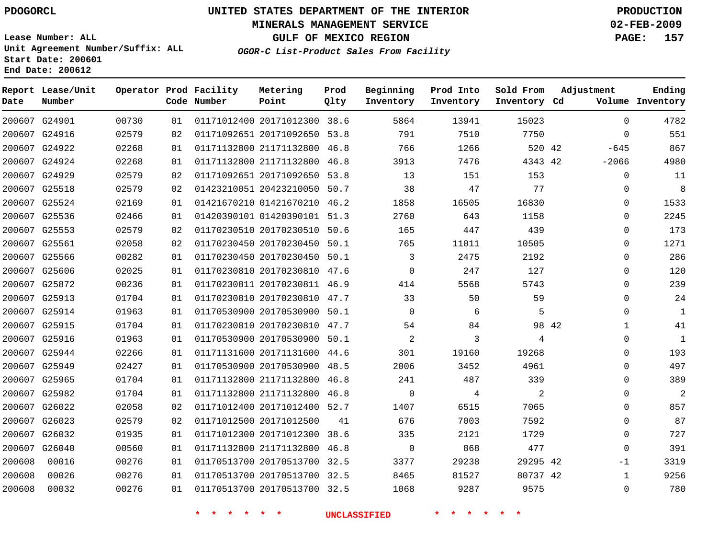#### **MINERALS MANAGEMENT SERVICE 02-FEB-2009**

**GULF OF MEXICO REGION PAGE: 157**

**Lease Number: ALL Unit Agreement Number/Suffix: ALL Start Date: 200601 End Date: 200612**

**OGOR-C List-Product Sales From Facility**

| Date   | Report Lease/Unit<br>Number |       |    | Operator Prod Facility<br>Code Number | Metering<br>Point            | Prod<br>Qlty | Beginning<br>Inventory | Prod Into<br>Inventory | Sold From<br>Inventory Cd | Adjustment            | Ending<br>Volume Inventory |
|--------|-----------------------------|-------|----|---------------------------------------|------------------------------|--------------|------------------------|------------------------|---------------------------|-----------------------|----------------------------|
|        | 200607 G24901               | 00730 | 01 |                                       | 01171012400 20171012300 38.6 |              | 5864                   | 13941                  | 15023                     | $\Omega$              | 4782                       |
|        | 200607 G24916               | 02579 | 02 |                                       | 01171092651 20171092650 53.8 |              | 791                    | 7510                   | 7750                      | $\mathbf 0$           | 551                        |
|        | 200607 G24922               | 02268 | 01 |                                       | 01171132800 21171132800 46.8 |              | 766                    | 1266                   | 520 42                    | $-645$                | 867                        |
|        | 200607 G24924               | 02268 | 01 |                                       | 01171132800 21171132800 46.8 |              | 3913                   | 7476                   | 4343 42                   | $-2066$               | 4980                       |
|        | 200607 G24929               | 02579 | 02 |                                       | 01171092651 20171092650 53.8 |              | 13                     | 151                    | 153                       | 0                     | 11                         |
|        | 200607 G25518               | 02579 | 02 |                                       | 01423210051 20423210050 50.7 |              | 38                     | 47                     | 77                        | 0                     | 8                          |
|        | 200607 G25524               | 02169 | 01 |                                       | 01421670210 01421670210 46.2 |              | 1858                   | 16505                  | 16830                     | $\Omega$              | 1533                       |
|        | 200607 G25536               | 02466 | 01 |                                       | 01420390101 01420390101 51.3 |              | 2760                   | 643                    | 1158                      | $\mathbf 0$           | 2245                       |
|        | 200607 G25553               | 02579 | 02 |                                       | 01170230510 20170230510 50.6 |              | 165                    | 447                    | 439                       | 0                     | 173                        |
|        | 200607 G25561               | 02058 | 02 |                                       | 01170230450 20170230450 50.1 |              | 765                    | 11011                  | 10505                     | $\Omega$              | 1271                       |
|        | 200607 G25566               | 00282 | 01 |                                       | 01170230450 20170230450 50.1 |              | 3                      | 2475                   | 2192                      | $\mathbf 0$           | 286                        |
|        | 200607 G25606               | 02025 | 01 |                                       | 01170230810 20170230810 47.6 |              | $\mathbf 0$            | 247                    | 127                       | $\mathbf 0$           | 120                        |
|        | 200607 G25872               | 00236 | 01 |                                       | 01170230811 20170230811 46.9 |              | 414                    | 5568                   | 5743                      | $\Omega$              | 239                        |
|        | 200607 G25913               | 01704 | 01 |                                       | 01170230810 20170230810 47.7 |              | 33                     | 50                     | 59                        | $\mathbf 0$           | 24                         |
|        | 200607 G25914               | 01963 | 01 |                                       | 01170530900 20170530900 50.1 |              | $\Omega$               | 6                      | 5                         | $\Omega$              | $\mathbf{1}$               |
|        | 200607 G25915               | 01704 | 01 |                                       | 01170230810 20170230810 47.7 |              | 54                     | 84                     |                           | 98 42<br>$\mathbf{1}$ | 41                         |
|        | 200607 G25916               | 01963 | 01 |                                       | 01170530900 20170530900 50.1 |              | 2                      | 3                      | 4                         | $\Omega$              | $\mathbf{1}$               |
|        | 200607 G25944               | 02266 | 01 |                                       | 01171131600 20171131600 44.6 |              | 301                    | 19160                  | 19268                     | $\mathbf 0$           | 193                        |
|        | 200607 G25949               | 02427 | 01 |                                       | 01170530900 20170530900 48.5 |              | 2006                   | 3452                   | 4961                      | $\Omega$              | 497                        |
|        | 200607 G25965               | 01704 | 01 |                                       | 01171132800 21171132800 46.8 |              | 241                    | 487                    | 339                       | $\Omega$              | 389                        |
|        | 200607 G25982               | 01704 | 01 |                                       | 01171132800 21171132800 46.8 |              | $\Omega$               | 4                      | 2                         | $\Omega$              | $\overline{2}$             |
|        | 200607 G26022               | 02058 | 02 |                                       | 01171012400 20171012400 52.7 |              | 1407                   | 6515                   | 7065                      | $\Omega$              | 857                        |
|        | 200607 G26023               | 02579 | 02 |                                       | 01171012500 20171012500      | 41           | 676                    | 7003                   | 7592                      | $\mathbf 0$           | 87                         |
|        | 200607 G26032               | 01935 | 01 |                                       | 01171012300 20171012300      | 38.6         | 335                    | 2121                   | 1729                      | $\Omega$              | 727                        |
|        | 200607 G26040               | 00560 | 01 |                                       | 01171132800 21171132800 46.8 |              | $\mathbf 0$            | 868                    | 477                       | $\Omega$              | 391                        |
| 200608 | 00016                       | 00276 | 01 |                                       | 01170513700 20170513700      | 32.5         | 3377                   | 29238                  | 29295 42                  | $-1$                  | 3319                       |
| 200608 | 00026                       | 00276 | 01 |                                       | 01170513700 20170513700 32.5 |              | 8465                   | 81527                  | 80737 42                  | 1                     | 9256                       |
| 200608 | 00032                       | 00276 | 01 |                                       | 01170513700 20170513700 32.5 |              | 1068                   | 9287                   | 9575                      | $\mathbf 0$           | 780                        |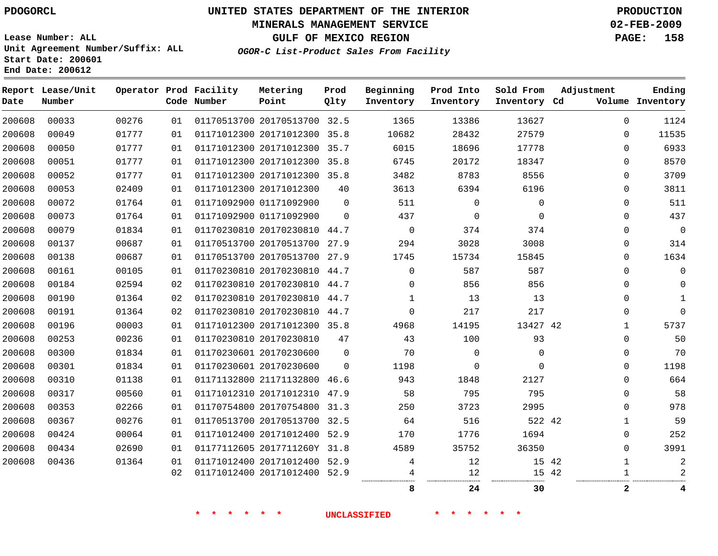#### **MINERALS MANAGEMENT SERVICE 02-FEB-2009**

**GULF OF MEXICO REGION PAGE: 158**

**Lease Number: ALL Unit Agreement Number/Suffix: ALL Start Date: 200601 End Date: 200612**

**OGOR-C List-Product Sales From Facility**

| Date   | Report Lease/Unit<br>Number |       |    | Operator Prod Facility<br>Code Number | Metering<br>Point            | Prod<br>Qlty | Beginning<br>Inventory | Prod Into<br>Inventory | Sold From<br>Inventory Cd | Adjustment     | Ending<br>Volume Inventory |
|--------|-----------------------------|-------|----|---------------------------------------|------------------------------|--------------|------------------------|------------------------|---------------------------|----------------|----------------------------|
| 200608 | 00033                       | 00276 | 01 |                                       | 01170513700 20170513700 32.5 |              | 1365                   | 13386                  | 13627                     | $\mathbf{0}$   | 1124                       |
| 200608 | 00049                       | 01777 | 01 |                                       | 01171012300 20171012300 35.8 |              | 10682                  | 28432                  | 27579                     | 0              | 11535                      |
| 200608 | 00050                       | 01777 | 01 |                                       | 01171012300 20171012300 35.7 |              | 6015                   | 18696                  | 17778                     | 0              | 6933                       |
| 200608 | 00051                       | 01777 | 01 |                                       | 01171012300 20171012300 35.8 |              | 6745                   | 20172                  | 18347                     | 0              | 8570                       |
| 200608 | 00052                       | 01777 | 01 |                                       | 01171012300 20171012300 35.8 |              | 3482                   | 8783                   | 8556                      | 0              | 3709                       |
| 200608 | 00053                       | 02409 | 01 |                                       | 01171012300 20171012300      | 40           | 3613                   | 6394                   | 6196                      | 0              | 3811                       |
| 200608 | 00072                       | 01764 | 01 |                                       | 01171092900 01171092900      | $\mathbf{0}$ | 511                    | $\Omega$               | $\mathbf 0$               | 0              | 511                        |
| 200608 | 00073                       | 01764 | 01 |                                       | 01171092900 01171092900      | $\Omega$     | 437                    | $\mathbf 0$            | $\mathbf 0$               | 0              | 437                        |
| 200608 | 00079                       | 01834 | 01 |                                       | 01170230810 20170230810 44.7 |              | $\mathbf 0$            | 374                    | 374                       | 0              | $\mathbf 0$                |
| 200608 | 00137                       | 00687 | 01 |                                       | 01170513700 20170513700 27.9 |              | 294                    | 3028                   | 3008                      | 0              | 314                        |
| 200608 | 00138                       | 00687 | 01 |                                       | 01170513700 20170513700 27.9 |              | 1745                   | 15734                  | 15845                     | 0              | 1634                       |
| 200608 | 00161                       | 00105 | 01 |                                       | 01170230810 20170230810 44.7 |              | $\mathbf{0}$           | 587                    | 587                       | $\Omega$       | $\Omega$                   |
| 200608 | 00184                       | 02594 | 02 |                                       | 01170230810 20170230810 44.7 |              | $\Omega$               | 856                    | 856                       | $\Omega$       | $\Omega$                   |
| 200608 | 00190                       | 01364 | 02 |                                       | 01170230810 20170230810 44.7 |              | 1                      | 13                     | 13                        | 0              |                            |
| 200608 | 00191                       | 01364 | 02 |                                       | 01170230810 20170230810 44.7 |              | $\mathbf 0$            | 217                    | 217                       | 0              | $\Omega$                   |
| 200608 | 00196                       | 00003 | 01 |                                       | 01171012300 20171012300 35.8 |              | 4968                   | 14195                  | 13427 42                  | 1              | 5737                       |
| 200608 | 00253                       | 00236 | 01 |                                       | 01170230810 20170230810      | 47           | 43                     | 100                    | 93                        | 0              | 50                         |
| 200608 | 00300                       | 01834 | 01 |                                       | 01170230601 20170230600      | $\Omega$     | 70                     | $\mathbf 0$            | $\mathbf 0$               | 0              | 70                         |
| 200608 | 00301                       | 01834 | 01 |                                       | 01170230601 20170230600      | $\Omega$     | 1198                   | $\mathbf 0$            | $\Omega$                  | 0              | 1198                       |
| 200608 | 00310                       | 01138 | 01 |                                       | 01171132800 21171132800 46.6 |              | 943                    | 1848                   | 2127                      | 0              | 664                        |
| 200608 | 00317                       | 00560 | 01 |                                       | 01171012310 20171012310 47.9 |              | 58                     | 795                    | 795                       | 0              | 58                         |
| 200608 | 00353                       | 02266 | 01 |                                       | 01170754800 20170754800 31.3 |              | 250                    | 3723                   | 2995                      | 0              | 978                        |
| 200608 | 00367                       | 00276 | 01 |                                       | 01170513700 20170513700 32.5 |              | 64                     | 516                    | 522 42                    | $\mathbf{1}$   | 59                         |
| 200608 | 00424                       | 00064 | 01 |                                       | 01171012400 20171012400 52.9 |              | 170                    | 1776                   | 1694                      | 0              | 252                        |
| 200608 | 00434                       | 02690 | 01 |                                       | 01177112605 2017711260Y 31.8 |              | 4589                   | 35752                  | 36350                     | $\Omega$       | 3991                       |
| 200608 | 00436                       | 01364 | 01 |                                       | 01171012400 20171012400 52.9 |              | 4                      | 12                     | 15 42                     | $\mathbf{1}$   | 2                          |
|        |                             |       | 02 |                                       | 01171012400 20171012400 52.9 |              |                        | 12                     | 15 42                     | $\mathbf{1}$   |                            |
|        |                             |       |    |                                       |                              |              | 8                      | 24                     | 30                        | $\overline{2}$ | 4                          |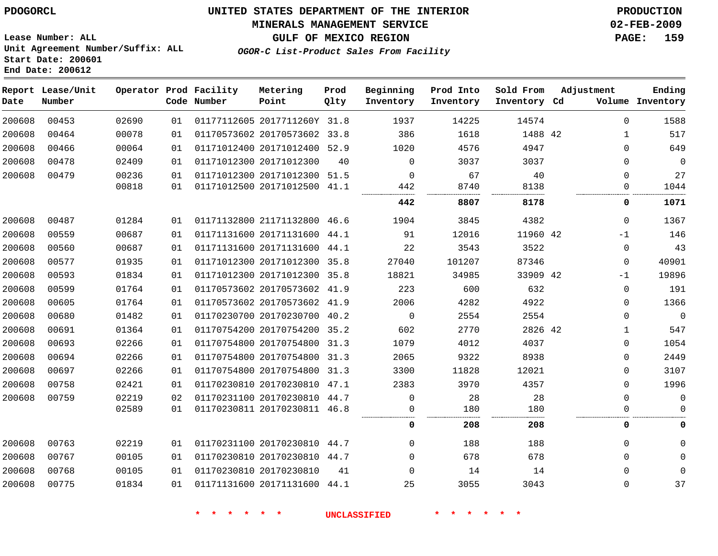#### **MINERALS MANAGEMENT SERVICE 02-FEB-2009**

**GULF OF MEXICO REGION PAGE: 159**

**Lease Number: ALL Unit Agreement Number/Suffix: ALL Start Date: 200601 End Date: 200612**

**OGOR-C List-Product Sales From Facility**

| Date   | Report Lease/Unit<br>Number |       |    | Operator Prod Facility<br>Code Number | Metering<br>Point            | Prod<br>Qlty | Beginning<br>Inventory | Prod Into<br>Inventory | Sold From<br>Inventory Cd | Adjustment |             | Ending<br>Volume Inventory |
|--------|-----------------------------|-------|----|---------------------------------------|------------------------------|--------------|------------------------|------------------------|---------------------------|------------|-------------|----------------------------|
| 200608 | 00453                       | 02690 | 01 |                                       | 01177112605 2017711260Y 31.8 |              | 1937                   | 14225                  | 14574                     |            | $\Omega$    | 1588                       |
| 200608 | 00464                       | 00078 | 01 |                                       | 01170573602 20170573602 33.8 |              | 386                    | 1618                   | 1488 42                   |            | 1           | 517                        |
| 200608 | 00466                       | 00064 | 01 |                                       | 01171012400 20171012400 52.9 |              | 1020                   | 4576                   | 4947                      |            | $\Omega$    | 649                        |
| 200608 | 00478                       | 02409 | 01 |                                       | 01171012300 20171012300      | 40           | $\mathbf 0$            | 3037                   | 3037                      |            | $\Omega$    | $\mathbf 0$                |
| 200608 | 00479                       | 00236 | 01 |                                       | 01171012300 20171012300 51.5 |              | $\Omega$               | 67                     | 40                        |            | $\Omega$    | 27                         |
|        |                             | 00818 | 01 |                                       | 01171012500 20171012500 41.1 |              | 442                    | 8740                   | 8138                      |            | 0           | 1044                       |
|        |                             |       |    |                                       |                              |              | 442                    | 8807                   | 8178                      |            | 0           | 1071                       |
| 200608 | 00487                       | 01284 | 01 |                                       | 01171132800 21171132800 46.6 |              | 1904                   | 3845                   | 4382                      |            | $\Omega$    | 1367                       |
| 200608 | 00559                       | 00687 | 01 |                                       | 01171131600 20171131600 44.1 |              | 91                     | 12016                  | 11960 42                  |            | $-1$        | 146                        |
| 200608 | 00560                       | 00687 | 01 |                                       | 01171131600 20171131600 44.1 |              | 22                     | 3543                   | 3522                      |            | $\mathbf 0$ | 43                         |
| 200608 | 00577                       | 01935 | 01 |                                       | 01171012300 20171012300 35.8 |              | 27040                  | 101207                 | 87346                     |            | $\Omega$    | 40901                      |
| 200608 | 00593                       | 01834 | 01 |                                       | 01171012300 20171012300 35.8 |              | 18821                  | 34985                  | 33909 42                  |            | $-1$        | 19896                      |
| 200608 | 00599                       | 01764 | 01 |                                       | 01170573602 20170573602 41.9 |              | 223                    | 600                    | 632                       |            | $\mathbf 0$ | 191                        |
| 200608 | 00605                       | 01764 | 01 |                                       | 01170573602 20170573602 41.9 |              | 2006                   | 4282                   | 4922                      |            | $\mathbf 0$ | 1366                       |
| 200608 | 00680                       | 01482 | 01 |                                       | 01170230700 20170230700 40.2 |              | $\mathbf 0$            | 2554                   | 2554                      |            | $\Omega$    | $\mathbf 0$                |
| 200608 | 00691                       | 01364 | 01 |                                       | 01170754200 20170754200 35.2 |              | 602                    | 2770                   | 2826 42                   |            | 1           | 547                        |
| 200608 | 00693                       | 02266 | 01 |                                       | 01170754800 20170754800 31.3 |              | 1079                   | 4012                   | 4037                      |            | $\mathbf 0$ | 1054                       |
| 200608 | 00694                       | 02266 | 01 |                                       | 01170754800 20170754800 31.3 |              | 2065                   | 9322                   | 8938                      |            | $\Omega$    | 2449                       |
| 200608 | 00697                       | 02266 | 01 |                                       | 01170754800 20170754800 31.3 |              | 3300                   | 11828                  | 12021                     |            | $\Omega$    | 3107                       |
| 200608 | 00758                       | 02421 | 01 |                                       | 01170230810 20170230810 47.1 |              | 2383                   | 3970                   | 4357                      |            | $\Omega$    | 1996                       |
| 200608 | 00759                       | 02219 | 02 |                                       | 01170231100 20170230810 44.7 |              | $\Omega$               | 28                     | 28                        |            | $\Omega$    | $\mathbf 0$                |
|        |                             | 02589 | 01 |                                       | 01170230811 20170230811 46.8 |              | 0                      | 180                    | 180                       |            | $\Omega$    | $\Omega$                   |
|        |                             |       |    |                                       |                              |              | 0                      | 208                    | 208                       |            | 0           | 0                          |
| 200608 | 00763                       | 02219 | 01 |                                       | 01170231100 20170230810 44.7 |              | 0                      | 188                    | 188                       |            | $\Omega$    | $\Omega$                   |
| 200608 | 00767                       | 00105 | 01 |                                       | 01170230810 20170230810 44.7 |              | $\Omega$               | 678                    | 678                       |            | $\Omega$    | $\mathbf{0}$               |
| 200608 | 00768                       | 00105 | 01 |                                       | 01170230810 20170230810      | 41           | 0                      | 14                     | 14                        |            | 0           | $\mathbf 0$                |
| 200608 | 00775                       | 01834 | 01 |                                       | 01171131600 20171131600 44.1 |              | 25                     | 3055                   | 3043                      |            | $\mathbf 0$ | 37                         |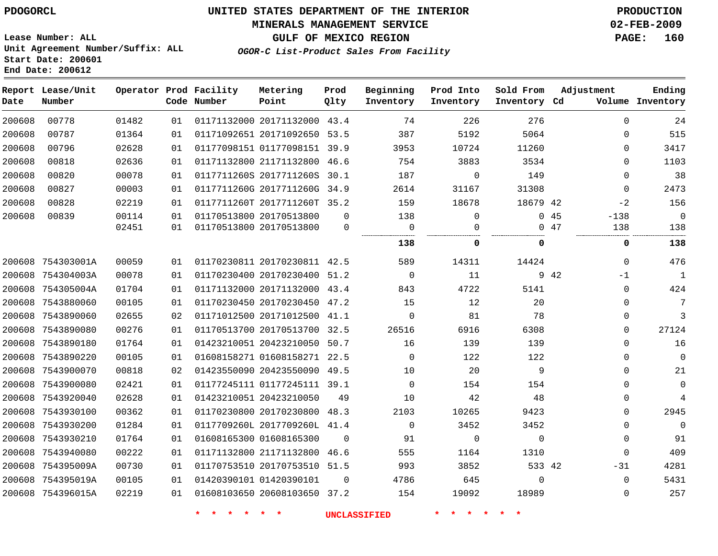#### **MINERALS MANAGEMENT SERVICE 02-FEB-2009**

**GULF OF MEXICO REGION PAGE: 160**

**Lease Number: ALL Unit Agreement Number/Suffix: ALL Start Date: 200601 End Date: 200612**

**OGOR-C List-Product Sales From Facility**

| Date   | Report Lease/Unit<br>Number |       |    | Operator Prod Facility<br>Code Number | Metering<br>Point            | Prod<br>Qlty | Beginning<br>Inventory | Prod Into<br>Inventory | Sold From<br>Inventory Cd | Adjustment    | Ending<br>Volume Inventory |
|--------|-----------------------------|-------|----|---------------------------------------|------------------------------|--------------|------------------------|------------------------|---------------------------|---------------|----------------------------|
| 200608 | 00778                       | 01482 | 01 |                                       | 01171132000 20171132000 43.4 |              | 74                     | 226                    | 276                       | $\Omega$      | 24                         |
| 200608 | 00787                       | 01364 | 01 |                                       | 01171092651 20171092650 53.5 |              | 387                    | 5192                   | 5064                      | 0             | 515                        |
| 200608 | 00796                       | 02628 | 01 |                                       | 01177098151 01177098151 39.9 |              | 3953                   | 10724                  | 11260                     | $\Omega$      | 3417                       |
| 200608 | 00818                       | 02636 | 01 |                                       | 01171132800 21171132800 46.6 |              | 754                    | 3883                   | 3534                      | $\Omega$      | 1103                       |
| 200608 | 00820                       | 00078 | 01 |                                       | 0117711260S 2017711260S 30.1 |              | 187                    | $\mathbf 0$            | 149                       | 0             | 38                         |
| 200608 | 00827                       | 00003 | 01 |                                       | 0117711260G 2017711260G      | 34.9         | 2614                   | 31167                  | 31308                     | $\mathbf{0}$  | 2473                       |
| 200608 | 00828                       | 02219 | 01 |                                       | 0117711260T 2017711260T 35.2 |              | 159                    | 18678                  | 18679 42                  | $-2$          | 156                        |
| 200608 | 00839                       | 00114 | 01 |                                       | 01170513800 20170513800      | $\mathbf{0}$ | 138                    | $\mathbf 0$            |                           | 045<br>$-138$ | $\Omega$                   |
|        |                             | 02451 | 01 |                                       | 01170513800 20170513800      | 0            | $\overline{0}$<br>     | 0<br>                  |                           | 047<br>138    | 138                        |
|        |                             |       |    |                                       |                              |              | 138                    | 0                      | 0                         | 0             | 138                        |
|        | 200608 754303001A           | 00059 | 01 |                                       | 01170230811 20170230811 42.5 |              | 589                    | 14311                  | 14424                     | $\Omega$      | 476                        |
|        | 200608 754304003A           | 00078 | 01 |                                       | 01170230400 20170230400 51.2 |              | $\overline{0}$         | 11                     |                           | 9 42<br>$-1$  | $\mathbf{1}$               |
|        | 200608 754305004A           | 01704 | 01 |                                       | 01171132000 20171132000 43.4 |              | 843                    | 4722                   | 5141                      | $\Omega$      | 424                        |
|        | 200608 7543880060           | 00105 | 01 |                                       | 01170230450 20170230450 47.2 |              | 15                     | 12                     | 20                        | $\Omega$      | $7\phantom{.0}$            |
|        | 200608 7543890060           | 02655 | 02 |                                       | 01171012500 20171012500 41.1 |              | $\mathbf 0$            | 81                     | 78                        | 0             | $\mathbf{3}$               |
|        | 200608 7543890080           | 00276 | 01 |                                       | 01170513700 20170513700      | 32.5         | 26516                  | 6916                   | 6308                      | 0             | 27124                      |
|        | 200608 7543890180           | 01764 | 01 |                                       | 01423210051 20423210050 50.7 |              | 16                     | 139                    | 139                       | 0             | 16                         |
|        | 200608 7543890220           | 00105 | 01 |                                       | 01608158271 01608158271 22.5 |              | $\Omega$               | 122                    | 122                       | $\mathbf{0}$  | $\mathbf 0$                |
|        | 200608 7543900070           | 00818 | 02 |                                       | 01423550090 20423550090 49.5 |              | 10                     | 20                     | 9                         | $\Omega$      | 21                         |
|        | 200608 7543900080           | 02421 | 01 |                                       | 01177245111 01177245111 39.1 |              | $\mathbf 0$            | 154                    | 154                       | $\mathbf{0}$  | $\mathbf 0$                |
|        | 200608 7543920040           | 02628 | 01 |                                       | 01423210051 20423210050      | 49           | 10                     | 42                     | 48                        | $\Omega$      | $\overline{4}$             |
|        | 200608 7543930100           | 00362 | 01 |                                       | 01170230800 20170230800 48.3 |              | 2103                   | 10265                  | 9423                      | $\mathbf{0}$  | 2945                       |
|        | 200608 7543930200           | 01284 | 01 |                                       | 0117709260L 2017709260L 41.4 |              | $\Omega$               | 3452                   | 3452                      | $\Omega$      | $\Omega$                   |
|        | 200608 7543930210           | 01764 | 01 |                                       | 01608165300 01608165300      | $\mathbf 0$  | 91                     | $\mathsf{O}$           | $\mathbf 0$               | $\mathbf{0}$  | 91                         |
|        | 200608 7543940080           | 00222 | 01 |                                       | 01171132800 21171132800 46.6 |              | 555                    | 1164                   | 1310                      | $\mathbf{0}$  | 409                        |
|        | 200608 754395009A           | 00730 | 01 |                                       | 01170753510 20170753510 51.5 |              | 993                    | 3852                   | 533 42                    | $-31$         | 4281                       |
|        | 200608 754395019A           | 00105 | 01 |                                       | 01420390101 01420390101      | 0            | 4786                   | 645                    | $\mathbf 0$               | $\Omega$      | 5431                       |
|        | 200608 754396015A           | 02219 | 01 |                                       | 01608103650 20608103650 37.2 |              | 154                    | 19092                  | 18989                     | $\Omega$      | 257                        |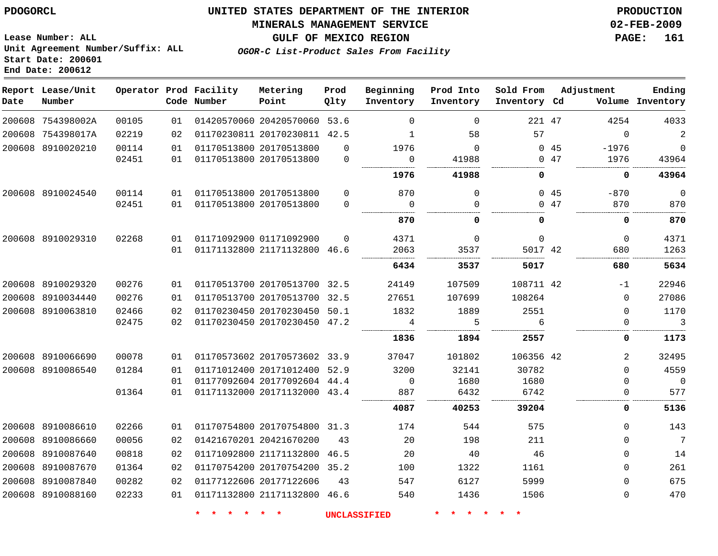#### **MINERALS MANAGEMENT SERVICE 02-FEB-2009**

**GULF OF MEXICO REGION PAGE: 161**

**Lease Number: ALL Unit Agreement Number/Suffix: ALL Start Date: 200601 End Date: 200612**

**OGOR-C List-Product Sales From Facility**

| Date   | Report Lease/Unit<br>Number |       |    | Operator Prod Facility<br>Code Number | Metering<br>Point            | Prod<br>Qlty | Beginning<br>Inventory | Prod Into<br>Inventory | Sold From<br>Inventory Cd |     | Adjustment   | Ending<br>Volume Inventory |
|--------|-----------------------------|-------|----|---------------------------------------|------------------------------|--------------|------------------------|------------------------|---------------------------|-----|--------------|----------------------------|
|        | 200608 754398002A           | 00105 | 01 |                                       | 01420570060 20420570060 53.6 |              | $\Omega$               | $\mathbf 0$            | 221 47                    |     | 4254         | 4033                       |
|        | 200608 754398017A           | 02219 | 02 |                                       | 01170230811 20170230811 42.5 |              | 1                      | 58                     | 57                        |     | $\mathbf 0$  | $\overline{2}$             |
|        | 200608 8910020210           | 00114 | 01 |                                       | 01170513800 20170513800      | $\Omega$     | 1976                   | $\Omega$               |                           | 045 | $-1976$      | $\mathsf 0$                |
|        |                             | 02451 | 01 |                                       | 01170513800 20170513800      | $\Omega$     | $\Omega$               | 41988                  |                           | 047 | 1976         | 43964                      |
|        |                             |       |    |                                       |                              |              | 1976                   | 41988                  | 0                         |     | 0            | 43964                      |
|        | 200608 8910024540           | 00114 | 01 |                                       | 01170513800 20170513800      | $\mathbf 0$  | 870                    | $\Omega$               |                           | 045 | $-870$       | $\mathbf 0$                |
|        |                             | 02451 | 01 |                                       | 01170513800 20170513800      | $\Omega$     | $\Omega$               | $\Omega$               |                           | 047 | 870          | 870                        |
|        |                             |       |    |                                       |                              |              | 870                    | $\Omega$               | 0                         |     | 0            | 870                        |
|        | 200608 8910029310           | 02268 | 01 |                                       | 01171092900 01171092900      | $\Omega$     | 4371                   | $\Omega$               | $\Omega$                  |     | $\Omega$     | 4371                       |
|        |                             |       | 01 |                                       | 01171132800 21171132800 46.6 |              | 2063                   | 3537                   | 5017 42                   |     | 680          | 1263                       |
|        |                             |       |    |                                       |                              |              | 6434                   | 3537                   | 5017                      |     | 680          | 5634                       |
|        | 200608 8910029320           | 00276 | 01 |                                       | 01170513700 20170513700 32.5 |              | 24149                  | 107509                 | 108711 42                 |     | $-1$         | 22946                      |
|        | 200608 8910034440           | 00276 | 01 |                                       | 01170513700 20170513700 32.5 |              | 27651                  | 107699                 | 108264                    |     | $\Omega$     | 27086                      |
|        | 200608 8910063810           | 02466 | 02 |                                       | 01170230450 20170230450 50.1 |              | 1832                   | 1889                   | 2551                      |     | $\Omega$     | 1170                       |
|        |                             | 02475 | 02 |                                       | 01170230450 20170230450 47.2 |              | 4                      |                        | 6                         |     | $\mathbf{0}$ | 3                          |
|        |                             |       |    |                                       |                              |              | 1836                   | 1894                   | 2557                      |     | 0            | 1173                       |
|        | 200608 8910066690           | 00078 | 01 |                                       | 01170573602 20170573602 33.9 |              | 37047                  | 101802                 | 106356 42                 |     | 2            | 32495                      |
|        | 200608 8910086540           | 01284 | 01 |                                       | 01171012400 20171012400 52.9 |              | 3200                   | 32141                  | 30782                     |     | $\Omega$     | 4559                       |
|        |                             |       | 01 |                                       | 01177092604 20177092604 44.4 |              | $\mathbf 0$            | 1680                   | 1680                      |     | $\Omega$     | $\Omega$                   |
|        |                             | 01364 | 01 |                                       | 01171132000 20171132000 43.4 |              | 887                    | 6432                   | 6742                      |     | 0            | 577                        |
|        |                             |       |    |                                       |                              |              | 4087                   | 40253                  | 39204                     |     | 0            | 5136                       |
|        | 200608 8910086610           | 02266 | 01 |                                       | 01170754800 20170754800 31.3 |              | 174                    | 544                    | 575                       |     | 0            | 143                        |
|        | 200608 8910086660           | 00056 | 02 |                                       | 01421670201 20421670200      | 43           | 20                     | 198                    | 211                       |     | $\Omega$     | $\overline{7}$             |
|        | 200608 8910087640           | 00818 | 02 |                                       | 01171092800 21171132800      | 46.5         | 20                     | 40                     | 46                        |     | $\Omega$     | 14                         |
| 200608 | 8910087670                  | 01364 | 02 |                                       | 01170754200 20170754200 35.2 |              | 100                    | 1322                   | 1161                      |     | $\Omega$     | 261                        |
| 200608 | 8910087840                  | 00282 | 02 |                                       | 01177122606 20177122606      | 43           | 547                    | 6127                   | 5999                      |     | $\Omega$     | 675                        |
|        | 200608 8910088160           | 02233 | 01 |                                       | 01171132800 21171132800 46.6 |              | 540                    | 1436                   | 1506                      |     | 0            | 470                        |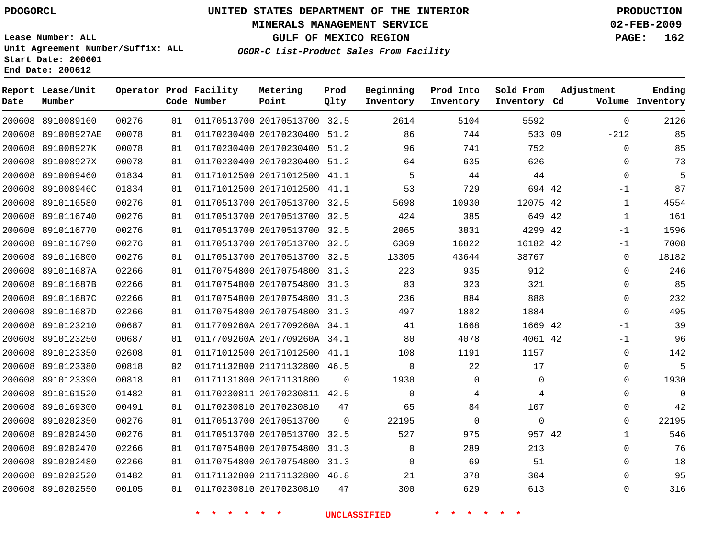#### **MINERALS MANAGEMENT SERVICE 02-FEB-2009**

**GULF OF MEXICO REGION PAGE: 162**

**Lease Number: ALL Unit Agreement Number/Suffix: ALL Start Date: 200601 End Date: 200612**

**OGOR-C List-Product Sales From Facility**

| Date   | Report Lease/Unit<br>Number |       |    | Operator Prod Facility<br>Code Number | Metering<br>Point            | Prod<br>Qlty | Beginning<br>Inventory | Prod Into<br>Inventory | Sold From<br>Inventory Cd | Adjustment | Ending<br>Volume Inventory |
|--------|-----------------------------|-------|----|---------------------------------------|------------------------------|--------------|------------------------|------------------------|---------------------------|------------|----------------------------|
| 200608 | 8910089160                  | 00276 | 01 |                                       | 01170513700 20170513700 32.5 |              | 2614                   | 5104                   | 5592                      |            | 2126<br>$\mathbf 0$        |
| 200608 | 891008927AE                 | 00078 | 01 |                                       | 01170230400 20170230400 51.2 |              | 86                     | 744                    | 533 09                    | $-212$     | 85                         |
| 200608 | 891008927K                  | 00078 | 01 |                                       | 01170230400 20170230400 51.2 |              | 96                     | 741                    | 752                       |            | 85<br>$\mathbf{0}$         |
| 200608 | 891008927X                  | 00078 | 01 |                                       | 01170230400 20170230400 51.2 |              | 64                     | 635                    | 626                       |            | 73<br>0                    |
| 200608 | 8910089460                  | 01834 | 01 |                                       | 01171012500 20171012500 41.1 |              | 5                      | 44                     | 44                        |            | 5<br>$\Omega$              |
| 200608 | 891008946C                  | 01834 | 01 |                                       | 01171012500 20171012500 41.1 |              | 53                     | 729                    | 694 42                    |            | 87<br>$-1$                 |
| 200608 | 8910116580                  | 00276 | 01 |                                       | 01170513700 20170513700 32.5 |              | 5698                   | 10930                  | 12075 42                  |            | 4554<br>$\mathbf{1}$       |
| 200608 | 8910116740                  | 00276 | 01 |                                       | 01170513700 20170513700 32.5 |              | 424                    | 385                    | 649 42                    |            | 161<br>$\mathbf{1}$        |
| 200608 | 8910116770                  | 00276 | 01 |                                       | 01170513700 20170513700 32.5 |              | 2065                   | 3831                   | 4299 42                   |            | 1596<br>$-1$               |
| 200608 | 8910116790                  | 00276 | 01 |                                       | 01170513700 20170513700 32.5 |              | 6369                   | 16822                  | 16182 42                  |            | 7008<br>$-1$               |
| 200608 | 8910116800                  | 00276 | 01 |                                       | 01170513700 20170513700 32.5 |              | 13305                  | 43644                  | 38767                     |            | 18182<br>$\mathbf 0$       |
| 200608 | 891011687A                  | 02266 | 01 |                                       | 01170754800 20170754800 31.3 |              | 223                    | 935                    | 912                       |            | 246<br>$\Omega$            |
| 200608 | 891011687B                  | 02266 | 01 |                                       | 01170754800 20170754800 31.3 |              | 83                     | 323                    | 321                       |            | 85<br>$\Omega$             |
| 200608 | 891011687C                  | 02266 | 01 |                                       | 01170754800 20170754800 31.3 |              | 236                    | 884                    | 888                       |            | 232<br>$\mathbf 0$         |
| 200608 | 891011687D                  | 02266 | 01 |                                       | 01170754800 20170754800 31.3 |              | 497                    | 1882                   | 1884                      |            | 495<br>$\mathbf 0$         |
| 200608 | 8910123210                  | 00687 | 01 |                                       | 0117709260A 2017709260A 34.1 |              | 41                     | 1668                   | 1669 42                   |            | 39<br>$-1$                 |
| 200608 | 8910123250                  | 00687 | 01 |                                       | 0117709260A 2017709260A 34.1 |              | 80                     | 4078                   | 4061 42                   |            | 96<br>$-1$                 |
| 200608 | 8910123350                  | 02608 | 01 |                                       | 01171012500 20171012500 41.1 |              | 108                    | 1191                   | 1157                      |            | 142<br>0                   |
| 200608 | 8910123380                  | 00818 | 02 |                                       | 01171132800 21171132800 46.5 |              | $\Omega$               | 22                     | 17                        |            | 5<br>$\mathbf 0$           |
| 200608 | 8910123390                  | 00818 | 01 |                                       | 01171131800 20171131800      | $\Omega$     | 1930                   | $\mathbf 0$            | $\mathbf 0$               |            | 1930<br>$\Omega$           |
| 200608 | 8910161520                  | 01482 | 01 |                                       | 01170230811 20170230811 42.5 |              | $\mathbf 0$            | 4                      | 4                         |            | $\mathbf 0$<br>$\mathbf 0$ |
| 200608 | 8910169300                  | 00491 | 01 |                                       | 01170230810 20170230810      | 47           | 65                     | 84                     | 107                       |            | 42<br>$\mathbf 0$          |
| 200608 | 8910202350                  | 00276 | 01 |                                       | 01170513700 20170513700      | $\Omega$     | 22195                  | $\mathbf 0$            | $\mathbf 0$               |            | 22195<br>$\Omega$          |
| 200608 | 8910202430                  | 00276 | 01 |                                       | 01170513700 20170513700 32.5 |              | 527                    | 975                    | 957 42                    |            | 546<br>$\mathbf{1}$        |
| 200608 | 8910202470                  | 02266 | 01 |                                       | 01170754800 20170754800 31.3 |              | $\mathbf 0$            | 289                    | 213                       |            | 76<br>$\mathbf 0$          |
| 200608 | 8910202480                  | 02266 | 01 |                                       | 01170754800 20170754800 31.3 |              | $\mathbf 0$            | 69                     | 51                        |            | 18<br>$\mathbf 0$          |
| 200608 | 8910202520                  | 01482 | 01 |                                       | 01171132800 21171132800 46.8 |              | 21                     | 378                    | 304                       |            | 95<br>$\Omega$             |
|        | 200608 8910202550           | 00105 | 01 |                                       | 01170230810 20170230810      | 47           | 300                    | 629                    | 613                       |            | 316<br>$\Omega$            |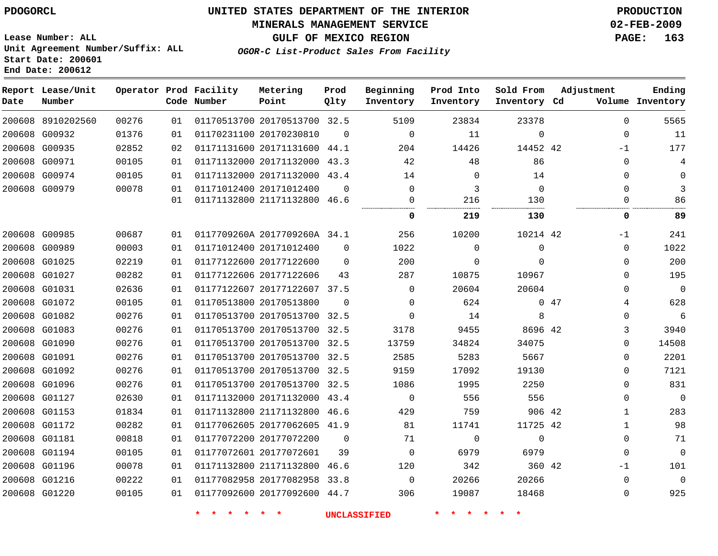#### **MINERALS MANAGEMENT SERVICE 02-FEB-2009**

**GULF OF MEXICO REGION PAGE: 163**

**Lease Number: ALL Unit Agreement Number/Suffix: ALL Start Date: 200601 End Date: 200612**

**OGOR-C List-Product Sales From Facility**

| Date | Report Lease/Unit<br>Number |       |    | Operator Prod Facility<br>Code Number | Metering<br>Point            | Prod<br>Qlty | Beginning<br>Inventory | Prod Into<br>Inventory | Sold From<br>Inventory Cd | Adjustment  | Ending<br>Volume Inventory |
|------|-----------------------------|-------|----|---------------------------------------|------------------------------|--------------|------------------------|------------------------|---------------------------|-------------|----------------------------|
|      | 200608 8910202560           | 00276 | 01 |                                       | 01170513700 20170513700 32.5 |              | 5109                   | 23834                  | 23378                     | $\Omega$    | 5565                       |
|      | 200608 G00932               | 01376 | 01 |                                       | 01170231100 20170230810      | $\Omega$     | $\Omega$               | 11                     | $\Omega$                  | $\Omega$    | 11                         |
|      | 200608 G00935               | 02852 | 02 |                                       | 01171131600 20171131600      | 44.1         | 204                    | 14426                  | 14452 42                  | $-1$        | 177                        |
|      | 200608 G00971               | 00105 | 01 |                                       | 01171132000 20171132000      | 43.3         | 42                     | 48                     | 86                        | $\Omega$    | $\overline{4}$             |
|      | 200608 G00974               | 00105 | 01 |                                       | 01171132000 20171132000      | 43.4         | 14                     | 0                      | 14                        | $\Omega$    | $\Omega$                   |
|      | 200608 G00979               | 00078 | 01 |                                       | 01171012400 20171012400      | $\Omega$     | $\Omega$               | 3                      | $\Omega$                  | $\Omega$    | 3                          |
|      |                             |       | 01 |                                       | 01171132800 21171132800 46.6 |              | $\Omega$               | 216                    | 130                       | $\Omega$    | 86                         |
|      |                             |       |    |                                       |                              |              | 0                      | 219                    | 130                       | 0           | 89                         |
|      | 200608 G00985               | 00687 | 01 |                                       | 0117709260A 2017709260A 34.1 |              | 256                    | 10200                  | 10214 42                  | $-1$        | 241                        |
|      | 200608 G00989               | 00003 | 01 |                                       | 01171012400 20171012400      | $\Omega$     | 1022                   | $\Omega$               | $\mathbf{0}$              | $\Omega$    | 1022                       |
|      | 200608 G01025               | 02219 | 01 |                                       | 01177122600 20177122600      | $\Omega$     | 200                    | 0                      | $\Omega$                  | $\mathbf 0$ | 200                        |
|      | 200608 G01027               | 00282 | 01 |                                       | 01177122606 20177122606      | 43           | 287                    | 10875                  | 10967                     | $\mathbf 0$ | 195                        |
|      | 200608 G01031               | 02636 | 01 |                                       | 01177122607 20177122607 37.5 |              | $\Omega$               | 20604                  | 20604                     | $\Omega$    | $\Omega$                   |
|      | 200608 G01072               | 00105 | 01 |                                       | 01170513800 20170513800      | $\Omega$     | $\Omega$               | 624                    |                           | 047<br>4    | 628                        |
|      | 200608 G01082               | 00276 | 01 |                                       | 01170513700 20170513700 32.5 |              | $\Omega$               | 14                     | 8                         | $\Omega$    | 6                          |
|      | 200608 G01083               | 00276 | 01 |                                       | 01170513700 20170513700 32.5 |              | 3178                   | 9455                   | 8696 42                   | 3           | 3940                       |
|      | 200608 G01090               | 00276 | 01 |                                       | 01170513700 20170513700 32.5 |              | 13759                  | 34824                  | 34075                     | $\Omega$    | 14508                      |
|      | 200608 G01091               | 00276 | 01 |                                       | 01170513700 20170513700 32.5 |              | 2585                   | 5283                   | 5667                      | 0           | 2201                       |
|      | 200608 G01092               | 00276 | 01 |                                       | 01170513700 20170513700 32.5 |              | 9159                   | 17092                  | 19130                     | $\Omega$    | 7121                       |
|      | 200608 G01096               | 00276 | 01 |                                       | 01170513700 20170513700 32.5 |              | 1086                   | 1995                   | 2250                      | $\Omega$    | 831                        |
|      | 200608 G01127               | 02630 | 01 |                                       | 01171132000 20171132000 43.4 |              | $\Omega$               | 556                    | 556                       | $\Omega$    | $\mathbf{0}$               |
|      | 200608 G01153               | 01834 | 01 |                                       | 01171132800 21171132800 46.6 |              | 429                    | 759                    | 906 42                    | 1           | 283                        |
|      | 200608 G01172               | 00282 | 01 |                                       | 01177062605 20177062605 41.9 |              | 81                     | 11741                  | 11725 42                  | 1           | 98                         |
|      | 200608 G01181               | 00818 | 01 |                                       | 01177072200 20177072200      | $\Omega$     | 71                     | $\mathbf 0$            | $\mathbf 0$               | $\Omega$    | 71                         |
|      | 200608 G01194               | 00105 | 01 |                                       | 01177072601 20177072601      | 39           | $\Omega$               | 6979                   | 6979                      | $\Omega$    | $\mathbf{0}$               |
|      | 200608 G01196               | 00078 | 01 |                                       | 01171132800 21171132800 46.6 |              | 120                    | 342                    | 360 42                    | -1          | 101                        |
|      | 200608 G01216               | 00222 | 01 |                                       | 01177082958 20177082958      | 33.8         | $\mathbf 0$            | 20266                  | 20266                     | $\mathbf 0$ | $\mathbf{0}$               |
|      | 200608 G01220               | 00105 | 01 |                                       | 01177092600 20177092600 44.7 |              | 306                    | 19087                  | 18468                     | $\Omega$    | 925                        |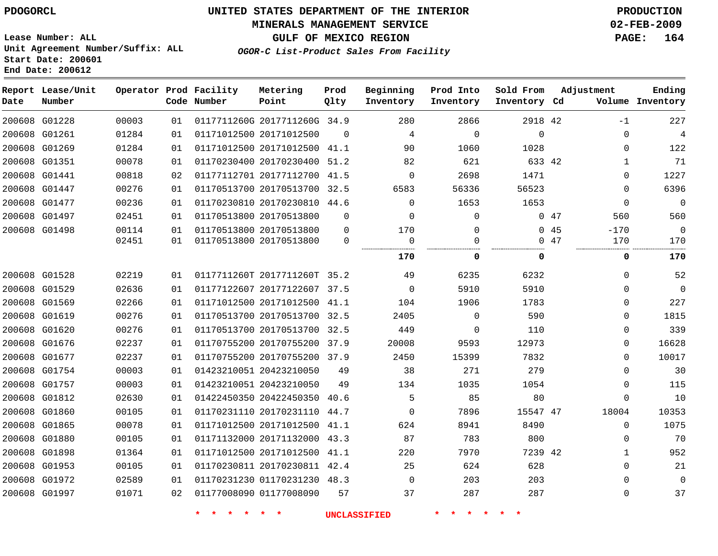#### **MINERALS MANAGEMENT SERVICE 02-FEB-2009**

**GULF OF MEXICO REGION PAGE: 164 OGOR-C List-Product Sales From Facility**

**Lease Number: ALL Unit Agreement Number/Suffix: ALL Start Date: 200601 End Date: 200612**

**Report Lease/Unit Operator Prod Facility Metering Prod Beginning Prod Into Sold From Adjustment Ending Number Point Date Code Number Qlty Inventory Inventory Inventory Inventory Cd Volume** G01228 0117711260G 2017711260G 34.9 42 -1 G01261 20171012500  $\Omega$   $\Omega$  $\Omega$  $\Omega$  G01269 20171012500 41.1  $\Omega$  G01351 20170230400 51.2 42 G01441 20177112700 41.5  $\Omega$   $\Omega$  G01447 20170513700 32.5  $\Omega$  G01477 20170230810 44.6  $\Omega$   $\Omega$  $\Omega$  G01497 20170513800  $\Omega$  $\Omega$  $\Omega$ 47 G01498 20170513800  $\Omega$   $\Omega$  $\Omega$   $-170$  $\Omega$   $\Omega$  $\Omega$  $\Omega$  $\Omega$  20170513800 . . . . . . . . . . . . . . . . . . . . . . . . . . . . . . . . . **0 0 0 170** G01528 0117711260T 2017711260T 35.2 G01529 20177122607 37.5  $\Omega$   $\Omega$  $\Omega$  G01569 20171012500 41.1  $\Omega$  G01619 20170513700 32.5  $\Omega$   $\Omega$  G01620 20170513700 32.5  $\Omega$   $\Omega$  G01676 20170755200 37.9  $\Omega$  G01677 20170755200 37.9  $\Omega$  G01754 20423210050  $\Omega$  G01757 20423210050  $\Omega$  G01812 20422450350 40.6  $\Omega$  G01860 20170231110 44.7  $\Omega$  47 G01865 20171012500 41.1  $\Omega$  G01880 20171132000 43.3  $\Omega$  G01898 20171012500 41.1 42 G01953 20170230811 42.4  $\Omega$  G01972 01170231230 48.3  $\Omega$   $\Omega$  G01997 01177008090  $\Omega$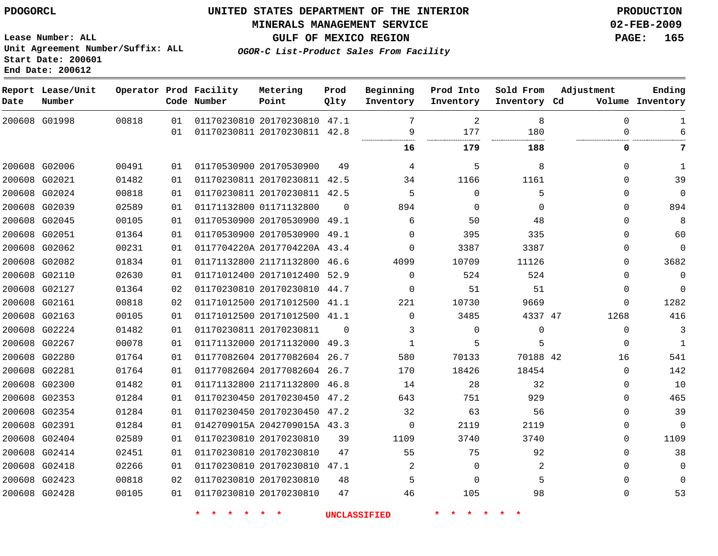# **MINERALS MANAGEMENT SERVICE 02-FEB-2009**

**GULF OF MEXICO REGION PAGE: 165**

**Lease Number: ALL Unit Agreement Number/Suffix: ALL Start Date: 200601 End Date: 200612**

**OGOR-C List-Product Sales From Facility**

| Date | Report Lease/Unit<br>Number |       |          | Operator Prod Facility<br>Code Number | Metering<br>Point                                            | Prod<br>01ty | Beginning<br>Inventory | Prod Into<br>Inventory | Sold From<br>Inventory Cd | Adjustment       | Ending<br>Volume Inventory |
|------|-----------------------------|-------|----------|---------------------------------------|--------------------------------------------------------------|--------------|------------------------|------------------------|---------------------------|------------------|----------------------------|
|      | 200608 G01998               | 00818 | 01<br>01 |                                       | 01170230810 20170230810 47.1<br>01170230811 20170230811 42.8 |              | 7<br>9                 | 2<br>177               | 8<br>180                  | $\mathbf 0$<br>0 |                            |
|      |                             |       |          |                                       |                                                              |              | 16                     | 179                    | 188                       | 0                | 7                          |
|      | 200608 G02006               | 00491 | 01       | 01170530900 20170530900               |                                                              | 49           | 4                      | 5                      | 8                         | 0                | $\mathbf{1}$               |
|      | 200608 G02021               | 01482 | 01       |                                       | 01170230811 20170230811 42.5                                 |              | 34                     | 1166                   | 1161                      | $\Omega$         | 39                         |
|      | 200608 G02024               | 00818 | 01       |                                       | 01170230811 20170230811 42.5                                 |              | 5                      | $\mathbf 0$            | 5                         | 0                | $\mathbf 0$                |
|      | 200608 G02039               | 02589 | 01       |                                       | 01171132800 01171132800                                      | $\Omega$     | 894                    | 0                      | $\Omega$                  | $\Omega$         | 894                        |
|      | 200608 G02045               | 00105 | 01       |                                       | 01170530900 20170530900 49.1                                 |              | 6                      | 50                     | 48                        | $\Omega$         | 8                          |
|      | 200608 G02051               | 01364 | 01       |                                       | 01170530900 20170530900 49.1                                 |              | $\Omega$               | 395                    | 335                       | 0                | 60                         |
|      | 200608 G02062               | 00231 | 01       |                                       | 0117704220A 2017704220A 43.4                                 |              | $\Omega$               | 3387                   | 3387                      | $\Omega$         | $\mathbf 0$                |
|      | 200608 G02082               | 01834 | 01       |                                       | 01171132800 21171132800                                      | 46.6         | 4099                   | 10709                  | 11126                     | 0                | 3682                       |
|      | 200608 G02110               | 02630 | 01       |                                       | 01171012400 20171012400 52.9                                 |              | $\Omega$               | 524                    | 524                       | 0                | $\Omega$                   |
|      | 200608 G02127               | 01364 | 02       |                                       | 01170230810 20170230810 44.7                                 |              | $\mathbf 0$            | 51                     | 51                        | 0                | $\Omega$                   |
|      | 200608 G02161               | 00818 | 02       |                                       | 01171012500 20171012500 41.1                                 |              | 221                    | 10730                  | 9669                      | 0                | 1282                       |
|      | 200608 G02163               | 00105 | 01       |                                       | 01171012500 20171012500 41.1                                 |              | $\mathbf 0$            | 3485                   | 4337 47                   | 1268             | 416                        |
|      | 200608 G02224               | 01482 | 01       |                                       | 01170230811 20170230811                                      | $\Omega$     | 3                      | $\Omega$               | $\Omega$                  | $\mathbf 0$      | 3                          |
|      | 200608 G02267               | 00078 | 01       |                                       | 01171132000 20171132000 49.3                                 |              | 1                      | 5                      | 5                         | $\Omega$         | $\mathbf{1}$               |
|      | 200608 G02280               | 01764 | 01       |                                       | 01177082604 20177082604 26.7                                 |              | 580                    | 70133                  | 70188 42                  | 16               | 541                        |
|      | 200608 G02281               | 01764 | 01       |                                       | 01177082604 20177082604 26.7                                 |              | 170                    | 18426                  | 18454                     | $\Omega$         | 142                        |
|      | 200608 G02300               | 01482 | 01       |                                       | 01171132800 21171132800 46.8                                 |              | 14                     | 28                     | 32                        | 0                | 10                         |
|      | 200608 G02353               | 01284 | 01       |                                       | 01170230450 20170230450 47.2                                 |              | 643                    | 751                    | 929                       | $\Omega$         | 465                        |
|      | 200608 G02354               | 01284 | 01       |                                       | 01170230450 20170230450 47.2                                 |              | 32                     | 63                     | 56                        | $\Omega$         | 39                         |
|      | 200608 G02391               | 01284 | 01       |                                       | 0142709015A 2042709015A 43.3                                 |              | $\mathbf 0$            | 2119                   | 2119                      | 0                | $\Omega$                   |
|      | 200608 G02404               | 02589 | 01       |                                       | 01170230810 20170230810                                      | 39           | 1109                   | 3740                   | 3740                      | $\Omega$         | 1109                       |
|      | 200608 G02414               | 02451 | 01       |                                       | 01170230810 20170230810                                      | 47           | 55                     | 75                     | 92                        | $\Omega$         | 38                         |
|      | 200608 G02418               | 02266 | 01       |                                       | 01170230810 20170230810 47.1                                 |              | 2                      | 0                      | 2                         | $\Omega$         | $\Omega$                   |
|      | 200608 G02423               | 00818 | 02       |                                       | 01170230810 20170230810                                      | 48           | 5                      | 0                      | 5                         | 0                |                            |
|      | 200608 G02428               | 00105 | 01       |                                       | 01170230810 20170230810                                      | 47           | 46                     | 105                    | 98                        | $\Omega$         | 53                         |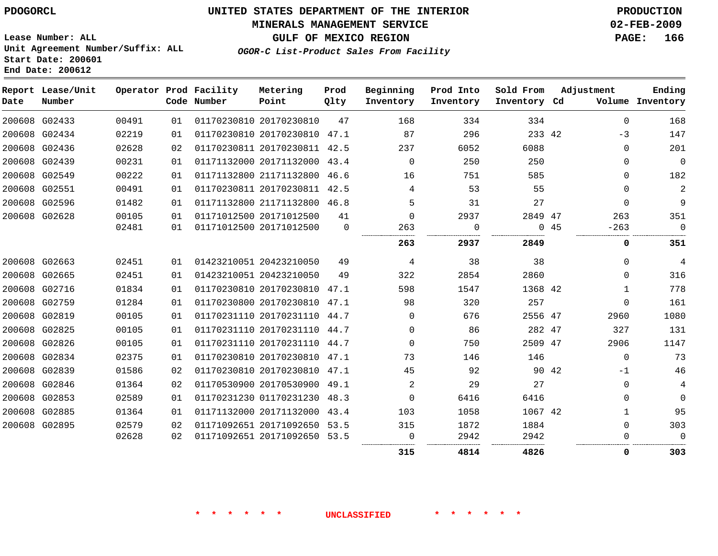# **MINERALS MANAGEMENT SERVICE 02-FEB-2009**

**GULF OF MEXICO REGION PAGE: 166**

**Lease Number: ALL Unit Agreement Number/Suffix: ALL Start Date: 200601 End Date: 200612**

**OGOR-C List-Product Sales From Facility**

| Date | Report Lease/Unit<br>Number |                |          | Operator Prod Facility<br>Code Number | Metering<br>Point                                  | Prod<br>Qlty   | Beginning<br>Inventory | Prod Into<br>Inventory | Sold From<br>Inventory Cd |       | Adjustment    | Ending<br>Volume Inventory |
|------|-----------------------------|----------------|----------|---------------------------------------|----------------------------------------------------|----------------|------------------------|------------------------|---------------------------|-------|---------------|----------------------------|
|      | 200608 G02433               | 00491          | 01       |                                       | 01170230810 20170230810                            | 47             | 168                    | 334                    | 334                       |       | $\Omega$      | 168                        |
|      | 200608 G02434               | 02219          | 01       |                                       | 01170230810 20170230810 47.1                       |                | 87                     | 296                    | 233 42                    |       | $-3$          | 147                        |
|      | 200608 G02436               | 02628          | 02       |                                       | 01170230811 20170230811 42.5                       |                | 237                    | 6052                   | 6088                      |       | 0             | 201                        |
|      | 200608 G02439               | 00231          | 01       |                                       | 01171132000 20171132000 43.4                       |                | $\Omega$               | 250                    | 250                       |       | 0             | $\mathbf 0$                |
|      | 200608 G02549               | 00222          | 01       |                                       | 01171132800 21171132800                            | 46.6           | 16                     | 751                    | 585                       |       | $\Omega$      | 182                        |
|      | 200608 G02551               | 00491          | 01       |                                       | 01170230811 20170230811 42.5                       |                | 4                      | 53                     | 55                        |       | $\Omega$      | 2                          |
|      | 200608 G02596               | 01482          | 01       |                                       | 01171132800 21171132800 46.8                       |                | 5                      | 31                     | 27                        |       | $\Omega$      | 9                          |
|      | 200608 G02628               | 00105<br>02481 | 01<br>01 |                                       | 01171012500 20171012500<br>01171012500 20171012500 | 41<br>$\Omega$ | $\Omega$<br>263        | 2937<br>0              | 2849 47<br>$\Omega$       | 45    | 263<br>$-263$ | 351<br>$\mathbf 0$         |
|      |                             |                |          |                                       |                                                    |                | 263                    | 2937                   | 2849                      |       | 0             | 351                        |
|      | 200608 G02663               | 02451          | 01       |                                       | 01423210051 20423210050                            | 49             | 4                      | 38                     | 38                        |       | $\Omega$      | 4                          |
|      | 200608 G02665               | 02451          | 01       |                                       | 01423210051 20423210050                            | 49             | 322                    | 2854                   | 2860                      |       | $\Omega$      | 316                        |
|      | 200608 G02716               | 01834          | 01       |                                       | 01170230810 20170230810 47.1                       |                | 598                    | 1547                   | 1368 42                   |       | 1             | 778                        |
|      | 200608 G02759               | 01284          | 01       |                                       | 01170230800 20170230810                            | 47.1           | 98                     | 320                    | 257                       |       | $\Omega$      | 161                        |
|      | 200608 G02819               | 00105          | 01       |                                       | 01170231110 20170231110 44.7                       |                | $\Omega$               | 676                    | 2556 47                   |       | 2960          | 1080                       |
|      | 200608 G02825               | 00105          | 01       |                                       | 01170231110 20170231110 44.7                       |                | $\Omega$               | 86                     | 282 47                    |       | 327           | 131                        |
|      | 200608 G02826               | 00105          | 01       |                                       | 01170231110 20170231110 44.7                       |                | $\Omega$               | 750                    | 2509 47                   |       | 2906          | 1147                       |
|      | 200608 G02834               | 02375          | 01       |                                       | 01170230810 20170230810 47.1                       |                | 73                     | 146                    | 146                       |       | $\Omega$      | 73                         |
|      | 200608 G02839               | 01586          | 02       |                                       | 01170230810 20170230810 47.1                       |                | 45                     | 92                     |                           | 90 42 | $-1$          | 46                         |
|      | 200608 G02846               | 01364          | 02       |                                       | 01170530900 20170530900                            | 49.1           | $\overline{2}$         | 29                     | 27                        |       | $\Omega$      | 4                          |
|      | 200608 G02853               | 02589          | 01       |                                       | 01170231230 01170231230 48.3                       |                | $\mathbf 0$            | 6416                   | 6416                      |       | 0             | $\mathbf 0$                |
|      | 200608 G02885               | 01364          | 01       |                                       | 01171132000 20171132000                            | 43.4           | 103                    | 1058                   | 1067 42                   |       | 1             | 95                         |
|      | 200608 G02895               | 02579          | 02       |                                       | 01171092651 20171092650 53.5                       |                | 315                    | 1872                   | 1884                      |       | $\Omega$      | 303                        |
|      |                             | 02628          | 02       |                                       | 01171092651 20171092650 53.5                       |                | 0                      | 2942                   | 2942                      |       | $\Omega$      | $\mathbf 0$                |
|      |                             |                |          |                                       |                                                    |                | 315                    | 4814                   | 4826                      |       | 0             | 303                        |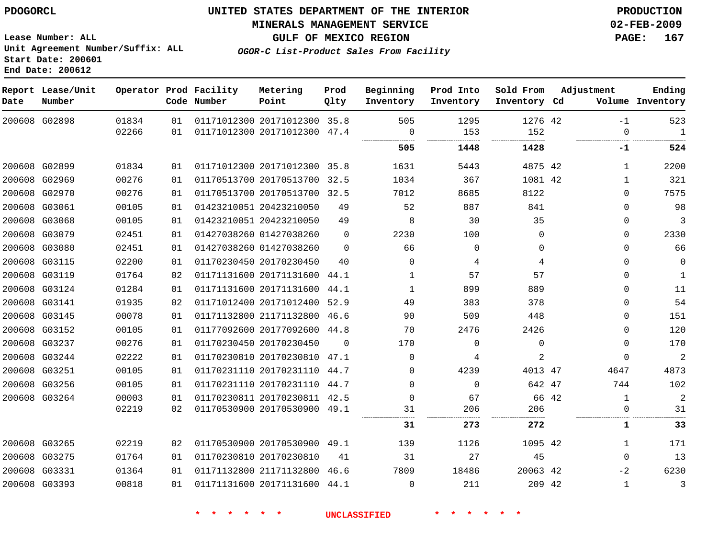**MINERALS MANAGEMENT SERVICE 02-FEB-2009**

**GULF OF MEXICO REGION PAGE: 167 OGOR-C List-Product Sales From Facility**

**Lease Number: ALL Unit Agreement Number/Suffix: ALL Start Date: 200601 End Date: 200612**

| Date | Report Lease/Unit<br>Number |       |    | Operator Prod Facility<br>Code Number | Metering<br>Point            | Prod<br>Qlty | Beginning<br>Inventory | Prod Into<br>Inventory | Sold From<br>Inventory Cd | Adjustment   | Ending<br>Volume Inventory |
|------|-----------------------------|-------|----|---------------------------------------|------------------------------|--------------|------------------------|------------------------|---------------------------|--------------|----------------------------|
|      | 200608 G02898               | 01834 | 01 |                                       | 01171012300 20171012300 35.8 |              | 505                    | 1295                   | 1276 42                   | $-1$         | 523                        |
|      |                             | 02266 | 01 |                                       | 01171012300 20171012300 47.4 |              | 0<br>                  | 153<br><br>.           | 152                       | $\Omega$     | $\mathbf{1}$<br>.          |
|      |                             |       |    |                                       |                              |              | 505                    | 1448                   | 1428                      | -1           | 524                        |
|      | 200608 G02899               | 01834 | 01 |                                       | 01171012300 20171012300 35.8 |              | 1631                   | 5443                   | 4875 42                   | 1            | 2200                       |
|      | 200608 G02969               | 00276 | 01 |                                       | 01170513700 20170513700 32.5 |              | 1034                   | 367                    | 1081 42                   | $\mathbf{1}$ | 321                        |
|      | 200608 G02970               | 00276 | 01 |                                       | 01170513700 20170513700 32.5 |              | 7012                   | 8685                   | 8122                      | $\Omega$     | 7575                       |
|      | 200608 G03061               | 00105 | 01 |                                       | 01423210051 20423210050      | 49           | 52                     | 887                    | 841                       | $\Omega$     | 98                         |
|      | 200608 G03068               | 00105 | 01 |                                       | 01423210051 20423210050      | 49           | 8                      | 30                     | 35                        | $\mathbf 0$  | 3                          |
|      | 200608 G03079               | 02451 | 01 |                                       | 01427038260 01427038260      | $\Omega$     | 2230                   | 100                    | $\Omega$                  | $\mathbf 0$  | 2330                       |
|      | 200608 G03080               | 02451 | 01 |                                       | 01427038260 01427038260      | $\Omega$     | 66                     | $\Omega$               | 0                         | $\Omega$     | 66                         |
|      | 200608 G03115               | 02200 | 01 |                                       | 01170230450 20170230450      | 40           | $\Omega$               | 4                      | 4                         | $\Omega$     | $\Omega$                   |
|      | 200608 G03119               | 01764 | 02 |                                       | 01171131600 20171131600      | 44.1         | $\mathbf{1}$           | 57                     | 57                        | $\Omega$     | $\mathbf{1}$               |
|      | 200608 G03124               | 01284 | 01 |                                       | 01171131600 20171131600 44.1 |              | 1                      | 899                    | 889                       | $\mathbf 0$  | 11                         |
|      | 200608 G03141               | 01935 | 02 |                                       | 01171012400 20171012400      | 52.9         | 49                     | 383                    | 378                       | $\mathbf 0$  | 54                         |
|      | 200608 G03145               | 00078 | 01 |                                       | 01171132800 21171132800 46.6 |              | 90                     | 509                    | 448                       | $\mathbf 0$  | 151                        |
|      | 200608 G03152               | 00105 | 01 |                                       | 01177092600 20177092600 44.8 |              | 70                     | 2476                   | 2426                      | $\Omega$     | 120                        |
|      | 200608 G03237               | 00276 | 01 |                                       | 01170230450 20170230450      | $\Omega$     | 170                    | $\Omega$               | $\Omega$                  | $\Omega$     | 170                        |
|      | 200608 G03244               | 02222 | 01 |                                       | 01170230810 20170230810 47.1 |              | $\Omega$               | 4                      | $\overline{2}$            | $\Omega$     | $\overline{2}$             |
|      | 200608 G03251               | 00105 | 01 |                                       | 01170231110 20170231110 44.7 |              | 0                      | 4239                   | 4013 47                   | 4647         | 4873                       |
|      | 200608 G03256               | 00105 | 01 |                                       | 01170231110 20170231110 44.7 |              | $\Omega$               | $\Omega$               | 642 47                    | 744          | 102                        |
|      | 200608 G03264               | 00003 | 01 |                                       | 01170230811 20170230811 42.5 |              | 0                      | 67                     | 66 42                     | 1            | 2                          |
|      |                             | 02219 | 02 |                                       | 01170530900 20170530900 49.1 |              | 31                     | 206                    | 206<br>.                  | $\mathbf 0$  | 31                         |
|      |                             |       |    |                                       |                              |              | 31                     | 273                    | 272                       | 1            | 33                         |
|      | 200608 G03265               | 02219 | 02 |                                       | 01170530900 20170530900 49.1 |              | 139                    | 1126                   | 1095 42                   | $\mathbf{1}$ | 171                        |
|      | 200608 G03275               | 01764 | 01 |                                       | 01170230810 20170230810      | 41           | 31                     | 27                     | 45                        | $\Omega$     | 13                         |
|      | 200608 G03331               | 01364 | 01 |                                       | 01171132800 21171132800      | 46.6         | 7809                   | 18486                  | 20063 42                  | $-2$         | 6230                       |
|      | 200608 G03393               | 00818 | 01 |                                       | 01171131600 20171131600 44.1 |              | 0                      | 211                    | 209 42                    | 1            | 3                          |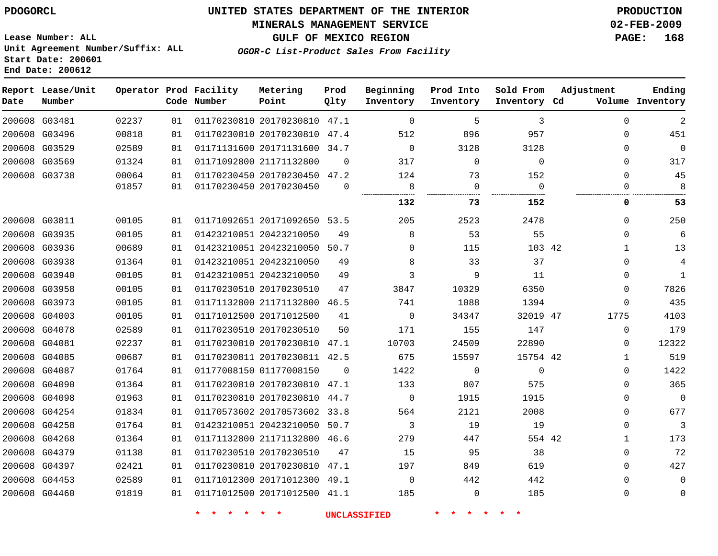#### **MINERALS MANAGEMENT SERVICE 02-FEB-2009**

**GULF OF MEXICO REGION PAGE: 168**

**Lease Number: ALL Unit Agreement Number/Suffix: ALL Start Date: 200601 End Date: 200612**

**OGOR-C List-Product Sales From Facility**

| Date          | Report Lease/Unit<br>Number |       |    | Operator Prod Facility<br>Code Number | Metering<br>Point            | Prod<br>Qlty | Beginning<br>Inventory | Prod Into<br>Inventory | Sold From<br>Inventory Cd | Adjustment   | Ending<br>Volume Inventory |
|---------------|-----------------------------|-------|----|---------------------------------------|------------------------------|--------------|------------------------|------------------------|---------------------------|--------------|----------------------------|
| 200608 G03481 |                             | 02237 | 01 |                                       | 01170230810 20170230810 47.1 |              | $\Omega$               | 5                      | 3                         | $\Omega$     | $\overline{2}$             |
| 200608 G03496 |                             | 00818 | 01 |                                       | 01170230810 20170230810 47.4 |              | 512                    | 896                    | 957                       | $\mathbf{0}$ | 451                        |
| 200608 G03529 |                             | 02589 | 01 |                                       | 01171131600 20171131600 34.7 |              | $\Omega$               | 3128                   | 3128                      | $\Omega$     | $\mathbf{0}$               |
| 200608 G03569 |                             | 01324 | 01 |                                       | 01171092800 21171132800      | $\Omega$     | 317                    | $\mathbf 0$            | 0                         | $\Omega$     | 317                        |
| 200608 G03738 |                             | 00064 | 01 |                                       | 01170230450 20170230450      | 47.2         | 124                    | 73                     | 152                       | $\mathbf{0}$ | 45                         |
|               |                             | 01857 | 01 |                                       | 01170230450 20170230450      | 0            | 8                      | 0                      | $\Omega$                  | $\Omega$     | 8                          |
|               |                             |       |    |                                       |                              |              | 132                    | 73                     | 152                       | 0            | 53                         |
| 200608 G03811 |                             | 00105 | 01 |                                       | 01171092651 20171092650 53.5 |              | 205                    | 2523                   | 2478                      | $\Omega$     | 250                        |
| 200608 G03935 |                             | 00105 | 01 |                                       | 01423210051 20423210050      | 49           | 8                      | 53                     | 55                        | $\Omega$     | 6                          |
| 200608 G03936 |                             | 00689 | 01 |                                       | 01423210051 20423210050      | 50.7         | $\Omega$               | 115                    | 103 42                    | 1            | 13                         |
| 200608 G03938 |                             | 01364 | 01 |                                       | 01423210051 20423210050      | 49           | 8                      | 33                     | 37                        | $\Omega$     | $\overline{4}$             |
| 200608 G03940 |                             | 00105 | 01 |                                       | 01423210051 20423210050      | 49           | 3                      | 9                      | 11                        | 0            | $\mathbf{1}$               |
| 200608 G03958 |                             | 00105 | 01 |                                       | 01170230510 20170230510      | 47           | 3847                   | 10329                  | 6350                      | $\Omega$     | 7826                       |
| 200608 G03973 |                             | 00105 | 01 |                                       | 01171132800 21171132800      | 46.5         | 741                    | 1088                   | 1394                      | 0            | 435                        |
| 200608 G04003 |                             | 00105 | 01 |                                       | 01171012500 20171012500      | 41           | $\Omega$               | 34347                  | 32019 47                  | 1775         | 4103                       |
|               | 200608 G04078               | 02589 | 01 |                                       | 01170230510 20170230510      | 50           | 171                    | 155                    | 147                       | $\mathbf{0}$ | 179                        |
| 200608 G04081 |                             | 02237 | 01 |                                       | 01170230810 20170230810 47.1 |              | 10703                  | 24509                  | 22890                     | 0            | 12322                      |
| 200608 G04085 |                             | 00687 | 01 |                                       | 01170230811 20170230811 42.5 |              | 675                    | 15597                  | 15754 42                  | $\mathbf{1}$ | 519                        |
| 200608 G04087 |                             | 01764 | 01 |                                       | 01177008150 01177008150      | $\Omega$     | 1422                   | 0                      | 0                         | 0            | 1422                       |
|               | 200608 G04090               | 01364 | 01 |                                       | 01170230810 20170230810      | 47.1         | 133                    | 807                    | 575                       | $\mathbf{0}$ | 365                        |
|               | 200608 G04098               | 01963 | 01 |                                       | 01170230810 20170230810 44.7 |              | $\Omega$               | 1915                   | 1915                      | $\Omega$     | $\mathbf{0}$               |
| 200608 G04254 |                             | 01834 | 01 |                                       | 01170573602 20170573602 33.8 |              | 564                    | 2121                   | 2008                      | 0            | 677                        |
| 200608 G04258 |                             | 01764 | 01 |                                       | 01423210051 20423210050 50.7 |              | 3                      | 19                     | 19                        | $\Omega$     | 3                          |
| 200608 G04268 |                             | 01364 | 01 |                                       | 01171132800 21171132800      | 46.6         | 279                    | 447                    | 554 42                    | $\mathbf{1}$ | 173                        |
| 200608 G04379 |                             | 01138 | 01 |                                       | 01170230510 20170230510      | 47           | 15                     | 95                     | 38                        | $\mathbf{0}$ | 72                         |
|               | 200608 G04397               | 02421 | 01 |                                       | 01170230810 20170230810 47.1 |              | 197                    | 849                    | 619                       | $\Omega$     | 427                        |
| 200608 G04453 |                             | 02589 | 01 |                                       | 01171012300 20171012300 49.1 |              | $\mathbf 0$            | 442                    | 442                       | $\mathbf{0}$ | $\mathbf 0$                |
|               | 200608 G04460               | 01819 | 01 |                                       | 01171012500 20171012500 41.1 |              | 185                    | $\mathbf 0$            | 185                       | $\Omega$     | $\mathbf 0$                |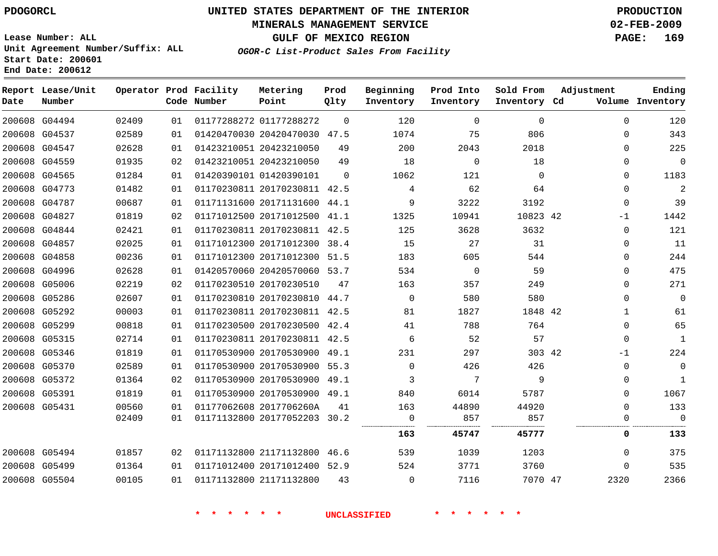#### **MINERALS MANAGEMENT SERVICE 02-FEB-2009**

**GULF OF MEXICO REGION PAGE: 169**

**Lease Number: ALL Unit Agreement Number/Suffix: ALL Start Date: 200601 End Date: 200612**

**OGOR-C List-Product Sales From Facility**

| Date | Report Lease/Unit<br>Number |       |    | Operator Prod Facility<br>Code Number | Metering<br>Point            | Prod<br>Qlty | Beginning<br>Inventory | Prod Into<br>Inventory | Sold From<br>Inventory Cd | Adjustment  | Ending<br>Volume Inventory |
|------|-----------------------------|-------|----|---------------------------------------|------------------------------|--------------|------------------------|------------------------|---------------------------|-------------|----------------------------|
|      | 200608 G04494               | 02409 | 01 |                                       | 01177288272 01177288272      | $\Omega$     | 120                    | $\Omega$               | $\Omega$                  | $\Omega$    | 120                        |
|      | 200608 G04537               | 02589 | 01 |                                       | 01420470030 20420470030 47.5 |              | 1074                   | 75                     | 806                       | 0           | 343                        |
|      | 200608 G04547               | 02628 | 01 |                                       | 01423210051 20423210050      | 49           | 200                    | 2043                   | 2018                      | $\Omega$    | 225                        |
|      | 200608 G04559               | 01935 | 02 |                                       | 01423210051 20423210050      | 49           | 18                     | 0                      | 18                        | 0           | $\mathbf 0$                |
|      | 200608 G04565               | 01284 | 01 |                                       | 01420390101 01420390101      | $\Omega$     | 1062                   | 121                    | $\Omega$                  | $\Omega$    | 1183                       |
|      | 200608 G04773               | 01482 | 01 |                                       | 01170230811 20170230811 42.5 |              | 4                      | 62                     | 64                        | $\mathbf 0$ | $\overline{a}$             |
|      | 200608 G04787               | 00687 | 01 |                                       | 01171131600 20171131600 44.1 |              | 9                      | 3222                   | 3192                      | 0           | 39                         |
|      | 200608 G04827               | 01819 | 02 |                                       | 01171012500 20171012500 41.1 |              | 1325                   | 10941                  | 10823 42                  | -1          | 1442                       |
|      | 200608 G04844               | 02421 | 01 |                                       | 01170230811 20170230811 42.5 |              | 125                    | 3628                   | 3632                      | $\Omega$    | 121                        |
|      | 200608 G04857               | 02025 | 01 |                                       | 01171012300 20171012300 38.4 |              | 15                     | 27                     | 31                        | $\Omega$    | 11                         |
|      | 200608 G04858               | 00236 | 01 |                                       | 01171012300 20171012300      | 51.5         | 183                    | 605                    | 544                       | $\Omega$    | 244                        |
|      | 200608 G04996               | 02628 | 01 |                                       | 01420570060 20420570060 53.7 |              | 534                    | $\Omega$               | 59                        | $\Omega$    | 475                        |
|      | 200608 G05006               | 02219 | 02 |                                       | 01170230510 20170230510      | 47           | 163                    | 357                    | 249                       | $\mathbf 0$ | 271                        |
|      | 200608 G05286               | 02607 | 01 |                                       | 01170230810 20170230810 44.7 |              | $\Omega$               | 580                    | 580                       | $\Omega$    | $\mathbf 0$                |
|      | 200608 G05292               | 00003 | 01 |                                       | 01170230811 20170230811 42.5 |              | 81                     | 1827                   | 1848 42                   | 1           | 61                         |
|      | 200608 G05299               | 00818 | 01 |                                       | 01170230500 20170230500 42.4 |              | 41                     | 788                    | 764                       | $\Omega$    | 65                         |
|      | 200608 G05315               | 02714 | 01 |                                       | 01170230811 20170230811 42.5 |              | 6                      | 52                     | 57                        | $\mathbf 0$ | 1                          |
|      | 200608 G05346               | 01819 | 01 |                                       | 01170530900 20170530900 49.1 |              | 231                    | 297                    | 303 42                    | $-1$        | 224                        |
|      | 200608 G05370               | 02589 | 01 |                                       | 01170530900 20170530900 55.3 |              | $\mathbf 0$            | 426                    | 426                       | $\mathbf 0$ | $\mathbf 0$                |
|      | 200608 G05372               | 01364 | 02 |                                       | 01170530900 20170530900 49.1 |              | 3                      | 7                      | 9                         | $\Omega$    | $\mathbf{1}$               |
|      | 200608 G05391               | 01819 | 01 |                                       | 01170530900 20170530900 49.1 |              | 840                    | 6014                   | 5787                      | 0           | 1067                       |
|      | 200608 G05431               | 00560 | 01 |                                       | 01177062608 2017706260A      | 41           | 163                    | 44890                  | 44920                     | $\Omega$    | 133                        |
|      |                             | 02409 | 01 |                                       | 01171132800 20177052203 30.2 |              | $\mathbf 0$<br>        | 857                    | 857                       | $\mathbf 0$ | $\mathbf{0}$               |
|      |                             |       |    |                                       |                              |              | 163                    | 45747                  | 45777                     | 0           | 133                        |
|      | 200608 G05494               | 01857 | 02 |                                       | 01171132800 21171132800      | 46.6         | 539                    | 1039                   | 1203                      | $\mathbf 0$ | 375                        |
|      | 200608 G05499               | 01364 | 01 |                                       | 01171012400 20171012400 52.9 |              | 524                    | 3771                   | 3760                      | $\Omega$    | 535                        |
|      | 200608 G05504               | 00105 | 01 |                                       | 01171132800 21171132800      | 43           | $\mathbf 0$            | 7116                   | 7070 47                   | 2320        | 2366                       |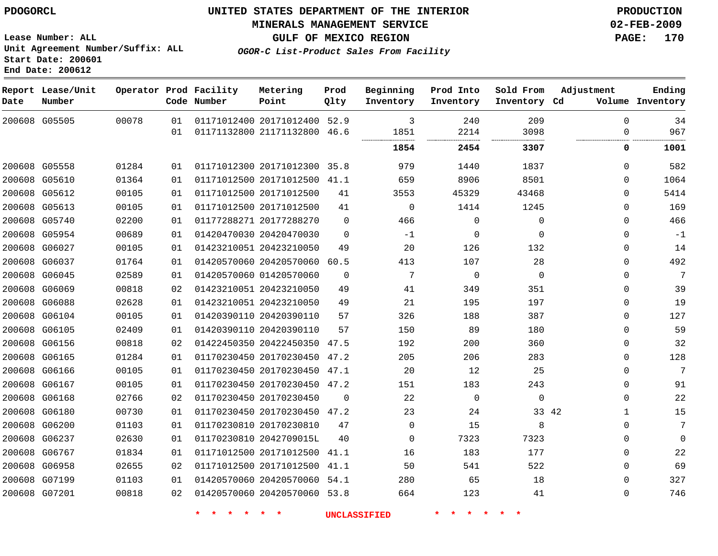#### **MINERALS MANAGEMENT SERVICE 02-FEB-2009**

**GULF OF MEXICO REGION PAGE: 170 OGOR-C List-Product Sales From Facility**

**Lease Number: ALL Unit Agreement Number/Suffix: ALL Start Date: 200601 End Date: 200612**

 G05505 G05558 G05610 G05612 G05613 G05740 G05954 G06027 G06037 G06045 G06069 G06088 G06104 G06105 G06156 G06165 G06166 G06167 G06168 G06180 G06200 G06237 G06767 G06958 G07199 G07201 **Report Lease/Unit Date Number Operator Prod Facility Code Number** 20171012400 52.9 21171132800 20171012300 35.8 20171012500 20171012500 20171012500 20177288270 20420470030 20423210050 20420570060 60.5 01420570060 20423210050 20423210050 20420390110 20420390110 20422450350 47.5 20170230450 47.2 20170230450 47.1 20170230450 47.2 20170230450 20170230450 47.2 20170230810 2042709015L 20171012500 41.1 20171012500 20420570060 20420570060 53.8 **Metering Point** 42 46.6 41.1  $\Omega$   $\Omega$  41.1 54.1 **Prod Qlty**  $\Omega$  -1  $\Omega$  $\Omega$  **Beginning Inventory** -1  $2.2$   $\Omega$  **Ending Inventory Cd Volume**  $\Omega$  $\Omega$   $\Omega$   $\Omega$  **Prod Into Inventory**  $\Omega$   $\Omega$   $\Omega$  **Sold From Inventory**  $\Omega$  $\Omega$  $\Omega$   $\Omega$  $\Omega$  $\Omega$  $\Omega$   $\Omega$  $\Omega$  $\Omega$  $\Omega$  $\Omega$   $\Omega$   $\Omega$   $\Omega$  $\Omega$  $\Omega$  $\Omega$  $\Omega$ **Adjustment 2454 3307 0 1001**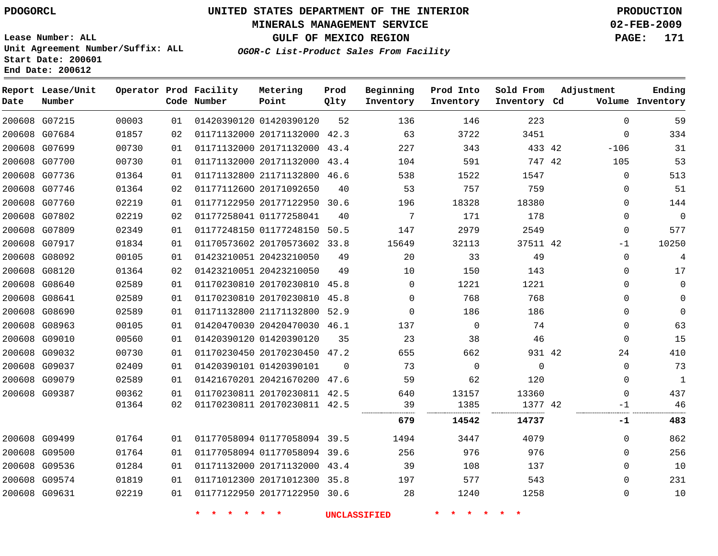#### **MINERALS MANAGEMENT SERVICE 02-FEB-2009**

**GULF OF MEXICO REGION PAGE: 171 OGOR-C List-Product Sales From Facility**

**Lease Number: ALL Unit Agreement Number/Suffix: ALL Start Date: 200601 End Date: 200612**

**Report Lease/Unit Operator Prod Facility Metering Prod Beginning Prod Into Sold From Adjustment Ending Number Point Date Code Number Qlty Inventory Inventory Inventory Inventory Cd Volume** G07215 01420390120  $\Omega$  G07684 20171132000 42.3  $\Omega$  G07699 20171132000 43.4 42  $-106$  G07700 20171132000 43.4 42 G07736 21171132800 46.6  $\Omega$  G07746 01177112600 20171092650  $\Omega$  G07760 20177122950 30.6  $\Omega$  G07802 01177258041  $\Omega$  $\Omega$  G07809 01177248150 50.5  $\Omega$  G07917 20170573602 33.8 42  $-1$  G08092 20423210050  $\Omega$  G08120 20423210050  $\Omega$  G08640 20170230810 45.8  $\Omega$   $\Omega$  $\Omega$  G08641 20170230810 45.8  $\Omega$   $\Omega$  G08690 21171132800 52.9  $\Omega$   $\Omega$  $\Omega$  G08963 20420470030 46.1  $\Omega$   $\Omega$  G09010 01420390120  $\Omega$  G09032 20170230450 47.2 42 G09037 01420390101  $\Omega$   $\Omega$  $\Omega$  $\Omega$  G09079 20421670200 47.6  $\Omega$  G09387 20170230811 42.5 20170230811 42.5 42 -1 . . . . . . **14542 14737 -1 483** G09499 01177058094 39.5  $\Omega$  G09500 01177058094 39.6  $\Omega$  G09536 20171132000 43.4  $\Omega$  G09574 20171012300 35.8  $\Omega$  G09631 20177122950 30.6  $\Omega$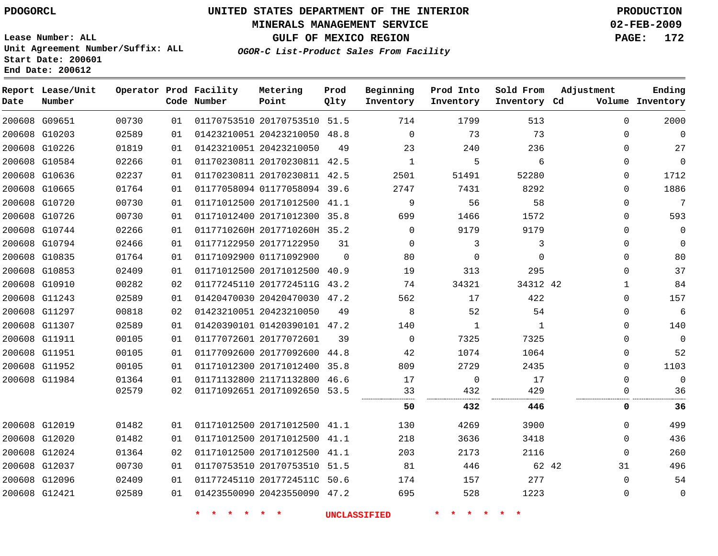#### **MINERALS MANAGEMENT SERVICE 02-FEB-2009**

**GULF OF MEXICO REGION PAGE: 172**

**Lease Number: ALL Unit Agreement Number/Suffix: ALL Start Date: 200601 End Date: 200612**

**OGOR-C List-Product Sales From Facility**

| Date | Report Lease/Unit<br>Number |       |    | Operator Prod Facility<br>Code Number | Metering<br>Point            | Prod<br>Qlty | Beginning<br>Inventory | Prod Into<br>Inventory | Sold From<br>Inventory Cd | Adjustment  | Ending<br>Volume Inventory |
|------|-----------------------------|-------|----|---------------------------------------|------------------------------|--------------|------------------------|------------------------|---------------------------|-------------|----------------------------|
|      | 200608 G09651               | 00730 | 01 |                                       | 01170753510 20170753510 51.5 |              | 714                    | 1799                   | 513                       | $\mathbf 0$ | 2000                       |
|      | 200608 G10203               | 02589 | 01 |                                       | 01423210051 20423210050 48.8 |              | $\Omega$               | 73                     | 73                        | $\Omega$    | $\Omega$                   |
|      | 200608 G10226               | 01819 | 01 |                                       | 01423210051 20423210050      | 49           | 23                     | 240                    | 236                       | $\Omega$    | 27                         |
|      | 200608 G10584               | 02266 | 01 |                                       | 01170230811 20170230811 42.5 |              | $\mathbf{1}$           | 5                      | 6                         | $\Omega$    | $\mathbf{0}$               |
|      | 200608 G10636               | 02237 | 01 |                                       | 01170230811 20170230811 42.5 |              | 2501                   | 51491                  | 52280                     | $\Omega$    | 1712                       |
|      | 200608 G10665               | 01764 | 01 |                                       | 01177058094 01177058094 39.6 |              | 2747                   | 7431                   | 8292                      | $\Omega$    | 1886                       |
|      | 200608 G10720               | 00730 | 01 |                                       | 01171012500 20171012500 41.1 |              | 9                      | 56                     | 58                        | $\Omega$    | 7                          |
|      | 200608 G10726               | 00730 | 01 |                                       | 01171012400 20171012300      | 35.8         | 699                    | 1466                   | 1572                      | $\Omega$    | 593                        |
|      | 200608 G10744               | 02266 | 01 |                                       | 0117710260H 2017710260H 35.2 |              | $\Omega$               | 9179                   | 9179                      | $\Omega$    | $\mathbf{0}$               |
|      | 200608 G10794               | 02466 | 01 |                                       | 01177122950 20177122950      | 31           | $\Omega$               | 3                      | 3                         | $\Omega$    | $\Omega$                   |
|      | 200608 G10835               | 01764 | 01 |                                       | 01171092900 01171092900      | $\Omega$     | 80                     | $\mathbf 0$            | $\Omega$                  | $\Omega$    | 80                         |
|      | 200608 G10853               | 02409 | 01 |                                       | 01171012500 20171012500 40.9 |              | 19                     | 313                    | 295                       | $\Omega$    | 37                         |
|      | 200608 G10910               | 00282 | 02 |                                       | 01177245110 2017724511G 43.2 |              | 74                     | 34321                  | 34312 42                  | 1           | 84                         |
|      | 200608 G11243               | 02589 | 01 |                                       | 01420470030 20420470030 47.2 |              | 562                    | 17                     | 422                       | $\Omega$    | 157                        |
|      | 200608 G11297               | 00818 | 02 |                                       | 01423210051 20423210050      | 49           | 8                      | 52                     | 54                        | 0           | 6                          |
|      | 200608 G11307               | 02589 | 01 |                                       | 01420390101 01420390101 47.2 |              | 140                    | 1                      | 1                         | $\Omega$    | 140                        |
|      | 200608 G11911               | 00105 | 01 |                                       | 01177072601 20177072601      | 39           | $\Omega$               | 7325                   | 7325                      | $\Omega$    | $\Omega$                   |
|      | 200608 G11951               | 00105 | 01 |                                       | 01177092600 20177092600      | 44.8         | 42                     | 1074                   | 1064                      | 0           | 52                         |
|      | 200608 G11952               | 00105 | 01 |                                       | 01171012300 20171012400 35.8 |              | 809                    | 2729                   | 2435                      | $\Omega$    | 1103                       |
|      | 200608 G11984               | 01364 | 01 |                                       | 01171132800 21171132800 46.6 |              | 17                     | $\mathbf 0$            | 17                        | $\Omega$    | $\Omega$                   |
|      |                             | 02579 | 02 |                                       | 01171092651 20171092650 53.5 |              | 33                     | 432                    | 429                       | $\Omega$    | 36                         |
|      |                             |       |    |                                       |                              |              | 50                     | 432                    | 446                       | 0           | 36                         |
|      | 200608 G12019               | 01482 | 01 |                                       | 01171012500 20171012500 41.1 |              | 130                    | 4269                   | 3900                      | $\Omega$    | 499                        |
|      | 200608 G12020               | 01482 | 01 |                                       | 01171012500 20171012500 41.1 |              | 218                    | 3636                   | 3418                      | $\Omega$    | 436                        |
|      | 200608 G12024               | 01364 | 02 |                                       | 01171012500 20171012500 41.1 |              | 203                    | 2173                   | 2116                      | $\mathbf 0$ | 260                        |
|      | 200608 G12037               | 00730 | 01 |                                       | 01170753510 20170753510 51.5 |              | 81                     | 446                    | 62 42                     | 31          | 496                        |
|      | 200608 G12096               | 02409 | 01 |                                       | 01177245110 2017724511C 50.6 |              | 174                    | 157                    | 277                       | $\Omega$    | 54                         |
|      | 200608 G12421               | 02589 | 01 |                                       | 01423550090 20423550090 47.2 |              | 695                    | 528                    | 1223                      | $\mathbf 0$ | $\mathbf 0$                |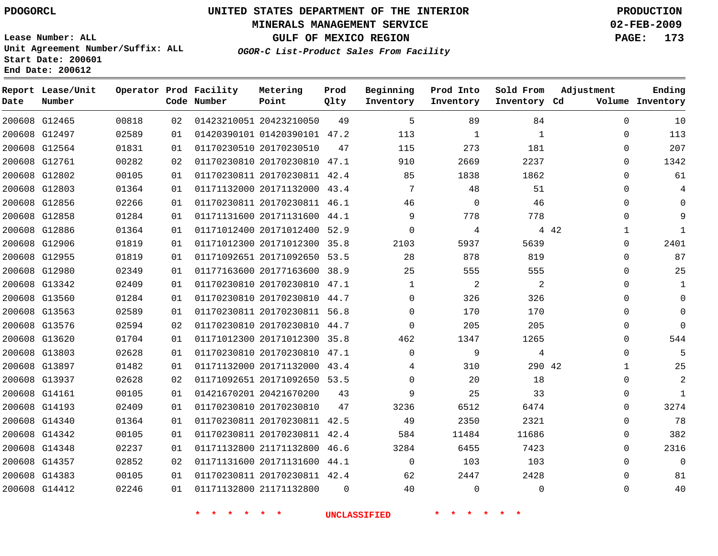# **UNITED STATES DEPARTMENT OF THE INTERIOR PDOGORCL PRODUCTION**

#### **MINERALS MANAGEMENT SERVICE 02-FEB-2009**

**GULF OF MEXICO REGION PAGE: 173**

**Lease Number: ALL Unit Agreement Number/Suffix: ALL Start Date: 200601 End Date: 200612**

**OGOR-C List-Product Sales From Facility**

| Date | Report Lease/Unit<br>Number |       |    | Operator Prod Facility<br>Code Number | Metering<br>Point            | Prod<br>Qlty | Beginning<br>Inventory | Prod Into<br>Inventory | Sold From<br>Inventory Cd | Adjustment   | Ending<br>Volume Inventory |
|------|-----------------------------|-------|----|---------------------------------------|------------------------------|--------------|------------------------|------------------------|---------------------------|--------------|----------------------------|
|      | 200608 G12465               | 00818 | 02 |                                       | 01423210051 20423210050      | 49           | 5                      | 89                     | 84                        | $\mathbf{0}$ | 10                         |
|      | 200608 G12497               | 02589 | 01 |                                       | 01420390101 01420390101 47.2 |              | 113                    | 1                      | 1                         | 0            | 113                        |
|      | 200608 G12564               | 01831 | 01 |                                       | 01170230510 20170230510      | 47           | 115                    | 273                    | 181                       | $\Omega$     | 207                        |
|      | 200608 G12761               | 00282 | 02 |                                       | 01170230810 20170230810 47.1 |              | 910                    | 2669                   | 2237                      | $\mathbf 0$  | 1342                       |
|      | 200608 G12802               | 00105 | 01 |                                       | 01170230811 20170230811 42.4 |              | 85                     | 1838                   | 1862                      | $\Omega$     | 61                         |
|      | 200608 G12803               | 01364 | 01 |                                       | 01171132000 20171132000 43.4 |              | 7                      | 48                     | 51                        | $\Omega$     |                            |
|      | 200608 G12856               | 02266 | 01 |                                       | 01170230811 20170230811 46.1 |              | 46                     | 0                      | 46                        | $\Omega$     | 0                          |
|      | 200608 G12858               | 01284 | 01 |                                       | 01171131600 20171131600 44.1 |              | 9                      | 778                    | 778                       | $\Omega$     | 9                          |
|      | 200608 G12886               | 01364 | 01 |                                       | 01171012400 20171012400 52.9 |              | $\Omega$               | 4                      |                           | 4 4 2<br>1   | $\mathbf{1}$               |
|      | 200608 G12906               | 01819 | 01 |                                       | 01171012300 20171012300 35.8 |              | 2103                   | 5937                   | 5639                      | $\Omega$     | 2401                       |
|      | 200608 G12955               | 01819 | 01 |                                       | 01171092651 20171092650 53.5 |              | 28                     | 878                    | 819                       | $\Omega$     | 87                         |
|      | 200608 G12980               | 02349 | 01 |                                       | 01177163600 20177163600 38.9 |              | 25                     | 555                    | 555                       | 0            | 25                         |
|      | 200608 G13342               | 02409 | 01 |                                       | 01170230810 20170230810 47.1 |              | 1                      | 2                      | 2                         | 0            | 1                          |
|      | 200608 G13560               | 01284 | 01 |                                       | 01170230810 20170230810 44.7 |              | $\Omega$               | 326                    | 326                       | $\Omega$     | $\Omega$                   |
|      | 200608 G13563               | 02589 | 01 |                                       | 01170230811 20170230811 56.8 |              | 0                      | 170                    | 170                       | $\mathbf{0}$ | $\Omega$                   |
|      | 200608 G13576               | 02594 | 02 |                                       | 01170230810 20170230810 44.7 |              | $\Omega$               | 205                    | 205                       | $\Omega$     | $\Omega$                   |
|      | 200608 G13620               | 01704 | 01 |                                       | 01171012300 20171012300 35.8 |              | 462                    | 1347                   | 1265                      | $\Omega$     | 544                        |
|      | 200608 G13803               | 02628 | 01 |                                       | 01170230810 20170230810 47.1 |              | $\Omega$               | 9                      | 4                         | 0            | 5                          |
|      | 200608 G13897               | 01482 | 01 |                                       | 01171132000 20171132000 43.4 |              | 4                      | 310                    | 290 42                    | $\mathbf 1$  | 25                         |
|      | 200608 G13937               | 02628 | 02 |                                       | 01171092651 20171092650 53.5 |              | $\Omega$               | 20                     | 18                        | $\Omega$     | $\overline{2}$             |
|      | 200608 G14161               | 00105 | 01 |                                       | 01421670201 20421670200      | 43           | 9                      | 25                     | 33                        | 0            | $\mathbf{1}$               |
|      | 200608 G14193               | 02409 | 01 |                                       | 01170230810 20170230810      | 47           | 3236                   | 6512                   | 6474                      | $\Omega$     | 3274                       |
|      | 200608 G14340               | 01364 | 01 |                                       | 01170230811 20170230811 42.5 |              | 49                     | 2350                   | 2321                      | $\mathbf 0$  | 78                         |
|      | 200608 G14342               | 00105 | 01 |                                       | 01170230811 20170230811 42.4 |              | 584                    | 11484                  | 11686                     | 0            | 382                        |
|      | 200608 G14348               | 02237 | 01 |                                       | 01171132800 21171132800      | 46.6         | 3284                   | 6455                   | 7423                      | $\Omega$     | 2316                       |
|      | 200608 G14357               | 02852 | 02 |                                       | 01171131600 20171131600 44.1 |              | $\mathbf 0$            | 103                    | 103                       | $\Omega$     | $\mathbf 0$                |
|      | 200608 G14383               | 00105 | 01 |                                       | 01170230811 20170230811 42.4 |              | 62                     | 2447                   | 2428                      | $\Omega$     | 81                         |
|      | 200608 G14412               | 02246 | 01 |                                       | 01171132800 21171132800      | $\Omega$     | 40                     | $\Omega$               | $\Omega$                  | $\Omega$     | 40                         |
|      |                             |       |    |                                       |                              |              |                        |                        |                           |              |                            |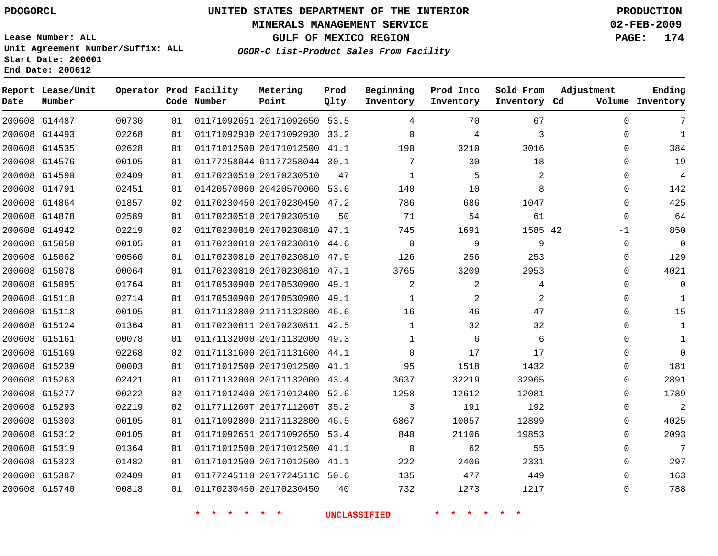#### **MINERALS MANAGEMENT SERVICE 02-FEB-2009**

**GULF OF MEXICO REGION PAGE: 174**

**Lease Number: ALL Unit Agreement Number/Suffix: ALL Start Date: 200601 End Date: 200612**

**OGOR-C List-Product Sales From Facility**

| Date          | Report Lease/Unit<br>Number |       |    | Operator Prod Facility<br>Code Number | Metering<br>Point            | Prod<br>Qlty | Beginning<br>Inventory | Prod Into<br>Inventory | Sold From<br>Inventory Cd | Adjustment  | Ending<br>Volume Inventory |
|---------------|-----------------------------|-------|----|---------------------------------------|------------------------------|--------------|------------------------|------------------------|---------------------------|-------------|----------------------------|
|               | 200608 G14487               | 00730 | 01 |                                       | 01171092651 20171092650 53.5 |              | 4                      | 70                     | 67                        | $\mathbf 0$ | 7                          |
|               | 200608 G14493               | 02268 | 01 |                                       | 01171092930 20171092930 33.2 |              | $\Omega$               | 4                      | 3                         | $\Omega$    | $\mathbf{1}$               |
|               | 200608 G14535               | 02628 | 01 |                                       | 01171012500 20171012500 41.1 |              | 190                    | 3210                   | 3016                      | $\mathbf 0$ | 384                        |
|               | 200608 G14576               | 00105 | 01 |                                       | 01177258044 01177258044 30.1 |              | 7                      | 30                     | 18                        | $\Omega$    | 19                         |
|               | 200608 G14590               | 02409 | 01 |                                       | 01170230510 20170230510      | 47           | $\mathbf{1}$           | 5                      | 2                         | $\mathbf 0$ | $\sqrt{4}$                 |
|               | 200608 G14791               | 02451 | 01 |                                       | 01420570060 20420570060 53.6 |              | 140                    | 10                     | 8                         | $\Omega$    | 142                        |
|               | 200608 G14864               | 01857 | 02 |                                       | 01170230450 20170230450 47.2 |              | 786                    | 686                    | 1047                      | $\Omega$    | 425                        |
|               | 200608 G14878               | 02589 | 01 |                                       | 01170230510 20170230510      | 50           | 71                     | 54                     | 61                        | $\mathbf 0$ | 64                         |
|               | 200608 G14942               | 02219 | 02 |                                       | 01170230810 20170230810 47.1 |              | 745                    | 1691                   | 1585 42                   | -1          | 850                        |
|               | 200608 G15050               | 00105 | 01 |                                       | 01170230810 20170230810 44.6 |              | $\mathbf 0$            | 9                      | 9                         | $\Omega$    | $\mathbf 0$                |
|               | 200608 G15062               | 00560 | 01 |                                       | 01170230810 20170230810 47.9 |              | 126                    | 256                    | 253                       | 0           | 129                        |
|               | 200608 G15078               | 00064 | 01 |                                       | 01170230810 20170230810 47.1 |              | 3765                   | 3209                   | 2953                      | $\mathbf 0$ | 4021                       |
|               | 200608 G15095               | 01764 | 01 |                                       | 01170530900 20170530900 49.1 |              | 2                      | $\overline{2}$         | 4                         | $\mathbf 0$ | $\overline{0}$             |
|               | 200608 G15110               | 02714 | 01 |                                       | 01170530900 20170530900 49.1 |              | $\mathbf{1}$           | 2                      | 2                         | $\Omega$    | 1                          |
|               | 200608 G15118               | 00105 | 01 |                                       | 01171132800 21171132800 46.6 |              | 16                     | 46                     | 47                        | 0           | 15                         |
|               | 200608 G15124               | 01364 | 01 |                                       | 01170230811 20170230811 42.5 |              | $\mathbf{1}$           | 32                     | 32                        | $\Omega$    | $\mathbf{1}$               |
|               | 200608 G15161               | 00078 | 01 |                                       | 01171132000 20171132000 49.3 |              | $\mathbf{1}$           | 6                      | 6                         | 0           | $\mathbf{1}$               |
|               | 200608 G15169               | 02268 | 02 |                                       | 01171131600 20171131600 44.1 |              | $\Omega$               | 17                     | 17                        | $\Omega$    | $\Omega$                   |
|               | 200608 G15239               | 00003 | 01 |                                       | 01171012500 20171012500 41.1 |              | 95                     | 1518                   | 1432                      | $\Omega$    | 181                        |
|               | 200608 G15263               | 02421 | 01 |                                       | 01171132000 20171132000 43.4 |              | 3637                   | 32219                  | 32965                     | 0           | 2891                       |
|               | 200608 G15277               | 00222 | 02 |                                       | 01171012400 20171012400 52.6 |              | 1258                   | 12612                  | 12081                     | 0           | 1789                       |
|               | 200608 G15293               | 02219 | 02 |                                       | 0117711260T 2017711260T 35.2 |              | 3                      | 191                    | 192                       | $\Omega$    | $\overline{2}$             |
|               | 200608 G15303               | 00105 | 01 |                                       | 01171092800 21171132800 46.5 |              | 6867                   | 10057                  | 12899                     | $\Omega$    | 4025                       |
|               | 200608 G15312               | 00105 | 01 |                                       | 01171092651 20171092650 53.4 |              | 840                    | 21106                  | 19853                     | 0           | 2093                       |
| 200608 G15319 |                             | 01364 | 01 |                                       | 01171012500 20171012500 41.1 |              | $\overline{0}$         | 62                     | 55                        | 0           | 7                          |
|               | 200608 G15323               | 01482 | 01 |                                       | 01171012500 20171012500 41.1 |              | 222                    | 2406                   | 2331                      | 0           | 297                        |
|               | 200608 G15387               | 02409 | 01 |                                       | 01177245110 2017724511C 50.6 |              | 135                    | 477                    | 449                       | $\Omega$    | 163                        |
|               | 200608 G15740               | 00818 | 01 |                                       | 01170230450 20170230450      | 40           | 732                    | 1273                   | 1217                      | $\Omega$    | 788                        |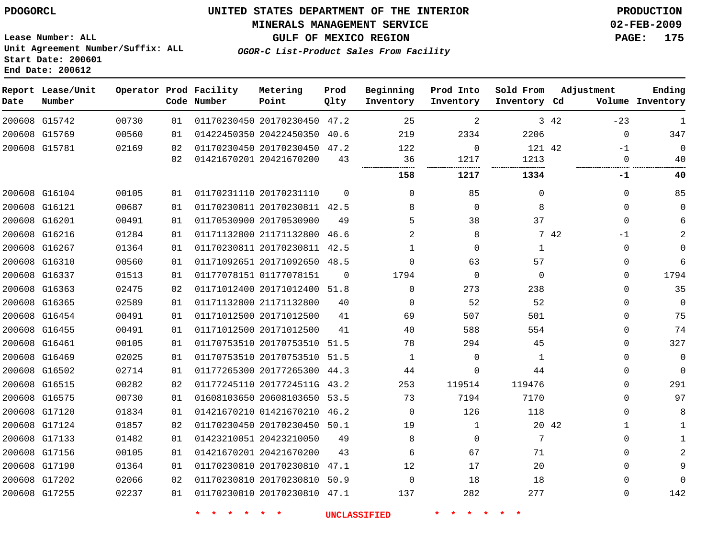#### **MINERALS MANAGEMENT SERVICE 02-FEB-2009**

**GULF OF MEXICO REGION PAGE: 175**

**Lease Number: ALL Unit Agreement Number/Suffix: ALL Start Date: 200601 End Date: 200612**

**OGOR-C List-Product Sales From Facility**

| Date | Report Lease/Unit<br>Number |       |    | Operator Prod Facility<br>Code Number | Metering<br>Point            | Prod<br>Qlty | Beginning<br>Inventory | Prod Into<br>Inventory | Sold From<br>Inventory Cd | Adjustment |             | Ending<br>Volume Inventory |
|------|-----------------------------|-------|----|---------------------------------------|------------------------------|--------------|------------------------|------------------------|---------------------------|------------|-------------|----------------------------|
|      | 200608 G15742               | 00730 | 01 |                                       | 01170230450 20170230450 47.2 |              | 25                     | 2                      |                           | 3 42       | $-23$       | 1                          |
|      | 200608 G15769               | 00560 | 01 |                                       | 01422450350 20422450350      | 40.6         | 219                    | 2334                   | 2206                      |            | $\mathbf 0$ | 347                        |
|      | 200608 G15781               | 02169 | 02 |                                       | 01170230450 20170230450 47.2 |              | 122                    | $\mathbf 0$            | 121 42                    |            | $-1$        | $\Omega$                   |
|      |                             |       | 02 |                                       | 01421670201 20421670200      | 43           | 36                     | 1217                   | 1213                      |            | 0           | 40                         |
|      |                             |       |    |                                       |                              |              | 158                    | 1217                   | 1334                      |            | -1          | 40                         |
|      | 200608 G16104               | 00105 | 01 |                                       | 01170231110 20170231110      | $\Omega$     | $\Omega$               | 85                     | 0                         |            | 0           | 85                         |
|      | 200608 G16121               | 00687 | 01 |                                       | 01170230811 20170230811 42.5 |              | 8                      | $\mathbf 0$            | 8                         |            | $\Omega$    | $\Omega$                   |
|      | 200608 G16201               | 00491 | 01 |                                       | 01170530900 20170530900      | 49           | 5                      | 38                     | 37                        |            | $\Omega$    |                            |
|      | 200608 G16216               | 01284 | 01 |                                       | 01171132800 21171132800      | 46.6         | $\overline{a}$         | 8                      |                           | 7 42       | $-1$        |                            |
|      | 200608 G16267               | 01364 | 01 |                                       | 01170230811 20170230811 42.5 |              | $\mathbf{1}$           | $\mathbf 0$            | $\mathbf{1}$              |            | $\Omega$    | $\Omega$                   |
|      | 200608 G16310               | 00560 | 01 |                                       | 01171092651 20171092650      | 48.5         | $\Omega$               | 63                     | 57                        |            | $\Omega$    | 6                          |
|      | 200608 G16337               | 01513 | 01 |                                       | 01177078151 01177078151      | $\Omega$     | 1794                   | $\mathbf 0$            | $\Omega$                  |            | $\Omega$    | 1794                       |
|      | 200608 G16363               | 02475 | 02 |                                       | 01171012400 20171012400 51.8 |              | $\Omega$               | 273                    | 238                       |            | 0           | 35                         |
|      | 200608 G16365               | 02589 | 01 |                                       | 01171132800 21171132800      | 40           | $\Omega$               | 52                     | 52                        |            | $\Omega$    | $\Omega$                   |
|      | 200608 G16454               | 00491 | 01 |                                       | 01171012500 20171012500      | 41           | 69                     | 507                    | 501                       |            | $\Omega$    | 75                         |
|      | 200608 G16455               | 00491 | 01 |                                       | 01171012500 20171012500      | 41           | 40                     | 588                    | 554                       |            | 0           | 74                         |
|      | 200608 G16461               | 00105 | 01 |                                       | 01170753510 20170753510 51.5 |              | 78                     | 294                    | 45                        |            | 0           | 327                        |
|      | 200608 G16469               | 02025 | 01 |                                       | 01170753510 20170753510 51.5 |              | $\mathbf{1}$           | $\mathbf 0$            | $\mathbf{1}$              |            | $\Omega$    | $\Omega$                   |
|      | 200608 G16502               | 02714 | 01 |                                       | 01177265300 20177265300 44.3 |              | 44                     | 0                      | 44                        |            | $\Omega$    | $\Omega$                   |
|      | 200608 G16515               | 00282 | 02 |                                       | 01177245110 2017724511G 43.2 |              | 253                    | 119514                 | 119476                    |            | $\Omega$    | 291                        |
|      | 200608 G16575               | 00730 | 01 |                                       | 01608103650 20608103650 53.5 |              | 73                     | 7194                   | 7170                      |            | $\Omega$    | 97                         |
|      | 200608 G17120               | 01834 | 01 |                                       | 01421670210 01421670210 46.2 |              | $\Omega$               | 126                    | 118                       |            | 0           | 8                          |
|      | 200608 G17124               | 01857 | 02 |                                       | 01170230450 20170230450 50.1 |              | 19                     | $\mathbf{1}$           |                           | 20 42      | 1           |                            |
|      | 200608 G17133               | 01482 | 01 |                                       | 01423210051 20423210050      | 49           | 8                      | 0                      | 7                         |            | $\Omega$    |                            |
|      | 200608 G17156               | 00105 | 01 |                                       | 01421670201 20421670200      | 43           | 6                      | 67                     | 71                        |            | 0           |                            |
|      | 200608 G17190               | 01364 | 01 |                                       | 01170230810 20170230810      | 47.1         | 12                     | 17                     | 20                        |            | $\Omega$    |                            |
|      | 200608 G17202               | 02066 | 02 |                                       | 01170230810 20170230810      | 50.9         | $\mathbf 0$            | 18                     | 18                        |            | $\Omega$    | $\Omega$                   |
|      | 200608 G17255               | 02237 | 01 |                                       | 01170230810 20170230810 47.1 |              | 137                    | 282                    | 277                       |            | 0           | 142                        |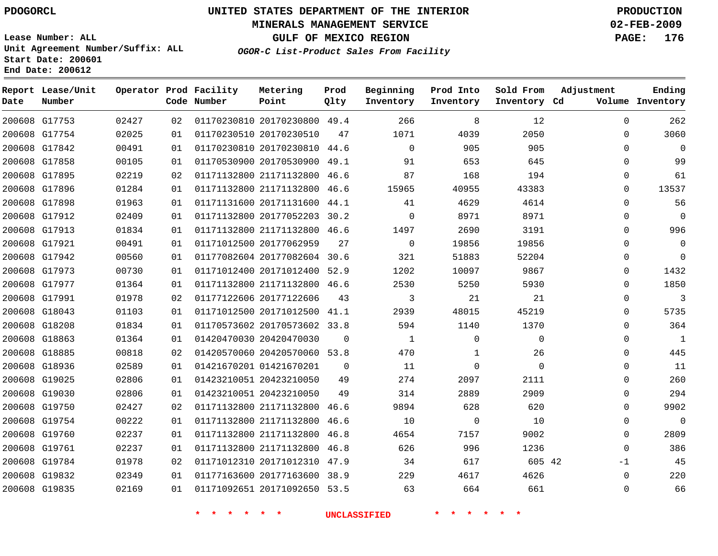#### **MINERALS MANAGEMENT SERVICE 02-FEB-2009**

**GULF OF MEXICO REGION PAGE: 176**

**Lease Number: ALL Unit Agreement Number/Suffix: ALL Start Date: 200601 End Date: 200612**

**OGOR-C List-Product Sales From Facility**

| Date | Report Lease/Unit<br>Number |       |                 | Operator Prod Facility<br>Code Number | Metering<br>Point            | Prod<br>Qlty | Beginning<br>Inventory | Prod Into<br>Inventory | Sold From<br>Inventory Cd | Adjustment  | Ending<br>Volume Inventory |
|------|-----------------------------|-------|-----------------|---------------------------------------|------------------------------|--------------|------------------------|------------------------|---------------------------|-------------|----------------------------|
|      | 200608 G17753               | 02427 | 02 <sub>o</sub> |                                       | 01170230810 20170230800 49.4 |              | 266                    | 8                      | 12                        | $\Omega$    | 262                        |
|      | 200608 G17754               | 02025 | 01              |                                       | 01170230510 20170230510      | 47           | 1071                   | 4039                   | 2050                      | $\Omega$    | 3060                       |
|      | 200608 G17842               | 00491 | 01              |                                       | 01170230810 20170230810 44.6 |              | $\Omega$               | 905                    | 905                       | $\mathbf 0$ | $\Omega$                   |
|      | 200608 G17858               | 00105 | 01              |                                       | 01170530900 20170530900 49.1 |              | 91                     | 653                    | 645                       | $\Omega$    | 99                         |
|      | 200608 G17895               | 02219 | 02              |                                       | 01171132800 21171132800 46.6 |              | 87                     | 168                    | 194                       | 0           | 61                         |
|      | 200608 G17896               | 01284 | 01              |                                       | 01171132800 21171132800 46.6 |              | 15965                  | 40955                  | 43383                     | $\mathbf 0$ | 13537                      |
|      | 200608 G17898               | 01963 | 01              |                                       | 01171131600 20171131600 44.1 |              | 41                     | 4629                   | 4614                      | $\mathbf 0$ | 56                         |
|      | 200608 G17912               | 02409 | 01              |                                       | 01171132800 20177052203 30.2 |              | $\Omega$               | 8971                   | 8971                      | 0           | $\mathbf 0$                |
|      | 200608 G17913               | 01834 | 01              |                                       | 01171132800 21171132800 46.6 |              | 1497                   | 2690                   | 3191                      | $\Omega$    | 996                        |
|      | 200608 G17921               | 00491 | 01              |                                       | 01171012500 20177062959      | 27           | $\mathbf 0$            | 19856                  | 19856                     | $\Omega$    | $\mathbf 0$                |
|      | 200608 G17942               | 00560 | 01              |                                       | 01177082604 20177082604 30.6 |              | 321                    | 51883                  | 52204                     | 0           | $\Omega$                   |
|      | 200608 G17973               | 00730 | 01              |                                       | 01171012400 20171012400 52.9 |              | 1202                   | 10097                  | 9867                      | 0           | 1432                       |
|      | 200608 G17977               | 01364 | 01              |                                       | 01171132800 21171132800 46.6 |              | 2530                   | 5250                   | 5930                      | $\Omega$    | 1850                       |
|      | 200608 G17991               | 01978 | 02              |                                       | 01177122606 20177122606      | 43           | 3                      | 21                     | 21                        | 0           | 3                          |
|      | 200608 G18043               | 01103 | 01              |                                       | 01171012500 20171012500 41.1 |              | 2939                   | 48015                  | 45219                     | $\mathbf 0$ | 5735                       |
|      | 200608 G18208               | 01834 | 01              |                                       | 01170573602 20170573602 33.8 |              | 594                    | 1140                   | 1370                      | 0           | 364                        |
|      | 200608 G18863               | 01364 | 01              |                                       | 01420470030 20420470030      | $\mathbf 0$  | $\mathbf{1}$           | $\mathbf 0$            | $\mathbf 0$               | 0           | $\mathbf{1}$               |
|      | 200608 G18885               | 00818 | 02              |                                       | 01420570060 20420570060 53.8 |              | 470                    | 1                      | 26                        | 0           | 445                        |
|      | 200608 G18936               | 02589 | 01              |                                       | 01421670201 01421670201      | $\mathbf 0$  | 11                     | $\mathbf 0$            | $\Omega$                  | $\mathbf 0$ | 11                         |
|      | 200608 G19025               | 02806 | 01              |                                       | 01423210051 20423210050      | 49           | 274                    | 2097                   | 2111                      | $\mathbf 0$ | 260                        |
|      | 200608 G19030               | 02806 | 01              |                                       | 01423210051 20423210050      | 49           | 314                    | 2889                   | 2909                      | 0           | 294                        |
|      | 200608 G19750               | 02427 | 02              |                                       | 01171132800 21171132800 46.6 |              | 9894                   | 628                    | 620                       | 0           | 9902                       |
|      | 200608 G19754               | 00222 | 01              |                                       | 01171132800 21171132800 46.6 |              | 10                     | $\mathbf 0$            | 10                        | $\mathbf 0$ | $\Omega$                   |
|      | 200608 G19760               | 02237 | 01              |                                       | 01171132800 21171132800 46.8 |              | 4654                   | 7157                   | 9002                      | $\Omega$    | 2809                       |
|      | 200608 G19761               | 02237 | 01              |                                       | 01171132800 21171132800 46.8 |              | 626                    | 996                    | 1236                      | $\Omega$    | 386                        |
|      | 200608 G19784               | 01978 | 02              |                                       | 01171012310 20171012310 47.9 |              | 34                     | 617                    | 605 42                    | $-1$        | 45                         |
|      | 200608 G19832               | 02349 | 01              |                                       | 01177163600 20177163600 38.9 |              | 229                    | 4617                   | 4626                      | $\mathbf 0$ | 220                        |
|      | 200608 G19835               | 02169 | 01              |                                       | 01171092651 20171092650 53.5 |              | 63                     | 664                    | 661                       | $\mathbf 0$ | 66                         |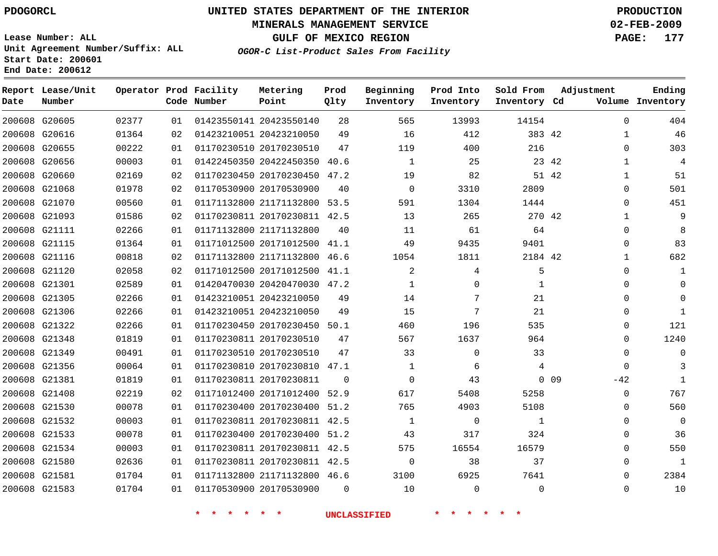#### **MINERALS MANAGEMENT SERVICE 02-FEB-2009**

**GULF OF MEXICO REGION PAGE: 177**

**OGOR-C List-Product Sales From Facility**

**Lease Number: ALL Unit Agreement Number/Suffix: ALL Start Date: 200601 End Date: 200612**

| Date | Report Lease/Unit<br>Number |       |    | Operator Prod Facility<br>Code Number | Metering<br>Point            | Prod<br>Qlty | Beginning<br>Inventory | Prod Into<br>Inventory | Sold From<br>Inventory Cd | Adjustment            | Ending<br>Volume Inventory |
|------|-----------------------------|-------|----|---------------------------------------|------------------------------|--------------|------------------------|------------------------|---------------------------|-----------------------|----------------------------|
|      | 200608 G20605               | 02377 | 01 |                                       | 01423550141 20423550140      | 28           | 565                    | 13993                  | 14154                     | $\Omega$              | 404                        |
|      | 200608 G20616               | 01364 | 02 |                                       | 01423210051 20423210050      | 49           | 16                     | 412                    | 383 42                    | $\mathbf{1}$          | 46                         |
|      | 200608 G20655               | 00222 | 01 |                                       | 01170230510 20170230510      | 47           | 119                    | 400                    | 216                       | $\mathbf{0}$          | 303                        |
|      | 200608 G20656               | 00003 | 01 |                                       | 01422450350 20422450350      | 40.6         | 1                      | 25                     |                           | 23 42<br>$\mathbf{1}$ | $\overline{4}$             |
|      | 200608 G20660               | 02169 | 02 |                                       | 01170230450 20170230450 47.2 |              | 19                     | 82                     |                           | 51 42<br>$\mathbf 1$  | 51                         |
|      | 200608 G21068               | 01978 | 02 |                                       | 01170530900 20170530900      | 40           | $\mathbf 0$            | 3310                   | 2809                      | $\Omega$              | 501                        |
|      | 200608 G21070               | 00560 | 01 |                                       | 01171132800 21171132800 53.5 |              | 591                    | 1304                   | 1444                      | $\mathbf 0$           | 451                        |
|      | 200608 G21093               | 01586 | 02 |                                       | 01170230811 20170230811 42.5 |              | 13                     | 265                    | 270 42                    | $\mathbf{1}$          | 9                          |
|      | 200608 G21111               | 02266 | 01 |                                       | 01171132800 21171132800      | 40           | 11                     | 61                     | 64                        | $\mathbf 0$           | 8                          |
|      | 200608 G21115               | 01364 | 01 |                                       | 01171012500 20171012500 41.1 |              | 49                     | 9435                   | 9401                      | 0                     | 83                         |
|      | 200608 G21116               | 00818 | 02 |                                       | 01171132800 21171132800 46.6 |              | 1054                   | 1811                   | 2184 42                   | $\mathbf{1}$          | 682                        |
|      | 200608 G21120               | 02058 | 02 |                                       | 01171012500 20171012500 41.1 |              | 2                      | 4                      | 5                         | 0                     | 1                          |
|      | 200608 G21301               | 02589 | 01 |                                       | 01420470030 20420470030 47.2 |              | $\mathbf{1}$           | $\Omega$               | $\mathbf{1}$              | $\Omega$              | $\Omega$                   |
|      | 200608 G21305               | 02266 | 01 |                                       | 01423210051 20423210050      | 49           | 14                     | 7                      | 21                        | $\Omega$              | $\mathbf 0$                |
|      | 200608 G21306               | 02266 | 01 |                                       | 01423210051 20423210050      | 49           | 15                     | 7                      | 21                        | $\Omega$              | $\mathbf{1}$               |
|      | 200608 G21322               | 02266 | 01 |                                       | 01170230450 20170230450 50.1 |              | 460                    | 196                    | 535                       | $\mathbf{0}$          | 121                        |
|      | 200608 G21348               | 01819 | 01 |                                       | 01170230811 20170230510      | 47           | 567                    | 1637                   | 964                       | $\Omega$              | 1240                       |
|      | 200608 G21349               | 00491 | 01 |                                       | 01170230510 20170230510      | 47           | 33                     | $\mathbf 0$            | 33                        | $\Omega$              | $\mathbf 0$                |
|      | 200608 G21356               | 00064 | 01 |                                       | 01170230810 20170230810 47.1 |              | $\mathbf{1}$           | 6                      | 4                         | $\Omega$              | 3                          |
|      | 200608 G21381               | 01819 | 01 |                                       | 01170230811 20170230811      | $\Omega$     | $\mathbf 0$            | 43                     |                           | $0$ 09<br>$-42$       | $\mathbf{1}$               |
|      | 200608 G21408               | 02219 | 02 |                                       | 01171012400 20171012400      | 52.9         | 617                    | 5408                   | 5258                      | $\mathbf 0$           | 767                        |
|      | 200608 G21530               | 00078 | 01 |                                       | 01170230400 20170230400 51.2 |              | 765                    | 4903                   | 5108                      | $\Omega$              | 560                        |
|      | 200608 G21532               | 00003 | 01 |                                       | 01170230811 20170230811 42.5 |              | 1                      | $\Omega$               | $\mathbf{1}$              | $\Omega$              | $\overline{0}$             |
|      | 200608 G21533               | 00078 | 01 |                                       | 01170230400 20170230400 51.2 |              | 43                     | 317                    | 324                       | $\Omega$              | 36                         |
|      | 200608 G21534               | 00003 | 01 |                                       | 01170230811 20170230811 42.5 |              | 575                    | 16554                  | 16579                     | $\mathbf{0}$          | 550                        |
|      | 200608 G21580               | 02636 | 01 |                                       | 01170230811 20170230811 42.5 |              | $\mathbf 0$            | 38                     | 37                        | $\Omega$              | $\mathbf{1}$               |
|      | 200608 G21581               | 01704 | 01 |                                       | 01171132800 21171132800 46.6 |              | 3100                   | 6925                   | 7641                      | $\mathbf 0$           | 2384                       |
|      | 200608 G21583               | 01704 | 01 |                                       | 01170530900 20170530900      | $\Omega$     | 10                     | $\Omega$               | $\Omega$                  | $\mathbf 0$           | 10                         |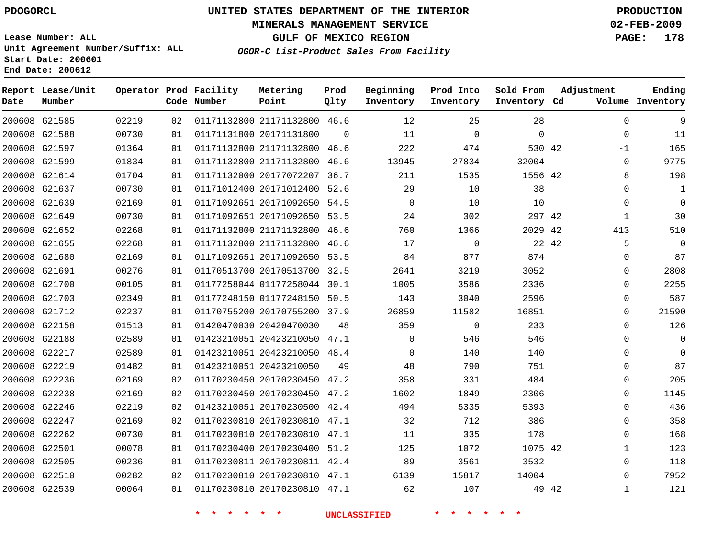#### **MINERALS MANAGEMENT SERVICE 02-FEB-2009**

**GULF OF MEXICO REGION PAGE: 178**

**Lease Number: ALL Unit Agreement Number/Suffix: ALL Start Date: 200601 End Date: 200612**

**OGOR-C List-Product Sales From Facility**

| Date | Report Lease/Unit<br>Number |       |    | Operator Prod Facility<br>Code Number | Metering<br>Point            | Prod<br>Qlty | Beginning<br>Inventory | Prod Into<br>Inventory | Sold From<br>Inventory Cd | Adjustment            | Ending<br>Volume Inventory |
|------|-----------------------------|-------|----|---------------------------------------|------------------------------|--------------|------------------------|------------------------|---------------------------|-----------------------|----------------------------|
|      | 200608 G21585               | 02219 | 02 |                                       | 01171132800 21171132800 46.6 |              | 12                     | 25                     | 28                        | $\Omega$              | 9                          |
|      | 200608 G21588               | 00730 | 01 |                                       | 01171131800 20171131800      | $\Omega$     | 11                     | $\mathbf 0$            | $\mathbf 0$               | $\mathbf{0}$          | 11                         |
|      | 200608 G21597               | 01364 | 01 |                                       | 01171132800 21171132800 46.6 |              | 222                    | 474                    | 530 42                    | $-1$                  | 165                        |
|      | 200608 G21599               | 01834 | 01 |                                       | 01171132800 21171132800      | 46.6         | 13945                  | 27834                  | 32004                     | 0                     | 9775                       |
|      | 200608 G21614               | 01704 | 01 |                                       | 01171132000 20177072207      | 36.7         | 211                    | 1535                   | 1556 42                   | 8                     | 198                        |
|      | 200608 G21637               | 00730 | 01 |                                       | 01171012400 20171012400 52.6 |              | 29                     | 10                     | 38                        | $\Omega$              |                            |
|      | 200608 G21639               | 02169 | 01 |                                       | 01171092651 20171092650 54.5 |              | $\Omega$               | 10                     | 10                        | $\Omega$              | $\Omega$                   |
|      | 200608 G21649               | 00730 | 01 |                                       | 01171092651 20171092650 53.5 |              | 24                     | 302                    | 297 42                    | $\mathbf{1}$          | 30                         |
|      | 200608 G21652               | 02268 | 01 |                                       | 01171132800 21171132800 46.6 |              | 760                    | 1366                   | 2029 42                   | 413                   | 510                        |
|      | 200608 G21655               | 02268 | 01 |                                       | 01171132800 21171132800 46.6 |              | 17                     | $\mathbf 0$            |                           | 5<br>22 42            | $\Omega$                   |
|      | 200608 G21680               | 02169 | 01 |                                       | 01171092651 20171092650 53.5 |              | 84                     | 877                    | 874                       | 0                     | 87                         |
|      | 200608 G21691               | 00276 | 01 |                                       | 01170513700 20170513700 32.5 |              | 2641                   | 3219                   | 3052                      | 0                     | 2808                       |
|      | 200608 G21700               | 00105 | 01 |                                       | 01177258044 01177258044 30.1 |              | 1005                   | 3586                   | 2336                      | $\Omega$              | 2255                       |
|      | 200608 G21703               | 02349 | 01 |                                       | 01177248150 01177248150 50.5 |              | 143                    | 3040                   | 2596                      | 0                     | 587                        |
|      | 200608 G21712               | 02237 | 01 |                                       | 01170755200 20170755200 37.9 |              | 26859                  | 11582                  | 16851                     | $\Omega$              | 21590                      |
|      | 200608 G22158               | 01513 | 01 |                                       | 01420470030 20420470030      | 48           | 359                    | $\mathbf 0$            | 233                       | $\Omega$              | 126                        |
|      | 200608 G22188               | 02589 | 01 |                                       | 01423210051 20423210050 47.1 |              | $\Omega$               | 546                    | 546                       | $\Omega$              | $\Omega$                   |
|      | 200608 G22217               | 02589 | 01 |                                       | 01423210051 20423210050 48.4 |              | $\Omega$               | 140                    | 140                       | $\Omega$              | $\Omega$                   |
|      | 200608 G22219               | 01482 | 01 |                                       | 01423210051 20423210050      | 49           | 48                     | 790                    | 751                       | 0                     | 87                         |
|      | 200608 G22236               | 02169 | 02 |                                       | 01170230450 20170230450 47.2 |              | 358                    | 331                    | 484                       | 0                     | 205                        |
|      | 200608 G22238               | 02169 | 02 |                                       | 01170230450 20170230450 47.2 |              | 1602                   | 1849                   | 2306                      | 0                     | 1145                       |
|      | 200608 G22246               | 02219 | 02 |                                       | 01423210051 20170230500 42.4 |              | 494                    | 5335                   | 5393                      | $\mathbf 0$           | 436                        |
|      | 200608 G22247               | 02169 | 02 |                                       | 01170230810 20170230810 47.1 |              | 32                     | 712                    | 386                       | 0                     | 358                        |
|      | 200608 G22262               | 00730 | 01 |                                       | 01170230810 20170230810 47.1 |              | 11                     | 335                    | 178                       | $\mathbf{0}$          | 168                        |
|      | 200608 G22501               | 00078 | 01 |                                       | 01170230400 20170230400 51.2 |              | 125                    | 1072                   | 1075 42                   | $\mathbf{1}$          | 123                        |
|      | 200608 G22505               | 00236 | 01 |                                       | 01170230811 20170230811 42.4 |              | 89                     | 3561                   | 3532                      | $\mathbf 0$           | 118                        |
|      | 200608 G22510               | 00282 | 02 |                                       | 01170230810 20170230810 47.1 |              | 6139                   | 15817                  | 14004                     | $\Omega$              | 7952                       |
|      | 200608 G22539               | 00064 | 01 |                                       | 01170230810 20170230810 47.1 |              | 62                     | 107                    |                           | $\mathbf{1}$<br>49 42 | 121                        |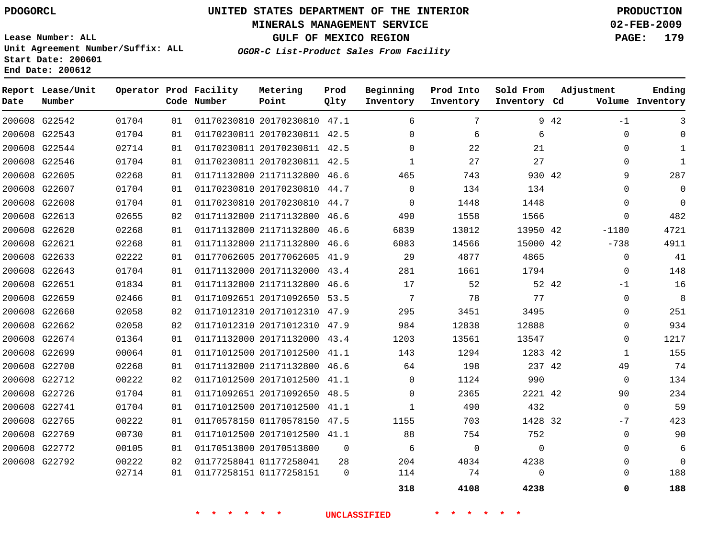#### **MINERALS MANAGEMENT SERVICE 02-FEB-2009**

**GULF OF MEXICO REGION PAGE: 179 OGOR-C List-Product Sales From Facility**

**Lease Number: ALL Unit Agreement Number/Suffix: ALL Start Date: 200601 End Date: 200612**

| Date | Report Lease/Unit<br>Number |       |    | Operator Prod Facility<br>Code Number | Metering<br>Point            | Prod<br>Qlty | Beginning<br>Inventory | Prod Into<br>Inventory | Sold From<br>Inventory Cd |       | Adjustment   | Ending<br>Volume Inventory |
|------|-----------------------------|-------|----|---------------------------------------|------------------------------|--------------|------------------------|------------------------|---------------------------|-------|--------------|----------------------------|
|      | 200608 G22542               | 01704 | 01 |                                       | 01170230810 20170230810 47.1 |              | 6                      | 7                      |                           | 9 42  | -1           | 3                          |
|      | 200608 G22543               | 01704 | 01 |                                       | 01170230811 20170230811 42.5 |              | $\Omega$               | 6                      | 6                         |       | 0            | $\Omega$                   |
|      | 200608 G22544               | 02714 | 01 |                                       | 01170230811 20170230811 42.5 |              | $\Omega$               | 22                     | 21                        |       | 0            | $\mathbf{1}$               |
|      | 200608 G22546               | 01704 | 01 |                                       | 01170230811 20170230811 42.5 |              | 1                      | 27                     | 27                        |       | 0            | 1                          |
|      | 200608 G22605               | 02268 | 01 |                                       | 01171132800 21171132800 46.6 |              | 465                    | 743                    | 930 42                    |       | 9            | 287                        |
|      | 200608 G22607               | 01704 | 01 |                                       | 01170230810 20170230810 44.7 |              | $\Omega$               | 134                    | 134                       |       | 0            | $\Omega$                   |
|      | 200608 G22608               | 01704 | 01 |                                       | 01170230810 20170230810 44.7 |              | $\Omega$               | 1448                   | 1448                      |       | $\Omega$     | $\Omega$                   |
|      | 200608 G22613               | 02655 | 02 |                                       | 01171132800 21171132800 46.6 |              | 490                    | 1558                   | 1566                      |       | $\Omega$     | 482                        |
|      | 200608 G22620               | 02268 | 01 |                                       | 01171132800 21171132800 46.6 |              | 6839                   | 13012                  | 13950 42                  |       | -1180        | 4721                       |
|      | 200608 G22621               | 02268 | 01 |                                       | 01171132800 21171132800 46.6 |              | 6083                   | 14566                  | 15000 42                  |       | $-738$       | 4911                       |
|      | 200608 G22633               | 02222 | 01 |                                       | 01177062605 20177062605 41.9 |              | 29                     | 4877                   | 4865                      |       | $\mathbf 0$  | 41                         |
|      | 200608 G22643               | 01704 | 01 |                                       | 01171132000 20171132000 43.4 |              | 281                    | 1661                   | 1794                      |       | 0            | 148                        |
|      | 200608 G22651               | 01834 | 01 |                                       | 01171132800 21171132800 46.6 |              | 17                     | 52                     |                           | 52 42 | -1           | 16                         |
|      | 200608 G22659               | 02466 | 01 |                                       | 01171092651 20171092650 53.5 |              | 7                      | 78                     | 77                        |       | $\mathbf 0$  | 8                          |
|      | 200608 G22660               | 02058 | 02 |                                       | 01171012310 20171012310 47.9 |              | 295                    | 3451                   | 3495                      |       | $\Omega$     | 251                        |
|      | 200608 G22662               | 02058 | 02 |                                       | 01171012310 20171012310 47.9 |              | 984                    | 12838                  | 12888                     |       | $\Omega$     | 934                        |
|      | 200608 G22674               | 01364 | 01 |                                       | 01171132000 20171132000 43.4 |              | 1203                   | 13561                  | 13547                     |       | $\Omega$     | 1217                       |
|      | 200608 G22699               | 00064 | 01 |                                       | 01171012500 20171012500 41.1 |              | 143                    | 1294                   | 1283 42                   |       | $\mathbf{1}$ | 155                        |
|      | 200608 G22700               | 02268 | 01 |                                       | 01171132800 21171132800 46.6 |              | 64                     | 198                    | 237 42                    |       | 49           | 74                         |
|      | 200608 G22712               | 00222 | 02 |                                       | 01171012500 20171012500 41.1 |              | 0                      | 1124                   | 990                       |       | $\mathbf 0$  | 134                        |
|      | 200608 G22726               | 01704 | 01 |                                       | 01171092651 20171092650 48.5 |              | $\Omega$               | 2365                   | 2221 42                   |       | 90           | 234                        |
|      | 200608 G22741               | 01704 | 01 |                                       | 01171012500 20171012500 41.1 |              | 1                      | 490                    | 432                       |       | $\mathbf 0$  | 59                         |
|      | 200608 G22765               | 00222 | 01 |                                       | 01170578150 01170578150 47.5 |              | 1155                   | 703                    | 1428 32                   |       | $-7$         | 423                        |
|      | 200608 G22769               | 00730 | 01 |                                       | 01171012500 20171012500 41.1 |              | 88                     | 754                    | 752                       |       | $\mathbf 0$  | 90                         |
|      | 200608 G22772               | 00105 | 01 |                                       | 01170513800 20170513800      | $\Omega$     | 6                      | $\Omega$               | $\Omega$                  |       | $\Omega$     | 6                          |
|      | 200608 G22792               | 00222 | 02 |                                       | 01177258041 01177258041      | 28           | 204                    | 4034                   | 4238                      |       | $\Omega$     | $\Omega$                   |
|      |                             | 02714 | 01 |                                       | 01177258151 01177258151      | $\Omega$     | 114                    | 74                     | $\Omega$<br>              |       | 0            | 188                        |
|      |                             |       |    |                                       |                              |              | 318                    | 4108                   | 4238                      |       | 0            | 188                        |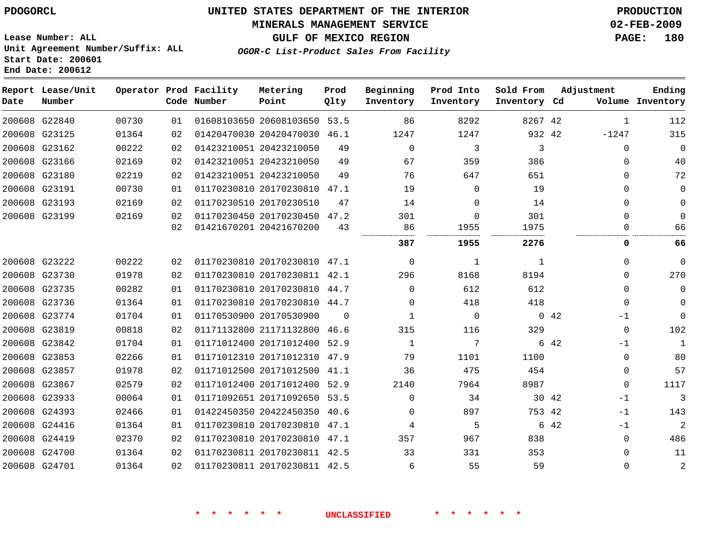#### **MINERALS MANAGEMENT SERVICE 02-FEB-2009**

**GULF OF MEXICO REGION PAGE: 180**

**Lease Number: ALL Unit Agreement Number/Suffix: ALL Start Date: 200601 End Date: 200612**

**OGOR-C List-Product Sales From Facility**

| Date | Report Lease/Unit<br>Number |       |    | Operator Prod Facility<br>Code Number | Metering<br>Point            | Prod<br>Qlty | Beginning<br>Inventory | Prod Into<br>Inventory | Sold From<br>Inventory Cd | Adjustment      | Ending<br>Volume Inventory |
|------|-----------------------------|-------|----|---------------------------------------|------------------------------|--------------|------------------------|------------------------|---------------------------|-----------------|----------------------------|
|      | 200608 G22840               | 00730 | 01 |                                       | 01608103650 20608103650 53.5 |              | 86                     | 8292                   | 8267 42                   | $\mathbf{1}$    | 112                        |
|      | 200608 G23125               | 01364 | 02 |                                       | 01420470030 20420470030 46.1 |              | 1247                   | 1247                   | 932 42                    | $-1247$         | 315                        |
|      | 200608 G23162               | 00222 | 02 |                                       | 01423210051 20423210050      | 49           | $\Omega$               | 3                      | 3                         | $\mathbf 0$     | $\mathbf 0$                |
|      | 200608 G23166               | 02169 | 02 |                                       | 01423210051 20423210050      | 49           | 67                     | 359                    | 386                       | $\mathbf 0$     | 40                         |
|      | 200608 G23180               | 02219 | 02 |                                       | 01423210051 20423210050      | 49           | 76                     | 647                    | 651                       | $\Omega$        | 72                         |
|      | 200608 G23191               | 00730 | 01 |                                       | 01170230810 20170230810      | 47.1         | 19                     | 0                      | 19                        | $\Omega$        | $\mathbf 0$                |
|      | 200608 G23193               | 02169 | 02 |                                       | 01170230510 20170230510      | 47           | 14                     | $\Omega$               | 14                        | $\Omega$        | $\mathbf 0$                |
|      | 200608 G23199               | 02169 | 02 |                                       | 01170230450 20170230450 47.2 |              | 301                    | $\Omega$               | 301                       | $\Omega$        | $\Omega$                   |
|      |                             |       | 02 |                                       | 01421670201 20421670200      | 43           | 86                     | 1955                   | 1975                      | $\Omega$        | 66                         |
|      |                             |       |    |                                       |                              |              | 387                    | 1955                   | 2276                      | 0               | 66                         |
|      | 200608 G23222               | 00222 | 02 |                                       | 01170230810 20170230810 47.1 |              | $\Omega$               | 1                      | 1                         | $\Omega$        | $\mathbf 0$                |
|      | 200608 G23730               | 01978 | 02 |                                       | 01170230810 20170230811 42.1 |              | 296                    | 8168                   | 8194                      | $\Omega$        | 270                        |
|      | 200608 G23735               | 00282 | 01 |                                       | 01170230810 20170230810 44.7 |              | $\Omega$               | 612                    | 612                       | $\mathbf{0}$    | $\mathbf 0$                |
|      | 200608 G23736               | 01364 | 01 |                                       | 01170230810 20170230810 44.7 |              | $\Omega$               | 418                    | 418                       | $\Omega$        | $\Omega$                   |
|      | 200608 G23774               | 01704 | 01 |                                       | 01170530900 20170530900      | $\Omega$     | 1                      | $\Omega$               |                           | $0 \t 42$<br>-1 | $\Omega$                   |
|      | 200608 G23819               | 00818 | 02 |                                       | 01171132800 21171132800 46.6 |              | 315                    | 116                    | 329                       | $\mathbf{0}$    | 102                        |
|      | 200608 G23842               | 01704 | 01 |                                       | 01171012400 20171012400      | 52.9         | 1                      | 7                      |                           | 6 42<br>$-1$    | $\mathbf{1}$               |
|      | 200608 G23853               | 02266 | 01 |                                       | 01171012310 20171012310 47.9 |              | 79                     | 1101                   | 1100                      | $\mathbf{0}$    | 80                         |
|      | 200608 G23857               | 01978 | 02 |                                       | 01171012500 20171012500      | 41.1         | 36                     | 475                    | 454                       | 0               | 57                         |
|      | 200608 G23867               | 02579 | 02 |                                       | 01171012400 20171012400      | 52.9         | 2140                   | 7964                   | 8987                      | $\Omega$        | 1117                       |
|      | 200608 G23933               | 00064 | 01 |                                       | 01171092651 20171092650 53.5 |              | $\Omega$               | 34                     |                           | 30 42<br>-1     | 3                          |
|      | 200608 G24393               | 02466 | 01 |                                       | 01422450350 20422450350 40.6 |              | $\Omega$               | 897                    | 753 42                    | -1              | 143                        |
|      | 200608 G24416               | 01364 | 01 |                                       | 01170230810 20170230810      | 47.1         | 4                      | 5                      |                           | 6 42<br>$-1$    | $\overline{2}$             |
|      | 200608 G24419               | 02370 | 02 |                                       | 01170230810 20170230810 47.1 |              | 357                    | 967                    | 838                       | $\mathbf{0}$    | 486                        |
|      | 200608 G24700               | 01364 | 02 |                                       | 01170230811 20170230811 42.5 |              | 33                     | 331                    | 353                       | $\Omega$        | 11                         |
|      | 200608 G24701               | 01364 | 02 |                                       | 01170230811 20170230811 42.5 |              | 6                      | 55                     | 59                        | $\Omega$        | $\overline{c}$             |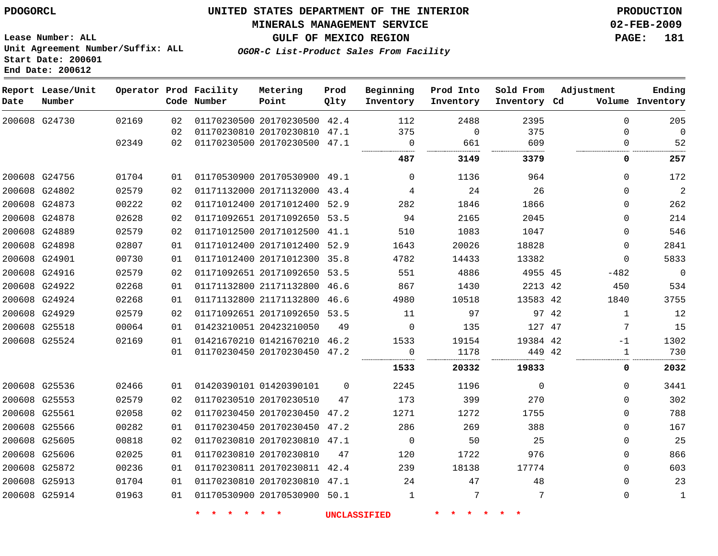**MINERALS MANAGEMENT SERVICE 02-FEB-2009**

**GULF OF MEXICO REGION PAGE: 181**

**Lease Number: ALL Unit Agreement Number/Suffix: ALL Start Date: 200601 End Date: 200612**

**OGOR-C List-Product Sales From Facility**

| Date          | Report Lease/Unit<br>Number |       |    | Operator Prod Facility<br>Code Number | Metering<br>Point            | Prod<br>Qlty | Beginning<br>Inventory | Prod Into<br>Inventory | Sold From<br>Inventory Cd | Adjustment |              | Ending<br>Volume Inventory |
|---------------|-----------------------------|-------|----|---------------------------------------|------------------------------|--------------|------------------------|------------------------|---------------------------|------------|--------------|----------------------------|
|               | 200608 G24730               | 02169 | 02 |                                       | 01170230500 20170230500 42.4 |              | 112                    | 2488                   | 2395                      |            | $\Omega$     | 205                        |
|               |                             |       | 02 |                                       | 01170230810 20170230810 47.1 |              | 375                    | $\mathbf 0$            | 375                       |            | $\Omega$     | $\mathbf 0$                |
|               |                             | 02349 | 02 |                                       | 01170230500 20170230500 47.1 |              | $\Omega$               | 661                    | 609                       |            | $\Omega$     | 52                         |
|               |                             |       |    |                                       |                              |              | 487                    | 3149                   | 3379                      |            | 0            | 257                        |
|               | 200608 G24756               | 01704 | 01 |                                       | 01170530900 20170530900 49.1 |              | 0                      | 1136                   | 964                       |            | $\mathbf 0$  | 172                        |
|               | 200608 G24802               | 02579 | 02 |                                       | 01171132000 20171132000 43.4 |              | 4                      | 24                     | 26                        |            | $\Omega$     | $\sqrt{2}$                 |
|               | 200608 G24873               | 00222 | 02 |                                       | 01171012400 20171012400 52.9 |              | 282                    | 1846                   | 1866                      |            | $\Omega$     | 262                        |
| 200608 G24878 |                             | 02628 | 02 |                                       | 01171092651 20171092650      | 53.5         | 94                     | 2165                   | 2045                      |            | 0            | 214                        |
|               | 200608 G24889               | 02579 | 02 |                                       | 01171012500 20171012500 41.1 |              | 510                    | 1083                   | 1047                      |            | $\Omega$     | 546                        |
|               | 200608 G24898               | 02807 | 01 |                                       | 01171012400 20171012400      | 52.9         | 1643                   | 20026                  | 18828                     |            | 0            | 2841                       |
| 200608 G24901 |                             | 00730 | 01 |                                       | 01171012400 20171012300      | 35.8         | 4782                   | 14433                  | 13382                     |            | $\Omega$     | 5833                       |
| 200608 G24916 |                             | 02579 | 02 |                                       | 01171092651 20171092650      | 53.5         | 551                    | 4886                   | 4955 45                   |            | $-482$       | $\mathbf 0$                |
|               | 200608 G24922               | 02268 | 01 |                                       | 01171132800 21171132800      | 46.6         | 867                    | 1430                   | 2213 42                   |            | 450          | 534                        |
|               | 200608 G24924               | 02268 | 01 |                                       | 01171132800 21171132800 46.6 |              | 4980                   | 10518                  | 13583 42                  |            | 1840         | 3755                       |
| 200608 G24929 |                             | 02579 | 02 |                                       | 01171092651 20171092650 53.5 |              | 11                     | 97                     | 97 42                     |            | $\mathbf{1}$ | 12                         |
|               | 200608 G25518               | 00064 | 01 |                                       | 01423210051 20423210050      | 49           | $\mathbf 0$            | 135                    | 127 47                    |            | 7            | 15                         |
|               | 200608 G25524               | 02169 | 01 |                                       | 01421670210 01421670210      | 46.2         | 1533                   | 19154                  | 19384 42                  |            | $-1$         | 1302                       |
|               |                             |       | 01 |                                       | 01170230450 20170230450      | 47.2         | 0<br>                  | 1178                   | 449 42                    |            | 1            | 730                        |
|               |                             |       |    |                                       |                              |              | 1533                   | 20332                  | 19833                     |            | 0            | 2032                       |
|               | 200608 G25536               | 02466 | 01 |                                       | 01420390101 01420390101      | 0            | 2245                   | 1196                   | $\mathbf{0}$              |            | $\mathbf 0$  | 3441                       |
| 200608 G25553 |                             | 02579 | 02 |                                       | 01170230510 20170230510      | 47           | 173                    | 399                    | 270                       |            | 0            | 302                        |
| 200608 G25561 |                             | 02058 | 02 |                                       | 01170230450 20170230450      | 47.2         | 1271                   | 1272                   | 1755                      |            | $\Omega$     | 788                        |
| 200608 G25566 |                             | 00282 | 01 |                                       | 01170230450 20170230450 47.2 |              | 286                    | 269                    | 388                       |            | $\Omega$     | 167                        |
| 200608 G25605 |                             | 00818 | 02 |                                       | 01170230810 20170230810 47.1 |              | $\mathbf 0$            | 50                     | 25                        |            | 0            | 25                         |
| 200608 G25606 |                             | 02025 | 01 |                                       | 01170230810 20170230810      | 47           | 120                    | 1722                   | 976                       |            | $\mathbf{0}$ | 866                        |
|               | 200608 G25872               | 00236 | 01 |                                       | 01170230811 20170230811 42.4 |              | 239                    | 18138                  | 17774                     |            | $\Omega$     | 603                        |
| 200608 G25913 |                             | 01704 | 01 |                                       | 01170230810 20170230810 47.1 |              | 24                     | 47                     | 48                        |            | $\mathbf 0$  | 23                         |
| 200608 G25914 |                             | 01963 | 01 |                                       | 01170530900 20170530900 50.1 |              | 1                      | 7                      | 7                         |            | $\mathbf 0$  | 1                          |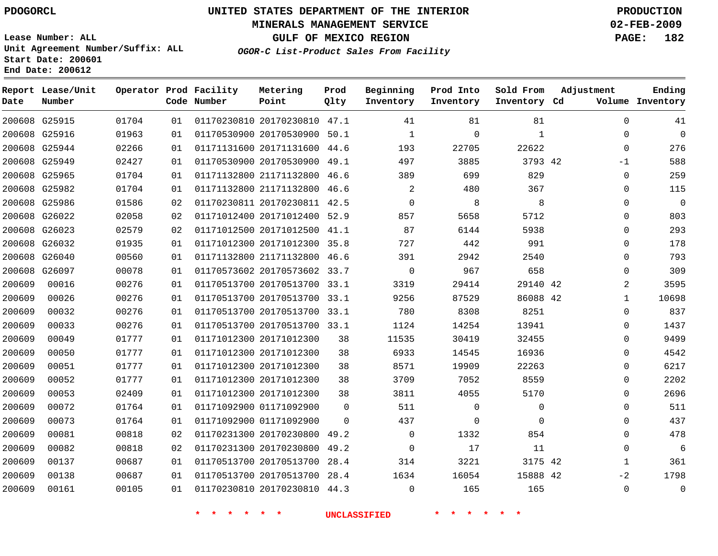#### **MINERALS MANAGEMENT SERVICE 02-FEB-2009**

**GULF OF MEXICO REGION PAGE: 182**

**Lease Number: ALL Unit Agreement Number/Suffix: ALL Start Date: 200601 End Date: 200612**

**OGOR-C List-Product Sales From Facility**

| Date   | Report Lease/Unit<br>Number |       |    | Operator Prod Facility<br>Code Number | Metering<br>Point            | Prod<br>Qlty | Beginning<br>Inventory | Prod Into<br>Inventory | Sold From<br>Inventory Cd | Adjustment     | Ending<br>Volume Inventory |
|--------|-----------------------------|-------|----|---------------------------------------|------------------------------|--------------|------------------------|------------------------|---------------------------|----------------|----------------------------|
|        | 200608 G25915               | 01704 | 01 |                                       | 01170230810 20170230810 47.1 |              | 41                     | 81                     | 81                        | $\Omega$       | 41                         |
|        | 200608 G25916               | 01963 | 01 |                                       | 01170530900 20170530900 50.1 |              | $\mathbf{1}$           | $\mathbf 0$            | 1                         | $\Omega$       | $\Omega$                   |
|        | 200608 G25944               | 02266 | 01 |                                       | 01171131600 20171131600 44.6 |              | 193                    | 22705                  | 22622                     | $\Omega$       | 276                        |
|        | 200608 G25949               | 02427 | 01 |                                       | 01170530900 20170530900 49.1 |              | 497                    | 3885                   | 3793 42                   | $-1$           | 588                        |
|        | 200608 G25965               | 01704 | 01 |                                       | 01171132800 21171132800 46.6 |              | 389                    | 699                    | 829                       | $\mathbf{0}$   | 259                        |
|        | 200608 G25982               | 01704 | 01 |                                       | 01171132800 21171132800 46.6 |              | 2                      | 480                    | 367                       | 0              | 115                        |
|        | 200608 G25986               | 01586 | 02 |                                       | 01170230811 20170230811 42.5 |              | $\Omega$               | 8                      | 8                         | $\Omega$       | $\Omega$                   |
|        | 200608 G26022               | 02058 | 02 |                                       | 01171012400 20171012400 52.9 |              | 857                    | 5658                   | 5712                      | $\mathbf{0}$   | 803                        |
|        | 200608 G26023               | 02579 | 02 |                                       | 01171012500 20171012500 41.1 |              | 87                     | 6144                   | 5938                      | 0              | 293                        |
|        | 200608 G26032               | 01935 | 01 |                                       | 01171012300 20171012300 35.8 |              | 727                    | 442                    | 991                       | $\mathbf{0}$   | 178                        |
|        | 200608 G26040               | 00560 | 01 |                                       | 01171132800 21171132800 46.6 |              | 391                    | 2942                   | 2540                      | $\mathbf 0$    | 793                        |
|        | 200608 G26097               | 00078 | 01 |                                       | 01170573602 20170573602 33.7 |              | $\mathbf 0$            | 967                    | 658                       | $\mathbf{0}$   | 309                        |
| 200609 | 00016                       | 00276 | 01 |                                       | 01170513700 20170513700 33.1 |              | 3319                   | 29414                  | 29140 42                  | $\overline{a}$ | 3595                       |
| 200609 | 00026                       | 00276 | 01 |                                       | 01170513700 20170513700 33.1 |              | 9256                   | 87529                  | 86088 42                  | $\mathbf{1}$   | 10698                      |
| 200609 | 00032                       | 00276 | 01 |                                       | 01170513700 20170513700 33.1 |              | 780                    | 8308                   | 8251                      | 0              | 837                        |
| 200609 | 00033                       | 00276 | 01 |                                       | 01170513700 20170513700 33.1 |              | 1124                   | 14254                  | 13941                     | $\mathbf 0$    | 1437                       |
| 200609 | 00049                       | 01777 | 01 |                                       | 01171012300 20171012300      | 38           | 11535                  | 30419                  | 32455                     | $\Omega$       | 9499                       |
| 200609 | 00050                       | 01777 | 01 |                                       | 01171012300 20171012300      | 38           | 6933                   | 14545                  | 16936                     | $\mathbf 0$    | 4542                       |
| 200609 | 00051                       | 01777 | 01 |                                       | 01171012300 20171012300      | 38           | 8571                   | 19909                  | 22263                     | 0              | 6217                       |
| 200609 | 00052                       | 01777 | 01 |                                       | 01171012300 20171012300      | 38           | 3709                   | 7052                   | 8559                      | $\mathbf 0$    | 2202                       |
| 200609 | 00053                       | 02409 | 01 |                                       | 01171012300 20171012300      | 38           | 3811                   | 4055                   | 5170                      | $\Omega$       | 2696                       |
| 200609 | 00072                       | 01764 | 01 |                                       | 01171092900 01171092900      | $\Omega$     | 511                    | $\mathbf 0$            | 0                         | $\mathbf{0}$   | 511                        |
| 200609 | 00073                       | 01764 | 01 |                                       | 01171092900 01171092900      | $\Omega$     | 437                    | $\Omega$               | $\Omega$                  | $\Omega$       | 437                        |
| 200609 | 00081                       | 00818 | 02 |                                       | 01170231300 20170230800      | 49.2         | $\mathbf{0}$           | 1332                   | 854                       | $\mathbf 0$    | 478                        |
| 200609 | 00082                       | 00818 | 02 |                                       | 01170231300 20170230800 49.2 |              | $\Omega$               | 17                     | 11                        | $\Omega$       | 6                          |
| 200609 | 00137                       | 00687 | 01 |                                       | 01170513700 20170513700      | 28.4         | 314                    | 3221                   | 3175 42                   | $\mathbf{1}$   | 361                        |
| 200609 | 00138                       | 00687 | 01 |                                       | 01170513700 20170513700 28.4 |              | 1634                   | 16054                  | 15888 42                  | $-2$           | 1798                       |
| 200609 | 00161                       | 00105 | 01 |                                       | 01170230810 20170230810 44.3 |              | $\Omega$               | 165                    | 165                       | $\Omega$       | $\mathbf{0}$               |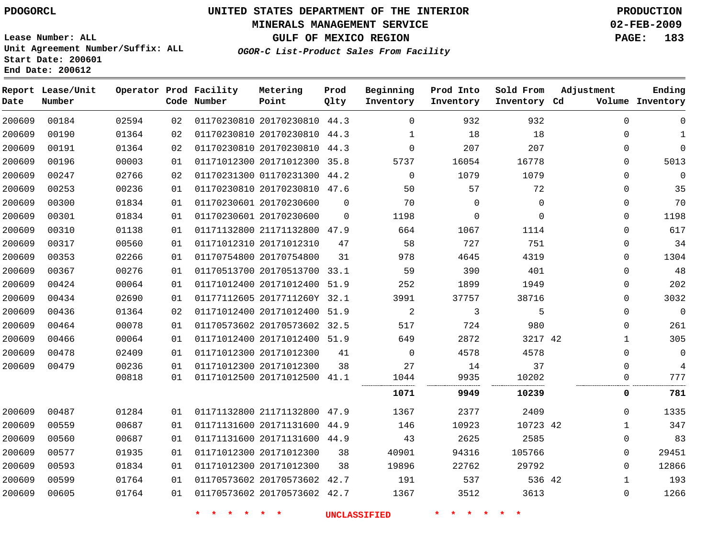#### **MINERALS MANAGEMENT SERVICE 02-FEB-2009**

**GULF OF MEXICO REGION PAGE: 183 OGOR-C List-Product Sales From Facility**

**Lease Number: ALL Unit Agreement Number/Suffix: ALL Start Date: 200601 End Date: 200612**

| Date   | Report Lease/Unit<br>Number |       |    | Operator Prod Facility<br>Code Number | Metering<br>Point            | Prod<br>Qlty | Beginning<br>Inventory | Prod Into<br>Inventory | Sold From<br>Inventory Cd | Adjustment   | Ending<br>Volume Inventory |
|--------|-----------------------------|-------|----|---------------------------------------|------------------------------|--------------|------------------------|------------------------|---------------------------|--------------|----------------------------|
| 200609 | 00184                       | 02594 | 02 |                                       | 01170230810 20170230810 44.3 |              | $\Omega$               | 932                    | 932                       | $\Omega$     | 0                          |
| 200609 | 00190                       | 01364 | 02 |                                       | 01170230810 20170230810 44.3 |              | 1                      | 18                     | 18                        | $\mathbf 0$  | 1                          |
| 200609 | 00191                       | 01364 | 02 |                                       | 01170230810 20170230810      | 44.3         | $\Omega$               | 207                    | 207                       | $\Omega$     | $\Omega$                   |
| 200609 | 00196                       | 00003 | 01 |                                       | 01171012300 20171012300 35.8 |              | 5737                   | 16054                  | 16778                     | $\Omega$     | 5013                       |
| 200609 | 00247                       | 02766 | 02 |                                       | 01170231300 01170231300      | 44.2         | $\Omega$               | 1079                   | 1079                      | $\Omega$     | $\mathbf 0$                |
| 200609 | 00253                       | 00236 | 01 |                                       | 01170230810 20170230810 47.6 |              | 50                     | 57                     | 72                        | $\Omega$     | 35                         |
| 200609 | 00300                       | 01834 | 01 |                                       | 01170230601 20170230600      | 0            | 70                     | $\mathbf 0$            | $\mathbf 0$               | $\mathbf 0$  | 70                         |
| 200609 | 00301                       | 01834 | 01 |                                       | 01170230601 20170230600      | $\mathbf 0$  | 1198                   | 0                      | $\mathbf 0$               | $\mathbf 0$  | 1198                       |
| 200609 | 00310                       | 01138 | 01 |                                       | 01171132800 21171132800 47.9 |              | 664                    | 1067                   | 1114                      | $\Omega$     | 617                        |
| 200609 | 00317                       | 00560 | 01 |                                       | 01171012310 20171012310      | 47           | 58                     | 727                    | 751                       | $\Omega$     | 34                         |
| 200609 | 00353                       | 02266 | 01 |                                       | 01170754800 20170754800      | 31           | 978                    | 4645                   | 4319                      | $\mathbf 0$  | 1304                       |
| 200609 | 00367                       | 00276 | 01 |                                       | 01170513700 20170513700      | 33.1         | 59                     | 390                    | 401                       | $\mathbf 0$  | 48                         |
| 200609 | 00424                       | 00064 | 01 |                                       | 01171012400 20171012400      | 51.9         | 252                    | 1899                   | 1949                      | $\Omega$     | 202                        |
| 200609 | 00434                       | 02690 | 01 |                                       | 01177112605 2017711260Y 32.1 |              | 3991                   | 37757                  | 38716                     | $\Omega$     | 3032                       |
| 200609 | 00436                       | 01364 | 02 |                                       | 01171012400 20171012400      | 51.9         | $\sqrt{2}$             | 3                      | 5                         | $\mathbf 0$  | $\mathbf 0$                |
| 200609 | 00464                       | 00078 | 01 |                                       | 01170573602 20170573602 32.5 |              | 517                    | 724                    | 980                       | $\Omega$     | 261                        |
| 200609 | 00466                       | 00064 | 01 |                                       | 01171012400 20171012400 51.9 |              | 649                    | 2872                   | 3217 42                   | $\mathbf{1}$ | 305                        |
| 200609 | 00478                       | 02409 | 01 |                                       | 01171012300 20171012300      | 41           | $\Omega$               | 4578                   | 4578                      | $\Omega$     | $\mathbf 0$                |
| 200609 | 00479                       | 00236 | 01 |                                       | 01171012300 20171012300      | 38           | 27                     | 14                     | 37                        | $\Omega$     | 4                          |
|        |                             | 00818 | 01 |                                       | 01171012500 20171012500 41.1 |              | 1044<br>.              | 9935                   | 10202                     | O            | 777                        |
|        |                             |       |    |                                       |                              |              | 1071                   | 9949                   | 10239                     | 0            | 781                        |
| 200609 | 00487                       | 01284 | 01 |                                       | 01171132800 21171132800      | 47.9         | 1367                   | 2377                   | 2409                      | $\mathbf 0$  | 1335                       |
| 200609 | 00559                       | 00687 | 01 |                                       | 01171131600 20171131600      | 44.9         | 146                    | 10923                  | 10723 42                  | $\mathbf{1}$ | 347                        |
| 200609 | 00560                       | 00687 | 01 |                                       | 01171131600 20171131600 44.9 |              | 43                     | 2625                   | 2585                      | $\Omega$     | 83                         |
| 200609 | 00577                       | 01935 | 01 |                                       | 01171012300 20171012300      | 38           | 40901                  | 94316                  | 105766                    | $\Omega$     | 29451                      |
| 200609 | 00593                       | 01834 | 01 |                                       | 01171012300 20171012300      | 38           | 19896                  | 22762                  | 29792                     | $\Omega$     | 12866                      |
| 200609 | 00599                       | 01764 | 01 |                                       | 01170573602 20170573602      | 42.7         | 191                    | 537                    | 536 42                    | $\mathbf{1}$ | 193                        |
| 200609 | 00605                       | 01764 | 01 |                                       | 01170573602 20170573602 42.7 |              | 1367                   | 3512                   | 3613                      | $\mathbf 0$  | 1266                       |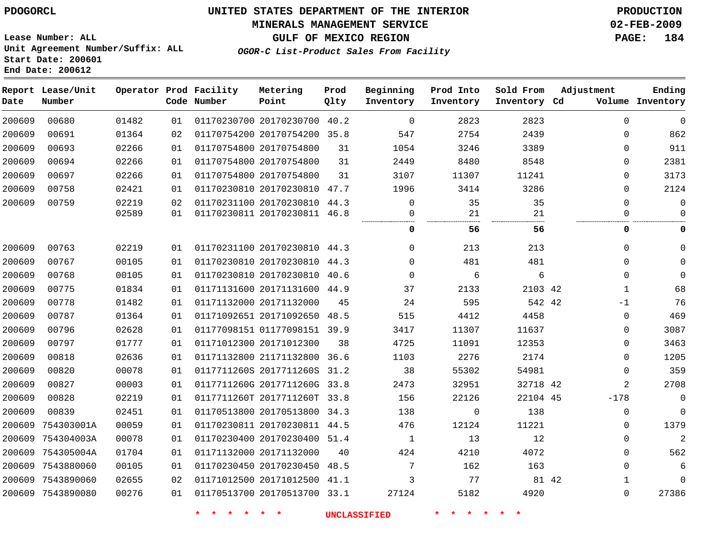#### **MINERALS MANAGEMENT SERVICE 02-FEB-2009**

**GULF OF MEXICO REGION PAGE: 184**

**Lease Number: ALL Unit Agreement Number/Suffix: ALL Start Date: 200601 End Date: 200612**

**OGOR-C List-Product Sales From Facility**

| Date   | Report Lease/Unit<br>Number |       |    | Operator Prod Facility<br>Code Number | Metering<br>Point            | Prod<br>Qlty | Beginning<br>Inventory | Prod Into<br>Inventory | Sold From<br>Inventory Cd | Adjustment   | Ending<br>Volume Inventory |
|--------|-----------------------------|-------|----|---------------------------------------|------------------------------|--------------|------------------------|------------------------|---------------------------|--------------|----------------------------|
| 200609 | 00680                       | 01482 | 01 |                                       | 01170230700 20170230700 40.2 |              | $\mathbf 0$            | 2823                   | 2823                      | $\Omega$     | $\mathbf 0$                |
| 200609 | 00691                       | 01364 | 02 |                                       | 01170754200 20170754200 35.8 |              | 547                    | 2754                   | 2439                      | $\Omega$     | 862                        |
| 200609 | 00693                       | 02266 | 01 |                                       | 01170754800 20170754800      | 31           | 1054                   | 3246                   | 3389                      | $\mathbf 0$  | 911                        |
| 200609 | 00694                       | 02266 | 01 |                                       | 01170754800 20170754800      | 31           | 2449                   | 8480                   | 8548                      | $\mathbf 0$  | 2381                       |
| 200609 | 00697                       | 02266 | 01 |                                       | 01170754800 20170754800      | 31           | 3107                   | 11307                  | 11241                     | $\Omega$     | 3173                       |
| 200609 | 00758                       | 02421 | 01 |                                       | 01170230810 20170230810 47.7 |              | 1996                   | 3414                   | 3286                      | $\Omega$     | 2124                       |
| 200609 | 00759                       | 02219 | 02 |                                       | 01170231100 20170230810 44.3 |              | 0                      | 35                     | 35                        | $\Omega$     | $\Omega$                   |
|        |                             | 02589 | 01 |                                       | 01170230811 20170230811 46.8 |              | 0                      | 21                     | 21                        | $\mathbf 0$  | $\Omega$                   |
|        |                             |       |    |                                       |                              |              | 0                      | 56                     | 56                        | 0            | 0                          |
| 200609 | 00763                       | 02219 | 01 |                                       | 01170231100 20170230810 44.3 |              | $\Omega$               | 213                    | 213                       | $\Omega$     | $\Omega$                   |
| 200609 | 00767                       | 00105 | 01 |                                       | 01170230810 20170230810 44.3 |              | $\mathbf 0$            | 481                    | 481                       | $\mathbf 0$  |                            |
| 200609 | 00768                       | 00105 | 01 |                                       | 01170230810 20170230810 40.6 |              | $\Omega$               | 6                      | 6                         | $\Omega$     | $\Omega$                   |
| 200609 | 00775                       | 01834 | 01 |                                       | 01171131600 20171131600 44.9 |              | 37                     | 2133                   | 2103 42                   | $\mathbf{1}$ | 68                         |
| 200609 | 00778                       | 01482 | 01 |                                       | 01171132000 20171132000      | 45           | 24                     | 595                    | 542 42                    | $-1$         | 76                         |
| 200609 | 00787                       | 01364 | 01 |                                       | 01171092651 20171092650 48.5 |              | 515                    | 4412                   | 4458                      | $\mathbf 0$  | 469                        |
| 200609 | 00796                       | 02628 | 01 |                                       | 01177098151 01177098151 39.9 |              | 3417                   | 11307                  | 11637                     | $\Omega$     | 3087                       |
| 200609 | 00797                       | 01777 | 01 |                                       | 01171012300 20171012300      | 38           | 4725                   | 11091                  | 12353                     | $\mathbf 0$  | 3463                       |
| 200609 | 00818                       | 02636 | 01 |                                       | 01171132800 21171132800 36.6 |              | 1103                   | 2276                   | 2174                      | $\mathbf 0$  | 1205                       |
| 200609 | 00820                       | 00078 | 01 |                                       | 0117711260S 2017711260S 31.2 |              | 38                     | 55302                  | 54981                     | $\mathbf 0$  | 359                        |
| 200609 | 00827                       | 00003 | 01 |                                       | 0117711260G 2017711260G 33.8 |              | 2473                   | 32951                  | 32718 42                  | 2            | 2708                       |
| 200609 | 00828                       | 02219 | 01 |                                       | 0117711260T 2017711260T 33.8 |              | 156                    | 22126                  | 22104 45                  | $-178$       | $\mathbf 0$                |
| 200609 | 00839                       | 02451 | 01 |                                       | 01170513800 20170513800 34.3 |              | 138                    | 0                      | 138                       | 0            | $\mathbf 0$                |
| 200609 | 754303001A                  | 00059 | 01 |                                       | 01170230811 20170230811 44.5 |              | 476                    | 12124                  | 11221                     | $\mathbf 0$  | 1379                       |
| 200609 | 754304003A                  | 00078 | 01 |                                       | 01170230400 20170230400 51.4 |              | $\mathbf{1}$           | 13                     | 12                        | $\mathbf 0$  | 2                          |
| 200609 | 754305004A                  | 01704 | 01 |                                       | 01171132000 20171132000      | 40           | 424                    | 4210                   | 4072                      | $\Omega$     | 562                        |
| 200609 | 7543880060                  | 00105 | 01 |                                       | 01170230450 20170230450      | 48.5         | 7                      | 162                    | 163                       | $\mathbf 0$  | 6                          |
| 200609 | 7543890060                  | 02655 | 02 |                                       | 01171012500 20171012500      | 41.1         | 3                      | 77                     | 81 42                     | 1            | $\Omega$                   |
|        | 200609 7543890080           | 00276 | 01 |                                       | 01170513700 20170513700 33.1 |              | 27124                  | 5182                   | 4920                      | $\Omega$     | 27386                      |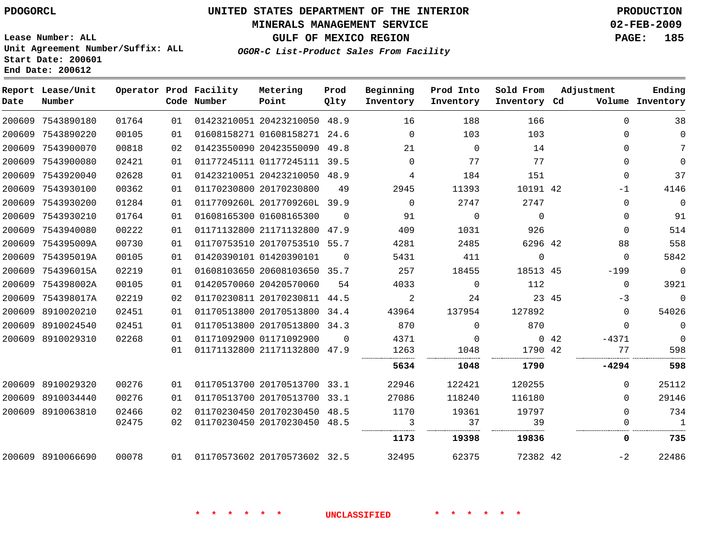# **MINERALS MANAGEMENT SERVICE 02-FEB-2009**

**GULF OF MEXICO REGION PAGE: 185**

**Lease Number: ALL Unit Agreement Number/Suffix: ALL Start Date: 200601 End Date: 200612**

**OGOR-C List-Product Sales From Facility**

| Date | Report Lease/Unit<br>Number |       |    | Operator Prod Facility<br>Code Number | Metering<br>Point            | Prod<br>Qlty | Beginning<br>Inventory | Prod Into<br>Inventory | Sold From<br>Inventory Cd |       | Adjustment   | Ending<br>Volume Inventory |
|------|-----------------------------|-------|----|---------------------------------------|------------------------------|--------------|------------------------|------------------------|---------------------------|-------|--------------|----------------------------|
|      | 200609 7543890180           | 01764 | 01 |                                       | 01423210051 20423210050      | 48.9         | 16                     | 188                    | 166                       |       | $\Omega$     | 38                         |
|      | 200609 7543890220           | 00105 | 01 |                                       | 01608158271 01608158271 24.6 |              | $\Omega$               | 103                    | 103                       |       | $\Omega$     | $\mathbf 0$                |
|      | 200609 7543900070           | 00818 | 02 |                                       | 01423550090 20423550090      | 49.8         | 21                     | $\mathbf 0$            | 14                        |       | $\mathbf 0$  | 7                          |
|      | 200609 7543900080           | 02421 | 01 |                                       | 01177245111 01177245111 39.5 |              | $\mathbf 0$            | 77                     | 77                        |       | $\mathbf{0}$ | $\Omega$                   |
|      | 200609 7543920040           | 02628 | 01 |                                       | 01423210051 20423210050 48.9 |              | 4                      | 184                    | 151                       |       | $\mathbf{0}$ | 37                         |
|      | 200609 7543930100           | 00362 | 01 |                                       | 01170230800 20170230800      | 49           | 2945                   | 11393                  | 10191 42                  |       | $-1$         | 4146                       |
|      | 200609 7543930200           | 01284 | 01 |                                       | 0117709260L 2017709260L 39.9 |              | $\Omega$               | 2747                   | 2747                      |       | $\mathbf 0$  | $\Omega$                   |
|      | 200609 7543930210           | 01764 | 01 |                                       | 01608165300 01608165300      | $\Omega$     | 91                     | $\Omega$               | $\Omega$                  |       | $\mathbf 0$  | 91                         |
|      | 200609 7543940080           | 00222 | 01 |                                       | 01171132800 21171132800 47.9 |              | 409                    | 1031                   | 926                       |       | $\Omega$     | 514                        |
|      | 200609 754395009A           | 00730 | 01 |                                       | 01170753510 20170753510 55.7 |              | 4281                   | 2485                   | 6296 42                   |       | 88           | 558                        |
|      | 200609 754395019A           | 00105 | 01 |                                       | 01420390101 01420390101      | $\Omega$     | 5431                   | 411                    | $\mathbf 0$               |       | $\Omega$     | 5842                       |
|      | 200609 754396015A           | 02219 | 01 |                                       | 01608103650 20608103650 35.7 |              | 257                    | 18455                  | 18513 45                  |       | $-199$       | $\mathbf 0$                |
|      | 200609 754398002A           | 00105 | 01 |                                       | 01420570060 20420570060      | 54           | 4033                   | $\Omega$               | 112                       |       | $\Omega$     | 3921                       |
|      | 200609 754398017A           | 02219 | 02 |                                       | 01170230811 20170230811 44.5 |              | 2                      | 24                     |                           | 23 45 | $-3$         | $\mathbf 0$                |
|      | 200609 8910020210           | 02451 | 01 |                                       | 01170513800 20170513800 34.4 |              | 43964                  | 137954                 | 127892                    |       | $\mathbf{0}$ | 54026                      |
|      | 200609 8910024540           | 02451 | 01 |                                       | 01170513800 20170513800 34.3 |              | 870                    | $\Omega$               | 870                       |       | $\Omega$     | $\mathbf{0}$               |
|      | 200609 8910029310           | 02268 | 01 |                                       | 01171092900 01171092900      | $\Omega$     | 4371                   | 0                      |                           | 0.42  | $-4371$      | $\Omega$                   |
|      |                             |       | 01 |                                       | 01171132800 21171132800 47.9 |              | 1263                   | 1048                   | 1790 42                   |       | 77           | 598                        |
|      |                             |       |    |                                       |                              |              | 5634                   | 1048                   | 1790                      |       | $-4294$      | 598                        |
|      | 200609 8910029320           | 00276 | 01 |                                       | 01170513700 20170513700 33.1 |              | 22946                  | 122421                 | 120255                    |       | $\Omega$     | 25112                      |
|      | 200609 8910034440           | 00276 | 01 |                                       | 01170513700 20170513700 33.1 |              | 27086                  | 118240                 | 116180                    |       | $\Omega$     | 29146                      |
|      | 200609 8910063810           | 02466 | 02 |                                       | 01170230450 20170230450 48.5 |              | 1170                   | 19361                  | 19797                     |       | $\Omega$     | 734                        |
|      |                             | 02475 | 02 |                                       | 01170230450 20170230450 48.5 |              | 3                      | 37                     | 39                        |       | 0            | $\mathbf{1}$               |
|      |                             |       |    |                                       |                              |              | 1173                   | 19398                  | 19836                     |       | 0            | 735                        |
|      | 200609 8910066690           | 00078 | 01 |                                       | 01170573602 20170573602 32.5 |              | 32495                  | 62375                  | 72382 42                  |       | $-2$         | 22486                      |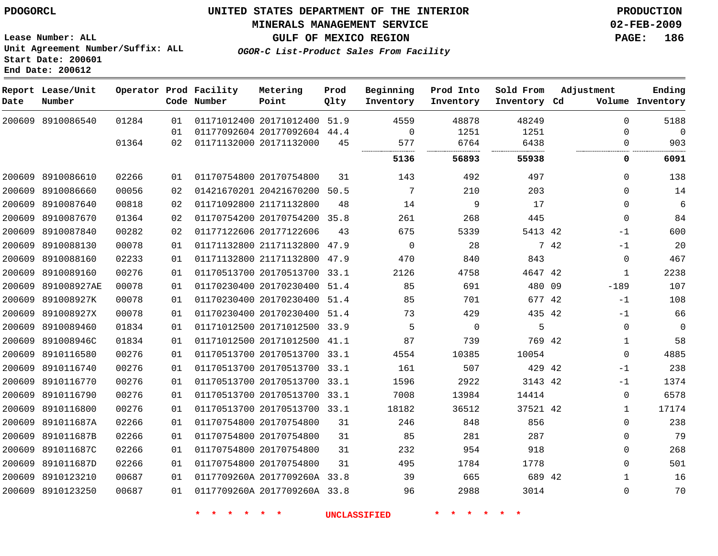#### **MINERALS MANAGEMENT SERVICE 02-FEB-2009**

**GULF OF MEXICO REGION PAGE: 186**

**Lease Number: ALL Unit Agreement Number/Suffix: ALL Start Date: 200601 End Date: 200612**

**OGOR-C List-Product Sales From Facility**

| Date   | Report Lease/Unit<br>Number |       |    | Operator Prod Facility<br>Code Number | Metering<br>Point            | Prod<br>Qlty | Beginning<br>Inventory | Prod Into<br>Inventory | Sold From<br>Inventory Cd |      | Adjustment   | Ending<br>Volume Inventory |
|--------|-----------------------------|-------|----|---------------------------------------|------------------------------|--------------|------------------------|------------------------|---------------------------|------|--------------|----------------------------|
|        | 200609 8910086540           | 01284 | 01 |                                       | 01171012400 20171012400 51.9 |              | 4559                   | 48878                  | 48249                     |      | $\Omega$     | 5188                       |
|        |                             |       | 01 |                                       | 01177092604 20177092604 44.4 |              | 0                      | 1251                   | 1251                      |      | $\Omega$     | 0                          |
|        |                             | 01364 | 02 |                                       | 01171132000 20171132000      | 45           | 577                    | 6764                   | 6438                      |      | $\Omega$     | 903                        |
|        |                             |       |    |                                       |                              |              | 5136                   | 56893                  | 55938                     |      | 0            | 6091                       |
| 200609 | 8910086610                  | 02266 | 01 |                                       | 01170754800 20170754800      | 31           | 143                    | 492                    | 497                       |      | 0            | 138                        |
| 200609 | 8910086660                  | 00056 | 02 |                                       | 01421670201 20421670200      | 50.5         | $7\phantom{.0}$        | 210                    | 203                       |      | $\Omega$     | 14                         |
| 200609 | 8910087640                  | 00818 | 02 |                                       | 01171092800 21171132800      | 48           | 14                     | 9                      | 17                        |      | $\Omega$     | 6                          |
| 200609 | 8910087670                  | 01364 | 02 |                                       | 01170754200 20170754200      | 35.8         | 261                    | 268                    | 445                       |      | $\mathbf 0$  | 84                         |
| 200609 | 8910087840                  | 00282 | 02 |                                       | 01177122606 20177122606      | 43           | 675                    | 5339                   | 5413 42                   |      | -1           | 600                        |
| 200609 | 8910088130                  | 00078 | 01 |                                       | 01171132800 21171132800      | 47.9         | $\mathbf 0$            | 28                     |                           | 7 42 | $-1$         | 20                         |
| 200609 | 8910088160                  | 02233 | 01 |                                       | 01171132800 21171132800 47.9 |              | 470                    | 840                    | 843                       |      | $\mathbf 0$  | 467                        |
| 200609 | 8910089160                  | 00276 | 01 |                                       | 01170513700 20170513700 33.1 |              | 2126                   | 4758                   | 4647 42                   |      | 1            | 2238                       |
| 200609 | 891008927AE                 | 00078 | 01 |                                       | 01170230400 20170230400 51.4 |              | 85                     | 691                    | 480 09                    |      | $-189$       | 107                        |
| 200609 | 891008927K                  | 00078 | 01 |                                       | 01170230400 20170230400 51.4 |              | 85                     | 701                    | 677 42                    |      | $-1$         | 108                        |
|        | 200609 891008927X           | 00078 | 01 |                                       | 01170230400 20170230400 51.4 |              | 73                     | 429                    | 435 42                    |      | $-1$         | 66                         |
| 200609 | 8910089460                  | 01834 | 01 |                                       | 01171012500 20171012500 33.9 |              | 5                      | $\mathbf 0$            | 5                         |      | $\mathbf 0$  | 0                          |
| 200609 | 891008946C                  | 01834 | 01 |                                       | 01171012500 20171012500 41.1 |              | 87                     | 739                    | 769 42                    |      | 1            | 58                         |
| 200609 | 8910116580                  | 00276 | 01 |                                       | 01170513700 20170513700 33.1 |              | 4554                   | 10385                  | 10054                     |      | $\mathbf 0$  | 4885                       |
|        | 200609 8910116740           | 00276 | 01 |                                       | 01170513700 20170513700 33.1 |              | 161                    | 507                    | 429 42                    |      | $-1$         | 238                        |
| 200609 | 8910116770                  | 00276 | 01 |                                       | 01170513700 20170513700 33.1 |              | 1596                   | 2922                   | 3143 42                   |      | $-1$         | 1374                       |
| 200609 | 8910116790                  | 00276 | 01 |                                       | 01170513700 20170513700 33.1 |              | 7008                   | 13984                  | 14414                     |      | 0            | 6578                       |
| 200609 | 8910116800                  | 00276 | 01 |                                       | 01170513700 20170513700 33.1 |              | 18182                  | 36512                  | 37521 42                  |      | $\mathbf{1}$ | 17174                      |
| 200609 | 891011687A                  | 02266 | 01 |                                       | 01170754800 20170754800      | 31           | 246                    | 848                    | 856                       |      | $\Omega$     | 238                        |
| 200609 | 891011687B                  | 02266 | 01 |                                       | 01170754800 20170754800      | 31           | 85                     | 281                    | 287                       |      | $\Omega$     | 79                         |
| 200609 | 891011687C                  | 02266 | 01 |                                       | 01170754800 20170754800      | 31           | 232                    | 954                    | 918                       |      | $\Omega$     | 268                        |
| 200609 | 891011687D                  | 02266 | 01 |                                       | 01170754800 20170754800      | 31           | 495                    | 1784                   | 1778                      |      | 0            | 501                        |
| 200609 | 8910123210                  | 00687 | 01 |                                       | 0117709260A 2017709260A 33.8 |              | 39                     | 665                    | 689 42                    |      | $\mathbf 1$  | 16                         |
|        | 200609 8910123250           | 00687 | 01 |                                       | 0117709260A 2017709260A 33.8 |              | 96                     | 2988                   | 3014                      |      | $\Omega$     | 70                         |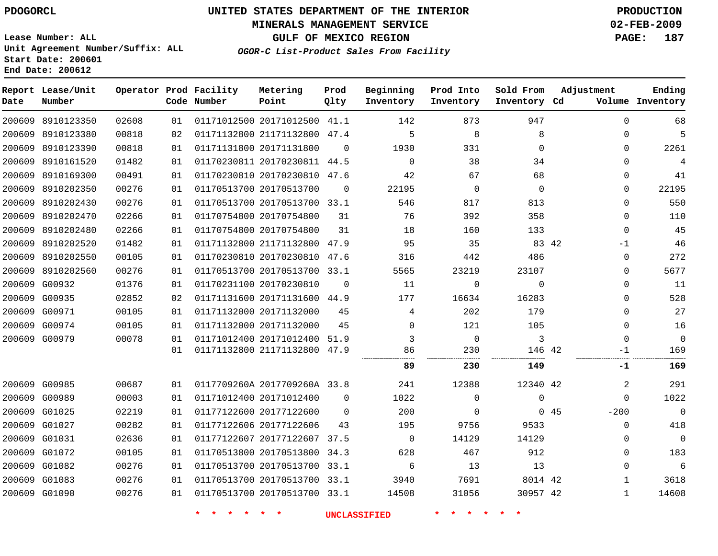#### **MINERALS MANAGEMENT SERVICE 02-FEB-2009**

**GULF OF MEXICO REGION PAGE: 187**

**Lease Number: ALL Unit Agreement Number/Suffix: ALL Start Date: 200601 End Date: 200612**

**OGOR-C List-Product Sales From Facility**

| Date   | Report Lease/Unit<br>Number |       |    | Operator Prod Facility<br>Code Number | Metering<br>Point            | Prod<br>Qlty | Beginning<br>Inventory | Prod Into<br>Inventory | Sold From<br>Inventory Cd | Adjustment    | Ending<br>Volume Inventory |
|--------|-----------------------------|-------|----|---------------------------------------|------------------------------|--------------|------------------------|------------------------|---------------------------|---------------|----------------------------|
|        | 200609 8910123350           | 02608 | 01 |                                       | 01171012500 20171012500 41.1 |              | 142                    | 873                    | 947                       | $\Omega$      | 68                         |
|        | 200609 8910123380           | 00818 | 02 |                                       | 01171132800 21171132800 47.4 |              | 5                      | 8                      | 8                         | 0             | 5                          |
|        | 200609 8910123390           | 00818 | 01 |                                       | 01171131800 20171131800      | $\Omega$     | 1930                   | 331                    | $\Omega$                  | $\Omega$      | 2261                       |
|        | 200609 8910161520           | 01482 | 01 |                                       | 01170230811 20170230811 44.5 |              | $\mathbf 0$            | 38                     | 34                        | 0             | $\overline{4}$             |
|        | 200609 8910169300           | 00491 | 01 |                                       | 01170230810 20170230810 47.6 |              | 42                     | 67                     | 68                        | 0             | 41                         |
| 200609 | 8910202350                  | 00276 | 01 |                                       | 01170513700 20170513700      | $\Omega$     | 22195                  | $\mathbf 0$            | $\Omega$                  | $\Omega$      | 22195                      |
|        | 200609 8910202430           | 00276 | 01 |                                       | 01170513700 20170513700 33.1 |              | 546                    | 817                    | 813                       | $\Omega$      | 550                        |
|        | 200609 8910202470           | 02266 | 01 |                                       | 01170754800 20170754800      | 31           | 76                     | 392                    | 358                       | $\Omega$      | 110                        |
|        | 200609 8910202480           | 02266 | 01 |                                       | 01170754800 20170754800      | 31           | 18                     | 160                    | 133                       | $\Omega$      | 45                         |
|        | 200609 8910202520           | 01482 | 01 |                                       | 01171132800 21171132800 47.9 |              | 95                     | 35                     | 83 42                     | -1            | 46                         |
|        | 200609 8910202550           | 00105 | 01 |                                       | 01170230810 20170230810      | 47.6         | 316                    | 442                    | 486                       | 0             | 272                        |
|        | 200609 8910202560           | 00276 | 01 |                                       | 01170513700 20170513700 33.1 |              | 5565                   | 23219                  | 23107                     | 0             | 5677                       |
|        | 200609 G00932               | 01376 | 01 |                                       | 01170231100 20170230810      | $\mathbf 0$  | 11                     | 0                      | $\mathbf 0$               | $\mathbf{0}$  | 11                         |
|        | 200609 G00935               | 02852 | 02 |                                       | 01171131600 20171131600 44.9 |              | 177                    | 16634                  | 16283                     | 0             | 528                        |
|        | 200609 G00971               | 00105 | 01 |                                       | 01171132000 20171132000      | 45           | 4                      | 202                    | 179                       | $\Omega$      | 27                         |
|        | 200609 G00974               | 00105 | 01 |                                       | 01171132000 20171132000      | 45           | $\Omega$               | 121                    | 105                       | $\Omega$      | 16                         |
|        | 200609 G00979               | 00078 | 01 |                                       | 01171012400 20171012400      | 51.9         | 3                      | $\mathbb O$            | 3                         | $\Omega$      | $\Omega$                   |
|        |                             |       | 01 |                                       | 01171132800 21171132800      | 47.9         | 86<br>                 | 230                    | 146 42                    | -1            | 169                        |
|        |                             |       |    |                                       |                              |              | 89                     | 230                    | 149                       | -1            | 169                        |
|        | 200609 G00985               | 00687 | 01 |                                       | 0117709260A 2017709260A 33.8 |              | 241                    | 12388                  | 12340 42                  | 2             | 291                        |
|        | 200609 G00989               | 00003 | 01 |                                       | 01171012400 20171012400      | $\Omega$     | 1022                   | 0                      | 0                         | $\Omega$      | 1022                       |
| 200609 | G01025                      | 02219 | 01 |                                       | 01177122600 20177122600      | $\mathbf 0$  | 200                    | 0                      |                           | 045<br>$-200$ | $\overline{0}$             |
|        | 200609 G01027               | 00282 | 01 |                                       | 01177122606 20177122606      | 43           | 195                    | 9756                   | 9533                      | $\mathbf 0$   | 418                        |
|        | 200609 G01031               | 02636 | 01 |                                       | 01177122607 20177122607 37.5 |              | $\mathbf 0$            | 14129                  | 14129                     | 0             | $\mathbf 0$                |
|        | 200609 G01072               | 00105 | 01 |                                       | 01170513800 20170513800      | 34.3         | 628                    | 467                    | 912                       | $\Omega$      | 183                        |
|        | 200609 G01082               | 00276 | 01 |                                       | 01170513700 20170513700 33.1 |              | 6                      | 13                     | 13                        | $\Omega$      | $\sqrt{6}$                 |
|        | 200609 G01083               | 00276 | 01 |                                       | 01170513700 20170513700 33.1 |              | 3940                   | 7691                   | 8014 42                   | 1             | 3618                       |
|        | 200609 G01090               | 00276 | 01 |                                       | 01170513700 20170513700 33.1 |              | 14508                  | 31056                  | 30957 42                  | 1             | 14608                      |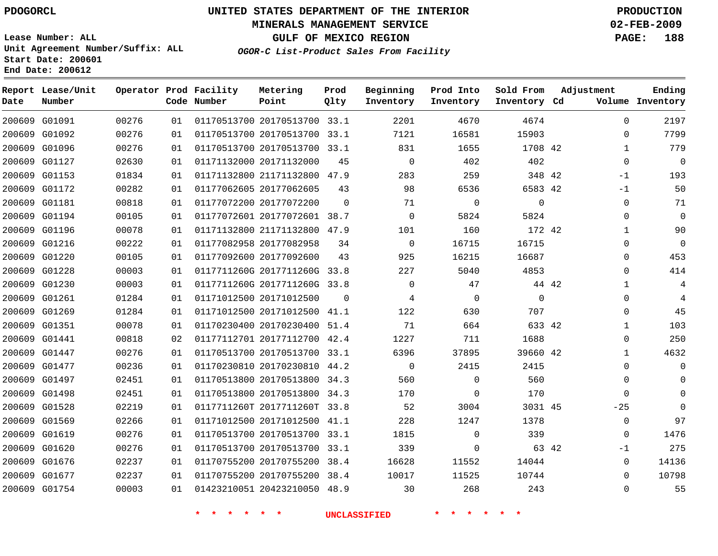#### **MINERALS MANAGEMENT SERVICE 02-FEB-2009**

**GULF OF MEXICO REGION PAGE: 188**

**Lease Number: ALL Unit Agreement Number/Suffix: ALL Start Date: 200601 End Date: 200612**

**OGOR-C List-Product Sales From Facility**

| Date | Report Lease/Unit<br>Number |       |    | Operator Prod Facility<br>Code Number | Metering<br>Point            | Prod<br>Qlty | Beginning<br>Inventory | Prod Into<br>Inventory | Sold From<br>Inventory Cd | Adjustment |              | Ending<br>Volume Inventory |
|------|-----------------------------|-------|----|---------------------------------------|------------------------------|--------------|------------------------|------------------------|---------------------------|------------|--------------|----------------------------|
|      | 200609 G01091               | 00276 | 01 |                                       | 01170513700 20170513700 33.1 |              | 2201                   | 4670                   | 4674                      |            | $\Omega$     | 2197                       |
|      | 200609 G01092               | 00276 | 01 |                                       | 01170513700 20170513700 33.1 |              | 7121                   | 16581                  | 15903                     |            | $\mathbf{0}$ | 7799                       |
|      | 200609 G01096               | 00276 | 01 |                                       | 01170513700 20170513700 33.1 |              | 831                    | 1655                   | 1708 42                   |            | 1            | 779                        |
|      | 200609 G01127               | 02630 | 01 |                                       | 01171132000 20171132000      | 45           | $\mathbf{0}$           | 402                    | 402                       |            | $\mathbf 0$  | $\mathbf{0}$               |
|      | 200609 G01153               | 01834 | 01 |                                       | 01171132800 21171132800 47.9 |              | 283                    | 259                    | 348 42                    |            | $-1$         | 193                        |
|      | 200609 G01172               | 00282 | 01 |                                       | 01177062605 20177062605      | 43           | 98                     | 6536                   | 6583 42                   |            | $-1$         | 50                         |
|      | 200609 G01181               | 00818 | 01 |                                       | 01177072200 20177072200      | $\Omega$     | 71                     | $\mathbf 0$            | 0                         |            | 0            | 71                         |
|      | 200609 G01194               | 00105 | 01 |                                       | 01177072601 20177072601 38.7 |              | $\mathbf 0$            | 5824                   | 5824                      |            | 0            | $\mathbf 0$                |
|      | 200609 G01196               | 00078 | 01 |                                       | 01171132800 21171132800 47.9 |              | 101                    | 160                    | 172 42                    |            | $\mathbf{1}$ | 90                         |
|      | 200609 G01216               | 00222 | 01 |                                       | 01177082958 20177082958      | 34           | $\mathbf 0$            | 16715                  | 16715                     |            | 0            | $\mathbf 0$                |
|      | 200609 G01220               | 00105 | 01 |                                       | 01177092600 20177092600      | 43           | 925                    | 16215                  | 16687                     |            | 0            | 453                        |
|      | 200609 G01228               | 00003 | 01 |                                       | 0117711260G 2017711260G 33.8 |              | 227                    | 5040                   | 4853                      |            | $\mathbf{0}$ | 414                        |
|      | 200609 G01230               | 00003 | 01 |                                       | 0117711260G 2017711260G 33.8 |              | $\Omega$               | 47                     |                           | 44 42      | $\mathbf{1}$ | 4                          |
|      | 200609 G01261               | 01284 | 01 |                                       | 01171012500 20171012500      | $\Omega$     | 4                      | $\mathbf 0$            | $\mathbf 0$               |            | 0            | 4                          |
|      | 200609 G01269               | 01284 | 01 |                                       | 01171012500 20171012500 41.1 |              | 122                    | 630                    | 707                       |            | 0            | 45                         |
|      | 200609 G01351               | 00078 | 01 |                                       | 01170230400 20170230400      | 51.4         | 71                     | 664                    | 633 42                    |            | $\mathbf{1}$ | 103                        |
|      | 200609 G01441               | 00818 | 02 |                                       | 01177112701 20177112700 42.4 |              | 1227                   | 711                    | 1688                      |            | 0            | 250                        |
|      | 200609 G01447               | 00276 | 01 |                                       | 01170513700 20170513700 33.1 |              | 6396                   | 37895                  | 39660 42                  |            | $\mathbf{1}$ | 4632                       |
|      | 200609 G01477               | 00236 | 01 |                                       | 01170230810 20170230810 44.2 |              | $\Omega$               | 2415                   | 2415                      |            | 0            | $\Omega$                   |
|      | 200609 G01497               | 02451 | 01 |                                       | 01170513800 20170513800      | 34.3         | 560                    | $\mathbf 0$            | 560                       |            | $\mathbf{0}$ | $\Omega$                   |
|      | 200609 G01498               | 02451 | 01 |                                       | 01170513800 20170513800 34.3 |              | 170                    | $\mathbf 0$            | 170                       |            | $\Omega$     | $\Omega$                   |
|      | 200609 G01528               | 02219 | 01 |                                       | 0117711260T 2017711260T 33.8 |              | 52                     | 3004                   | 3031 45                   |            | $-25$        | $\Omega$                   |
|      | 200609 G01569               | 02266 | 01 |                                       | 01171012500 20171012500 41.1 |              | 228                    | 1247                   | 1378                      |            | $\mathbf{0}$ | 97                         |
|      | 200609 G01619               | 00276 | 01 |                                       | 01170513700 20170513700      | 33.1         | 1815                   | $\mathbf 0$            | 339                       |            | $\Omega$     | 1476                       |
|      | 200609 G01620               | 00276 | 01 |                                       | 01170513700 20170513700 33.1 |              | 339                    | 0                      | 63 42                     |            | -1           | 275                        |
|      | 200609 G01676               | 02237 | 01 |                                       | 01170755200 20170755200      | 38.4         | 16628                  | 11552                  | 14044                     |            | 0            | 14136                      |
|      | 200609 G01677               | 02237 | 01 |                                       | 01170755200 20170755200      | 38.4         | 10017                  | 11525                  | 10744                     |            | $\Omega$     | 10798                      |
|      | 200609 G01754               | 00003 | 01 |                                       | 01423210051 20423210050 48.9 |              | 30                     | 268                    | 243                       |            | $\Omega$     | 55                         |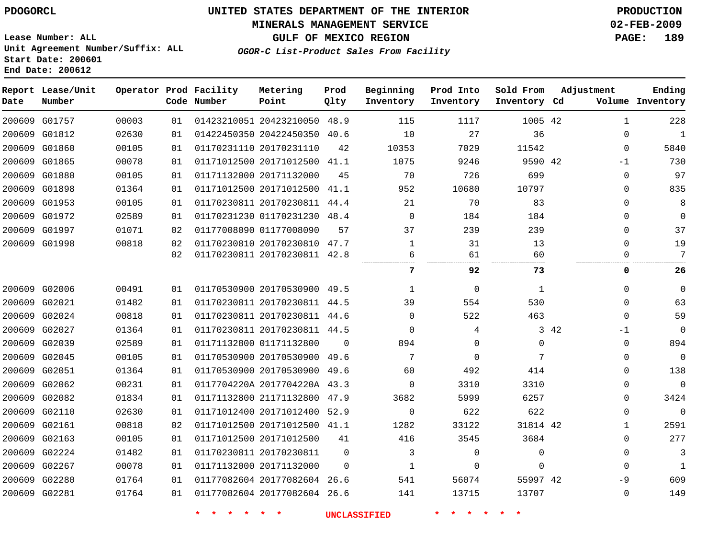#### **MINERALS MANAGEMENT SERVICE 02-FEB-2009**

**GULF OF MEXICO REGION PAGE: 189 OGOR-C List-Product Sales From Facility**

**Lease Number: ALL Unit Agreement Number/Suffix: ALL Start Date: 200601 End Date: 200612**

 G01757 G01812 G01860 G01865 G01880 G01898 G01953 G01972 G01997 G01998 G02006 G02021 G02024 G02027 G02039 G02045 G02051 G02062 G02082 G02110 G02161 G02163 G02224 G02267 G02280 G02281 **Report Lease/Unit Date Number Operator Prod Facility Code Number** 20423210050 20422450350 20170231110 20171012500 20171132000 20171012500 41.1 20170230811 44.4 01170231230 01177008090 20170230810 47.7 20170230811 42.8 20170530900 20170230811 44.5 20170230811 44.6 20170230811 44.5 01171132800 20170530900 20170530900 0117704220A 2017704220A 43.3 21171132800 20171012400 52.9 20171012500 41.1 20171012500 20170230811 20171132000 20177082604 26.6 20177082604 26.6 **Metering Point** 42 42 42 42 42 48.9 40.6 41.1 48.4 49.5  $\Omega$ 49.6 49.6 47.9  $\Omega$  $\Omega$ **Prod Qlty**  $\Omega$   $\Omega$  $\Omega$   $\Omega$   $\Omega$  **Beginning Inventory**  $\Omega$   $\frac{7}{2}$  $\Omega$   $\Omega$   $\Omega$  **Ending Inventory Cd Volume**  $\Omega$   $\Omega$   $\Omega$  $\Omega$  **Prod Into Inventory**  $\Omega$   $\Omega$  $\Omega$  **Sold From Inventory**  $\Omega$  $\Omega$ -1  $\Omega$  $\Omega$  $\Omega$  $\Omega$  $\Omega$  $\Omega$  $\Omega$   $\Omega$  $\Omega$ -1  $\Omega$  $\Omega$  $\Omega$  $\Omega$  $\Omega$  $\Omega$   $\Omega$  $\Omega$  $\Omega$ -9  $\Omega$ **Adjustment 92 73 0 26**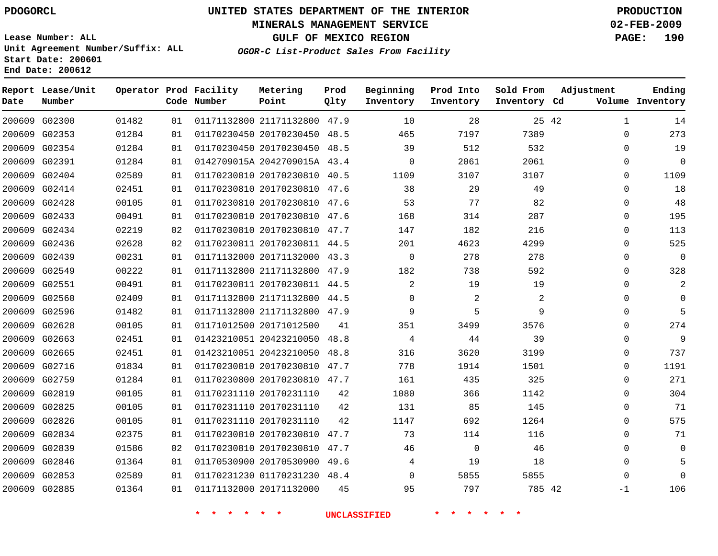#### **MINERALS MANAGEMENT SERVICE 02-FEB-2009**

**GULF OF MEXICO REGION PAGE: 190**

**Lease Number: ALL Unit Agreement Number/Suffix: ALL Start Date: 200601 End Date: 200612**

**OGOR-C List-Product Sales From Facility**

| Date | Report Lease/Unit<br>Number |       |    | Operator Prod Facility<br>Code Number | Metering<br>Point            | Prod<br>Qlty | Beginning<br>Inventory | Prod Into<br>Inventory | Sold From<br>Inventory Cd | Adjustment   | Ending<br>Volume Inventory |
|------|-----------------------------|-------|----|---------------------------------------|------------------------------|--------------|------------------------|------------------------|---------------------------|--------------|----------------------------|
|      | 200609 G02300               | 01482 | 01 |                                       | 01171132800 21171132800 47.9 |              | 10                     | 28                     | 25 42                     | 1            | 14                         |
|      | 200609 G02353               | 01284 | 01 |                                       | 01170230450 20170230450 48.5 |              | 465                    | 7197                   | 7389                      | 0            | 273                        |
|      | 200609 G02354               | 01284 | 01 |                                       | 01170230450 20170230450 48.5 |              | 39                     | 512                    | 532                       | $\Omega$     | 19                         |
|      | 200609 G02391               | 01284 | 01 |                                       | 0142709015A 2042709015A 43.4 |              | $\mathbf 0$            | 2061                   | 2061                      | 0            | $\Omega$                   |
|      | 200609 G02404               | 02589 | 01 |                                       | 01170230810 20170230810 40.5 |              | 1109                   | 3107                   | 3107                      | $\Omega$     | 1109                       |
|      | 200609 G02414               | 02451 | 01 |                                       | 01170230810 20170230810 47.6 |              | 38                     | 29                     | 49                        | 0            | 18                         |
|      | 200609 G02428               | 00105 | 01 |                                       | 01170230810 20170230810 47.6 |              | 53                     | 77                     | 82                        | $\Omega$     | 48                         |
|      | 200609 G02433               | 00491 | 01 |                                       | 01170230810 20170230810 47.6 |              | 168                    | 314                    | 287                       | $\Omega$     | 195                        |
|      | 200609 G02434               | 02219 | 02 |                                       | 01170230810 20170230810 47.7 |              | 147                    | 182                    | 216                       | $\Omega$     | 113                        |
|      | 200609 G02436               | 02628 | 02 |                                       | 01170230811 20170230811 44.5 |              | 201                    | 4623                   | 4299                      | $\Omega$     | 525                        |
|      | 200609 G02439               | 00231 | 01 |                                       | 01171132000 20171132000 43.3 |              | $\Omega$               | 278                    | 278                       | $\Omega$     | $\Omega$                   |
|      | 200609 G02549               | 00222 | 01 |                                       | 01171132800 21171132800 47.9 |              | 182                    | 738                    | 592                       | $\Omega$     | 328                        |
|      | 200609 G02551               | 00491 | 01 |                                       | 01170230811 20170230811 44.5 |              | $\overline{2}$         | 19                     | 19                        | $\Omega$     | $\overline{2}$             |
|      | 200609 G02560               | 02409 | 01 |                                       | 01171132800 21171132800 44.5 |              | 0                      | 2                      | 2                         | 0            | $\Omega$                   |
|      | 200609 G02596               | 01482 | 01 |                                       | 01171132800 21171132800 47.9 |              | 9                      | 5                      | 9                         | 0            | 5                          |
|      | 200609 G02628               | 00105 | 01 |                                       | 01171012500 20171012500      | 41           | 351                    | 3499                   | 3576                      | 0            | 274                        |
|      | 200609 G02663               | 02451 | 01 |                                       | 01423210051 20423210050 48.8 |              | 4                      | 44                     | 39                        | 0            | 9                          |
|      | 200609 G02665               | 02451 | 01 |                                       | 01423210051 20423210050 48.8 |              | 316                    | 3620                   | 3199                      | 0            | 737                        |
|      | 200609 G02716               | 01834 | 01 |                                       | 01170230810 20170230810 47.7 |              | 778                    | 1914                   | 1501                      | $\mathbf{0}$ | 1191                       |
|      | 200609 G02759               | 01284 | 01 |                                       | 01170230800 20170230810 47.7 |              | 161                    | 435                    | 325                       | $\mathbf{0}$ | 271                        |
|      | 200609 G02819               | 00105 | 01 |                                       | 01170231110 20170231110      | 42           | 1080                   | 366                    | 1142                      | $\Omega$     | 304                        |
|      | 200609 G02825               | 00105 | 01 |                                       | 01170231110 20170231110      | 42           | 131                    | 85                     | 145                       | $\mathbf{0}$ | 71                         |
|      | 200609 G02826               | 00105 | 01 |                                       | 01170231110 20170231110      | 42           | 1147                   | 692                    | 1264                      | $\Omega$     | 575                        |
|      | 200609 G02834               | 02375 | 01 |                                       | 01170230810 20170230810      | 47.7         | 73                     | 114                    | 116                       | $\mathbf{0}$ | 71                         |
|      | 200609 G02839               | 01586 | 02 |                                       | 01170230810 20170230810 47.7 |              | 46                     | $\mathbf 0$            | 46                        | $\Omega$     | $\Omega$                   |
|      | 200609 G02846               | 01364 | 01 |                                       | 01170530900 20170530900 49.6 |              | 4                      | 19                     | 18                        | $\Omega$     |                            |
|      | 200609 G02853               | 02589 | 01 |                                       | 01170231230 01170231230 48.4 |              | $\Omega$               | 5855                   | 5855                      | $\Omega$     | $\Omega$                   |
|      | 200609 G02885               | 01364 | 01 |                                       | 01171132000 20171132000      | 45           | 95                     | 797                    | 785 42                    | $-1$         | 106                        |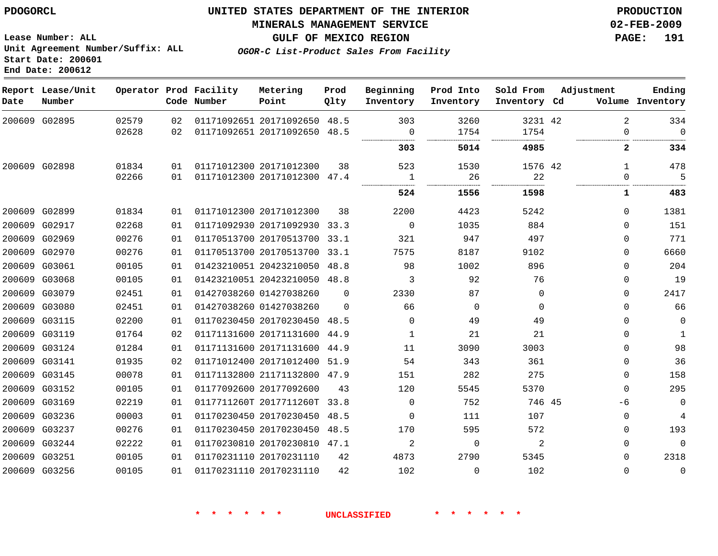# **MINERALS MANAGEMENT SERVICE 02-FEB-2009**

**GULF OF MEXICO REGION PAGE: 191 OGOR-C List-Product Sales From Facility**

**Lease Number: ALL Unit Agreement Number/Suffix: ALL Start Date: 200601 End Date: 200612**

| Date | Report Lease/Unit<br>Number |       |    | Operator Prod Facility<br>Code Number | Metering<br>Point            | Prod<br>Qlty | Beginning<br>Inventory | Prod Into<br>Inventory | Sold From<br>Inventory Cd | Adjustment   | Ending<br>Volume Inventory |
|------|-----------------------------|-------|----|---------------------------------------|------------------------------|--------------|------------------------|------------------------|---------------------------|--------------|----------------------------|
|      | 200609 G02895               | 02579 | 02 |                                       | 01171092651 20171092650 48.5 |              | 303                    | 3260                   | 3231 42                   | 2            | 334                        |
|      |                             | 02628 | 02 |                                       | 01171092651 20171092650 48.5 |              | 0                      | 1754                   | 1754                      | $\Omega$     | $\Omega$                   |
|      |                             |       |    |                                       |                              |              | 303                    | 5014                   | 4985                      | $\mathbf{2}$ | 334                        |
|      | 200609 G02898               | 01834 | 01 |                                       | 01171012300 20171012300      | 38           | 523                    | 1530                   | 1576 42                   | $\mathbf{1}$ | 478                        |
|      |                             | 02266 | 01 |                                       | 01171012300 20171012300 47.4 |              | 1                      | 26                     | 22                        | $\Omega$     | 5                          |
|      |                             |       |    |                                       |                              |              | 524                    | 1556                   | 1598                      | 1            | 483                        |
|      | 200609 G02899               | 01834 | 01 |                                       | 01171012300 20171012300      | 38           | 2200                   | 4423                   | 5242                      | $\Omega$     | 1381                       |
|      | 200609 G02917               | 02268 | 01 |                                       | 01171092930 20171092930 33.3 |              | $\Omega$               | 1035                   | 884                       | $\Omega$     | 151                        |
|      | 200609 G02969               | 00276 | 01 |                                       | 01170513700 20170513700 33.1 |              | 321                    | 947                    | 497                       | $\Omega$     | 771                        |
|      | 200609 G02970               | 00276 | 01 |                                       | 01170513700 20170513700 33.1 |              | 7575                   | 8187                   | 9102                      | $\Omega$     | 6660                       |
|      | 200609 G03061               | 00105 | 01 |                                       | 01423210051 20423210050 48.8 |              | 98                     | 1002                   | 896                       | $\Omega$     | 204                        |
|      | 200609 G03068               | 00105 | 01 |                                       | 01423210051 20423210050 48.8 |              | 3                      | 92                     | 76                        | $\mathbf 0$  | 19                         |
|      | 200609 G03079               | 02451 | 01 |                                       | 01427038260 01427038260      | $\Omega$     | 2330                   | 87                     | $\mathbf 0$               | $\Omega$     | 2417                       |
|      | 200609 G03080               | 02451 | 01 |                                       | 01427038260 01427038260      | $\Omega$     | 66                     | $\Omega$               | $\Omega$                  | $\Omega$     | 66                         |
|      | 200609 G03115               | 02200 | 01 |                                       | 01170230450 20170230450 48.5 |              | $\Omega$               | 49                     | 49                        | $\Omega$     | $\mathbf 0$                |
|      | 200609 G03119               | 01764 | 02 |                                       | 01171131600 20171131600 44.9 |              | $\mathbf{1}$           | 21                     | 21                        | $\Omega$     | $\mathbf{1}$               |
|      | 200609 G03124               | 01284 | 01 |                                       | 01171131600 20171131600 44.9 |              | 11                     | 3090                   | 3003                      | $\Omega$     | 98                         |
|      | 200609 G03141               | 01935 | 02 |                                       | 01171012400 20171012400 51.9 |              | 54                     | 343                    | 361                       | $\Omega$     | 36                         |
|      | 200609 G03145               | 00078 | 01 |                                       | 01171132800 21171132800 47.9 |              | 151                    | 282                    | 275                       | $\Omega$     | 158                        |
|      | 200609 G03152               | 00105 | 01 |                                       | 01177092600 20177092600      | 43           | 120                    | 5545                   | 5370                      | $\Omega$     | 295                        |
|      | 200609 G03169               | 02219 | 01 |                                       | 0117711260T 2017711260T 33.8 |              | $\mathbf 0$            | 752                    | 746 45                    | -6           | $\mathbf 0$                |
|      | 200609 G03236               | 00003 | 01 |                                       | 01170230450 20170230450 48.5 |              | $\Omega$               | 111                    | 107                       | $\Omega$     | 4                          |
|      | 200609 G03237               | 00276 | 01 |                                       | 01170230450 20170230450      | 48.5         | 170                    | 595                    | 572                       | $\Omega$     | 193                        |
|      | 200609 G03244               | 02222 | 01 |                                       | 01170230810 20170230810 47.1 |              | 2                      | $\Omega$               | 2                         | $\Omega$     | $\Omega$                   |
|      | 200609 G03251               | 00105 | 01 |                                       | 01170231110 20170231110      | 42           | 4873                   | 2790                   | 5345                      | $\Omega$     | 2318                       |
|      | 200609 G03256               | 00105 | 01 |                                       | 01170231110 20170231110      | 42           | 102                    | $\Omega$               | 102                       | $\Omega$     | $\overline{0}$             |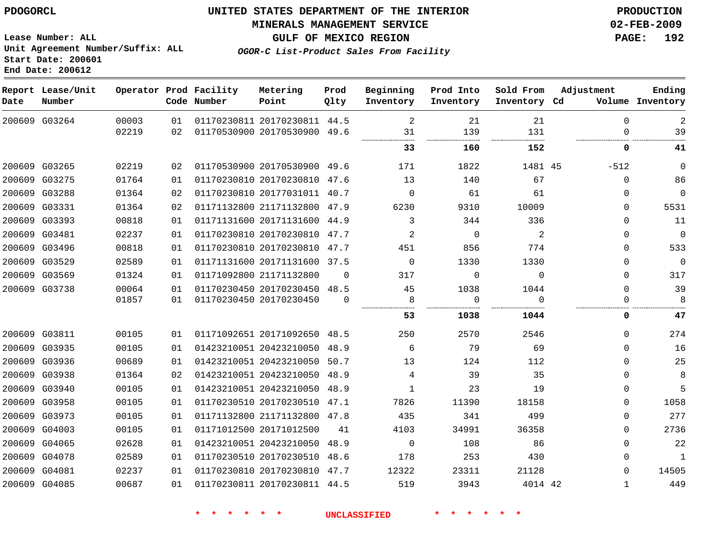**MINERALS MANAGEMENT SERVICE 02-FEB-2009**

**GULF OF MEXICO REGION PAGE: 192 OGOR-C List-Product Sales From Facility**

**Lease Number: ALL Unit Agreement Number/Suffix: ALL Start Date: 200601 End Date: 200612**

| Date          | Report Lease/Unit<br>Number |       |    | Operator Prod Facility<br>Code Number | Metering<br>Point            | Prod<br>Qlty | Beginning<br>Inventory | Prod Into<br>Inventory | Sold From<br>Inventory Cd | Adjustment   | Ending<br>Volume Inventory |
|---------------|-----------------------------|-------|----|---------------------------------------|------------------------------|--------------|------------------------|------------------------|---------------------------|--------------|----------------------------|
|               | 200609 G03264               | 00003 | 01 |                                       | 01170230811 20170230811 44.5 |              | 2                      | 21                     | 21                        | $\mathbf 0$  | $\overline{2}$             |
|               |                             | 02219 | 02 |                                       | 01170530900 20170530900 49.6 |              | 31                     | 139                    | 131                       | $\Omega$     | 39                         |
|               |                             |       |    |                                       |                              |              | 33                     | 160                    | 152                       | 0            | 41                         |
|               | 200609 G03265               | 02219 | 02 |                                       | 01170530900 20170530900 49.6 |              | 171                    | 1822                   | 1481 45                   | $-512$       | $\mathbf 0$                |
|               | 200609 G03275               | 01764 | 01 |                                       | 01170230810 20170230810 47.6 |              | 13                     | 140                    | 67                        | $\Omega$     | 86                         |
|               | 200609 G03288               | 01364 | 02 |                                       | 01170230810 20177031011 40.7 |              | $\Omega$               | 61                     | 61                        | 0            | $\mathbf 0$                |
|               | 200609 G03331               | 01364 | 02 |                                       | 01171132800 21171132800 47.9 |              | 6230                   | 9310                   | 10009                     | $\Omega$     | 5531                       |
|               | 200609 G03393               | 00818 | 01 |                                       | 01171131600 20171131600 44.9 |              | 3                      | 344                    | 336                       | $\Omega$     | 11                         |
|               | 200609 G03481               | 02237 | 01 |                                       | 01170230810 20170230810 47.7 |              | 2                      | $\overline{0}$         | 2                         | $\Omega$     | $\overline{0}$             |
|               | 200609 G03496               | 00818 | 01 |                                       | 01170230810 20170230810 47.7 |              | 451                    | 856                    | 774                       | $\Omega$     | 533                        |
|               | 200609 G03529               | 02589 | 01 |                                       | 01171131600 20171131600 37.5 |              | $\Omega$               | 1330                   | 1330                      | $\Omega$     | $\mathbf 0$                |
|               | 200609 G03569               | 01324 | 01 |                                       | 01171092800 21171132800      | $\Omega$     | 317                    | $\Omega$               | $\Omega$                  | $\Omega$     | 317                        |
| 200609 G03738 |                             | 00064 | 01 |                                       | 01170230450 20170230450 48.5 |              | 45                     | 1038                   | 1044                      | $\Omega$     | 39                         |
|               |                             | 01857 | 01 |                                       | 01170230450 20170230450      | $\Omega$     | 8                      | 0                      | $\Omega$                  | 0            | 8                          |
|               |                             |       |    |                                       |                              |              | 53                     | 1038                   | 1044                      | 0            | 47                         |
|               | 200609 G03811               | 00105 | 01 |                                       | 01171092651 20171092650 48.5 |              | 250                    | 2570                   | 2546                      | 0            | 274                        |
|               | 200609 G03935               | 00105 | 01 |                                       | 01423210051 20423210050 48.9 |              | 6                      | 79                     | 69                        | $\Omega$     | 16                         |
|               | 200609 G03936               | 00689 | 01 |                                       | 01423210051 20423210050 50.7 |              | 13                     | 124                    | 112                       | 0            | 25                         |
|               | 200609 G03938               | 01364 | 02 |                                       | 01423210051 20423210050 48.9 |              | 4                      | 39                     | 35                        | 0            | 8                          |
|               | 200609 G03940               | 00105 | 01 |                                       | 01423210051 20423210050      | 48.9         | $\mathbf{1}$           | 23                     | 19                        | 0            | 5                          |
|               | 200609 G03958               | 00105 | 01 |                                       | 01170230510 20170230510 47.1 |              | 7826                   | 11390                  | 18158                     | $\Omega$     | 1058                       |
|               | 200609 G03973               | 00105 | 01 |                                       | 01171132800 21171132800 47.8 |              | 435                    | 341                    | 499                       | 0            | 277                        |
|               | 200609 G04003               | 00105 | 01 |                                       | 01171012500 20171012500      | 41           | 4103                   | 34991                  | 36358                     | $\Omega$     | 2736                       |
|               | 200609 G04065               | 02628 | 01 |                                       | 01423210051 20423210050      | 48.9         | $\overline{0}$         | 108                    | 86                        | $\Omega$     | 22                         |
|               | 200609 G04078               | 02589 | 01 |                                       | 01170230510 20170230510 48.6 |              | 178                    | 253                    | 430                       | $\Omega$     | $\mathbf{1}$               |
|               | 200609 G04081               | 02237 | 01 |                                       | 01170230810 20170230810 47.7 |              | 12322                  | 23311                  | 21128                     | $\Omega$     | 14505                      |
|               | 200609 G04085               | 00687 | 01 |                                       | 01170230811 20170230811 44.5 |              | 519                    | 3943                   | 4014 42                   | $\mathbf{1}$ | 449                        |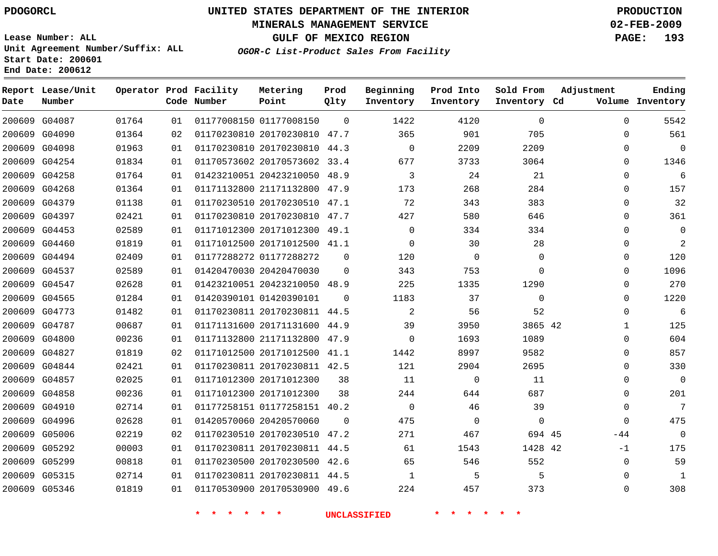#### **MINERALS MANAGEMENT SERVICE 02-FEB-2009**

**GULF OF MEXICO REGION PAGE: 193**

**Lease Number: ALL Unit Agreement Number/Suffix: ALL Start Date: 200601 End Date: 200612**

**OGOR-C List-Product Sales From Facility**

| Date | Report Lease/Unit<br>Number |       |    | Operator Prod Facility<br>Code Number | Metering<br>Point            | Prod<br>Qlty | Beginning<br>Inventory | Prod Into<br>Inventory | Sold From<br>Inventory Cd | Adjustment  | Ending<br>Volume Inventory |
|------|-----------------------------|-------|----|---------------------------------------|------------------------------|--------------|------------------------|------------------------|---------------------------|-------------|----------------------------|
|      | 200609 G04087               | 01764 | 01 |                                       | 01177008150 01177008150      | $\Omega$     | 1422                   | 4120                   | 0                         | $\Omega$    | 5542                       |
|      | 200609 G04090               | 01364 | 02 |                                       | 01170230810 20170230810 47.7 |              | 365                    | 901                    | 705                       | $\mathbf 0$ | 561                        |
|      | 200609 G04098               | 01963 | 01 |                                       | 01170230810 20170230810 44.3 |              | $\Omega$               | 2209                   | 2209                      | $\Omega$    | $\mathbf 0$                |
|      | 200609 G04254               | 01834 | 01 |                                       | 01170573602 20170573602 33.4 |              | 677                    | 3733                   | 3064                      | $\Omega$    | 1346                       |
|      | 200609 G04258               | 01764 | 01 |                                       | 01423210051 20423210050 48.9 |              | 3                      | 24                     | 21                        | $\Omega$    | 6                          |
|      | 200609 G04268               | 01364 | 01 |                                       | 01171132800 21171132800 47.9 |              | 173                    | 268                    | 284                       | $\mathbf 0$ | 157                        |
|      | 200609 G04379               | 01138 | 01 |                                       | 01170230510 20170230510 47.1 |              | 72                     | 343                    | 383                       | $\Omega$    | 32                         |
|      | 200609 G04397               | 02421 | 01 |                                       | 01170230810 20170230810 47.7 |              | 427                    | 580                    | 646                       | 0           | 361                        |
|      | 200609 G04453               | 02589 | 01 |                                       | 01171012300 20171012300 49.1 |              | $\Omega$               | 334                    | 334                       | $\Omega$    | $\mathbf 0$                |
|      | 200609 G04460               | 01819 | 01 |                                       | 01171012500 20171012500 41.1 |              | $\Omega$               | 30                     | 28                        | 0           | $\overline{2}$             |
|      | 200609 G04494               | 02409 | 01 |                                       | 01177288272 01177288272      | $\Omega$     | 120                    | $\Omega$               | $\Omega$                  | $\Omega$    | 120                        |
|      | 200609 G04537               | 02589 | 01 |                                       | 01420470030 20420470030      | $\Omega$     | 343                    | 753                    | $\Omega$                  | $\Omega$    | 1096                       |
|      | 200609 G04547               | 02628 | 01 |                                       | 01423210051 20423210050 48.9 |              | 225                    | 1335                   | 1290                      | $\Omega$    | 270                        |
|      | 200609 G04565               | 01284 | 01 |                                       | 01420390101 01420390101      | $\Omega$     | 1183                   | 37                     | $\mathbf 0$               | $\mathbf 0$ | 1220                       |
|      | 200609 G04773               | 01482 | 01 |                                       | 01170230811 20170230811 44.5 |              | 2                      | 56                     | 52                        | $\Omega$    | 6                          |
|      | 200609 G04787               | 00687 | 01 |                                       | 01171131600 20171131600 44.9 |              | 39                     | 3950                   | 3865 42                   | 1           | 125                        |
|      | 200609 G04800               | 00236 | 01 |                                       | 01171132800 21171132800 47.9 |              | $\Omega$               | 1693                   | 1089                      | $\mathbf 0$ | 604                        |
|      | 200609 G04827               | 01819 | 02 |                                       | 01171012500 20171012500 41.1 |              | 1442                   | 8997                   | 9582                      | $\mathbf 0$ | 857                        |
|      | 200609 G04844               | 02421 | 01 |                                       | 01170230811 20170230811 42.5 |              | 121                    | 2904                   | 2695                      | $\Omega$    | 330                        |
|      | 200609 G04857               | 02025 | 01 |                                       | 01171012300 20171012300      | 38           | 11                     | 0                      | 11                        | $\mathbf 0$ | $\mathbf 0$                |
|      | 200609 G04858               | 00236 | 01 |                                       | 01171012300 20171012300      | 38           | 244                    | 644                    | 687                       | $\mathbf 0$ | 201                        |
|      | 200609 G04910               | 02714 | 01 |                                       | 01177258151 01177258151 40.2 |              | $\Omega$               | 46                     | 39                        | $\mathbf 0$ | 7                          |
|      | 200609 G04996               | 02628 | 01 |                                       | 01420570060 20420570060      | $\Omega$     | 475                    | $\Omega$               | $\Omega$                  | $\Omega$    | 475                        |
|      | 200609 G05006               | 02219 | 02 |                                       | 01170230510 20170230510 47.2 |              | 271                    | 467                    | 694 45                    | $-44$       | $\mathbf 0$                |
|      | 200609 G05292               | 00003 | 01 |                                       | 01170230811 20170230811 44.5 |              | 61                     | 1543                   | 1428 42                   | $-1$        | 175                        |
|      | 200609 G05299               | 00818 | 01 |                                       | 01170230500 20170230500 42.6 |              | 65                     | 546                    | 552                       | $\mathbf 0$ | 59                         |
|      | 200609 G05315               | 02714 | 01 |                                       | 01170230811 20170230811 44.5 |              | $\mathbf{1}$           | 5                      | 5                         | $\Omega$    | $\mathbf{1}$               |
|      | 200609 G05346               | 01819 | 01 |                                       | 01170530900 20170530900 49.6 |              | 224                    | 457                    | 373                       | $\Omega$    | 308                        |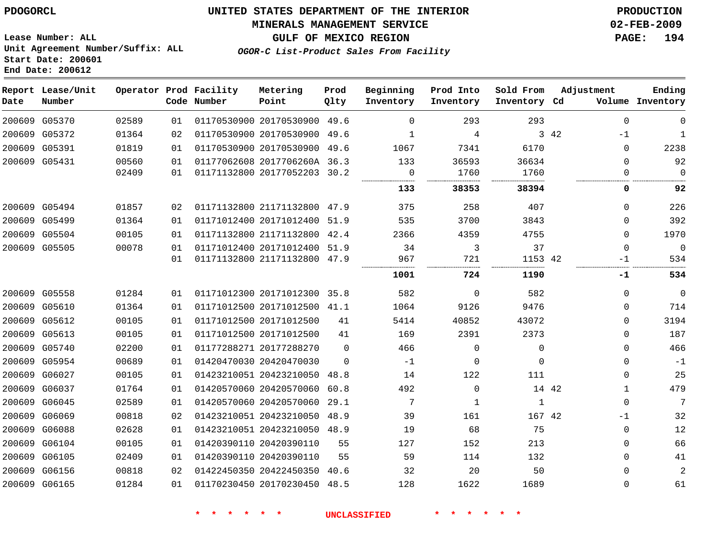#### **MINERALS MANAGEMENT SERVICE 02-FEB-2009**

**GULF OF MEXICO REGION PAGE: 194**

**Lease Number: ALL Unit Agreement Number/Suffix: ALL Start Date: 200601 End Date: 200612**

**OGOR-C List-Product Sales From Facility**

| Date | Report Lease/Unit<br>Number |       |    | Operator Prod Facility<br>Code Number | Metering<br>Point            | Prod<br>Qlty | Beginning<br>Inventory | Prod Into<br>Inventory | Sold From<br>Inventory Cd | Adjustment |              | Ending<br>Volume Inventory |
|------|-----------------------------|-------|----|---------------------------------------|------------------------------|--------------|------------------------|------------------------|---------------------------|------------|--------------|----------------------------|
|      | 200609 G05370               | 02589 | 01 |                                       | 01170530900 20170530900      | 49.6         | $\Omega$               | 293                    | 293                       |            | $\Omega$     | $\Omega$                   |
|      | 200609 G05372               | 01364 | 02 |                                       | 01170530900 20170530900      | 49.6         | 1                      | 4                      |                           | 3 42       | $-1$         | 1                          |
|      | 200609 G05391               | 01819 | 01 |                                       | 01170530900 20170530900      | 49.6         | 1067                   | 7341                   | 6170                      |            | $\mathbf{0}$ | 2238                       |
|      | 200609 G05431               | 00560 | 01 |                                       | 01177062608 2017706260A 36.3 |              | 133                    | 36593                  | 36634                     |            | $\Omega$     | 92                         |
|      |                             | 02409 | 01 |                                       | 01171132800 20177052203 30.2 |              | $\Omega$               | 1760                   | 1760                      |            | $\Omega$     | $\Omega$                   |
|      |                             |       |    |                                       |                              |              | 133                    | 38353                  | 38394                     |            | 0            | 92                         |
|      | 200609 G05494               | 01857 | 02 |                                       | 01171132800 21171132800 47.9 |              | 375                    | 258                    | 407                       |            | 0            | 226                        |
|      | 200609 G05499               | 01364 | 01 |                                       | 01171012400 20171012400      | 51.9         | 535                    | 3700                   | 3843                      |            | $\Omega$     | 392                        |
|      | 200609 G05504               | 00105 | 01 |                                       | 01171132800 21171132800      | 42.4         | 2366                   | 4359                   | 4755                      |            | $\Omega$     | 1970                       |
|      | 200609 G05505               | 00078 | 01 |                                       | 01171012400 20171012400      | 51.9         | 34                     | 3                      | 37                        |            | $\mathbf 0$  | $\mathbf 0$                |
|      |                             |       | 01 |                                       | 01171132800 21171132800 47.9 |              | 967                    | 721                    | 1153 42                   |            | $-1$         | 534                        |
|      |                             |       |    |                                       |                              |              | 1001                   | 724                    | 1190                      |            | -1           | 534                        |
|      | 200609 G05558               | 01284 | 01 |                                       | 01171012300 20171012300 35.8 |              | 582                    | $\mathbf 0$            | 582                       |            | $\Omega$     | $\Omega$                   |
|      | 200609 G05610               | 01364 | 01 |                                       | 01171012500 20171012500 41.1 |              | 1064                   | 9126                   | 9476                      |            | $\Omega$     | 714                        |
|      | 200609 G05612               | 00105 | 01 |                                       | 01171012500 20171012500      | 41           | 5414                   | 40852                  | 43072                     |            | $\mathbf{0}$ | 3194                       |
|      | 200609 G05613               | 00105 | 01 |                                       | 01171012500 20171012500      | 41           | 169                    | 2391                   | 2373                      |            | 0            | 187                        |
|      | 200609 G05740               | 02200 | 01 |                                       | 01177288271 20177288270      | 0            | 466                    | 0                      | $\mathbf 0$               |            | 0            | 466                        |
|      | 200609 G05954               | 00689 | 01 |                                       | 01420470030 20420470030      | $\Omega$     | $-1$                   | $\mathbf 0$            | $\Omega$                  |            | $\Omega$     | $-1$                       |
|      | 200609 G06027               | 00105 | 01 |                                       | 01423210051 20423210050      | 48.8         | 14                     | 122                    | 111                       |            | $\Omega$     | 25                         |
|      | 200609 G06037               | 01764 | 01 |                                       | 01420570060 20420570060      | 60.8         | 492                    | 0                      | 14 42                     |            | 1            | 479                        |
|      | 200609 G06045               | 02589 | 01 |                                       | 01420570060 20420570060      | 29.1         | 7                      | 1                      | 1                         |            | $\mathbf{0}$ | 7                          |
|      | 200609 G06069               | 00818 | 02 |                                       | 01423210051 20423210050      | 48.9         | 39                     | 161                    | 167 42                    |            | $-1$         | 32                         |
|      | 200609 G06088               | 02628 | 01 |                                       | 01423210051 20423210050      | 48.9         | 19                     | 68                     | 75                        |            | $\mathbf 0$  | 12                         |
|      | 200609 G06104               | 00105 | 01 |                                       | 01420390110 20420390110      | 55           | 127                    | 152                    | 213                       |            | $\Omega$     | 66                         |
|      | 200609 G06105               | 02409 | 01 |                                       | 01420390110 20420390110      | 55           | 59                     | 114                    | 132                       |            | $\Omega$     | 41                         |
|      | 200609 G06156               | 00818 | 02 |                                       | 01422450350 20422450350      | 40.6         | 32                     | 20                     | 50                        |            | $\Omega$     | 2                          |
|      | 200609 G06165               | 01284 | 01 |                                       | 01170230450 20170230450      | 48.5         | 128                    | 1622                   | 1689                      |            | $\Omega$     | 61                         |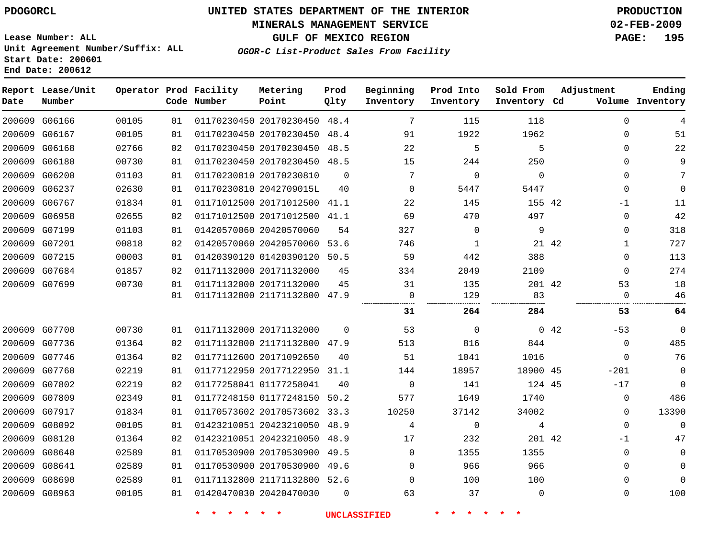#### **MINERALS MANAGEMENT SERVICE 02-FEB-2009**

**GULF OF MEXICO REGION PAGE: 195**

**Lease Number: ALL Unit Agreement Number/Suffix: ALL Start Date: 200601 End Date: 200612**

**OGOR-C List-Product Sales From Facility**

| Date | Report Lease/Unit<br>Number |       |    | Operator Prod Facility<br>Code Number | Metering<br>Point            | Prod<br>Qlty | Beginning<br>Inventory | Prod Into<br>Inventory | Sold From<br>Inventory Cd | Adjustment |              | Ending<br>Volume Inventory |
|------|-----------------------------|-------|----|---------------------------------------|------------------------------|--------------|------------------------|------------------------|---------------------------|------------|--------------|----------------------------|
|      | 200609 G06166               | 00105 | 01 |                                       | 01170230450 20170230450 48.4 |              | 7                      | 115                    | 118                       |            | $\Omega$     | 4                          |
|      | 200609 G06167               | 00105 | 01 |                                       | 01170230450 20170230450 48.4 |              | 91                     | 1922                   | 1962                      |            | $\Omega$     | 51                         |
|      | 200609 G06168               | 02766 | 02 |                                       | 01170230450 20170230450 48.5 |              | 22                     | 5                      | 5                         |            | 0            | 22                         |
|      | 200609 G06180               | 00730 | 01 |                                       | 01170230450 20170230450 48.5 |              | 15                     | 244                    | 250                       |            | $\Omega$     | 9                          |
|      | 200609 G06200               | 01103 | 01 |                                       | 01170230810 20170230810      | $\Omega$     | 7                      | $\mathbf 0$            | $\mathbf 0$               |            | 0            | 7                          |
|      | 200609 G06237               | 02630 | 01 |                                       | 01170230810 2042709015L      | 40           | $\Omega$               | 5447                   | 5447                      |            | 0            | 0                          |
|      | 200609 G06767               | 01834 | 01 |                                       | 01171012500 20171012500 41.1 |              | 22                     | 145                    | 155 42                    |            | $-1$         | 11                         |
|      | 200609 G06958               | 02655 | 02 |                                       | 01171012500 20171012500 41.1 |              | 69                     | 470                    | 497                       |            | 0            | 42                         |
|      | 200609 G07199               | 01103 | 01 |                                       | 01420570060 20420570060      | 54           | 327                    | 0                      | 9                         |            | 0            | 318                        |
|      | 200609 G07201               | 00818 | 02 |                                       | 01420570060 20420570060 53.6 |              | 746                    | 1                      |                           | 21 42      | 1            | 727                        |
|      | 200609 G07215               | 00003 | 01 |                                       | 01420390120 01420390120 50.5 |              | 59                     | 442                    | 388                       |            | 0            | 113                        |
|      | 200609 G07684               | 01857 | 02 |                                       | 01171132000 20171132000      | 45           | 334                    | 2049                   | 2109                      |            | 0            | 274                        |
|      | 200609 G07699               | 00730 | 01 |                                       | 01171132000 20171132000      | 45           | 31                     | 135                    | 201 42                    |            | 53           | 18                         |
|      |                             |       | 01 |                                       | 01171132800 21171132800 47.9 |              | $\mathbf 0$            | 129                    | 83<br>                    |            | 0            | 46                         |
|      |                             |       |    |                                       |                              |              | 31                     | 264                    | 284                       |            | 53           | 64                         |
|      | 200609 G07700               | 00730 | 01 |                                       | 01171132000 20171132000      | $\Omega$     | 53                     | $\mathbf 0$            |                           | 042        | $-53$        | $\mathbf 0$                |
|      | 200609 G07736               | 01364 | 02 |                                       | 01171132800 21171132800 47.9 |              | 513                    | 816                    | 844                       |            | $\mathbf 0$  | 485                        |
|      | 200609 G07746               | 01364 | 02 |                                       | 01177112600 20171092650      | 40           | 51                     | 1041                   | 1016                      |            | $\mathbf{0}$ | 76                         |
|      | 200609 G07760               | 02219 | 01 |                                       | 01177122950 20177122950 31.1 |              | 144                    | 18957                  | 18900 45                  |            | $-201$       | 0                          |
|      | 200609 G07802               | 02219 | 02 |                                       | 01177258041 01177258041      | 40           | $\overline{0}$         | 141                    | 124 45                    |            | $-17$        | 0                          |
|      | 200609 G07809               | 02349 | 01 |                                       | 01177248150 01177248150 50.2 |              | 577                    | 1649                   | 1740                      |            | $\mathbf{0}$ | 486                        |
|      | 200609 G07917               | 01834 | 01 |                                       | 01170573602 20170573602 33.3 |              | 10250                  | 37142                  | 34002                     |            | $\mathbf 0$  | 13390                      |
|      | 200609 G08092               | 00105 | 01 |                                       | 01423210051 20423210050 48.9 |              | 4                      | $\mathbf 0$            | 4                         |            | $\mathbf 0$  | $\Omega$                   |
|      | 200609 G08120               | 01364 | 02 |                                       | 01423210051 20423210050 48.9 |              | 17                     | 232                    | 201 42                    |            | $-1$         | 47                         |
|      | 200609 G08640               | 02589 | 01 |                                       | 01170530900 20170530900 49.5 |              | $\mathbf{0}$           | 1355                   | 1355                      |            | $\mathbf 0$  | 0                          |
|      | 200609 G08641               | 02589 | 01 |                                       | 01170530900 20170530900 49.6 |              | $\Omega$               | 966                    | 966                       |            | 0            | $\mathbf 0$                |
|      | 200609 G08690               | 02589 | 01 |                                       | 01171132800 21171132800 52.6 |              | $\Omega$               | 100                    | 100                       |            | 0            | U                          |
|      | 200609 G08963               | 00105 | 01 |                                       | 01420470030 20420470030      | $\Omega$     | 63                     | 37                     | $\Omega$                  |            | $\Omega$     | 100                        |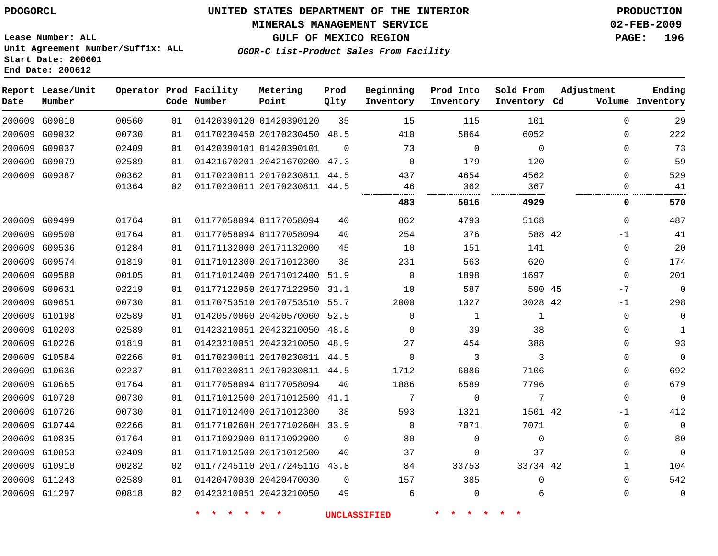#### **MINERALS MANAGEMENT SERVICE 02-FEB-2009**

**GULF OF MEXICO REGION PAGE: 196**

**Lease Number: ALL Unit Agreement Number/Suffix: ALL Start Date: 200601 End Date: 200612**

**OGOR-C List-Product Sales From Facility**

| Date | Report Lease/Unit<br>Number |       |    | Operator Prod Facility<br>Code Number | Metering<br>Point            | Prod<br>Qlty | Beginning<br>Inventory | Prod Into<br>Inventory | Sold From<br>Inventory Cd | Adjustment   | Ending<br>Volume Inventory |
|------|-----------------------------|-------|----|---------------------------------------|------------------------------|--------------|------------------------|------------------------|---------------------------|--------------|----------------------------|
|      | 200609 G09010               | 00560 | 01 |                                       | 01420390120 01420390120      | 35           | 15                     | 115                    | 101                       | $\mathbf 0$  | 29                         |
|      | 200609 G09032               | 00730 | 01 |                                       | 01170230450 20170230450 48.5 |              | 410                    | 5864                   | 6052                      | $\Omega$     | 222                        |
|      | 200609 G09037               | 02409 | 01 |                                       | 01420390101 01420390101      | $\Omega$     | 73                     | $\Omega$               | $\Omega$                  | $\Omega$     | 73                         |
|      | 200609 G09079               | 02589 | 01 |                                       | 01421670201 20421670200 47.3 |              | $\Omega$               | 179                    | 120                       | $\mathbf 0$  | 59                         |
|      | 200609 G09387               | 00362 | 01 |                                       | 01170230811 20170230811 44.5 |              | 437                    | 4654                   | 4562                      | $\Omega$     | 529                        |
|      |                             | 01364 | 02 |                                       | 01170230811 20170230811 44.5 |              | 46                     | 362                    | 367                       | $\Omega$     | 41                         |
|      |                             |       |    |                                       |                              |              | 483                    | 5016                   | 4929                      | 0            | 570                        |
|      | 200609 G09499               | 01764 | 01 |                                       | 01177058094 01177058094      | 40           | 862                    | 4793                   | 5168                      | $\mathbf 0$  | 487                        |
|      | 200609 G09500               | 01764 | 01 |                                       | 01177058094 01177058094      | 40           | 254                    | 376                    | 588 42                    | $-1$         | 41                         |
|      | 200609 G09536               | 01284 | 01 |                                       | 01171132000 20171132000      | 45           | 10                     | 151                    | 141                       | $\mathbf 0$  | 20                         |
|      | 200609 G09574               | 01819 | 01 |                                       | 01171012300 20171012300      | 38           | 231                    | 563                    | 620                       | $\mathbf 0$  | 174                        |
|      | 200609 G09580               | 00105 | 01 |                                       | 01171012400 20171012400      | 51.9         | $\mathbf 0$            | 1898                   | 1697                      | $\mathbf 0$  | 201                        |
|      | 200609 G09631               | 02219 | 01 |                                       | 01177122950 20177122950      | 31.1         | 10                     | 587                    | 590 45                    | $-7$         | $\Omega$                   |
|      | 200609 G09651               | 00730 | 01 |                                       | 01170753510 20170753510 55.7 |              | 2000                   | 1327                   | 3028 42                   | $-1$         | 298                        |
|      | 200609 G10198               | 02589 | 01 |                                       | 01420570060 20420570060      | 52.5         | $\Omega$               | 1                      | $\mathbf 1$               | $\mathbf 0$  | $\mathbf 0$                |
|      | 200609 G10203               | 02589 | 01 |                                       | 01423210051 20423210050      | 48.8         | $\mathbf 0$            | 39                     | 38                        | 0            | 1                          |
|      | 200609 G10226               | 01819 | 01 |                                       | 01423210051 20423210050 48.9 |              | 27                     | 454                    | 388                       | $\Omega$     | 93                         |
|      | 200609 G10584               | 02266 | 01 |                                       | 01170230811 20170230811 44.5 |              | $\Omega$               | 3                      | 3                         | $\mathbf 0$  | $\Omega$                   |
|      | 200609 G10636               | 02237 | 01 |                                       | 01170230811 20170230811 44.5 |              | 1712                   | 6086                   | 7106                      | $\mathbf 0$  | 692                        |
|      | 200609 G10665               | 01764 | 01 |                                       | 01177058094 01177058094      | 40           | 1886                   | 6589                   | 7796                      | $\mathbf 0$  | 679                        |
|      | 200609 G10720               | 00730 | 01 |                                       | 01171012500 20171012500 41.1 |              | 7                      | $\Omega$               | 7                         | $\Omega$     | $\Omega$                   |
|      | 200609 G10726               | 00730 | 01 |                                       | 01171012400 20171012300      | 38           | 593                    | 1321                   | 1501 42                   | $-1$         | 412                        |
|      | 200609 G10744               | 02266 | 01 |                                       | 0117710260H 2017710260H 33.9 |              | $\Omega$               | 7071                   | 7071                      | $\mathbf 0$  | $\mathbf{0}$               |
|      | 200609 G10835               | 01764 | 01 |                                       | 01171092900 01171092900      | $\Omega$     | 80                     | $\Omega$               | $\Omega$                  | $\Omega$     | 80                         |
|      | 200609 G10853               | 02409 | 01 |                                       | 01171012500 20171012500      | 40           | 37                     | 0                      | 37                        | $\Omega$     | $\mathbf{0}$               |
|      | 200609 G10910               | 00282 | 02 |                                       | 01177245110 2017724511G 43.8 |              | 84                     | 33753                  | 33734 42                  | $\mathbf{1}$ | 104                        |
|      | 200609 G11243               | 02589 | 01 |                                       | 01420470030 20420470030      | $\mathbf 0$  | 157                    | 385                    | 0                         | $\mathbf 0$  | 542                        |
|      | 200609 G11297               | 00818 | 02 |                                       | 01423210051 20423210050      | 49           | 6                      | $\Omega$               | 6                         | 0            | $\mathbf{0}$               |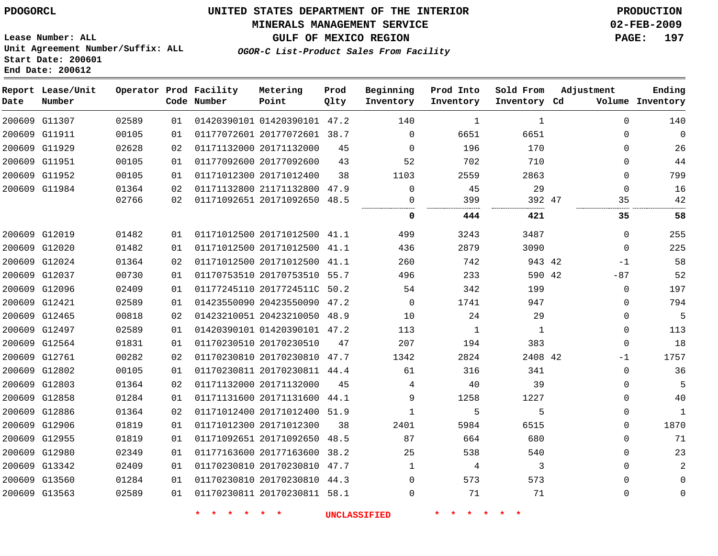#### **MINERALS MANAGEMENT SERVICE 02-FEB-2009**

**GULF OF MEXICO REGION PAGE: 197**

**OGOR-C List-Product Sales From Facility**

**Lease Number: ALL Unit Agreement Number/Suffix: ALL Start Date: 200601 End Date: 200612**

| Date          | Report Lease/Unit<br>Number |       |    | Operator Prod Facility<br>Code Number | Metering<br>Point            | Prod<br>Qlty | Beginning<br>Inventory | Prod Into<br>Inventory | Sold From<br>Inventory Cd | Adjustment | Ending<br>Volume Inventory |
|---------------|-----------------------------|-------|----|---------------------------------------|------------------------------|--------------|------------------------|------------------------|---------------------------|------------|----------------------------|
|               | 200609 G11307               | 02589 | 01 |                                       | 01420390101 01420390101 47.2 |              | 140                    | 1                      | 1                         | $\Omega$   | 140                        |
|               | 200609 G11911               | 00105 | 01 |                                       | 01177072601 20177072601 38.7 |              | 0                      | 6651                   | 6651                      | 0          | $\mathbf 0$                |
|               | 200609 G11929               | 02628 | 02 |                                       | 01171132000 20171132000      | 45           | $\Omega$               | 196                    | 170                       | 0          | 26                         |
|               | 200609 G11951               | 00105 | 01 |                                       | 01177092600 20177092600      | 43           | 52                     | 702                    | 710                       | 0          | 44                         |
|               | 200609 G11952               | 00105 | 01 |                                       | 01171012300 20171012400      | 38           | 1103                   | 2559                   | 2863                      | 0          | 799                        |
| 200609 G11984 |                             | 01364 | 02 |                                       | 01171132800 21171132800      | 47.9         | $\mathbf 0$            | 45                     | 29                        | 0          | 16                         |
|               |                             | 02766 | 02 |                                       | 01171092651 20171092650 48.5 |              | 0                      | 399                    | 392 47                    | 35         | 42                         |
|               |                             |       |    |                                       |                              |              | 0                      | 444                    | 421                       | 35         | 58                         |
|               | 200609 G12019               | 01482 | 01 |                                       | 01171012500 20171012500 41.1 |              | 499                    | 3243                   | 3487                      | $\Omega$   | 255                        |
| 200609 G12020 |                             | 01482 | 01 |                                       | 01171012500 20171012500 41.1 |              | 436                    | 2879                   | 3090                      | 0          | 225                        |
| 200609 G12024 |                             | 01364 | 02 |                                       | 01171012500 20171012500      | 41.1         | 260                    | 742                    | 943 42                    | $-1$       | 58                         |
|               | 200609 G12037               | 00730 | 01 |                                       | 01170753510 20170753510 55.7 |              | 496                    | 233                    | 590 42                    | $-87$      | 52                         |
|               | 200609 G12096               | 02409 | 01 |                                       | 01177245110 2017724511C 50.2 |              | 54                     | 342                    | 199                       | 0          | 197                        |
|               | 200609 G12421               | 02589 | 01 |                                       | 01423550090 20423550090 47.2 |              | $\Omega$               | 1741                   | 947                       | $\Omega$   | 794                        |
|               | 200609 G12465               | 00818 | 02 |                                       | 01423210051 20423210050 48.9 |              | 10                     | 24                     | 29                        | 0          | 5                          |
|               | 200609 G12497               | 02589 | 01 |                                       | 01420390101 01420390101 47.2 |              | 113                    | $\mathbf{1}$           | 1                         | 0          | 113                        |
|               | 200609 G12564               | 01831 | 01 |                                       | 01170230510 20170230510      | 47           | 207                    | 194                    | 383                       | 0          | 18                         |
|               | 200609 G12761               | 00282 | 02 |                                       | 01170230810 20170230810 47.7 |              | 1342                   | 2824                   | 2408 42                   | $-1$       | 1757                       |
|               | 200609 G12802               | 00105 | 01 |                                       | 01170230811 20170230811 44.4 |              | 61                     | 316                    | 341                       | 0          | 36                         |
| 200609 G12803 |                             | 01364 | 02 |                                       | 01171132000 20171132000      | 45           | 4                      | 40                     | 39                        | 0          | 5                          |
|               | 200609 G12858               | 01284 | 01 |                                       | 01171131600 20171131600 44.1 |              | 9                      | 1258                   | 1227                      | 0          | 40                         |
|               | 200609 G12886               | 01364 | 02 |                                       | 01171012400 20171012400 51.9 |              | 1                      | 5                      | 5                         | 0          | $\mathbf{1}$               |
|               | 200609 G12906               | 01819 | 01 |                                       | 01171012300 20171012300      | 38           | 2401                   | 5984                   | 6515                      | 0          | 1870                       |
|               | 200609 G12955               | 01819 | 01 |                                       | 01171092651 20171092650 48.5 |              | 87                     | 664                    | 680                       | 0          | 71                         |
|               | 200609 G12980               | 02349 | 01 |                                       | 01177163600 20177163600      | 38.2         | 25                     | 538                    | 540                       | 0          | 23                         |
|               | 200609 G13342               | 02409 | 01 |                                       | 01170230810 20170230810 47.7 |              | 1                      | 4                      | 3                         | $\Omega$   | $\overline{a}$             |
| 200609 G13560 |                             | 01284 | 01 |                                       | 01170230810 20170230810 44.3 |              | $\Omega$               | 573                    | 573                       | 0          | $\mathbf 0$                |
|               | 200609 G13563               | 02589 | 01 |                                       | 01170230811 20170230811 58.1 |              | 0                      | 71                     | 71                        | 0          | $\mathsf{O}\xspace$        |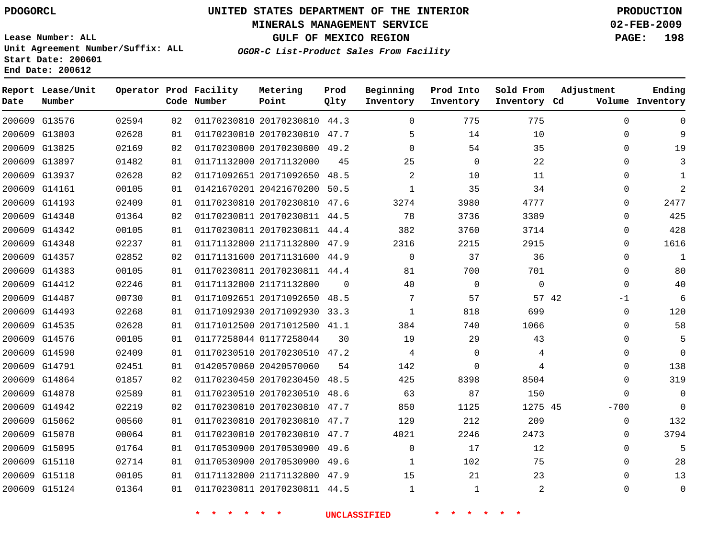#### **MINERALS MANAGEMENT SERVICE 02-FEB-2009**

**GULF OF MEXICO REGION PAGE: 198**

**Lease Number: ALL Unit Agreement Number/Suffix: ALL Start Date: 200601 End Date: 200612**

**OGOR-C List-Product Sales From Facility**

| Date | Report Lease/Unit<br>Number |       |    | Operator Prod Facility<br>Code Number | Metering<br>Point            | Prod<br>Qlty | Beginning<br>Inventory | Prod Into<br>Inventory | Sold From<br>Inventory Cd | Adjustment  | Ending<br>Volume Inventory |
|------|-----------------------------|-------|----|---------------------------------------|------------------------------|--------------|------------------------|------------------------|---------------------------|-------------|----------------------------|
|      | 200609 G13576               | 02594 | 02 |                                       | 01170230810 20170230810 44.3 |              | $\Omega$               | 775                    | 775                       | $\Omega$    | $\Omega$                   |
|      | 200609 G13803               | 02628 | 01 |                                       | 01170230810 20170230810 47.7 |              | 5                      | 14                     | 10                        | $\Omega$    | 9                          |
|      | 200609 G13825               | 02169 | 02 |                                       | 01170230800 20170230800 49.2 |              | $\Omega$               | 54                     | 35                        | $\Omega$    | 19                         |
|      | 200609 G13897               | 01482 | 01 |                                       | 01171132000 20171132000      | 45           | 25                     | $\mathbf 0$            | 22                        | $\Omega$    | 3                          |
|      | 200609 G13937               | 02628 | 02 |                                       | 01171092651 20171092650      | 48.5         | 2                      | 10                     | 11                        | $\Omega$    | 1                          |
|      | 200609 G14161               | 00105 | 01 |                                       | 01421670201 20421670200 50.5 |              | $\mathbf{1}$           | 35                     | 34                        | $\Omega$    | 2                          |
|      | 200609 G14193               | 02409 | 01 |                                       | 01170230810 20170230810 47.6 |              | 3274                   | 3980                   | 4777                      | $\Omega$    | 2477                       |
|      | 200609 G14340               | 01364 | 02 |                                       | 01170230811 20170230811 44.5 |              | 78                     | 3736                   | 3389                      | 0           | 425                        |
|      | 200609 G14342               | 00105 | 01 |                                       | 01170230811 20170230811 44.4 |              | 382                    | 3760                   | 3714                      | $\Omega$    | 428                        |
|      | 200609 G14348               | 02237 | 01 |                                       | 01171132800 21171132800 47.9 |              | 2316                   | 2215                   | 2915                      | $\Omega$    | 1616                       |
|      | 200609 G14357               | 02852 | 02 |                                       | 01171131600 20171131600 44.9 |              | $\Omega$               | 37                     | 36                        | 0           | 1                          |
|      | 200609 G14383               | 00105 | 01 |                                       | 01170230811 20170230811 44.4 |              | 81                     | 700                    | 701                       | $\mathbf 0$ | 80                         |
|      | 200609 G14412               | 02246 | 01 |                                       | 01171132800 21171132800      | $\Omega$     | 40                     | $\Omega$               | $\Omega$                  | $\Omega$    | 40                         |
|      | 200609 G14487               | 00730 | 01 |                                       | 01171092651 20171092650 48.5 |              | 7                      | 57                     | 57 42                     | $-1$        | 6                          |
|      | 200609 G14493               | 02268 | 01 |                                       | 01171092930 20171092930 33.3 |              | $\mathbf{1}$           | 818                    | 699                       | $\Omega$    | 120                        |
|      | 200609 G14535               | 02628 | 01 |                                       | 01171012500 20171012500 41.1 |              | 384                    | 740                    | 1066                      | $\Omega$    | 58                         |
|      | 200609 G14576               | 00105 | 01 |                                       | 01177258044 01177258044      | 30           | 19                     | 29                     | 43                        | $\Omega$    | 5                          |
|      | 200609 G14590               | 02409 | 01 |                                       | 01170230510 20170230510 47.2 |              | 4                      | $\mathbf 0$            | 4                         | $\Omega$    | $\Omega$                   |
|      | 200609 G14791               | 02451 | 01 |                                       | 01420570060 20420570060      | 54           | 142                    | $\Omega$               | 4                         | $\Omega$    | 138                        |
|      | 200609 G14864               | 01857 | 02 |                                       | 01170230450 20170230450      | 48.5         | 425                    | 8398                   | 8504                      | $\mathbf 0$ | 319                        |
|      | 200609 G14878               | 02589 | 01 |                                       | 01170230510 20170230510 48.6 |              | 63                     | 87                     | 150                       | $\Omega$    | $\Omega$                   |
|      | 200609 G14942               | 02219 | 02 |                                       | 01170230810 20170230810 47.7 |              | 850                    | 1125                   | 1275 45                   | $-700$      | $\Omega$                   |
|      | 200609 G15062               | 00560 | 01 |                                       | 01170230810 20170230810 47.7 |              | 129                    | 212                    | 209                       | 0           | 132                        |
|      | 200609 G15078               | 00064 | 01 |                                       | 01170230810 20170230810      | 47.7         | 4021                   | 2246                   | 2473                      | $\Omega$    | 3794                       |
|      | 200609 G15095               | 01764 | 01 |                                       | 01170530900 20170530900 49.6 |              | $\Omega$               | 17                     | 12                        | $\Omega$    | 5                          |
|      | 200609 G15110               | 02714 | 01 |                                       | 01170530900 20170530900      | 49.6         | 1                      | 102                    | 75                        | $\Omega$    | 28                         |
|      | 200609 G15118               | 00105 | 01 |                                       | 01171132800 21171132800 47.9 |              | 15                     | 21                     | 23                        | $\Omega$    | 13                         |
|      | 200609 G15124               | 01364 | 01 |                                       | 01170230811 20170230811 44.5 |              | $\mathbf{1}$           | 1                      | 2                         | $\Omega$    | $\mathbf{0}$               |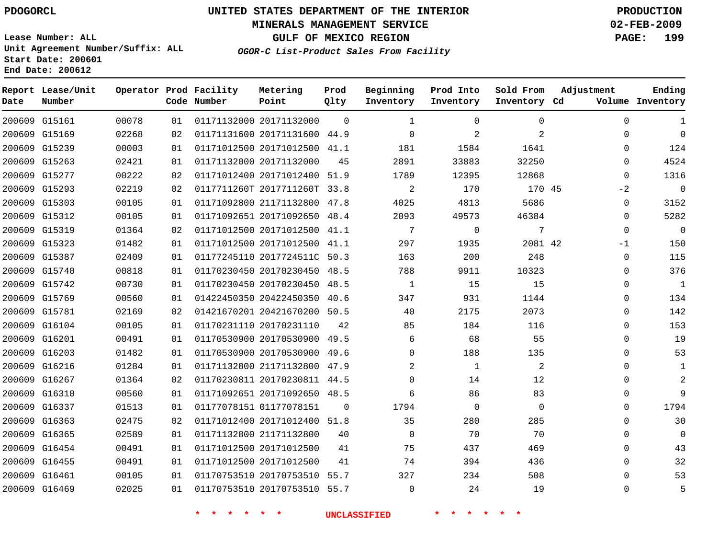#### **MINERALS MANAGEMENT SERVICE 02-FEB-2009**

**GULF OF MEXICO REGION PAGE: 199**

**Lease Number: ALL Unit Agreement Number/Suffix: ALL Start Date: 200601 End Date: 200612**

**OGOR-C List-Product Sales From Facility**

| Date | Report Lease/Unit<br>Number |       |    | Operator Prod Facility<br>Code Number | Metering<br>Point            | Prod<br>Qlty | Beginning<br>Inventory | Prod Into<br>Inventory | Sold From<br>Inventory Cd | Adjustment   | Ending<br>Volume Inventory |
|------|-----------------------------|-------|----|---------------------------------------|------------------------------|--------------|------------------------|------------------------|---------------------------|--------------|----------------------------|
|      | 200609 G15161               | 00078 | 01 |                                       | 01171132000 20171132000      | $\Omega$     | 1                      | $\Omega$               | 0                         | 0            | 1                          |
|      | 200609 G15169               | 02268 | 02 |                                       | 01171131600 20171131600 44.9 |              | $\Omega$               | 2                      | 2                         | 0            | $\Omega$                   |
|      | 200609 G15239               | 00003 | 01 |                                       | 01171012500 20171012500 41.1 |              | 181                    | 1584                   | 1641                      | 0            | 124                        |
|      | 200609 G15263               | 02421 | 01 |                                       | 01171132000 20171132000      | 45           | 2891                   | 33883                  | 32250                     | $\mathbf{0}$ | 4524                       |
|      | 200609 G15277               | 00222 | 02 |                                       | 01171012400 20171012400 51.9 |              | 1789                   | 12395                  | 12868                     | $\Omega$     | 1316                       |
|      | 200609 G15293               | 02219 | 02 |                                       | 0117711260T 2017711260T 33.8 |              | $\overline{2}$         | 170                    | 170 45                    | $-2$         | $\Omega$                   |
|      | 200609 G15303               | 00105 | 01 |                                       | 01171092800 21171132800 47.8 |              | 4025                   | 4813                   | 5686                      | $\mathbf{0}$ | 3152                       |
|      | 200609 G15312               | 00105 | 01 |                                       | 01171092651 20171092650 48.4 |              | 2093                   | 49573                  | 46384                     | $\Omega$     | 5282                       |
|      | 200609 G15319               | 01364 | 02 |                                       | 01171012500 20171012500 41.1 |              | 7                      | 0                      | 7                         | 0            | $\mathbf 0$                |
|      | 200609 G15323               | 01482 | 01 |                                       | 01171012500 20171012500 41.1 |              | 297                    | 1935                   | 2081 42                   | $-1$         | 150                        |
|      | 200609 G15387               | 02409 | 01 |                                       | 01177245110 2017724511C 50.3 |              | 163                    | 200                    | 248                       | 0            | 115                        |
|      | 200609 G15740               | 00818 | 01 |                                       | 01170230450 20170230450 48.5 |              | 788                    | 9911                   | 10323                     | 0            | 376                        |
|      | 200609 G15742               | 00730 | 01 |                                       | 01170230450 20170230450 48.5 |              | 1                      | 15                     | 15                        | 0            | $1\,$                      |
|      | 200609 G15769               | 00560 | 01 |                                       | 01422450350 20422450350 40.6 |              | 347                    | 931                    | 1144                      | $\mathbf{0}$ | 134                        |
|      | 200609 G15781               | 02169 | 02 |                                       | 01421670201 20421670200 50.5 |              | 40                     | 2175                   | 2073                      | $\Omega$     | 142                        |
|      | 200609 G16104               | 00105 | 01 |                                       | 01170231110 20170231110      | 42           | 85                     | 184                    | 116                       | $\Omega$     | 153                        |
|      | 200609 G16201               | 00491 | 01 |                                       | 01170530900 20170530900 49.5 |              | 6                      | 68                     | 55                        | $\Omega$     | 19                         |
|      | 200609 G16203               | 01482 | 01 |                                       | 01170530900 20170530900 49.6 |              | $\Omega$               | 188                    | 135                       | $\Omega$     | 53                         |
|      | 200609 G16216               | 01284 | 01 |                                       | 01171132800 21171132800 47.9 |              | 2                      | $\mathbf{1}$           | 2                         | $\Omega$     | 1                          |
|      | 200609 G16267               | 01364 | 02 |                                       | 01170230811 20170230811 44.5 |              | $\Omega$               | 14                     | 12                        | 0            | 2                          |
|      | 200609 G16310               | 00560 | 01 |                                       | 01171092651 20171092650 48.5 |              | 6                      | 86                     | 83                        | 0            | 9                          |
|      | 200609 G16337               | 01513 | 01 |                                       | 01177078151 01177078151      | $\Omega$     | 1794                   | $\mathbf 0$            | $\mathbf 0$               | 0            | 1794                       |
|      | 200609 G16363               | 02475 | 02 |                                       | 01171012400 20171012400 51.8 |              | 35                     | 280                    | 285                       | $\Omega$     | 30                         |
|      | 200609 G16365               | 02589 | 01 |                                       | 01171132800 21171132800      | 40           | $\mathbf 0$            | 70                     | 70                        | $\mathbf 0$  | $\Omega$                   |
|      | 200609 G16454               | 00491 | 01 |                                       | 01171012500 20171012500      | 41           | 75                     | 437                    | 469                       | $\Omega$     | 43                         |
|      | 200609 G16455               | 00491 | 01 |                                       | 01171012500 20171012500      | 41           | 74                     | 394                    | 436                       | $\Omega$     | 32                         |
|      | 200609 G16461               | 00105 | 01 |                                       | 01170753510 20170753510 55.7 |              | 327                    | 234                    | 508                       | $\Omega$     | 53                         |
|      | 200609 G16469               | 02025 | 01 |                                       | 01170753510 20170753510 55.7 |              | $\Omega$               | 24                     | 19                        | $\Omega$     | 5                          |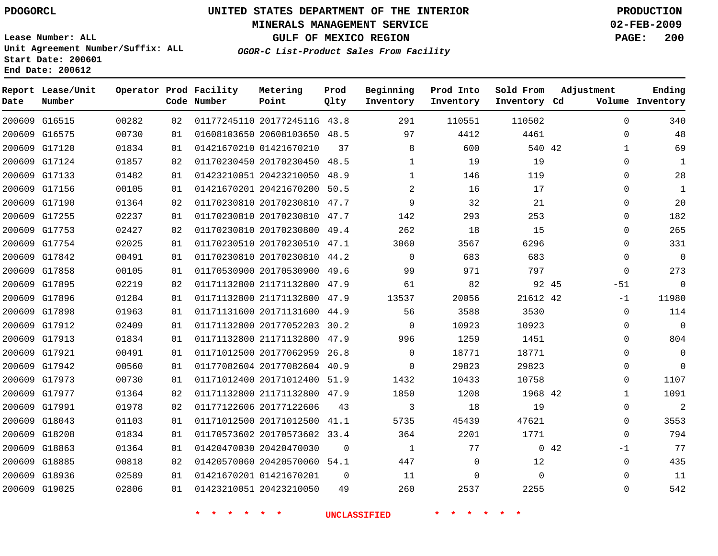#### **MINERALS MANAGEMENT SERVICE 02-FEB-2009**

**GULF OF MEXICO REGION PAGE: 200**

**Lease Number: ALL Unit Agreement Number/Suffix: ALL Start Date: 200601 End Date: 200612**

**OGOR-C List-Product Sales From Facility**

| Date | Report Lease/Unit<br>Number |       |    | Operator Prod Facility<br>Code Number | Metering<br>Point            | Prod<br>Qlty | Beginning<br>Inventory | Prod Into<br>Inventory | Sold From<br>Inventory Cd | Adjustment | Ending<br>Volume Inventory  |
|------|-----------------------------|-------|----|---------------------------------------|------------------------------|--------------|------------------------|------------------------|---------------------------|------------|-----------------------------|
|      | 200609 G16515               | 00282 | 02 |                                       | 01177245110 2017724511G 43.8 |              | 291                    | 110551                 | 110502                    |            | $\Omega$<br>340             |
|      | 200609 G16575               | 00730 | 01 |                                       | 01608103650 20608103650 48.5 |              | 97                     | 4412                   | 4461                      |            | 48<br>$\mathbf 0$           |
|      | 200609 G17120               | 01834 | 01 |                                       | 01421670210 01421670210      | 37           | 8                      | 600                    | 540 42                    |            | 69<br>$\mathbf{1}$          |
|      | 200609 G17124               | 01857 | 02 |                                       | 01170230450 20170230450      | 48.5         | $\mathbf{1}$           | 19                     | 19                        |            | $\Omega$<br>1               |
|      | 200609 G17133               | 01482 | 01 |                                       | 01423210051 20423210050      | 48.9         | $\mathbf 1$            | 146                    | 119                       |            | 28<br>0                     |
|      | 200609 G17156               | 00105 | 01 |                                       | 01421670201 20421670200 50.5 |              | $\overline{2}$         | 16                     | 17                        |            | $\mathbf{1}$<br>$\mathbf 0$ |
|      | 200609 G17190               | 01364 | 02 |                                       | 01170230810 20170230810 47.7 |              | 9                      | 32                     | 21                        |            | 20<br>$\Omega$              |
|      | 200609 G17255               | 02237 | 01 |                                       | 01170230810 20170230810      | 47.7         | 142                    | 293                    | 253                       |            | 182<br>0                    |
|      | 200609 G17753               | 02427 | 02 |                                       | 01170230810 20170230800 49.4 |              | 262                    | 18                     | 15                        |            | 265<br>$\Omega$             |
|      | 200609 G17754               | 02025 | 01 |                                       | 01170230510 20170230510 47.1 |              | 3060                   | 3567                   | 6296                      |            | 331<br>$\Omega$             |
|      | 200609 G17842               | 00491 | 01 |                                       | 01170230810 20170230810 44.2 |              | $\mathbf 0$            | 683                    | 683                       |            | $\mathbf 0$<br>$\mathbf 0$  |
|      | 200609 G17858               | 00105 | 01 |                                       | 01170530900 20170530900      | 49.6         | 99                     | 971                    | 797                       |            | 273<br>$\mathbf 0$          |
|      | 200609 G17895               | 02219 | 02 |                                       | 01171132800 21171132800 47.9 |              | 61                     | 82                     | 92 45                     |            | $\mathbf 0$<br>$-51$        |
|      | 200609 G17896               | 01284 | 01 |                                       | 01171132800 21171132800      | 47.9         | 13537                  | 20056                  | 21612 42                  |            | 11980<br>$-1$               |
|      | 200609 G17898               | 01963 | 01 |                                       | 01171131600 20171131600 44.9 |              | 56                     | 3588                   | 3530                      |            | 114<br>$\mathbf 0$          |
|      | 200609 G17912               | 02409 | 01 |                                       | 01171132800 20177052203      | 30.2         | $\Omega$               | 10923                  | 10923                     |            | $\Omega$<br>$\mathbf 0$     |
|      | 200609 G17913               | 01834 | 01 |                                       | 01171132800 21171132800 47.9 |              | 996                    | 1259                   | 1451                      |            | 804<br>$\Omega$             |
|      | 200609 G17921               | 00491 | 01 |                                       | 01171012500 20177062959      | 26.8         | $\Omega$               | 18771                  | 18771                     |            | 0<br>0                      |
|      | 200609 G17942               | 00560 | 01 |                                       | 01177082604 20177082604 40.9 |              | $\Omega$               | 29823                  | 29823                     |            | $\Omega$<br>$\Omega$        |
|      | 200609 G17973               | 00730 | 01 |                                       | 01171012400 20171012400 51.9 |              | 1432                   | 10433                  | 10758                     |            | 1107<br>0                   |
|      | 200609 G17977               | 01364 | 02 |                                       | 01171132800 21171132800 47.9 |              | 1850                   | 1208                   | 1968 42                   |            | 1091<br>$\mathbf{1}$        |
|      | 200609 G17991               | 01978 | 02 |                                       | 01177122606 20177122606      | 43           | 3                      | 18                     | 19                        |            | $\overline{2}$<br>$\Omega$  |
|      | 200609 G18043               | 01103 | 01 |                                       | 01171012500 20171012500 41.1 |              | 5735                   | 45439                  | 47621                     |            | 3553<br>$\mathbf 0$         |
|      | 200609 G18208               | 01834 | 01 |                                       | 01170573602 20170573602 33.4 |              | 364                    | 2201                   | 1771                      |            | 794<br>$\Omega$             |
|      | 200609 G18863               | 01364 | 01 |                                       | 01420470030 20420470030      | $\Omega$     | 1                      | 77                     |                           | 0.42       | 77<br>$-1$                  |
|      | 200609 G18885               | 00818 | 02 |                                       | 01420570060 20420570060 54.1 |              | 447                    | 0                      | 12                        |            | 435<br>$\mathbf 0$          |
|      | 200609 G18936               | 02589 | 01 |                                       | 01421670201 01421670201      | $\Omega$     | 11                     | $\mathbf 0$            | $\Omega$                  |            | 11<br>$\mathbf 0$           |
|      | 200609 G19025               | 02806 | 01 |                                       | 01423210051 20423210050      | 49           | 260                    | 2537                   | 2255                      |            | 542<br>$\Omega$             |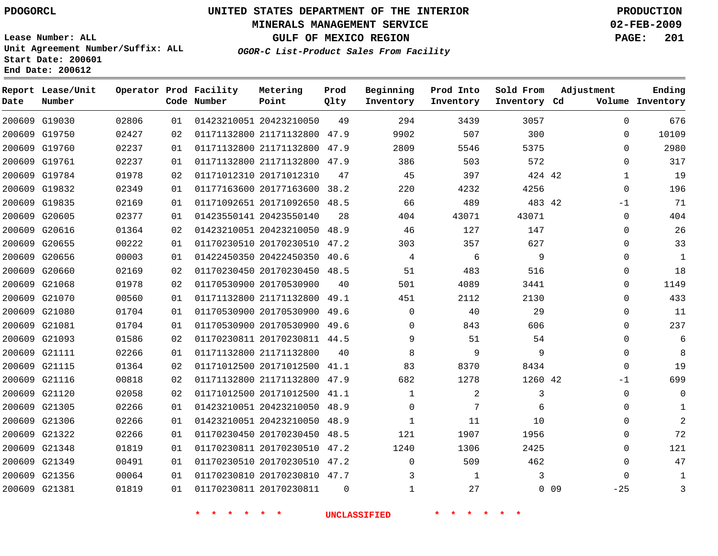#### **MINERALS MANAGEMENT SERVICE 02-FEB-2009**

**GULF OF MEXICO REGION PAGE: 201 OGOR-C List-Product Sales From Facility**

**Lease Number: ALL Unit Agreement Number/Suffix: ALL Start Date: 200601 End Date: 200612**

 G19030 G19750 G19760 G19761 G19784 G19832 G19835 G20605 G20616 G20655 G20656 G20660 G21068 G21070 G21080 G21081 G21093 G21111 G21115 G21116 G21120 G21305 G21306 G21322 G21348 G21349 G21356 G21381 **Report Lease/Unit Date Number Operator Prod Facility Code Number** 20423210050 21171132800 21171132800 21171132800 20171012310 20177163600 38.2 20171092650 20423550140 20423210050 20170230510 20422450350 20170230450 48.5 20170530900 21171132800 20170530900 20170530900 49.6 20170230811 44.5 21171132800 20171012500 41.1 21171132800 20171012500 20423210050 20423210050 20170230450 48.5 20170230510 47.2 20170230510 47.2 20170230810 47.7 20170230811 **Metering Point** 42 42 42 0 0 9 47.9 47.9 47.9 48.5 48.9 47.2 40.6 49.1 49.6 47.9 41.1 48.9 48.9 **Prod Qlty**  $\Omega$  $\Omega$ **Q Beginning Inventory**  $\Omega$  **Ending Inventory Cd Volume Prod Into Inventory Sold From Inventory**  $\Omega$  $\Omega$  $\Omega$  $\Omega$   $\Omega$ -1  $\Omega$  $\Omega$  $\Omega$  $\Omega$  $\Omega$  $\Omega$   $\Omega$  $\Omega$  $\Omega$  $\cap$  $\Omega$ -1  $\Omega$  $\Omega$   $\Omega$   $-25$ **Adjustment**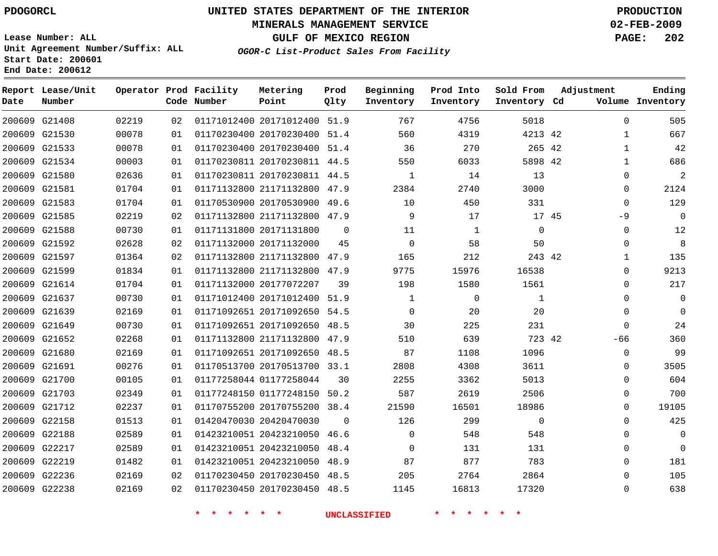#### **MINERALS MANAGEMENT SERVICE 02-FEB-2009**

**GULF OF MEXICO REGION PAGE: 202**

**Lease Number: ALL Unit Agreement Number/Suffix: ALL Start Date: 200601 End Date: 200612**

**OGOR-C List-Product Sales From Facility**

|      | Report Lease/Unit |       |    | Operator Prod Facility | Metering                     | Prod     | Beginning    | Prod Into    | Sold From    | Adjustment |              | Ending           |
|------|-------------------|-------|----|------------------------|------------------------------|----------|--------------|--------------|--------------|------------|--------------|------------------|
| Date | Number            |       |    | Code Number            | Point                        | Qlty     | Inventory    | Inventory    | Inventory Cd |            |              | Volume Inventory |
|      | 200609 G21408     | 02219 | 02 |                        | 01171012400 20171012400 51.9 |          | 767          | 4756         | 5018         |            | $\Omega$     | 505              |
|      | 200609 G21530     | 00078 | 01 |                        | 01170230400 20170230400 51.4 |          | 560          | 4319         | 4213 42      |            | $\mathbf{1}$ | 667              |
|      | 200609 G21533     | 00078 | 01 |                        | 01170230400 20170230400 51.4 |          | 36           | 270          | 265 42       |            | $\mathbf{1}$ | 42               |
|      | 200609 G21534     | 00003 | 01 |                        | 01170230811 20170230811 44.5 |          | 550          | 6033         | 5898 42      |            | $\mathbf{1}$ | 686              |
|      | 200609 G21580     | 02636 | 01 |                        | 01170230811 20170230811 44.5 |          | 1            | 14           | 13           |            | 0            | $\overline{a}$   |
|      | 200609 G21581     | 01704 | 01 |                        | 01171132800 21171132800 47.9 |          | 2384         | 2740         | 3000         |            | 0            | 2124             |
|      | 200609 G21583     | 01704 | 01 |                        | 01170530900 20170530900 49.6 |          | 10           | 450          | 331          |            | $\mathbf{0}$ | 129              |
|      | 200609 G21585     | 02219 | 02 |                        | 01171132800 21171132800 47.9 |          | 9            | 17           | 17 45        |            | $-9$         | $\Omega$         |
|      | 200609 G21588     | 00730 | 01 |                        | 01171131800 20171131800      | $\Omega$ | 11           | $\mathbf{1}$ | $\mathbf 0$  |            | $\mathbf{0}$ | 12               |
|      | 200609 G21592     | 02628 | 02 |                        | 01171132000 20171132000      | 45       | $\Omega$     | 58           | 50           |            | $\Omega$     | 8                |
|      | 200609 G21597     | 01364 | 02 |                        | 01171132800 21171132800 47.9 |          | 165          | 212          | 243 42       |            | $\mathbf 1$  | 135              |
|      | 200609 G21599     | 01834 | 01 |                        | 01171132800 21171132800      | 47.9     | 9775         | 15976        | 16538        |            | $\mathbf{0}$ | 9213             |
|      | 200609 G21614     | 01704 | 01 |                        | 01171132000 20177072207      | 39       | 198          | 1580         | 1561         |            | 0            | 217              |
|      | 200609 G21637     | 00730 | 01 |                        | 01171012400 20171012400      | 51.9     | $\mathbf{1}$ | $\mathbf 0$  | $\mathbf{1}$ |            | $\mathbf 0$  | $\Omega$         |
|      | 200609 G21639     | 02169 | 01 |                        | 01171092651 20171092650 54.5 |          | $\Omega$     | 20           | 20           |            | $\Omega$     | $\Omega$         |
|      | 200609 G21649     | 00730 | 01 |                        | 01171092651 20171092650      | 48.5     | 30           | 225          | 231          |            | $\mathbf{0}$ | 24               |
|      | 200609 G21652     | 02268 | 01 |                        | 01171132800 21171132800 47.9 |          | 510          | 639          | 723 42       |            | $-66$        | 360              |
|      | 200609 G21680     | 02169 | 01 |                        | 01171092651 20171092650 48.5 |          | 87           | 1108         | 1096         |            | $\mathbf{0}$ | 99               |
|      | 200609 G21691     | 00276 | 01 |                        | 01170513700 20170513700 33.1 |          | 2808         | 4308         | 3611         |            | $\Omega$     | 3505             |
|      | 200609 G21700     | 00105 | 01 |                        | 01177258044 01177258044      | 30       | 2255         | 3362         | 5013         |            | $\mathbf{0}$ | 604              |
|      | 200609 G21703     | 02349 | 01 |                        | 01177248150 01177248150 50.2 |          | 587          | 2619         | 2506         |            | $\Omega$     | 700              |
|      | 200609 G21712     | 02237 | 01 |                        | 01170755200 20170755200 38.4 |          | 21590        | 16501        | 18986        |            | $\Omega$     | 19105            |
|      | 200609 G22158     | 01513 | 01 |                        | 01420470030 20420470030      | $\Omega$ | 126          | 299          | $\mathbf 0$  |            | $\Omega$     | 425              |
|      | 200609 G22188     | 02589 | 01 |                        | 01423210051 20423210050      | 46.6     | $\mathbf 0$  | 548          | 548          |            | $\mathbf 0$  | $\mathbf 0$      |
|      | 200609 G22217     | 02589 | 01 |                        | 01423210051 20423210050      | 48.4     | $\Omega$     | 131          | 131          |            | $\Omega$     | $\Omega$         |
|      | 200609 G22219     | 01482 | 01 |                        | 01423210051 20423210050      | 48.9     | 87           | 877          | 783          |            | $\Omega$     | 181              |
|      | 200609 G22236     | 02169 | 02 |                        | 01170230450 20170230450 48.5 |          | 205          | 2764         | 2864         |            | $\Omega$     | 105              |
|      | 200609 G22238     | 02169 | 02 |                        | 01170230450 20170230450 48.5 |          | 1145         | 16813        | 17320        |            | $\Omega$     | 638              |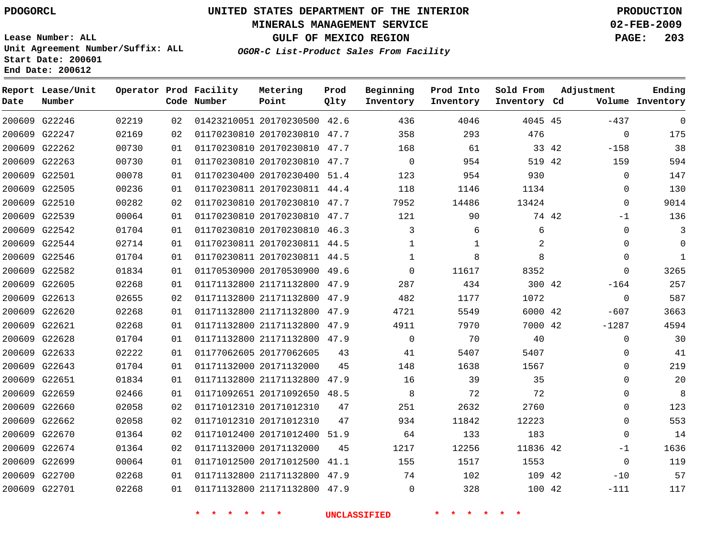#### **MINERALS MANAGEMENT SERVICE 02-FEB-2009**

**GULF OF MEXICO REGION PAGE: 203**

**Lease Number: ALL Unit Agreement Number/Suffix: ALL Start Date: 200601 End Date: 200612**

**OGOR-C List-Product Sales From Facility**

| Date | Report Lease/Unit<br>Number |       |    | Operator Prod Facility<br>Code Number | Metering<br>Point            | Prod<br>Qlty | Beginning<br>Inventory | Prod Into<br>Inventory | Sold From<br>Inventory Cd |       | Adjustment  | Ending<br>Volume Inventory |
|------|-----------------------------|-------|----|---------------------------------------|------------------------------|--------------|------------------------|------------------------|---------------------------|-------|-------------|----------------------------|
|      | 200609 G22246               | 02219 | 02 |                                       | 01423210051 20170230500 42.6 |              | 436                    | 4046                   | 4045 45                   |       | $-437$      | $\Omega$                   |
|      | 200609 G22247               | 02169 | 02 |                                       | 01170230810 20170230810 47.7 |              | 358                    | 293                    | 476                       |       | $\mathbf 0$ | 175                        |
|      | 200609 G22262               | 00730 | 01 |                                       | 01170230810 20170230810 47.7 |              | 168                    | 61                     |                           | 33 42 | $-158$      | 38                         |
|      | 200609 G22263               | 00730 | 01 |                                       | 01170230810 20170230810 47.7 |              | $\mathbf 0$            | 954                    | 519 42                    |       | 159         | 594                        |
|      | 200609 G22501               | 00078 | 01 |                                       | 01170230400 20170230400 51.4 |              | 123                    | 954                    | 930                       |       | 0           | 147                        |
|      | 200609 G22505               | 00236 | 01 |                                       | 01170230811 20170230811 44.4 |              | 118                    | 1146                   | 1134                      |       | 0           | 130                        |
|      | 200609 G22510               | 00282 | 02 |                                       | 01170230810 20170230810 47.7 |              | 7952                   | 14486                  | 13424                     |       | $\Omega$    | 9014                       |
|      | 200609 G22539               | 00064 | 01 |                                       | 01170230810 20170230810 47.7 |              | 121                    | 90                     |                           | 74 42 | $-1$        | 136                        |
|      | 200609 G22542               | 01704 | 01 |                                       | 01170230810 20170230810 46.3 |              | 3                      | 6                      | 6                         |       | 0           | 3                          |
|      | 200609 G22544               | 02714 | 01 |                                       | 01170230811 20170230811 44.5 |              | 1                      | $\mathbf 1$            | 2                         |       | 0           | $\Omega$                   |
|      | 200609 G22546               | 01704 | 01 |                                       | 01170230811 20170230811 44.5 |              | $\mathbf{1}$           | 8                      | 8                         |       | $\mathbf 0$ | $\mathbf{1}$               |
|      | 200609 G22582               | 01834 | 01 |                                       | 01170530900 20170530900 49.6 |              | $\Omega$               | 11617                  | 8352                      |       | $\mathbf 0$ | 3265                       |
|      | 200609 G22605               | 02268 | 01 |                                       | 01171132800 21171132800 47.9 |              | 287                    | 434                    | 300 42                    |       | $-164$      | 257                        |
|      | 200609 G22613               | 02655 | 02 |                                       | 01171132800 21171132800 47.9 |              | 482                    | 1177                   | 1072                      |       | 0           | 587                        |
|      | 200609 G22620               | 02268 | 01 |                                       | 01171132800 21171132800 47.9 |              | 4721                   | 5549                   | 6000 42                   |       | $-607$      | 3663                       |
|      | 200609 G22621               | 02268 | 01 |                                       | 01171132800 21171132800 47.9 |              | 4911                   | 7970                   | 7000 42                   |       | $-1287$     | 4594                       |
|      | 200609 G22628               | 01704 | 01 |                                       | 01171132800 21171132800 47.9 |              | $\Omega$               | 70                     | 40                        |       | $\mathbf 0$ | 30                         |
|      | 200609 G22633               | 02222 | 01 |                                       | 01177062605 20177062605      | 43           | 41                     | 5407                   | 5407                      |       | $\mathbf 0$ | 41                         |
|      | 200609 G22643               | 01704 | 01 |                                       | 01171132000 20171132000      | 45           | 148                    | 1638                   | 1567                      |       | 0           | 219                        |
|      | 200609 G22651               | 01834 | 01 |                                       | 01171132800 21171132800      | 47.9         | 16                     | 39                     | 35                        |       | $\mathbf 0$ | 20                         |
|      | 200609 G22659               | 02466 | 01 |                                       | 01171092651 20171092650 48.5 |              | 8                      | 72                     | 72                        |       | $\Omega$    | 8                          |
|      | 200609 G22660               | 02058 | 02 |                                       | 01171012310 20171012310      | 47           | 251                    | 2632                   | 2760                      |       | $\mathbf 0$ | 123                        |
|      | 200609 G22662               | 02058 | 02 |                                       | 01171012310 20171012310      | 47           | 934                    | 11842                  | 12223                     |       | $\Omega$    | 553                        |
|      | 200609 G22670               | 01364 | 02 |                                       | 01171012400 20171012400      | 51.9         | 64                     | 133                    | 183                       |       | 0           | 14                         |
|      | 200609 G22674               | 01364 | 02 |                                       | 01171132000 20171132000      | 45           | 1217                   | 12256                  | 11836 42                  |       | $-1$        | 1636                       |
|      | 200609 G22699               | 00064 | 01 |                                       | 01171012500 20171012500      | 41.1         | 155                    | 1517                   | 1553                      |       | $\mathbf 0$ | 119                        |
|      | 200609 G22700               | 02268 | 01 |                                       | 01171132800 21171132800 47.9 |              | 74                     | 102                    | 109 42                    |       | $-10$       | 57                         |
|      | 200609 G22701               | 02268 | 01 |                                       | 01171132800 21171132800 47.9 |              | $\Omega$               | 328                    | 100 42                    |       | $-111$      | 117                        |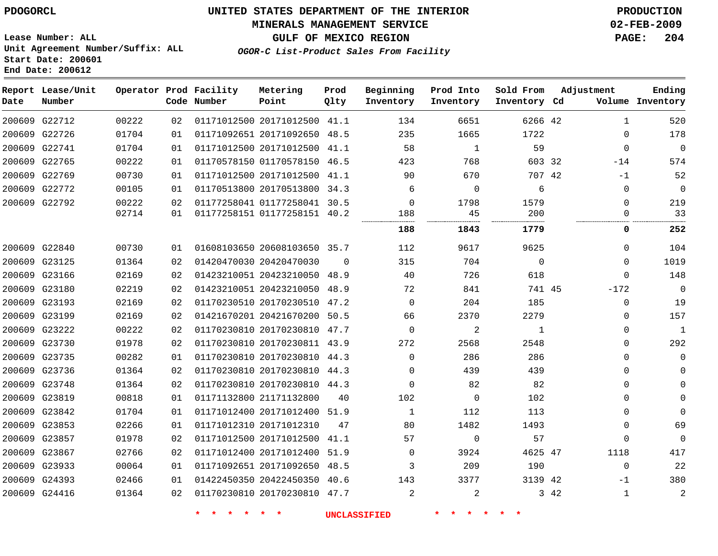#### **MINERALS MANAGEMENT SERVICE 02-FEB-2009**

**GULF OF MEXICO REGION PAGE: 204 OGOR-C List-Product Sales From Facility**

**Lease Number: ALL Unit Agreement Number/Suffix: ALL Start Date: 200601 End Date: 200612**

| Date          | Report Lease/Unit<br>Number |       |    | Operator Prod Facility<br>Code Number | Metering<br>Point            | Prod<br>Qlty | Beginning<br>Inventory | Prod Into<br>Inventory | Sold From<br>Inventory Cd | Adjustment           | Ending<br>Volume Inventory |
|---------------|-----------------------------|-------|----|---------------------------------------|------------------------------|--------------|------------------------|------------------------|---------------------------|----------------------|----------------------------|
|               | 200609 G22712               | 00222 | 02 |                                       | 01171012500 20171012500 41.1 |              | 134                    | 6651                   | 6266 42                   | $\mathbf{1}$         | 520                        |
|               | 200609 G22726               | 01704 | 01 |                                       | 01171092651 20171092650 48.5 |              | 235                    | 1665                   | 1722                      | $\mathbf{0}$         | 178                        |
| 200609 G22741 |                             | 01704 | 01 |                                       | 01171012500 20171012500      | 41.1         | 58                     | 1                      | 59                        | $\mathbf 0$          | $\overline{0}$             |
|               | 200609 G22765               | 00222 | 01 |                                       | 01170578150 01170578150 46.5 |              | 423                    | 768                    | 603 32                    | $-14$                | 574                        |
|               | 200609 G22769               | 00730 | 01 |                                       | 01171012500 20171012500 41.1 |              | 90                     | 670                    | 707 42                    | $-1$                 | 52                         |
|               | 200609 G22772               | 00105 | 01 |                                       | 01170513800 20170513800 34.3 |              | 6                      | $\mathbf 0$            | 6                         | 0                    | $\mathbf 0$                |
|               | 200609 G22792               | 00222 | 02 |                                       | 01177258041 01177258041 30.5 |              | $\Omega$               | 1798                   | 1579                      | $\Omega$             | 219                        |
|               |                             | 02714 | 01 |                                       | 01177258151 01177258151 40.2 |              | 188<br>                | 45<br>                 | 200<br>                   | $\Omega$             | 33                         |
|               |                             |       |    |                                       |                              |              | 188                    | 1843                   | 1779                      | 0                    | 252                        |
| 200609 G22840 |                             | 00730 | 01 |                                       | 01608103650 20608103650 35.7 |              | 112                    | 9617                   | 9625                      | 0                    | 104                        |
|               | 200609 G23125               | 01364 | 02 |                                       | 01420470030 20420470030      | $\Omega$     | 315                    | 704                    | $\mathbf 0$               | $\Omega$             | 1019                       |
|               | 200609 G23166               | 02169 | 02 |                                       | 01423210051 20423210050 48.9 |              | 40                     | 726                    | 618                       | $\Omega$             | 148                        |
|               | 200609 G23180               | 02219 | 02 |                                       | 01423210051 20423210050      | 48.9         | 72                     | 841                    | 741 45                    | $-172$               | $\mathbf 0$                |
|               | 200609 G23193               | 02169 | 02 |                                       | 01170230510 20170230510 47.2 |              | 0                      | 204                    | 185                       | 0                    | 19                         |
|               | 200609 G23199               | 02169 | 02 |                                       | 01421670201 20421670200      | 50.5         | 66                     | 2370                   | 2279                      | $\mathbf 0$          | 157                        |
|               | 200609 G23222               | 00222 | 02 |                                       | 01170230810 20170230810 47.7 |              | 0                      | 2                      | 1                         | 0                    | 1                          |
| 200609 G23730 |                             | 01978 | 02 |                                       | 01170230810 20170230811 43.9 |              | 272                    | 2568                   | 2548                      | $\mathbf{0}$         | 292                        |
|               | 200609 G23735               | 00282 | 01 |                                       | 01170230810 20170230810 44.3 |              | $\mathbf 0$            | 286                    | 286                       | $\mathbf{0}$         | $\mathbf 0$                |
|               | 200609 G23736               | 01364 | 02 |                                       | 01170230810 20170230810 44.3 |              | $\Omega$               | 439                    | 439                       | 0                    | $\Omega$                   |
|               | 200609 G23748               | 01364 | 02 |                                       | 01170230810 20170230810 44.3 |              | $\Omega$               | 82                     | 82                        | $\Omega$             | $\Omega$                   |
| 200609 G23819 |                             | 00818 | 01 |                                       | 01171132800 21171132800      | 40           | 102                    | 0                      | 102                       | $\Omega$             | $\Omega$                   |
|               | 200609 G23842               | 01704 | 01 |                                       | 01171012400 20171012400      | 51.9         | 1                      | 112                    | 113                       | $\Omega$             | $\Omega$                   |
|               | 200609 G23853               | 02266 | 01 |                                       | 01171012310 20171012310      | 47           | 80                     | 1482                   | 1493                      | $\Omega$             | 69                         |
| 200609 G23857 |                             | 01978 | 02 |                                       | 01171012500 20171012500 41.1 |              | 57                     | 0                      | 57                        | 0                    | $\mathbf 0$                |
| 200609 G23867 |                             | 02766 | 02 |                                       | 01171012400 20171012400      | 51.9         | 0                      | 3924                   | 4625 47                   | 1118                 | 417                        |
|               | 200609 G23933               | 00064 | 01 |                                       | 01171092651 20171092650 48.5 |              | 3                      | 209                    | 190                       | $\mathbf 0$          | 22                         |
|               | 200609 G24393               | 02466 | 01 |                                       | 01422450350 20422450350 40.6 |              | 143                    | 3377                   | 3139 42                   | $-1$                 | 380                        |
|               | 200609 G24416               | 01364 | 02 |                                       | 01170230810 20170230810 47.7 |              | $\overline{2}$         | 2                      |                           | 3 42<br>$\mathbf{1}$ | $\overline{2}$             |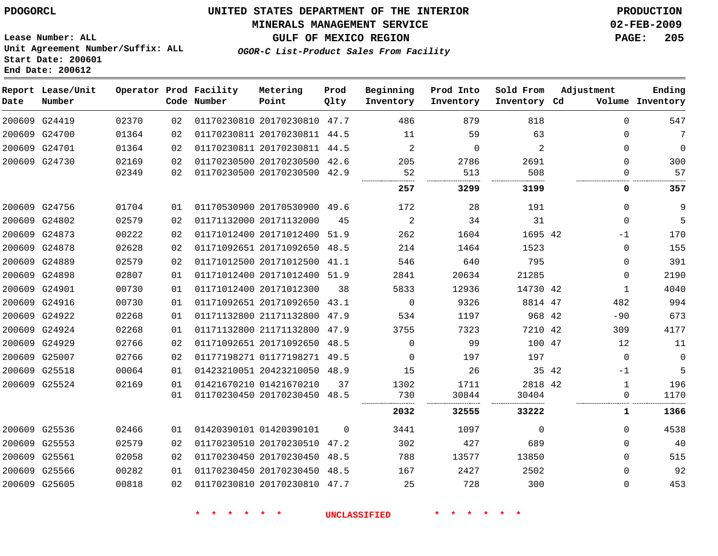#### **MINERALS MANAGEMENT SERVICE 02-FEB-2009**

**GULF OF MEXICO REGION PAGE: 205**

**Lease Number: ALL Unit Agreement Number/Suffix: ALL Start Date: 200601 End Date: 200612**

**OGOR-C List-Product Sales From Facility**

| Date          | Report Lease/Unit<br>Number |       |    | Operator Prod Facility<br>Code Number | Metering<br>Point            | Prod<br>Qlty | Beginning<br>Inventory | Prod Into<br>Inventory | Sold From<br>Inventory Cd | Adjustment    | Ending<br>Volume Inventory |
|---------------|-----------------------------|-------|----|---------------------------------------|------------------------------|--------------|------------------------|------------------------|---------------------------|---------------|----------------------------|
|               | 200609 G24419               | 02370 | 02 |                                       | 01170230810 20170230810 47.7 |              | 486                    | 879                    | 818                       | $\Omega$      | 547                        |
|               | 200609 G24700               | 01364 | 02 |                                       | 01170230811 20170230811 44.5 |              | 11                     | 59                     | 63                        | 0             | 7                          |
|               | 200609 G24701               | 01364 | 02 |                                       | 01170230811 20170230811 44.5 |              | 2                      | $\Omega$               | 2                         | $\Omega$      | $\mathbf 0$                |
|               | 200609 G24730               | 02169 | 02 |                                       | 01170230500 20170230500 42.6 |              | 205                    | 2786                   | 2691                      | 0             | 300                        |
|               |                             | 02349 | 02 |                                       | 01170230500 20170230500 42.9 |              | 52                     | 513                    | 508                       | $\mathbf 0$   | 57                         |
|               |                             |       |    |                                       |                              |              | 257                    | 3299                   | 3199                      | 0             | 357                        |
|               | 200609 G24756               | 01704 | 01 |                                       | 01170530900 20170530900 49.6 |              | 172                    | 28                     | 191                       | $\mathbf 0$   | 9                          |
|               | 200609 G24802               | 02579 | 02 |                                       | 01171132000 20171132000      | 45           | 2                      | 34                     | 31                        | $\Omega$      | 5                          |
|               | 200609 G24873               | 00222 | 02 |                                       | 01171012400 20171012400 51.9 |              | 262                    | 1604                   | 1695 42                   | $-1$          | 170                        |
|               | 200609 G24878               | 02628 | 02 |                                       | 01171092651 20171092650      | 48.5         | 214                    | 1464                   | 1523                      | $\mathbf 0$   | 155                        |
|               | 200609 G24889               | 02579 | 02 |                                       | 01171012500 20171012500 41.1 |              | 546                    | 640                    | 795                       | $\Omega$      | 391                        |
|               | 200609 G24898               | 02807 | 01 |                                       | 01171012400 20171012400 51.9 |              | 2841                   | 20634                  | 21285                     | $\mathbf 0$   | 2190                       |
|               | 200609 G24901               | 00730 | 01 |                                       | 01171012400 20171012300      | 38           | 5833                   | 12936                  | 14730 42                  | $\mathbf{1}$  | 4040                       |
|               | 200609 G24916               | 00730 | 01 |                                       | 01171092651 20171092650      | 43.1         | $\mathbf 0$            | 9326                   | 8814 47                   | 482           | 994                        |
|               | 200609 G24922               | 02268 | 01 |                                       | 01171132800 21171132800      | 47.9         | 534                    | 1197                   | 968 42                    | $-90$         | 673                        |
|               | 200609 G24924               | 02268 | 01 |                                       | 01171132800 21171132800      | 47.9         | 3755                   | 7323                   | 7210 42                   | 309           | 4177                       |
|               | 200609 G24929               | 02766 | 02 |                                       | 01171092651 20171092650 48.5 |              | 0                      | 99                     | 100 47                    | 12            | 11                         |
|               | 200609 G25007               | 02766 | 02 |                                       | 01177198271 01177198271 49.5 |              | $\Omega$               | 197                    | 197                       | $\mathbf 0$   | 0                          |
|               | 200609 G25518               | 00064 | 01 |                                       | 01423210051 20423210050 48.9 |              | 15                     | 26                     |                           | 35 42<br>$-1$ | 5                          |
|               | 200609 G25524               | 02169 | 01 |                                       | 01421670210 01421670210      | 37           | 1302                   | 1711                   | 2818 42                   | $\mathbf 1$   | 196                        |
|               |                             |       | 01 |                                       | 01170230450 20170230450 48.5 |              | 730                    | 30844                  | 30404                     | $\Omega$      | 1170                       |
|               |                             |       |    |                                       |                              |              | 2032                   | 32555                  | 33222                     | 1             | 1366                       |
| 200609 G25536 |                             | 02466 | 01 |                                       | 01420390101 01420390101      | $\Omega$     | 3441                   | 1097                   | $\Omega$                  | $\Omega$      | 4538                       |
|               | 200609 G25553               | 02579 | 02 |                                       | 01170230510 20170230510      | 47.2         | 302                    | 427                    | 689                       | $\mathbf 0$   | 40                         |
|               | 200609 G25561               | 02058 | 02 |                                       | 01170230450 20170230450 48.5 |              | 788                    | 13577                  | 13850                     | $\Omega$      | 515                        |
|               | 200609 G25566               | 00282 | 01 |                                       | 01170230450 20170230450 48.5 |              | 167                    | 2427                   | 2502                      | $\mathbf 0$   | 92                         |
|               | 200609 G25605               | 00818 | 02 |                                       | 01170230810 20170230810 47.7 |              | 25                     | 728                    | 300                       | $\mathbf 0$   | 453                        |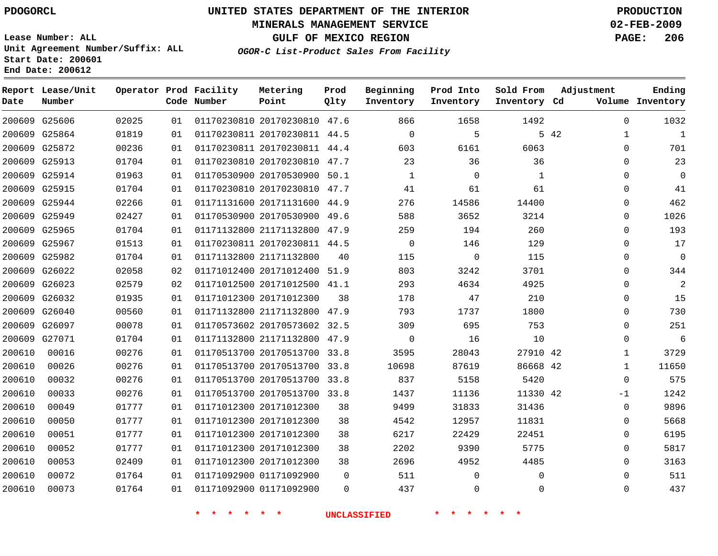#### **MINERALS MANAGEMENT SERVICE 02-FEB-2009**

**GULF OF MEXICO REGION PAGE: 206**

**Lease Number: ALL Unit Agreement Number/Suffix: ALL Start Date: 200601 End Date: 200612**

**OGOR-C List-Product Sales From Facility**

| Date   | Report Lease/Unit<br>Number |       |    | Operator Prod Facility<br>Code Number | Metering<br>Point            | Prod<br>Qlty | Beginning<br>Inventory | Prod Into<br>Inventory | Sold From<br>Inventory Cd | Adjustment   | Ending<br>Volume Inventory |
|--------|-----------------------------|-------|----|---------------------------------------|------------------------------|--------------|------------------------|------------------------|---------------------------|--------------|----------------------------|
|        | 200609 G25606               | 02025 | 01 |                                       | 01170230810 20170230810 47.6 |              | 866                    | 1658                   | 1492                      | $\Omega$     | 1032                       |
|        | 200609 G25864               | 01819 | 01 |                                       | 01170230811 20170230811 44.5 |              | $\mathbf 0$            | 5                      |                           | 5 42<br>1    | 1                          |
|        | 200609 G25872               | 00236 | 01 |                                       | 01170230811 20170230811 44.4 |              | 603                    | 6161                   | 6063                      | $\Omega$     | 701                        |
|        | 200609 G25913               | 01704 | 01 |                                       | 01170230810 20170230810      | 47.7         | 23                     | 36                     | 36                        | $\Omega$     | 23                         |
|        | 200609 G25914               | 01963 | 01 |                                       | 01170530900 20170530900 50.1 |              | $\mathbf{1}$           | 0                      | 1                         | 0            | 0                          |
|        | 200609 G25915               | 01704 | 01 |                                       | 01170230810 20170230810 47.7 |              | 41                     | 61                     | 61                        | $\Omega$     | 41                         |
|        | 200609 G25944               | 02266 | 01 |                                       | 01171131600 20171131600 44.9 |              | 276                    | 14586                  | 14400                     | $\Omega$     | 462                        |
|        | 200609 G25949               | 02427 | 01 |                                       | 01170530900 20170530900      | 49.6         | 588                    | 3652                   | 3214                      | 0            | 1026                       |
|        | 200609 G25965               | 01704 | 01 |                                       | 01171132800 21171132800 47.9 |              | 259                    | 194                    | 260                       | $\Omega$     | 193                        |
|        | 200609 G25967               | 01513 | 01 |                                       | 01170230811 20170230811 44.5 |              | $\mathbf 0$            | 146                    | 129                       | $\Omega$     | 17                         |
|        | 200609 G25982               | 01704 | 01 |                                       | 01171132800 21171132800      | 40           | 115                    | 0                      | 115                       | $\Omega$     | 0                          |
|        | 200609 G26022               | 02058 | 02 |                                       | 01171012400 20171012400 51.9 |              | 803                    | 3242                   | 3701                      | $\Omega$     | 344                        |
|        | 200609 G26023               | 02579 | 02 |                                       | 01171012500 20171012500 41.1 |              | 293                    | 4634                   | 4925                      | $\Omega$     | 2                          |
|        | 200609 G26032               | 01935 | 01 |                                       | 01171012300 20171012300      | 38           | 178                    | 47                     | 210                       | 0            | 15                         |
|        | 200609 G26040               | 00560 | 01 |                                       | 01171132800 21171132800 47.9 |              | 793                    | 1737                   | 1800                      | $\Omega$     | 730                        |
|        | 200609 G26097               | 00078 | 01 |                                       | 01170573602 20170573602 32.5 |              | 309                    | 695                    | 753                       | $\Omega$     | 251                        |
|        | 200609 G27071               | 01704 | 01 |                                       | 01171132800 21171132800 47.9 |              | $\Omega$               | 16                     | 10                        | $\Omega$     | 6                          |
| 200610 | 00016                       | 00276 | 01 |                                       | 01170513700 20170513700 33.8 |              | 3595                   | 28043                  | 27910 42                  | $\mathbf 1$  | 3729                       |
| 200610 | 00026                       | 00276 | 01 |                                       | 01170513700 20170513700 33.8 |              | 10698                  | 87619                  | 86668 42                  | $\mathbf 1$  | 11650                      |
| 200610 | 00032                       | 00276 | 01 |                                       | 01170513700 20170513700 33.8 |              | 837                    | 5158                   | 5420                      | $\Omega$     | 575                        |
| 200610 | 00033                       | 00276 | 01 |                                       | 01170513700 20170513700 33.8 |              | 1437                   | 11136                  | 11330 42                  | -1           | 1242                       |
| 200610 | 00049                       | 01777 | 01 |                                       | 01171012300 20171012300      | 38           | 9499                   | 31833                  | 31436                     | $\mathbf{0}$ | 9896                       |
| 200610 | 00050                       | 01777 | 01 |                                       | 01171012300 20171012300      | 38           | 4542                   | 12957                  | 11831                     | $\Omega$     | 5668                       |
| 200610 | 00051                       | 01777 | 01 |                                       | 01171012300 20171012300      | 38           | 6217                   | 22429                  | 22451                     | $\Omega$     | 6195                       |
| 200610 | 00052                       | 01777 | 01 |                                       | 01171012300 20171012300      | 38           | 2202                   | 9390                   | 5775                      | $\Omega$     | 5817                       |
| 200610 | 00053                       | 02409 | 01 |                                       | 01171012300 20171012300      | 38           | 2696                   | 4952                   | 4485                      | $\Omega$     | 3163                       |
| 200610 | 00072                       | 01764 | 01 |                                       | 01171092900 01171092900      | $\Omega$     | 511                    | $\mathbf{0}$           | $\Omega$                  | $\Omega$     | 511                        |
| 200610 | 00073                       | 01764 | 01 |                                       | 01171092900 01171092900      | $\Omega$     | 437                    | $\mathbf{0}$           | $\Omega$                  | $\Omega$     | 437                        |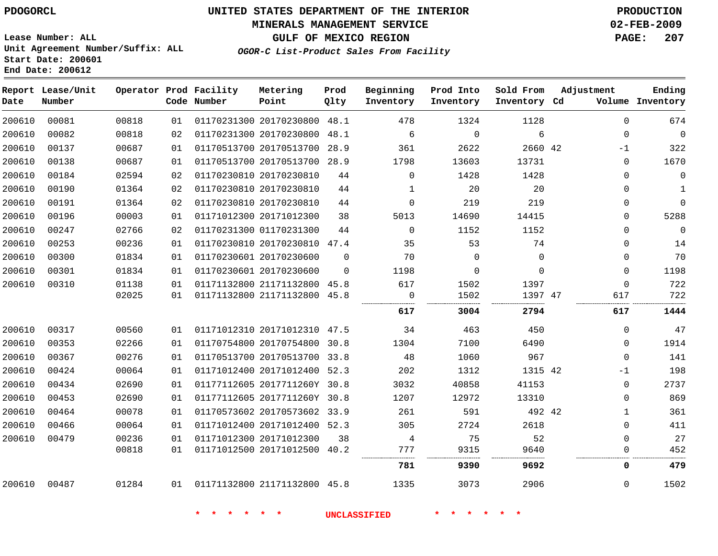#### **MINERALS MANAGEMENT SERVICE 02-FEB-2009**

**GULF OF MEXICO REGION PAGE: 207**

**Lease Number: ALL Unit Agreement Number/Suffix: ALL Start Date: 200601 End Date: 200612**

**OGOR-C List-Product Sales From Facility**

| Date   | Report Lease/Unit<br>Number |       |    | Operator Prod Facility<br>Code Number | Metering<br>Point            | Prod<br>Qlty | Beginning<br>Inventory | Prod Into<br>Inventory | Sold From<br>Inventory Cd | Adjustment |              | Ending<br>Volume Inventory |
|--------|-----------------------------|-------|----|---------------------------------------|------------------------------|--------------|------------------------|------------------------|---------------------------|------------|--------------|----------------------------|
| 200610 | 00081                       | 00818 | 01 |                                       | 01170231300 20170230800 48.1 |              | 478                    | 1324                   | 1128                      |            | $\Omega$     | 674                        |
| 200610 | 00082                       | 00818 | 02 |                                       | 01170231300 20170230800      | 48.1         | 6                      | $\mathbf 0$            | $\sqrt{6}$                |            | $\mathbf{0}$ | $\overline{0}$             |
| 200610 | 00137                       | 00687 | 01 |                                       | 01170513700 20170513700 28.9 |              | 361                    | 2622                   | 2660 42                   |            | $-1$         | 322                        |
| 200610 | 00138                       | 00687 | 01 |                                       | 01170513700 20170513700 28.9 |              | 1798                   | 13603                  | 13731                     |            | $\mathbf{0}$ | 1670                       |
| 200610 | 00184                       | 02594 | 02 |                                       | 01170230810 20170230810      | 44           | $\Omega$               | 1428                   | 1428                      |            | $\Omega$     | $\mathbf 0$                |
| 200610 | 00190                       | 01364 | 02 |                                       | 01170230810 20170230810      | 44           | $\mathbf{1}$           | 20                     | 20                        |            | $\mathbf 0$  | $\mathbf{1}$               |
| 200610 | 00191                       | 01364 | 02 |                                       | 01170230810 20170230810      | 44           | $\Omega$               | 219                    | 219                       |            | $\Omega$     | $\Omega$                   |
| 200610 | 00196                       | 00003 | 01 |                                       | 01171012300 20171012300      | 38           | 5013                   | 14690                  | 14415                     |            | $\Omega$     | 5288                       |
| 200610 | 00247                       | 02766 | 02 |                                       | 01170231300 01170231300      | 44           | $\mathbf 0$            | 1152                   | 1152                      |            | 0            | $\mathbf 0$                |
| 200610 | 00253                       | 00236 | 01 |                                       | 01170230810 20170230810 47.4 |              | 35                     | 53                     | 74                        |            | $\Omega$     | 14                         |
| 200610 | 00300                       | 01834 | 01 |                                       | 01170230601 20170230600      | $\mathbf 0$  | 70                     | $\mathbf 0$            | $\mathbf 0$               |            | $\mathbf{0}$ | 70                         |
| 200610 | 00301                       | 01834 | 01 |                                       | 01170230601 20170230600      | $\Omega$     | 1198                   | 0                      | $\Omega$                  |            | $\mathbf{0}$ | 1198                       |
| 200610 | 00310                       | 01138 | 01 |                                       | 01171132800 21171132800 45.8 |              | 617                    | 1502                   | 1397                      |            | $\Omega$     | 722                        |
|        |                             | 02025 | 01 |                                       | 01171132800 21171132800 45.8 |              | 0                      | 1502                   | 1397 47                   |            | 617          | 722                        |
|        |                             |       |    |                                       |                              |              | 617                    | 3004                   | 2794                      |            | 617          | 1444                       |
| 200610 | 00317                       | 00560 | 01 |                                       | 01171012310 20171012310 47.5 |              | 34                     | 463                    | 450                       |            | $\mathbf{0}$ | 47                         |
| 200610 | 00353                       | 02266 | 01 |                                       | 01170754800 20170754800 30.8 |              | 1304                   | 7100                   | 6490                      |            | $\mathbf{0}$ | 1914                       |
| 200610 | 00367                       | 00276 | 01 |                                       | 01170513700 20170513700 33.8 |              | 48                     | 1060                   | 967                       |            | $\mathbf 0$  | 141                        |
| 200610 | 00424                       | 00064 | 01 |                                       | 01171012400 20171012400 52.3 |              | 202                    | 1312                   | 1315 42                   |            | $-1$         | 198                        |
| 200610 | 00434                       | 02690 | 01 |                                       | 01177112605 2017711260Y 30.8 |              | 3032                   | 40858                  | 41153                     |            | $\mathbf{0}$ | 2737                       |
| 200610 | 00453                       | 02690 | 01 |                                       | 01177112605 2017711260Y 30.8 |              | 1207                   | 12972                  | 13310                     |            | 0            | 869                        |
| 200610 | 00464                       | 00078 | 01 |                                       | 01170573602 20170573602 33.9 |              | 261                    | 591                    | 492 42                    |            | $\mathbf{1}$ | 361                        |
| 200610 | 00466                       | 00064 | 01 |                                       | 01171012400 20171012400 52.3 |              | 305                    | 2724                   | 2618                      |            | $\Omega$     | 411                        |
| 200610 | 00479                       | 00236 | 01 |                                       | 01171012300 20171012300      | 38           | 4                      | 75                     | 52                        |            | $\mathbf{0}$ | 27                         |
|        |                             | 00818 | 01 |                                       | 01171012500 20171012500 40.2 |              | 777                    | 9315                   | 9640                      |            | $\Omega$     | 452                        |
|        |                             |       |    |                                       |                              |              | 781                    | 9390                   | 9692                      |            | 0            | 479                        |
| 200610 | 00487                       | 01284 | 01 |                                       | 01171132800 21171132800 45.8 |              | 1335                   | 3073                   | 2906                      |            | $\Omega$     | 1502                       |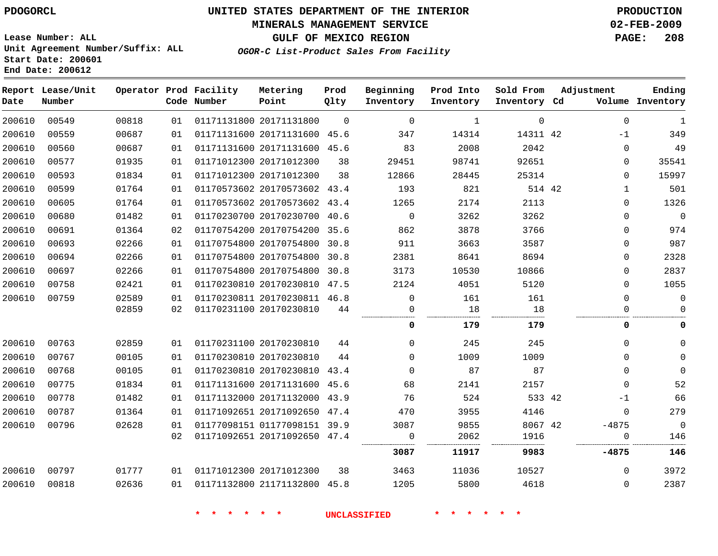#### **MINERALS MANAGEMENT SERVICE 02-FEB-2009**

**GULF OF MEXICO REGION PAGE: 208 OGOR-C List-Product Sales From Facility**

**Lease Number: ALL Unit Agreement Number/Suffix: ALL Start Date: 200601 End Date: 200612**

| Date   | Report Lease/Unit<br>Number |       |    | Operator Prod Facility<br>Code Number | Metering<br>Point            | Prod<br>Qlty | Beginning<br>Inventory | Prod Into<br>Inventory | Sold From<br>Inventory Cd | Adjustment   | Ending<br>Volume Inventory |
|--------|-----------------------------|-------|----|---------------------------------------|------------------------------|--------------|------------------------|------------------------|---------------------------|--------------|----------------------------|
| 200610 | 00549                       | 00818 | 01 |                                       | 01171131800 20171131800      | $\Omega$     | $\mathbf 0$            | 1                      | $\mathbf 0$               | $\mathbf 0$  | $\mathbf{1}$               |
| 200610 | 00559                       | 00687 | 01 |                                       | 01171131600 20171131600 45.6 |              | 347                    | 14314                  | 14311 42                  | $-1$         | 349                        |
| 200610 | 00560                       | 00687 | 01 |                                       | 01171131600 20171131600 45.6 |              | 83                     | 2008                   | 2042                      | 0            | 49                         |
| 200610 | 00577                       | 01935 | 01 |                                       | 01171012300 20171012300      | 38           | 29451                  | 98741                  | 92651                     | 0            | 35541                      |
| 200610 | 00593                       | 01834 | 01 |                                       | 01171012300 20171012300      | 38           | 12866                  | 28445                  | 25314                     | $\Omega$     | 15997                      |
| 200610 | 00599                       | 01764 | 01 |                                       | 01170573602 20170573602 43.4 |              | 193                    | 821                    | 514 42                    | $\mathbf{1}$ | 501                        |
| 200610 | 00605                       | 01764 | 01 |                                       | 01170573602 20170573602 43.4 |              | 1265                   | 2174                   | 2113                      | 0            | 1326                       |
| 200610 | 00680                       | 01482 | 01 |                                       | 01170230700 20170230700 40.6 |              | $\mathbf{0}$           | 3262                   | 3262                      | 0            | $\mathbb O$                |
| 200610 | 00691                       | 01364 | 02 |                                       | 01170754200 20170754200 35.6 |              | 862                    | 3878                   | 3766                      | 0            | 974                        |
| 200610 | 00693                       | 02266 | 01 |                                       | 01170754800 20170754800      | 30.8         | 911                    | 3663                   | 3587                      | 0            | 987                        |
| 200610 | 00694                       | 02266 | 01 |                                       | 01170754800 20170754800      | 30.8         | 2381                   | 8641                   | 8694                      | 0            | 2328                       |
| 200610 | 00697                       | 02266 | 01 |                                       | 01170754800 20170754800      | 30.8         | 3173                   | 10530                  | 10866                     | 0            | 2837                       |
| 200610 | 00758                       | 02421 | 01 |                                       | 01170230810 20170230810 47.5 |              | 2124                   | 4051                   | 5120                      | 0            | 1055                       |
| 200610 | 00759                       | 02589 | 01 |                                       | 01170230811 20170230811 46.8 |              | 0                      | 161                    | 161                       | 0            | $\mathbf 0$                |
|        |                             | 02859 | 02 |                                       | 01170231100 20170230810      | 44           | 0                      | 18                     | 18                        | 0            | $\Omega$                   |
|        |                             |       |    |                                       |                              |              | 0                      | 179                    | 179                       | 0            | 0                          |
| 200610 | 00763                       | 02859 | 01 |                                       | 01170231100 20170230810      | 44           | $\mathbf 0$            | 245                    | 245                       | 0            | 0                          |
| 200610 | 00767                       | 00105 | 01 |                                       | 01170230810 20170230810      | 44           | $\mathbf 0$            | 1009                   | 1009                      | $\Omega$     | $\mathbf 0$                |
| 200610 | 00768                       | 00105 | 01 |                                       | 01170230810 20170230810 43.4 |              | $\Omega$               | 87                     | 87                        | $\Omega$     | $\mathbf 0$                |
| 200610 | 00775                       | 01834 | 01 |                                       | 01171131600 20171131600 45.6 |              | 68                     | 2141                   | 2157                      | 0            | 52                         |
| 200610 | 00778                       | 01482 | 01 |                                       | 01171132000 20171132000 43.9 |              | 76                     | 524                    | 533 42                    | $-1$         | 66                         |
| 200610 | 00787                       | 01364 | 01 |                                       | 01171092651 20171092650      | 47.4         | 470                    | 3955                   | 4146                      | 0            | 279                        |
| 200610 | 00796                       | 02628 | 01 |                                       | 01177098151 01177098151 39.9 |              | 3087                   | 9855                   | 8067 42                   | $-4875$      | $\overline{0}$             |
|        |                             |       | 02 |                                       | 01171092651 20171092650 47.4 |              | 0                      | 2062                   | 1916                      | 0            | 146                        |
|        |                             |       |    |                                       |                              |              | 3087                   | 11917                  | 9983                      | $-4875$      | 146                        |
| 200610 | 00797                       | 01777 | 01 |                                       | 01171012300 20171012300      | 38           | 3463                   | 11036                  | 10527                     | $\Omega$     | 3972                       |
| 200610 | 00818                       | 02636 | 01 |                                       | 01171132800 21171132800 45.8 |              | 1205                   | 5800                   | 4618                      | 0            | 2387                       |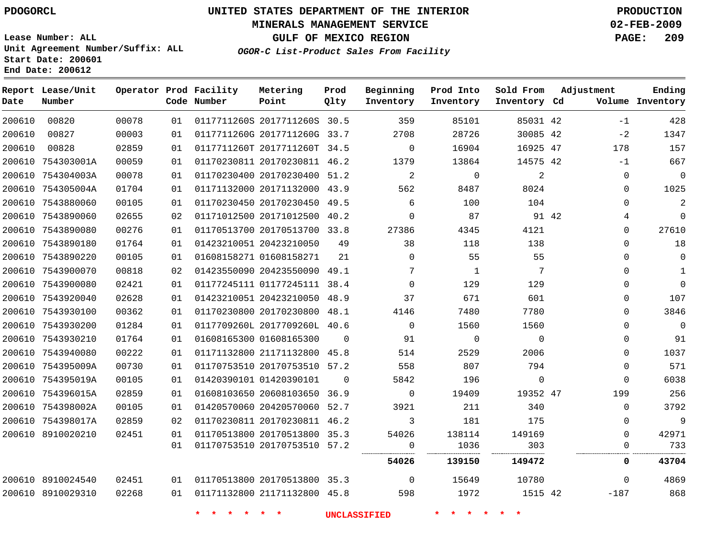#### **MINERALS MANAGEMENT SERVICE 02-FEB-2009**

**GULF OF MEXICO REGION PAGE: 209**

**Lease Number: ALL Unit Agreement Number/Suffix: ALL Start Date: 200601 End Date: 200612**

**OGOR-C List-Product Sales From Facility**

| Date   | Report Lease/Unit<br>Number |       |    | Operator Prod Facility<br>Code Number | Metering<br>Point            | Prod<br>Qlty | Beginning<br>Inventory             | Prod Into<br>Inventory | Sold From<br>Inventory Cd | Adjustment | Ending<br>Volume Inventory  |
|--------|-----------------------------|-------|----|---------------------------------------|------------------------------|--------------|------------------------------------|------------------------|---------------------------|------------|-----------------------------|
| 200610 | 00820                       | 00078 | 01 |                                       | 0117711260S 2017711260S 30.5 |              | 359                                | 85101                  | 85031 42                  |            | 428<br>$-1$                 |
| 200610 | 00827                       | 00003 | 01 |                                       | 0117711260G 2017711260G 33.7 |              | 2708                               | 28726                  | 30085 42                  | $-2$       | 1347                        |
| 200610 | 00828                       | 02859 | 01 |                                       | 0117711260T 2017711260T 34.5 |              | $\Omega$                           | 16904                  | 16925 47                  | 178        | 157                         |
|        | 200610 754303001A           | 00059 | 01 |                                       | 01170230811 20170230811 46.2 |              | 1379                               | 13864                  | 14575 42                  |            | 667<br>$-1$                 |
|        | 200610 754304003A           | 00078 | 01 |                                       | 01170230400 20170230400 51.2 |              | $\overline{2}$                     | $\mathbf 0$            | $\overline{a}$            |            | $\overline{0}$<br>0         |
|        | 200610 754305004A           | 01704 | 01 |                                       | 01171132000 20171132000 43.9 |              | 562                                | 8487                   | 8024                      |            | 1025<br>$\Omega$            |
|        | 200610 7543880060           | 00105 | 01 |                                       | 01170230450 20170230450 49.5 |              | 6                                  | 100                    | 104                       |            | $\overline{a}$<br>$\Omega$  |
|        | 200610 7543890060           | 02655 | 02 |                                       | 01171012500 20171012500 40.2 |              | $\mathbf 0$                        | 87                     |                           | 91 42      | $\mathbf{0}$<br>4           |
|        | 200610 7543890080           | 00276 | 01 |                                       | 01170513700 20170513700 33.8 |              | 27386                              | 4345                   | 4121                      |            | 27610<br>$\mathbf 0$        |
|        | 200610 7543890180           | 01764 | 01 |                                       | 01423210051 20423210050      | 49           | 38                                 | 118                    | 138                       |            | 18<br>$\Omega$              |
|        | 200610 7543890220           | 00105 | 01 |                                       | 01608158271 01608158271      | 21           | $\Omega$                           | 55                     | 55                        |            | $\mathbf 0$<br>$\Omega$     |
|        | 200610 7543900070           | 00818 | 02 |                                       | 01423550090 20423550090 49.1 |              | 7                                  | 1                      | 7                         |            | $\Omega$<br>$\mathbf{1}$    |
|        | 200610 7543900080           | 02421 | 01 |                                       | 01177245111 01177245111 38.4 |              | $\mathbf 0$                        | 129                    | 129                       |            | $\mathbf 0$<br>$\mathbf{0}$ |
|        | 200610 7543920040           | 02628 | 01 |                                       | 01423210051 20423210050 48.9 |              | 37                                 | 671                    | 601                       |            | 107<br>$\mathbf 0$          |
|        | 200610 7543930100           | 00362 | 01 |                                       | 01170230800 20170230800 48.1 |              | 4146                               | 7480                   | 7780                      |            | 3846<br>$\Omega$            |
|        | 200610 7543930200           | 01284 | 01 |                                       | 0117709260L 2017709260L 40.6 |              | $\mathbf 0$                        | 1560                   | 1560                      |            | $\mathbf{0}$<br>$\Omega$    |
|        | 200610 7543930210           | 01764 | 01 |                                       | 01608165300 01608165300      | $\mathbf 0$  | 91                                 | 0                      | $\mathbf 0$               |            | 91<br>0                     |
|        | 200610 7543940080           | 00222 | 01 |                                       | 01171132800 21171132800 45.8 |              | 514                                | 2529                   | 2006                      |            | 1037<br>0                   |
|        | 200610 754395009A           | 00730 | 01 |                                       | 01170753510 20170753510 57.2 |              | 558                                | 807                    | 794                       |            | 571<br>$\mathbf{0}$         |
|        | 200610 754395019A           | 00105 | 01 |                                       | 01420390101 01420390101      | $\Omega$     | 5842                               | 196                    | $\mathbf 0$               |            | 6038<br>$\Omega$            |
|        | 200610 754396015A           | 02859 | 01 |                                       | 01608103650 20608103650 36.9 |              | $\mathbf 0$                        | 19409                  | 19352 47                  | 199        | 256                         |
|        | 200610 754398002A           | 00105 | 01 |                                       | 01420570060 20420570060 52.7 |              | 3921                               | 211                    | 340                       |            | 3792<br>$\mathbf 0$         |
|        | 200610 754398017A           | 02859 | 02 |                                       | 01170230811 20170230811 46.2 |              | 3                                  | 181                    | 175                       |            | 9<br>$\mathbf{0}$           |
|        | 200610 8910020210           | 02451 | 01 |                                       | 01170513800 20170513800 35.3 |              | 54026                              | 138114                 | 149169                    |            | 42971<br>$\Omega$           |
|        |                             |       | 01 |                                       | 01170753510 20170753510 57.2 |              | 0<br><b><i><u>LESSERES</u></i></b> | 1036                   | 303                       |            | 733<br>$\Omega$             |
|        |                             |       |    |                                       |                              |              | 54026                              | 139150                 | 149472                    |            | 0<br>43704                  |
|        | 200610 8910024540           | 02451 | 01 |                                       | 01170513800 20170513800 35.3 |              | $\overline{0}$                     | 15649                  | 10780                     |            | 4869<br>$\Omega$            |
|        | 200610 8910029310           | 02268 | 01 |                                       | 01171132800 21171132800 45.8 |              | 598                                | 1972                   | 1515 42                   | $-187$     | 868                         |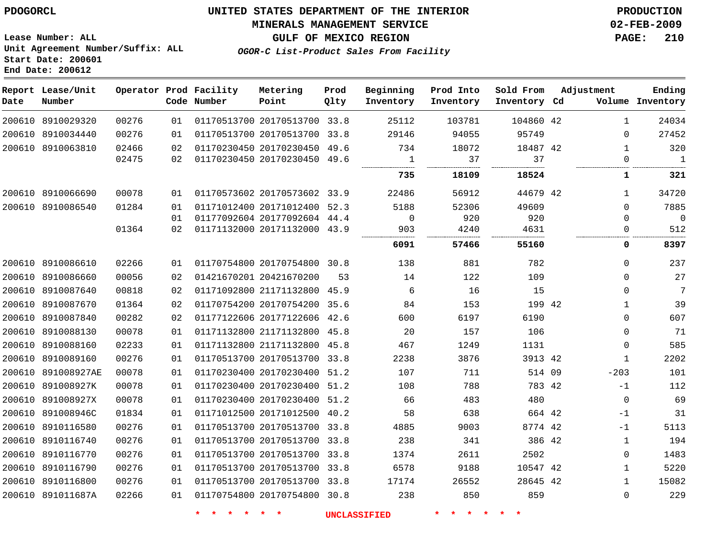#### **MINERALS MANAGEMENT SERVICE 02-FEB-2009**

**GULF OF MEXICO REGION PAGE: 210**

**Lease Number: ALL Unit Agreement Number/Suffix: ALL Start Date: 200601 End Date: 200612**

**OGOR-C List-Product Sales From Facility**

| Date | Report Lease/Unit<br>Number |       |    | Operator Prod Facility<br>Code Number | Metering<br>Point            | Prod<br>Qlty | Beginning<br>Inventory | Prod Into<br>Inventory | Sold From<br>Inventory Cd | Adjustment   | Ending<br>Volume Inventory |
|------|-----------------------------|-------|----|---------------------------------------|------------------------------|--------------|------------------------|------------------------|---------------------------|--------------|----------------------------|
|      | 200610 8910029320           | 00276 | 01 |                                       | 01170513700 20170513700 33.8 |              | 25112                  | 103781                 | 104860 42                 | $\mathbf{1}$ | 24034                      |
|      | 200610 8910034440           | 00276 | 01 |                                       | 01170513700 20170513700 33.8 |              | 29146                  | 94055                  | 95749                     | 0            | 27452                      |
|      | 200610 8910063810           | 02466 | 02 |                                       | 01170230450 20170230450 49.6 |              | 734                    | 18072                  | 18487 42                  | $\mathbf{1}$ | 320                        |
|      |                             | 02475 | 02 |                                       | 01170230450 20170230450 49.6 |              | <sup>1</sup>           | 37                     | 37                        | 0            | $\overline{1}$             |
|      |                             |       |    |                                       |                              |              | 735                    | 18109                  | 18524                     | 1            | 321                        |
|      | 200610 8910066690           | 00078 | 01 |                                       | 01170573602 20170573602 33.9 |              | 22486                  | 56912                  | 44679 42                  | $\mathbf{1}$ | 34720                      |
|      | 200610 8910086540           | 01284 | 01 |                                       | 01171012400 20171012400 52.3 |              | 5188                   | 52306                  | 49609                     | $\Omega$     | 7885                       |
|      |                             |       | 01 |                                       | 01177092604 20177092604 44.4 |              | $\mathbf 0$            | 920                    | 920                       | $\Omega$     | $\overline{0}$             |
|      |                             | 01364 | 02 |                                       | 01171132000 20171132000 43.9 |              | 903                    | 4240                   | 4631                      | 0            | 512                        |
|      |                             |       |    |                                       |                              |              | 6091                   | 57466                  | 55160                     | 0            | 8397                       |
|      | 200610 8910086610           | 02266 | 01 |                                       | 01170754800 20170754800 30.8 |              | 138                    | 881                    | 782                       | 0            | 237                        |
|      | 200610 8910086660           | 00056 | 02 |                                       | 01421670201 20421670200      | 53           | 14                     | 122                    | 109                       | $\Omega$     | 27                         |
|      | 200610 8910087640           | 00818 | 02 |                                       | 01171092800 21171132800 45.9 |              | 6                      | 16                     | 15                        | 0            | 7                          |
|      | 200610 8910087670           | 01364 | 02 |                                       | 01170754200 20170754200 35.6 |              | 84                     | 153                    | 199 42                    | $\mathbf 1$  | 39                         |
|      | 200610 8910087840           | 00282 | 02 |                                       | 01177122606 20177122606 42.6 |              | 600                    | 6197                   | 6190                      | $\mathbf 0$  | 607                        |
|      | 200610 8910088130           | 00078 | 01 |                                       | 01171132800 21171132800 45.8 |              | 20                     | 157                    | 106                       | 0            | 71                         |
|      | 200610 8910088160           | 02233 | 01 |                                       | 01171132800 21171132800 45.8 |              | 467                    | 1249                   | 1131                      | 0            | 585                        |
|      | 200610 8910089160           | 00276 | 01 |                                       | 01170513700 20170513700 33.8 |              | 2238                   | 3876                   | 3913 42                   | $\mathbf{1}$ | 2202                       |
|      | 200610 891008927AE          | 00078 | 01 |                                       | 01170230400 20170230400 51.2 |              | 107                    | 711                    | 514 09                    | $-203$       | 101                        |
|      | 200610 891008927K           | 00078 | 01 |                                       | 01170230400 20170230400 51.2 |              | 108                    | 788                    | 783 42                    | $-1$         | 112                        |
|      | 200610 891008927X           | 00078 | 01 |                                       | 01170230400 20170230400 51.2 |              | 66                     | 483                    | 480                       | $\mathbf 0$  | 69                         |
|      | 200610 891008946C           | 01834 | 01 |                                       | 01171012500 20171012500 40.2 |              | 58                     | 638                    | 664 42                    | $-1$         | 31                         |
|      | 200610 8910116580           | 00276 | 01 |                                       | 01170513700 20170513700 33.8 |              | 4885                   | 9003                   | 8774 42                   | $-1$         | 5113                       |
|      | 200610 8910116740           | 00276 | 01 |                                       | 01170513700 20170513700 33.8 |              | 238                    | 341                    | 386 42                    | $\mathbf{1}$ | 194                        |
|      | 200610 8910116770           | 00276 | 01 |                                       | 01170513700 20170513700 33.8 |              | 1374                   | 2611                   | 2502                      | $\mathbf 0$  | 1483                       |
|      | 200610 8910116790           | 00276 | 01 |                                       | 01170513700 20170513700 33.8 |              | 6578                   | 9188                   | 10547 42                  | $\mathbf{1}$ | 5220                       |
|      | 200610 8910116800           | 00276 | 01 |                                       | 01170513700 20170513700 33.8 |              | 17174                  | 26552                  | 28645 42                  | $\mathbf{1}$ | 15082                      |
|      | 200610 891011687A           | 02266 | 01 |                                       | 01170754800 20170754800 30.8 |              | 238                    | 850                    | 859                       | $\mathbf 0$  | 229                        |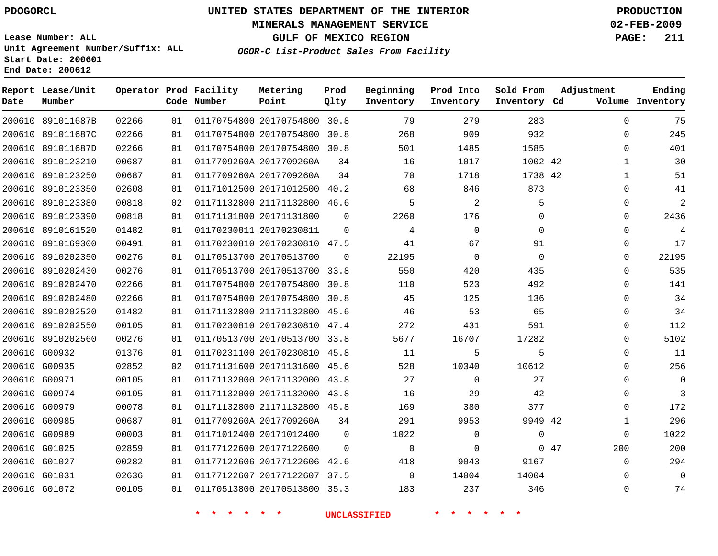#### **MINERALS MANAGEMENT SERVICE 02-FEB-2009**

**GULF OF MEXICO REGION PAGE: 211**

**Lease Number: ALL Unit Agreement Number/Suffix: ALL Start Date: 200601 End Date: 200612**

**OGOR-C List-Product Sales From Facility**

| Date   | Report Lease/Unit<br>Number |       |    | Operator Prod Facility<br>Code Number | Metering<br>Point            | Prod<br>Qlty | Beginning<br>Inventory | Prod Into<br>Inventory | Sold From<br>Inventory Cd | Adjustment   | Ending<br>Volume Inventory |
|--------|-----------------------------|-------|----|---------------------------------------|------------------------------|--------------|------------------------|------------------------|---------------------------|--------------|----------------------------|
| 200610 | 891011687B                  | 02266 | 01 |                                       | 01170754800 20170754800      | 30.8         | 79                     | 279                    | 283                       | $\mathbf 0$  | 75                         |
| 200610 | 891011687C                  | 02266 | 01 |                                       | 01170754800 20170754800      | 30.8         | 268                    | 909                    | 932                       | $\Omega$     | 245                        |
| 200610 | 891011687D                  | 02266 | 01 |                                       | 01170754800 20170754800      | 30.8         | 501                    | 1485                   | 1585                      | $\Omega$     | 401                        |
| 200610 | 8910123210                  | 00687 | 01 |                                       | 0117709260A 2017709260A      | 34           | 16                     | 1017                   | 1002 42                   | -1           | 30                         |
| 200610 | 8910123250                  | 00687 | 01 |                                       | 0117709260A 2017709260A      | 34           | 70                     | 1718                   | 1738 42                   | 1            | 51                         |
| 200610 | 8910123350                  | 02608 | 01 |                                       | 01171012500 20171012500 40.2 |              | 68                     | 846                    | 873                       | $\Omega$     | 41                         |
| 200610 | 8910123380                  | 00818 | 02 |                                       | 01171132800 21171132800 46.6 |              | 5                      | 2                      | 5                         | $\mathbf 0$  | $\overline{a}$             |
| 200610 | 8910123390                  | 00818 | 01 |                                       | 01171131800 20171131800      | $\Omega$     | 2260                   | 176                    | $\mathbf 0$               | $\mathbf 0$  | 2436                       |
| 200610 | 8910161520                  | 01482 | 01 |                                       | 01170230811 20170230811      | $\Omega$     | 4                      | $\Omega$               | $\Omega$                  | $\Omega$     | $\overline{4}$             |
| 200610 | 8910169300                  | 00491 | 01 |                                       | 01170230810 20170230810 47.5 |              | 41                     | 67                     | 91                        | 0            | 17                         |
| 200610 | 8910202350                  | 00276 | 01 |                                       | 01170513700 20170513700      | $\Omega$     | 22195                  | $\Omega$               | $\Omega$                  | $\Omega$     | 22195                      |
| 200610 | 8910202430                  | 00276 | 01 |                                       | 01170513700 20170513700 33.8 |              | 550                    | 420                    | 435                       | $\mathbf 0$  | 535                        |
| 200610 | 8910202470                  | 02266 | 01 |                                       | 01170754800 20170754800      | 30.8         | 110                    | 523                    | 492                       | 0            | 141                        |
| 200610 | 8910202480                  | 02266 | 01 |                                       | 01170754800 20170754800 30.8 |              | 45                     | 125                    | 136                       | $\Omega$     | 34                         |
| 200610 | 8910202520                  | 01482 | 01 |                                       | 01171132800 21171132800 45.6 |              | 46                     | 53                     | 65                        | 0            | 34                         |
| 200610 | 8910202550                  | 00105 | 01 |                                       | 01170230810 20170230810 47.4 |              | 272                    | 431                    | 591                       | $\mathbf 0$  | 112                        |
|        | 200610 8910202560           | 00276 | 01 |                                       | 01170513700 20170513700 33.8 |              | 5677                   | 16707                  | 17282                     | $\Omega$     | 5102                       |
|        | 200610 G00932               | 01376 | 01 |                                       | 01170231100 20170230810 45.8 |              | 11                     | 5                      | 5                         | $\mathbf 0$  | 11                         |
|        | 200610 G00935               | 02852 | 02 |                                       | 01171131600 20171131600 45.6 |              | 528                    | 10340                  | 10612                     | $\Omega$     | 256                        |
|        | 200610 G00971               | 00105 | 01 |                                       | 01171132000 20171132000 43.8 |              | 27                     | $\Omega$               | 27                        | $\Omega$     | $\Omega$                   |
|        | 200610 G00974               | 00105 | 01 |                                       | 01171132000 20171132000 43.8 |              | 16                     | 29                     | 42                        | $\Omega$     | 3                          |
|        | 200610 G00979               | 00078 | 01 |                                       | 01171132800 21171132800 45.8 |              | 169                    | 380                    | 377                       | $\Omega$     | 172                        |
|        | 200610 G00985               | 00687 | 01 |                                       | 0117709260A 2017709260A      | 34           | 291                    | 9953                   | 9949 42                   | $\mathbf{1}$ | 296                        |
|        | 200610 G00989               | 00003 | 01 |                                       | 01171012400 20171012400      | $\Omega$     | 1022                   | $\mathbf 0$            | $\Omega$                  | $\mathbf 0$  | 1022                       |
|        | 200610 G01025               | 02859 | 01 |                                       | 01177122600 20177122600      | $\Omega$     | $\mathbf 0$            | $\Omega$               |                           | 047<br>200   | 200                        |
|        | 200610 G01027               | 00282 | 01 |                                       | 01177122606 20177122606 42.6 |              | 418                    | 9043                   | 9167                      | $\mathbf 0$  | 294                        |
|        | 200610 G01031               | 02636 | 01 |                                       | 01177122607 20177122607 37.5 |              | $\Omega$               | 14004                  | 14004                     | $\Omega$     | $\mathbf 0$                |
|        | 200610 G01072               | 00105 | 01 |                                       | 01170513800 20170513800 35.3 |              | 183                    | 237                    | 346                       | $\Omega$     | 74                         |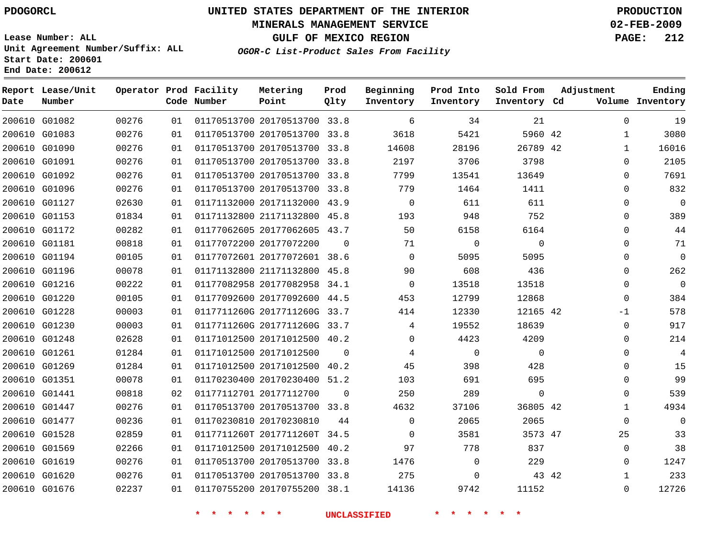#### **MINERALS MANAGEMENT SERVICE 02-FEB-2009**

**GULF OF MEXICO REGION PAGE: 212**

**Lease Number: ALL Unit Agreement Number/Suffix: ALL Start Date: 200601 End Date: 200612**

**OGOR-C List-Product Sales From Facility**

| Date | Report Lease/Unit<br>Number |       |    | Operator Prod Facility<br>Code Number | Metering<br>Point            | Prod<br>Qlty | Beginning<br>Inventory | Prod Into<br>Inventory | Sold From<br>Inventory Cd | Adjustment | Ending<br>Volume Inventory |
|------|-----------------------------|-------|----|---------------------------------------|------------------------------|--------------|------------------------|------------------------|---------------------------|------------|----------------------------|
|      | 200610 G01082               | 00276 | 01 |                                       | 01170513700 20170513700 33.8 |              | 6                      | 34                     | 21                        |            | $\Omega$<br>19             |
|      | 200610 G01083               | 00276 | 01 |                                       | 01170513700 20170513700 33.8 |              | 3618                   | 5421                   | 5960 42                   |            | 3080<br>1                  |
|      | 200610 G01090               | 00276 | 01 |                                       | 01170513700 20170513700 33.8 |              | 14608                  | 28196                  | 26789 42                  |            | 16016<br>1                 |
|      | 200610 G01091               | 00276 | 01 |                                       | 01170513700 20170513700 33.8 |              | 2197                   | 3706                   | 3798                      |            | 2105<br>$\Omega$           |
|      | 200610 G01092               | 00276 | 01 |                                       | 01170513700 20170513700 33.8 |              | 7799                   | 13541                  | 13649                     |            | 7691<br>0                  |
|      | 200610 G01096               | 00276 | 01 |                                       | 01170513700 20170513700 33.8 |              | 779                    | 1464                   | 1411                      |            | 832<br>0                   |
|      | 200610 G01127               | 02630 | 01 |                                       | 01171132000 20171132000 43.9 |              | $\Omega$               | 611                    | 611                       |            | $\Omega$<br>$\Omega$       |
|      | 200610 G01153               | 01834 | 01 |                                       | 01171132800 21171132800 45.8 |              | 193                    | 948                    | 752                       |            | 389<br>$\Omega$            |
|      | 200610 G01172               | 00282 | 01 |                                       | 01177062605 20177062605 43.7 |              | 50                     | 6158                   | 6164                      |            | 44<br>0                    |
|      | 200610 G01181               | 00818 | 01 |                                       | 01177072200 20177072200      | $\Omega$     | 71                     | $\mathbf 0$            | $\mathbf 0$               |            | 71<br>$\Omega$             |
|      | 200610 G01194               | 00105 | 01 |                                       | 01177072601 20177072601 38.6 |              | $\Omega$               | 5095                   | 5095                      |            | $\Omega$<br>$\Omega$       |
|      | 200610 G01196               | 00078 | 01 |                                       | 01171132800 21171132800 45.8 |              | 90                     | 608                    | 436                       |            | 262<br>0                   |
|      | 200610 G01216               | 00222 | 01 |                                       | 01177082958 20177082958 34.1 |              | $\Omega$               | 13518                  | 13518                     |            | $\mathbf 0$<br>$\Omega$    |
|      | 200610 G01220               | 00105 | 01 |                                       | 01177092600 20177092600 44.5 |              | 453                    | 12799                  | 12868                     |            | 384<br>$\mathbf 0$         |
|      | 200610 G01228               | 00003 | 01 |                                       | 0117711260G 2017711260G 33.7 |              | 414                    | 12330                  | 12165 42                  |            | 578<br>$-1$                |
|      | 200610 G01230               | 00003 | 01 |                                       | 0117711260G 2017711260G 33.7 |              | 4                      | 19552                  | 18639                     |            | 917<br>0                   |
|      | 200610 G01248               | 02628 | 01 |                                       | 01171012500 20171012500 40.2 |              | $\Omega$               | 4423                   | 4209                      |            | 214<br>$\Omega$            |
|      | 200610 G01261               | 01284 | 01 |                                       | 01171012500 20171012500      | $\Omega$     | 4                      | $\mathbf 0$            | $\Omega$                  |            | 4<br>$\Omega$              |
|      | 200610 G01269               | 01284 | 01 |                                       | 01171012500 20171012500 40.2 |              | 45                     | 398                    | 428                       |            | 15<br>0                    |
|      | 200610 G01351               | 00078 | 01 |                                       | 01170230400 20170230400      | 51.2         | 103                    | 691                    | 695                       |            | 99<br>0                    |
|      | 200610 G01441               | 00818 | 02 |                                       | 01177112701 20177112700      | $\Omega$     | 250                    | 289                    | $\mathbf 0$               |            | 539<br>$\Omega$            |
|      | 200610 G01447               | 00276 | 01 |                                       | 01170513700 20170513700 33.8 |              | 4632                   | 37106                  | 36805 42                  |            | 4934<br>1                  |
|      | 200610 G01477               | 00236 | 01 |                                       | 01170230810 20170230810      | 44           | $\Omega$               | 2065                   | 2065                      |            | $\Omega$<br>0              |
|      | 200610 G01528               | 02859 | 01 |                                       | 0117711260T 2017711260T 34.5 |              | $\Omega$               | 3581                   | 3573 47                   |            | 25<br>33                   |
|      | 200610 G01569               | 02266 | 01 |                                       | 01171012500 20171012500 40.2 |              | 97                     | 778                    | 837                       |            | 38<br>0                    |
|      | 200610 G01619               | 00276 | 01 |                                       | 01170513700 20170513700 33.8 |              | 1476                   | $\mathbf 0$            | 229                       |            | 1247<br>0                  |
|      | 200610 G01620               | 00276 | 01 |                                       | 01170513700 20170513700 33.8 |              | 275                    | 0                      |                           | 43 42      | 233<br>1                   |
|      | 200610 G01676               | 02237 | 01 |                                       | 01170755200 20170755200 38.1 |              | 14136                  | 9742                   | 11152                     |            | 12726<br>$\Omega$          |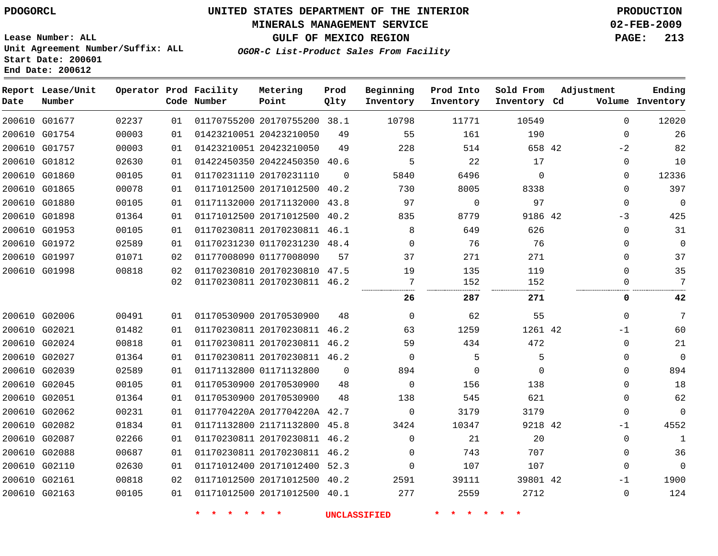# **MINERALS MANAGEMENT SERVICE 02-FEB-2009**

**GULF OF MEXICO REGION PAGE: 213**

**Lease Number: ALL Unit Agreement Number/Suffix: ALL Start Date: 200601 End Date: 200612**

**OGOR-C List-Product Sales From Facility**

| Date | Report Lease/Unit<br>Number |       |    | Operator Prod Facility<br>Code Number | Metering<br>Point            | Prod<br>Qlty | Beginning<br>Inventory | Prod Into<br>Inventory | Sold From<br>Inventory Cd | Adjustment   | Ending<br>Volume Inventory |
|------|-----------------------------|-------|----|---------------------------------------|------------------------------|--------------|------------------------|------------------------|---------------------------|--------------|----------------------------|
|      | 200610 G01677               | 02237 | 01 |                                       | 01170755200 20170755200 38.1 |              | 10798                  | 11771                  | 10549                     | $\mathbf 0$  | 12020                      |
|      | 200610 G01754               | 00003 | 01 |                                       | 01423210051 20423210050      | 49           | 55                     | 161                    | 190                       | $\Omega$     | 26                         |
|      | 200610 G01757               | 00003 | 01 |                                       | 01423210051 20423210050      | 49           | 228                    | 514                    | 658 42                    | $-2$         | 82                         |
|      | 200610 G01812               | 02630 | 01 |                                       | 01422450350 20422450350 40.6 |              | 5                      | 22                     | 17                        | $\mathbf{0}$ | 10                         |
|      | 200610 G01860               | 00105 | 01 |                                       | 01170231110 20170231110      | $\Omega$     | 5840                   | 6496                   | $\mathbf 0$               | $\mathbf 0$  | 12336                      |
|      | 200610 G01865               | 00078 | 01 |                                       | 01171012500 20171012500 40.2 |              | 730                    | 8005                   | 8338                      | $\mathbf 0$  | 397                        |
|      | 200610 G01880               | 00105 | 01 |                                       | 01171132000 20171132000 43.8 |              | 97                     | $\mathsf{O}$           | 97                        | $\mathbf 0$  | $\mathbf 0$                |
|      | 200610 G01898               | 01364 | 01 |                                       | 01171012500 20171012500 40.2 |              | 835                    | 8779                   | 9186 42                   | $-3$         | 425                        |
|      | 200610 G01953               | 00105 | 01 |                                       | 01170230811 20170230811 46.1 |              | 8                      | 649                    | 626                       | $\mathbf 0$  | 31                         |
|      | 200610 G01972               | 02589 | 01 |                                       | 01170231230 01170231230 48.4 |              | $\Omega$               | 76                     | 76                        | $\Omega$     | $\mathbf{0}$               |
|      | 200610 G01997               | 01071 | 02 |                                       | 01177008090 01177008090      | 57           | 37                     | 271                    | 271                       | $\mathbf 0$  | 37                         |
|      | 200610 G01998               | 00818 | 02 |                                       | 01170230810 20170230810 47.5 |              | 19                     | 135                    | 119                       | $\mathbf 0$  | 35                         |
|      |                             |       | 02 |                                       | 01170230811 20170230811 46.2 |              | 7                      | 152                    | 152                       | 0            | 7                          |
|      |                             |       |    |                                       |                              |              | 26                     | 287                    | 271                       | 0            | 42                         |
|      | 200610 G02006               | 00491 | 01 |                                       | 01170530900 20170530900      | 48           | $\mathbf 0$            | 62                     | 55                        | $\mathbf 0$  | 7                          |
|      | 200610 G02021               | 01482 | 01 |                                       | 01170230811 20170230811 46.2 |              | 63                     | 1259                   | 1261 42                   | $-1$         | 60                         |
|      | 200610 G02024               | 00818 | 01 |                                       | 01170230811 20170230811 46.2 |              | 59                     | 434                    | 472                       | $\mathbf 0$  | 21                         |
|      | 200610 G02027               | 01364 | 01 |                                       | 01170230811 20170230811 46.2 |              | $\Omega$               | 5                      | 5                         | $\Omega$     | $\Omega$                   |
|      | 200610 G02039               | 02589 | 01 |                                       | 01171132800 01171132800      | $\Omega$     | 894                    | 0                      | $\Omega$                  | $\Omega$     | 894                        |
|      | 200610 G02045               | 00105 | 01 |                                       | 01170530900 20170530900      | 48           | $\Omega$               | 156                    | 138                       | $\Omega$     | 18                         |
|      | 200610 G02051               | 01364 | 01 |                                       | 01170530900 20170530900      | 48           | 138                    | 545                    | 621                       | $\mathbf 0$  | 62                         |
|      | 200610 G02062               | 00231 | 01 |                                       | 0117704220A 2017704220A 42.7 |              | $\mathbf 0$            | 3179                   | 3179                      | $\mathbf 0$  | $\mathbf{0}$               |
|      | 200610 G02082               | 01834 | 01 |                                       | 01171132800 21171132800 45.8 |              | 3424                   | 10347                  | 9218 42                   | $-1$         | 4552                       |
|      | 200610 G02087               | 02266 | 01 |                                       | 01170230811 20170230811 46.2 |              | $\Omega$               | 21                     | 20                        | $\mathbf 0$  | 1                          |
|      | 200610 G02088               | 00687 | 01 |                                       | 01170230811 20170230811 46.2 |              | $\Omega$               | 743                    | 707                       | $\mathbf 0$  | 36                         |
|      | 200610 G02110               | 02630 | 01 |                                       | 01171012400 20171012400 52.3 |              | $\mathbf 0$            | 107                    | 107                       | $\mathbf 0$  | $\Omega$                   |
|      | 200610 G02161               | 00818 | 02 |                                       | 01171012500 20171012500 40.2 |              | 2591                   | 39111                  | 39801 42                  | $-1$         | 1900                       |
|      | 200610 G02163               | 00105 | 01 |                                       | 01171012500 20171012500 40.1 |              | 277                    | 2559                   | 2712                      | $\mathbf 0$  | 124                        |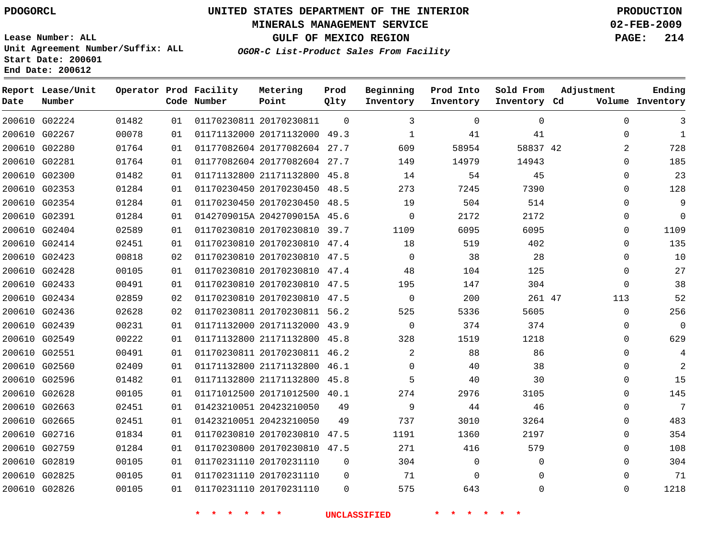#### **MINERALS MANAGEMENT SERVICE 02-FEB-2009**

**GULF OF MEXICO REGION PAGE: 214**

**Lease Number: ALL Unit Agreement Number/Suffix: ALL Start Date: 200601 End Date: 200612**

**OGOR-C List-Product Sales From Facility**

| Date | Report Lease/Unit<br>Number |       |    | Operator Prod Facility<br>Code Number | Metering<br>Point            | Prod<br>Qlty | Beginning<br>Inventory | Prod Into<br>Inventory | Sold From<br>Inventory Cd | Adjustment | Ending<br>Volume Inventory |
|------|-----------------------------|-------|----|---------------------------------------|------------------------------|--------------|------------------------|------------------------|---------------------------|------------|----------------------------|
|      | 200610 G02224               | 01482 | 01 |                                       | 01170230811 20170230811      | $\Omega$     | 3                      | 0                      | 0                         |            | $\Omega$<br>3              |
|      | 200610 G02267               | 00078 | 01 |                                       | 01171132000 20171132000 49.3 |              | $\mathbf 1$            | 41                     | 41                        |            | $\mathbf{1}$<br>$\Omega$   |
|      | 200610 G02280               | 01764 | 01 |                                       | 01177082604 20177082604 27.7 |              | 609                    | 58954                  | 58837 42                  |            | 728<br>2                   |
|      | 200610 G02281               | 01764 | 01 |                                       | 01177082604 20177082604 27.7 |              | 149                    | 14979                  | 14943                     |            | 185<br>0                   |
|      | 200610 G02300               | 01482 | 01 |                                       | 01171132800 21171132800 45.8 |              | 14                     | 54                     | 45                        |            | 23<br>$\Omega$             |
|      | 200610 G02353               | 01284 | 01 |                                       | 01170230450 20170230450 48.5 |              | 273                    | 7245                   | 7390                      |            | 128<br>$\Omega$            |
|      | 200610 G02354               | 01284 | 01 |                                       | 01170230450 20170230450 48.5 |              | 19                     | 504                    | 514                       |            | 9<br>$\Omega$              |
|      | 200610 G02391               | 01284 | 01 |                                       | 0142709015A 2042709015A 45.6 |              | $\mathbf 0$            | 2172                   | 2172                      |            | $\mathbf 0$<br>$\Omega$    |
|      | 200610 G02404               | 02589 | 01 |                                       | 01170230810 20170230810 39.7 |              | 1109                   | 6095                   | 6095                      |            | 1109<br>$\Omega$           |
|      | 200610 G02414               | 02451 | 01 |                                       | 01170230810 20170230810 47.4 |              | 18                     | 519                    | 402                       |            | 135<br>$\Omega$            |
|      | 200610 G02423               | 00818 | 02 |                                       | 01170230810 20170230810 47.5 |              | $\Omega$               | 38                     | 28                        |            | 10<br>$\Omega$             |
|      | 200610 G02428               | 00105 | 01 |                                       | 01170230810 20170230810 47.4 |              | 48                     | 104                    | 125                       |            | 27<br>$\Omega$             |
|      | 200610 G02433               | 00491 | 01 |                                       | 01170230810 20170230810 47.5 |              | 195                    | 147                    | 304                       |            | 38<br>$\Omega$             |
|      | 200610 G02434               | 02859 | 02 |                                       | 01170230810 20170230810 47.5 |              | $\Omega$               | 200                    | 261 47                    |            | 52<br>113                  |
|      | 200610 G02436               | 02628 | 02 |                                       | 01170230811 20170230811 56.2 |              | 525                    | 5336                   | 5605                      |            | 256<br>$\Omega$            |
|      | 200610 G02439               | 00231 | 01 |                                       | 01171132000 20171132000 43.9 |              | 0                      | 374                    | 374                       |            | 0<br>0                     |
|      | 200610 G02549               | 00222 | 01 |                                       | 01171132800 21171132800 45.8 |              | 328                    | 1519                   | 1218                      |            | 629<br>$\Omega$            |
|      | 200610 G02551               | 00491 | 01 |                                       | 01170230811 20170230811 46.2 |              | $\overline{a}$         | 88                     | 86                        |            | $\Omega$<br>4              |
|      | 200610 G02560               | 02409 | 01 |                                       | 01171132800 21171132800 46.1 |              | $\Omega$               | 40                     | 38                        |            | $\overline{2}$<br>$\Omega$ |
|      | 200610 G02596               | 01482 | 01 |                                       | 01171132800 21171132800 45.8 |              | 5                      | 40                     | 30                        |            | 15<br>0                    |
|      | 200610 G02628               | 00105 | 01 |                                       | 01171012500 20171012500 40.1 |              | 274                    | 2976                   | 3105                      |            | 145<br>$\Omega$            |
|      | 200610 G02663               | 02451 | 01 |                                       | 01423210051 20423210050      | 49           | 9                      | 44                     | 46                        |            | 7<br>$\Omega$              |
|      | 200610 G02665               | 02451 | 01 |                                       | 01423210051 20423210050      | 49           | 737                    | 3010                   | 3264                      |            | 483<br>$\Omega$            |
|      | 200610 G02716               | 01834 | 01 |                                       | 01170230810 20170230810      | 47.5         | 1191                   | 1360                   | 2197                      |            | 354<br>0                   |
|      | 200610 G02759               | 01284 | 01 |                                       | 01170230800 20170230810 47.5 |              | 271                    | 416                    | 579                       |            | 108<br>0                   |
|      | 200610 G02819               | 00105 | 01 |                                       | 01170231110 20170231110      | $\mathbf 0$  | 304                    | 0                      | 0                         |            | 304<br>$\Omega$            |
|      | 200610 G02825               | 00105 | 01 |                                       | 01170231110 20170231110      | $\Omega$     | 71                     | 0                      | $\Omega$                  |            | 71<br>$\Omega$             |
|      | 200610 G02826               | 00105 | 01 |                                       | 01170231110 20170231110      | $\Omega$     | 575                    | 643                    | $\Omega$                  |            | 1218<br>$\Omega$           |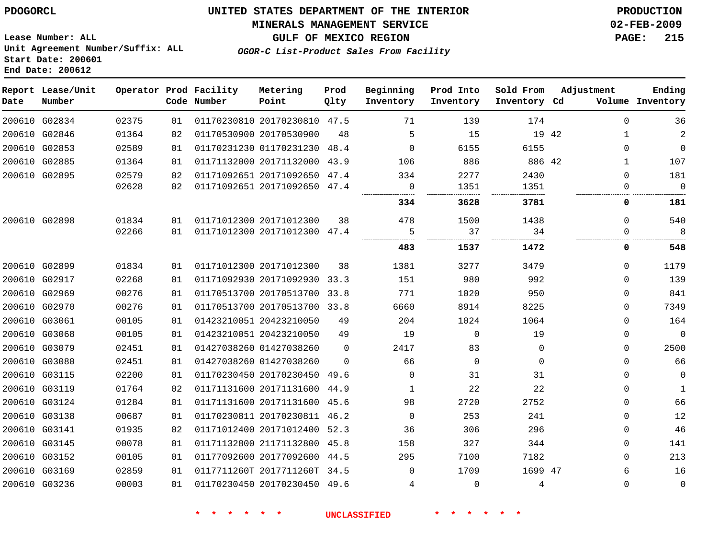#### **MINERALS MANAGEMENT SERVICE 02-FEB-2009**

**GULF OF MEXICO REGION PAGE: 215**

**Lease Number: ALL Unit Agreement Number/Suffix: ALL Start Date: 200601 End Date: 200612**

**OGOR-C List-Product Sales From Facility**

| Date          | Report Lease/Unit<br>Number |       |    | Operator Prod Facility<br>Code Number | Metering<br>Point            | Prod<br>Qlty | Beginning<br>Inventory | Prod Into<br>Inventory | Sold From<br>Inventory Cd | Adjustment            | Ending<br>Volume Inventory |
|---------------|-----------------------------|-------|----|---------------------------------------|------------------------------|--------------|------------------------|------------------------|---------------------------|-----------------------|----------------------------|
|               | 200610 G02834               | 02375 | 01 |                                       | 01170230810 20170230810 47.5 |              | 71                     | 139                    | 174                       | $\mathbf 0$           | 36                         |
|               | 200610 G02846               | 01364 | 02 |                                       | 01170530900 20170530900      | 48           | 5                      | 15                     |                           | 19 42<br>$\mathbf{1}$ | $\overline{a}$             |
|               | 200610 G02853               | 02589 | 01 |                                       | 01170231230 01170231230 48.4 |              | $\Omega$               | 6155                   | 6155                      | $\Omega$              | $\mathbf{0}$               |
|               | 200610 G02885               | 01364 | 01 |                                       | 01171132000 20171132000 43.9 |              | 106                    | 886                    | 886 42                    | 1                     | 107                        |
|               | 200610 G02895               | 02579 | 02 |                                       | 01171092651 20171092650 47.4 |              | 334                    | 2277                   | 2430                      | $\Omega$              | 181                        |
|               |                             | 02628 | 02 |                                       | 01171092651 20171092650 47.4 |              | $\mathbf 0$            | 1351                   | 1351                      | $\mathbf 0$           | $\overline{0}$             |
|               |                             |       |    |                                       |                              |              | 334                    | 3628                   | 3781                      | 0                     | 181                        |
|               | 200610 G02898               | 01834 | 01 |                                       | 01171012300 20171012300      | 38           | 478                    | 1500                   | 1438                      | $\Omega$              | 540                        |
|               |                             | 02266 | 01 |                                       | 01171012300 20171012300 47.4 |              | 5                      | 37                     | 34                        | $\Omega$              | 8                          |
|               |                             |       |    |                                       |                              |              | 483                    | 1537                   | 1472                      | 0                     | 548                        |
| 200610 G02899 |                             | 01834 | 01 |                                       | 01171012300 20171012300      | 38           | 1381                   | 3277                   | 3479                      | $\Omega$              | 1179                       |
|               | 200610 G02917               | 02268 | 01 |                                       | 01171092930 20171092930 33.3 |              | 151                    | 980                    | 992                       | $\Omega$              | 139                        |
|               | 200610 G02969               | 00276 | 01 |                                       | 01170513700 20170513700 33.8 |              | 771                    | 1020                   | 950                       | $\mathbf 0$           | 841                        |
|               | 200610 G02970               | 00276 | 01 |                                       | 01170513700 20170513700 33.8 |              | 6660                   | 8914                   | 8225                      | $\mathbf 0$           | 7349                       |
|               | 200610 G03061               | 00105 | 01 |                                       | 01423210051 20423210050      | 49           | 204                    | 1024                   | 1064                      | $\Omega$              | 164                        |
|               | 200610 G03068               | 00105 | 01 |                                       | 01423210051 20423210050      | 49           | 19                     | $\mathbf{0}$           | 19                        | $\mathbf 0$           | $\overline{0}$             |
|               | 200610 G03079               | 02451 | 01 |                                       | 01427038260 01427038260      | 0            | 2417                   | 83                     | $\mathbf{0}$              | $\mathbf 0$           | 2500                       |
|               | 200610 G03080               | 02451 | 01 |                                       | 01427038260 01427038260      | $\Omega$     | 66                     | $\Omega$               | $\Omega$                  | $\Omega$              | 66                         |
|               | 200610 G03115               | 02200 | 01 |                                       | 01170230450 20170230450 49.6 |              | $\Omega$               | 31                     | 31                        | $\Omega$              | $\mathbf 0$                |
|               | 200610 G03119               | 01764 | 02 |                                       | 01171131600 20171131600 44.9 |              | 1                      | 22                     | 22                        | $\mathbf{0}$          | 1                          |
|               | 200610 G03124               | 01284 | 01 |                                       | 01171131600 20171131600 45.6 |              | 98                     | 2720                   | 2752                      | $\Omega$              | 66                         |
|               | 200610 G03138               | 00687 | 01 |                                       | 01170230811 20170230811 46.2 |              | $\Omega$               | 253                    | 241                       | $\mathbf{0}$          | 12                         |
|               | 200610 G03141               | 01935 | 02 |                                       | 01171012400 20171012400 52.3 |              | 36                     | 306                    | 296                       | $\mathbf{0}$          | 46                         |
|               | 200610 G03145               | 00078 | 01 |                                       | 01171132800 21171132800 45.8 |              | 158                    | 327                    | 344                       | $\Omega$              | 141                        |
|               | 200610 G03152               | 00105 | 01 |                                       | 01177092600 20177092600 44.5 |              | 295                    | 7100                   | 7182                      | $\Omega$              | 213                        |
|               | 200610 G03169               | 02859 | 01 |                                       | 0117711260T 2017711260T 34.5 |              | $\Omega$               | 1709                   | 1699 47                   | 6                     | 16                         |
|               | 200610 G03236               | 00003 | 01 |                                       | 01170230450 20170230450 49.6 |              | 4                      | $\Omega$               | 4                         | $\mathbf 0$           | $\mathbf 0$                |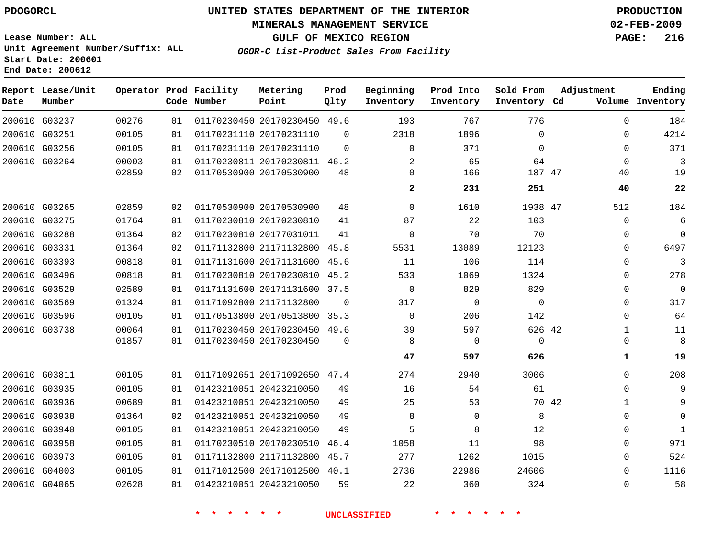#### **MINERALS MANAGEMENT SERVICE 02-FEB-2009**

**GULF OF MEXICO REGION PAGE: 216**

**Lease Number: ALL Unit Agreement Number/Suffix: ALL Start Date: 200601 End Date: 200612**

**OGOR-C List-Product Sales From Facility**

| Date | Report Lease/Unit<br>Number |       |    | Operator Prod Facility<br>Code Number | Metering<br>Point            | Prod<br>Qlty | Beginning<br>Inventory | Prod Into<br>Inventory | Sold From<br>Inventory Cd |       | Adjustment   | Ending<br>Volume Inventory |
|------|-----------------------------|-------|----|---------------------------------------|------------------------------|--------------|------------------------|------------------------|---------------------------|-------|--------------|----------------------------|
|      | 200610 G03237               | 00276 | 01 |                                       | 01170230450 20170230450      | 49.6         | 193                    | 767                    | 776                       |       | $\Omega$     | 184                        |
|      | 200610 G03251               | 00105 | 01 |                                       | 01170231110 20170231110      | $\Omega$     | 2318                   | 1896                   | 0                         |       | 0            | 4214                       |
|      | 200610 G03256               | 00105 | 01 |                                       | 01170231110 20170231110      | $\Omega$     | $\Omega$               | 371                    | 0                         |       | 0            | 371                        |
|      | 200610 G03264               | 00003 | 01 |                                       | 01170230811 20170230811      | 46.2         | $\overline{2}$         | 65                     | 64                        |       | $\Omega$     | 3                          |
|      |                             | 02859 | 02 |                                       | 01170530900 20170530900      | 48           | $\Omega$               | 166                    | 187 47                    |       | 40           | 19                         |
|      |                             |       |    |                                       |                              |              | 2                      | 231                    | 251                       |       | 40           | 22                         |
|      | 200610 G03265               | 02859 | 02 |                                       | 01170530900 20170530900      | 48           | $\Omega$               | 1610                   | 1938 47                   |       | 512          | 184                        |
|      | 200610 G03275               | 01764 | 01 |                                       | 01170230810 20170230810      | 41           | 87                     | 22                     | 103                       |       | 0            | 6                          |
|      | 200610 G03288               | 01364 | 02 |                                       | 01170230810 20177031011      | 41           | $\Omega$               | 70                     | 70                        |       | $\mathbf{0}$ | $\Omega$                   |
|      | 200610 G03331               | 01364 | 02 |                                       | 01171132800 21171132800      | 45.8         | 5531                   | 13089                  | 12123                     |       | $\mathbf{0}$ | 6497                       |
|      | 200610 G03393               | 00818 | 01 |                                       | 01171131600 20171131600      | 45.6         | 11                     | 106                    | 114                       |       | 0            | 3                          |
|      | 200610 G03496               | 00818 | 01 |                                       | 01170230810 20170230810      | 45.2         | 533                    | 1069                   | 1324                      |       | 0            | 278                        |
|      | 200610 G03529               | 02589 | 01 |                                       | 01171131600 20171131600      | 37.5         | $\Omega$               | 829                    | 829                       |       | $\Omega$     | $\mathbf{0}$               |
|      | 200610 G03569               | 01324 | 01 |                                       | 01171092800 21171132800      | $\Omega$     | 317                    | $\mathbf 0$            | 0                         |       | $\Omega$     | 317                        |
|      | 200610 G03596               | 00105 | 01 |                                       | 01170513800 20170513800      | 35.3         | $\Omega$               | 206                    | 142                       |       | $\Omega$     | 64                         |
|      | 200610 G03738               | 00064 | 01 |                                       | 01170230450 20170230450      | 49.6         | 39                     | 597                    | 626 42                    |       | $\mathbf{1}$ | 11                         |
|      |                             | 01857 | 01 |                                       | 01170230450 20170230450      | $\Omega$     | 8                      | 0                      | 0                         |       | 0            | 8                          |
|      |                             |       |    |                                       |                              |              | 47                     | 597                    | 626                       |       | 1            | 19                         |
|      | 200610 G03811               | 00105 | 01 |                                       | 01171092651 20171092650 47.4 |              | 274                    | 2940                   | 3006                      |       | $\Omega$     | 208                        |
|      | 200610 G03935               | 00105 | 01 |                                       | 01423210051 20423210050      | 49           | 16                     | 54                     | 61                        |       | $\mathbf{0}$ | 9                          |
|      | 200610 G03936               | 00689 | 01 |                                       | 01423210051 20423210050      | 49           | 25                     | 53                     |                           | 70 42 | $\mathbf{1}$ | 9                          |
|      | 200610 G03938               | 01364 | 02 |                                       | 01423210051 20423210050      | 49           | 8                      | 0                      | 8                         |       | 0            | $\Omega$                   |
|      | 200610 G03940               | 00105 | 01 |                                       | 01423210051 20423210050      | 49           | 5                      | 8                      | 12                        |       | $\Omega$     | $\mathbf{1}$               |
|      | 200610 G03958               | 00105 | 01 |                                       | 01170230510 20170230510      | 46.4         | 1058                   | 11                     | 98                        |       | $\mathbf{0}$ | 971                        |
|      | 200610 G03973               | 00105 | 01 |                                       | 01171132800 21171132800      | 45.7         | 277                    | 1262                   | 1015                      |       | 0            | 524                        |
|      | 200610 G04003               | 00105 | 01 |                                       | 01171012500 20171012500      | 40.1         | 2736                   | 22986                  | 24606                     |       | $\mathbf{0}$ | 1116                       |
|      | 200610 G04065               | 02628 | 01 |                                       | 01423210051 20423210050      | 59           | 22                     | 360                    | 324                       |       | 0            | 58                         |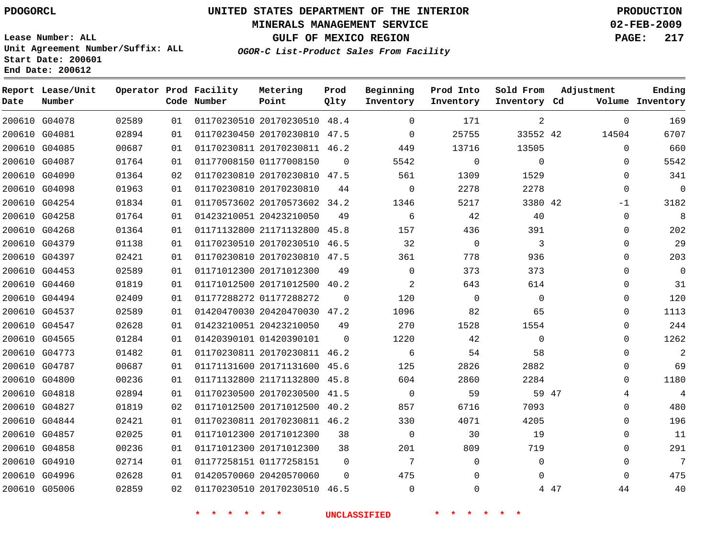### **MINERALS MANAGEMENT SERVICE 02-FEB-2009**

**GULF OF MEXICO REGION PAGE: 217**

**Lease Number: ALL Unit Agreement Number/Suffix: ALL Start Date: 200601 End Date: 200612**

**OGOR-C List-Product Sales From Facility**

| Date | Report Lease/Unit<br>Number |       |    | Operator Prod Facility<br>Code Number | Metering<br>Point            | Prod<br>Qlty | Beginning<br>Inventory | Prod Into<br>Inventory | Sold From<br>Inventory Cd | Adjustment  | Ending<br>Volume Inventory |
|------|-----------------------------|-------|----|---------------------------------------|------------------------------|--------------|------------------------|------------------------|---------------------------|-------------|----------------------------|
|      | 200610 G04078               | 02589 | 01 |                                       | 01170230510 20170230510 48.4 |              | $\Omega$               | 171                    | 2                         | $\mathbf 0$ | 169                        |
|      | 200610 G04081               | 02894 | 01 |                                       | 01170230450 20170230810 47.5 |              | $\mathbf 0$            | 25755                  | 33552 42                  | 14504       | 6707                       |
|      | 200610 G04085               | 00687 | 01 |                                       | 01170230811 20170230811 46.2 |              | 449                    | 13716                  | 13505                     | $\Omega$    | 660                        |
|      | 200610 G04087               | 01764 | 01 |                                       | 01177008150 01177008150      | $\Omega$     | 5542                   | $\mathbf 0$            | $\Omega$                  | $\Omega$    | 5542                       |
|      | 200610 G04090               | 01364 | 02 |                                       | 01170230810 20170230810 47.5 |              | 561                    | 1309                   | 1529                      | 0           | 341                        |
|      | 200610 G04098               | 01963 | 01 |                                       | 01170230810 20170230810      | 44           | 0                      | 2278                   | 2278                      | 0           | $\mathbf 0$                |
|      | 200610 G04254               | 01834 | 01 |                                       | 01170573602 20170573602 34.2 |              | 1346                   | 5217                   | 3380 42                   | $-1$        | 3182                       |
|      | 200610 G04258               | 01764 | 01 |                                       | 01423210051 20423210050      | 49           | 6                      | 42                     | 40                        | 0           | 8                          |
|      | 200610 G04268               | 01364 | 01 |                                       | 01171132800 21171132800 45.8 |              | 157                    | 436                    | 391                       | $\Omega$    | 202                        |
|      | 200610 G04379               | 01138 | 01 |                                       | 01170230510 20170230510 46.5 |              | 32                     | $\mathbf 0$            | 3                         | $\Omega$    | 29                         |
|      | 200610 G04397               | 02421 | 01 |                                       | 01170230810 20170230810 47.5 |              | 361                    | 778                    | 936                       | 0           | 203                        |
|      | 200610 G04453               | 02589 | 01 |                                       | 01171012300 20171012300      | 49           | $\mathbf 0$            | 373                    | 373                       | 0           | $\mathbf 0$                |
|      | 200610 G04460               | 01819 | 01 |                                       | 01171012500 20171012500 40.2 |              | $\overline{2}$         | 643                    | 614                       | 0           | 31                         |
|      | 200610 G04494               | 02409 | 01 |                                       | 01177288272 01177288272      | $\Omega$     | 120                    | $\mathbf 0$            | $\mathbf 0$               | 0           | 120                        |
|      | 200610 G04537               | 02589 | 01 |                                       | 01420470030 20420470030 47.2 |              | 1096                   | 82                     | 65                        | $\Omega$    | 1113                       |
|      | 200610 G04547               | 02628 | 01 |                                       | 01423210051 20423210050      | 49           | 270                    | 1528                   | 1554                      | $\Omega$    | 244                        |
|      | 200610 G04565               | 01284 | 01 |                                       | 01420390101 01420390101      | $\mathbf 0$  | 1220                   | 42                     | $\mathbf 0$               | $\Omega$    | 1262                       |
|      | 200610 G04773               | 01482 | 01 |                                       | 01170230811 20170230811 46.2 |              | 6                      | 54                     | 58                        | 0           | 2                          |
|      | 200610 G04787               | 00687 | 01 |                                       | 01171131600 20171131600 45.6 |              | 125                    | 2826                   | 2882                      | 0           | 69                         |
|      | 200610 G04800               | 00236 | 01 |                                       | 01171132800 21171132800      | 45.8         | 604                    | 2860                   | 2284                      | $\Omega$    | 1180                       |
|      | 200610 G04818               | 02894 | 01 |                                       | 01170230500 20170230500 41.5 |              | $\Omega$               | 59                     |                           | 59 47<br>4  | 4                          |
|      | 200610 G04827               | 01819 | 02 |                                       | 01171012500 20171012500 40.2 |              | 857                    | 6716                   | 7093                      | $\Omega$    | 480                        |
|      | 200610 G04844               | 02421 | 01 |                                       | 01170230811 20170230811 46.2 |              | 330                    | 4071                   | 4205                      | 0           | 196                        |
|      | 200610 G04857               | 02025 | 01 |                                       | 01171012300 20171012300      | 38           | $\mathbf 0$            | 30                     | 19                        | 0           | 11                         |
|      | 200610 G04858               | 00236 | 01 |                                       | 01171012300 20171012300      | 38           | 201                    | 809                    | 719                       | $\Omega$    | 291                        |
|      | 200610 G04910               | 02714 | 01 |                                       | 01177258151 01177258151      | $\Omega$     | 7                      | 0                      | $\Omega$                  | $\mathbf 0$ | 7                          |
|      | 200610 G04996               | 02628 | 01 |                                       | 01420570060 20420570060      | $\Omega$     | 475                    | $\Omega$               | $\Omega$                  | $\Omega$    | 475                        |
|      | 200610 G05006               | 02859 | 02 |                                       | 01170230510 20170230510 46.5 |              | $\Omega$               | $\Omega$               |                           | 4 47<br>44  | 40                         |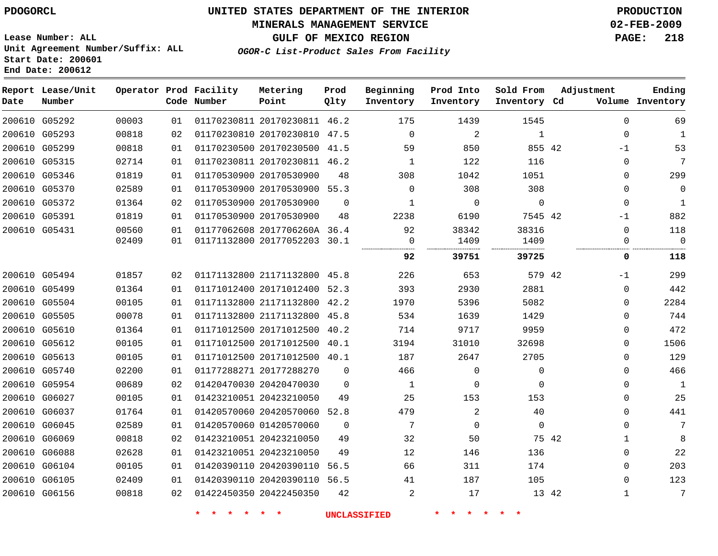### **MINERALS MANAGEMENT SERVICE 02-FEB-2009**

**GULF OF MEXICO REGION PAGE: 218**

**Lease Number: ALL Unit Agreement Number/Suffix: ALL Start Date: 200601 End Date: 200612**

**OGOR-C List-Product Sales From Facility**

| Date | Report Lease/Unit<br>Number |       |    | Operator Prod Facility<br>Code Number | Metering<br>Point            | Prod<br>Qlty | Beginning<br>Inventory | Prod Into<br>Inventory | Sold From<br>Inventory Cd | Adjustment   | Ending<br>Volume Inventory |
|------|-----------------------------|-------|----|---------------------------------------|------------------------------|--------------|------------------------|------------------------|---------------------------|--------------|----------------------------|
|      | 200610 G05292               | 00003 | 01 |                                       | 01170230811 20170230811 46.2 |              | 175                    | 1439                   | 1545                      | $\Omega$     | 69                         |
|      | 200610 G05293               | 00818 | 02 |                                       | 01170230810 20170230810 47.5 |              | $\Omega$               | 2                      | $\mathbf{1}$              | $\mathbf 0$  | 1                          |
|      | 200610 G05299               | 00818 | 01 |                                       | 01170230500 20170230500 41.5 |              | 59                     | 850                    | 855 42                    | -1           | 53                         |
|      | 200610 G05315               | 02714 | 01 |                                       | 01170230811 20170230811 46.2 |              | $\mathbf 1$            | 122                    | 116                       | 0            | 7                          |
|      | 200610 G05346               | 01819 | 01 |                                       | 01170530900 20170530900      | 48           | 308                    | 1042                   | 1051                      | $\Omega$     | 299                        |
|      | 200610 G05370               | 02589 | 01 |                                       | 01170530900 20170530900 55.3 |              | $\Omega$               | 308                    | 308                       | $\Omega$     | $\Omega$                   |
|      | 200610 G05372               | 01364 | 02 |                                       | 01170530900 20170530900      | $\Omega$     | $\mathbf{1}$           | $\Omega$               | $\Omega$                  | $\Omega$     | $\mathbf{1}$               |
|      | 200610 G05391               | 01819 | 01 |                                       | 01170530900 20170530900      | 48           | 2238                   | 6190                   | 7545 42                   | $-1$         | 882                        |
|      | 200610 G05431               | 00560 | 01 |                                       | 01177062608 2017706260A 36.4 |              | 92                     | 38342                  | 38316                     | $\mathbf 0$  | 118                        |
|      |                             | 02409 | 01 |                                       | 01171132800 20177052203 30.1 |              | 0                      | 1409                   | 1409                      | $\mathbf 0$  | $\Omega$                   |
|      |                             |       |    |                                       |                              |              | 92                     | 39751                  | 39725                     | 0            | 118                        |
|      | 200610 G05494               | 01857 | 02 |                                       | 01171132800 21171132800 45.8 |              | 226                    | 653                    | 579 42                    | $-1$         | 299                        |
|      | 200610 G05499               | 01364 | 01 |                                       | 01171012400 20171012400 52.3 |              | 393                    | 2930                   | 2881                      | $\mathbf 0$  | 442                        |
|      | 200610 G05504               | 00105 | 01 |                                       | 01171132800 21171132800 42.2 |              | 1970                   | 5396                   | 5082                      | $\mathbf 0$  | 2284                       |
|      | 200610 G05505               | 00078 | 01 |                                       | 01171132800 21171132800      | 45.8         | 534                    | 1639                   | 1429                      | $\mathbf{0}$ | 744                        |
|      | 200610 G05610               | 01364 | 01 |                                       | 01171012500 20171012500      | 40.2         | 714                    | 9717                   | 9959                      | 0            | 472                        |
|      | 200610 G05612               | 00105 | 01 |                                       | 01171012500 20171012500      | 40.1         | 3194                   | 31010                  | 32698                     | $\Omega$     | 1506                       |
|      | 200610 G05613               | 00105 | 01 |                                       | 01171012500 20171012500 40.1 |              | 187                    | 2647                   | 2705                      | $\Omega$     | 129                        |
|      | 200610 G05740               | 02200 | 01 |                                       | 01177288271 20177288270      | 0            | 466                    | $\mathbf 0$            | $\Omega$                  | $\Omega$     | 466                        |
|      | 200610 G05954               | 00689 | 02 |                                       | 01420470030 20420470030      | $\Omega$     | 1                      | 0                      | $\Omega$                  | $\Omega$     | $\mathbf{1}$               |
|      | 200610 G06027               | 00105 | 01 |                                       | 01423210051 20423210050      | 49           | 25                     | 153                    | 153                       | $\Omega$     | 25                         |
|      | 200610 G06037               | 01764 | 01 |                                       | 01420570060 20420570060      | 52.8         | 479                    | 2                      | 40                        | $\Omega$     | 441                        |
|      | 200610 G06045               | 02589 | 01 |                                       | 01420570060 01420570060      | $\Omega$     | 7                      | $\mathbf 0$            | $\mathbf 0$               | $\Omega$     | 7                          |
|      | 200610 G06069               | 00818 | 02 |                                       | 01423210051 20423210050      | 49           | 32                     | 50                     | 75 42                     | 1            | 8                          |
|      | 200610 G06088               | 02628 | 01 |                                       | 01423210051 20423210050      | 49           | 12                     | 146                    | 136                       | 0            | 22                         |
|      | 200610 G06104               | 00105 | 01 |                                       | 01420390110 20420390110      | 56.5         | 66                     | 311                    | 174                       | $\Omega$     | 203                        |
|      | 200610 G06105               | 02409 | 01 |                                       | 01420390110 20420390110 56.5 |              | 41                     | 187                    | 105                       | $\Omega$     | 123                        |
|      | 200610 G06156               | 00818 | 02 |                                       | 01422450350 20422450350      | 42           | $\overline{2}$         | 17                     | 13 42                     | 1            | 7                          |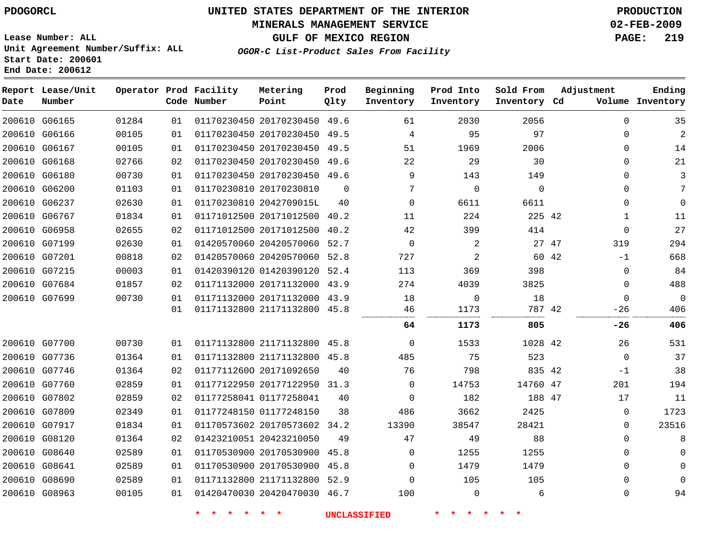### **MINERALS MANAGEMENT SERVICE 02-FEB-2009**

**GULF OF MEXICO REGION PAGE: 219 OGOR-C List-Product Sales From Facility**

**Lease Number: ALL Unit Agreement Number/Suffix: ALL Start Date: 200601 End Date: 200612**

| Date          | Report Lease/Unit<br>Number |       |    | Operator Prod Facility<br>Code Number | Metering<br>Point            | Prod<br>Qlty   | Beginning<br>Inventory | Prod Into<br>Inventory | Sold From<br>Inventory Cd | Adjustment   | Ending<br>Volume Inventory |
|---------------|-----------------------------|-------|----|---------------------------------------|------------------------------|----------------|------------------------|------------------------|---------------------------|--------------|----------------------------|
|               | 200610 G06165               | 01284 | 01 |                                       | 01170230450 20170230450 49.6 |                | 61                     | 2030                   | 2056                      | $\Omega$     | 35                         |
|               | 200610 G06166               | 00105 | 01 |                                       | 01170230450 20170230450 49.5 |                | 4                      | 95                     | 97                        | 0            | $\overline{c}$             |
|               | 200610 G06167               | 00105 | 01 |                                       | 01170230450 20170230450 49.5 |                | 51                     | 1969                   | 2006                      | $\Omega$     | 14                         |
|               | 200610 G06168               | 02766 | 02 |                                       | 01170230450 20170230450      | 49.6           | 22                     | 29                     | 30                        | $\Omega$     | 21                         |
|               | 200610 G06180               | 00730 | 01 |                                       | 01170230450 20170230450 49.6 |                | 9                      | 143                    | 149                       | 0            | $\mathfrak{Z}$             |
|               | 200610 G06200               | 01103 | 01 |                                       | 01170230810 20170230810      | $\overline{0}$ | 7                      | $\mathbf 0$            | 0                         | 0            | 7                          |
|               | 200610 G06237               | 02630 | 01 |                                       | 01170230810 2042709015L      | 40             | $\mathbf 0$            | 6611                   | 6611                      | 0            | 0                          |
| 200610        | G06767                      | 01834 | 01 |                                       | 01171012500 20171012500      | 40.2           | 11                     | 224                    | 225 42                    | $\mathbf{1}$ | 11                         |
|               | 200610 G06958               | 02655 | 02 |                                       | 01171012500 20171012500      | 40.2           | 42                     | 399                    | 414                       | 0            | 27                         |
|               | 200610 G07199               | 02630 | 01 |                                       | 01420570060 20420570060 52.7 |                | 0                      | 2                      | 27 47                     | 319          | 294                        |
|               | 200610 G07201               | 00818 | 02 |                                       | 01420570060 20420570060 52.8 |                | 727                    | 2                      | 60 42                     | $-1$         | 668                        |
|               | 200610 G07215               | 00003 | 01 |                                       | 01420390120 01420390120 52.4 |                | 113                    | 369                    | 398                       | 0            | 84                         |
|               | 200610 G07684               | 01857 | 02 |                                       | 01171132000 20171132000      | 43.9           | 274                    | 4039                   | 3825                      | 0            | 488                        |
| 200610 G07699 |                             | 00730 | 01 |                                       | 01171132000 20171132000 43.9 |                | 18                     | 0                      | 18                        | 0            | $\mathbf 0$                |
|               |                             |       | 01 |                                       | 01171132800 21171132800 45.8 |                | 46                     | 1173                   | 787 42                    | $-26$        | 406                        |
|               |                             |       |    |                                       |                              |                | 64                     | 1173                   | 805                       | -26          | 406                        |
|               | 200610 G07700               | 00730 | 01 |                                       | 01171132800 21171132800 45.8 |                | 0                      | 1533                   | 1028 42                   | 26           | 531                        |
|               | 200610 G07736               | 01364 | 01 |                                       | 01171132800 21171132800 45.8 |                | 485                    | 75                     | 523                       | 0            | 37                         |
|               | 200610 G07746               | 01364 | 02 |                                       | 01177112600 20171092650      | 40             | 76                     | 798                    | 835 42                    | $-1$         | 38                         |
|               | 200610 G07760               | 02859 | 01 |                                       | 01177122950 20177122950      | 31.3           | $\mathbf 0$            | 14753                  | 14760 47                  | 201          | 194                        |
|               | 200610 G07802               | 02859 | 02 |                                       | 01177258041 01177258041      | 40             | $\mathbf 0$            | 182                    | 188 47                    | 17           | 11                         |
|               | 200610 G07809               | 02349 | 01 |                                       | 01177248150 01177248150      | 38             | 486                    | 3662                   | 2425                      | 0            | 1723                       |
|               | 200610 G07917               | 01834 | 01 |                                       | 01170573602 20170573602 34.2 |                | 13390                  | 38547                  | 28421                     | 0            | 23516                      |
|               | 200610 G08120               | 01364 | 02 |                                       | 01423210051 20423210050      | 49             | 47                     | 49                     | 88                        | 0            | 8                          |
|               | 200610 G08640               | 02589 | 01 |                                       | 01170530900 20170530900      | 45.8           | 0                      | 1255                   | 1255                      | 0            | 0                          |
| 200610 G08641 |                             | 02589 | 01 |                                       | 01170530900 20170530900 45.8 |                | $\Omega$               | 1479                   | 1479                      | $\Omega$     | $\mathbf 0$                |
| 200610 G08690 |                             | 02589 | 01 |                                       | 01171132800 21171132800 52.9 |                | $\Omega$               | 105                    | 105                       | $\Omega$     | $\Omega$                   |
| 200610 G08963 |                             | 00105 | 01 |                                       | 01420470030 20420470030 46.7 |                | 100                    | $\mathbf 0$            | 6                         | 0            | 94                         |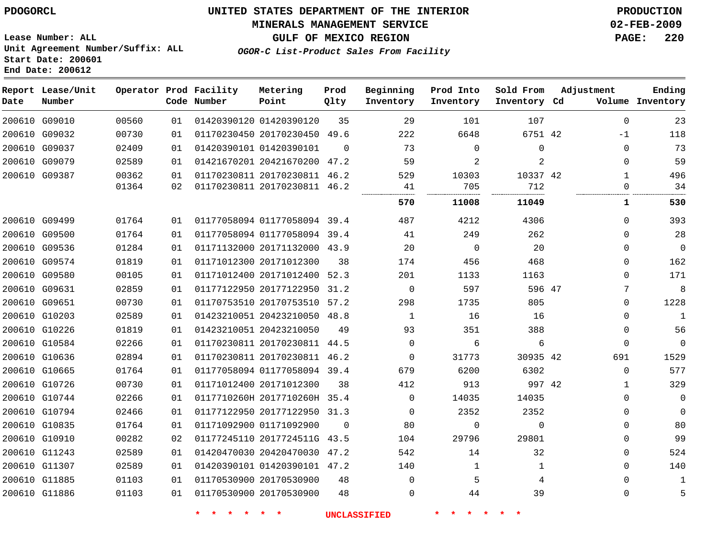### **MINERALS MANAGEMENT SERVICE 02-FEB-2009**

**GULF OF MEXICO REGION PAGE: 220**

**Lease Number: ALL Unit Agreement Number/Suffix: ALL Start Date: 200601 End Date: 200612**

**OGOR-C List-Product Sales From Facility**

| Date          | Report Lease/Unit<br>Number |       |    | Operator Prod Facility<br>Code Number | Metering<br>Point            | Prod<br>Qlty | Beginning<br>Inventory | Prod Into<br>Inventory | Sold From<br>Inventory Cd | Adjustment   | Ending<br>Volume Inventory |
|---------------|-----------------------------|-------|----|---------------------------------------|------------------------------|--------------|------------------------|------------------------|---------------------------|--------------|----------------------------|
| 200610 G09010 |                             | 00560 | 01 |                                       | 01420390120 01420390120      | 35           | 29                     | 101                    | 107                       | $\Omega$     | 23                         |
| 200610 G09032 |                             | 00730 | 01 |                                       | 01170230450 20170230450      | 49.6         | 222                    | 6648                   | 6751 42                   | $-1$         | 118                        |
| 200610 G09037 |                             | 02409 | 01 |                                       | 01420390101 01420390101      | $\Omega$     | 73                     | $\mathbf 0$            | 0                         | $\mathbf 0$  | 73                         |
| 200610 G09079 |                             | 02589 | 01 |                                       | 01421670201 20421670200      | 47.2         | 59                     | 2                      | 2                         | $\Omega$     | 59                         |
| 200610 G09387 |                             | 00362 | 01 |                                       | 01170230811 20170230811      | 46.2         | 529                    | 10303                  | 10337 42                  | 1            | 496                        |
|               |                             | 01364 | 02 |                                       | 01170230811 20170230811 46.2 |              | 41                     | 705                    | 712                       | $\Omega$     | 34                         |
|               |                             |       |    |                                       |                              |              | 570                    | 11008                  | 11049                     | 1            | 530                        |
| 200610 G09499 |                             | 01764 | 01 |                                       | 01177058094 01177058094 39.4 |              | 487                    | 4212                   | 4306                      | $\Omega$     | 393                        |
| 200610 G09500 |                             | 01764 | 01 |                                       | 01177058094 01177058094 39.4 |              | 41                     | 249                    | 262                       | $\Omega$     | 28                         |
| 200610 G09536 |                             | 01284 | 01 |                                       | 01171132000 20171132000 43.9 |              | 20                     | $\mathbf 0$            | 20                        | $\Omega$     | $\mathbf 0$                |
| 200610 G09574 |                             | 01819 | 01 |                                       | 01171012300 20171012300      | 38           | 174                    | 456                    | 468                       | 0            | 162                        |
| 200610 G09580 |                             | 00105 | 01 |                                       | 01171012400 20171012400 52.3 |              | 201                    | 1133                   | 1163                      | 0            | 171                        |
| 200610 G09631 |                             | 02859 | 01 |                                       | 01177122950 20177122950 31.2 |              | $\Omega$               | 597                    | 596 47                    | 7            | 8                          |
| 200610 G09651 |                             | 00730 | 01 |                                       | 01170753510 20170753510 57.2 |              | 298                    | 1735                   | 805                       | 0            | 1228                       |
| 200610 G10203 |                             | 02589 | 01 |                                       | 01423210051 20423210050 48.8 |              | $\mathbf{1}$           | 16                     | 16                        | 0            | $\mathbf{1}$               |
| 200610 G10226 |                             | 01819 | 01 |                                       | 01423210051 20423210050      | 49           | 93                     | 351                    | 388                       | $\mathbf 0$  | 56                         |
| 200610 G10584 |                             | 02266 | 01 |                                       | 01170230811 20170230811 44.5 |              | $\Omega$               | 6                      | 6                         | $\mathbf 0$  | $\Omega$                   |
| 200610 G10636 |                             | 02894 | 01 |                                       | 01170230811 20170230811 46.2 |              | $\mathbf 0$            | 31773                  | 30935 42                  | 691          | 1529                       |
| 200610 G10665 |                             | 01764 | 01 |                                       | 01177058094 01177058094 39.4 |              | 679                    | 6200                   | 6302                      | $\Omega$     | 577                        |
| 200610 G10726 |                             | 00730 | 01 |                                       | 01171012400 20171012300      | 38           | 412                    | 913                    | 997 42                    | $\mathbf{1}$ | 329                        |
| 200610 G10744 |                             | 02266 | 01 |                                       | 0117710260H 2017710260H 35.4 |              | 0                      | 14035                  | 14035                     | $\Omega$     | $\mathbf{0}$               |
| 200610 G10794 |                             | 02466 | 01 |                                       | 01177122950 20177122950 31.3 |              | $\Omega$               | 2352                   | 2352                      | $\Omega$     | $\Omega$                   |
| 200610 G10835 |                             | 01764 | 01 |                                       | 01171092900 01171092900      | $\Omega$     | 80                     | $\mathbf 0$            | $\mathbf 0$               | 0            | 80                         |
| 200610 G10910 |                             | 00282 | 02 |                                       | 01177245110 2017724511G 43.5 |              | 104                    | 29796                  | 29801                     | 0            | 99                         |
| 200610 G11243 |                             | 02589 | 01 |                                       | 01420470030 20420470030      | 47.2         | 542                    | 14                     | 32                        | 0            | 524                        |
| 200610 G11307 |                             | 02589 | 01 |                                       | 01420390101 01420390101 47.2 |              | 140                    | 1                      | 1                         | $\Omega$     | 140                        |
| 200610 G11885 |                             | 01103 | 01 |                                       | 01170530900 20170530900      | 48           | 0                      | 5                      | 4                         | $\mathbf 0$  | 1                          |
| 200610 G11886 |                             | 01103 | 01 |                                       | 01170530900 20170530900      | 48           | $\Omega$               | 44                     | 39                        | $\Omega$     | 5                          |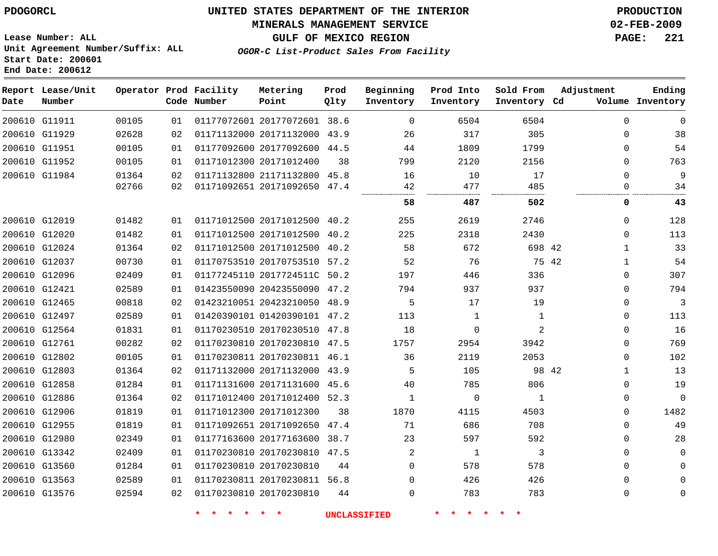### **MINERALS MANAGEMENT SERVICE 02-FEB-2009**

**GULF OF MEXICO REGION PAGE: 221**

**Lease Number: ALL Unit Agreement Number/Suffix: ALL Start Date: 200601 End Date: 200612**

**OGOR-C List-Product Sales From Facility**

| Number |                                                                                                                                                                                                                                                                                                                                                                                                                                                                             |       | Metering<br>Point                     | Prod<br>Qlty                                                                                             | Beginning<br>Inventory                                                                                                                                                                                                                                                                                                                                                                                                                                                                                                                                                                                                                                                                                                                   | Prod Into<br>Inventory | Sold From    | Adjustment   | Ending<br>Volume Inventory               |
|--------|-----------------------------------------------------------------------------------------------------------------------------------------------------------------------------------------------------------------------------------------------------------------------------------------------------------------------------------------------------------------------------------------------------------------------------------------------------------------------------|-------|---------------------------------------|----------------------------------------------------------------------------------------------------------|------------------------------------------------------------------------------------------------------------------------------------------------------------------------------------------------------------------------------------------------------------------------------------------------------------------------------------------------------------------------------------------------------------------------------------------------------------------------------------------------------------------------------------------------------------------------------------------------------------------------------------------------------------------------------------------------------------------------------------------|------------------------|--------------|--------------|------------------------------------------|
|        | 00105                                                                                                                                                                                                                                                                                                                                                                                                                                                                       | 01    |                                       |                                                                                                          | $\Omega$                                                                                                                                                                                                                                                                                                                                                                                                                                                                                                                                                                                                                                                                                                                                 | 6504                   | 6504         | $\Omega$     | $\Omega$                                 |
|        | 02628                                                                                                                                                                                                                                                                                                                                                                                                                                                                       | 02    |                                       |                                                                                                          | 26                                                                                                                                                                                                                                                                                                                                                                                                                                                                                                                                                                                                                                                                                                                                       | 317                    | 305          | $\Omega$     | 38                                       |
|        | 00105                                                                                                                                                                                                                                                                                                                                                                                                                                                                       | 01    |                                       |                                                                                                          | 44                                                                                                                                                                                                                                                                                                                                                                                                                                                                                                                                                                                                                                                                                                                                       | 1809                   | 1799         | $\mathbf 0$  | 54                                       |
|        | 00105                                                                                                                                                                                                                                                                                                                                                                                                                                                                       | 01    |                                       | 38                                                                                                       | 799                                                                                                                                                                                                                                                                                                                                                                                                                                                                                                                                                                                                                                                                                                                                      | 2120                   | 2156         | $\Omega$     | 763                                      |
|        | 01364                                                                                                                                                                                                                                                                                                                                                                                                                                                                       | 02    |                                       | 45.8                                                                                                     | 16                                                                                                                                                                                                                                                                                                                                                                                                                                                                                                                                                                                                                                                                                                                                       | 10                     | 17           | $\Omega$     | 9                                        |
|        |                                                                                                                                                                                                                                                                                                                                                                                                                                                                             | 02    |                                       |                                                                                                          |                                                                                                                                                                                                                                                                                                                                                                                                                                                                                                                                                                                                                                                                                                                                          | 477                    | 485          | $\Omega$     | 34                                       |
|        |                                                                                                                                                                                                                                                                                                                                                                                                                                                                             |       |                                       |                                                                                                          | 58                                                                                                                                                                                                                                                                                                                                                                                                                                                                                                                                                                                                                                                                                                                                       | 487                    | 502          | 0            | 43                                       |
|        | 01482                                                                                                                                                                                                                                                                                                                                                                                                                                                                       | 01    |                                       |                                                                                                          | 255                                                                                                                                                                                                                                                                                                                                                                                                                                                                                                                                                                                                                                                                                                                                      | 2619                   | 2746         | $\Omega$     | 128                                      |
|        | 01482                                                                                                                                                                                                                                                                                                                                                                                                                                                                       | 01    |                                       | 40.2                                                                                                     | 225                                                                                                                                                                                                                                                                                                                                                                                                                                                                                                                                                                                                                                                                                                                                      | 2318                   | 2430         | $\Omega$     | 113                                      |
|        | 01364                                                                                                                                                                                                                                                                                                                                                                                                                                                                       | 02    |                                       |                                                                                                          | 58                                                                                                                                                                                                                                                                                                                                                                                                                                                                                                                                                                                                                                                                                                                                       | 672                    |              | $\mathbf{1}$ | 33                                       |
|        | 00730                                                                                                                                                                                                                                                                                                                                                                                                                                                                       | 01    |                                       |                                                                                                          | 52                                                                                                                                                                                                                                                                                                                                                                                                                                                                                                                                                                                                                                                                                                                                       | 76                     |              | $\mathbf 1$  | 54                                       |
|        | 02409                                                                                                                                                                                                                                                                                                                                                                                                                                                                       | 01    |                                       |                                                                                                          | 197                                                                                                                                                                                                                                                                                                                                                                                                                                                                                                                                                                                                                                                                                                                                      | 446                    | 336          | $\mathbf 0$  | 307                                      |
|        | 02589                                                                                                                                                                                                                                                                                                                                                                                                                                                                       | 01    |                                       |                                                                                                          | 794                                                                                                                                                                                                                                                                                                                                                                                                                                                                                                                                                                                                                                                                                                                                      | 937                    | 937          | $\Omega$     | 794                                      |
|        | 00818                                                                                                                                                                                                                                                                                                                                                                                                                                                                       | 02    |                                       |                                                                                                          | 5                                                                                                                                                                                                                                                                                                                                                                                                                                                                                                                                                                                                                                                                                                                                        | 17                     | 19           | $\mathbf 0$  | 3                                        |
|        | 02589                                                                                                                                                                                                                                                                                                                                                                                                                                                                       | 01    |                                       |                                                                                                          | 113                                                                                                                                                                                                                                                                                                                                                                                                                                                                                                                                                                                                                                                                                                                                      | 1                      | $\mathbf 1$  | $\mathbf 0$  | 113                                      |
|        | 01831                                                                                                                                                                                                                                                                                                                                                                                                                                                                       | 01    |                                       |                                                                                                          | 18                                                                                                                                                                                                                                                                                                                                                                                                                                                                                                                                                                                                                                                                                                                                       | $\mathbf 0$            | 2            | $\Omega$     | 16                                       |
|        | 00282                                                                                                                                                                                                                                                                                                                                                                                                                                                                       | 02    |                                       |                                                                                                          | 1757                                                                                                                                                                                                                                                                                                                                                                                                                                                                                                                                                                                                                                                                                                                                     | 2954                   | 3942         | $\Omega$     | 769                                      |
|        | 00105                                                                                                                                                                                                                                                                                                                                                                                                                                                                       | 01    |                                       |                                                                                                          | 36                                                                                                                                                                                                                                                                                                                                                                                                                                                                                                                                                                                                                                                                                                                                       | 2119                   | 2053         | $\mathbf 0$  | 102                                      |
|        | 01364                                                                                                                                                                                                                                                                                                                                                                                                                                                                       | 02    |                                       |                                                                                                          | 5                                                                                                                                                                                                                                                                                                                                                                                                                                                                                                                                                                                                                                                                                                                                        | 105                    |              | $\mathbf{1}$ | 13                                       |
|        | 01284                                                                                                                                                                                                                                                                                                                                                                                                                                                                       | 01    |                                       |                                                                                                          | 40                                                                                                                                                                                                                                                                                                                                                                                                                                                                                                                                                                                                                                                                                                                                       | 785                    | 806          | $\mathbf 0$  | 19                                       |
|        | 01364                                                                                                                                                                                                                                                                                                                                                                                                                                                                       | 02    |                                       |                                                                                                          | $\mathbf 1$                                                                                                                                                                                                                                                                                                                                                                                                                                                                                                                                                                                                                                                                                                                              | $\mathbf 0$            | $\mathbf{1}$ | $\mathbf 0$  | $\Omega$                                 |
|        | 01819                                                                                                                                                                                                                                                                                                                                                                                                                                                                       | 01    |                                       | 38                                                                                                       | 1870                                                                                                                                                                                                                                                                                                                                                                                                                                                                                                                                                                                                                                                                                                                                     | 4115                   | 4503         | $\Omega$     | 1482                                     |
|        | 01819                                                                                                                                                                                                                                                                                                                                                                                                                                                                       | 01    |                                       | 47.4                                                                                                     | 71                                                                                                                                                                                                                                                                                                                                                                                                                                                                                                                                                                                                                                                                                                                                       | 686                    | 708          | $\mathbf{0}$ | 49                                       |
|        | 02349                                                                                                                                                                                                                                                                                                                                                                                                                                                                       | 01    |                                       |                                                                                                          | 23                                                                                                                                                                                                                                                                                                                                                                                                                                                                                                                                                                                                                                                                                                                                       | 597                    | 592          | $\mathbf 0$  | 28                                       |
|        | 02409                                                                                                                                                                                                                                                                                                                                                                                                                                                                       | 01    |                                       |                                                                                                          | $\overline{a}$                                                                                                                                                                                                                                                                                                                                                                                                                                                                                                                                                                                                                                                                                                                           | 1                      | 3            | $\Omega$     | $\Omega$                                 |
|        | 01284                                                                                                                                                                                                                                                                                                                                                                                                                                                                       | 01    |                                       | 44                                                                                                       | $\Omega$                                                                                                                                                                                                                                                                                                                                                                                                                                                                                                                                                                                                                                                                                                                                 | 578                    | 578          | $\Omega$     | $\Omega$                                 |
|        | 02589                                                                                                                                                                                                                                                                                                                                                                                                                                                                       | 01    |                                       | 56.8                                                                                                     | 0                                                                                                                                                                                                                                                                                                                                                                                                                                                                                                                                                                                                                                                                                                                                        | 426                    | 426          | $\mathbf 0$  |                                          |
|        | 02594                                                                                                                                                                                                                                                                                                                                                                                                                                                                       | 02    |                                       | 44                                                                                                       | $\Omega$                                                                                                                                                                                                                                                                                                                                                                                                                                                                                                                                                                                                                                                                                                                                 | 783                    | 783          | $\Omega$     | $\Omega$                                 |
|        | Report Lease/Unit<br>200610 G11911<br>200610 G11929<br>200610 G11951<br>200610 G11952<br>200610 G11984<br>200610 G12019<br>200610 G12020<br>200610 G12024<br>200610 G12037<br>200610 G12096<br>200610 G12421<br>200610 G12465<br>200610 G12497<br>200610 G12564<br>200610 G12761<br>200610 G12802<br>200610 G12803<br>200610 G12858<br>200610 G12886<br>200610 G12906<br>200610 G12955<br>200610 G12980<br>200610 G13342<br>200610 G13560<br>200610 G13563<br>200610 G13576 | 02766 | Operator Prod Facility<br>Code Number | 01171012300 20171012400<br>01171012300 20171012300<br>01170230810 20170230810<br>01170230810 20170230810 | 01177072601 20177072601 38.6<br>01171132000 20171132000 43.9<br>01177092600 20177092600 44.5<br>01171132800 21171132800<br>01171092651 20171092650 47.4<br>01171012500 20171012500 40.2<br>01171012500 20171012500<br>01171012500 20171012500 40.2<br>01170753510 20170753510 57.2<br>01177245110 2017724511C 50.2<br>01423550090 20423550090 47.2<br>01423210051 20423210050 48.9<br>01420390101 01420390101 47.2<br>01170230510 20170230510 47.8<br>01170230810 20170230810 47.5<br>01170230811 20170230811 46.1<br>01171132000 20171132000 43.9<br>01171131600 20171131600 45.6<br>01171012400 20171012400 52.3<br>01171092651 20171092650<br>01177163600 20177163600 38.7<br>01170230810 20170230810 47.5<br>01170230811 20170230811 | 42                     |              |              | Inventory Cd<br>698 42<br>75 42<br>98 42 |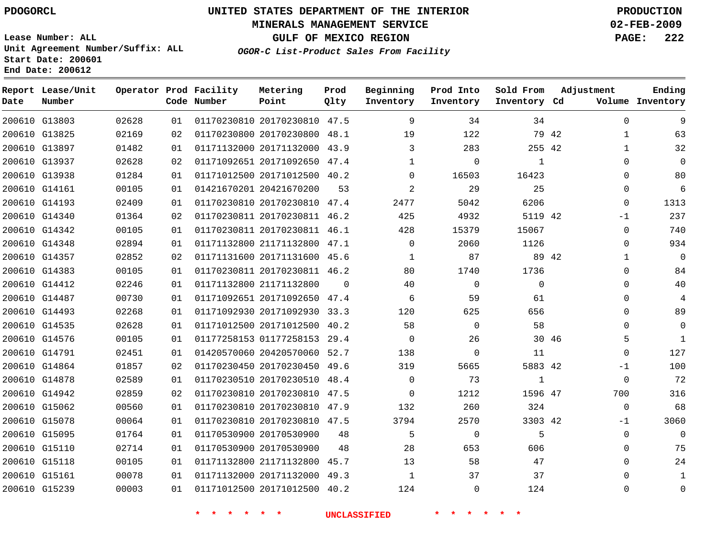### **MINERALS MANAGEMENT SERVICE 02-FEB-2009**

**GULF OF MEXICO REGION PAGE: 222**

**Lease Number: ALL Unit Agreement Number/Suffix: ALL Start Date: 200601 End Date: 200612**

**OGOR-C List-Product Sales From Facility**

| Date | Report Lease/Unit<br>Number |       |    | Operator Prod Facility<br>Code Number | Metering<br>Point            | Prod<br>Qlty | Beginning<br>Inventory | Prod Into<br>Inventory | Sold From<br>Inventory Cd | Adjustment            | Ending<br>Volume Inventory |
|------|-----------------------------|-------|----|---------------------------------------|------------------------------|--------------|------------------------|------------------------|---------------------------|-----------------------|----------------------------|
|      | 200610 G13803               | 02628 | 01 |                                       | 01170230810 20170230810 47.5 |              | 9                      | 34                     | 34                        | $\mathbf{0}$          | 9                          |
|      | 200610 G13825               | 02169 | 02 |                                       | 01170230800 20170230800 48.1 |              | 19                     | 122                    |                           | 79 42<br>$\mathbf{1}$ | 63                         |
|      | 200610 G13897               | 01482 | 01 |                                       | 01171132000 20171132000 43.9 |              | 3                      | 283                    | 255 42                    | $\mathbf{1}$          | 32                         |
|      | 200610 G13937               | 02628 | 02 |                                       | 01171092651 20171092650 47.4 |              | $\mathbf{1}$           | $\mathbf 0$            | $\mathbf{1}$              | $\mathbf{0}$          | $\Omega$                   |
|      | 200610 G13938               | 01284 | 01 |                                       | 01171012500 20171012500 40.2 |              | $\Omega$               | 16503                  | 16423                     | $\Omega$              | 80                         |
|      | 200610 G14161               | 00105 | 01 |                                       | 01421670201 20421670200      | 53           | $\overline{2}$         | 29                     | 25                        | $\Omega$              | 6                          |
|      | 200610 G14193               | 02409 | 01 |                                       | 01170230810 20170230810 47.4 |              | 2477                   | 5042                   | 6206                      | $\Omega$              | 1313                       |
|      | 200610 G14340               | 01364 | 02 |                                       | 01170230811 20170230811 46.2 |              | 425                    | 4932                   | 5119 42                   | $-1$                  | 237                        |
|      | 200610 G14342               | 00105 | 01 |                                       | 01170230811 20170230811 46.1 |              | 428                    | 15379                  | 15067                     | 0                     | 740                        |
|      | 200610 G14348               | 02894 | 01 |                                       | 01171132800 21171132800 47.1 |              | $\mathbf 0$            | 2060                   | 1126                      | 0                     | 934                        |
|      | 200610 G14357               | 02852 | 02 |                                       | 01171131600 20171131600 45.6 |              | $\mathbf{1}$           | 87                     |                           | 89 42<br>$\mathbf{1}$ | $\mathbf{0}$               |
|      | 200610 G14383               | 00105 | 01 |                                       | 01170230811 20170230811 46.2 |              | 80                     | 1740                   | 1736                      | $\mathbf{0}$          | 84                         |
|      | 200610 G14412               | 02246 | 01 |                                       | 01171132800 21171132800      | $\Omega$     | 40                     | $\mathbf 0$            | $\Omega$                  | $\Omega$              | 40                         |
|      | 200610 G14487               | 00730 | 01 |                                       | 01171092651 20171092650 47.4 |              | 6                      | 59                     | 61                        | $\Omega$              | 4                          |
|      | 200610 G14493               | 02268 | 01 |                                       | 01171092930 20171092930 33.3 |              | 120                    | 625                    | 656                       | $\Omega$              | 89                         |
|      | 200610 G14535               | 02628 | 01 |                                       | 01171012500 20171012500 40.2 |              | 58                     | $\mathbf 0$            | 58                        | $\Omega$              | $\Omega$                   |
|      | 200610 G14576               | 00105 | 01 |                                       | 01177258153 01177258153 29.4 |              | $\Omega$               | 26                     |                           | 30 46<br>5            | $\mathbf{1}$               |
|      | 200610 G14791               | 02451 | 01 |                                       | 01420570060 20420570060 52.7 |              | 138                    | $\Omega$               | 11                        | $\Omega$              | 127                        |
|      | 200610 G14864               | 01857 | 02 |                                       | 01170230450 20170230450 49.6 |              | 319                    | 5665                   | 5883 42                   | $-1$                  | 100                        |
|      | 200610 G14878               | 02589 | 01 |                                       | 01170230510 20170230510 48.4 |              | $\mathbf 0$            | 73                     | $\mathbf{1}$              | $\mathbf 0$           | 72                         |
|      | 200610 G14942               | 02859 | 02 |                                       | 01170230810 20170230810 47.5 |              | $\Omega$               | 1212                   | 1596 47                   | 700                   | 316                        |
|      | 200610 G15062               | 00560 | 01 |                                       | 01170230810 20170230810 47.9 |              | 132                    | 260                    | 324                       | $\mathbf 0$           | 68                         |
|      | 200610 G15078               | 00064 | 01 |                                       | 01170230810 20170230810 47.5 |              | 3794                   | 2570                   | 3303 42                   | $-1$                  | 3060                       |
|      | 200610 G15095               | 01764 | 01 |                                       | 01170530900 20170530900      | 48           | 5                      | $\mathbf 0$            | 5                         | $\mathbf 0$           | $\Omega$                   |
|      | 200610 G15110               | 02714 | 01 |                                       | 01170530900 20170530900      | 48           | 28                     | 653                    | 606                       | $\Omega$              | 75                         |
|      | 200610 G15118               | 00105 | 01 |                                       | 01171132800 21171132800 45.7 |              | 13                     | 58                     | 47                        | $\Omega$              | 24                         |
|      | 200610 G15161               | 00078 | 01 |                                       | 01171132000 20171132000 49.3 |              | $\mathbf{1}$           | 37                     | 37                        | $\Omega$              | $\mathbf{1}$               |
|      | 200610 G15239               | 00003 | 01 |                                       | 01171012500 20171012500 40.2 |              | 124                    | $\Omega$               | 124                       | $\Omega$              | $\Omega$                   |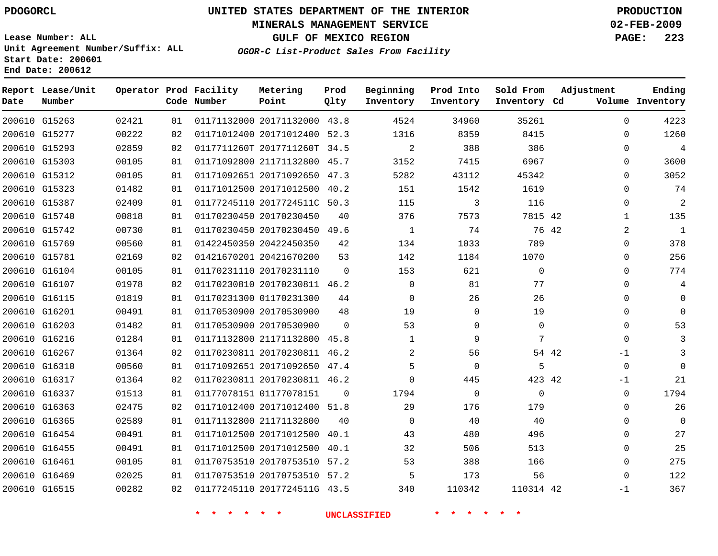### **MINERALS MANAGEMENT SERVICE 02-FEB-2009**

**GULF OF MEXICO REGION PAGE: 223**

**Lease Number: ALL Unit Agreement Number/Suffix: ALL Start Date: 200601 End Date: 200612**

**OGOR-C List-Product Sales From Facility**

| Date | Report Lease/Unit<br>Number |       |    | Operator Prod Facility<br>Code Number | Metering<br>Point            | Prod<br>Qlty | Beginning<br>Inventory | Prod Into<br>Inventory | Sold From<br>Inventory Cd | Adjustment    | Ending<br>Volume Inventory |
|------|-----------------------------|-------|----|---------------------------------------|------------------------------|--------------|------------------------|------------------------|---------------------------|---------------|----------------------------|
|      | 200610 G15263               | 02421 | 01 |                                       | 01171132000 20171132000 43.8 |              | 4524                   | 34960                  | 35261                     | $\mathbf 0$   | 4223                       |
|      | 200610 G15277               | 00222 | 02 |                                       | 01171012400 20171012400 52.3 |              | 1316                   | 8359                   | 8415                      | 0             | 1260                       |
|      | 200610 G15293               | 02859 | 02 |                                       | 0117711260T 2017711260T 34.5 |              | $\overline{a}$         | 388                    | 386                       | 0             | 4                          |
|      | 200610 G15303               | 00105 | 01 |                                       | 01171092800 21171132800 45.7 |              | 3152                   | 7415                   | 6967                      | 0             | 3600                       |
|      | 200610 G15312               | 00105 | 01 |                                       | 01171092651 20171092650 47.3 |              | 5282                   | 43112                  | 45342                     | $\Omega$      | 3052                       |
|      | 200610 G15323               | 01482 | 01 |                                       | 01171012500 20171012500 40.2 |              | 151                    | 1542                   | 1619                      | 0             | 74                         |
|      | 200610 G15387               | 02409 | 01 |                                       | 01177245110 2017724511C 50.3 |              | 115                    | 3                      | 116                       | $\Omega$      | $\overline{2}$             |
|      | 200610 G15740               | 00818 | 01 |                                       | 01170230450 20170230450      | 40           | 376                    | 7573                   | 7815 42                   | 1             | 135                        |
|      | 200610 G15742               | 00730 | 01 |                                       | 01170230450 20170230450 49.6 |              | $\mathbf{1}$           | 74                     | 76 42                     | 2             | $\mathbf{1}$               |
|      | 200610 G15769               | 00560 | 01 |                                       | 01422450350 20422450350      | 42           | 134                    | 1033                   | 789                       | 0             | 378                        |
|      | 200610 G15781               | 02169 | 02 |                                       | 01421670201 20421670200      | 53           | 142                    | 1184                   | 1070                      | $\Omega$      | 256                        |
|      | 200610 G16104               | 00105 | 01 |                                       | 01170231110 20170231110      | $\Omega$     | 153                    | 621                    | $\mathbf 0$               | $\Omega$      | 774                        |
|      | 200610 G16107               | 01978 | 02 |                                       | 01170230810 20170230811 46.2 |              | $\Omega$               | 81                     | 77                        | $\Omega$      | 4                          |
|      | 200610 G16115               | 01819 | 01 |                                       | 01170231300 01170231300      | 44           | 0                      | 26                     | 26                        | 0             | $\Omega$                   |
|      | 200610 G16201               | 00491 | 01 |                                       | 01170530900 20170530900      | 48           | 19                     | 0                      | 19                        | 0             | $\Omega$                   |
|      | 200610 G16203               | 01482 | 01 |                                       | 01170530900 20170530900      | $\Omega$     | 53                     | 0                      | $\mathbf{0}$              | 0             | 53                         |
|      | 200610 G16216               | 01284 | 01 |                                       | 01171132800 21171132800 45.8 |              | $\mathbf 1$            | 9                      | 7                         | $\Omega$      | 3                          |
|      | 200610 G16267               | 01364 | 02 |                                       | 01170230811 20170230811 46.2 |              | 2                      | 56                     |                           | 54 42<br>$-1$ |                            |
|      | 200610 G16310               | 00560 | 01 |                                       | 01171092651 20171092650 47.4 |              | 5                      | $\mathbf 0$            | 5                         | $\mathbf 0$   | $\Omega$                   |
|      | 200610 G16317               | 01364 | 02 |                                       | 01170230811 20170230811 46.2 |              | $\Omega$               | 445                    | 423 42                    | $-1$          | 21                         |
|      | 200610 G16337               | 01513 | 01 |                                       | 01177078151 01177078151      | $\Omega$     | 1794                   | $\mathbf 0$            | $\mathbf 0$               | $\mathbf 0$   | 1794                       |
|      | 200610 G16363               | 02475 | 02 |                                       | 01171012400 20171012400 51.8 |              | 29                     | 176                    | 179                       | 0             | 26                         |
|      | 200610 G16365               | 02589 | 01 |                                       | 01171132800 21171132800      | 40           | $\Omega$               | 40                     | 40                        | $\Omega$      | 0                          |
|      | 200610 G16454               | 00491 | 01 |                                       | 01171012500 20171012500      | 40.1         | 43                     | 480                    | 496                       | $\Omega$      | 27                         |
|      | 200610 G16455               | 00491 | 01 |                                       | 01171012500 20171012500      | 40.1         | 32                     | 506                    | 513                       | $\Omega$      | 25                         |
|      | 200610 G16461               | 00105 | 01 |                                       | 01170753510 20170753510 57.2 |              | 53                     | 388                    | 166                       | $\mathbf 0$   | 275                        |
|      | 200610 G16469               | 02025 | 01 |                                       | 01170753510 20170753510 57.2 |              | 5                      | 173                    | 56                        | $\Omega$      | 122                        |
|      | 200610 G16515               | 00282 | 02 |                                       | 01177245110 2017724511G 43.5 |              | 340                    | 110342                 | 110314 42                 | $-1$          | 367                        |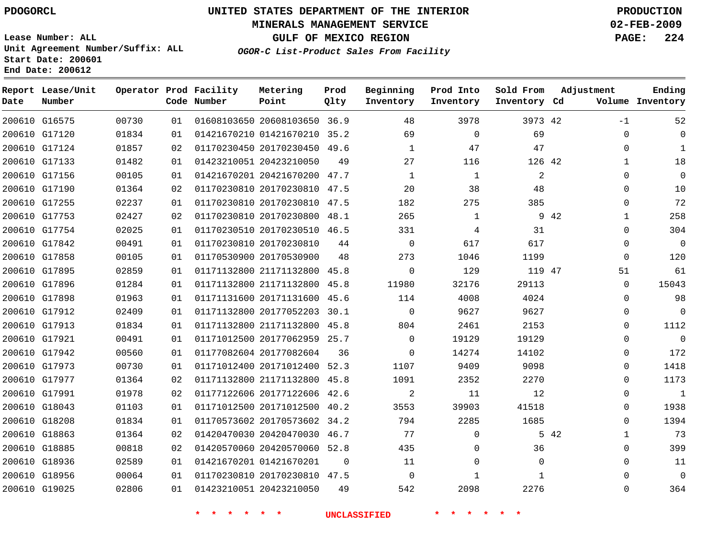### **MINERALS MANAGEMENT SERVICE 02-FEB-2009**

**GULF OF MEXICO REGION PAGE: 224**

**Lease Number: ALL Unit Agreement Number/Suffix: ALL Start Date: 200601 End Date: 200612**

**OGOR-C List-Product Sales From Facility**

| Date | Report Lease/Unit<br>Number |       |    | Operator Prod Facility<br>Code Number | Metering<br>Point            | Prod<br>Qlty | Beginning<br>Inventory | Prod Into<br>Inventory | Sold From<br>Inventory Cd |      | Adjustment   | Ending<br>Volume Inventory |
|------|-----------------------------|-------|----|---------------------------------------|------------------------------|--------------|------------------------|------------------------|---------------------------|------|--------------|----------------------------|
|      | 200610 G16575               | 00730 | 01 |                                       | 01608103650 20608103650 36.9 |              | 48                     | 3978                   | 3973 42                   |      | $-1$         | 52                         |
|      | 200610 G17120               | 01834 | 01 |                                       | 01421670210 01421670210 35.2 |              | 69                     | $\mathbf 0$            | 69                        |      | $\mathbf{0}$ | $\Omega$                   |
|      | 200610 G17124               | 01857 | 02 |                                       | 01170230450 20170230450 49.6 |              | $\mathbf{1}$           | 47                     | 47                        |      | $\Omega$     | $\mathbf{1}$               |
|      | 200610 G17133               | 01482 | 01 |                                       | 01423210051 20423210050      | 49           | 27                     | 116                    | 126 42                    |      | $\mathbf{1}$ | 18                         |
|      | 200610 G17156               | 00105 | 01 |                                       | 01421670201 20421670200 47.7 |              | $\mathbf{1}$           | $\mathbf{1}$           | $\overline{2}$            |      | $\Omega$     | $\Omega$                   |
|      | 200610 G17190               | 01364 | 02 |                                       | 01170230810 20170230810 47.5 |              | 20                     | 38                     | 48                        |      | $\mathbf{0}$ | 10                         |
|      | 200610 G17255               | 02237 | 01 |                                       | 01170230810 20170230810 47.5 |              | 182                    | 275                    | 385                       |      | 0            | 72                         |
|      | 200610 G17753               | 02427 | 02 |                                       | 01170230810 20170230800 48.1 |              | 265                    | 1                      |                           | 9 42 | $\mathbf{1}$ | 258                        |
|      | 200610 G17754               | 02025 | 01 |                                       | 01170230510 20170230510 46.5 |              | 331                    | 4                      | 31                        |      | 0            | 304                        |
|      | 200610 G17842               | 00491 | 01 |                                       | 01170230810 20170230810      | 44           | $\mathbf 0$            | 617                    | 617                       |      | $\mathbf{0}$ | $\mathbf 0$                |
|      | 200610 G17858               | 00105 | 01 |                                       | 01170530900 20170530900      | 48           | 273                    | 1046                   | 1199                      |      | $\mathbf{0}$ | 120                        |
|      | 200610 G17895               | 02859 | 01 |                                       | 01171132800 21171132800 45.8 |              | $\mathbf 0$            | 129                    | 119 47                    |      | 51           | 61                         |
|      | 200610 G17896               | 01284 | 01 |                                       | 01171132800 21171132800 45.8 |              | 11980                  | 32176                  | 29113                     |      | $\Omega$     | 15043                      |
|      | 200610 G17898               | 01963 | 01 |                                       | 01171131600 20171131600 45.6 |              | 114                    | 4008                   | 4024                      |      | 0            | 98                         |
|      | 200610 G17912               | 02409 | 01 |                                       | 01171132800 20177052203 30.1 |              | $\Omega$               | 9627                   | 9627                      |      | 0            | $\mathbf 0$                |
|      | 200610 G17913               | 01834 | 01 |                                       | 01171132800 21171132800 45.8 |              | 804                    | 2461                   | 2153                      |      | 0            | 1112                       |
|      | 200610 G17921               | 00491 | 01 |                                       | 01171012500 20177062959 25.7 |              | $\Omega$               | 19129                  | 19129                     |      | $\Omega$     | $\Omega$                   |
|      | 200610 G17942               | 00560 | 01 |                                       | 01177082604 20177082604      | 36           | $\Omega$               | 14274                  | 14102                     |      | $\mathbf{0}$ | 172                        |
|      | 200610 G17973               | 00730 | 01 |                                       | 01171012400 20171012400 52.3 |              | 1107                   | 9409                   | 9098                      |      | $\Omega$     | 1418                       |
|      | 200610 G17977               | 01364 | 02 |                                       | 01171132800 21171132800      | 45.8         | 1091                   | 2352                   | 2270                      |      | $\Omega$     | 1173                       |
|      | 200610 G17991               | 01978 | 02 |                                       | 01177122606 20177122606 42.6 |              | 2                      | 11                     | 12                        |      | $\mathbf{0}$ | $1\,$                      |
|      | 200610 G18043               | 01103 | 01 |                                       | 01171012500 20171012500 40.2 |              | 3553                   | 39903                  | 41518                     |      | 0            | 1938                       |
|      | 200610 G18208               | 01834 | 01 |                                       | 01170573602 20170573602 34.2 |              | 794                    | 2285                   | 1685                      |      | $\Omega$     | 1394                       |
|      | 200610 G18863               | 01364 | 02 |                                       | 01420470030 20420470030 46.7 |              | 77                     | $\mathbf 0$            |                           | 5 42 | $\mathbf{1}$ | 73                         |
|      | 200610 G18885               | 00818 | 02 |                                       | 01420570060 20420570060 52.8 |              | 435                    | $\Omega$               | 36                        |      | $\Omega$     | 399                        |
|      | 200610 G18936               | 02589 | 01 |                                       | 01421670201 01421670201      | $\Omega$     | 11                     | $\mathbf 0$            | $\Omega$                  |      | $\mathbf 0$  | 11                         |
|      | 200610 G18956               | 00064 | 01 |                                       | 01170230810 20170230810 47.5 |              | $\Omega$               | $\mathbf{1}$           | $\mathbf{1}$              |      | $\Omega$     | $\Omega$                   |
|      | 200610 G19025               | 02806 | 01 |                                       | 01423210051 20423210050      | 49           | 542                    | 2098                   | 2276                      |      | $\Omega$     | 364                        |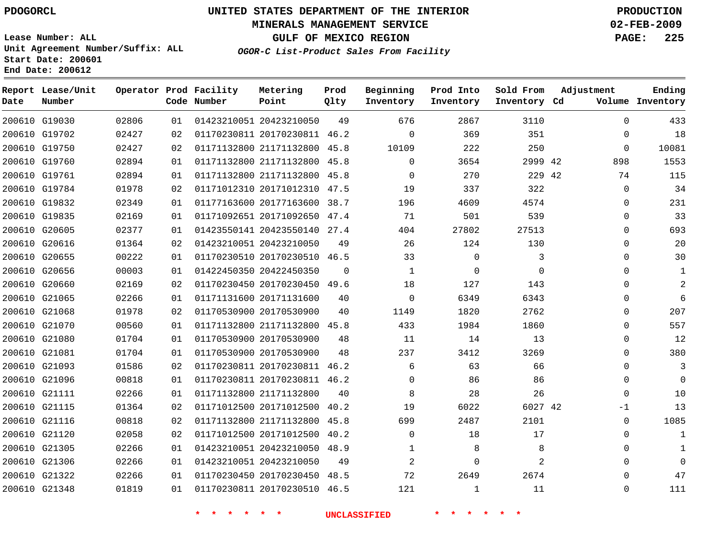### **MINERALS MANAGEMENT SERVICE 02-FEB-2009**

**Lease Number: ALL Unit Agreement Number/Suffix: ALL Start Date: 200601 End Date: 200612**

**GULF OF MEXICO REGION PAGE: 225 OGOR-C List-Product Sales From Facility**

| Date | Report Lease/Unit<br>Number |       |    | Operator Prod Facility<br>Code Number | Metering<br>Point            | Prod<br>Qlty | Beginning<br>Inventory | Prod Into<br>Inventory | Sold From<br>Inventory Cd | Adjustment   | Ending<br>Volume Inventory |
|------|-----------------------------|-------|----|---------------------------------------|------------------------------|--------------|------------------------|------------------------|---------------------------|--------------|----------------------------|
|      | 200610 G19030               | 02806 | 01 |                                       | 01423210051 20423210050      | 49           | 676                    | 2867                   | 3110                      | $\Omega$     | 433                        |
|      | 200610 G19702               | 02427 | 02 |                                       | 01170230811 20170230811 46.2 |              | $\mathbf 0$            | 369                    | 351                       |              | 18<br>0                    |
|      | 200610 G19750               | 02427 | 02 |                                       | 01171132800 21171132800 45.8 |              | 10109                  | 222                    | 250                       | $\mathbf{0}$ | 10081                      |
|      | 200610 G19760               | 02894 | 01 |                                       | 01171132800 21171132800      | 45.8         | 0                      | 3654                   | 2999 42                   | 898          | 1553                       |
|      | 200610 G19761               | 02894 | 01 |                                       | 01171132800 21171132800 45.8 |              | $\Omega$               | 270                    | 229 42                    | 74           | 115                        |
|      | 200610 G19784               | 01978 | 02 |                                       | 01171012310 20171012310 47.5 |              | 19                     | 337                    | 322                       | $\mathbf{0}$ | 34                         |
|      | 200610 G19832               | 02349 | 01 |                                       | 01177163600 20177163600 38.7 |              | 196                    | 4609                   | 4574                      | $\mathbf{0}$ | 231                        |
|      | 200610 G19835               | 02169 | 01 |                                       | 01171092651 20171092650 47.4 |              | 71                     | 501                    | 539                       | $\mathbf{0}$ | 33                         |
|      | 200610 G20605               | 02377 | 01 |                                       | 01423550141 20423550140 27.4 |              | 404                    | 27802                  | 27513                     |              | 693<br>$\Omega$            |
|      | 200610 G20616               | 01364 | 02 |                                       | 01423210051 20423210050      | 49           | 26                     | 124                    | 130                       |              | 20<br>0                    |
|      | 200610 G20655               | 00222 | 01 |                                       | 01170230510 20170230510 46.5 |              | 33                     | $\mathbf 0$            | 3                         | $\Omega$     | 30                         |
|      | 200610 G20656               | 00003 | 01 |                                       | 01422450350 20422450350      | 0            | 1                      | $\mathbf 0$            | $\Omega$                  |              | $\Omega$<br>1              |
|      | 200610 G20660               | 02169 | 02 |                                       | 01170230450 20170230450 49.6 |              | 18                     | 127                    | 143                       |              | $\overline{2}$<br>$\Omega$ |
|      | 200610 G21065               | 02266 | 01 |                                       | 01171131600 20171131600      | 40           | $\mathbf 0$            | 6349                   | 6343                      |              | 6<br>$\Omega$              |
|      | 200610 G21068               | 01978 | 02 |                                       | 01170530900 20170530900      | 40           | 1149                   | 1820                   | 2762                      | $\Omega$     | 207                        |
|      | 200610 G21070               | 00560 | 01 |                                       | 01171132800 21171132800      | 45.8         | 433                    | 1984                   | 1860                      |              | 557<br>0                   |
|      | 200610 G21080               | 01704 | 01 |                                       | 01170530900 20170530900      | 48           | 11                     | 14                     | 13                        |              | 12<br>$\Omega$             |
|      | 200610 G21081               | 01704 | 01 |                                       | 01170530900 20170530900      | 48           | 237                    | 3412                   | 3269                      |              | 380<br>$\Omega$            |
|      | 200610 G21093               | 01586 | 02 |                                       | 01170230811 20170230811 46.2 |              | 6                      | 63                     | 66                        | $\Omega$     | 3                          |
|      | 200610 G21096               | 00818 | 01 |                                       | 01170230811 20170230811 46.2 |              | $\Omega$               | 86                     | 86                        | $\Omega$     | $\Omega$                   |
|      | 200610 G21111               | 02266 | 01 |                                       | 01171132800 21171132800      | 40           | 8                      | 28                     | 26                        |              | 10<br>$\Omega$             |
|      | 200610 G21115               | 01364 | 02 |                                       | 01171012500 20171012500      | 40.2         | 19                     | 6022                   | 6027 42                   | $-1$         | 13                         |
|      | 200610 G21116               | 00818 | 02 |                                       | 01171132800 21171132800 45.8 |              | 699                    | 2487                   | 2101                      | $\Omega$     | 1085                       |
|      | 200610 G21120               | 02058 | 02 |                                       | 01171012500 20171012500      | 40.2         | $\Omega$               | 18                     | 17                        | $\Omega$     | $\mathbf{1}$               |
|      | 200610 G21305               | 02266 | 01 |                                       | 01423210051 20423210050 48.9 |              |                        | 8                      | 8                         |              | $\Omega$                   |
|      | 200610 G21306               | 02266 | 01 |                                       | 01423210051 20423210050      | 49           | $\overline{2}$         | $\mathbf 0$            | 2                         |              | $\Omega$<br>$\Omega$       |
|      | 200610 G21322               | 02266 | 01 |                                       | 01170230450 20170230450 48.5 |              | 72                     | 2649                   | 2674                      |              | 47<br>$\Omega$             |
|      | 200610 G21348               | 01819 | 01 |                                       | 01170230811 20170230510 46.5 |              | 121                    | $\mathbf{1}$           | 11                        | $\Omega$     | 111                        |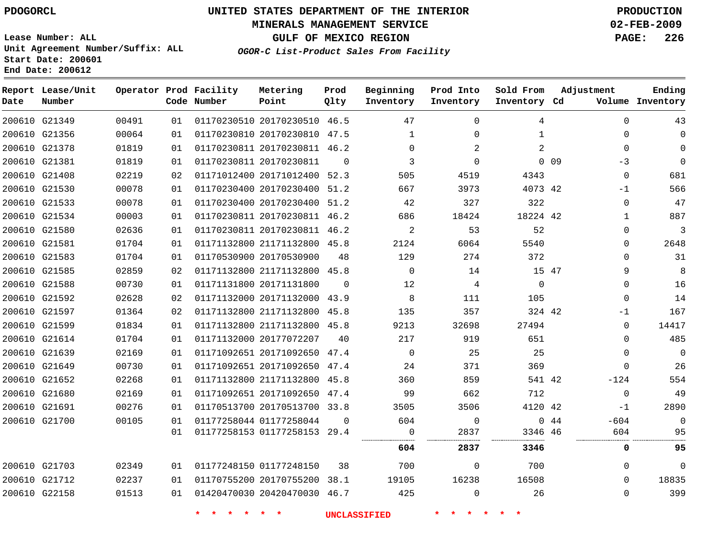### **MINERALS MANAGEMENT SERVICE 02-FEB-2009**

**GULF OF MEXICO REGION PAGE: 226**

**Lease Number: ALL Unit Agreement Number/Suffix: ALL Start Date: 200601 End Date: 200612**

**OGOR-C List-Product Sales From Facility**

| Date | Report Lease/Unit<br>Number |       |    | Operator Prod Facility<br>Code Number | Metering<br>Point            | Prod<br>Qlty | Beginning<br>Inventory | Prod Into<br>Inventory | Sold From<br>Inventory Cd |                 | Adjustment   | Ending<br>Volume Inventory |
|------|-----------------------------|-------|----|---------------------------------------|------------------------------|--------------|------------------------|------------------------|---------------------------|-----------------|--------------|----------------------------|
|      | 200610 G21349               | 00491 | 01 |                                       | 01170230510 20170230510 46.5 |              | 47                     | 0                      | 4                         |                 | $\Omega$     | 43                         |
|      | 200610 G21356               | 00064 | 01 |                                       | 01170230810 20170230810 47.5 |              | $\mathbf 1$            | $\Omega$               | $\mathbf{1}$              |                 | $\Omega$     | 0                          |
|      | 200610 G21378               | 01819 | 01 |                                       | 01170230811 20170230811 46.2 |              | $\Omega$               | 2                      | $\overline{a}$            |                 | $\Omega$     | $\Omega$                   |
|      | 200610 G21381               | 01819 | 01 |                                       | 01170230811 20170230811      | $\Omega$     | 3                      | $\Omega$               |                           | 0 <sub>09</sub> | $-3$         | $\mathbf 0$                |
|      | 200610 G21408               | 02219 | 02 |                                       | 01171012400 20171012400 52.3 |              | 505                    | 4519                   | 4343                      |                 | $\mathbf 0$  | 681                        |
|      | 200610 G21530               | 00078 | 01 |                                       | 01170230400 20170230400 51.2 |              | 667                    | 3973                   | 4073 42                   |                 | -1           | 566                        |
|      | 200610 G21533               | 00078 | 01 |                                       | 01170230400 20170230400 51.2 |              | 42                     | 327                    | 322                       |                 | $\Omega$     | 47                         |
|      | 200610 G21534               | 00003 | 01 |                                       | 01170230811 20170230811 46.2 |              | 686                    | 18424                  | 18224 42                  |                 | 1            | 887                        |
|      | 200610 G21580               | 02636 | 01 |                                       | 01170230811 20170230811 46.2 |              | $\overline{a}$         | 53                     | 52                        |                 | $\mathbf{0}$ | 3                          |
|      | 200610 G21581               | 01704 | 01 |                                       | 01171132800 21171132800 45.8 |              | 2124                   | 6064                   | 5540                      |                 | $\Omega$     | 2648                       |
|      | 200610 G21583               | 01704 | 01 |                                       | 01170530900 20170530900      | 48           | 129                    | 274                    | 372                       |                 | $\Omega$     | 31                         |
|      | 200610 G21585               | 02859 | 02 |                                       | 01171132800 21171132800 45.8 |              | $\Omega$               | 14                     | 15 47                     |                 | 9            | 8                          |
|      | 200610 G21588               | 00730 | 01 |                                       | 01171131800 20171131800      | $\Omega$     | 12                     | 4                      | $\mathbf 0$               |                 | 0            | 16                         |
|      | 200610 G21592               | 02628 | 02 |                                       | 01171132000 20171132000 43.9 |              | 8                      | 111                    | 105                       |                 | $\mathbf{0}$ | 14                         |
|      | 200610 G21597               | 01364 | 02 |                                       | 01171132800 21171132800 45.8 |              | 135                    | 357                    | 324 42                    |                 | -1           | 167                        |
|      | 200610 G21599               | 01834 | 01 |                                       | 01171132800 21171132800 45.8 |              | 9213                   | 32698                  | 27494                     |                 | $\Omega$     | 14417                      |
|      | 200610 G21614               | 01704 | 01 |                                       | 01171132000 20177072207      | 40           | 217                    | 919                    | 651                       |                 | 0            | 485                        |
|      | 200610 G21639               | 02169 | 01 |                                       | 01171092651 20171092650 47.4 |              | $\Omega$               | 25                     | 25                        |                 | $\Omega$     | $\mathbf 0$                |
|      | 200610 G21649               | 00730 | 01 |                                       | 01171092651 20171092650 47.4 |              | 24                     | 371                    | 369                       |                 | $\Omega$     | 26                         |
|      | 200610 G21652               | 02268 | 01 |                                       | 01171132800 21171132800 45.8 |              | 360                    | 859                    | 541 42                    |                 | $-124$       | 554                        |
|      | 200610 G21680               | 02169 | 01 |                                       | 01171092651 20171092650 47.4 |              | 99                     | 662                    | 712                       |                 | $\Omega$     | 49                         |
|      | 200610 G21691               | 00276 | 01 |                                       | 01170513700 20170513700 33.8 |              | 3505                   | 3506                   | 4120 42                   |                 | $-1$         | 2890                       |
|      | 200610 G21700               | 00105 | 01 |                                       | 01177258044 01177258044      | $\Omega$     | 604                    | $\mathbf 0$            |                           | 044             | $-604$       | $\mathbf 0$                |
|      |                             |       | 01 |                                       | 01177258153 01177258153 29.4 |              | $\mathbf 0$            | 2837                   | 3346 46                   |                 | 604          | 95                         |
|      |                             |       |    |                                       |                              |              | 604                    | 2837                   | 3346                      |                 | 0            | 95                         |
|      | 200610 G21703               | 02349 | 01 |                                       | 01177248150 01177248150      | 38           | 700                    | 0                      | 700                       |                 | $\Omega$     | $\mathbf 0$                |
|      | 200610 G21712               | 02237 | 01 |                                       | 01170755200 20170755200      | 38.1         | 19105                  | 16238                  | 16508                     |                 | $\Omega$     | 18835                      |
|      | 200610 G22158               | 01513 | 01 |                                       | 01420470030 20420470030 46.7 |              | 425                    | $\Omega$               | 26                        |                 | 0            | 399                        |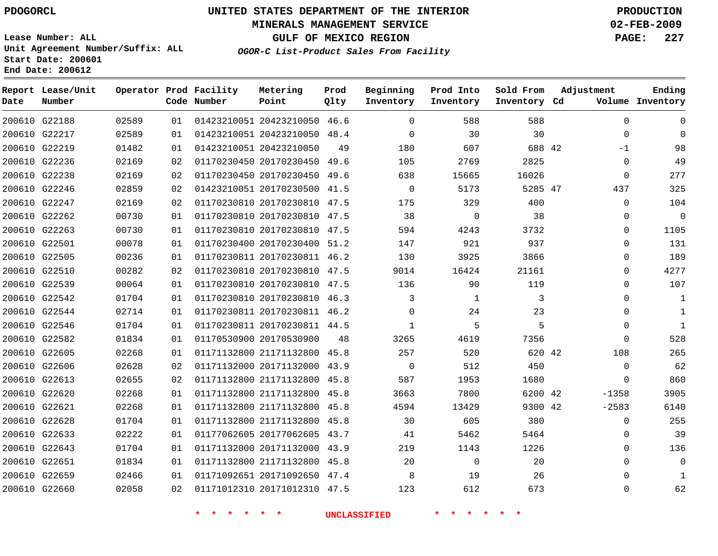### **MINERALS MANAGEMENT SERVICE 02-FEB-2009**

**GULF OF MEXICO REGION PAGE: 227**

**Lease Number: ALL Unit Agreement Number/Suffix: ALL Start Date: 200601 End Date: 200612**

**OGOR-C List-Product Sales From Facility**

| Date | Report Lease/Unit<br>Number |       |    | Operator Prod Facility<br>Code Number | Metering<br>Point            | Prod<br>Qlty | Beginning<br>Inventory | Prod Into<br>Inventory | Sold From<br>Inventory Cd | Adjustment |             | Ending<br>Volume Inventory |
|------|-----------------------------|-------|----|---------------------------------------|------------------------------|--------------|------------------------|------------------------|---------------------------|------------|-------------|----------------------------|
|      | 200610 G22188               | 02589 | 01 |                                       | 01423210051 20423210050 46.6 |              | $\Omega$               | 588                    | 588                       |            | $\Omega$    | $\Omega$                   |
|      | 200610 G22217               | 02589 | 01 |                                       | 01423210051 20423210050 48.4 |              | $\mathbf 0$            | 30                     | 30                        |            | $\mathbf 0$ | $\Omega$                   |
|      | 200610 G22219               | 01482 | 01 |                                       | 01423210051 20423210050      | 49           | 180                    | 607                    | 688 42                    |            | $-1$        | 98                         |
|      | 200610 G22236               | 02169 | 02 |                                       | 01170230450 20170230450 49.6 |              | 105                    | 2769                   | 2825                      |            | 0           | 49                         |
|      | 200610 G22238               | 02169 | 02 |                                       | 01170230450 20170230450 49.6 |              | 638                    | 15665                  | 16026                     |            | $\mathbf 0$ | 277                        |
|      | 200610 G22246               | 02859 | 02 |                                       | 01423210051 20170230500 41.5 |              | $\mathbf 0$            | 5173                   | 5285 47                   |            | 437         | 325                        |
|      | 200610 G22247               | 02169 | 02 |                                       | 01170230810 20170230810 47.5 |              | 175                    | 329                    | 400                       |            | $\mathbf 0$ | 104                        |
|      | 200610 G22262               | 00730 | 01 |                                       | 01170230810 20170230810 47.5 |              | 38                     | $\mathbf 0$            | 38                        |            | $\mathbf 0$ | $\mathbf 0$                |
|      | 200610 G22263               | 00730 | 01 |                                       | 01170230810 20170230810 47.5 |              | 594                    | 4243                   | 3732                      |            | $\Omega$    | 1105                       |
|      | 200610 G22501               | 00078 | 01 |                                       | 01170230400 20170230400 51.2 |              | 147                    | 921                    | 937                       |            | 0           | 131                        |
|      | 200610 G22505               | 00236 | 01 |                                       | 01170230811 20170230811 46.2 |              | 130                    | 3925                   | 3866                      |            | 0           | 189                        |
|      | 200610 G22510               | 00282 | 02 |                                       | 01170230810 20170230810 47.5 |              | 9014                   | 16424                  | 21161                     |            | $\Omega$    | 4277                       |
|      | 200610 G22539               | 00064 | 01 |                                       | 01170230810 20170230810 47.5 |              | 136                    | 90                     | 119                       |            | $\Omega$    | 107                        |
|      | 200610 G22542               | 01704 | 01 |                                       | 01170230810 20170230810 46.3 |              | 3                      | 1                      | 3                         |            | 0           | 1                          |
|      | 200610 G22544               | 02714 | 01 |                                       | 01170230811 20170230811 46.2 |              | $\Omega$               | 24                     | 23                        |            | $\Omega$    | $\mathbf{1}$               |
|      | 200610 G22546               | 01704 | 01 |                                       | 01170230811 20170230811 44.5 |              | $\mathbf{1}$           | 5                      | 5                         |            | $\mathbf 0$ | $\mathbf{1}$               |
|      | 200610 G22582               | 01834 | 01 |                                       | 01170530900 20170530900      | 48           | 3265                   | 4619                   | 7356                      |            | 0           | 528                        |
|      | 200610 G22605               | 02268 | 01 |                                       | 01171132800 21171132800 45.8 |              | 257                    | 520                    | 620 42                    |            | 108         | 265                        |
|      | 200610 G22606               | 02628 | 02 |                                       | 01171132000 20171132000 43.9 |              | $\mathbf 0$            | 512                    | 450                       |            | $\mathbf 0$ | 62                         |
|      | 200610 G22613               | 02655 | 02 |                                       | 01171132800 21171132800 45.8 |              | 587                    | 1953                   | 1680                      |            | $\mathbf 0$ | 860                        |
|      | 200610 G22620               | 02268 | 01 |                                       | 01171132800 21171132800 45.8 |              | 3663                   | 7800                   | 6200 42                   |            | $-1358$     | 3905                       |
|      | 200610 G22621               | 02268 | 01 |                                       | 01171132800 21171132800 45.8 |              | 4594                   | 13429                  | 9300 42                   |            | $-2583$     | 6140                       |
|      | 200610 G22628               | 01704 | 01 |                                       | 01171132800 21171132800 45.8 |              | 30                     | 605                    | 380                       |            | $\mathbf 0$ | 255                        |
|      | 200610 G22633               | 02222 | 01 |                                       | 01177062605 20177062605 43.7 |              | 41                     | 5462                   | 5464                      |            | $\mathbf 0$ | 39                         |
|      | 200610 G22643               | 01704 | 01 |                                       | 01171132000 20171132000 43.9 |              | 219                    | 1143                   | 1226                      |            | $\Omega$    | 136                        |
|      | 200610 G22651               | 01834 | 01 |                                       | 01171132800 21171132800 45.8 |              | 20                     | $\mathbf 0$            | 20                        |            | $\Omega$    | $\Omega$                   |
|      | 200610 G22659               | 02466 | 01 |                                       | 01171092651 20171092650 47.4 |              | 8                      | 19                     | 26                        |            | $\Omega$    | 1                          |
|      | 200610 G22660               | 02058 | 02 |                                       | 01171012310 20171012310 47.5 |              | 123                    | 612                    | 673                       |            | $\Omega$    | 62                         |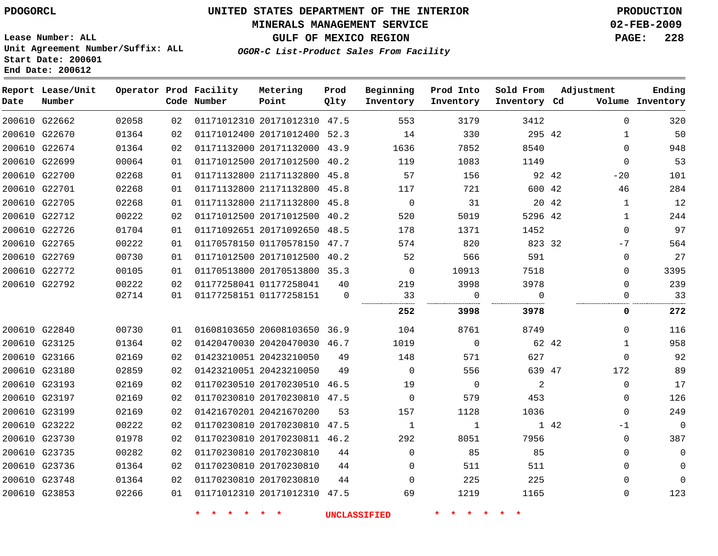### **MINERALS MANAGEMENT SERVICE 02-FEB-2009**

**GULF OF MEXICO REGION PAGE: 228**

**Lease Number: ALL Unit Agreement Number/Suffix: ALL Start Date: 200601 End Date: 200612**

**OGOR-C List-Product Sales From Facility**

| Date | Report Lease/Unit<br>Number |       |    | Operator Prod Facility<br>Code Number | Metering<br>Point            | Prod<br>Qlty | Beginning<br>Inventory | Prod Into<br>Inventory | Sold From<br>Inventory Cd | Adjustment   | Ending<br>Volume Inventory |
|------|-----------------------------|-------|----|---------------------------------------|------------------------------|--------------|------------------------|------------------------|---------------------------|--------------|----------------------------|
|      | 200610 G22662               | 02058 | 02 |                                       | 01171012310 20171012310 47.5 |              | 553                    | 3179                   | 3412                      | $\mathbf 0$  | 320                        |
|      | 200610 G22670               | 01364 | 02 |                                       | 01171012400 20171012400 52.3 |              | 14                     | 330                    | 295 42                    | $\mathbf{1}$ | 50                         |
|      | 200610 G22674               | 01364 | 02 |                                       | 01171132000 20171132000 43.9 |              | 1636                   | 7852                   | 8540                      | $\Omega$     | 948                        |
|      | 200610 G22699               | 00064 | 01 |                                       | 01171012500 20171012500 40.2 |              | 119                    | 1083                   | 1149                      | $\mathbf{0}$ | 53                         |
|      | 200610 G22700               | 02268 | 01 |                                       | 01171132800 21171132800 45.8 |              | 57                     | 156                    | 92 42                     | $-20$        | 101                        |
|      | 200610 G22701               | 02268 | 01 |                                       | 01171132800 21171132800 45.8 |              | 117                    | 721                    | 600 42                    | 46           | 284                        |
|      | 200610 G22705               | 02268 | 01 |                                       | 01171132800 21171132800 45.8 |              | $\overline{0}$         | 31                     | 20 42                     | $\mathbf{1}$ | 12                         |
|      | 200610 G22712               | 00222 | 02 |                                       | 01171012500 20171012500 40.2 |              | 520                    | 5019                   | 5296 42                   | $\mathbf{1}$ | 244                        |
|      | 200610 G22726               | 01704 | 01 |                                       | 01171092651 20171092650 48.5 |              | 178                    | 1371                   | 1452                      | $\mathbf 0$  | 97                         |
|      | 200610 G22765               | 00222 | 01 |                                       | 01170578150 01170578150 47.7 |              | 574                    | 820                    | 823 32                    | $-7$         | 564                        |
|      | 200610 G22769               | 00730 | 01 |                                       | 01171012500 20171012500 40.2 |              | 52                     | 566                    | 591                       | 0            | 27                         |
|      | 200610 G22772               | 00105 | 01 |                                       | 01170513800 20170513800 35.3 |              | $\overline{0}$         | 10913                  | 7518                      | 0            | 3395                       |
|      | 200610 G22792               | 00222 | 02 |                                       | 01177258041 01177258041      | 40           | 219                    | 3998                   | 3978                      | $\Omega$     | 239                        |
|      |                             | 02714 | 01 |                                       | 01177258151 01177258151      | $\mathbf 0$  | 33                     | $\mathbf 0$            | $\Omega$                  | 0            | 33                         |
|      |                             |       |    |                                       |                              |              | 252                    | 3998                   | 3978                      | 0            | 272                        |
|      | 200610 G22840               | 00730 | 01 |                                       | 01608103650 20608103650 36.9 |              | 104                    | 8761                   | 8749                      | 0            | 116                        |
|      | 200610 G23125               | 01364 | 02 |                                       | 01420470030 20420470030 46.7 |              | 1019                   | $\mathbf 0$            | 62 42                     | 1            | 958                        |
|      | 200610 G23166               | 02169 | 02 |                                       | 01423210051 20423210050      | 49           | 148                    | 571                    | 627                       | $\Omega$     | 92                         |
|      | 200610 G23180               | 02859 | 02 |                                       | 01423210051 20423210050      | 49           | $\Omega$               | 556                    | 639 47                    | 172          | 89                         |
|      | 200610 G23193               | 02169 | 02 |                                       | 01170230510 20170230510 46.5 |              | 19                     | $\overline{0}$         | 2                         | $\Omega$     | 17                         |
|      | 200610 G23197               | 02169 | 02 |                                       | 01170230810 20170230810 47.5 |              | $\overline{0}$         | 579                    | 453                       | $\mathbf 0$  | 126                        |
|      | 200610 G23199               | 02169 | 02 |                                       | 01421670201 20421670200      | 53           | 157                    | 1128                   | 1036                      | $\Omega$     | 249                        |
|      | 200610 G23222               | 00222 | 02 |                                       | 01170230810 20170230810 47.5 |              | $\mathbf{1}$           | $\mathbf{1}$           |                           | 1 42<br>-1   | $\mathbf 0$                |
|      | 200610 G23730               | 01978 | 02 |                                       | 01170230810 20170230811 46.2 |              | 292                    | 8051                   | 7956                      | 0            | 387                        |
|      | 200610 G23735               | 00282 | 02 |                                       | 01170230810 20170230810      | 44           | $\mathbf{0}$           | 85                     | 85                        | $\Omega$     | 0                          |
|      | 200610 G23736               | 01364 | 02 |                                       | 01170230810 20170230810      | 44           | $\mathbf{0}$           | 511                    | 511                       | 0            | 0                          |
|      | 200610 G23748               | 01364 | 02 |                                       | 01170230810 20170230810      | 44           | $\Omega$               | 225                    | 225                       | $\Omega$     | $\Omega$                   |
|      | 200610 G23853               | 02266 | 01 |                                       | 01171012310 20171012310 47.5 |              | 69                     | 1219                   | 1165                      | $\mathbf{0}$ | 123                        |
|      |                             |       |    |                                       |                              |              |                        |                        |                           |              |                            |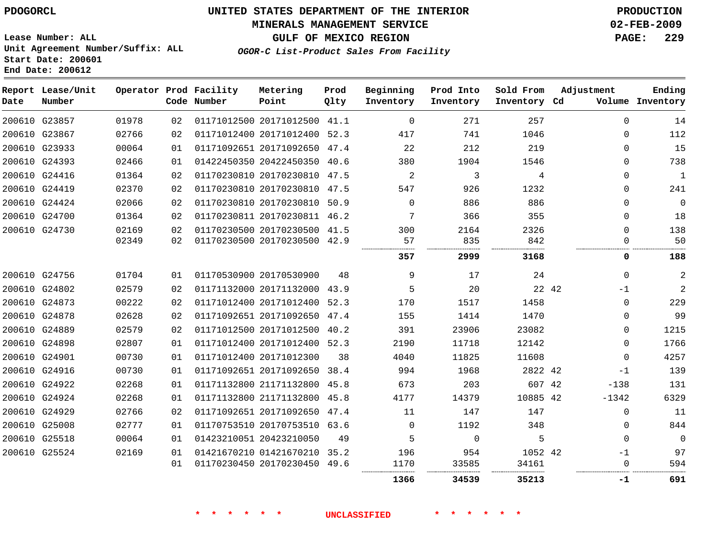# **MINERALS MANAGEMENT SERVICE 02-FEB-2009**

**GULF OF MEXICO REGION PAGE: 229**

**Lease Number: ALL Unit Agreement Number/Suffix: ALL Start Date: 200601 End Date: 200612**

**OGOR-C List-Product Sales From Facility**

| Date | Report Lease/Unit<br>Number |       |    | Operator Prod Facility<br>Code Number | Metering<br>Point            | Prod<br>Qlty | Beginning<br>Inventory | Prod Into<br>Inventory | Sold From<br>Inventory Cd | Adjustment  | Ending<br>Volume Inventory |
|------|-----------------------------|-------|----|---------------------------------------|------------------------------|--------------|------------------------|------------------------|---------------------------|-------------|----------------------------|
|      | 200610 G23857               | 01978 | 02 |                                       | 01171012500 20171012500 41.1 |              | $\overline{0}$         | 271                    | 257                       | $\Omega$    | 14                         |
|      | 200610 G23867               | 02766 | 02 |                                       | 01171012400 20171012400 52.3 |              | 417                    | 741                    | 1046                      | $\Omega$    | 112                        |
|      | 200610 G23933               | 00064 | 01 |                                       | 01171092651 20171092650 47.4 |              | 22                     | 212                    | 219                       | $\mathbf 0$ | 15                         |
|      | 200610 G24393               | 02466 | 01 |                                       | 01422450350 20422450350 40.6 |              | 380                    | 1904                   | 1546                      | $\Omega$    | 738                        |
|      | 200610 G24416               | 01364 | 02 |                                       | 01170230810 20170230810 47.5 |              | 2                      | 3                      | 4                         | $\Omega$    | $\mathbf 1$                |
|      | 200610 G24419               | 02370 | 02 |                                       | 01170230810 20170230810 47.5 |              | 547                    | 926                    | 1232                      | $\Omega$    | 241                        |
|      | 200610 G24424               | 02066 | 02 |                                       | 01170230810 20170230810 50.9 |              | $\Omega$               | 886                    | 886                       | $\Omega$    | $\mathbf 0$                |
|      | 200610 G24700               | 01364 | 02 |                                       | 01170230811 20170230811 46.2 |              | 7                      | 366                    | 355                       | $\Omega$    | 18                         |
|      | 200610 G24730               | 02169 | 02 |                                       | 01170230500 20170230500 41.5 |              | 300                    | 2164                   | 2326                      | $\Omega$    | 138                        |
|      |                             | 02349 | 02 |                                       | 01170230500 20170230500 42.9 |              | 57                     | 835                    | 842                       | 0           | 50                         |
|      |                             |       |    |                                       |                              |              | 357                    | 2999                   | 3168                      | 0           | 188                        |
|      | 200610 G24756               | 01704 | 01 |                                       | 01170530900 20170530900      | 48           | 9                      | 17                     | 24                        | $\Omega$    | 2                          |
|      | 200610 G24802               | 02579 | 02 |                                       | 01171132000 20171132000 43.9 |              | 5                      | 20                     | 22 42                     | $-1$        | 2                          |
|      | 200610 G24873               | 00222 | 02 |                                       | 01171012400 20171012400 52.3 |              | 170                    | 1517                   | 1458                      | $\mathbf 0$ | 229                        |
|      | 200610 G24878               | 02628 | 02 |                                       | 01171092651 20171092650 47.4 |              | 155                    | 1414                   | 1470                      | $\mathbf 0$ | 99                         |
|      | 200610 G24889               | 02579 | 02 |                                       | 01171012500 20171012500 40.2 |              | 391                    | 23906                  | 23082                     | $\mathbf 0$ | 1215                       |
|      | 200610 G24898               | 02807 | 01 |                                       | 01171012400 20171012400 52.3 |              | 2190                   | 11718                  | 12142                     | $\Omega$    | 1766                       |
|      | 200610 G24901               | 00730 | 01 |                                       | 01171012400 20171012300      | 38           | 4040                   | 11825                  | 11608                     | $\mathbf 0$ | 4257                       |
|      | 200610 G24916               | 00730 | 01 |                                       | 01171092651 20171092650 38.4 |              | 994                    | 1968                   | 2822 42                   | $-1$        | 139                        |
|      | 200610 G24922               | 02268 | 01 |                                       | 01171132800 21171132800 45.8 |              | 673                    | 203                    | 607 42                    | $-138$      | 131                        |
|      | 200610 G24924               | 02268 | 01 |                                       | 01171132800 21171132800 45.8 |              | 4177                   | 14379                  | 10885 42                  | $-1342$     | 6329                       |
|      | 200610 G24929               | 02766 | 02 |                                       | 01171092651 20171092650 47.4 |              | 11                     | 147                    | 147                       | $\mathbf 0$ | 11                         |
|      | 200610 G25008               | 02777 | 01 |                                       | 01170753510 20170753510 63.6 |              | $\overline{0}$         | 1192                   | 348                       | $\mathbf 0$ | 844                        |
|      | 200610 G25518               | 00064 | 01 |                                       | 01423210051 20423210050      | 49           | 5                      | $\Omega$               | 5                         | $\Omega$    | $\mathbf 0$                |
|      | 200610 G25524               | 02169 | 01 |                                       | 01421670210 01421670210 35.2 |              | 196                    | 954                    | 1052 42                   | $-1$        | 97                         |
|      |                             |       | 01 |                                       | 01170230450 20170230450 49.6 |              | 1170                   | 33585                  | 34161                     | 0           | 594                        |
|      |                             |       |    |                                       |                              |              | 1366                   | 34539                  | 35213                     | -1          | 691                        |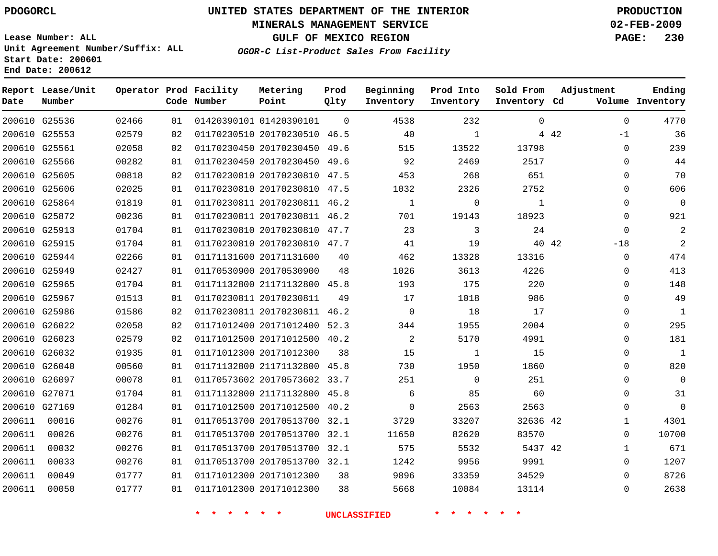### **MINERALS MANAGEMENT SERVICE 02-FEB-2009**

**GULF OF MEXICO REGION PAGE: 230**

**Lease Number: ALL Unit Agreement Number/Suffix: ALL Start Date: 200601 End Date: 200612**

**OGOR-C List-Product Sales From Facility**

| Date   | Report Lease/Unit<br>Number |       |    | Operator Prod Facility<br>Code Number | Metering<br>Point            | Prod<br>Qlty | Beginning<br>Inventory | Prod Into<br>Inventory | Sold From<br>Inventory Cd | Adjustment |              | Ending<br>Volume Inventory |
|--------|-----------------------------|-------|----|---------------------------------------|------------------------------|--------------|------------------------|------------------------|---------------------------|------------|--------------|----------------------------|
|        | 200610 G25536               | 02466 | 01 |                                       | 01420390101 01420390101      | $\Omega$     | 4538                   | 232                    | $\Omega$                  |            | $\Omega$     | 4770                       |
|        | 200610 G25553               | 02579 | 02 |                                       | 01170230510 20170230510 46.5 |              | 40                     | $\mathbf{1}$           |                           | 4 4 2      | $-1$         | 36                         |
|        | 200610 G25561               | 02058 | 02 |                                       | 01170230450 20170230450 49.6 |              | 515                    | 13522                  | 13798                     |            | $\mathbf 0$  | 239                        |
|        | 200610 G25566               | 00282 | 01 |                                       | 01170230450 20170230450 49.6 |              | 92                     | 2469                   | 2517                      |            | 0            | 44                         |
|        | 200610 G25605               | 00818 | 02 |                                       | 01170230810 20170230810 47.5 |              | 453                    | 268                    | 651                       |            | 0            | 70                         |
|        | 200610 G25606               | 02025 | 01 |                                       | 01170230810 20170230810 47.5 |              | 1032                   | 2326                   | 2752                      |            | $\mathbf 0$  | 606                        |
|        | 200610 G25864               | 01819 | 01 |                                       | 01170230811 20170230811 46.2 |              | $\mathbf{1}$           | $\Omega$               | $\mathbf{1}$              |            | $\Omega$     | $\Omega$                   |
|        | 200610 G25872               | 00236 | 01 |                                       | 01170230811 20170230811 46.2 |              | 701                    | 19143                  | 18923                     |            | $\Omega$     | 921                        |
|        | 200610 G25913               | 01704 | 01 |                                       | 01170230810 20170230810 47.7 |              | 23                     | 3                      | 24                        |            | $\mathbf 0$  | $\overline{c}$             |
|        | 200610 G25915               | 01704 | 01 |                                       | 01170230810 20170230810 47.7 |              | 41                     | 19                     |                           | 40 42      | $-18$        | $\overline{2}$             |
|        | 200610 G25944               | 02266 | 01 |                                       | 01171131600 20171131600      | 40           | 462                    | 13328                  | 13316                     |            | $\mathbf 0$  | 474                        |
|        | 200610 G25949               | 02427 | 01 |                                       | 01170530900 20170530900      | 48           | 1026                   | 3613                   | 4226                      |            | $\mathbf 0$  | 413                        |
|        | 200610 G25965               | 01704 | 01 |                                       | 01171132800 21171132800 45.8 |              | 193                    | 175                    | 220                       |            | $\Omega$     | 148                        |
|        | 200610 G25967               | 01513 | 01 |                                       | 01170230811 20170230811      | 49           | 17                     | 1018                   | 986                       |            | $\mathbf 0$  | 49                         |
|        | 200610 G25986               | 01586 | 02 |                                       | 01170230811 20170230811 46.2 |              | $\mathbf 0$            | 18                     | 17                        |            | 0            | $\mathbf{1}$               |
|        | 200610 G26022               | 02058 | 02 |                                       | 01171012400 20171012400 52.3 |              | 344                    | 1955                   | 2004                      |            | $\mathbf 0$  | 295                        |
|        | 200610 G26023               | 02579 | 02 |                                       | 01171012500 20171012500 40.2 |              | 2                      | 5170                   | 4991                      |            | $\Omega$     | 181                        |
|        | 200610 G26032               | 01935 | 01 |                                       | 01171012300 20171012300      | 38           | 15                     | $\mathbf{1}$           | 15                        |            | $\mathbf 0$  | $\mathbf{1}$               |
|        | 200610 G26040               | 00560 | 01 |                                       | 01171132800 21171132800 45.8 |              | 730                    | 1950                   | 1860                      |            | 0            | 820                        |
|        | 200610 G26097               | 00078 | 01 |                                       | 01170573602 20170573602 33.7 |              | 251                    | $\mathbf 0$            | 251                       |            | $\mathbf 0$  | $\mathbf 0$                |
|        | 200610 G27071               | 01704 | 01 |                                       | 01171132800 21171132800 45.8 |              | 6                      | 85                     | 60                        |            | $\Omega$     | 31                         |
|        | 200610 G27169               | 01284 | 01 |                                       | 01171012500 20171012500 40.2 |              | $\mathbf 0$            | 2563                   | 2563                      |            | $\mathbf 0$  | $\Omega$                   |
| 200611 | 00016                       | 00276 | 01 |                                       | 01170513700 20170513700 32.1 |              | 3729                   | 33207                  | 32636 42                  |            | $\mathbf{1}$ | 4301                       |
| 200611 | 00026                       | 00276 | 01 |                                       | 01170513700 20170513700 32.1 |              | 11650                  | 82620                  | 83570                     |            | $\mathbf 0$  | 10700                      |
| 200611 | 00032                       | 00276 | 01 |                                       | 01170513700 20170513700 32.1 |              | 575                    | 5532                   | 5437 42                   |            | $\mathbf{1}$ | 671                        |
| 200611 | 00033                       | 00276 | 01 |                                       | 01170513700 20170513700 32.1 |              | 1242                   | 9956                   | 9991                      |            | $\mathbf 0$  | 1207                       |
| 200611 | 00049                       | 01777 | 01 |                                       | 01171012300 20171012300      | 38           | 9896                   | 33359                  | 34529                     |            | $\Omega$     | 8726                       |
| 200611 | 00050                       | 01777 | 01 |                                       | 01171012300 20171012300      | 38           | 5668                   | 10084                  | 13114                     |            | $\Omega$     | 2638                       |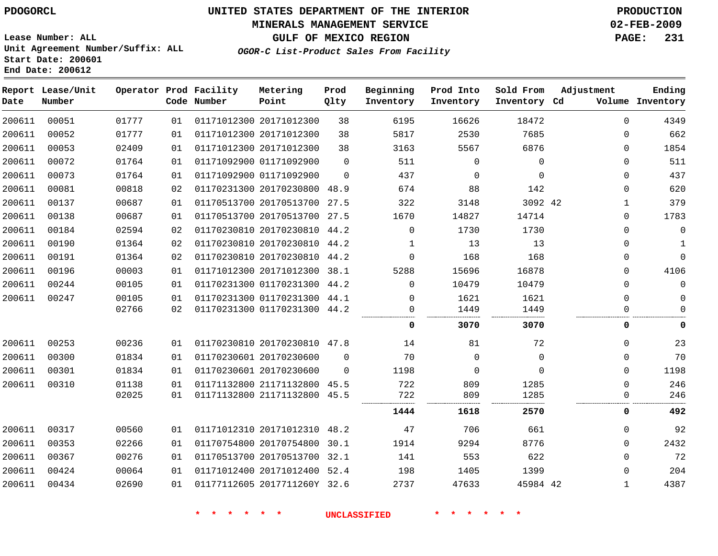# **MINERALS MANAGEMENT SERVICE 02-FEB-2009**

**GULF OF MEXICO REGION PAGE: 231**

**Lease Number: ALL Unit Agreement Number/Suffix: ALL Start Date: 200601 End Date: 200612**

**OGOR-C List-Product Sales From Facility**

| Date   | Report Lease/Unit<br>Number |       |    | Operator Prod Facility<br>Code Number | Metering<br>Point            | Prod<br>Qlty | Beginning<br>Inventory | Prod Into<br>Inventory | Sold From<br>Inventory Cd | Adjustment   | Ending<br>Volume Inventory |
|--------|-----------------------------|-------|----|---------------------------------------|------------------------------|--------------|------------------------|------------------------|---------------------------|--------------|----------------------------|
| 200611 | 00051                       | 01777 | 01 |                                       | 01171012300 20171012300      | 38           | 6195                   | 16626                  | 18472                     | $\Omega$     | 4349                       |
| 200611 | 00052                       | 01777 | 01 |                                       | 01171012300 20171012300      | 38           | 5817                   | 2530                   | 7685                      | $\Omega$     | 662                        |
| 200611 | 00053                       | 02409 | 01 |                                       | 01171012300 20171012300      | 38           | 3163                   | 5567                   | 6876                      | 0            | 1854                       |
| 200611 | 00072                       | 01764 | 01 |                                       | 01171092900 01171092900      | $\Omega$     | 511                    | 0                      | 0                         | 0            | 511                        |
| 200611 | 00073                       | 01764 | 01 |                                       | 01171092900 01171092900      | $\mathbf 0$  | 437                    | $\mathbf 0$            | $\mathbf 0$               | $\Omega$     | 437                        |
| 200611 | 00081                       | 00818 | 02 |                                       | 01170231300 20170230800      | 48.9         | 674                    | 88                     | 142                       | 0            | 620                        |
| 200611 | 00137                       | 00687 | 01 |                                       | 01170513700 20170513700 27.5 |              | 322                    | 3148                   | 3092 42                   | 1            | 379                        |
| 200611 | 00138                       | 00687 | 01 |                                       | 01170513700 20170513700 27.5 |              | 1670                   | 14827                  | 14714                     | 0            | 1783                       |
| 200611 | 00184                       | 02594 | 02 |                                       | 01170230810 20170230810 44.2 |              | $\Omega$               | 1730                   | 1730                      | $\Omega$     | $\mathbf{0}$               |
| 200611 | 00190                       | 01364 | 02 |                                       | 01170230810 20170230810 44.2 |              | 1                      | 13                     | 13                        | $\Omega$     | 1                          |
| 200611 | 00191                       | 01364 | 02 |                                       | 01170230810 20170230810 44.2 |              | $\Omega$               | 168                    | 168                       | $\Omega$     | $\Omega$                   |
| 200611 | 00196                       | 00003 | 01 |                                       | 01171012300 20171012300 38.1 |              | 5288                   | 15696                  | 16878                     | $\Omega$     | 4106                       |
| 200611 | 00244                       | 00105 | 01 |                                       | 01170231300 01170231300 44.2 |              | $\Omega$               | 10479                  | 10479                     | $\Omega$     | $\Omega$                   |
| 200611 | 00247                       | 00105 | 01 |                                       | 01170231300 01170231300 44.1 |              | 0                      | 1621                   | 1621                      | $\mathbf{0}$ | 0                          |
|        |                             | 02766 | 02 |                                       | 01170231300 01170231300 44.2 |              | 0                      | 1449                   | 1449                      | 0            | $\Omega$                   |
|        |                             |       |    |                                       |                              |              | 0                      | 3070                   | 3070                      | 0            | 0                          |
| 200611 | 00253                       | 00236 | 01 |                                       | 01170230810 20170230810 47.8 |              | 14                     | 81                     | 72                        | 0            | 23                         |
| 200611 | 00300                       | 01834 | 01 |                                       | 01170230601 20170230600      | $\Omega$     | 70                     | $\mathbf 0$            | $\mathbf 0$               | $\Omega$     | 70                         |
| 200611 | 00301                       | 01834 | 01 |                                       | 01170230601 20170230600      | $\Omega$     | 1198                   | $\Omega$               | $\Omega$                  | $\Omega$     | 1198                       |
| 200611 | 00310                       | 01138 | 01 |                                       | 01171132800 21171132800      | 45.5         | 722                    | 809                    | 1285                      | $\mathbf{0}$ | 246                        |
|        |                             | 02025 | 01 |                                       | 01171132800 21171132800 45.5 |              | 722                    | 809                    | 1285                      | 0            | 246                        |
|        |                             |       |    |                                       |                              |              | 1444                   | 1618                   | 2570                      | 0            | 492                        |
| 200611 | 00317                       | 00560 | 01 |                                       | 01171012310 20171012310 48.2 |              | 47                     | 706                    | 661                       | 0            | 92                         |
| 200611 | 00353                       | 02266 | 01 |                                       | 01170754800 20170754800      | 30.1         | 1914                   | 9294                   | 8776                      | $\mathbf{0}$ | 2432                       |
| 200611 | 00367                       | 00276 | 01 |                                       | 01170513700 20170513700 32.1 |              | 141                    | 553                    | 622                       | $\Omega$     | 72                         |
| 200611 | 00424                       | 00064 | 01 |                                       | 01171012400 20171012400 52.4 |              | 198                    | 1405                   | 1399                      | $\mathbf{0}$ | 204                        |
| 200611 | 00434                       | 02690 | 01 |                                       | 01177112605 2017711260Y 32.6 |              | 2737                   | 47633                  | 45984 42                  | 1            | 4387                       |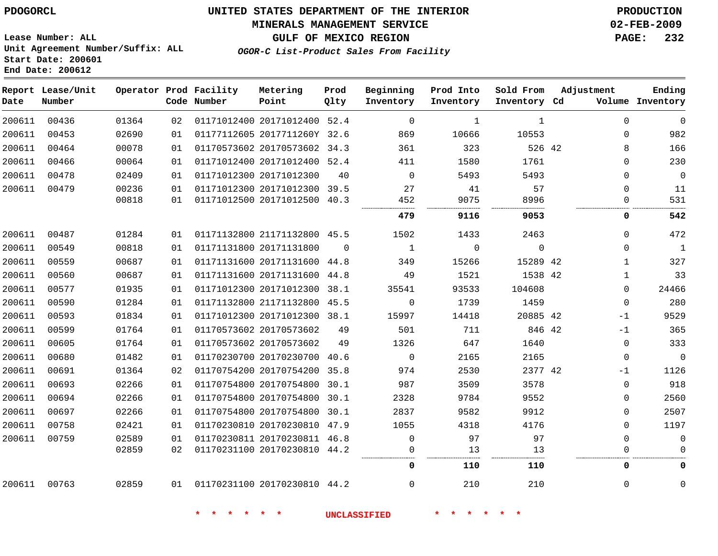### **MINERALS MANAGEMENT SERVICE 02-FEB-2009**

**GULF OF MEXICO REGION PAGE: 232**

**Lease Number: ALL Unit Agreement Number/Suffix: ALL Start Date: 200601 End Date: 200612**

**OGOR-C List-Product Sales From Facility**

| Date   | Report Lease/Unit<br>Number |       |    | Operator Prod Facility<br>Code Number | Metering<br>Point            | Prod<br>Qlty | Beginning<br>Inventory | Prod Into<br>Inventory | Sold From<br>Inventory Cd | Adjustment   | Ending<br>Volume Inventory |
|--------|-----------------------------|-------|----|---------------------------------------|------------------------------|--------------|------------------------|------------------------|---------------------------|--------------|----------------------------|
| 200611 | 00436                       | 01364 | 02 |                                       | 01171012400 20171012400 52.4 |              | $\Omega$               | 1                      | 1                         | $\Omega$     | $\Omega$                   |
| 200611 | 00453                       | 02690 | 01 |                                       | 01177112605 2017711260Y 32.6 |              | 869                    | 10666                  | 10553                     | $\Omega$     | 982                        |
| 200611 | 00464                       | 00078 | 01 |                                       | 01170573602 20170573602 34.3 |              | 361                    | 323                    | 526 42                    | 8            | 166                        |
| 200611 | 00466                       | 00064 | 01 |                                       | 01171012400 20171012400 52.4 |              | 411                    | 1580                   | 1761                      | $\Omega$     | 230                        |
| 200611 | 00478                       | 02409 | 01 |                                       | 01171012300 20171012300      | 40           | $\Omega$               | 5493                   | 5493                      | $\Omega$     | $\mathbf 0$                |
| 200611 | 00479                       | 00236 | 01 |                                       | 01171012300 20171012300 39.5 |              | 27                     | 41                     | 57                        | $\Omega$     | 11                         |
|        |                             | 00818 | 01 |                                       | 01171012500 20171012500 40.3 |              | 452                    | 9075                   | 8996                      | $\Omega$     | 531                        |
|        |                             |       |    |                                       |                              |              | 479                    | 9116                   | 9053                      | $\mathbf 0$  | 542                        |
| 200611 | 00487                       | 01284 | 01 |                                       | 01171132800 21171132800 45.5 |              | 1502                   | 1433                   | 2463                      | $\Omega$     | 472                        |
| 200611 | 00549                       | 00818 | 01 |                                       | 01171131800 20171131800      | $\Omega$     | $\mathbf{1}$           | $\mathbf 0$            | $\mathbf 0$               | $\mathbf 0$  | $\mathbf{1}$               |
| 200611 | 00559                       | 00687 | 01 |                                       | 01171131600 20171131600 44.8 |              | 349                    | 15266                  | 15289 42                  | $\mathbf{1}$ | 327                        |
| 200611 | 00560                       | 00687 | 01 |                                       | 01171131600 20171131600 44.8 |              | 49                     | 1521                   | 1538 42                   | $\mathbf{1}$ | 33                         |
| 200611 | 00577                       | 01935 | 01 |                                       | 01171012300 20171012300 38.1 |              | 35541                  | 93533                  | 104608                    | $\Omega$     | 24466                      |
| 200611 | 00590                       | 01284 | 01 |                                       | 01171132800 21171132800 45.5 |              | $\mathbf 0$            | 1739                   | 1459                      | $\Omega$     | 280                        |
| 200611 | 00593                       | 01834 | 01 |                                       | 01171012300 20171012300 38.1 |              | 15997                  | 14418                  | 20885 42                  | $-1$         | 9529                       |
| 200611 | 00599                       | 01764 | 01 |                                       | 01170573602 20170573602      | 49           | 501                    | 711                    | 846 42                    | $-1$         | 365                        |
| 200611 | 00605                       | 01764 | 01 |                                       | 01170573602 20170573602      | 49           | 1326                   | 647                    | 1640                      | $\Omega$     | 333                        |
| 200611 | 00680                       | 01482 | 01 |                                       | 01170230700 20170230700 40.6 |              | $\overline{0}$         | 2165                   | 2165                      | $\mathbf 0$  | $\mathbf 0$                |
| 200611 | 00691                       | 01364 | 02 |                                       | 01170754200 20170754200 35.8 |              | 974                    | 2530                   | 2377 42                   | $-1$         | 1126                       |
| 200611 | 00693                       | 02266 | 01 |                                       | 01170754800 20170754800 30.1 |              | 987                    | 3509                   | 3578                      | $\mathbf 0$  | 918                        |
| 200611 | 00694                       | 02266 | 01 |                                       | 01170754800 20170754800 30.1 |              | 2328                   | 9784                   | 9552                      | $\mathbf{0}$ | 2560                       |
| 200611 | 00697                       | 02266 | 01 |                                       | 01170754800 20170754800 30.1 |              | 2837                   | 9582                   | 9912                      | $\mathbf 0$  | 2507                       |
| 200611 | 00758                       | 02421 | 01 |                                       | 01170230810 20170230810 47.9 |              | 1055                   | 4318                   | 4176                      | $\Omega$     | 1197                       |
| 200611 | 00759                       | 02589 | 01 |                                       | 01170230811 20170230811 46.8 |              | $\mathbf 0$            | 97                     | 97                        | $\Omega$     | $\Omega$                   |
|        |                             | 02859 | 02 |                                       | 01170231100 20170230810 44.2 |              | $\Omega$               | 13                     | 13                        | $\Omega$     | $\Omega$                   |
|        |                             |       |    |                                       |                              |              | 0                      | 110                    | 110                       | 0            | $\mathbf 0$                |
| 200611 | 00763                       | 02859 | 01 | 01170231100 20170230810 44.2          |                              |              | $\Omega$               | 210                    | 210                       | $\mathbf 0$  | $\Omega$                   |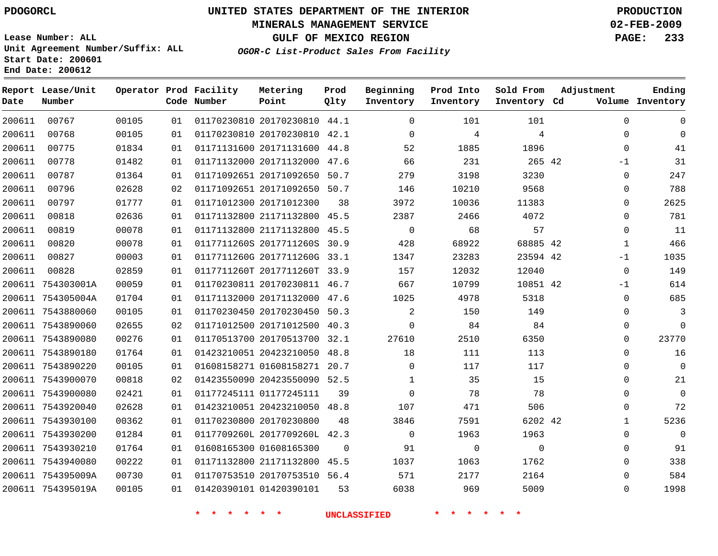### **MINERALS MANAGEMENT SERVICE 02-FEB-2009**

**GULF OF MEXICO REGION PAGE: 233**

**Lease Number: ALL Unit Agreement Number/Suffix: ALL Start Date: 200601 End Date: 200612**

**OGOR-C List-Product Sales From Facility**

| Date   | Report Lease/Unit<br>Number |       |    | Operator Prod Facility<br>Code Number | Metering<br>Point            | Prod<br>Qlty | Beginning<br>Inventory | Prod Into<br>Inventory | Sold From<br>Inventory Cd | Adjustment   | Ending<br>Volume Inventory |
|--------|-----------------------------|-------|----|---------------------------------------|------------------------------|--------------|------------------------|------------------------|---------------------------|--------------|----------------------------|
| 200611 | 00767                       | 00105 | 01 |                                       | 01170230810 20170230810 44.1 |              | $\Omega$               | 101                    | 101                       | $\Omega$     | $\Omega$                   |
| 200611 | 00768                       | 00105 | 01 |                                       | 01170230810 20170230810 42.1 |              | $\Omega$               | 4                      | 4                         | $\Omega$     | $\Omega$                   |
| 200611 | 00775                       | 01834 | 01 |                                       | 01171131600 20171131600 44.8 |              | 52                     | 1885                   | 1896                      | 0            | 41                         |
| 200611 | 00778                       | 01482 | 01 |                                       | 01171132000 20171132000      | 47.6         | 66                     | 231                    | 265 42                    | $-1$         | 31                         |
| 200611 | 00787                       | 01364 | 01 |                                       | 01171092651 20171092650      | 50.7         | 279                    | 3198                   | 3230                      | 0            | 247                        |
| 200611 | 00796                       | 02628 | 02 |                                       | 01171092651 20171092650 50.7 |              | 146                    | 10210                  | 9568                      | 0            | 788                        |
| 200611 | 00797                       | 01777 | 01 |                                       | 01171012300 20171012300      | 38           | 3972                   | 10036                  | 11383                     | $\mathbf 0$  | 2625                       |
| 200611 | 00818                       | 02636 | 01 |                                       | 01171132800 21171132800      | 45.5         | 2387                   | 2466                   | 4072                      | 0            | 781                        |
| 200611 | 00819                       | 00078 | 01 |                                       | 01171132800 21171132800 45.5 |              | $\mathbf 0$            | 68                     | 57                        | 0            | 11                         |
| 200611 | 00820                       | 00078 | 01 |                                       | 0117711260S 2017711260S 30.9 |              | 428                    | 68922                  | 68885 42                  | $\mathbf{1}$ | 466                        |
| 200611 | 00827                       | 00003 | 01 |                                       | 0117711260G 2017711260G 33.1 |              | 1347                   | 23283                  | 23594 42                  | $-1$         | 1035                       |
| 200611 | 00828                       | 02859 | 01 |                                       | 0117711260T 2017711260T 33.9 |              | 157                    | 12032                  | 12040                     | 0            | 149                        |
|        | 200611 754303001A           | 00059 | 01 |                                       | 01170230811 20170230811 46.7 |              | 667                    | 10799                  | 10851 42                  | -1           | 614                        |
|        | 200611 754305004A           | 01704 | 01 |                                       | 01171132000 20171132000 47.6 |              | 1025                   | 4978                   | 5318                      | $\mathbf 0$  | 685                        |
|        | 200611 7543880060           | 00105 | 01 |                                       | 01170230450 20170230450 50.3 |              | $\overline{2}$         | 150                    | 149                       | $\Omega$     | 3                          |
|        | 200611 7543890060           | 02655 | 02 |                                       | 01171012500 20171012500 40.3 |              | $\mathbf 0$            | 84                     | 84                        | 0            | $\mathbf 0$                |
|        | 200611 7543890080           | 00276 | 01 |                                       | 01170513700 20170513700 32.1 |              | 27610                  | 2510                   | 6350                      | 0            | 23770                      |
|        | 200611 7543890180           | 01764 | 01 |                                       | 01423210051 20423210050 48.8 |              | 18                     | 111                    | 113                       | $\mathbf 0$  | 16                         |
|        | 200611 7543890220           | 00105 | 01 |                                       | 01608158271 01608158271 20.7 |              | $\Omega$               | 117                    | 117                       | $\Omega$     | $\Omega$                   |
|        | 200611 7543900070           | 00818 | 02 |                                       | 01423550090 20423550090 52.5 |              | $\mathbf{1}$           | 35                     | 15                        | $\mathbf{0}$ | 21                         |
|        | 200611 7543900080           | 02421 | 01 |                                       | 01177245111 01177245111      | 39           | $\Omega$               | 78                     | 78                        | $\Omega$     | $\mathbf 0$                |
|        | 200611 7543920040           | 02628 | 01 |                                       | 01423210051 20423210050 48.8 |              | 107                    | 471                    | 506                       | 0            | 72                         |
|        | 200611 7543930100           | 00362 | 01 |                                       | 01170230800 20170230800      | 48           | 3846                   | 7591                   | 6202 42                   | $\mathbf{1}$ | 5236                       |
|        | 200611 7543930200           | 01284 | 01 |                                       | 0117709260L 2017709260L 42.3 |              | $\mathbf 0$            | 1963                   | 1963                      | $\mathbf{0}$ | $\mathbf{0}$               |
|        | 200611 7543930210           | 01764 | 01 |                                       | 01608165300 01608165300      | 0            | 91                     | 0                      | $\mathbf 0$               | $\Omega$     | 91                         |
|        | 200611 7543940080           | 00222 | 01 |                                       | 01171132800 21171132800 45.5 |              | 1037                   | 1063                   | 1762                      | 0            | 338                        |
|        | 200611 754395009A           | 00730 | 01 |                                       | 01170753510 20170753510 56.4 |              | 571                    | 2177                   | 2164                      | $\Omega$     | 584                        |
|        | 200611 754395019A           | 00105 | 01 |                                       | 01420390101 01420390101      | 53           | 6038                   | 969                    | 5009                      | $\Omega$     | 1998                       |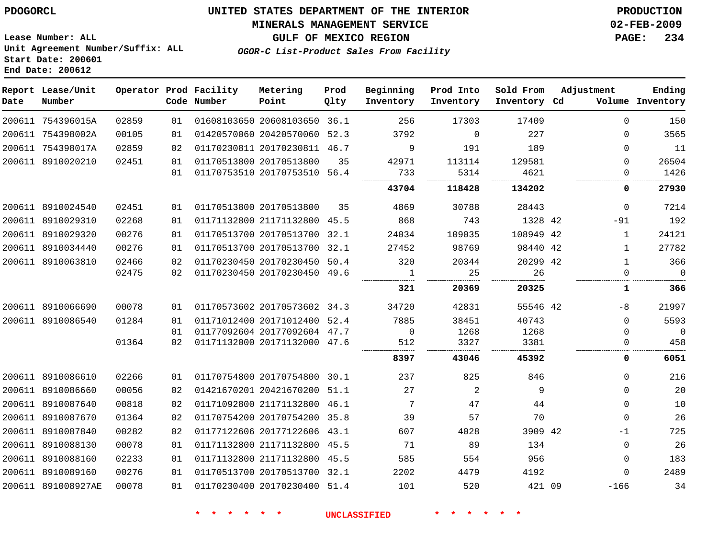### **MINERALS MANAGEMENT SERVICE 02-FEB-2009**

**GULF OF MEXICO REGION PAGE: 234**

**Lease Number: ALL Unit Agreement Number/Suffix: ALL Start Date: 200601 End Date: 200612**

**OGOR-C List-Product Sales From Facility**

| Date | Report Lease/Unit<br>Number |       |                 | Operator Prod Facility<br>Code Number | Metering<br>Point            | Prod<br>Qlty | Beginning<br>Inventory | Prod Into<br>Inventory | Sold From<br>Inventory Cd | Adjustment |              | Ending<br>Volume Inventory |
|------|-----------------------------|-------|-----------------|---------------------------------------|------------------------------|--------------|------------------------|------------------------|---------------------------|------------|--------------|----------------------------|
|      | 200611 754396015A           | 02859 | 01              |                                       | 01608103650 20608103650 36.1 |              | 256                    | 17303                  | 17409                     |            | $\mathbf 0$  | 150                        |
|      | 200611 754398002A           | 00105 | 01              |                                       | 01420570060 20420570060 52.3 |              | 3792                   | $\Omega$               | 227                       |            | $\mathbf 0$  | 3565                       |
|      | 200611 754398017A           | 02859 | 02 <sub>o</sub> |                                       | 01170230811 20170230811 46.7 |              | 9                      | 191                    | 189                       |            | $\Omega$     | 11                         |
|      | 200611 8910020210           | 02451 | 01              |                                       | 01170513800 20170513800      | 35           | 42971                  | 113114                 | 129581                    |            | $\Omega$     | 26504                      |
|      |                             |       | 01              |                                       | 01170753510 20170753510 56.4 |              | 733                    | 5314                   | 4621                      |            | $\Omega$     | 1426                       |
|      |                             |       |                 |                                       |                              |              | 43704                  | 118428                 | 134202                    |            | 0            | 27930                      |
|      | 200611 8910024540           | 02451 | 01              |                                       | 01170513800 20170513800      | 35           | 4869                   | 30788                  | 28443                     |            | $\Omega$     | 7214                       |
|      | 200611 8910029310           | 02268 | 01              |                                       | 01171132800 21171132800 45.5 |              | 868                    | 743                    | 1328 42                   |            | $-91$        | 192                        |
|      | 200611 8910029320           | 00276 | 01              |                                       | 01170513700 20170513700 32.1 |              | 24034                  | 109035                 | 108949 42                 |            | $\mathbf{1}$ | 24121                      |
|      | 200611 8910034440           | 00276 | 01              |                                       | 01170513700 20170513700 32.1 |              | 27452                  | 98769                  | 98440 42                  |            | $\mathbf{1}$ | 27782                      |
|      | 200611 8910063810           | 02466 | 02              |                                       | 01170230450 20170230450 50.4 |              | 320                    | 20344                  | 20299 42                  |            | $\mathbf{1}$ | 366                        |
|      |                             | 02475 | 02              |                                       | 01170230450 20170230450 49.6 |              | $\mathbf{1}$           | 25                     | 26                        |            | $\mathbf 0$  | $\Omega$                   |
|      |                             |       |                 |                                       |                              |              | 321                    | 20369                  | 20325                     |            | 1            | 366                        |
|      | 200611 8910066690           | 00078 | 01              |                                       | 01170573602 20170573602 34.3 |              | 34720                  | 42831                  | 55546 42                  |            | -8           | 21997                      |
|      | 200611 8910086540           | 01284 | 01              |                                       | 01171012400 20171012400      | 52.4         | 7885                   | 38451                  | 40743                     |            | $\Omega$     | 5593                       |
|      |                             |       | 01              |                                       | 01177092604 20177092604 47.7 |              | $\mathbf 0$            | 1268                   | 1268                      |            | $\Omega$     | $\mathbf 0$                |
|      |                             | 01364 | 02 <sub>o</sub> |                                       | 01171132000 20171132000 47.6 |              | 512                    | 3327                   | 3381                      |            | $\Omega$     | 458                        |
|      |                             |       |                 |                                       |                              |              | 8397                   | 43046                  | 45392                     |            | 0            | 6051                       |
|      | 200611 8910086610           | 02266 | 01              |                                       | 01170754800 20170754800 30.1 |              | 237                    | 825                    | 846                       |            | $\mathbf 0$  | 216                        |
|      | 200611 8910086660           | 00056 | 02              |                                       | 01421670201 20421670200 51.1 |              | 27                     | 2                      | 9                         |            | $\Omega$     | 20                         |
|      | 200611 8910087640           | 00818 | 02              |                                       | 01171092800 21171132800 46.1 |              | 7                      | 47                     | 44                        |            | $\mathbf 0$  | 10                         |
|      | 200611 8910087670           | 01364 | 02              |                                       | 01170754200 20170754200 35.8 |              | 39                     | 57                     | 70                        |            | $\mathbf 0$  | 26                         |
|      | 200611 8910087840           | 00282 | 02 <sub>o</sub> |                                       | 01177122606 20177122606 43.1 |              | 607                    | 4028                   | 3909 42                   |            | $-1$         | 725                        |
|      | 200611 8910088130           | 00078 | 01              |                                       | 01171132800 21171132800 45.5 |              | 71                     | 89                     | 134                       |            | $\Omega$     | 26                         |
|      | 200611 8910088160           | 02233 | 01              |                                       | 01171132800 21171132800 45.5 |              | 585                    | 554                    | 956                       |            | $\mathbf 0$  | 183                        |
|      | 200611 8910089160           | 00276 | 01              |                                       | 01170513700 20170513700 32.1 |              | 2202                   | 4479                   | 4192                      |            | $\Omega$     | 2489                       |
|      | 200611 891008927AE          | 00078 | 01              |                                       | 01170230400 20170230400 51.4 |              | 101                    | 520                    | 421 09                    |            | $-166$       | 34                         |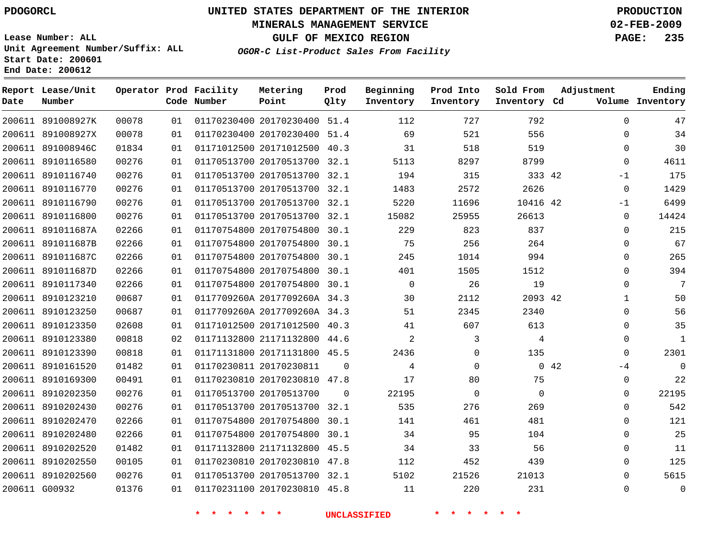### **MINERALS MANAGEMENT SERVICE 02-FEB-2009**

**GULF OF MEXICO REGION PAGE: 235**

**Lease Number: ALL Unit Agreement Number/Suffix: ALL Start Date: 200601 End Date: 200612**

**OGOR-C List-Product Sales From Facility**

| Date | Report Lease/Unit<br>Number |       |    | Operator Prod Facility<br>Code Number | Metering<br>Point            | Prod<br>Qlty | Beginning<br>Inventory | Prod Into<br>Inventory | Sold From<br>Inventory Cd | Adjustment   | Ending<br>Volume Inventory |
|------|-----------------------------|-------|----|---------------------------------------|------------------------------|--------------|------------------------|------------------------|---------------------------|--------------|----------------------------|
|      | 200611 891008927K           | 00078 | 01 |                                       | 01170230400 20170230400 51.4 |              | 112                    | 727                    | 792                       | $\Omega$     | 47                         |
|      | 200611 891008927X           | 00078 | 01 |                                       | 01170230400 20170230400 51.4 |              | 69                     | 521                    | 556                       | $\mathbf 0$  | 34                         |
|      | 200611 891008946C           | 01834 | 01 |                                       | 01171012500 20171012500 40.3 |              | 31                     | 518                    | 519                       | $\Omega$     | 30                         |
|      | 200611 8910116580           | 00276 | 01 |                                       | 01170513700 20170513700 32.1 |              | 5113                   | 8297                   | 8799                      | $\mathbf 0$  | 4611                       |
|      | 200611 8910116740           | 00276 | 01 |                                       | 01170513700 20170513700 32.1 |              | 194                    | 315                    | 333 42                    | $-1$         | 175                        |
|      | 200611 8910116770           | 00276 | 01 |                                       | 01170513700 20170513700 32.1 |              | 1483                   | 2572                   | 2626                      | $\mathbf 0$  | 1429                       |
|      | 200611 8910116790           | 00276 | 01 |                                       | 01170513700 20170513700 32.1 |              | 5220                   | 11696                  | 10416 42                  | $-1$         | 6499                       |
|      | 200611 8910116800           | 00276 | 01 |                                       | 01170513700 20170513700 32.1 |              | 15082                  | 25955                  | 26613                     | $\mathbf 0$  | 14424                      |
|      | 200611 891011687A           | 02266 | 01 |                                       | 01170754800 20170754800 30.1 |              | 229                    | 823                    | 837                       | $\mathbf 0$  | 215                        |
|      | 200611 891011687B           | 02266 | 01 |                                       | 01170754800 20170754800 30.1 |              | 75                     | 256                    | 264                       | $\mathbf 0$  | 67                         |
|      | 200611 891011687C           | 02266 | 01 |                                       | 01170754800 20170754800 30.1 |              | 245                    | 1014                   | 994                       | $\Omega$     | 265                        |
|      | 200611 891011687D           | 02266 | 01 |                                       | 01170754800 20170754800 30.1 |              | 401                    | 1505                   | 1512                      | $\Omega$     | 394                        |
|      | 200611 8910117340           | 02266 | 01 |                                       | 01170754800 20170754800 30.1 |              | $\Omega$               | 26                     | 19                        | $\mathbf 0$  | 7                          |
|      | 200611 8910123210           | 00687 | 01 |                                       | 0117709260A 2017709260A 34.3 |              | 30                     | 2112                   | 2093 42                   | $\mathbf{1}$ | 50                         |
|      | 200611 8910123250           | 00687 | 01 |                                       | 0117709260A 2017709260A 34.3 |              | 51                     | 2345                   | 2340                      | $\Omega$     | 56                         |
|      | 200611 8910123350           | 02608 | 01 |                                       | 01171012500 20171012500 40.3 |              | 41                     | 607                    | 613                       | $\mathbf 0$  | 35                         |
|      | 200611 8910123380           | 00818 | 02 |                                       | 01171132800 21171132800 44.6 |              | 2                      | 3                      | 4                         | $\Omega$     | $\mathbf{1}$               |
|      | 200611 8910123390           | 00818 | 01 |                                       | 01171131800 20171131800 45.5 |              | 2436                   | $\Omega$               | 135                       | $\Omega$     | 2301                       |
|      | 200611 8910161520           | 01482 | 01 |                                       | 01170230811 20170230811      | $\Omega$     | 4                      | $\mathbf 0$            |                           | 042<br>-4    | 0                          |
|      | 200611 8910169300           | 00491 | 01 |                                       | 01170230810 20170230810 47.8 |              | 17                     | 80                     | 75                        | 0            | 22                         |
|      | 200611 8910202350           | 00276 | 01 |                                       | 01170513700 20170513700      | $\Omega$     | 22195                  | $\mathbf 0$            | $\Omega$                  | $\Omega$     | 22195                      |
|      | 200611 8910202430           | 00276 | 01 |                                       | 01170513700 20170513700 32.1 |              | 535                    | 276                    | 269                       | $\Omega$     | 542                        |
|      | 200611 8910202470           | 02266 | 01 |                                       | 01170754800 20170754800 30.1 |              | 141                    | 461                    | 481                       | $\Omega$     | 121                        |
|      | 200611 8910202480           | 02266 | 01 |                                       | 01170754800 20170754800      | 30.1         | 34                     | 95                     | 104                       | $\mathbf 0$  | 25                         |
|      | 200611 8910202520           | 01482 | 01 |                                       | 01171132800 21171132800 45.5 |              | 34                     | 33                     | 56                        | $\Omega$     | 11                         |
|      | 200611 8910202550           | 00105 | 01 |                                       | 01170230810 20170230810 47.8 |              | 112                    | 452                    | 439                       | $\Omega$     | 125                        |
|      | 200611 8910202560           | 00276 | 01 |                                       | 01170513700 20170513700 32.1 |              | 5102                   | 21526                  | 21013                     | $\Omega$     | 5615                       |
|      | 200611 G00932               | 01376 | 01 |                                       | 01170231100 20170230810 45.8 |              | 11                     | 220                    | 231                       | $\Omega$     | $\mathbf 0$                |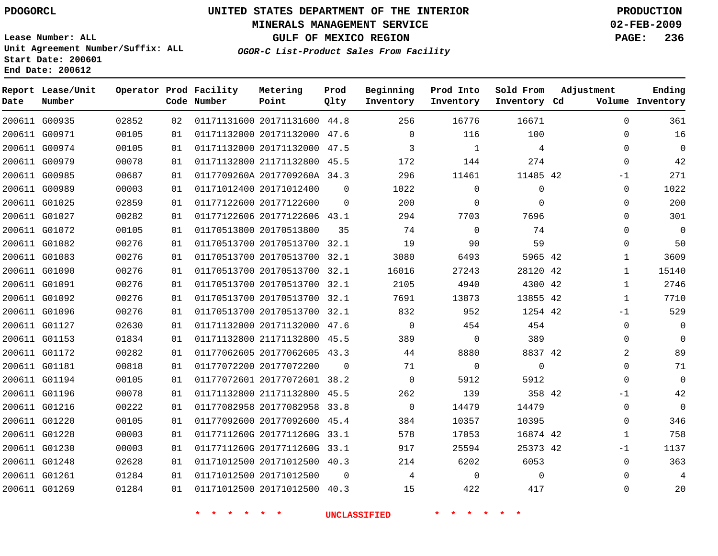### **MINERALS MANAGEMENT SERVICE 02-FEB-2009**

**GULF OF MEXICO REGION PAGE: 236**

**Lease Number: ALL Unit Agreement Number/Suffix: ALL Start Date: 200601 End Date: 200612**

**OGOR-C List-Product Sales From Facility**

| Date | Report Lease/Unit<br>Number |       |    | Operator Prod Facility<br>Code Number | Metering<br>Point            | Prod<br>Qlty | Beginning<br>Inventory | Prod Into<br>Inventory | Sold From<br>Inventory Cd | Adjustment     | Ending<br>Volume Inventory |
|------|-----------------------------|-------|----|---------------------------------------|------------------------------|--------------|------------------------|------------------------|---------------------------|----------------|----------------------------|
|      | 200611 G00935               | 02852 | 02 |                                       | 01171131600 20171131600 44.8 |              | 256                    | 16776                  | 16671                     | $\Omega$       | 361                        |
|      | 200611 G00971               | 00105 | 01 |                                       | 01171132000 20171132000 47.6 |              | $\Omega$               | 116                    | 100                       | $\Omega$       | 16                         |
|      | 200611 G00974               | 00105 | 01 |                                       | 01171132000 20171132000      | 47.5         | 3                      | 1                      | 4                         | $\Omega$       | $\overline{0}$             |
|      | 200611 G00979               | 00078 | 01 |                                       | 01171132800 21171132800 45.5 |              | 172                    | 144                    | 274                       | 0              | 42                         |
|      | 200611 G00985               | 00687 | 01 |                                       | 0117709260A 2017709260A 34.3 |              | 296                    | 11461                  | 11485 42                  | -1             | 271                        |
|      | 200611 G00989               | 00003 | 01 |                                       | 01171012400 20171012400      | $\Omega$     | 1022                   | 0                      | 0                         | $\mathbf 0$    | 1022                       |
|      | 200611 G01025               | 02859 | 01 |                                       | 01177122600 20177122600      | $\Omega$     | 200                    | $\mathbf 0$            | $\Omega$                  | $\Omega$       | 200                        |
|      | 200611 G01027               | 00282 | 01 |                                       | 01177122606 20177122606 43.1 |              | 294                    | 7703                   | 7696                      | $\Omega$       | 301                        |
|      | 200611 G01072               | 00105 | 01 |                                       | 01170513800 20170513800      | 35           | 74                     | $\Omega$               | 74                        | $\Omega$       | $\mathbf 0$                |
|      | 200611 G01082               | 00276 | 01 |                                       | 01170513700 20170513700 32.1 |              | 19                     | 90                     | 59                        | $\Omega$       | 50                         |
|      | 200611 G01083               | 00276 | 01 |                                       | 01170513700 20170513700 32.1 |              | 3080                   | 6493                   | 5965 42                   | $\mathbf 1$    | 3609                       |
|      | 200611 G01090               | 00276 | 01 |                                       | 01170513700 20170513700 32.1 |              | 16016                  | 27243                  | 28120 42                  | $\mathbf{1}$   | 15140                      |
|      | 200611 G01091               | 00276 | 01 |                                       | 01170513700 20170513700 32.1 |              | 2105                   | 4940                   | 4300 42                   | $\mathbf 1$    | 2746                       |
|      | 200611 G01092               | 00276 | 01 |                                       | 01170513700 20170513700 32.1 |              | 7691                   | 13873                  | 13855 42                  | $\mathbf{1}$   | 7710                       |
|      | 200611 G01096               | 00276 | 01 |                                       | 01170513700 20170513700 32.1 |              | 832                    | 952                    | 1254 42                   | $-1$           | 529                        |
|      | 200611 G01127               | 02630 | 01 |                                       | 01171132000 20171132000 47.6 |              | $\mathbf 0$            | 454                    | 454                       | 0              | 0                          |
|      | 200611 G01153               | 01834 | 01 |                                       | 01171132800 21171132800 45.5 |              | 389                    | $\mathbf{0}$           | 389                       | 0              | 0                          |
|      | 200611 G01172               | 00282 | 01 |                                       | 01177062605 20177062605 43.3 |              | 44                     | 8880                   | 8837 42                   | $\overline{2}$ | 89                         |
|      | 200611 G01181               | 00818 | 01 |                                       | 01177072200 20177072200      | $\Omega$     | 71                     | $\mathbf 0$            | $\mathbf{0}$              | $\Omega$       | 71                         |
|      | 200611 G01194               | 00105 | 01 |                                       | 01177072601 20177072601 38.2 |              | $\mathbf 0$            | 5912                   | 5912                      | $\mathbf{0}$   | $\mathbf 0$                |
|      | 200611 G01196               | 00078 | 01 |                                       | 01171132800 21171132800 45.5 |              | 262                    | 139                    | 358 42                    | $-1$           | 42                         |
|      | 200611 G01216               | 00222 | 01 |                                       | 01177082958 20177082958 33.8 |              | $\mathbf 0$            | 14479                  | 14479                     | $\mathbf 0$    | $\mathbf 0$                |
|      | 200611 G01220               | 00105 | 01 |                                       | 01177092600 20177092600 45.4 |              | 384                    | 10357                  | 10395                     | $\Omega$       | 346                        |
|      | 200611 G01228               | 00003 | 01 |                                       | 0117711260G 2017711260G 33.1 |              | 578                    | 17053                  | 16874 42                  | $\mathbf{1}$   | 758                        |
|      | 200611 G01230               | 00003 | 01 |                                       | 0117711260G 2017711260G 33.1 |              | 917                    | 25594                  | 25373 42                  | -1             | 1137                       |
|      | 200611 G01248               | 02628 | 01 |                                       | 01171012500 20171012500 40.3 |              | 214                    | 6202                   | 6053                      | $\mathbf 0$    | 363                        |
|      | 200611 G01261               | 01284 | 01 |                                       | 01171012500 20171012500      | $\Omega$     | 4                      | $\mathbf{0}$           | $\Omega$                  | 0              | 4                          |
|      | 200611 G01269               | 01284 | 01 |                                       | 01171012500 20171012500 40.3 |              | 15                     | 422                    | 417                       | $\Omega$       | 20                         |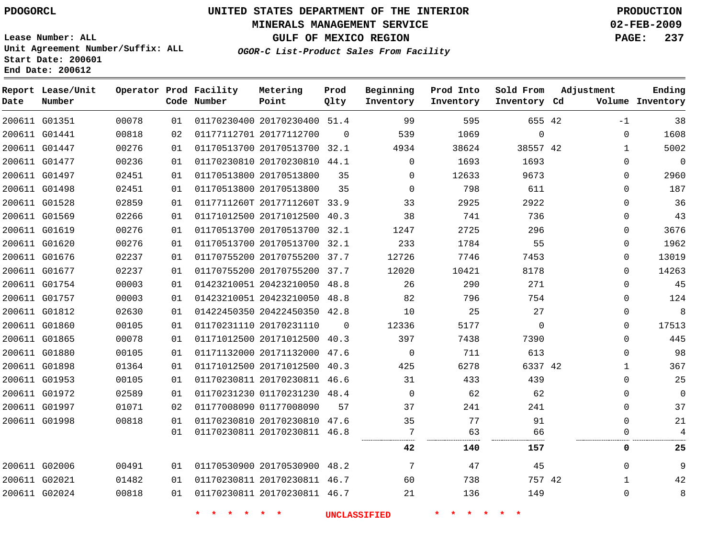### **MINERALS MANAGEMENT SERVICE 02-FEB-2009**

**GULF OF MEXICO REGION PAGE: 237**

**Lease Number: ALL Unit Agreement Number/Suffix: ALL Start Date: 200601 End Date: 200612**

**OGOR-C List-Product Sales From Facility**

| Date | Report Lease/Unit<br>Number |       |    | Operator Prod Facility<br>Code Number | Metering<br>Point            | Prod<br>Qlty | Beginning<br>Inventory | Prod Into<br>Inventory | Sold From<br>Inventory Cd | Adjustment   | Ending<br>Volume Inventory |
|------|-----------------------------|-------|----|---------------------------------------|------------------------------|--------------|------------------------|------------------------|---------------------------|--------------|----------------------------|
|      | 200611 G01351               | 00078 | 01 |                                       | 01170230400 20170230400 51.4 |              | 99                     | 595                    | 655 42                    | $-1$         | 38                         |
|      | 200611 G01441               | 00818 | 02 |                                       | 01177112701 20177112700      | $\mathbf 0$  | 539                    | 1069                   | $\mathsf 0$               | $\mathbf 0$  | 1608                       |
|      | 200611 G01447               | 00276 | 01 |                                       | 01170513700 20170513700 32.1 |              | 4934                   | 38624                  | 38557 42                  | $\mathbf{1}$ | 5002                       |
|      | 200611 G01477               | 00236 | 01 |                                       | 01170230810 20170230810 44.1 |              | $\Omega$               | 1693                   | 1693                      | $\Omega$     | $\Omega$                   |
|      | 200611 G01497               | 02451 | 01 |                                       | 01170513800 20170513800      | 35           | $\mathbf 0$            | 12633                  | 9673                      | $\mathbf{0}$ | 2960                       |
|      | 200611 G01498               | 02451 | 01 |                                       | 01170513800 20170513800      | 35           | $\Omega$               | 798                    | 611                       | $\Omega$     | 187                        |
|      | 200611 G01528               | 02859 | 01 |                                       | 0117711260T 2017711260T 33.9 |              | 33                     | 2925                   | 2922                      | $\Omega$     | 36                         |
|      | 200611 G01569               | 02266 | 01 |                                       | 01171012500 20171012500 40.3 |              | 38                     | 741                    | 736                       | $\mathbf 0$  | 43                         |
|      | 200611 G01619               | 00276 | 01 |                                       | 01170513700 20170513700 32.1 |              | 1247                   | 2725                   | 296                       | $\Omega$     | 3676                       |
|      | 200611 G01620               | 00276 | 01 |                                       | 01170513700 20170513700 32.1 |              | 233                    | 1784                   | 55                        | $\Omega$     | 1962                       |
|      | 200611 G01676               | 02237 | 01 |                                       | 01170755200 20170755200 37.7 |              | 12726                  | 7746                   | 7453                      | $\mathbf{0}$ | 13019                      |
|      | 200611 G01677               | 02237 | 01 |                                       | 01170755200 20170755200 37.7 |              | 12020                  | 10421                  | 8178                      | $\Omega$     | 14263                      |
|      | 200611 G01754               | 00003 | 01 |                                       | 01423210051 20423210050 48.8 |              | 26                     | 290                    | 271                       | $\mathbf 0$  | 45                         |
|      | 200611 G01757               | 00003 | 01 |                                       | 01423210051 20423210050 48.8 |              | 82                     | 796                    | 754                       | $\mathbf{0}$ | 124                        |
|      | 200611 G01812               | 02630 | 01 |                                       | 01422450350 20422450350 42.8 |              | 10                     | 25                     | 27                        | $\Omega$     | 8                          |
|      | 200611 G01860               | 00105 | 01 |                                       | 01170231110 20170231110      | $\Omega$     | 12336                  | 5177                   | $\mathbf 0$               | $\mathbf 0$  | 17513                      |
|      | 200611 G01865               | 00078 | 01 |                                       | 01171012500 20171012500 40.3 |              | 397                    | 7438                   | 7390                      | $\Omega$     | 445                        |
|      | 200611 G01880               | 00105 | 01 |                                       | 01171132000 20171132000 47.6 |              | $\Omega$               | 711                    | 613                       | $\Omega$     | 98                         |
|      | 200611 G01898               | 01364 | 01 |                                       | 01171012500 20171012500 40.3 |              | 425                    | 6278                   | 6337 42                   | 1            | 367                        |
|      | 200611 G01953               | 00105 | 01 |                                       | 01170230811 20170230811 46.6 |              | 31                     | 433                    | 439                       | $\Omega$     | 25                         |
|      | 200611 G01972               | 02589 | 01 |                                       | 01170231230 01170231230 48.4 |              | $\Omega$               | 62                     | 62                        | $\Omega$     | $\Omega$                   |
|      | 200611 G01997               | 01071 | 02 |                                       | 01177008090 01177008090      | 57           | 37                     | 241                    | 241                       | $\mathbf 0$  | 37                         |
|      | 200611 G01998               | 00818 | 01 |                                       | 01170230810 20170230810 47.6 |              | 35                     | 77                     | 91                        | $\Omega$     | $2\sqrt{1}$                |
|      |                             |       | 01 |                                       | 01170230811 20170230811 46.8 |              | 7                      | 63                     | 66                        | $\mathbf 0$  | 4                          |
|      |                             |       |    |                                       |                              |              | 42                     | 140                    | 157                       | 0            | 25                         |
|      | 200611 G02006               | 00491 | 01 |                                       | 01170530900 20170530900 48.2 |              | 7                      | 47                     | 45                        | $\mathbf{0}$ | 9                          |
|      | 200611 G02021               | 01482 | 01 |                                       | 01170230811 20170230811 46.7 |              | 60                     | 738                    | 757 42                    | $\mathbf{1}$ | 42                         |
|      | 200611 G02024               | 00818 | 01 |                                       | 01170230811 20170230811 46.7 |              | 21                     | 136                    | 149                       | $\Omega$     | 8                          |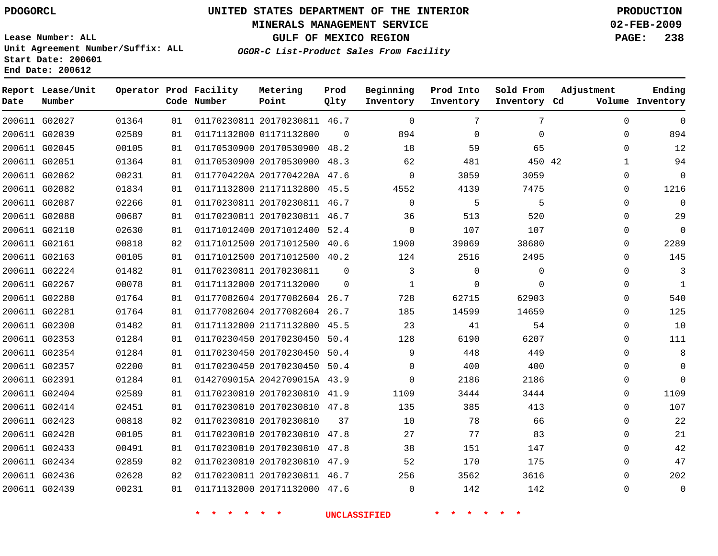### **MINERALS MANAGEMENT SERVICE 02-FEB-2009**

**GULF OF MEXICO REGION PAGE: 238**

**Lease Number: ALL Unit Agreement Number/Suffix: ALL Start Date: 200601 End Date: 200612**

| Date          | Report Lease/Unit<br>Number |       |    | Operator Prod Facility<br>Code Number | Metering<br>Point            | Prod<br>Qlty | Beginning<br>Inventory | Prod Into<br>Inventory | Sold From<br>Inventory Cd | Adjustment   | Ending<br>Volume Inventory |
|---------------|-----------------------------|-------|----|---------------------------------------|------------------------------|--------------|------------------------|------------------------|---------------------------|--------------|----------------------------|
|               | 200611 G02027               | 01364 | 01 |                                       | 01170230811 20170230811 46.7 |              | $\Omega$               | 7                      | 7                         | $\mathbf 0$  | $\mathbf 0$                |
|               | 200611 G02039               | 02589 | 01 |                                       | 01171132800 01171132800      | $\Omega$     | 894                    | $\Omega$               | $\mathbf 0$               | $\mathbf 0$  | 894                        |
|               | 200611 G02045               | 00105 | 01 |                                       | 01170530900 20170530900 48.2 |              | 18                     | 59                     | 65                        | $\Omega$     | 12                         |
|               | 200611 G02051               | 01364 | 01 |                                       | 01170530900 20170530900 48.3 |              | 62                     | 481                    | 450 42                    | $\mathbf{1}$ | 94                         |
|               | 200611 G02062               | 00231 | 01 |                                       | 0117704220A 2017704220A 47.6 |              | $\Omega$               | 3059                   | 3059                      | $\Omega$     | $\mathbf{0}$               |
|               | 200611 G02082               | 01834 | 01 |                                       | 01171132800 21171132800 45.5 |              | 4552                   | 4139                   | 7475                      | $\Omega$     | 1216                       |
|               | 200611 G02087               | 02266 | 01 |                                       | 01170230811 20170230811 46.7 |              | $\Omega$               | 5                      | 5                         | $\mathbf 0$  | $\Omega$                   |
|               | 200611 G02088               | 00687 | 01 |                                       | 01170230811 20170230811 46.7 |              | 36                     | 513                    | 520                       | $\mathbf 0$  | 29                         |
|               | 200611 G02110               | 02630 | 01 |                                       | 01171012400 20171012400 52.4 |              | $\Omega$               | 107                    | 107                       | $\Omega$     | $\mathbf 0$                |
|               | 200611 G02161               | 00818 | 02 |                                       | 01171012500 20171012500 40.6 |              | 1900                   | 39069                  | 38680                     | $\mathbf 0$  | 2289                       |
| 200611 G02163 |                             | 00105 | 01 |                                       | 01171012500 20171012500 40.2 |              | 124                    | 2516                   | 2495                      | $\mathbf 0$  | 145                        |
| 200611 G02224 |                             | 01482 | 01 |                                       | 01170230811 20170230811      | 0            | 3                      | $\mathbf 0$            | 0                         | $\mathbf 0$  | 3                          |
|               | 200611 G02267               | 00078 | 01 |                                       | 01171132000 20171132000      | $\mathbf 0$  | 1                      | 0                      | 0                         | 0            | 1                          |
|               | 200611 G02280               | 01764 | 01 |                                       | 01177082604 20177082604 26.7 |              | 728                    | 62715                  | 62903                     | $\Omega$     | 540                        |
|               | 200611 G02281               | 01764 | 01 |                                       | 01177082604 20177082604 26.7 |              | 185                    | 14599                  | 14659                     | $\mathbf 0$  | 125                        |
|               | 200611 G02300               | 01482 | 01 |                                       | 01171132800 21171132800 45.5 |              | 23                     | 41                     | 54                        | $\mathbf 0$  | 10                         |
|               | 200611 G02353               | 01284 | 01 |                                       | 01170230450 20170230450 50.4 |              | 128                    | 6190                   | 6207                      | $\Omega$     | 111                        |
|               | 200611 G02354               | 01284 | 01 |                                       | 01170230450 20170230450 50.4 |              | 9                      | 448                    | 449                       | $\Omega$     | 8                          |
|               | 200611 G02357               | 02200 | 01 |                                       | 01170230450 20170230450 50.4 |              | $\Omega$               | 400                    | 400                       | $\mathbf 0$  | $\Omega$                   |
|               | 200611 G02391               | 01284 | 01 |                                       | 0142709015A 2042709015A 43.9 |              | $\Omega$               | 2186                   | 2186                      | $\Omega$     | $\Omega$                   |
|               | 200611 G02404               | 02589 | 01 |                                       | 01170230810 20170230810 41.9 |              | 1109                   | 3444                   | 3444                      | $\mathbf 0$  | 1109                       |
|               | 200611 G02414               | 02451 | 01 |                                       | 01170230810 20170230810 47.8 |              | 135                    | 385                    | 413                       | $\Omega$     | 107                        |
| 200611 G02423 |                             | 00818 | 02 |                                       | 01170230810 20170230810      | 37           | 10                     | 78                     | 66                        | 0            | 22                         |
|               | 200611 G02428               | 00105 | 01 |                                       | 01170230810 20170230810 47.8 |              | 27                     | 77                     | 83                        | $\mathbf 0$  | 21                         |
| 200611 G02433 |                             | 00491 | 01 |                                       | 01170230810 20170230810 47.8 |              | 38                     | 151                    | 147                       | $\mathbf 0$  | 42                         |
|               | 200611 G02434               | 02859 | 02 |                                       | 01170230810 20170230810 47.9 |              | 52                     | 170                    | 175                       | $\mathbf 0$  | 47                         |
|               | 200611 G02436               | 02628 | 02 |                                       | 01170230811 20170230811 46.7 |              | 256                    | 3562                   | 3616                      | $\mathbf 0$  | 202                        |
|               | 200611 G02439               | 00231 | 01 |                                       | 01171132000 20171132000 47.6 |              | $\Omega$               | 142                    | 142                       | $\Omega$     | $\mathbf{0}$               |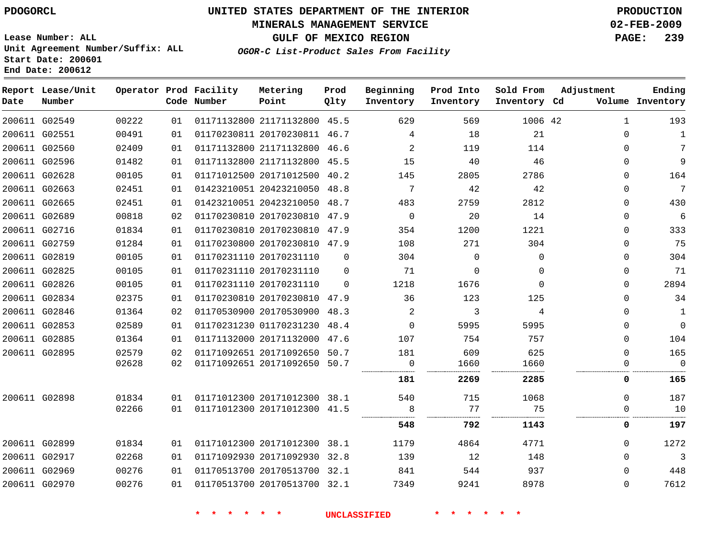### **MINERALS MANAGEMENT SERVICE 02-FEB-2009**

**GULF OF MEXICO REGION PAGE: 239**

**Lease Number: ALL Unit Agreement Number/Suffix: ALL Start Date: 200601 End Date: 200612**

**OGOR-C List-Product Sales From Facility**

| Date | Report Lease/Unit<br>Number |       |    | Operator Prod Facility<br>Code Number | Metering<br>Point            | Prod<br>Qlty | Beginning<br>Inventory | Prod Into<br>Inventory | Sold From<br>Inventory Cd | Adjustment   | Ending<br>Volume Inventory |
|------|-----------------------------|-------|----|---------------------------------------|------------------------------|--------------|------------------------|------------------------|---------------------------|--------------|----------------------------|
|      | 200611 G02549               | 00222 | 01 |                                       | 01171132800 21171132800 45.5 |              | 629                    | 569                    | 1006 42                   | $\mathbf{1}$ | 193                        |
|      | 200611 G02551               | 00491 | 01 |                                       | 01170230811 20170230811 46.7 |              | 4                      | 18                     | 21                        | $\Omega$     | $\mathbf{1}$               |
|      | 200611 G02560               | 02409 | 01 |                                       | 01171132800 21171132800 46.6 |              | 2                      | 119                    | 114                       | $\Omega$     | 7                          |
|      | 200611 G02596               | 01482 | 01 |                                       | 01171132800 21171132800 45.5 |              | 15                     | 40                     | 46                        | $\Omega$     | 9                          |
|      | 200611 G02628               | 00105 | 01 |                                       | 01171012500 20171012500 40.2 |              | 145                    | 2805                   | 2786                      | $\Omega$     | 164                        |
|      | 200611 G02663               | 02451 | 01 |                                       | 01423210051 20423210050 48.8 |              | $7\phantom{.0}$        | 42                     | 42                        | $\Omega$     | $7\phantom{.0}$            |
|      | 200611 G02665               | 02451 | 01 |                                       | 01423210051 20423210050 48.7 |              | 483                    | 2759                   | 2812                      | $\mathbf 0$  | 430                        |
|      | 200611 G02689               | 00818 | 02 |                                       | 01170230810 20170230810 47.9 |              | 0                      | 20                     | 14                        | $\Omega$     | 6                          |
|      | 200611 G02716               | 01834 | 01 |                                       | 01170230810 20170230810 47.9 |              | 354                    | 1200                   | 1221                      | $\Omega$     | 333                        |
|      | 200611 G02759               | 01284 | 01 |                                       | 01170230800 20170230810 47.9 |              | 108                    | 271                    | 304                       | $\Omega$     | 75                         |
|      | 200611 G02819               | 00105 | 01 |                                       | 01170231110 20170231110      | $\Omega$     | 304                    | $\mathbf 0$            | $\Omega$                  | 0            | 304                        |
|      | 200611 G02825               | 00105 | 01 |                                       | 01170231110 20170231110      | $\Omega$     | 71                     | 0                      | $\Omega$                  | $\Omega$     | 71                         |
|      | 200611 G02826               | 00105 | 01 |                                       | 01170231110 20170231110      | $\Omega$     | 1218                   | 1676                   | $\Omega$                  | $\Omega$     | 2894                       |
|      | 200611 G02834               | 02375 | 01 |                                       | 01170230810 20170230810 47.9 |              | 36                     | 123                    | 125                       | $\Omega$     | 34                         |
|      | 200611 G02846               | 01364 | 02 |                                       | 01170530900 20170530900 48.3 |              | 2                      | 3                      | 4                         | $\Omega$     | $\mathbf{1}$               |
|      | 200611 G02853               | 02589 | 01 |                                       | 01170231230 01170231230 48.4 |              | $\Omega$               | 5995                   | 5995                      | $\Omega$     | $\mathbf 0$                |
|      | 200611 G02885               | 01364 | 01 |                                       | 01171132000 20171132000 47.6 |              | 107                    | 754                    | 757                       | 0            | 104                        |
|      | 200611 G02895               | 02579 | 02 |                                       | 01171092651 20171092650 50.7 |              | 181                    | 609                    | 625                       | $\Omega$     | 165                        |
|      |                             | 02628 | 02 |                                       | 01171092651 20171092650 50.7 |              | 0                      | 1660                   | 1660                      | 0            | $\Omega$                   |
|      |                             |       |    |                                       |                              |              | 181                    | 2269                   | 2285                      | 0            | 165                        |
|      | 200611 G02898               | 01834 | 01 |                                       | 01171012300 20171012300 38.1 |              | 540                    | 715                    | 1068                      | $\Omega$     | 187                        |
|      |                             | 02266 | 01 |                                       | 01171012300 20171012300 41.5 |              | 8                      | 77                     | 75<br>.                   | $\mathbf 0$  | 10                         |
|      |                             |       |    |                                       |                              |              | 548                    | 792                    | 1143                      | 0            | 197                        |
|      | 200611 G02899               | 01834 | 01 |                                       | 01171012300 20171012300 38.1 |              | 1179                   | 4864                   | 4771                      | $\Omega$     | 1272                       |
|      | 200611 G02917               | 02268 | 01 |                                       | 01171092930 20171092930 32.8 |              | 139                    | 12                     | 148                       | $\Omega$     | 3                          |
|      | 200611 G02969               | 00276 | 01 |                                       | 01170513700 20170513700 32.1 |              | 841                    | 544                    | 937                       | $\Omega$     | 448                        |
|      | 200611 G02970               | 00276 | 01 |                                       | 01170513700 20170513700 32.1 |              | 7349                   | 9241                   | 8978                      | $\Omega$     | 7612                       |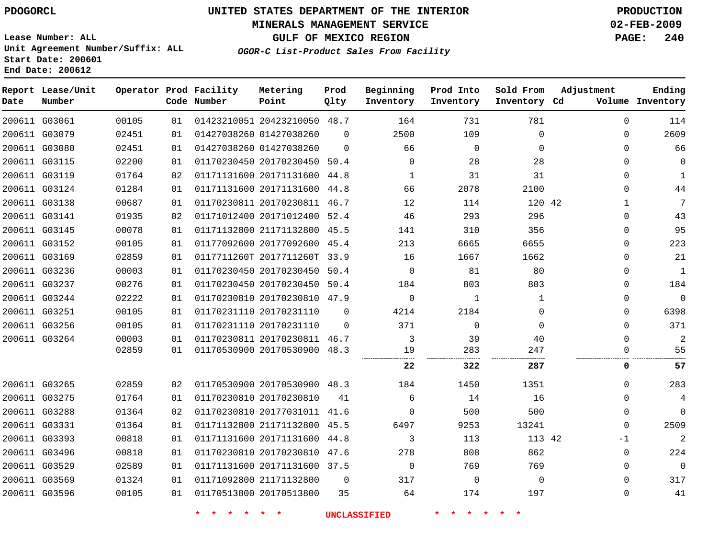### **MINERALS MANAGEMENT SERVICE 02-FEB-2009**

**GULF OF MEXICO REGION PAGE: 240 OGOR-C List-Product Sales From Facility**

**Lease Number: ALL Unit Agreement Number/Suffix: ALL Start Date: 200601 End Date: 200612**

| Date          | Report Lease/Unit<br>Number |       |    | Operator Prod Facility<br>Code Number | Metering<br>Point            | Prod<br>Qlty | Beginning<br>Inventory | Prod Into<br>Inventory | Sold From<br>Inventory Cd | Adjustment  | Ending<br>Volume Inventory |
|---------------|-----------------------------|-------|----|---------------------------------------|------------------------------|--------------|------------------------|------------------------|---------------------------|-------------|----------------------------|
|               | 200611 G03061               | 00105 | 01 |                                       | 01423210051 20423210050 48.7 |              | 164                    | 731                    | 781                       | $\mathbf 0$ | 114                        |
|               | 200611 G03079               | 02451 | 01 |                                       | 01427038260 01427038260      | $\Omega$     | 2500                   | 109                    | $\mathbf 0$               | 0           | 2609                       |
|               | 200611 G03080               | 02451 | 01 |                                       | 01427038260 01427038260      | $\Omega$     | 66                     | $\Omega$               | $\Omega$                  | 0           | 66                         |
| 200611 G03115 |                             | 02200 | 01 |                                       | 01170230450 20170230450      | 50.4         | $\mathbf 0$            | 28                     | 28                        | 0           | 0                          |
|               | 200611 G03119               | 01764 | 02 |                                       | 01171131600 20171131600 44.8 |              | $\mathbf{1}$           | 31                     | 31                        | $\Omega$    | $\mathbf{1}$               |
| 200611 G03124 |                             | 01284 | 01 |                                       | 01171131600 20171131600 44.8 |              | 66                     | 2078                   | 2100                      | $\Omega$    | 44                         |
|               | 200611 G03138               | 00687 | 01 |                                       | 01170230811 20170230811 46.7 |              | 12                     | 114                    | 120 42                    | $\mathbf 1$ | 7                          |
| 200611 G03141 |                             | 01935 | 02 |                                       | 01171012400 20171012400      | 52.4         | 46                     | 293                    | 296                       | $\Omega$    | 43                         |
|               | 200611 G03145               | 00078 | 01 |                                       | 01171132800 21171132800      | 45.5         | 141                    | 310                    | 356                       | 0           | 95                         |
|               | 200611 G03152               | 00105 | 01 |                                       | 01177092600 20177092600 45.4 |              | 213                    | 6665                   | 6655                      | $\mathbf 0$ | 223                        |
|               | 200611 G03169               | 02859 | 01 |                                       | 0117711260T 2017711260T      | 33.9         | 16                     | 1667                   | 1662                      | $\mathbf 0$ | 21                         |
|               | 200611 G03236               | 00003 | 01 |                                       | 01170230450 20170230450 50.4 |              | $\Omega$               | 81                     | 80                        | $\mathbf 0$ | $\mathbf{1}$               |
|               | 200611 G03237               | 00276 | 01 |                                       | 01170230450 20170230450      | 50.4         | 184                    | 803                    | 803                       | 0           | 184                        |
|               | 200611 G03244               | 02222 | 01 |                                       | 01170230810 20170230810 47.9 |              | $\Omega$               | 1                      | 1                         | $\Omega$    | $\mathbf 0$                |
|               | 200611 G03251               | 00105 | 01 |                                       | 01170231110 20170231110      | $\Omega$     | 4214                   | 2184                   | $\Omega$                  | $\Omega$    | 6398                       |
| 200611 G03256 |                             | 00105 | 01 |                                       | 01170231110 20170231110      | $\Omega$     | 371                    | $\Omega$               | $\Omega$                  | $\Omega$    | 371                        |
|               | 200611 G03264               | 00003 | 01 |                                       | 01170230811 20170230811 46.7 |              | 3                      | 39                     | 40                        | $\Omega$    | 2                          |
|               |                             | 02859 | 01 |                                       | 01170530900 20170530900 48.3 |              | 19                     | 283                    | 247                       | 0           | 55                         |
|               |                             |       |    |                                       |                              |              | 22                     | 322                    | 287                       | 0           | 57                         |
| 200611 G03265 |                             | 02859 | 02 |                                       | 01170530900 20170530900 48.3 |              | 184                    | 1450                   | 1351                      | 0           | 283                        |
| 200611 G03275 |                             | 01764 | 01 |                                       | 01170230810 20170230810      | 41           | 6                      | 14                     | 16                        | $\Omega$    | 4                          |
|               | 200611 G03288               | 01364 | 02 |                                       | 01170230810 20177031011 41.6 |              | $\Omega$               | 500                    | 500                       | $\Omega$    | $\Omega$                   |
|               | 200611 G03331               | 01364 | 01 |                                       | 01171132800 21171132800      | 45.5         | 6497                   | 9253                   | 13241                     | $\Omega$    | 2509                       |
|               | 200611 G03393               | 00818 | 01 |                                       | 01171131600 20171131600      | 44.8         | 3                      | 113                    | 113 42                    | $-1$        | 2                          |
|               | 200611 G03496               | 00818 | 01 |                                       | 01170230810 20170230810      | 47.6         | 278                    | 808                    | 862                       | 0           | 224                        |
|               | 200611 G03529               | 02589 | 01 |                                       | 01171131600 20171131600 37.5 |              | $\mathbf 0$            | 769                    | 769                       | $\mathbf 0$ | $\mathbf 0$                |
| 200611 G03569 |                             | 01324 | 01 |                                       | 01171092800 21171132800      | $\mathbf 0$  | 317                    | $\mathbf 0$            | $\mathbf 0$               | $\mathbf 0$ | 317                        |
|               | 200611 G03596               | 00105 | 01 |                                       | 01170513800 20170513800      | 35           | 64                     | 174                    | 197                       | $\mathbf 0$ | 41                         |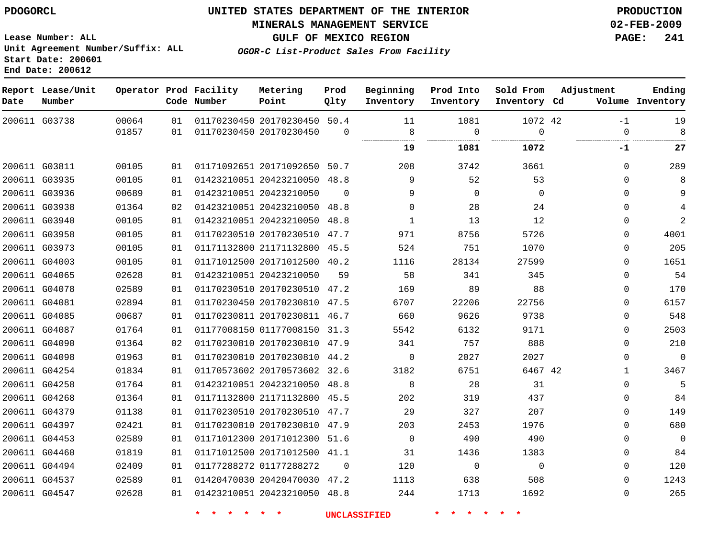# **MINERALS MANAGEMENT SERVICE 02-FEB-2009**

**GULF OF MEXICO REGION PAGE: 241**

**Lease Number: ALL Unit Agreement Number/Suffix: ALL Start Date: 200601 End Date: 200612**

| OGOR-C List-Product Sales From Facility |  |
|-----------------------------------------|--|
|-----------------------------------------|--|

| Date | Report Lease/Unit<br>Number |       |    | Operator Prod Facility<br>Code Number | Metering<br>Point            | Prod<br>Qlty | Beginning<br>Inventory | Prod Into<br>Inventory | Sold From<br>Inventory Cd | Adjustment   | Ending<br>Volume Inventory |
|------|-----------------------------|-------|----|---------------------------------------|------------------------------|--------------|------------------------|------------------------|---------------------------|--------------|----------------------------|
|      | 200611 G03738               | 00064 | 01 |                                       | 01170230450 20170230450 50.4 | $\Omega$     | 11                     | 1081                   | 1072 42<br>$\Omega$       | $-1$         | 19                         |
|      |                             | 01857 | 01 |                                       | 01170230450 20170230450      |              | 8                      | 0                      |                           | $\Omega$     | 8                          |
|      |                             |       |    |                                       |                              |              | 19                     | 1081                   | 1072                      | -1           | 27                         |
|      | 200611 G03811               | 00105 | 01 |                                       | 01171092651 20171092650 50.7 |              | 208                    | 3742                   | 3661                      | $\Omega$     | 289                        |
|      | 200611 G03935               | 00105 | 01 |                                       | 01423210051 20423210050 48.8 |              | 9                      | 52                     | 53                        | $\Omega$     | 8                          |
|      | 200611 G03936               | 00689 | 01 |                                       | 01423210051 20423210050      | $\Omega$     | 9                      | $\mathbf 0$            | $\mathbf 0$               | 0            | 9                          |
|      | 200611 G03938               | 01364 | 02 |                                       | 01423210051 20423210050 48.8 |              | $\mathbf 0$            | 28                     | 24                        | $\Omega$     | 4                          |
|      | 200611 G03940               | 00105 | 01 |                                       | 01423210051 20423210050      | 48.8         | $\mathbf{1}$           | 13                     | 12                        | $\Omega$     | $\overline{2}$             |
|      | 200611 G03958               | 00105 | 01 |                                       | 01170230510 20170230510 47.7 |              | 971                    | 8756                   | 5726                      | $\Omega$     | 4001                       |
|      | 200611 G03973               | 00105 | 01 |                                       | 01171132800 21171132800 45.5 |              | 524                    | 751                    | 1070                      | $\Omega$     | 205                        |
|      | 200611 G04003               | 00105 | 01 |                                       | 01171012500 20171012500 40.2 |              | 1116                   | 28134                  | 27599                     | $\Omega$     | 1651                       |
|      | 200611 G04065               | 02628 | 01 |                                       | 01423210051 20423210050      | 59           | 58                     | 341                    | 345                       | $\Omega$     | 54                         |
|      | 200611 G04078               | 02589 | 01 |                                       | 01170230510 20170230510 47.2 |              | 169                    | 89                     | 88                        | $\Omega$     | 170                        |
|      | 200611 G04081               | 02894 | 01 |                                       | 01170230450 20170230810 47.5 |              | 6707                   | 22206                  | 22756                     | $\Omega$     | 6157                       |
|      | 200611 G04085               | 00687 | 01 |                                       | 01170230811 20170230811 46.7 |              | 660                    | 9626                   | 9738                      | $\Omega$     | 548                        |
|      | 200611 G04087               | 01764 | 01 |                                       | 01177008150 01177008150 31.3 |              | 5542                   | 6132                   | 9171                      | 0            | 2503                       |
|      | 200611 G04090               | 01364 | 02 |                                       | 01170230810 20170230810 47.9 |              | 341                    | 757                    | 888                       | $\Omega$     | 210                        |
|      | 200611 G04098               | 01963 | 01 |                                       | 01170230810 20170230810 44.2 |              | $\mathbf 0$            | 2027                   | 2027                      | $\Omega$     | $\overline{0}$             |
|      | 200611 G04254               | 01834 | 01 |                                       | 01170573602 20170573602 32.6 |              | 3182                   | 6751                   | 6467 42                   | $\mathbf{1}$ | 3467                       |
|      | 200611 G04258               | 01764 | 01 |                                       | 01423210051 20423210050 48.8 |              | 8                      | 28                     | 31                        | $\Omega$     | 5                          |
|      | 200611 G04268               | 01364 | 01 |                                       | 01171132800 21171132800 45.5 |              | 202                    | 319                    | 437                       | $\Omega$     | 84                         |
|      | 200611 G04379               | 01138 | 01 |                                       | 01170230510 20170230510 47.7 |              | 29                     | 327                    | 207                       | $\Omega$     | 149                        |
|      | 200611 G04397               | 02421 | 01 |                                       | 01170230810 20170230810 47.9 |              | 203                    | 2453                   | 1976                      | $\Omega$     | 680                        |
|      | 200611 G04453               | 02589 | 01 |                                       | 01171012300 20171012300 51.6 |              | $\Omega$               | 490                    | 490                       | 0            | 0                          |
|      | 200611 G04460               | 01819 | 01 |                                       | 01171012500 20171012500 41.1 |              | 31                     | 1436                   | 1383                      | $\Omega$     | 84                         |
|      | 200611 G04494               | 02409 | 01 |                                       | 01177288272 01177288272      | $\Omega$     | 120                    | 0                      | $\Omega$                  | 0            | 120                        |
|      | 200611 G04537               | 02589 | 01 |                                       | 01420470030 20420470030 47.2 |              | 1113                   | 638                    | 508                       | $\Omega$     | 1243                       |
|      | 200611 G04547               | 02628 | 01 |                                       | 01423210051 20423210050 48.8 |              | 244                    | 1713                   | 1692                      | $\mathbf{0}$ | 265                        |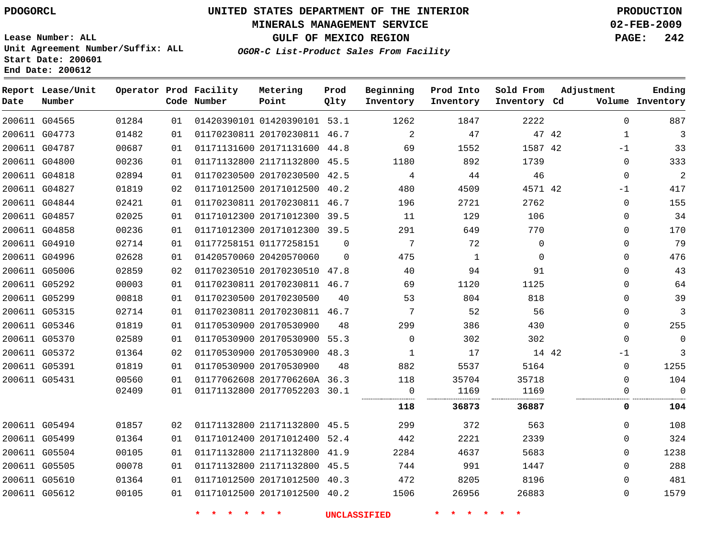### **MINERALS MANAGEMENT SERVICE 02-FEB-2009**

**GULF OF MEXICO REGION PAGE: 242**

**Lease Number: ALL Unit Agreement Number/Suffix: ALL Start Date: 200601 End Date: 200612**

**OGOR-C List-Product Sales From Facility**

| Date | Report Lease/Unit<br>Number |       |    | Operator Prod Facility<br>Code Number | Metering<br>Point            | Prod<br>Qlty | Beginning<br>Inventory | Prod Into<br>Inventory | Sold From<br>Inventory Cd | Adjustment   | Ending<br>Volume Inventory |
|------|-----------------------------|-------|----|---------------------------------------|------------------------------|--------------|------------------------|------------------------|---------------------------|--------------|----------------------------|
|      | 200611 G04565               | 01284 | 01 |                                       | 01420390101 01420390101 53.1 |              | 1262                   | 1847                   | 2222                      | $\mathbf 0$  | 887                        |
|      | 200611 G04773               | 01482 | 01 |                                       | 01170230811 20170230811 46.7 |              | 2                      | 47                     | 47 42                     | $\mathbf{1}$ | 3                          |
|      | 200611 G04787               | 00687 | 01 |                                       | 01171131600 20171131600 44.8 |              | 69                     | 1552                   | 1587 42                   | $-1$         | 33                         |
|      | 200611 G04800               | 00236 | 01 |                                       | 01171132800 21171132800 45.5 |              | 1180                   | 892                    | 1739                      | $\mathbf 0$  | 333                        |
|      | 200611 G04818               | 02894 | 01 |                                       | 01170230500 20170230500 42.5 |              | 4                      | 44                     | 46                        | $\mathbf 0$  | $\overline{2}$             |
|      | 200611 G04827               | 01819 | 02 |                                       | 01171012500 20171012500 40.2 |              | 480                    | 4509                   | 4571 42                   | $-1$         | 417                        |
|      | 200611 G04844               | 02421 | 01 |                                       | 01170230811 20170230811 46.7 |              | 196                    | 2721                   | 2762                      | $\mathbf 0$  | 155                        |
|      | 200611 G04857               | 02025 | 01 |                                       | 01171012300 20171012300 39.5 |              | 11                     | 129                    | 106                       | $\mathbf 0$  | 34                         |
|      | 200611 G04858               | 00236 | 01 |                                       | 01171012300 20171012300 39.5 |              | 291                    | 649                    | 770                       | $\Omega$     | 170                        |
|      | 200611 G04910               | 02714 | 01 |                                       | 01177258151 01177258151      | $\mathbf 0$  | $\overline{7}$         | 72                     | $\mathbf 0$               | $\mathbf 0$  | 79                         |
|      | 200611 G04996               | 02628 | 01 |                                       | 01420570060 20420570060      | $\Omega$     | 475                    | 1                      | $\Omega$                  | $\Omega$     | 476                        |
|      | 200611 G05006               | 02859 | 02 |                                       | 01170230510 20170230510 47.8 |              | 40                     | 94                     | 91                        | $\Omega$     | 43                         |
|      | 200611 G05292               | 00003 | 01 |                                       | 01170230811 20170230811 46.7 |              | 69                     | 1120                   | 1125                      | $\mathbf 0$  | 64                         |
|      | 200611 G05299               | 00818 | 01 |                                       | 01170230500 20170230500      | 40           | 53                     | 804                    | 818                       | $\mathbf 0$  | 39                         |
|      | 200611 G05315               | 02714 | 01 |                                       | 01170230811 20170230811 46.7 |              | 7                      | 52                     | 56                        | $\mathbf 0$  | 3                          |
|      | 200611 G05346               | 01819 | 01 |                                       | 01170530900 20170530900      | 48           | 299                    | 386                    | 430                       | $\Omega$     | 255                        |
|      | 200611 G05370               | 02589 | 01 |                                       | 01170530900 20170530900 55.3 |              | $\mathbf 0$            | 302                    | 302                       | $\mathbf 0$  | $\mathbf{0}$               |
|      | 200611 G05372               | 01364 | 02 |                                       | 01170530900 20170530900 48.3 |              | $\mathbf{1}$           | 17                     | 14 42                     | $-1$         | 3                          |
|      | 200611 G05391               | 01819 | 01 |                                       | 01170530900 20170530900      | 48           | 882                    | 5537                   | 5164                      | $\mathbf 0$  | 1255                       |
|      | 200611 G05431               | 00560 | 01 |                                       | 01177062608 2017706260A 36.3 |              | 118                    | 35704                  | 35718                     | $\mathbf 0$  | 104                        |
|      |                             | 02409 | 01 |                                       | 01171132800 20177052203 30.1 |              | 0                      | 1169                   | 1169                      | $\mathbf 0$  | $\mathbf 0$                |
|      |                             |       |    |                                       |                              |              | 118                    | 36873                  | 36887                     | 0            | 104                        |
|      | 200611 G05494               | 01857 | 02 |                                       | 01171132800 21171132800 45.5 |              | 299                    | 372                    | 563                       | $\Omega$     | 108                        |
|      | 200611 G05499               | 01364 | 01 |                                       | 01171012400 20171012400 52.4 |              | 442                    | 2221                   | 2339                      | $\Omega$     | 324                        |
|      | 200611 G05504               | 00105 | 01 |                                       | 01171132800 21171132800 41.9 |              | 2284                   | 4637                   | 5683                      | $\mathbf 0$  | 1238                       |
|      | 200611 G05505               | 00078 | 01 |                                       | 01171132800 21171132800 45.5 |              | 744                    | 991                    | 1447                      | $\mathbf 0$  | 288                        |
|      | 200611 G05610               | 01364 | 01 |                                       | 01171012500 20171012500 40.3 |              | 472                    | 8205                   | 8196                      | $\mathbf 0$  | 481                        |
|      | 200611 G05612               | 00105 | 01 |                                       | 01171012500 20171012500 40.2 |              | 1506                   | 26956                  | 26883                     | $\Omega$     | 1579                       |
|      |                             |       |    |                                       |                              |              |                        |                        |                           |              |                            |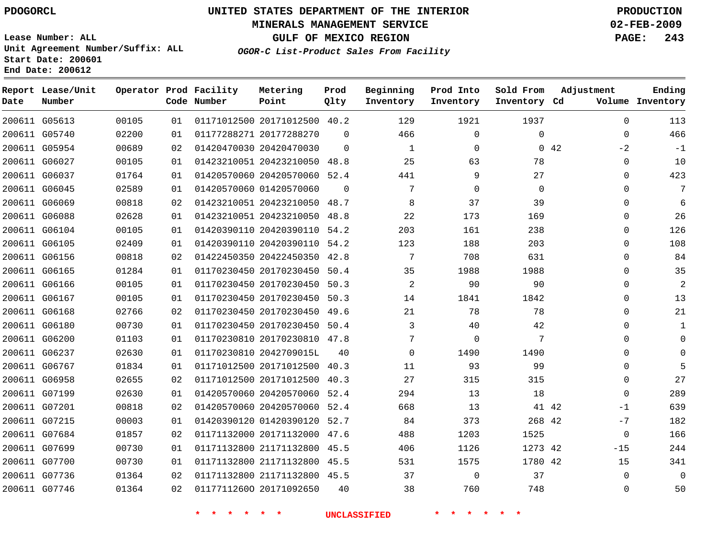### **MINERALS MANAGEMENT SERVICE 02-FEB-2009**

**GULF OF MEXICO REGION PAGE: 243**

**Lease Number: ALL Unit Agreement Number/Suffix: ALL Start Date: 200601 End Date: 200612**

**OGOR-C List-Product Sales From Facility**

| Date | Report Lease/Unit<br>Number |       |    | Operator Prod Facility<br>Code Number | Metering<br>Point            | Prod<br>Qlty | Beginning<br>Inventory | Prod Into<br>Inventory | Sold From<br>Inventory Cd | Adjustment   | Ending<br>Volume Inventory |
|------|-----------------------------|-------|----|---------------------------------------|------------------------------|--------------|------------------------|------------------------|---------------------------|--------------|----------------------------|
|      | 200611 G05613               | 00105 | 01 |                                       | 01171012500 20171012500 40.2 |              | 129                    | 1921                   | 1937                      | $\mathbf{0}$ | 113                        |
|      | 200611 G05740               | 02200 | 01 |                                       | 01177288271 20177288270      | $\Omega$     | 466                    | 0                      | $\mathbf 0$               | $\mathbf{0}$ | 466                        |
|      | 200611 G05954               | 00689 | 02 |                                       | 01420470030 20420470030      | $\Omega$     | $\mathbf{1}$           | $\mathbf 0$            |                           | 042<br>$-2$  | $-1$                       |
|      | 200611 G06027               | 00105 | 01 |                                       | 01423210051 20423210050 48.8 |              | 25                     | 63                     | 78                        | 0            | 10                         |
|      | 200611 G06037               | 01764 | 01 |                                       | 01420570060 20420570060 52.4 |              | 441                    | 9                      | 27                        | $\Omega$     | 423                        |
|      | 200611 G06045               | 02589 | 01 |                                       | 01420570060 01420570060      | $\Omega$     | 7                      | $\mathbf 0$            | $\mathbf 0$               | 0            | 7                          |
|      | 200611 G06069               | 00818 | 02 |                                       | 01423210051 20423210050 48.7 |              | 8                      | 37                     | 39                        | $\Omega$     | 6                          |
|      | 200611 G06088               | 02628 | 01 |                                       | 01423210051 20423210050      | 48.8         | 22                     | 173                    | 169                       | 0            | 26                         |
|      | 200611 G06104               | 00105 | 01 |                                       | 01420390110 20420390110 54.2 |              | 203                    | 161                    | 238                       | 0            | 126                        |
|      | 200611 G06105               | 02409 | 01 |                                       | 01420390110 20420390110 54.2 |              | 123                    | 188                    | 203                       | 0            | 108                        |
|      | 200611 G06156               | 00818 | 02 |                                       | 01422450350 20422450350 42.8 |              | 7                      | 708                    | 631                       | $\Omega$     | 84                         |
|      | 200611 G06165               | 01284 | 01 |                                       | 01170230450 20170230450      | 50.4         | 35                     | 1988                   | 1988                      | 0            | 35                         |
|      | 200611 G06166               | 00105 | 01 |                                       | 01170230450 20170230450 50.3 |              | $\overline{c}$         | 90                     | 90                        | 0            | $\overline{2}$             |
|      | 200611 G06167               | 00105 | 01 |                                       | 01170230450 20170230450 50.3 |              | 14                     | 1841                   | 1842                      | 0            | 13                         |
|      | 200611 G06168               | 02766 | 02 |                                       | 01170230450 20170230450 49.6 |              | 21                     | 78                     | 78                        | $\Omega$     | 21                         |
|      | 200611 G06180               | 00730 | 01 |                                       | 01170230450 20170230450 50.4 |              | 3                      | 40                     | 42                        | 0            | $\mathbf{1}$               |
|      | 200611 G06200               | 01103 | 01 |                                       | 01170230810 20170230810 47.8 |              | 7                      | 0                      | 7                         | $\Omega$     | $\Omega$                   |
|      | 200611 G06237               | 02630 | 01 |                                       | 01170230810 2042709015L      | 40           | $\Omega$               | 1490                   | 1490                      | $\Omega$     | $\Omega$                   |
|      | 200611 G06767               | 01834 | 01 |                                       | 01171012500 20171012500 40.3 |              | 11                     | 93                     | 99                        | 0            | 5                          |
|      | 200611 G06958               | 02655 | 02 |                                       | 01171012500 20171012500 40.3 |              | 27                     | 315                    | 315                       | $\mathbf{0}$ | 27                         |
|      | 200611 G07199               | 02630 | 01 |                                       | 01420570060 20420570060 52.4 |              | 294                    | 13                     | 18                        | $\mathbf 0$  | 289                        |
|      | 200611 G07201               | 00818 | 02 |                                       | 01420570060 20420570060 52.4 |              | 668                    | 13                     | 41 42                     | $-1$         | 639                        |
|      | 200611 G07215               | 00003 | 01 |                                       | 01420390120 01420390120 52.7 |              | 84                     | 373                    | 268 42                    | $-7$         | 182                        |
|      | 200611 G07684               | 01857 | 02 |                                       | 01171132000 20171132000 47.6 |              | 488                    | 1203                   | 1525                      | 0            | 166                        |
|      | 200611 G07699               | 00730 | 01 |                                       | 01171132800 21171132800 45.5 |              | 406                    | 1126                   | 1273 42                   | $-15$        | 244                        |
|      | 200611 G07700               | 00730 | 01 |                                       | 01171132800 21171132800 45.5 |              | 531                    | 1575                   | 1780 42                   | 15           | 341                        |
|      | 200611 G07736               | 01364 | 02 |                                       | 01171132800 21171132800 45.5 |              | 37                     | $\Omega$               | 37                        | $\Omega$     | $\Omega$                   |
|      | 200611 G07746               | 01364 | 02 |                                       | 01177112600 20171092650      | 40           | 38                     | 760                    | 748                       | $\Omega$     | 50                         |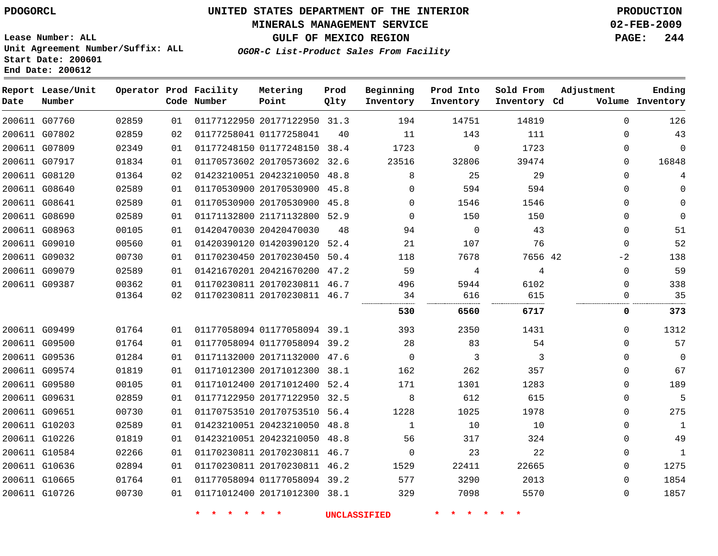### **MINERALS MANAGEMENT SERVICE 02-FEB-2009**

**GULF OF MEXICO REGION PAGE: 244 OGOR-C List-Product Sales From Facility**

**Lease Number: ALL Unit Agreement Number/Suffix: ALL Start Date: 200601 End Date: 200612**

| Date          | Report Lease/Unit<br>Number |       |    | Operator Prod Facility<br>Code Number | Metering<br>Point            | Prod<br>Qlty | Beginning<br>Inventory | Prod Into<br>Inventory | Sold From<br>Inventory Cd | Adjustment  | Ending<br>Volume Inventory |
|---------------|-----------------------------|-------|----|---------------------------------------|------------------------------|--------------|------------------------|------------------------|---------------------------|-------------|----------------------------|
|               | 200611 G07760               | 02859 | 01 |                                       | 01177122950 20177122950 31.3 |              | 194                    | 14751                  | 14819                     | $\Omega$    | 126                        |
|               | 200611 G07802               | 02859 | 02 |                                       | 01177258041 01177258041      | 40           | 11                     | 143                    | 111                       | $\mathbf 0$ | 43                         |
|               | 200611 G07809               | 02349 | 01 |                                       | 01177248150 01177248150      | 38.4         | 1723                   | $\mathbf 0$            | 1723                      | 0           | $\mathbf 0$                |
|               | 200611 G07917               | 01834 | 01 |                                       | 01170573602 20170573602 32.6 |              | 23516                  | 32806                  | 39474                     | $\Omega$    | 16848                      |
|               | 200611 G08120               | 01364 | 02 |                                       | 01423210051 20423210050      | 48.8         | 8                      | 25                     | 29                        | $\Omega$    | 4                          |
|               | 200611 G08640               | 02589 | 01 |                                       | 01170530900 20170530900      | 45.8         | $\Omega$               | 594                    | 594                       | $\mathbf 0$ | $\Omega$                   |
| 200611 G08641 |                             | 02589 | 01 |                                       | 01170530900 20170530900      | 45.8         | $\Omega$               | 1546                   | 1546                      | $\mathbf 0$ | $\mathbf 0$                |
|               | 200611 G08690               | 02589 | 01 |                                       | 01171132800 21171132800 52.9 |              | 0                      | 150                    | 150                       | $\mathbf 0$ | $\mathbf 0$                |
|               | 200611 G08963               | 00105 | 01 |                                       | 01420470030 20420470030      | 48           | 94                     | $\mathbf 0$            | 43                        | $\mathbf 0$ | 51                         |
|               | 200611 G09010               | 00560 | 01 |                                       | 01420390120 01420390120 52.4 |              | 21                     | 107                    | 76                        | $\mathbf 0$ | 52                         |
|               | 200611 G09032               | 00730 | 01 |                                       | 01170230450 20170230450 50.4 |              | 118                    | 7678                   | 7656 42                   | $-2$        | 138                        |
|               | 200611 G09079               | 02589 | 01 |                                       | 01421670201 20421670200      | 47.2         | 59                     | 4                      | 4                         | $\mathbf 0$ | 59                         |
|               | 200611 G09387               | 00362 | 01 |                                       | 01170230811 20170230811 46.7 |              | 496                    | 5944                   | 6102                      | $\Omega$    | 338                        |
|               |                             | 01364 | 02 |                                       | 01170230811 20170230811 46.7 |              | 34                     | 616                    | 615                       | $\mathbf 0$ | 35                         |
|               |                             |       |    |                                       |                              |              | 530                    | 6560                   | 6717                      | 0           | 373                        |
|               | 200611 G09499               | 01764 | 01 |                                       | 01177058094 01177058094 39.1 |              | 393                    | 2350                   | 1431                      | $\Omega$    | 1312                       |
|               | 200611 G09500               | 01764 | 01 |                                       | 01177058094 01177058094 39.2 |              | 28                     | 83                     | 54                        | $\Omega$    | 57                         |
|               | 200611 G09536               | 01284 | 01 |                                       | 01171132000 20171132000 47.6 |              | $\mathbf 0$            | 3                      | 3                         | $\mathbf 0$ | $\mathbf 0$                |
|               | 200611 G09574               | 01819 | 01 |                                       | 01171012300 20171012300      | 38.1         | 162                    | 262                    | 357                       | $\mathbf 0$ | 67                         |
|               | 200611 G09580               | 00105 | 01 |                                       | 01171012400 20171012400      | 52.4         | 171                    | 1301                   | 1283                      | $\Omega$    | 189                        |
|               | 200611 G09631               | 02859 | 01 |                                       | 01177122950 20177122950 32.5 |              | 8                      | 612                    | 615                       | 0           | 5                          |
|               | 200611 G09651               | 00730 | 01 |                                       | 01170753510 20170753510      | 56.4         | 1228                   | 1025                   | 1978                      | 0           | 275                        |
|               | 200611 G10203               | 02589 | 01 |                                       | 01423210051 20423210050 48.8 |              | 1                      | 10                     | 10                        | $\mathbf 0$ | $\mathbf{1}$               |
|               | 200611 G10226               | 01819 | 01 |                                       | 01423210051 20423210050      | 48.8         | 56                     | 317                    | 324                       | $\mathbf 0$ | 49                         |
|               | 200611 G10584               | 02266 | 01 |                                       | 01170230811 20170230811 46.7 |              | $\mathbf 0$            | 23                     | 22                        | $\mathbf 0$ | $\mathbf{1}$               |
|               | 200611 G10636               | 02894 | 01 |                                       | 01170230811 20170230811 46.2 |              | 1529                   | 22411                  | 22665                     | 0           | 1275                       |
|               | 200611 G10665               | 01764 | 01 |                                       | 01177058094 01177058094 39.2 |              | 577                    | 3290                   | 2013                      | $\Omega$    | 1854                       |
|               | 200611 G10726               | 00730 | 01 |                                       | 01171012400 20171012300 38.1 |              | 329                    | 7098                   | 5570                      | $\Omega$    | 1857                       |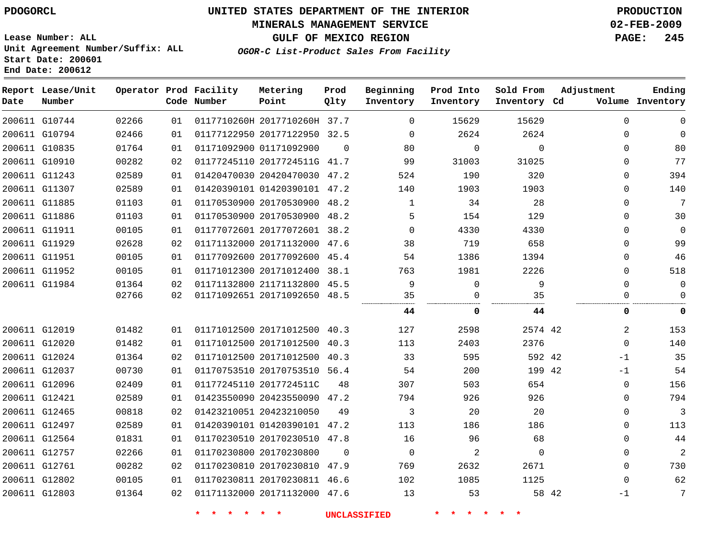### **MINERALS MANAGEMENT SERVICE 02-FEB-2009**

**GULF OF MEXICO REGION PAGE: 245 OGOR-C List-Product Sales From Facility**

**Lease Number: ALL Unit Agreement Number/Suffix: ALL Start Date: 200601 End Date: 200612**

| Date          | Report Lease/Unit<br>Number |       |    | Operator Prod Facility<br>Code Number | Metering<br>Point            | Prod<br>Qlty | Beginning<br>Inventory | Prod Into<br>Inventory | Sold From<br>Inventory Cd | Adjustment  | Ending<br>Volume Inventory |
|---------------|-----------------------------|-------|----|---------------------------------------|------------------------------|--------------|------------------------|------------------------|---------------------------|-------------|----------------------------|
|               | 200611 G10744               | 02266 | 01 |                                       | 0117710260H 2017710260H 37.7 |              | $\Omega$               | 15629                  | 15629                     | $\Omega$    | $\Omega$                   |
| 200611 G10794 |                             | 02466 | 01 |                                       | 01177122950 20177122950 32.5 |              | $\Omega$               | 2624                   | 2624                      | $\mathbf 0$ | $\Omega$                   |
|               | 200611 G10835               | 01764 | 01 |                                       | 01171092900 01171092900      | $\Omega$     | 80                     | $\Omega$               | $\Omega$                  | $\Omega$    | 80                         |
|               | 200611 G10910               | 00282 | 02 |                                       | 01177245110 2017724511G 41.7 |              | 99                     | 31003                  | 31025                     | $\Omega$    | 77                         |
|               | 200611 G11243               | 02589 | 01 |                                       | 01420470030 20420470030 47.2 |              | 524                    | 190                    | 320                       | $\mathbf 0$ | 394                        |
|               | 200611 G11307               | 02589 | 01 |                                       | 01420390101 01420390101 47.2 |              | 140                    | 1903                   | 1903                      | $\mathbf 0$ | 140                        |
| 200611 G11885 |                             | 01103 | 01 |                                       | 01170530900 20170530900 48.2 |              | $\mathbf{1}$           | 34                     | 28                        | $\mathbf 0$ | 7                          |
| 200611 G11886 |                             | 01103 | 01 |                                       | 01170530900 20170530900 48.2 |              | 5                      | 154                    | 129                       | $\mathbf 0$ | 30                         |
| 200611 G11911 |                             | 00105 | 01 |                                       | 01177072601 20177072601 38.2 |              | $\Omega$               | 4330                   | 4330                      | $\Omega$    | $\Omega$                   |
|               | 200611 G11929               | 02628 | 02 |                                       | 01171132000 20171132000 47.6 |              | 38                     | 719                    | 658                       | $\Omega$    | 99                         |
| 200611 G11951 |                             | 00105 | 01 |                                       | 01177092600 20177092600 45.4 |              | 54                     | 1386                   | 1394                      | $\mathbf 0$ | 46                         |
| 200611 G11952 |                             | 00105 | 01 |                                       | 01171012300 20171012400 38.1 |              | 763                    | 1981                   | 2226                      | $\Omega$    | 518                        |
|               | 200611 G11984               | 01364 | 02 |                                       | 01171132800 21171132800 45.5 |              | 9                      | 0                      | 9                         | $\Omega$    | $\Omega$                   |
|               |                             | 02766 | 02 |                                       | 01171092651 20171092650 48.5 |              | 35                     | $\Omega$               | 35                        | $\Omega$    | $\Omega$                   |
|               |                             |       |    |                                       |                              |              | 44                     | 0                      | 44                        | 0           | 0                          |
| 200611 G12019 |                             | 01482 | 01 |                                       | 01171012500 20171012500 40.3 |              | 127                    | 2598                   | 2574 42                   | 2           | 153                        |
| 200611 G12020 |                             | 01482 | 01 |                                       | 01171012500 20171012500 40.3 |              | 113                    | 2403                   | 2376                      | $\mathbf 0$ | 140                        |
| 200611 G12024 |                             | 01364 | 02 |                                       | 01171012500 20171012500 40.3 |              | 33                     | 595                    | 592 42                    | $-1$        | 35                         |
| 200611 G12037 |                             | 00730 | 01 |                                       | 01170753510 20170753510 56.4 |              | 54                     | 200                    | 199 42                    | $-1$        | 54                         |
|               | 200611 G12096               | 02409 | 01 |                                       | 01177245110 2017724511C      | 48           | 307                    | 503                    | 654                       | $\mathbf 0$ | 156                        |
| 200611 G12421 |                             | 02589 | 01 |                                       | 01423550090 20423550090      | 47.2         | 794                    | 926                    | 926                       | $\mathbf 0$ | 794                        |
| 200611 G12465 |                             | 00818 | 02 |                                       | 01423210051 20423210050      | 49           | 3                      | 20                     | 20                        | $\mathbf 0$ | 3                          |
|               | 200611 G12497               | 02589 | 01 |                                       | 01420390101 01420390101 47.2 |              | 113                    | 186                    | 186                       | $\mathbf 0$ | 113                        |
| 200611 G12564 |                             | 01831 | 01 |                                       | 01170230510 20170230510 47.8 |              | 16                     | 96                     | 68                        | $\Omega$    | 44                         |
|               | 200611 G12757               | 02266 | 01 | 01170230800 20170230800               |                              | $\Omega$     | $\mathbf 0$            | 2                      | $\Omega$                  | $\mathbf 0$ | $\overline{2}$             |
| 200611 G12761 |                             | 00282 | 02 |                                       | 01170230810 20170230810 47.9 |              | 769                    | 2632                   | 2671                      | $\Omega$    | 730                        |
| 200611 G12802 |                             | 00105 | 01 |                                       | 01170230811 20170230811 46.6 |              | 102                    | 1085                   | 1125                      | $\mathbf 0$ | 62                         |
|               | 200611 G12803               | 01364 | 02 |                                       | 01171132000 20171132000 47.6 |              | 13                     | 53                     | 58 42                     | $-1$        | 7                          |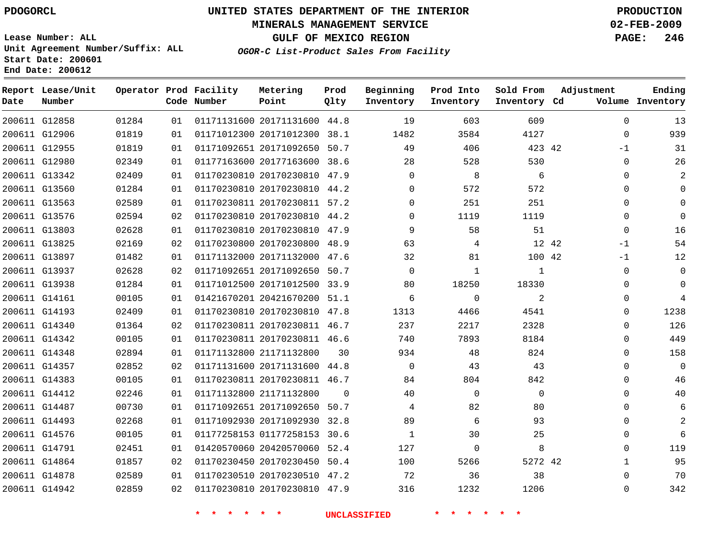### **MINERALS MANAGEMENT SERVICE 02-FEB-2009**

**GULF OF MEXICO REGION PAGE: 246**

**Lease Number: ALL Unit Agreement Number/Suffix: ALL Start Date: 200601 End Date: 200612**

**OGOR-C List-Product Sales From Facility**

| Date | Report Lease/Unit<br>Number |       |                 | Operator Prod Facility<br>Code Number | Metering<br>Point            | Prod<br>Qlty | Beginning<br>Inventory | Prod Into<br>Inventory | Sold From<br>Inventory Cd | Adjustment    | Ending<br>Volume Inventory |
|------|-----------------------------|-------|-----------------|---------------------------------------|------------------------------|--------------|------------------------|------------------------|---------------------------|---------------|----------------------------|
|      | 200611 G12858               | 01284 | 01              |                                       | 01171131600 20171131600 44.8 |              | 19                     | 603                    | 609                       | $\mathbf 0$   | 13                         |
|      | 200611 G12906               | 01819 | 01              |                                       | 01171012300 20171012300 38.1 |              | 1482                   | 3584                   | 4127                      | $\Omega$      | 939                        |
|      | 200611 G12955               | 01819 | 01              |                                       | 01171092651 20171092650 50.7 |              | 49                     | 406                    | 423 42                    | $-1$          | 31                         |
|      | 200611 G12980               | 02349 | 01              |                                       | 01177163600 20177163600 38.6 |              | 28                     | 528                    | 530                       | $\Omega$      | 26                         |
|      | 200611 G13342               | 02409 | 01              |                                       | 01170230810 20170230810 47.9 |              | $\Omega$               | 8                      | 6                         | $\Omega$      | 2                          |
|      | 200611 G13560               | 01284 | 01              |                                       | 01170230810 20170230810 44.2 |              | 0                      | 572                    | 572                       | $\Omega$      | $\Omega$                   |
|      | 200611 G13563               | 02589 | 01              |                                       | 01170230811 20170230811 57.2 |              | $\Omega$               | 251                    | 251                       | $\Omega$      | $\Omega$                   |
|      | 200611 G13576               | 02594 | 02              |                                       | 01170230810 20170230810 44.2 |              | $\Omega$               | 1119                   | 1119                      | $\mathbf 0$   | $\Omega$                   |
|      | 200611 G13803               | 02628 | 01              |                                       | 01170230810 20170230810 47.9 |              | 9                      | 58                     | 51                        | $\Omega$      | 16                         |
|      | 200611 G13825               | 02169 | 02 <sub>o</sub> |                                       | 01170230800 20170230800 48.9 |              | 63                     | 4                      |                           | 12 42<br>$-1$ | 54                         |
|      | 200611 G13897               | 01482 | 01              |                                       | 01171132000 20171132000 47.6 |              | 32                     | 81                     | 100 42                    | $-1$          | 12                         |
|      | 200611 G13937               | 02628 | 02              |                                       | 01171092651 20171092650 50.7 |              | $\mathbf 0$            | 1                      | 1                         | $\mathbf 0$   | $\mathbf 0$                |
|      | 200611 G13938               | 01284 | 01              |                                       | 01171012500 20171012500 33.9 |              | 80                     | 18250                  | 18330                     | $\Omega$      | $\Omega$                   |
|      | 200611 G14161               | 00105 | 01              |                                       | 01421670201 20421670200 51.1 |              | 6                      | $\mathbf 0$            | 2                         | $\mathbf 0$   | $\overline{4}$             |
|      | 200611 G14193               | 02409 | 01              |                                       | 01170230810 20170230810 47.8 |              | 1313                   | 4466                   | 4541                      | $\Omega$      | 1238                       |
|      | 200611 G14340               | 01364 | 02              |                                       | 01170230811 20170230811 46.7 |              | 237                    | 2217                   | 2328                      | $\Omega$      | 126                        |
|      | 200611 G14342               | 00105 | 01              |                                       | 01170230811 20170230811 46.6 |              | 740                    | 7893                   | 8184                      | 0             | 449                        |
|      | 200611 G14348               | 02894 | 01              |                                       | 01171132800 21171132800      | 30           | 934                    | 48                     | 824                       | 0             | 158                        |
|      | 200611 G14357               | 02852 | 02              |                                       | 01171131600 20171131600 44.8 |              | $\Omega$               | 43                     | 43                        | $\Omega$      | $\Omega$                   |
|      | 200611 G14383               | 00105 | 01              |                                       | 01170230811 20170230811 46.7 |              | 84                     | 804                    | 842                       | $\Omega$      | 46                         |
|      | 200611 G14412               | 02246 | 01              |                                       | 01171132800 21171132800      | $\Omega$     | 40                     | $\Omega$               | $\Omega$                  | $\Omega$      | 40                         |
|      | 200611 G14487               | 00730 | 01              |                                       | 01171092651 20171092650 50.7 |              | 4                      | 82                     | 80                        | $\Omega$      | 6                          |
|      | 200611 G14493               | 02268 | 01              |                                       | 01171092930 20171092930 32.8 |              | 89                     | 6                      | 93                        | $\Omega$      | 2                          |
|      | 200611 G14576               | 00105 | 01              |                                       | 01177258153 01177258153 30.6 |              | $\mathbf{1}$           | 30                     | 25                        | $\mathbf 0$   | 6                          |
|      | 200611 G14791               | 02451 | 01              |                                       | 01420570060 20420570060 52.4 |              | 127                    | $\Omega$               | 8                         | $\Omega$      | 119                        |
|      | 200611 G14864               | 01857 | 02              |                                       | 01170230450 20170230450 50.4 |              | 100                    | 5266                   | 5272 42                   | $\mathbf{1}$  | 95                         |
|      | 200611 G14878               | 02589 | 01              |                                       | 01170230510 20170230510 47.2 |              | 72                     | 36                     | 38                        | $\Omega$      | 70                         |
|      | 200611 G14942               | 02859 | 02              |                                       | 01170230810 20170230810 47.9 |              | 316                    | 1232                   | 1206                      | $\Omega$      | 342                        |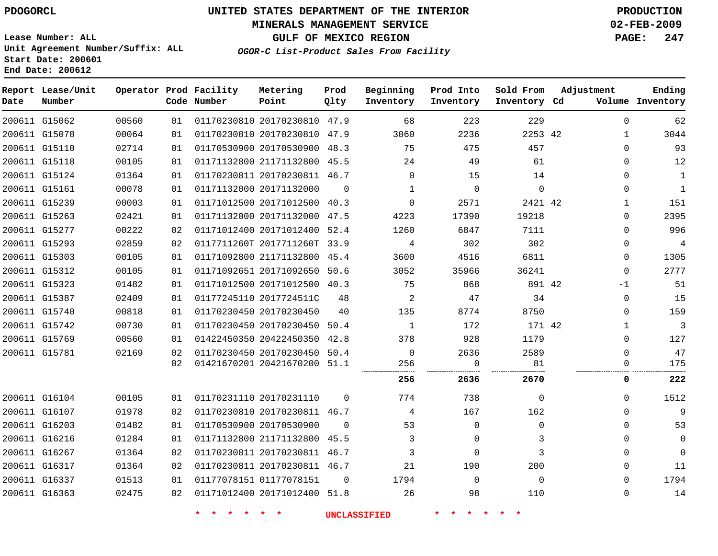### **MINERALS MANAGEMENT SERVICE 02-FEB-2009**

**GULF OF MEXICO REGION PAGE: 247**

**Lease Number: ALL Unit Agreement Number/Suffix: ALL Start Date: 200601 End Date: 200612**

**OGOR-C List-Product Sales From Facility**

| Date | Report Lease/Unit<br>Number |       |                 | Operator Prod Facility<br>Code Number | Metering<br>Point            | Prod<br>Qlty   | Beginning<br>Inventory | Prod Into<br>Inventory | Sold From<br>Inventory Cd | Adjustment |              | Ending<br>Volume Inventory |
|------|-----------------------------|-------|-----------------|---------------------------------------|------------------------------|----------------|------------------------|------------------------|---------------------------|------------|--------------|----------------------------|
|      | 200611 G15062               | 00560 | 01              |                                       | 01170230810 20170230810 47.9 |                | 68                     | 223                    | 229                       |            | $\Omega$     | 62                         |
|      | 200611 G15078               | 00064 | 01              |                                       | 01170230810 20170230810 47.9 |                | 3060                   | 2236                   | 2253 42                   |            | $\mathbf{1}$ | 3044                       |
|      | 200611 G15110               | 02714 | 01              |                                       | 01170530900 20170530900 48.3 |                | 75                     | 475                    | 457                       |            | $\Omega$     | 93                         |
|      | 200611 G15118               | 00105 | 01              |                                       | 01171132800 21171132800 45.5 |                | 24                     | 49                     | 61                        |            | $\Omega$     | 12                         |
|      | 200611 G15124               | 01364 | 01              |                                       | 01170230811 20170230811 46.7 |                | $\Omega$               | 15                     | 14                        |            | $\Omega$     | $\mathbf{1}$               |
|      | 200611 G15161               | 00078 | 01              |                                       | 01171132000 20171132000      | $\Omega$       | $\mathbf{1}$           | $\Omega$               | $\mathbf 0$               |            | $\Omega$     | $\mathbf{1}$               |
|      | 200611 G15239               | 00003 | 01              |                                       | 01171012500 20171012500 40.3 |                | $\Omega$               | 2571                   | 2421 42                   |            | $\mathbf{1}$ | 151                        |
|      | 200611 G15263               | 02421 | 01              |                                       | 01171132000 20171132000 47.5 |                | 4223                   | 17390                  | 19218                     |            | $\Omega$     | 2395                       |
|      | 200611 G15277               | 00222 | 02              |                                       | 01171012400 20171012400 52.4 |                | 1260                   | 6847                   | 7111                      |            | $\Omega$     | 996                        |
|      | 200611 G15293               | 02859 | 02              |                                       | 0117711260T 2017711260T 33.9 |                | 4                      | 302                    | 302                       |            | $\Omega$     | 4                          |
|      | 200611 G15303               | 00105 | 01              |                                       | 01171092800 21171132800 45.4 |                | 3600                   | 4516                   | 6811                      |            | $\mathbf 0$  | 1305                       |
|      | 200611 G15312               | 00105 | 01              |                                       | 01171092651 20171092650 50.6 |                | 3052                   | 35966                  | 36241                     |            | $\mathbf 0$  | 2777                       |
|      | 200611 G15323               | 01482 | 01              |                                       | 01171012500 20171012500 40.3 |                | 75                     | 868                    | 891 42                    |            | $-1$         | 51                         |
|      | 200611 G15387               | 02409 | 01              |                                       | 01177245110 2017724511C      | 48             | 2                      | 47                     | 34                        |            | $\mathbf 0$  | 15                         |
|      | 200611 G15740               | 00818 | 01              |                                       | 01170230450 20170230450      | 40             | 135                    | 8774                   | 8750                      |            | $\Omega$     | 159                        |
|      | 200611 G15742               | 00730 | 01              |                                       | 01170230450 20170230450 50.4 |                | $\mathbf{1}$           | 172                    | 171 42                    |            | 1            | $\mathbf{3}$               |
|      | 200611 G15769               | 00560 | 01              |                                       | 01422450350 20422450350 42.8 |                | 378                    | 928                    | 1179                      |            | 0            | 127                        |
|      | 200611 G15781               | 02169 | 02              |                                       | 01170230450 20170230450 50.4 |                | $\overline{0}$         | 2636                   | 2589                      |            | $\Omega$     | 47                         |
|      |                             |       | 02              |                                       | 01421670201 20421670200 51.1 |                | 256                    | 0                      | 81                        |            | 0            | 175                        |
|      |                             |       |                 |                                       |                              |                | 256                    | 2636                   | 2670                      |            | 0            | 222                        |
|      | 200611 G16104               | 00105 | 01              |                                       | 01170231110 20170231110      | $\Omega$       | 774                    | 738                    | $\mathbf 0$               |            | $\Omega$     | 1512                       |
|      | 200611 G16107               | 01978 | 02              |                                       | 01170230810 20170230811 46.7 |                | 4                      | 167                    | 162                       |            | $\Omega$     | 9                          |
|      | 200611 G16203               | 01482 | 01              |                                       | 01170530900 20170530900      | $\Omega$       | 53                     | $\mathbf 0$            | $\Omega$                  |            | $\Omega$     | 53                         |
|      | 200611 G16216               | 01284 | 01              |                                       | 01171132800 21171132800 45.5 |                | 3                      | $\Omega$               | 3                         |            | $\Omega$     | $\mathbf{0}$               |
|      | 200611 G16267               | 01364 | 02              |                                       | 01170230811 20170230811 46.7 |                | 3                      | 0                      | 3                         |            | $\Omega$     | $\Omega$                   |
|      | 200611 G16317               | 01364 | 02              |                                       | 01170230811 20170230811 46.7 |                | 21                     | 190                    | 200                       |            | $\Omega$     | 11                         |
|      | 200611 G16337               | 01513 | 01              |                                       | 01177078151 01177078151      | $\overline{0}$ | 1794                   | $\overline{0}$         | $\Omega$                  |            | $\Omega$     | 1794                       |
|      | 200611 G16363               | 02475 | 02 <sub>o</sub> |                                       | 01171012400 20171012400 51.8 |                | 26                     | 98                     | 110                       |            | $\mathbf 0$  | 14                         |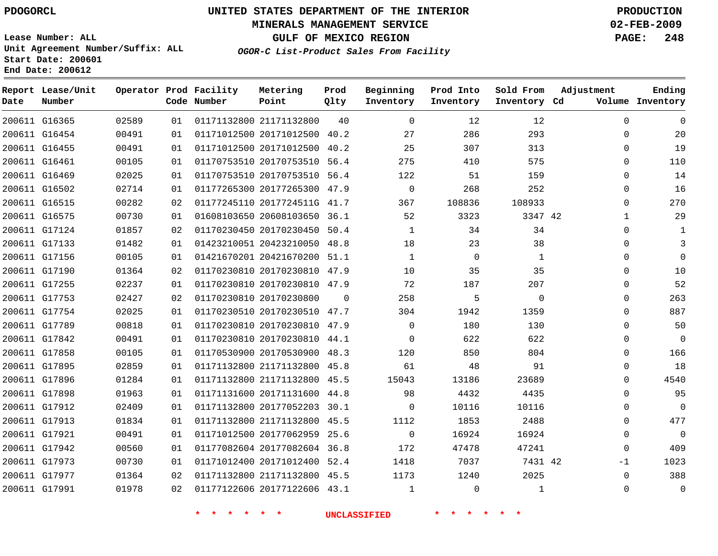#### **MINERALS MANAGEMENT SERVICE 02-FEB-2009**

**GULF OF MEXICO REGION PAGE: 248 OGOR-C List-Product Sales From Facility**

**Lease Number: ALL Unit Agreement Number/Suffix: ALL Start Date: 200601 End Date: 200612**

 G16365 G16454 G16455 G16461 G16469 G16502 G16515 G16575 G17124 G17133 G17156 G17190 G17255 G17753 G17754 G17789 G17842 G17858 G17895 G17896 G17898 G17912 G17913 G17921 G17942 G17973 G17977 G17991 **Report Lease/Unit Date Number Operator Prod Facility Code Number** 21171132800 20171012500 20171012500 20170753510 56.4 20170753510 56.4 20177265300 47.9 2017724511G 41.7 20608103650 36.1 20170230450 50.4 20423210050 48.8 20421670200 51.1 20170230810 47.9 20170230810 47.9 20170230800 20170230510 47.7 20170230810 47.9 20170230810 44.1 20170530900 48.3 21171132800 45.8 21171132800 20171131600 44.8 20177052203 30.1 21171132800 45.5 20177062959 25.6 20177082604 36.8 20171012400 52.4 21171132800 45.5 20177122606 43.1 **Metering Point** 42 42 40.2 40.2  $\Omega$ 45.5 **Prod Qlty**  $\Omega$   $\Omega$   $\Omega$  $\Omega$   $\Omega$  **Beginning Inventory**  $\Omega$  $2.0$   $\Omega$   $\Omega$   $\Omega$   $\Omega$ **Ending Inventory Cd Volume**  $\Omega$   $\Omega$ **Prod Into Inventory**  $\Omega$  **Sold From Inventory**  $\Omega$  $\Omega$  $\Omega$  $\Omega$  $\Omega$  $\Omega$  $\Omega$   $\Omega$  $\Omega$  $\Omega$  $\Omega$  $\Omega$  $\Omega$  $\Omega$  $\Omega$  $\Omega$  $\cap$  $\Omega$  $\Omega$   $\Omega$  $\Omega$   $\Omega$ -1  $\Omega$  $\Omega$ **Adjustment**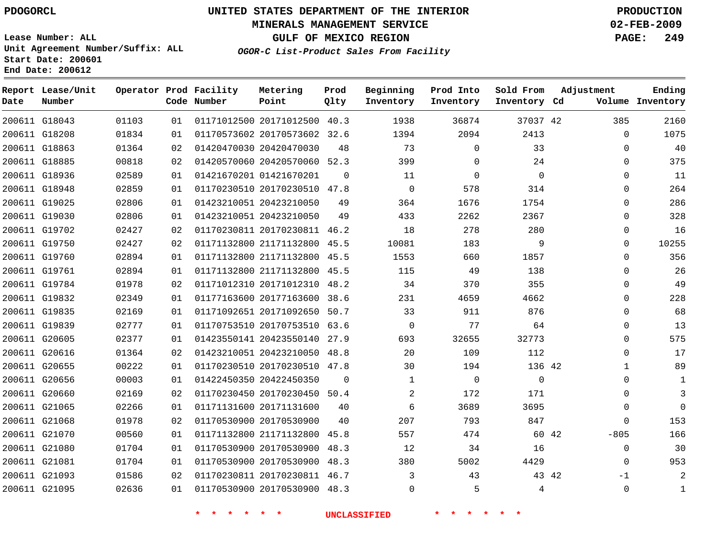### **MINERALS MANAGEMENT SERVICE 02-FEB-2009**

**GULF OF MEXICO REGION PAGE: 249**

**Lease Number: ALL Unit Agreement Number/Suffix: ALL Start Date: 200601 End Date: 200612**

**OGOR-C List-Product Sales From Facility**

| Date | Report Lease/Unit<br>Number |       |    | Operator Prod Facility<br>Code Number | Metering<br>Point            | Prod<br>Qlty | Beginning<br>Inventory | Prod Into<br>Inventory | Sold From<br>Inventory Cd | Adjustment    | Ending<br>Volume Inventory |
|------|-----------------------------|-------|----|---------------------------------------|------------------------------|--------------|------------------------|------------------------|---------------------------|---------------|----------------------------|
|      | 200611 G18043               | 01103 | 01 |                                       | 01171012500 20171012500 40.3 |              | 1938                   | 36874                  | 37037 42                  | 385           | 2160                       |
|      | 200611 G18208               | 01834 | 01 |                                       | 01170573602 20170573602 32.6 |              | 1394                   | 2094                   | 2413                      | 0             | 1075                       |
|      | 200611 G18863               | 01364 | 02 |                                       | 01420470030 20420470030      | 48           | 73                     | $\mathbf 0$            | 33                        | $\Omega$      | 40                         |
|      | 200611 G18885               | 00818 | 02 |                                       | 01420570060 20420570060 52.3 |              | 399                    | $\mathbf 0$            | 24                        | $\Omega$      | 375                        |
|      | 200611 G18936               | 02589 | 01 |                                       | 01421670201 01421670201      | $\Omega$     | 11                     | $\mathbf 0$            | 0                         | $\Omega$      | 11                         |
|      | 200611 G18948               | 02859 | 01 |                                       | 01170230510 20170230510 47.8 |              | $\Omega$               | 578                    | 314                       | $\Omega$      | 264                        |
|      | 200611 G19025               | 02806 | 01 |                                       | 01423210051 20423210050      | 49           | 364                    | 1676                   | 1754                      | $\Omega$      | 286                        |
|      | 200611 G19030               | 02806 | 01 |                                       | 01423210051 20423210050      | 49           | 433                    | 2262                   | 2367                      | 0             | 328                        |
|      | 200611 G19702               | 02427 | 02 |                                       | 01170230811 20170230811 46.2 |              | 18                     | 278                    | 280                       | 0             | 16                         |
|      | 200611 G19750               | 02427 | 02 |                                       | 01171132800 21171132800 45.5 |              | 10081                  | 183                    | 9                         | $\mathbf 0$   | 10255                      |
|      | 200611 G19760               | 02894 | 01 |                                       | 01171132800 21171132800 45.5 |              | 1553                   | 660                    | 1857                      | 0             | 356                        |
|      | 200611 G19761               | 02894 | 01 |                                       | 01171132800 21171132800      | 45.5         | 115                    | 49                     | 138                       | $\mathbf{0}$  | 26                         |
|      | 200611 G19784               | 01978 | 02 |                                       | 01171012310 20171012310 48.2 |              | 34                     | 370                    | 355                       | $\Omega$      | 49                         |
|      | 200611 G19832               | 02349 | 01 |                                       | 01177163600 20177163600      | 38.6         | 231                    | 4659                   | 4662                      | 0             | 228                        |
|      | 200611 G19835               | 02169 | 01 |                                       | 01171092651 20171092650 50.7 |              | 33                     | 911                    | 876                       | $\Omega$      | 68                         |
|      | 200611 G19839               | 02777 | 01 |                                       | 01170753510 20170753510 63.6 |              | $\mathbf 0$            | 77                     | 64                        | $\Omega$      | 13                         |
|      | 200611 G20605               | 02377 | 01 |                                       | 01423550141 20423550140 27.9 |              | 693                    | 32655                  | 32773                     | $\Omega$      | 575                        |
|      | 200611 G20616               | 01364 | 02 |                                       | 01423210051 20423210050 48.8 |              | 20                     | 109                    | 112                       | $\mathbf{0}$  | 17                         |
|      | 200611 G20655               | 00222 | 01 |                                       | 01170230510 20170230510 47.8 |              | 30                     | 194                    | 136 42                    | $\mathbf{1}$  | 89                         |
|      | 200611 G20656               | 00003 | 01 |                                       | 01422450350 20422450350      | $\Omega$     | 1                      | $\mathbf 0$            | 0                         | 0             | 1                          |
|      | 200611 G20660               | 02169 | 02 |                                       | 01170230450 20170230450 50.4 |              | $\overline{2}$         | 172                    | 171                       | $\Omega$      | 3                          |
|      | 200611 G21065               | 02266 | 01 |                                       | 01171131600 20171131600      | 40           | 6                      | 3689                   | 3695                      | $\Omega$      | $\Omega$                   |
|      | 200611 G21068               | 01978 | 02 |                                       | 01170530900 20170530900      | 40           | 207                    | 793                    | 847                       | $\mathbf{0}$  | 153                        |
|      | 200611 G21070               | 00560 | 01 |                                       | 01171132800 21171132800      | 45.8         | 557                    | 474                    | 60 42                     | $-805$        | 166                        |
|      | 200611 G21080               | 01704 | 01 |                                       | 01170530900 20170530900      | 48.3         | 12                     | 34                     | 16                        | $\mathbf{0}$  | 30                         |
|      | 200611 G21081               | 01704 | 01 |                                       | 01170530900 20170530900      | 48.3         | 380                    | 5002                   | 4429                      | 0             | 953                        |
|      | 200611 G21093               | 01586 | 02 |                                       | 01170230811 20170230811 46.7 |              | 3                      | 43                     |                           | 43 42<br>$-1$ | 2                          |
|      | 200611 G21095               | 02636 | 01 |                                       | 01170530900 20170530900 48.3 |              | $\Omega$               | 5                      | 4                         | $\mathbf{0}$  | $\mathbf{1}$               |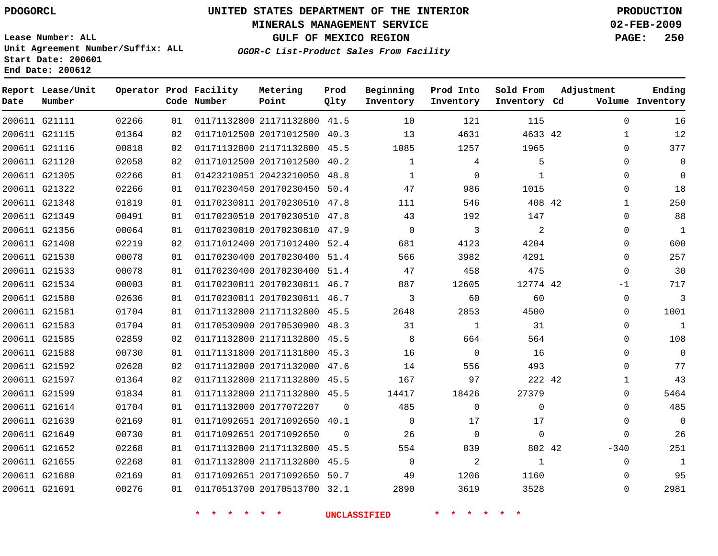### **MINERALS MANAGEMENT SERVICE 02-FEB-2009**

**GULF OF MEXICO REGION PAGE: 250**

**Lease Number: ALL Unit Agreement Number/Suffix: ALL Start Date: 200601 End Date: 200612**

**OGOR-C List-Product Sales From Facility**

| Date          | Report Lease/Unit<br>Number |       |    | Operator Prod Facility<br>Code Number | Metering<br>Point            | Prod<br>Qlty | Beginning<br>Inventory | Prod Into<br>Inventory | Sold From<br>Inventory Cd | Adjustment   | Ending<br>Volume Inventory |
|---------------|-----------------------------|-------|----|---------------------------------------|------------------------------|--------------|------------------------|------------------------|---------------------------|--------------|----------------------------|
| 200611 G21111 |                             | 02266 | 01 |                                       | 01171132800 21171132800 41.5 |              | 10                     | 121                    | 115                       | $\Omega$     | 16                         |
| 200611 G21115 |                             | 01364 | 02 |                                       | 01171012500 20171012500 40.3 |              | 13                     | 4631                   | 4633 42                   | $\mathbf{1}$ | 12                         |
| 200611 G21116 |                             | 00818 | 02 |                                       | 01171132800 21171132800      | 45.5         | 1085                   | 1257                   | 1965                      | $\mathbf 0$  | 377                        |
| 200611 G21120 |                             | 02058 | 02 |                                       | 01171012500 20171012500      | 40.2         | $\mathbf{1}$           | 4                      | 5                         | $\Omega$     | $\mathbf 0$                |
| 200611 G21305 |                             | 02266 | 01 |                                       | 01423210051 20423210050      | 48.8         | 1                      | 0                      | 1                         | $\Omega$     | $\mathbf 0$                |
| 200611 G21322 |                             | 02266 | 01 |                                       | 01170230450 20170230450 50.4 |              | 47                     | 986                    | 1015                      | $\mathbf 0$  | 18                         |
| 200611 G21348 |                             | 01819 | 01 |                                       | 01170230811 20170230510 47.8 |              | 111                    | 546                    | 408 42                    | $\mathbf{1}$ | 250                        |
| 200611 G21349 |                             | 00491 | 01 |                                       | 01170230510 20170230510 47.8 |              | 43                     | 192                    | 147                       | 0            | 88                         |
| 200611 G21356 |                             | 00064 | 01 |                                       | 01170230810 20170230810 47.9 |              | $\mathbf 0$            | 3                      | 2                         | 0            | $\mathbf{1}$               |
| 200611 G21408 |                             | 02219 | 02 |                                       | 01171012400 20171012400 52.4 |              | 681                    | 4123                   | 4204                      | $\Omega$     | 600                        |
| 200611 G21530 |                             | 00078 | 01 |                                       | 01170230400 20170230400 51.4 |              | 566                    | 3982                   | 4291                      | $\Omega$     | 257                        |
| 200611 G21533 |                             | 00078 | 01 |                                       | 01170230400 20170230400      | 51.4         | 47                     | 458                    | 475                       | $\mathbf 0$  | 30                         |
| 200611 G21534 |                             | 00003 | 01 |                                       | 01170230811 20170230811 46.7 |              | 887                    | 12605                  | 12774 42                  | $-1$         | 717                        |
| 200611 G21580 |                             | 02636 | 01 |                                       | 01170230811 20170230811 46.7 |              | 3                      | 60                     | 60                        | $\mathbf 0$  | 3                          |
| 200611 G21581 |                             | 01704 | 01 |                                       | 01171132800 21171132800 45.5 |              | 2648                   | 2853                   | 4500                      | $\mathbf 0$  | 1001                       |
| 200611 G21583 |                             | 01704 | 01 |                                       | 01170530900 20170530900      | 48.3         | 31                     | 1                      | 31                        | $\Omega$     | $\mathbf{1}$               |
| 200611 G21585 |                             | 02859 | 02 |                                       | 01171132800 21171132800 45.5 |              | 8                      | 664                    | 564                       | $\Omega$     | 108                        |
| 200611 G21588 |                             | 00730 | 01 |                                       | 01171131800 20171131800 45.3 |              | 16                     | $\overline{0}$         | 16                        | 0            | $\overline{0}$             |
| 200611 G21592 |                             | 02628 | 02 |                                       | 01171132000 20171132000 47.6 |              | 14                     | 556                    | 493                       | 0            | 77                         |
| 200611 G21597 |                             | 01364 | 02 |                                       | 01171132800 21171132800 45.5 |              | 167                    | 97                     | 222 42                    | 1            | 43                         |
| 200611 G21599 |                             | 01834 | 01 |                                       | 01171132800 21171132800      | 45.5         | 14417                  | 18426                  | 27379                     | 0            | 5464                       |
| 200611 G21614 |                             | 01704 | 01 |                                       | 01171132000 20177072207      | $\Omega$     | 485                    | $\Omega$               | $\Omega$                  | $\Omega$     | 485                        |
| 200611 G21639 |                             | 02169 | 01 |                                       | 01171092651 20171092650 40.1 |              | $\mathbf 0$            | 17                     | 17                        | 0            | $\mathbf 0$                |
| 200611 G21649 |                             | 00730 | 01 |                                       | 01171092651 20171092650      | $\mathbf 0$  | 26                     | $\mathbf 0$            | $\mathbf 0$               | $\mathbf 0$  | 26                         |
| 200611 G21652 |                             | 02268 | 01 |                                       | 01171132800 21171132800      | 45.5         | 554                    | 839                    | 802 42                    | $-340$       | 251                        |
| 200611 G21655 |                             | 02268 | 01 |                                       | 01171132800 21171132800 45.5 |              | $\Omega$               | 2                      | 1                         | $\Omega$     | 1                          |
| 200611 G21680 |                             | 02169 | 01 |                                       | 01171092651 20171092650      | 50.7         | 49                     | 1206                   | 1160                      | $\mathbf 0$  | 95                         |
| 200611 G21691 |                             | 00276 | 01 |                                       | 01170513700 20170513700 32.1 |              | 2890                   | 3619                   | 3528                      | $\Omega$     | 2981                       |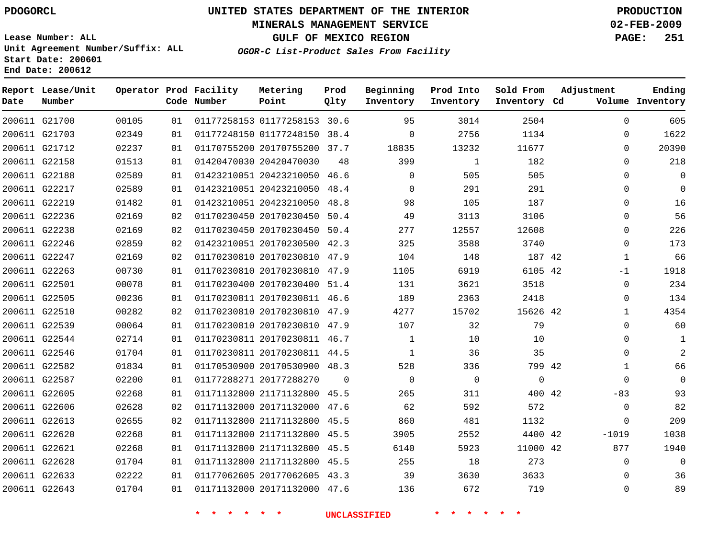### **MINERALS MANAGEMENT SERVICE 02-FEB-2009**

**GULF OF MEXICO REGION PAGE: 251**

**Lease Number: ALL Unit Agreement Number/Suffix: ALL Start Date: 200601 End Date: 200612**

**OGOR-C List-Product Sales From Facility**

| Date | Report Lease/Unit<br>Number |       |    | Operator Prod Facility<br>Code Number | Metering<br>Point            | Prod<br>Qlty | Beginning<br>Inventory | Prod Into<br>Inventory | Sold From<br>Inventory Cd | Adjustment | Ending<br>Volume Inventory |
|------|-----------------------------|-------|----|---------------------------------------|------------------------------|--------------|------------------------|------------------------|---------------------------|------------|----------------------------|
|      | 200611 G21700               | 00105 | 01 |                                       | 01177258153 01177258153 30.6 |              | 95                     | 3014                   | 2504                      |            | 605<br>$\Omega$            |
|      | 200611 G21703               | 02349 | 01 |                                       | 01177248150 01177248150 38.4 |              | $\mathbf 0$            | 2756                   | 1134                      |            | 1622<br>0                  |
|      | 200611 G21712               | 02237 | 01 |                                       | 01170755200 20170755200 37.7 |              | 18835                  | 13232                  | 11677                     |            | 20390<br>$\Omega$          |
|      | 200611 G22158               | 01513 | 01 |                                       | 01420470030 20420470030      | 48           | 399                    | 1                      | 182                       |            | 218<br>$\Omega$            |
|      | 200611 G22188               | 02589 | 01 |                                       | 01423210051 20423210050 46.6 |              | $\Omega$               | 505                    | 505                       |            | $\Omega$<br>0              |
|      | 200611 G22217               | 02589 | 01 |                                       | 01423210051 20423210050 48.4 |              | $\mathbf 0$            | 291                    | 291                       |            | $\Omega$<br>$\Omega$       |
|      | 200611 G22219               | 01482 | 01 |                                       | 01423210051 20423210050 48.8 |              | 98                     | 105                    | 187                       |            | 16<br>$\Omega$             |
|      | 200611 G22236               | 02169 | 02 |                                       | 01170230450 20170230450 50.4 |              | 49                     | 3113                   | 3106                      |            | 56<br>$\Omega$             |
|      | 200611 G22238               | 02169 | 02 |                                       | 01170230450 20170230450 50.4 |              | 277                    | 12557                  | 12608                     |            | 226<br>$\Omega$            |
|      | 200611 G22246               | 02859 | 02 |                                       | 01423210051 20170230500 42.3 |              | 325                    | 3588                   | 3740                      |            | 173<br>0                   |
|      | 200611 G22247               | 02169 | 02 |                                       | 01170230810 20170230810 47.9 |              | 104                    | 148                    | 187 42                    |            | 66<br>$\mathbf{1}$         |
|      | 200611 G22263               | 00730 | 01 |                                       | 01170230810 20170230810 47.9 |              | 1105                   | 6919                   | 6105 42                   | -1         | 1918                       |
|      | 200611 G22501               | 00078 | 01 |                                       | 01170230400 20170230400 51.4 |              | 131                    | 3621                   | 3518                      |            | 234<br>0                   |
|      | 200611 G22505               | 00236 | 01 |                                       | 01170230811 20170230811 46.6 |              | 189                    | 2363                   | 2418                      |            | 134<br>0                   |
|      | 200611 G22510               | 00282 | 02 |                                       | 01170230810 20170230810 47.9 |              | 4277                   | 15702                  | 15626 42                  |            | 4354<br>$\mathbf 1$        |
|      | 200611 G22539               | 00064 | 01 |                                       | 01170230810 20170230810 47.9 |              | 107                    | 32                     | 79                        |            | 60<br>$\Omega$             |
|      | 200611 G22544               | 02714 | 01 |                                       | 01170230811 20170230811 46.7 |              | $\mathbf{1}$           | 10                     | 10                        |            | $\Omega$<br>1              |
|      | 200611 G22546               | 01704 | 01 |                                       | 01170230811 20170230811 44.5 |              | $\mathbf{1}$           | 36                     | 35                        |            | $\overline{2}$<br>$\Omega$ |
|      | 200611 G22582               | 01834 | 01 |                                       | 01170530900 20170530900 48.3 |              | 528                    | 336                    | 799 42                    |            | 66<br>1                    |
|      | 200611 G22587               | 02200 | 01 |                                       | 01177288271 20177288270      | $\mathbf 0$  | $\mathbf 0$            | $\mathsf{O}$           | $\mathbf 0$               |            | $\mathbf 0$<br>0           |
|      | 200611 G22605               | 02268 | 01 |                                       | 01171132800 21171132800 45.5 |              | 265                    | 311                    | 400 42                    | $-83$      | 93                         |
|      | 200611 G22606               | 02628 | 02 |                                       | 01171132000 20171132000 47.6 |              | 62                     | 592                    | 572                       |            | 82<br>$\mathbf 0$          |
|      | 200611 G22613               | 02655 | 02 |                                       | 01171132800 21171132800 45.5 |              | 860                    | 481                    | 1132                      |            | 209<br>$\mathbf 0$         |
|      | 200611 G22620               | 02268 | 01 |                                       | 01171132800 21171132800 45.5 |              | 3905                   | 2552                   | 4400 42                   | $-1019$    | 1038                       |
|      | 200611 G22621               | 02268 | 01 |                                       | 01171132800 21171132800 45.5 |              | 6140                   | 5923                   | 11000 42                  | 877        | 1940                       |
|      | 200611 G22628               | 01704 | 01 |                                       | 01171132800 21171132800 45.5 |              | 255                    | 18                     | 273                       |            | $\Omega$<br>$\Omega$       |
|      | 200611 G22633               | 02222 | 01 |                                       | 01177062605 20177062605 43.3 |              | 39                     | 3630                   | 3633                      |            | 36<br>$\Omega$             |
|      | 200611 G22643               | 01704 | 01 |                                       | 01171132000 20171132000 47.6 |              | 136                    | 672                    | 719                       |            | 89<br>$\Omega$             |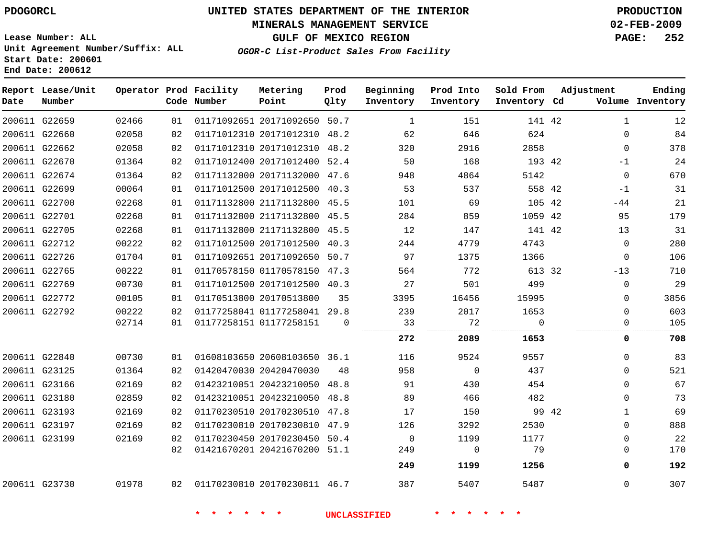### **MINERALS MANAGEMENT SERVICE 02-FEB-2009**

**GULF OF MEXICO REGION PAGE: 252 OGOR-C List-Product Sales From Facility**

**Lease Number: ALL Unit Agreement Number/Suffix: ALL Start Date: 200601 End Date: 200612**

| Date | Report Lease/Unit<br>Number |       |    | Operator Prod Facility<br>Code Number | Metering<br>Point            | Prod<br>Qlty | Beginning<br>Inventory | Prod Into<br>Inventory | Sold From<br>Inventory Cd | Adjustment |              | Ending<br>Volume Inventory |
|------|-----------------------------|-------|----|---------------------------------------|------------------------------|--------------|------------------------|------------------------|---------------------------|------------|--------------|----------------------------|
|      | 200611 G22659               | 02466 | 01 |                                       | 01171092651 20171092650 50.7 |              | 1                      | 151                    | 141 42                    |            | $\mathbf{1}$ | 12                         |
|      | 200611 G22660               | 02058 | 02 |                                       | 01171012310 20171012310 48.2 |              | 62                     | 646                    | 624                       |            | $\Omega$     | 84                         |
|      | 200611 G22662               | 02058 | 02 |                                       | 01171012310 20171012310 48.2 |              | 320                    | 2916                   | 2858                      |            | $\Omega$     | 378                        |
|      | 200611 G22670               | 01364 | 02 |                                       | 01171012400 20171012400 52.4 |              | 50                     | 168                    | 193 42                    |            | $-1$         | 24                         |
|      | 200611 G22674               | 01364 | 02 |                                       | 01171132000 20171132000 47.6 |              | 948                    | 4864                   | 5142                      |            | $\Omega$     | 670                        |
|      | 200611 G22699               | 00064 | 01 |                                       | 01171012500 20171012500 40.3 |              | 53                     | 537                    | 558 42                    |            | $-1$         | 31                         |
|      | 200611 G22700               | 02268 | 01 |                                       | 01171132800 21171132800 45.5 |              | 101                    | 69                     | 105 42                    |            | $-44$        | 21                         |
|      | 200611 G22701               | 02268 | 01 |                                       | 01171132800 21171132800 45.5 |              | 284                    | 859                    | 1059 42                   |            | 95           | 179                        |
|      | 200611 G22705               | 02268 | 01 |                                       | 01171132800 21171132800 45.5 |              | 12                     | 147                    | 141 42                    |            | 13           | 31                         |
|      | 200611 G22712               | 00222 | 02 |                                       | 01171012500 20171012500 40.3 |              | 244                    | 4779                   | 4743                      |            | $\Omega$     | 280                        |
|      | 200611 G22726               | 01704 | 01 |                                       | 01171092651 20171092650 50.7 |              | 97                     | 1375                   | 1366                      |            | $\Omega$     | 106                        |
|      | 200611 G22765               | 00222 | 01 |                                       | 01170578150 01170578150 47.3 |              | 564                    | 772                    | 613 32                    |            | $-13$        | 710                        |
|      | 200611 G22769               | 00730 | 01 |                                       | 01171012500 20171012500 40.3 |              | 27                     | 501                    | 499                       |            | $\Omega$     | 29                         |
|      | 200611 G22772               | 00105 | 01 |                                       | 01170513800 20170513800      | 35           | 3395                   | 16456                  | 15995                     |            | $\Omega$     | 3856                       |
|      | 200611 G22792               | 00222 | 02 |                                       | 01177258041 01177258041 29.8 |              | 239                    | 2017                   | 1653                      |            | $\Omega$     | 603                        |
|      |                             | 02714 | 01 |                                       | 01177258151 01177258151      | $\Omega$     | 33<br>                 | 72                     | $\Omega$<br>              |            | 0            | 105                        |
|      |                             |       |    |                                       |                              |              | 272                    | 2089                   | 1653                      |            | 0            | 708                        |
|      | 200611 G22840               | 00730 | 01 |                                       | 01608103650 20608103650 36.1 |              | 116                    | 9524                   | 9557                      |            | $\Omega$     | 83                         |
|      | 200611 G23125               | 01364 | 02 |                                       | 01420470030 20420470030      | 48           | 958                    | $\Omega$               | 437                       |            | $\Omega$     | 521                        |
|      | 200611 G23166               | 02169 | 02 |                                       | 01423210051 20423210050 48.8 |              | 91                     | 430                    | 454                       |            | $\Omega$     | 67                         |
|      | 200611 G23180               | 02859 | 02 |                                       | 01423210051 20423210050 48.8 |              | 89                     | 466                    | 482                       |            | $\Omega$     | 73                         |
|      | 200611 G23193               | 02169 | 02 |                                       | 01170230510 20170230510 47.8 |              | 17                     | 150                    |                           | 99 42      | $\mathbf{1}$ | 69                         |
|      | 200611 G23197               | 02169 | 02 |                                       | 01170230810 20170230810 47.9 |              | 126                    | 3292                   | 2530                      |            | $\Omega$     | 888                        |
|      | 200611 G23199               | 02169 | 02 |                                       | 01170230450 20170230450 50.4 |              | 0                      | 1199                   | 1177                      |            | $\Omega$     | 22                         |
|      |                             |       | 02 |                                       | 01421670201 20421670200 51.1 |              | 249                    | $\mathbf 0$            | 79                        |            | 0            | 170                        |
|      |                             |       |    |                                       |                              |              | 249                    | 1199                   | 1256                      |            | 0            | 192                        |
|      | 200611 G23730               | 01978 | 02 | 01170230810 20170230811 46.7          |                              |              | 387                    | 5407                   | 5487                      |            | $\Omega$     | 307                        |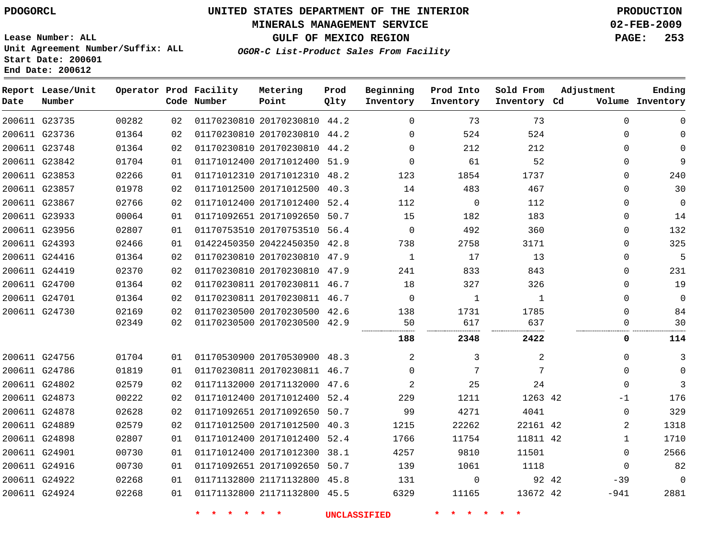### **MINERALS MANAGEMENT SERVICE 02-FEB-2009**

**GULF OF MEXICO REGION PAGE: 253**

**Lease Number: ALL Unit Agreement Number/Suffix: ALL Start Date: 200601 End Date: 200612**

**OGOR-C List-Product Sales From Facility**

| Date | Report Lease/Unit<br>Number |       |    | Operator Prod Facility<br>Code Number | Metering<br>Point            | Prod<br>Qlty | Beginning<br>Inventory | Prod Into<br>Inventory | Sold From<br>Inventory Cd | Adjustment   | Ending<br>Volume Inventory |
|------|-----------------------------|-------|----|---------------------------------------|------------------------------|--------------|------------------------|------------------------|---------------------------|--------------|----------------------------|
|      | 200611 G23735               | 00282 | 02 |                                       | 01170230810 20170230810 44.2 |              | $\mathbf 0$            | 73                     | 73                        | $\Omega$     | $\Omega$                   |
|      | 200611 G23736               | 01364 | 02 |                                       | 01170230810 20170230810 44.2 |              | $\Omega$               | 524                    | 524                       | $\Omega$     | $\Omega$                   |
|      | 200611 G23748               | 01364 | 02 |                                       | 01170230810 20170230810 44.2 |              | $\Omega$               | 212                    | 212                       | 0            | $\Omega$                   |
|      | 200611 G23842               | 01704 | 01 |                                       | 01171012400 20171012400 51.9 |              | $\Omega$               | 61                     | 52                        | $\Omega$     | 9                          |
|      | 200611 G23853               | 02266 | 01 |                                       | 01171012310 20171012310 48.2 |              | 123                    | 1854                   | 1737                      | $\Omega$     | 240                        |
|      | 200611 G23857               | 01978 | 02 |                                       | 01171012500 20171012500 40.3 |              | 14                     | 483                    | 467                       | $\Omega$     | 30                         |
|      | 200611 G23867               | 02766 | 02 |                                       | 01171012400 20171012400 52.4 |              | 112                    | $\mathbf 0$            | 112                       | $\mathbf{0}$ | $\mathbf{0}$               |
|      | 200611 G23933               | 00064 | 01 |                                       | 01171092651 20171092650 50.7 |              | 15                     | 182                    | 183                       | $\mathbf{0}$ | 14                         |
|      | 200611 G23956               | 02807 | 01 |                                       | 01170753510 20170753510 56.4 |              | $\Omega$               | 492                    | 360                       | $\Omega$     | 132                        |
|      | 200611 G24393               | 02466 | 01 |                                       | 01422450350 20422450350 42.8 |              | 738                    | 2758                   | 3171                      | $\Omega$     | 325                        |
|      | 200611 G24416               | 01364 | 02 |                                       | 01170230810 20170230810 47.9 |              | $\mathbf{1}$           | 17                     | 13                        | $\mathbf{0}$ | 5                          |
|      | 200611 G24419               | 02370 | 02 |                                       | 01170230810 20170230810 47.9 |              | 241                    | 833                    | 843                       | $\Omega$     | 231                        |
|      | 200611 G24700               | 01364 | 02 |                                       | 01170230811 20170230811 46.7 |              | 18                     | 327                    | 326                       | $\Omega$     | 19                         |
|      | 200611 G24701               | 01364 | 02 |                                       | 01170230811 20170230811 46.7 |              | $\mathbf 0$            | 1                      | 1                         | $\Omega$     | 0                          |
|      | 200611 G24730               | 02169 | 02 |                                       | 01170230500 20170230500 42.6 |              | 138                    | 1731                   | 1785                      | $\Omega$     | 84                         |
|      |                             | 02349 | 02 |                                       | 01170230500 20170230500 42.9 |              | 50                     | 617                    | 637                       | $\Omega$     | 30                         |
|      |                             |       |    |                                       |                              |              | 188                    | 2348                   | 2422                      | 0            | 114                        |
|      | 200611 G24756               | 01704 | 01 |                                       | 01170530900 20170530900 48.3 |              | $\overline{2}$         | 3                      | 2                         | 0            | 3                          |
|      | 200611 G24786               | 01819 | 01 |                                       | 01170230811 20170230811 46.7 |              | $\Omega$               | 7                      | 7                         | $\mathbf 0$  | $\Omega$                   |
|      | 200611 G24802               | 02579 | 02 |                                       | 01171132000 20171132000 47.6 |              | $\overline{2}$         | 25                     | 24                        | $\Omega$     | 3                          |
|      | 200611 G24873               | 00222 | 02 |                                       | 01171012400 20171012400 52.4 |              | 229                    | 1211                   | 1263 42                   | -1           | 176                        |
|      | 200611 G24878               | 02628 | 02 |                                       | 01171092651 20171092650 50.7 |              | 99                     | 4271                   | 4041                      | 0            | 329                        |
|      | 200611 G24889               | 02579 | 02 |                                       | 01171012500 20171012500 40.3 |              | 1215                   | 22262                  | 22161 42                  | 2            | 1318                       |
|      | 200611 G24898               | 02807 | 01 |                                       | 01171012400 20171012400 52.4 |              | 1766                   | 11754                  | 11811 42                  | $\mathbf{1}$ | 1710                       |
|      | 200611 G24901               | 00730 | 01 |                                       | 01171012400 20171012300 38.1 |              | 4257                   | 9810                   | 11501                     | $\mathbf{0}$ | 2566                       |
|      | 200611 G24916               | 00730 | 01 |                                       | 01171092651 20171092650 50.7 |              | 139                    | 1061                   | 1118                      | $\mathbf 0$  | 82                         |
|      | 200611 G24922               | 02268 | 01 |                                       | 01171132800 21171132800 45.8 |              | 131                    | $\mathbf 0$            | 92 42                     | $-39$        | $\Omega$                   |
|      | 200611 G24924               | 02268 | 01 |                                       | 01171132800 21171132800 45.5 |              | 6329                   | 11165                  | 13672 42                  | -941         | 2881                       |
|      |                             |       |    |                                       |                              |              |                        |                        |                           |              |                            |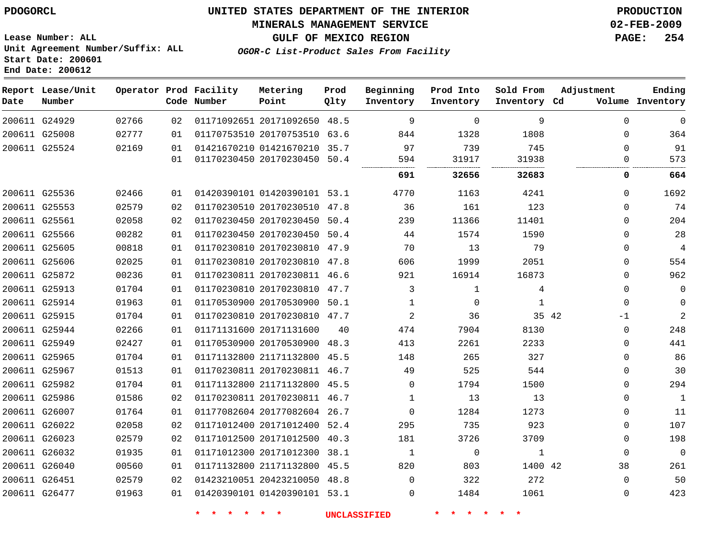### **MINERALS MANAGEMENT SERVICE 02-FEB-2009**

**GULF OF MEXICO REGION PAGE: 254**

**Lease Number: ALL Unit Agreement Number/Suffix: ALL Start Date: 200601 End Date: 200612**

**OGOR-C List-Product Sales From Facility**

| Date | Report Lease/Unit<br>Number |       |    | Operator Prod Facility<br>Code Number | Metering<br>Point            | Prod<br>Qlty | Beginning<br>Inventory | Prod Into<br>Inventory | Sold From<br>Inventory Cd | Adjustment    | Ending<br>Volume Inventory |
|------|-----------------------------|-------|----|---------------------------------------|------------------------------|--------------|------------------------|------------------------|---------------------------|---------------|----------------------------|
|      | 200611 G24929               | 02766 | 02 |                                       | 01171092651 20171092650 48.5 |              | 9                      | $\mathbf 0$            | 9                         | $\Omega$      | $\mathbf 0$                |
|      | 200611 G25008               | 02777 | 01 |                                       | 01170753510 20170753510 63.6 |              | 844                    | 1328                   | 1808                      | $\mathbf 0$   | 364                        |
|      | 200611 G25524               | 02169 | 01 |                                       | 01421670210 01421670210 35.7 |              | 97                     | 739                    | 745                       | $\Omega$      | 91                         |
|      |                             |       | 01 |                                       | 01170230450 20170230450 50.4 |              | 594                    | 31917                  | 31938                     | 0             | 573                        |
|      |                             |       |    |                                       |                              |              | 691                    | 32656                  | 32683                     | 0             | 664                        |
|      | 200611 G25536               | 02466 | 01 |                                       | 01420390101 01420390101 53.1 |              | 4770                   | 1163                   | 4241                      | $\mathbf 0$   | 1692                       |
|      | 200611 G25553               | 02579 | 02 |                                       | 01170230510 20170230510 47.8 |              | 36                     | 161                    | 123                       | $\mathbf 0$   | 74                         |
|      | 200611 G25561               | 02058 | 02 |                                       | 01170230450 20170230450 50.4 |              | 239                    | 11366                  | 11401                     | $\Omega$      | 204                        |
|      | 200611 G25566               | 00282 | 01 |                                       | 01170230450 20170230450 50.4 |              | 44                     | 1574                   | 1590                      | $\Omega$      | 28                         |
|      | 200611 G25605               | 00818 | 01 |                                       | 01170230810 20170230810 47.9 |              | 70                     | 13                     | 79                        | $\Omega$      | 4                          |
|      | 200611 G25606               | 02025 | 01 |                                       | 01170230810 20170230810 47.8 |              | 606                    | 1999                   | 2051                      | $\mathbf 0$   | 554                        |
|      | 200611 G25872               | 00236 | 01 |                                       | 01170230811 20170230811 46.6 |              | 921                    | 16914                  | 16873                     | $\mathbf 0$   | 962                        |
|      | 200611 G25913               | 01704 | 01 |                                       | 01170230810 20170230810 47.7 |              | 3                      | $\mathbf 1$            | 4                         | $\Omega$      | $\Omega$                   |
|      | 200611 G25914               | 01963 | 01 |                                       | 01170530900 20170530900 50.1 |              | $\mathbf 1$            | $\Omega$               | 1                         | $\Omega$      | $\Omega$                   |
|      | 200611 G25915               | 01704 | 01 |                                       | 01170230810 20170230810 47.7 |              | 2                      | 36                     |                           | 35 42<br>$-1$ | $\overline{2}$             |
|      | 200611 G25944               | 02266 | 01 |                                       | 01171131600 20171131600      | 40           | 474                    | 7904                   | 8130                      | $\mathbf 0$   | 248                        |
|      | 200611 G25949               | 02427 | 01 |                                       | 01170530900 20170530900      | 48.3         | 413                    | 2261                   | 2233                      | $\mathbf 0$   | 441                        |
|      | 200611 G25965               | 01704 | 01 |                                       | 01171132800 21171132800 45.5 |              | 148                    | 265                    | 327                       | $\Omega$      | 86                         |
|      | 200611 G25967               | 01513 | 01 |                                       | 01170230811 20170230811 46.7 |              | 49                     | 525                    | 544                       | $\mathbf 0$   | 30                         |
|      | 200611 G25982               | 01704 | 01 |                                       | 01171132800 21171132800 45.5 |              | $\Omega$               | 1794                   | 1500                      | $\mathbf 0$   | 294                        |
|      | 200611 G25986               | 01586 | 02 |                                       | 01170230811 20170230811 46.7 |              | 1                      | 13                     | 13                        | $\mathbf 0$   | $\mathbf{1}$               |
|      | 200611 G26007               | 01764 | 01 |                                       | 01177082604 20177082604 26.7 |              | $\mathbf 0$            | 1284                   | 1273                      | 0             | 11                         |
|      | 200611 G26022               | 02058 | 02 |                                       | 01171012400 20171012400 52.4 |              | 295                    | 735                    | 923                       | $\Omega$      | 107                        |
|      | 200611 G26023               | 02579 | 02 |                                       | 01171012500 20171012500      | 40.3         | 181                    | 3726                   | 3709                      | $\mathbf 0$   | 198                        |
|      | 200611 G26032               | 01935 | 01 |                                       | 01171012300 20171012300 38.1 |              | 1                      | $\mathbf 0$            | 1                         | $\Omega$      | $\Omega$                   |
|      | 200611 G26040               | 00560 | 01 |                                       | 01171132800 21171132800 45.5 |              | 820                    | 803                    | 1400 42                   | 38            | 261                        |
|      | 200611 G26451               | 02579 | 02 |                                       | 01423210051 20423210050 48.8 |              | $\Omega$               | 322                    | 272                       | $\Omega$      | 50                         |
|      | 200611 G26477               | 01963 | 01 |                                       | 01420390101 01420390101 53.1 |              | $\Omega$               | 1484                   | 1061                      | $\Omega$      | 423                        |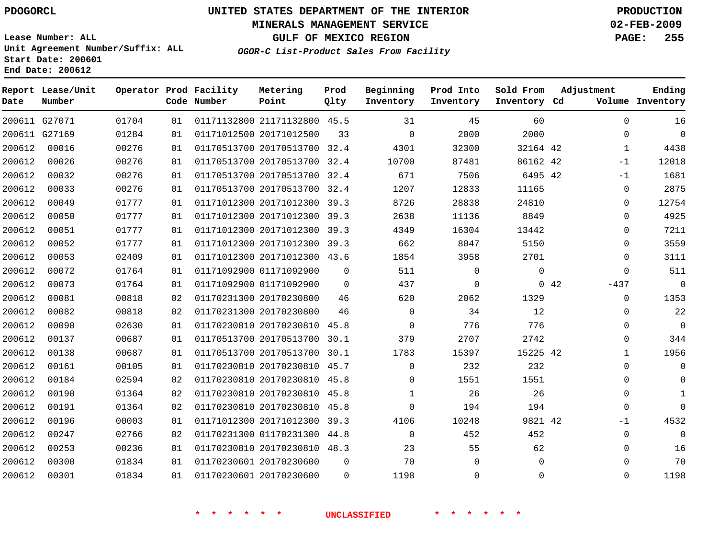#### **MINERALS MANAGEMENT SERVICE 02-FEB-2009**

**GULF OF MEXICO REGION PAGE: 255 OGOR-C List-Product Sales From Facility**

**Lease Number: ALL Unit Agreement Number/Suffix: ALL Start Date: 200601 End Date: 200612**

 G27071 G27169 **Report Lease/Unit Date Number Operator Prod Facility Code Number** 21171132800 45.5 20171012500 20170513700 20170513700 32.4 20170513700 32.4 20170513700 32.4 20171012300 39.3 20171012300 39.3 20171012300 39.3 20171012300 39.3 20171012300 43.6 01171092900 01171092900 20170230800 20170230800 20170230810 45.8 20170513700 20170513700 30.1 20170230810 45.7 20170230810 20170230810 45.8 20170230810 20171012300 39.3 01170231300 44.8 20170230810 48.3 20170230600 20170230600 **Metering Point** 42 42 6495 42 42 42 42 32.4  $\Omega$  $\Omega$  30.1 45.8 45.8  $\Omega$ **Prod Qlty**  $\Omega$   $\Omega$  $\Omega$   $\Omega$  $\Omega$   $\Omega$  **Beginning Inventory**  $\Omega$   $\Omega$   $\Omega$   $\Omega$  $\Omega$   $\Omega$   $\Omega$  **Ending Inventory Cd Volume**  $\Omega$  $\Omega$   $\Omega$  **Prod Into Inventory**  $\Omega$   $\Omega$  **Sold From Inventory**  $\Omega$  $\Omega$  -1 -1  $\Omega$  $\Omega$  $\Omega$  $\Omega$  $\Omega$  $\Omega$  $\Omega$ -437  $\Omega$  $\Omega$  $\Omega$   $\Omega$  $\Omega$  -1  $\Omega$   $\Omega$ **Adjustment**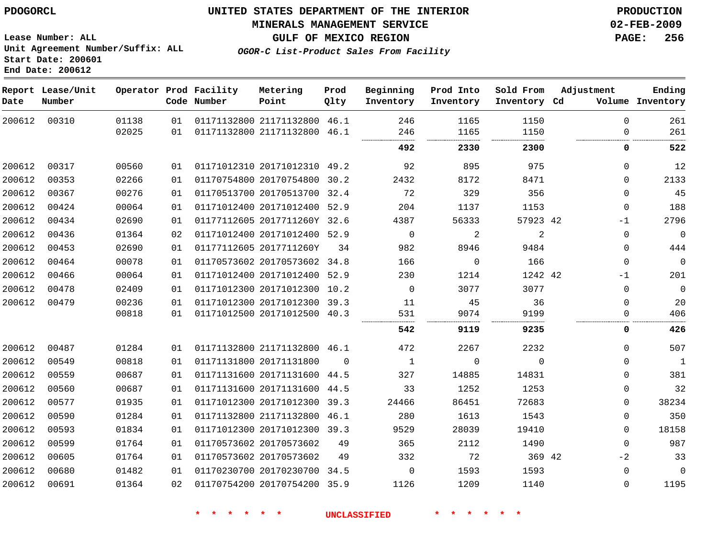# **MINERALS MANAGEMENT SERVICE 02-FEB-2009**

**GULF OF MEXICO REGION PAGE: 256 OGOR-C List-Product Sales From Facility**

**Lease Number: ALL Unit Agreement Number/Suffix: ALL Start Date: 200601 End Date: 200612**

| Date   | Report Lease/Unit<br>Number |       |    | Operator Prod Facility<br>Code Number | Metering<br>Point            | Prod<br>Qlty | Beginning<br>Inventory | Prod Into<br>Inventory | Sold From<br>Inventory Cd | Adjustment   | Ending<br>Volume Inventory |
|--------|-----------------------------|-------|----|---------------------------------------|------------------------------|--------------|------------------------|------------------------|---------------------------|--------------|----------------------------|
| 200612 | 00310                       | 01138 | 01 |                                       | 01171132800 21171132800 46.1 |              | 246                    | 1165                   | 1150                      | $\Omega$     | 261                        |
|        |                             | 02025 | 01 |                                       | 01171132800 21171132800      | 46.1         | 246<br>                | 1165<br>               | 1150                      | $\Omega$     | 261                        |
|        |                             |       |    |                                       |                              |              | 492                    | 2330                   | 2300                      | 0            | 522                        |
| 200612 | 00317                       | 00560 | 01 |                                       | 01171012310 20171012310 49.2 |              | 92                     | 895                    | 975                       | $\Omega$     | 12                         |
| 200612 | 00353                       | 02266 | 01 |                                       | 01170754800 20170754800 30.2 |              | 2432                   | 8172                   | 8471                      | $\Omega$     | 2133                       |
| 200612 | 00367                       | 00276 | 01 |                                       | 01170513700 20170513700 32.4 |              | 72                     | 329                    | 356                       | $\mathbf{0}$ | 45                         |
| 200612 | 00424                       | 00064 | 01 |                                       | 01171012400 20171012400 52.9 |              | 204                    | 1137                   | 1153                      | $\mathbf{0}$ | 188                        |
| 200612 | 00434                       | 02690 | 01 |                                       | 01177112605 2017711260Y 32.6 |              | 4387                   | 56333                  | 57923 42                  | $-1$         | 2796                       |
| 200612 | 00436                       | 01364 | 02 |                                       | 01171012400 20171012400 52.9 |              | $\mathbf 0$            | 2                      | 2                         | $\mathbf{0}$ | $\mathbf 0$                |
| 200612 | 00453                       | 02690 | 01 |                                       | 01177112605 2017711260Y      | 34           | 982                    | 8946                   | 9484                      | $\Omega$     | 444                        |
| 200612 | 00464                       | 00078 | 01 |                                       | 01170573602 20170573602 34.8 |              | 166                    | $\mathbf 0$            | 166                       | $\Omega$     | $\mathsf{O}\xspace$        |
| 200612 | 00466                       | 00064 | 01 |                                       | 01171012400 20171012400 52.9 |              | 230                    | 1214                   | 1242 42                   | $-1$         | 201                        |
| 200612 | 00478                       | 02409 | 01 |                                       | 01171012300 20171012300 10.2 |              | $\mathbf 0$            | 3077                   | 3077                      | $\mathbf{0}$ | $\mathbf 0$                |
| 200612 | 00479                       | 00236 | 01 |                                       | 01171012300 20171012300 39.3 |              | 11                     | 45                     | 36                        | $\mathbf 0$  | 20                         |
|        |                             | 00818 | 01 |                                       | 01171012500 20171012500 40.3 |              | 531                    | 9074                   | 9199                      | 0            | 406                        |
|        |                             |       |    |                                       |                              |              | 542                    | 9119                   | 9235                      | 0            | 426                        |
| 200612 | 00487                       | 01284 | 01 |                                       | 01171132800 21171132800 46.1 |              | 472                    | 2267                   | 2232                      | $\Omega$     | 507                        |
| 200612 | 00549                       | 00818 | 01 |                                       | 01171131800 20171131800      | $\Omega$     | $\mathbf{1}$           | $\mathbf 0$            | $\Omega$                  | $\mathbf{0}$ | $\mathbf{1}$               |
| 200612 | 00559                       | 00687 | 01 |                                       | 01171131600 20171131600 44.5 |              | 327                    | 14885                  | 14831                     | $\mathbf{0}$ | 381                        |
| 200612 | 00560                       | 00687 | 01 |                                       | 01171131600 20171131600 44.5 |              | 33                     | 1252                   | 1253                      | $\mathbf{0}$ | 32                         |
| 200612 | 00577                       | 01935 | 01 |                                       | 01171012300 20171012300 39.3 |              | 24466                  | 86451                  | 72683                     | 0            | 38234                      |
| 200612 | 00590                       | 01284 | 01 |                                       | 01171132800 21171132800 46.1 |              | 280                    | 1613                   | 1543                      | $\Omega$     | 350                        |
| 200612 | 00593                       | 01834 | 01 |                                       | 01171012300 20171012300 39.3 |              | 9529                   | 28039                  | 19410                     | $\Omega$     | 18158                      |
| 200612 | 00599                       | 01764 | 01 |                                       | 01170573602 20170573602      | 49           | 365                    | 2112                   | 1490                      | $\Omega$     | 987                        |
| 200612 | 00605                       | 01764 | 01 |                                       | 01170573602 20170573602      | 49           | 332                    | 72                     | 369 42                    | $-2$         | 33                         |
| 200612 | 00680                       | 01482 | 01 |                                       | 01170230700 20170230700 34.5 |              | $\mathbf 0$            | 1593                   | 1593                      | $\mathbf 0$  | $\mathbf{0}$               |
| 200612 | 00691                       | 01364 | 02 |                                       | 01170754200 20170754200 35.9 |              | 1126                   | 1209                   | 1140                      | 0            | 1195                       |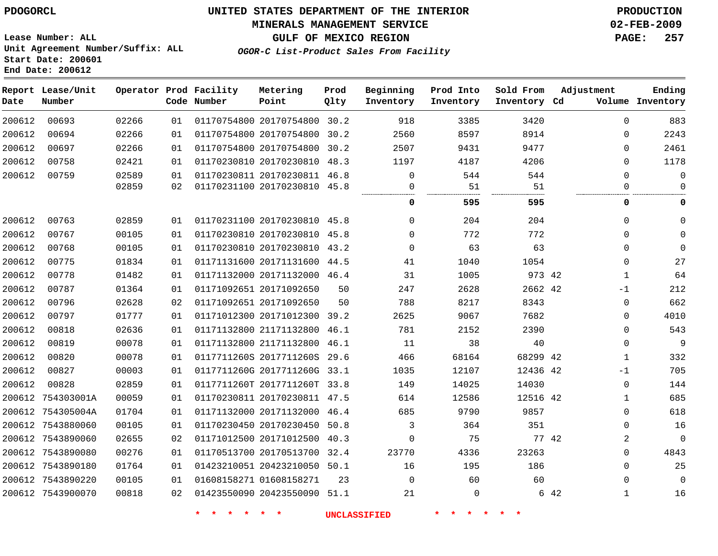### **MINERALS MANAGEMENT SERVICE 02-FEB-2009**

**GULF OF MEXICO REGION PAGE: 257**

**Lease Number: ALL Unit Agreement Number/Suffix: ALL Start Date: 200601 End Date: 200612**

**OGOR-C List-Product Sales From Facility**

| Date   | Report Lease/Unit<br>Number |       |    | Operator Prod Facility<br>Code Number | Metering<br>Point            | Prod<br>Qlty | Beginning<br>Inventory | Prod Into<br>Inventory | Sold From<br>Inventory Cd | Adjustment  | Ending<br>Volume Inventory |
|--------|-----------------------------|-------|----|---------------------------------------|------------------------------|--------------|------------------------|------------------------|---------------------------|-------------|----------------------------|
| 200612 | 00693                       | 02266 | 01 |                                       | 01170754800 20170754800 30.2 |              | 918                    | 3385                   | 3420                      | $\Omega$    | 883                        |
| 200612 | 00694                       | 02266 | 01 |                                       | 01170754800 20170754800 30.2 |              | 2560                   | 8597                   | 8914                      |             | 2243<br>$\Omega$           |
| 200612 | 00697                       | 02266 | 01 |                                       | 01170754800 20170754800 30.2 |              | 2507                   | 9431                   | 9477                      | $\Omega$    | 2461                       |
| 200612 | 00758                       | 02421 | 01 |                                       | 01170230810 20170230810 48.3 |              | 1197                   | 4187                   | 4206                      | $\mathbf 0$ | 1178                       |
| 200612 | 00759                       | 02589 | 01 |                                       | 01170230811 20170230811 46.8 |              | $\Omega$               | 544                    | 544                       | $\Omega$    | $\mathbf 0$                |
|        |                             | 02859 | 02 |                                       | 01170231100 20170230810 45.8 |              | $\mathbf{0}$           | 51                     | 51                        | $\Omega$    | $\mathbf 0$                |
|        |                             |       |    |                                       |                              |              | 0                      | 595                    | 595                       |             | 0<br>0                     |
| 200612 | 00763                       | 02859 | 01 |                                       | 01170231100 20170230810 45.8 |              | $\Omega$               | 204                    | 204                       | $\mathbf 0$ | $\Omega$                   |
| 200612 | 00767                       | 00105 | 01 |                                       | 01170230810 20170230810 45.8 |              | $\Omega$               | 772                    | 772                       | $\Omega$    | $\Omega$                   |
| 200612 | 00768                       | 00105 | 01 |                                       | 01170230810 20170230810 43.2 |              | $\Omega$               | 63                     | 63                        | $\Omega$    | $\Omega$                   |
| 200612 | 00775                       | 01834 | 01 |                                       | 01171131600 20171131600 44.5 |              | 41                     | 1040                   | 1054                      | $\mathbf 0$ | 27                         |
| 200612 | 00778                       | 01482 | 01 |                                       | 01171132000 20171132000 46.4 |              | 31                     | 1005                   | 973 42                    | 1           | 64                         |
| 200612 | 00787                       | 01364 | 01 |                                       | 01171092651 20171092650      | 50           | 247                    | 2628                   | 2662 42                   | $-1$        | 212                        |
| 200612 | 00796                       | 02628 | 02 |                                       | 01171092651 20171092650      | 50           | 788                    | 8217                   | 8343                      | $\mathbf 0$ | 662                        |
| 200612 | 00797                       | 01777 | 01 |                                       | 01171012300 20171012300      | 39.2         | 2625                   | 9067                   | 7682                      | $\mathbf 0$ | 4010                       |
| 200612 | 00818                       | 02636 | 01 |                                       | 01171132800 21171132800      | 46.1         | 781                    | 2152                   | 2390                      | $\mathbf 0$ | 543                        |
| 200612 | 00819                       | 00078 | 01 |                                       | 01171132800 21171132800 46.1 |              | 11                     | 38                     | 40                        | $\mathbf 0$ | 9                          |
| 200612 | 00820                       | 00078 | 01 |                                       | 0117711260S 2017711260S 29.6 |              | 466                    | 68164                  | 68299 42                  | 1           | 332                        |
| 200612 | 00827                       | 00003 | 01 |                                       | 0117711260G 2017711260G 33.1 |              | 1035                   | 12107                  | 12436 42                  | $-1$        | 705                        |
| 200612 | 00828                       | 02859 | 01 |                                       | 0117711260T 2017711260T 33.8 |              | 149                    | 14025                  | 14030                     | $\mathbf 0$ | 144                        |
| 200612 | 754303001A                  | 00059 | 01 |                                       | 01170230811 20170230811 47.5 |              | 614                    | 12586                  | 12516 42                  | 1           | 685                        |
|        | 200612 754305004A           | 01704 | 01 |                                       | 01171132000 20171132000 46.4 |              | 685                    | 9790                   | 9857                      | $\mathbf 0$ | 618                        |
|        | 200612 7543880060           | 00105 | 01 |                                       | 01170230450 20170230450 50.8 |              | 3                      | 364                    | 351                       | $\Omega$    | 16                         |
|        | 200612 7543890060           | 02655 | 02 |                                       | 01171012500 20171012500 40.3 |              | $\mathbf 0$            | 75                     |                           | 77 42       | 2<br>$\mathbf{0}$          |
|        | 200612 7543890080           | 00276 | 01 |                                       | 01170513700 20170513700 32.4 |              | 23770                  | 4336                   | 23263                     |             | 4843<br>$\Omega$           |
|        | 200612 7543890180           | 01764 | 01 |                                       | 01423210051 20423210050 50.1 |              | 16                     | 195                    | 186                       | $\Omega$    | 25                         |
|        | 200612 7543890220           | 00105 | 01 |                                       | 01608158271 01608158271      | 23           | $\mathbf 0$            | 60                     | 60                        | $\mathbf 0$ | $\mathsf 0$                |
|        | 200612 7543900070           | 00818 | 02 |                                       | 01423550090 20423550090 51.1 |              | 21                     | $\mathbf 0$            |                           | 6 42<br>1   | 16                         |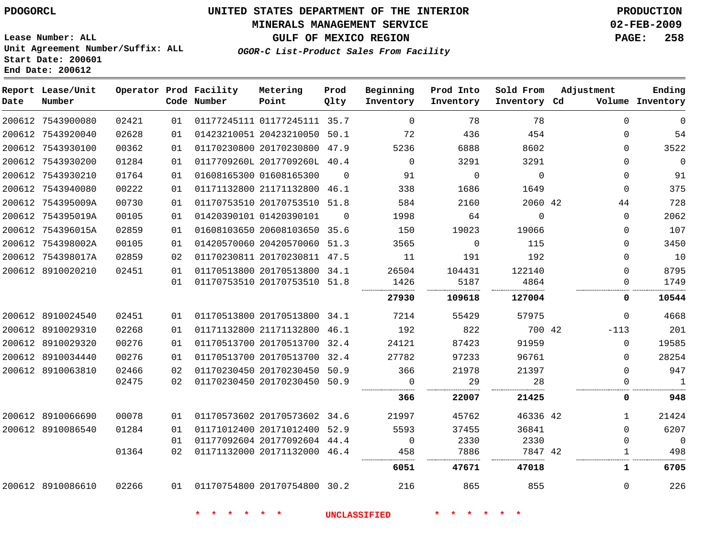#### **MINERALS MANAGEMENT SERVICE 02-FEB-2009**

**GULF OF MEXICO REGION PAGE: 258**

**Lease Number: ALL Unit Agreement Number/Suffix: ALL Start Date: 200601 End Date: 200612**

**OGOR-C List-Product Sales From Facility**

| Date | Report Lease/Unit<br>Number |       |    | Operator Prod Facility<br>Code Number | Metering<br>Point            | Prod<br>Qlty | Beginning<br>Inventory | Prod Into<br>Inventory | Sold From<br>Inventory Cd | Adjustment |              | Ending<br>Volume Inventory |
|------|-----------------------------|-------|----|---------------------------------------|------------------------------|--------------|------------------------|------------------------|---------------------------|------------|--------------|----------------------------|
|      | 200612 7543900080           | 02421 | 01 |                                       | 01177245111 01177245111 35.7 |              | $\Omega$               | 78                     | 78                        |            | $\Omega$     | $\Omega$                   |
|      | 200612 7543920040           | 02628 | 01 |                                       | 01423210051 20423210050 50.1 |              | 72                     | 436                    | 454                       |            | $\Omega$     | 54                         |
|      | 200612 7543930100           | 00362 | 01 |                                       | 01170230800 20170230800 47.9 |              | 5236                   | 6888                   | 8602                      |            | $\Omega$     | 3522                       |
|      | 200612 7543930200           | 01284 | 01 |                                       | 0117709260L 2017709260L 40.4 |              | $\Omega$               | 3291                   | 3291                      |            | $\Omega$     | $\overline{0}$             |
|      | 200612 7543930210           | 01764 | 01 |                                       | 01608165300 01608165300      | $\Omega$     | 91                     | $\mathbf 0$            | $\Omega$                  |            | $\Omega$     | 91                         |
|      | 200612 7543940080           | 00222 | 01 |                                       | 01171132800 21171132800 46.1 |              | 338                    | 1686                   | 1649                      |            | $\Omega$     | 375                        |
|      | 200612 754395009A           | 00730 | 01 |                                       | 01170753510 20170753510 51.8 |              | 584                    | 2160                   | 2060 42                   |            | 44           | 728                        |
|      | 200612 754395019A           | 00105 | 01 |                                       | 01420390101 01420390101      | $\Omega$     | 1998                   | 64                     | $\mathbf 0$               |            | 0            | 2062                       |
|      | 200612 754396015A           | 02859 | 01 |                                       | 01608103650 20608103650 35.6 |              | 150                    | 19023                  | 19066                     |            | $\Omega$     | 107                        |
|      | 200612 754398002A           | 00105 | 01 |                                       | 01420570060 20420570060 51.3 |              | 3565                   | $\mathbf 0$            | 115                       |            | $\Omega$     | 3450                       |
|      | 200612 754398017A           | 02859 | 02 |                                       | 01170230811 20170230811 47.5 |              | 11                     | 191                    | 192                       |            | $\Omega$     | 10                         |
|      | 200612 8910020210           | 02451 | 01 |                                       | 01170513800 20170513800 34.1 |              | 26504                  | 104431                 | 122140                    |            | $\Omega$     | 8795                       |
|      |                             |       | 01 |                                       | 01170753510 20170753510 51.8 |              | 1426                   | 5187                   | 4864                      |            | $\Omega$     | 1749                       |
|      |                             |       |    |                                       |                              |              | 27930                  | 109618                 | 127004                    |            | 0            | 10544                      |
|      | 200612 8910024540           | 02451 | 01 |                                       | 01170513800 20170513800 34.1 |              | 7214                   | 55429                  | 57975                     |            | $\Omega$     | 4668                       |
|      | 200612 8910029310           | 02268 | 01 |                                       | 01171132800 21171132800 46.1 |              | 192                    | 822                    | 700 42                    |            | $-113$       | 201                        |
|      | 200612 8910029320           | 00276 | 01 |                                       | 01170513700 20170513700 32.4 |              | 24121                  | 87423                  | 91959                     |            | $\Omega$     | 19585                      |
|      | 200612 8910034440           | 00276 | 01 |                                       | 01170513700 20170513700 32.4 |              | 27782                  | 97233                  | 96761                     |            | $\Omega$     | 28254                      |
|      | 200612 8910063810           | 02466 | 02 |                                       | 01170230450 20170230450 50.9 |              | 366                    | 21978                  | 21397                     |            | $\Omega$     | 947                        |
|      |                             | 02475 | 02 |                                       | 01170230450 20170230450 50.9 |              | $\Omega$               | 29                     | 28                        |            | 0            | $\mathbf{1}$               |
|      |                             |       |    |                                       |                              |              | 366                    | 22007                  | 21425                     |            | 0            | 948                        |
|      | 200612 8910066690           | 00078 | 01 |                                       | 01170573602 20170573602 34.6 |              | 21997                  | 45762                  | 46336 42                  |            | $\mathbf{1}$ | 21424                      |
|      | 200612 8910086540           | 01284 | 01 |                                       | 01171012400 20171012400 52.9 |              | 5593                   | 37455                  | 36841                     |            | $\Omega$     | 6207                       |
|      |                             |       | 01 |                                       | 01177092604 20177092604 44.4 |              | $\mathbf 0$            | 2330                   | 2330                      |            | $\Omega$     | $\mathbf 0$                |
|      |                             | 01364 | 02 |                                       | 01171132000 20171132000 46.4 |              | 458                    | 7886                   | 7847 42                   |            | 1            | 498                        |
|      |                             |       |    |                                       |                              |              | 6051                   | 47671                  | 47018                     |            | 1            | 6705                       |
|      | 200612 8910086610           | 02266 | 01 |                                       | 01170754800 20170754800 30.2 |              | 216                    | 865                    | 855                       |            | $\Omega$     | 226                        |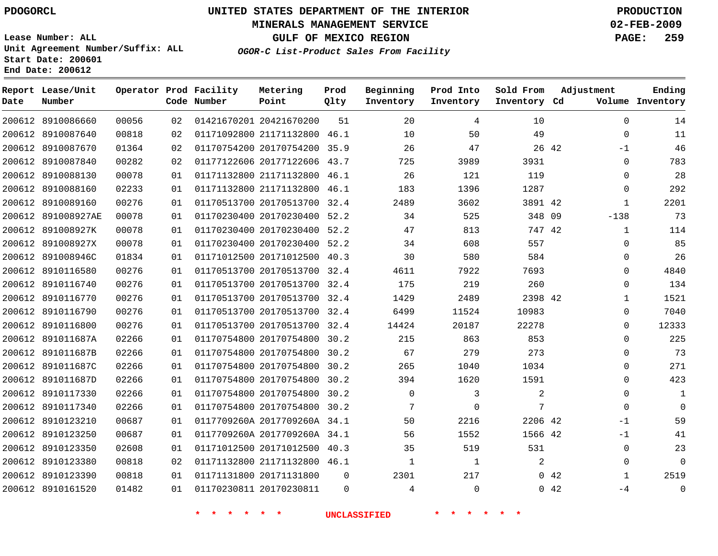### **MINERALS MANAGEMENT SERVICE 02-FEB-2009**

**GULF OF MEXICO REGION PAGE: 259**

**Lease Number: ALL Unit Agreement Number/Suffix: ALL Start Date: 200601 End Date: 200612**

**OGOR-C List-Product Sales From Facility**

| Date | Report Lease/Unit<br>Number |       |    | Operator Prod Facility<br>Code Number | Metering<br>Point            | Prod<br>Qlty | Beginning<br>Inventory | Prod Into<br>Inventory | Sold From<br>Inventory Cd | Adjustment       | Ending<br>Volume Inventory |
|------|-----------------------------|-------|----|---------------------------------------|------------------------------|--------------|------------------------|------------------------|---------------------------|------------------|----------------------------|
|      | 200612 8910086660           | 00056 | 02 |                                       | 01421670201 20421670200      | 51           | 20                     | 4                      | 10                        | $\mathbf 0$      | 14                         |
|      | 200612 8910087640           | 00818 | 02 |                                       | 01171092800 21171132800 46.1 |              | 10                     | 50                     | 49                        | $\mathbf 0$      | 11                         |
|      | 200612 8910087670           | 01364 | 02 |                                       | 01170754200 20170754200 35.9 |              | 26                     | 47                     |                           | 26 42<br>$-1$    | 46                         |
|      | 200612 8910087840           | 00282 | 02 |                                       | 01177122606 20177122606 43.7 |              | 725                    | 3989                   | 3931                      | $\mathbf 0$      | 783                        |
|      | 200612 8910088130           | 00078 | 01 |                                       | 01171132800 21171132800 46.1 |              | 26                     | 121                    | 119                       | $\mathbf 0$      | 28                         |
|      | 200612 8910088160           | 02233 | 01 |                                       | 01171132800 21171132800 46.1 |              | 183                    | 1396                   | 1287                      | $\mathbf 0$      | 292                        |
|      | 200612 8910089160           | 00276 | 01 |                                       | 01170513700 20170513700 32.4 |              | 2489                   | 3602                   | 3891 42                   | 1                | 2201                       |
|      | 200612 891008927AE          | 00078 | 01 |                                       | 01170230400 20170230400 52.2 |              | 34                     | 525                    | 348 09                    | $-138$           | 73                         |
|      | 200612 891008927K           | 00078 | 01 |                                       | 01170230400 20170230400 52.2 |              | 47                     | 813                    | 747 42                    | 1                | 114                        |
|      | 200612 891008927X           | 00078 | 01 |                                       | 01170230400 20170230400 52.2 |              | 34                     | 608                    | 557                       | $\Omega$         | 85                         |
|      | 200612 891008946C           | 01834 | 01 |                                       | 01171012500 20171012500 40.3 |              | 30                     | 580                    | 584                       | $\Omega$         | 26                         |
|      | 200612 8910116580           | 00276 | 01 |                                       | 01170513700 20170513700 32.4 |              | 4611                   | 7922                   | 7693                      | $\mathbf 0$      | 4840                       |
|      | 200612 8910116740           | 00276 | 01 |                                       | 01170513700 20170513700 32.4 |              | 175                    | 219                    | 260                       | 0                | 134                        |
|      | 200612 8910116770           | 00276 | 01 |                                       | 01170513700 20170513700 32.4 |              | 1429                   | 2489                   | 2398 42                   | $\mathbf{1}$     | 1521                       |
|      | 200612 8910116790           | 00276 | 01 |                                       | 01170513700 20170513700 32.4 |              | 6499                   | 11524                  | 10983                     | $\mathbf 0$      | 7040                       |
|      | 200612 8910116800           | 00276 | 01 |                                       | 01170513700 20170513700 32.4 |              | 14424                  | 20187                  | 22278                     | $\mathbf 0$      | 12333                      |
|      | 200612 891011687A           | 02266 | 01 |                                       | 01170754800 20170754800 30.2 |              | 215                    | 863                    | 853                       | $\Omega$         | 225                        |
|      | 200612 891011687B           | 02266 | 01 |                                       | 01170754800 20170754800 30.2 |              | 67                     | 279                    | 273                       | 0                | 73                         |
|      | 200612 891011687C           | 02266 | 01 |                                       | 01170754800 20170754800 30.2 |              | 265                    | 1040                   | 1034                      | $\mathbf 0$      | 271                        |
|      | 200612 891011687D           | 02266 | 01 |                                       | 01170754800 20170754800 30.2 |              | 394                    | 1620                   | 1591                      | $\Omega$         | 423                        |
|      | 200612 8910117330           | 02266 | 01 |                                       | 01170754800 20170754800 30.2 |              | $\mathbf 0$            | 3                      | 2                         | $\mathbf 0$      | 1                          |
|      | 200612 8910117340           | 02266 | 01 |                                       | 01170754800 20170754800 30.2 |              | 7                      | $\Omega$               | 7                         | $\Omega$         | $\Omega$                   |
|      | 200612 8910123210           | 00687 | 01 |                                       | 0117709260A 2017709260A 34.1 |              | 50                     | 2216                   | 2206 42                   | $-1$             | 59                         |
|      | 200612 8910123250           | 00687 | 01 |                                       | 0117709260A 2017709260A 34.1 |              | 56                     | 1552                   | 1566 42                   | $-1$             | 41                         |
|      | 200612 8910123350           | 02608 | 01 |                                       | 01171012500 20171012500 40.3 |              | 35                     | 519                    | 531                       | $\mathbf 0$      | 23                         |
|      | 200612 8910123380           | 00818 | 02 |                                       | 01171132800 21171132800 46.1 |              | $\mathbf 1$            | $\mathbf 1$            | 2                         | $\mathbf 0$      | $\Omega$                   |
|      | 200612 8910123390           | 00818 | 01 |                                       | 01171131800 20171131800      | $\Omega$     | 2301                   | 217                    |                           | $0\quad 42$<br>1 | 2519                       |
|      | 200612 8910161520           | 01482 | 01 |                                       | 01170230811 20170230811      | $\Omega$     | 4                      | $\Omega$               |                           | 0.42<br>-4       | $\mathbf{0}$               |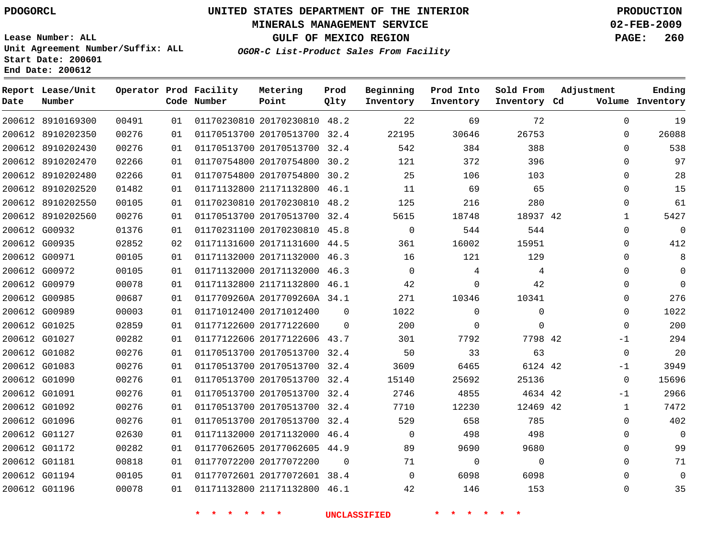### **MINERALS MANAGEMENT SERVICE 02-FEB-2009**

**GULF OF MEXICO REGION PAGE: 260**

**Lease Number: ALL Unit Agreement Number/Suffix: ALL Start Date: 200601 End Date: 200612**

**OGOR-C List-Product Sales From Facility**

| Date | Report Lease/Unit<br>Number |       |    | Operator Prod Facility<br>Code Number | Metering<br>Point            | Prod<br>Qlty | Beginning<br>Inventory | Prod Into<br>Inventory | Sold From<br>Inventory Cd | Adjustment   | Ending<br>Volume Inventory |
|------|-----------------------------|-------|----|---------------------------------------|------------------------------|--------------|------------------------|------------------------|---------------------------|--------------|----------------------------|
|      | 200612 8910169300           | 00491 | 01 |                                       | 01170230810 20170230810 48.2 |              | 22                     | 69                     | 72                        | $\mathbf 0$  | 19                         |
|      | 200612 8910202350           | 00276 | 01 |                                       | 01170513700 20170513700      | 32.4         | 22195                  | 30646                  | 26753                     | $\mathbf 0$  | 26088                      |
|      | 200612 8910202430           | 00276 | 01 |                                       | 01170513700 20170513700 32.4 |              | 542                    | 384                    | 388                       | $\Omega$     | 538                        |
|      | 200612 8910202470           | 02266 | 01 |                                       | 01170754800 20170754800      | 30.2         | 121                    | 372                    | 396                       | $\Omega$     | 97                         |
|      | 200612 8910202480           | 02266 | 01 |                                       | 01170754800 20170754800 30.2 |              | 25                     | 106                    | 103                       | $\mathbf 0$  | 28                         |
|      | 200612 8910202520           | 01482 | 01 |                                       | 01171132800 21171132800 46.1 |              | 11                     | 69                     | 65                        | $\Omega$     | 15                         |
|      | 200612 8910202550           | 00105 | 01 |                                       | 01170230810 20170230810 48.2 |              | 125                    | 216                    | 280                       | $\mathbf 0$  | 61                         |
|      | 200612 8910202560           | 00276 | 01 |                                       | 01170513700 20170513700      | 32.4         | 5615                   | 18748                  | 18937 42                  | $\mathbf{1}$ | 5427                       |
|      | 200612 G00932               | 01376 | 01 |                                       | 01170231100 20170230810 45.8 |              | 0                      | 544                    | 544                       | 0            | 0                          |
|      | 200612 G00935               | 02852 | 02 |                                       | 01171131600 20171131600 44.5 |              | 361                    | 16002                  | 15951                     | 0            | 412                        |
|      | 200612 G00971               | 00105 | 01 |                                       | 01171132000 20171132000 46.3 |              | 16                     | 121                    | 129                       | 0            | 8                          |
|      | 200612 G00972               | 00105 | 01 |                                       | 01171132000 20171132000      | 46.3         | $\mathbf 0$            | 4                      | 4                         | $\mathbf 0$  | 0                          |
|      | 200612 G00979               | 00078 | 01 |                                       | 01171132800 21171132800 46.1 |              | 42                     | 0                      | 42                        | $\Omega$     | 0                          |
|      | 200612 G00985               | 00687 | 01 |                                       | 0117709260A 2017709260A 34.1 |              | 271                    | 10346                  | 10341                     | $\mathbf 0$  | 276                        |
|      | 200612 G00989               | 00003 | 01 |                                       | 01171012400 20171012400      | $\Omega$     | 1022                   | $\mathbf{0}$           | $\mathbf{0}$              | $\mathbf 0$  | 1022                       |
|      | 200612 G01025               | 02859 | 01 |                                       | 01177122600 20177122600      | $\Omega$     | 200                    | $\mathbf 0$            | $\Omega$                  | $\Omega$     | 200                        |
|      | 200612 G01027               | 00282 | 01 |                                       | 01177122606 20177122606 43.7 |              | 301                    | 7792                   | 7798 42                   | $-1$         | 294                        |
|      | 200612 G01082               | 00276 | 01 |                                       | 01170513700 20170513700      | 32.4         | 50                     | 33                     | 63                        | $\mathbf 0$  | 20                         |
|      | 200612 G01083               | 00276 | 01 |                                       | 01170513700 20170513700 32.4 |              | 3609                   | 6465                   | 6124 42                   | $-1$         | 3949                       |
|      | 200612 G01090               | 00276 | 01 |                                       | 01170513700 20170513700      | 32.4         | 15140                  | 25692                  | 25136                     | $\mathbf 0$  | 15696                      |
|      | 200612 G01091               | 00276 | 01 |                                       | 01170513700 20170513700 32.4 |              | 2746                   | 4855                   | 4634 42                   | -1           | 2966                       |
|      | 200612 G01092               | 00276 | 01 |                                       | 01170513700 20170513700 32.4 |              | 7710                   | 12230                  | 12469 42                  | $\mathbf{1}$ | 7472                       |
|      | 200612 G01096               | 00276 | 01 |                                       | 01170513700 20170513700 32.4 |              | 529                    | 658                    | 785                       | 0            | 402                        |
|      | 200612 G01127               | 02630 | 01 |                                       | 01171132000 20171132000 46.4 |              | $\mathbf 0$            | 498                    | 498                       | $\mathbf 0$  | $\mathbf 0$                |
|      | 200612 G01172               | 00282 | 01 |                                       | 01177062605 20177062605 44.9 |              | 89                     | 9690                   | 9680                      | 0            | 99                         |
|      | 200612 G01181               | 00818 | 01 |                                       | 01177072200 20177072200      | $\Omega$     | 71                     | $\mathbf 0$            | $\mathbf 0$               | $\Omega$     | 71                         |
|      | 200612 G01194               | 00105 | 01 |                                       | 01177072601 20177072601 38.4 |              | $\Omega$               | 6098                   | 6098                      | $\Omega$     | 0                          |
|      | 200612 G01196               | 00078 | 01 |                                       | 01171132800 21171132800 46.1 |              | 42                     | 146                    | 153                       | $\Omega$     | 35                         |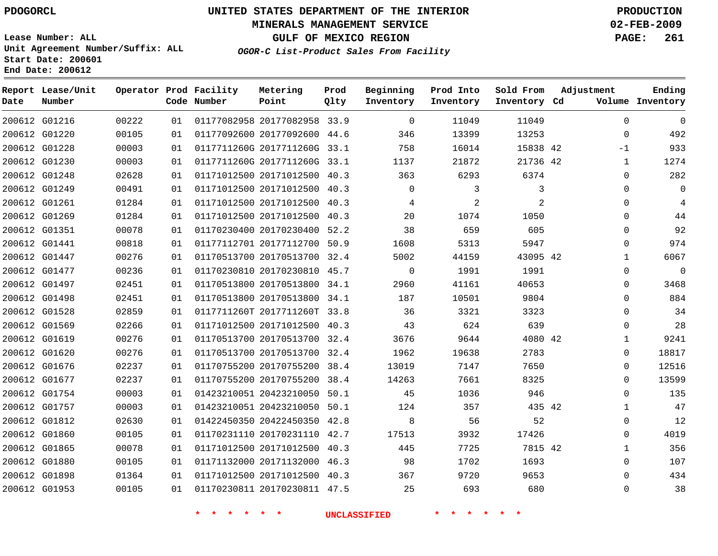### **MINERALS MANAGEMENT SERVICE 02-FEB-2009**

**GULF OF MEXICO REGION PAGE: 261**

**Lease Number: ALL Unit Agreement Number/Suffix: ALL Start Date: 200601 End Date: 200612**

**OGOR-C List-Product Sales From Facility**

| Date | Report Lease/Unit<br>Number |       |    | Operator Prod Facility<br>Code Number | Metering<br>Point            | Prod<br>Qlty | Beginning<br>Inventory | Prod Into<br>Inventory | Sold From<br>Inventory Cd | Adjustment   | Ending<br>Volume Inventory |
|------|-----------------------------|-------|----|---------------------------------------|------------------------------|--------------|------------------------|------------------------|---------------------------|--------------|----------------------------|
|      | 200612 G01216               | 00222 | 01 |                                       | 01177082958 20177082958 33.9 |              | $\Omega$               | 11049                  | 11049                     | $\Omega$     | $\Omega$                   |
|      | 200612 G01220               | 00105 | 01 |                                       | 01177092600 20177092600 44.6 |              | 346                    | 13399                  | 13253                     | $\mathbf 0$  | 492                        |
|      | 200612 G01228               | 00003 | 01 |                                       | 0117711260G 2017711260G 33.1 |              | 758                    | 16014                  | 15838 42                  | $-1$         | 933                        |
|      | 200612 G01230               | 00003 | 01 |                                       | 0117711260G 2017711260G 33.1 |              | 1137                   | 21872                  | 21736 42                  | $\mathbf{1}$ | 1274                       |
|      | 200612 G01248               | 02628 | 01 |                                       | 01171012500 20171012500 40.3 |              | 363                    | 6293                   | 6374                      | 0            | 282                        |
|      | 200612 G01249               | 00491 | 01 |                                       | 01171012500 20171012500 40.3 |              | $\mathbf 0$            | 3                      | 3                         | 0            | $\Omega$                   |
|      | 200612 G01261               | 01284 | 01 |                                       | 01171012500 20171012500 40.3 |              | 4                      | 2                      | 2                         | $\Omega$     | 4                          |
|      | 200612 G01269               | 01284 | 01 |                                       | 01171012500 20171012500 40.3 |              | 20                     | 1074                   | 1050                      | $\mathbf 0$  | 44                         |
|      | 200612 G01351               | 00078 | 01 |                                       | 01170230400 20170230400 52.2 |              | 38                     | 659                    | 605                       | $\Omega$     | 92                         |
|      | 200612 G01441               | 00818 | 01 |                                       | 01177112701 20177112700 50.9 |              | 1608                   | 5313                   | 5947                      | $\Omega$     | 974                        |
|      | 200612 G01447               | 00276 | 01 |                                       | 01170513700 20170513700 32.4 |              | 5002                   | 44159                  | 43095 42                  | $\mathbf{1}$ | 6067                       |
|      | 200612 G01477               | 00236 | 01 |                                       | 01170230810 20170230810 45.7 |              | $\mathbf 0$            | 1991                   | 1991                      | $\mathbf 0$  | $\mathbf{0}$               |
|      | 200612 G01497               | 02451 | 01 |                                       | 01170513800 20170513800 34.1 |              | 2960                   | 41161                  | 40653                     | 0            | 3468                       |
|      | 200612 G01498               | 02451 | 01 |                                       | 01170513800 20170513800 34.1 |              | 187                    | 10501                  | 9804                      | $\mathbf 0$  | 884                        |
|      | 200612 G01528               | 02859 | 01 |                                       | 0117711260T 2017711260T 33.8 |              | 36                     | 3321                   | 3323                      | $\Omega$     | 34                         |
|      | 200612 G01569               | 02266 | 01 |                                       | 01171012500 20171012500 40.3 |              | 43                     | 624                    | 639                       | $\mathbf{0}$ | 28                         |
|      | 200612 G01619               | 00276 | 01 |                                       | 01170513700 20170513700 32.4 |              | 3676                   | 9644                   | 4080 42                   | 1            | 9241                       |
|      | 200612 G01620               | 00276 | 01 |                                       | 01170513700 20170513700 32.4 |              | 1962                   | 19638                  | 2783                      | 0            | 18817                      |
|      | 200612 G01676               | 02237 | 01 |                                       | 01170755200 20170755200 38.4 |              | 13019                  | 7147                   | 7650                      | $\mathbf 0$  | 12516                      |
|      | 200612 G01677               | 02237 | 01 |                                       | 01170755200 20170755200 38.4 |              | 14263                  | 7661                   | 8325                      | $\Omega$     | 13599                      |
|      | 200612 G01754               | 00003 | 01 |                                       | 01423210051 20423210050 50.1 |              | 45                     | 1036                   | 946                       | $\Omega$     | 135                        |
|      | 200612 G01757               | 00003 | 01 |                                       | 01423210051 20423210050 50.1 |              | 124                    | 357                    | 435 42                    | $\mathbf{1}$ | 47                         |
|      | 200612 G01812               | 02630 | 01 |                                       | 01422450350 20422450350 42.8 |              | 8                      | 56                     | 52                        | 0            | 12                         |
|      | 200612 G01860               | 00105 | 01 |                                       | 01170231110 20170231110 42.7 |              | 17513                  | 3932                   | 17426                     | $\mathbf 0$  | 4019                       |
|      | 200612 G01865               | 00078 | 01 |                                       | 01171012500 20171012500 40.3 |              | 445                    | 7725                   | 7815 42                   | 1            | 356                        |
|      | 200612 G01880               | 00105 | 01 |                                       | 01171132000 20171132000 46.3 |              | 98                     | 1702                   | 1693                      | $\mathbf 0$  | 107                        |
|      | 200612 G01898               | 01364 | 01 |                                       | 01171012500 20171012500 40.3 |              | 367                    | 9720                   | 9653                      | $\Omega$     | 434                        |
|      | 200612 G01953               | 00105 | 01 |                                       | 01170230811 20170230811 47.5 |              | 25                     | 693                    | 680                       | $\Omega$     | 38                         |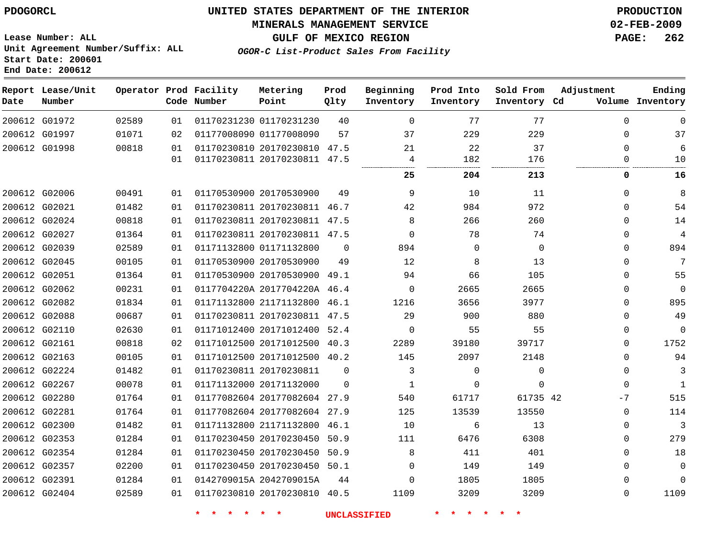### **MINERALS MANAGEMENT SERVICE 02-FEB-2009**

**GULF OF MEXICO REGION PAGE: 262**

**Lease Number: ALL Unit Agreement Number/Suffix: ALL Start Date: 200601 End Date: 200612**

**OGOR-C List-Product Sales From Facility**

| Date | Report Lease/Unit<br>Number |       |    | Operator Prod Facility<br>Code Number | Metering<br>Point            | Prod<br>Qlty | Beginning<br>Inventory | Prod Into<br>Inventory | Sold From<br>Inventory Cd | Adjustment | Ending<br>Volume Inventory |
|------|-----------------------------|-------|----|---------------------------------------|------------------------------|--------------|------------------------|------------------------|---------------------------|------------|----------------------------|
|      | 200612 G01972               | 02589 | 01 |                                       | 01170231230 01170231230      | 40           | $\Omega$               | 77                     | 77                        | $\Omega$   | $\Omega$                   |
|      | 200612 G01997               | 01071 | 02 |                                       | 01177008090 01177008090      | 57           | 37                     | 229                    | 229                       | $\Omega$   | 37                         |
|      | 200612 G01998               | 00818 | 01 |                                       | 01170230810 20170230810 47.5 |              | 21                     | 22                     | 37                        | $\Omega$   | 6                          |
|      |                             |       | 01 |                                       | 01170230811 20170230811 47.5 |              | 4                      | 182                    | 176                       | $\Omega$   | 10                         |
|      |                             |       |    |                                       |                              |              | 25                     | 204                    | 213                       | 0          | 16                         |
|      | 200612 G02006               | 00491 | 01 |                                       | 01170530900 20170530900      | 49           | 9                      | 10                     | 11                        | $\Omega$   | 8                          |
|      | 200612 G02021               | 01482 | 01 |                                       | 01170230811 20170230811 46.7 |              | 42                     | 984                    | 972                       | $\Omega$   | 54                         |
|      | 200612 G02024               | 00818 | 01 |                                       | 01170230811 20170230811 47.5 |              | 8                      | 266                    | 260                       | $\Omega$   | 14                         |
|      | 200612 G02027               | 01364 | 01 |                                       | 01170230811 20170230811 47.5 |              | $\Omega$               | 78                     | 74                        | $\Omega$   | 4                          |
|      | 200612 G02039               | 02589 | 01 |                                       | 01171132800 01171132800      | $\Omega$     | 894                    | $\Omega$               | $\Omega$                  | $\Omega$   | 894                        |
|      | 200612 G02045               | 00105 | 01 |                                       | 01170530900 20170530900      | 49           | 12                     | 8                      | 13                        | $\Omega$   | 7                          |
|      | 200612 G02051               | 01364 | 01 |                                       | 01170530900 20170530900 49.1 |              | 94                     | 66                     | 105                       | 0          | 55                         |
|      | 200612 G02062               | 00231 | 01 |                                       | 0117704220A 2017704220A 46.4 |              | 0                      | 2665                   | 2665                      | 0          | $\mathbf 0$                |
|      | 200612 G02082               | 01834 | 01 |                                       | 01171132800 21171132800 46.1 |              | 1216                   | 3656                   | 3977                      | $\Omega$   | 895                        |
|      | 200612 G02088               | 00687 | 01 |                                       | 01170230811 20170230811 47.5 |              | 29                     | 900                    | 880                       | $\Omega$   | 49                         |
|      | 200612 G02110               | 02630 | 01 |                                       | 01171012400 20171012400      | 52.4         | $\mathbf 0$            | 55                     | 55                        | 0          | $\mathbf 0$                |
|      | 200612 G02161               | 00818 | 02 |                                       | 01171012500 20171012500 40.3 |              | 2289                   | 39180                  | 39717                     | $\Omega$   | 1752                       |
|      | 200612 G02163               | 00105 | 01 |                                       | 01171012500 20171012500 40.2 |              | 145                    | 2097                   | 2148                      | 0          | 94                         |
|      | 200612 G02224               | 01482 | 01 |                                       | 01170230811 20170230811      | $\Omega$     | 3                      | $\mathbf 0$            | $\mathbf 0$               | $\Omega$   | 3                          |
|      | 200612 G02267               | 00078 | 01 |                                       | 01171132000 20171132000      | $\Omega$     | 1                      | 0                      | $\mathbf 0$               | 0          | $\mathbf{1}$               |
|      | 200612 G02280               | 01764 | 01 |                                       | 01177082604 20177082604 27.9 |              | 540                    | 61717                  | 61735 42                  | $-7$       | 515                        |
|      | 200612 G02281               | 01764 | 01 |                                       | 01177082604 20177082604 27.9 |              | 125                    | 13539                  | 13550                     | $\Omega$   | 114                        |
|      | 200612 G02300               | 01482 | 01 |                                       | 01171132800 21171132800 46.1 |              | 10                     | 6                      | 13                        | $\Omega$   | 3                          |
|      | 200612 G02353               | 01284 | 01 |                                       | 01170230450 20170230450      | 50.9         | 111                    | 6476                   | 6308                      | $\Omega$   | 279                        |
|      | 200612 G02354               | 01284 | 01 |                                       | 01170230450 20170230450      | 50.9         | 8                      | 411                    | 401                       | $\Omega$   | 18                         |
|      | 200612 G02357               | 02200 | 01 |                                       | 01170230450 20170230450 50.1 |              | $\Omega$               | 149                    | 149                       | $\Omega$   | $\mathbf 0$                |
|      | 200612 G02391               | 01284 | 01 |                                       | 0142709015A 2042709015A      | 44           | $\Omega$               | 1805                   | 1805                      | $\Omega$   | $\Omega$                   |
|      | 200612 G02404               | 02589 | 01 |                                       | 01170230810 20170230810 40.5 |              | 1109                   | 3209                   | 3209                      | $\Omega$   | 1109                       |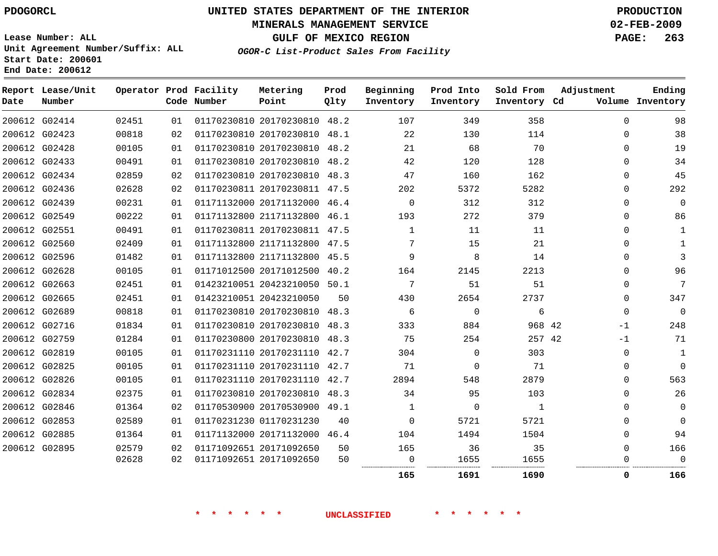### **MINERALS MANAGEMENT SERVICE 02-FEB-2009**

**GULF OF MEXICO REGION PAGE: 263**

**Lease Number: ALL Unit Agreement Number/Suffix: ALL Start Date: 200601 End Date: 200612**

**OGOR-C List-Product Sales From Facility**

| Date | Report Lease/Unit<br>Number |       |    | Operator Prod Facility<br>Code Number | Metering<br>Point            | Prod<br>Qlty | Beginning<br>Inventory | Prod Into<br>Inventory | Sold From<br>Inventory Cd | Adjustment  | Ending<br>Volume Inventory |
|------|-----------------------------|-------|----|---------------------------------------|------------------------------|--------------|------------------------|------------------------|---------------------------|-------------|----------------------------|
|      | 200612 G02414               | 02451 | 01 |                                       | 01170230810 20170230810 48.2 |              | 107                    | 349                    | 358                       | $\Omega$    | 98                         |
|      | 200612 G02423               | 00818 | 02 |                                       | 01170230810 20170230810 48.1 |              | 22                     | 130                    | 114                       | $\Omega$    | 38                         |
|      | 200612 G02428               | 00105 | 01 |                                       | 01170230810 20170230810 48.2 |              | 21                     | 68                     | 70                        | 0           | 19                         |
|      | 200612 G02433               | 00491 | 01 |                                       | 01170230810 20170230810 48.2 |              | 42                     | 120                    | 128                       | $\Omega$    | 34                         |
|      | 200612 G02434               | 02859 | 02 |                                       | 01170230810 20170230810 48.3 |              | 47                     | 160                    | 162                       | $\Omega$    | 45                         |
|      | 200612 G02436               | 02628 | 02 |                                       | 01170230811 20170230811 47.5 |              | 202                    | 5372                   | 5282                      | 0           | 292                        |
|      | 200612 G02439               | 00231 | 01 |                                       | 01171132000 20171132000 46.4 |              | $\mathbf 0$            | 312                    | 312                       | 0           | $\mathbf{0}$               |
|      | 200612 G02549               | 00222 | 01 |                                       | 01171132800 21171132800 46.1 |              | 193                    | 272                    | 379                       | 0           | 86                         |
|      | 200612 G02551               | 00491 | 01 |                                       | 01170230811 20170230811 47.5 |              | $\overline{1}$         | 11                     | 11                        | $\Omega$    | $\mathbf{1}$               |
|      | 200612 G02560               | 02409 | 01 |                                       | 01171132800 21171132800 47.5 |              | 7                      | 15                     | 21                        | 0           | 1                          |
|      | 200612 G02596               | 01482 | 01 |                                       | 01171132800 21171132800 45.5 |              | 9                      | 8                      | 14                        | $\Omega$    | 3                          |
|      | 200612 G02628               | 00105 | 01 |                                       | 01171012500 20171012500 40.2 |              | 164                    | 2145                   | 2213                      | $\Omega$    | 96                         |
|      | 200612 G02663               | 02451 | 01 |                                       | 01423210051 20423210050 50.1 |              | 7                      | 51                     | 51                        | $\Omega$    | 7                          |
|      | 200612 G02665               | 02451 | 01 |                                       | 01423210051 20423210050      | 50           | 430                    | 2654                   | 2737                      | $\Omega$    | 347                        |
|      | 200612 G02689               | 00818 | 01 |                                       | 01170230810 20170230810 48.3 |              | 6                      | 0                      | 6                         | 0           | $\Omega$                   |
|      | 200612 G02716               | 01834 | 01 |                                       | 01170230810 20170230810      | 48.3         | 333                    | 884                    | 968 42                    | $-1$        | 248                        |
|      | 200612 G02759               | 01284 | 01 |                                       | 01170230800 20170230810 48.3 |              | 75                     | 254                    | 257 42                    | -1          | 71                         |
|      | 200612 G02819               | 00105 | 01 |                                       | 01170231110 20170231110 42.7 |              | 304                    | $\Omega$               | 303                       | $\mathbf 0$ | $\mathbf{1}$               |
|      | 200612 G02825               | 00105 | 01 |                                       | 01170231110 20170231110 42.7 |              | 71                     | $\Omega$               | 71                        | 0           | $\Omega$                   |
|      | 200612 G02826               | 00105 | 01 |                                       | 01170231110 20170231110 42.7 |              | 2894                   | 548                    | 2879                      | $\Omega$    | 563                        |
|      | 200612 G02834               | 02375 | 01 |                                       | 01170230810 20170230810 48.3 |              | 34                     | 95                     | 103                       | $\Omega$    | 26                         |
|      | 200612 G02846               | 01364 | 02 |                                       | 01170530900 20170530900 49.1 |              | 1                      | $\mathbf 0$            | 1                         | 0           | $\mathbf 0$                |
|      | 200612 G02853               | 02589 | 01 |                                       | 01170231230 01170231230      | 40           | $\Omega$               | 5721                   | 5721                      | $\Omega$    | $\Omega$                   |
|      | 200612 G02885               | 01364 | 01 |                                       | 01171132000 20171132000 46.4 |              | 104                    | 1494                   | 1504                      | $\Omega$    | 94                         |
|      | 200612 G02895               | 02579 | 02 |                                       | 01171092651 20171092650      | 50           | 165                    | 36                     | 35                        | 0           | 166                        |
|      |                             | 02628 | 02 |                                       | 01171092651 20171092650      | 50           | 0                      | 1655                   | 1655                      | 0           | $\Omega$                   |
|      |                             |       |    |                                       |                              |              | 165                    | 1691                   | 1690                      | 0           | 166                        |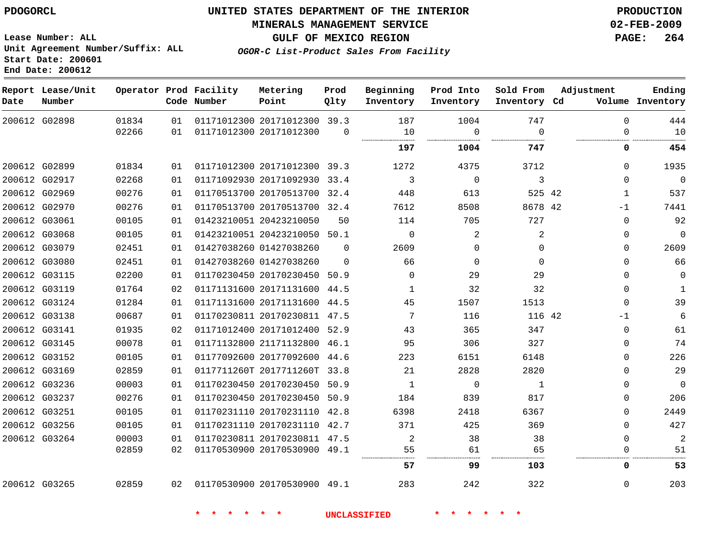# **MINERALS MANAGEMENT SERVICE 02-FEB-2009**

**GULF OF MEXICO REGION PAGE: 264 OGOR-C List-Product Sales From Facility**

**Lease Number: ALL Unit Agreement Number/Suffix: ALL Start Date: 200601 End Date: 200612**

| Date | Report Lease/Unit<br>Number |       |    | Operator Prod Facility<br>Code Number | Metering<br>Point            | Prod<br>Qlty | Beginning<br>Inventory | Prod Into<br>Inventory | Sold From<br>Inventory Cd | Adjustment   | Ending<br>Volume Inventory |
|------|-----------------------------|-------|----|---------------------------------------|------------------------------|--------------|------------------------|------------------------|---------------------------|--------------|----------------------------|
|      | 200612 G02898               | 01834 | 01 |                                       | 01171012300 20171012300 39.3 |              | 187                    | 1004                   | 747                       | $\Omega$     | 444                        |
|      |                             | 02266 | 01 |                                       | 01171012300 20171012300      | $\Omega$     | 10                     | $\Omega$               | $\Omega$<br>.             | $\Omega$     | 10                         |
|      |                             |       |    |                                       |                              |              | 197                    | 1004                   | 747                       | 0            | 454                        |
|      | 200612 G02899               | 01834 | 01 |                                       | 01171012300 20171012300 39.3 |              | 1272                   | 4375                   | 3712                      | $\Omega$     | 1935                       |
|      | 200612 G02917               | 02268 | 01 |                                       | 01171092930 20171092930 33.4 |              | 3                      | $\Omega$               | 3                         | $\Omega$     | $\Omega$                   |
|      | 200612 G02969               | 00276 | 01 |                                       | 01170513700 20170513700 32.4 |              | 448                    | 613                    | 525 42                    | $\mathbf{1}$ | 537                        |
|      | 200612 G02970               | 00276 | 01 |                                       | 01170513700 20170513700 32.4 |              | 7612                   | 8508                   | 8678 42                   | $-1$         | 7441                       |
|      | 200612 G03061               | 00105 | 01 |                                       | 01423210051 20423210050      | 50           | 114                    | 705                    | 727                       | $\Omega$     | 92                         |
|      | 200612 G03068               | 00105 | 01 |                                       | 01423210051 20423210050 50.1 |              | $\Omega$               | 2                      | 2                         | $\Omega$     | $\Omega$                   |
|      | 200612 G03079               | 02451 | 01 |                                       | 01427038260 01427038260      | $\Omega$     | 2609                   | $\Omega$               | $\Omega$                  | $\Omega$     | 2609                       |
|      | 200612 G03080               | 02451 | 01 |                                       | 01427038260 01427038260      | $\Omega$     | 66                     | $\Omega$               | $\Omega$                  | $\Omega$     | 66                         |
|      | 200612 G03115               | 02200 | 01 |                                       | 01170230450 20170230450 50.9 |              | $\Omega$               | 29                     | 29                        | $\Omega$     | $\Omega$                   |
|      | 200612 G03119               | 01764 | 02 |                                       | 01171131600 20171131600 44.5 |              | $\mathbf{1}$           | 32                     | 32                        | $\Omega$     | $\mathbf{1}$               |
|      | 200612 G03124               | 01284 | 01 |                                       | 01171131600 20171131600 44.5 |              | 45                     | 1507                   | 1513                      | $\Omega$     | 39                         |
|      | 200612 G03138               | 00687 | 01 |                                       | 01170230811 20170230811 47.5 |              | 7                      | 116                    | 116 42                    | -1           | 6                          |
|      | 200612 G03141               | 01935 | 02 |                                       | 01171012400 20171012400 52.9 |              | 43                     | 365                    | 347                       | $\Omega$     | 61                         |
|      | 200612 G03145               | 00078 | 01 |                                       | 01171132800 21171132800 46.1 |              | 95                     | 306                    | 327                       | $\Omega$     | 74                         |
|      | 200612 G03152               | 00105 | 01 |                                       | 01177092600 20177092600 44.6 |              | 223                    | 6151                   | 6148                      | $\Omega$     | 226                        |
|      | 200612 G03169               | 02859 | 01 |                                       | 0117711260T 2017711260T 33.8 |              | 21                     | 2828                   | 2820                      | $\Omega$     | 29                         |
|      | 200612 G03236               | 00003 | 01 |                                       | 01170230450 20170230450 50.9 |              | 1                      | $\mathbf 0$            | 1                         | $\Omega$     | $\Omega$                   |
|      | 200612 G03237               | 00276 | 01 |                                       | 01170230450 20170230450 50.9 |              | 184                    | 839                    | 817                       | $\Omega$     | 206                        |
|      | 200612 G03251               | 00105 | 01 |                                       | 01170231110 20170231110 42.8 |              | 6398                   | 2418                   | 6367                      | $\Omega$     | 2449                       |
|      | 200612 G03256               | 00105 | 01 |                                       | 01170231110 20170231110 42.7 |              | 371                    | 425                    | 369                       | $\Omega$     | 427                        |
|      | 200612 G03264               | 00003 | 01 |                                       | 01170230811 20170230811 47.5 |              | 2                      | 38                     | 38                        | $\Omega$     | 2                          |
|      |                             | 02859 | 02 |                                       | 01170530900 20170530900 49.1 |              | 55                     | 61                     | 65                        | $\mathbf 0$  | 51                         |
|      |                             |       |    |                                       |                              |              | 57                     | 99                     | 103                       | 0            | 53                         |
|      | 200612 G03265               | 02859 | 02 |                                       | 01170530900 20170530900 49.1 |              | 283                    | 242                    | 322                       | $\mathbf 0$  | 203                        |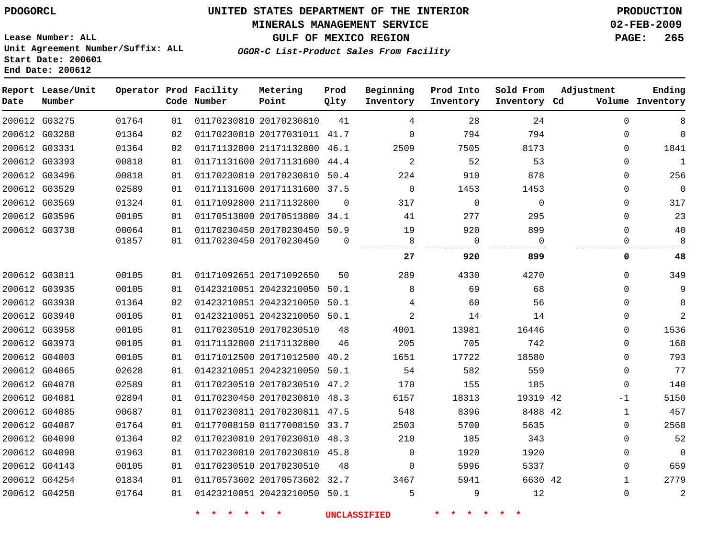### **MINERALS MANAGEMENT SERVICE 02-FEB-2009**

**GULF OF MEXICO REGION PAGE: 265 OGOR-C List-Product Sales From Facility**

**Lease Number: ALL Unit Agreement Number/Suffix: ALL Start Date: 200601 End Date: 200612**

| Date | Report Lease/Unit<br>Number |       |                 | Operator Prod Facility<br>Code Number | Metering<br>Point            | Prod<br>Qlty | Beginning<br>Inventory | Prod Into<br>Inventory | Sold From<br>Inventory Cd | Adjustment   | Ending<br>Volume Inventory |
|------|-----------------------------|-------|-----------------|---------------------------------------|------------------------------|--------------|------------------------|------------------------|---------------------------|--------------|----------------------------|
|      | 200612 G03275               | 01764 | 01              |                                       | 01170230810 20170230810      | 41           | 4                      | 28                     | 24                        | $\Omega$     | 8                          |
|      | 200612 G03288               | 01364 | 02              |                                       | 01170230810 20177031011 41.7 |              | $\mathbf 0$            | 794                    | 794                       | $\Omega$     | $\mathbf 0$                |
|      | 200612 G03331               | 01364 | 02              |                                       | 01171132800 21171132800 46.1 |              | 2509                   | 7505                   | 8173                      | $\Omega$     | 1841                       |
|      | 200612 G03393               | 00818 | 01              |                                       | 01171131600 20171131600      | 44.4         | $\overline{a}$         | 52                     | 53                        | $\Omega$     | $\mathbf{1}$               |
|      | 200612 G03496               | 00818 | 01              |                                       | 01170230810 20170230810 50.4 |              | 224                    | 910                    | 878                       | $\Omega$     | 256                        |
|      | 200612 G03529               | 02589 | 01              |                                       | 01171131600 20171131600      | 37.5         | $\mathbf 0$            | 1453                   | 1453                      | $\Omega$     | $\mathbf 0$                |
|      | 200612 G03569               | 01324 | 01              |                                       | 01171092800 21171132800      | $\Omega$     | 317                    | $\mathbf 0$            | $\mathbf 0$               | $\Omega$     | 317                        |
|      | 200612 G03596               | 00105 | 01              |                                       | 01170513800 20170513800 34.1 |              | 41                     | 277                    | 295                       | $\Omega$     | 23                         |
|      | 200612 G03738               | 00064 | 01              |                                       | 01170230450 20170230450 50.9 |              | 19                     | 920                    | 899                       | $\Omega$     | 40                         |
|      |                             | 01857 | 01              |                                       | 01170230450 20170230450      | $\Omega$     | 8                      | $\mathbf 0$            | $\Omega$                  | $\Omega$     | 8                          |
|      |                             |       |                 |                                       |                              |              | 27                     | 920                    | 899                       | 0            | 48                         |
|      | 200612 G03811               | 00105 | 01              |                                       | 01171092651 20171092650      | 50           | 289                    | 4330                   | 4270                      | $\Omega$     | 349                        |
|      | 200612 G03935               | 00105 | 01              |                                       | 01423210051 20423210050 50.1 |              | 8                      | 69                     | 68                        | $\Omega$     | 9                          |
|      | 200612 G03938               | 01364 | 02 <sub>o</sub> |                                       | 01423210051 20423210050 50.1 |              | 4                      | 60                     | 56                        | 0            | 8                          |
|      | 200612 G03940               | 00105 | 01              |                                       | 01423210051 20423210050 50.1 |              | $\overline{2}$         | 14                     | 14                        | $\Omega$     | 2                          |
|      | 200612 G03958               | 00105 | 01              |                                       | 01170230510 20170230510      | 48           | 4001                   | 13981                  | 16446                     | 0            | 1536                       |
|      | 200612 G03973               | 00105 | 01              |                                       | 01171132800 21171132800      | 46           | 205                    | 705                    | 742                       | $\Omega$     | 168                        |
|      | 200612 G04003               | 00105 | 01              |                                       | 01171012500 20171012500      | 40.2         | 1651                   | 17722                  | 18580                     | $\mathbf{0}$ | 793                        |
|      | 200612 G04065               | 02628 | 01              |                                       | 01423210051 20423210050 50.1 |              | 54                     | 582                    | 559                       | $\mathbf{0}$ | 77                         |
|      | 200612 G04078               | 02589 | 01              |                                       | 01170230510 20170230510 47.2 |              | 170                    | 155                    | 185                       | $\Omega$     | 140                        |
|      | 200612 G04081               | 02894 | 01              |                                       | 01170230450 20170230810 48.3 |              | 6157                   | 18313                  | 19319 42                  | -1           | 5150                       |
|      | 200612 G04085               | 00687 | 01              |                                       | 01170230811 20170230811 47.5 |              | 548                    | 8396                   | 8488 42                   | $\mathbf 1$  | 457                        |
|      | 200612 G04087               | 01764 | 01              |                                       | 01177008150 01177008150 33.7 |              | 2503                   | 5700                   | 5635                      | 0            | 2568                       |
|      | 200612 G04090               | 01364 | 02              |                                       | 01170230810 20170230810 48.3 |              | 210                    | 185                    | 343                       | $\Omega$     | 52                         |
|      | 200612 G04098               | 01963 | 01              |                                       | 01170230810 20170230810 45.8 |              | $\mathbf 0$            | 1920                   | 1920                      | 0            | $\mathbf 0$                |
|      | 200612 G04143               | 00105 | 01              |                                       | 01170230510 20170230510      | 48           | $\Omega$               | 5996                   | 5337                      | $\Omega$     | 659                        |
|      | 200612 G04254               | 01834 | 01              |                                       | 01170573602 20170573602 32.7 |              | 3467                   | 5941                   | 6630 42                   | $\mathbf{1}$ | 2779                       |
|      | 200612 G04258               | 01764 | 01              |                                       | 01423210051 20423210050 50.1 |              | 5                      | 9                      | 12                        | $\Omega$     | $\overline{a}$             |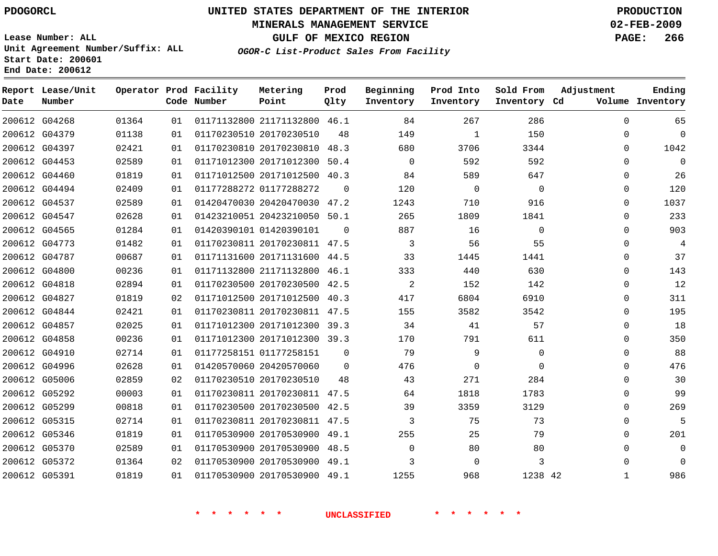### **MINERALS MANAGEMENT SERVICE 02-FEB-2009**

**GULF OF MEXICO REGION PAGE: 266 OGOR-C List-Product Sales From Facility**

**Lease Number: ALL Unit Agreement Number/Suffix: ALL Start Date: 200601 End Date: 200612**

| Date          | Report Lease/Unit<br>Number |       |    | Operator Prod Facility<br>Code Number | Metering<br>Point            | Prod<br>Qlty | Beginning<br>Inventory | Prod Into<br>Inventory | Sold From<br>Inventory Cd | Adjustment   | Ending<br>Volume Inventory |
|---------------|-----------------------------|-------|----|---------------------------------------|------------------------------|--------------|------------------------|------------------------|---------------------------|--------------|----------------------------|
|               | 200612 G04268               | 01364 | 01 |                                       | 01171132800 21171132800 46.1 |              | 84                     | 267                    | 286                       | $\Omega$     | 65                         |
|               | 200612 G04379               | 01138 | 01 |                                       | 01170230510 20170230510      | 48           | 149                    | $\mathbf{1}$           | 150                       | $\mathbf{0}$ | $\mathbf 0$                |
|               | 200612 G04397               | 02421 | 01 |                                       | 01170230810 20170230810 48.3 |              | 680                    | 3706                   | 3344                      | $\Omega$     | 1042                       |
|               | 200612 G04453               | 02589 | 01 |                                       | 01171012300 20171012300      | 50.4         | $\Omega$               | 592                    | 592                       | $\Omega$     | $\mathbf 0$                |
|               | 200612 G04460               | 01819 | 01 |                                       | 01171012500 20171012500 40.3 |              | 84                     | 589                    | 647                       | 0            | 26                         |
|               | 200612 G04494               | 02409 | 01 |                                       | 01177288272 01177288272      | $\Omega$     | 120                    | $\overline{0}$         | $\Omega$                  | 0            | 120                        |
|               | 200612 G04537               | 02589 | 01 |                                       | 01420470030 20420470030 47.2 |              | 1243                   | 710                    | 916                       | $\Omega$     | 1037                       |
|               | 200612 G04547               | 02628 | 01 |                                       | 01423210051 20423210050 50.1 |              | 265                    | 1809                   | 1841                      | $\Omega$     | 233                        |
|               | 200612 G04565               | 01284 | 01 |                                       | 01420390101 01420390101      | $\Omega$     | 887                    | 16                     | $\Omega$                  | $\Omega$     | 903                        |
|               | 200612 G04773               | 01482 | 01 |                                       | 01170230811 20170230811 47.5 |              | 3                      | 56                     | 55                        | $\mathbf{0}$ | $\overline{4}$             |
|               | 200612 G04787               | 00687 | 01 |                                       | 01171131600 20171131600 44.5 |              | 33                     | 1445                   | 1441                      | 0            | 37                         |
|               | 200612 G04800               | 00236 | 01 |                                       | 01171132800 21171132800 46.1 |              | 333                    | 440                    | 630                       | $\mathbf{0}$ | 143                        |
|               | 200612 G04818               | 02894 | 01 |                                       | 01170230500 20170230500 42.5 |              | 2                      | 152                    | 142                       | $\mathbf{0}$ | 12                         |
|               | 200612 G04827               | 01819 | 02 |                                       | 01171012500 20171012500 40.3 |              | 417                    | 6804                   | 6910                      | 0            | 311                        |
|               | 200612 G04844               | 02421 | 01 |                                       | 01170230811 20170230811 47.5 |              | 155                    | 3582                   | 3542                      | $\mathbf{0}$ | 195                        |
|               | 200612 G04857               | 02025 | 01 |                                       | 01171012300 20171012300 39.3 |              | 34                     | 41                     | 57                        | $\mathbf{0}$ | 18                         |
|               | 200612 G04858               | 00236 | 01 |                                       | 01171012300 20171012300 39.3 |              | 170                    | 791                    | 611                       | $\Omega$     | 350                        |
|               | 200612 G04910               | 02714 | 01 |                                       | 01177258151 01177258151      | $\Omega$     | 79                     | 9                      | $\Omega$                  | $\Omega$     | 88                         |
|               | 200612 G04996               | 02628 | 01 |                                       | 01420570060 20420570060      | $\Omega$     | 476                    | $\Omega$               | $\Omega$                  | 0            | 476                        |
|               | 200612 G05006               | 02859 | 02 |                                       | 01170230510 20170230510      | 48           | 43                     | 271                    | 284                       | 0            | 30                         |
|               | 200612 G05292               | 00003 | 01 |                                       | 01170230811 20170230811 47.5 |              | 64                     | 1818                   | 1783                      | $\Omega$     | 99                         |
|               | 200612 G05299               | 00818 | 01 |                                       | 01170230500 20170230500 42.5 |              | 39                     | 3359                   | 3129                      | $\Omega$     | 269                        |
|               | 200612 G05315               | 02714 | 01 |                                       | 01170230811 20170230811 47.5 |              | 3                      | 75                     | 73                        | 0            | 5                          |
|               | 200612 G05346               | 01819 | 01 |                                       | 01170530900 20170530900      | 49.1         | 255                    | 25                     | 79                        | $\mathbf{0}$ | 201                        |
|               | 200612 G05370               | 02589 | 01 |                                       | 01170530900 20170530900 48.5 |              | 0                      | 80                     | 80                        | $\Omega$     | $\mathbf 0$                |
|               | 200612 G05372               | 01364 | 02 |                                       | 01170530900 20170530900 49.1 |              | 3                      | $\mathbf 0$            | 3                         | $\Omega$     | $\overline{0}$             |
| 200612 G05391 |                             | 01819 | 01 |                                       | 01170530900 20170530900 49.1 |              | 1255                   | 968                    | 1238 42                   | $\mathbf 1$  | 986                        |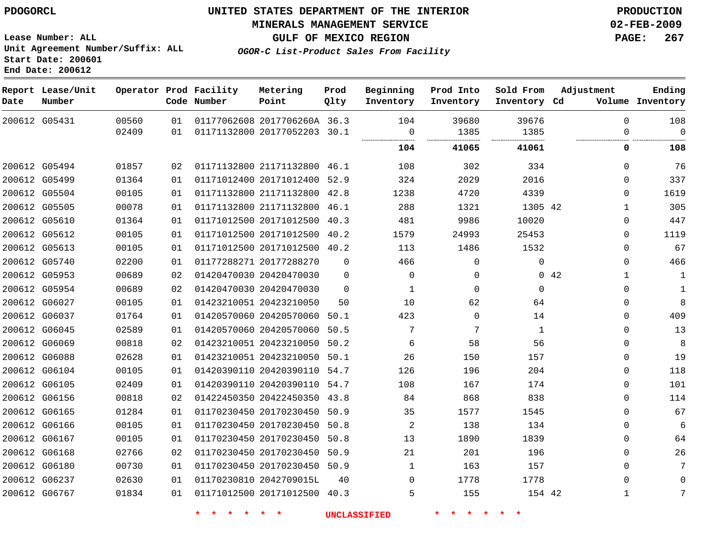### **MINERALS MANAGEMENT SERVICE 02-FEB-2009**

**GULF OF MEXICO REGION PAGE: 267**

**Lease Number: ALL Unit Agreement Number/Suffix: ALL Start Date: 200601 End Date: 200612**

| OGOR-C List-Product Sales From Facility |  |  |
|-----------------------------------------|--|--|
|                                         |  |  |

| Date | Report Lease/Unit<br>Number |       |    | Operator Prod Facility<br>Code Number | Metering<br>Point            | Prod<br>Qlty | Beginning<br>Inventory | Prod Into<br>Inventory | Sold From<br>Inventory Cd | Adjustment  | Ending<br>Volume Inventory |
|------|-----------------------------|-------|----|---------------------------------------|------------------------------|--------------|------------------------|------------------------|---------------------------|-------------|----------------------------|
|      | 200612 G05431               | 00560 | 01 |                                       | 01177062608 2017706260A 36.3 |              | 104                    | 39680                  | 39676                     | $\mathbf 0$ | 108                        |
|      |                             | 02409 | 01 |                                       | 01171132800 20177052203 30.1 |              | $\mathbf 0$            | 1385                   | 1385                      | $\Omega$    | $\Omega$                   |
|      |                             |       |    |                                       |                              |              | 104                    | 41065                  | 41061                     | 0           | 108                        |
|      | 200612 G05494               | 01857 | 02 |                                       | 01171132800 21171132800 46.1 |              | 108                    | 302                    | 334                       | $\mathbf 0$ | 76                         |
|      | 200612 G05499               | 01364 | 01 |                                       | 01171012400 20171012400 52.9 |              | 324                    | 2029                   | 2016                      | $\Omega$    | 337                        |
|      | 200612 G05504               | 00105 | 01 |                                       | 01171132800 21171132800      | 42.8         | 1238                   | 4720                   | 4339                      | $\Omega$    | 1619                       |
|      | 200612 G05505               | 00078 | 01 |                                       | 01171132800 21171132800      | 46.1         | 288                    | 1321                   | 1305 42                   | 1           | 305                        |
|      | 200612 G05610               | 01364 | 01 |                                       | 01171012500 20171012500 40.3 |              | 481                    | 9986                   | 10020                     | $\mathbf 0$ | 447                        |
|      | 200612 G05612               | 00105 | 01 |                                       | 01171012500 20171012500      | 40.2         | 1579                   | 24993                  | 25453                     | 0           | 1119                       |
|      | 200612 G05613               | 00105 | 01 |                                       | 01171012500 20171012500 40.2 |              | 113                    | 1486                   | 1532                      | $\Omega$    | 67                         |
|      | 200612 G05740               | 02200 | 01 |                                       | 01177288271 20177288270      | $\Omega$     | 466                    | $\mathbf 0$            | $\mathbf 0$               | $\Omega$    | 466                        |
|      | 200612 G05953               | 00689 | 02 |                                       | 01420470030 20420470030      | $\Omega$     | $\Omega$               | $\mathbf{0}$           |                           | 0.42<br>1   | 1                          |
|      | 200612 G05954               | 00689 | 02 |                                       | 01420470030 20420470030      | $\mathbf 0$  | 1                      | $\Omega$               | $\mathbf 0$               | $\Omega$    | 1                          |
|      | 200612 G06027               | 00105 | 01 |                                       | 01423210051 20423210050      | 50           | 10                     | 62                     | 64                        | $\Omega$    | 8                          |
|      | 200612 G06037               | 01764 | 01 |                                       | 01420570060 20420570060      | 50.1         | 423                    | $\Omega$               | 14                        | $\mathbf 0$ | 409                        |
|      | 200612 G06045               | 02589 | 01 |                                       | 01420570060 20420570060      | 50.5         | 7                      | 7                      | 1                         | $\Omega$    | 13                         |
|      | 200612 G06069               | 00818 | 02 |                                       | 01423210051 20423210050 50.2 |              | 6                      | 58                     | 56                        | $\mathbf 0$ | 8                          |
|      | 200612 G06088               | 02628 | 01 |                                       | 01423210051 20423210050      | 50.1         | 26                     | 150                    | 157                       | $\Omega$    | 19                         |
|      | 200612 G06104               | 00105 | 01 |                                       | 01420390110 20420390110      | 54.7         | 126                    | 196                    | 204                       | 0           | 118                        |
|      | 200612 G06105               | 02409 | 01 |                                       | 01420390110 20420390110 54.7 |              | 108                    | 167                    | 174                       | $\mathbf 0$ | 101                        |
|      | 200612 G06156               | 00818 | 02 |                                       | 01422450350 20422450350      | 43.8         | 84                     | 868                    | 838                       | $\Omega$    | 114                        |
|      | 200612 G06165               | 01284 | 01 |                                       | 01170230450 20170230450 50.9 |              | 35                     | 1577                   | 1545                      | $\Omega$    | 67                         |
|      | 200612 G06166               | 00105 | 01 |                                       | 01170230450 20170230450      | 50.8         | 2                      | 138                    | 134                       | $\Omega$    | 6                          |
|      | 200612 G06167               | 00105 | 01 |                                       | 01170230450 20170230450      | 50.8         | 13                     | 1890                   | 1839                      | $\mathbf 0$ | 64                         |
|      | 200612 G06168               | 02766 | 02 |                                       | 01170230450 20170230450      | 50.9         | 21                     | 201                    | 196                       | $\Omega$    | 26                         |
|      | 200612 G06180               | 00730 | 01 |                                       | 01170230450 20170230450      | 50.9         | $\mathbf{1}$           | 163                    | 157                       | $\mathbf 0$ | 7                          |
|      | 200612 G06237               | 02630 | 01 |                                       | 01170230810 2042709015L      | 40           | 0                      | 1778                   | 1778                      | $\Omega$    | $\Omega$                   |
|      | 200612 G06767               | 01834 | 01 |                                       | 01171012500 20171012500 40.3 |              | 5                      | 155                    | 154 42                    | 1           | 7                          |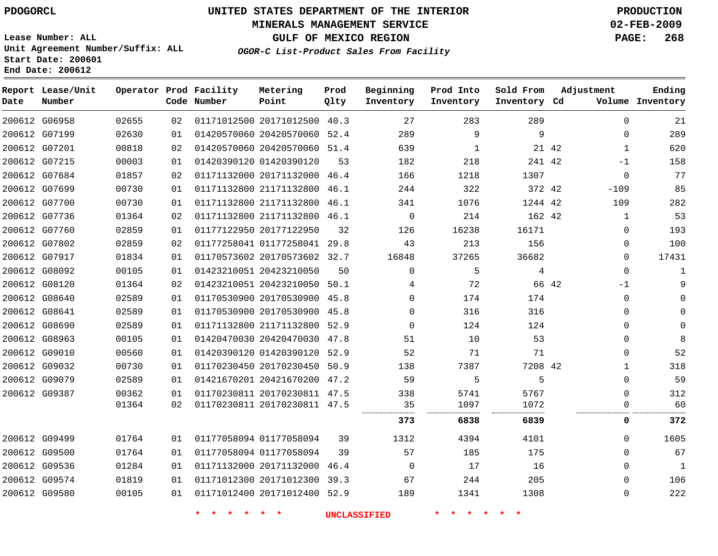### **MINERALS MANAGEMENT SERVICE 02-FEB-2009**

**GULF OF MEXICO REGION PAGE: 268**

**Lease Number: ALL Unit Agreement Number/Suffix: ALL Start Date: 200601 End Date: 200612**

**OGOR-C List-Product Sales From Facility**

| Date | Report Lease/Unit<br>Number |       |    | Operator Prod Facility<br>Code Number | Metering<br>Point            | Prod<br>Qlty | Beginning<br>Inventory | Prod Into<br>Inventory | Sold From<br>Inventory Cd | Adjustment    | Ending<br>Volume Inventory   |
|------|-----------------------------|-------|----|---------------------------------------|------------------------------|--------------|------------------------|------------------------|---------------------------|---------------|------------------------------|
|      | 200612 G06958               | 02655 | 02 |                                       | 01171012500 20171012500 40.3 |              | 27                     | 283                    | 289                       |               | $\Omega$<br>21               |
|      | 200612 G07199               | 02630 | 01 |                                       | 01420570060 20420570060 52.4 |              | 289                    | 9                      | 9                         |               | 289<br>$\Omega$              |
|      | 200612 G07201               | 00818 | 02 |                                       | 01420570060 20420570060 51.4 |              | 639                    | $\mathbf{1}$           |                           | 21 42         | 620<br>$\mathbf{1}$          |
|      | 200612 G07215               | 00003 | 01 |                                       | 01420390120 01420390120      | 53           | 182                    | 218                    | 241 42                    | $-1$          | 158                          |
|      | 200612 G07684               | 01857 | 02 |                                       | 01171132000 20171132000 46.4 |              | 166                    | 1218                   | 1307                      |               | 77<br>0                      |
|      | 200612 G07699               | 00730 | 01 |                                       | 01171132800 21171132800 46.1 |              | 244                    | 322                    | 372 42                    | $-109$        | 85                           |
|      | 200612 G07700               | 00730 | 01 |                                       | 01171132800 21171132800 46.1 |              | 341                    | 1076                   | 1244 42                   | 109           | 282                          |
|      | 200612 G07736               | 01364 | 02 |                                       | 01171132800 21171132800 46.1 |              | $\mathbf 0$            | 214                    | 162 42                    |               | 53<br>$\mathbf{1}$           |
|      | 200612 G07760               | 02859 | 01 |                                       | 01177122950 20177122950      | 32           | 126                    | 16238                  | 16171                     |               | 193<br>$\mathbf{0}$          |
|      | 200612 G07802               | 02859 | 02 |                                       | 01177258041 01177258041 29.8 |              | 43                     | 213                    | 156                       |               | 100<br>$\Omega$              |
|      | 200612 G07917               | 01834 | 01 |                                       | 01170573602 20170573602 32.7 |              | 16848                  | 37265                  | 36682                     |               | 17431<br>$\mathbf 0$         |
|      | 200612 G08092               | 00105 | 01 |                                       | 01423210051 20423210050      | 50           | $\mathbf 0$            | 5                      | 4                         |               | 0<br>1                       |
|      | 200612 G08120               | 01364 | 02 |                                       | 01423210051 20423210050 50.1 |              | 4                      | 72                     |                           | 66 42<br>$-1$ | 9                            |
|      | 200612 G08640               | 02589 | 01 |                                       | 01170530900 20170530900 45.8 |              | 0                      | 174                    | 174                       |               | $\mathbf{0}$                 |
|      | 200612 G08641               | 02589 | 01 |                                       | 01170530900 20170530900 45.8 |              | $\Omega$               | 316                    | 316                       |               | $\Omega$<br><sup>n</sup>     |
|      | 200612 G08690               | 02589 | 01 |                                       | 01171132800 21171132800 52.9 |              | $\Omega$               | 124                    | 124                       |               | $\Omega$<br>$\Omega$         |
|      | 200612 G08963               | 00105 | 01 |                                       | 01420470030 20420470030 47.8 |              | 51                     | 10                     | 53                        |               | 8<br>$\mathbf{0}$            |
|      | 200612 G09010               | 00560 | 01 |                                       | 01420390120 01420390120 52.9 |              | 52                     | 71                     | 71                        |               | 52<br>$\mathbf 0$            |
|      | 200612 G09032               | 00730 | 01 |                                       | 01170230450 20170230450 50.9 |              | 138                    | 7387                   | 7208 42                   |               | 318<br>$\mathbf{1}$          |
|      | 200612 G09079               | 02589 | 01 |                                       | 01421670201 20421670200 47.2 |              | 59                     | 5                      | 5                         |               | 59<br>$\mathbf{0}$           |
|      | 200612 G09387               | 00362 | 01 |                                       | 01170230811 20170230811 47.5 |              | 338                    | 5741                   | 5767                      |               | 312<br>0                     |
|      |                             | 01364 | 02 |                                       | 01170230811 20170230811 47.5 |              | 35                     | 1097                   | 1072                      |               | 60<br>0                      |
|      |                             |       |    |                                       |                              |              | 373                    | 6838                   | 6839                      |               | 372<br>0                     |
|      | 200612 G09499               | 01764 | 01 |                                       | 01177058094 01177058094      | 39           | 1312                   | 4394                   | 4101                      |               | 1605<br>$\Omega$             |
|      | 200612 G09500               | 01764 | 01 |                                       | 01177058094 01177058094      | 39           | 57                     | 185                    | 175                       |               | 67<br>$\Omega$               |
|      | 200612 G09536               | 01284 | 01 |                                       | 01171132000 20171132000      | 46.4         | $\mathbf 0$            | 17                     | 16                        |               | $\mathbf{1}$<br>$\mathbf{0}$ |
|      | 200612 G09574               | 01819 | 01 |                                       | 01171012300 20171012300 39.3 |              | 67                     | 244                    | 205                       |               | 106<br>$\mathbf{0}$          |
|      | 200612 G09580               | 00105 | 01 |                                       | 01171012400 20171012400 52.9 |              | 189                    | 1341                   | 1308                      |               | 222<br>$\mathbf{0}$          |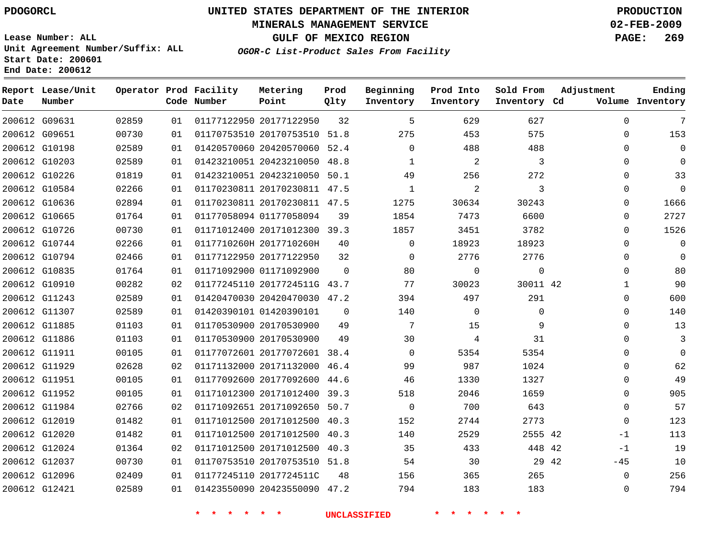### **MINERALS MANAGEMENT SERVICE 02-FEB-2009**

**GULF OF MEXICO REGION PAGE: 269**

**Lease Number: ALL Unit Agreement Number/Suffix: ALL Start Date: 200601 End Date: 200612**

**OGOR-C List-Product Sales From Facility**

| Date | Report Lease/Unit<br>Number |       |    | Operator Prod Facility<br>Code Number | Metering<br>Point            | Prod<br>Qlty | Beginning<br>Inventory | Prod Into<br>Inventory | Sold From<br>Inventory Cd | Adjustment  | Ending<br>Volume Inventory |
|------|-----------------------------|-------|----|---------------------------------------|------------------------------|--------------|------------------------|------------------------|---------------------------|-------------|----------------------------|
|      | 200612 G09631               | 02859 | 01 |                                       | 01177122950 20177122950      | 32           | 5                      | 629                    | 627                       | $\Omega$    | 7                          |
|      | 200612 G09651               | 00730 | 01 |                                       | 01170753510 20170753510      | 51.8         | 275                    | 453                    | 575                       | $\Omega$    | 153                        |
|      | 200612 G10198               | 02589 | 01 |                                       | 01420570060 20420570060 52.4 |              | $\Omega$               | 488                    | 488                       | $\Omega$    | 0                          |
|      | 200612 G10203               | 02589 | 01 |                                       | 01423210051 20423210050 48.8 |              | $\mathbf{1}$           | $\overline{c}$         | 3                         | $\mathbf 0$ | $\Omega$                   |
|      | 200612 G10226               | 01819 | 01 |                                       | 01423210051 20423210050 50.1 |              | 49                     | 256                    | 272                       | $\Omega$    | 33                         |
|      | 200612 G10584               | 02266 | 01 |                                       | 01170230811 20170230811 47.5 |              | $\mathbf 1$            | 2                      | 3                         | $\mathbf 0$ | $\mathbf 0$                |
|      | 200612 G10636               | 02894 | 01 |                                       | 01170230811 20170230811 47.5 |              | 1275                   | 30634                  | 30243                     | $\Omega$    | 1666                       |
|      | 200612 G10665               | 01764 | 01 |                                       | 01177058094 01177058094      | 39           | 1854                   | 7473                   | 6600                      | $\mathbf 0$ | 2727                       |
|      | 200612 G10726               | 00730 | 01 |                                       | 01171012400 20171012300 39.3 |              | 1857                   | 3451                   | 3782                      | $\Omega$    | 1526                       |
|      | 200612 G10744               | 02266 | 01 |                                       | 0117710260H 2017710260H      | 40           | $\mathbf 0$            | 18923                  | 18923                     | 0           | 0                          |
|      | 200612 G10794               | 02466 | 01 |                                       | 01177122950 20177122950      | 32           | $\Omega$               | 2776                   | 2776                      | $\mathbf 0$ | 0                          |
|      | 200612 G10835               | 01764 | 01 |                                       | 01171092900 01171092900      | $\mathbf 0$  | 80                     | 0                      | $\mathbf{0}$              | $\mathbf 0$ | 80                         |
|      | 200612 G10910               | 00282 | 02 |                                       | 01177245110 2017724511G 43.7 |              | 77                     | 30023                  | 30011 42                  | 1           | 90                         |
|      | 200612 G11243               | 02589 | 01 |                                       | 01420470030 20420470030 47.2 |              | 394                    | 497                    | 291                       | $\Omega$    | 600                        |
|      | 200612 G11307               | 02589 | 01 |                                       | 01420390101 01420390101      | $\Omega$     | 140                    | $\Omega$               | $\Omega$                  | $\Omega$    | 140                        |
|      | 200612 G11885               | 01103 | 01 |                                       | 01170530900 20170530900      | 49           | 7                      | 15                     | 9                         | 0           | 13                         |
|      | 200612 G11886               | 01103 | 01 |                                       | 01170530900 20170530900      | 49           | 30                     | 4                      | 31                        | $\Omega$    | 3                          |
|      | 200612 G11911               | 00105 | 01 |                                       | 01177072601 20177072601 38.4 |              | $\Omega$               | 5354                   | 5354                      | 0           | $\Omega$                   |
|      | 200612 G11929               | 02628 | 02 |                                       | 01171132000 20171132000 46.4 |              | 99                     | 987                    | 1024                      | $\Omega$    | 62                         |
|      | 200612 G11951               | 00105 | 01 |                                       | 01177092600 20177092600      | 44.6         | 46                     | 1330                   | 1327                      | 0           | 49                         |
|      | 200612 G11952               | 00105 | 01 |                                       | 01171012300 20171012400 39.3 |              | 518                    | 2046                   | 1659                      | $\Omega$    | 905                        |
|      | 200612 G11984               | 02766 | 02 |                                       | 01171092651 20171092650 50.7 |              | $\mathbf 0$            | 700                    | 643                       | $\mathbf 0$ | 57                         |
|      | 200612 G12019               | 01482 | 01 |                                       | 01171012500 20171012500 40.3 |              | 152                    | 2744                   | 2773                      | $\mathbf 0$ | 123                        |
|      | 200612 G12020               | 01482 | 01 |                                       | 01171012500 20171012500 40.3 |              | 140                    | 2529                   | 2555 42                   | $-1$        | 113                        |
|      | 200612 G12024               | 01364 | 02 |                                       | 01171012500 20171012500 40.3 |              | 35                     | 433                    | 448 42                    | $-1$        | 19                         |
|      | 200612 G12037               | 00730 | 01 |                                       | 01170753510 20170753510 51.8 |              | 54                     | 30                     | 29 42                     | $-45$       | 10                         |
|      | 200612 G12096               | 02409 | 01 |                                       | 01177245110 2017724511C      | 48           | 156                    | 365                    | 265                       | 0           | 256                        |
|      | 200612 G12421               | 02589 | 01 |                                       | 01423550090 20423550090 47.2 |              | 794                    | 183                    | 183                       | $\mathbf 0$ | 794                        |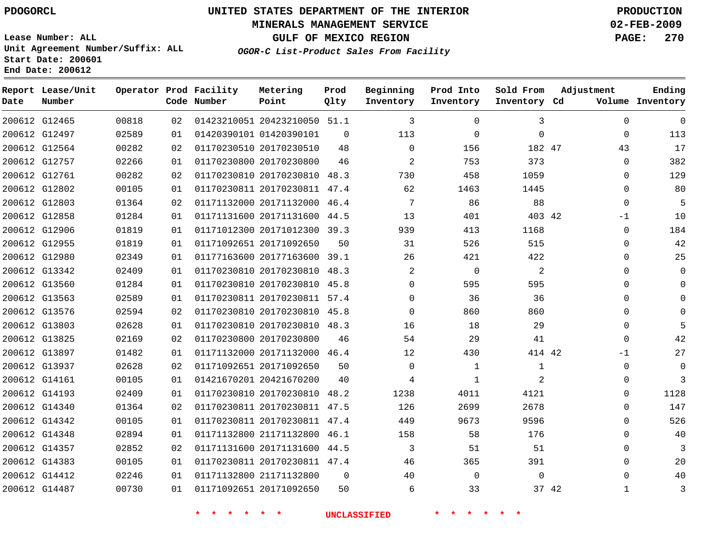### **MINERALS MANAGEMENT SERVICE 02-FEB-2009**

**GULF OF MEXICO REGION PAGE: 270**

**Lease Number: ALL Unit Agreement Number/Suffix: ALL Start Date: 200601 End Date: 200612**

**OGOR-C List-Product Sales From Facility**

| Date | Report Lease/Unit<br>Number |       |    | Operator Prod Facility<br>Code Number | Metering<br>Point            | Prod<br>Qlty   | Beginning<br>Inventory | Prod Into<br>Inventory | Sold From<br>Inventory Cd | Adjustment            | Ending<br>Volume Inventory |
|------|-----------------------------|-------|----|---------------------------------------|------------------------------|----------------|------------------------|------------------------|---------------------------|-----------------------|----------------------------|
|      | 200612 G12465               | 00818 | 02 |                                       | 01423210051 20423210050 51.1 |                | 3                      | $\mathbf 0$            | 3                         | $\mathbf 0$           | $\mathbf 0$                |
|      | 200612 G12497               | 02589 | 01 |                                       | 01420390101 01420390101      | $\overline{0}$ | 113                    | 0                      | $\mathbf{0}$              | $\mathbf 0$           | 113                        |
|      | 200612 G12564               | 00282 | 02 |                                       | 01170230510 20170230510      | 48             | $\Omega$               | 156                    | 182 47                    | 43                    | 17                         |
|      | 200612 G12757               | 02266 | 01 |                                       | 01170230800 20170230800      | 46             | $\overline{2}$         | 753                    | 373                       | $\mathbf 0$           | 382                        |
|      | 200612 G12761               | 00282 | 02 |                                       | 01170230810 20170230810      | 48.3           | 730                    | 458                    | 1059                      | $\Omega$              | 129                        |
|      | 200612 G12802               | 00105 | 01 |                                       | 01170230811 20170230811 47.4 |                | 62                     | 1463                   | 1445                      | $\Omega$              | 80                         |
|      | 200612 G12803               | 01364 | 02 |                                       | 01171132000 20171132000 46.4 |                | 7                      | 86                     | 88                        | $\Omega$              | 5                          |
|      | 200612 G12858               | 01284 | 01 |                                       | 01171131600 20171131600      | 44.5           | 13                     | 401                    | 403 42                    | $-1$                  | 10                         |
|      | 200612 G12906               | 01819 | 01 |                                       | 01171012300 20171012300 39.3 |                | 939                    | 413                    | 1168                      | 0                     | 184                        |
|      | 200612 G12955               | 01819 | 01 |                                       | 01171092651 20171092650      | 50             | 31                     | 526                    | 515                       | $\Omega$              | 42                         |
|      | 200612 G12980               | 02349 | 01 |                                       | 01177163600 20177163600 39.1 |                | 26                     | 421                    | 422                       | $\Omega$              | 25                         |
|      | 200612 G13342               | 02409 | 01 |                                       | 01170230810 20170230810      | 48.3           | 2                      | $\mathsf{O}$           | 2                         | $\Omega$              | $\mathbf{0}$               |
|      | 200612 G13560               | 01284 | 01 |                                       | 01170230810 20170230810 45.8 |                | $\Omega$               | 595                    | 595                       | $\Omega$              | $\Omega$                   |
|      | 200612 G13563               | 02589 | 01 |                                       | 01170230811 20170230811 57.4 |                | $\Omega$               | 36                     | 36                        | $\Omega$              | $\Omega$                   |
|      | 200612 G13576               | 02594 | 02 |                                       | 01170230810 20170230810 45.8 |                | $\Omega$               | 860                    | 860                       | $\Omega$              | $\Omega$                   |
|      | 200612 G13803               | 02628 | 01 |                                       | 01170230810 20170230810 48.3 |                | 16                     | 18                     | 29                        | $\Omega$              |                            |
|      | 200612 G13825               | 02169 | 02 |                                       | 01170230800 20170230800      | 46             | 54                     | 29                     | 41                        | $\Omega$              | 42                         |
|      | 200612 G13897               | 01482 | 01 |                                       | 01171132000 20171132000 46.4 |                | $12 \overline{ }$      | 430                    | 414 42                    | $-1$                  | 27                         |
|      | 200612 G13937               | 02628 | 02 |                                       | 01171092651 20171092650      | 50             | $\mathbf 0$            | $\mathbf 1$            | 1                         | 0                     | $\mathbf 0$                |
|      | 200612 G14161               | 00105 | 01 |                                       | 01421670201 20421670200      | 40             | 4                      | $\mathbf 1$            | 2                         | 0                     | 3                          |
|      | 200612 G14193               | 02409 | 01 |                                       | 01170230810 20170230810      | 48.2           | 1238                   | 4011                   | 4121                      | 0                     | 1128                       |
|      | 200612 G14340               | 01364 | 02 |                                       | 01170230811 20170230811 47.5 |                | 126                    | 2699                   | 2678                      | $\Omega$              | 147                        |
|      | 200612 G14342               | 00105 | 01 |                                       | 01170230811 20170230811 47.4 |                | 449                    | 9673                   | 9596                      | $\Omega$              | 526                        |
|      | 200612 G14348               | 02894 | 01 |                                       | 01171132800 21171132800      | 46.1           | 158                    | 58                     | 176                       | $\Omega$              | 40                         |
|      | 200612 G14357               | 02852 | 02 |                                       | 01171131600 20171131600 44.5 |                | 3                      | 51                     | 51                        | $\Omega$              | 3                          |
|      | 200612 G14383               | 00105 | 01 |                                       | 01170230811 20170230811 47.4 |                | 46                     | 365                    | 391                       | $\Omega$              | 20                         |
|      | 200612 G14412               | 02246 | 01 |                                       | 01171132800 21171132800      | $\Omega$       | 40                     | $\mathbf 0$            | $\mathbf 0$               | $\Omega$              | 40                         |
|      | 200612 G14487               | 00730 | 01 |                                       | 01171092651 20171092650      | 50             | 6                      | 33                     |                           | 37 42<br>$\mathbf{1}$ | 3                          |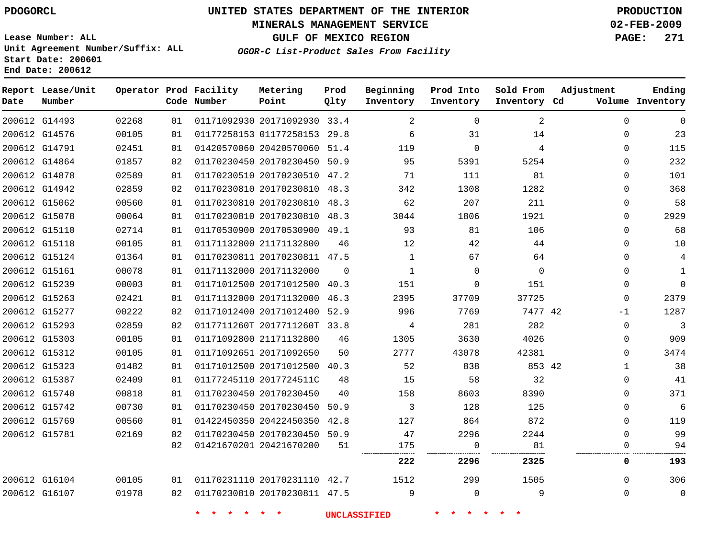### **MINERALS MANAGEMENT SERVICE 02-FEB-2009**

**GULF OF MEXICO REGION PAGE: 271**

**Lease Number: ALL Unit Agreement Number/Suffix: ALL Start Date: 200601 End Date: 200612**

**OGOR-C List-Product Sales From Facility**

| Date          | Report Lease/Unit<br>Number |       |    | Operator Prod Facility<br>Code Number | Metering<br>Point            | Prod<br>Qlty | Beginning<br>Inventory | Prod Into<br>Inventory | Sold From<br>Inventory Cd | Adjustment   | Ending<br>Volume Inventory |
|---------------|-----------------------------|-------|----|---------------------------------------|------------------------------|--------------|------------------------|------------------------|---------------------------|--------------|----------------------------|
|               | 200612 G14493               | 02268 | 01 |                                       | 01171092930 20171092930 33.4 |              | 2                      | $\mathbf 0$            | 2                         | $\mathbf 0$  | $\mathbf 0$                |
|               | 200612 G14576               | 00105 | 01 |                                       | 01177258153 01177258153 29.8 |              | 6                      | 31                     | 14                        | $\mathbf 0$  | 23                         |
|               | 200612 G14791               | 02451 | 01 |                                       | 01420570060 20420570060 51.4 |              | 119                    | $\mathbf 0$            | 4                         | $\mathbf 0$  | 115                        |
| 200612 G14864 |                             | 01857 | 02 |                                       | 01170230450 20170230450 50.9 |              | 95                     | 5391                   | 5254                      | $\mathbf 0$  | 232                        |
|               | 200612 G14878               | 02589 | 01 |                                       | 01170230510 20170230510 47.2 |              | 71                     | 111                    | 81                        | $\Omega$     | 101                        |
| 200612 G14942 |                             | 02859 | 02 |                                       | 01170230810 20170230810 48.3 |              | 342                    | 1308                   | 1282                      | $\Omega$     | 368                        |
|               | 200612 G15062               | 00560 | 01 |                                       | 01170230810 20170230810 48.3 |              | 62                     | 207                    | 211                       | 0            | 58                         |
| 200612 G15078 |                             | 00064 | 01 |                                       | 01170230810 20170230810 48.3 |              | 3044                   | 1806                   | 1921                      | $\Omega$     | 2929                       |
|               | 200612 G15110               | 02714 | 01 |                                       | 01170530900 20170530900 49.1 |              | 93                     | 81                     | 106                       | $\mathbf 0$  | 68                         |
|               | 200612 G15118               | 00105 | 01 |                                       | 01171132800 21171132800      | 46           | 12                     | 42                     | 44                        | 0            | 10                         |
|               | 200612 G15124               | 01364 | 01 |                                       | 01170230811 20170230811 47.5 |              | $\mathbf{1}$           | 67                     | 64                        | $\Omega$     | $\overline{4}$             |
|               | 200612 G15161               | 00078 | 01 |                                       | 01171132000 20171132000      | $\Omega$     | $\mathbf{1}$           | $\mathbf 0$            | $\mathbf 0$               | $\mathbf 0$  | $\mathbf{1}$               |
|               | 200612 G15239               | 00003 | 01 |                                       | 01171012500 20171012500 40.3 |              | 151                    | 0                      | 151                       | 0            | $\Omega$                   |
|               | 200612 G15263               | 02421 | 01 |                                       | 01171132000 20171132000      | 46.3         | 2395                   | 37709                  | 37725                     | $\mathbf 0$  | 2379                       |
|               | 200612 G15277               | 00222 | 02 |                                       | 01171012400 20171012400 52.9 |              | 996                    | 7769                   | 7477 42                   | $-1$         | 1287                       |
|               | 200612 G15293               | 02859 | 02 |                                       | 0117711260T 2017711260T 33.8 |              | 4                      | 281                    | 282                       | $\mathbf 0$  | 3                          |
|               | 200612 G15303               | 00105 | 01 |                                       | 01171092800 21171132800      | 46           | 1305                   | 3630                   | 4026                      | 0            | 909                        |
| 200612 G15312 |                             | 00105 | 01 |                                       | 01171092651 20171092650      | 50           | 2777                   | 43078                  | 42381                     | $\mathbf 0$  | 3474                       |
|               | 200612 G15323               | 01482 | 01 |                                       | 01171012500 20171012500 40.3 |              | 52                     | 838                    | 853 42                    | $\mathbf{1}$ | 38                         |
| 200612 G15387 |                             | 02409 | 01 |                                       | 01177245110 2017724511C      | 48           | 15                     | 58                     | 32                        | $\mathbf 0$  | 41                         |
| 200612 G15740 |                             | 00818 | 01 |                                       | 01170230450 20170230450      | 40           | 158                    | 8603                   | 8390                      | 0            | 371                        |
|               | 200612 G15742               | 00730 | 01 |                                       | 01170230450 20170230450      | 50.9         | 3                      | 128                    | 125                       | $\mathbf 0$  | 6                          |
|               | 200612 G15769               | 00560 | 01 |                                       | 01422450350 20422450350 42.8 |              | 127                    | 864                    | 872                       | $\Omega$     | 119                        |
|               | 200612 G15781               | 02169 | 02 |                                       | 01170230450 20170230450 50.9 |              | 47                     | 2296                   | 2244                      | $\Omega$     | 99                         |
|               |                             |       | 02 |                                       | 01421670201 20421670200      | 51           | 175                    | $\mathbf 0$            | 81                        | 0            | 94                         |
|               |                             |       |    |                                       |                              |              | 222                    | 2296                   | 2325                      | 0            | 193                        |
| 200612 G16104 |                             | 00105 | 01 |                                       | 01170231110 20170231110 42.7 |              | 1512                   | 299                    | 1505                      | $\mathbf 0$  | 306                        |
|               | 200612 G16107               | 01978 | 02 |                                       | 01170230810 20170230811 47.5 |              | 9                      | $\mathbf 0$            | 9                         | $\mathbf 0$  | $\mathbf 0$                |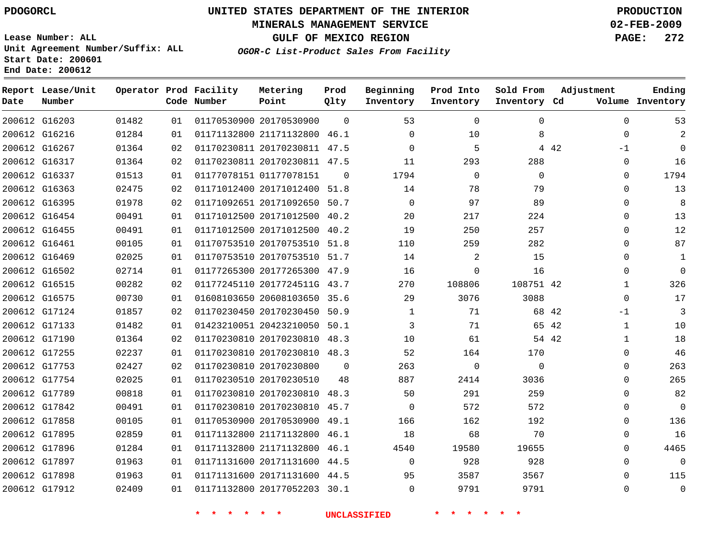### **MINERALS MANAGEMENT SERVICE 02-FEB-2009**

**GULF OF MEXICO REGION PAGE: 272**

**Lease Number: ALL Unit Agreement Number/Suffix: ALL Start Date: 200601 End Date: 200612**

**OGOR-C List-Product Sales From Facility**

| Date | Report Lease/Unit<br>Number |       |    | Operator Prod Facility<br>Code Number | Metering<br>Point            | Prod<br>Qlty | Beginning<br>Inventory | Prod Into<br>Inventory | Sold From<br>Inventory Cd | Adjustment    | Ending<br>Volume Inventory |
|------|-----------------------------|-------|----|---------------------------------------|------------------------------|--------------|------------------------|------------------------|---------------------------|---------------|----------------------------|
|      | 200612 G16203               | 01482 | 01 |                                       | 01170530900 20170530900      | $\Omega$     | 53                     | 0                      | 0                         | $\Omega$      | 53                         |
|      | 200612 G16216               | 01284 | 01 |                                       | 01171132800 21171132800 46.1 |              | $\Omega$               | 10                     | 8                         | $\mathbf 0$   | 2                          |
|      | 200612 G16267               | 01364 | 02 |                                       | 01170230811 20170230811 47.5 |              | $\Omega$               | 5                      |                           | 4 4 2<br>$-1$ | $\Omega$                   |
|      | 200612 G16317               | 01364 | 02 |                                       | 01170230811 20170230811 47.5 |              | 11                     | 293                    | 288                       | 0             | 16                         |
|      | 200612 G16337               | 01513 | 01 |                                       | 01177078151 01177078151      | $\Omega$     | 1794                   | $\mathbf 0$            | $\Omega$                  | $\Omega$      | 1794                       |
|      | 200612 G16363               | 02475 | 02 |                                       | 01171012400 20171012400 51.8 |              | 14                     | 78                     | 79                        | $\Omega$      | 13                         |
|      | 200612 G16395               | 01978 | 02 |                                       | 01171092651 20171092650 50.7 |              | $\Omega$               | 97                     | 89                        | $\Omega$      | 8                          |
|      | 200612 G16454               | 00491 | 01 |                                       | 01171012500 20171012500 40.2 |              | 20                     | 217                    | 224                       | $\Omega$      | 13                         |
|      | 200612 G16455               | 00491 | 01 |                                       | 01171012500 20171012500 40.2 |              | 19                     | 250                    | 257                       | $\Omega$      | 12                         |
|      | 200612 G16461               | 00105 | 01 |                                       | 01170753510 20170753510 51.8 |              | 110                    | 259                    | 282                       | 0             | 87                         |
|      | 200612 G16469               | 02025 | 01 |                                       | 01170753510 20170753510 51.7 |              | 14                     | 2                      | 15                        | $\Omega$      | $\mathbf{1}$               |
|      | 200612 G16502               | 02714 | 01 |                                       | 01177265300 20177265300 47.9 |              | 16                     | 0                      | 16                        | 0             | $\mathbf 0$                |
|      | 200612 G16515               | 00282 | 02 |                                       | 01177245110 2017724511G 43.7 |              | 270                    | 108806                 | 108751 42                 | 1             | 326                        |
|      | 200612 G16575               | 00730 | 01 |                                       | 01608103650 20608103650 35.6 |              | 29                     | 3076                   | 3088                      | $\mathbf 0$   | 17                         |
|      | 200612 G17124               | 01857 | 02 |                                       | 01170230450 20170230450 50.9 |              | $\mathbf{1}$           | 71                     | 68 42                     | $-1$          | 3                          |
|      | 200612 G17133               | 01482 | 01 |                                       | 01423210051 20423210050 50.1 |              | 3                      | 71                     | 65 42                     | $\mathbf{1}$  | 10                         |
|      | 200612 G17190               | 01364 | 02 |                                       | 01170230810 20170230810 48.3 |              | 10                     | 61                     | 54 42                     | 1             | 18                         |
|      | 200612 G17255               | 02237 | 01 |                                       | 01170230810 20170230810 48.3 |              | 52                     | 164                    | 170                       | $\Omega$      | 46                         |
|      | 200612 G17753               | 02427 | 02 |                                       | 01170230810 20170230800      | $\Omega$     | 263                    | $\mathbf 0$            | $\Omega$                  | 0             | 263                        |
|      | 200612 G17754               | 02025 | 01 |                                       | 01170230510 20170230510      | 48           | 887                    | 2414                   | 3036                      | 0             | 265                        |
|      | 200612 G17789               | 00818 | 01 |                                       | 01170230810 20170230810 48.3 |              | 50                     | 291                    | 259                       | $\Omega$      | 82                         |
|      | 200612 G17842               | 00491 | 01 |                                       | 01170230810 20170230810 45.7 |              | $\Omega$               | 572                    | 572                       | 0             | $\mathbf 0$                |
|      | 200612 G17858               | 00105 | 01 |                                       | 01170530900 20170530900 49.1 |              | 166                    | 162                    | 192                       | 0             | 136                        |
|      | 200612 G17895               | 02859 | 01 |                                       | 01171132800 21171132800 46.1 |              | 18                     | 68                     | 70                        | 0             | 16                         |
|      | 200612 G17896               | 01284 | 01 |                                       | 01171132800 21171132800 46.1 |              | 4540                   | 19580                  | 19655                     | $\Omega$      | 4465                       |
|      | 200612 G17897               | 01963 | 01 |                                       | 01171131600 20171131600 44.5 |              | $\Omega$               | 928                    | 928                       | $\Omega$      | $\mathbf 0$                |
|      | 200612 G17898               | 01963 | 01 |                                       | 01171131600 20171131600 44.5 |              | 95                     | 3587                   | 3567                      | $\Omega$      | 115                        |
|      | 200612 G17912               | 02409 | 01 |                                       | 01171132800 20177052203 30.1 |              | $\Omega$               | 9791                   | 9791                      | $\Omega$      | $\mathbf 0$                |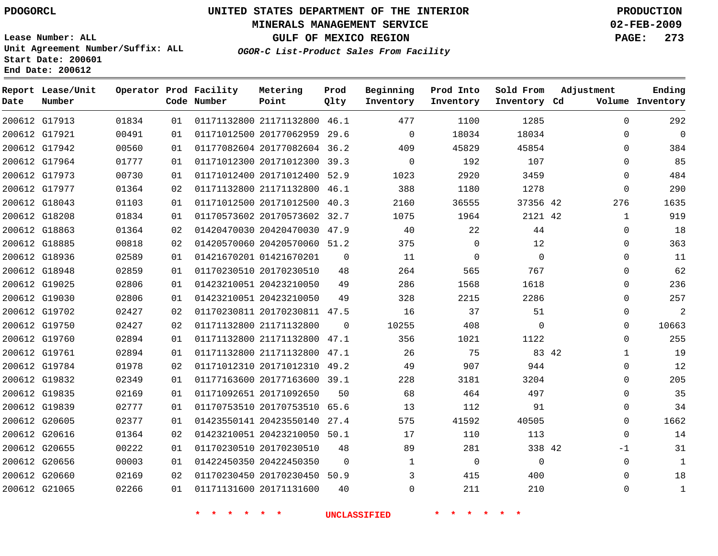### **MINERALS MANAGEMENT SERVICE 02-FEB-2009**

**GULF OF MEXICO REGION PAGE: 273**

**Lease Number: ALL Unit Agreement Number/Suffix: ALL Start Date: 200601 End Date: 200612**

**OGOR-C List-Product Sales From Facility**

| Date | Report Lease/Unit<br>Number |       |    | Operator Prod Facility<br>Code Number | Metering<br>Point            | Prod<br>Qlty | Beginning<br>Inventory | Prod Into<br>Inventory | Sold From<br>Inventory Cd | Adjustment            | Ending<br>Volume Inventory |
|------|-----------------------------|-------|----|---------------------------------------|------------------------------|--------------|------------------------|------------------------|---------------------------|-----------------------|----------------------------|
|      | 200612 G17913               | 01834 | 01 |                                       | 01171132800 21171132800 46.1 |              | 477                    | 1100                   | 1285                      | $\Omega$              | 292                        |
|      | 200612 G17921               | 00491 | 01 |                                       | 01171012500 20177062959 29.6 |              | $\mathbf 0$            | 18034                  | 18034                     | 0                     | $\mathbf 0$                |
|      | 200612 G17942               | 00560 | 01 |                                       | 01177082604 20177082604 36.2 |              | 409                    | 45829                  | 45854                     | $\Omega$              | 384                        |
|      | 200612 G17964               | 01777 | 01 |                                       | 01171012300 20171012300 39.3 |              | $\Omega$               | 192                    | 107                       | $\Omega$              | 85                         |
|      | 200612 G17973               | 00730 | 01 |                                       | 01171012400 20171012400 52.9 |              | 1023                   | 2920                   | 3459                      | 0                     | 484                        |
|      | 200612 G17977               | 01364 | 02 |                                       | 01171132800 21171132800 46.1 |              | 388                    | 1180                   | 1278                      | $\mathbf 0$           | 290                        |
|      | 200612 G18043               | 01103 | 01 |                                       | 01171012500 20171012500 40.3 |              | 2160                   | 36555                  | 37356 42                  | 276                   | 1635                       |
|      | 200612 G18208               | 01834 | 01 |                                       | 01170573602 20170573602 32.7 |              | 1075                   | 1964                   | 2121 42                   | $\mathbf{1}$          | 919                        |
|      | 200612 G18863               | 01364 | 02 |                                       | 01420470030 20420470030 47.9 |              | 40                     | 22                     | 44                        | 0                     | 18                         |
|      | 200612 G18885               | 00818 | 02 |                                       | 01420570060 20420570060 51.2 |              | 375                    | $\Omega$               | 12                        | $\mathbf 0$           | 363                        |
|      | 200612 G18936               | 02589 | 01 |                                       | 01421670201 01421670201      | 0            | 11                     | $\mathbf 0$            | $\Omega$                  | 0                     | 11                         |
|      | 200612 G18948               | 02859 | 01 |                                       | 01170230510 20170230510      | 48           | 264                    | 565                    | 767                       | $\mathbf 0$           | 62                         |
|      | 200612 G19025               | 02806 | 01 |                                       | 01423210051 20423210050      | 49           | 286                    | 1568                   | 1618                      | $\Omega$              | 236                        |
|      | 200612 G19030               | 02806 | 01 |                                       | 01423210051 20423210050      | 49           | 328                    | 2215                   | 2286                      | 0                     | 257                        |
|      | 200612 G19702               | 02427 | 02 |                                       | 01170230811 20170230811 47.5 |              | 16                     | 37                     | 51                        | 0                     | $\overline{2}$             |
|      | 200612 G19750               | 02427 | 02 |                                       | 01171132800 21171132800      | $\Omega$     | 10255                  | 408                    | $\Omega$                  | $\Omega$              | 10663                      |
|      | 200612 G19760               | 02894 | 01 |                                       | 01171132800 21171132800 47.1 |              | 356                    | 1021                   | 1122                      | 0                     | 255                        |
|      | 200612 G19761               | 02894 | 01 |                                       | 01171132800 21171132800 47.1 |              | 26                     | 75                     |                           | 83 42<br>$\mathbf{1}$ | 19                         |
|      | 200612 G19784               | 01978 | 02 |                                       | 01171012310 20171012310 49.2 |              | 49                     | 907                    | 944                       | $\Omega$              | 12                         |
|      | 200612 G19832               | 02349 | 01 |                                       | 01177163600 20177163600 39.1 |              | 228                    | 3181                   | 3204                      | $\Omega$              | 205                        |
|      | 200612 G19835               | 02169 | 01 |                                       | 01171092651 20171092650      | 50           | 68                     | 464                    | 497                       | $\Omega$              | 35                         |
|      | 200612 G19839               | 02777 | 01 |                                       | 01170753510 20170753510      | 65.6         | 13                     | 112                    | 91                        | $\Omega$              | 34                         |
|      | 200612 G20605               | 02377 | 01 |                                       | 01423550141 20423550140 27.4 |              | 575                    | 41592                  | 40505                     | 0                     | 1662                       |
|      | 200612 G20616               | 01364 | 02 |                                       | 01423210051 20423210050 50.1 |              | 17                     | 110                    | 113                       | $\Omega$              | 14                         |
|      | 200612 G20655               | 00222 | 01 |                                       | 01170230510 20170230510      | 48           | 89                     | 281                    | 338 42                    | $-1$                  | 31                         |
|      | 200612 G20656               | 00003 | 01 |                                       | 01422450350 20422450350      | 0            | 1                      | $\overline{0}$         | $\mathbf 0$               | 0                     | $\mathbf{1}$               |
|      | 200612 G20660               | 02169 | 02 |                                       | 01170230450 20170230450 50.9 |              | 3                      | 415                    | 400                       | 0                     | 18                         |
|      | 200612 G21065               | 02266 | 01 |                                       | 01171131600 20171131600      | 40           | $\Omega$               | 211                    | 210                       | $\Omega$              | $1\,$                      |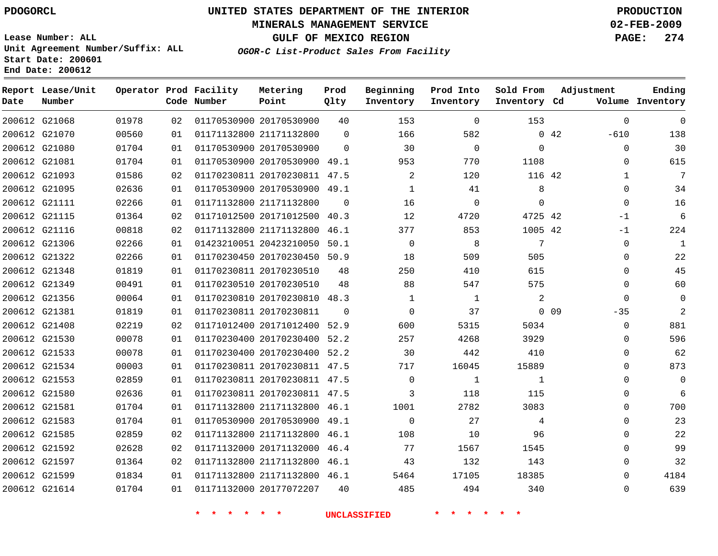### **MINERALS MANAGEMENT SERVICE 02-FEB-2009**

**GULF OF MEXICO REGION PAGE: 274**

**Lease Number: ALL Unit Agreement Number/Suffix: ALL Start Date: 200601 End Date: 200612**

| Date          | Report Lease/Unit<br>Number |       |    | Operator Prod Facility<br>Code Number | Metering<br>Point            | Prod<br>Qlty | Beginning<br>Inventory | Prod Into<br>Inventory | Sold From<br>Inventory Cd | Adjustment            | Ending<br>Volume Inventory |
|---------------|-----------------------------|-------|----|---------------------------------------|------------------------------|--------------|------------------------|------------------------|---------------------------|-----------------------|----------------------------|
|               | 200612 G21068               | 01978 | 02 |                                       | 01170530900 20170530900      | 40           | 153                    | $\mathbf 0$            | 153                       | $\mathbf 0$           | $\mathbf{0}$               |
|               | 200612 G21070               | 00560 | 01 |                                       | 01171132800 21171132800      | $\mathbf 0$  | 166                    | 582                    |                           | $-610$<br>$0\quad 42$ | 138                        |
|               | 200612 G21080               | 01704 | 01 |                                       | 01170530900 20170530900      | $\Omega$     | 30                     | $\Omega$               | $\Omega$                  | $\Omega$              | 30                         |
| 200612 G21081 |                             | 01704 | 01 |                                       | 01170530900 20170530900 49.1 |              | 953                    | 770                    | 1108                      | $\mathbf 0$           | 615                        |
|               | 200612 G21093               | 01586 | 02 |                                       | 01170230811 20170230811 47.5 |              | $\overline{2}$         | 120                    | 116 42                    | $\mathbf{1}$          | 7                          |
|               | 200612 G21095               | 02636 | 01 |                                       | 01170530900 20170530900 49.1 |              | $\mathbf{1}$           | 41                     | 8                         | $\mathbf 0$           | 34                         |
| 200612 G21111 |                             | 02266 | 01 |                                       | 01171132800 21171132800      | $\Omega$     | 16                     | $\Omega$               | $\Omega$                  | $\mathbf 0$           | 16                         |
| 200612 G21115 |                             | 01364 | 02 |                                       | 01171012500 20171012500 40.3 |              | 12                     | 4720                   | 4725 42                   | $-1$                  | 6                          |
|               | 200612 G21116               | 00818 | 02 |                                       | 01171132800 21171132800 46.1 |              | 377                    | 853                    | 1005 42                   | $-1$                  | 224                        |
|               | 200612 G21306               | 02266 | 01 |                                       | 01423210051 20423210050      | 50.1         | $\mathbf 0$            | 8                      | 7                         | 0                     | $\mathbf{1}$               |
|               | 200612 G21322               | 02266 | 01 |                                       | 01170230450 20170230450 50.9 |              | 18                     | 509                    | 505                       | $\Omega$              | 22                         |
| 200612 G21348 |                             | 01819 | 01 |                                       | 01170230811 20170230510      | 48           | 250                    | 410                    | 615                       | $\mathbf 0$           | 45                         |
| 200612 G21349 |                             | 00491 | 01 |                                       | 01170230510 20170230510      | 48           | 88                     | 547                    | 575                       | $\Omega$              | 60                         |
|               | 200612 G21356               | 00064 | 01 |                                       | 01170230810 20170230810 48.3 |              | $\mathbf{1}$           | $\mathbf{1}$           | 2                         | $\Omega$              | $\Omega$                   |
| 200612 G21381 |                             | 01819 | 01 |                                       | 01170230811 20170230811      | $\Omega$     | $\Omega$               | 37                     |                           | $0$ 09<br>$-35$       | 2                          |
| 200612 G21408 |                             | 02219 | 02 |                                       | 01171012400 20171012400      | 52.9         | 600                    | 5315                   | 5034                      | $\mathbf 0$           | 881                        |
| 200612 G21530 |                             | 00078 | 01 |                                       | 01170230400 20170230400 52.2 |              | 257                    | 4268                   | 3929                      | $\Omega$              | 596                        |
| 200612 G21533 |                             | 00078 | 01 |                                       | 01170230400 20170230400      | 52.2         | 30                     | 442                    | 410                       | $\mathbf 0$           | 62                         |
|               | 200612 G21534               | 00003 | 01 |                                       | 01170230811 20170230811 47.5 |              | 717                    | 16045                  | 15889                     | $\mathbf 0$           | 873                        |
| 200612 G21553 |                             | 02859 | 01 |                                       | 01170230811 20170230811 47.5 |              | $\Omega$               | 1                      | $\mathbf{1}$              | $\Omega$              | $\Omega$                   |
| 200612 G21580 |                             | 02636 | 01 |                                       | 01170230811 20170230811 47.5 |              | 3                      | 118                    | 115                       | 0                     | 6                          |
| 200612 G21581 |                             | 01704 | 01 |                                       | 01171132800 21171132800 46.1 |              | 1001                   | 2782                   | 3083                      | $\Omega$              | 700                        |
| 200612 G21583 |                             | 01704 | 01 |                                       | 01170530900 20170530900 49.1 |              | $\mathbf 0$            | 27                     | 4                         | $\mathbf 0$           | 23                         |
| 200612 G21585 |                             | 02859 | 02 |                                       | 01171132800 21171132800 46.1 |              | 108                    | 10                     | 96                        | $\mathbf 0$           | 22                         |
|               | 200612 G21592               | 02628 | 02 |                                       | 01171132000 20171132000      | 46.4         | 77                     | 1567                   | 1545                      | $\Omega$              | 99                         |
|               | 200612 G21597               | 01364 | 02 |                                       | 01171132800 21171132800 46.1 |              | 43                     | 132                    | 143                       | $\mathbf 0$           | 32                         |
|               | 200612 G21599               | 01834 | 01 |                                       | 01171132800 21171132800 46.1 |              | 5464                   | 17105                  | 18385                     | $\Omega$              | 4184                       |
|               | 200612 G21614               | 01704 | 01 |                                       | 01171132000 20177072207      | 40           | 485                    | 494                    | 340                       | $\Omega$              | 639                        |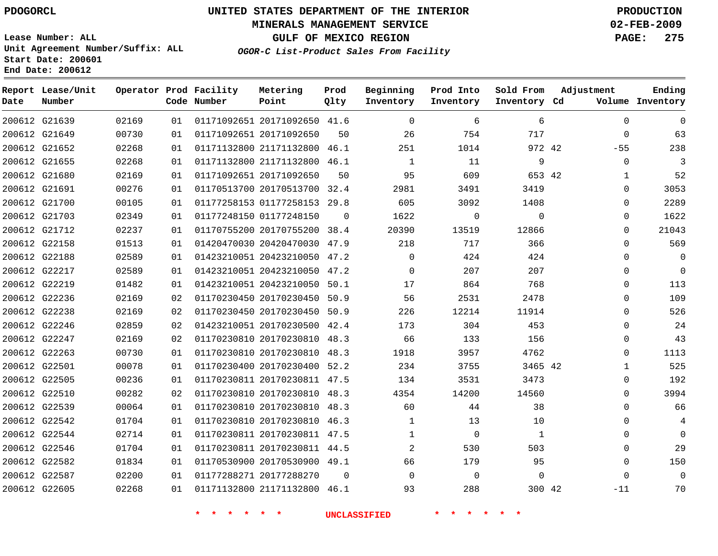### **MINERALS MANAGEMENT SERVICE 02-FEB-2009**

**GULF OF MEXICO REGION PAGE: 275 OGOR-C List-Product Sales From Facility**

**Lease Number: ALL Unit Agreement Number/Suffix: ALL Start Date: 200601 End Date: 200612**

| Date          | Report Lease/Unit<br>Number |       |    | Operator Prod Facility<br>Code Number | Metering<br>Point            | Prod<br>Qlty | Beginning<br>Inventory | Prod Into<br>Inventory | Sold From<br>Inventory Cd | Adjustment   | Ending<br>Volume Inventory |
|---------------|-----------------------------|-------|----|---------------------------------------|------------------------------|--------------|------------------------|------------------------|---------------------------|--------------|----------------------------|
| 200612 G21639 |                             | 02169 | 01 |                                       | 01171092651 20171092650 41.6 |              | $\mathbf 0$            | 6                      | 6                         | $\Omega$     | $\mathbf 0$                |
| 200612 G21649 |                             | 00730 | 01 |                                       | 01171092651 20171092650      | 50           | 26                     | 754                    | 717                       | $\Omega$     | 63                         |
| 200612 G21652 |                             | 02268 | 01 |                                       | 01171132800 21171132800 46.1 |              | 251                    | 1014                   | 972 42                    | $-55$        | 238                        |
|               | 200612 G21655               | 02268 | 01 |                                       | 01171132800 21171132800 46.1 |              | 1                      | 11                     | 9                         | 0            | 3                          |
|               | 200612 G21680               | 02169 | 01 |                                       | 01171092651 20171092650      | 50           | 95                     | 609                    | 653 42                    | 1            | 52                         |
| 200612 G21691 |                             | 00276 | 01 |                                       | 01170513700 20170513700 32.4 |              | 2981                   | 3491                   | 3419                      | 0            | 3053                       |
| 200612 G21700 |                             | 00105 | 01 |                                       | 01177258153 01177258153 29.8 |              | 605                    | 3092                   | 1408                      | 0            | 2289                       |
| 200612 G21703 |                             | 02349 | 01 |                                       | 01177248150 01177248150      | 0            | 1622                   | $\mathbf 0$            | $\mathbf 0$               | 0            | 1622                       |
|               | 200612 G21712               | 02237 | 01 |                                       | 01170755200 20170755200 38.4 |              | 20390                  | 13519                  | 12866                     | 0            | 21043                      |
| 200612 G22158 |                             | 01513 | 01 |                                       | 01420470030 20420470030 47.9 |              | 218                    | 717                    | 366                       | $\Omega$     | 569                        |
|               | 200612 G22188               | 02589 | 01 |                                       | 01423210051 20423210050 47.2 |              | $\Omega$               | 424                    | 424                       | $\Omega$     | $\mathbf 0$                |
|               | 200612 G22217               | 02589 | 01 |                                       | 01423210051 20423210050 47.2 |              | $\mathbf 0$            | 207                    | 207                       | 0            | $\mathbf 0$                |
|               | 200612 G22219               | 01482 | 01 |                                       | 01423210051 20423210050 50.1 |              | 17                     | 864                    | 768                       | $\Omega$     | 113                        |
|               | 200612 G22236               | 02169 | 02 |                                       | 01170230450 20170230450 50.9 |              | 56                     | 2531                   | 2478                      | $\Omega$     | 109                        |
|               | 200612 G22238               | 02169 | 02 |                                       | 01170230450 20170230450 50.9 |              | 226                    | 12214                  | 11914                     | $\Omega$     | 526                        |
| 200612 G22246 |                             | 02859 | 02 |                                       | 01423210051 20170230500 42.4 |              | 173                    | 304                    | 453                       | 0            | 24                         |
|               | 200612 G22247               | 02169 | 02 |                                       | 01170230810 20170230810 48.3 |              | 66                     | 133                    | 156                       | $\Omega$     | 43                         |
| 200612 G22263 |                             | 00730 | 01 |                                       | 01170230810 20170230810 48.3 |              | 1918                   | 3957                   | 4762                      | 0            | 1113                       |
| 200612 G22501 |                             | 00078 | 01 |                                       | 01170230400 20170230400 52.2 |              | 234                    | 3755                   | 3465 42                   | $\mathbf{1}$ | 525                        |
| 200612 G22505 |                             | 00236 | 01 |                                       | 01170230811 20170230811 47.5 |              | 134                    | 3531                   | 3473                      | 0            | 192                        |
|               | 200612 G22510               | 00282 | 02 |                                       | 01170230810 20170230810 48.3 |              | 4354                   | 14200                  | 14560                     | 0            | 3994                       |
| 200612 G22539 |                             | 00064 | 01 |                                       | 01170230810 20170230810 48.3 |              | 60                     | 44                     | 38                        | 0            | 66                         |
| 200612 G22542 |                             | 01704 | 01 |                                       | 01170230810 20170230810 46.3 |              | 1                      | 13                     | 10                        | 0            | 4                          |
|               | 200612 G22544               | 02714 | 01 |                                       | 01170230811 20170230811 47.5 |              | $\mathbf{1}$           | $\Omega$               | 1                         | $\Omega$     | $\mathbf 0$                |
| 200612 G22546 |                             | 01704 | 01 |                                       | 01170230811 20170230811 44.5 |              | 2                      | 530                    | 503                       | 0            | 29                         |
|               | 200612 G22582               | 01834 | 01 |                                       | 01170530900 20170530900 49.1 |              | 66                     | 179                    | 95                        | $\Omega$     | 150                        |
| 200612 G22587 |                             | 02200 | 01 |                                       | 01177288271 20177288270      | 0            | $\mathbf 0$            | $\overline{0}$         | $\mathbf 0$               | 0            | $\mathbf 0$                |
|               | 200612 G22605               | 02268 | 01 |                                       | 01171132800 21171132800 46.1 |              | 93                     | 288                    | 300 42                    | $-11$        | 70                         |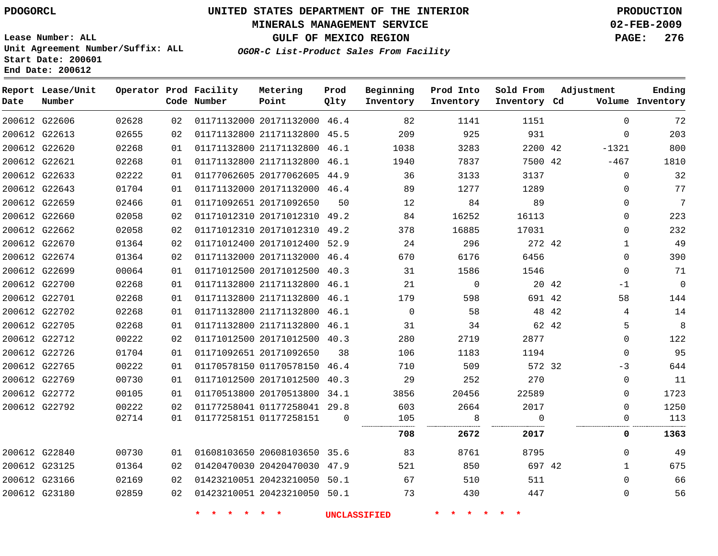### **MINERALS MANAGEMENT SERVICE 02-FEB-2009**

**GULF OF MEXICO REGION PAGE: 276**

**Lease Number: ALL Unit Agreement Number/Suffix: ALL Start Date: 200601 End Date: 200612**

**OGOR-C List-Product Sales From Facility**

| Date | Report Lease/Unit<br>Number |       |    | Operator Prod Facility<br>Code Number | Metering<br>Point            | Prod<br>Qlty | Beginning<br>Inventory | Prod Into<br>Inventory | Sold From<br>Inventory Cd | Adjustment   | Ending<br>Volume Inventory |
|------|-----------------------------|-------|----|---------------------------------------|------------------------------|--------------|------------------------|------------------------|---------------------------|--------------|----------------------------|
|      | 200612 G22606               | 02628 | 02 |                                       | 01171132000 20171132000 46.4 |              | 82                     | 1141                   | 1151                      | $\Omega$     | 72                         |
|      | 200612 G22613               | 02655 | 02 |                                       | 01171132800 21171132800 45.5 |              | 209                    | 925                    | 931                       | $\Omega$     | 203                        |
|      | 200612 G22620               | 02268 | 01 |                                       | 01171132800 21171132800 46.1 |              | 1038                   | 3283                   | 2200 42                   | $-1321$      | 800                        |
|      | 200612 G22621               | 02268 | 01 |                                       | 01171132800 21171132800 46.1 |              | 1940                   | 7837                   | 7500 42                   | $-467$       | 1810                       |
|      | 200612 G22633               | 02222 | 01 |                                       | 01177062605 20177062605 44.9 |              | 36                     | 3133                   | 3137                      | $\mathbf{0}$ | 32                         |
|      | 200612 G22643               | 01704 | 01 |                                       | 01171132000 20171132000 46.4 |              | 89                     | 1277                   | 1289                      | $\Omega$     | 77                         |
|      | 200612 G22659               | 02466 | 01 |                                       | 01171092651 20171092650      | 50           | 12                     | 84                     | 89                        | $\Omega$     | 7                          |
|      | 200612 G22660               | 02058 | 02 |                                       | 01171012310 20171012310 49.2 |              | 84                     | 16252                  | 16113                     | $\Omega$     | 223                        |
|      | 200612 G22662               | 02058 | 02 |                                       | 01171012310 20171012310 49.2 |              | 378                    | 16885                  | 17031                     | $\Omega$     | 232                        |
|      | 200612 G22670               | 01364 | 02 |                                       | 01171012400 20171012400 52.9 |              | 24                     | 296                    | 272 42                    | $\mathbf{1}$ | 49                         |
|      | 200612 G22674               | 01364 | 02 |                                       | 01171132000 20171132000 46.4 |              | 670                    | 6176                   | 6456                      | $\Omega$     | 390                        |
|      | 200612 G22699               | 00064 | 01 |                                       | 01171012500 20171012500 40.3 |              | 31                     | 1586                   | 1546                      | $\mathbf{0}$ | 71                         |
|      | 200612 G22700               | 02268 | 01 |                                       | 01171132800 21171132800 46.1 |              | 21                     | $\mathbf{0}$           | 20 42                     | $-1$         | 0                          |
|      | 200612 G22701               | 02268 | 01 |                                       | 01171132800 21171132800 46.1 |              | 179                    | 598                    | 691 42                    | 58           | 144                        |
|      | 200612 G22702               | 02268 | 01 |                                       | 01171132800 21171132800 46.1 |              | $\Omega$               | 58                     | 48 42                     | 4            | 14                         |
|      | 200612 G22705               | 02268 | 01 |                                       | 01171132800 21171132800 46.1 |              | 31                     | 34                     | 62 42                     | 5            | 8                          |
|      | 200612 G22712               | 00222 | 02 |                                       | 01171012500 20171012500 40.3 |              | 280                    | 2719                   | 2877                      | $\Omega$     | 122                        |
|      | 200612 G22726               | 01704 | 01 |                                       | 01171092651 20171092650      | 38           | 106                    | 1183                   | 1194                      | $\Omega$     | 95                         |
|      | 200612 G22765               | 00222 | 01 |                                       | 01170578150 01170578150      | 46.4         | 710                    | 509                    | 572 32                    | -3           | 644                        |
|      | 200612 G22769               | 00730 | 01 |                                       | 01171012500 20171012500 40.3 |              | 29                     | 252                    | 270                       | $\Omega$     | 11                         |
|      | 200612 G22772               | 00105 | 01 |                                       | 01170513800 20170513800 34.1 |              | 3856                   | 20456                  | 22589                     | $\Omega$     | 1723                       |
|      | 200612 G22792               | 00222 | 02 |                                       | 01177258041 01177258041 29.8 |              | 603                    | 2664                   | 2017                      | $\Omega$     | 1250                       |
|      |                             | 02714 | 01 |                                       | 01177258151 01177258151      | $\Omega$     | 105                    | 8                      | $\Omega$                  | $\Omega$     | 113                        |
|      |                             |       |    |                                       |                              |              | <br>708                | <br>2672               | <br>2017                  | 0            | 1363                       |
|      | 200612 G22840               | 00730 | 01 |                                       | 01608103650 20608103650 35.6 |              | 83                     | 8761                   | 8795                      | $\Omega$     | 49                         |
|      | 200612 G23125               | 01364 | 02 |                                       | 01420470030 20420470030 47.9 |              | 521                    | 850                    | 697 42                    | $\mathbf 1$  | 675                        |
|      | 200612 G23166               | 02169 | 02 |                                       | 01423210051 20423210050 50.1 |              | 67                     | 510                    | 511                       | $\Omega$     | 66                         |
|      | 200612 G23180               | 02859 | 02 |                                       | 01423210051 20423210050 50.1 |              | 73                     | 430                    | 447                       | 0            | 56                         |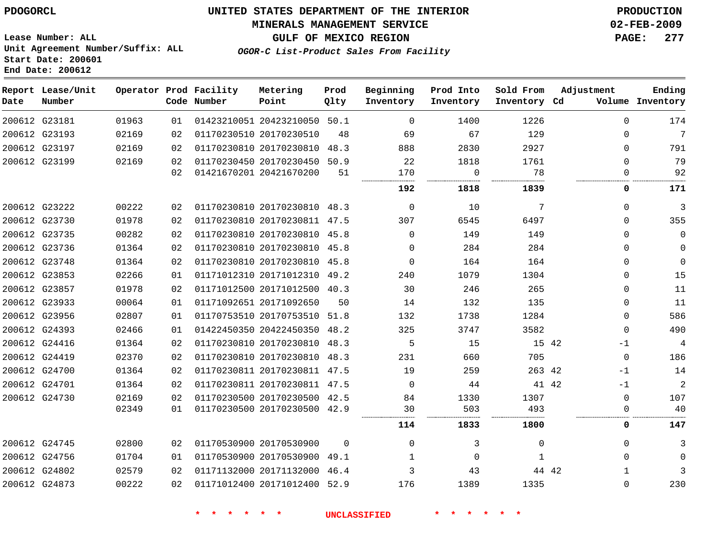### **MINERALS MANAGEMENT SERVICE 02-FEB-2009**

**GULF OF MEXICO REGION PAGE: 277**

**Lease Number: ALL Unit Agreement Number/Suffix: ALL Start Date: 200601 End Date: 200612**

**OGOR-C List-Product Sales From Facility**

| Date | Report Lease/Unit<br>Number |       |    | Operator Prod Facility<br>Code Number | Metering<br>Point            | Prod<br>Qlty | Beginning<br>Inventory | Prod Into<br>Inventory | Sold From<br>Inventory Cd | Adjustment   | Ending<br>Volume Inventory |
|------|-----------------------------|-------|----|---------------------------------------|------------------------------|--------------|------------------------|------------------------|---------------------------|--------------|----------------------------|
|      | 200612 G23181               | 01963 | 01 |                                       | 01423210051 20423210050 50.1 |              | $\Omega$               | 1400                   | 1226                      | $\Omega$     | 174                        |
|      | 200612 G23193               | 02169 | 02 |                                       | 01170230510 20170230510      | 48           | 69                     | 67                     | 129                       | $\Omega$     | 7                          |
|      | 200612 G23197               | 02169 | 02 |                                       | 01170230810 20170230810      | 48.3         | 888                    | 2830                   | 2927                      | $\Omega$     | 791                        |
|      | 200612 G23199               | 02169 | 02 |                                       | 01170230450 20170230450 50.9 |              | 22                     | 1818                   | 1761                      | $\Omega$     | 79                         |
|      |                             |       | 02 |                                       | 01421670201 20421670200      | 51           | 170                    | $\Omega$               | 78                        | $\Omega$     | 92                         |
|      |                             |       |    |                                       |                              |              | 192                    | 1818                   | 1839                      | 0            | 171                        |
|      | 200612 G23222               | 00222 | 02 |                                       | 01170230810 20170230810 48.3 |              | $\Omega$               | 10                     | 7                         | $\Omega$     | 3                          |
|      | 200612 G23730               | 01978 | 02 |                                       | 01170230810 20170230811 47.5 |              | 307                    | 6545                   | 6497                      | $\Omega$     | 355                        |
|      | 200612 G23735               | 00282 | 02 |                                       | 01170230810 20170230810 45.8 |              | $\Omega$               | 149                    | 149                       | $\Omega$     | $\mathbf{0}$               |
|      | 200612 G23736               | 01364 | 02 |                                       | 01170230810 20170230810 45.8 |              | $\Omega$               | 284                    | 284                       | $\Omega$     | $\mathbf 0$                |
|      | 200612 G23748               | 01364 | 02 |                                       | 01170230810 20170230810 45.8 |              | $\Omega$               | 164                    | 164                       | $\Omega$     | $\mathbf{0}$               |
|      | 200612 G23853               | 02266 | 01 |                                       | 01171012310 20171012310 49.2 |              | 240                    | 1079                   | 1304                      | $\Omega$     | 15                         |
|      | 200612 G23857               | 01978 | 02 |                                       | 01171012500 20171012500 40.3 |              | 30                     | 246                    | 265                       | $\Omega$     | 11                         |
|      | 200612 G23933               | 00064 | 01 |                                       | 01171092651 20171092650      | 50           | 14                     | 132                    | 135                       | $\Omega$     | 11                         |
|      | 200612 G23956               | 02807 | 01 |                                       | 01170753510 20170753510 51.8 |              | 132                    | 1738                   | 1284                      | $\Omega$     | 586                        |
|      | 200612 G24393               | 02466 | 01 |                                       | 01422450350 20422450350 48.2 |              | 325                    | 3747                   | 3582                      | $\mathbf 0$  | 490                        |
|      | 200612 G24416               | 01364 | 02 |                                       | 01170230810 20170230810      | 48.3         | 5                      | 15                     | 15 42                     | $-1$         | $\overline{4}$             |
|      | 200612 G24419               | 02370 | 02 |                                       | 01170230810 20170230810 48.3 |              | 231                    | 660                    | 705                       | $\mathbf 0$  | 186                        |
|      | 200612 G24700               | 01364 | 02 |                                       | 01170230811 20170230811 47.5 |              | 19                     | 259                    | 263 42                    | $-1$         | 14                         |
|      | 200612 G24701               | 01364 | 02 |                                       | 01170230811 20170230811 47.5 |              | $\Omega$               | 44                     | 41 42                     | $-1$         | $\overline{c}$             |
|      | 200612 G24730               | 02169 | 02 |                                       | 01170230500 20170230500      | 42.5         | 84                     | 1330                   | 1307                      | $\Omega$     | 107                        |
|      |                             | 02349 | 01 |                                       | 01170230500 20170230500 42.9 |              | 30                     | 503                    | 493                       | 0            | 40                         |
|      |                             |       |    |                                       |                              |              | 114                    | 1833                   | 1800                      | 0            | 147                        |
|      | 200612 G24745               | 02800 | 02 |                                       | 01170530900 20170530900      | 0            | 0                      | 3                      | 0                         | 0            | 3                          |
|      | 200612 G24756               | 01704 | 01 |                                       | 01170530900 20170530900 49.1 |              | 1                      | $\Omega$               | 1                         | $\Omega$     | $\Omega$                   |
|      | 200612 G24802               | 02579 | 02 |                                       | 01171132000 20171132000      | 46.4         | 3                      | 43                     | 44 42                     | $\mathbf{1}$ | 3                          |
|      | 200612 G24873               | 00222 | 02 |                                       | 01171012400 20171012400 52.9 |              | 176                    | 1389                   | 1335                      | 0            | 230                        |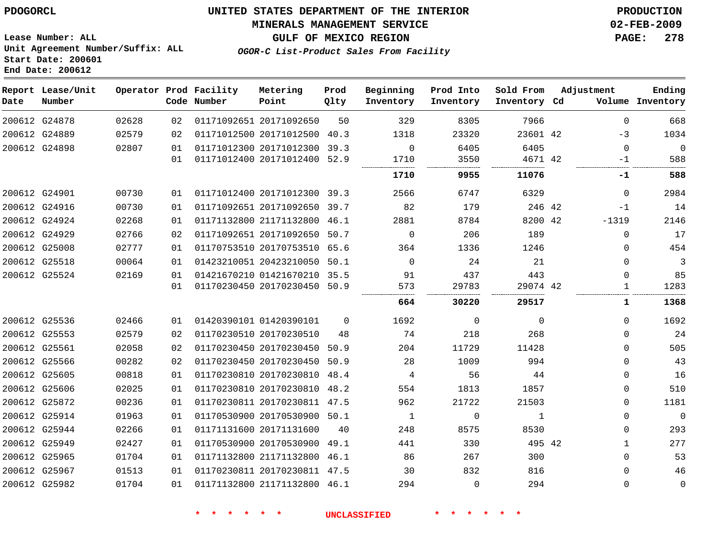#### **MINERALS MANAGEMENT SERVICE 02-FEB-2009**

**GULF OF MEXICO REGION PAGE: 278**

**Lease Number: ALL Unit Agreement Number/Suffix: ALL Start Date: 200601 End Date: 200612**

**OGOR-C List-Product Sales From Facility**

| Date | Report Lease/Unit<br>Number |       |    | Operator Prod Facility<br>Code Number | Metering<br>Point            | Prod<br>Qlty | Beginning<br>Inventory | Prod Into<br>Inventory | Sold From<br>Inventory Cd | Adjustment |              | Ending<br>Volume Inventory |
|------|-----------------------------|-------|----|---------------------------------------|------------------------------|--------------|------------------------|------------------------|---------------------------|------------|--------------|----------------------------|
|      | 200612 G24878               | 02628 | 02 |                                       | 01171092651 20171092650      | 50           | 329                    | 8305                   | 7966                      |            | $\mathbf{0}$ | 668                        |
|      | 200612 G24889               | 02579 | 02 |                                       | 01171012500 20171012500 40.3 |              | 1318                   | 23320                  | 23601 42                  |            | $-3$         | 1034                       |
|      | 200612 G24898               | 02807 | 01 |                                       | 01171012300 20171012300 39.3 |              | $\Omega$               | 6405                   | 6405                      |            | $\mathbf 0$  | $\Omega$                   |
|      |                             |       | 01 |                                       | 01171012400 20171012400 52.9 |              | 1710                   | 3550                   | 4671 42                   |            | $-1$         | 588                        |
|      |                             |       |    |                                       |                              |              | 1710                   | 9955                   | 11076                     |            | -1           | 588                        |
|      | 200612 G24901               | 00730 | 01 |                                       | 01171012400 20171012300 39.3 |              | 2566                   | 6747                   | 6329                      |            | $\Omega$     | 2984                       |
|      | 200612 G24916               | 00730 | 01 |                                       | 01171092651 20171092650 39.7 |              | 82                     | 179                    | 246 42                    |            | $-1$         | 14                         |
|      | 200612 G24924               | 02268 | 01 |                                       | 01171132800 21171132800 46.1 |              | 2881                   | 8784                   | 8200 42                   |            | $-1319$      | 2146                       |
|      | 200612 G24929               | 02766 | 02 |                                       | 01171092651 20171092650 50.7 |              | $\Omega$               | 206                    | 189                       |            | $\mathbf{0}$ | 17                         |
|      | 200612 G25008               | 02777 | 01 |                                       | 01170753510 20170753510 65.6 |              | 364                    | 1336                   | 1246                      |            | $\Omega$     | 454                        |
|      | 200612 G25518               | 00064 | 01 |                                       | 01423210051 20423210050 50.1 |              | $\Omega$               | 24                     | 21                        |            | $\Omega$     | 3                          |
|      | 200612 G25524               | 02169 | 01 |                                       | 01421670210 01421670210 35.5 |              | 91                     | 437                    | 443                       |            | $\Omega$     | 85                         |
|      |                             |       | 01 |                                       | 01170230450 20170230450 50.9 |              | 573                    | 29783                  | 29074 42                  |            | 1            | 1283                       |
|      |                             |       |    |                                       |                              |              | 664                    | 30220                  | 29517                     |            | 1            | 1368                       |
|      | 200612 G25536               | 02466 | 01 |                                       | 01420390101 01420390101      | $\Omega$     | 1692                   | 0                      | 0                         |            | $\Omega$     | 1692                       |
|      | 200612 G25553               | 02579 | 02 |                                       | 01170230510 20170230510      | 48           | 74                     | 218                    | 268                       |            | $\Omega$     | 24                         |
|      | 200612 G25561               | 02058 | 02 |                                       | 01170230450 20170230450      | 50.9         | 204                    | 11729                  | 11428                     |            | $\Omega$     | 505                        |
|      | 200612 G25566               | 00282 | 02 |                                       | 01170230450 20170230450 50.9 |              | 28                     | 1009                   | 994                       |            | $\Omega$     | 43                         |
|      | 200612 G25605               | 00818 | 01 |                                       | 01170230810 20170230810      | 48.4         | 4                      | 56                     | 44                        |            | 0            | 16                         |
|      | 200612 G25606               | 02025 | 01 |                                       | 01170230810 20170230810 48.2 |              | 554                    | 1813                   | 1857                      |            | $\mathbf{0}$ | 510                        |
|      | 200612 G25872               | 00236 | 01 |                                       | 01170230811 20170230811 47.5 |              | 962                    | 21722                  | 21503                     |            | 0            | 1181                       |
|      | 200612 G25914               | 01963 | 01 |                                       | 01170530900 20170530900 50.1 |              | $\mathbf{1}$           | $\mathbf 0$            | 1                         |            | $\Omega$     | $\mathbf{0}$               |
|      | 200612 G25944               | 02266 | 01 |                                       | 01171131600 20171131600      | 40           | 248                    | 8575                   | 8530                      |            | $\mathbf{0}$ | 293                        |
|      | 200612 G25949               | 02427 | 01 |                                       | 01170530900 20170530900 49.1 |              | 441                    | 330                    | 495 42                    |            | $\mathbf{1}$ | 277                        |
|      | 200612 G25965               | 01704 | 01 |                                       | 01171132800 21171132800 46.1 |              | 86                     | 267                    | 300                       |            | $\mathbf 0$  | 53                         |
|      | 200612 G25967               | 01513 | 01 |                                       | 01170230811 20170230811 47.5 |              | 30                     | 832                    | 816                       |            | $\Omega$     | 46                         |
|      | 200612 G25982               | 01704 | 01 |                                       | 01171132800 21171132800 46.1 |              | 294                    | $\Omega$               | 294                       |            | $\mathbf{0}$ | $\mathbf 0$                |